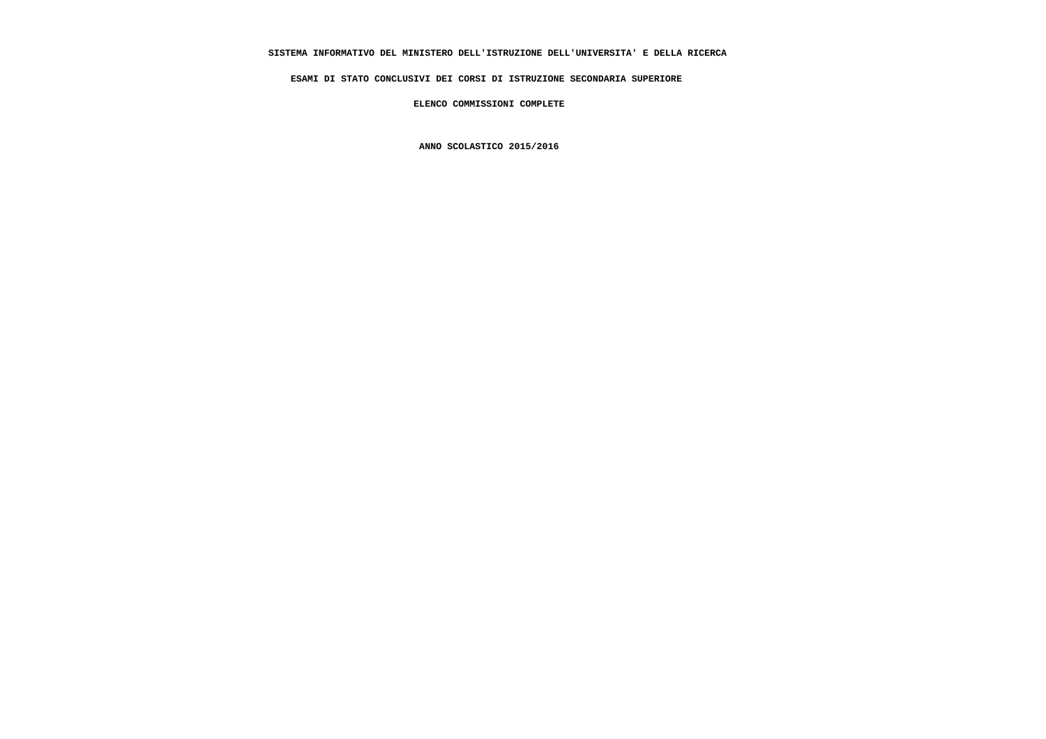# **SISTEMA INFORMATIVO DEL MINISTERO DELL'ISTRUZIONE DELL'UNIVERSITA' E DELLA RICERCA**

 **ESAMI DI STATO CONCLUSIVI DEI CORSI DI ISTRUZIONE SECONDARIA SUPERIORE**

 **ELENCO COMMISSIONI COMPLETE**

 **ANNO SCOLASTICO 2015/2016**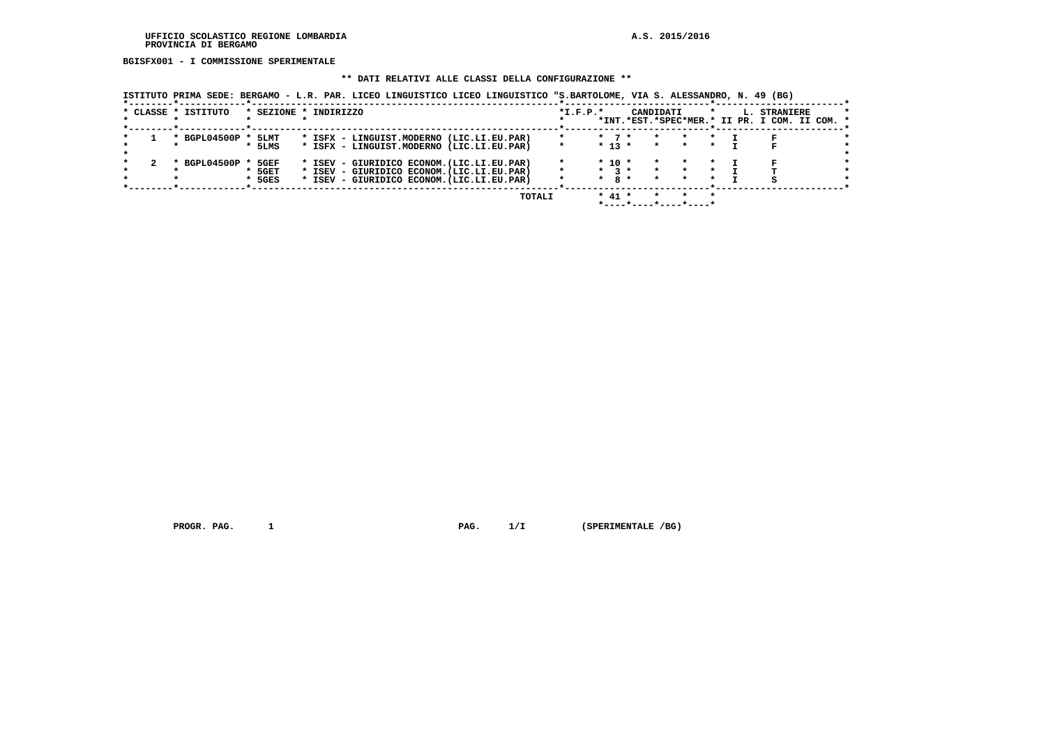#### **UFFICIO SCOLASTICO REGIONE LOMBARDIA A.S. 2015/2016 PROVINCIA DI BERGAMO**

 **BGISFX001 - I COMMISSIONE SPERIMENTALE**

#### **\*\* DATI RELATIVI ALLE CLASSI DELLA CONFIGURAZIONE \*\***

 **ISTITUTO PRIMA SEDE: BERGAMO - L.R. PAR. LICEO LINGUISTICO LICEO LINGUISTICO "S.BARTOLOME, VIA S. ALESSANDRO, N. 49 (BG)**

|  | * CLASSE * ISTITUTO |          | * SEZIONE * INDIRIZZO                      |  |        | $*I.F.P.*$ |         |             | CANDIDATI |                       |  | L. STRANIERE<br>*INT.*EST.*SPEC*MER.* II PR. I COM. II COM. * |  |
|--|---------------------|----------|--------------------------------------------|--|--------|------------|---------|-------------|-----------|-----------------------|--|---------------------------------------------------------------|--|
|  | * BGPL04500P * 5LMT |          | * ISFX - LINGUIST.MODERNO (LIC.LI.EU.PAR)  |  |        | $\star$    |         | $*$ 7 $*$   | $\star$   | $\star$               |  |                                                               |  |
|  |                     |          |                                            |  |        |            |         |             |           |                       |  |                                                               |  |
|  |                     | * 5LMS   | * ISFX - LINGUIST.MODERNO (LIC.LI.EU.PAR)  |  |        |            |         | $*$ 13 $*$  | $\star$   |                       |  |                                                               |  |
|  |                     |          |                                            |  |        |            |         |             |           |                       |  |                                                               |  |
|  | BGPL04500P          | 5GEF     | * ISEV - GIURIDICO ECONOM. (LIC.LI.EU.PAR) |  |        |            |         | $*$ 10 $*$  |           |                       |  |                                                               |  |
|  |                     | $*$ 5GET | * ISEV - GIURIDICO ECONOM. (LIC.LI.EU.PAR) |  |        | $\star$    |         | $*$ 3 $*$   |           |                       |  |                                                               |  |
|  |                     | $*$ 5GES | * ISEV - GIURIDICO ECONOM. (LIC.LI.EU.PAR) |  |        |            | $\star$ | $R_{\star}$ |           | $\star$               |  |                                                               |  |
|  |                     |          |                                            |  |        |            |         |             |           |                       |  |                                                               |  |
|  |                     |          |                                            |  | TOTALI |            |         | $* 41 *$    |           |                       |  |                                                               |  |
|  |                     |          |                                            |  |        |            |         |             |           | *----*----*----*----* |  |                                                               |  |

 **PROGR. PAG. 1 PAG. 1/I (SPERIMENTALE /BG)**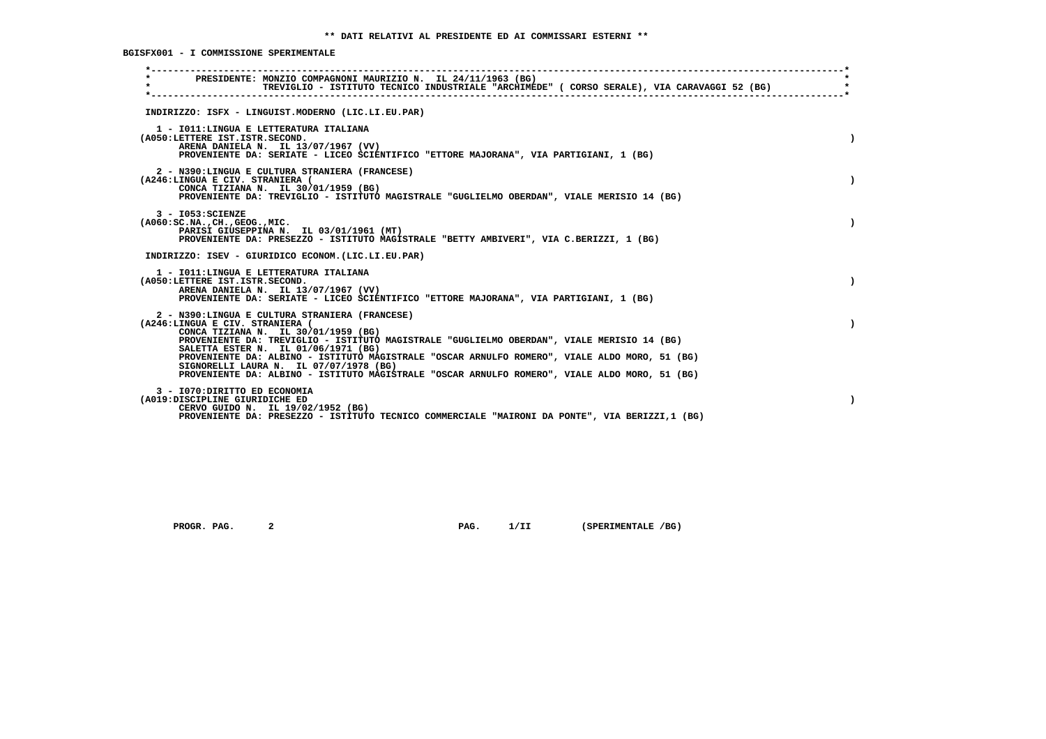**BGISFX001 - I COMMISSIONE SPERIMENTALE**

| $\star$ | PRESIDENTE: MONZIO COMPAGNONI MAURIZIO N. IL 24/11/1963 (BG)<br>TREVIGLIO - ISTITUTO TECNICO INDUSTRIALE "ARCHIMEDE" ( CORSO SERALE), VIA CARAVAGGI 52 (BG)                                                                                                   |           |
|---------|---------------------------------------------------------------------------------------------------------------------------------------------------------------------------------------------------------------------------------------------------------------|-----------|
|         | INDIRIZZO: ISFX - LINGUIST.MODERNO (LIC.LI.EU.PAR)                                                                                                                                                                                                            |           |
|         | 1 - IO11: LINGUA E LETTERATURA ITALIANA<br>(A050:LETTERE IST.ISTR.SECOND.<br>ARENA DANIELA N. IL 13/07/1967 (VV)<br>PROVENIENTE DA: SERIATE - LICEO SCIENTIFICO "ETTORE MAJORANA", VIA PARTIGIANI, 1 (BG)                                                     |           |
|         | 2 - N390:LINGUA E CULTURA STRANIERA (FRANCESE)<br>(A246:LINGUA E CIV. STRANIERA (<br>CONCA TIZIANA N. IL 30/01/1959 (BG)<br>PROVENIENTE DA: TREVIGLIO - ISTITUTO MAGISTRALE "GUGLIELMO OBERDAN", VIALE MERISIO 14 (BG)                                        |           |
|         | $3 - 1053:SCIENZE$<br>( A060:SC.NA. ,CH. ,GEOG. ,MIC.<br>PARISI GIUSEPPINA N. IL 03/01/1961 (MT)<br>PROVENIENTE DA: PRESEZZO - ISTITUTO MAGISTRALE "BETTY AMBIVERI", VIA C.BERIZZI, 1 (BG)                                                                    |           |
|         | INDIRIZZO: ISEV - GIURIDICO ECONOM. (LIC.LI.EU.PAR)                                                                                                                                                                                                           |           |
|         | 1 - IO11: LINGUA E LETTERATURA ITALIANA<br>(A050:LETTERE IST.ISTR.SECOND.<br>ARENA DANIELA N. IL 13/07/1967 (VV)<br>PROVENIENTE DA: SERIATE - LICEO SCIENTIFICO "ETTORE MAJORANA", VIA PARTIGIANI, 1 (BG)                                                     | $\lambda$ |
|         | 2 - N390:LINGUA E CULTURA STRANIERA (FRANCESE)<br>(A246:LINGUA E CIV. STRANIERA (<br>CONCA TIZIANA N. IL 30/01/1959 (BG)<br>PROVENIENTE DA: TREVIGLIO - ISTITUTO MAGISTRALE "GUGLIELMO OBERDAN", VIALE MERISIO 14 (BG)<br>SALETTA ESTER N. IL 01/06/1971 (BG) |           |
|         | PROVENIENTE DA: ALBINO - ISTITUTO MAGISTRALE "OSCAR ARNULFO ROMERO", VIALE ALDO MORO, 51 (BG)<br>SIGNORELLI LAURA N. IL 07/07/1978 (BG)<br>PROVENIENTE DA: ALBINO - ISTITUTO MAGISTRALE "OSCAR ARNULFO ROMERO", VIALE ALDO MORO, 51 (BG)                      |           |
|         | 3 - I070: DIRITTO ED ECONOMIA<br>(A019:DISCIPLINE GIURIDICHE ED<br>CERVO GUIDO N. IL 19/02/1952 (BG)<br>PROVENIENTE DA: PRESEZZO - ISTITUTO TECNICO COMMERCIALE "MAIRONI DA PONTE", VIA BERIZZI, 1 (BG)                                                       | $\lambda$ |

 **PROGR. PAG.** 2 **PAG.** 1/II (SPERIMENTALE /BG)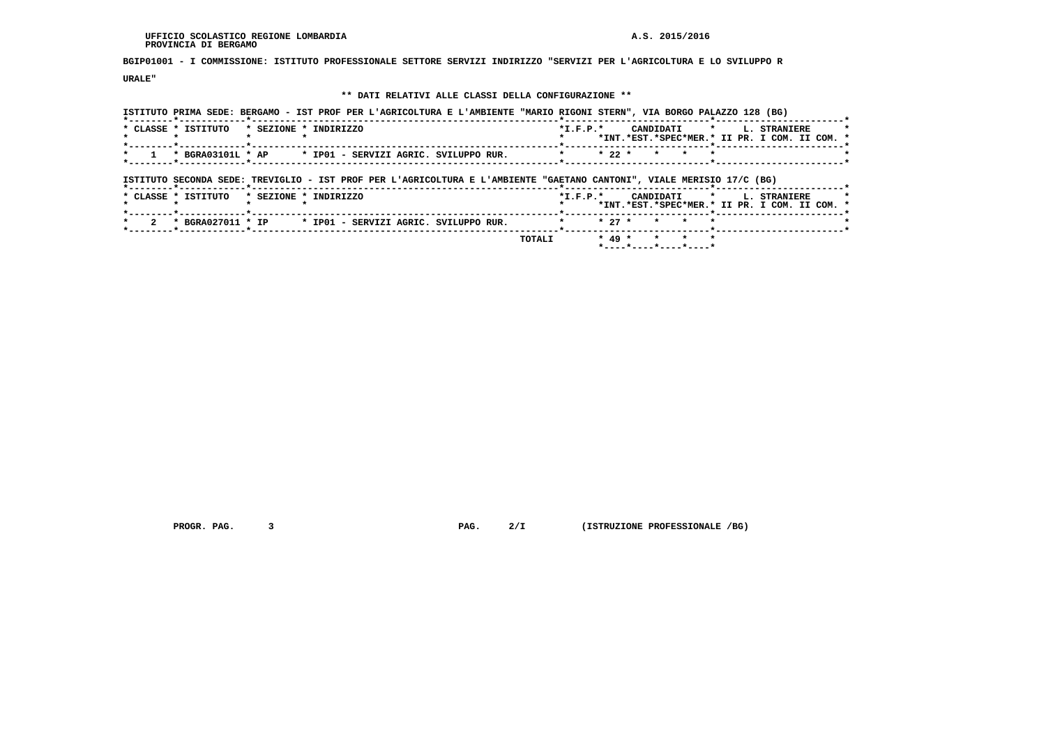**BGIP01001 - I COMMISSIONE: ISTITUTO PROFESSIONALE SETTORE SERVIZI INDIRIZZO "SERVIZI PER L'AGRICOLTURA E LO SVILUPPO R**

 **URALE"**

# **\*\* DATI RELATIVI ALLE CLASSI DELLA CONFIGURAZIONE \*\***

|                                                                                                                                                        | ISTITUTO PRIMA SEDE: BERGAMO - IST PROF PER L'AGRICOLTURA E L'AMBIENTE "MARIO RIGONI STERN", VIA BORGO PALAZZO 128 (BG) |                                |                                                                           |
|--------------------------------------------------------------------------------------------------------------------------------------------------------|-------------------------------------------------------------------------------------------------------------------------|--------------------------------|---------------------------------------------------------------------------|
| * SEZIONE * INDIRIZZO<br>* CLASSE * ISTITUTO                                                                                                           | $*L.F.P.*$                                                                                                              | CANDIDATI *                    | <b>L. STRANIERE</b><br>*INT.*EST.*SPEC*MER.* II PR. I COM. II COM. *      |
| * BGRA03101L * AP                                                                                                                                      | * IP01 - SERVIZI AGRIC. SVILUPPO RUR.<br>$\star$                                                                        | $* 22 *$<br>$\star$<br>$\star$ |                                                                           |
| ISTITUTO SECONDA SEDE: TREVIGLIO - IST PROF PER L'AGRICOLTURA E L'AMBIENTE "GAETANO CANTONI", VIALE MERISIO 17/C (BG)<br>*--------*------------*------ |                                                                                                                         |                                |                                                                           |
|                                                                                                                                                        |                                                                                                                         |                                |                                                                           |
| * CLASSE * ISTITUTO<br>* SEZIONE * INDIRIZZO                                                                                                           |                                                                                                                         | $*L.F.P.*$                     | CANDIDATI * L. STRANIERE<br>*INT.*EST.*SPEC*MER.* II PR. I COM. II COM. * |
| * BGRA027011 * IP                                                                                                                                      | * IP01 - SERVIZI AGRIC. SVILUPPO RUR.                                                                                   | $* 27 *$<br>$\star$            |                                                                           |

 **PROGR. PAG. 3 PAG. 2/I (ISTRUZIONE PROFESSIONALE /BG)**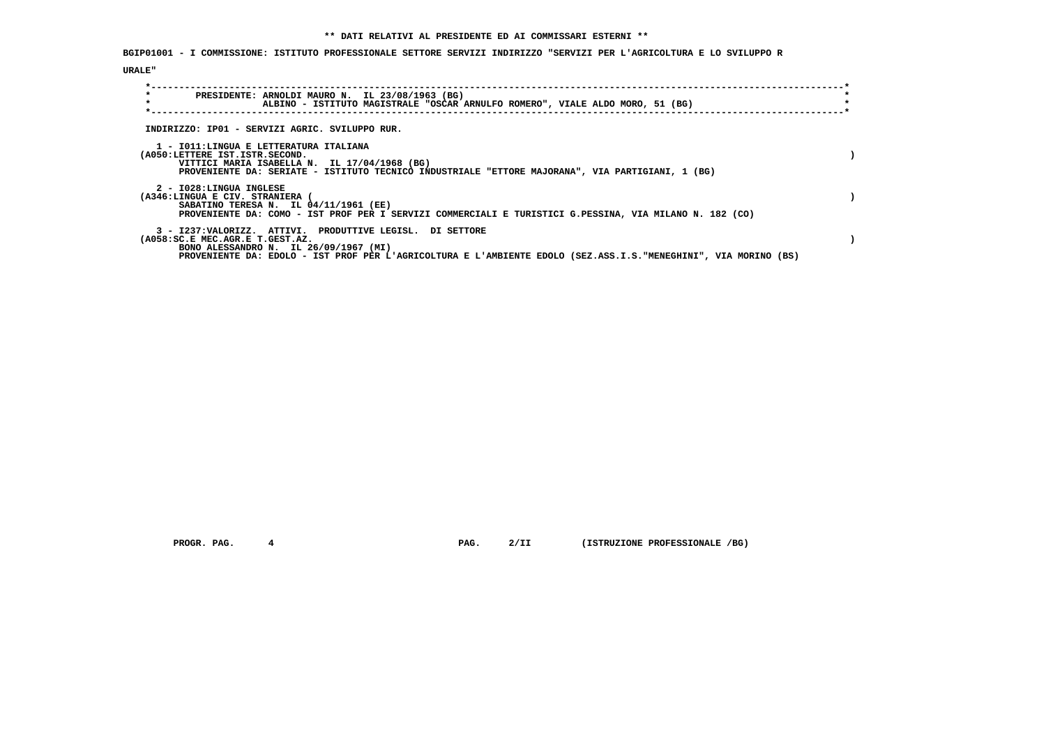**BGIP01001 - I COMMISSIONE: ISTITUTO PROFESSIONALE SETTORE SERVIZI INDIRIZZO "SERVIZI PER L'AGRICOLTURA E LO SVILUPPO R**

# **URALE"**

| $\star$<br>PRESIDENTE: ARNOLDI MAURO N. IL 23/08/1963 (BG)<br>$\star$<br>ALBINO - ISTITUTO MAGISTRALE "OSCAR ARNULFO ROMERO", VIALE ALDO MORO, 51 (BG)   |  |
|----------------------------------------------------------------------------------------------------------------------------------------------------------|--|
| INDIRIZZO: IP01 - SERVIZI AGRIC. SVILUPPO RUR.                                                                                                           |  |
| 1 - IO11:LINGUA E LETTERATURA ITALIANA                                                                                                                   |  |
| (A050:LETTERE IST.ISTR.SECOND.<br>VITTICI MARIA ISABELLA N. IL 17/04/1968 (BG)                                                                           |  |
| PROVENIENTE DA: SERIATE - ISTITUTO TECNICO INDUSTRIALE "ETTORE MAJORANA", VIA PARTIGIANI, 1 (BG)                                                         |  |
| 2 - I028:LINGUA INGLESE<br>(A346:LINGUA E CIV. STRANIERA                                                                                                 |  |
| SABATINO TERESA N. IL 04/11/1961 (EE)<br>PROVENIENTE DA: COMO - IST PROF PER I SERVIZI COMMERCIALI E TURISTICI G.PESSINA, VIA MILANO N. 182 (CO)         |  |
|                                                                                                                                                          |  |
| 3 - I237: VALORIZZ. ATTIVI. PRODUTTIVE LEGISL. DI SETTORE<br>(A058:SC.E MEC.AGR.E T.GEST.AZ.                                                             |  |
| BONO ALESSANDRO N. IL 26/09/1967 (MI)<br>PROVENIENTE DA: EDOLO - IST PROF PER L'AGRICOLTURA E L'AMBIENTE EDOLO (SEZ.ASS.I.S."MENEGHINI", VIA MORINO (BS) |  |

 **PROGR. PAG.** 4 **PROGR. 2/II (ISTRUZIONE PROFESSIONALE /BG)**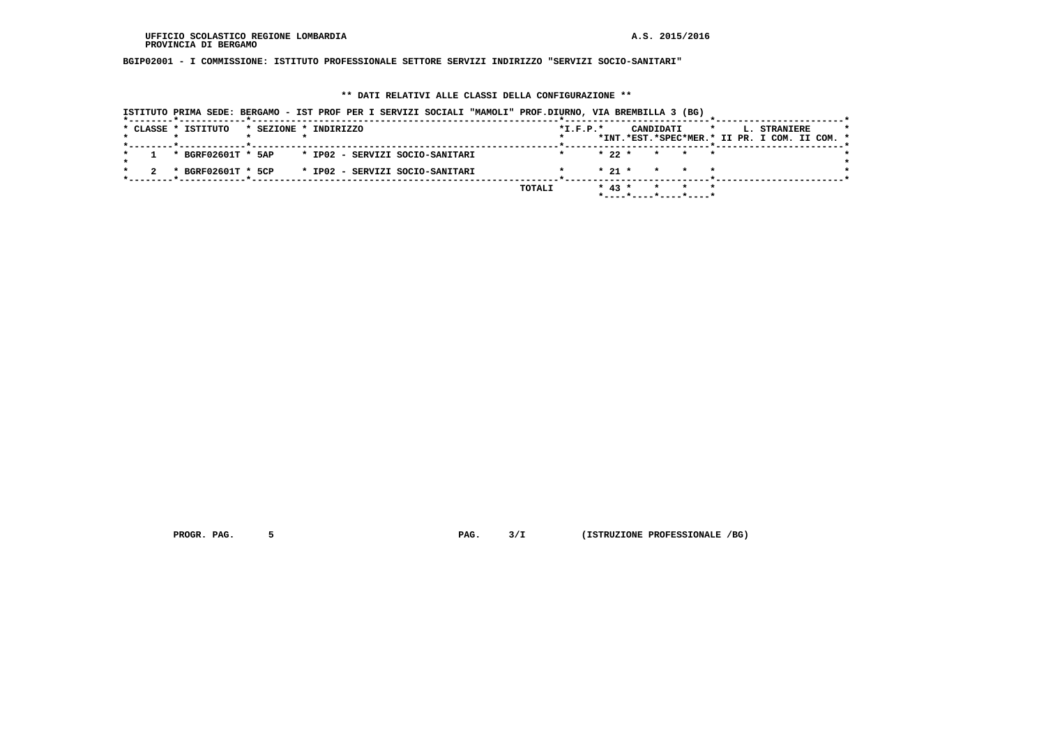**BGIP02001 - I COMMISSIONE: ISTITUTO PROFESSIONALE SETTORE SERVIZI INDIRIZZO "SERVIZI SOCIO-SANITARI"**

# **\*\* DATI RELATIVI ALLE CLASSI DELLA CONFIGURAZIONE \*\***

| ISTITUTO PRIMA SEDE: BERGAMO - IST PROF PER I SERVIZI SOCIALI "MAMOLI" PROF.DIURNO, VIA BREMBILLA 3 (BG) |                |                                                                                       |
|----------------------------------------------------------------------------------------------------------|----------------|---------------------------------------------------------------------------------------|
| * CLASSE * ISTITUTO<br>* SEZIONE * INDIRIZZO                                                             | $*$ I.F.P. $*$ | CANDIDATI<br>L. STRANIERE<br>$\star$<br>*INT.*EST.*SPEC*MER.* II PR. I COM. II COM. * |
|                                                                                                          |                |                                                                                       |
| * IP02 - SERVIZI SOCIO-SANITARI<br>* BGRF02601T * 5AP                                                    |                | $* 22 *$<br>* * *                                                                     |
| * IP02 - SERVIZI SOCIO-SANITARI<br>* BGRF02601T * 5CP                                                    |                | $* 21 *$<br>* * *                                                                     |
|                                                                                                          | TOTALI         | $* 43 *$<br>* * *<br>*----*----*----*----*                                            |

 **PROGR. PAG.** 5 **PROGR. 2 PAG.** 3/I (ISTRUZIONE PROFESSIONALE /BG)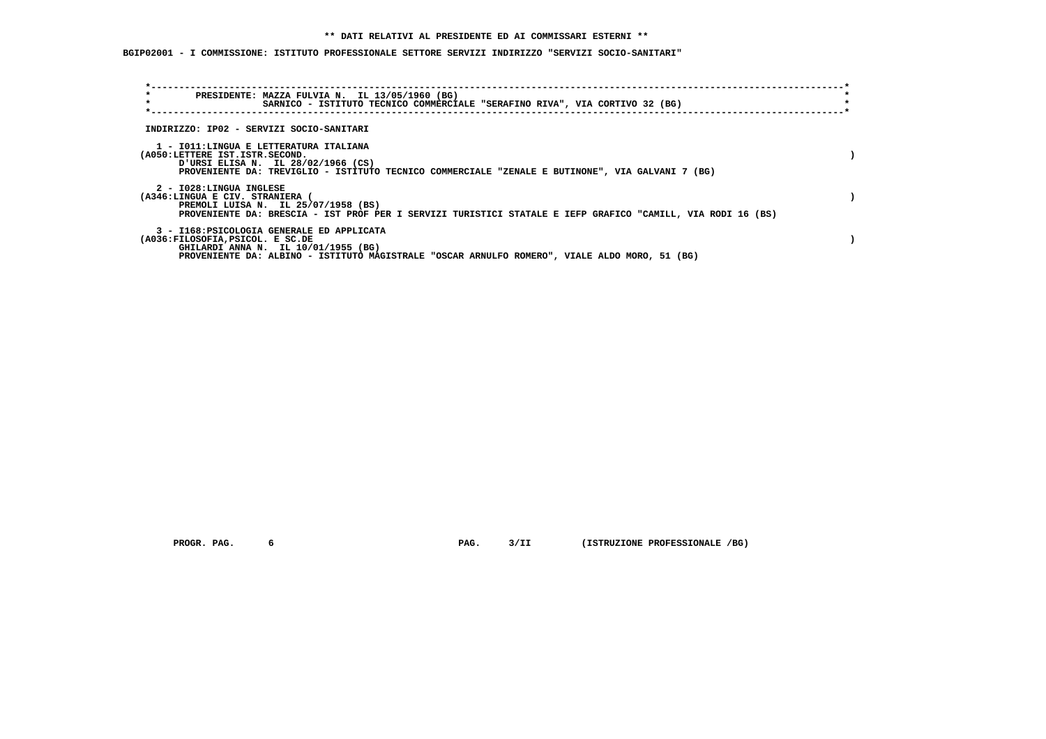**BGIP02001 - I COMMISSIONE: ISTITUTO PROFESSIONALE SETTORE SERVIZI INDIRIZZO "SERVIZI SOCIO-SANITARI"**

| $\star$<br>PRESIDENTE: MAZZA FULVIA N. IL 13/05/1960 (BG)<br>$\star$<br>SARNICO - ISTITUTO TECNICO COMMERCIALE "SERAFINO RIVA", VIA CORTIVO 32 (BG)                                                                    |  |
|------------------------------------------------------------------------------------------------------------------------------------------------------------------------------------------------------------------------|--|
| INDIRIZZO: IP02 - SERVIZI SOCIO-SANITARI                                                                                                                                                                               |  |
| 1 - IO11:LINGUA E LETTERATURA ITALIANA<br>(A050:LETTERE IST.ISTR.SECOND.<br>URSI ELISA N. IL 28/02/1966 (CS)<br>PROVENIENTE DA: TREVIGLIO - ISTITUTO TECNICO COMMERCIALE "ZENALE E BUTINONE", VIA GALVANI 7 (BG)       |  |
| 2 - I028:LINGUA INGLESE<br>(A346:LINGUA E CIV. STRANIERA (<br>PREMOLI LUISA N. IL 25/07/1958 (BS)<br>PROVENIENTE DA: BRESCIA - IST PROF PER I SERVIZI TURISTICI STATALE E IEFP GRAFICO "CAMILL, VIA RODI 16 (BS)       |  |
| 3 - I168: PSICOLOGIA GENERALE ED APPLICATA<br>(A036:FILOSOFIA, PSICOL. E SC.DE<br>GHILARDI ANNA N. IL 10/01/1955 (BG)<br>PROVENIENTE DA: ALBINO - ISTITUTO MAGISTRALE "OSCAR ARNULFO ROMERO", VIALE ALDO MORO, 51 (BG) |  |

 **PROGR. PAG.** 6 6 **PAG. PAG. 6 PAG. 3/II** (ISTRUZIONE PROFESSIONALE /BG)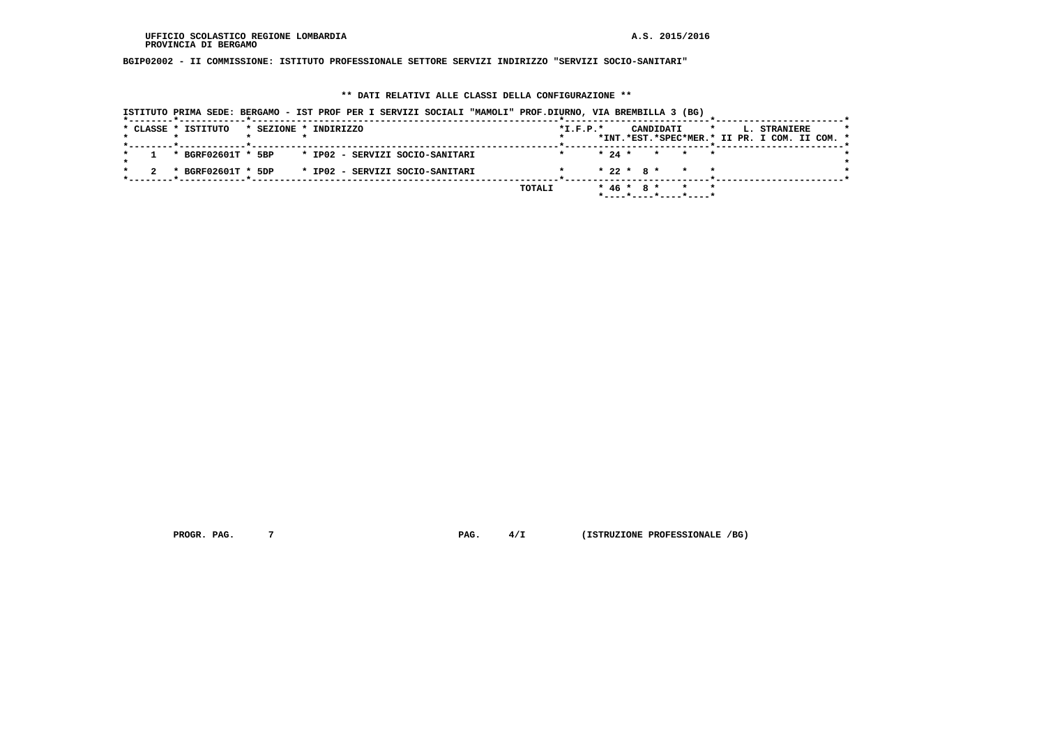**BGIP02002 - II COMMISSIONE: ISTITUTO PROFESSIONALE SETTORE SERVIZI INDIRIZZO "SERVIZI SOCIO-SANITARI"**

# **\*\* DATI RELATIVI ALLE CLASSI DELLA CONFIGURAZIONE \*\***

|  |  | ISTITUTO PRIMA SEDE: BERGAMO - IST PROF PER I SERVIZI SOCIALI "MAMOLI" PROF.DIURNO, VIA BREMBILLA 3 (BG) |                       |  |  |                                 |        |            |  |  |           |                                            |         |                                               |              |  |  |
|--|--|----------------------------------------------------------------------------------------------------------|-----------------------|--|--|---------------------------------|--------|------------|--|--|-----------|--------------------------------------------|---------|-----------------------------------------------|--------------|--|--|
|  |  | * CLASSE * ISTITUTO                                                                                      | * SEZIONE * INDIRIZZO |  |  |                                 |        | $*L.F.P.*$ |  |  | CANDIDATI |                                            | $\star$ |                                               | L. STRANIERE |  |  |
|  |  |                                                                                                          |                       |  |  |                                 |        |            |  |  |           |                                            |         | *INT.*EST.*SPEC*MER.* II PR. I COM. II COM. * |              |  |  |
|  |  | * BGRF02601T * 5BP * IP02 - SERVIZI SOCIO-SANITARI                                                       |                       |  |  |                                 |        |            |  |  |           | $\star$ 24 $\star$ $\star$ $\star$ $\star$ |         |                                               |              |  |  |
|  |  | * BGRF02601T * 5DP                                                                                       |                       |  |  | * IP02 - SERVIZI SOCIO-SANITARI |        |            |  |  |           | $* 22 * 8 * * * * *$                       |         |                                               |              |  |  |
|  |  |                                                                                                          |                       |  |  |                                 | TOTALI |            |  |  |           | * 46 * 8 * * * *                           |         |                                               |              |  |  |
|  |  |                                                                                                          |                       |  |  |                                 |        |            |  |  |           | *----*----*----*----*                      |         |                                               |              |  |  |

 **PROGR. PAG.** 7 **PROGR. 4/I** (ISTRUZIONE PROFESSIONALE /BG)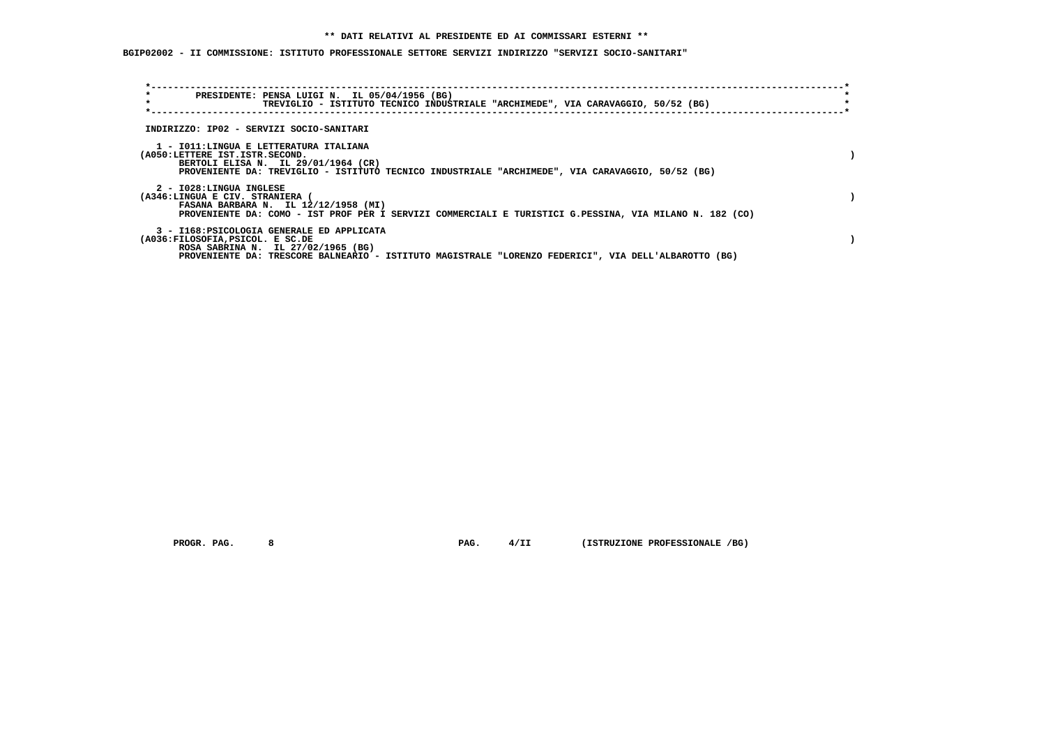# **\*\* DATI RELATIVI AL PRESIDENTE ED AI COMMISSARI ESTERNI \*\***

 **BGIP02002 - II COMMISSIONE: ISTITUTO PROFESSIONALE SETTORE SERVIZI INDIRIZZO "SERVIZI SOCIO-SANITARI"**

| $\star$<br>$\star$                                         | PRESIDENTE: PENSA LUIGI N. IL 05/04/1956 (BG)                                    | TREVIGLIO - ISTITUTO TECNICO INDUSTRIALE "ARCHIMEDE", VIA CARAVAGGIO, 50/52 (BG)                        |  |
|------------------------------------------------------------|----------------------------------------------------------------------------------|---------------------------------------------------------------------------------------------------------|--|
| INDIRIZZO: IP02 - SERVIZI SOCIO-SANITARI                   |                                                                                  |                                                                                                         |  |
| (A050:LETTERE IST.ISTR.SECOND.                             | 1 - IO11:LINGUA E LETTERATURA ITALIANA<br>BERTOLI ELISA N. IL 29/01/1964 (CR)    | PROVENIENTE DA: TREVIGLIO - ISTITUTO TECNICO INDUSTRIALE "ARCHIMEDE", VIA CARAVAGGIO, 50/52 (BG)        |  |
| 2 - I028:LINGUA INGLESE<br>(A346:LINGUA E CIV. STRANIERA ( | FASANA BARBARA N. IL 12/12/1958 (MI)                                             | PROVENIENTE DA: COMO - IST PROF PER I SERVIZI COMMERCIALI E TURISTICI G.PESSINA, VIA MILANO N. 182 (CO) |  |
| (A036:FILOSOFIA, PSICOL. E SC.DE                           | 3 - I168: PSICOLOGIA GENERALE ED APPLICATA<br>ROSA SABRINA N. IL 27/02/1965 (BG) | PROVENIENTE DA: TRESCORE BALNEARIO - ISTITUTO MAGISTRALE "LORENZO FEDERICI", VIA DELL'ALBAROTTO (BG)    |  |

 **PROGR. PAG. 8 PAG. 4/II (ISTRUZIONE PROFESSIONALE /BG)**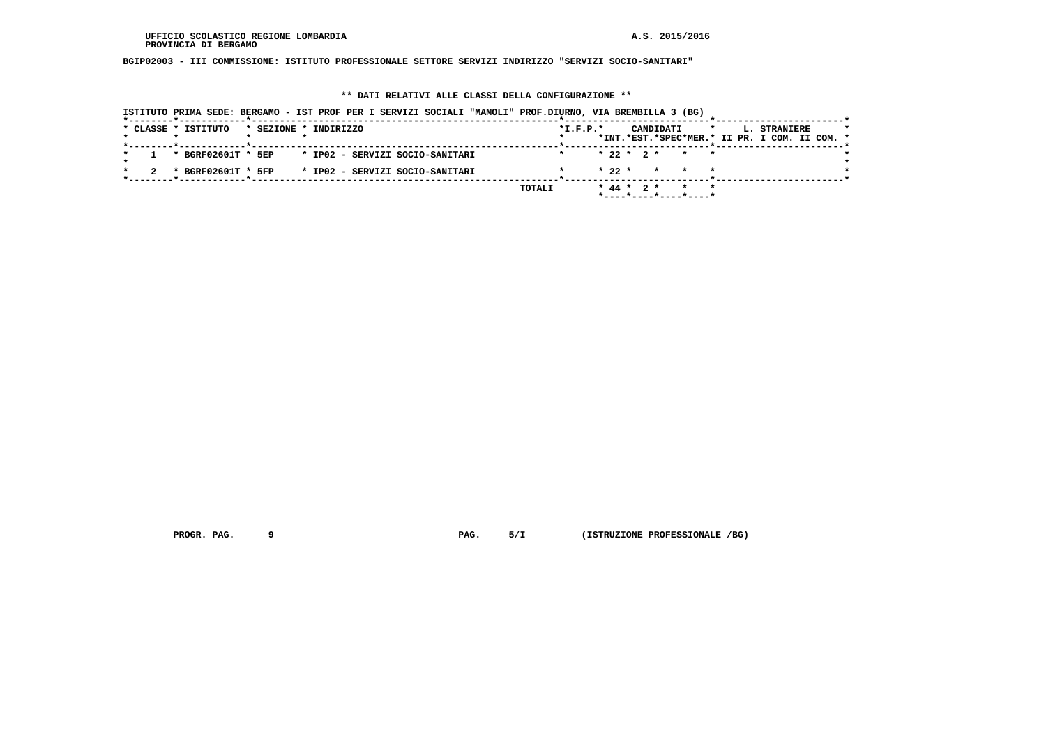**BGIP02003 - III COMMISSIONE: ISTITUTO PROFESSIONALE SETTORE SERVIZI INDIRIZZO "SERVIZI SOCIO-SANITARI"**

# **\*\* DATI RELATIVI ALLE CLASSI DELLA CONFIGURAZIONE \*\***

|  | ISTITUTO PRIMA SEDE: BERGAMO - IST PROF PER I SERVIZI SOCIALI "MAMOLI" PROF.DIURNO, VIA BREMBILLA 3 (BG) |                       |  |  |                                 |  |        |                |  |  |                                                        |         |  |              |                                               |  |
|--|----------------------------------------------------------------------------------------------------------|-----------------------|--|--|---------------------------------|--|--------|----------------|--|--|--------------------------------------------------------|---------|--|--------------|-----------------------------------------------|--|
|  | * CLASSE * ISTITUTO                                                                                      | * SEZIONE * INDIRIZZO |  |  |                                 |  |        | $*$ I.F.P. $*$ |  |  | CANDIDATI                                              | $\star$ |  | L. STRANIERE | *INT.*EST.*SPEC*MER.* II PR. I COM. II COM. * |  |
|  | * BGRF02601T * 5EP * IP02 - SERVIZI SOCIO-SANITARI                                                       |                       |  |  |                                 |  |        |                |  |  | $* 22 * 2 * * * * *$                                   |         |  |              |                                               |  |
|  | * BGRF02601T * 5FP                                                                                       |                       |  |  | * IP02 - SERVIZI SOCIO-SANITARI |  |        |                |  |  | $* 22 * * * * * * *$                                   |         |  |              |                                               |  |
|  |                                                                                                          |                       |  |  |                                 |  | TOTALI |                |  |  | * 44 * 2 * * *<br>$*$ ---- $*$ ---- $*$ ---- $*$ ----* |         |  |              |                                               |  |

 **PROGR. PAG.** 9 **PAG. PAG.** 5/I (ISTRUZIONE PROFESSIONALE /BG)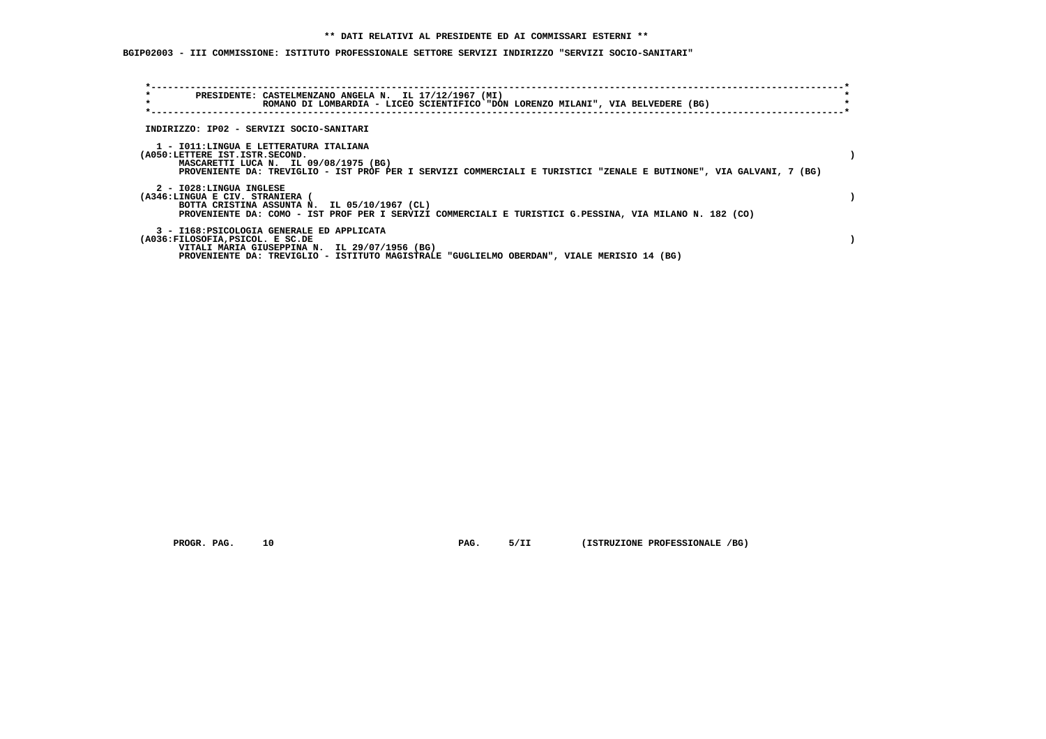**BGIP02003 - III COMMISSIONE: ISTITUTO PROFESSIONALE SETTORE SERVIZI INDIRIZZO "SERVIZI SOCIO-SANITARI"**

| $\star$<br>PRESIDENTE: CASTELMENZANO ANGELA N. IL 17/12/1967 (MI)<br>$\star$<br>ROMANO DI LOMBARDIA - LICEO SCIENTIFICO "DON LORENZO MILANI", VIA BELVEDERE (BG)                                                                         |  |
|------------------------------------------------------------------------------------------------------------------------------------------------------------------------------------------------------------------------------------------|--|
| INDIRIZZO: IP02 - SERVIZI SOCIO-SANITARI                                                                                                                                                                                                 |  |
| 1 - IO11:LINGUA E LETTERATURA ITALIANA<br>(A050:LETTERE IST.ISTR.SECOND.<br>MASCARETTI LUCA N. IL 09/08/1975 (BG)<br>PROVENIENTE DA: TREVIGLIO - IST PROF PER I SERVIZI COMMERCIALI E TURISTICI "ZENALE E BUTINONE", VIA GALVANI, 7 (BG) |  |
| 2 - I028:LINGUA INGLESE<br>(A346:LINGUA E CIV. STRANIERA (<br>BOTTA CRISTINA ASSUNTA N. IL 05/10/1967 (CL)<br>PROVENIENTE DA: COMO - IST PROF PER I SERVIZI COMMERCIALI E TURISTICI G.PESSINA, VIA MILANO N. 182 (CO)                    |  |
| 3 - I168: PSICOLOGIA GENERALE ED APPLICATA<br>(A036:FILOSOFIA, PSICOL. E SC.DE<br>VITALI MARIA GIUSEPPINA N. IL 29/07/1956 (BG)<br>PROVENIENTE DA: TREVIGLIO - ISTITUTO MAGISTRALE "GUGLIELMO OBERDAN", VIALE MERISIO 14 (BG)            |  |

 **PROGR. PAG.** 10 **PAG. PROGR. PROFESSIONALE** /BG)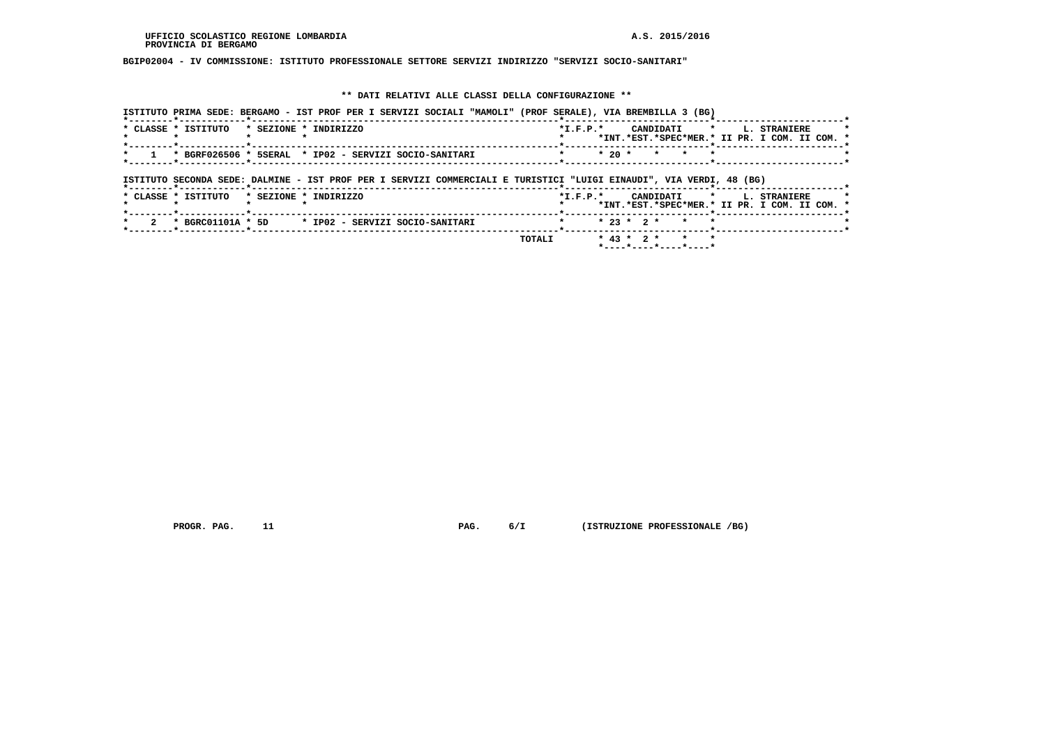**BGIP02004 - IV COMMISSIONE: ISTITUTO PROFESSIONALE SETTORE SERVIZI INDIRIZZO "SERVIZI SOCIO-SANITARI"**

# **\*\* DATI RELATIVI ALLE CLASSI DELLA CONFIGURAZIONE \*\***

| ISTITUTO PRIMA SEDE: BERGAMO - IST PROF PER I SERVIZI SOCIALI "MAMOLI" (PROF SERALE), VIA BREMBILLA 3 (BG)          |                                                                                                       |
|---------------------------------------------------------------------------------------------------------------------|-------------------------------------------------------------------------------------------------------|
| * CLASSE * ISTITUTO<br>* SEZIONE * INDIRIZZO                                                                        | CANDIDATI *<br>$*$ I.F.P. $*$<br>L. STRANIERE<br>*INT.*EST.*SPEC*MER.* II PR. I COM. II COM. *        |
| * BGRF026506 * 5SERAL * IP02 - SERVIZI SOCIO-SANITARI                                                               | $*20$ *<br>$\star$                                                                                    |
| ISTITUTO SECONDA SEDE: DALMINE - IST PROF PER I SERVIZI COMMERCIALI E TURISTICI "LUIGI EINAUDI", VIA VERDI, 48 (BG) |                                                                                                       |
| * SEZIONE * INDIRIZZO<br>* CLASSE * ISTITUTO                                                                        | $*$ I.F.P. $*$<br>CANDIDATI *<br><b>L. STRANIERE</b><br>*INT.*EST.*SPEC*MER.* II PR. I COM. II COM. * |
| * BGRC01101A * 5D * IP02 - SERVIZI SOCIO-SANITARI                                                                   | $* 23 * 2 *$<br>$\star$                                                                               |
|                                                                                                                     | $* 43 * 2 *$<br>* *<br>TOTALI<br>*----*----*----*----*                                                |

 **PROGR. PAG.** 11 **PAG. PAG.** 6/I (ISTRUZIONE PROFESSIONALE /BG)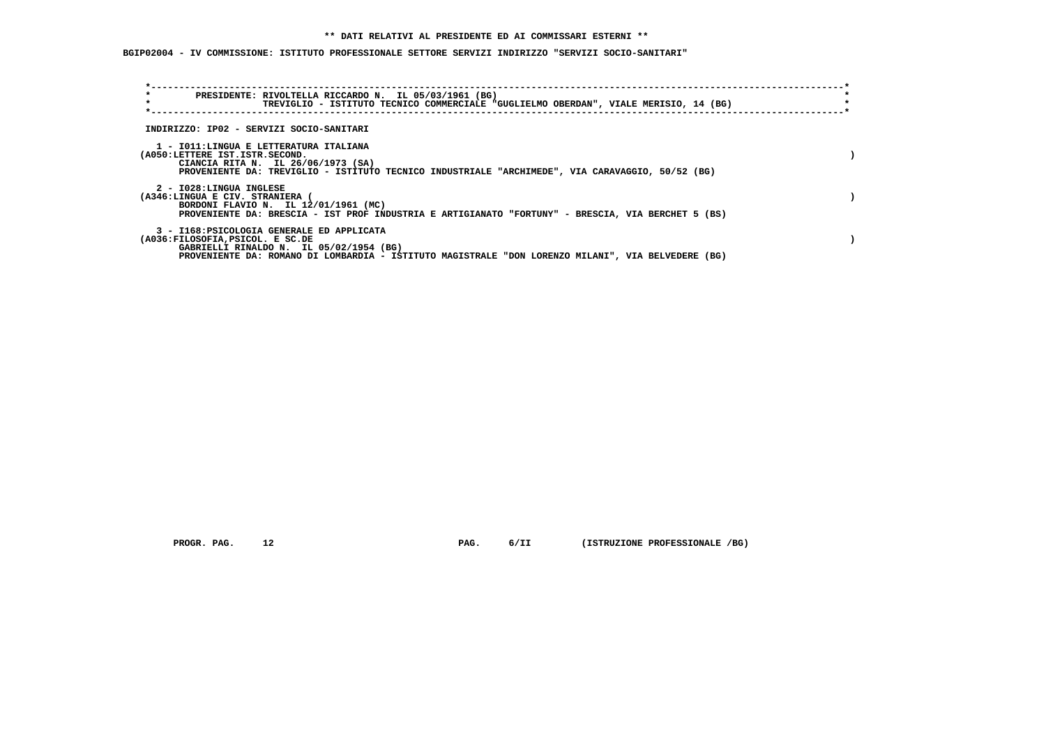**BGIP02004 - IV COMMISSIONE: ISTITUTO PROFESSIONALE SETTORE SERVIZI INDIRIZZO "SERVIZI SOCIO-SANITARI"**

| $\star$<br>$\star$                                         | PRESIDENTE: RIVOLTELLA RICCARDO N. IL 05/03/1961 (BG)<br>TREVIGLIO - ISTITUTO TECNICO COMMERCIALE "GUGLIELMO OBERDAN", VIALE MERISIO, 14 (BG)                                               |  |
|------------------------------------------------------------|---------------------------------------------------------------------------------------------------------------------------------------------------------------------------------------------|--|
|                                                            | INDIRIZZO: IP02 - SERVIZI SOCIO-SANITARI                                                                                                                                                    |  |
| (A050:LETTERE IST.ISTR.SECOND.                             | 1 - IO11:LINGUA E LETTERATURA ITALIANA<br>CIANCIA RITA N. IL 26/06/1973 (SA)<br>PROVENIENTE DA: TREVIGLIO - ISTITUTO TECNICO INDUSTRIALE "ARCHIMEDE", VIA CARAVAGGIO, 50/52 (BG)            |  |
| 2 - I028:LINGUA INGLESE<br>(A346:LINGUA E CIV. STRANIERA ( | BORDONI FLAVIO N. IL 12/01/1961 (MC)<br>PROVENIENTE DA: BRESCIA - IST PROF INDUSTRIA E ARTIGIANATO "FORTUNY" - BRESCIA, VIA BERCHET 5 (BS)                                                  |  |
| (A036:FILOSOFIA, PSICOL. E SC.DE                           | 3 - I168: PSICOLOGIA GENERALE ED APPLICATA<br>GABRIELLI RINALDO N. IL 05/02/1954 (BG)<br>PROVENIENTE DA: ROMANO DI LOMBARDIA - ISTITUTO MAGISTRALE "DON LORENZO MILANI", VIA BELVEDERE (BG) |  |

 **PROGR. PAG.** 12 **PAG. PAG.** 6/II (ISTRUZIONE PROFESSIONALE /BG)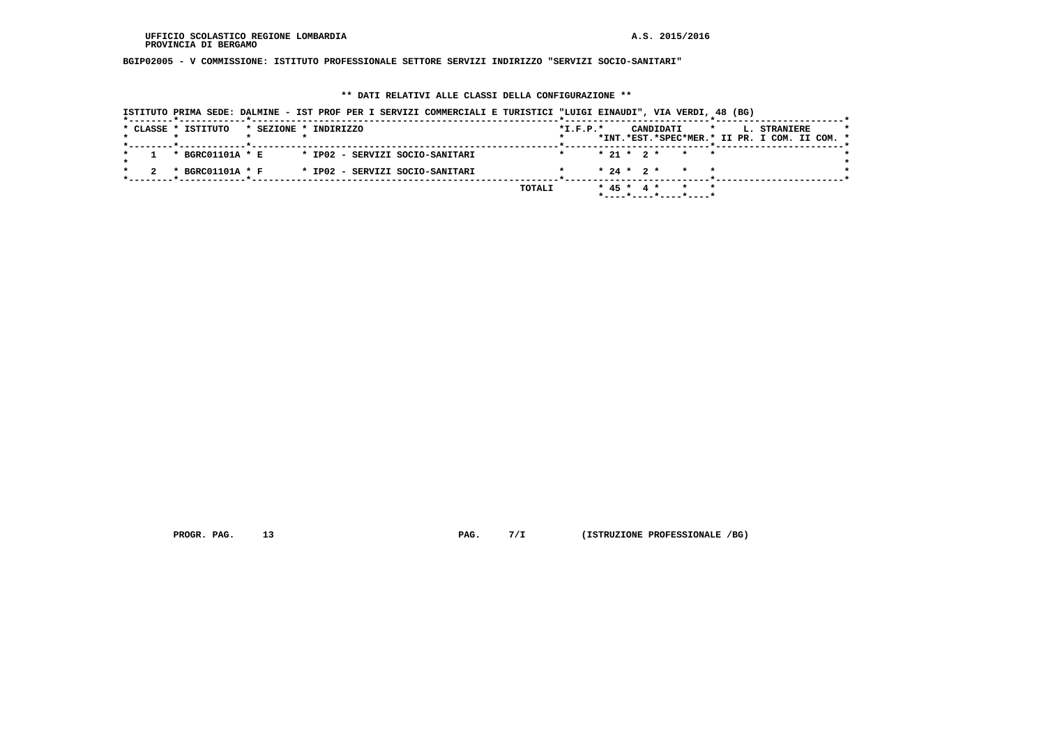**BGIP02005 - V COMMISSIONE: ISTITUTO PROFESSIONALE SETTORE SERVIZI INDIRIZZO "SERVIZI SOCIO-SANITARI"**

# **\*\* DATI RELATIVI ALLE CLASSI DELLA CONFIGURAZIONE \*\***

|  |  | ISTITUTO PRIMA SEDE: DALMINE - IST PROF PER I SERVIZI COMMERCIALI E TURISTICI "LUIGI EINAUDI", VIA VERDI, 48 (BG) |                       |  |  |  |                                 |        |                |  |  |                                                          |         |  |                                                               |  |  |
|--|--|-------------------------------------------------------------------------------------------------------------------|-----------------------|--|--|--|---------------------------------|--------|----------------|--|--|----------------------------------------------------------|---------|--|---------------------------------------------------------------|--|--|
|  |  | * CLASSE * ISTITUTO                                                                                               | * SEZIONE * INDIRIZZO |  |  |  |                                 |        | $*$ I.F.P. $*$ |  |  | CANDIDATI                                                | $\star$ |  | L. STRANIERE<br>*INT.*EST.*SPEC*MER.* II PR. I COM. II COM. * |  |  |
|  |  |                                                                                                                   |                       |  |  |  |                                 |        |                |  |  |                                                          |         |  |                                                               |  |  |
|  |  | * BGRC01101A * E                                                                                                  |                       |  |  |  | * IP02 - SERVIZI SOCIO-SANITARI |        |                |  |  | $* 21 * 2 * * * * *$                                     |         |  |                                                               |  |  |
|  |  | * BGRC01101A * F                                                                                                  |                       |  |  |  | * IP02 - SERVIZI SOCIO-SANITARI |        |                |  |  | $* 24 * 2 * * * * *$                                     |         |  |                                                               |  |  |
|  |  |                                                                                                                   |                       |  |  |  |                                 | TOTALI |                |  |  | * 45 * 4 * * * *<br>$*$ ---- $*$ ---- $*$ ---- $*$ ----* |         |  |                                                               |  |  |

 **PROGR. PAG.** 13 **PAG. PROGR. PROGREET AG. PAG. PROGREET AG. PROGREET AGALLE** *P*G)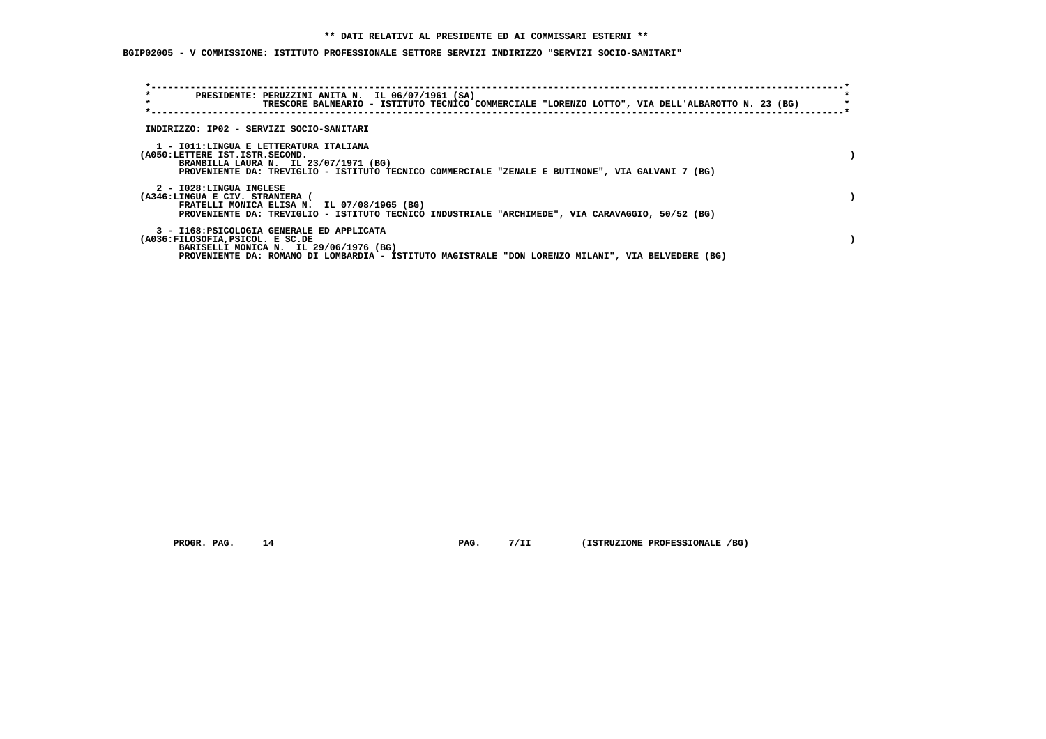# **\*\* DATI RELATIVI AL PRESIDENTE ED AI COMMISSARI ESTERNI \*\***

 **BGIP02005 - V COMMISSIONE: ISTITUTO PROFESSIONALE SETTORE SERVIZI INDIRIZZO "SERVIZI SOCIO-SANITARI"**

| $\star$<br>$\star$                                         | PRESIDENTE: PERUZZINI ANITA N. IL 06/07/1961 (SA)<br>TRESCORE BALNEARIO - ISTITUTO TECNICO COMMERCIALE "LORENZO LOTTO", VIA DELL'ALBAROTTO N. 23 (BG)                                      |  |
|------------------------------------------------------------|--------------------------------------------------------------------------------------------------------------------------------------------------------------------------------------------|--|
|                                                            | INDIRIZZO: IP02 - SERVIZI SOCIO-SANITARI                                                                                                                                                   |  |
| (A050:LETTERE IST.ISTR.SECOND.                             | 1 - IO11:LINGUA E LETTERATURA ITALIANA<br>BRAMBILLA LAURA N. IL 23/07/1971 (BG)<br>PROVENIENTE DA: TREVIGLIO - ISTITUTO TECNICO COMMERCIALE "ZENALE E BUTINONE", VIA GALVANI 7 (BG)        |  |
| 2 - I028:LINGUA INGLESE<br>(A346:LINGUA E CIV. STRANIERA ( | FRATELLI MONICA ELISA N. IL 07/08/1965 (BG)<br>PROVENIENTE DA: TREVIGLIO - ISTITUTO TECNICO INDUSTRIALE "ARCHIMEDE", VIA CARAVAGGIO, 50/52 (BG)                                            |  |
| (A036:FILOSOFIA, PSICOL. E SC.DE                           | 3 - I168: PSICOLOGIA GENERALE ED APPLICATA<br>BARISELLI MONICA N. IL 29/06/1976 (BG)<br>PROVENIENTE DA: ROMANO DI LOMBARDIA - ISTITUTO MAGISTRALE "DON LORENZO MILANI", VIA BELVEDERE (BG) |  |

 **PROGR. PAG.** 14 **PAG. PAG.** 7/II (ISTRUZIONE PROFESSIONALE /BG)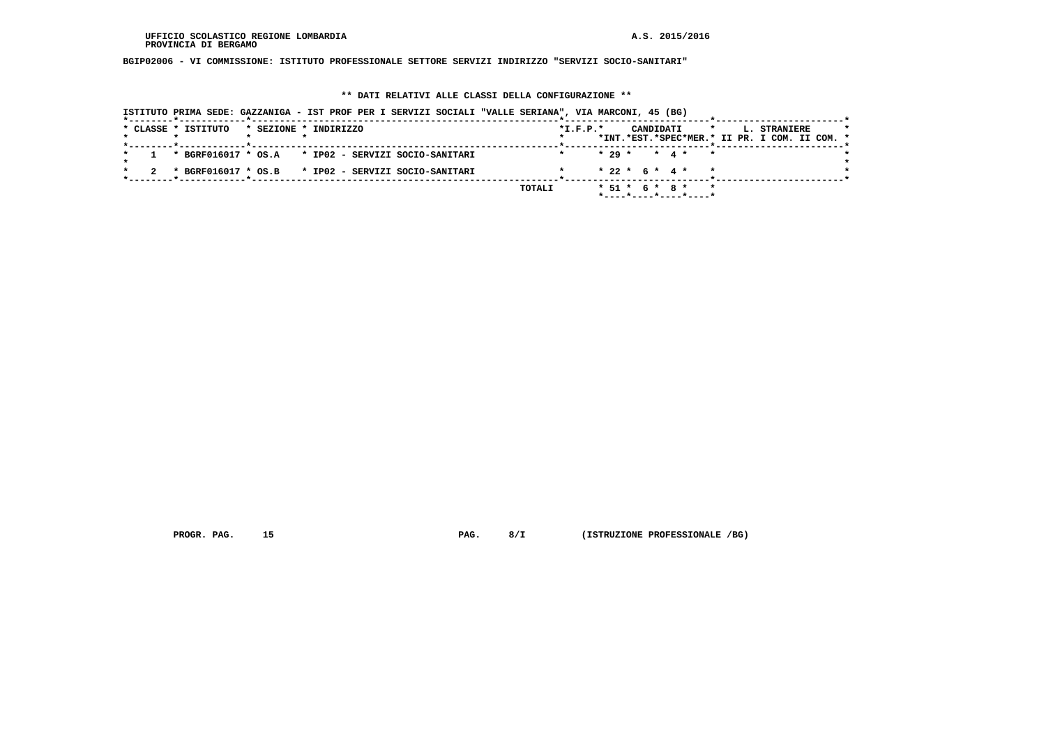**BGIP02006 - VI COMMISSIONE: ISTITUTO PROFESSIONALE SETTORE SERVIZI INDIRIZZO "SERVIZI SOCIO-SANITARI"**

# **\*\* DATI RELATIVI ALLE CLASSI DELLA CONFIGURAZIONE \*\***

|                     | ISTITUTO PRIMA SEDE: GAZZANIGA - IST PROF PER I SERVIZI SOCIALI "VALLE SERIANA", VIA MARCONI, 45 (BG)                  |                |                                                                         |                                                                          |
|---------------------|------------------------------------------------------------------------------------------------------------------------|----------------|-------------------------------------------------------------------------|--------------------------------------------------------------------------|
| * CLASSE * ISTITUTO | * SEZIONE * INDIRIZZO<br>. _ _ _ _ _ <del>\$</del> _ _ _ _ _ _ _ _ _ _ _ _ <del>\$</del> _ _ _ _ _ _ _ _ _ _ _ _ _ _ _ | $*$ I.F.P. $*$ | CANDIDATI                                                               | L. STRANIERE<br>$\star$<br>*INT.*EST.*SPEC*MER.* II PR. I COM. II COM. * |
|                     | $1$ * BGRF016017 * OS.A * IP02 - SERVIZI SOCIO-SANITARI                                                                |                | $* 29 * * 4 * * *$                                                      |                                                                          |
|                     | * BGRF016017 * OS.B * IP02 - SERVIZI SOCIO-SANITARI                                                                    |                | $* 22 * 6 * 4 * * *$                                                    |                                                                          |
|                     |                                                                                                                        | TOTALI         | * 51 * 6 * 8 * *<br>$*$ - - - - $*$ - - - - $*$ - - - - $*$ - - - - $*$ |                                                                          |

 **PROGR. PAG.** 15 **PAG. PAG.** 8/I (ISTRUZIONE PROFESSIONALE /BG)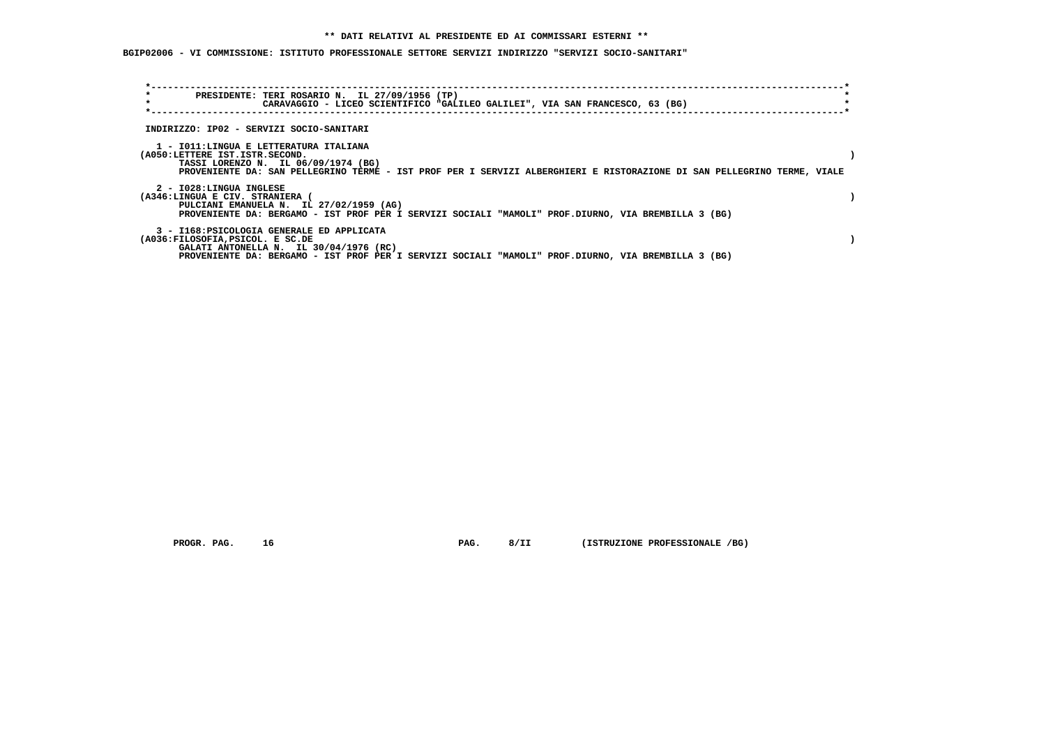**BGIP02006 - VI COMMISSIONE: ISTITUTO PROFESSIONALE SETTORE SERVIZI INDIRIZZO "SERVIZI SOCIO-SANITARI"**

| $\star$<br>$\star$ |                                                            |                                                                                      | PRESIDENTE: TERI ROSARIO N. IL 27/09/1956 (TP) | CARAVAGGIO - LICEO SCIENTIFICO "GALILEO GALILEI", VIA SAN FRANCESCO, 63 (BG)                        |  |                                                                                                                         |  |
|--------------------|------------------------------------------------------------|--------------------------------------------------------------------------------------|------------------------------------------------|-----------------------------------------------------------------------------------------------------|--|-------------------------------------------------------------------------------------------------------------------------|--|
|                    |                                                            |                                                                                      |                                                |                                                                                                     |  |                                                                                                                         |  |
|                    |                                                            | INDIRIZZO: IP02 - SERVIZI SOCIO-SANITARI                                             |                                                |                                                                                                     |  |                                                                                                                         |  |
|                    | (A050:LETTERE IST.ISTR.SECOND.                             | 1 - IO11:LINGUA E LETTERATURA ITALIANA<br>TASSI LORENZO N. IL 06/09/1974 (BG)        |                                                |                                                                                                     |  | PROVENIENTE DA: SAN PELLEGRINO TERME - IST PROF PER I SERVIZI ALBERGHIERI E RISTORAZIONE DI SAN PELLEGRINO TERME, VIALE |  |
|                    | 2 - I028:LINGUA INGLESE<br>(A346:LINGUA E CIV. STRANIERA ( | PULCIANI EMANUELA N. IL 27/02/1959 (AG)                                              |                                                | PROVENIENTE DA: BERGAMO - IST PROF PER I SERVIZI SOCIALI "MAMOLI" PROF.DIURNO, VIA BREMBILLA 3 (BG) |  |                                                                                                                         |  |
|                    | (A036:FILOSOFIA, PSICOL. E SC.DE                           | 3 - I168: PSICOLOGIA GENERALE ED APPLICATA<br>GALATI ANTONELLA N. IL 30/04/1976 (RC) |                                                | PROVENIENTE DA: BERGAMO - IST PROF PER I SERVIZI SOCIALI "MAMOLI" PROF.DIURNO, VIA BREMBILLA 3 (BG) |  |                                                                                                                         |  |

 **PROGR. PAG.** 16 **PAG. PAG.** 8/II (ISTRUZIONE PROFESSIONALE /BG)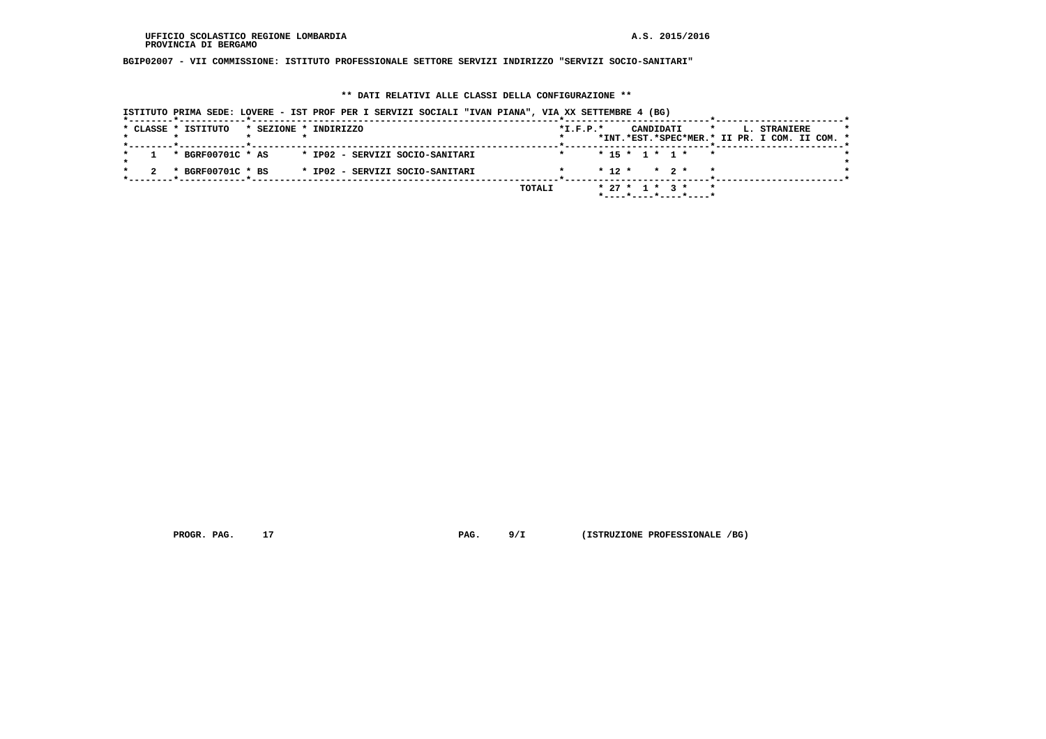**BGIP02007 - VII COMMISSIONE: ISTITUTO PROFESSIONALE SETTORE SERVIZI INDIRIZZO "SERVIZI SOCIO-SANITARI"**

#### **\*\* DATI RELATIVI ALLE CLASSI DELLA CONFIGURAZIONE \*\***

 **ISTITUTO PRIMA SEDE: LOVERE - IST PROF PER I SERVIZI SOCIALI "IVAN PIANA", VIA XX SETTEMBRE 4 (BG) \*--------\*------------\*-------------------------------------------------------\*--------------------------\*-----------------------\*** $\star$  **\* CLASSE \* ISTITUTO \* SEZIONE \* INDIRIZZO \*I.F.P.\* CANDIDATI \* L. STRANIERE \* \* \* \* \* \* \*INT.\*EST.\*SPEC\*MER.\* II PR. I COM. II COM. \* \*--------\*------------\*-------------------------------------------------------\*--------------------------\*-----------------------\* \* 1 \* BGRF00701C \* AS \* IP02 - SERVIZI SOCIO-SANITARI \* \* 15 \* 1 \* 1 \* \* \*** $\star$  **\* \*** $\bullet$  **\* 2 \* BGRF00701C \* BS \* IP02 - SERVIZI SOCIO-SANITARI \* \* 12 \* \* 2 \* \* \* \*--------\*------------\*-------------------------------------------------------\*--------------------------\*-----------------------\* TOTALI \* 27 \* 1 \* 3 \* \* \*----\*----\*----\*----\***

 **PROGR. PAG.** 17 **PROGR. 2018 PAG.** 9/I (ISTRUZIONE PROFESSIONALE /BG)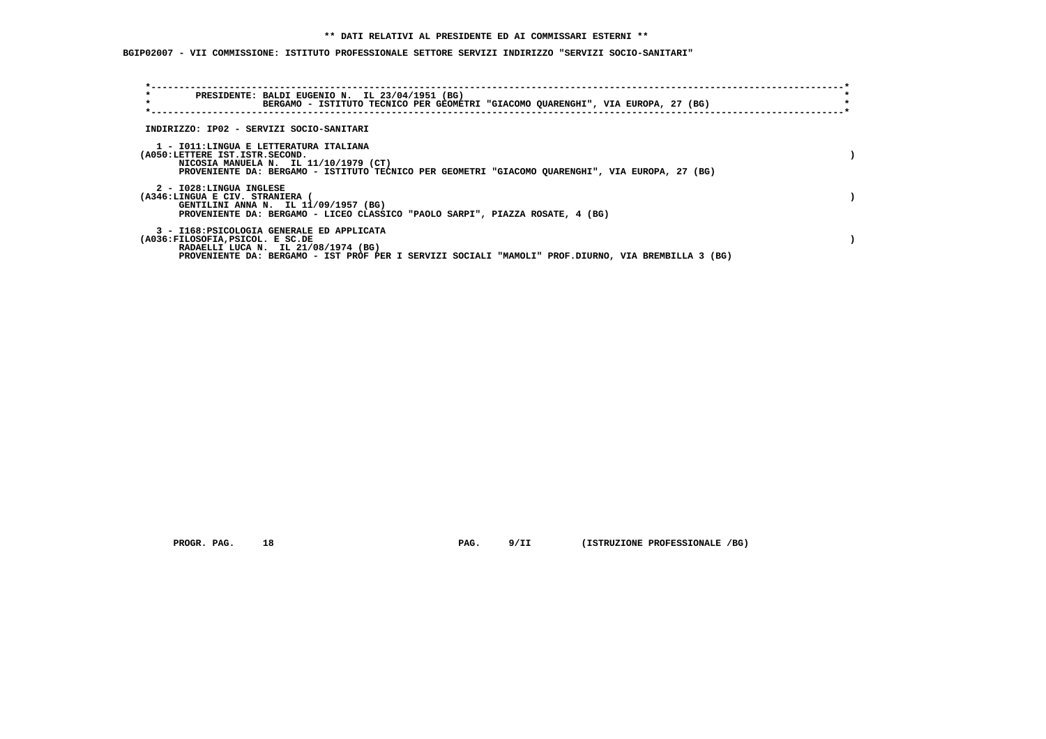# **\*\* DATI RELATIVI AL PRESIDENTE ED AI COMMISSARI ESTERNI \*\***

 **BGIP02007 - VII COMMISSIONE: ISTITUTO PROFESSIONALE SETTORE SERVIZI INDIRIZZO "SERVIZI SOCIO-SANITARI"**

| $\star$                                                    | PRESIDENTE: BALDI EUGENIO N. IL 23/04/1951 (BG)<br>BERGAMO - ISTITUTO TECNICO PER GEOMETRI "GIACOMO QUARENGHI", VIA EUROPA, 27 (BG)                                                      |  |
|------------------------------------------------------------|------------------------------------------------------------------------------------------------------------------------------------------------------------------------------------------|--|
|                                                            | INDIRIZZO: IP02 - SERVIZI SOCIO-SANITARI                                                                                                                                                 |  |
| (A050:LETTERE IST.ISTR.SECOND.                             | 1 - IO11:LINGUA E LETTERATURA ITALIANA<br>NICOSIA MANUELA N. IL 11/10/1979 (CT)<br>PROVENIENTE DA: BERGAMO - ISTITUTO TECNICO PER GEOMETRI "GIACOMO QUARENGHI", VIA EUROPA, 27 (BG)      |  |
| 2 - I028:LINGUA INGLESE<br>(A346:LINGUA E CIV. STRANIERA ( | GENTILINI ANNA N. IL 11/09/1957 (BG)<br>PROVENIENTE DA: BERGAMO - LICEO CLASSICO "PAOLO SARPI", PIAZZA ROSATE, 4 (BG)                                                                    |  |
| (A036:FILOSOFIA, PSICOL. E SC.DE                           | 3 - I168: PSICOLOGIA GENERALE ED APPLICATA<br>RADAELLI LUCA N. IL 21/08/1974 (BG)<br>PROVENIENTE DA: BERGAMO - IST PROF PER I SERVIZI SOCIALI "MAMOLI" PROF.DIURNO, VIA BREMBILLA 3 (BG) |  |

 **PROGR. PAG.** 18 **PAG. PROGR. PAG. PAG. PROGR. PROFESSIONALE** /BG)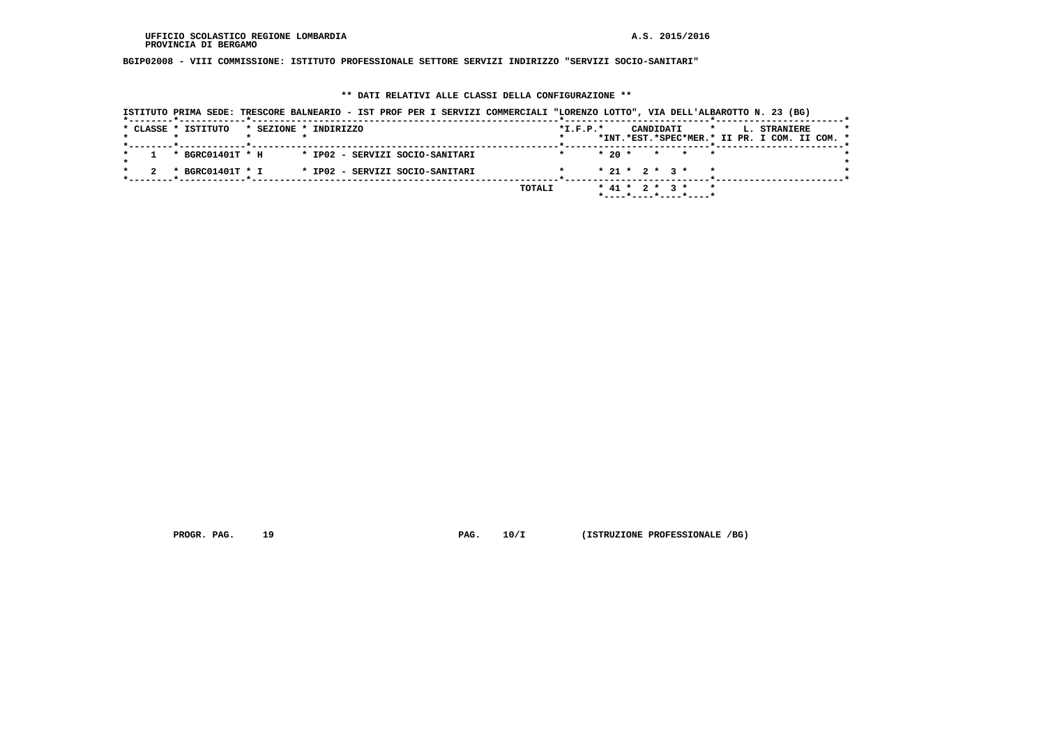**BGIP02008 - VIII COMMISSIONE: ISTITUTO PROFESSIONALE SETTORE SERVIZI INDIRIZZO "SERVIZI SOCIO-SANITARI"**

# **\*\* DATI RELATIVI ALLE CLASSI DELLA CONFIGURAZIONE \*\***

| ISTITUTO PRIMA SEDE: TRESCORE BALNEARIO - IST PROF PER I SERVIZI COMMERCIALI "LORENZO LOTTO", VIA DELL'ALBAROTTO N. 23 (BG) |                                                                                          |
|-----------------------------------------------------------------------------------------------------------------------------|------------------------------------------------------------------------------------------|
| * CLASSE * ISTITUTO<br>* SEZIONE * INDIRIZZO                                                                                | $*L.F.P.*$<br>CANDIDATI<br>L. STRANIERE<br>*INT.*EST.*SPEC*MER.* II PR. I COM. II COM. * |
| * BGRC01401T * H<br>* IP02 - SERVIZI SOCIO-SANITARI                                                                         | $*20$ *<br>* * *                                                                         |
| * BGRC01401T * I<br>* IP02 - SERVIZI SOCIO-SANITARI                                                                         | $* 21 * 2 * 3 *$                                                                         |
| TOTALI                                                                                                                      | * 41 * 2 * 3 * * *<br>*----*----*----*----*                                              |

 **PROGR. PAG.** 19 **PAG. PROGR. PAG. 10/I** (ISTRUZIONE PROFESSIONALE /BG)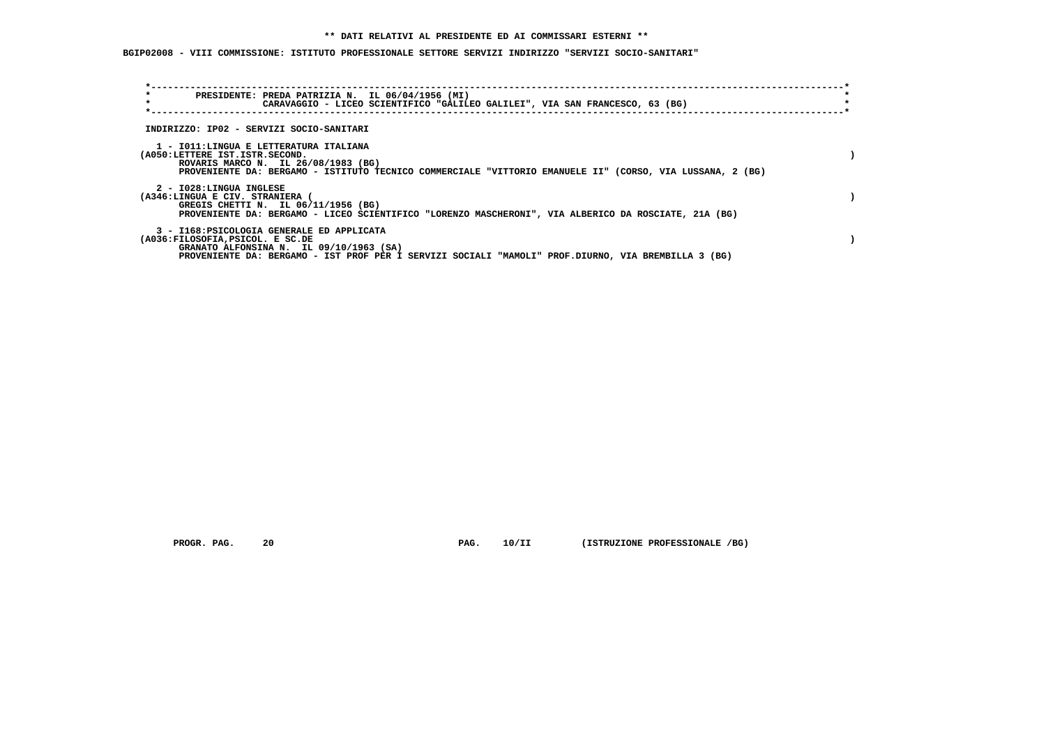# **\*\* DATI RELATIVI AL PRESIDENTE ED AI COMMISSARI ESTERNI \*\***

 **BGIP02008 - VIII COMMISSIONE: ISTITUTO PROFESSIONALE SETTORE SERVIZI INDIRIZZO "SERVIZI SOCIO-SANITARI"**

| $\star$<br>$\star$                                         | PRESIDENTE: PREDA PATRIZIA N. IL 06/04/1956 (MI)<br>CARAVAGGIO - LICEO SCIENTIFICO "GALILEO GALILEI", VIA SAN FRANCESCO, 63 (BG)                                                             |  |
|------------------------------------------------------------|----------------------------------------------------------------------------------------------------------------------------------------------------------------------------------------------|--|
|                                                            | INDIRIZZO: IP02 - SERVIZI SOCIO-SANITARI                                                                                                                                                     |  |
| (A050:LETTERE IST.ISTR.SECOND.                             | 1 - IO11:LINGUA E LETTERATURA ITALIANA<br>ROVARIS MARCO N. IL 26/08/1983 (BG)<br>PROVENIENTE DA: BERGAMO - ISTITUTO TECNICO COMMERCIALE "VITTORIO EMANUELE II" (CORSO, VIA LUSSANA, 2 (BG)   |  |
| 2 - I028:LINGUA INGLESE<br>(A346:LINGUA E CIV. STRANIERA ( | GREGIS CHETTI N. IL 06/11/1956 (BG)<br>PROVENIENTE DA: BERGAMO - LICEO SCIENTIFICO "LORENZO MASCHERONI", VIA ALBERICO DA ROSCIATE, 21A (BG)                                                  |  |
| (A036:FILOSOFIA, PSICOL. E SC.DE                           | 3 - I168: PSICOLOGIA GENERALE ED APPLICATA<br>GRANATO ALFONSINA N. IL 09/10/1963 (SA)<br>PROVENIENTE DA: BERGAMO - IST PROF PER I SERVIZI SOCIALI "MAMOLI" PROF.DIURNO, VIA BREMBILLA 3 (BG) |  |

 **PROGR. PAG.** 20 **PAG. 10/II (ISTRUZIONE PROFESSIONALE /BG)**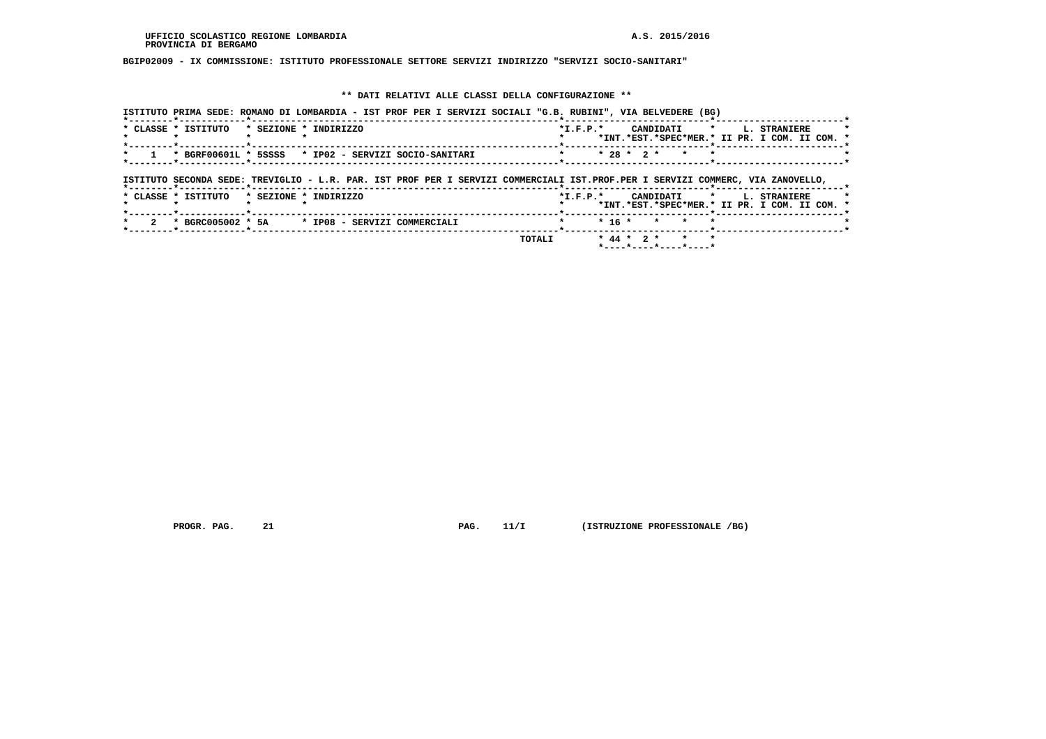# **BGIP02009 - IX COMMISSIONE: ISTITUTO PROFESSIONALE SETTORE SERVIZI INDIRIZZO "SERVIZI SOCIO-SANITARI"**

# **\*\* DATI RELATIVI ALLE CLASSI DELLA CONFIGURAZIONE \*\***

|                     | ISTITUTO PRIMA SEDE: ROMANO DI LOMBARDIA - IST PROF PER I SERVIZI SOCIALI "G.B. RUBINI", VIA BELVEDERE (BG)                    |        |                |                                              |                                                                      |
|---------------------|--------------------------------------------------------------------------------------------------------------------------------|--------|----------------|----------------------------------------------|----------------------------------------------------------------------|
| * CLASSE * ISTITUTO | * SEZIONE * INDIRIZZO                                                                                                          |        | $*$ I.F.P. $*$ | CANDIDATI *                                  | L. STRANIERE<br>*INT.*EST.*SPEC*MER.* II PR. I COM. II COM. *        |
|                     | * BGRF00601L * 5SSSS * IP02 - SERVIZI SOCIO-SANITARI                                                                           |        |                | $* 28 * 2 *$<br>$\star$                      |                                                                      |
|                     | ISTITUTO SECONDA SEDE: TREVIGLIO - L.R. PAR. IST PROF PER I SERVIZI COMMERCIALI IST.PROF.PER I SERVIZI COMMERC, VIA ZANOVELLO, |        |                |                                              |                                                                      |
| * CLASSE * ISTITUTO | * SEZIONE * INDIRIZZO                                                                                                          |        | $*$ I.F.P. $*$ | CANDIDATI<br>$\star$                         | <b>L. STRANIERE</b><br>*INT.*EST.*SPEC*MER.* II PR. I COM. II COM. * |
|                     | * BGRC005002 * 5A * IP08 - SERVIZI COMMERCIALI                                                                                 |        | $* 16 *$       | $\star$                                      |                                                                      |
|                     |                                                                                                                                | TOTALI |                | $* 44 * 2 *$<br>* *<br>*----*----*----*----* |                                                                      |

 **PROGR. PAG.** 21 **PAG.** 11/I (ISTRUZIONE PROFESSIONALE /BG)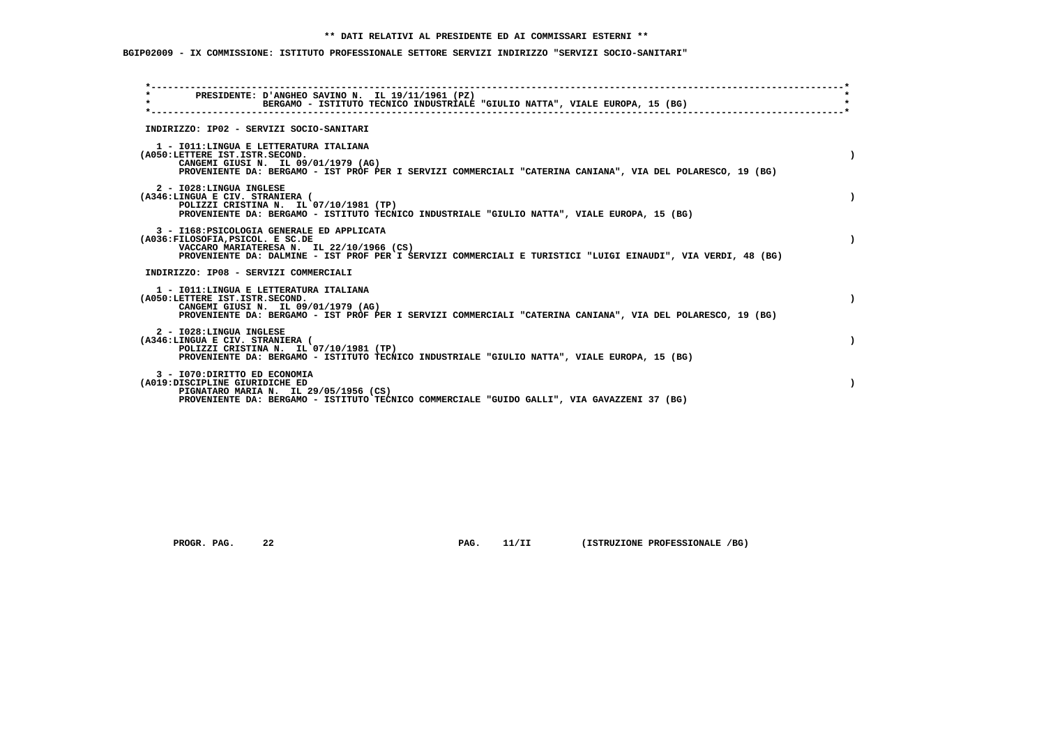# **\*\* DATI RELATIVI AL PRESIDENTE ED AI COMMISSARI ESTERNI \*\***

 **BGIP02009 - IX COMMISSIONE: ISTITUTO PROFESSIONALE SETTORE SERVIZI INDIRIZZO "SERVIZI SOCIO-SANITARI"**

| PRESIDENTE: D'ANGHEO SAVINO N. IL 19/11/1961 (PZ)<br>$\star$<br>BERGAMO - ISTITUTO TECNICO INDUSTRIALE "GIULIO NATTA", VIALE EUROPA, 15 (BG)                                                                                                |  |
|---------------------------------------------------------------------------------------------------------------------------------------------------------------------------------------------------------------------------------------------|--|
| INDIRIZZO: IP02 - SERVIZI SOCIO-SANITARI                                                                                                                                                                                                    |  |
| 1 - IO11: LINGUA E LETTERATURA ITALIANA<br>(A050:LETTERE IST.ISTR.SECOND.<br>CANGEMI GIUSI N. IL 09/01/1979 (AG)<br>PROVENIENTE DA: BERGAMO - IST PROF PER I SERVIZI COMMERCIALI "CATERINA CANIANA", VIA DEL POLARESCO, 19 (BG)             |  |
| 2 - I028: LINGUA INGLESE<br>(A346:LINGUA E CIV. STRANIERA (<br>POLIZZI CRISTINA N. IL 07/10/1981 (TP)<br>PROVENIENTE DA: BERGAMO - ISTITUTO TECNICO INDUSTRIALE "GIULIO NATTA", VIALE EUROPA, 15 (BG)                                       |  |
| 3 - I168: PSICOLOGIA GENERALE ED APPLICATA<br>(A036:FILOSOFIA, PSICOL. E SC.DE<br>VACCARO MARIATERESA N. IL 22/10/1966 (CS)<br>PROVENIENTE DA: DALMINE - IST PROF PER I SERVIZI COMMERCIALI E TURISTICI "LUIGI EINAUDI", VIA VERDI, 48 (BG) |  |
| INDIRIZZO: IP08 - SERVIZI COMMERCIALI                                                                                                                                                                                                       |  |
| 1 - IO11: LINGUA E LETTERATURA ITALIANA<br>(A050:LETTERE IST.ISTR.SECOND.<br>CANGEMI GIUSI N. IL 09/01/1979 (AG)<br>PROVENIENTE DA: BERGAMO - IST PROF PER I SERVIZI COMMERCIALI "CATERINA CANIANA", VIA DEL POLARESCO, 19 (BG)             |  |
| 2 - I028:LINGUA INGLESE<br>(A346:LINGUA E CIV. STRANIERA (<br>POLIZZI CRISTINA N. IL 07/10/1981 (TP)<br>PROVENIENTE DA: BERGAMO - ISTITUTO TECNICO INDUSTRIALE "GIULIO NATTA", VIALE EUROPA, 15 (BG)                                        |  |
| 3 - I070: DIRITTO ED ECONOMIA<br>(A019:DISCIPLINE GIURIDICHE ED<br>PIGNATARO MARIA N. IL 29/05/1956 (CS)<br>PROVENIENTE DA: BERGAMO - ISTITUTO TECNICO COMMERCIALE "GUIDO GALLI", VIA GAVAZZENI 37 (BG)                                     |  |
|                                                                                                                                                                                                                                             |  |

 **PROGR. PAG.** 22 **PROGR. 11/II** (ISTRUZIONE PROFESSIONALE /BG)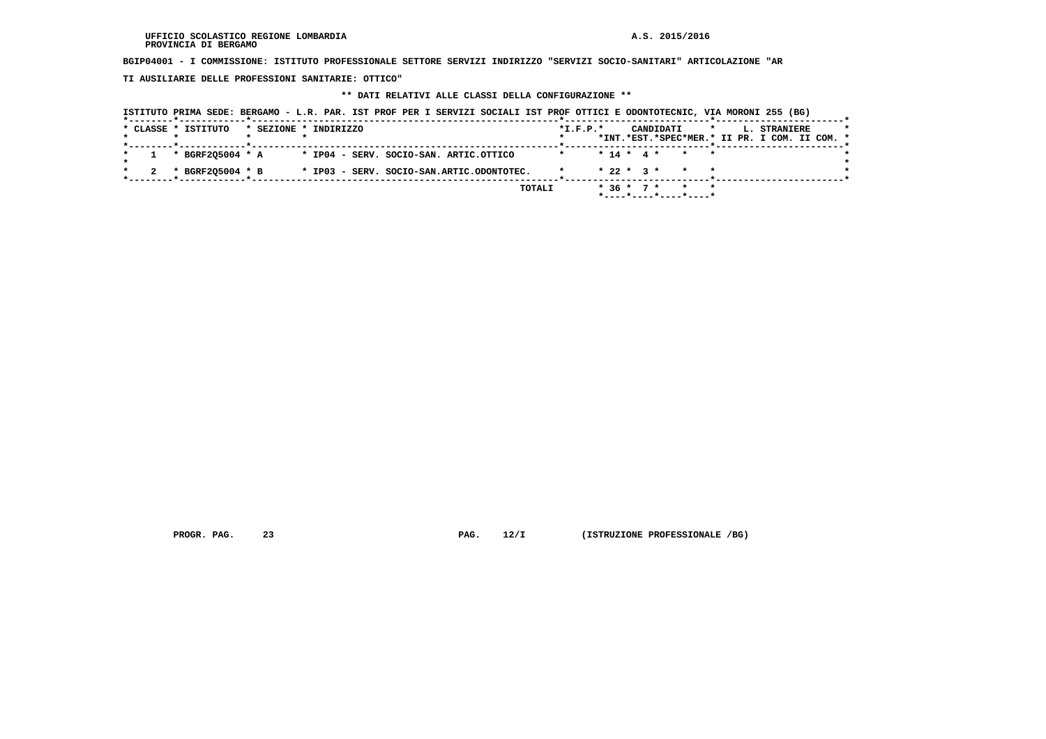**BGIP04001 - I COMMISSIONE: ISTITUTO PROFESSIONALE SETTORE SERVIZI INDIRIZZO "SERVIZI SOCIO-SANITARI" ARTICOLAZIONE "AR**

 **TI AUSILIARIE DELLE PROFESSIONI SANITARIE: OTTICO"**

# **\*\* DATI RELATIVI ALLE CLASSI DELLA CONFIGURAZIONE \*\***

|                                                    | ISTITUTO PRIMA SEDE: BERGAMO - L.R. PAR. IST PROF PER I SERVIZI SOCIALI IST PROF OTTICI E ODONTOTECNIC, VIA MORONI 255 (BG) |                                                                                                            |
|----------------------------------------------------|-----------------------------------------------------------------------------------------------------------------------------|------------------------------------------------------------------------------------------------------------|
| * CLASSE * ISTITUTO                                | * SEZIONE * INDIRIZZO                                                                                                       | $*L.F.P.*$<br>CANDIDATI<br>$\star$<br><b>L. STRANIERE</b><br>*INT.*EST.*SPEC*MER.* II PR. I COM. II COM. * |
| ------*------------*----------<br>* BGRF205004 * A | * IP04 - SERV. SOCIO-SAN. ARTIC.OTTICO                                                                                      | $* 14 * 4 * * * * * *$                                                                                     |
| * BGRF205004 * B                                   | * IP03 - SERV. SOCIO-SAN.ARTIC.ODONTOTEC.                                                                                   | $* 22 * 3 * * * * *$                                                                                       |
|                                                    | TOTALI                                                                                                                      | * 36 * 7 * * *<br>*----*----*----*----*                                                                    |

 **PROGR. PAG.** 23 **PROGR. 23 PAG. 12/I** (ISTRUZIONE PROFESSIONALE /BG)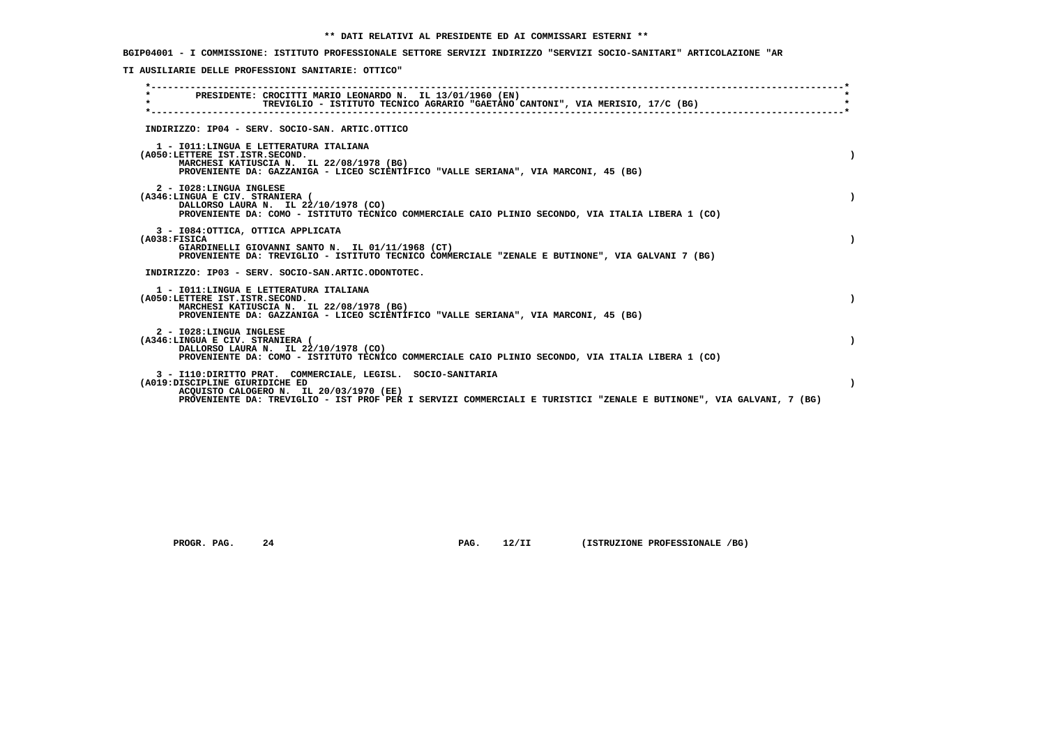**BGIP04001 - I COMMISSIONE: ISTITUTO PROFESSIONALE SETTORE SERVIZI INDIRIZZO "SERVIZI SOCIO-SANITARI" ARTICOLAZIONE "AR**

 **TI AUSILIARIE DELLE PROFESSIONI SANITARIE: OTTICO"**

| PRESIDENTE: CROCITTI MARIO LEONARDO N. IL 13/01/1960 (EN)<br>TREVIGLIO - ISTITUTO TECNICO AGRARIO "GAETANO CANTONI", VIA MERISIO, 17/C (BG)                                                                                                                      |  |
|------------------------------------------------------------------------------------------------------------------------------------------------------------------------------------------------------------------------------------------------------------------|--|
| INDIRIZZO: IP04 - SERV. SOCIO-SAN. ARTIC.OTTICO                                                                                                                                                                                                                  |  |
| 1 - IO11: LINGUA E LETTERATURA ITALIANA<br>(A050:LETTERE IST.ISTR.SECOND.<br>MARCHESI KATIUSCIA N. IL 22/08/1978 (BG)<br>PROVENIENTE DA: GAZZANIGA - LICEO SCIENTIFICO "VALLE SERIANA", VIA MARCONI, 45 (BG)                                                     |  |
| 2 - I028:LINGUA INGLESE<br>(A346:LINGUA E CIV. STRANIERA (<br>DALLORSO LAURA N. IL 22/10/1978 (CO)<br>PROVENIENTE DA: COMO - ISTITUTO TECNICO COMMERCIALE CAIO PLINIO SECONDO, VIA ITALIA LIBERA 1 (CO)                                                          |  |
| 3 - I084: OTTICA, OTTICA APPLICATA<br>(A038:FTSTCA<br>GIARDINELLI GIOVANNI SANTO N. IL 01/11/1968 (CT)<br>PROVENIENTE DA: TREVIGLIO - ISTITUTO TECNICO COMMERCIALE "ZENALE E BUTINONE", VIA GALVANI 7 (BG)                                                       |  |
| INDIRIZZO: IP03 - SERV. SOCIO-SAN.ARTIC.ODONTOTEC.                                                                                                                                                                                                               |  |
| 1 - IO11: LINGUA E LETTERATURA ITALIANA<br>(A050:LETTERE IST.ISTR.SECOND.<br>MARCHESI KATIUSCIA N. IL 22/08/1978 (BG)<br>PROVENIENTE DA: GAZZANIGA - LICEO SCIENTIFICO "VALLE SERIANA", VIA MARCONI, 45 (BG)                                                     |  |
| 2 - I028:LINGUA INGLESE<br>(A346:LINGUA E CIV. STRANIERA )<br>DALLORSO LAURA N. IL 22/10/1978 (CO)<br>PROVENIENTE DA: COMO - ISTITUTO TECNICO COMMERCIALE CAIO PLINIO SECONDO, VIA ITALIA LIBERA 1 (CO)                                                          |  |
| 3 - I110: DIRITTO PRAT. COMMERCIALE, LEGISL. SOCIO-SANITARIA<br>(A019:DISCIPLINE GIURIDICHE ED<br>ACQUISTO CALOGERO N. IL 20/03/1970 (EE)<br>PROVENIENTE DA: TREVIGLIO - IST PROF PER I SERVIZI COMMERCIALI E TURISTICI "ZENALE E BUTINONE", VIA GALVANI, 7 (BG) |  |
|                                                                                                                                                                                                                                                                  |  |

 **PROGR. PAG.** 24 **PROGR. 24 PAG. 12/II (ISTRUZIONE PROFESSIONALE /BG)**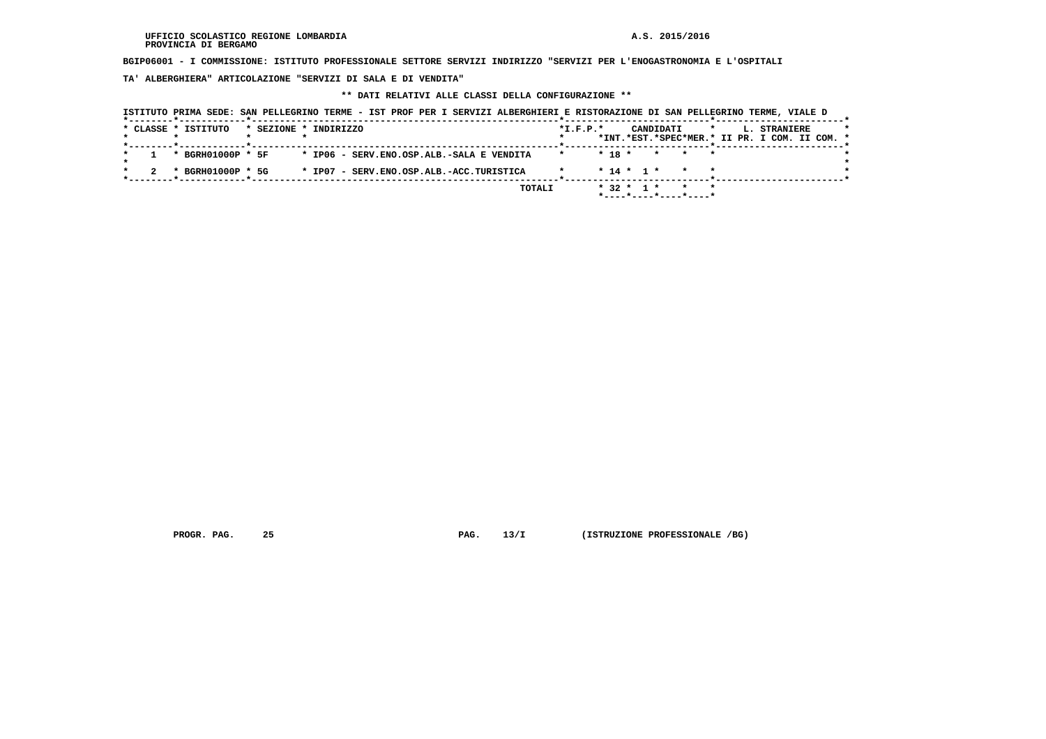**BGIP06001 - I COMMISSIONE: ISTITUTO PROFESSIONALE SETTORE SERVIZI INDIRIZZO "SERVIZI PER L'ENOGASTRONOMIA E L'OSPITALI**

 **TA' ALBERGHIERA" ARTICOLAZIONE "SERVIZI DI SALA E DI VENDITA"**

# **\*\* DATI RELATIVI ALLE CLASSI DELLA CONFIGURAZIONE \*\***

| * SEZIONE * INDIRIZZO                                         | CANDIDATI                                           | $\star$<br><b>L. STRANIERE</b>                                                                                                                                                                                                                                                                            |
|---------------------------------------------------------------|-----------------------------------------------------|-----------------------------------------------------------------------------------------------------------------------------------------------------------------------------------------------------------------------------------------------------------------------------------------------------------|
| ______ <del>*</del> ____________ <b>__</b> ________           |                                                     |                                                                                                                                                                                                                                                                                                           |
| * BGRH01000P * 5F                                             |                                                     |                                                                                                                                                                                                                                                                                                           |
| * BGRH01000P * 5G<br>* IP07 - SERV.ENO.OSP.ALB.-ACC.TURISTICA |                                                     |                                                                                                                                                                                                                                                                                                           |
|                                                               |                                                     |                                                                                                                                                                                                                                                                                                           |
|                                                               | * IP06 - SERV.ENO.OSP.ALB.-SALA E VENDITA<br>TOTALI | ISTITUTO PRIMA SEDE: SAN PELLEGRINO TERME - IST PROF PER I SERVIZI ALBERGHIERI E RISTORAZIONE DI SAN PELLEGRINO TERME, VIALE D<br>$*I.F.P.*$<br>*INT.*EST.*SPEC*MER.* II PR. I COM. II COM. *<br>$* 18 *$<br>* * *<br>$* 14 * 1 *$<br>$* 32 * 1 *$<br>$*$ - - - - $*$ - - - - $*$ - - - - $*$ - - - - $*$ |

 **PROGR. PAG.** 25 **PROGR. 25 PAG. 13/I** (ISTRUZIONE PROFESSIONALE /BG)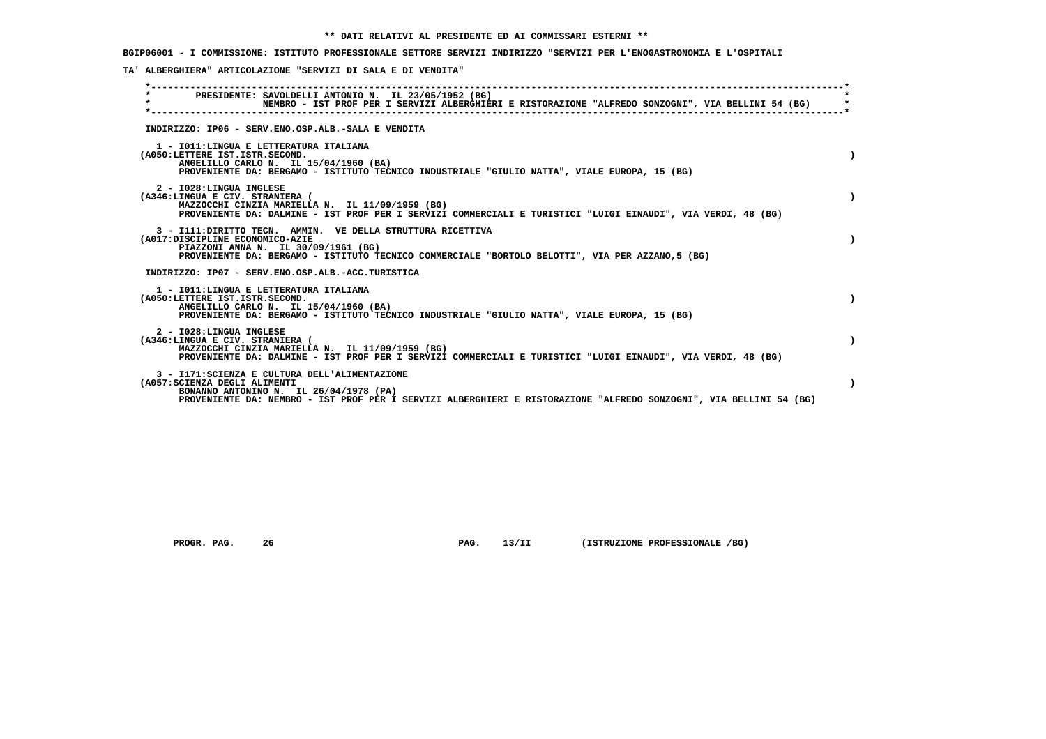**BGIP06001 - I COMMISSIONE: ISTITUTO PROFESSIONALE SETTORE SERVIZI INDIRIZZO "SERVIZI PER L'ENOGASTRONOMIA E L'OSPITALI**

 **TA' ALBERGHIERA" ARTICOLAZIONE "SERVIZI DI SALA E DI VENDITA"**

| $\star$ | PRESIDENTE: SAVOLDELLI ANTONIO N. IL 23/05/1952 (BG)<br>NEMBRO - IST PROF PER I SERVIZI ALBERGHIERI E RISTORAZIONE "ALFREDO SONZOGNI", VIA BELLINI 54 (BG)<br>------------------------------                                                    |
|---------|-------------------------------------------------------------------------------------------------------------------------------------------------------------------------------------------------------------------------------------------------|
|         | INDIRIZZO: IP06 - SERV.ENO.OSP.ALB.-SALA E VENDITA                                                                                                                                                                                              |
|         | 1 - IO11: LINGUA E LETTERATURA ITALIANA<br>(A050:LETTERE IST.ISTR.SECOND.<br>ANGELILLO CARLO N. IL 15/04/1960 (BA)<br>PROVENIENTE DA: BERGAMO - ISTITUTO TECNICO INDUSTRIALE "GIULIO NATTA", VIALE EUROPA, 15 (BG)                              |
|         | 2 - I028:LINGUA INGLESE<br>(A346:LINGUA E CIV. STRANIERA (<br>MAZZOCCHI CINZIA MARIELLA N. IL 11/09/1959 (BG)<br>PROVENIENTE DA: DALMINE - IST PROF PER I SERVIZI COMMERCIALI E TURISTICI "LUIGI EINAUDI", VIA VERDI, 48 (BG)                   |
|         | 3 - I111: DIRITTO TECN. AMMIN. VE DELLA STRUTTURA RICETTIVA<br>(A017:DISCIPLINE ECONOMICO-AZIE<br>PIAZZONI ANNA N. IL 30/09/1961 (BG)<br>PROVENIENTE DA: BERGAMO - ISTITUTO TECNICO COMMERCIALE "BORTOLO BELOTTI", VIA PER AZZANO, 5 (BG)       |
|         | INDIRIZZO: IP07 - SERV.ENO.OSP.ALB.-ACC.TURISTICA                                                                                                                                                                                               |
|         | 1 - IO11: LINGUA E LETTERATURA ITALIANA<br>(A050:LETTERE IST.ISTR.SECOND.<br>ANGELILLO CARLO N. IL 15/04/1960 (BA)<br>PROVENIENTE DA: BERGAMO - ISTITUTO TECNICO INDUSTRIALE "GIULIO NATTA", VIALE EUROPA, 15 (BG)                              |
|         | 2 - I028:LINGUA INGLESE<br>(A346:LINGUA E CIV. STRANIERA (<br>MAZZOCCHI CINZIA MARIELLA N. IL 11/09/1959 (BG)<br>PROVENIENTE DA: DALMINE - IST PROF PER I SERVIZI COMMERCIALI E TURISTICI "LUIGI EINAUDI", VIA VERDI, 48 (BG)                   |
|         | 3 - I171: SCIENZA E CULTURA DELL'ALIMENTAZIONE<br>(A057: SCIENZA DEGLI ALIMENTI<br>BONANNO ANTONINO N. IL 26/04/1978 (PA)<br>PROVENIENTE DA: NEMBRO - IST PROF PER I SERVIZI ALBERGHIERI E RISTORAZIONE "ALFREDO SONZOGNI", VIA BELLINI 54 (BG) |

 **PROGR. PAG.** 26 **PROGR. PAG. 13/II (ISTRUZIONE PROFESSIONALE /BG)**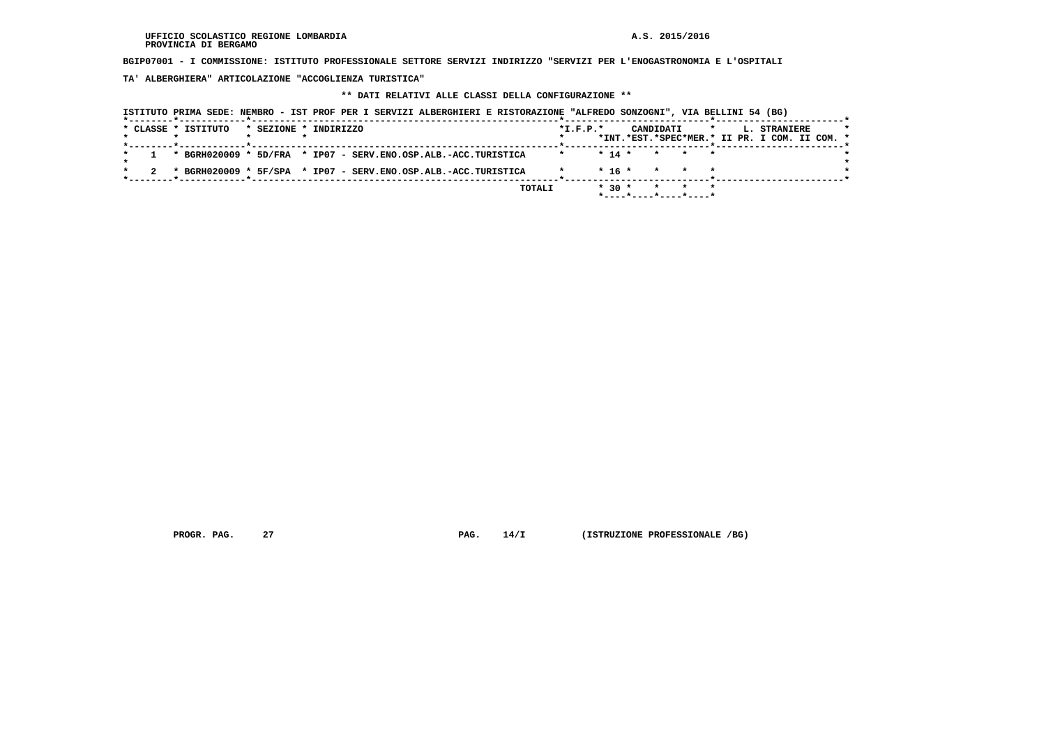**BGIP07001 - I COMMISSIONE: ISTITUTO PROFESSIONALE SETTORE SERVIZI INDIRIZZO "SERVIZI PER L'ENOGASTRONOMIA E L'OSPITALI**

 **TA' ALBERGHIERA" ARTICOLAZIONE "ACCOGLIENZA TURISTICA"**

# **\*\* DATI RELATIVI ALLE CLASSI DELLA CONFIGURAZIONE \*\***

|                                                                                                 |                       | ISTITUTO PRIMA SEDE: NEMBRO - IST PROF PER I SERVIZI ALBERGHIERI E RISTORAZIONE "ALFREDO SONZOGNI", VIA BELLINI 54 (BG) |                |                       |                                               |
|-------------------------------------------------------------------------------------------------|-----------------------|-------------------------------------------------------------------------------------------------------------------------|----------------|-----------------------|-----------------------------------------------|
| * CLASSE * ISTITUTO                                                                             | * SEZIONE * INDIRIZZO |                                                                                                                         | $*$ I.F.P. $*$ | CANDIDATI             | $\star$<br><b>L. STRANIERE</b>                |
| . _ _ _ _ _ <del>*</del> _ _ _ _ _ _ _ _ _ _ _ _ <del>*</del> _ _ _ _ _ _ _ _ _ _ _ _ _ _ _ _ _ |                       |                                                                                                                         |                |                       | *INT.*EST.*SPEC*MER.* II PR. I COM. II COM. * |
|                                                                                                 |                       | * BGRH020009 * 5D/FRA * IP07 - SERV.ENO.OSP.ALB.-ACC.TURISTICA                                                          | $* 14 *$       | * * *                 |                                               |
|                                                                                                 |                       | * BGRH020009 * 5F/SPA * IP07 - SERV.ENO.OSP.ALB.-ACC.TURISTICA                                                          | $* 16 *$       | * * *                 |                                               |
|                                                                                                 |                       | TOTALI                                                                                                                  | $* 30 *$       | $\star$ $\star$       | $\star$                                       |
|                                                                                                 |                       |                                                                                                                         |                | *----*----*----*----* |                                               |

 **PROGR. PAG.** 27 **PROGR. 27 PAG. 14/I** (ISTRUZIONE PROFESSIONALE /BG)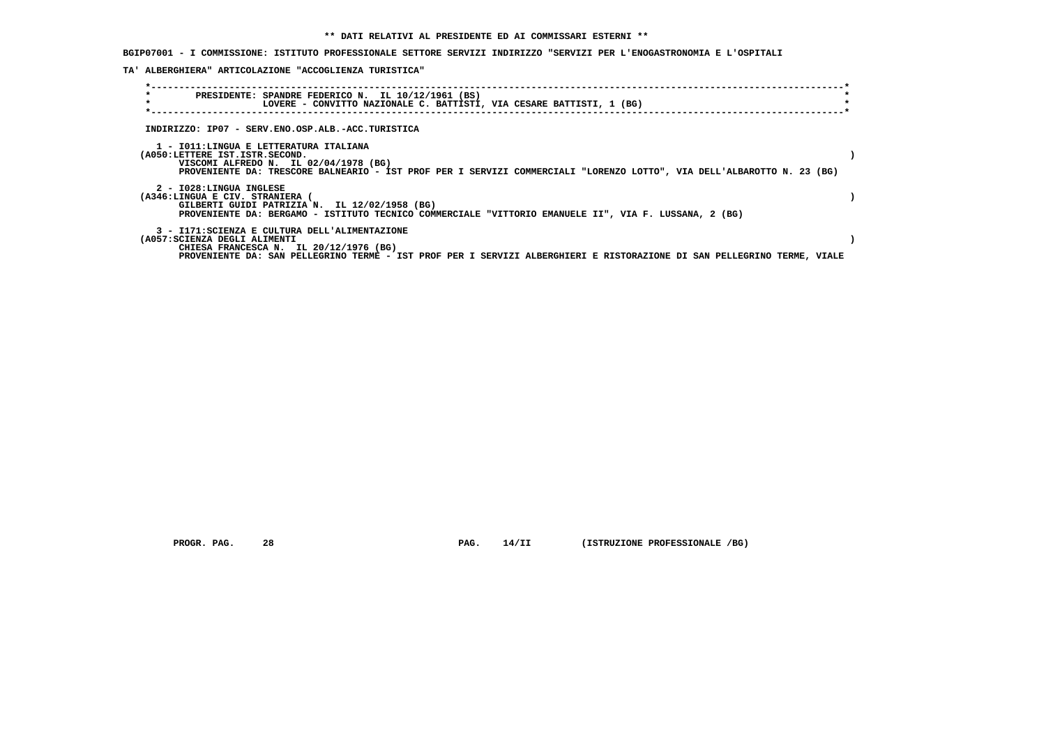**BGIP07001 - I COMMISSIONE: ISTITUTO PROFESSIONALE SETTORE SERVIZI INDIRIZZO "SERVIZI PER L'ENOGASTRONOMIA E L'OSPITALI**

 **TA' ALBERGHIERA" ARTICOLAZIONE "ACCOGLIENZA TURISTICA"**

| $\star$<br>PRESIDENTE: SPANDRE FEDERICO N. IL 10/12/1961 (BS)<br>$\star$<br>LOVERE - CONVITTO NAZIONALE C. BATTISTI, VIA CESARE BATTISTI, 1 (BG)                                                                                                   |  |
|----------------------------------------------------------------------------------------------------------------------------------------------------------------------------------------------------------------------------------------------------|--|
| INDIRIZZO: IP07 - SERV.ENO.OSP.ALB.-ACC.TURISTICA                                                                                                                                                                                                  |  |
| 1 - IO11:LINGUA E LETTERATURA ITALIANA<br>(A050:LETTERE IST.ISTR.SECOND.<br>VISCOMI ALFREDO N. IL 02/04/1978 (BG)<br>PROVENIENTE DA: TRESCORE BALNEARIO - IST PROF PER I SERVIZI COMMERCIALI "LORENZO LOTTO", VIA DELL'ALBAROTTO N. 23 (BG)        |  |
| 2 - I028:LINGUA INGLESE<br>(A346:LINGUA E CIV. STRANIERA (<br>GILBERTI GUIDI PATRIZIA N. IL 12/02/1958 (BG)<br>PROVENIENTE DA: BERGAMO - ISTITUTO TECNICO COMMERCIALE "VITTORIO EMANUELE II", VIA F. LUSSANA, 2 (BG)                               |  |
| 3 - I171:SCIENZA E CULTURA DELL'ALIMENTAZIONE<br>(A057:SCIENZA DEGLI ALIMENTI<br>CHIESA FRANCESCA N. IL 20/12/1976 (BG)<br>PROVENIENTE DA: SAN PELLEGRINO TERME - IST PROF PER I SERVIZI ALBERGHIERI E RISTORAZIONE DI SAN PELLEGRINO TERME, VIALE |  |

 **PROGR. PAG.** 28 **PROGR. 28 PAG. 14/II** (ISTRUZIONE PROFESSIONALE /BG)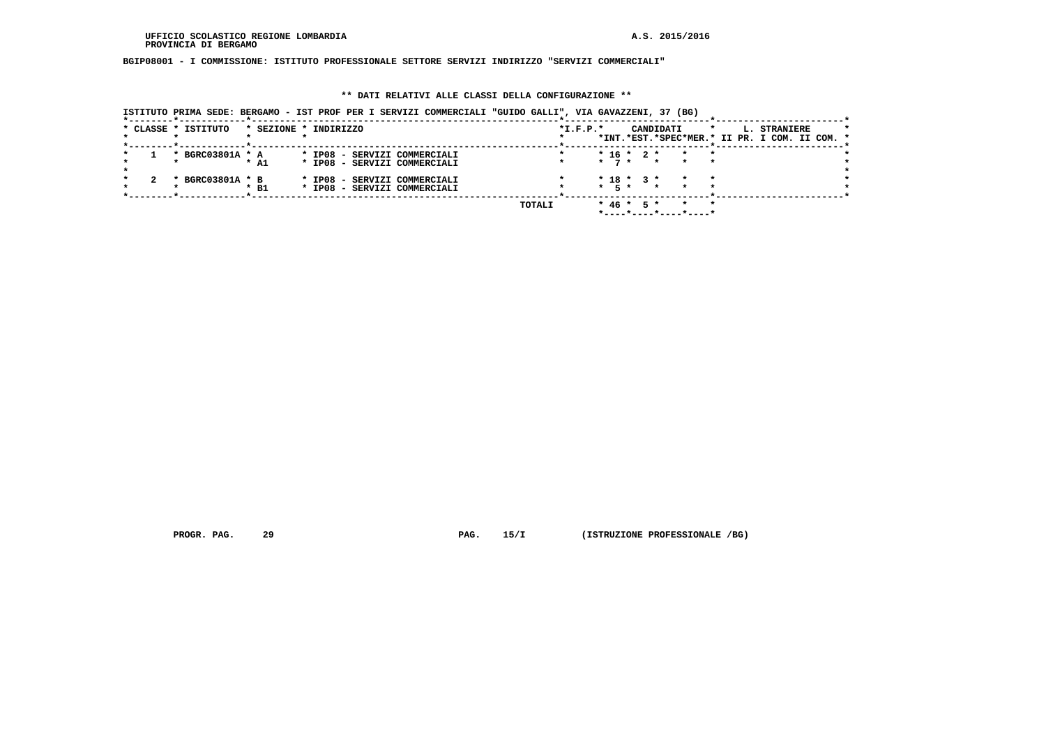**BGIP08001 - I COMMISSIONE: ISTITUTO PROFESSIONALE SETTORE SERVIZI INDIRIZZO "SERVIZI COMMERCIALI"**

# **\*\* DATI RELATIVI ALLE CLASSI DELLA CONFIGURAZIONE \*\***

 **ISTITUTO PRIMA SEDE: BERGAMO - IST PROF PER I SERVIZI COMMERCIALI "GUIDO GALLI", VIA GAVAZZENI, 37 (BG)**

|  | * CLASSE * ISTITUTO | * SEZIONE * INDIRIZZO |  |  |                              |        | $*I.F.P.*$ |                  |  | CANDIDATI                                     | $\star$ |  | L. STRANIERE |  |  |
|--|---------------------|-----------------------|--|--|------------------------------|--------|------------|------------------|--|-----------------------------------------------|---------|--|--------------|--|--|
|  |                     |                       |  |  |                              |        |            |                  |  | *INT.*EST.*SPEC*MER.* II PR. I COM. II COM. * |         |  |              |  |  |
|  |                     |                       |  |  |                              |        |            |                  |  |                                               |         |  |              |  |  |
|  | * BGRC03801A * A    |                       |  |  | * IP08 - SERVIZI COMMERCIALI |        |            | $*$ 16 $*$ 2 $*$ |  | $\mathbf{r}$                                  |         |  |              |  |  |
|  |                     | $*$ A1                |  |  | * IP08 - SERVIZI COMMERCIALI |        |            |                  |  | $\star$ 7 $\star$ $\star$ $\star$             |         |  |              |  |  |
|  |                     |                       |  |  |                              |        |            |                  |  |                                               |         |  |              |  |  |
|  | * BGRC03801A * B    |                       |  |  | * IP08 - SERVIZI COMMERCIALI |        |            | $* 18 * 3 *$     |  |                                               |         |  |              |  |  |
|  |                     | $*$ B1                |  |  | * IP08 - SERVIZI COMMERCIALI |        |            |                  |  | * 5 * * *                                     |         |  |              |  |  |
|  |                     |                       |  |  |                              |        |            |                  |  |                                               |         |  |              |  |  |
|  |                     |                       |  |  |                              | TOTALI |            | $*$ 46 $*$ 5 $*$ |  |                                               |         |  |              |  |  |
|  |                     |                       |  |  |                              |        |            |                  |  |                                               |         |  |              |  |  |

 **PROGR. PAG.** 29 **PAG. 15/I** (ISTRUZIONE PROFESSIONALE /BG)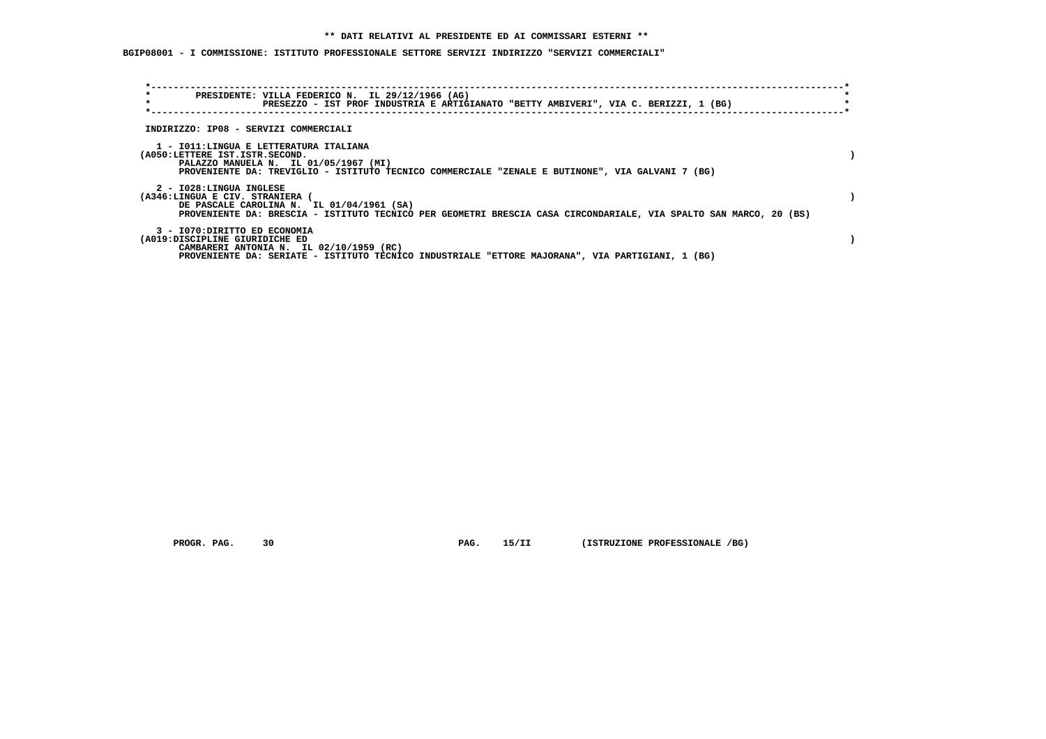**BGIP08001 - I COMMISSIONE: ISTITUTO PROFESSIONALE SETTORE SERVIZI INDIRIZZO "SERVIZI COMMERCIALI"**

| $\star$<br>$\star$ | PRESIDENTE: VILLA FEDERICO N. IL 29/12/1966 (AG)<br>PRESEZZO - IST PROF INDUSTRIA E ARTIGIANATO "BETTY AMBIVERI", VIA C. BERIZZI, 1 (BG)                                                                                   |  |
|--------------------|----------------------------------------------------------------------------------------------------------------------------------------------------------------------------------------------------------------------------|--|
|                    | INDIRIZZO: IP08 - SERVIZI COMMERCIALI                                                                                                                                                                                      |  |
|                    | 1 - IO11:LINGUA E LETTERATURA ITALIANA<br>(A050:LETTERE IST.ISTR.SECOND.<br>PALAZZO MANUELA N. IL 01/05/1967 (MI)<br>PROVENIENTE DA: TREVIGLIO - ISTITUTO TECNICO COMMERCIALE "ZENALE E BUTINONE", VIA GALVANI 7 (BG)      |  |
|                    | 2 - I028:LINGUA INGLESE<br>(A346:LINGUA E CIV. STRANIERA<br>DE PASCALE CAROLINA N. IL 01/04/1961 (SA)<br>PROVENIENTE DA: BRESCIA - ISTITUTO TECNICO PER GEOMETRI BRESCIA CASA CIRCONDARIALE, VIA SPALTO SAN MARCO, 20 (BS) |  |
|                    | 3 - I070: DIRITTO ED ECONOMIA<br>(A019:DISCIPLINE GIURIDICHE ED<br>CAMBARERI ANTONIA N. IL 02/10/1959 (RC)<br>PROVENIENTE DA: SERIATE - ISTITUTO TECNICO INDUSTRIALE "ETTORE MAJORANA", VIA PARTIGIANI, 1 (BG)             |  |

 **PROGR. PAG.** 30 **PAG. 15/II (ISTRUZIONE PROFESSIONALE /BG)**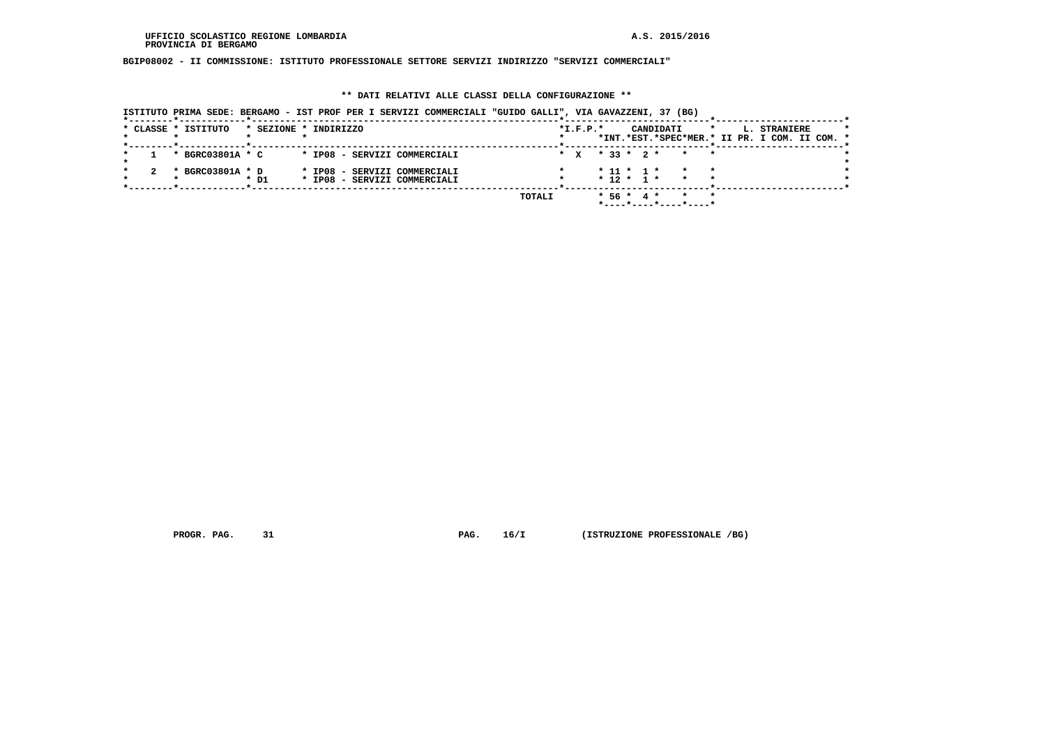**BGIP08002 - II COMMISSIONE: ISTITUTO PROFESSIONALE SETTORE SERVIZI INDIRIZZO "SERVIZI COMMERCIALI"**

# **\*\* DATI RELATIVI ALLE CLASSI DELLA CONFIGURAZIONE \*\***

 **ISTITUTO PRIMA SEDE: BERGAMO - IST PROF PER I SERVIZI COMMERCIALI "GUIDO GALLI", VIA GAVAZZENI, 37 (BG)**

|  | * CLASSE * ISTITUTO |        | * SEZIONE * INDIRIZZO                                        |        | $*L.F.P.*$ |  |              | CANDIDATI |                                                | $\star$ | L. STRANIERE<br>*INT.*EST.*SPEC*MER.* II PR. I COM. II COM. * |  |  |
|--|---------------------|--------|--------------------------------------------------------------|--------|------------|--|--------------|-----------|------------------------------------------------|---------|---------------------------------------------------------------|--|--|
|  | * BGRC03801A * C    |        | * IP08 - SERVIZI COMMERCIALI                                 |        |            |  |              |           | * x * 33 * 2 * * *                             |         |                                                               |  |  |
|  | * BGRC03801A * D    | $*$ D1 | * IP08 - SERVIZI COMMERCIALI<br>* IP08 - SERVIZI COMMERCIALI |        |            |  |              |           | $* 11 * 1 * * * * * *$<br>$* 12 * 1 * * * * *$ |         |                                                               |  |  |
|  |                     |        |                                                              | TOTALI |            |  | $* 56 * 4 *$ |           | *----*----*----*----*                          |         |                                                               |  |  |

 **PROGR. PAG.** 31 **PAG. 16/I** (ISTRUZIONE PROFESSIONALE /BG)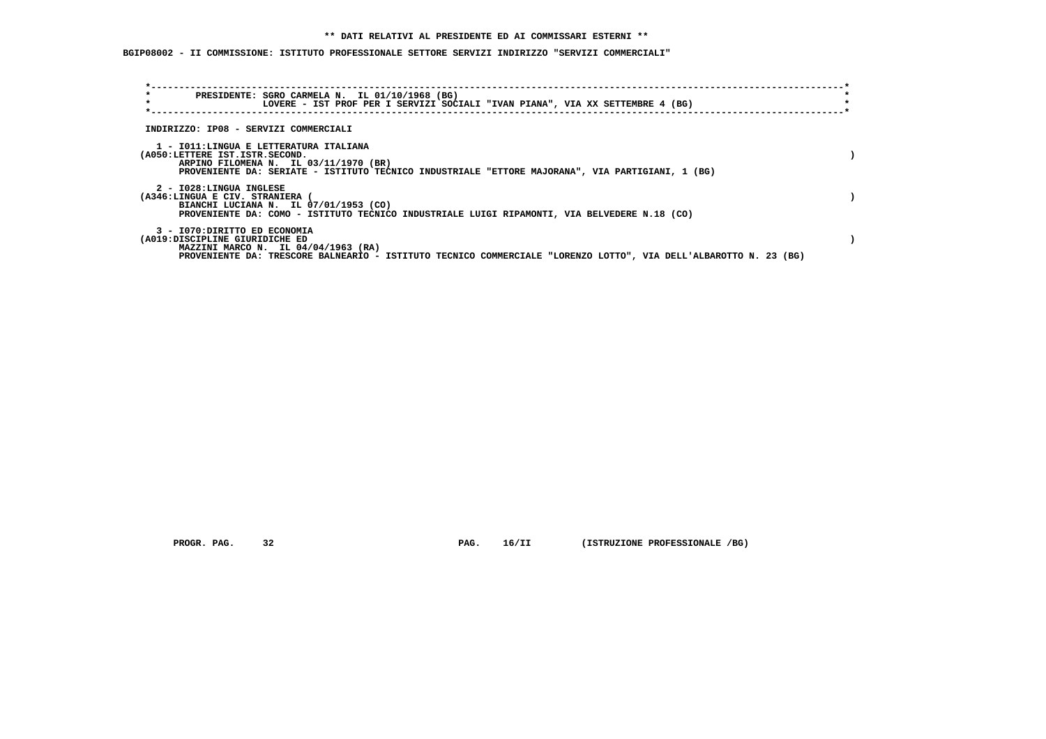# **\*\* DATI RELATIVI AL PRESIDENTE ED AI COMMISSARI ESTERNI \*\***

 **BGIP08002 - II COMMISSIONE: ISTITUTO PROFESSIONALE SETTORE SERVIZI INDIRIZZO "SERVIZI COMMERCIALI"**

| $\star$<br>$\star$                                              | PRESIDENTE: SGRO CARMELA N. IL 01/10/1968 (BG)<br>LOVERE - IST PROF PER I SERVIZI SOCIALI "IVAN PIANA", VIA XX SETTEMBRE 4 (BG)                                                     |  |
|-----------------------------------------------------------------|-------------------------------------------------------------------------------------------------------------------------------------------------------------------------------------|--|
| INDIRIZZO: IP08 - SERVIZI COMMERCIALI                           |                                                                                                                                                                                     |  |
| (A050:LETTERE IST.ISTR.SECOND.                                  | 1 - IO11:LINGUA E LETTERATURA ITALIANA<br>ARPINO FILOMENA N. IL 03/11/1970 (BR)<br>PROVENIENTE DA: SERIATE - ISTITUTO TECNICO INDUSTRIALE "ETTORE MAJORANA", VIA PARTIGIANI, 1 (BG) |  |
| 2 - I028:LINGUA INGLESE<br>(A346:LINGUA E CIV. STRANIERA (      | BIANCHI LUCIANA N. IL 07/01/1953 (CO)<br>PROVENIENTE DA: COMO - ISTITUTO TECNICO INDUSTRIALE LUIGI RIPAMONTI, VIA BELVEDERE N.18 (CO)                                               |  |
| 3 - I070: DIRITTO ED ECONOMIA<br>(A019:DISCIPLINE GIURIDICHE ED | MAZZINI MARCO N. IL 04/04/1963 (RA)<br>PROVENIENTE DA: TRESCORE BALNEARIO - ISTITUTO TECNICO COMMERCIALE "LORENZO LOTTO", VIA DELL'ALBAROTTO N. 23 (BG)                             |  |

 **PROGR. PAG.** 32 **PROGR. 16/II** (ISTRUZIONE PROFESSIONALE /BG)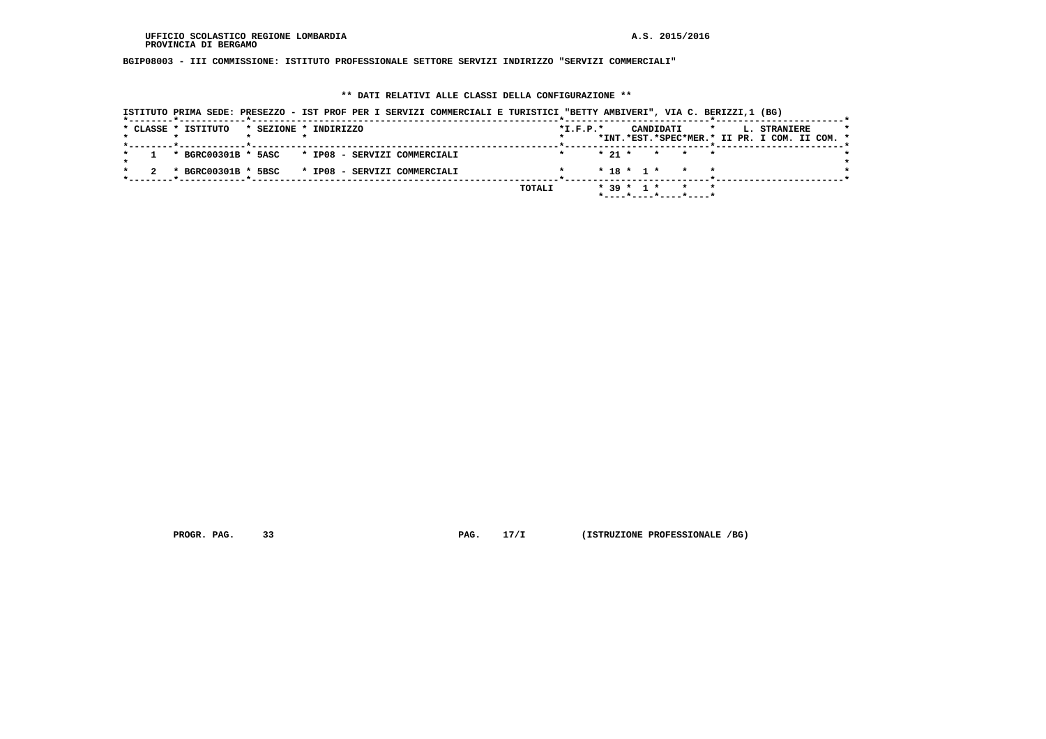**BGIP08003 - III COMMISSIONE: ISTITUTO PROFESSIONALE SETTORE SERVIZI INDIRIZZO "SERVIZI COMMERCIALI"**

# **\*\* DATI RELATIVI ALLE CLASSI DELLA CONFIGURAZIONE \*\***

|                                                    | ISTITUTO PRIMA SEDE: PRESEZZO - IST PROF PER I SERVIZI COMMERCIALI E TURISTICI "BETTY AMBIVERI", VIA C. BERIZZI,1 (BG) |                                                                                                          |
|----------------------------------------------------|------------------------------------------------------------------------------------------------------------------------|----------------------------------------------------------------------------------------------------------|
| * CLASSE * ISTITUTO<br>* SEZIONE * INDIRIZZO       |                                                                                                                        | $*L.F.P.*$<br>CANDIDATI<br>L. STRANIERE<br>$\mathbf{r}$<br>*INT.*EST.*SPEC*MER.* II PR. I COM. II COM. * |
| 1 * BGRC00301B * 5ASC * IP08 - SERVIZI COMMERCIALI |                                                                                                                        | $\star$ 21 $\star$ $\star$ $\star$ $\star$                                                               |
| 2 * BGRC00301B * 5BSC * IP08 - SERVIZI COMMERCIALI |                                                                                                                        | $* 18 * 1 * * * * *$                                                                                     |
|                                                    |                                                                                                                        |                                                                                                          |
|                                                    | TOTALI                                                                                                                 | * 39 * 1 * * *<br>$*$ - - - - $*$ - - - - $*$ - - - - $*$ - - - - $*$                                    |

 **PROGR. PAG.** 33 **PAG. 17/I** (ISTRUZIONE PROFESSIONALE /BG)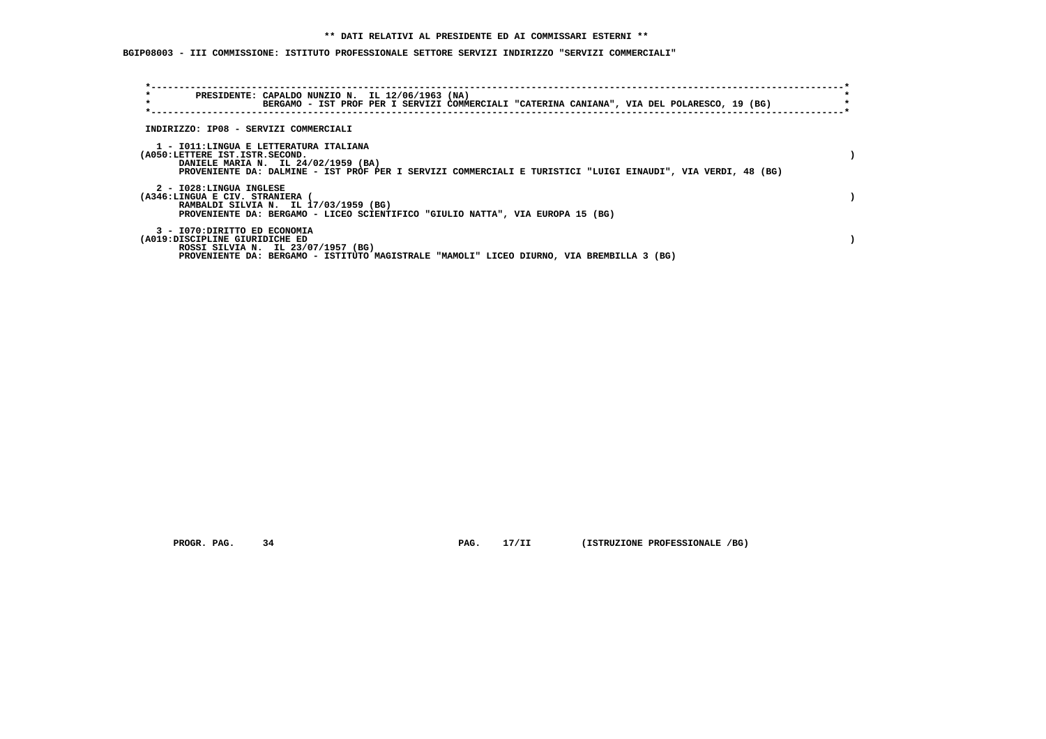# **\*\* DATI RELATIVI AL PRESIDENTE ED AI COMMISSARI ESTERNI \*\***

 **BGIP08003 - III COMMISSIONE: ISTITUTO PROFESSIONALE SETTORE SERVIZI INDIRIZZO "SERVIZI COMMERCIALI"**

| $\star$<br>$\star$                                              | PRESIDENTE: CAPALDO NUNZIO N. IL 12/06/1963 (NA)<br>BERGAMO - IST PROF PER I SERVIZI COMMERCIALI "CATERINA CANIANA", VIA DEL POLARESCO, 19 (BG)                                               |  |
|-----------------------------------------------------------------|-----------------------------------------------------------------------------------------------------------------------------------------------------------------------------------------------|--|
| INDIRIZZO: IP08 - SERVIZI COMMERCIALI                           |                                                                                                                                                                                               |  |
| (A050:LETTERE IST.ISTR.SECOND.                                  | 1 - IO11:LINGUA E LETTERATURA ITALIANA<br>DANIELE MARIA N. IL 24/02/1959 (BA)<br>PROVENIENTE DA: DALMINE - IST PROF PER I SERVIZI COMMERCIALI E TURISTICI "LUIGI EINAUDI", VIA VERDI, 48 (BG) |  |
| 2 - I028:LINGUA INGLESE<br>(A346:LINGUA E CIV. STRANIERA (      | RAMBALDI SILVIA N. IL 17/03/1959 (BG)<br>PROVENIENTE DA: BERGAMO - LICEO SCIENTIFICO "GIULIO NATTA", VIA EUROPA 15 (BG)                                                                       |  |
| 3 - I070: DIRITTO ED ECONOMIA<br>(A019:DISCIPLINE GIURIDICHE ED | ROSSI SILVIA N. IL 23/07/1957 (BG)<br>PROVENIENTE DA: BERGAMO - ISTITUTO MAGISTRALE "MAMOLI" LICEO DIURNO, VIA BREMBILLA 3 (BG)                                                               |  |

 **PROGR. PAG.** 34 **PROGR. 17/II** (ISTRUZIONE PROFESSIONALE /BG)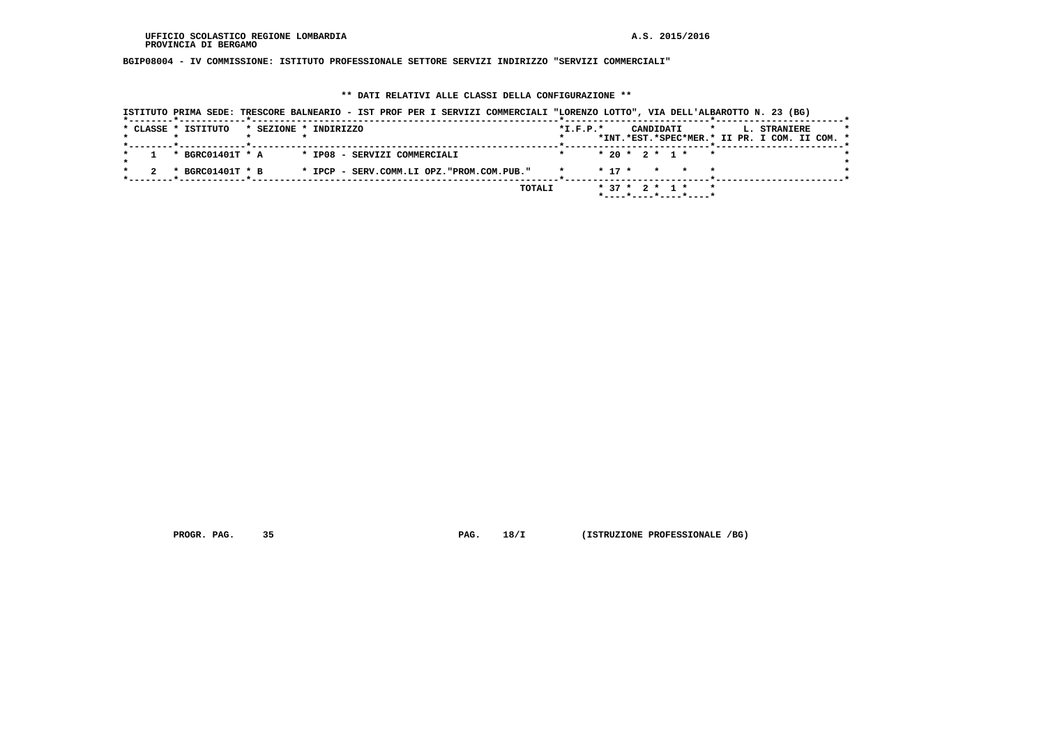**BGIP08004 - IV COMMISSIONE: ISTITUTO PROFESSIONALE SETTORE SERVIZI INDIRIZZO "SERVIZI COMMERCIALI"**

# **\*\* DATI RELATIVI ALLE CLASSI DELLA CONFIGURAZIONE \*\***

| ISTITUTO PRIMA SEDE: TRESCORE BALNEARIO - IST PROF PER I SERVIZI COMMERCIALI "LORENZO LOTTO", VIA DELL'ALBAROTTO N. 23 (BG) |            |            |                                                                |                                                                                 |
|-----------------------------------------------------------------------------------------------------------------------------|------------|------------|----------------------------------------------------------------|---------------------------------------------------------------------------------|
| * CLASSE * ISTITUTO<br>* SEZIONE * INDIRIZZO                                                                                | $*L.F.P.*$ |            | CANDIDATI                                                      | $\star$<br><b>L. STRANIERE</b><br>*INT.*EST.*SPEC*MER.* II PR. I COM. II COM. * |
| * BGRC01401T * A<br>* IP08 - SERVIZI COMMERCIALI                                                                            |            |            | $* 20 * 2 * 1 * * *$                                           |                                                                                 |
| * BGRC01401T * B<br>* IPCP - SERV.COMM.LI OPZ."PROM.COM.PUB."                                                               |            | $*$ 17 $*$ | * * *                                                          |                                                                                 |
| TOTALI                                                                                                                      |            |            | $*$ 37 $*$ 2 $*$ 1 $*$<br>$*$ ---- $*$ ---- $*$ ---- $*$ ----* |                                                                                 |

 **PROGR. PAG.** 35 **PROGR. 18/I** (ISTRUZIONE PROFESSIONALE /BG)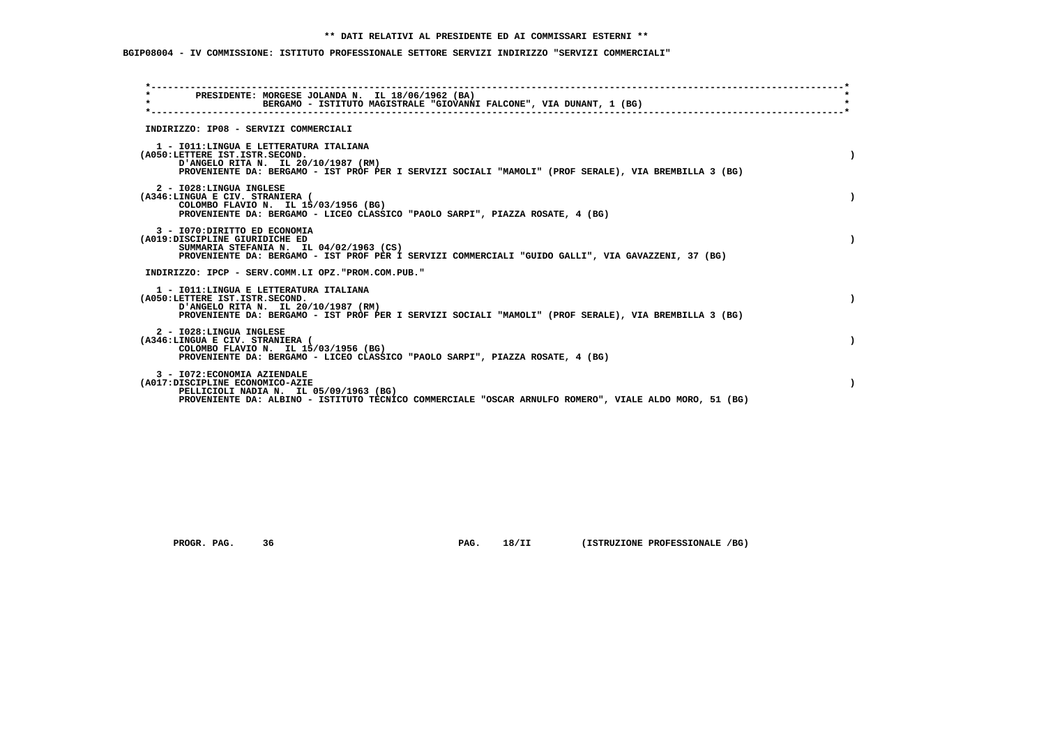## **\*\* DATI RELATIVI AL PRESIDENTE ED AI COMMISSARI ESTERNI \*\***

 **BGIP08004 - IV COMMISSIONE: ISTITUTO PROFESSIONALE SETTORE SERVIZI INDIRIZZO "SERVIZI COMMERCIALI"**

| PRESIDENTE: MORGESE JOLANDA N. IL 18/06/1962 (BA)<br>$\star$<br>BERGAMO - ISTITUTO MAGISTRALE "GIOVANNI FALCONE", VIA DUNANT, 1 (BG)                                                                                      |  |
|---------------------------------------------------------------------------------------------------------------------------------------------------------------------------------------------------------------------------|--|
| INDIRIZZO: IP08 - SERVIZI COMMERCIALI                                                                                                                                                                                     |  |
| 1 - IO11:LINGUA E LETTERATURA ITALIANA<br>(A050:LETTERE IST.ISTR.SECOND.<br>D'ANGELO RITA N. IL 20/10/1987 (RM)<br>PROVENIENTE DA: BERGAMO - IST PROF PER I SERVIZI SOCIALI "MAMOLI" (PROF SERALE), VIA BREMBILLA 3 (BG)  |  |
| 2 - I028:LINGUA INGLESE<br>(A346:LINGUA E CIV. STRANIERA (<br>COLOMBO FLAVIO N. IL 15/03/1956 (BG)<br>PROVENIENTE DA: BERGAMO - LICEO CLASSICO "PAOLO SARPI", PIAZZA ROSATE, 4 (BG)                                       |  |
| 3 - I070: DIRITTO ED ECONOMIA<br>(A019:DISCIPLINE GIURIDICHE ED<br>SUMMARIA STEFANIA N. IL $04/02/1963$ (CS)<br>PROVENIENTE DA: BERGAMO - IST PROF PER I SERVIZI COMMERCIALI "GUIDO GALLI", VIA GAVAZZENI, 37 (BG)        |  |
| INDIRIZZO: IPCP - SERV.COMM.LI OPZ."PROM.COM.PUB."                                                                                                                                                                        |  |
| 1 - IO11: LINGUA E LETTERATURA ITALIANA<br>(A050:LETTERE IST.ISTR.SECOND.<br>D'ANGELO RITA N. IL 20/10/1987 (RM)<br>PROVENIENTE DA: BERGAMO - IST PROF PER I SERVIZI SOCIALI "MAMOLI" (PROF SERALE), VIA BREMBILLA 3 (BG) |  |
| 2 - I028:LINGUA INGLESE<br>(A346:LINGUA E CIV. STRANIERA (<br>COLOMBO FLAVIO N. IL 15/03/1956 (BG)<br>PROVENIENTE DA: BERGAMO - LICEO CLASSICO "PAOLO SARPI", PIAZZA ROSATE, 4 (BG)                                       |  |
| 3 - I072: ECONOMIA AZIENDALE<br>(A017:DISCIPLINE ECONOMICO-AZIE<br>PELLICIOLI NADIA N. IL 05/09/1963 (BG)<br>PROVENIENTE DA: ALBINO - ISTITUTO TECNICO COMMERCIALE "OSCAR ARNULFO ROMERO", VIALE ALDO MORO, 51 (BG)       |  |

 **PROGR. PAG.** 36 **PROGR. 18/II** (ISTRUZIONE PROFESSIONALE /BG)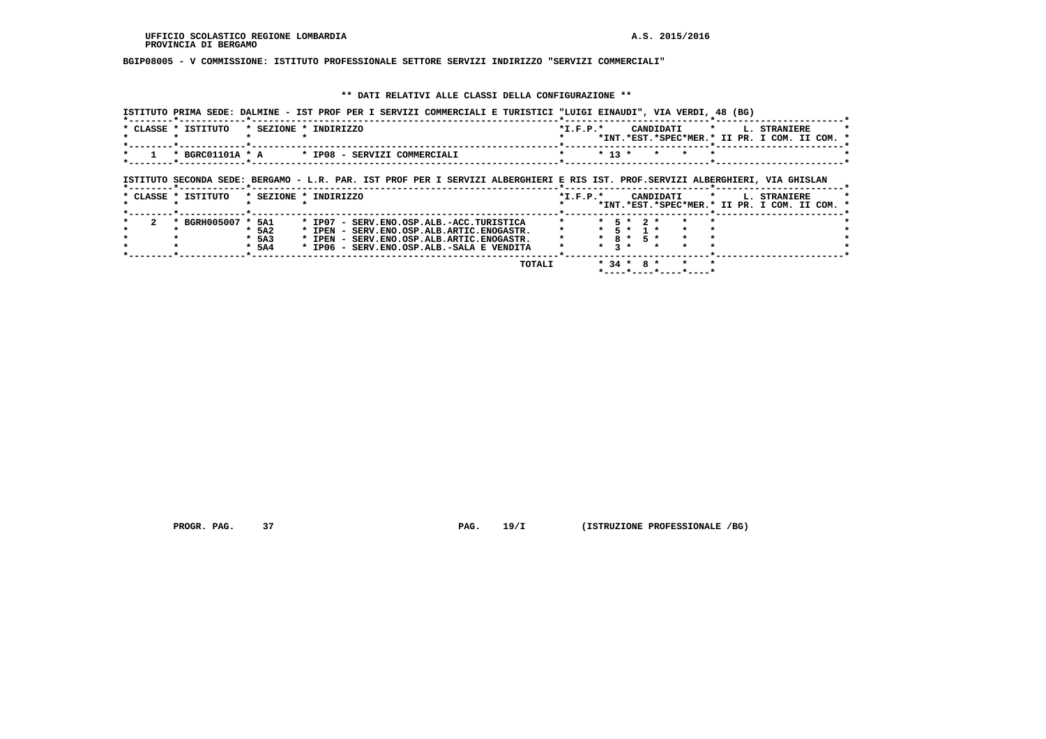# **BGIP08005 - V COMMISSIONE: ISTITUTO PROFESSIONALE SETTORE SERVIZI INDIRIZZO "SERVIZI COMMERCIALI"**

# **\*\* DATI RELATIVI ALLE CLASSI DELLA CONFIGURAZIONE \*\***

|                                                     | ISTITUTO PRIMA SEDE: DALMINE - IST PROF PER I SERVIZI COMMERCIALI E TURISTICI "LUIGI EINAUDI", VIA VERDI, 48 (BG)                                                               |                                                                                                   |
|-----------------------------------------------------|---------------------------------------------------------------------------------------------------------------------------------------------------------------------------------|---------------------------------------------------------------------------------------------------|
| * CLASSE * ISTITUTO                                 | * SEZIONE * INDIRIZZO                                                                                                                                                           | $*I.F.P.*$<br>CANDIDATI *<br><b>L. STRANIERE</b><br>*INT.*EST.*SPEC*MER.* II PR. I COM. II COM. * |
|                                                     | * BGRC01101A * A * * IP08 - SERVIZI COMMERCIALI                                                                                                                                 | $*$ 13 $*$<br>$\star$ $\sim$<br>$\star$ $\star$                                                   |
|                                                     | ISTITUTO SECONDA SEDE: BERGAMO - L.R. PAR. IST PROF PER I SERVIZI ALBERGHIERI E RIS IST. PROF.SERVIZI ALBERGHIERI, VIA GHISLAN                                                  |                                                                                                   |
| * CLASSE * ISTITUTO                                 | * SEZIONE * INDIRIZZO                                                                                                                                                           | $*$ I.F.P. $*$<br>CANDIDATI *<br>L. STRANIERE<br>*INT.*EST.*SPEC*MER.* II PR. I COM. II COM. *    |
| * BGRH005007 * 5A1<br>$*$ 5A2<br>$*$ 5A3<br>$*$ 5A4 | * IP07 - SERV.ENO.OSP.ALB.-ACC.TURISTICA<br>* IPEN - SERV.ENO.OSP.ALB.ARTIC.ENOGASTR.<br>* IPEN - SERV.ENO.OSP.ALB.ARTIC.ENOGASTR.<br>* IP06 - SERV.ENO.OSP.ALB.-SALA E VENDITA | * 5 * 2 *<br>* 5 * 1 *<br>$*$ 8 $*$ 5 $*$<br>$*$ 3 $*$ $*$                                        |
|                                                     | TOTALI                                                                                                                                                                          | $* 34 * 8 * * *$<br>*----*----*----*----*                                                         |

 **PROGR. PAG.** 37 **PAG. 19/I** (ISTRUZIONE PROFESSIONALE /BG)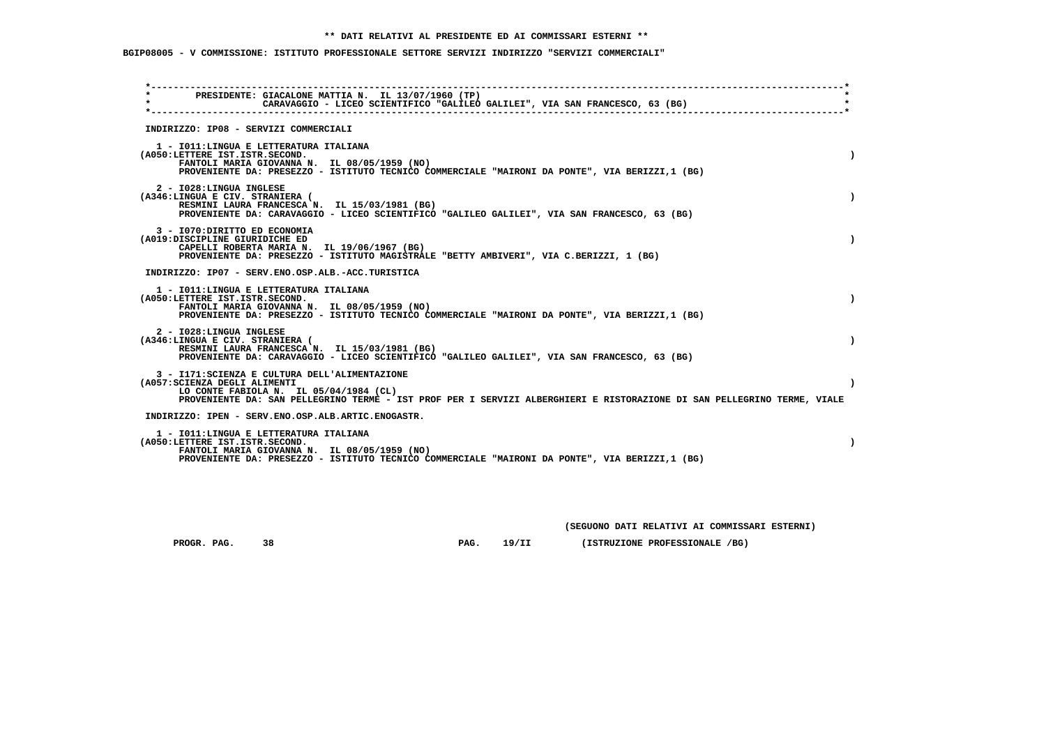## **\*\* DATI RELATIVI AL PRESIDENTE ED AI COMMISSARI ESTERNI \*\***

 **BGIP08005 - V COMMISSIONE: ISTITUTO PROFESSIONALE SETTORE SERVIZI INDIRIZZO "SERVIZI COMMERCIALI"**

| $\star$ . The set of $\star$<br>$\star$ |                                                                 | PRESIDENTE: GIACALONE MATTIA N. IL 13/07/1960 (TP)<br>CARAVAGGIO - LICEO SCIENTIFICO "GALILEO GALILEI", VIA SAN FRANCESCO, 63 (BG)                                                                                  |           |
|-----------------------------------------|-----------------------------------------------------------------|---------------------------------------------------------------------------------------------------------------------------------------------------------------------------------------------------------------------|-----------|
|                                         |                                                                 | INDIRIZZO: IP08 - SERVIZI COMMERCIALI                                                                                                                                                                               |           |
|                                         | (A050:LETTERE IST.ISTR.SECOND.                                  | 1 - IO11: LINGUA E LETTERATURA ITALIANA<br>FANTOLI MARIA GIOVANNA N. IL 08/05/1959 (NO)<br>PROVENIENTE DA: PRESEZZO - ISTITUTO TECNICO COMMERCIALE "MAIRONI DA PONTE", VIA BERIZZI,1 (BG)                           | $\lambda$ |
|                                         | 2 - I028: LINGUA INGLESE<br>(A346:LINGUA E CIV. STRANIERA (     | RESMINI LAURA FRANCESCA N. IL 15/03/1981 (BG)<br>PROVENIENTE DA: CARAVAGGIO - LICEO SCIENTIFICO "GALILEO GALILEI", VIA SAN FRANCESCO, 63 (BG)                                                                       |           |
|                                         | 3 - I070: DIRITTO ED ECONOMIA<br>(A019:DISCIPLINE GIURIDICHE ED | CAPELLI ROBERTA MARIA N. IL 19/06/1967 (BG)<br>PROVENIENTE DA: PRESEZZO - ISTITUTO MAGISTRALE "BETTY AMBIVERI", VIA C.BERIZZI, 1 (BG)                                                                               |           |
|                                         |                                                                 | INDIRIZZO: IP07 - SERV.ENO.OSP.ALB.-ACC.TURISTICA                                                                                                                                                                   |           |
|                                         | (A050:LETTERE IST.ISTR.SECOND.                                  | 1 - IO11: LINGUA E LETTERATURA ITALIANA<br>FANTOLI MARIA GIOVANNA N. IL 08/05/1959 (NO)<br>PROVENIENTE DA: PRESEZZO - ISTITUTO TECNICO COMMERCIALE "MAIRONI DA PONTE", VIA BERIZZI, 1 (BG)                          | $\lambda$ |
|                                         | 2 - I028:LINGUA INGLESE<br>(A346:LINGUA E CIV. STRANIERA (      | RESMINI LAURA FRANCESCA N. IL 15/03/1981 (BG)<br>PROVENIENTE DA: CARAVAGGIO - LICEO SCIENTIFICO "GALILEO GALILEI", VIA SAN FRANCESCO, 63 (BG)                                                                       | $\lambda$ |
|                                         | (A057: SCIENZA DEGLI ALIMENTI                                   | 3 - I171: SCIENZA E CULTURA DELL'ALIMENTAZIONE<br>LO CONTE FABIOLA N. IL 05/04/1984 (CL)<br>PROVENIENTE DA: SAN PELLEGRINO TERME - IST PROF PER I SERVIZI ALBERGHIERI E RISTORAZIONE DI SAN PELLEGRINO TERME, VIALE | $\lambda$ |
|                                         |                                                                 | INDIRIZZO: IPEN - SERV.ENO.OSP.ALB.ARTIC.ENOGASTR.                                                                                                                                                                  |           |
|                                         | (A050:LETTERE IST.ISTR.SECOND.                                  | 1 - IO11: LINGUA E LETTERATURA ITALIANA<br>FANTOLI MARIA GIOVANNA N. IL 08/05/1959 (NO)<br>PROVENIENTE DA: PRESEZZO - ISTITUTO TECNICO COMMERCIALE "MAIRONI DA PONTE", VIA BERIZZI,1 (BG)                           |           |

 **(SEGUONO DATI RELATIVI AI COMMISSARI ESTERNI)**

 **PROGR. PAG.** 38 **PROGR. PAG. 19/II** (ISTRUZIONE PROFESSIONALE /BG)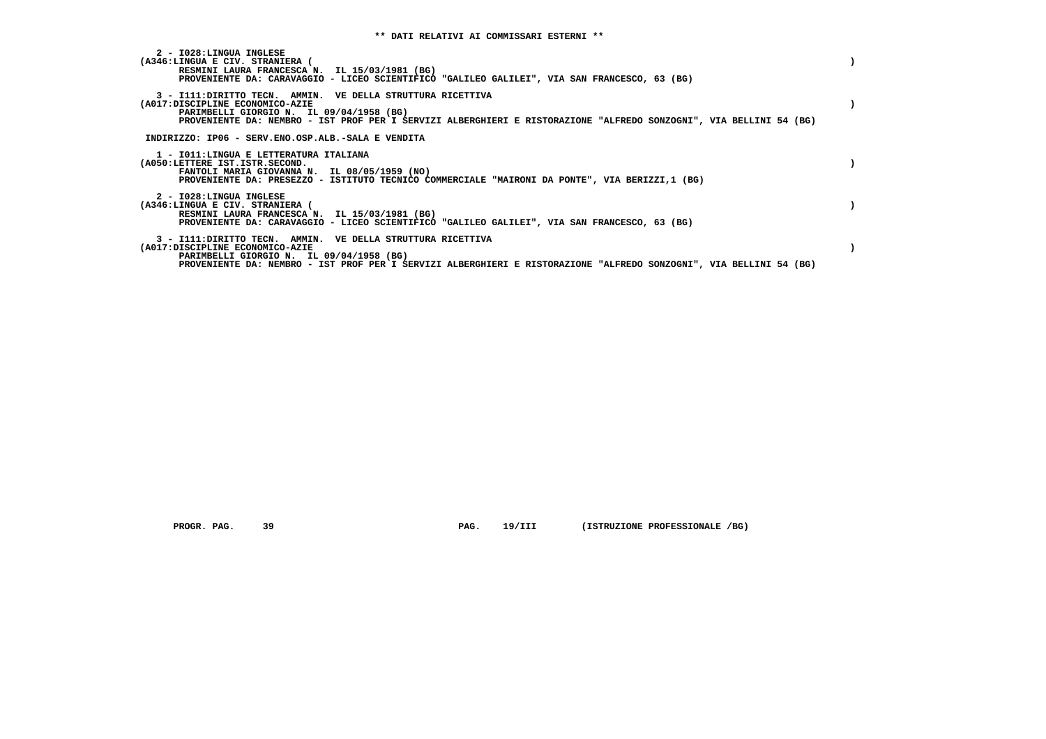| 2 - I028:LINGUA INGLESE<br>(A346:LINGUA E CIV. STRANIERA (<br>RESMINI LAURA FRANCESCA N. IL 15/03/1981 (BG)<br>PROVENIENTE DA: CARAVAGGIO - LICEO SCIENTIFICO "GALILEO GALILEI", VIA SAN FRANCESCO, 63 (BG)                                                      |  |
|------------------------------------------------------------------------------------------------------------------------------------------------------------------------------------------------------------------------------------------------------------------|--|
| 3 - I111: DIRITTO TECN. AMMIN. VE DELLA STRUTTURA RICETTIVA<br>(A017:DISCIPLINE ECONOMICO-AZIE<br>PARIMBELLI GIORGIO N. IL 09/04/1958 (BG)<br>PROVENIENTE DA: NEMBRO - IST PROF PER I SERVIZI ALBERGHIERI E RISTORAZIONE "ALFREDO SONZOGNI", VIA BELLINI 54 (BG) |  |
| INDIRIZZO: IP06 - SERV.ENO.OSP.ALB.-SALA E VENDITA                                                                                                                                                                                                               |  |
| 1 - IO11:LINGUA E LETTERATURA ITALIANA<br>(A050:LETTERE IST.ISTR.SECOND.<br>FANTOLI MARIA GIOVANNA N. IL 08/05/1959 (NO)<br>PROVENIENTE DA: PRESEZZO - ISTITUTO TECNICO COMMERCIALE "MAIRONI DA PONTE", VIA BERIZZI,1 (BG)                                       |  |
| 2 - I028:LINGUA INGLESE<br>(A346:LINGUA E CIV. STRANIERA (<br>RESMINI LAURA FRANCESCA N. IL 15/03/1981 (BG)<br>PROVENIENTE DA: CARAVAGGIO - LICEO SCIENTIFICO "GALILEO GALILEI", VIA SAN FRANCESCO, 63 (BG)                                                      |  |
| 3 - I111: DIRITTO TECN. AMMIN. VE DELLA STRUTTURA RICETTIVA<br>(A017:DISCIPLINE ECONOMICO-AZIE<br>PARIMBELLI GIORGIO N. IL 09/04/1958 (BG)<br>PROVENIENTE DA: NEMBRO - IST PROF PER I SERVIZI ALBERGHIERI E RISTORAZIONE "ALFREDO SONZOGNI", VIA BELLINI 54 (BG) |  |

 **PROGR. PAG.** 39 **PAG.** 19/III (ISTRUZIONE PROFESSIONALE /BG)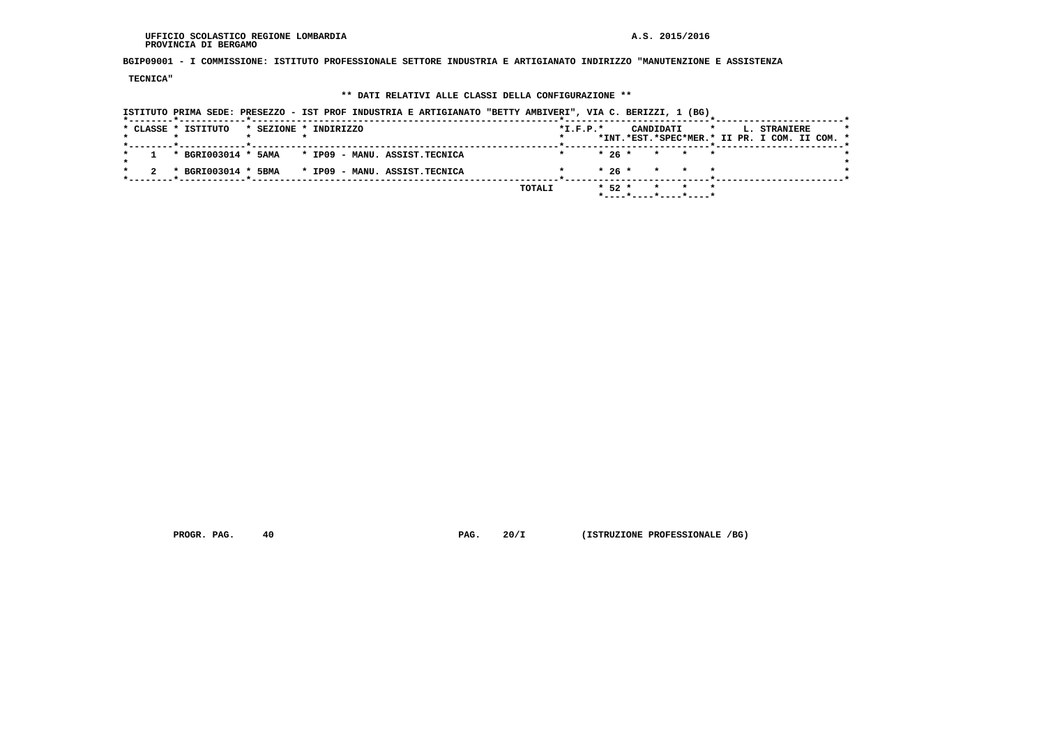#### **UFFICIO SCOLASTICO REGIONE LOMBARDIA A.S. 2015/2016 PROVINCIA DI BERGAMO**

 **BGIP09001 - I COMMISSIONE: ISTITUTO PROFESSIONALE SETTORE INDUSTRIA E ARTIGIANATO INDIRIZZO "MANUTENZIONE E ASSISTENZA**

 **TECNICA"**

## **\*\* DATI RELATIVI ALLE CLASSI DELLA CONFIGURAZIONE \*\***

| ISTITUTO PRIMA SEDE: PRESEZZO - IST PROF INDUSTRIA E ARTIGIANATO "BETTY AMBIVERI", VIA C. BERIZZI, 1 (BG)<br>------*------------*----- |                                                                                                            |
|----------------------------------------------------------------------------------------------------------------------------------------|------------------------------------------------------------------------------------------------------------|
| * CLASSE * ISTITUTO<br>* SEZIONE * INDIRIZZO                                                                                           | $*I.F.P.*$<br>$\star$<br>CANDIDATI<br><b>L. STRANIERE</b><br>*INT.*EST.*SPEC*MER.* II PR. I COM. II COM. * |
| $1$ * BGRI003014 * 5AMA * IP09 - MANU. ASSIST. TECNICA                                                                                 | $* 26 * * * * * * *$                                                                                       |
| * BGRI003014 * 5BMA * IP09 - MANU. ASSIST.TECNICA                                                                                      | $* 26 * * * * * *$                                                                                         |
|                                                                                                                                        | $* 52 * * * * * * *$<br>TOTALI<br>*----*----*----*----*                                                    |

 **PROGR. PAG.** 40 **PAG. 20/I** (ISTRUZIONE PROFESSIONALE /BG)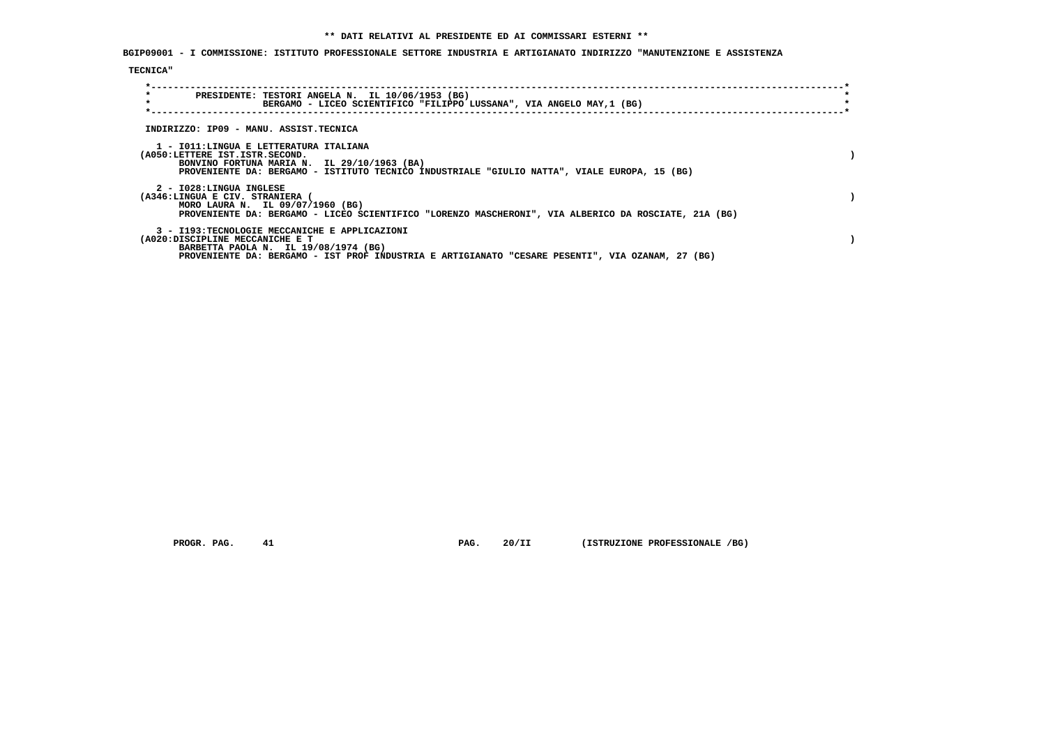**BGIP09001 - I COMMISSIONE: ISTITUTO PROFESSIONALE SETTORE INDUSTRIA E ARTIGIANATO INDIRIZZO "MANUTENZIONE E ASSISTENZA**

## **TECNICA"**

| $\star$<br>PRESIDENTE: TESTORI ANGELA N. IL 10/06/1953 (BG)<br>$\star$<br>BERGAMO - LICEO SCIENTIFICO "FILIPPO LUSSANA", VIA ANGELO MAY,1 (BG) |  |
|------------------------------------------------------------------------------------------------------------------------------------------------|--|
| INDIRIZZO: IP09 - MANU. ASSIST.TECNICA                                                                                                         |  |
|                                                                                                                                                |  |
| 1 - IO11:LINGUA E LETTERATURA ITALIANA                                                                                                         |  |
| (A050:LETTERE IST.ISTR.SECOND.<br>BONVINO FORTUNA MARIA N. IL 29/10/1963 (BA)                                                                  |  |
| PROVENIENTE DA: BERGAMO - ISTITUTO TECNICO INDUSTRIALE "GIULIO NATTA", VIALE EUROPA, 15 (BG)                                                   |  |
| 2 - I028:LINGUA INGLESE                                                                                                                        |  |
| (A346:LINGUA E CIV. STRANIERA (                                                                                                                |  |
| MORO LAURA N. IL 09/07/1960 (BG)                                                                                                               |  |
| PROVENIENTE DA: BERGAMO - LICEO SCIENTIFICO "LORENZO MASCHERONI", VIA ALBERICO DA ROSCIATE, 21A (BG)                                           |  |
| 3 - I193:TECNOLOGIE MECCANICHE E APPLICAZIONI                                                                                                  |  |
| (A020:DISCIPLINE MECCANICHE E T                                                                                                                |  |
| BARBETTA PAOLA N. IL 19/08/1974 (BG)                                                                                                           |  |
| PROVENIENTE DA: BERGAMO - IST PROF INDUSTRIA E ARTIGIANATO "CESARE PESENTI", VIA OZANAM, 27 (BG)                                               |  |

 **PROGR. PAG.** 41 **PROGR. 20/II** (ISTRUZIONE PROFESSIONALE /BG)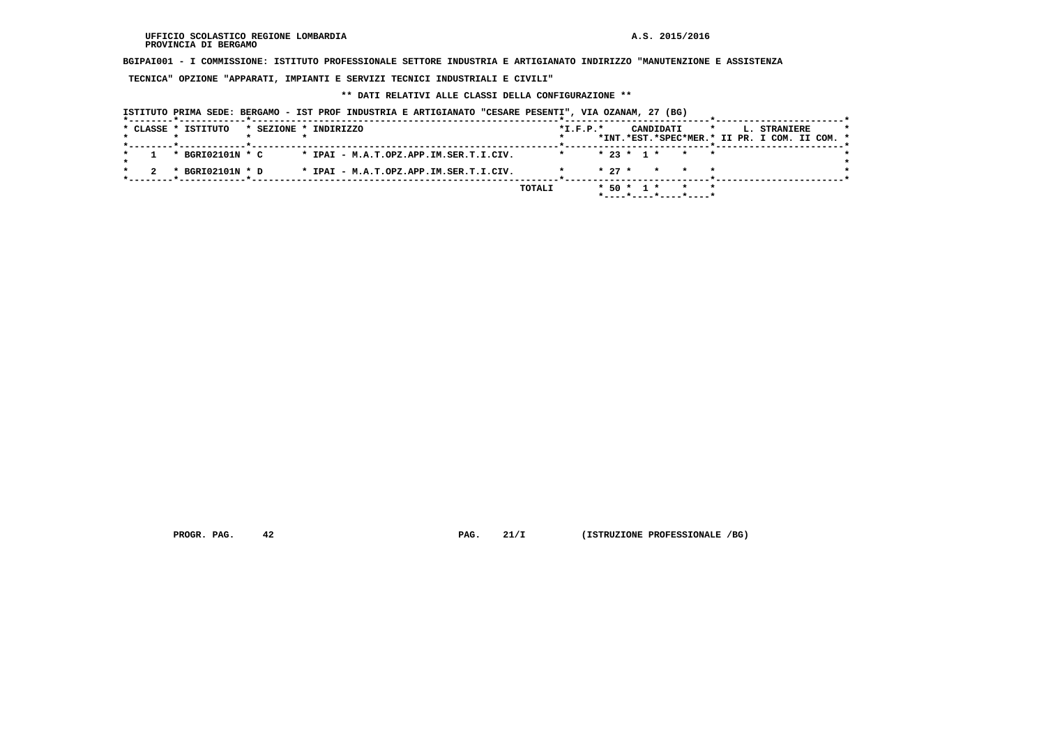$\star$ 

 $\star$ 

 $\bullet$ 

 **BGIPAI001 - I COMMISSIONE: ISTITUTO PROFESSIONALE SETTORE INDUSTRIA E ARTIGIANATO INDIRIZZO "MANUTENZIONE E ASSISTENZA**

 **TECNICA" OPZIONE "APPARATI, IMPIANTI E SERVIZI TECNICI INDUSTRIALI E CIVILI"**

#### **\*\* DATI RELATIVI ALLE CLASSI DELLA CONFIGURAZIONE \*\***

 **ISTITUTO PRIMA SEDE: BERGAMO - IST PROF INDUSTRIA E ARTIGIANATO "CESARE PESENTI", VIA OZANAM, 27 (BG) \*--------\*------------\*-------------------------------------------------------\*--------------------------\*-----------------------\* \* CLASSE \* ISTITUTO \* SEZIONE \* INDIRIZZO \*I.F.P.\* CANDIDATI \* L. STRANIERE \* \* \* \* \* \* \*INT.\*EST.\*SPEC\*MER.\* II PR. I COM. II COM. \* \*--------\*------------\*-------------------------------------------------------\*--------------------------\*-----------------------\* \* 1 \* BGRI02101N \* C \* IPAI - M.A.T.OPZ.APP.IM.SER.T.I.CIV. \* \* 23 \* 1 \* \* \* \* \* \* \* 2 \* BGRI02101N \* D \* IPAI - M.A.T.OPZ.APP.IM.SER.T.I.CIV. \* \* 27 \* \* \* \* \* \*--------\*------------\*-------------------------------------------------------\*--------------------------\*-----------------------\* TOTALI \* 50 \* 1 \* \* \* \*----\*----\*----\*----\***

**PROGR. PAG.** 42 **PROGR. 21/I (ISTRUZIONE PROFESSIONALE /BG)**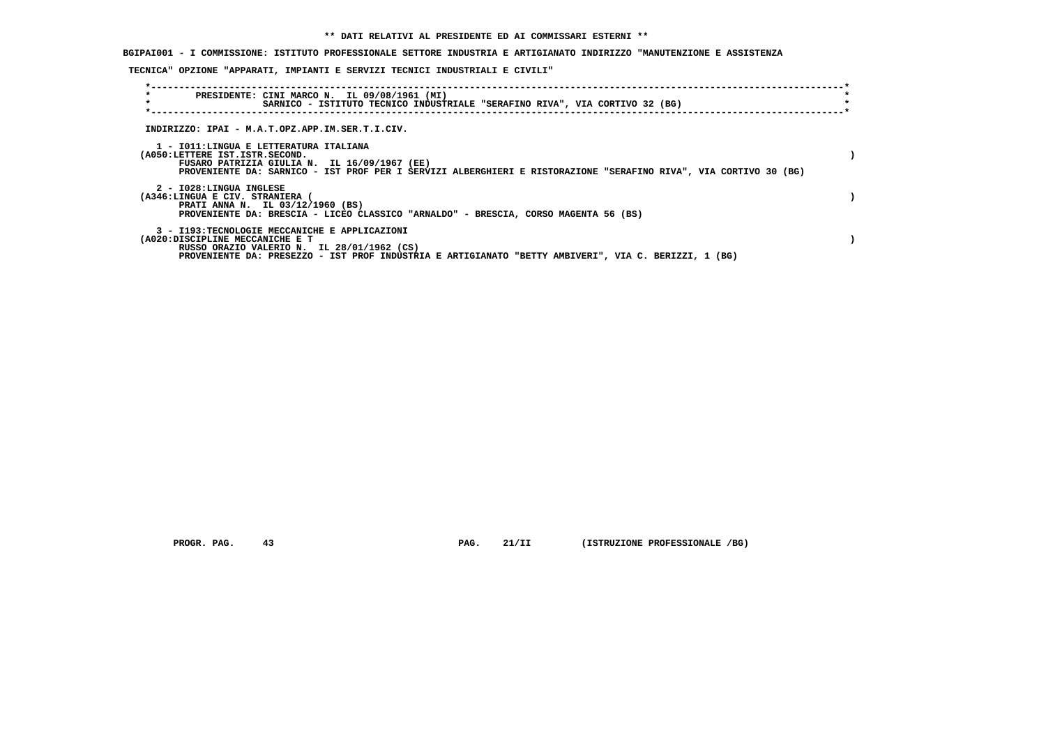# **BGIPAI001 - I COMMISSIONE: ISTITUTO PROFESSIONALE SETTORE INDUSTRIA E ARTIGIANATO INDIRIZZO "MANUTENZIONE E ASSISTENZA**

## **TECNICA" OPZIONE "APPARATI, IMPIANTI E SERVIZI TECNICI INDUSTRIALI E CIVILI"**

| $\star$<br>PRESIDENTE: CINI MARCO N. IL 09/08/1961 (MI)<br>SARNICO - ISTITUTO TECNICO INDUSTRIALE "SERAFINO RIVA", VIA CORTIVO 32 (BG)                                                                                                       |  |
|----------------------------------------------------------------------------------------------------------------------------------------------------------------------------------------------------------------------------------------------|--|
| INDIRIZZO: IPAI - M.A.T.OPZ.APP.IM.SER.T.I.CIV.                                                                                                                                                                                              |  |
| 1 - IO11:LINGUA E LETTERATURA ITALIANA<br>(A050:LETTERE IST.ISTR.SECOND.<br>FUSARO PATRIZIA GIULIA N. IL 16/09/1967 (EE)<br>PROVENIENTE DA: SARNICO - IST PROF PER I SERVIZI ALBERGHIERI E RISTORAZIONE "SERAFINO RIVA", VIA CORTIVO 30 (BG) |  |
| 2 - I028:LINGUA INGLESE<br>(A346:LINGUA E CIV. STRANIERA (<br>PRATI ANNA N. IL 03/12/1960 (BS)<br>PROVENIENTE DA: BRESCIA - LICEO CLASSICO "ARNALDO" - BRESCIA, CORSO MAGENTA 56 (BS)                                                        |  |
| 3 - I193:TECNOLOGIE MECCANICHE E APPLICAZIONI<br>(A020:DISCIPLINE MECCANICHE E T<br>RUSSO ORAZIO VALERIO N. IL 28/01/1962 (CS)<br>PROVENIENTE DA: PRESEZZO - IST PROF INDUSTRIA E ARTIGIANATO "BETTY AMBIVERI", VIA C. BERIZZI, 1 (BG)       |  |

 **PROGR. PAG.** 43 **PAG. 21/II (ISTRUZIONE PROFESSIONALE /BG)**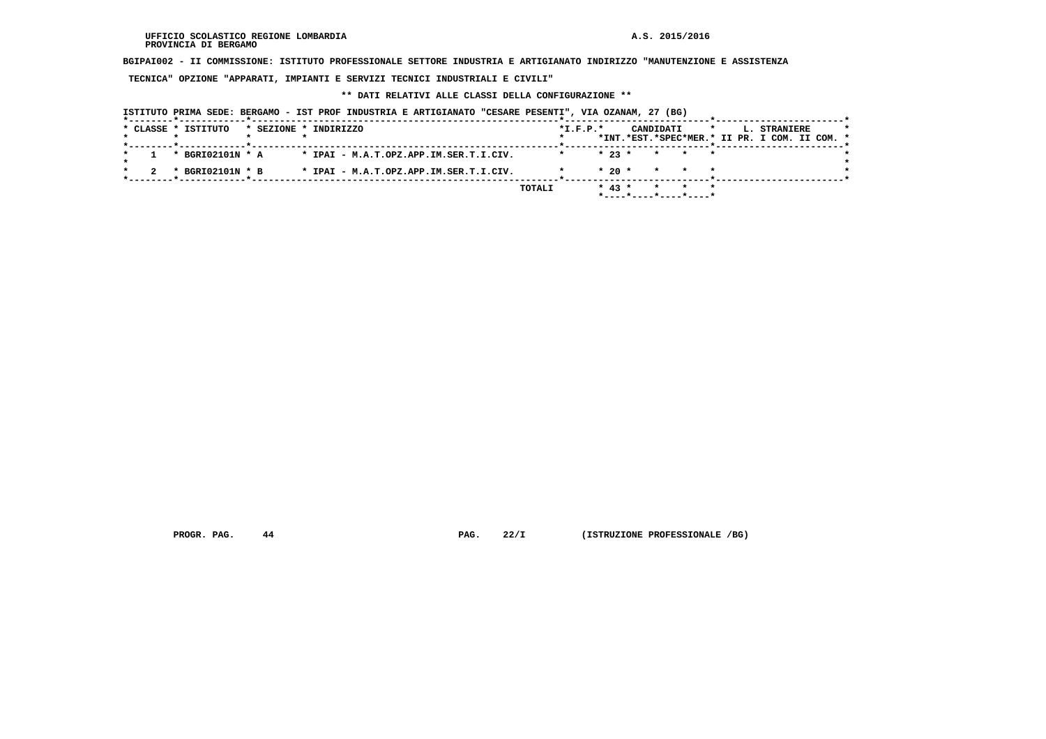**BGIPAI002 - II COMMISSIONE: ISTITUTO PROFESSIONALE SETTORE INDUSTRIA E ARTIGIANATO INDIRIZZO "MANUTENZIONE E ASSISTENZA**

 **TECNICA" OPZIONE "APPARATI, IMPIANTI E SERVIZI TECNICI INDUSTRIALI E CIVILI"**

#### **\*\* DATI RELATIVI ALLE CLASSI DELLA CONFIGURAZIONE \*\***

 **ISTITUTO PRIMA SEDE: BERGAMO - IST PROF INDUSTRIA E ARTIGIANATO "CESARE PESENTI", VIA OZANAM, 27 (BG) \*--------\*------------\*-------------------------------------------------------\*--------------------------\*-----------------------\*** $\star$  **\* CLASSE \* ISTITUTO \* SEZIONE \* INDIRIZZO \*I.F.P.\* CANDIDATI \* L. STRANIERE \* \* \* \* \* \* \*INT.\*EST.\*SPEC\*MER.\* II PR. I COM. II COM. \* \*--------\*------------\*-------------------------------------------------------\*--------------------------\*-----------------------\* \* 1 \* BGRI02101N \* A \* IPAI - M.A.T.OPZ.APP.IM.SER.T.I.CIV. \* \* 23 \* \* \* \* \*** $\star$  **\* \*** $\bullet$  **\* 2 \* BGRI02101N \* B \* IPAI - M.A.T.OPZ.APP.IM.SER.T.I.CIV. \* \* 20 \* \* \* \* \* \*--------\*------------\*-------------------------------------------------------\*--------------------------\*-----------------------\* TOTALI \* 43 \* \* \* \* \*----\*----\*----\*----\***

 **PROGR. PAG.** 44 **PROGR. 22/I (ISTRUZIONE PROFESSIONALE /BG)**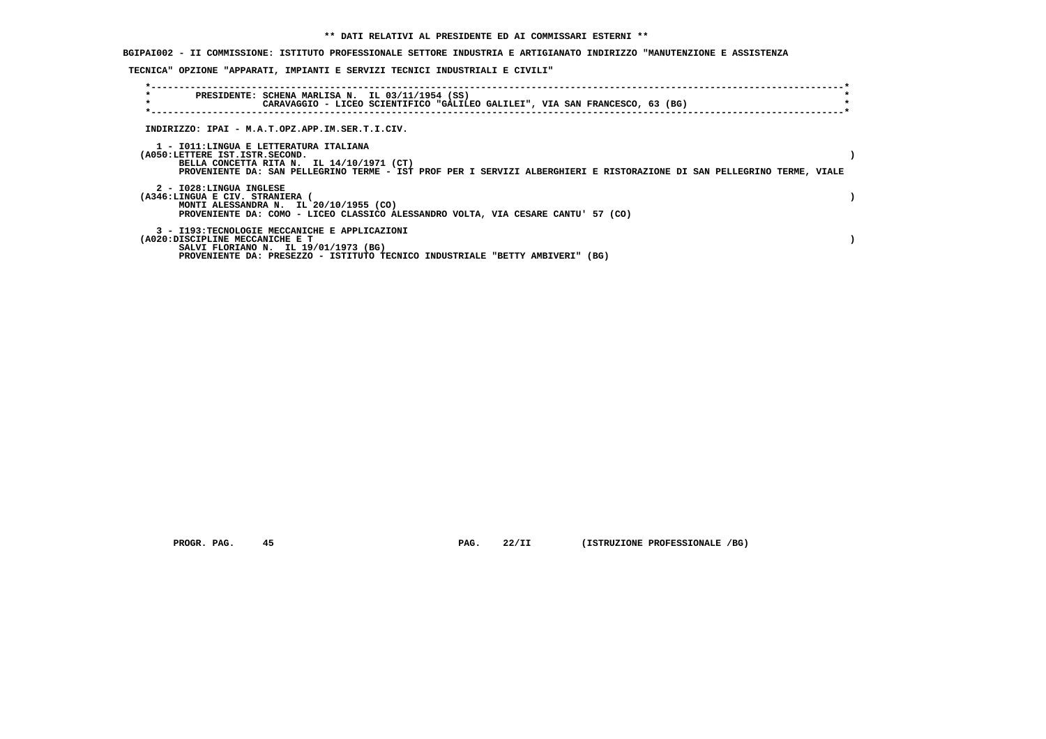**BGIPAI002 - II COMMISSIONE: ISTITUTO PROFESSIONALE SETTORE INDUSTRIA E ARTIGIANATO INDIRIZZO "MANUTENZIONE E ASSISTENZA**

## **TECNICA" OPZIONE "APPARATI, IMPIANTI E SERVIZI TECNICI INDUSTRIALI E CIVILI"**

| $\star$<br>$\star$ | PRESIDENTE: SCHENA MARLISA N. IL 03/11/1954 (SS)<br>CARAVAGGIO - LICEO SCIENTIFICO "GALILEO GALILEI", VIA SAN FRANCESCO, 63 (BG)                                                                                                                 |  |
|--------------------|--------------------------------------------------------------------------------------------------------------------------------------------------------------------------------------------------------------------------------------------------|--|
|                    | INDIRIZZO: IPAI - M.A.T.OPZ.APP.IM.SER.T.I.CIV.                                                                                                                                                                                                  |  |
|                    | 1 - IO11:LINGUA E LETTERATURA ITALIANA<br>(A050:LETTERE IST.ISTR.SECOND.<br>BELLA CONCETTA RITA N. IL 14/10/1971 (CT)<br>PROVENIENTE DA: SAN PELLEGRINO TERME - IST PROF PER I SERVIZI ALBERGHIERI E RISTORAZIONE DI SAN PELLEGRINO TERME, VIALE |  |
|                    | 2 - I028:LINGUA INGLESE<br>(A346:LINGUA E CIV. STRANIERA<br>MONTI ALESSANDRA N. IL 20/10/1955 (CO)<br>PROVENIENTE DA: COMO - LICEO CLASSICO ALESSANDRO VOLTA, VIA CESARE CANTU' 57 (CO)                                                          |  |
|                    | 3 - I193:TECNOLOGIE MECCANICHE E APPLICAZIONI<br>(A020:DISCIPLINE MECCANICHE E T<br>SALVI FLORIANO N. IL 19/01/1973 (BG)<br>PROVENIENTE DA: PRESEZZO - ISTITUTO TECNICO INDUSTRIALE "BETTY AMBIVERI" (BG)                                        |  |

 **PROGR. PAG. 45 PAG. 22/II (ISTRUZIONE PROFESSIONALE /BG)**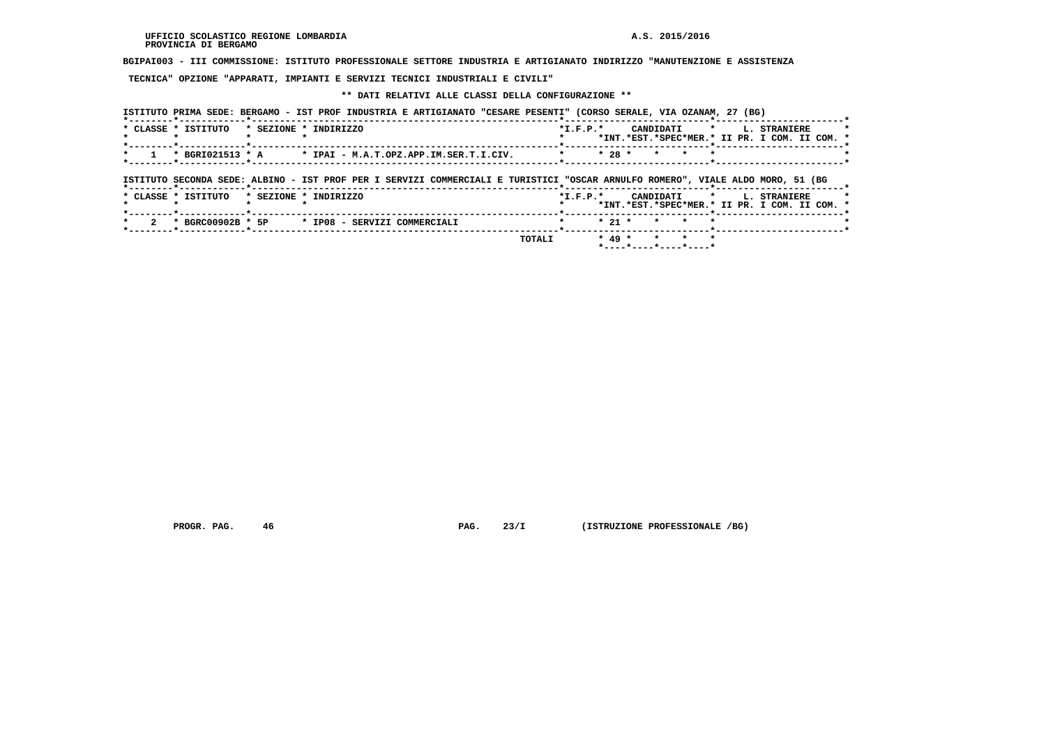**BGIPAI003 - III COMMISSIONE: ISTITUTO PROFESSIONALE SETTORE INDUSTRIA E ARTIGIANATO INDIRIZZO "MANUTENZIONE E ASSISTENZA**

 **TECNICA" OPZIONE "APPARATI, IMPIANTI E SERVIZI TECNICI INDUSTRIALI E CIVILI"**

# **\*\* DATI RELATIVI ALLE CLASSI DELLA CONFIGURAZIONE \*\***

|                                |                       | ISTITUTO PRIMA SEDE: BERGAMO - IST PROF INDUSTRIA E ARTIGIANATO "CESARE PESENTI" (CORSO SERALE, VIA OZANAM, 27 (BG)             |                |            |                                          |                    |                                                                                    |  |
|--------------------------------|-----------------------|---------------------------------------------------------------------------------------------------------------------------------|----------------|------------|------------------------------------------|--------------------|------------------------------------------------------------------------------------|--|
| * CLASSE * ISTITUTO            | * SEZIONE * INDIRIZZO |                                                                                                                                 |                | $*L.F.P.*$ |                                          |                    | CANDIDATI * L. STRANIERE<br>*INT.*EST.*SPEC*MER.* II PR. I COM. II COM. *          |  |
|                                |                       | * BGRI021513 * A * IPAI - M.A.T.OPZ.APP.IM.SER.T.I.CIV.                                                                         | $*$ $*$ 28 $*$ |            | * * *                                    | $\star$            | - <del>*</del> - - - - - - - - - - - - - - - - - -                                 |  |
| *--------*------------*------- |                       | ISTITUTO SECONDA SEDE: ALBINO - IST PROF PER I SERVIZI COMMERCIALI E TURISTICI "OSCAR ARNULFO ROMERO", VIALE ALDO MORO, 51 (BG) |                |            |                                          |                    |                                                                                    |  |
| * CLASSE * ISTITUTO            | * SEZIONE * INDIRIZZO |                                                                                                                                 |                |            |                                          |                    | *I.F.P.* CANDIDATI * L. STRANIERE<br>*INT.*EST.*SPEC*MER.* II PR. I COM. II COM. * |  |
| * BGRC00902B * 5P              |                       | * IP08 - SERVIZI COMMERCIALI                                                                                                    |                | $* 21 *$   | $\star$                                  | $\star$<br>$\star$ |                                                                                    |  |
|                                |                       | TOTALI                                                                                                                          |                | $* 49 *$   | $\star$ $\star$<br>*----*----*----*----* | $\mathbf{r}$       |                                                                                    |  |

 **PROGR. PAG.** 46 **PROGR. PAG. 23/I** (ISTRUZIONE PROFESSIONALE /BG)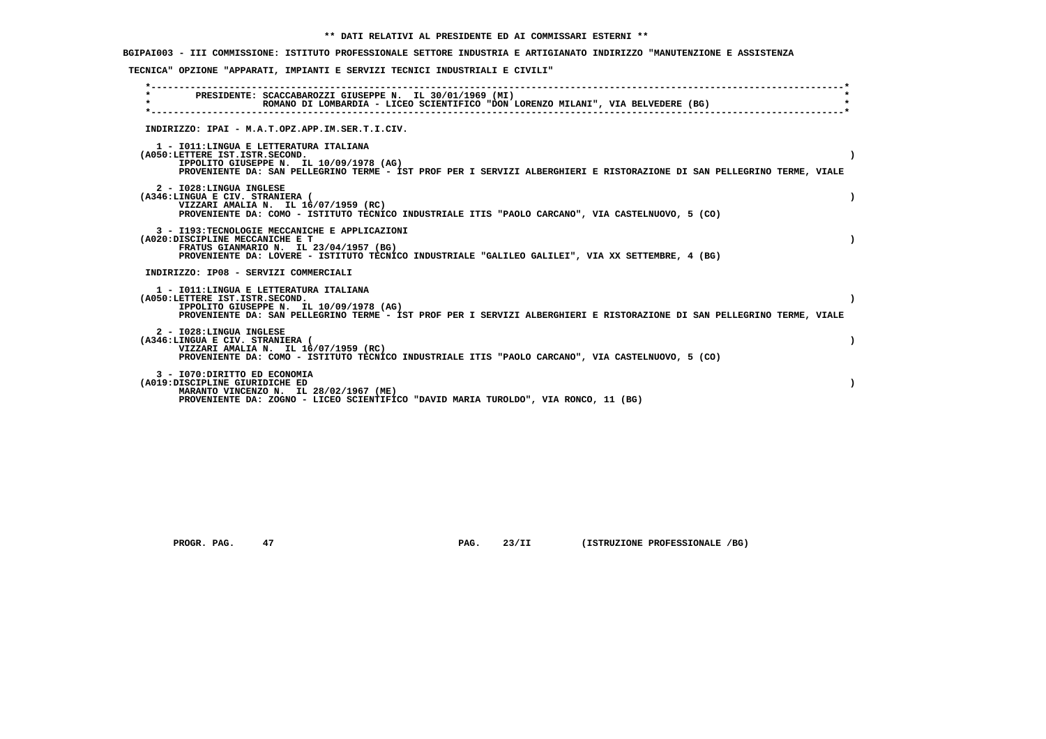**BGIPAI003 - III COMMISSIONE: ISTITUTO PROFESSIONALE SETTORE INDUSTRIA E ARTIGIANATO INDIRIZZO "MANUTENZIONE E ASSISTENZA**

## **TECNICA" OPZIONE "APPARATI, IMPIANTI E SERVIZI TECNICI INDUSTRIALI E CIVILI"**

| $\star$                               | PRESIDENTE: SCACCABAROZZI GIUSEPPE N. IL 30/01/1969 (MI)<br>ROMANO DI LOMBARDIA - LICEO SCIENTIFICO "DON LORENZO MILANI", VIA BELVEDERE (BG) |           |
|---------------------------------------|----------------------------------------------------------------------------------------------------------------------------------------------|-----------|
|                                       |                                                                                                                                              |           |
|                                       | INDIRIZZO: IPAI - M.A.T.OPZ.APP.IM.SER.T.I.CIV.                                                                                              |           |
|                                       | 1 - IO11: LINGUA E LETTERATURA ITALIANA                                                                                                      |           |
| (A050:LETTERE IST.ISTR.SECOND.        | IPPOLITO GIUSEPPE N. IL 10/09/1978 (AG)                                                                                                      |           |
|                                       | PROVENIENTE DA: SAN PELLEGRINO TERME - IST PROF PER I SERVIZI ALBERGHIERI E RISTORAZIONE DI SAN PELLEGRINO TERME, VIALE                      |           |
| 2 - I028:LINGUA INGLESE               |                                                                                                                                              |           |
| (A346:LINGUA E CIV. STRANIERA (       | VIZZARI AMALIA N. IL 16/07/1959 (RC)                                                                                                         |           |
|                                       | PROVENIENTE DA: COMO - ISTITUTO TECNICO INDUSTRIALE ITIS "PAOLO CARCANO", VIA CASTELNUOVO, 5 (CO)                                            |           |
|                                       | 3 - I193: TECNOLOGIE MECCANICHE E APPLICAZIONI                                                                                               |           |
| (A020:DISCIPLINE MECCANICHE E T       | FRATUS GIANMARIO N. IL 23/04/1957 (BG)                                                                                                       |           |
|                                       | PROVENIENTE DA: LOVERE - ISTITUTO TECNICO INDUSTRIALE "GALILEO GALILEI", VIA XX SETTEMBRE, 4 (BG)                                            |           |
| INDIRIZZO: IP08 - SERVIZI COMMERCIALI |                                                                                                                                              |           |
|                                       | 1 - IO11: LINGUA E LETTERATURA ITALIANA                                                                                                      |           |
| (A050:LETTERE IST.ISTR.SECOND.        | IPPOLITO GIUSEPPE N. IL 10/09/1978 (AG)                                                                                                      | $\lambda$ |
|                                       | PROVENIENTE DA: SAN PELLEGRINO TERME - IST PROF PER I SERVIZI ALBERGHIERI E RISTORAZIONE DI SAN PELLEGRINO TERME, VIALE                      |           |
| 2 - I028:LINGUA INGLESE               |                                                                                                                                              |           |
| (A346:LINGUA E CIV. STRANIERA (       | VIZZARI AMALIA N. IL 16/07/1959 (RC)                                                                                                         |           |
|                                       | PROVENIENTE DA: COMO - ISTITUTO TECNICO INDUSTRIALE ITIS "PAOLO CARCANO", VIA CASTELNUOVO, 5 (CO)                                            |           |
| 3 - I070: DIRITTO ED ECONOMIA         |                                                                                                                                              |           |
| (A019:DISCIPLINE GIURIDICHE ED        | MARANTO VINCENZO N. IL 28/02/1967 (ME)                                                                                                       |           |
|                                       | PROVENIENTE DA: ZOGNO - LICEO SCIENTIFICO "DAVID MARIA TUROLDO", VIA RONCO, 11 (BG)                                                          |           |
|                                       |                                                                                                                                              |           |

 **PROGR. PAG.** 47 **PROGR. PAG. 23/II (ISTRUZIONE PROFESSIONALE /BG)**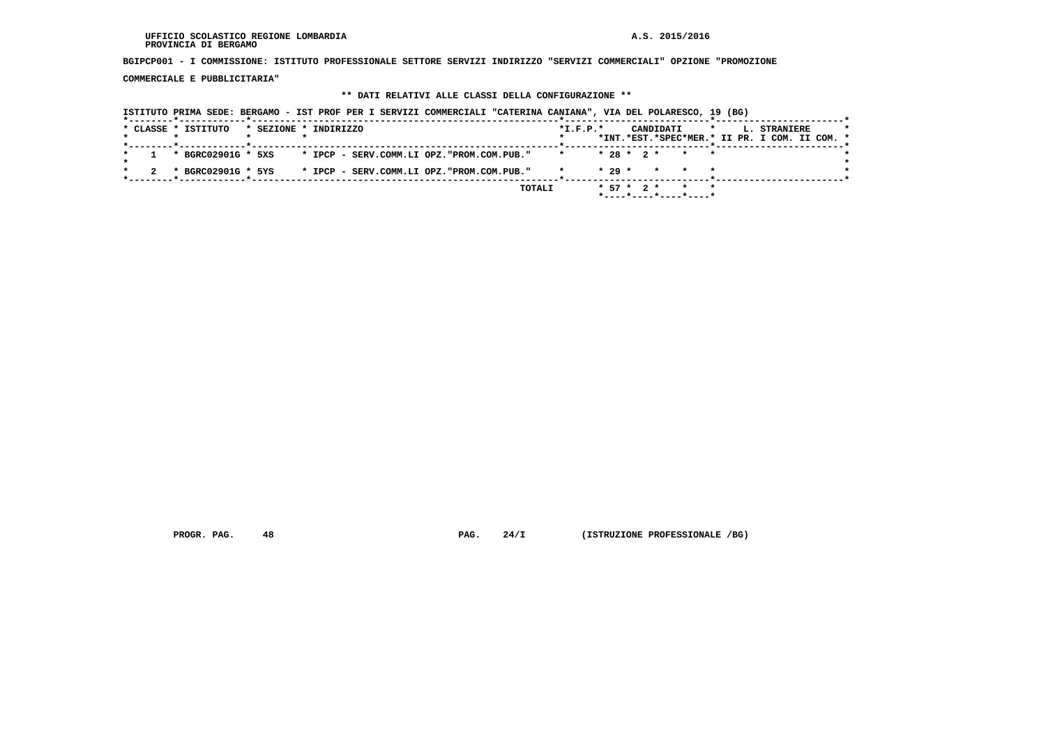#### **UFFICIO SCOLASTICO REGIONE LOMBARDIA A.S. 2015/2016 PROVINCIA DI BERGAMO**

 **BGIPCP001 - I COMMISSIONE: ISTITUTO PROFESSIONALE SETTORE SERVIZI INDIRIZZO "SERVIZI COMMERCIALI" OPZIONE "PROMOZIONE**

 **COMMERCIALE E PUBBLICITARIA"**

## **\*\* DATI RELATIVI ALLE CLASSI DELLA CONFIGURAZIONE \*\***

|                                                             |                       | ISTITUTO PRIMA SEDE: BERGAMO - IST PROF PER I SERVIZI COMMERCIALI "CATERINA CANIANA", VIA DEL POLARESCO, 19 (BG) |            |                  |                              |                                                                          |  |
|-------------------------------------------------------------|-----------------------|------------------------------------------------------------------------------------------------------------------|------------|------------------|------------------------------|--------------------------------------------------------------------------|--|
| * CLASSE * ISTITUTO<br>______*____________*________________ | * SEZIONE * INDIRIZZO |                                                                                                                  | $*L.F.P.*$ |                  | CANDIDATI                    | $\star$<br>L. STRANIERE<br>*INT.*EST.*SPEC*MER.* II PR. I COM. II COM. * |  |
| * BGRC02901G * 5XS                                          |                       | * IPCP - SERV.COMM.LI OPZ."PROM.COM.PUB."                                                                        |            |                  | $* 28 * 2 * * * * *$         |                                                                          |  |
|                                                             |                       | * BGRC02901G * 5YS * IPCP - SERV.COMM.LI OPZ."PROM.COM.PUB."                                                     |            | $* 29 *$         | * * *                        |                                                                          |  |
|                                                             |                       | TOTALI                                                                                                           |            | $*$ 57 $*$ 2 $*$ | * *<br>*----*----*----*----* |                                                                          |  |

 **PROGR. PAG.** 48 **PROGR. 24/I** (ISTRUZIONE PROFESSIONALE /BG)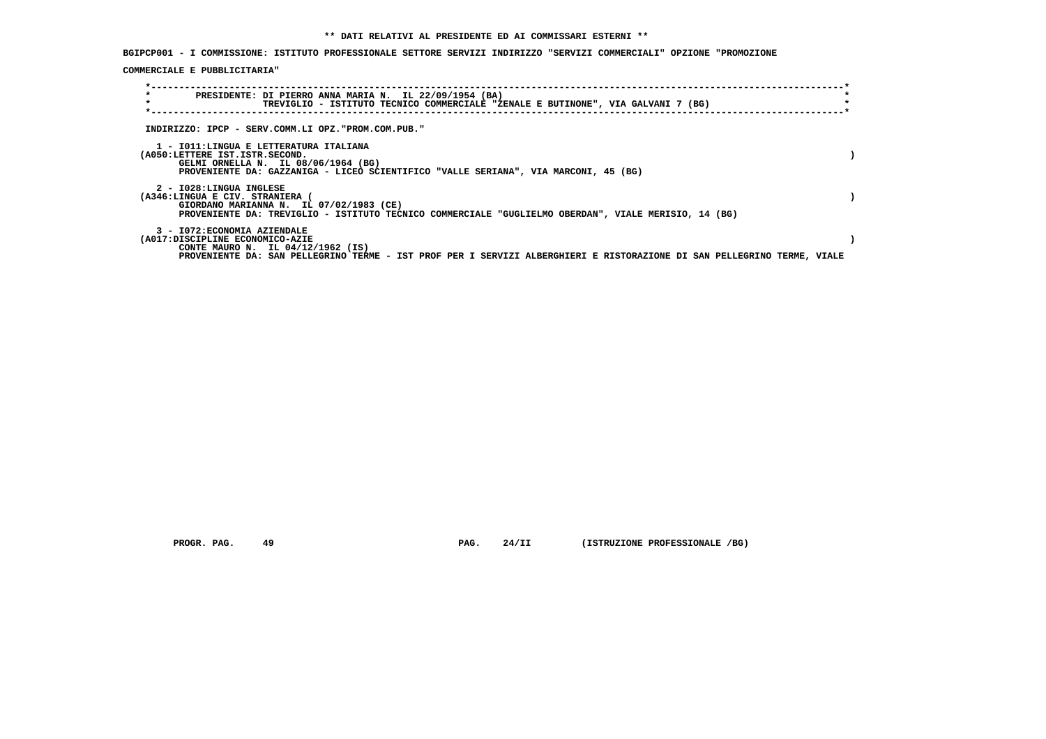**BGIPCP001 - I COMMISSIONE: ISTITUTO PROFESSIONALE SETTORE SERVIZI INDIRIZZO "SERVIZI COMMERCIALI" OPZIONE "PROMOZIONE**

 **COMMERCIALE E PUBBLICITARIA"**

| $\star$<br>PRESIDENTE: DI PIERRO ANNA MARIA N. IL 22/09/1954 (BA)<br>$\star$<br>TREVIGLIO - ISTITUTO TECNICO COMMERCIALE "ZENALE E BUTINONE", VIA GALVANI 7 (BG)                                                                |  |
|---------------------------------------------------------------------------------------------------------------------------------------------------------------------------------------------------------------------------------|--|
| INDIRIZZO: IPCP - SERV.COMM.LI OPZ."PROM.COM.PUB."                                                                                                                                                                              |  |
| 1 - IO11:LINGUA E LETTERATURA ITALIANA<br>(A050:LETTERE IST.ISTR.SECOND.<br>GELMI ORNELLA N. IL 08/06/1964 (BG)<br>PROVENIENTE DA: GAZZANIGA - LICEO SCIENTIFICO "VALLE SERIANA", VIA MARCONI, 45 (BG)                          |  |
| 2 - I028:LINGUA INGLESE<br>(A346:LINGUA E CIV. STRANIERA<br>GIORDANO MARIANNA N. IL 07/02/1983 (CE)<br>PROVENIENTE DA: TREVIGLIO - ISTITUTO TECNICO COMMERCIALE "GUGLIELMO OBERDAN", VIALE MERISIO, 14 (BG)                     |  |
| 3 - I072: ECONOMIA AZIENDALE<br>(A017:DISCIPLINE ECONOMICO-AZIE<br>CONTE MAURO N. IL 04/12/1962 (IS)<br>PROVENIENTE DA: SAN PELLEGRINO TERME - IST PROF PER I SERVIZI ALBERGHIERI E RISTORAZIONE DI SAN PELLEGRINO TERME, VIALE |  |

 **PROGR. PAG.** 49 **PAG. 24/II** (ISTRUZIONE PROFESSIONALE /BG)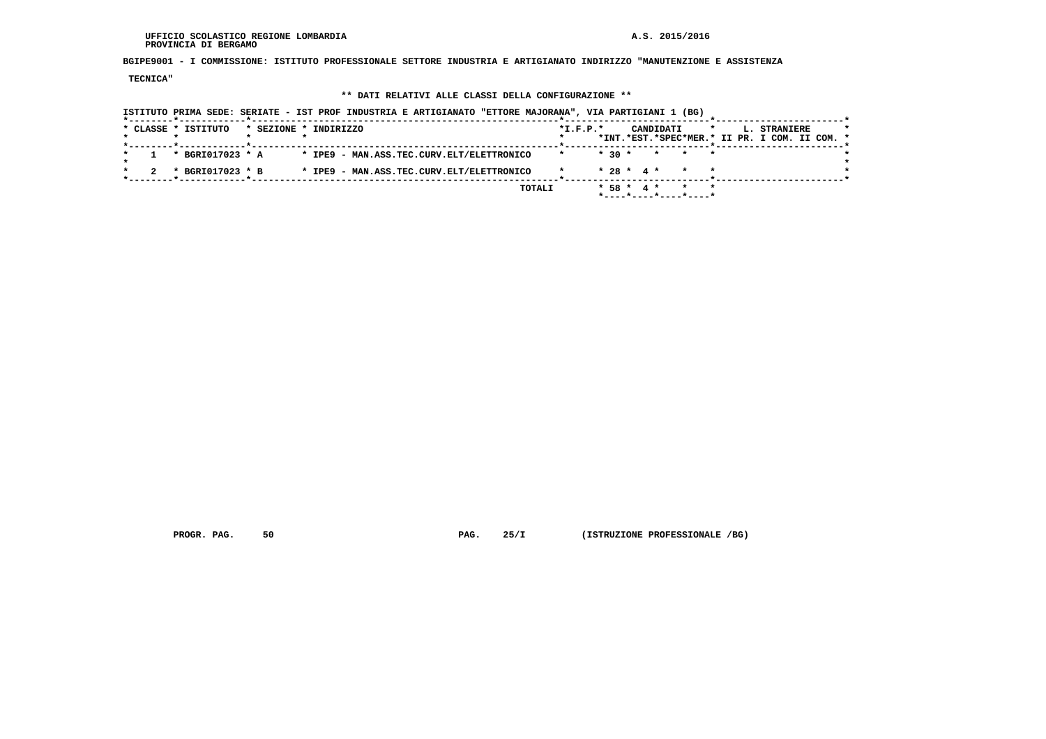#### **UFFICIO SCOLASTICO REGIONE LOMBARDIA A.S. 2015/2016 PROVINCIA DI BERGAMO**

 **BGIPE9001 - I COMMISSIONE: ISTITUTO PROFESSIONALE SETTORE INDUSTRIA E ARTIGIANATO INDIRIZZO "MANUTENZIONE E ASSISTENZA**

 **TECNICA"**

## **\*\* DATI RELATIVI ALLE CLASSI DELLA CONFIGURAZIONE \*\***

| ISTITUTO PRIMA SEDE: SERIATE - IST PROF INDUSTRIA E ARTIGIANATO "ETTORE MAJORANA", VIA PARTIGIANI 1 (BG) |                                                                                                     |
|----------------------------------------------------------------------------------------------------------|-----------------------------------------------------------------------------------------------------|
| * CLASSE * ISTITUTO<br>* SEZIONE * INDIRIZZO                                                             | $*L.F.P.*$<br>CANDIDATI<br>$\star$<br>L. STRANIERE<br>*INT.*EST.*SPEC*MER.* II PR. I COM. II COM. * |
| * IPE9 - MAN.ASS.TEC.CURV.ELT/ELETTRONICO<br>* BGRI017023 * A                                            | $* 30 *$<br>* * *                                                                                   |
| * IPE9 - MAN.ASS.TEC.CURV.ELT/ELETTRONICO<br>* BGRI017023 * B                                            | $* 28 * 4 *$<br>$\star$                                                                             |
|                                                                                                          | TOTALI<br>$*$ 58 $*$ 4 $*$<br>$\star$<br>*----*----*----*----*                                      |

 **PROGR. PAG.** 50 **PAG. 25/I** (ISTRUZIONE PROFESSIONALE /BG)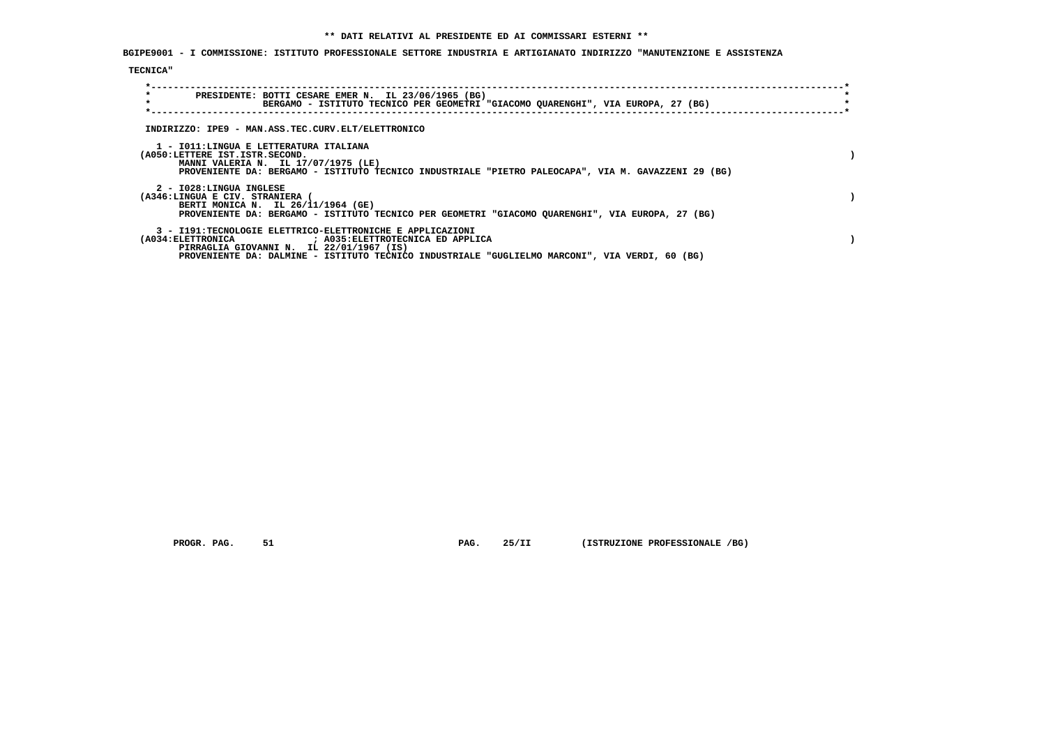**BGIPE9001 - I COMMISSIONE: ISTITUTO PROFESSIONALE SETTORE INDUSTRIA E ARTIGIANATO INDIRIZZO "MANUTENZIONE E ASSISTENZA**

## **TECNICA"**

| $\star$<br>$\star$ | PRESIDENTE: BOTTI CESARE EMER N. IL 23/06/1965 (BG)<br>BERGAMO - ISTITUTO TECNICO PER GEOMETRI "GIACOMO QUARENGHI", VIA EUROPA, 27 (BG)                                                                                |  |
|--------------------|------------------------------------------------------------------------------------------------------------------------------------------------------------------------------------------------------------------------|--|
|                    | INDIRIZZO: IPE9 - MAN.ASS.TEC.CURV.ELT/ELETTRONICO                                                                                                                                                                     |  |
|                    | 1 - IO11:LINGUA E LETTERATURA ITALIANA<br>(A050:LETTERE IST.ISTR.SECOND.<br>MANNI VALERIA N. IL 17/07/1975 (LE)<br>PROVENIENTE DA: BERGAMO - ISTITUTO TECNICO INDUSTRIALE "PIETRO PALEOCAPA", VIA M. GAVAZZENI 29 (BG) |  |
|                    | 2 - I028:LINGUA INGLESE<br>(A346:LINGUA E CIV. STRANIERA (<br>BERTI MONICA N. IL 26/11/1964 (GE)<br>PROVENIENTE DA: BERGAMO - ISTITUTO TECNICO PER GEOMETRI "GIACOMO QUARENGHI", VIA EUROPA, 27 (BG)                   |  |
|                    | 3 - I191:TECNOLOGIE ELETTRICO-ELETTRONICHE E APPLICAZIONI<br>PIRRAGLIA GIOVANNI N. IL 22/01/1967 (IS)<br>PROVENIENTE DA: DALMINE - ISTITUTO TECNICO INDUSTRIALE "GUGLIELMO MARCONI", VIA VERDI, 60 (BG)                |  |

 **PROGR. PAG.** 51 **PAG. 25/II (ISTRUZIONE PROFESSIONALE /BG)**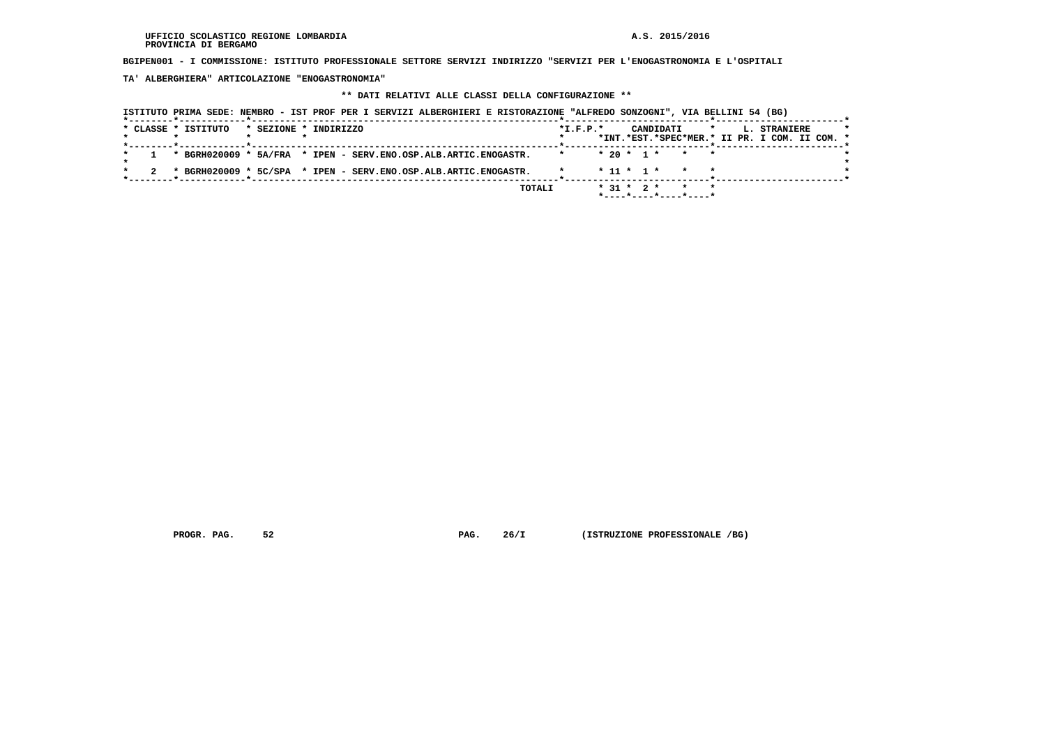**BGIPEN001 - I COMMISSIONE: ISTITUTO PROFESSIONALE SETTORE SERVIZI INDIRIZZO "SERVIZI PER L'ENOGASTRONOMIA E L'OSPITALI**

 **TA' ALBERGHIERA" ARTICOLAZIONE "ENOGASTRONOMIA"**

## **\*\* DATI RELATIVI ALLE CLASSI DELLA CONFIGURAZIONE \*\***

|                     | ISTITUTO PRIMA SEDE: NEMBRO - IST PROF PER I SERVIZI ALBERGHIERI E RISTORAZIONE "ALFREDO SONZOGNI", VIA BELLINI 54 (BG) |            |                                           |                                                                          |
|---------------------|-------------------------------------------------------------------------------------------------------------------------|------------|-------------------------------------------|--------------------------------------------------------------------------|
| * CLASSE * ISTITUTO | * SEZIONE * INDIRIZZO                                                                                                   | $*I.F.P.*$ | CANDIDATI                                 | $\star$<br>L. STRANIERE<br>*INT.*EST.*SPEC*MER.* II PR. I COM. II COM. * |
|                     | * BGRH020009 * 5A/FRA * IPEN - SERV.ENO.OSP.ALB.ARTIC.ENOGASTR.                                                         |            | $* 20 * 1 *$                              | * * *                                                                    |
|                     | * BGRH020009 * 5C/SPA * IPEN - SERV.ENO.OSP.ALB.ARTIC.ENOGASTR.                                                         |            | $* 11 * 1 *$                              | $\star$                                                                  |
|                     |                                                                                                                         | TOTALI     | $*$ 31 $*$ 2 $*$<br>*----*----*----*----* | $\star$                                                                  |

 **PROGR. PAG.** 52 **PROGR. 26/I** (ISTRUZIONE PROFESSIONALE /BG)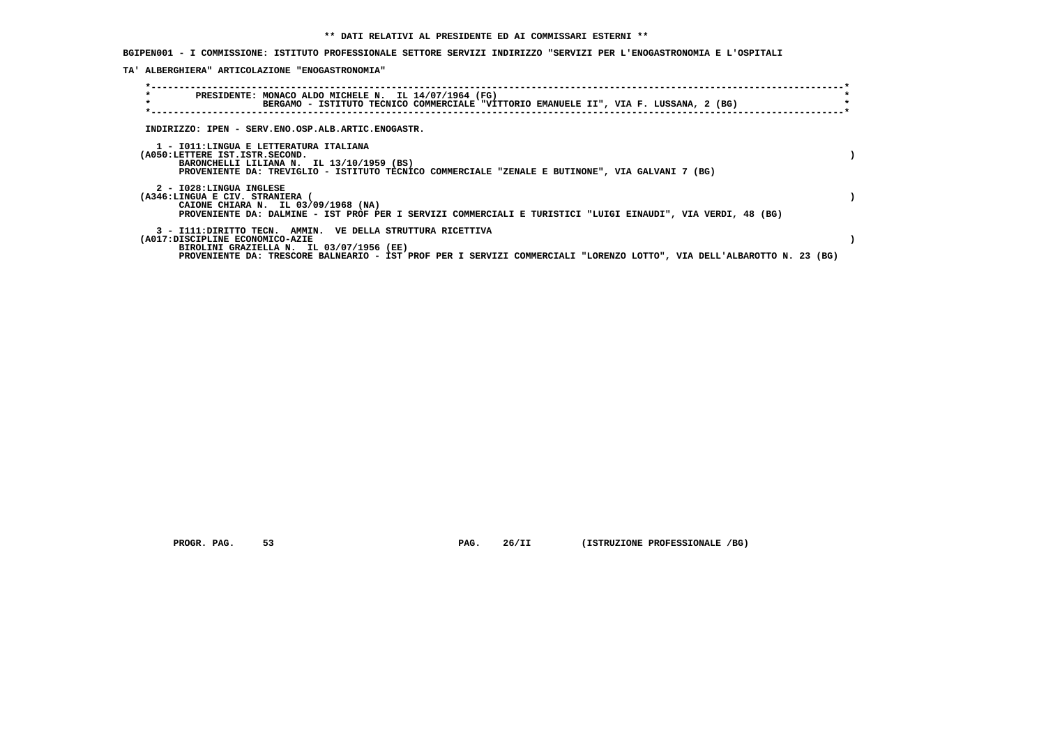**BGIPEN001 - I COMMISSIONE: ISTITUTO PROFESSIONALE SETTORE SERVIZI INDIRIZZO "SERVIZI PER L'ENOGASTRONOMIA E L'OSPITALI**

 **TA' ALBERGHIERA" ARTICOLAZIONE "ENOGASTRONOMIA"**

| $\star$<br>$\star$                                                                                                    | PRESIDENTE: MONACO ALDO MICHELE N. IL 14/07/1964 (FG)<br>BERGAMO - ISTITUTO TECNICO COMMERCIALE "VITTORIO EMANUELE II", VIA F. LUSSANA, 2 (BG)                                        |  |
|-----------------------------------------------------------------------------------------------------------------------|---------------------------------------------------------------------------------------------------------------------------------------------------------------------------------------|--|
| INDIRIZZO: IPEN - SERV.ENO.OSP.ALB.ARTIC.ENOGASTR.                                                                    |                                                                                                                                                                                       |  |
| 1 - IO11:LINGUA E LETTERATURA ITALIANA<br>(A050:LETTERE IST.ISTR.SECOND.<br>BARONCHELLI LILIANA N. IL 13/10/1959 (BS) | PROVENIENTE DA: TREVIGLIO - ISTITUTO TECNICO COMMERCIALE "ZENALE E BUTINONE", VIA GALVANI 7 (BG)                                                                                      |  |
| 2 - I028:LINGUA INGLESE<br>(A346:LINGUA E CIV. STRANIERA (<br>CAIONE CHIARA N. IL 03/09/1968 (NA)                     | PROVENIENTE DA: DALMINE - IST PROF PER I SERVIZI COMMERCIALI E TURISTICI "LUIGI EINAUDI", VIA VERDI, 48 (BG)                                                                          |  |
| (A017:DISCIPLINE ECONOMICO-AZIE<br>BIROLINI GRAZIELLA N. IL 03/07/1956 (EE)                                           | 3 - I111: DIRITTO TECN. AMMIN. VE DELLA STRUTTURA RICETTIVA<br>PROVENIENTE DA: TRESCORE BALNEARIO - IST PROF PER I SERVIZI COMMERCIALI "LORENZO LOTTO", VIA DELL'ALBAROTTO N. 23 (BG) |  |

 **PROGR. PAG.** 53 **PAG. 26/II (ISTRUZIONE PROFESSIONALE /BG)**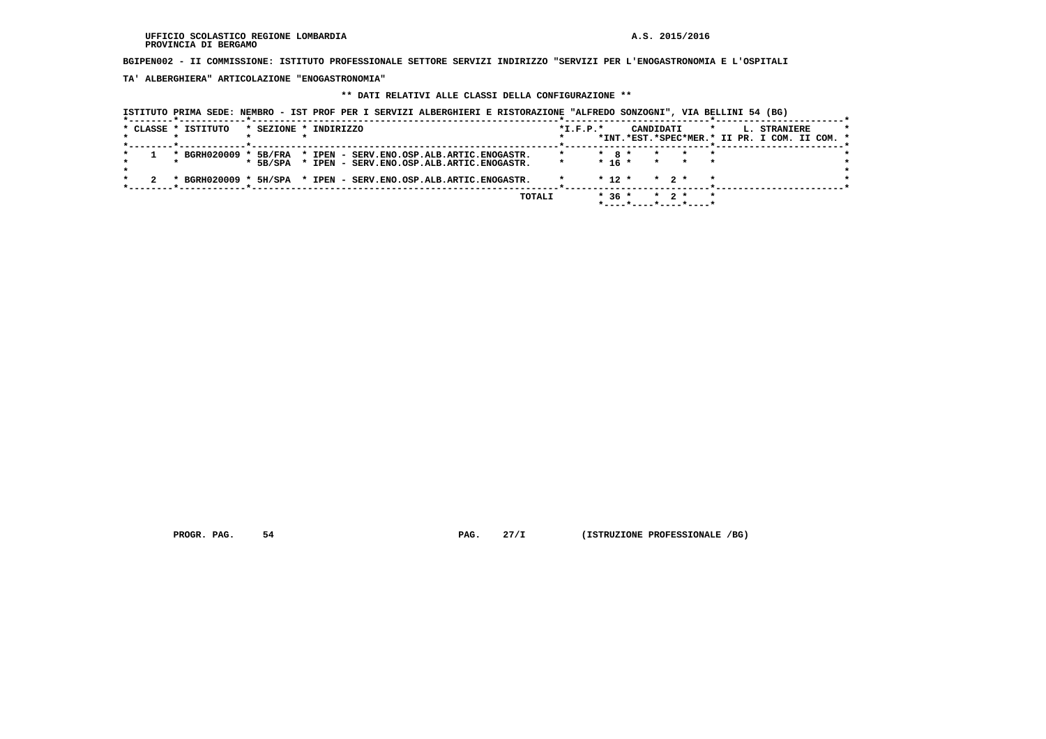**BGIPEN002 - II COMMISSIONE: ISTITUTO PROFESSIONALE SETTORE SERVIZI INDIRIZZO "SERVIZI PER L'ENOGASTRONOMIA E L'OSPITALI**

 **TA' ALBERGHIERA" ARTICOLAZIONE "ENOGASTRONOMIA"**

## **\*\* DATI RELATIVI ALLE CLASSI DELLA CONFIGURAZIONE \*\***

| * CLASSE * ISTITUTO   |            | * SEZIONE * INDIRIZZO |                                                                 |  | $*I.F.P.*$ |            | CANDIDATI      |                   | $\star$ | L. STRANIERE                                  |  |
|-----------------------|------------|-----------------------|-----------------------------------------------------------------|--|------------|------------|----------------|-------------------|---------|-----------------------------------------------|--|
|                       |            |                       |                                                                 |  |            |            |                |                   |         | *INT.*EST.*SPEC*MER.* II PR. I COM. II COM. * |  |
| * BGRH020009 * 5B/FRA |            |                       | * IPEN - SERV.ENO.OSP.ALB.ARTIC.ENOGASTR.                       |  |            | $*$ 8 $*$  | $\star$        |                   |         |                                               |  |
|                       | $*$ 5B/SPA |                       | * IPEN - SERV. ENO. OSP. ALB. ARTIC. ENOGASTR.                  |  |            |            | $* 16 * * * *$ |                   |         |                                               |  |
|                       |            |                       | * BGRH020009 * 5H/SPA * IPEN - SERV.ENO.OSP.ALB.ARTIC.ENOGASTR. |  |            | $*$ 12 $*$ |                | $\star$ 2 $\star$ | $\star$ |                                               |  |

 **PROGR. PAG.** 54 **PROGR. 27/I** (ISTRUZIONE PROFESSIONALE /BG)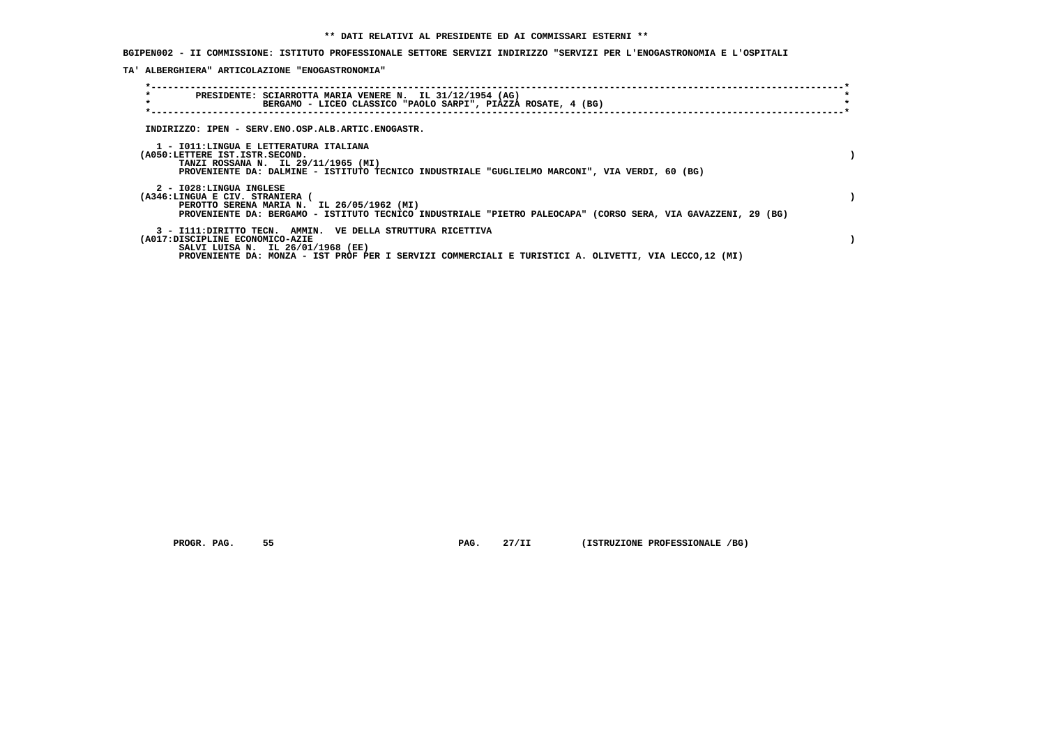**BGIPEN002 - II COMMISSIONE: ISTITUTO PROFESSIONALE SETTORE SERVIZI INDIRIZZO "SERVIZI PER L'ENOGASTRONOMIA E L'OSPITALI**

 **TA' ALBERGHIERA" ARTICOLAZIONE "ENOGASTRONOMIA"**

| $\star$<br>PRESIDENTE: SCIARROTTA MARIA VENERE N. IL 31/12/1954 (AG)<br>$\star$<br>BERGAMO - LICEO CLASSICO "PAOLO SARPI", PIAZZA ROSATE, 4 (BG)                                                                                              |  |
|-----------------------------------------------------------------------------------------------------------------------------------------------------------------------------------------------------------------------------------------------|--|
| INDIRIZZO: IPEN - SERV.ENO.OSP.ALB.ARTIC.ENOGASTR.                                                                                                                                                                                            |  |
| 1 - IO11:LINGUA E LETTERATURA ITALIANA<br>(A050:LETTERE IST.ISTR.SECOND.<br>TANZI ROSSANA N. IL 29/11/1965 (MI)<br>PROVENIENTE DA: DALMINE - ISTITUTO TECNICO INDUSTRIALE "GUGLIELMO MARCONI", VIA VERDI, 60 (BG)                             |  |
| 2 - I028:LINGUA INGLESE<br>(A346:LINGUA E CIV. STRANIERA (<br>PEROTTO SERENA MARIA N. IL 26/05/1962 (MI)<br>PROVENIENTE DA: BERGAMO - ISTITUTO TECNICO INDUSTRIALE "PIETRO PALEOCAPA" (CORSO SERA, VIA GAVAZZENI, 29 (BG)                     |  |
| 3 - I111: DIRITTO TECN. AMMIN. VE DELLA STRUTTURA RICETTIVA<br>(A017:DISCIPLINE ECONOMICO-AZIE<br>SALVI LUISA N. IL 26/01/1968 (EE)<br>PROVENIENTE DA: MONZA - IST PROF PER I SERVIZI COMMERCIALI E TURISTICI A. OLIVETTI, VIA LECCO, 12 (MI) |  |

 **PROGR. PAG. 55 PAG. 27/II (ISTRUZIONE PROFESSIONALE /BG)**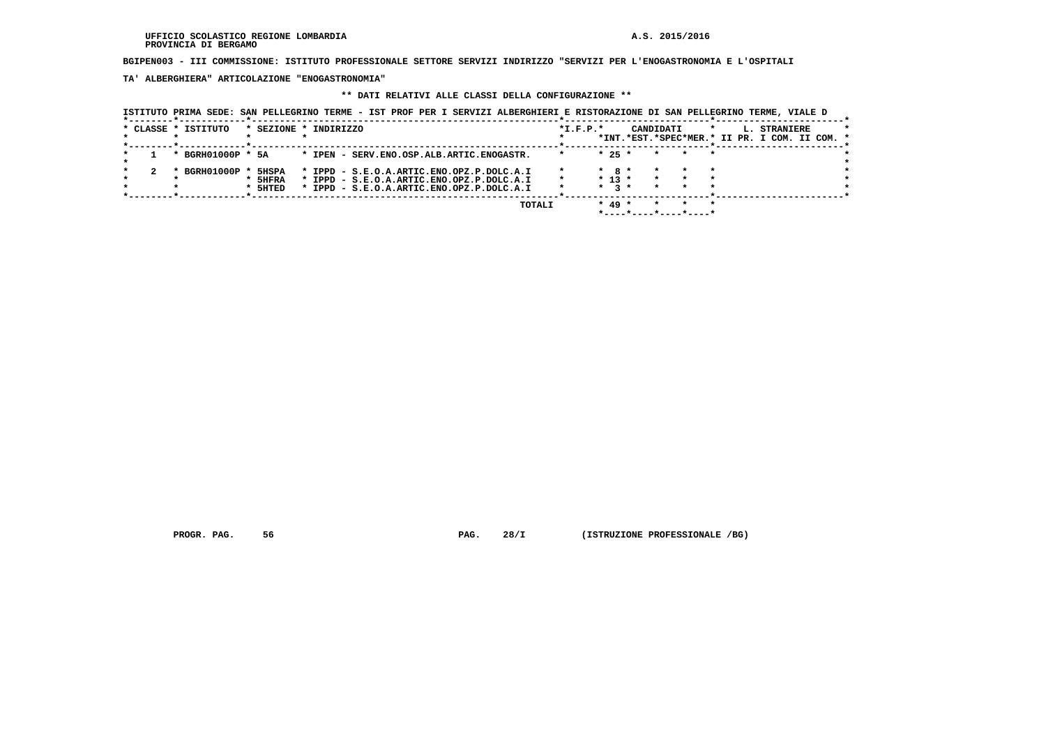**BGIPEN003 - III COMMISSIONE: ISTITUTO PROFESSIONALE SETTORE SERVIZI INDIRIZZO "SERVIZI PER L'ENOGASTRONOMIA E L'OSPITALI**

 **TA' ALBERGHIERA" ARTICOLAZIONE "ENOGASTRONOMIA"**

#### **\*\* DATI RELATIVI ALLE CLASSI DELLA CONFIGURAZIONE \*\***

 **ISTITUTO PRIMA SEDE: SAN PELLEGRINO TERME - IST PROF PER I SERVIZI ALBERGHIERI E RISTORAZIONE DI SAN PELLEGRINO TERME, VIALE D \*--------\*------------\*-------------------------------------------------------\*--------------------------\*-----------------------\*** $\star$  **\* CLASSE \* ISTITUTO \* SEZIONE \* INDIRIZZO \*I.F.P.\* CANDIDATI \* L. STRANIERE \* \* \* \* \* \* \*INT.\*EST.\*SPEC\*MER.\* II PR. I COM. II COM. \* \*--------\*------------\*-------------------------------------------------------\*--------------------------\*-----------------------\* \* 1 \* BGRH01000P \* 5A \* IPEN - SERV.ENO.OSP.ALB.ARTIC.ENOGASTR. \* \* 25 \* \* \* \* \* \* \* \* 2 \* BGRH01000P \* 5HSPA \* IPPD - S.E.O.A.ARTIC.ENO.OPZ.P.DOLC.A.I \* \* 8 \* \* \* \* \* \* \* \* 5HFRA \* IPPD - S.E.O.A.ARTIC.ENO.OPZ.P.DOLC.A.I \* \* 13 \* \* \* \* \* \* \* \* 5HTED \* IPPD - S.E.O.A.ARTIC.ENO.OPZ.P.DOLC.A.I \* \* 3 \* \* \* \* \*** $\bullet$  $\star$  $\star$   **\*--------\*------------\*-------------------------------------------------------\*--------------------------\*-----------------------\* TOTALI \* 49 \* \* \* \* \*----\*----\*----\*----\***

 **PROGR. PAG. 56 PAG. 28/I (ISTRUZIONE PROFESSIONALE /BG)**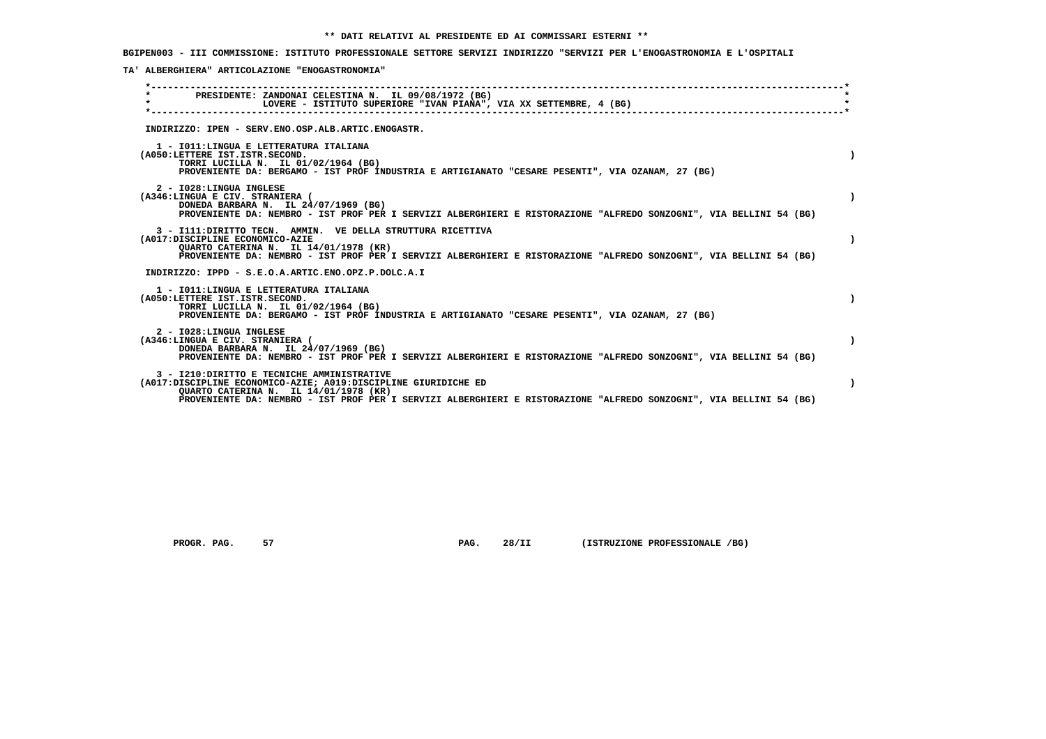**BGIPEN003 - III COMMISSIONE: ISTITUTO PROFESSIONALE SETTORE SERVIZI INDIRIZZO "SERVIZI PER L'ENOGASTRONOMIA E L'OSPITALI**

 **TA' ALBERGHIERA" ARTICOLAZIONE "ENOGASTRONOMIA"**

| PRESIDENTE: ZANDONAI CELESTINA N. IL 09/08/1972 (BG)<br>$\star$<br>LOVERE - ISTITUTO SUPERIORE "IVAN PIANA", VIA XX SETTEMBRE, 4 (BG)                                                                                                                                        |  |
|------------------------------------------------------------------------------------------------------------------------------------------------------------------------------------------------------------------------------------------------------------------------------|--|
| INDIRIZZO: IPEN - SERV.ENO.OSP.ALB.ARTIC.ENOGASTR.                                                                                                                                                                                                                           |  |
| 1 - IO11: LINGUA E LETTERATURA ITALIANA<br>(A050:LETTERE IST.ISTR.SECOND.<br>TORRI LUCILLA N. IL 01/02/1964 (BG)<br>PROVENIENTE DA: BERGAMO - IST PROF INDUSTRIA E ARTIGIANATO "CESARE PESENTI", VIA OZANAM, 27 (BG)                                                         |  |
| 2 - I028:LINGUA INGLESE<br>(A346:LINGUA E CIV. STRANIERA (<br>DONEDA BARBARA N. IL 24/07/1969 (BG)<br>PROVENIENTE DA: NEMBRO - IST PROF PER I SERVIZI ALBERGHIERI E RISTORAZIONE "ALFREDO SONZOGNI", VIA BELLINI 54 (BG)                                                     |  |
| 3 - I111: DIRITTO TECN. AMMIN. VE DELLA STRUTTURA RICETTIVA<br>(A017:DISCIPLINE ECONOMICO-AZIE<br>QUARTO CATERINA N. IL 14/01/1978 (KR)<br>PROVENIENTE DA: NEMBRO - IST PROF PER I SERVIZI ALBERGHIERI E RISTORAZIONE "ALFREDO SONZOGNI", VIA BELLINI 54 (BG)                |  |
| INDIRIZZO: IPPD - S.E.O.A.ARTIC.ENO.OPZ.P.DOLC.A.I                                                                                                                                                                                                                           |  |
| 1 - IO11: LINGUA E LETTERATURA ITALIANA<br>(A050:LETTERE IST.ISTR.SECOND.<br>TORRI LUCILLA N. IL 01/02/1964 (BG)<br>PROVENIENTE DA: BERGAMO - IST PROF INDUSTRIA E ARTIGIANATO "CESARE PESENTI", VIA OZANAM, 27 (BG)                                                         |  |
| 2 - I028:LINGUA INGLESE<br>(A346:LINGUA E CIV. STRANIERA (<br>DONEDA BARBARA N. IL 24/07/1969 (BG)<br>PROVENIENTE DA: NEMBRO - IST PROF PER I SERVIZI ALBERGHIERI E RISTORAZIONE "ALFREDO SONZOGNI", VIA BELLINI 54 (BG)                                                     |  |
| 3 - I210: DIRITTO E TECNICHE AMMINISTRATIVE<br>(A017:DISCIPLINE ECONOMICO-AZIE; A019:DISCIPLINE GIURIDICHE ED<br>OUARTO CATERINA N. IL 14/01/1978 (KR)<br>PROVENIENTE DA: NEMBRO - IST PROF PER I SERVIZI ALBERGHIERI E RISTORAZIONE "ALFREDO SONZOGNI", VIA BELLINI 54 (BG) |  |
|                                                                                                                                                                                                                                                                              |  |

 **PROGR. PAG.** 57 **PROGR. 28/II** (ISTRUZIONE PROFESSIONALE /BG)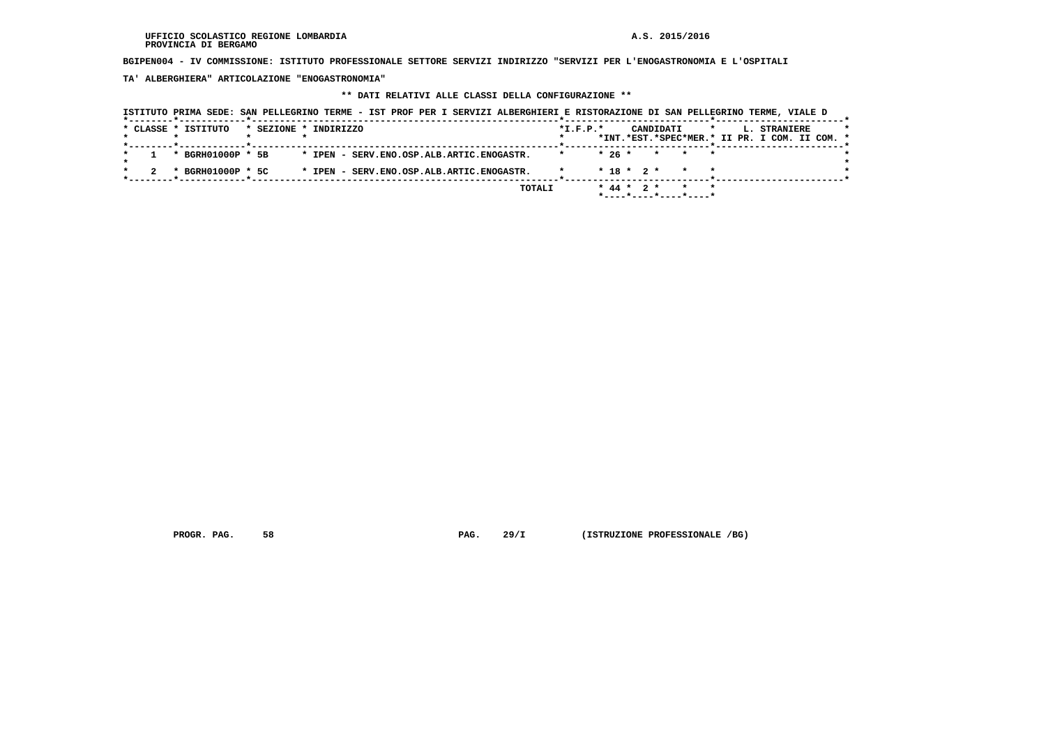**BGIPEN004 - IV COMMISSIONE: ISTITUTO PROFESSIONALE SETTORE SERVIZI INDIRIZZO "SERVIZI PER L'ENOGASTRONOMIA E L'OSPITALI**

 **TA' ALBERGHIERA" ARTICOLAZIONE "ENOGASTRONOMIA"**

## **\*\* DATI RELATIVI ALLE CLASSI DELLA CONFIGURAZIONE \*\***

|                     | ISTITUTO PRIMA SEDE: SAN PELLEGRINO TERME - IST PROF PER I SERVIZI ALBERGHIERI E RISTORAZIONE DI SAN PELLEGRINO TERME, VIALE D |                |                                       |                                               |
|---------------------|--------------------------------------------------------------------------------------------------------------------------------|----------------|---------------------------------------|-----------------------------------------------|
| * CLASSE * ISTITUTO | * SEZIONE * INDIRIZZO                                                                                                          | $*$ I.F.P. $*$ | CANDIDATI                             | L. STRANIERE<br>$\star$                       |
|                     |                                                                                                                                |                |                                       | *INT.*EST.*SPEC*MER.* II PR. I COM. II COM. * |
| * BGRH01000P * 5B   | * IPEN - SERV.ENO.OSP.ALB.ARTIC.ENOGASTR.                                                                                      |                | $*26*$<br>* * *                       |                                               |
| * BGRH01000P * 5C   | * IPEN - SERV. ENO. OSP. ALB. ARTIC. ENOGASTR.                                                                                 |                | $* 18 * 2 *$                          |                                               |
|                     |                                                                                                                                | TOTALI         | $* 44 * 2 *$<br>*----*----*----*----* |                                               |

 **PROGR. PAG.** 58 **PROGR. 29/I** (ISTRUZIONE PROFESSIONALE /BG)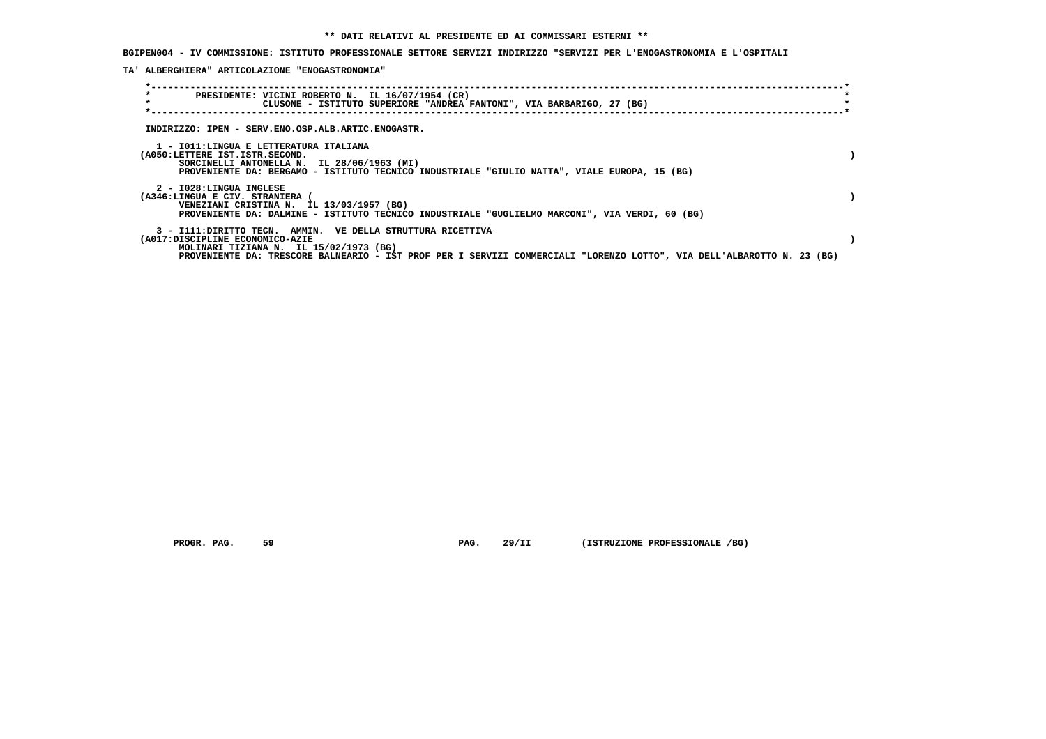**BGIPEN004 - IV COMMISSIONE: ISTITUTO PROFESSIONALE SETTORE SERVIZI INDIRIZZO "SERVIZI PER L'ENOGASTRONOMIA E L'OSPITALI**

 **TA' ALBERGHIERA" ARTICOLAZIONE "ENOGASTRONOMIA"**

| $\star$<br>$\star$                                                       | PRESIDENTE: VICINI ROBERTO N. IL 16/07/1954 (CR)<br>CLUSONE - ISTITUTO SUPERIORE "ANDREA FANTONI", VIA BARBARIGO, 27 (BG)                                                                                                       |  |
|--------------------------------------------------------------------------|---------------------------------------------------------------------------------------------------------------------------------------------------------------------------------------------------------------------------------|--|
|                                                                          | INDIRIZZO: IPEN - SERV.ENO.OSP.ALB.ARTIC.ENOGASTR.                                                                                                                                                                              |  |
| 1 - IO11:LINGUA E LETTERATURA ITALIANA<br>(A050:LETTERE IST.ISTR.SECOND. | SORCINELLI ANTONELLA N. IL 28/06/1963 (MI)<br>PROVENIENTE DA: BERGAMO - ISTITUTO TECNICO INDUSTRIALE "GIULIO NATTA", VIALE EUROPA, 15 (BG)                                                                                      |  |
| 2 - I028:LINGUA INGLESE<br>(A346:LINGUA E CIV. STRANIERA                 | VENEZIANI CRISTINA N. IL 13/03/1957 (BG)<br>PROVENIENTE DA: DALMINE - ISTITUTO TECNICO INDUSTRIALE "GUGLIELMO MARCONI", VIA VERDI, 60 (BG)                                                                                      |  |
| (A017:DISCIPLINE ECONOMICO-AZIE                                          | 3 - I111: DIRITTO TECN. AMMIN. VE DELLA STRUTTURA RICETTIVA<br>MOLINARI TIZIANA N. IL 15/02/1973 (BG)<br>PROVENIENTE DA: TRESCORE BALNEARIO - IST PROF PER I SERVIZI COMMERCIALI "LORENZO LOTTO", VIA DELL'ALBAROTTO N. 23 (BG) |  |

 **PROGR. PAG.** 59 **PAG. 29/II** (ISTRUZIONE PROFESSIONALE /BG)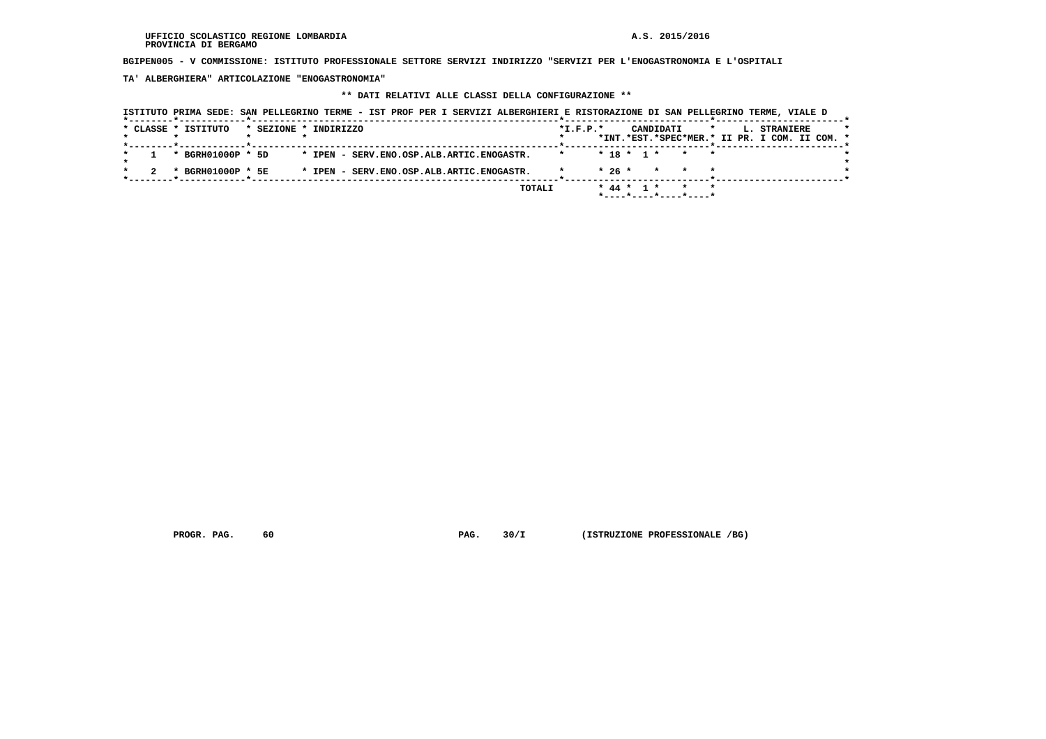**BGIPEN005 - V COMMISSIONE: ISTITUTO PROFESSIONALE SETTORE SERVIZI INDIRIZZO "SERVIZI PER L'ENOGASTRONOMIA E L'OSPITALI**

 **TA' ALBERGHIERA" ARTICOLAZIONE "ENOGASTRONOMIA"**

## **\*\* DATI RELATIVI ALLE CLASSI DELLA CONFIGURAZIONE \*\***

| ISTITUTO PRIMA SEDE: SAN PELLEGRINO TERME - IST PROF PER I SERVIZI ALBERGHIERI E RISTORAZIONE DI SAN PELLEGRINO TERME, VIALE D |                                           |                                               |              |
|--------------------------------------------------------------------------------------------------------------------------------|-------------------------------------------|-----------------------------------------------|--------------|
| * CLASSE * ISTITUTO<br>* SEZIONE * INDIRIZZO                                                                                   | $*I.F.P.*$                                | CANDIDATI<br>$\star$                          | L. STRANIERE |
|                                                                                                                                |                                           | *INT.*EST.*SPEC*MER.* II PR. I COM. II COM. * |              |
| * BGRH01000P * 5D                                                                                                              | * IPEN - SERV.ENO.OSP.ALB.ARTIC.ENOGASTR. | $* 18 * 1 *$<br>* *                           |              |
| * BGRH01000P * 5E                                                                                                              | * IPEN - SERV.ENO.OSP.ALB.ARTIC.ENOGASTR. | $*26*$<br>$\star$<br>$\star$<br>$\star$       |              |
|                                                                                                                                | TOTALI                                    | $*$ 44 $*$ 1 $*$<br>$\star$                   |              |

 **PROGR. PAG.** 60 **PAG. 30/I** (ISTRUZIONE PROFESSIONALE /BG)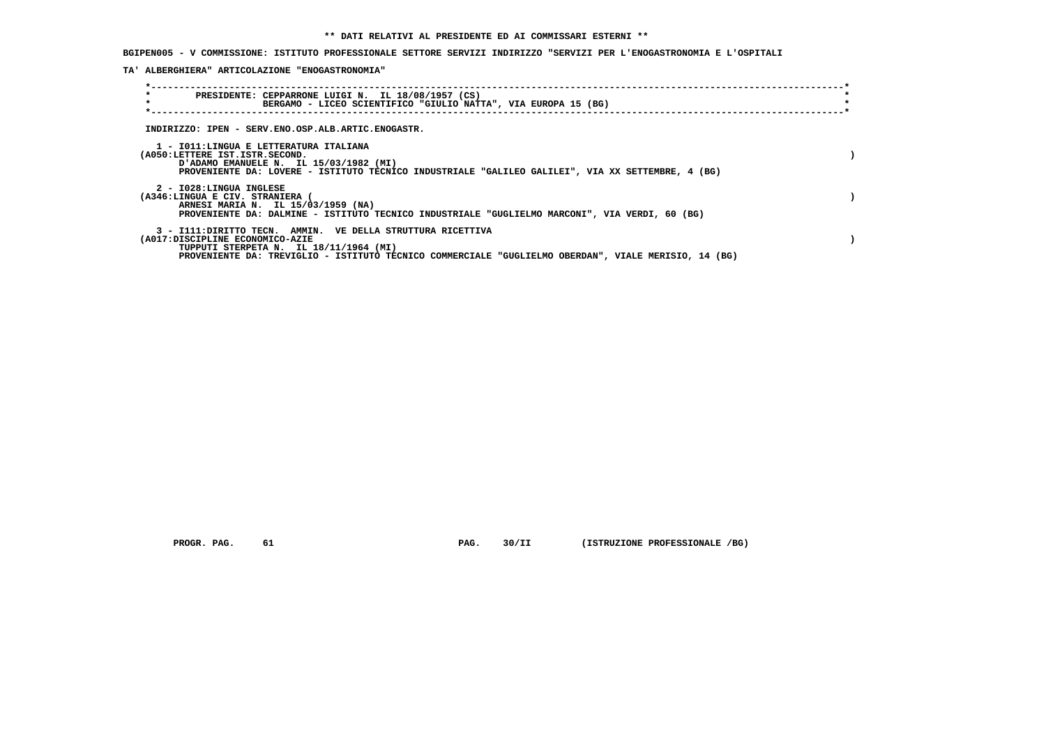**BGIPEN005 - V COMMISSIONE: ISTITUTO PROFESSIONALE SETTORE SERVIZI INDIRIZZO "SERVIZI PER L'ENOGASTRONOMIA E L'OSPITALI**

 **TA' ALBERGHIERA" ARTICOLAZIONE "ENOGASTRONOMIA"**

| $\star$<br>PRESIDENTE: CEPPARRONE LUIGI N. IL 18/08/1957 (CS)<br>$\star$<br>BERGAMO - LICEO SCIENTIFICO "GIULIO NATTA", VIA EUROPA 15 (BG)                                                                                                       |  |
|--------------------------------------------------------------------------------------------------------------------------------------------------------------------------------------------------------------------------------------------------|--|
| INDIRIZZO: IPEN - SERV.ENO.OSP.ALB.ARTIC.ENOGASTR.                                                                                                                                                                                               |  |
| 1 - IO11:LINGUA E LETTERATURA ITALIANA<br>(A050:LETTERE IST.ISTR.SECOND.<br>D'ADAMO EMANUELE N. IL 15/03/1982 (MI)<br>PROVENIENTE DA: LOVERE - ISTITUTO TECNICO INDUSTRIALE "GALILEO GALILEI", VIA XX SETTEMBRE, 4 (BG)                          |  |
| 2 - I028:LINGUA INGLESE<br>(A346:LINGUA E CIV. STRANIERA (<br>ARNESI MARIA N. IL 15/03/1959 (NA)<br>PROVENIENTE DA: DALMINE - ISTITUTO TECNICO INDUSTRIALE "GUGLIELMO MARCONI", VIA VERDI, 60 (BG)                                               |  |
| 3 - I111: DIRITTO TECN. AMMIN. VE DELLA STRUTTURA RICETTIVA<br>(A017:DISCIPLINE ECONOMICO-AZIE<br>TUPPUTI STERPETA N. IL 18/11/1964 (MI)<br>PROVENIENTE DA: TREVIGLIO - ISTITUTO TECNICO COMMERCIALE "GUGLIELMO OBERDAN", VIALE MERISIO, 14 (BG) |  |

 **PROGR. PAG.** 61 **PAG. 30/II (ISTRUZIONE PROFESSIONALE /BG)**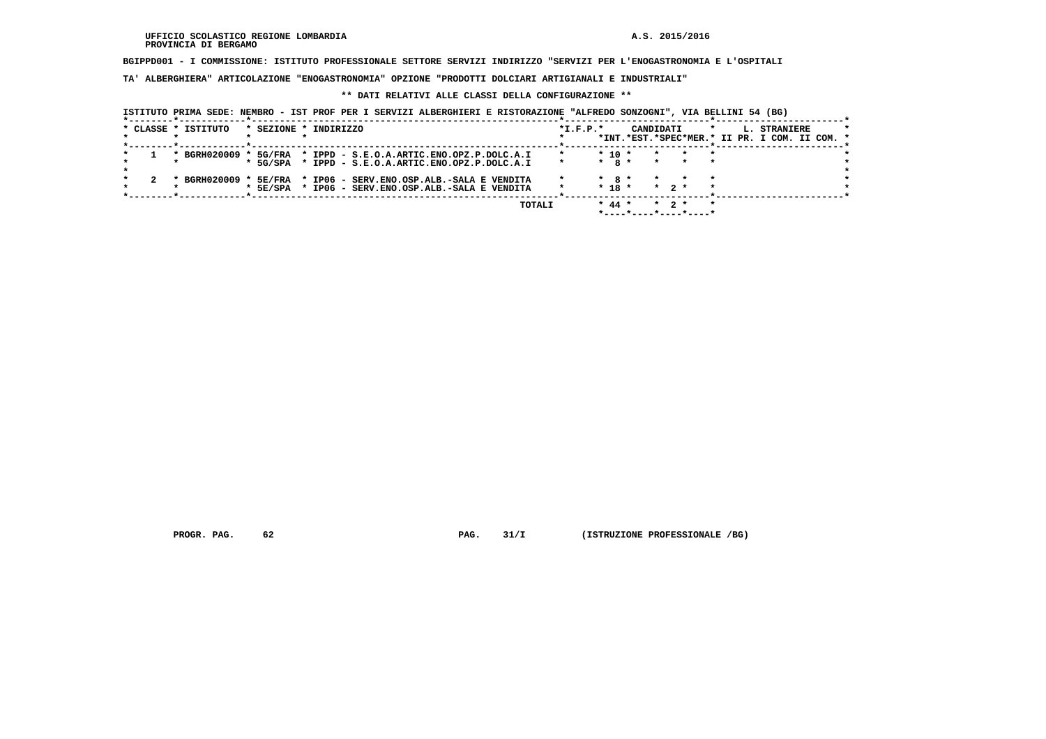**BGIPPD001 - I COMMISSIONE: ISTITUTO PROFESSIONALE SETTORE SERVIZI INDIRIZZO "SERVIZI PER L'ENOGASTRONOMIA E L'OSPITALI**

 **TA' ALBERGHIERA" ARTICOLAZIONE "ENOGASTRONOMIA" OPZIONE "PRODOTTI DOLCIARI ARTIGIANALI E INDUSTRIALI"**

#### **\*\* DATI RELATIVI ALLE CLASSI DELLA CONFIGURAZIONE \*\***

| ISTITUTO PRIMA SEDE: NEMBRO - IST PROF PER I SERVIZI ALBERGHIERI E RISTORAZIONE "ALFREDO SONZOGNI", VIA BELLINI 54 (BG) |  |  |  |
|-------------------------------------------------------------------------------------------------------------------------|--|--|--|
|-------------------------------------------------------------------------------------------------------------------------|--|--|--|

| * CLASSE * ISTITUTO |                          | * SEZIONE * INDIRIZZO                     | $*I.F.P.*$ | CANDIDATI             | $\star$<br>L. STRANIERE<br>*INT.*EST.*SPEC*MER.* II PR. I COM. II COM. * |
|---------------------|--------------------------|-------------------------------------------|------------|-----------------------|--------------------------------------------------------------------------|
|                     |                          |                                           |            |                       |                                                                          |
|                     | * BGRH020009 * 5G/FRA    | * IPPD - S.E.O.A.ARTIC.ENO.OPZ.P.DOLC.A.I |            | $*$ 10 $*$            |                                                                          |
|                     | * 5G/SPA                 | * IPPD - S.E.O.A.ARTIC.ENO.OPZ.P.DOLC.A.I |            | $*$ 8 $*$<br>$\star$  |                                                                          |
|                     |                          |                                           |            |                       |                                                                          |
|                     | * BGRH020009 *<br>5E/FRA | * IP06 - SERV.ENO.OSP.ALB.-SALA E VENDITA |            | $*$ 8 $*$             | $\star$                                                                  |
|                     | $*$ 5E/SPA               | * IP06 - SERV.ENO.OSP.ALB.-SALA E VENDITA |            | $* 18 *$<br>$*$ 2 $*$ | $\star$                                                                  |
|                     |                          |                                           |            |                       |                                                                          |
|                     |                          | TOTALI                                    |            | $* 44 *$<br>$*$ 2 $*$ | $\star$                                                                  |
|                     |                          |                                           |            |                       |                                                                          |

 **PROGR. PAG.** 62 **PROGR. PAG. 31/I** (ISTRUZIONE PROFESSIONALE /BG)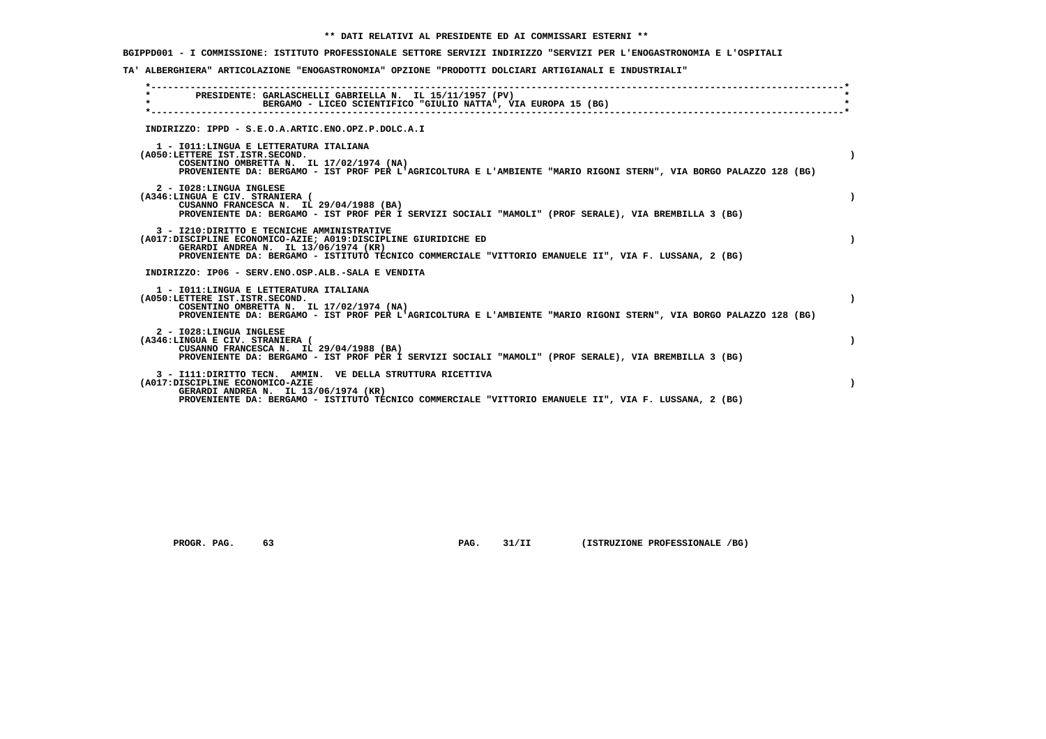## **\*\* DATI RELATIVI AL PRESIDENTE ED AI COMMISSARI ESTERNI \*\***

# **BGIPPD001 - I COMMISSIONE: ISTITUTO PROFESSIONALE SETTORE SERVIZI INDIRIZZO "SERVIZI PER L'ENOGASTRONOMIA E L'OSPITALI**

## **TA' ALBERGHIERA" ARTICOLAZIONE "ENOGASTRONOMIA" OPZIONE "PRODOTTI DOLCIARI ARTIGIANALI E INDUSTRIALI"**

| PRESIDENTE: GARLASCHELLI GABRIELLA N. IL 15/11/1957 (PV)<br>BERGAMO - LICEO SCIENTIFICO "GIULIO NATTA", VIA EUROPA 15 (BG)<br>INDIRIZZO: IPPD - S.E.O.A.ARTIC.ENO.OPZ.P.DOLC.A.I<br>1 - IO11: LINGUA E LETTERATURA ITALIANA<br>(A050:LETTERE IST.ISTR.SECOND.<br>COSENTINO OMBRETTA N. IL 17/02/1974 (NA)<br>PROVENIENTE DA: BERGAMO - IST PROF PER L'AGRICOLTURA E L'AMBIENTE "MARIO RIGONI STERN", VIA BORGO PALAZZO 128 (BG)<br>2 - I028: LINGUA INGLESE<br>(A346:LINGUA E CIV. STRANIERA (<br>CUSANNO FRANCESCA N. IL 29/04/1988 (BA)<br>PROVENIENTE DA: BERGAMO - IST PROF PER I SERVIZI SOCIALI "MAMOLI" (PROF SERALE), VIA BREMBILLA 3 (BG)<br>3 - I210: DIRITTO E TECNICHE AMMINISTRATIVE<br>(A017:DISCIPLINE ECONOMICO-AZIE: A019:DISCIPLINE GIURIDICHE ED<br>GERARDI ANDREA N. IL 13/06/1974 (KR)<br>PROVENIENTE DA: BERGAMO - ISTITUTO TECNICO COMMERCIALE "VITTORIO EMANUELE II", VIA F. LUSSANA, 2 (BG)<br>INDIRIZZO: IP06 - SERV.ENO.OSP.ALB.-SALA E VENDITA<br>1 - IO11: LINGUA E LETTERATURA ITALIANA<br>(A050:LETTERE IST.ISTR.SECOND.<br>COSENTINO OMBRETTA N. IL 17/02/1974 (NA)<br>PROVENIENTE DA: BERGAMO - IST PROF PER L'AGRICOLTURA E L'AMBIENTE "MARIO RIGONI STERN", VIA BORGO PALAZZO 128 (BG)<br>2 - I028:LINGUA INGLESE<br>(A346:LINGUA E CIV. STRANIERA (<br>CUSANNO FRANCESCA N. IL 29/04/1988 (BA)<br>PROVENIENTE DA: BERGAMO - IST PROF PER I SERVIZI SOCIALI "MAMOLI" (PROF SERALE), VIA BREMBILLA 3 (BG)<br>3 - I111: DIRITTO TECN. AMMIN. VE DELLA STRUTTURA RICETTIVA<br>(A017:DISCIPLINE ECONOMICO-AZIE<br>GERARDI ANDREA N. IL 13/06/1974 (KR)<br>PROVENIENTE DA: BERGAMO - ISTITUTO TECNICO COMMERCIALE "VITTORIO EMANUELE II", VIA F. LUSSANA, 2 (BG) |           |
|------------------------------------------------------------------------------------------------------------------------------------------------------------------------------------------------------------------------------------------------------------------------------------------------------------------------------------------------------------------------------------------------------------------------------------------------------------------------------------------------------------------------------------------------------------------------------------------------------------------------------------------------------------------------------------------------------------------------------------------------------------------------------------------------------------------------------------------------------------------------------------------------------------------------------------------------------------------------------------------------------------------------------------------------------------------------------------------------------------------------------------------------------------------------------------------------------------------------------------------------------------------------------------------------------------------------------------------------------------------------------------------------------------------------------------------------------------------------------------------------------------------------------------------------------------------------------------------------------------------------------------------------------------------------------------------------|-----------|
|                                                                                                                                                                                                                                                                                                                                                                                                                                                                                                                                                                                                                                                                                                                                                                                                                                                                                                                                                                                                                                                                                                                                                                                                                                                                                                                                                                                                                                                                                                                                                                                                                                                                                                |           |
|                                                                                                                                                                                                                                                                                                                                                                                                                                                                                                                                                                                                                                                                                                                                                                                                                                                                                                                                                                                                                                                                                                                                                                                                                                                                                                                                                                                                                                                                                                                                                                                                                                                                                                |           |
|                                                                                                                                                                                                                                                                                                                                                                                                                                                                                                                                                                                                                                                                                                                                                                                                                                                                                                                                                                                                                                                                                                                                                                                                                                                                                                                                                                                                                                                                                                                                                                                                                                                                                                |           |
|                                                                                                                                                                                                                                                                                                                                                                                                                                                                                                                                                                                                                                                                                                                                                                                                                                                                                                                                                                                                                                                                                                                                                                                                                                                                                                                                                                                                                                                                                                                                                                                                                                                                                                |           |
|                                                                                                                                                                                                                                                                                                                                                                                                                                                                                                                                                                                                                                                                                                                                                                                                                                                                                                                                                                                                                                                                                                                                                                                                                                                                                                                                                                                                                                                                                                                                                                                                                                                                                                |           |
|                                                                                                                                                                                                                                                                                                                                                                                                                                                                                                                                                                                                                                                                                                                                                                                                                                                                                                                                                                                                                                                                                                                                                                                                                                                                                                                                                                                                                                                                                                                                                                                                                                                                                                |           |
|                                                                                                                                                                                                                                                                                                                                                                                                                                                                                                                                                                                                                                                                                                                                                                                                                                                                                                                                                                                                                                                                                                                                                                                                                                                                                                                                                                                                                                                                                                                                                                                                                                                                                                | $\lambda$ |
|                                                                                                                                                                                                                                                                                                                                                                                                                                                                                                                                                                                                                                                                                                                                                                                                                                                                                                                                                                                                                                                                                                                                                                                                                                                                                                                                                                                                                                                                                                                                                                                                                                                                                                |           |
|                                                                                                                                                                                                                                                                                                                                                                                                                                                                                                                                                                                                                                                                                                                                                                                                                                                                                                                                                                                                                                                                                                                                                                                                                                                                                                                                                                                                                                                                                                                                                                                                                                                                                                |           |

 **PROGR. PAG.** 63 **PAG. 31/II** (ISTRUZIONE PROFESSIONALE /BG)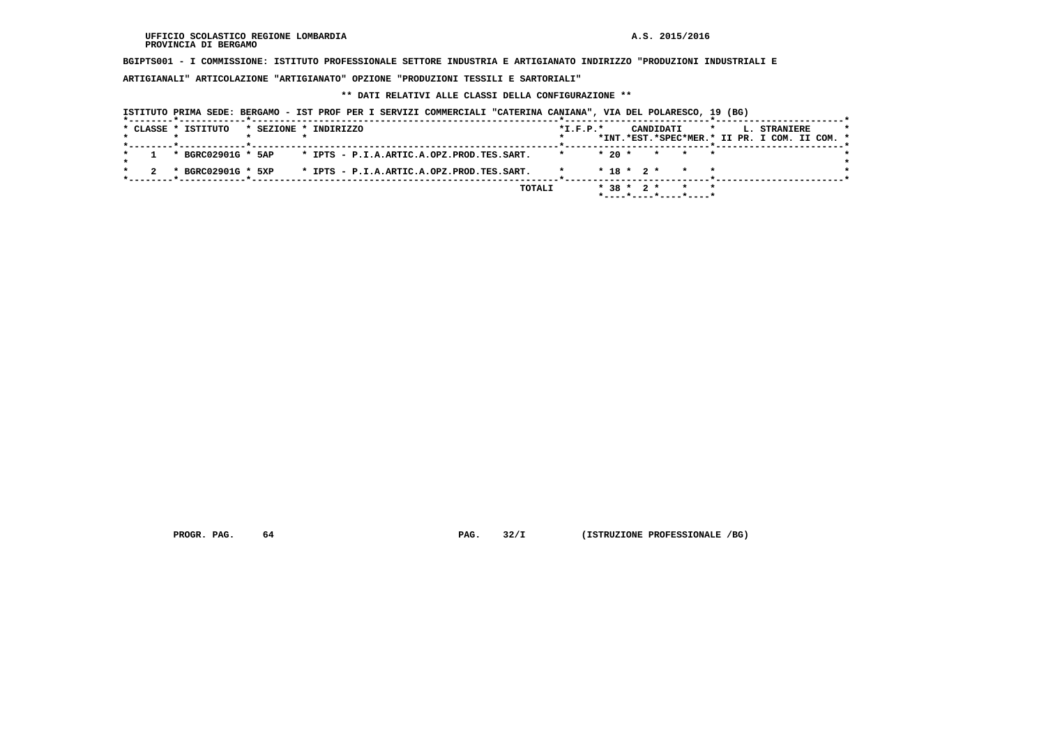**BGIPTS001 - I COMMISSIONE: ISTITUTO PROFESSIONALE SETTORE INDUSTRIA E ARTIGIANATO INDIRIZZO "PRODUZIONI INDUSTRIALI E**

 **ARTIGIANALI" ARTICOLAZIONE "ARTIGIANATO" OPZIONE "PRODUZIONI TESSILI E SARTORIALI"**

# **\*\* DATI RELATIVI ALLE CLASSI DELLA CONFIGURAZIONE \*\***

|                     | ISTITUTO PRIMA SEDE: BERGAMO - IST PROF PER I SERVIZI COMMERCIALI "CATERINA CANIANA", VIA DEL POLARESCO, 19 (BG) |                |                                       |                                                                          |
|---------------------|------------------------------------------------------------------------------------------------------------------|----------------|---------------------------------------|--------------------------------------------------------------------------|
| * CLASSE * ISTITUTO | * SEZIONE * INDIRIZZO                                                                                            | $*$ I.F.P. $*$ | CANDIDATI                             | L. STRANIERE<br>$\star$<br>*INT.*EST.*SPEC*MER.* II PR. I COM. II COM. * |
| * BGRC02901G * 5AP  | * IPTS - P.I.A.ARTIC.A.OPZ.PROD.TES.SART.                                                                        | $*20$ *        | * * *                                 |                                                                          |
| * BGRC02901G * 5XP  | * IPTS - P.I.A.ARTIC.A.OPZ.PROD.TES.SART.                                                                        |                | $* 18 * 2 * * * * *$                  |                                                                          |
|                     | TOTALI                                                                                                           |                | $* 38 * 2 *$<br>*----*----*----*----* |                                                                          |

 **PROGR. PAG.** 64 **PROGR. PAG. 32/I** (ISTRUZIONE PROFESSIONALE /BG)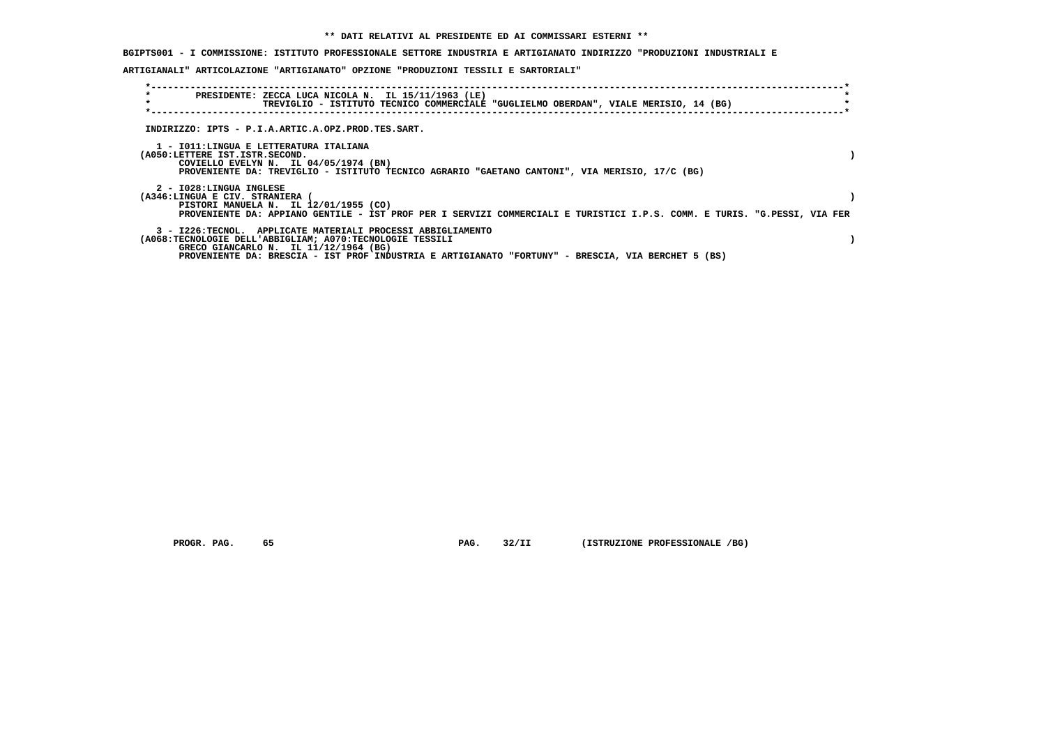## **BGIPTS001 - I COMMISSIONE: ISTITUTO PROFESSIONALE SETTORE INDUSTRIA E ARTIGIANATO INDIRIZZO "PRODUZIONI INDUSTRIALI E**

## **ARTIGIANALI" ARTICOLAZIONE "ARTIGIANATO" OPZIONE "PRODUZIONI TESSILI E SARTORIALI"**

| $\star$<br>$\star$ | PRESIDENTE: ZECCA LUCA NICOLA N. IL 15/11/1963 (LE)<br>TREVIGLIO - ISTITUTO TECNICO COMMERCIALE "GUGLIELMO OBERDAN", VIALE MERISIO, 14 (BG)                                                                                                                            |  |
|--------------------|------------------------------------------------------------------------------------------------------------------------------------------------------------------------------------------------------------------------------------------------------------------------|--|
|                    | INDIRIZZO: IPTS - P.I.A.ARTIC.A.OPZ.PROD.TES.SART.                                                                                                                                                                                                                     |  |
|                    | 1 - IO11:LINGUA E LETTERATURA ITALIANA<br>(A050:LETTERE IST.ISTR.SECOND.<br>COVIELLO EVELYN N. IL 04/05/1974 (BN)<br>PROVENIENTE DA: TREVIGLIO - ISTITUTO TECNICO AGRARIO "GAETANO CANTONI", VIA MERISIO, 17/C (BG)                                                    |  |
|                    | 2 - I028:LINGUA INGLESE<br>(A346:LINGUA E CIV. STRANIERA<br>PISTORI MANUELA N. IL 12/01/1955 (CO)<br>PROVENIENTE DA: APPIANO GENTILE - IST PROF PER I SERVIZI COMMERCIALI E TURISTICI I.P.S. COMM. E TURIS. "G.PESSI, VIA FER                                          |  |
|                    | 3 - I226:TECNOL. APPLICATE MATERIALI PROCESSI ABBIGLIAMENTO<br>(A068:TECNOLOGIE DELL'ABBIGLIAM; A070:TECNOLOGIE TESSILI<br>GRECO GIANCARLO N. IL 11/12/1964 (BG)<br>PROVENIENTE DA: BRESCIA - IST PROF INDUSTRIA E ARTIGIANATO "FORTUNY" - BRESCIA, VIA BERCHET 5 (BS) |  |

 **PROGR. PAG.** 65 **PROGR. 22/II** (ISTRUZIONE PROFESSIONALE /BG)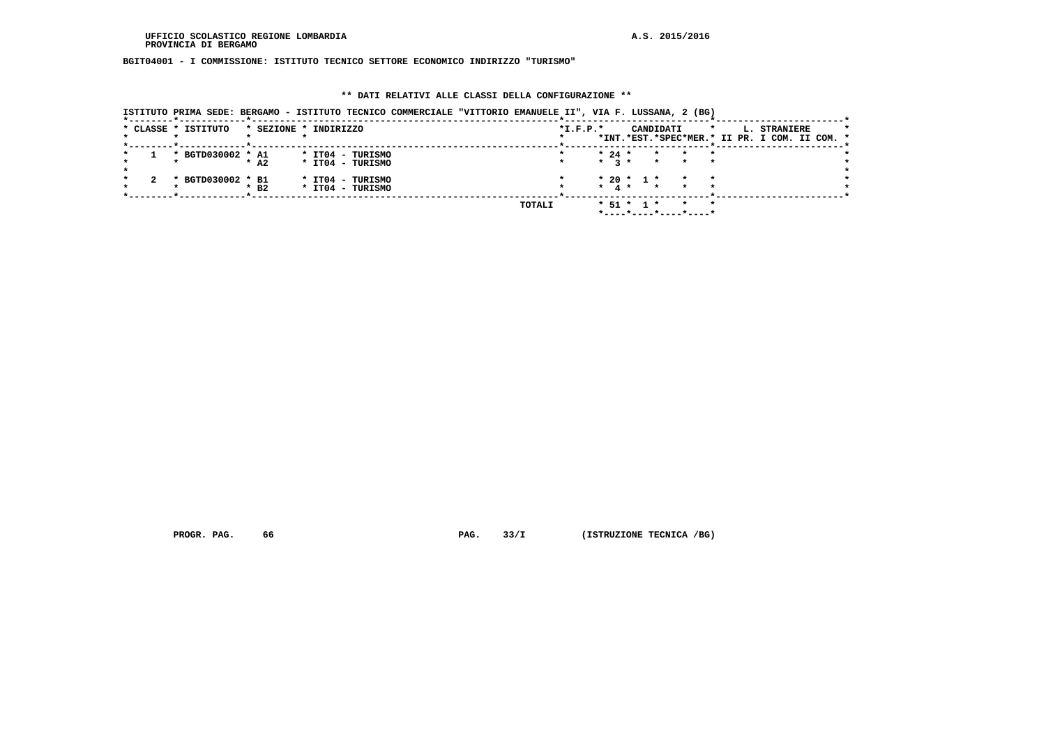**BGIT04001 - I COMMISSIONE: ISTITUTO TECNICO SETTORE ECONOMICO INDIRIZZO "TURISMO"**

## **\*\* DATI RELATIVI ALLE CLASSI DELLA CONFIGURAZIONE \*\***

|  |                     |                       |  |                                      | ISTITUTO PRIMA SEDE: BERGAMO - ISTITUTO TECNICO COMMERCIALE "VITTORIO EMANUELE II", VIA F. LUSSANA, 2 (BG) |        |            |                     |                  |                         |                |                       |         |                                                               |  |  |
|--|---------------------|-----------------------|--|--------------------------------------|------------------------------------------------------------------------------------------------------------|--------|------------|---------------------|------------------|-------------------------|----------------|-----------------------|---------|---------------------------------------------------------------|--|--|
|  | * CLASSE * ISTITUTO | * SEZIONE * INDIRIZZO |  |                                      |                                                                                                            |        | $*I.F.P.*$ |                     |                  |                         | CANDIDATI      |                       | $\star$ | L. STRANIERE<br>*INT.*EST.*SPEC*MER.* II PR. I COM. II COM. * |  |  |
|  | * BGTD030002 * A1   | $*$ A2                |  | * IT04 - TURISMO<br>* IT04 - TURISMO |                                                                                                            |        |            | $* 24 *$<br>$*$ $*$ |                  |                         | $\star$ $\sim$ |                       |         |                                                               |  |  |
|  | * BGTD030002 * B1   | $*$ B <sub>2</sub>    |  | * IT04 - TURISMO<br>* IT04 - TURISMO |                                                                                                            |        |            | $\star$ 4 $\star$   |                  | $* 20 * 1 *$<br>$\star$ |                |                       |         |                                                               |  |  |
|  |                     |                       |  |                                      |                                                                                                            | TOTALI |            |                     | $*$ 51 $*$ 1 $*$ |                         |                | *----*----*----*----* |         |                                                               |  |  |

 **PROGR. PAG.** 66 **PAG.** 33/I (ISTRUZIONE TECNICA /BG)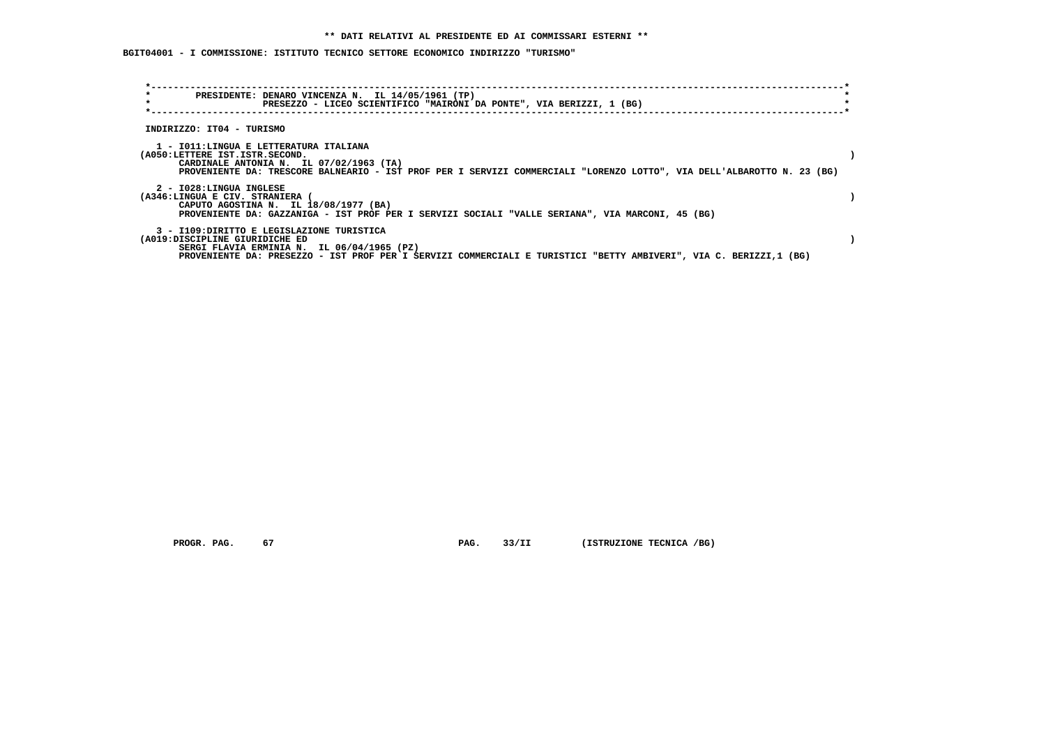# **BGIT04001 - I COMMISSIONE: ISTITUTO TECNICO SETTORE ECONOMICO INDIRIZZO "TURISMO"**

| $\star$<br>PRESIDENTE: DENARO VINCENZA N. IL 14/05/1961 (TP)<br>$\star$<br>PRESEZZO - LICEO SCIENTIFICO "MAIRONI DA PONTE", VIA BERIZZI, 1 (BG)                                                         |                                                                                                                        |
|---------------------------------------------------------------------------------------------------------------------------------------------------------------------------------------------------------|------------------------------------------------------------------------------------------------------------------------|
|                                                                                                                                                                                                         |                                                                                                                        |
| INDIRIZZO: IT04 - TURISMO                                                                                                                                                                               |                                                                                                                        |
| 1 - IO11:LINGUA E LETTERATURA ITALIANA<br>(A050:LETTERE IST.ISTR.SECOND.<br>CARDINALE ANTONIA N. IL 07/02/1963 (TA)                                                                                     | PROVENIENTE DA: TRESCORE BALNEARIO - IST PROF PER I SERVIZI COMMERCIALI "LORENZO LOTTO", VIA DELL'ALBAROTTO N. 23 (BG) |
| 2 - I028:LINGUA INGLESE<br>(A346:LINGUA E CIV. STRANIERA (<br>CAPUTO AGOSTINA N. IL 18/08/1977 (BA)<br>PROVENIENTE DA: GAZZANIGA - IST PROF PER I SERVIZI SOCIALI "VALLE SERIANA", VIA MARCONI, 45 (BG) |                                                                                                                        |
| 3 - I109:DIRITTO E LEGISLAZIONE TURISTICA<br>(A019:DISCIPLINE GIURIDICHE ED<br>SERGI FLAVIA ERMINIA N. IL 06/04/1965 (PZ)                                                                               | PROVENIENTE DA: PRESEZZO - IST PROF PER I SERVIZI COMMERCIALI E TURISTICI "BETTY AMBIVERI", VIA C. BERIZZI,1 (BG)      |

 **PROGR. PAG. 67 PAG. 33/II (ISTRUZIONE TECNICA /BG)**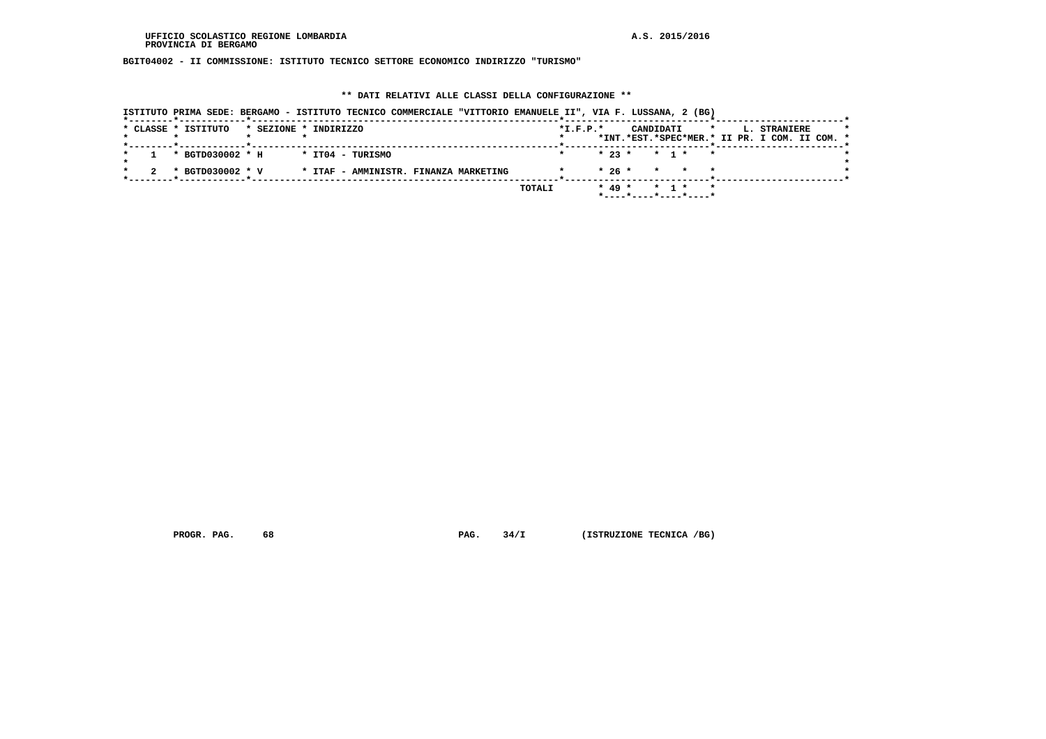**BGIT04002 - II COMMISSIONE: ISTITUTO TECNICO SETTORE ECONOMICO INDIRIZZO "TURISMO"**

## **\*\* DATI RELATIVI ALLE CLASSI DELLA CONFIGURAZIONE \*\***

|  |                     |                       | ISTITUTO PRIMA SEDE: BERGAMO - ISTITUTO TECNICO COMMERCIALE "VITTORIO EMANUELE II", VIA F. LUSSANA, 2 (BG) |  |        |            |                                      |  |         |                                               |  |
|--|---------------------|-----------------------|------------------------------------------------------------------------------------------------------------|--|--------|------------|--------------------------------------|--|---------|-----------------------------------------------|--|
|  | * CLASSE * ISTITUTO | * SEZIONE * INDIRIZZO |                                                                                                            |  |        | $*L.F.P.*$ | CANDIDATI                            |  | $\star$ | L. STRANIERE                                  |  |
|  |                     |                       |                                                                                                            |  |        |            |                                      |  |         | *INT.*EST.*SPEC*MER.* II PR. I COM. II COM. * |  |
|  | * BGTD030002 * H    | * ITO4 - TURISMO      |                                                                                                            |  |        |            | $* 23 * * 1 * * *$                   |  |         |                                               |  |
|  | * BGTD030002 * V    |                       | * ITAF - AMMINISTR. FINANZA MARKETING                                                                      |  |        |            | $* 26 * * * * * * *$                 |  |         |                                               |  |
|  |                     |                       |                                                                                                            |  | TOTALI |            | $* 49 * * 1 * * *$                   |  |         |                                               |  |
|  |                     |                       |                                                                                                            |  |        |            | $*$ ---- $*$ ---- $*$ ---- $*$ ----* |  |         |                                               |  |

 **PROGR. PAG.** 68 **PAG.** 34/I (ISTRUZIONE TECNICA /BG)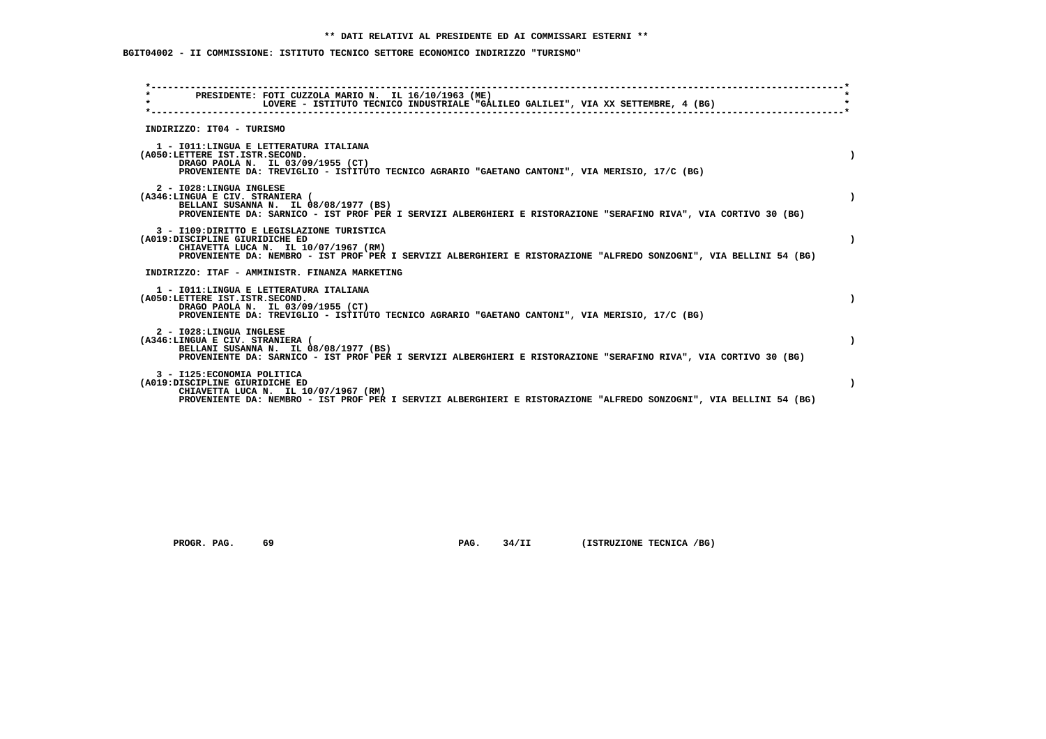**BGIT04002 - II COMMISSIONE: ISTITUTO TECNICO SETTORE ECONOMICO INDIRIZZO "TURISMO"**

|                                                               | PRESIDENTE: FOTI CUZZOLA MARIO N. IL 16/10/1963 (ME)<br>LOVERE - ISTITUTO TECNICO INDUSTRIALE "GALILEO GALILEI", VIA XX SETTEMBRE, 4 (BG)                                                                |  |
|---------------------------------------------------------------|----------------------------------------------------------------------------------------------------------------------------------------------------------------------------------------------------------|--|
| INDIRIZZO: IT04 - TURISMO                                     |                                                                                                                                                                                                          |  |
| (A050:LETTERE IST.ISTR.SECOND.                                | 1 - IO11: LINGUA E LETTERATURA ITALIANA<br>DRAGO PAOLA N. IL 03/09/1955 (CT)<br>PROVENIENTE DA: TREVIGLIO - ISTITUTO TECNICO AGRARIO "GAETANO CANTONI", VIA MERISIO, 17/C (BG)                           |  |
| 2 - I028:LINGUA INGLESE<br>(A346:LINGUA E CIV. STRANIERA (    | BELLANI SUSANNA N. IL 08/08/1977 (BS)<br>PROVENIENTE DA: SARNICO - IST PROF PER I SERVIZI ALBERGHIERI E RISTORAZIONE "SERAFINO RIVA", VIA CORTIVO 30 (BG)                                                |  |
| (A019:DISCIPLINE GIURIDICHE ED                                | 3 - I109: DIRITTO E LEGISLAZIONE TURISTICA<br>CHIAVETTA LUCA N. IL 10/07/1967 (RM)<br>PROVENIENTE DA: NEMBRO - IST PROF PER I SERVIZI ALBERGHIERI E RISTORAZIONE "ALFREDO SONZOGNI", VIA BELLINI 54 (BG) |  |
|                                                               | INDIRIZZO: ITAF - AMMINISTR. FINANZA MARKETING                                                                                                                                                           |  |
| (A050:LETTERE IST.ISTR.SECOND.                                | 1 - IO11: LINGUA E LETTERATURA ITALIANA<br>DRAGO PAOLA N. IL 03/09/1955 (CT)<br>PROVENIENTE DA: TREVIGLIO - ISTITUTO TECNICO AGRARIO "GAETANO CANTONI", VIA MERISIO, 17/C (BG)                           |  |
| 2 - I028:LINGUA INGLESE<br>(A346:LINGUA E CIV. STRANIERA (    | BELLANI SUSANNA N. IL 08/08/1977 (BS)<br>PROVENIENTE DA: SARNICO - IST PROF PER I SERVIZI ALBERGHIERI E RISTORAZIONE "SERAFINO RIVA", VIA CORTIVO 30 (BG)                                                |  |
| 3 - I125: ECONOMIA POLITICA<br>(A019:DISCIPLINE GIURIDICHE ED | CHIAVETTA LUCA N. IL 10/07/1967 (RM)<br>PROVENIENTE DA: NEMBRO - IST PROF PER I SERVIZI ALBERGHIERI E RISTORAZIONE "ALFREDO SONZOGNI", VIA BELLINI 54 (BG)                                               |  |

 **PROGR. PAG.** 69 **PAG. PAG.** 34/II (ISTRUZIONE TECNICA /BG)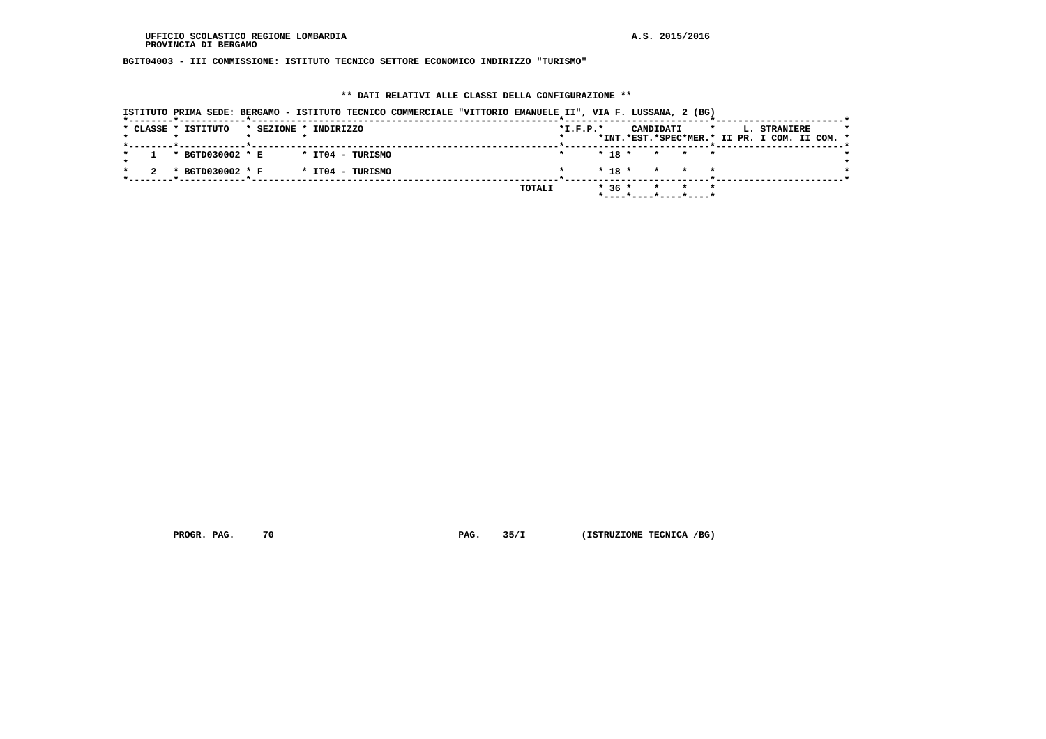**BGIT04003 - III COMMISSIONE: ISTITUTO TECNICO SETTORE ECONOMICO INDIRIZZO "TURISMO"**

## **\*\* DATI RELATIVI ALLE CLASSI DELLA CONFIGURAZIONE \*\***

|                     |                                              | ISTITUTO PRIMA SEDE: BERGAMO - ISTITUTO TECNICO COMMERCIALE "VITTORIO EMANUELE II", VIA F. LUSSANA, 2 (BG) |                |                          |         |                                               |
|---------------------|----------------------------------------------|------------------------------------------------------------------------------------------------------------|----------------|--------------------------|---------|-----------------------------------------------|
| * CLASSE * ISTITUTO |                                              | * SEZIONE * INDIRIZZO                                                                                      | $*$ I.F.P. $*$ | CANDIDATI                | $\star$ | L. STRANIERE                                  |
|                     | _____ <b>*</b> ____________ <b>_</b> _______ |                                                                                                            |                |                          |         | *INT.*EST.*SPEC*MER.* II PR. I COM. II COM. * |
| $\mathbf{1}$        | * BGTD030002 * E                             | * IT04 - TURISMO                                                                                           |                | $* 18 * * * * * *$       |         |                                               |
| 2                   | * BGTD030002 * F                             | * IT04 - TURISMO                                                                                           |                | $* 18 * * * * * *$       |         |                                               |
|                     |                                              |                                                                                                            | TOTALI         | $* 36 * * * * * * *$     |         |                                               |
|                     |                                              |                                                                                                            |                | $*$ ----*----*----*----* |         |                                               |

 **PROGR. PAG.** 70 **PAG.** 35/I (ISTRUZIONE TECNICA /BG)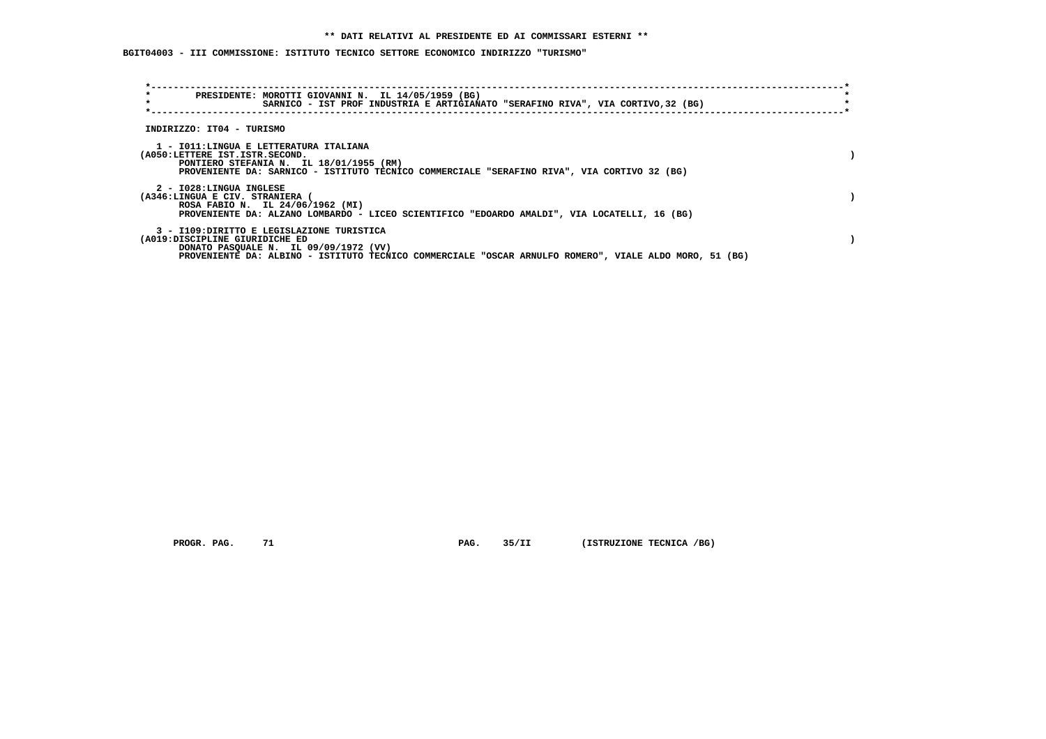**BGIT04003 - III COMMISSIONE: ISTITUTO TECNICO SETTORE ECONOMICO INDIRIZZO "TURISMO"**

| PRESIDENTE: MOROTTI GIOVANNI N. IL 14/05/1959 (BG)<br>$\star$<br>SARNICO - IST PROF INDUSTRIA E ARTIGIANATO "SERAFINO RIVA", VIA CORTIVO, 32 (BG)                                                                              |  |
|--------------------------------------------------------------------------------------------------------------------------------------------------------------------------------------------------------------------------------|--|
| INDIRIZZO: IT04 - TURISMO                                                                                                                                                                                                      |  |
| 1 - IO11:LINGUA E LETTERATURA ITALIANA<br>(A050:LETTERE IST.ISTR.SECOND.<br>PONTIERO STEFANIA N. IL 18/01/1955 (RM)<br>PROVENIENTE DA: SARNICO - ISTITUTO TECNICO COMMERCIALE "SERAFINO RIVA", VIA CORTIVO 32 (BG)             |  |
| 2 - I028:LINGUA INGLESE<br>(A346:LINGUA E CIV. STRANIERA (<br>ROSA FABIO N. IL 24/06/1962 (MI)<br>PROVENIENTE DA: ALZANO LOMBARDO - LICEO SCIENTIFICO "EDOARDO AMALDI", VIA LOCATELLI, 16 (BG)                                 |  |
| 3 - I109:DIRITTO E LEGISLAZIONE TURISTICA<br>(A019:DISCIPLINE GIURIDICHE ED<br>DONATO PASQUALE N. IL 09/09/1972 (VV)<br>PROVENIENTE DA: ALBINO - ISTITUTO TECNICO COMMERCIALE "OSCAR ARNULFO ROMERO", VIALE ALDO MORO, 51 (BG) |  |

 **PROGR. PAG.** 71 **PAG. PAG.** 35/II (ISTRUZIONE TECNICA /BG)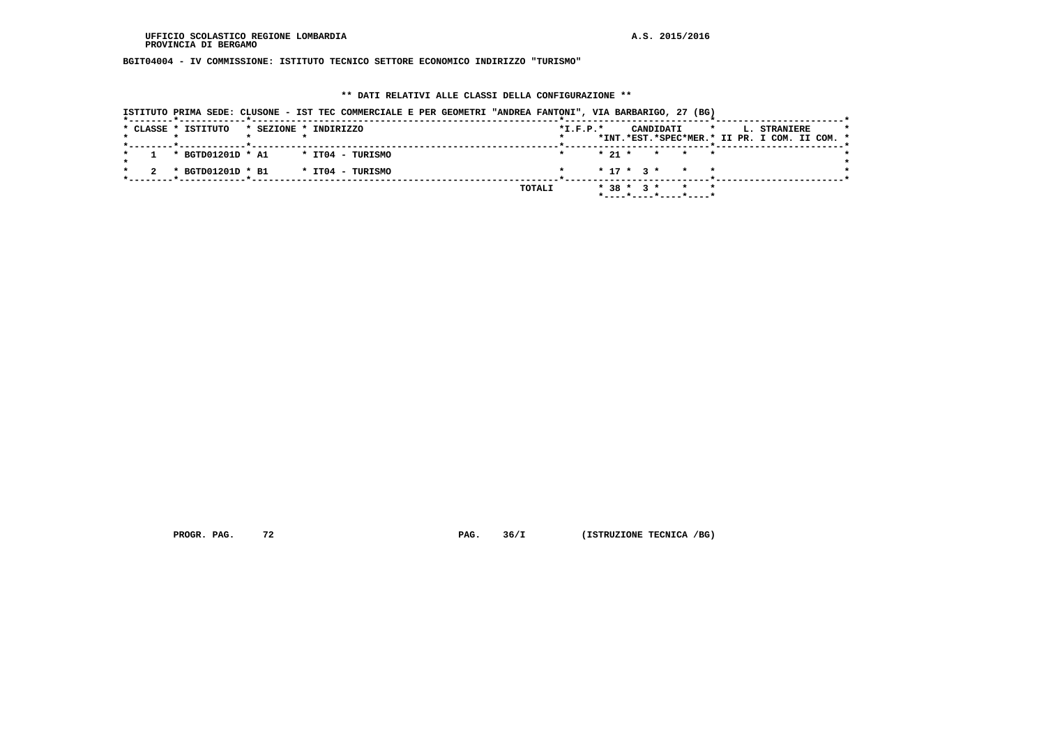**BGIT04004 - IV COMMISSIONE: ISTITUTO TECNICO SETTORE ECONOMICO INDIRIZZO "TURISMO"**

### **\*\* DATI RELATIVI ALLE CLASSI DELLA CONFIGURAZIONE \*\***

|                     | ISTITUTO PRIMA SEDE: CLUSONE - IST TEC COMMERCIALE E PER GEOMETRI "ANDREA FANTONI", VIA BARBARIGO, 27 (BG) |        |            |                                                     |         |                                               |  |
|---------------------|------------------------------------------------------------------------------------------------------------|--------|------------|-----------------------------------------------------|---------|-----------------------------------------------|--|
| * CLASSE * ISTITUTO | * SEZIONE * INDIRIZZO                                                                                      |        | $*L.F.P.*$ | CANDIDATI                                           | $\star$ | L. STRANIERE                                  |  |
|                     |                                                                                                            |        |            |                                                     |         | *INT.*EST.*SPEC*MER.* II PR. I COM. II COM. * |  |
|                     |                                                                                                            |        |            |                                                     |         |                                               |  |
| * BGTD01201D * A1   | * ITO4 - TURISMO                                                                                           |        | $*21$ *    |                                                     | * * *   |                                               |  |
| * BGTD01201D * B1   | * IT04 - TURISMO                                                                                           |        |            | $* 17 * 3 * * * * *$                                |         |                                               |  |
|                     |                                                                                                            | TOTALI |            | $* 38 * 3 * * * * * *$                              |         |                                               |  |
|                     |                                                                                                            |        |            | $*$ - - - - $*$ - - - - $*$ - - - - $*$ - - - - $*$ |         |                                               |  |

 **PROGR. PAG.** 72 **PAG.** 36/I (ISTRUZIONE TECNICA /BG)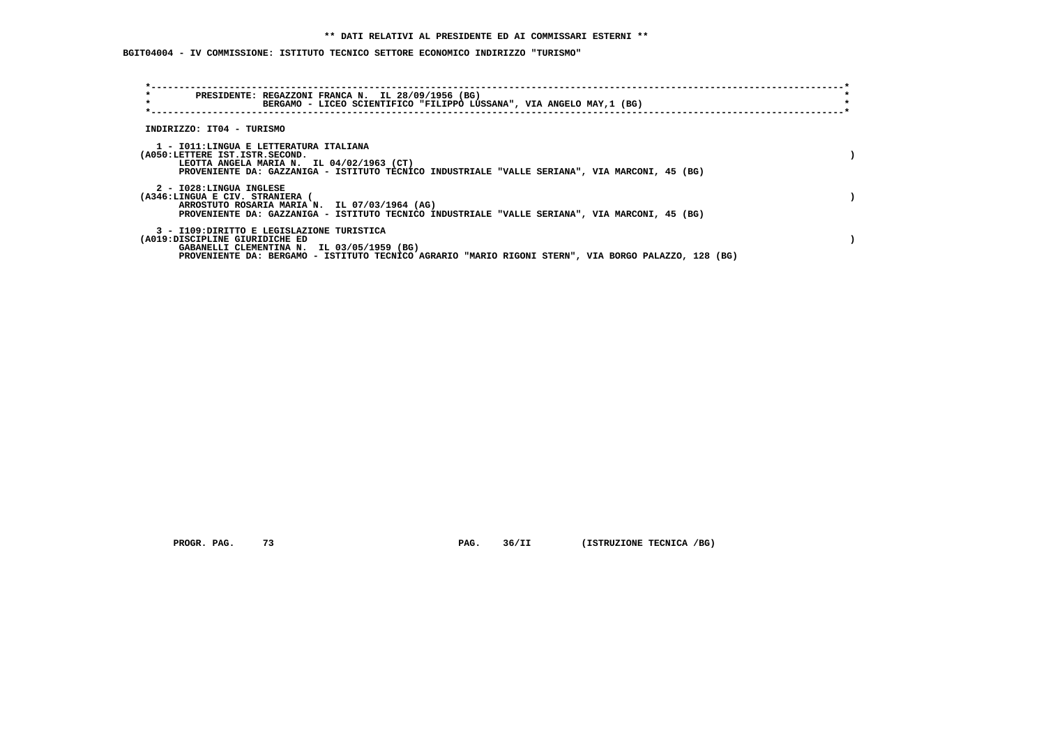**BGIT04004 - IV COMMISSIONE: ISTITUTO TECNICO SETTORE ECONOMICO INDIRIZZO "TURISMO"**

| $\star$<br>$\star$                                                                                                         | PRESIDENTE: REGAZZONI FRANCA N. IL 28/09/1956 (BG)<br>BERGAMO - LICEO SCIENTIFICO "FILIPPO LUSSANA", VIA ANGELO MAY, 1 (BG)                     |  |
|----------------------------------------------------------------------------------------------------------------------------|-------------------------------------------------------------------------------------------------------------------------------------------------|--|
| INDIRIZZO: IT04 - TURISMO                                                                                                  |                                                                                                                                                 |  |
| 1 - IO11:LINGUA E LETTERATURA ITALIANA<br>(A050:LETTERE IST.ISTR.SECOND.<br>LEOTTA ANGELA MARIA N. IL 04/02/1963 (CT)      | PROVENIENTE DA: GAZZANIGA - ISTITUTO TECNICO INDUSTRIALE "VALLE SERIANA", VIA MARCONI, 45 (BG)                                                  |  |
| 2 - I028:LINGUA INGLESE<br>(A346:LINGUA E CIV. STRANIERA (                                                                 | ARROSTUTO ROSARIA MARIA N. IL 07/03/1964 (AG)<br>PROVENIENTE DA: GAZZANIGA - ISTITUTO TECNICO INDUSTRIALE "VALLE SERIANA", VIA MARCONI, 45 (BG) |  |
| 3 - I109: DIRITTO E LEGISLAZIONE TURISTICA<br>(A019:DISCIPLINE GIURIDICHE ED<br>GABANELLI CLEMENTINA N. IL 03/05/1959 (BG) | PROVENIENTE DA: BERGAMO - ISTITUTO TECNICO AGRARIO "MARIO RIGONI STERN", VIA BORGO PALAZZO, 128 (BG)                                            |  |

 **PROGR. PAG. 73 PAG. 36/II (ISTRUZIONE TECNICA /BG)**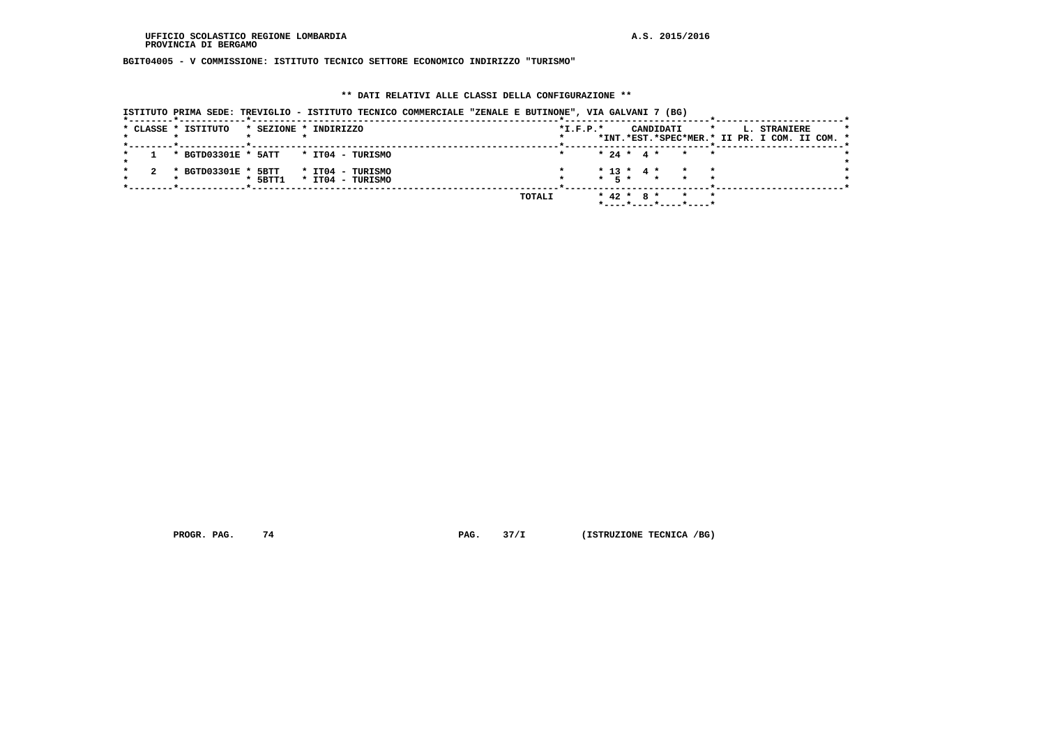**BGIT04005 - V COMMISSIONE: ISTITUTO TECNICO SETTORE ECONOMICO INDIRIZZO "TURISMO"**

#### **\*\* DATI RELATIVI ALLE CLASSI DELLA CONFIGURAZIONE \*\***

 **ISTITUTO PRIMA SEDE: TREVIGLIO - ISTITUTO TECNICO COMMERCIALE "ZENALE E BUTINONE", VIA GALVANI 7 (BG)**

|  | * CLASSE * ISTITUTO |           | * SEZIONE * INDIRIZZO                |        | $*I.F.P.*$ |              | CANDIDATI                                 |       | $\star$ | L. STRANIERE                                  |  |
|--|---------------------|-----------|--------------------------------------|--------|------------|--------------|-------------------------------------------|-------|---------|-----------------------------------------------|--|
|  |                     |           |                                      |        |            |              |                                           |       |         | *INT.*EST.*SPEC*MER.* II PR. I COM. II COM. * |  |
|  |                     |           |                                      |        |            |              |                                           |       |         |                                               |  |
|  |                     |           | * BGTD03301E * 5ATT * IT04 - TURISMO |        |            |              | $* 24 * 4 * * * * *$                      |       |         |                                               |  |
|  |                     |           |                                      |        |            |              |                                           |       |         |                                               |  |
|  | * BGTD03301E * 5BTT |           | * IT04 - TURISMO                     |        |            |              | $* 13 * 4 * * * * *$                      |       |         |                                               |  |
|  |                     | $*$ 5BTT1 | * IT04 - TURISMO                     |        |            |              | $\star$ 5 $\star$ $\star$ $\star$ $\star$ |       |         |                                               |  |
|  |                     |           |                                      |        |            |              |                                           |       |         |                                               |  |
|  |                     |           |                                      |        |            |              |                                           |       |         |                                               |  |
|  |                     |           |                                      | TOTALI |            | $* 42 * 8 *$ |                                           | * * * |         |                                               |  |
|  |                     |           |                                      |        |            |              | *----*----*----*----*                     |       |         |                                               |  |
|  |                     |           |                                      |        |            |              |                                           |       |         |                                               |  |

 **PROGR. PAG.** 74 **PAG.** 37/I (ISTRUZIONE TECNICA /BG)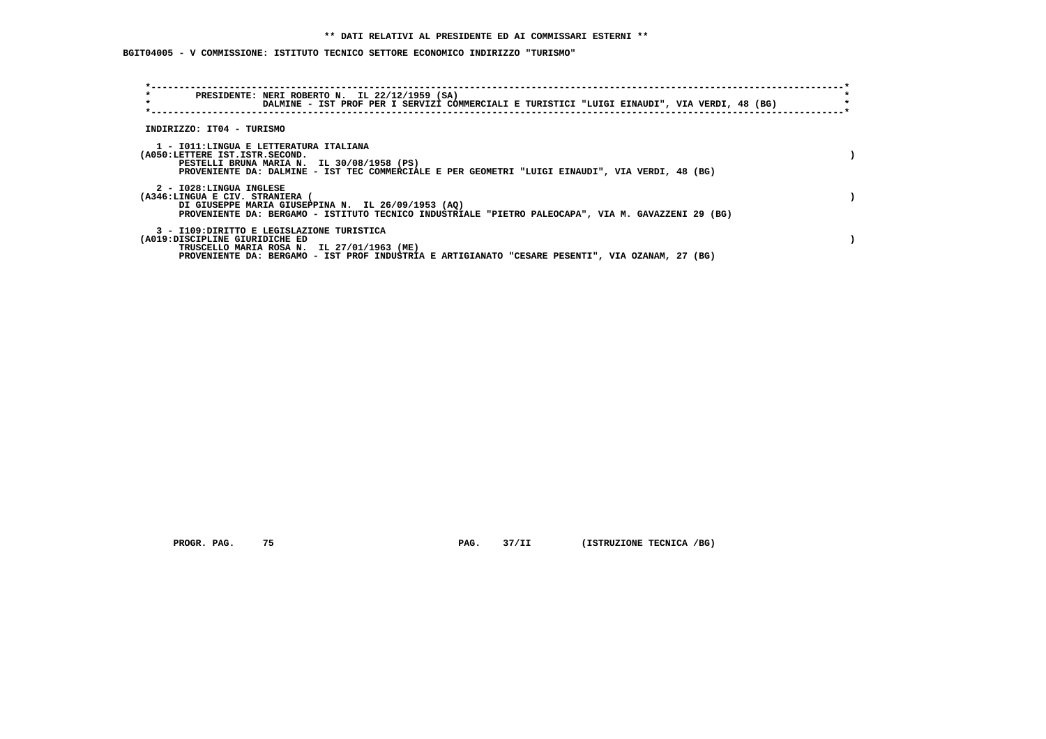**BGIT04005 - V COMMISSIONE: ISTITUTO TECNICO SETTORE ECONOMICO INDIRIZZO "TURISMO"**

| $\star$<br>$\star$                                         | PRESIDENTE: NERI ROBERTO N. IL 22/12/1959 (SA)<br>DALMINE - IST PROF PER I SERVIZI COMMERCIALI E TURISTICI "LUIGI EINAUDI", VIA VERDI, 48 (BG)                                               |  |
|------------------------------------------------------------|----------------------------------------------------------------------------------------------------------------------------------------------------------------------------------------------|--|
| INDIRIZZO: IT04 - TURISMO                                  |                                                                                                                                                                                              |  |
| (A050:LETTERE IST.ISTR.SECOND.                             | 1 - IO11:LINGUA E LETTERATURA ITALIANA<br>PESTELLI BRUNA MARIA N. IL 30/08/1958 (PS)<br>PROVENIENTE DA: DALMINE - IST TEC COMMERCIALE E PER GEOMETRI "LUIGI EINAUDI", VIA VERDI, 48 (BG)     |  |
| 2 - I028:LINGUA INGLESE<br>(A346:LINGUA E CIV. STRANIERA ( | DI GIUSEPPE MARIA GIUSEPPINA N. IL 26/09/1953 (AQ)<br>PROVENIENTE DA: BERGAMO - ISTITUTO TECNICO INDUSTRIALE "PIETRO PALEOCAPA", VIA M. GAVAZZENI 29 (BG)                                    |  |
| (A019:DISCIPLINE GIURIDICHE ED                             | 3 - I109: DIRITTO E LEGISLAZIONE TURISTICA<br>TRUSCELLO MARIA ROSA N. IL 27/01/1963 (ME)<br>PROVENIENTE DA: BERGAMO - IST PROF INDUSTRIA E ARTIGIANATO "CESARE PESENTI", VIA OZANAM, 27 (BG) |  |

 **PROGR. PAG. 75 PAG. 37/II (ISTRUZIONE TECNICA /BG)**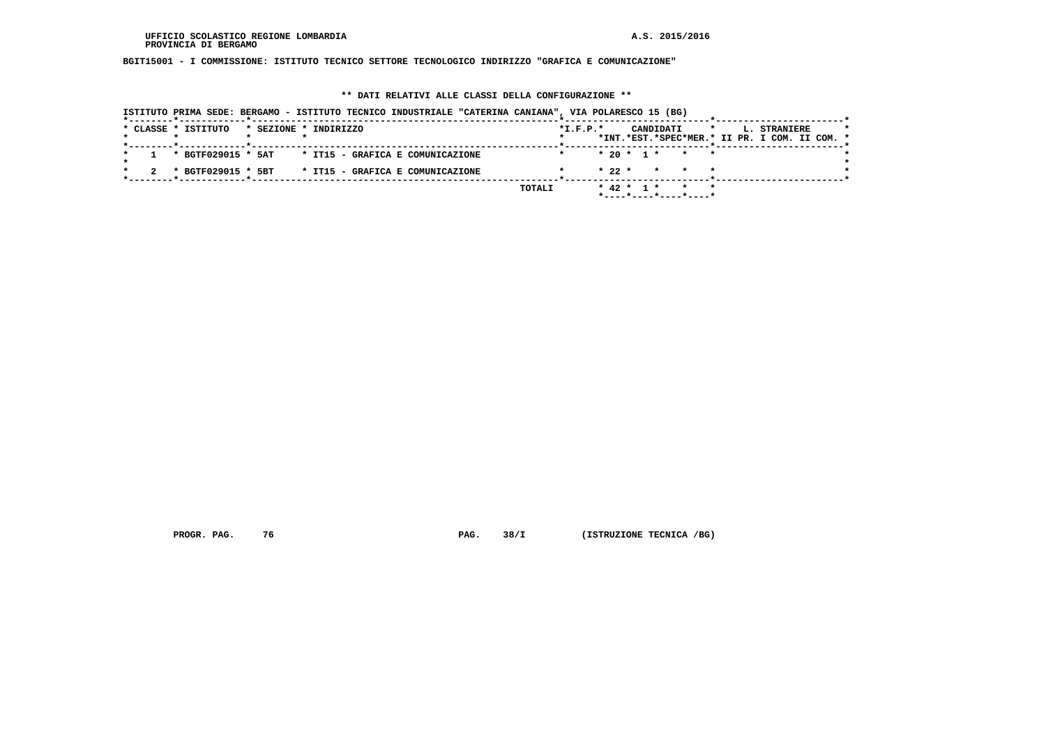# **BGIT15001 - I COMMISSIONE: ISTITUTO TECNICO SETTORE TECNOLOGICO INDIRIZZO "GRAFICA E COMUNICAZIONE"**

### **\*\* DATI RELATIVI ALLE CLASSI DELLA CONFIGURAZIONE \*\***

| ISTITUTO PRIMA SEDE: BERGAMO - ISTITUTO TECNICO INDUSTRIALE "CATERINA CANIANA", VIA POLARESCO 15 (BG) |        |                |                           |                                                               |  |
|-------------------------------------------------------------------------------------------------------|--------|----------------|---------------------------|---------------------------------------------------------------|--|
| * CLASSE * ISTITUTO<br>* SEZIONE * INDIRIZZO                                                          |        | $*$ I.F.P. $*$ | CANDIDATI<br>$\mathbf{r}$ | L. STRANIERE<br>*INT.*EST.*SPEC*MER.* II PR. I COM. II COM. * |  |
| * BGTF029015 * 5AT * IT15 - GRAFICA E COMUNICAZIONE                                                   |        |                | $* 20 * 1 * * * * *$      |                                                               |  |
| * IT15 - GRAFICA E COMUNICAZIONE<br>* BGTF029015 * 5BT                                                |        |                | $* 22 * * * * * * *$      |                                                               |  |
|                                                                                                       | TOTALI |                | $* 42 * 1 * * * * * *$    |                                                               |  |

 **PROGR. PAG.** 76 **PAG.** 38/I (ISTRUZIONE TECNICA /BG)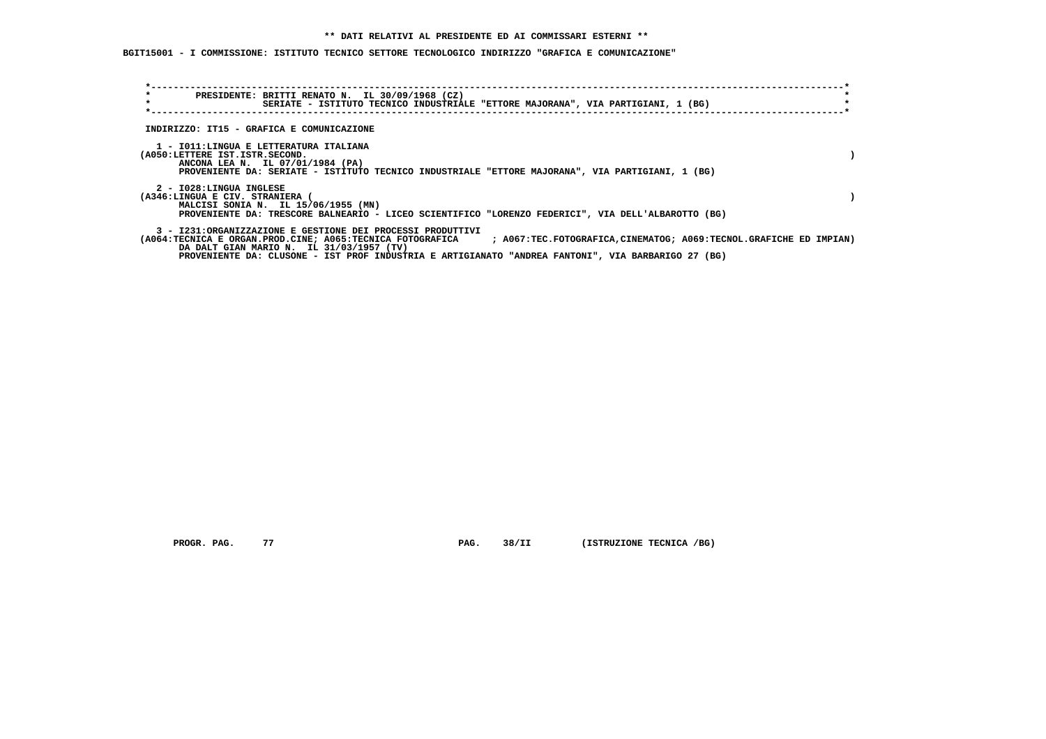**BGIT15001 - I COMMISSIONE: ISTITUTO TECNICO SETTORE TECNOLOGICO INDIRIZZO "GRAFICA E COMUNICAZIONE"**

| $\star$<br>$\star$ |                                                                                                              | PRESIDENTE: BRITTI RENATO N. IL 30/09/1968 (CZ)<br>SERIATE - ISTITUTO TECNICO INDUSTRIALE "ETTORE MAJORANA", VIA PARTIGIANI, 1 (BG)                                                                          |  |  |                                                                                                                             |  |
|--------------------|--------------------------------------------------------------------------------------------------------------|--------------------------------------------------------------------------------------------------------------------------------------------------------------------------------------------------------------|--|--|-----------------------------------------------------------------------------------------------------------------------------|--|
|                    | INDIRIZZO: IT15 - GRAFICA E COMUNICAZIONE                                                                    |                                                                                                                                                                                                              |  |  |                                                                                                                             |  |
|                    | 1 - IO11:LINGUA E LETTERATURA ITALIANA<br>(A050:LETTERE IST.ISTR.SECOND.<br>ANCONA LEA N. IL 07/01/1984 (PA) | PROVENIENTE DA: SERIATE - ISTITUTO TECNICO INDUSTRIALE "ETTORE MAJORANA", VIA PARTIGIANI, 1 (BG)                                                                                                             |  |  |                                                                                                                             |  |
|                    | 2 - I028:LINGUA INGLESE<br>(A346:LINGUA E CIV. STRANIERA (<br>MALCISI SONIA N. IL 15/06/1955 (MN)            | PROVENIENTE DA: TRESCORE BALNEARIO - LICEO SCIENTIFICO "LORENZO FEDERICI", VIA DELL'ALBAROTTO (BG)                                                                                                           |  |  |                                                                                                                             |  |
|                    |                                                                                                              | 3 - I231:ORGANIZZAZIONE E GESTIONE DEI PROCESSI PRODUTTIVI<br>DA DALT GIAN MARIO N. IL 31/03/1957 (TV)<br>PROVENIENTE DA: CLUSONE - IST PROF INDUSTRIA E ARTIGIANATO "ANDREA FANTONI", VIA BARBARIGO 27 (BG) |  |  | (A064:TECNICA E ORGAN.PROD.CINE; A065:TECNICA FOTOGRAFICA ; A067:TEC.FOTOGRAFICA,CINEMATOG; A069:TECNOL.GRAFICHE ED IMPIAN) |  |

 **PROGR. PAG.** 77 **PAG. PAG.** 38/II (ISTRUZIONE TECNICA /BG)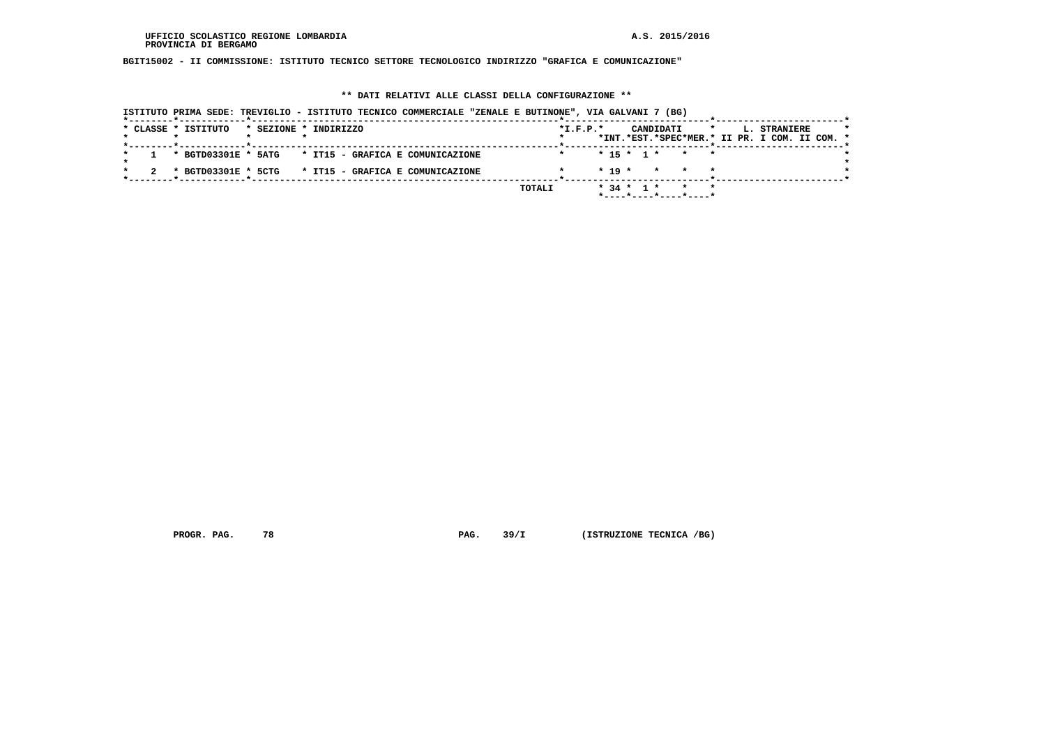**BGIT15002 - II COMMISSIONE: ISTITUTO TECNICO SETTORE TECNOLOGICO INDIRIZZO "GRAFICA E COMUNICAZIONE"**

#### **\*\* DATI RELATIVI ALLE CLASSI DELLA CONFIGURAZIONE \*\***

| ISTITUTO PRIMA SEDE: TREVIGLIO - ISTITUTO TECNICO COMMERCIALE "ZENALE E BUTINONE", VIA GALVANI 7 (BG) |                                                                                                                |
|-------------------------------------------------------------------------------------------------------|----------------------------------------------------------------------------------------------------------------|
| * CLASSE * ISTITUTO<br>* SEZIONE * INDIRIZZO                                                          | $*L.F.P.*$<br>CANDIDATI<br>$\star$<br>L. STRANIERE<br>$\star$<br>*INT.*EST.*SPEC*MER.* II PR. I COM. II COM. * |
| * BGTD03301E * 5ATG * IT15 - GRAFICA E COMUNICAZIONE                                                  | $* 15 * 1 * * * * *$<br>$\star$                                                                                |
| * BGTD03301E * 5CTG<br>* IT15 - GRAFICA E COMUNICAZIONE                                               | $* 19 *$<br>$\star$                                                                                            |
|                                                                                                       | $*$ 34 $*$ 1 $*$<br>TOTALI<br>$*$ - - - - $*$ - - - - $*$ - - - - $*$ - - - - $*$                              |

 **PROGR. PAG. 78 PAG. 39/I (ISTRUZIONE TECNICA /BG)**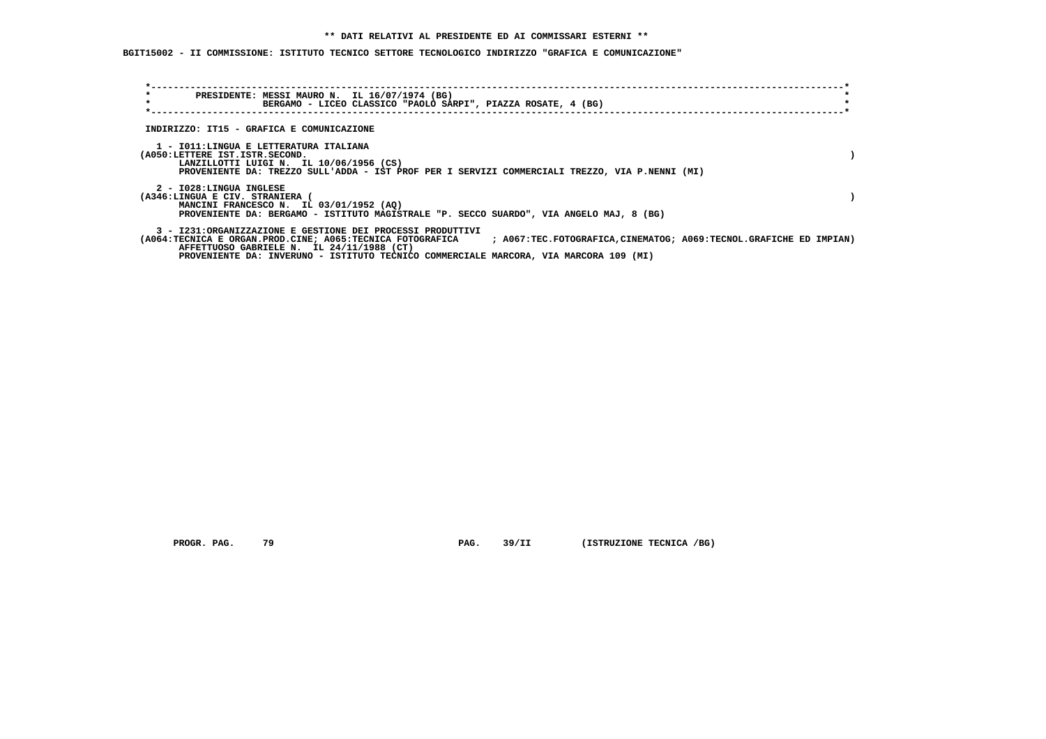**BGIT15002 - II COMMISSIONE: ISTITUTO TECNICO SETTORE TECNOLOGICO INDIRIZZO "GRAFICA E COMUNICAZIONE"**

| $\star$<br>$\star$                                       | PRESIDENTE: MESSI MAURO N. IL 16/07/1974 (BG)<br>BERGAMO - LICEO CLASSICO "PAOLO SARPI", PIAZZA ROSATE, 4 (BG)                                                                                                                                                                                                                      |  |
|----------------------------------------------------------|-------------------------------------------------------------------------------------------------------------------------------------------------------------------------------------------------------------------------------------------------------------------------------------------------------------------------------------|--|
|                                                          | INDIRIZZO: IT15 - GRAFICA E COMUNICAZIONE                                                                                                                                                                                                                                                                                           |  |
| (A050:LETTERE IST.ISTR.SECOND.                           | 1 - IO11: LINGUA E LETTERATURA ITALIANA<br>LANZILLOTTI LUIGI N. IL 10/06/1956 (CS)<br>PROVENIENTE DA: TREZZO SULL'ADDA - IST PROF PER I SERVIZI COMMERCIALI TREZZO, VIA P.NENNI (MI)                                                                                                                                                |  |
| 2 - I028:LINGUA INGLESE<br>(A346:LINGUA E CIV. STRANIERA | MANCINI FRANCESCO N. IL 03/01/1952 (AO)<br>PROVENIENTE DA: BERGAMO - ISTITUTO MAGISTRALE "P. SECCO SUARDO", VIA ANGELO MAJ, 8 (BG)                                                                                                                                                                                                  |  |
|                                                          | 3 - I231:ORGANIZZAZIONE E GESTIONE DEI PROCESSI PRODUTTIVI<br>(A064:TECNICA E ORGAN.PROD.CINE; A065:TECNICA FOTOGRAFICA<br>; A067:TEC.FOTOGRAFICA, CINEMATOG; A069:TECNOL.GRAFICHE ED IMPIAN)<br>AFFETTUOSO GABRIELE N. IL 24/11/1988 (CT)<br>PROVENIENTE DA: INVERUNO - ISTITUTO TECNICO COMMERCIALE MARCORA, VIA MARCORA 109 (MI) |  |

 **PROGR. PAG. 79 PAG. 39/II (ISTRUZIONE TECNICA /BG)**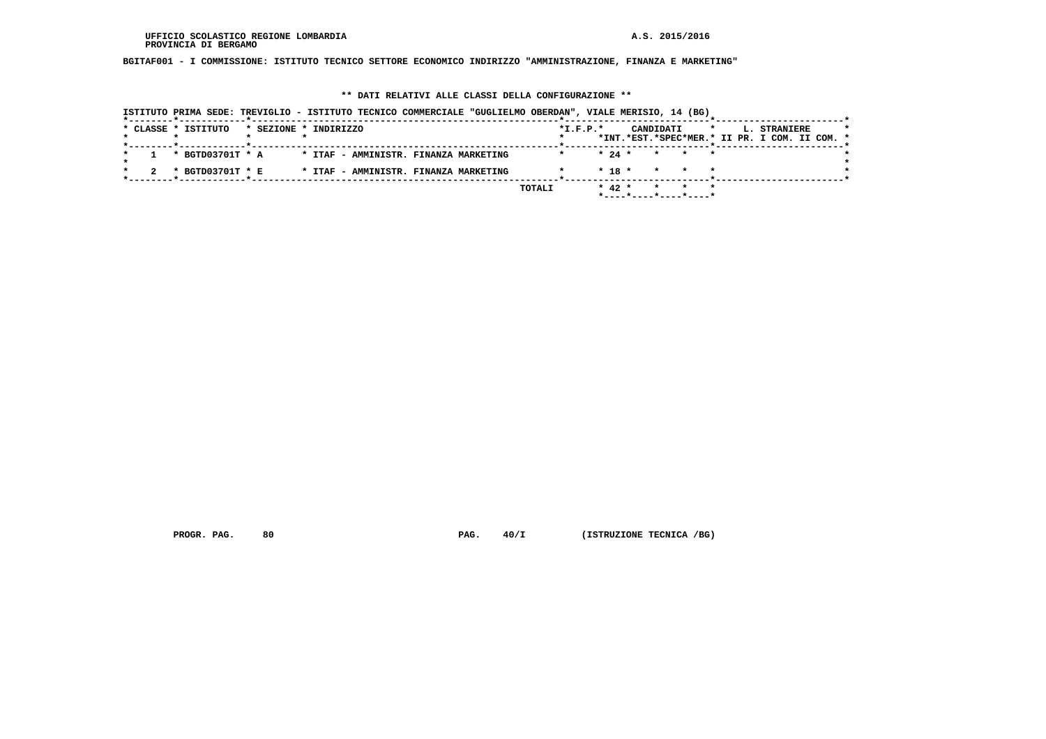**BGITAF001 - I COMMISSIONE: ISTITUTO TECNICO SETTORE ECONOMICO INDIRIZZO "AMMINISTRAZIONE, FINANZA E MARKETING"**

# **\*\* DATI RELATIVI ALLE CLASSI DELLA CONFIGURAZIONE \*\***

|                                              | ISTITUTO PRIMA SEDE: TREVIGLIO - ISTITUTO TECNICO COMMERCIALE "GUGLIELMO OBERDAN", VIALE MERISIO, 14 (BG) |                                               |
|----------------------------------------------|-----------------------------------------------------------------------------------------------------------|-----------------------------------------------|
| * CLASSE * ISTITUTO<br>* SEZIONE * INDIRIZZO | $*$ I.F.P. $*$                                                                                            | CANDIDATI<br>L. STRANIERE<br>$\star$ $\star$  |
|                                              |                                                                                                           | *INT.*EST.*SPEC*MER.* II PR. I COM. II COM. * |
| * BGTD03701T * A                             | * ITAF - AMMINISTR. FINANZA MARKETING                                                                     | $\star$ 24 $\star$ $\star$ $\star$ $\star$    |
| * BGTD03701T * E                             | * ITAF - AMMINISTR. FINANZA MARKETING                                                                     | $* 18 * * * * * *$                            |
|                                              | TOTALI                                                                                                    | * 42 * * * *<br>*----*----*----*----*         |

 **PROGR. PAG.** 80 **PAG. 40/I** (ISTRUZIONE TECNICA /BG)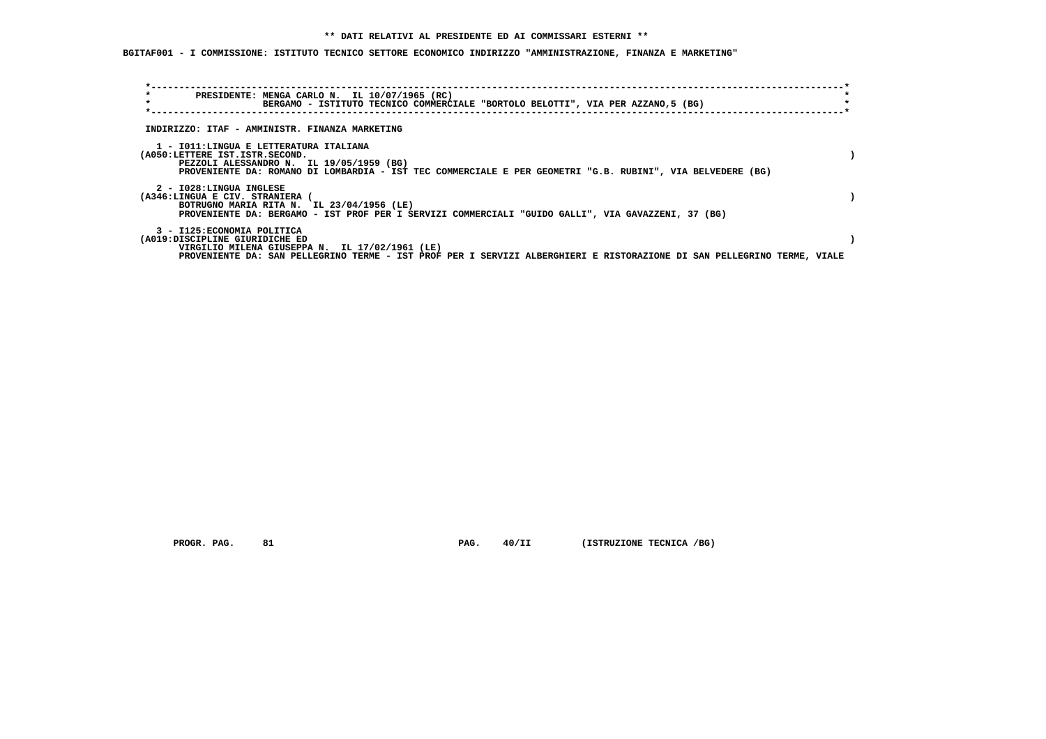**BGITAF001 - I COMMISSIONE: ISTITUTO TECNICO SETTORE ECONOMICO INDIRIZZO "AMMINISTRAZIONE, FINANZA E MARKETING"**

| $\star$<br>$\star$                                            | PRESIDENTE: MENGA CARLO N. IL 10/07/1965 (RC)<br>BERGAMO - ISTITUTO TECNICO COMMERCIALE "BORTOLO BELOTTI", VIA PER AZZANO,5 (BG)                                                                 |  |
|---------------------------------------------------------------|--------------------------------------------------------------------------------------------------------------------------------------------------------------------------------------------------|--|
|                                                               | INDIRIZZO: ITAF - AMMINISTR. FINANZA MARKETING                                                                                                                                                   |  |
| (A050:LETTERE IST.ISTR.SECOND.                                | 1 - IO11:LINGUA E LETTERATURA ITALIANA<br>PEZZOLI ALESSANDRO N. IL 19/05/1959 (BG)<br>PROVENIENTE DA: ROMANO DI LOMBARDIA - IST TEC COMMERCIALE E PER GEOMETRI "G.B. RUBINI", VIA BELVEDERE (BG) |  |
| 2 - I028:LINGUA INGLESE<br>(A346:LINGUA E CIV. STRANIERA      | BOTRUGNO MARIA RITA N. IL 23/04/1956 (LE)<br>PROVENIENTE DA: BERGAMO - IST PROF PER I SERVIZI COMMERCIALI "GUIDO GALLI", VIA GAVAZZENI, 37 (BG)                                                  |  |
| 3 - I125: ECONOMIA POLITICA<br>(A019:DISCIPLINE GIURIDICHE ED | VIRGILIO MILENA GIUSEPPA N. IL 17/02/1961 (LE)<br>PROVENIENTE DA: SAN PELLEGRINO TERME - IST PROF PER I SERVIZI ALBERGHIERI E RISTORAZIONE DI SAN PELLEGRINO TERME, VIALE                        |  |

 **PROGR. PAG.** 81 **PAG. 40/II (ISTRUZIONE TECNICA /BG)**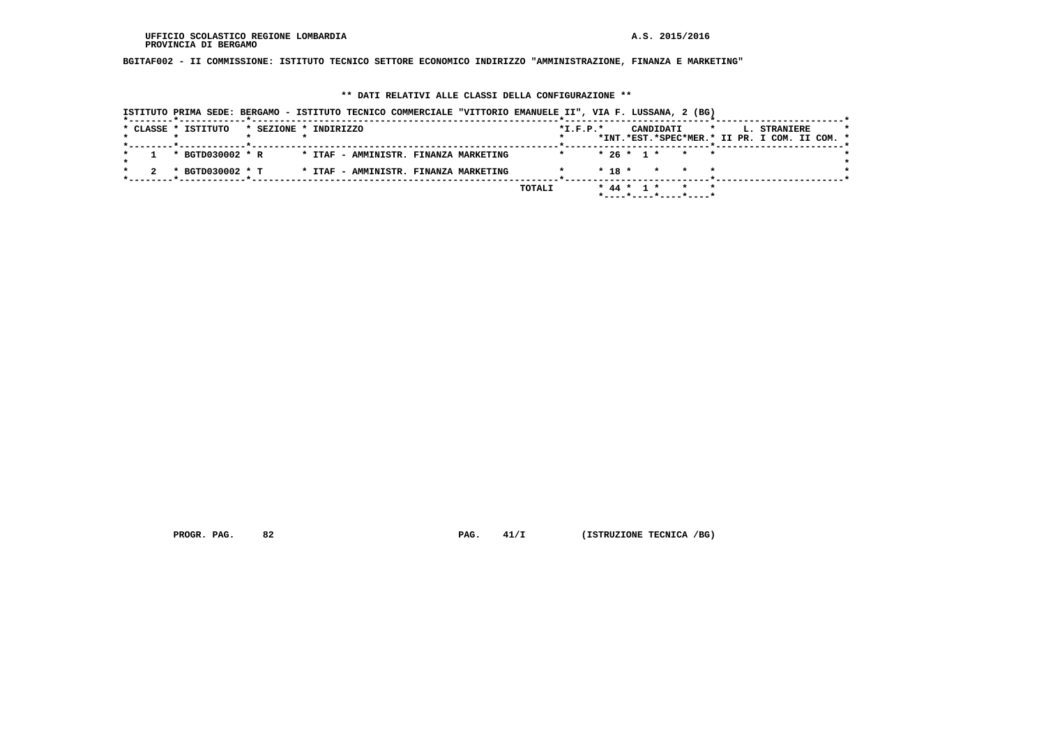**BGITAF002 - II COMMISSIONE: ISTITUTO TECNICO SETTORE ECONOMICO INDIRIZZO "AMMINISTRAZIONE, FINANZA E MARKETING"**

### **\*\* DATI RELATIVI ALLE CLASSI DELLA CONFIGURAZIONE \*\***

|  |  | ISTITUTO PRIMA SEDE: BERGAMO - ISTITUTO TECNICO COMMERCIALE "VITTORIO EMANUELE II", VIA F. LUSSANA, 2 (BG) |                       |  |  |  |                                       |        |                |            |  |                                                          |         |  |                                               |  |  |
|--|--|------------------------------------------------------------------------------------------------------------|-----------------------|--|--|--|---------------------------------------|--------|----------------|------------|--|----------------------------------------------------------|---------|--|-----------------------------------------------|--|--|
|  |  | * CLASSE * ISTITUTO                                                                                        | * SEZIONE * INDIRIZZO |  |  |  |                                       |        | $*$ I.F.P. $*$ |            |  | CANDIDATI                                                | $\star$ |  | L. STRANIERE                                  |  |  |
|  |  |                                                                                                            |                       |  |  |  |                                       |        |                |            |  |                                                          |         |  | *INT.*EST.*SPEC*MER.* II PR. I COM. II COM. * |  |  |
|  |  | * BGTD030002 * R                                                                                           |                       |  |  |  | * ITAF - AMMINISTR. FINANZA MARKETING |        |                |            |  | $* 26 * 1 * * * * *$                                     |         |  |                                               |  |  |
|  |  | * BGTD030002 * T                                                                                           |                       |  |  |  | * ITAF - AMMINISTR. FINANZA MARKETING |        |                | $*$ 18 $*$ |  | * * *                                                    |         |  |                                               |  |  |
|  |  |                                                                                                            |                       |  |  |  |                                       |        |                |            |  |                                                          |         |  |                                               |  |  |
|  |  |                                                                                                            |                       |  |  |  |                                       | TOTALI |                |            |  | * 44 * 1 * * * *<br>$*$ ---- $*$ ---- $*$ ---- $*$ ----* |         |  |                                               |  |  |

 **PROGR. PAG.** 82 **PAG.** 41/I (ISTRUZIONE TECNICA /BG)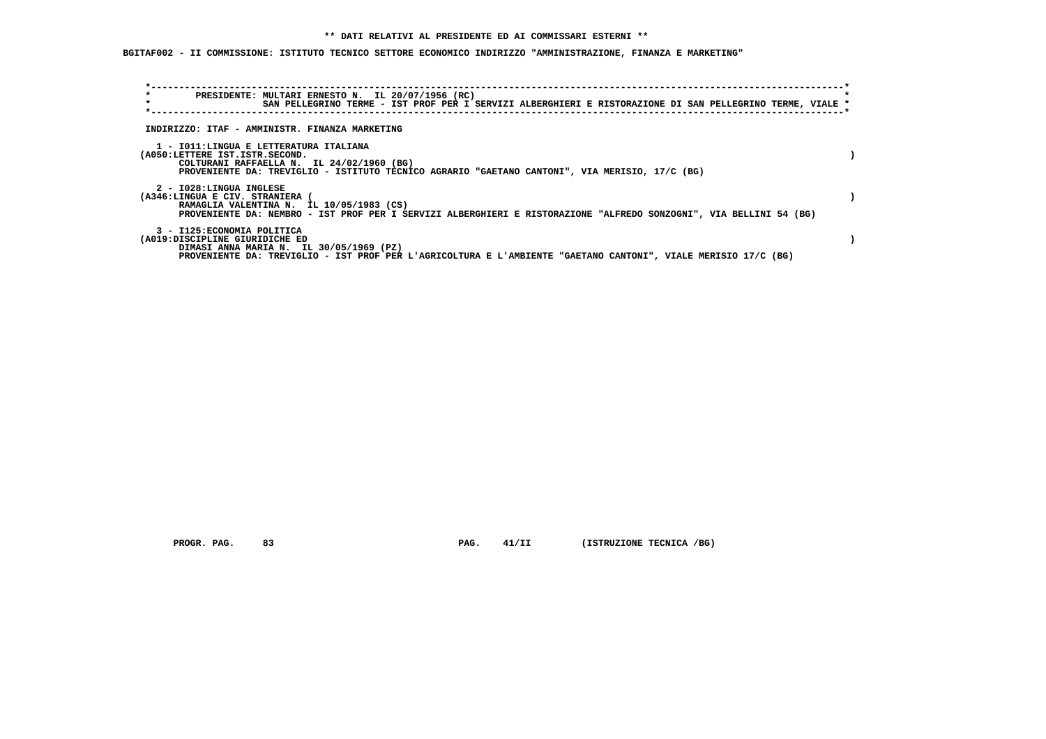**BGITAF002 - II COMMISSIONE: ISTITUTO TECNICO SETTORE ECONOMICO INDIRIZZO "AMMINISTRAZIONE, FINANZA E MARKETING"**

| $\star$<br>$\star$              | PRESIDENTE: MULTARI ERNESTO N. IL 20/07/1956 (RC)<br>SAN PELLEGRINO TERME - IST PROF PER I SERVIZI ALBERGHIERI E RISTORAZIONE DI SAN PELLEGRINO TERME, VIALE * |  |  |  |  |
|---------------------------------|----------------------------------------------------------------------------------------------------------------------------------------------------------------|--|--|--|--|
|                                 |                                                                                                                                                                |  |  |  |  |
|                                 | INDIRIZZO: ITAF - AMMINISTR. FINANZA MARKETING                                                                                                                 |  |  |  |  |
|                                 |                                                                                                                                                                |  |  |  |  |
|                                 | 1 - IO11:LINGUA E LETTERATURA ITALIANA                                                                                                                         |  |  |  |  |
| (A050:LETTERE IST.ISTR.SECOND.  | COLTURANI RAFFAELLA N. IL 24/02/1960 (BG)                                                                                                                      |  |  |  |  |
|                                 | PROVENIENTE DA: TREVIGLIO - ISTITUTO TECNICO AGRARIO "GAETANO CANTONI", VIA MERISIO, 17/C (BG)                                                                 |  |  |  |  |
| 2 - I028:LINGUA INGLESE         |                                                                                                                                                                |  |  |  |  |
| (A346:LINGUA E CIV. STRANIERA ( |                                                                                                                                                                |  |  |  |  |
|                                 | RAMAGLIA VALENTINA N. IL 10/05/1983 (CS)                                                                                                                       |  |  |  |  |
|                                 | PROVENIENTE DA: NEMBRO - IST PROF PER I SERVIZI ALBERGHIERI E RISTORAZIONE "ALFREDO SONZOGNI", VIA BELLINI 54 (BG)                                             |  |  |  |  |
| 3 - I125: ECONOMIA POLITICA     |                                                                                                                                                                |  |  |  |  |
| (A019:DISCIPLINE GIURIDICHE ED  |                                                                                                                                                                |  |  |  |  |
|                                 | DIMASI ANNA MARIA N. IL 30/05/1969 (PZ)                                                                                                                        |  |  |  |  |
|                                 | PROVENIENTE DA: TREVIGLIO - IST PROF PER L'AGRICOLTURA E L'AMBIENTE "GAETANO CANTONI", VIALE MERISIO 17/C (BG)                                                 |  |  |  |  |

 **PROGR. PAG.** 83 **PAG. 41/II (ISTRUZIONE TECNICA /BG)**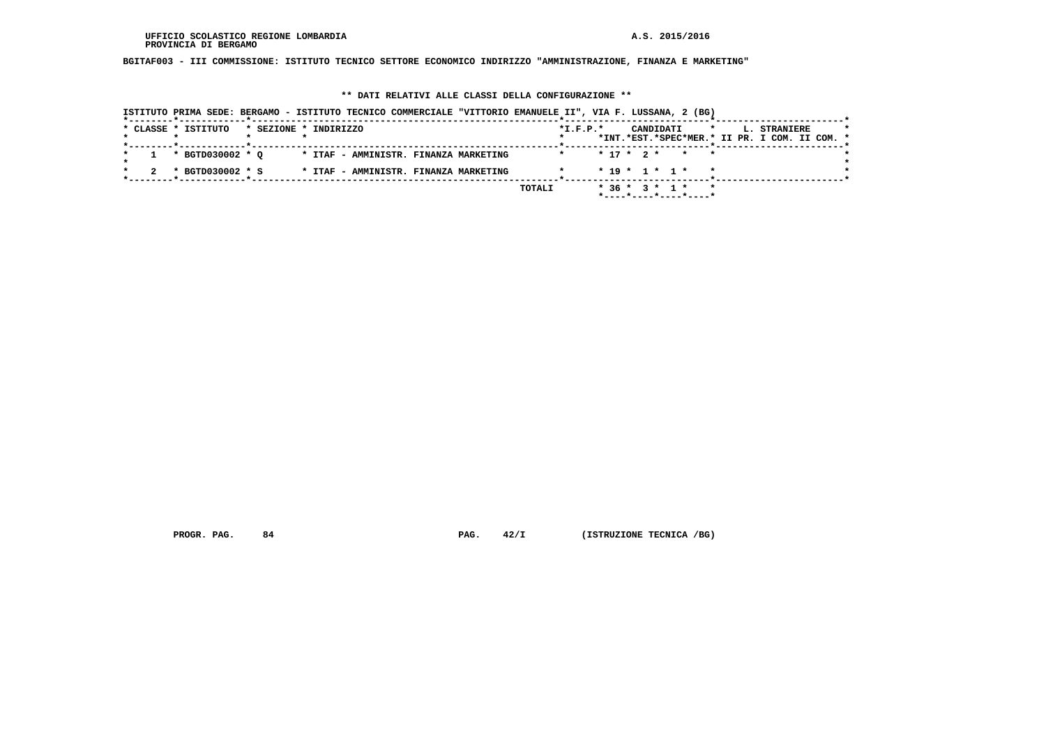**BGITAF003 - III COMMISSIONE: ISTITUTO TECNICO SETTORE ECONOMICO INDIRIZZO "AMMINISTRAZIONE, FINANZA E MARKETING"**

#### **\*\* DATI RELATIVI ALLE CLASSI DELLA CONFIGURAZIONE \*\***

| ISTITUTO PRIMA SEDE: BERGAMO - ISTITUTO TECNICO COMMERCIALE "VITTORIO EMANUELE II", VIA F. LUSSANA, 2 (BG) |                                                                                                     |
|------------------------------------------------------------------------------------------------------------|-----------------------------------------------------------------------------------------------------|
| * CLASSE * ISTITUTO<br>* SEZIONE * INDIRIZZO                                                               | $*L.F.P.*$<br>CANDIDATI<br>L. STRANIERE<br>$\star$<br>*INT.*EST.*SPEC*MER.* II PR. I COM. II COM. * |
| * BGTD030002 * O<br>* ITAF - AMMINISTR. FINANZA MARKETING                                                  | $* 17 * 2 * * * * *$                                                                                |
| * BGTD030002 * S<br>* ITAF - AMMINISTR. FINANZA MARKETING                                                  | $* 19 * 1 * 1 *$                                                                                    |
|                                                                                                            | TOTALI<br>$*36 * 3 * 1 *$<br>$*$ ---- $*$ ---- $*$ ---- $*$ ----*                                   |

 **PROGR. PAG.** 84 **PAG.** 42/I (ISTRUZIONE TECNICA /BG)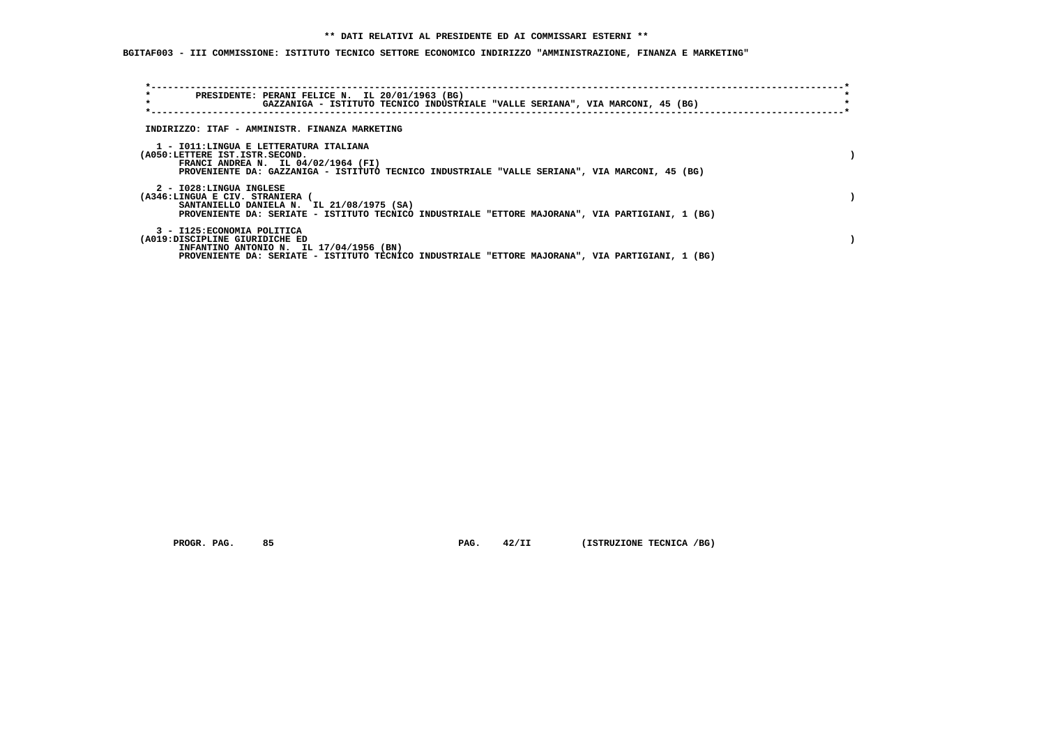**BGITAF003 - III COMMISSIONE: ISTITUTO TECNICO SETTORE ECONOMICO INDIRIZZO "AMMINISTRAZIONE, FINANZA E MARKETING"**

| $\star$<br>$\star$              | PRESIDENTE: PERANI FELICE N. IL 20/01/1963 (BG)<br>GAZZANIGA - ISTITUTO TECNICO INDUSTRIALE "VALLE SERIANA", VIA MARCONI, 45 (BG)             |  |  |
|---------------------------------|-----------------------------------------------------------------------------------------------------------------------------------------------|--|--|
|                                 | INDIRIZZO: ITAF - AMMINISTR. FINANZA MARKETING                                                                                                |  |  |
|                                 |                                                                                                                                               |  |  |
| (A050:LETTERE IST.ISTR.SECOND.  | 1 - IO11:LINGUA E LETTERATURA ITALIANA                                                                                                        |  |  |
|                                 | FRANCI ANDREA N. IL $04/02/1964$ (FI)<br>PROVENIENTE DA: GAZZANIGA - ISTITUTO TECNICO INDUSTRIALE "VALLE SERIANA", VIA MARCONI, 45 (BG)       |  |  |
| 2 - I028:LINGUA INGLESE         |                                                                                                                                               |  |  |
| (A346:LINGUA E CIV. STRANIERA ( |                                                                                                                                               |  |  |
|                                 | SANTANIELLO DANIELA N. IL 21/08/1975 (SA)<br>PROVENIENTE DA: SERIATE - ISTITUTO TECNICO INDUSTRIALE "ETTORE MAJORANA", VIA PARTIGIANI, 1 (BG) |  |  |
| 3 - I125: ECONOMIA POLITICA     |                                                                                                                                               |  |  |
| (A019:DISCIPLINE GIURIDICHE ED  | INFANTINO ANTONIO N. IL 17/04/1956 (BN)                                                                                                       |  |  |
|                                 | PROVENIENTE DA: SERIATE - ISTITUTO TECNICO INDUSTRIALE "ETTORE MAJORANA", VIA PARTIGIANI, 1 (BG)                                              |  |  |

 **PROGR. PAG.** 85 **PAG. 42/II (ISTRUZIONE TECNICA /BG)**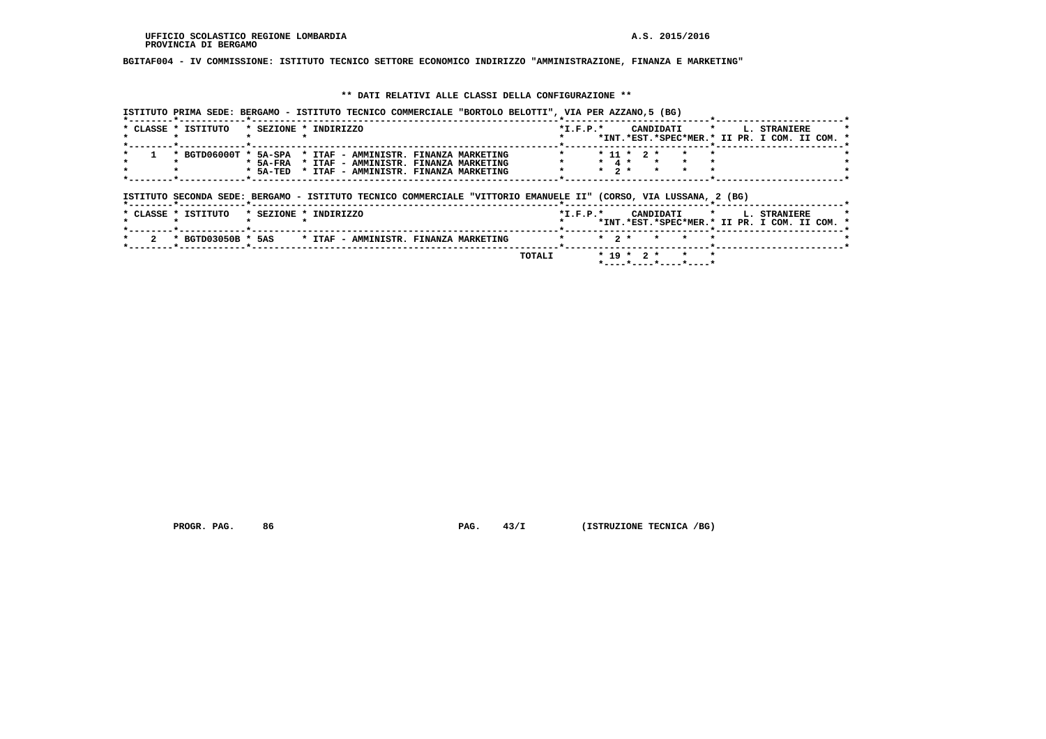#### **BGITAF004 - IV COMMISSIONE: ISTITUTO TECNICO SETTORE ECONOMICO INDIRIZZO "AMMINISTRAZIONE, FINANZA E MARKETING"**

#### **\*\* DATI RELATIVI ALLE CLASSI DELLA CONFIGURAZIONE \*\***

 **ISTITUTO PRIMA SEDE: BERGAMO - ISTITUTO TECNICO COMMERCIALE "BORTOLO BELOTTI", VIA PER AZZANO,5 (BG) \*--------\*------------\*-------------------------------------------------------\*--------------------------\*-----------------------\* \* CLASSE \* ISTITUTO \* SEZIONE \* INDIRIZZO \*I.F.P.\* CANDIDATI \* L. STRANIERE \* \* \* \* \* \* \*INT.\*EST.\*SPEC\*MER.\* II PR. I COM. II COM. \* \*--------\*------------\*-------------------------------------------------------\*--------------------------\*-----------------------\* \* 1 \* BGTD06000T \* 5A-SPA \* ITAF - AMMINISTR. FINANZA MARKETING \* \* 11 \* 2 \* \* \* \* \* \* \* 5A-FRA \* ITAF - AMMINISTR. FINANZA MARKETING \* \* 4 \* \* \* \* \* \* \* \* 5A-TED \* ITAF - AMMINISTR. FINANZA MARKETING \* \* 2 \* \* \* \* \*** $\star$  $\rightarrow$  $- - - - - -$ \*  **\*--------\*------------\*-------------------------------------------------------\*--------------------------\*-----------------------\* ISTITUTO SECONDA SEDE: BERGAMO - ISTITUTO TECNICO COMMERCIALE "VITTORIO EMANUELE II" (CORSO, VIA LUSSANA, 2 (BG) \*--------\*------------\*-------------------------------------------------------\*--------------------------\*-----------------------\* \* CLASSE \* ISTITUTO \* SEZIONE \* INDIRIZZO \*I.F.P.\* CANDIDATI \* L. STRANIERE \* \* \* \* \* \* \*INT.\*EST.\*SPEC\*MER.\* II PR. I COM. II COM. \* \*--------\*------------\*-------------------------------------------------------\*--------------------------\*-----------------------\* \* 2 \* BGTD03050B \* 5AS \* ITAF - AMMINISTR. FINANZA MARKETING \* \* 2 \* \* \* \* \* \*--------\*------------\*-------------------------------------------------------\*--------------------------\*-----------------------\* TOTALI \* 19 \* 2 \* \* \* \*----\*----\*----\*----\***

 **PROGR. PAG.** 86 **PAG. 43/I** (ISTRUZIONE TECNICA /BG)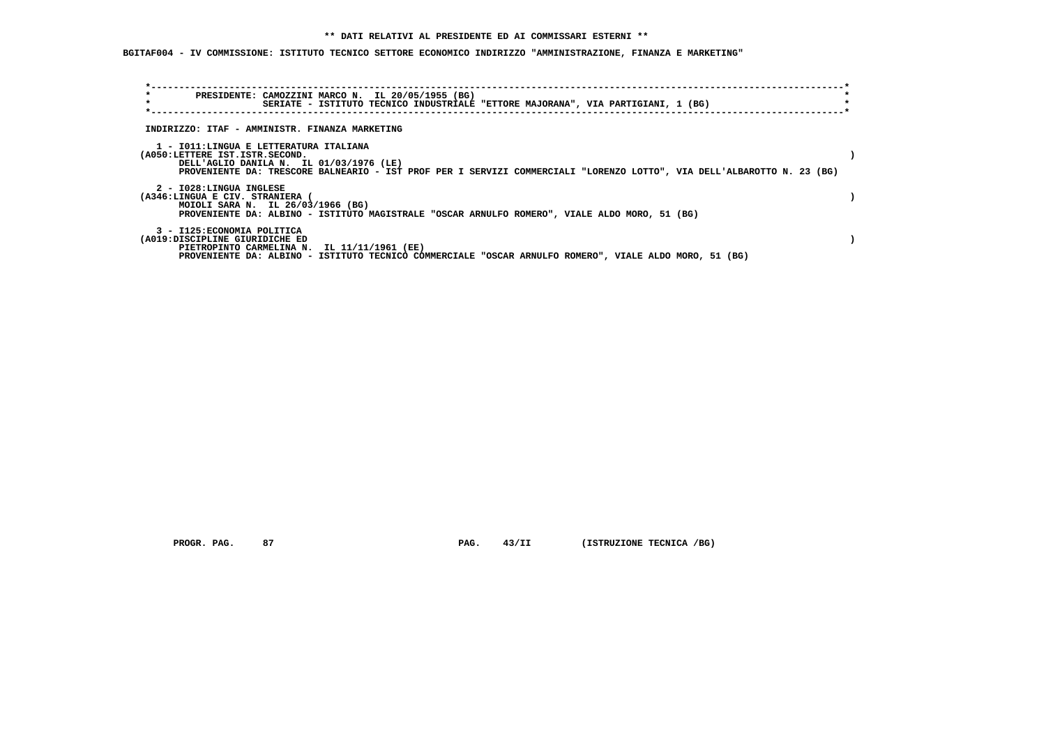**BGITAF004 - IV COMMISSIONE: ISTITUTO TECNICO SETTORE ECONOMICO INDIRIZZO "AMMINISTRAZIONE, FINANZA E MARKETING"**

| $\star$<br>$\star$ | PRESIDENTE: CAMOZZINI MARCO N. IL 20/05/1955 (BG)                                                                                                                                                                      |  |  |                                                                                  |  |                                                                                                                        |  |
|--------------------|------------------------------------------------------------------------------------------------------------------------------------------------------------------------------------------------------------------------|--|--|----------------------------------------------------------------------------------|--|------------------------------------------------------------------------------------------------------------------------|--|
|                    |                                                                                                                                                                                                                        |  |  | SERIATE - ISTITUTO TECNICO INDUSTRIALE "ETTORE MAJORANA", VIA PARTIGIANI, 1 (BG) |  |                                                                                                                        |  |
|                    | INDIRIZZO: ITAF - AMMINISTR. FINANZA MARKETING                                                                                                                                                                         |  |  |                                                                                  |  |                                                                                                                        |  |
|                    | 1 - IO11:LINGUA E LETTERATURA ITALIANA<br>(A050:LETTERE IST.ISTR.SECOND.<br>DELL'AGLIO DANILA N. IL 01/03/1976 (LE)                                                                                                    |  |  |                                                                                  |  | PROVENIENTE DA: TRESCORE BALNEARIO - IST PROF PER I SERVIZI COMMERCIALI "LORENZO LOTTO", VIA DELL'ALBAROTTO N. 23 (BG) |  |
|                    | 2 - I028:LINGUA INGLESE<br>(A346:LINGUA E CIV. STRANIERA (<br>MOIOLI SARA N. IL 26/03/1966 (BG)<br>PROVENIENTE DA: ALBINO - ISTITUTO MAGISTRALE "OSCAR ARNULFO ROMERO", VIALE ALDO MORO, 51 (BG)                       |  |  |                                                                                  |  |                                                                                                                        |  |
|                    | 3 - I125: ECONOMIA POLITICA<br>(A019:DISCIPLINE GIURIDICHE ED<br>PIETROPINTO CARMELINA N. IL 11/11/1961 (EE)<br>PROVENIENTE DA: ALBINO - ISTITUTO TECNICO COMMERCIALE "OSCAR ARNULFO ROMERO", VIALE ALDO MORO, 51 (BG) |  |  |                                                                                  |  |                                                                                                                        |  |

 **PROGR. PAG.** 87 **PAG.** 43/II (ISTRUZIONE TECNICA /BG)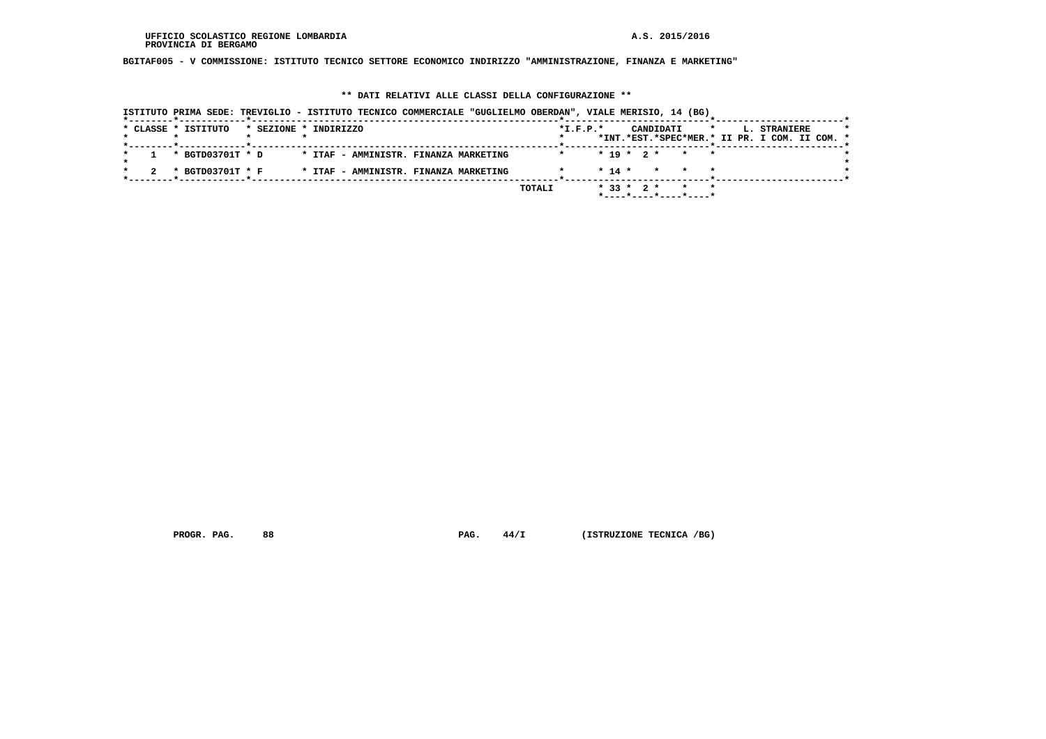**BGITAF005 - V COMMISSIONE: ISTITUTO TECNICO SETTORE ECONOMICO INDIRIZZO "AMMINISTRAZIONE, FINANZA E MARKETING"**

# **\*\* DATI RELATIVI ALLE CLASSI DELLA CONFIGURAZIONE \*\***

|  |                     |                       |  |  |                                       | ISTITUTO PRIMA SEDE: TREVIGLIO - ISTITUTO TECNICO COMMERCIALE "GUGLIELMO OBERDAN", VIALE MERISIO, 14 (BG) |        |                |          |  |           |                                                        |         |  |                                               |  |  |
|--|---------------------|-----------------------|--|--|---------------------------------------|-----------------------------------------------------------------------------------------------------------|--------|----------------|----------|--|-----------|--------------------------------------------------------|---------|--|-----------------------------------------------|--|--|
|  | * CLASSE * ISTITUTO | * SEZIONE * INDIRIZZO |  |  |                                       |                                                                                                           |        | $*$ I.F.P. $*$ |          |  | CANDIDATI |                                                        | $\star$ |  | L. STRANIERE                                  |  |  |
|  |                     |                       |  |  |                                       |                                                                                                           |        |                |          |  |           |                                                        |         |  | *INT.*EST.*SPEC*MER.* II PR. I COM. II COM. * |  |  |
|  | * BGTD03701T * D    |                       |  |  | * ITAF - AMMINISTR. FINANZA MARKETING |                                                                                                           |        |                |          |  |           | $* 19 * 2 * * * * *$                                   |         |  |                                               |  |  |
|  | * BGTD03701T * F    |                       |  |  | * ITAF - AMMINISTR. FINANZA MARKETING |                                                                                                           |        |                | $* 14 *$ |  |           | * * *                                                  |         |  |                                               |  |  |
|  |                     |                       |  |  |                                       |                                                                                                           | TOTALI |                |          |  |           | * 33 * 2 * * *<br>$*$ ---- $*$ ---- $*$ ---- $*$ ----* |         |  |                                               |  |  |

 **PROGR. PAG.** 88 **PAG.** 44/I (ISTRUZIONE TECNICA /BG)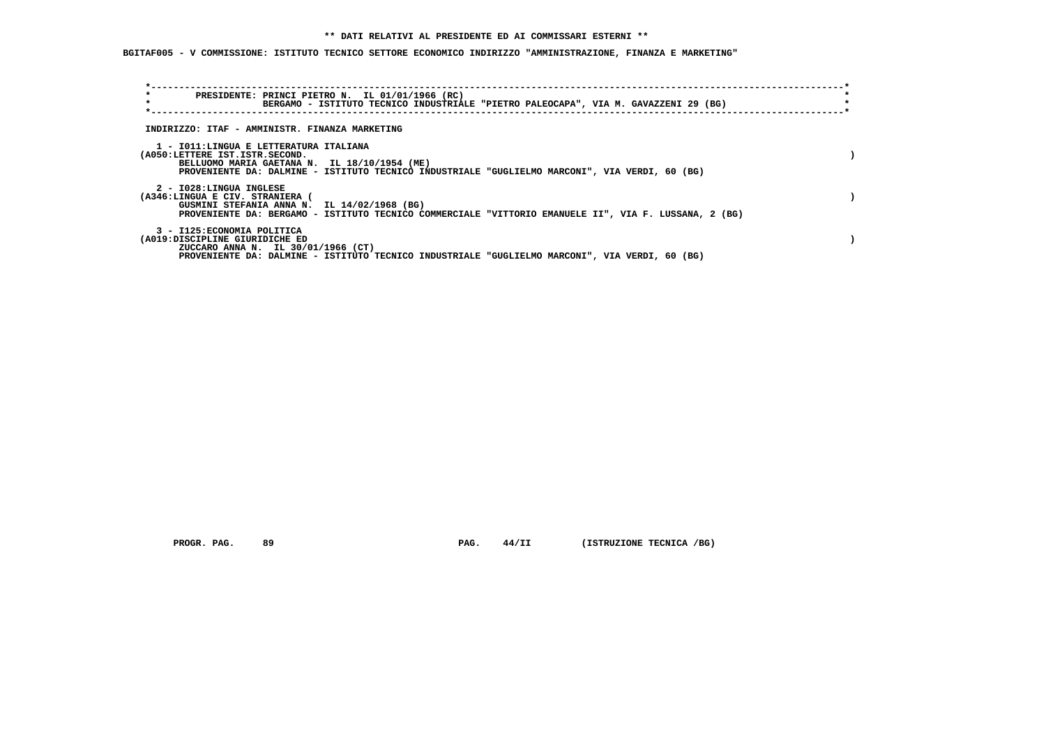**BGITAF005 - V COMMISSIONE: ISTITUTO TECNICO SETTORE ECONOMICO INDIRIZZO "AMMINISTRAZIONE, FINANZA E MARKETING"**

| $\star$<br>$\star$                                            | PRESIDENTE: PRINCI PIETRO N. IL 01/01/1966 (RC)<br>BERGAMO - ISTITUTO TECNICO INDUSTRIALE "PIETRO PALEOCAPA", VIA M. GAVAZZENI 29 (BG)                                                   |  |
|---------------------------------------------------------------|------------------------------------------------------------------------------------------------------------------------------------------------------------------------------------------|--|
|                                                               | INDIRIZZO: ITAF - AMMINISTR. FINANZA MARKETING                                                                                                                                           |  |
| (A050:LETTERE IST.ISTR.SECOND.                                | 1 - IO11:LINGUA E LETTERATURA ITALIANA<br>BELLUOMO MARIA GAETANA N. IL 18/10/1954 (ME)<br>PROVENIENTE DA: DALMINE - ISTITUTO TECNICO INDUSTRIALE "GUGLIELMO MARCONI", VIA VERDI, 60 (BG) |  |
| 2 - I028:LINGUA INGLESE<br>(A346:LINGUA E CIV. STRANIERA (    | GUSMINI STEFANIA ANNA N. IL 14/02/1968 (BG)<br>PROVENIENTE DA: BERGAMO - ISTITUTO TECNICO COMMERCIALE "VITTORIO EMANUELE II", VIA F. LUSSANA, 2 (BG)                                     |  |
| 3 - I125: ECONOMIA POLITICA<br>(A019:DISCIPLINE GIURIDICHE ED | ZUCCARO ANNA N. IL 30/01/1966 (CT)<br>PROVENIENTE DA: DALMINE - ISTITUTO TECNICO INDUSTRIALE "GUGLIELMO MARCONI", VIA VERDI, 60 (BG)                                                     |  |

 **PROGR. PAG.** 89 **PAG. 44/II (ISTRUZIONE TECNICA /BG)**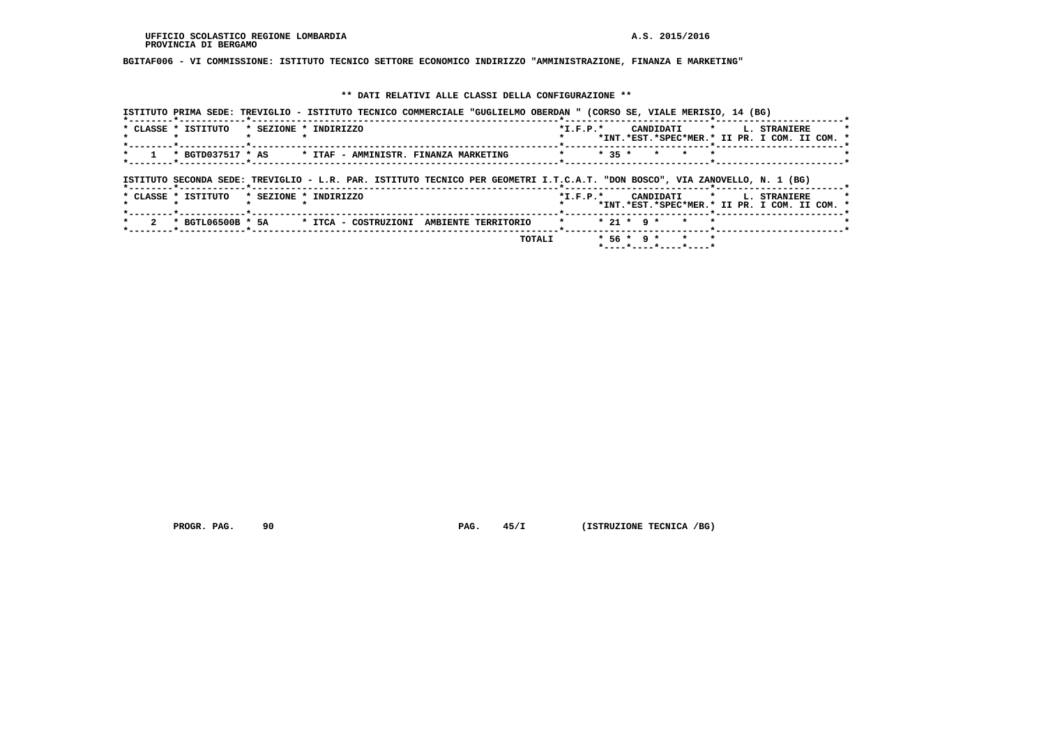**BGITAF006 - VI COMMISSIONE: ISTITUTO TECNICO SETTORE ECONOMICO INDIRIZZO "AMMINISTRAZIONE, FINANZA E MARKETING"**

## **\*\* DATI RELATIVI ALLE CLASSI DELLA CONFIGURAZIONE \*\***

|                     |                       | ISTITUTO PRIMA SEDE: TREVIGLIO - ISTITUTO TECNICO COMMERCIALE "GUGLIELMO OBERDAN " (CORSO SE, VIALE MERISIO, 14 (BG)        |                                             |              |                                               |                                                                           |
|---------------------|-----------------------|-----------------------------------------------------------------------------------------------------------------------------|---------------------------------------------|--------------|-----------------------------------------------|---------------------------------------------------------------------------|
| * CLASSE * ISTITUTO | * SEZIONE * INDIRIZZO |                                                                                                                             | $*$ I.F.P. $*$                              |              |                                               | CANDIDATI * L. STRANIERE<br>*INT.*EST.*SPEC*MER.* II PR. I COM. II COM. * |
|                     |                       | * BGTD037517 * AS * ITAF - AMMINISTR. FINANZA MARKETING                                                                     | <b>Example 19 Service State State State</b> | $* 35 *$     | $\star$<br>$\star$                            |                                                                           |
|                     |                       | ISTITUTO SECONDA SEDE: TREVIGLIO - L.R. PAR. ISTITUTO TECNICO PER GEOMETRI I.T.C.A.T. "DON BOSCO", VIA ZANOVELLO, N. 1 (BG) |                                             |              |                                               |                                                                           |
| * CLASSE * ISTITUTO | * SEZIONE * INDIRIZZO |                                                                                                                             | $*$ I.F.P. $*$                              |              |                                               | CANDIDATI * L. STRANIERE<br>*INT.*EST.*SPEC*MER.* II PR. I COM. II COM. * |
|                     |                       | * BGTL06500B * 5A * ITCA - COSTRUZIONI AMBIENTE TERRITORIO                                                                  | $\star$                                     | $* 21 * 9 *$ | $\star$                                       |                                                                           |
|                     |                       |                                                                                                                             | TOTALI                                      |              | $* 56 * 9 * * * * *$<br>*----*----*----*----* |                                                                           |

 **PROGR. PAG.** 90 **PAG.** 45/I (ISTRUZIONE TECNICA /BG)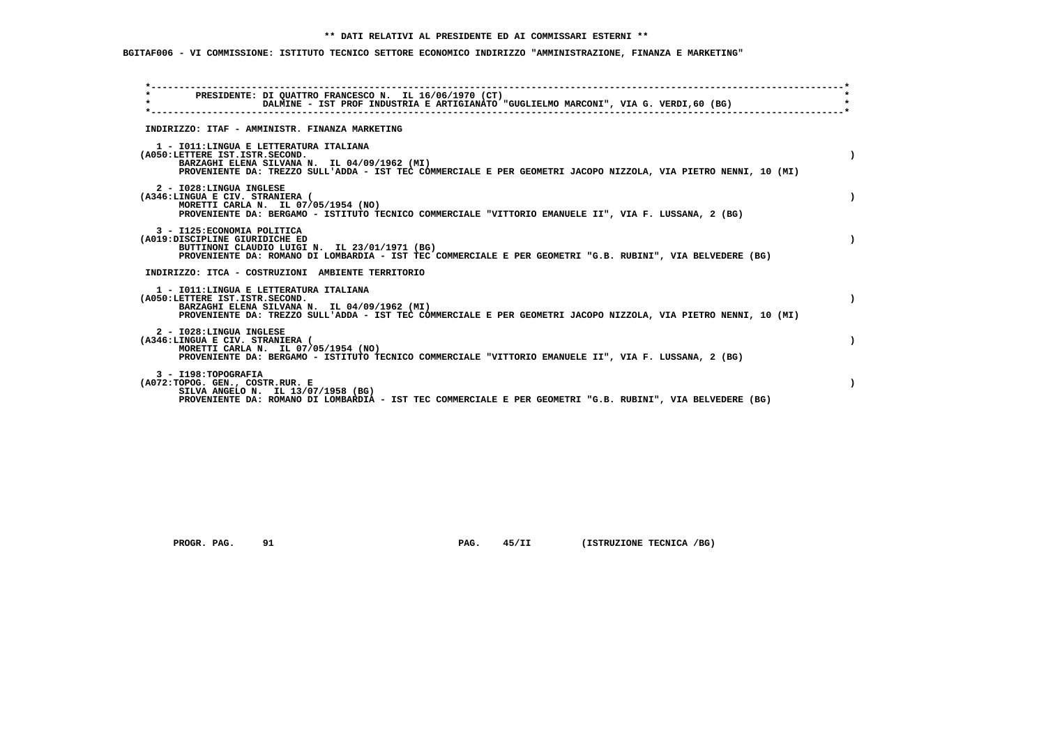# **BGITAF006 - VI COMMISSIONE: ISTITUTO TECNICO SETTORE ECONOMICO INDIRIZZO "AMMINISTRAZIONE, FINANZA E MARKETING"**

| PRESIDENTE: DI QUATTRO FRANCESCO N. IL 16/06/1970 (CT)<br>DALMINE - IST PROF INDUSTRIA E ARTIGIANATO "GUGLIELMO MARCONI", VIA G. VERDI,60 (BG)                                                                                               |  |
|----------------------------------------------------------------------------------------------------------------------------------------------------------------------------------------------------------------------------------------------|--|
| INDIRIZZO: ITAF - AMMINISTR. FINANZA MARKETING                                                                                                                                                                                               |  |
| 1 - IO11: LINGUA E LETTERATURA ITALIANA<br>(A050:LETTERE IST.ISTR.SECOND.<br>BARZAGHI ELENA SILVANA N. IL 04/09/1962 (MI)<br>PROVENIENTE DA: TREZZO SULL'ADDA - IST TEC COMMERCIALE E PER GEOMETRI JACOPO NIZZOLA, VIA PIETRO NENNI, 10 (MI) |  |
| 2 - I028:LINGUA INGLESE<br>(A346:LINGUA E CIV. STRANIERA (<br>MORETTI CARLA N. IL 07/05/1954 (NO)<br>PROVENIENTE DA: BERGAMO - ISTITUTO TECNICO COMMERCIALE "VITTORIO EMANUELE II", VIA F. LUSSANA, 2 (BG)                                   |  |
| 3 - I125: ECONOMIA POLITICA<br>(A019:DISCIPLINE GIURIDICHE ED<br>BUTTINONI CLAUDIO LUIGI N. IL 23/01/1971 (BG)<br>PROVENIENTE DA: ROMANO DI LOMBARDIA - IST TEC COMMERCIALE E PER GEOMETRI "G.B. RUBINI", VIA BELVEDERE (BG)                 |  |
| INDIRIZZO: ITCA - COSTRUZIONI AMBIENTE TERRITORIO                                                                                                                                                                                            |  |
| 1 - IO11: LINGUA E LETTERATURA ITALIANA<br>(A050:LETTERE IST.ISTR.SECOND.<br>BARZAGHI ELENA SILVANA N. IL 04/09/1962 (MI)<br>PROVENIENTE DA: TREZZO SULL'ADDA - IST TEC COMMERCIALE E PER GEOMETRI JACOPO NIZZOLA, VIA PIETRO NENNI, 10 (MI) |  |
| 2 - I028:LINGUA INGLESE<br>(A346:LINGUA E CIV. STRANIERA (<br>MORETTI CARLA N. IL 07/05/1954 (NO)<br>PROVENIENTE DA: BERGAMO - ISTITUTO TECNICO COMMERCIALE "VITTORIO EMANUELE II", VIA F. LUSSANA, 2 (BG)                                   |  |
| 3 - I198: TOPOGRAFIA<br>(A072:TOPOG. GEN., COSTR.RUR. E<br>SILVA ANGELO N. IL 13/07/1958 (BG)<br>PROVENIENTE DA: ROMANO DI LOMBARDIA - IST TEC COMMERCIALE E PER GEOMETRI "G.B. RUBINI", VIA BELVEDERE (BG)                                  |  |

 **PROGR. PAG.** 91 **PAG.** 45/II (ISTRUZIONE TECNICA /BG)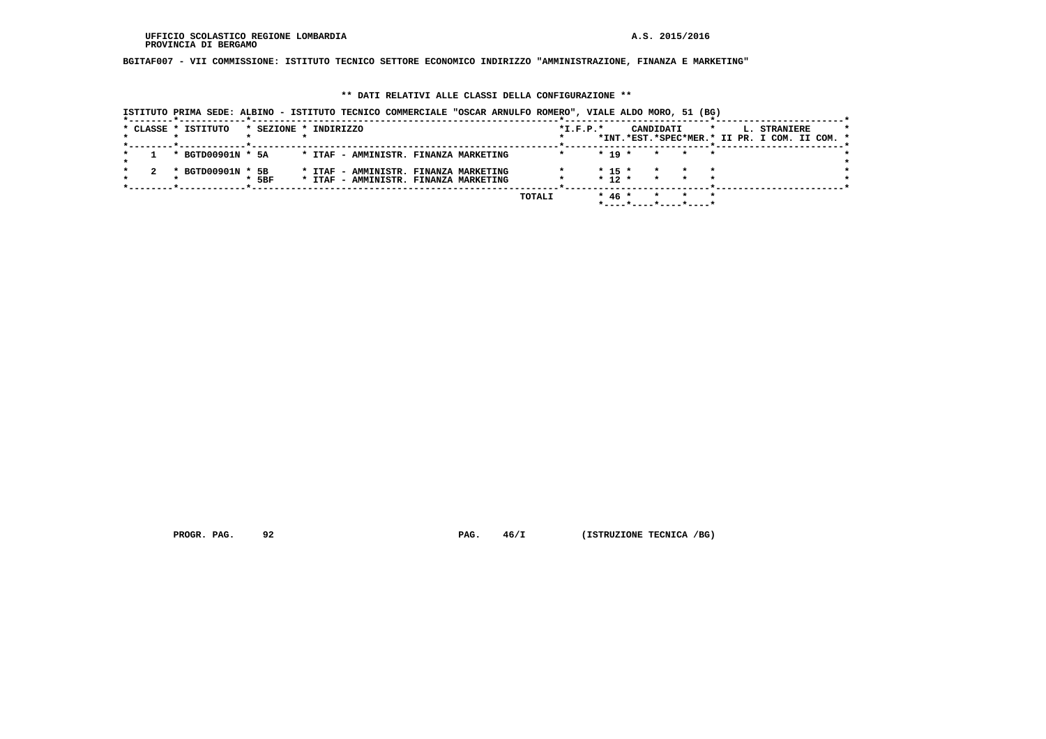**BGITAF007 - VII COMMISSIONE: ISTITUTO TECNICO SETTORE ECONOMICO INDIRIZZO "AMMINISTRAZIONE, FINANZA E MARKETING"**

#### **\*\* DATI RELATIVI ALLE CLASSI DELLA CONFIGURAZIONE \*\***

| ISTITUTO PRIMA SEDE: ALBINO - ISTITUTO TECNICO COMMERCIALE "OSCAR ARNULFO ROMERO", VIALE ALDO MORO, 51 (BG) |                     |                       |  |                                       |  |        |            |          |  |           |                       |  |                                               |  |  |
|-------------------------------------------------------------------------------------------------------------|---------------------|-----------------------|--|---------------------------------------|--|--------|------------|----------|--|-----------|-----------------------|--|-----------------------------------------------|--|--|
|                                                                                                             | * CLASSE * ISTITUTO | * SEZIONE * INDIRIZZO |  |                                       |  |        | $*I.F.P.*$ |          |  | CANDIDATI |                       |  | L. STRANIERE                                  |  |  |
|                                                                                                             |                     |                       |  |                                       |  |        |            |          |  |           |                       |  | *INT.*EST.*SPEC*MER.* II PR. I COM. II COM. * |  |  |
|                                                                                                             |                     |                       |  |                                       |  |        |            |          |  |           |                       |  |                                               |  |  |
|                                                                                                             | * BGTD00901N * 5A   |                       |  | * ITAF - AMMINISTR. FINANZA MARKETING |  |        |            | $* 19 *$ |  | $\star$   |                       |  |                                               |  |  |
|                                                                                                             | * BGTD00901N * 5B   |                       |  | * ITAF - AMMINISTR. FINANZA MARKETING |  |        |            | $* 15 *$ |  |           |                       |  |                                               |  |  |
|                                                                                                             |                     | $*$ 5BF               |  | * ITAF - AMMINISTR. FINANZA MARKETING |  |        |            | $* 12 *$ |  | $\star$   |                       |  |                                               |  |  |
|                                                                                                             |                     |                       |  |                                       |  |        |            |          |  |           |                       |  |                                               |  |  |
|                                                                                                             |                     |                       |  |                                       |  | TOTALI |            | $* 46 *$ |  |           |                       |  |                                               |  |  |
|                                                                                                             |                     |                       |  |                                       |  |        |            |          |  |           | *----*----*----*----* |  |                                               |  |  |

 **PROGR. PAG.** 92 **PAG.** 46/I (ISTRUZIONE TECNICA /BG)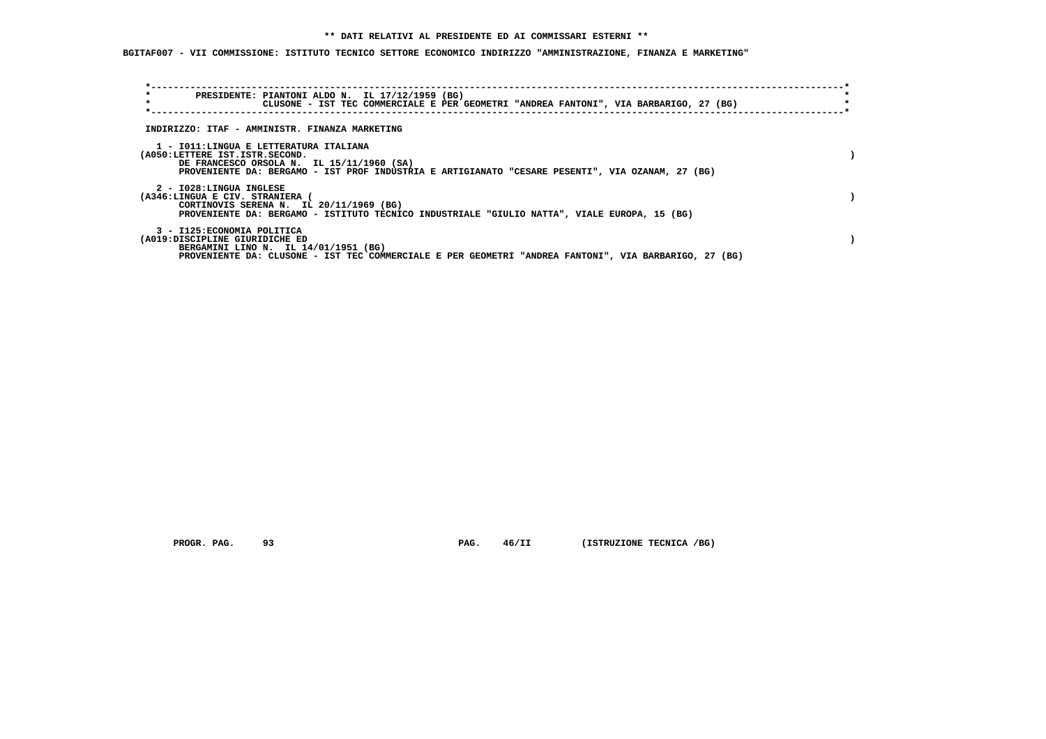**BGITAF007 - VII COMMISSIONE: ISTITUTO TECNICO SETTORE ECONOMICO INDIRIZZO "AMMINISTRAZIONE, FINANZA E MARKETING"**

| $\star$                                                       | PRESIDENTE: PIANTONI ALDO N. IL 17/12/1959 (BG)<br>CLUSONE - IST TEC COMMERCIALE E PER GEOMETRI "ANDREA FANTONI", VIA BARBARIGO, 27 (BG)                                                |  |
|---------------------------------------------------------------|-----------------------------------------------------------------------------------------------------------------------------------------------------------------------------------------|--|
|                                                               | INDIRIZZO: ITAF - AMMINISTR. FINANZA MARKETING                                                                                                                                          |  |
| (A050:LETTERE IST.ISTR.SECOND.                                | 1 - IO11:LINGUA E LETTERATURA ITALIANA<br>DE FRANCESCO ORSOLA N. IL 15/11/1960 (SA)<br>PROVENIENTE DA: BERGAMO - IST PROF INDUSTRIA E ARTIGIANATO "CESARE PESENTI", VIA OZANAM, 27 (BG) |  |
| 2 - I028:LINGUA INGLESE<br>(A346:LINGUA E CIV. STRANIERA (    | CORTINOVIS SERENA N. IL 20/11/1969 (BG)<br>PROVENIENTE DA: BERGAMO - ISTITUTO TECNICO INDUSTRIALE "GIULIO NATTA", VIALE EUROPA, 15 (BG)                                                 |  |
| 3 - I125: ECONOMIA POLITICA<br>(A019:DISCIPLINE GIURIDICHE ED | BERGAMINI LINO N. IL 14/01/1951 (BG)<br>PROVENIENTE DA: CLUSONE - IST TEC COMMERCIALE E PER GEOMETRI "ANDREA FANTONI", VIA BARBARIGO, 27 (BG)                                           |  |

 **PROGR. PAG.** 93 **PAG.** 46/II (ISTRUZIONE TECNICA /BG)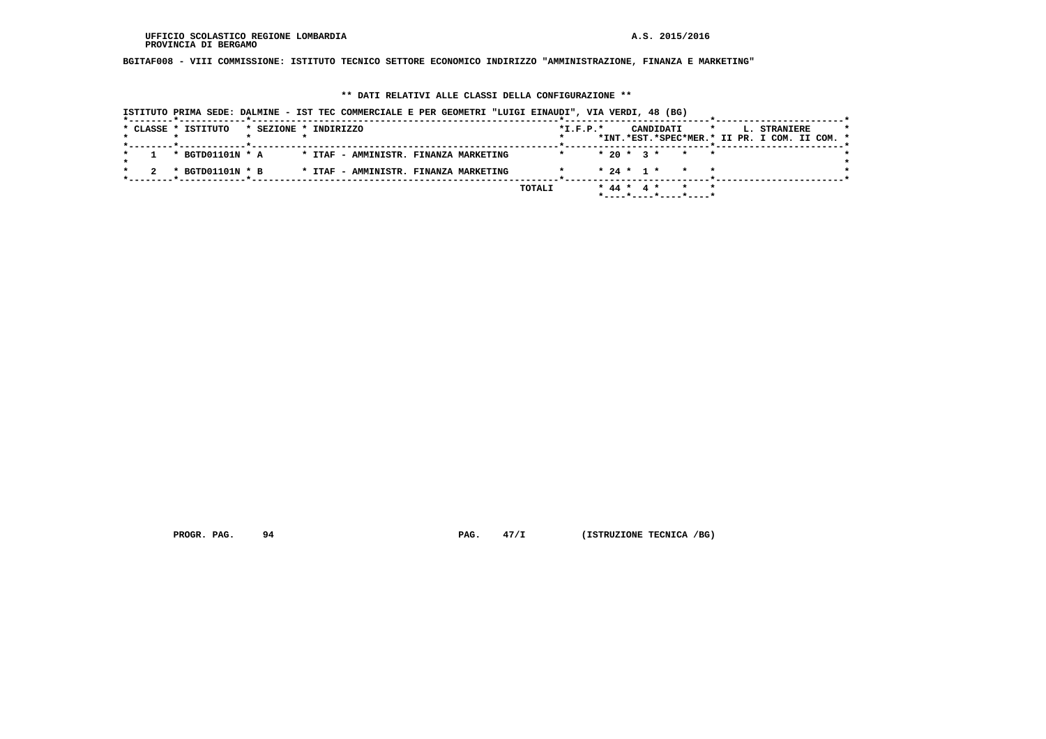**BGITAF008 - VIII COMMISSIONE: ISTITUTO TECNICO SETTORE ECONOMICO INDIRIZZO "AMMINISTRAZIONE, FINANZA E MARKETING"**

#### **\*\* DATI RELATIVI ALLE CLASSI DELLA CONFIGURAZIONE \*\***

|                     |                       | ISTITUTO PRIMA SEDE: DALMINE - IST TEC COMMERCIALE E PER GEOMETRI "LUIGI EINAUDI", VIA VERDI, 48 (BG) |                |                      |         |                                               |  |
|---------------------|-----------------------|-------------------------------------------------------------------------------------------------------|----------------|----------------------|---------|-----------------------------------------------|--|
| * CLASSE * ISTITUTO | * SEZIONE * INDIRIZZO |                                                                                                       | $*$ I.F.P. $*$ | CANDIDATI            | $\star$ | L. STRANIERE                                  |  |
|                     |                       |                                                                                                       |                |                      |         | *INT.*EST.*SPEC*MER.* II PR. I COM. II COM. * |  |
| * BGTD01101N * A    |                       | * ITAF - AMMINISTR. FINANZA MARKETING                                                                 |                | $* 20 * 3 * * * * *$ |         |                                               |  |
| * BGTD01101N * B    |                       | * ITAF - AMMINISTR. FINANZA MARKETING                                                                 |                | $* 24 * 1 * * * * *$ |         |                                               |  |
|                     |                       |                                                                                                       | TOTALI         | * 44 * 4 * * * *     |         |                                               |  |
|                     |                       |                                                                                                       |                |                      |         |                                               |  |

 **PROGR. PAG.** 94 **PAG.** 47/I (ISTRUZIONE TECNICA /BG)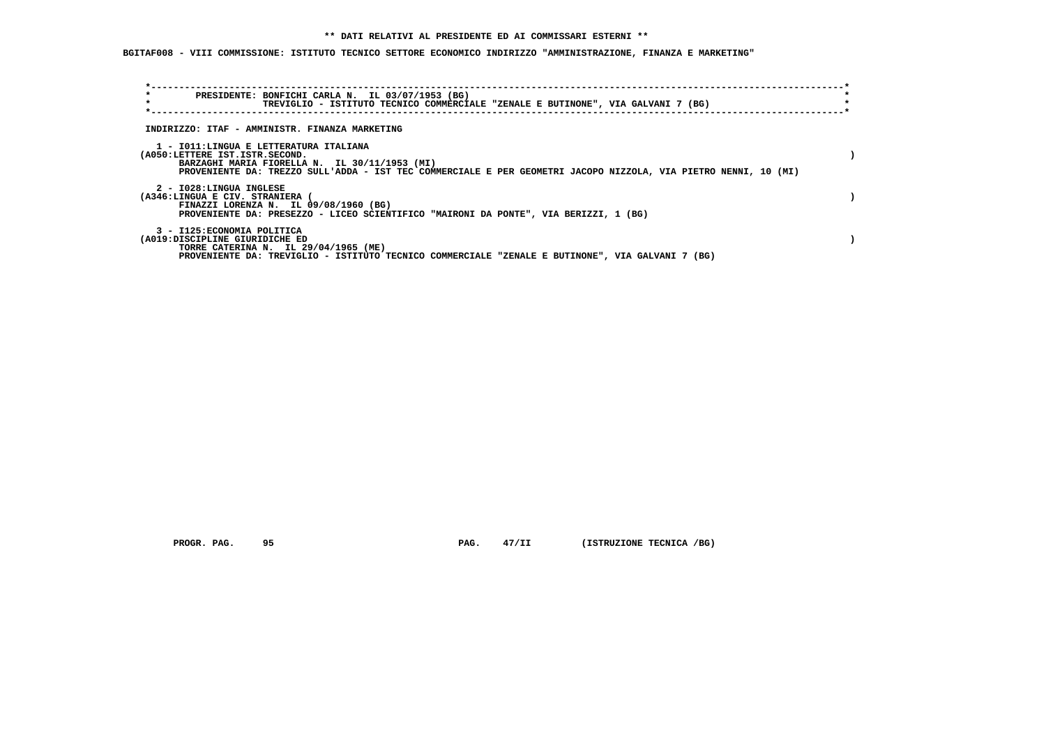**BGITAF008 - VIII COMMISSIONE: ISTITUTO TECNICO SETTORE ECONOMICO INDIRIZZO "AMMINISTRAZIONE, FINANZA E MARKETING"**

| $\star$<br>$\star$                                                       | PRESIDENTE: BONFICHI CARLA N. IL 03/07/1953 (BG)<br>TREVIGLIO - ISTITUTO TECNICO COMMERCIALE "ZENALE E BUTINONE", VIA GALVANI 7 (BG)                             |  |
|--------------------------------------------------------------------------|------------------------------------------------------------------------------------------------------------------------------------------------------------------|--|
|                                                                          | INDIRIZZO: ITAF - AMMINISTR. FINANZA MARKETING                                                                                                                   |  |
| 1 - IO11:LINGUA E LETTERATURA ITALIANA<br>(A050:LETTERE IST.ISTR.SECOND. | BARZAGHI MARIA FIORELLA N. IL 30/11/1953 (MI)<br>PROVENIENTE DA: TREZZO SULL'ADDA - IST TEC COMMERCIALE E PER GEOMETRI JACOPO NIZZOLA, VIA PIETRO NENNI, 10 (MI) |  |
| 2 - I028:LINGUA INGLESE<br>(A346:LINGUA E CIV. STRANIERA                 | FINAZZI LORENZA N. IL 09/08/1960 (BG)<br>PROVENIENTE DA: PRESEZZO - LICEO SCIENTIFICO "MAIRONI DA PONTE", VIA BERIZZI, 1 (BG)                                    |  |
| 3 - I125: ECONOMIA POLITICA<br>(A019:DISCIPLINE GIURIDICHE ED            | TORRE CATERINA N. IL 29/04/1965 (ME)<br>PROVENIENTE DA: TREVIGLIO - ISTITUTO TECNICO COMMERCIALE "ZENALE E BUTINONE", VIA GALVANI 7 (BG)                         |  |

 **PROGR. PAG.** 95 **PAG. 47/II (ISTRUZIONE TECNICA /BG)**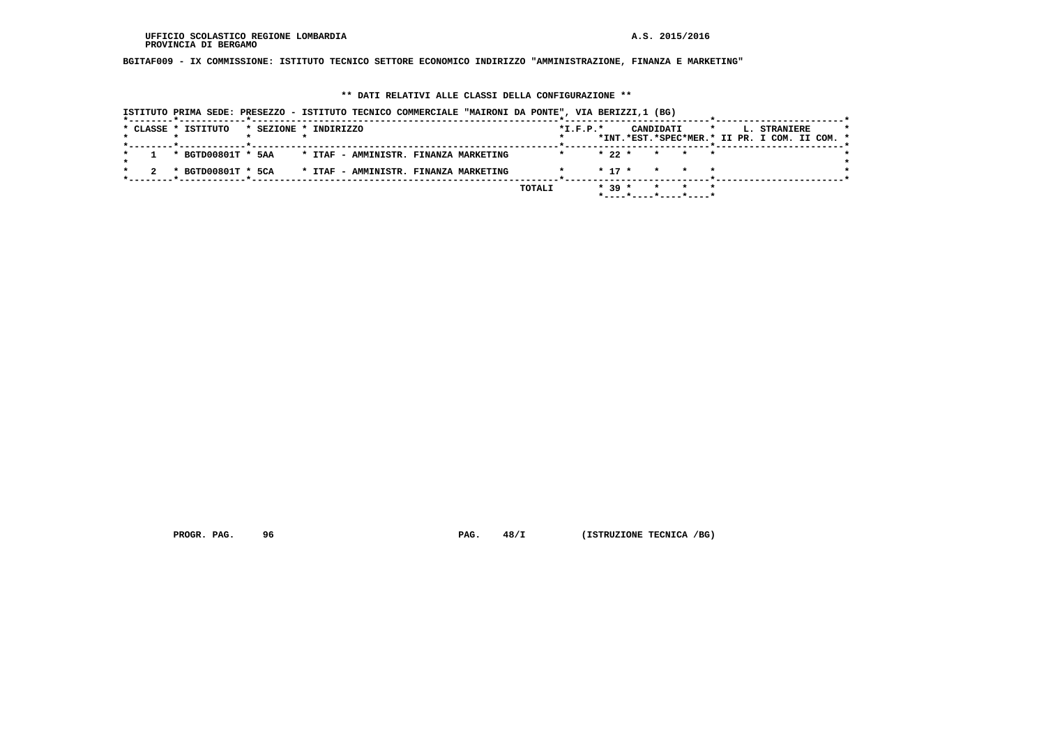**BGITAF009 - IX COMMISSIONE: ISTITUTO TECNICO SETTORE ECONOMICO INDIRIZZO "AMMINISTRAZIONE, FINANZA E MARKETING"**

#### **\*\* DATI RELATIVI ALLE CLASSI DELLA CONFIGURAZIONE \*\***

 **ISTITUTO PRIMA SEDE: PRESEZZO - ISTITUTO TECNICO COMMERCIALE "MAIRONI DA PONTE", VIA BERIZZI,1 (BG) \*--------\*------------\*-------------------------------------------------------\*--------------------------\*-----------------------\*** $\star$  **\* CLASSE \* ISTITUTO \* SEZIONE \* INDIRIZZO \*I.F.P.\* CANDIDATI \* L. STRANIERE \* \* \* \* \* \* \*INT.\*EST.\*SPEC\*MER.\* II PR. I COM. II COM. \* \*--------\*------------\*-------------------------------------------------------\*--------------------------\*-----------------------\* \* 1 \* BGTD00801T \* 5AA \* ITAF - AMMINISTR. FINANZA MARKETING \* \* 22 \* \* \* \* \*** $\star$  **\* \*** $\bullet$  **\* 2 \* BGTD00801T \* 5CA \* ITAF - AMMINISTR. FINANZA MARKETING \* \* 17 \* \* \* \* \* \*--------\*------------\*-------------------------------------------------------\*--------------------------\*-----------------------\* TOTALI \* 39 \* \* \* \* \*----\*----\*----\*----\***

 **PROGR. PAG.** 96 **PROGR. PAG. 48/I** (ISTRUZIONE TECNICA / BG)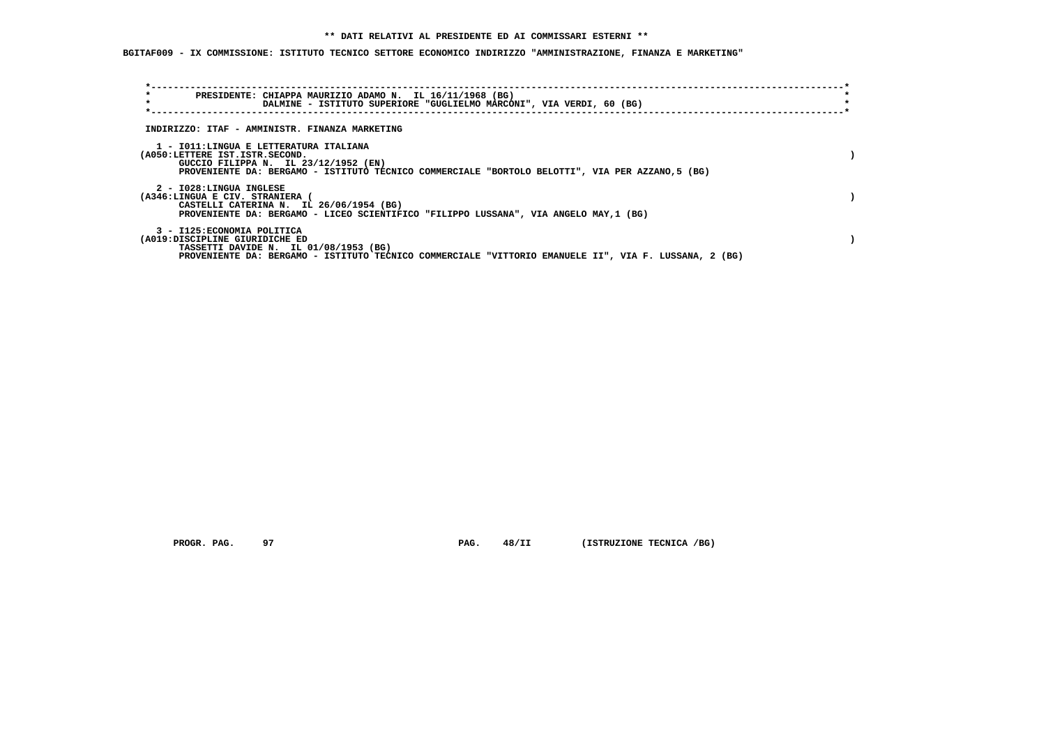**BGITAF009 - IX COMMISSIONE: ISTITUTO TECNICO SETTORE ECONOMICO INDIRIZZO "AMMINISTRAZIONE, FINANZA E MARKETING"**

| $\star$<br>PRESIDENTE: CHIAPPA MAURIZIO ADAMO N. IL 16/11/1968 (BG)<br>$\star$                                                                                                                                       | DALMINE - ISTITUTO SUPERIORE "GUGLIELMO MARCONI", VIA VERDI, 60 (BG) |  |  |
|----------------------------------------------------------------------------------------------------------------------------------------------------------------------------------------------------------------------|----------------------------------------------------------------------|--|--|
| INDIRIZZO: ITAF - AMMINISTR. FINANZA MARKETING                                                                                                                                                                       |                                                                      |  |  |
| 1 - IO11:LINGUA E LETTERATURA ITALIANA<br>(A050:LETTERE IST.ISTR.SECOND.<br>GUCCIO FILIPPA N. IL 23/12/1952 (EN)<br>PROVENIENTE DA: BERGAMO - ISTITUTO TECNICO COMMERCIALE "BORTOLO BELOTTI", VIA PER AZZANO, 5 (BG) |                                                                      |  |  |
| 2 - I028:LINGUA INGLESE<br>(A346:LINGUA E CIV. STRANIERA<br>CASTELLI CATERINA N. IL 26/06/1954 (BG)<br>PROVENIENTE DA: BERGAMO - LICEO SCIENTIFICO "FILIPPO LUSSANA", VIA ANGELO MAY, 1 (BG)                         |                                                                      |  |  |
| 3 - I125: ECONOMIA POLITICA<br>(A019:DISCIPLINE GIURIDICHE ED<br>TASSETTI DAVIDE N. IL 01/08/1953 (BG)<br>PROVENIENTE DA: BERGAMO - ISTITUTO TECNICO COMMERCIALE "VITTORIO EMANUELE II", VIA F. LUSSANA, 2 (BG)      |                                                                      |  |  |

 **PROGR. PAG.** 97 **PAG.** 48/II (ISTRUZIONE TECNICA /BG)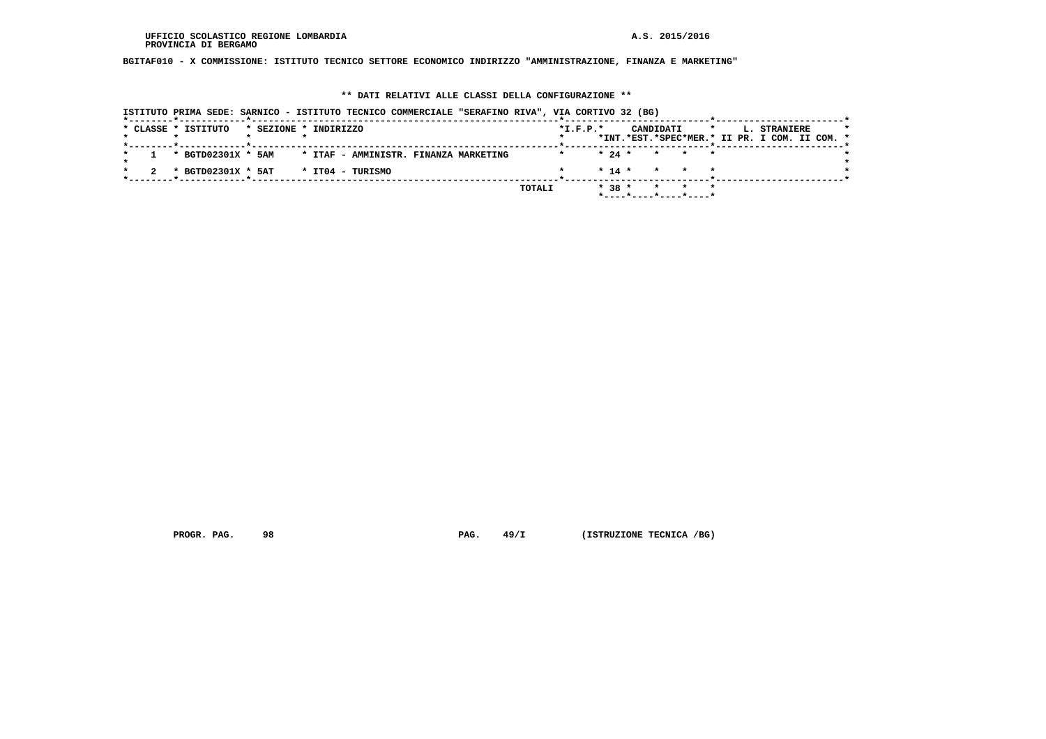**BGITAF010 - X COMMISSIONE: ISTITUTO TECNICO SETTORE ECONOMICO INDIRIZZO "AMMINISTRAZIONE, FINANZA E MARKETING"**

## **\*\* DATI RELATIVI ALLE CLASSI DELLA CONFIGURAZIONE \*\***

|  |  |                     |                       |  | ISTITUTO PRIMA SEDE: SARNICO - ISTITUTO TECNICO COMMERCIALE "SERAFINO RIVA", VIA CORTIVO 32 (BG) |  |        |            |          |           |         |                          |         |  |                                                               |  |  |
|--|--|---------------------|-----------------------|--|--------------------------------------------------------------------------------------------------|--|--------|------------|----------|-----------|---------|--------------------------|---------|--|---------------------------------------------------------------|--|--|
|  |  | * CLASSE * ISTITUTO | * SEZIONE * INDIRIZZO |  |                                                                                                  |  |        | $*L.F.P.*$ |          | CANDIDATI |         |                          | $\star$ |  | L. STRANIERE<br>*INT.*EST.*SPEC*MER.* II PR. I COM. II COM. * |  |  |
|  |  | * BGTD02301X * 5AM  |                       |  | * ITAF - AMMINISTR. FINANZA MARKETING                                                            |  |        |            | $* 24 *$ |           |         | $\star$ $\star$ $\star$  |         |  |                                                               |  |  |
|  |  | * BGTD02301X * 5AT  |                       |  | * IT04 - TURISMO                                                                                 |  |        |            | $* 14 *$ |           |         | * * *                    |         |  |                                                               |  |  |
|  |  |                     |                       |  |                                                                                                  |  | TOTALI |            | $* 38 *$ |           | $\star$ | $*$ ----*----*----*----* | $\star$ |  |                                                               |  |  |

 **PROGR. PAG.** 98 **PAG. 49/I** (ISTRUZIONE TECNICA /BG)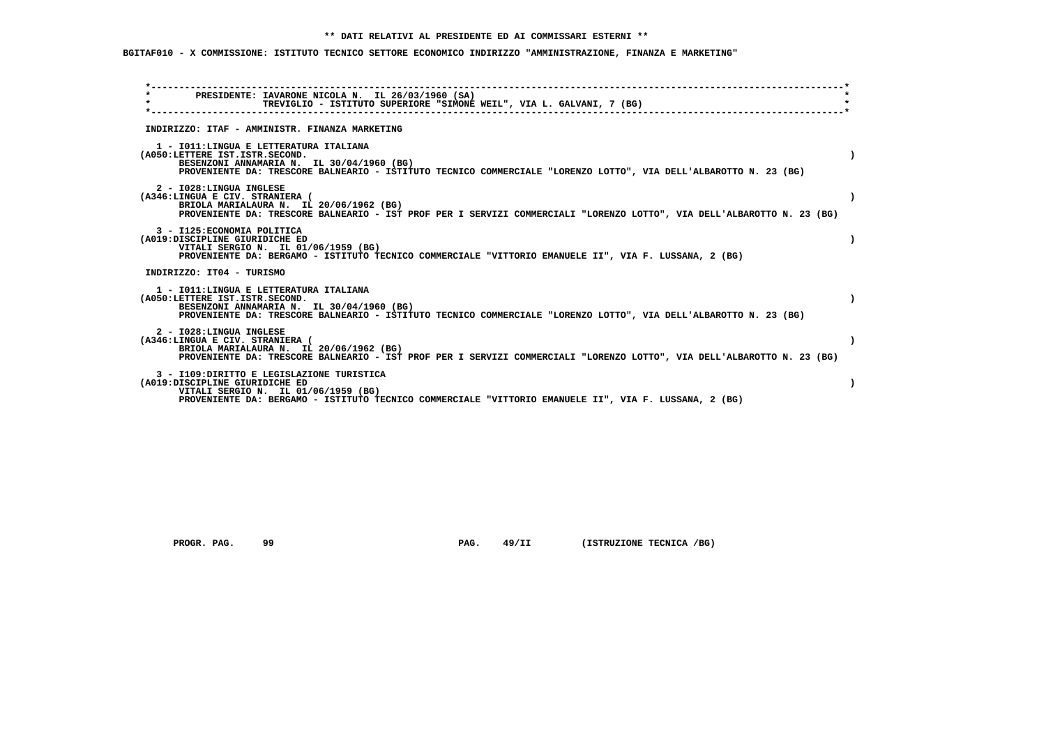# **BGITAF010 - X COMMISSIONE: ISTITUTO TECNICO SETTORE ECONOMICO INDIRIZZO "AMMINISTRAZIONE, FINANZA E MARKETING"**

| PRESIDENTE: IAVARONE NICOLA N. IL 26/03/1960 (SA)<br>$\star$<br>TREVIGLIO - ISTITUTO SUPERIORE "SIMONE WEIL", VIA L. GALVANI, 7 (BG)                                                                                                       |  |
|--------------------------------------------------------------------------------------------------------------------------------------------------------------------------------------------------------------------------------------------|--|
| INDIRIZZO: ITAF - AMMINISTR. FINANZA MARKETING                                                                                                                                                                                             |  |
| 1 - IO11: LINGUA E LETTERATURA ITALIANA<br>(A050:LETTERE IST.ISTR.SECOND.<br>BESENZONI ANNAMARIA N. IL 30/04/1960 (BG)<br>PROVENIENTE DA: TRESCORE BALNEARIO - ISTITUTO TECNICO COMMERCIALE "LORENZO LOTTO", VIA DELL'ALBAROTTO N. 23 (BG) |  |
| 2 - I028: LINGUA INGLESE<br>(A346:LINGUA E CIV. STRANIERA (<br>BRIOLA MARIALAURA N. IL 20/06/1962 (BG)<br>PROVENIENTE DA: TRESCORE BALNEARIO - IST PROF PER I SERVIZI COMMERCIALI "LORENZO LOTTO", VIA DELL'ALBAROTTO N. 23 (BG)           |  |
| 3 - I125: ECONOMIA POLITICA<br>(A019:DISCIPLINE GIURIDICHE ED<br>VITALI SERGIO N. IL 01/06/1959 (BG)<br>PROVENIENTE DA: BERGAMO - ISTITUTO TECNICO COMMERCIALE "VITTORIO EMANUELE II", VIA F. LUSSANA, 2 (BG)                              |  |
| INDIRIZZO: IT04 - TURISMO                                                                                                                                                                                                                  |  |
| 1 - IO11: LINGUA E LETTERATURA ITALIANA<br>(A050:LETTERE IST.ISTR.SECOND.<br>BESENZONI ANNAMARIA N. IL 30/04/1960 (BG)<br>PROVENIENTE DA: TRESCORE BALNEARIO - ISTITUTO TECNICO COMMERCIALE "LORENZO LOTTO", VIA DELL'ALBAROTTO N. 23 (BG) |  |
| 2 - I028:LINGUA INGLESE<br>(A346:LINGUA E CIV. STRANIERA (<br>BRIOLA MARIALAURA N. IL 20/06/1962 (BG)<br>PROVENIENTE DA: TRESCORE BALNEARIO - IST PROF PER I SERVIZI COMMERCIALI "LORENZO LOTTO", VIA DELL'ALBAROTTO N. 23 (BG)            |  |
| 3 - I109: DIRITTO E LEGISLAZIONE TURISTICA<br>(A019:DISCIPLINE GIURIDICHE ED<br>VITALI SERGIO N. IL 01/06/1959 (BG)<br>PROVENIENTE DA: BERGAMO - ISTITUTO TECNICO COMMERCIALE "VITTORIO EMANUELE II", VIA F. LUSSANA, 2 (BG)               |  |

 **PROGR. PAG.** 99 **PAG.** 49/II (ISTRUZIONE TECNICA /BG)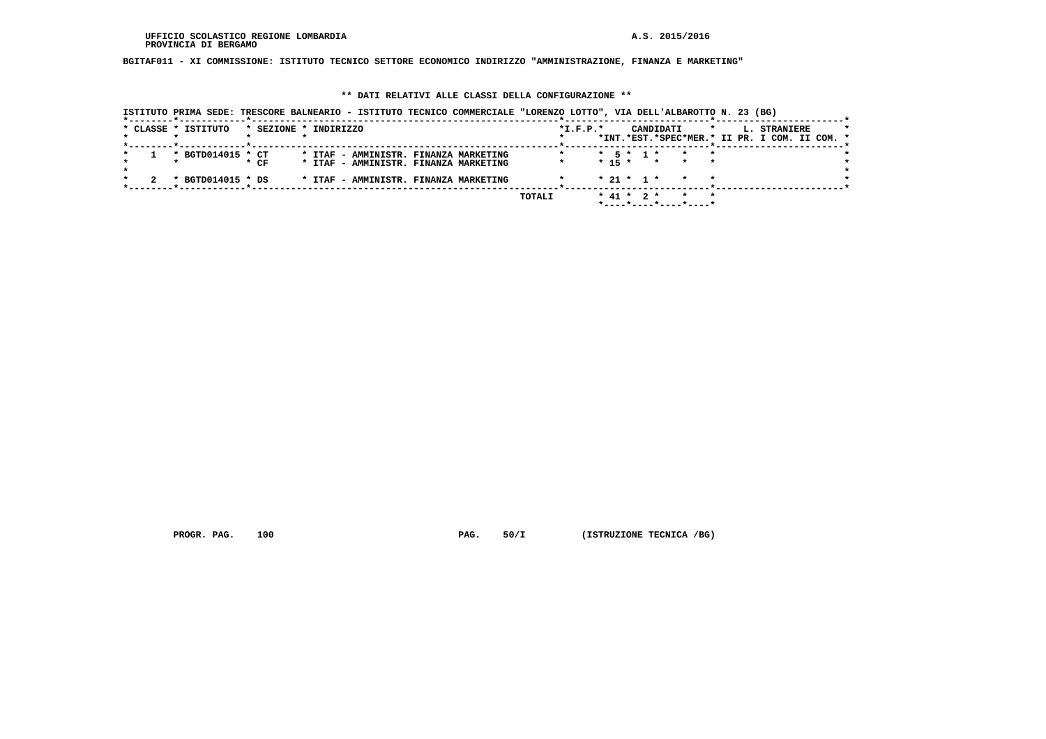**BGITAF011 - XI COMMISSIONE: ISTITUTO TECNICO SETTORE ECONOMICO INDIRIZZO "AMMINISTRAZIONE, FINANZA E MARKETING"**

## **\*\* DATI RELATIVI ALLE CLASSI DELLA CONFIGURAZIONE \*\***

|  | * CLASSE * ISTITUTO | * SEZIONE * INDIRIZZO |  |  |                                       |        | $*I.F.P.*$ |  |                  | CANDIDATI             | $\star$ |  | L. STRANIERE                                  |  |
|--|---------------------|-----------------------|--|--|---------------------------------------|--------|------------|--|------------------|-----------------------|---------|--|-----------------------------------------------|--|
|  |                     |                       |  |  |                                       |        |            |  |                  |                       |         |  | *INT.*EST.*SPEC*MER.* II PR. I COM. II COM. * |  |
|  | * BGTD014015 * CT   |                       |  |  | * ITAF - AMMINISTR. FINANZA MARKETING |        |            |  | * 5 * 1 *        |                       |         |  |                                               |  |
|  |                     | $*$ CF                |  |  | * ITAF - AMMINISTR. FINANZA MARKETING |        |            |  |                  | $* 15 * * * * * *$    |         |  |                                               |  |
|  | * BGTD014015 * DS   |                       |  |  | * ITAF - AMMINISTR. FINANZA MARKETING |        |            |  | $* 21 * 1 *$     |                       |         |  |                                               |  |
|  |                     |                       |  |  |                                       | TOTALI |            |  | $*$ 41 $*$ 2 $*$ |                       |         |  |                                               |  |
|  |                     |                       |  |  |                                       |        |            |  |                  | *----*----*----*----* |         |  |                                               |  |

 **PROGR. PAG.** 100 **PAG.** 50/I (ISTRUZIONE TECNICA /BG)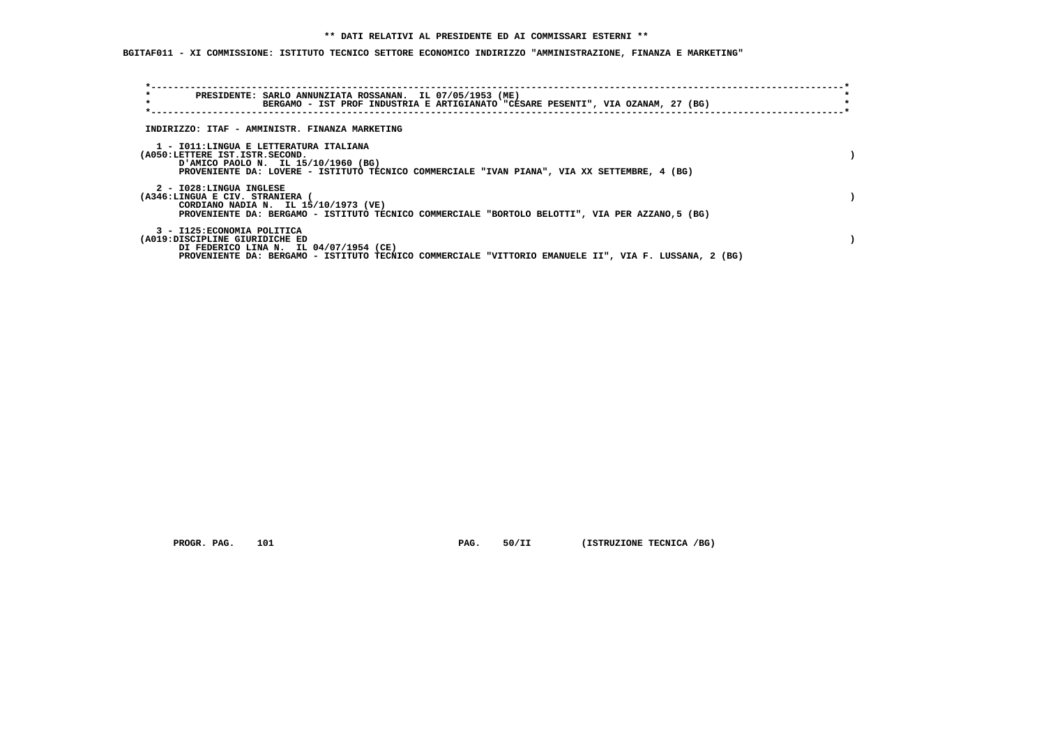**BGITAF011 - XI COMMISSIONE: ISTITUTO TECNICO SETTORE ECONOMICO INDIRIZZO "AMMINISTRAZIONE, FINANZA E MARKETING"**

| $\star$<br>$\star$      | PRESIDENTE: SARLO ANNUNZIATA ROSSANAN. IL 07/05/1953 (ME)<br>BERGAMO - IST PROF INDUSTRIA E ARTIGIANATO "CESARE PESENTI", VIA OZANAM, 27 (BG)                                                                    |  |
|-------------------------|------------------------------------------------------------------------------------------------------------------------------------------------------------------------------------------------------------------|--|
|                         | INDIRIZZO: ITAF - AMMINISTR. FINANZA MARKETING                                                                                                                                                                   |  |
|                         | 1 - IO11:LINGUA E LETTERATURA ITALIANA<br>(A050:LETTERE IST.ISTR.SECOND.<br>PAMICO PAOLO N. IL 15/10/1960 (BG)<br>PROVENIENTE DA: LOVERE - ISTITUTO TECNICO COMMERCIALE "IVAN PIANA", VIA XX SETTEMBRE, 4 (BG)   |  |
| 2 - I028:LINGUA INGLESE | (A346:LINGUA E CIV. STRANIERA (<br>CORDIANO NADIA N. IL 15/10/1973 (VE)<br>PROVENIENTE DA: BERGAMO - ISTITUTO TECNICO COMMERCIALE "BORTOLO BELOTTI", VIA PER AZZANO, 5 (BG)                                      |  |
|                         | 3 - I125: ECONOMIA POLITICA<br>(A019:DISCIPLINE GIURIDICHE ED<br>DI FEDERICO LINA N. IL 04/07/1954 (CE)<br>PROVENIENTE DA: BERGAMO - ISTITUTO TECNICO COMMERCIALE "VITTORIO EMANUELE II", VIA F. LUSSANA, 2 (BG) |  |

 **PROGR. PAG.** 101 **PAG.** 50/II (ISTRUZIONE TECNICA /BG)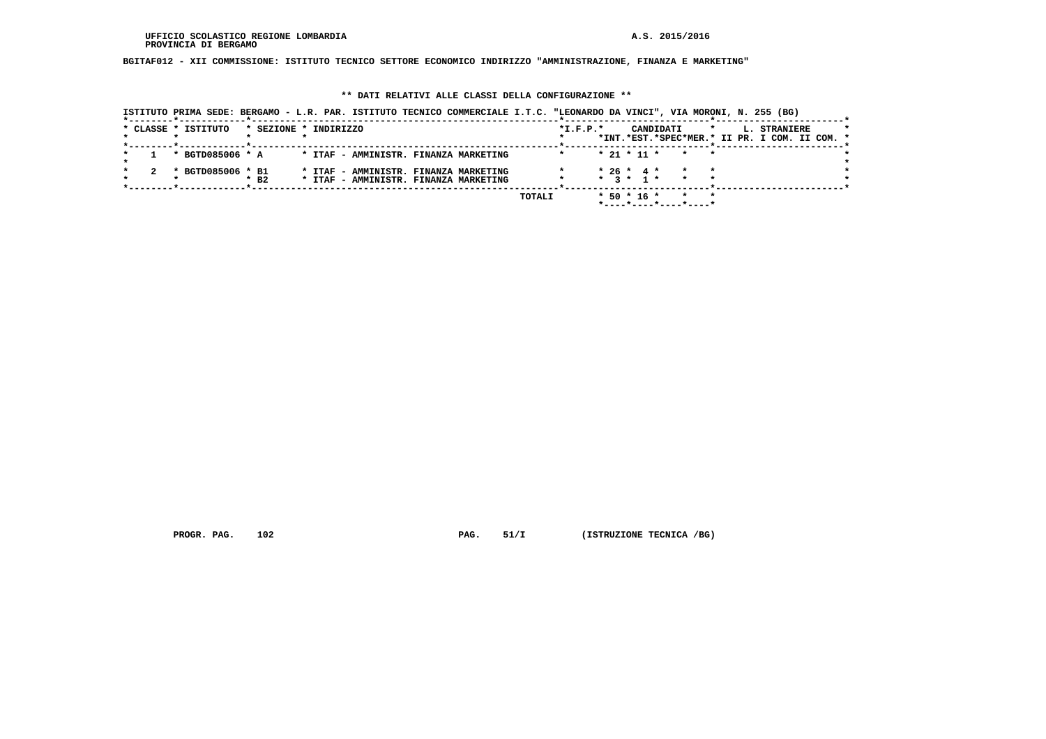**BGITAF012 - XII COMMISSIONE: ISTITUTO TECNICO SETTORE ECONOMICO INDIRIZZO "AMMINISTRAZIONE, FINANZA E MARKETING"**

## **\*\* DATI RELATIVI ALLE CLASSI DELLA CONFIGURAZIONE \*\***

| ISTITUTO PRIMA SEDE: BERGAMO - L.R. PAR. ISTITUTO TECNICO COMMERCIALE I.T.C. "LEONARDO DA VINCI", VIA MORONI, N. 255 (BG) |                    |                                       |                                                                                |  |        |            |                   |                       |         |                                                                      |  |
|---------------------------------------------------------------------------------------------------------------------------|--------------------|---------------------------------------|--------------------------------------------------------------------------------|--|--------|------------|-------------------|-----------------------|---------|----------------------------------------------------------------------|--|
| * CLASSE * ISTITUTO                                                                                                       |                    | * SEZIONE * INDIRIZZO                 |                                                                                |  |        | $*L.F.P.*$ |                   | CANDIDATI             | $\star$ | <b>L. STRANIERE</b><br>*INT.*EST.*SPEC*MER.* II PR. I COM. II COM. * |  |
|                                                                                                                           |                    |                                       |                                                                                |  |        |            |                   |                       |         |                                                                      |  |
| * BGTD085006 * A                                                                                                          |                    | * ITAF - AMMINISTR. FINANZA MARKETING |                                                                                |  |        |            |                   | $* 21 * 11 * * * * *$ |         |                                                                      |  |
| * BGTD085006 * B1                                                                                                         | $*$ B <sub>2</sub> |                                       | * ITAF - AMMINISTR. FINANZA MARKETING<br>* ITAF - AMMINISTR. FINANZA MARKETING |  |        |            | $* 26 * 4 *$      | $*$ 3 $*$ 1 $*$ $*$   |         |                                                                      |  |
|                                                                                                                           |                    |                                       |                                                                                |  | TOTALI |            | $*$ 50 $*$ 16 $*$ | *----*----*----*----* |         |                                                                      |  |

 **PROGR. PAG.** 102 **PAG.** 51/I (ISTRUZIONE TECNICA /BG)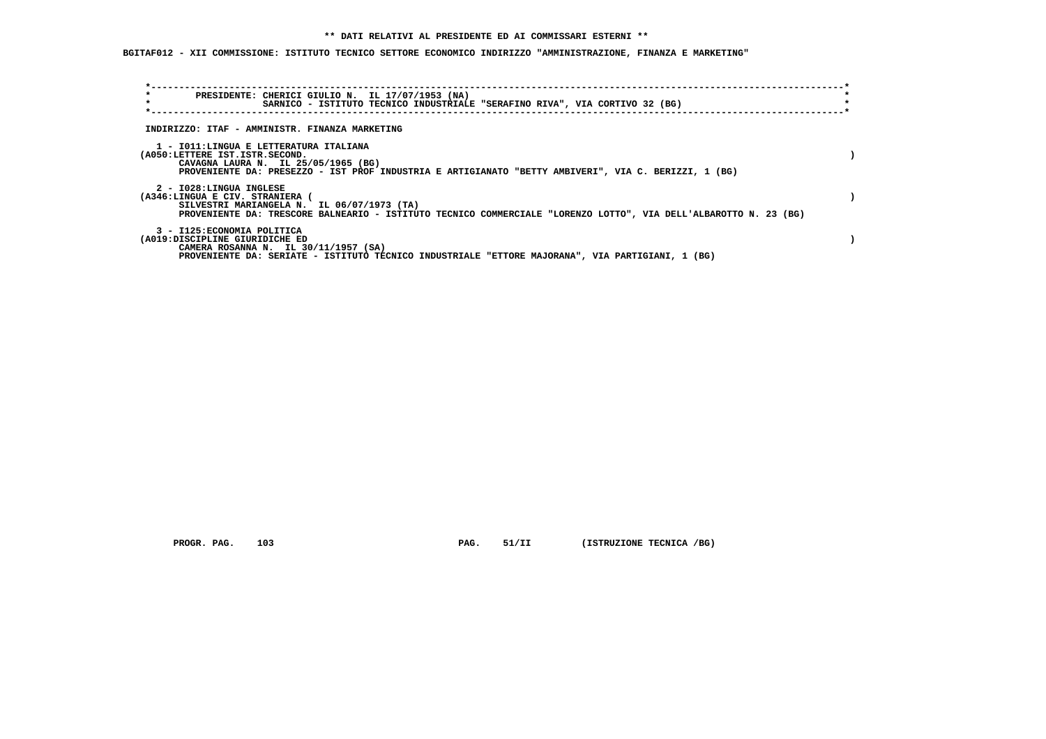**BGITAF012 - XII COMMISSIONE: ISTITUTO TECNICO SETTORE ECONOMICO INDIRIZZO "AMMINISTRAZIONE, FINANZA E MARKETING"**

| $\star$<br>PRESIDENTE: CHERICI GIULIO N. IL 17/07/1953 (NA)<br>$\star$                                                                                                                                                       | SARNICO - ISTITUTO TECNICO INDUSTRIALE "SERAFINO RIVA", VIA CORTIVO 32 (BG) |  |  |
|------------------------------------------------------------------------------------------------------------------------------------------------------------------------------------------------------------------------------|-----------------------------------------------------------------------------|--|--|
| INDIRIZZO: ITAF - AMMINISTR. FINANZA MARKETING                                                                                                                                                                               |                                                                             |  |  |
| 1 - IO11:LINGUA E LETTERATURA ITALIANA<br>(A050:LETTERE IST.ISTR.SECOND.<br>CAVAGNA LAURA N. IL 25/05/1965 (BG)<br>PROVENIENTE DA: PRESEZZO - IST PROF INDUSTRIA E ARTIGIANATO "BETTY AMBIVERI", VIA C. BERIZZI, 1 (BG)      |                                                                             |  |  |
| 2 - I028:LINGUA INGLESE<br>(A346:LINGUA E CIV. STRANIERA (<br>SILVESTRI MARIANGELA N. IL 06/07/1973 (TA)<br>PROVENIENTE DA: TRESCORE BALNEARIO - ISTITUTO TECNICO COMMERCIALE "LORENZO LOTTO", VIA DELL'ALBAROTTO N. 23 (BG) |                                                                             |  |  |
| 3 - I125: ECONOMIA POLITICA<br>(A019:DISCIPLINE GIURIDICHE ED<br>CAMERA ROSANNA N. IL 30/11/1957 (SA)<br>PROVENIENTE DA: SERIATE - ISTITUTO TECNICO INDUSTRIALE "ETTORE MAJORANA", VIA PARTIGIANI, 1 (BG)                    |                                                                             |  |  |

 **PROGR. PAG.** 103 **PAG. 51/II (ISTRUZIONE TECNICA /BG)**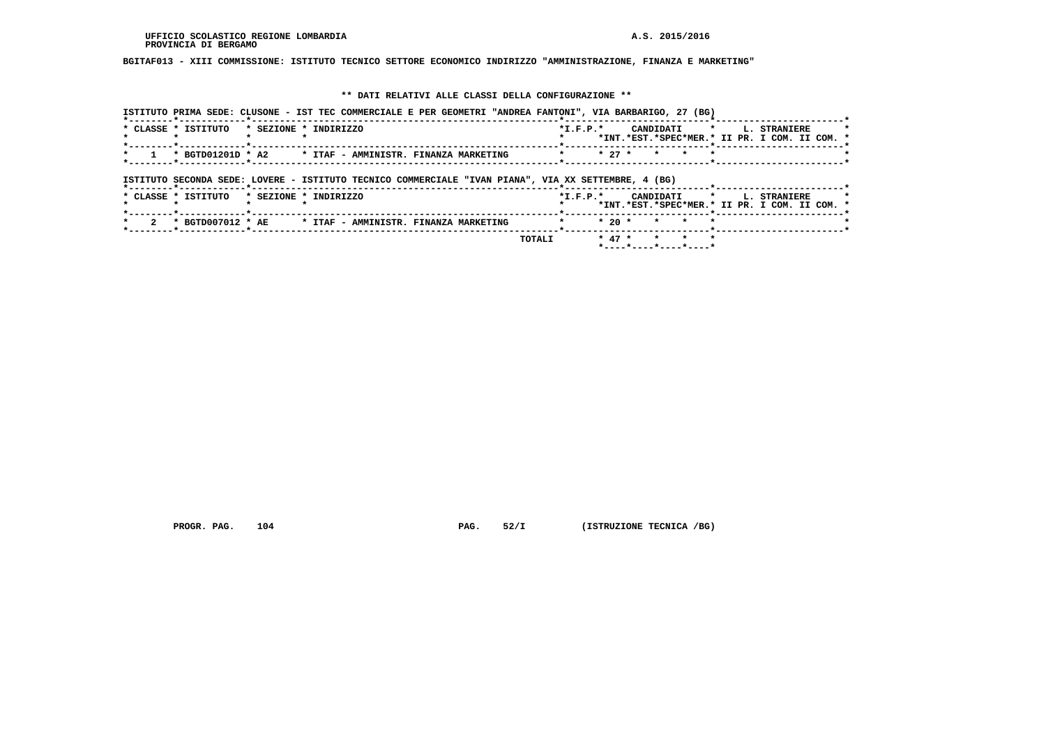# **BGITAF013 - XIII COMMISSIONE: ISTITUTO TECNICO SETTORE ECONOMICO INDIRIZZO "AMMINISTRAZIONE, FINANZA E MARKETING"**

#### **\*\* DATI RELATIVI ALLE CLASSI DELLA CONFIGURAZIONE \*\***

|                                              | ISTITUTO PRIMA SEDE: CLUSONE - IST TEC COMMERCIALE E PER GEOMETRI "ANDREA FANTONI", VIA BARBARIGO, 27 (BG) |                                                                                                                     |
|----------------------------------------------|------------------------------------------------------------------------------------------------------------|---------------------------------------------------------------------------------------------------------------------|
| * CLASSE * ISTITUTO<br>* SEZIONE * INDIRIZZO |                                                                                                            | CANDIDATI *<br><b>L. STRANIERE</b><br>$*$ I.F.P. $*$<br>*INT.*EST.*SPEC*MER.* II PR. I COM. II COM. *               |
|                                              |                                                                                                            | $* 27 *$<br>$\star$<br>$\star$                                                                                      |
|                                              | ISTITUTO SECONDA SEDE: LOVERE - ISTITUTO TECNICO COMMERCIALE "IVAN PIANA", VIA XX SETTEMBRE, 4 (BG)        |                                                                                                                     |
| * SEZIONE * INDIRIZZO<br>* CLASSE * ISTITUTO |                                                                                                            | $*$ I.F.P. $*$<br>CANDIDATI<br>$\mathbf{r}$<br><b>L. STRANIERE</b><br>*INT.*EST.*SPEC*MER.* II PR. I COM. II COM. * |
|                                              | * BGTD007012 * AE * ITAF - AMMINISTR. FINANZA MARKETING                                                    | $*20*$<br>$\star$<br>$\star$                                                                                        |
|                                              | TOTALI                                                                                                     | $* 47 *$<br>$\star$ $\star$<br>$\mathbf{r}$<br>*----*----*----*----*                                                |

 **PROGR. PAG.** 104 **PAG.** 52/I (ISTRUZIONE TECNICA /BG)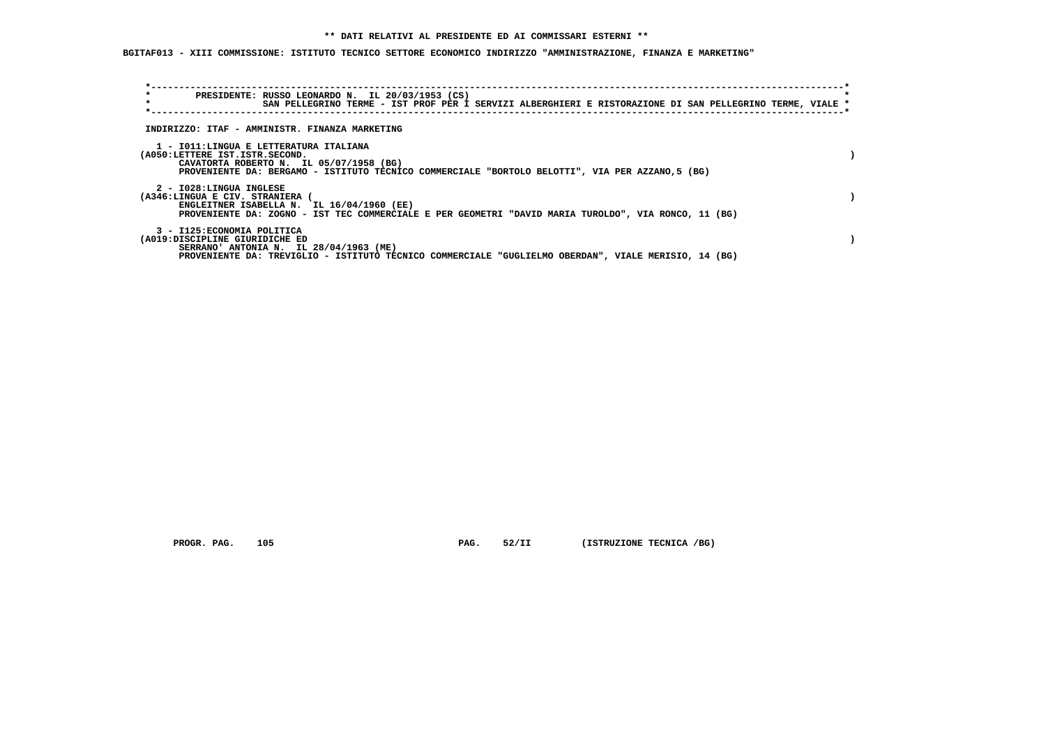**BGITAF013 - XIII COMMISSIONE: ISTITUTO TECNICO SETTORE ECONOMICO INDIRIZZO "AMMINISTRAZIONE, FINANZA E MARKETING"**

| *<br>$\star$                    | PRESIDENTE: RUSSO LEONARDO N. IL 20/03/1953 (CS)                                                                                                  |  |  |  |
|---------------------------------|---------------------------------------------------------------------------------------------------------------------------------------------------|--|--|--|
|                                 | SAN PELLEGRINO TERME - IST PROF PER I SERVIZI ALBERGHIERI E RISTORAZIONE DI SAN PELLEGRINO TERME, VIALE *                                         |  |  |  |
|                                 |                                                                                                                                                   |  |  |  |
|                                 | INDIRIZZO: ITAF - AMMINISTR. FINANZA MARKETING                                                                                                    |  |  |  |
|                                 |                                                                                                                                                   |  |  |  |
| (A050:LETTERE IST.ISTR.SECOND.  | 1 - IO11:LINGUA E LETTERATURA ITALIANA                                                                                                            |  |  |  |
|                                 | CAVATORTA ROBERTO N. IL 05/07/1958 (BG)                                                                                                           |  |  |  |
|                                 | PROVENIENTE DA: BERGAMO - ISTITUTO TECNICO COMMERCIALE "BORTOLO BELOTTI", VIA PER AZZANO, 5 (BG)                                                  |  |  |  |
|                                 |                                                                                                                                                   |  |  |  |
| 2 - I028:LINGUA INGLESE         |                                                                                                                                                   |  |  |  |
| (A346:LINGUA E CIV. STRANIERA ( |                                                                                                                                                   |  |  |  |
|                                 | ENGLEITNER ISABELLA N. IL 16/04/1960 (EE)<br>PROVENIENTE DA: ZOGNO - IST TEC COMMERCIALE E PER GEOMETRI "DAVID MARIA TUROLDO", VIA RONCO, 11 (BG) |  |  |  |
|                                 |                                                                                                                                                   |  |  |  |
| 3 - I125: ECONOMIA POLITICA     |                                                                                                                                                   |  |  |  |
| (A019:DISCIPLINE GIURIDICHE ED  |                                                                                                                                                   |  |  |  |
|                                 | SERRANO' ANTONIA N. IL 28/04/1963 (ME)                                                                                                            |  |  |  |
|                                 | PROVENIENTE DA: TREVIGLIO - ISTITUTO TECNICO COMMERCIALE "GUGLIELMO OBERDAN", VIALE MERISIO, 14 (BG)                                              |  |  |  |

 **PROGR. PAG.** 105 **PAG.** 52/II (ISTRUZIONE TECNICA /BG)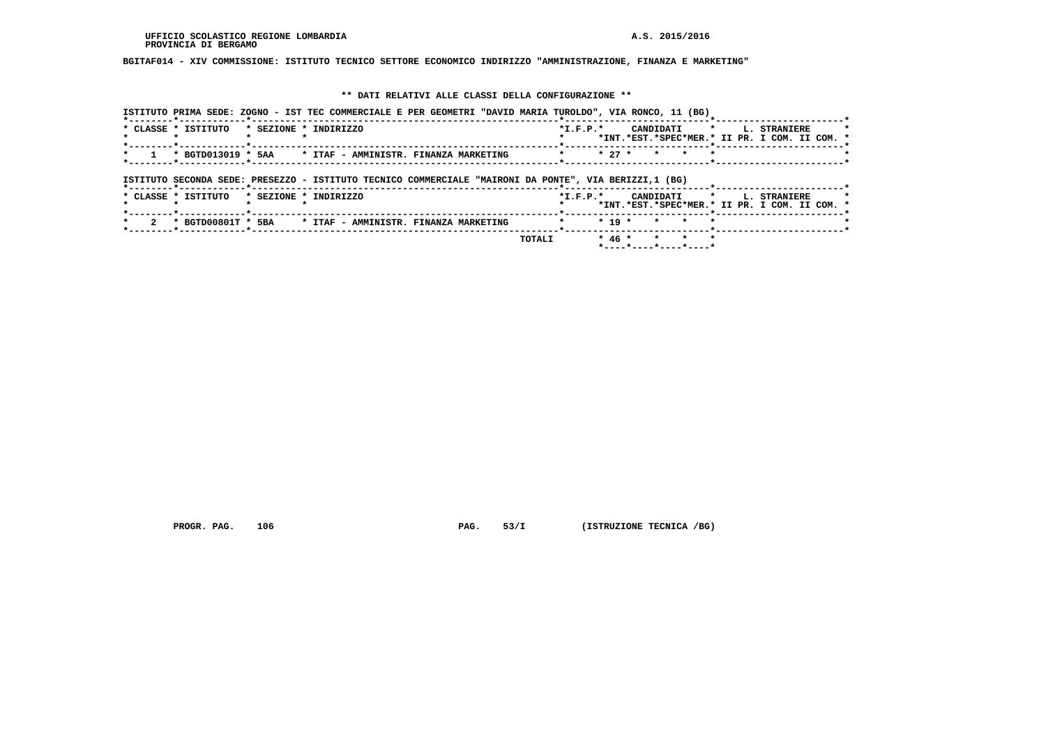**BGITAF014 - XIV COMMISSIONE: ISTITUTO TECNICO SETTORE ECONOMICO INDIRIZZO "AMMINISTRAZIONE, FINANZA E MARKETING"**

### **\*\* DATI RELATIVI ALLE CLASSI DELLA CONFIGURAZIONE \*\***

|                                           |  | ISTITUTO PRIMA SEDE: ZOGNO - IST TEC COMMERCIALE E PER GEOMETRI "DAVID MARIA TUROLDO", VIA RONCO, 11 (BG) |         |          |                  |  |                                                                                    |  |
|-------------------------------------------|--|-----------------------------------------------------------------------------------------------------------|---------|----------|------------------|--|------------------------------------------------------------------------------------|--|
| * CLASSE * ISTITUTO * SEZIONE * INDIRIZZO |  |                                                                                                           |         |          |                  |  | *I.F.P.* CANDIDATI * L. STRANIERE<br>*INT.*EST.*SPEC*MER.* II PR. I COM. II COM. * |  |
|                                           |  | * BGTD013019 * 5AA     * ITAF - AMMINISTR. FINANZA MARKETING                                              | $\star$ |          | $* 27 * * * * *$ |  |                                                                                    |  |
| *--------*------------*----------         |  | ISTITUTO SECONDA SEDE: PRESEZZO - ISTITUTO TECNICO COMMERCIALE "MAIRONI DA PONTE", VIA BERIZZI,1 (BG)     |         |          |                  |  |                                                                                    |  |
| * CLASSE * ISTITUTO * SEZIONE * INDIRIZZO |  |                                                                                                           |         |          |                  |  | *I.F.P.* CANDIDATI * L. STRANIERE                                                  |  |
|                                           |  |                                                                                                           |         |          |                  |  | *INT.*EST.*SPEC*MER.* II PR. I COM. II COM. *                                      |  |
|                                           |  | * BGTD00801T * 5BA * ITAF - AMMINISTR. FINANZA MARKETING                                                  | $\star$ | $* 19 *$ | * * *            |  |                                                                                    |  |

 **PROGR. PAG.** 106 **PAG.** 53/I (ISTRUZIONE TECNICA /BG)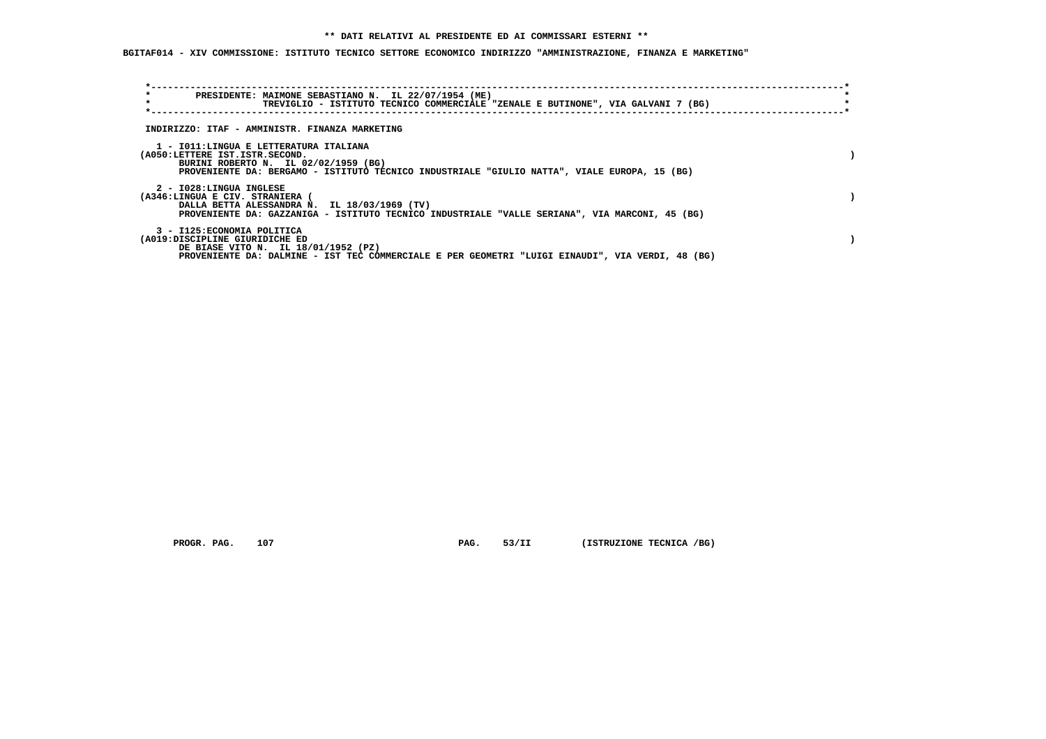**BGITAF014 - XIV COMMISSIONE: ISTITUTO TECNICO SETTORE ECONOMICO INDIRIZZO "AMMINISTRAZIONE, FINANZA E MARKETING"**

| *<br>$\star$                                                             | PRESIDENTE: MAIMONE SEBASTIANO N. IL 22/07/1954 (ME)<br>TREVIGLIO - ISTITUTO TECNICO COMMERCIALE "ZENALE E BUTINONE", VIA GALVANI 7 (BG)       |  |
|--------------------------------------------------------------------------|------------------------------------------------------------------------------------------------------------------------------------------------|--|
|                                                                          | INDIRIZZO: ITAF - AMMINISTR. FINANZA MARKETING                                                                                                 |  |
| 1 - IO11:LINGUA E LETTERATURA ITALIANA<br>(A050:LETTERE IST.ISTR.SECOND. | BURINI ROBERTO N. IL 02/02/1959 (BG)<br>PROVENIENTE DA: BERGAMO - ISTITUTO TECNICO INDUSTRIALE "GIULIO NATTA", VIALE EUROPA, 15 (BG)           |  |
| 2 - I028:LINGUA INGLESE<br>(A346:LINGUA E CIV. STRANIERA (               | DALLA BETTA ALESSANDRA N. IL 18/03/1969 (TV)<br>PROVENIENTE DA: GAZZANIGA - ISTITUTO TECNICO INDUSTRIALE "VALLE SERIANA", VIA MARCONI, 45 (BG) |  |
| 3 - I125: ECONOMIA POLITICA<br>(A019:DISCIPLINE GIURIDICHE ED            | DE BIASE VITO N. IL 18/01/1952 (PZ)<br>PROVENIENTE DA: DALMINE - IST TEC COMMERCIALE E PER GEOMETRI "LUIGI EINAUDI", VIA VERDI, 48 (BG)        |  |

 **PROGR. PAG.** 107 **PAG.** 53/II (ISTRUZIONE TECNICA /BG)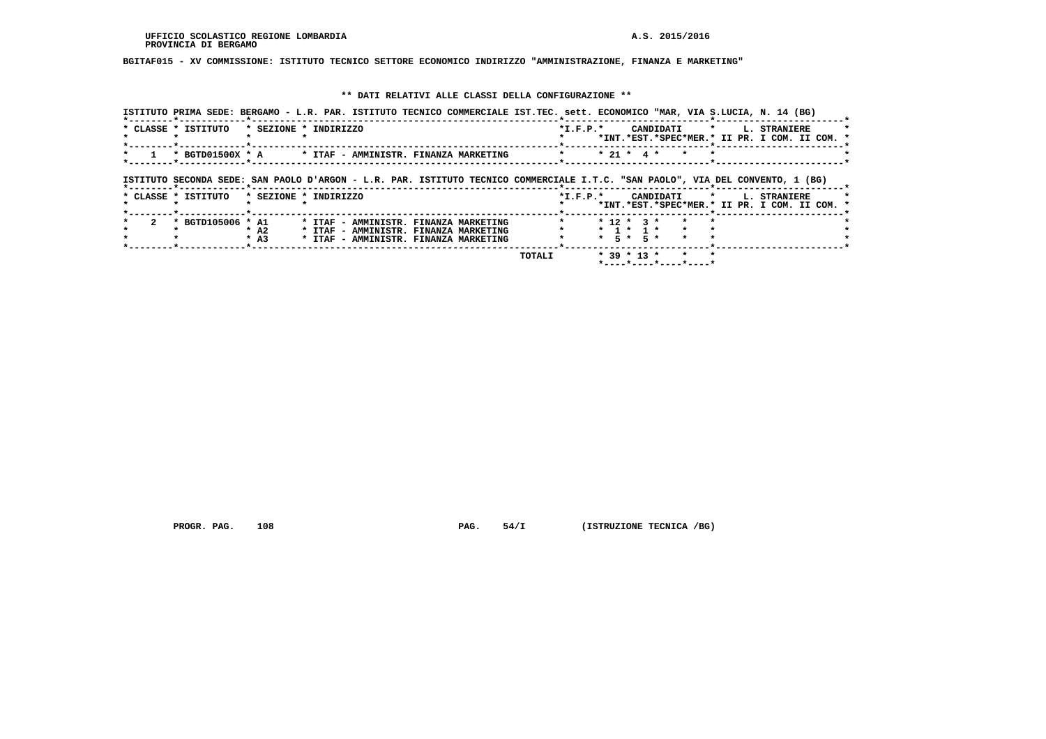## **BGITAF015 - XV COMMISSIONE: ISTITUTO TECNICO SETTORE ECONOMICO INDIRIZZO "AMMINISTRAZIONE, FINANZA E MARKETING"**

## **\*\* DATI RELATIVI ALLE CLASSI DELLA CONFIGURAZIONE \*\***

|                     |                   |                       | ISTITUTO PRIMA SEDE: BERGAMO - L.R. PAR. ISTITUTO TECNICO COMMERCIALE IST.TEC. sett. ECONOMICO "MAR, VIA S.LUCIA, N. 14 (BG)   |  |                        |                   |                                 |           |         |                                                               |  |
|---------------------|-------------------|-----------------------|--------------------------------------------------------------------------------------------------------------------------------|--|------------------------|-------------------|---------------------------------|-----------|---------|---------------------------------------------------------------|--|
| * CLASSE * ISTITUTO |                   | * SEZIONE * INDIRIZZO |                                                                                                                                |  | $*I.F.P.*$             |                   |                                 | CANDIDATI | $\star$ | L. STRANIERE<br>*INT.*EST.*SPEC*MER.* II PR. I COM. II COM. * |  |
|                     | * BGTD01500X * A  |                       | * ITAF - AMMINISTR. FINANZA MARKETING                                                                                          |  |                        |                   | $* 21 * 4 *$                    |           |         |                                                               |  |
|                     |                   |                       | ISTITUTO SECONDA SEDE: SAN PAOLO D'ARGON - L.R. PAR. ISTITUTO TECNICO COMMERCIALE I.T.C. "SAN PAOLO", VIA DEL CONVENTO, 1 (BG) |  |                        |                   |                                 |           |         |                                                               |  |
|                     |                   |                       |                                                                                                                                |  |                        |                   |                                 |           |         |                                                               |  |
| * CLASSE * ISTITUTO |                   | * SEZIONE * INDIRIZZO |                                                                                                                                |  | $*_{\texttt{I.F.P.}}*$ |                   |                                 | CANDIDATI | $\star$ | L. STRANIERE<br>*INT.*EST.*SPEC*MER.* II PR. I COM. II COM. * |  |
|                     | * BGTD105006 * A1 | $*$ A2<br>$*$ A3      | * ITAF - AMMINISTR. FINANZA MARKETING<br>* ITAF - AMMINISTR. FINANZA MARKETING<br>* ITAF - AMMINISTR. FINANZA MARKETING        |  |                        | $\star$ 5 $\star$ | $* 12 * 3 *$<br>$*$ 1 $*$ 1 $*$ | 5 *       |         |                                                               |  |

 **PROGR. PAG.** 108 **PAG.** 54/I (ISTRUZIONE TECNICA /BG)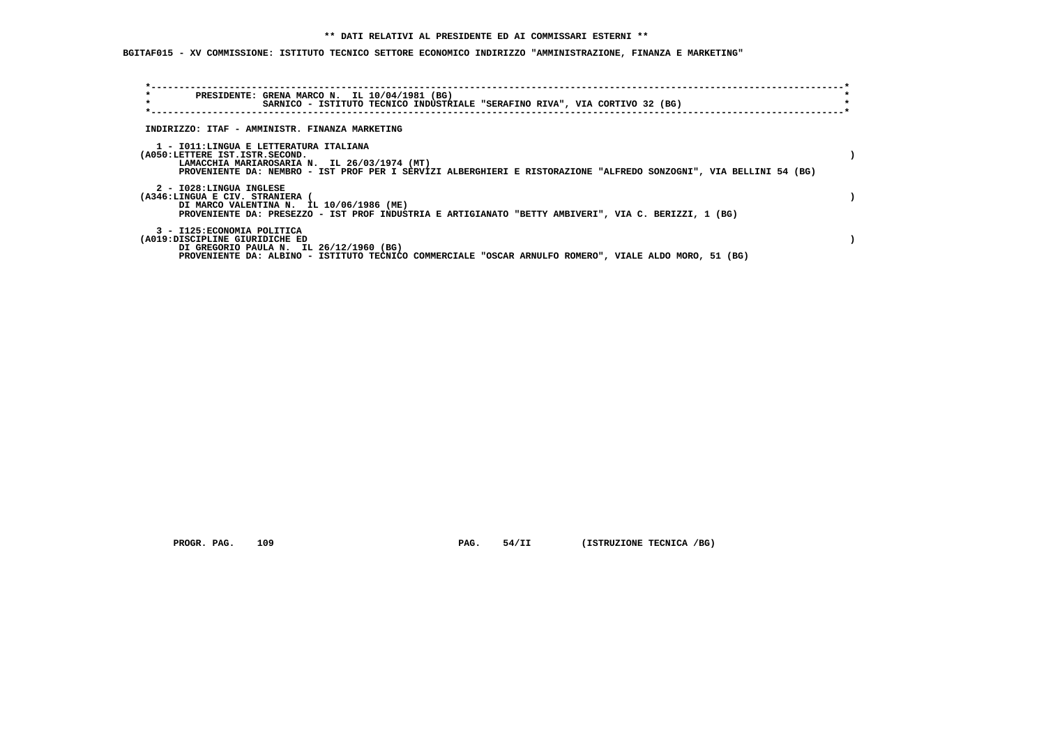## **\*\* DATI RELATIVI AL PRESIDENTE ED AI COMMISSARI ESTERNI \*\***

 **BGITAF015 - XV COMMISSIONE: ISTITUTO TECNICO SETTORE ECONOMICO INDIRIZZO "AMMINISTRAZIONE, FINANZA E MARKETING"**

| $\star$<br>PRESIDENTE: GRENA MARCO N. IL 10/04/1981 (BG)<br>$\star$<br>SARNICO - ISTITUTO TECNICO INDUSTRIALE "SERAFINO RIVA", VIA CORTIVO 32 (BG)                                                                                             |  |
|------------------------------------------------------------------------------------------------------------------------------------------------------------------------------------------------------------------------------------------------|--|
| INDIRIZZO: ITAF - AMMINISTR. FINANZA MARKETING                                                                                                                                                                                                 |  |
| 1 - IO11:LINGUA E LETTERATURA ITALIANA<br>(A050:LETTERE IST.ISTR.SECOND.<br>LAMACCHIA MARIAROSARIA N. IL 26/03/1974 (MT)<br>PROVENIENTE DA: NEMBRO - IST PROF PER I SERVIZI ALBERGHIERI E RISTORAZIONE "ALFREDO SONZOGNI", VIA BELLINI 54 (BG) |  |
| 2 - I028:LINGUA INGLESE<br>(A346:LINGUA E CIV. STRANIERA (<br>DI MARCO VALENTINA N. IL 10/06/1986 (ME)<br>PROVENIENTE DA: PRESEZZO - IST PROF INDUSTRIA E ARTIGIANATO "BETTY AMBIVERI", VIA C. BERIZZI, 1 (BG)                                 |  |
| 3 - I125: ECONOMIA POLITICA<br>(A019:DISCIPLINE GIURIDICHE ED<br>DI GREGORIO PAULA N. IL 26/12/1960 (BG)<br>PROVENIENTE DA: ALBINO - ISTITUTO TECNICO COMMERCIALE "OSCAR ARNULFO ROMERO", VIALE ALDO MORO, 51 (BG)                             |  |

 **PROGR. PAG.** 109 **PAG.** 54/II (ISTRUZIONE TECNICA /BG)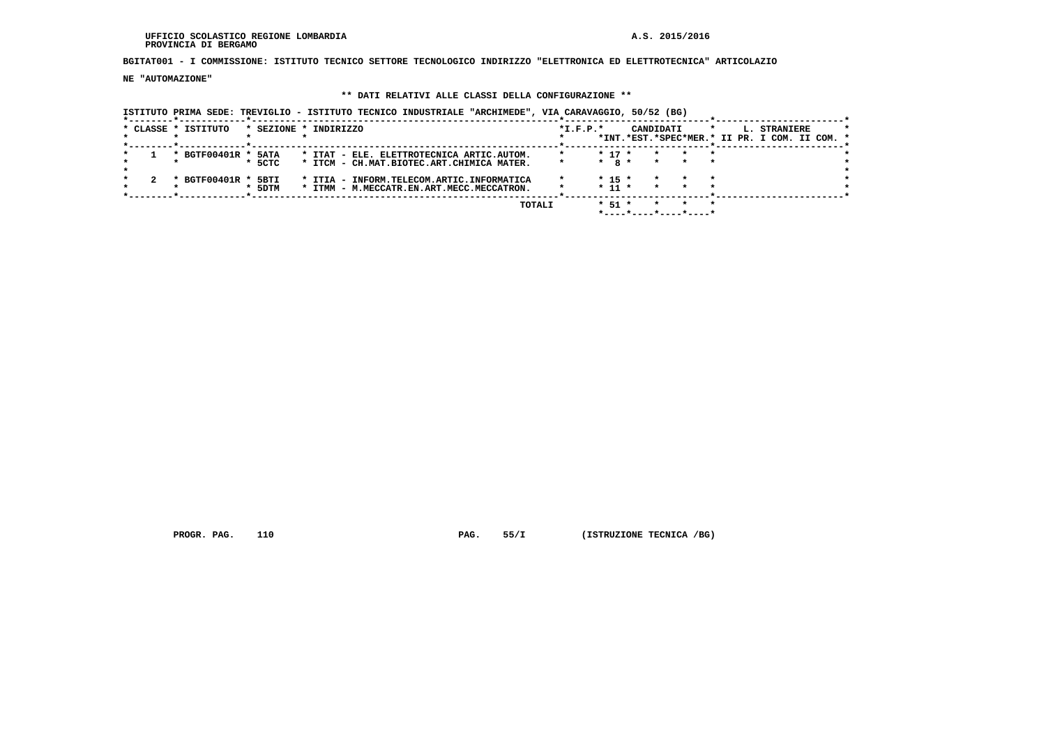#### **UFFICIO SCOLASTICO REGIONE LOMBARDIA A.S. 2015/2016 PROVINCIA DI BERGAMO**

 **BGITAT001 - I COMMISSIONE: ISTITUTO TECNICO SETTORE TECNOLOGICO INDIRIZZO "ELETTRONICA ED ELETTROTECNICA" ARTICOLAZIO**

 **NE "AUTOMAZIONE"**

## **\*\* DATI RELATIVI ALLE CLASSI DELLA CONFIGURAZIONE \*\***

 **ISTITUTO PRIMA SEDE: TREVIGLIO - ISTITUTO TECNICO INDUSTRIALE "ARCHIMEDE", VIA CARAVAGGIO, 50/52 (BG)**

|  | * CLASSE * ISTITUTO |         |          | * SEZIONE * INDIRIZZO |                                           |  |        | $*L.F.P.*$ |            |  | CANDIDATI |                       | *                                             | L. STRANIERE |  |  |
|--|---------------------|---------|----------|-----------------------|-------------------------------------------|--|--------|------------|------------|--|-----------|-----------------------|-----------------------------------------------|--------------|--|--|
|  |                     |         |          |                       |                                           |  |        |            |            |  |           |                       | *INT.*EST.*SPEC*MER.* II PR. I COM. II COM. * |              |  |  |
|  |                     |         |          |                       |                                           |  |        |            |            |  |           |                       |                                               |              |  |  |
|  | * BGTF00401R * 5ATA |         |          |                       | * ITAT - ELE. ELETTROTECNICA ARTIC.AUTOM. |  |        |            | $* 17 *$   |  |           |                       |                                               |              |  |  |
|  |                     |         | $*$ 5CTC |                       | * ITCM - CH.MAT.BIOTEC.ART.CHIMICA MATER. |  |        |            | $*$ 8 $*$  |  | $\star$   |                       | $\star$                                       |              |  |  |
|  |                     |         |          |                       |                                           |  |        |            |            |  |           |                       |                                               |              |  |  |
|  | * BGTF00401R *      |         | 5BTI     |                       | * ITIA - INFORM.TELECOM.ARTIC.INFORMATICA |  |        |            | $* 15 *$   |  |           |                       | $\star$                                       |              |  |  |
|  |                     | $\cdot$ | 5DTM     |                       | * ITMM - M.MECCATR.EN.ART.MECC.MECCATRON. |  |        |            | $*$ 11 $*$ |  |           |                       | $\star$                                       |              |  |  |
|  |                     |         |          |                       |                                           |  |        |            |            |  |           |                       |                                               |              |  |  |
|  |                     |         |          |                       |                                           |  | TOTALI |            | $*$ 51 $*$ |  |           |                       | $\star$                                       |              |  |  |
|  |                     |         |          |                       |                                           |  |        |            |            |  |           | *----*----*----*----* |                                               |              |  |  |

 **PROGR. PAG.** 110 **PAG.** 55/I (ISTRUZIONE TECNICA /BG)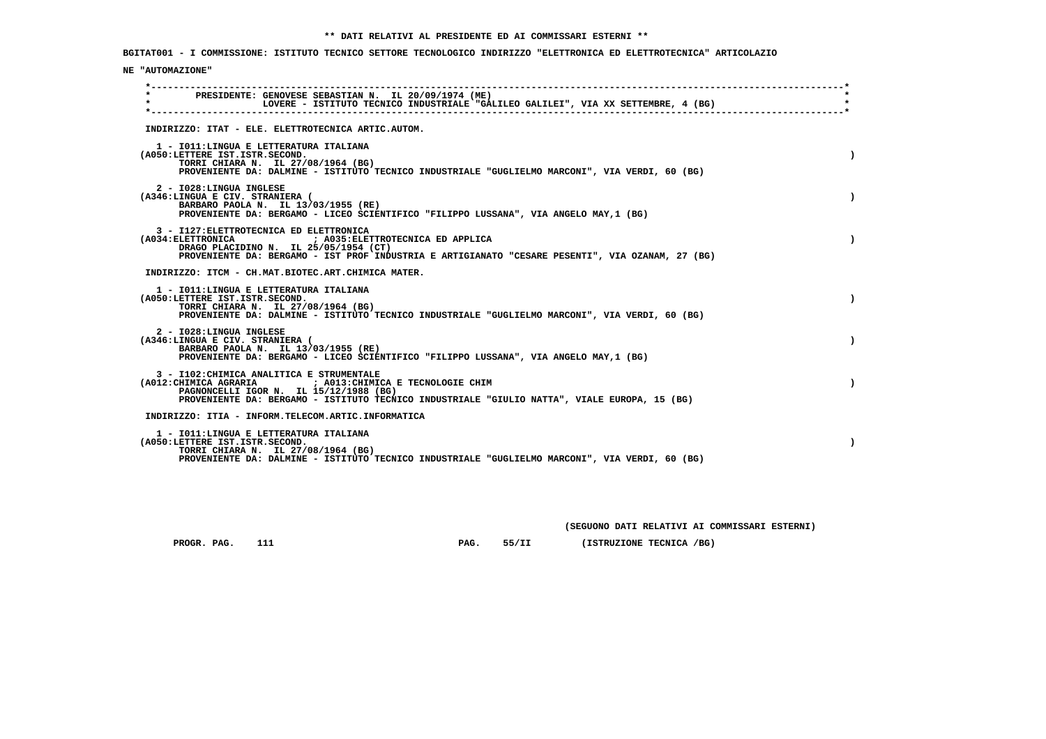**BGITAT001 - I COMMISSIONE: ISTITUTO TECNICO SETTORE TECNOLOGICO INDIRIZZO "ELETTRONICA ED ELETTROTECNICA" ARTICOLAZIO**

## **NE "AUTOMAZIONE"**

| $\star$ | PRESIDENTE: GENOVESE SEBASTIAN N. IL 20/09/1974 (ME)<br>LOVERE - ISTITUTO TECNICO INDUSTRIALE "GALILEO GALILEI", VIA XX SETTEMBRE, 4 (BG)                                                                                                         |  |
|---------|---------------------------------------------------------------------------------------------------------------------------------------------------------------------------------------------------------------------------------------------------|--|
|         | INDIRIZZO: ITAT - ELE. ELETTROTECNICA ARTIC.AUTOM.                                                                                                                                                                                                |  |
|         | 1 - IO11: LINGUA E LETTERATURA ITALIANA<br>(A050:LETTERE IST.ISTR.SECOND.<br>TORRI CHIARA N. IL 27/08/1964 (BG)<br>PROVENIENTE DA: DALMINE - ISTITUTO TECNICO INDUSTRIALE "GUGLIELMO MARCONI", VIA VERDI, 60 (BG)                                 |  |
|         | 2 - I028:LINGUA INGLESE<br>(A346:LINGUA E CIV. STRANIERA (<br>BARBARO PAOLA N. IL 13/03/1955 (RE)<br>PROVENIENTE DA: BERGAMO - LICEO SCIENTIFICO "FILIPPO LUSSANA", VIA ANGELO MAY, 1 (BG)                                                        |  |
|         | 3 - I127: ELETTROTECNICA ED ELETTRONICA<br>(A034: ELETTRONICA ) A035: ELETTROTECNICA ED APPLICA<br>DRAGO PLACIDINO N. IL 25/05/1954 (CT)<br>PROVENIENTE DA: BERGAMO - IST PROF INDUSTRIA E ARTIGIANATO "CESARE PESENTI", VIA OZANAM, 27 (BG)      |  |
|         | INDIRIZZO: ITCM - CH.MAT.BIOTEC.ART.CHIMICA MATER.                                                                                                                                                                                                |  |
|         | 1 - IO11: LINGUA E LETTERATURA ITALIANA<br>(A050:LETTERE IST.ISTR.SECOND.<br>TORRI CHIARA N. IL 27/08/1964 (BG)<br>PROVENIENTE DA: DALMINE - ISTITUTO TECNICO INDUSTRIALE "GUGLIELMO MARCONI", VIA VERDI, 60 (BG)                                 |  |
|         | 2 - I028:LINGUA INGLESE<br>(A346:LINGUA E CIV. STRANIERA (<br>BARBARO PAOLA N. IL 13/03/1955 (RE)<br>PROVENIENTE DA: BERGAMO - LICEO SCIENTIFICO "FILIPPO LUSSANA", VIA ANGELO MAY, 1 (BG)                                                        |  |
|         | 3 - I102: CHIMICA ANALITICA E STRUMENTALE<br>(A012: CHIMICA AGRARIA ) ; A013: CHIMICA E TECNOLOGIE CHIM<br>PAGNONCELLI IGOR N. IL 15/12/1988 (BG)<br>PROVENIENTE DA: BERGAMO - ISTITUTO TECNICO INDUSTRIALE "GIULIO NATTA", VIALE EUROPA, 15 (BG) |  |
|         | INDIRIZZO: ITIA - INFORM.TELECOM.ARTIC.INFORMATICA                                                                                                                                                                                                |  |
|         | 1 - IO11:LINGUA E LETTERATURA ITALIANA<br>(A050:LETTERE IST.ISTR.SECOND.<br>TORRI CHIARA N. IL 27/08/1964 (BG)<br>PROVENIENTE DA: DALMINE - ISTITUTO TECNICO INDUSTRIALE "GUGLIELMO MARCONI", VIA VERDI, 60 (BG)                                  |  |

 **(SEGUONO DATI RELATIVI AI COMMISSARI ESTERNI)**

 **PROGR. PAG.** 111 **PAG. 55/II (ISTRUZIONE TECNICA /BG)**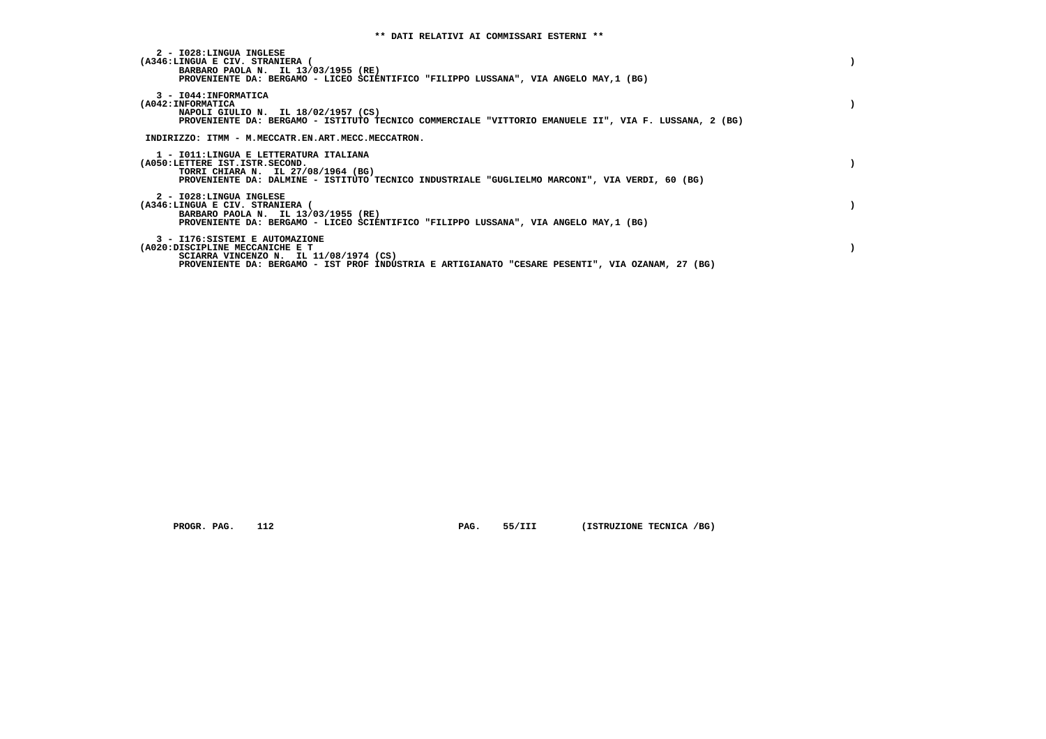| 2 - I028:LINGUA INGLESE<br>(A346:LINGUA E CIV. STRANIERA (<br>BARBARO PAOLA N. IL 13/03/1955 (RE)<br>PROVENIENTE DA: BERGAMO - LICEO SCIENTIFICO "FILIPPO LUSSANA", VIA ANGELO MAY, 1 (BG)                       |  |
|------------------------------------------------------------------------------------------------------------------------------------------------------------------------------------------------------------------|--|
| 3 - I044: INFORMATICA<br>(A042: INFORMATICA<br>NAPOLI GIULIO N. IL 18/02/1957 (CS)<br>PROVENIENTE DA: BERGAMO - ISTITUTO TECNICO COMMERCIALE "VITTORIO EMANUELE II", VIA F. LUSSANA, 2 (BG)                      |  |
| INDIRIZZO: ITMM - M.MECCATR.EN.ART.MECC.MECCATRON.                                                                                                                                                               |  |
| 1 - IO11:LINGUA E LETTERATURA ITALIANA<br>(A050:LETTERE IST.ISTR.SECOND.<br>TORRI CHIARA N. IL 27/08/1964 (BG)<br>PROVENIENTE DA: DALMINE - ISTITUTO TECNICO INDUSTRIALE "GUGLIELMO MARCONI", VIA VERDI, 60 (BG) |  |
| 2 - I028:LINGUA INGLESE<br>(A346:LINGUA E CIV. STRANIERA (<br>BARBARO PAOLA N. IL 13/03/1955 (RE)<br>PROVENIENTE DA: BERGAMO - LICEO SCIENTIFICO "FILIPPO LUSSANA", VIA ANGELO MAY, 1 (BG)                       |  |
| 3 - I176: SISTEMI E AUTOMAZIONE<br>(A020:DISCIPLINE MECCANICHE E T<br>SCIARRA VINCENZO N. IL 11/08/1974 (CS)<br>PROVENIENTE DA: BERGAMO - IST PROF INDUSTRIA E ARTIGIANATO "CESARE PESENTI", VIA OZANAM, 27 (BG) |  |

 **PROGR. PAG.** 112 **PAG.** 55/III (ISTRUZIONE TECNICA /BG)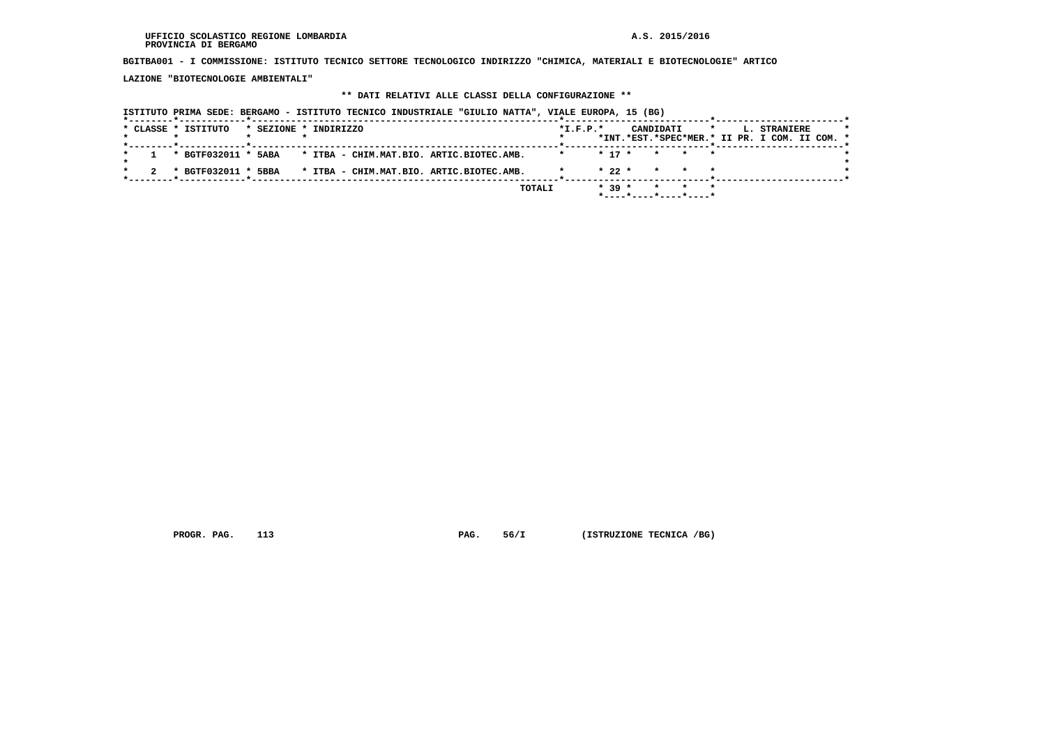**BGITBA001 - I COMMISSIONE: ISTITUTO TECNICO SETTORE TECNOLOGICO INDIRIZZO "CHIMICA, MATERIALI E BIOTECNOLOGIE" ARTICO**

 **LAZIONE "BIOTECNOLOGIE AMBIENTALI"**

## **\*\* DATI RELATIVI ALLE CLASSI DELLA CONFIGURAZIONE \*\***

| ISTITUTO PRIMA SEDE: BERGAMO - ISTITUTO TECNICO INDUSTRIALE "GIULIO NATTA", VIALE EUROPA, 15 (BG) |                                                        |
|---------------------------------------------------------------------------------------------------|--------------------------------------------------------|
| * CLASSE * ISTITUTO<br>* SEZIONE * INDIRIZZO                                                      | $*$ I.F.P. $*$<br>CANDIDATI<br>$\star$<br>L. STRANIERE |
|                                                                                                   | *INT.*EST.*SPEC*MER.* II PR. I COM. II COM. *          |
| * BGTF032011 * 5ABA<br>* ITBA - CHIM.MAT.BIO. ARTIC.BIOTEC.AMB.                                   | $* 17 *$<br>* * *                                      |
| * BGTF032011 * 5BBA<br>* ITBA - CHIM.MAT.BIO. ARTIC.BIOTEC.AMB.                                   | $*22*$<br>* * *                                        |
|                                                                                                   | $* 39 *$<br>TOTALI<br>* * *                            |
|                                                                                                   |                                                        |

 **PROGR. PAG.** 113 **PAG.** 56/I (ISTRUZIONE TECNICA /BG)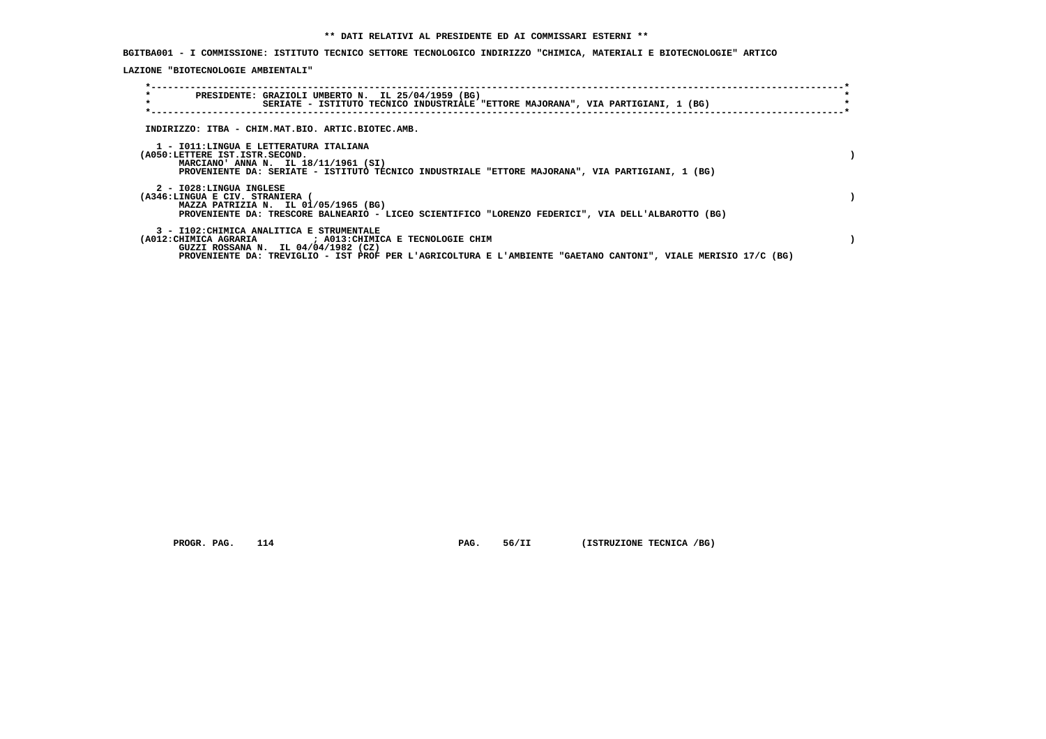**BGITBA001 - I COMMISSIONE: ISTITUTO TECNICO SETTORE TECNOLOGICO INDIRIZZO "CHIMICA, MATERIALI E BIOTECNOLOGIE" ARTICO**

 **LAZIONE "BIOTECNOLOGIE AMBIENTALI"**

| $\star$<br>$\star$ | PRESIDENTE: GRAZIOLI UMBERTO N. IL 25/04/1959 (BG)                                                                                                                                                                   |  | SERIATE - ISTITUTO TECNICO INDUSTRIALE "ETTORE MAJORANA", VIA PARTIGIANI, 1 (BG) |  |  |                                                                                                                |  |
|--------------------|----------------------------------------------------------------------------------------------------------------------------------------------------------------------------------------------------------------------|--|----------------------------------------------------------------------------------|--|--|----------------------------------------------------------------------------------------------------------------|--|
|                    | INDIRIZZO: ITBA - CHIM.MAT.BIO. ARTIC.BIOTEC.AMB.                                                                                                                                                                    |  |                                                                                  |  |  |                                                                                                                |  |
|                    | 1 - IO11:LINGUA E LETTERATURA ITALIANA<br>(A050:LETTERE IST.ISTR.SECOND.<br>MARCIANO' ANNA N. IL 18/11/1961 (SI)<br>PROVENIENTE DA: SERIATE - ISTITUTO TECNICO INDUSTRIALE "ETTORE MAJORANA", VIA PARTIGIANI, 1 (BG) |  |                                                                                  |  |  |                                                                                                                |  |
|                    | 2 - I028:LINGUA INGLESE<br>(A346:LINGUA E CIV. STRANIERA (<br>MAZZA PATRIZIA N. IL 01/05/1965 (BG)<br>PROVENIENTE DA: TRESCORE BALNEARIO - LICEO SCIENTIFICO "LORENZO FEDERICI", VIA DELL'ALBAROTTO (BG)             |  |                                                                                  |  |  |                                                                                                                |  |
|                    | 3 - I102: CHIMICA ANALITICA E STRUMENTALE<br>(A012: CHIMICA AGRARIA ) : A013: CHIMICA E TECNOLOGIE CHIM<br>GUZZI ROSSANA N. IL 04/04/1982 (CZ)                                                                       |  |                                                                                  |  |  | PROVENIENTE DA: TREVIGLIO - IST PROF PER L'AGRICOLTURA E L'AMBIENTE "GAETANO CANTONI", VIALE MERISIO 17/C (BG) |  |

 **PROGR. PAG.** 114 **PAG.** 56/II (ISTRUZIONE TECNICA /BG)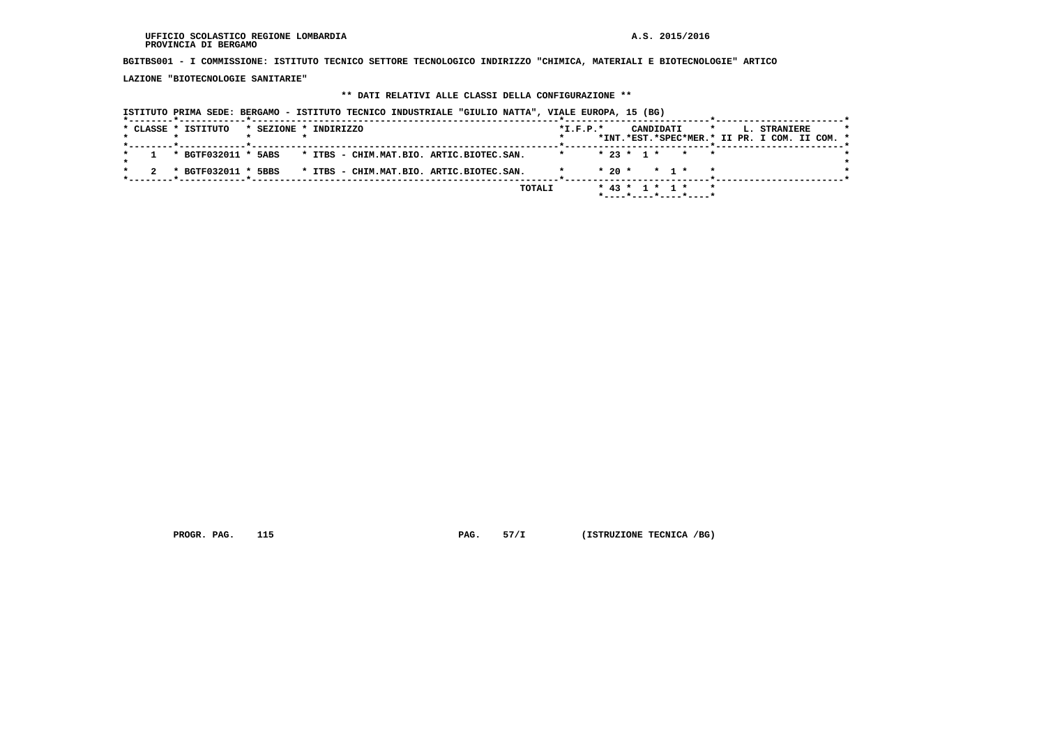**BGITBS001 - I COMMISSIONE: ISTITUTO TECNICO SETTORE TECNOLOGICO INDIRIZZO "CHIMICA, MATERIALI E BIOTECNOLOGIE" ARTICO**

 **LAZIONE "BIOTECNOLOGIE SANITARIE"**

## **\*\* DATI RELATIVI ALLE CLASSI DELLA CONFIGURAZIONE \*\***

|                     | ISTITUTO PRIMA SEDE: BERGAMO - ISTITUTO TECNICO INDUSTRIALE "GIULIO NATTA", VIALE EUROPA, 15 (BG) |                                                        |
|---------------------|---------------------------------------------------------------------------------------------------|--------------------------------------------------------|
| * CLASSE * ISTITUTO | * SEZIONE * INDIRIZZO                                                                             | CANDIDATI<br>$*$ I.F.P. $*$<br>L. STRANIERE<br>$\star$ |
|                     |                                                                                                   | *INT.*EST.*SPEC*MER.* II PR. I COM. II COM. *          |
| * BGTF032011 * 5ABS | * ITBS - CHIM.MAT.BIO. ARTIC.BIOTEC.SAN.                                                          | $* 23 * 1 * * * * *$                                   |
| * BGTF032011 * 5BBS | * ITBS - CHIM.MAT.BIO. ARTIC.BIOTEC.SAN.                                                          | $* 20 * * 1 *$                                         |
|                     | TOTALI                                                                                            | $*$ 43 $*$ 1 $*$ 1 $*$                                 |
|                     |                                                                                                   |                                                        |

 **PROGR. PAG.** 115 **PAG.** 57/I (ISTRUZIONE TECNICA /BG)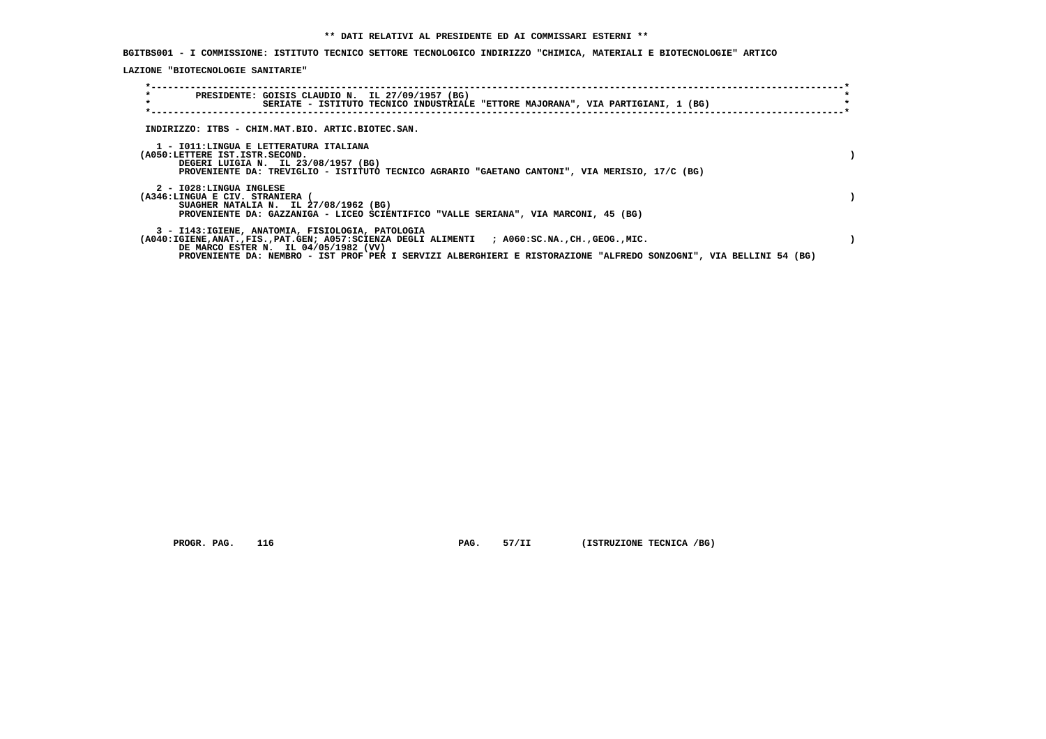**BGITBS001 - I COMMISSIONE: ISTITUTO TECNICO SETTORE TECNOLOGICO INDIRIZZO "CHIMICA, MATERIALI E BIOTECNOLOGIE" ARTICO**

 **LAZIONE "BIOTECNOLOGIE SANITARIE"**

| $\star$<br>PRESIDENTE: GOISIS CLAUDIO N. IL 27/09/1957 (BG)<br>$\star$<br>SERIATE - ISTITUTO TECNICO INDUSTRIALE "ETTORE MAJORANA", VIA PARTIGIANI, 1 (BG)                                                                                                                                                  |  |
|-------------------------------------------------------------------------------------------------------------------------------------------------------------------------------------------------------------------------------------------------------------------------------------------------------------|--|
| INDIRIZZO: ITBS - CHIM.MAT.BIO. ARTIC.BIOTEC.SAN.                                                                                                                                                                                                                                                           |  |
| 1 - IO11:LINGUA E LETTERATURA ITALIANA<br>(A050:LETTERE IST.ISTR.SECOND.<br>DEGERI LUIGIA N. IL 23/08/1957 (BG)<br>PROVENIENTE DA: TREVIGLIO - ISTITUTO TECNICO AGRARIO "GAETANO CANTONI", VIA MERISIO, 17/C (BG)                                                                                           |  |
| 2 - I028:LINGUA INGLESE<br>(A346:LINGUA E CIV. STRANIERA<br>SUAGHER NATALIA N. IL 27/08/1962 (BG)<br>PROVENIENTE DA: GAZZANIGA - LICEO SCIENTIFICO "VALLE SERIANA", VIA MARCONI, 45 (BG)                                                                                                                    |  |
| 3 - I143:IGIENE, ANATOMIA, FISIOLOGIA, PATOLOGIA<br>(A040:IGIENE,ANAT.,FIS.,PAT.GEN; A057:SCIENZA DEGLI ALIMENTI ; A060:SC.NA.,CH.,GEOG.,MIC.<br>DE MARCO ESTER N. IL 04/05/1982 (VV)<br>PROVENIENTE DA: NEMBRO - IST PROF PER I SERVIZI ALBERGHIERI E RISTORAZIONE "ALFREDO SONZOGNI", VIA BELLINI 54 (BG) |  |

 **PROGR. PAG.** 116 **PAG.** 57/II (ISTRUZIONE TECNICA /BG)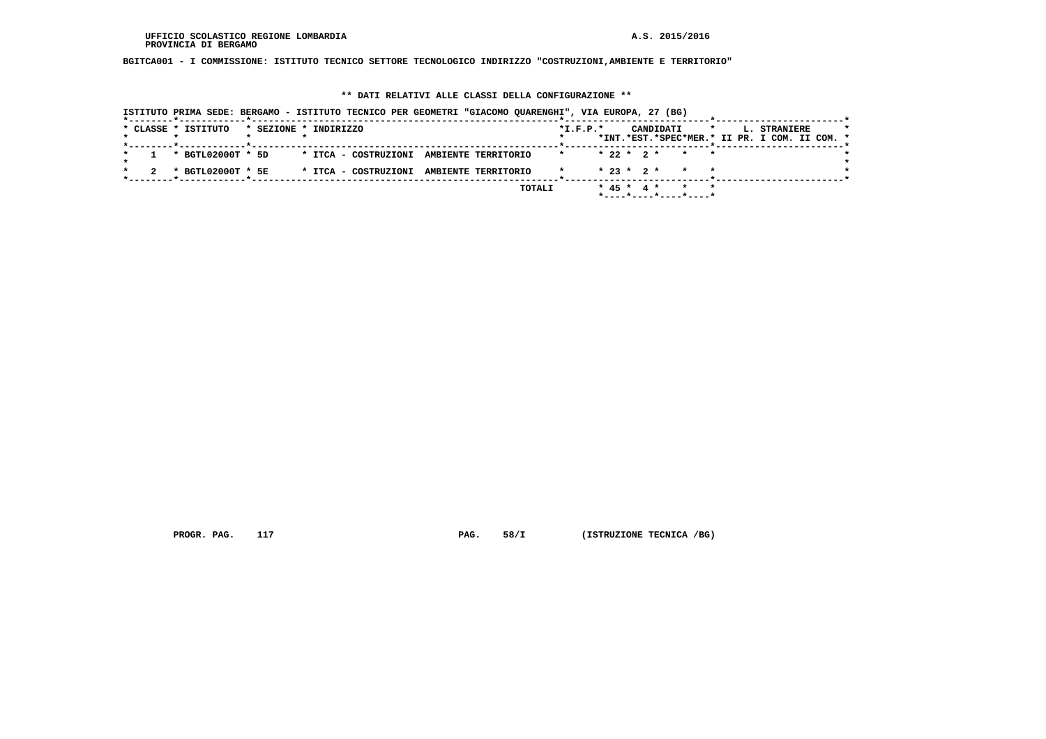**BGITCA001 - I COMMISSIONE: ISTITUTO TECNICO SETTORE TECNOLOGICO INDIRIZZO "COSTRUZIONI,AMBIENTE E TERRITORIO"**

## **\*\* DATI RELATIVI ALLE CLASSI DELLA CONFIGURAZIONE \*\***

|                     | ISTITUTO PRIMA SEDE: BERGAMO - ISTITUTO TECNICO PER GEOMETRI "GIACOMO QUARENGHI", VIA EUROPA, 27 (BG) |                                          |            |                                                     |                                                                          |
|---------------------|-------------------------------------------------------------------------------------------------------|------------------------------------------|------------|-----------------------------------------------------|--------------------------------------------------------------------------|
| * CLASSE * ISTITUTO | * SEZIONE * INDIRIZZO                                                                                 |                                          | $*L.F.P.*$ | CANDIDATI                                           | L. STRANIERE<br>$\star$<br>*INT.*EST.*SPEC*MER.* II PR. I COM. II COM. * |
|                     |                                                                                                       |                                          |            |                                                     |                                                                          |
|                     | * BGTL02000T * 5D                                                                                     | * ITCA - COSTRUZIONI AMBIENTE TERRITORIO |            | $* 22 * 2 * * * * *$                                |                                                                          |
|                     | * BGTL02000T * 5E                                                                                     | * ITCA - COSTRUZIONI AMBIENTE TERRITORIO |            | $* 23 * 2 * * * * * *$                              |                                                                          |
|                     |                                                                                                       |                                          | TOTALI     | * 45 * 4 * * * *                                    |                                                                          |
|                     |                                                                                                       |                                          |            | $*$ - - - - $*$ - - - - $*$ - - - - $*$ - - - - $*$ |                                                                          |

 **PROGR. PAG.** 117 **PAG.** 58/I (ISTRUZIONE TECNICA /BG)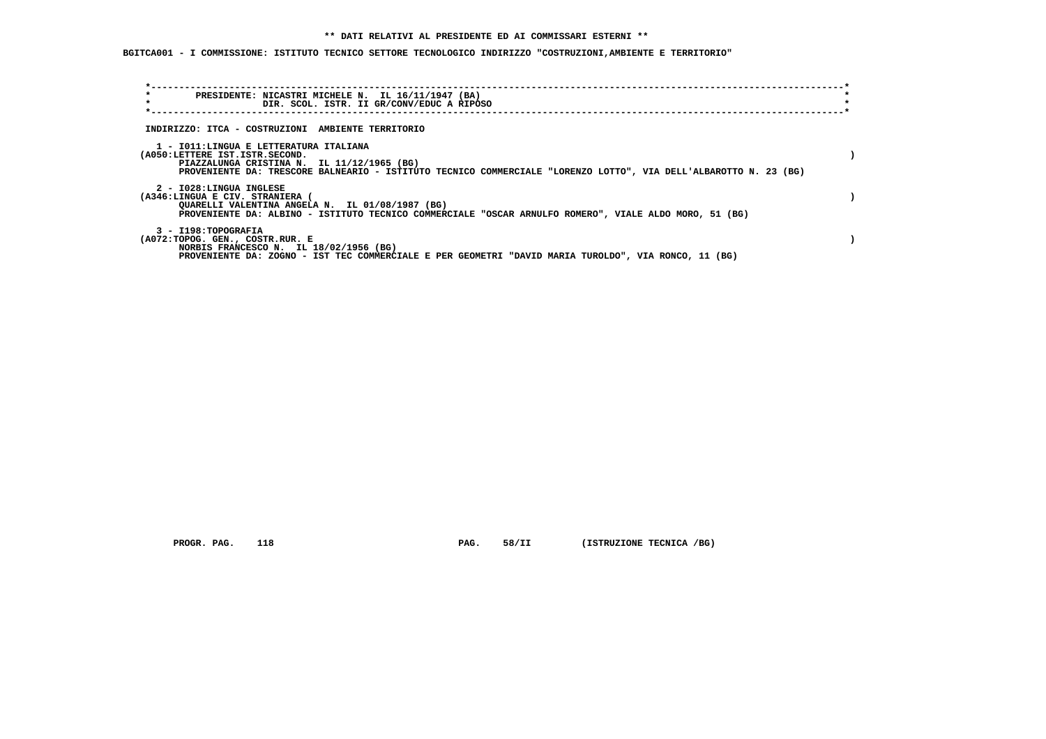## **\*\* DATI RELATIVI AL PRESIDENTE ED AI COMMISSARI ESTERNI \*\***

 **BGITCA001 - I COMMISSIONE: ISTITUTO TECNICO SETTORE TECNOLOGICO INDIRIZZO "COSTRUZIONI,AMBIENTE E TERRITORIO"**

| $\star$<br>PRESIDENTE: NICASTRI MICHELE N. IL 16/11/1947 (BA)                                                    |  |
|------------------------------------------------------------------------------------------------------------------|--|
| $\star$<br>DIR. SCOL. ISTR. II GR/CONV/EDUC A RIPOSO                                                             |  |
|                                                                                                                  |  |
| INDIRIZZO: ITCA - COSTRUZIONI AMBIENTE TERRITORIO                                                                |  |
| 1 - IO11: LINGUA E LETTERATURA ITALIANA                                                                          |  |
| (A050:LETTERE IST.ISTR.SECOND.                                                                                   |  |
| PIAZZALUNGA CRISTINA N. IL 11/12/1965 (BG)                                                                       |  |
| PROVENIENTE DA: TRESCORE BALNEARIO - ISTITUTO TECNICO COMMERCIALE "LORENZO LOTTO", VIA DELL'ALBAROTTO N. 23 (BG) |  |
| 2 - I028:LINGUA INGLESE                                                                                          |  |
| (A346:LINGUA E CIV. STRANIERA (                                                                                  |  |
| QUARELLI VALENTINA ANGELA N. IL 01/08/1987 (BG)                                                                  |  |
| PROVENIENTE DA: ALBINO - ISTITUTO TECNICO COMMERCIALE "OSCAR ARNULFO ROMERO", VIALE ALDO MORO, 51 (BG)           |  |
| 3 - I198: TOPOGRAFIA                                                                                             |  |
| (A072:TOPOG. GEN., COSTR.RUR. E                                                                                  |  |
| NORBIS FRANCESCO N. IL 18/02/1956 (BG)                                                                           |  |
| PROVENIENTE DA: ZOGNO - IST TEC COMMERCIALE E PER GEOMETRI "DAVID MARIA TUROLDO", VIA RONCO, 11 (BG)             |  |
|                                                                                                                  |  |

 **PROGR. PAG.** 118 **PAG.** 58/II (ISTRUZIONE TECNICA /BG)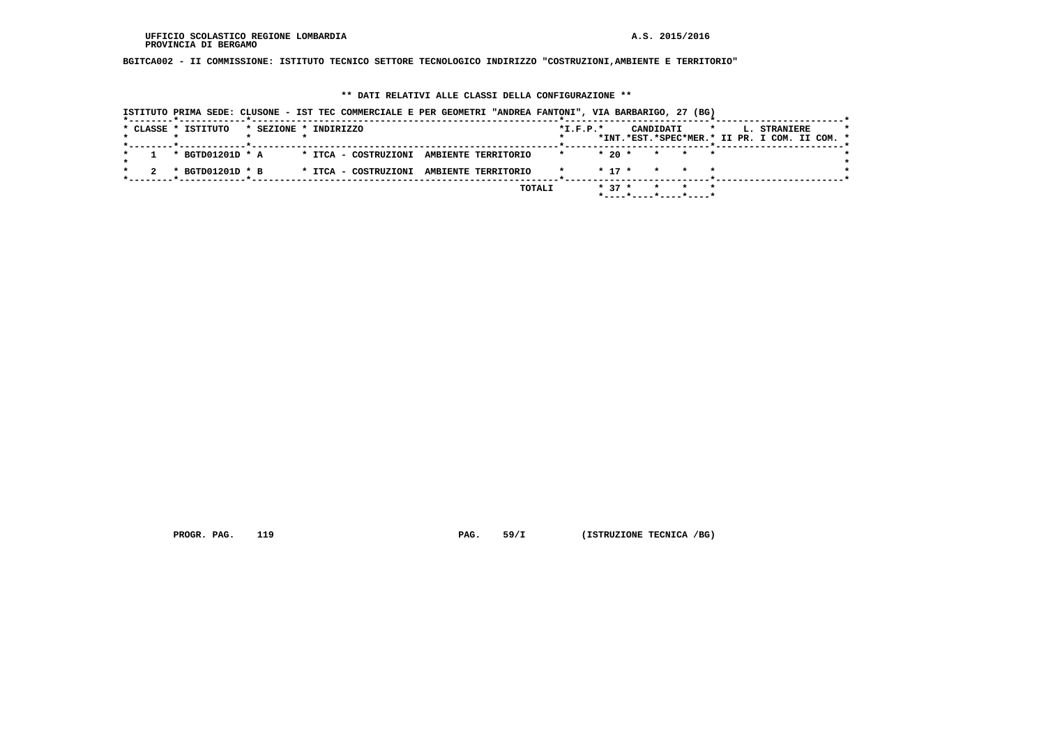**BGITCA002 - II COMMISSIONE: ISTITUTO TECNICO SETTORE TECNOLOGICO INDIRIZZO "COSTRUZIONI,AMBIENTE E TERRITORIO"**

## **\*\* DATI RELATIVI ALLE CLASSI DELLA CONFIGURAZIONE \*\***

|                             | ISTITUTO PRIMA SEDE: CLUSONE - IST TEC COMMERCIALE E PER GEOMETRI "ANDREA FANTONI", VIA BARBARIGO, 27 (BG) |            |                                               |
|-----------------------------|------------------------------------------------------------------------------------------------------------|------------|-----------------------------------------------|
| *--------*-----------*----- |                                                                                                            |            |                                               |
| * CLASSE * ISTITUTO         | * SEZIONE * INDIRIZZO                                                                                      | $*L.F.P.*$ | CANDIDATI<br>$\star$<br>L. STRANIERE          |
|                             |                                                                                                            |            | *INT.*EST.*SPEC*MER.* II PR. I COM. II COM. * |
|                             |                                                                                                            |            |                                               |
| * BGTD01201D * A            | * ITCA - COSTRUZIONI AMBIENTE TERRITORIO                                                                   |            | $*20$ $*$<br>* * *                            |
|                             |                                                                                                            |            |                                               |
| * BGTD01201D * B            | * ITCA - COSTRUZIONI AMBIENTE TERRITORIO                                                                   |            | $* 17 *$<br>* * *                             |
|                             |                                                                                                            |            |                                               |
|                             |                                                                                                            | TOTALI     | $* 37 *$<br>* * *                             |
|                             |                                                                                                            |            | $*$ ----*----*----*----*                      |

 **PROGR. PAG.** 119 **PAG.** 59/I (ISTRUZIONE TECNICA /BG)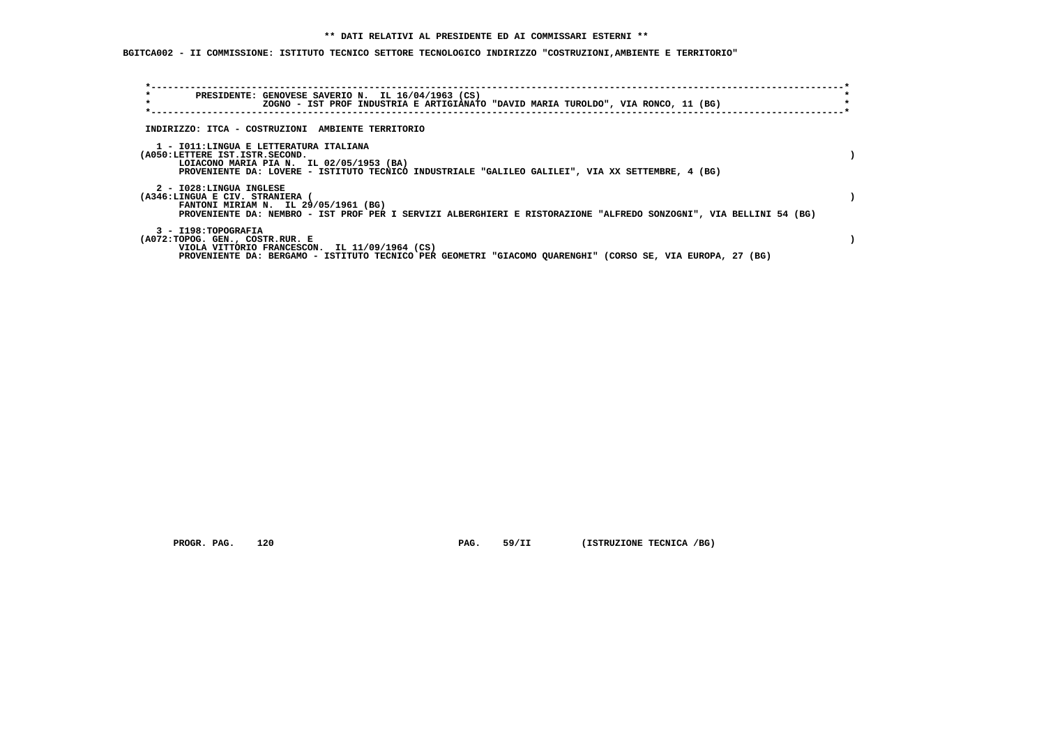**BGITCA002 - II COMMISSIONE: ISTITUTO TECNICO SETTORE TECNOLOGICO INDIRIZZO "COSTRUZIONI,AMBIENTE E TERRITORIO"**

| $\star$<br>$\star$                                                                                                   | PRESIDENTE: GENOVESE SAVERIO N. IL 16/04/1963 (CS)<br>ZOGNO - IST PROF INDUSTRIA E ARTIGIANATO "DAVID MARIA TUROLDO", VIA RONCO, 11 (BG) |  |
|----------------------------------------------------------------------------------------------------------------------|------------------------------------------------------------------------------------------------------------------------------------------|--|
| INDIRIZZO: ITCA - COSTRUZIONI AMBIENTE TERRITORIO                                                                    |                                                                                                                                          |  |
| 1 - IO11:LINGUA E LETTERATURA ITALIANA<br>(A050:LETTERE IST.ISTR.SECOND.<br>LOIACONO MARIA PIA N. IL 02/05/1953 (BA) | PROVENIENTE DA: LOVERE - ISTITUTO TECNICO INDUSTRIALE "GALILEO GALILEI", VIA XX SETTEMBRE, 4 (BG)                                        |  |
| 2 - I028:LINGUA INGLESE<br>(A346:LINGUA E CIV. STRANIERA<br>FANTONI MIRIAM N. IL 29/05/1961 (BG)                     | PROVENIENTE DA: NEMBRO - IST PROF PER I SERVIZI ALBERGHIERI E RISTORAZIONE "ALFREDO SONZOGNI", VIA BELLINI 54 (BG)                       |  |
| 3 - I198: TOPOGRAFIA<br>(A072:TOPOG. GEN., COSTR.RUR. E<br>VIOLA VITTORIO FRANCESCON. IL 11/09/1964 (CS)             | PROVENIENTE DA: BERGAMO - ISTITUTO TECNICO PER GEOMETRI "GIACOMO QUARENGHI" (CORSO SE, VIA EUROPA, 27 (BG)                               |  |

 **PROGR. PAG.** 120 **PAG.** 59/II (ISTRUZIONE TECNICA /BG)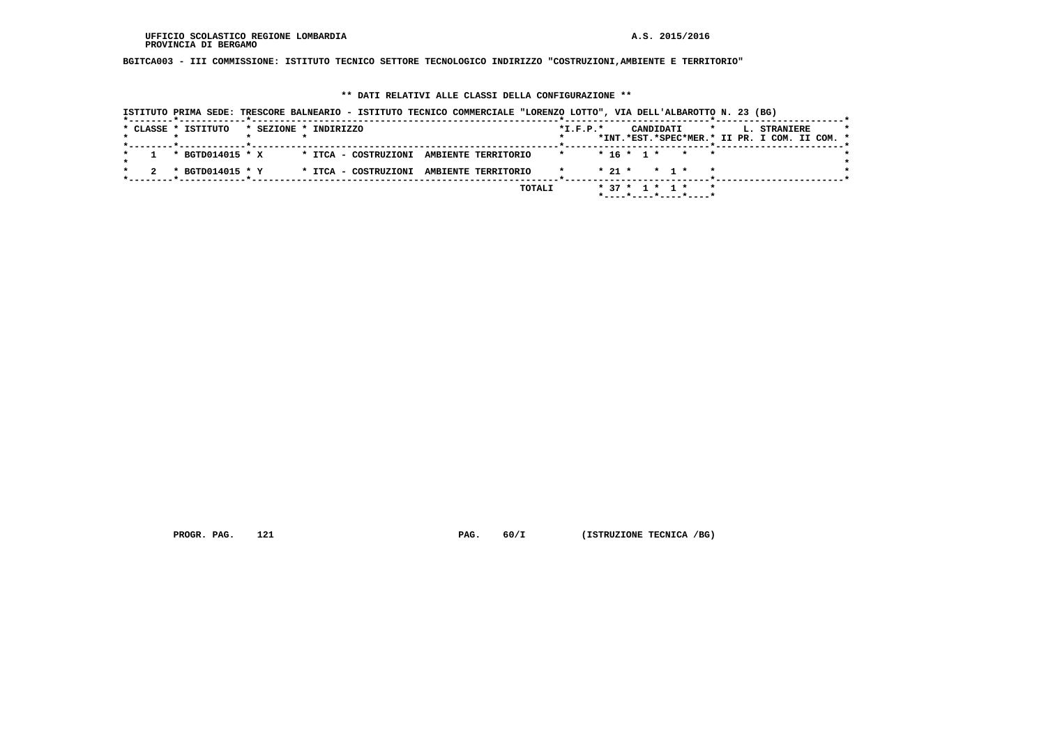**BGITCA003 - III COMMISSIONE: ISTITUTO TECNICO SETTORE TECNOLOGICO INDIRIZZO "COSTRUZIONI,AMBIENTE E TERRITORIO"**

## **\*\* DATI RELATIVI ALLE CLASSI DELLA CONFIGURAZIONE \*\***

|  | ISTITUTO PRIMA SEDE: TRESCORE BALNEARIO - ISTITUTO TECNICO COMMERCIALE "LORENZO LOTTO", VIA DELL'ALBAROTTO N. 23 (BG) |                       |                                          |  |        |                |                    |           |                                      |              |  |                                               |  |  |
|--|-----------------------------------------------------------------------------------------------------------------------|-----------------------|------------------------------------------|--|--------|----------------|--------------------|-----------|--------------------------------------|--------------|--|-----------------------------------------------|--|--|
|  | * CLASSE * ISTITUTO                                                                                                   | * SEZIONE * INDIRIZZO |                                          |  |        | $*$ I.F.P. $*$ |                    | CANDIDATI |                                      | $\mathbf{r}$ |  | L. STRANIERE                                  |  |  |
|  |                                                                                                                       |                       |                                          |  |        |                |                    |           |                                      |              |  | *INT.*EST.*SPEC*MER.* II PR. I COM. II COM. * |  |  |
|  | * BGTD014015 * X                                                                                                      |                       | * ITCA - COSTRUZIONI AMBIENTE TERRITORIO |  |        | $\star$        | $* 16 * 1 * * * *$ |           |                                      |              |  |                                               |  |  |
|  | * BGTD014015 * Y                                                                                                      |                       | * ITCA - COSTRUZIONI AMBIENTE TERRITORIO |  |        |                | $* 21 * * 1 *$     |           |                                      |              |  |                                               |  |  |
|  |                                                                                                                       |                       |                                          |  | TOTALI |                | * 37 * 1 * 1 *     |           | $*$ ---- $*$ ---- $*$ ---- $*$ ----* |              |  |                                               |  |  |

 **PROGR. PAG.** 121 **PAG.** 60/I (ISTRUZIONE TECNICA /BG)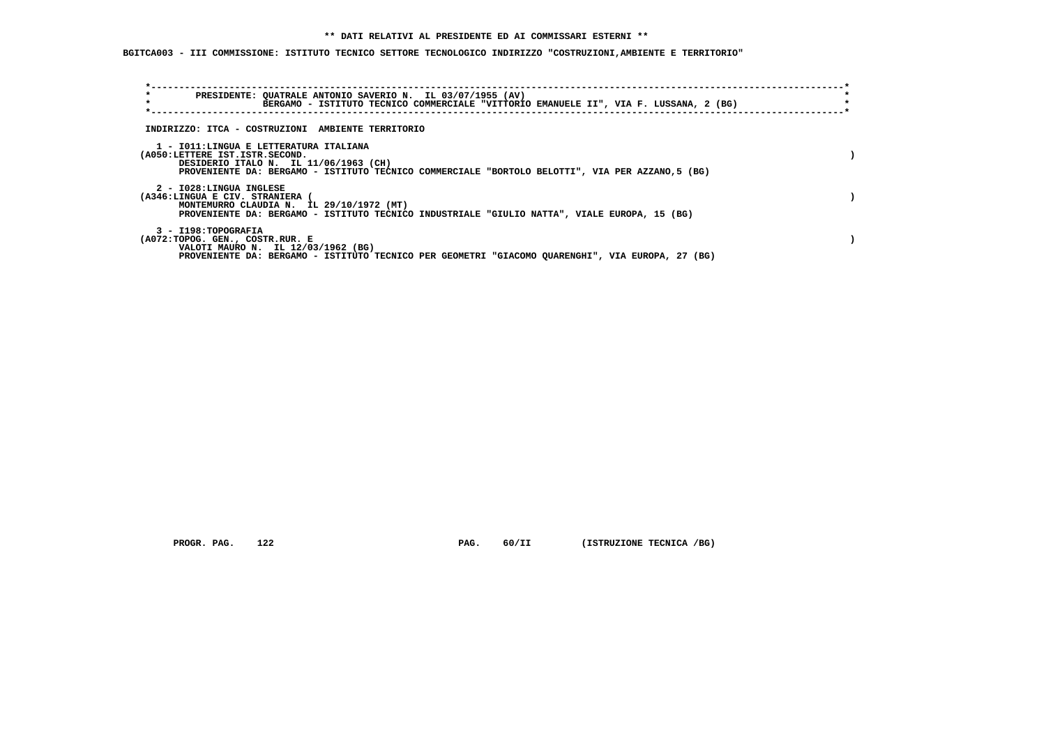## **\*\* DATI RELATIVI AL PRESIDENTE ED AI COMMISSARI ESTERNI \*\***

 **BGITCA003 - III COMMISSIONE: ISTITUTO TECNICO SETTORE TECNOLOGICO INDIRIZZO "COSTRUZIONI,AMBIENTE E TERRITORIO"**

| PRESIDENTE: QUATRALE ANTONIO SAVERIO N. IL 03/07/1955 (AV)<br>$\star$<br>BERGAMO - ISTITUTO TECNICO COMMERCIALE "VITTORIO EMANUELE II", VIA F. LUSSANA, 2 (BG)                                                         |  |
|------------------------------------------------------------------------------------------------------------------------------------------------------------------------------------------------------------------------|--|
| INDIRIZZO: ITCA - COSTRUZIONI AMBIENTE TERRITORIO                                                                                                                                                                      |  |
| 1 - IO11: LINGUA E LETTERATURA ITALIANA<br>(A050:LETTERE IST.ISTR.SECOND.<br>DESIDERIO ITALO N. IL 11/06/1963 (CH)<br>PROVENIENTE DA: BERGAMO - ISTITUTO TECNICO COMMERCIALE "BORTOLO BELOTTI", VIA PER AZZANO, 5 (BG) |  |
| 2 - I028:LINGUA INGLESE<br>(A346:LINGUA E CIV. STRANIERA (<br>MONTEMURRO CLAUDIA N. IL 29/10/1972 (MT)<br>PROVENIENTE DA: BERGAMO - ISTITUTO TECNICO INDUSTRIALE "GIULIO NATTA", VIALE EUROPA, 15 (BG)                 |  |
| 3 - I198: TOPOGRAFIA<br>(A072:TOPOG. GEN., COSTR.RUR. E<br>VALOTI MAURO N. IL 12/03/1962 (BG)<br>PROVENIENTE DA: BERGAMO - ISTITUTO TECNICO PER GEOMETRI "GIACOMO OUARENGHI", VIA EUROPA, 27 (BG)                      |  |

 **PROGR. PAG.** 122 **PAG.** 60/II (ISTRUZIONE TECNICA /BG)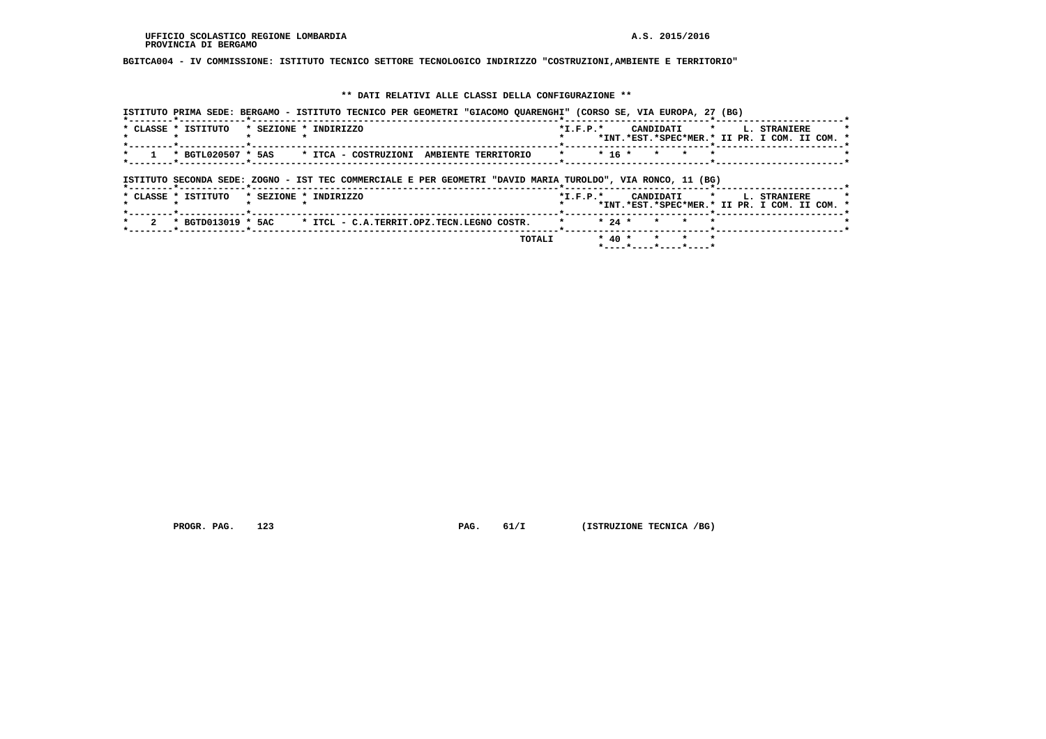**BGITCA004 - IV COMMISSIONE: ISTITUTO TECNICO SETTORE TECNOLOGICO INDIRIZZO "COSTRUZIONI,AMBIENTE E TERRITORIO"**

## **\*\* DATI RELATIVI ALLE CLASSI DELLA CONFIGURAZIONE \*\***

| ISTITUTO PRIMA SEDE: BERGAMO - ISTITUTO TECNICO PER GEOMETRI "GIACOMO QUARENGHI" (CORSO SE, VIA EUROPA, 27 (BG) |                                                                                                |
|-----------------------------------------------------------------------------------------------------------------|------------------------------------------------------------------------------------------------|
| * CLASSE * ISTITUTO<br>* SEZIONE * INDIRIZZO                                                                    | CANDIDATI *<br>$*$ I.F.P. $*$<br>L. STRANIERE<br>*INT.*EST.*SPEC*MER.* II PR. I COM. II COM. * |
| * BGTL020507 * 5AS<br>* ITCA - COSTRUZIONI AMBIENTE TERRITORIO                                                  | $* 16 *$<br>$\star$                                                                            |
| ISTITUTO SECONDA SEDE: ZOGNO - IST TEC COMMERCIALE E PER GEOMETRI "DAVID MARIA TUROLDO", VIA RONCO, 11 (BG)     |                                                                                                |
| * SEZIONE * INDIRIZZO<br>* CLASSE * ISTITUTO                                                                    | $*$ I.F.P. $*$<br>CANDIDATI *<br>L. STRANIERE<br>*INT.*EST.*SPEC*MER.* II PR. I COM. II COM. * |
|                                                                                                                 |                                                                                                |
| * BGTD013019 * 5AC * ITCL - C.A.TERRIT.OPZ.TECN.LEGNO COSTR.                                                    | $* 24 *$<br>$\star$<br>$\star$                                                                 |

 **PROGR. PAG.** 123 **PAG.** 61/I (ISTRUZIONE TECNICA /BG)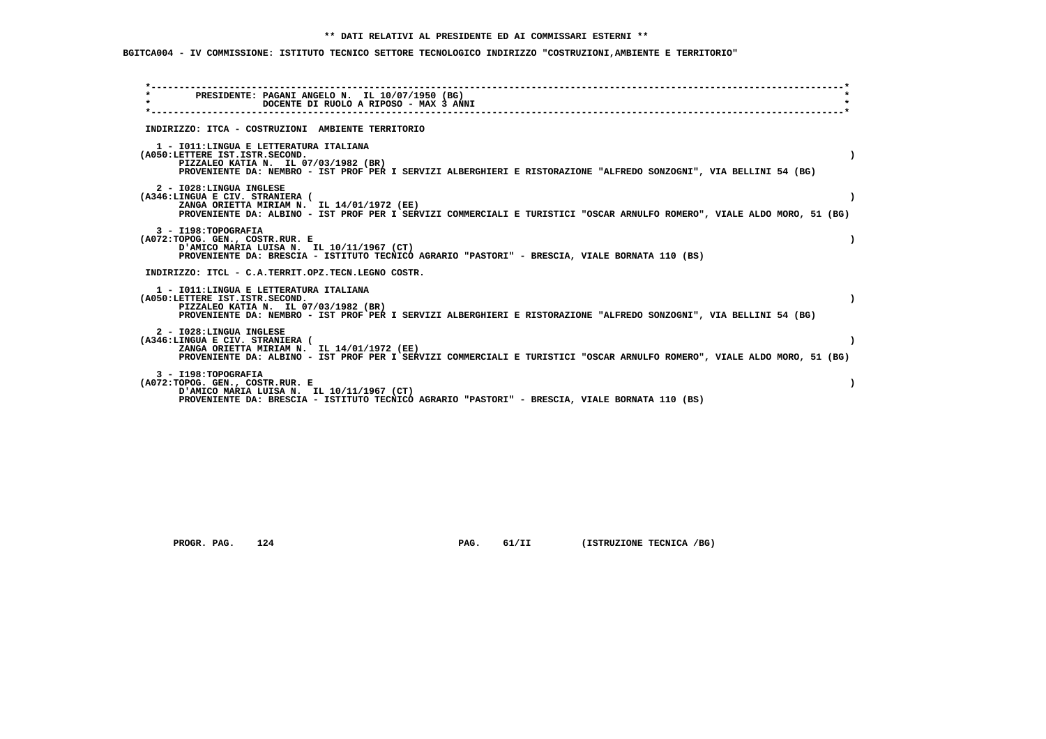# **BGITCA004 - IV COMMISSIONE: ISTITUTO TECNICO SETTORE TECNOLOGICO INDIRIZZO "COSTRUZIONI,AMBIENTE E TERRITORIO"**

| $\star$ | PRESIDENTE: PAGANI ANGELO N. IL 10/07/1950 (BG)                                                                                                                                                                                         |           |
|---------|-----------------------------------------------------------------------------------------------------------------------------------------------------------------------------------------------------------------------------------------|-----------|
|         | DOCENTE DI RUOLO A RIPOSO - MAX 3 ANNI                                                                                                                                                                                                  |           |
|         | INDIRIZZO: ITCA - COSTRUZIONI AMBIENTE TERRITORIO                                                                                                                                                                                       |           |
|         | 1 - IO11: LINGUA E LETTERATURA ITALIANA<br>(A050:LETTERE IST.ISTR.SECOND.<br>PIZZALEO KATIA N. IL 07/03/1982 (BR)<br>PROVENIENTE DA: NEMBRO - IST PROF PER I SERVIZI ALBERGHIERI E RISTORAZIONE "ALFREDO SONZOGNI", VIA BELLINI 54 (BG) |           |
|         | 2 - I028:LINGUA INGLESE<br>(A346:LINGUA E CIV. STRANIERA (<br>ZANGA ORIETTA MIRIAM N. IL 14/01/1972 (EE)<br>PROVENIENTE DA: ALBINO - IST PROF PER I SERVIZI COMMERCIALI E TURISTICI "OSCAR ARNULFO ROMERO", VIALE ALDO MORO, 51 (BG)    |           |
|         | 3 - I198: TOPOGRAFIA<br>(A072:TOPOG. GEN., COSTR.RUR. E<br>D'AMICO MARIA LUISA N. IL 10/11/1967 (CT)<br>PROVENIENTE DA: BRESCIA - ISTITUTO TECNICO AGRARIO "PASTORI" - BRESCIA, VIALE BORNATA 110 (BS)                                  |           |
|         | INDIRIZZO: ITCL - C.A.TERRIT.OPZ.TECN.LEGNO COSTR.                                                                                                                                                                                      |           |
|         | 1 - IO11: LINGUA E LETTERATURA ITALIANA<br>(A050:LETTERE IST.ISTR.SECOND.<br>PIZZALEO KATIA N. IL 07/03/1982 (BR)<br>PROVENIENTE DA: NEMBRO - IST PROF PER I SERVIZI ALBERGHIERI E RISTORAZIONE "ALFREDO SONZOGNI", VIA BELLINI 54 (BG) | $\lambda$ |
|         | 2 - I028:LINGUA INGLESE<br>(A346:LINGUA E CIV. STRANIERA (<br>ZANGA ORIETTA MIRIAM N. IL 14/01/1972 (EE)<br>PROVENIENTE DA: ALBINO - IST PROF PER I SERVIZI COMMERCIALI E TURISTICI "OSCAR ARNULFO ROMERO", VIALE ALDO MORO, 51 (BG)    |           |
|         | 3 - I198: TOPOGRAFIA<br>(A072:TOPOG. GEN., COSTR.RUR. E<br>D'AMICO MARIA LUISA N. IL 10/11/1967 (CT)<br>PROVENIENTE DA: BRESCIA - ISTITUTO TECNICO AGRARIO "PASTORI" - BRESCIA, VIALE BORNATA 110 (BS)                                  |           |

 **PROGR. PAG.** 124 **PAG.** 61/II (ISTRUZIONE TECNICA /BG)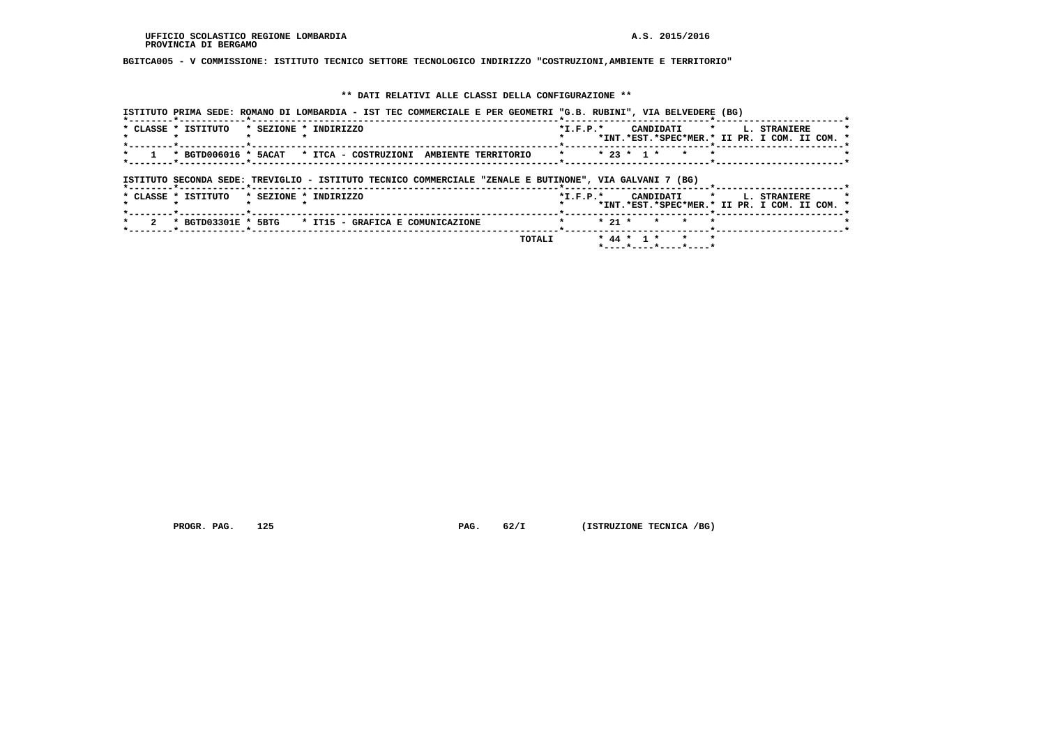**BGITCA005 - V COMMISSIONE: ISTITUTO TECNICO SETTORE TECNOLOGICO INDIRIZZO "COSTRUZIONI,AMBIENTE E TERRITORIO"**

## **\*\* DATI RELATIVI ALLE CLASSI DELLA CONFIGURAZIONE \*\***

| ISTITUTO PRIMA SEDE: ROMANO DI LOMBARDIA - IST TEC COMMERCIALE E PER GEOMETRI "G.B. RUBINI", VIA BELVEDERE (BG) |                                                                                                                     |
|-----------------------------------------------------------------------------------------------------------------|---------------------------------------------------------------------------------------------------------------------|
| * CLASSE * ISTITUTO<br>* SEZIONE * INDIRIZZO                                                                    | CANDIDATI *<br><b>L. STRANIERE</b><br>$*$ I.F.P. $*$<br>*INT.*EST.*SPEC*MER.* II PR. I COM. II COM. *               |
| * BGTD006016 * 5ACAT * ITCA - COSTRUZIONI AMBIENTE TERRITORIO                                                   | * * 23 * 1 * * * *                                                                                                  |
| ISTITUTO SECONDA SEDE: TREVIGLIO - ISTITUTO TECNICO COMMERCIALE "ZENALE E BUTINONE", VIA GALVANI 7 (BG)         |                                                                                                                     |
| * SEZIONE * INDIRIZZO<br>* CLASSE * ISTITUTO                                                                    | *I.F.P.* CANDIDATI *<br><b>L. STRANIERE</b><br>*INT.*EST.*SPEC*MER.* II PR. I COM. II COM. *<br>----*-------------- |
| * BGTD03301E * 5BTG<br>* IT15 - GRAFICA E COMUNICAZIONE                                                         | $* 21 * * * * * *$<br>$\star$                                                                                       |
|                                                                                                                 | * 44 * 1 * * * *<br>TOTALI                                                                                          |

 **PROGR. PAG.** 125 **PAG.** 62/I (ISTRUZIONE TECNICA /BG)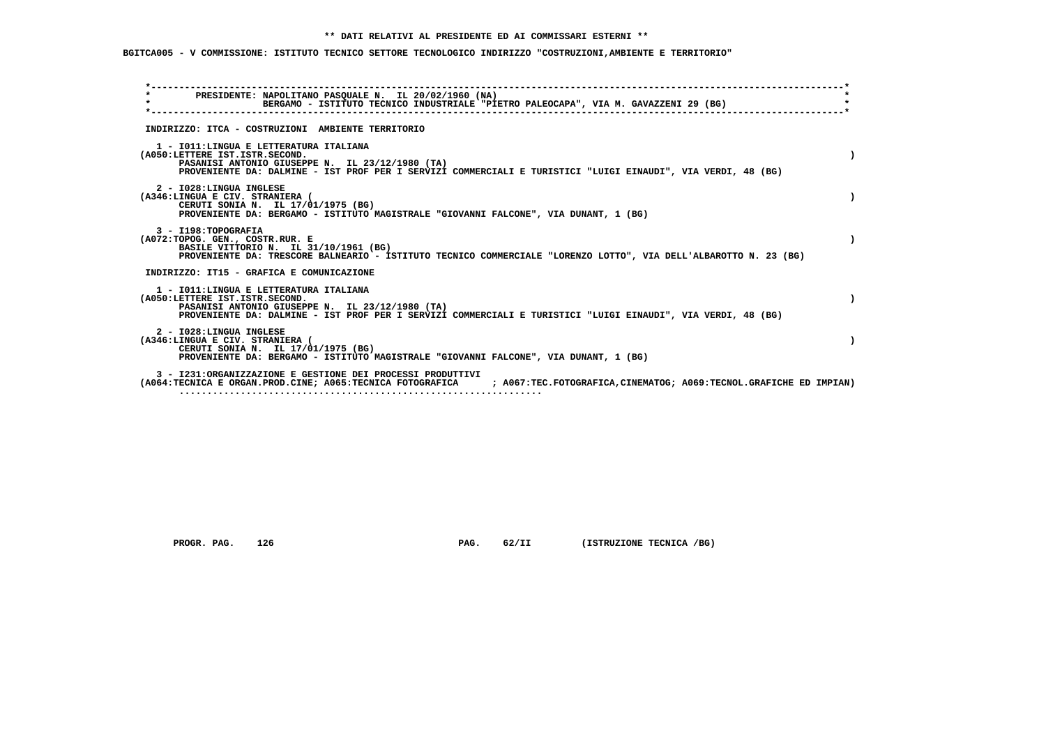# **BGITCA005 - V COMMISSIONE: ISTITUTO TECNICO SETTORE TECNOLOGICO INDIRIZZO "COSTRUZIONI,AMBIENTE E TERRITORIO"**

| PRESIDENTE: NAPOLITANO PASQUALE N. IL 20/02/1960 (NA)<br>$\star$<br>BERGAMO - ISTITUTO TECNICO INDUSTRIALE "PIETRO PALEOCAPA", VIA M. GAVAZZENI 29 (BG)                                                                                      |  |
|----------------------------------------------------------------------------------------------------------------------------------------------------------------------------------------------------------------------------------------------|--|
| INDIRIZZO: ITCA - COSTRUZIONI AMBIENTE TERRITORIO                                                                                                                                                                                            |  |
| 1 - IO11: LINGUA E LETTERATURA ITALIANA<br>(A050:LETTERE IST.ISTR.SECOND.<br>PASANISI ANTONIO GIUSEPPE N. IL 23/12/1980 (TA)<br>PROVENIENTE DA: DALMINE - IST PROF PER I SERVIZI COMMERCIALI E TURISTICI "LUIGI EINAUDI", VIA VERDI, 48 (BG) |  |
| 2 - I028:LINGUA INGLESE<br>(A346:LINGUA E CIV. STRANIERA (<br>CERUTI SONIA N. IL 17/01/1975 (BG)<br>PROVENIENTE DA: BERGAMO - ISTITUTO MAGISTRALE "GIOVANNI FALCONE", VIA DUNANT, 1 (BG)                                                     |  |
| 3 - I198: TOPOGRAFIA<br>(A072:TOPOG. GEN., COSTR.RUR. E<br>BASILE VITTORIO N. IL 31/10/1961 (BG)<br>PROVENIENTE DA: TRESCORE BALNEARIO - ISTITUTO TECNICO COMMERCIALE "LORENZO LOTTO", VIA DELL'ALBAROTTO N. 23 (BG)                         |  |
| INDIRIZZO: IT15 - GRAFICA E COMUNICAZIONE                                                                                                                                                                                                    |  |
| 1 - IO11: LINGUA E LETTERATURA ITALIANA<br>(A050:LETTERE IST.ISTR.SECOND.<br>PASANISI ANTONIO GIUSEPPE N. IL 23/12/1980 (TA)<br>PROVENIENTE DA: DALMINE - IST PROF PER I SERVIZI COMMERCIALI E TURISTICI "LUIGI EINAUDI", VIA VERDI, 48 (BG) |  |
| 2 - I028:LINGUA INGLESE<br>(A346:LINGUA E CIV. STRANIERA (<br>CERUTI SONIA N. IL 17/01/1975 (BG)<br>PROVENIENTE DA: BERGAMO - ISTITUTO MAGISTRALE "GIOVANNI FALCONE", VIA DUNANT, 1 (BG)                                                     |  |
| 3 - I231:ORGANIZZAZIONE E GESTIONE DEI PROCESSI PRODUTTIVI<br>(A064:TECNICA E ORGAN.PROD.CINE; A065:TECNICA FOTOGRAFICA ; A067:TEC.FOTOGRAFICA,CINEMATOG; A069:TECNOL.GRAFICHE ED IMPIAN)                                                    |  |

 **PROGR. PAG.** 126 **PAG.** 62/II (ISTRUZIONE TECNICA /BG)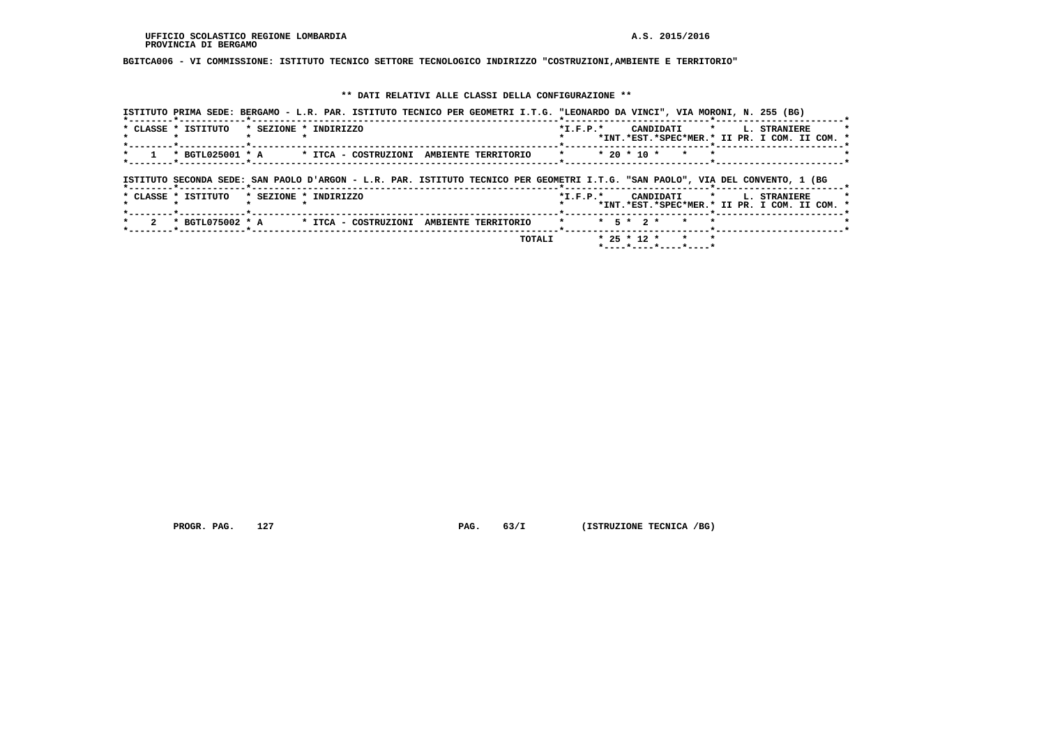**BGITCA006 - VI COMMISSIONE: ISTITUTO TECNICO SETTORE TECNOLOGICO INDIRIZZO "COSTRUZIONI,AMBIENTE E TERRITORIO"**

## **\*\* DATI RELATIVI ALLE CLASSI DELLA CONFIGURAZIONE \*\***

| ISTITUTO PRIMA SEDE: BERGAMO - L.R. PAR. ISTITUTO TECNICO PER GEOMETRI I.T.G. "LEONARDO DA VINCI", VIA MORONI, N. 255 (BG)                                      |                                                           |        |                    |                                                |                                                                                    |
|-----------------------------------------------------------------------------------------------------------------------------------------------------------------|-----------------------------------------------------------|--------|--------------------|------------------------------------------------|------------------------------------------------------------------------------------|
| * CLASSE * ISTITUTO                                                                                                                                             | * SEZIONE * INDIRIZZO                                     |        |                    |                                                | *I.F.P.* CANDIDATI * L. STRANIERE<br>*INT.*EST.*SPEC*MER.* II PR. I COM. II COM. * |
|                                                                                                                                                                 | * BGTL025001 * A * ITCA - COSTRUZIONI AMBIENTE TERRITORIO |        | $\mathbf{r}$       | $* 20 * 10 *$                                  |                                                                                    |
| ISTITUTO SECONDA SEDE: SAN PAOLO D'ARGON - L.R. PAR. ISTITUTO TECNICO PER GEOMETRI I.T.G. "SAN PAOLO", VIA DEL CONVENTO, 1 (BG<br>*--------*------------*------ |                                                           |        | -*---------------- |                                                |                                                                                    |
| * CLASSE * ISTITUTO * SEZIONE * INDIRIZZO                                                                                                                       |                                                           |        |                    |                                                | *I.F.P.* CANDIDATI * L. STRANIERE<br>*INT.*EST.*SPEC*MER.* II PR. I COM. II COM. * |
|                                                                                                                                                                 | * BGTL075002 * A * ITCA - COSTRUZIONI AMBIENTE TERRITORIO |        | $\star$            | $*$ 5 $*$ 2 $*$<br>$\mathbf{r}$                |                                                                                    |
|                                                                                                                                                                 |                                                           | TOTALI |                    | $* 25 * 12 * * * * *$<br>*----*----*----*----* |                                                                                    |

 **PROGR. PAG.** 127 **PAG.** 63/I (ISTRUZIONE TECNICA /BG)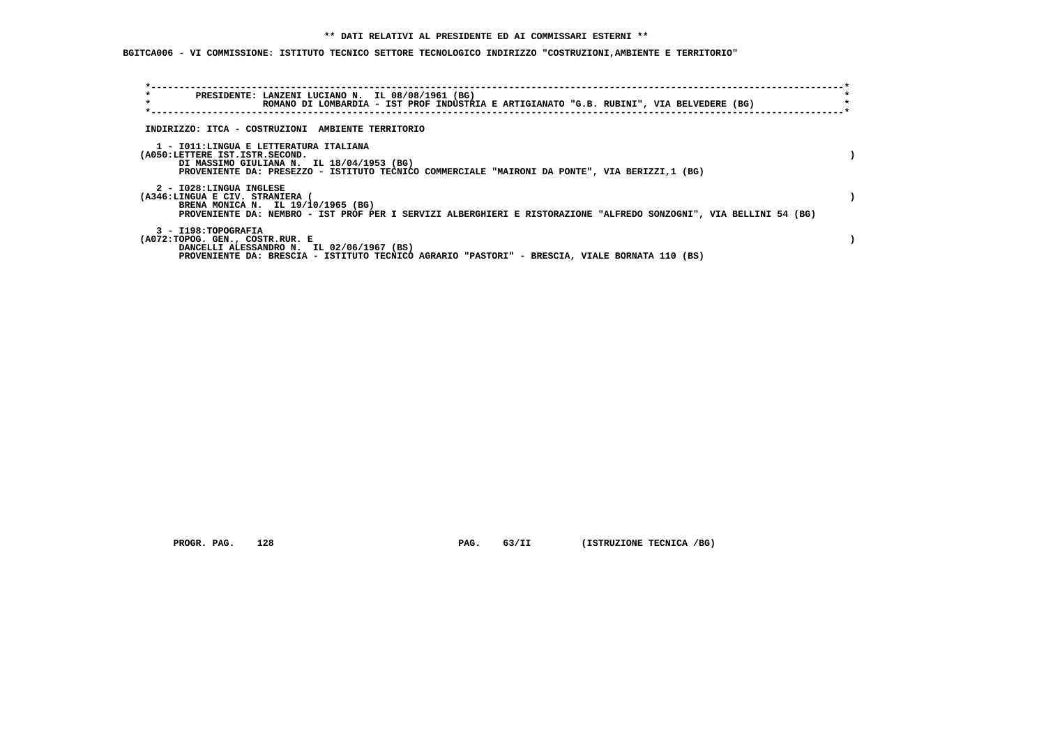**BGITCA006 - VI COMMISSIONE: ISTITUTO TECNICO SETTORE TECNOLOGICO INDIRIZZO "COSTRUZIONI,AMBIENTE E TERRITORIO"**

| *<br>PRESIDENTE: LANZENI LUCIANO N. IL 08/08/1961 (BG)<br>$\star$                                                                                        |  |
|----------------------------------------------------------------------------------------------------------------------------------------------------------|--|
| ROMANO DI LOMBARDIA - IST PROF INDUSTRIA E ARTIGIANATO "G.B. RUBINI", VIA BELVEDERE (BG)                                                                 |  |
|                                                                                                                                                          |  |
| INDIRIZZO: ITCA - COSTRUZIONI AMBIENTE TERRITORIO                                                                                                        |  |
|                                                                                                                                                          |  |
| 1 - IO11:LINGUA E LETTERATURA ITALIANA<br>(A050:LETTERE IST.ISTR.SECOND.                                                                                 |  |
| DI MASSIMO GIULIANA N. IL 18/04/1953 (BG)                                                                                                                |  |
| PROVENIENTE DA: PRESEZZO - ISTITUTO TECNICO COMMERCIALE "MAIRONI DA PONTE", VIA BERIZZI,1 (BG)                                                           |  |
|                                                                                                                                                          |  |
| 2 - I028:LINGUA INGLESE                                                                                                                                  |  |
| (A346:LINGUA E CIV. STRANIERA (                                                                                                                          |  |
| BRENA MONICA N. IL 19/10/1965 (BG)<br>PROVENIENTE DA: NEMBRO - IST PROF PER I SERVIZI ALBERGHIERI E RISTORAZIONE "ALFREDO SONZOGNI", VIA BELLINI 54 (BG) |  |
|                                                                                                                                                          |  |
| 3 - I198: TOPOGRAFIA                                                                                                                                     |  |
| (A072:TOPOG. GEN., COSTR.RUR. E                                                                                                                          |  |
| DANCELLI ALESSANDRO N. IL 02/06/1967 (BS)                                                                                                                |  |
| PROVENIENTE DA: BRESCIA - ISTITUTO TECNICO AGRARIO "PASTORI" - BRESCIA, VIALE BORNATA 110 (BS)                                                           |  |

 **PROGR. PAG.** 128 **PAG.** 63/II (ISTRUZIONE TECNICA /BG)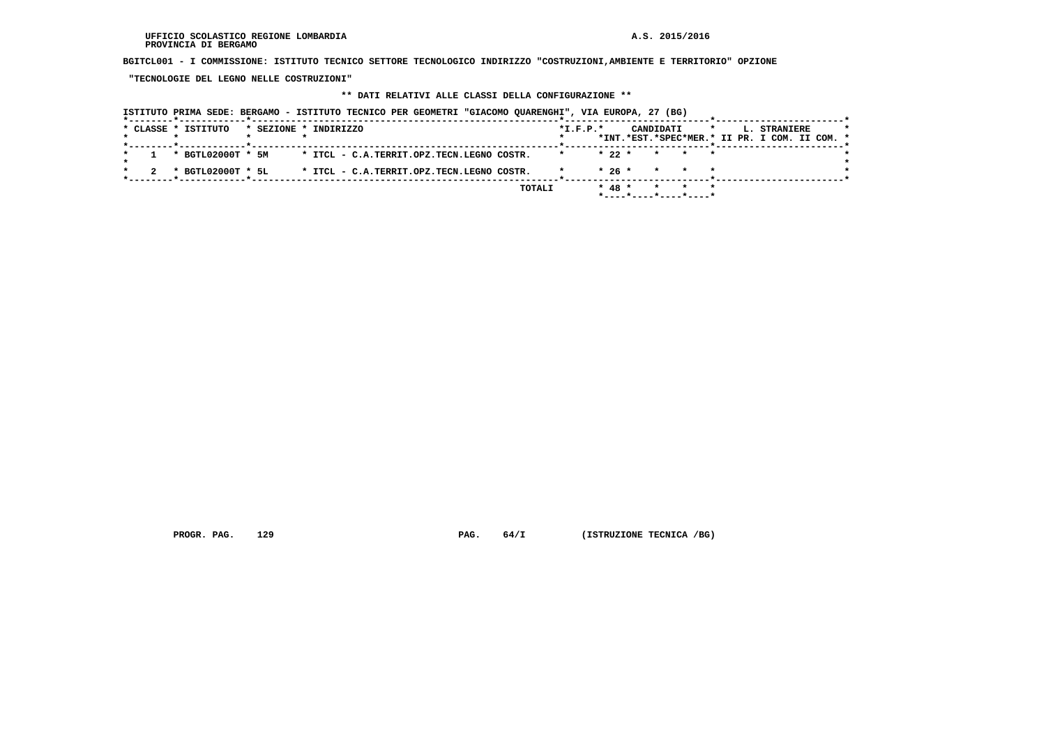**BGITCL001 - I COMMISSIONE: ISTITUTO TECNICO SETTORE TECNOLOGICO INDIRIZZO "COSTRUZIONI,AMBIENTE E TERRITORIO" OPZIONE**

 **"TECNOLOGIE DEL LEGNO NELLE COSTRUZIONI"**

## **\*\* DATI RELATIVI ALLE CLASSI DELLA CONFIGURAZIONE \*\***

|  |  |                     |                       |  |  |                                           | ISTITUTO PRIMA SEDE: BERGAMO - ISTITUTO TECNICO PER GEOMETRI "GIACOMO QUARENGHI", VIA EUROPA, 27 (BG) |            |          |  |                 |                          |              |                                                               |  |  |
|--|--|---------------------|-----------------------|--|--|-------------------------------------------|-------------------------------------------------------------------------------------------------------|------------|----------|--|-----------------|--------------------------|--------------|---------------------------------------------------------------|--|--|
|  |  | * CLASSE * ISTITUTO | * SEZIONE * INDIRIZZO |  |  |                                           |                                                                                                       | $*L.F.P.*$ |          |  | CANDIDATI       |                          | $\mathbf{r}$ | L. STRANIERE<br>*INT.*EST.*SPEC*MER.* II PR. I COM. II COM. * |  |  |
|  |  | * BGTL02000T * 5M   |                       |  |  | * ITCL - C.A.TERRIT.OPZ.TECN.LEGNO COSTR. |                                                                                                       |            | $* 22 *$ |  |                 | * * *                    |              |                                                               |  |  |
|  |  | * BGTL02000T * 5L   |                       |  |  | * ITCL - C.A.TERRIT.OPZ.TECN.LEGNO COSTR. |                                                                                                       |            | $*26*$   |  | $\star$ $\star$ |                          |              |                                                               |  |  |
|  |  |                     |                       |  |  |                                           | TOTALI                                                                                                |            | $* 48 *$ |  |                 | $*$ ----*----*----*----* |              |                                                               |  |  |

 **PROGR. PAG. 129 PAG. 64/I (ISTRUZIONE TECNICA /BG)**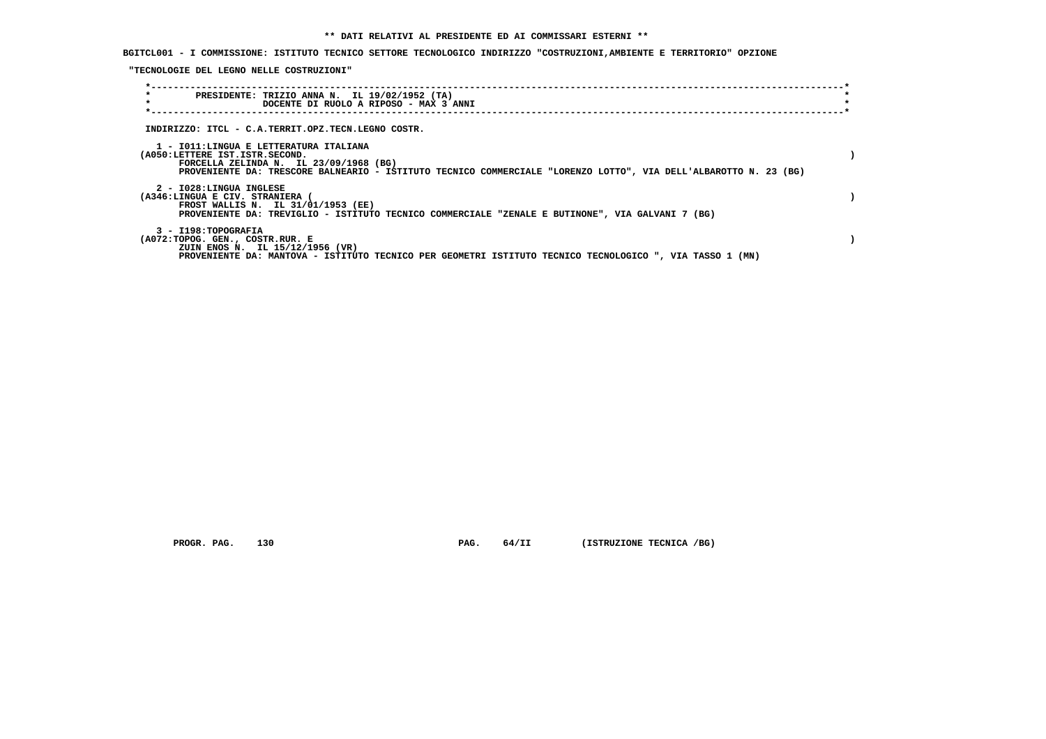## **BGITCL001 - I COMMISSIONE: ISTITUTO TECNICO SETTORE TECNOLOGICO INDIRIZZO "COSTRUZIONI,AMBIENTE E TERRITORIO" OPZIONE**

 **"TECNOLOGIE DEL LEGNO NELLE COSTRUZIONI"**

| $\star$<br>PRESIDENTE: TRIZIO ANNA N. IL 19/02/1952 (TA)                                                         |  |
|------------------------------------------------------------------------------------------------------------------|--|
| $\star$<br>DOCENTE DI RUOLO A RIPOSO - MAX 3 ANNI                                                                |  |
|                                                                                                                  |  |
|                                                                                                                  |  |
| INDIRIZZO: ITCL - C.A.TERRIT.OPZ.TECN.LEGNO COSTR.                                                               |  |
| 1 - IO11:LINGUA E LETTERATURA ITALIANA                                                                           |  |
| (A050:LETTERE IST.ISTR.SECOND.                                                                                   |  |
| FORCELLA ZELINDA N. IL $23/09/1968$ (BG)                                                                         |  |
| PROVENIENTE DA: TRESCORE BALNEARIO - ISTITUTO TECNICO COMMERCIALE "LORENZO LOTTO", VIA DELL'ALBAROTTO N. 23 (BG) |  |
|                                                                                                                  |  |
| 2 - I028:LINGUA INGLESE<br>(A346:LINGUA E CIV. STRANIERA (                                                       |  |
| FROST WALLIS N. IL 31/01/1953 (EE)                                                                               |  |
| PROVENIENTE DA: TREVIGLIO - ISTITUTO TECNICO COMMERCIALE "ZENALE E BUTINONE", VIA GALVANI 7 (BG)                 |  |
|                                                                                                                  |  |
| 3 - I198: TOPOGRAFIA                                                                                             |  |
| (A072:TOPOG. GEN., COSTR.RUR. E                                                                                  |  |
| ZUIN ENOS N. IL 15/12/1956 (VR)                                                                                  |  |
| PROVENIENTE DA: MANTOVA - ISTITUTO TECNICO PER GEOMETRI ISTITUTO TECNICO TECNOLOGICO ", VIA TASSO 1 (MN)         |  |

 **PROGR. PAG.** 130 **PAG.** 64/II (ISTRUZIONE TECNICA /BG)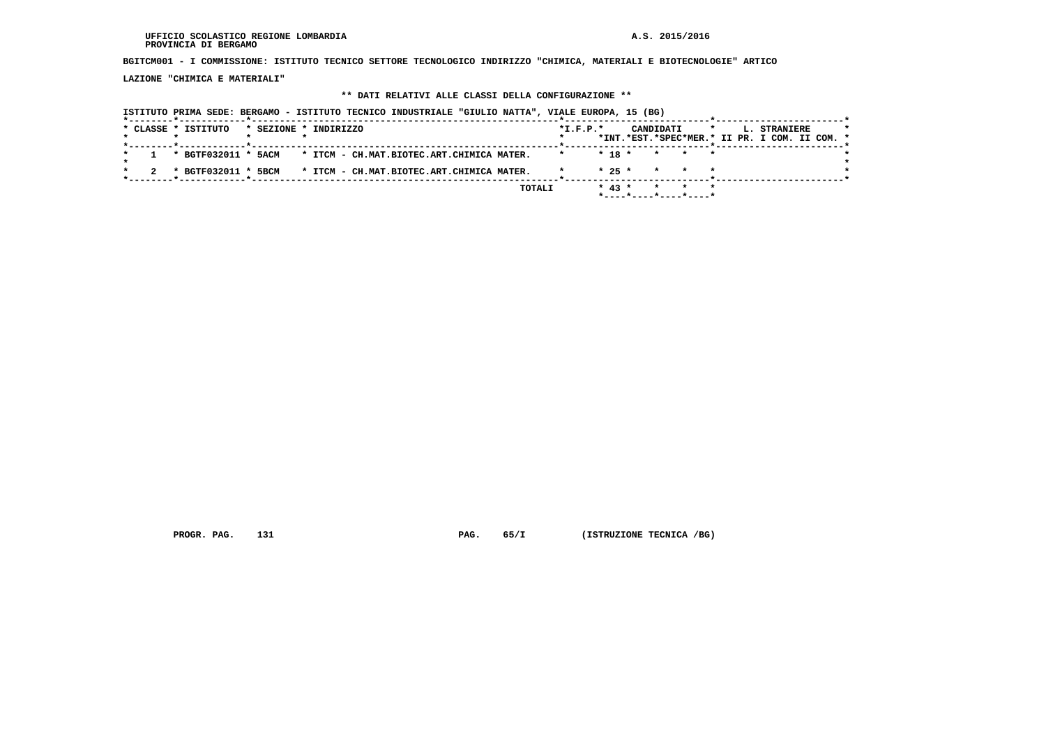#### **UFFICIO SCOLASTICO REGIONE LOMBARDIA A.S. 2015/2016 PROVINCIA DI BERGAMO**

 **BGITCM001 - I COMMISSIONE: ISTITUTO TECNICO SETTORE TECNOLOGICO INDIRIZZO "CHIMICA, MATERIALI E BIOTECNOLOGIE" ARTICO**

 **LAZIONE "CHIMICA E MATERIALI"**

## **\*\* DATI RELATIVI ALLE CLASSI DELLA CONFIGURAZIONE \*\***

|  | ISTITUTO PRIMA SEDE: BERGAMO - ISTITUTO TECNICO INDUSTRIALE "GIULIO NATTA", VIALE EUROPA, 15 (BG) |                       |  |  |                                           |        |                |            |  |           |       |         |  |                                               |  |  |
|--|---------------------------------------------------------------------------------------------------|-----------------------|--|--|-------------------------------------------|--------|----------------|------------|--|-----------|-------|---------|--|-----------------------------------------------|--|--|
|  | * CLASSE * ISTITUTO                                                                               | * SEZIONE * INDIRIZZO |  |  |                                           |        | $*$ I.F.P. $*$ |            |  | CANDIDATI |       | $\star$ |  | L. STRANIERE                                  |  |  |
|  |                                                                                                   |                       |  |  |                                           |        |                |            |  |           |       |         |  | *INT.*EST.*SPEC*MER.* II PR. I COM. II COM. * |  |  |
|  | * BGTF032011 * 5ACM * ITCM - CH.MAT.BIOTEC.ART.CHIMICA MATER.                                     |                       |  |  |                                           |        |                | $*$ 18 $*$ |  |           | * * * |         |  |                                               |  |  |
|  | * BGTF032011 * 5BCM                                                                               |                       |  |  | * ITCM - CH.MAT.BIOTEC.ART.CHIMICA MATER. |        |                | $* 25 *$   |  |           | * * * |         |  |                                               |  |  |
|  |                                                                                                   |                       |  |  |                                           |        |                |            |  |           |       |         |  |                                               |  |  |
|  |                                                                                                   |                       |  |  |                                           | TOTALI |                | $* 43 *$   |  |           | * * * |         |  |                                               |  |  |

 **PROGR. PAG.** 131 **PAG.** 65/I (ISTRUZIONE TECNICA /BG)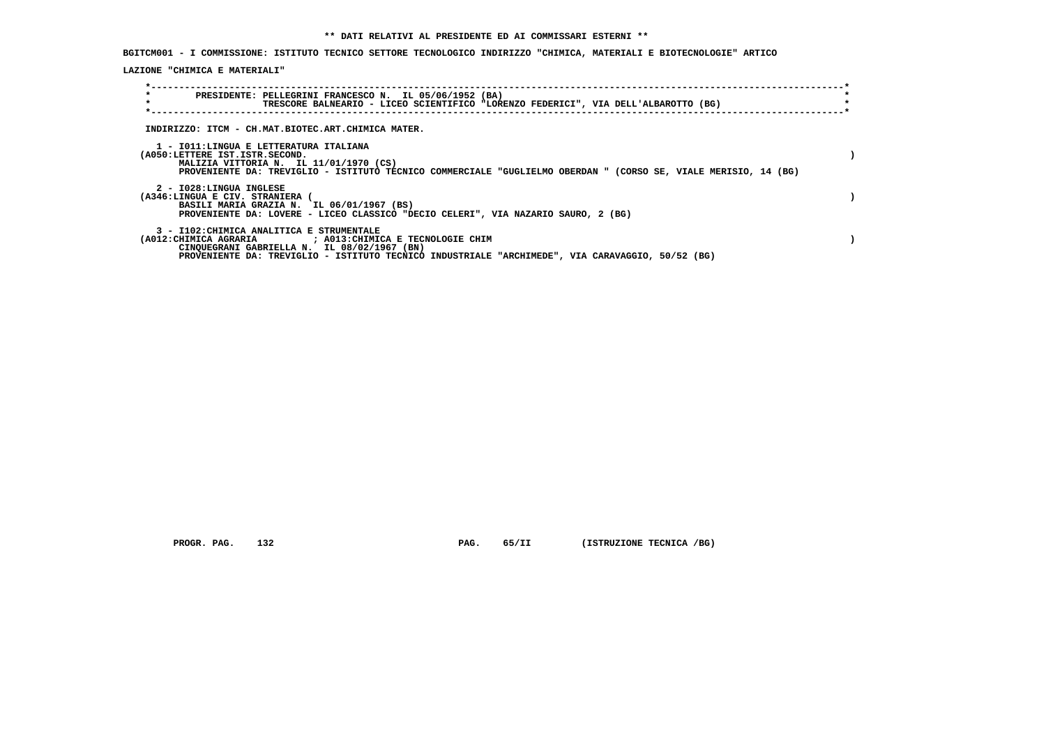**BGITCM001 - I COMMISSIONE: ISTITUTO TECNICO SETTORE TECNOLOGICO INDIRIZZO "CHIMICA, MATERIALI E BIOTECNOLOGIE" ARTICO**

 **LAZIONE "CHIMICA E MATERIALI"**

| $\star$<br>$\star$                                         | PRESIDENTE: PELLEGRINI FRANCESCO N. IL 05/06/1952 (BA)<br>TRESCORE BALNEARIO - LICEO SCIENTIFICO "LORENZO FEDERICI", VIA DELL'ALBAROTTO (BG)                                                                                                               |  |
|------------------------------------------------------------|------------------------------------------------------------------------------------------------------------------------------------------------------------------------------------------------------------------------------------------------------------|--|
|                                                            | INDIRIZZO: ITCM - CH.MAT.BIOTEC.ART.CHIMICA MATER.                                                                                                                                                                                                         |  |
| (A050:LETTERE IST.ISTR.SECOND.                             | 1 - IO11:LINGUA E LETTERATURA ITALIANA<br>MALIZIA VITTORIA N. IL 11/01/1970 (CS)<br>PROVENIENTE DA: TREVIGLIO - ISTITUTO TECNICO COMMERCIALE "GUGLIELMO OBERDAN " (CORSO SE, VIALE MERISIO, 14 (BG)                                                        |  |
| 2 - I028:LINGUA INGLESE<br>(A346:LINGUA E CIV. STRANIERA ( | BASILI MARIA GRAZIA N. IL 06/01/1967 (BS)<br>PROVENIENTE DA: LOVERE - LICEO CLASSICO "DECIO CELERI", VIA NAZARIO SAURO, 2 (BG)                                                                                                                             |  |
|                                                            | 3 - I102: CHIMICA ANALITICA E STRUMENTALE<br>(A012: CHIMICA AGRARIA ) ; A013: CHIMICA E TECNOLOGIE CHIM<br>CINQUEGRANI GABRIELLA N. IL 08/02/1967 (BN)<br>PROVENIENTE DA: TREVIGLIO - ISTITUTO TECNICO INDUSTRIALE "ARCHIMEDE", VIA CARAVAGGIO, 50/52 (BG) |  |

 **PROGR. PAG.** 132 **PAG.** 65/II (ISTRUZIONE TECNICA /BG)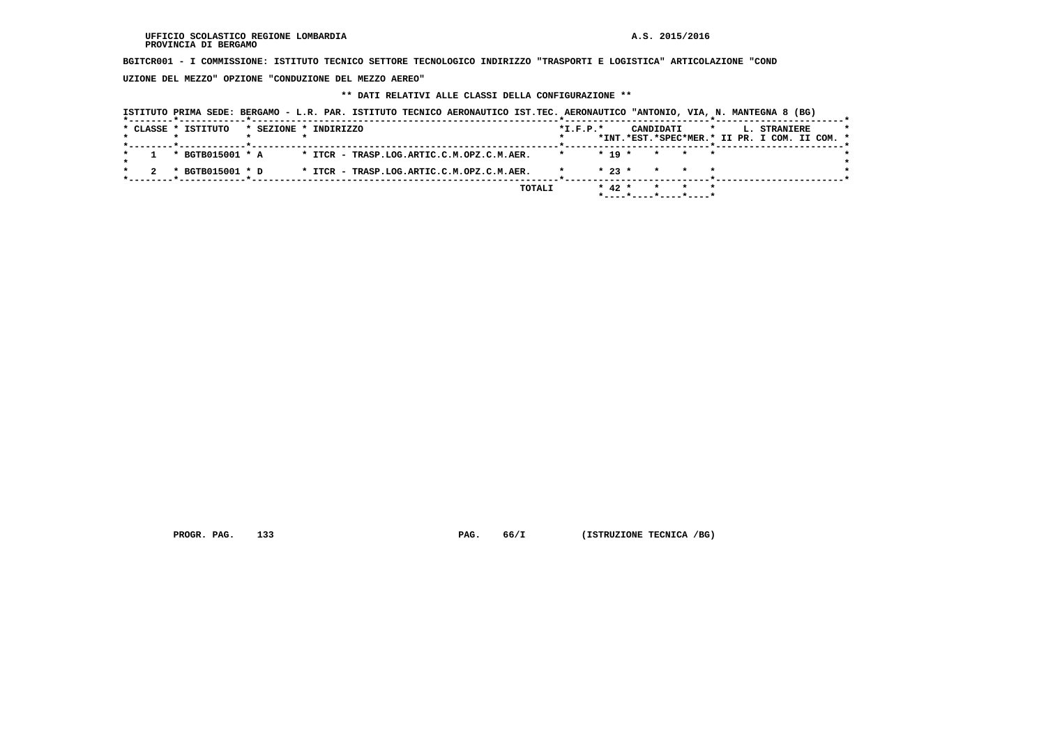**BGITCR001 - I COMMISSIONE: ISTITUTO TECNICO SETTORE TECNOLOGICO INDIRIZZO "TRASPORTI E LOGISTICA" ARTICOLAZIONE "COND**

 **UZIONE DEL MEZZO" OPZIONE "CONDUZIONE DEL MEZZO AEREO"**

## **\*\* DATI RELATIVI ALLE CLASSI DELLA CONFIGURAZIONE \*\***

|                     | ISTITUTO PRIMA SEDE: BERGAMO - L.R. PAR. ISTITUTO TECNICO AERONAUTICO IST.TEC. AERONAUTICO "ANTONIO, VIA, N. MANTEGNA 8 (BG) |            |                     |                                               |
|---------------------|------------------------------------------------------------------------------------------------------------------------------|------------|---------------------|-----------------------------------------------|
| * CLASSE * ISTITUTO | * SEZIONE * INDIRIZZO                                                                                                        | $*I.F.P.*$ | CANDIDATI           | $\star$<br>L. STRANIERE                       |
|                     |                                                                                                                              |            |                     | *INT.*EST.*SPEC*MER.* II PR. I COM. II COM. * |
| * BGTB015001 * A    | * ITCR - TRASP.LOG.ARTIC.C.M.OPZ.C.M.AER.                                                                                    |            | $* 19 *$<br>* * *   |                                               |
| * BGTB015001 * D    | * ITCR - TRASP.LOG.ARTIC.C.M.OPZ.C.M.AER.                                                                                    |            | $*23*$<br>$\star$   |                                               |
|                     |                                                                                                                              | TOTALI     | $* 42 *$<br>$\star$ |                                               |
|                     |                                                                                                                              |            |                     |                                               |

 **PROGR. PAG.** 133 **PAG.** 66/I (ISTRUZIONE TECNICA /BG)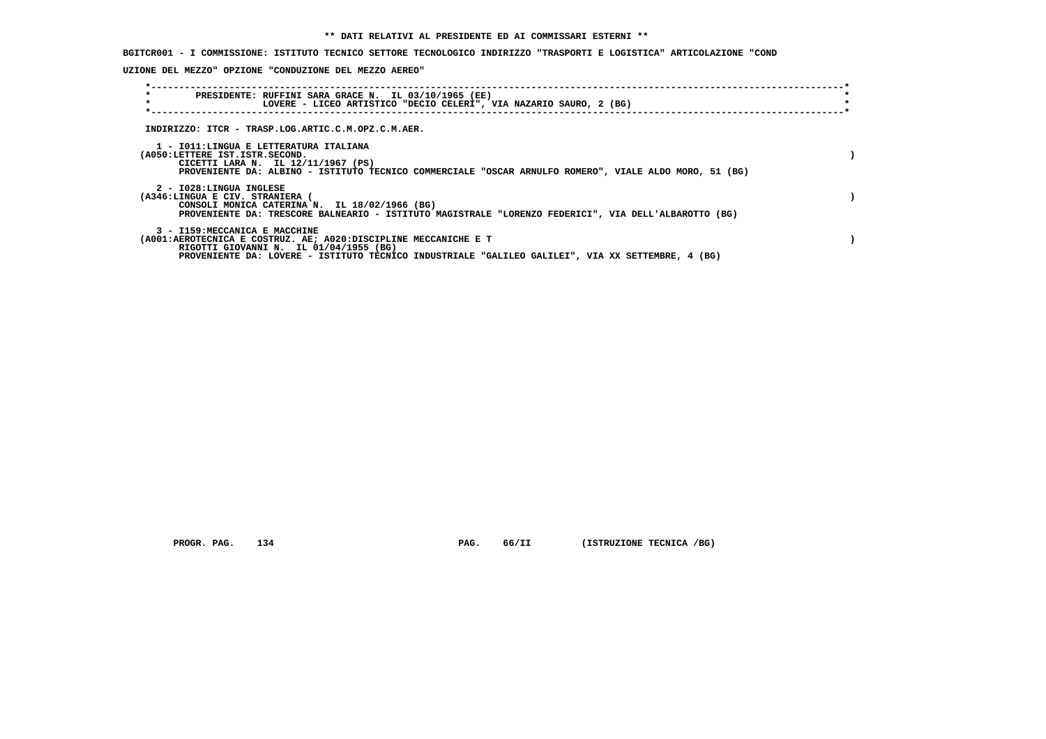**BGITCR001 - I COMMISSIONE: ISTITUTO TECNICO SETTORE TECNOLOGICO INDIRIZZO "TRASPORTI E LOGISTICA" ARTICOLAZIONE "COND**

 **UZIONE DEL MEZZO" OPZIONE "CONDUZIONE DEL MEZZO AEREO"**

| $\star$<br>PRESIDENTE: RUFFINI SARA GRACE N. IL 03/10/1965 (EE)<br>$\star$<br>LOVERE - LICEO ARTISTICO "DECIO CELERI", VIA NAZARIO SAURO, 2 (BG)                                                                                                |  |
|-------------------------------------------------------------------------------------------------------------------------------------------------------------------------------------------------------------------------------------------------|--|
| INDIRIZZO: ITCR - TRASP.LOG.ARTIC.C.M.OPZ.C.M.AER.                                                                                                                                                                                              |  |
| 1 - IO11:LINGUA E LETTERATURA ITALIANA<br>(A050:LETTERE IST.ISTR.SECOND.<br>CICETTI LARA N. IL 12/11/1967 (PS)<br>PROVENIENTE DA: ALBINO - ISTITUTO TECNICO COMMERCIALE "OSCAR ARNULFO ROMERO", VIALE ALDO MORO, 51 (BG)                        |  |
| 2 - I028:LINGUA INGLESE<br>(A346:LINGUA E CIV. STRANIERA (<br>CONSOLI MONICA CATERINA N. IL 18/02/1966 (BG)<br>PROVENIENTE DA: TRESCORE BALNEARIO - ISTITUTO MAGISTRALE "LORENZO FEDERICI", VIA DELL'ALBAROTTO (BG)                             |  |
| 3 - I159:MECCANICA E MACCHINE<br>(A001:AEROTECNICA E COSTRUZ. AE; A020:DISCIPLINE MECCANICHE E T<br>RIGOTTI GIOVANNI N. IL 01/04/1955 (BG)<br>PROVENIENTE DA: LOVERE - ISTITUTO TECNICO INDUSTRIALE "GALILEO GALILEI", VIA XX SETTEMBRE, 4 (BG) |  |

 **PROGR. PAG.** 134 **PAG.** 66/II (ISTRUZIONE TECNICA /BG)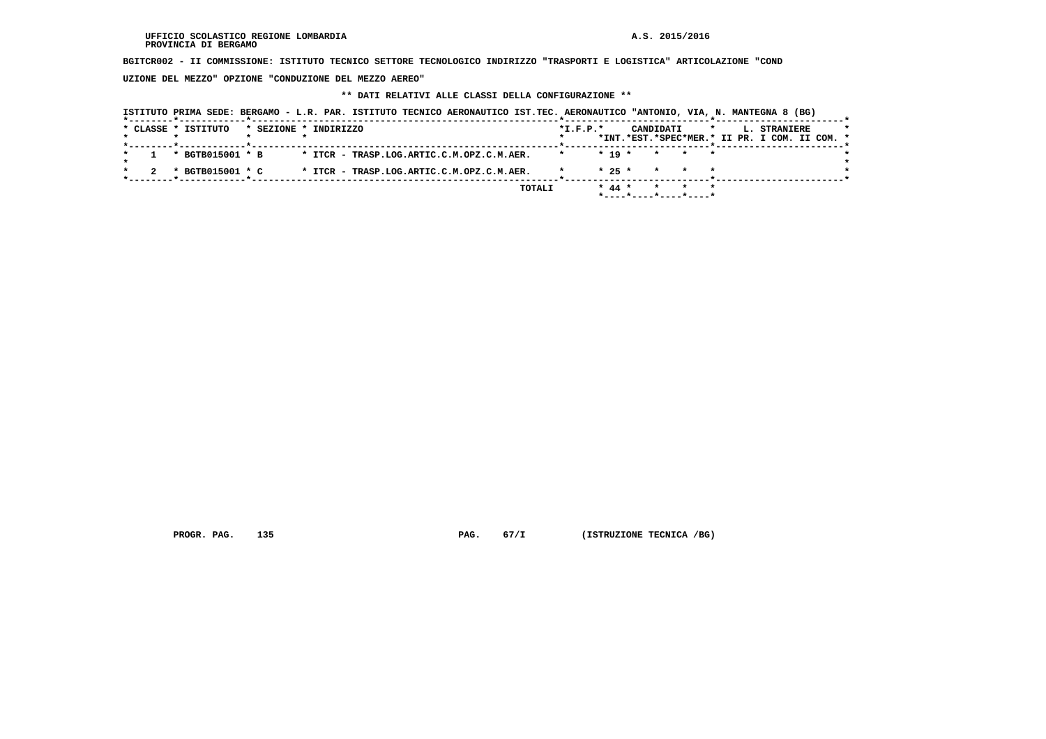**BGITCR002 - II COMMISSIONE: ISTITUTO TECNICO SETTORE TECNOLOGICO INDIRIZZO "TRASPORTI E LOGISTICA" ARTICOLAZIONE "COND**

 **UZIONE DEL MEZZO" OPZIONE "CONDUZIONE DEL MEZZO AEREO"**

## **\*\* DATI RELATIVI ALLE CLASSI DELLA CONFIGURAZIONE \*\***

|                     |                  |                       | ISTITUTO PRIMA SEDE: BERGAMO - L.R. PAR. ISTITUTO TECNICO AERONAUTICO IST.TEC. AERONAUTICO "ANTONIO, VIA, N. MANTEGNA 8 (BG) |        |                |          |           |         |                                               |  |
|---------------------|------------------|-----------------------|------------------------------------------------------------------------------------------------------------------------------|--------|----------------|----------|-----------|---------|-----------------------------------------------|--|
| * CLASSE * ISTITUTO |                  | * SEZIONE * INDIRIZZO |                                                                                                                              |        | $*$ I.F.P. $*$ |          | CANDIDATI | $\star$ | L. STRANIERE                                  |  |
|                     |                  |                       |                                                                                                                              |        |                |          |           |         | *INT.*EST.*SPEC*MER.* II PR. I COM. II COM. * |  |
|                     | * BGTB015001 * B |                       | * ITCR - TRASP.LOG.ARTIC.C.M.OPZ.C.M.AER.                                                                                    |        |                | $* 19 *$ | * * *     |         |                                               |  |
|                     | * BGTB015001 * C |                       | * ITCR - TRASP.LOG.ARTIC.C.M.OPZ.C.M.AER.                                                                                    |        |                | $* 25 *$ | $\star$   |         |                                               |  |
|                     |                  |                       |                                                                                                                              |        |                |          |           |         |                                               |  |
|                     |                  |                       |                                                                                                                              | TOTALI |                | $* 44 *$ | $\star$   |         |                                               |  |

 **PROGR. PAG.** 135 **PAG.** 67/I (ISTRUZIONE TECNICA /BG)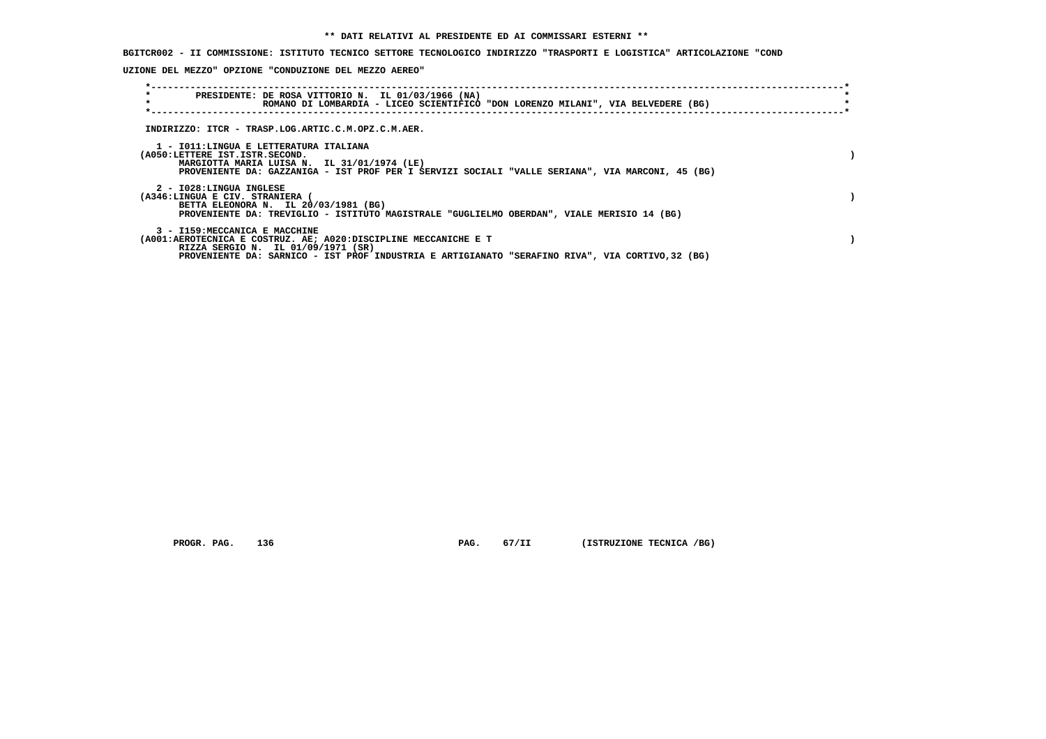**BGITCR002 - II COMMISSIONE: ISTITUTO TECNICO SETTORE TECNOLOGICO INDIRIZZO "TRASPORTI E LOGISTICA" ARTICOLAZIONE "COND**

 **UZIONE DEL MEZZO" OPZIONE "CONDUZIONE DEL MEZZO AEREO"**

| $\star$<br>$\star$      | PRESIDENTE: DE ROSA VITTORIO N. IL 01/03/1966 (NA)<br>ROMANO DI LOMBARDIA - LICEO SCIENTIFICO "DON LORENZO MILANI", VIA BELVEDERE (BG)                                                                                                    |  |
|-------------------------|-------------------------------------------------------------------------------------------------------------------------------------------------------------------------------------------------------------------------------------------|--|
|                         | INDIRIZZO: ITCR - TRASP.LOG.ARTIC.C.M.OPZ.C.M.AER.                                                                                                                                                                                        |  |
|                         | 1 - IO11:LINGUA E LETTERATURA ITALIANA<br>(A050:LETTERE IST.ISTR.SECOND.<br>MARGIOTTA MARIA LUISA N. IL 31/01/1974 (LE)<br>PROVENIENTE DA: GAZZANIGA - IST PROF PER I SERVIZI SOCIALI "VALLE SERIANA", VIA MARCONI, 45 (BG)               |  |
| 2 - I028:LINGUA INGLESE | (A346:LINGUA E CIV. STRANIERA (<br>BETTA ELEONORA N. IL 20/03/1981 (BG)<br>PROVENIENTE DA: TREVIGLIO - ISTITUTO MAGISTRALE "GUGLIELMO OBERDAN", VIALE MERISIO 14 (BG)                                                                     |  |
|                         | 3 - I159:MECCANICA E MACCHINE<br>(A001:AEROTECNICA E COSTRUZ. AE; A020:DISCIPLINE MECCANICHE E T<br>RIZZA SERGIO N. IL 01/09/1971 (SR)<br>PROVENIENTE DA: SARNICO - IST PROF INDUSTRIA E ARTIGIANATO "SERAFINO RIVA", VIA CORTIVO,32 (BG) |  |

 **PROGR. PAG.** 136 **PAG.** 67/II (ISTRUZIONE TECNICA /BG)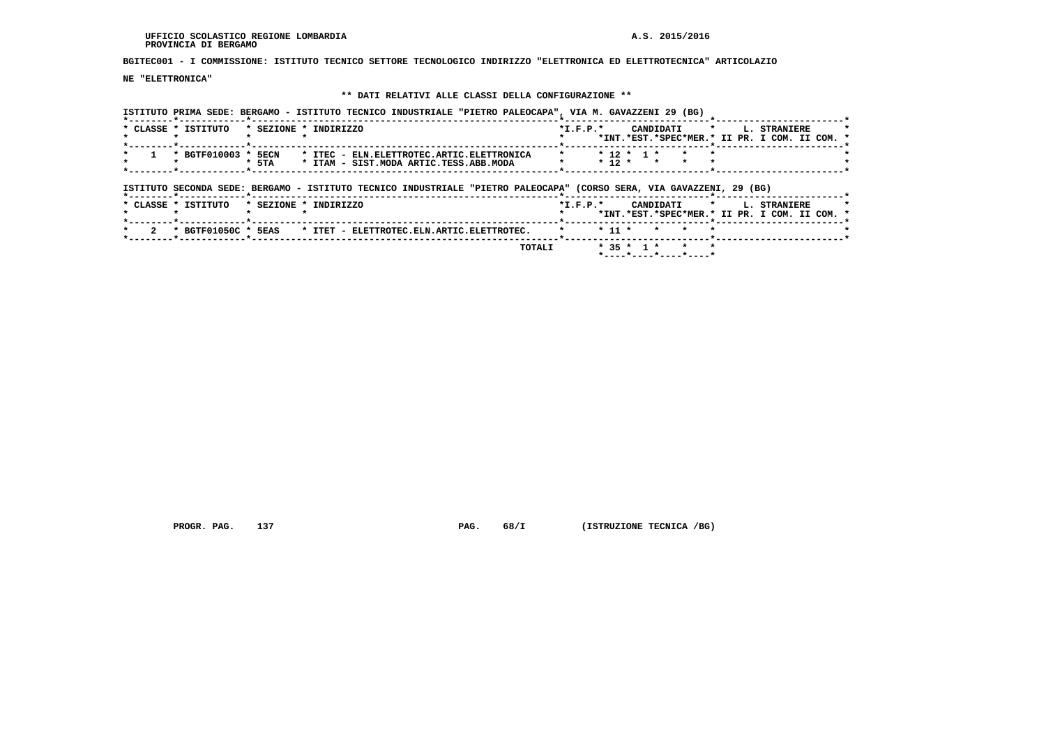**BGITEC001 - I COMMISSIONE: ISTITUTO TECNICO SETTORE TECNOLOGICO INDIRIZZO "ELETTRONICA ED ELETTROTECNICA" ARTICOLAZIO**

 **NE "ELETTRONICA"**

# **\*\* DATI RELATIVI ALLE CLASSI DELLA CONFIGURAZIONE \*\***

|                                              | ISTITUTO PRIMA SEDE: BERGAMO - ISTITUTO TECNICO INDUSTRIALE "PIETRO PALEOCAPA", VIA M. GAVAZZENI 29 (BG) |
|----------------------------------------------|----------------------------------------------------------------------------------------------------------|
| * CLASSE * ISTITUTO<br>* SEZIONE * INDIRIZZO | $*T.F.P.*$<br>CANDIDATI * I. STRANIERE                                                                   |
|                                              | *INT.*EST.*SPEC*MER.* II PR. I COM. II COM. *                                                            |
|                                              |                                                                                                          |
| * BGTF010003 * 5ECN                          | * ITEC - ELN.ELETTROTEC.ARTIC.ELETTRONICA<br>$* 12 * 1 * * * * *$                                        |
| $*$ 5TA                                      | $* 12 * * * * * *$<br>* ITAM - SIST. MODA ARTIC. TESS. ABB. MODA                                         |
|                                              |                                                                                                          |

| ISTITUTO SECONDA SEDE: BERGAMO - ISTITUTO TECNICO INDUSTRIALE "PIETRO PALEOCAPA" (CORSO SERA, VIA GAVAZZENI, 29 (BG) |                                                                                         |
|----------------------------------------------------------------------------------------------------------------------|-----------------------------------------------------------------------------------------|
| * CLASSE * ISTITUTO<br>* SEZIONE * INDIRIZZO                                                                         | $*T.F.P.*$<br>CANDIDATI * L. STRANIERE<br>*INT.*EST.*SPEC*MER.* II PR. I COM. II COM. * |
| * ITET - ELETTROTEC.ELN.ARTIC.ELETTROTEC.<br>* BGTF01050C * 5EAS                                                     | * 11 * * * *                                                                            |
| TOTALI                                                                                                               | $* 35 * 1 * * * * *$                                                                    |

 **PROGR. PAG.** 137 **PAG.** 68/I (ISTRUZIONE TECNICA /BG)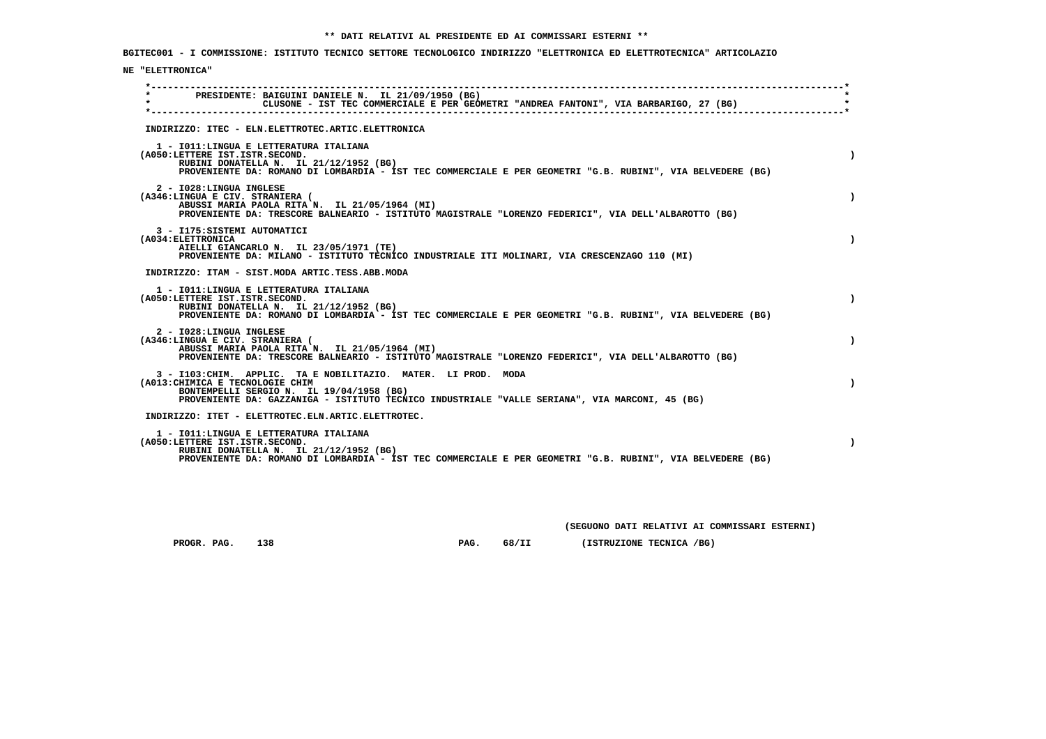**BGITEC001 - I COMMISSIONE: ISTITUTO TECNICO SETTORE TECNOLOGICO INDIRIZZO "ELETTRONICA ED ELETTROTECNICA" ARTICOLAZIO**

## **NE "ELETTRONICA"**

| $\star$ | PRESIDENTE: BAIGUINI DANIELE N. IL 21/09/1950 (BG)                                                                                                                                                                                               |  | CLUSONE - IST TEC COMMERCIALE E PER GEOMETRI "ANDREA FANTONI", VIA BARBARIGO, 27 (BG) |  |  |  |  |  |  |
|---------|--------------------------------------------------------------------------------------------------------------------------------------------------------------------------------------------------------------------------------------------------|--|---------------------------------------------------------------------------------------|--|--|--|--|--|--|
|         | INDIRIZZO: ITEC - ELN.ELETTROTEC.ARTIC.ELETTRONICA                                                                                                                                                                                               |  |                                                                                       |  |  |  |  |  |  |
|         | 1 - IO11: LINGUA E LETTERATURA ITALIANA<br>(A050:LETTERE IST.ISTR.SECOND.<br>RUBINI DONATELLA N. IL 21/12/1952 (BG)<br>PROVENIENTE DA: ROMANO DI LOMBARDIA - IST TEC COMMERCIALE E PER GEOMETRI "G.B. RUBINI", VIA BELVEDERE (BG)                |  |                                                                                       |  |  |  |  |  |  |
|         | 2 - I028:LINGUA INGLESE<br>(A346:LINGUA E CIV. STRANIERA (<br>ABUSSI MARIA PAOLA RITA N. IL 21/05/1964 (MI)<br>PROVENIENTE DA: TRESCORE BALNEARIO - ISTITUTO MAGISTRALE "LORENZO FEDERICI", VIA DELL'ALBAROTTO (BG)                              |  |                                                                                       |  |  |  |  |  |  |
|         | 3 - I175: SISTEMI AUTOMATICI<br>(A034: ELETTRONICA<br>AIELLI GIANCARLO N. IL 23/05/1971 (TE)<br>PROVENIENTE DA: MILANO - ISTITUTO TECNICO INDUSTRIALE ITI MOLINARI, VIA CRESCENZAGO 110 (MI)                                                     |  |                                                                                       |  |  |  |  |  |  |
|         | INDIRIZZO: ITAM - SIST.MODA ARTIC.TESS.ABB.MODA                                                                                                                                                                                                  |  |                                                                                       |  |  |  |  |  |  |
|         | 1 - IO11: LINGUA E LETTERATURA ITALIANA<br>(A050:LETTERE IST.ISTR.SECOND.<br>RUBINI DONATELLA N. IL 21/12/1952 (BG)<br>PROVENIENTE DA: ROMANO DI LOMBARDIA - IST TEC COMMERCIALE E PER GEOMETRI "G.B. RUBINI", VIA BELVEDERE (BG)                |  |                                                                                       |  |  |  |  |  |  |
|         | 2 - I028:LINGUA INGLESE<br>(A346:LINGUA E CIV. STRANIERA (<br>ABUSSI MARIA PAOLA RITA N. IL 21/05/1964 (MI)<br>PROVENIENTE DA: TRESCORE BALNEARIO - ISTITUTO MAGISTRALE "LORENZO FEDERICI", VIA DELL'ALBAROTTO (BG)                              |  |                                                                                       |  |  |  |  |  |  |
|         | 3 - I103: CHIM. APPLIC. TA E NOBILITAZIO. MATER. LI PROD. MODA<br>(A013: CHIMICA E TECNOLOGIE CHIM<br>BONTEMPELLI SERGIO N. IL 19/04/1958 (BG)<br>PROVENIENTE DA: GAZZANIGA - ISTITUTO TECNICO INDUSTRIALE "VALLE SERIANA", VIA MARCONI, 45 (BG) |  |                                                                                       |  |  |  |  |  |  |
|         | INDIRIZZO: ITET - ELETTROTEC.ELN.ARTIC.ELETTROTEC.                                                                                                                                                                                               |  |                                                                                       |  |  |  |  |  |  |
|         | 1 - IO11: LINGUA E LETTERATURA ITALIANA<br>(A050:LETTERE IST.ISTR.SECOND.<br>RUBINI DONATELLA N. IL 21/12/1952 (BG)<br>PROVENIENTE DA: ROMANO DI LOMBARDIA - IST TEC COMMERCIALE E PER GEOMETRI "G.B. RUBINI", VIA BELVEDERE (BG)                |  |                                                                                       |  |  |  |  |  |  |

 **(SEGUONO DATI RELATIVI AI COMMISSARI ESTERNI)**

 **PROGR. PAG. 138 PAG. 68/II (ISTRUZIONE TECNICA /BG)**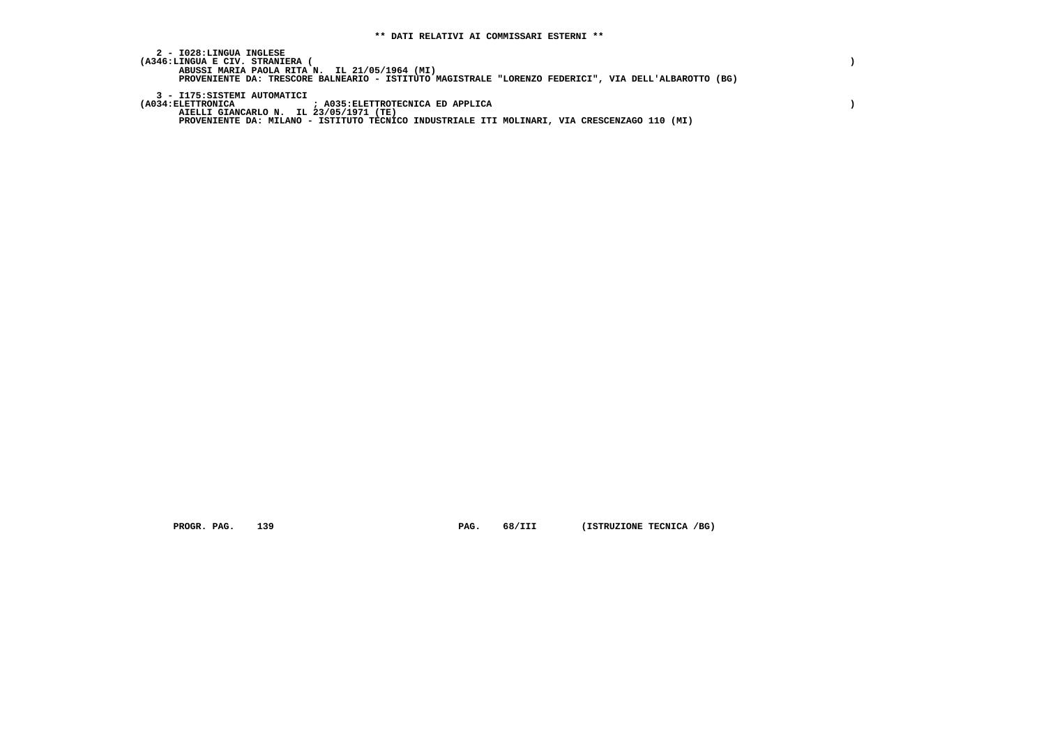**2 - I028:LINGUA INGLESE**(A346:LINGUA E CIV. STRANIERA (<br>ABUSSI MARIA PAOLA RITA N. IL 21/05/1964 (MI)<br>PROVENIENTE DA: TRESCORE BALNEARIO - ISTITUTO MAGISTRALE "LORENZO FEDERICI", VIA DELL'ALBAROTTO (BG)  **3 - I175:SISTEMI AUTOMATICI (A034:ELETTRONICA ; A035:ELETTROTECNICA ED APPLICA ) AIELLI GIANCARLO N. IL 23/05/1971 (TE)**

 **PROVENIENTE DA: MILANO - ISTITUTO TECNICO INDUSTRIALE ITI MOLINARI, VIA CRESCENZAGO 110 (MI)**

 **PROGR. PAG.** 139 **PROGR. PAG.** 68/III (ISTRUZIONE TECNICA /BG)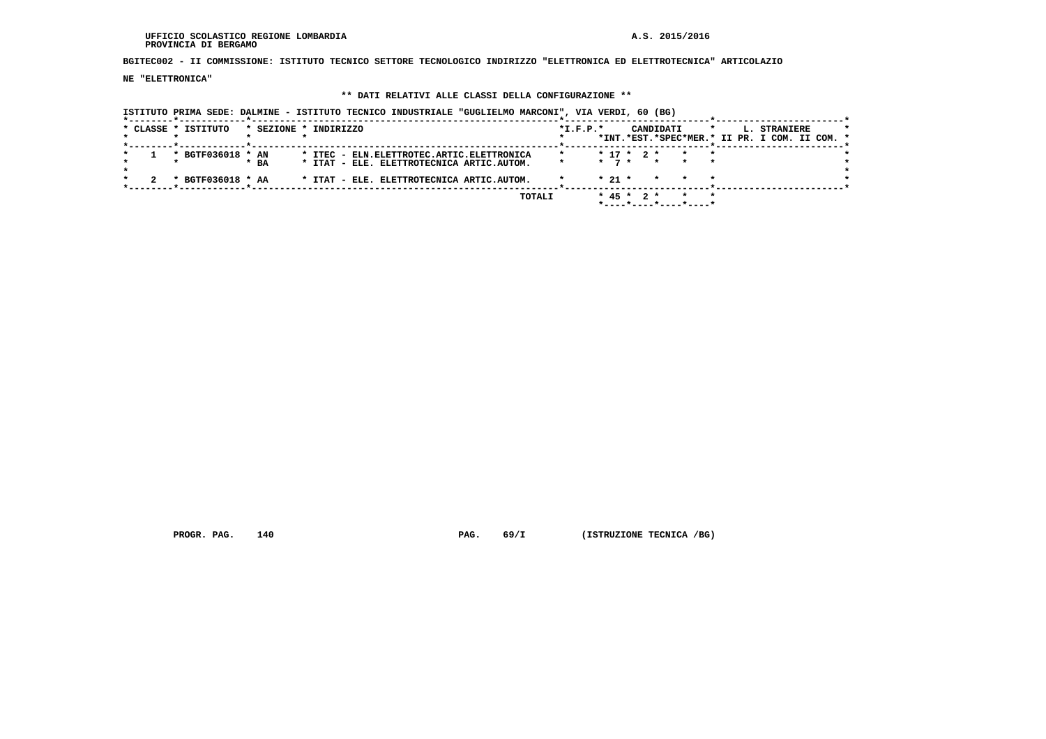#### **UFFICIO SCOLASTICO REGIONE LOMBARDIA A.S. 2015/2016 PROVINCIA DI BERGAMO**

 **BGITEC002 - II COMMISSIONE: ISTITUTO TECNICO SETTORE TECNOLOGICO INDIRIZZO "ELETTRONICA ED ELETTROTECNICA" ARTICOLAZIO**

 **NE "ELETTRONICA"**

## **\*\* DATI RELATIVI ALLE CLASSI DELLA CONFIGURAZIONE \*\***

 **ISTITUTO PRIMA SEDE: DALMINE - ISTITUTO TECNICO INDUSTRIALE "GUGLIELMO MARCONI", VIA VERDI, 60 (BG)**

|  | * CLASSE * ISTITUTO | * SEZIONE * INDIRIZZO |  |                                              |  |        | $*I.F.P.*$ |            |              | CANDIDATI |                                   | $\star$ | L. STRANIERE                                  |  |  |
|--|---------------------|-----------------------|--|----------------------------------------------|--|--------|------------|------------|--------------|-----------|-----------------------------------|---------|-----------------------------------------------|--|--|
|  |                     |                       |  |                                              |  |        |            |            |              |           |                                   |         | *INT.*EST.*SPEC*MER.* II PR. I COM. II COM. * |  |  |
|  |                     |                       |  |                                              |  |        |            |            |              |           |                                   |         |                                               |  |  |
|  | * BGTF036018 * AN   |                       |  | * ITEC - ELN. ELETTROTEC. ARTIC. ELETTRONICA |  |        |            |            | $* 17 * 2 *$ |           |                                   | $\star$ |                                               |  |  |
|  |                     | $*$ BA                |  | * ITAT - ELE. ELETTROTECNICA ARTIC.AUTOM.    |  |        |            |            |              |           | $\star$ 7 $\star$ $\star$ $\star$ |         |                                               |  |  |
|  |                     |                       |  |                                              |  |        |            |            |              |           |                                   |         |                                               |  |  |
|  | * BGTF036018 * AA   |                       |  | * ITAT - ELE. ELETTROTECNICA ARTIC.AUTOM.    |  |        |            | $*$ 21 $*$ |              | $\star$   |                                   |         |                                               |  |  |
|  |                     |                       |  |                                              |  |        |            |            |              |           |                                   |         |                                               |  |  |
|  |                     |                       |  |                                              |  | TOTALI |            |            | $* 45 * 2 *$ |           |                                   | $\star$ |                                               |  |  |
|  |                     |                       |  |                                              |  |        |            |            |              |           |                                   |         |                                               |  |  |
|  |                     |                       |  |                                              |  |        |            |            |              |           |                                   |         |                                               |  |  |

 **PROGR. PAG.** 140 **PAG. PAG.** 69/I (ISTRUZIONE TECNICA /BG)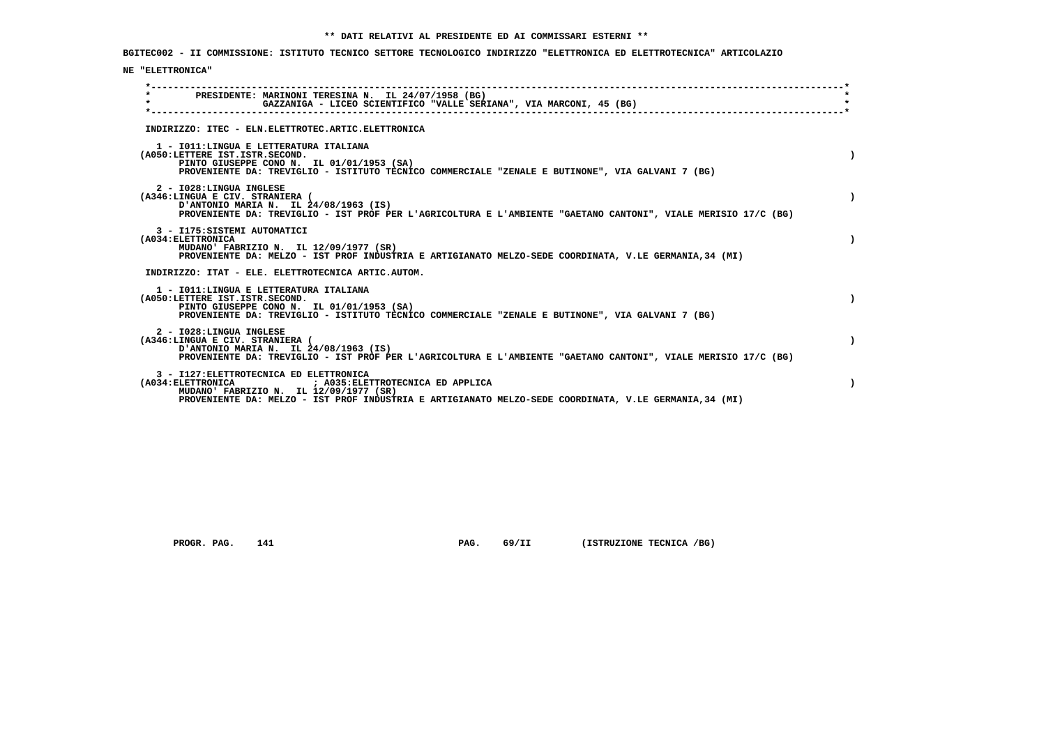**BGITEC002 - II COMMISSIONE: ISTITUTO TECNICO SETTORE TECNOLOGICO INDIRIZZO "ELETTRONICA ED ELETTROTECNICA" ARTICOLAZIO**

## **NE "ELETTRONICA"**

| PRESIDENTE: MARINONI TERESINA N. IL 24/07/1958 (BG)<br>GAZZANIGA - LICEO SCIENTIFICO "VALLE SERIANA", VIA MARCONI, 45 (BG)                                                                                                                             |  |
|--------------------------------------------------------------------------------------------------------------------------------------------------------------------------------------------------------------------------------------------------------|--|
| INDIRIZZO: ITEC - ELN.ELETTROTEC.ARTIC.ELETTRONICA                                                                                                                                                                                                     |  |
| 1 - IO11: LINGUA E LETTERATURA ITALIANA<br>(A050:LETTERE IST.ISTR.SECOND.<br>PINTO GIUSEPPE CONO N. IL 01/01/1953 (SA)<br>PROVENIENTE DA: TREVIGLIO - ISTITUTO TECNICO COMMERCIALE "ZENALE E BUTINONE", VIA GALVANI 7 (BG)                             |  |
| 2 - I028: LINGUA INGLESE<br>(A346:LINGUA E CIV. STRANIERA (<br>D'ANTONIO MARIA N. IL 24/08/1963 (IS)<br>PROVENIENTE DA: TREVIGLIO - IST PROF PER L'AGRICOLTURA E L'AMBIENTE "GAETANO CANTONI", VIALE MERISIO 17/C (BG)                                 |  |
| 3 - I175: SISTEMI AUTOMATICI<br>(A034: ELETTRONICA<br>MUDANO' FABRIZIO N. IL 12/09/1977 (SR)<br>PROVENIENTE DA: MELZO - IST PROF INDUSTRIA E ARTIGIANATO MELZO-SEDE COORDINATA, V.LE GERMANIA, 34 (MI)                                                 |  |
| INDIRIZZO: ITAT - ELE. ELETTROTECNICA ARTIC.AUTOM.                                                                                                                                                                                                     |  |
| 1 - IO11: LINGUA E LETTERATURA ITALIANA<br>(A050:LETTERE IST.ISTR.SECOND.<br>PINTO GIUSEPPE CONO N. IL 01/01/1953 (SA)<br>PROVENIENTE DA: TREVIGLIO - ISTITUTO TECNICO COMMERCIALE "ZENALE E BUTINONE", VIA GALVANI 7 (BG)                             |  |
| 2 - I028:LINGUA INGLESE<br>(A346:LINGUA E CIV. STRANIERA (<br>D'ANTONIO MARIA N. IL 24/08/1963 (IS)<br>PROVENIENTE DA: TREVIGLIO - IST PROF PER L'AGRICOLTURA E L'AMBIENTE "GAETANO CANTONI", VIALE MERISIO 17/C (BG)                                  |  |
| 3 - I127: ELETTROTECNICA ED ELETTRONICA<br>(A034: ELETTRONICA<br>; A035: ELETTROTECNICA ED APPLICA<br>MUDANO' FABRIZIO N. IL 12/09/1977 (SR)<br>PROVENIENTE DA: MELZO - IST PROF INDUSTRIA E ARTIGIANATO MELZO-SEDE COORDINATA, V.LE GERMANIA, 34 (MI) |  |

 **PROGR. PAG.** 141 **PAG. PAG.** 69/II (ISTRUZIONE TECNICA /BG)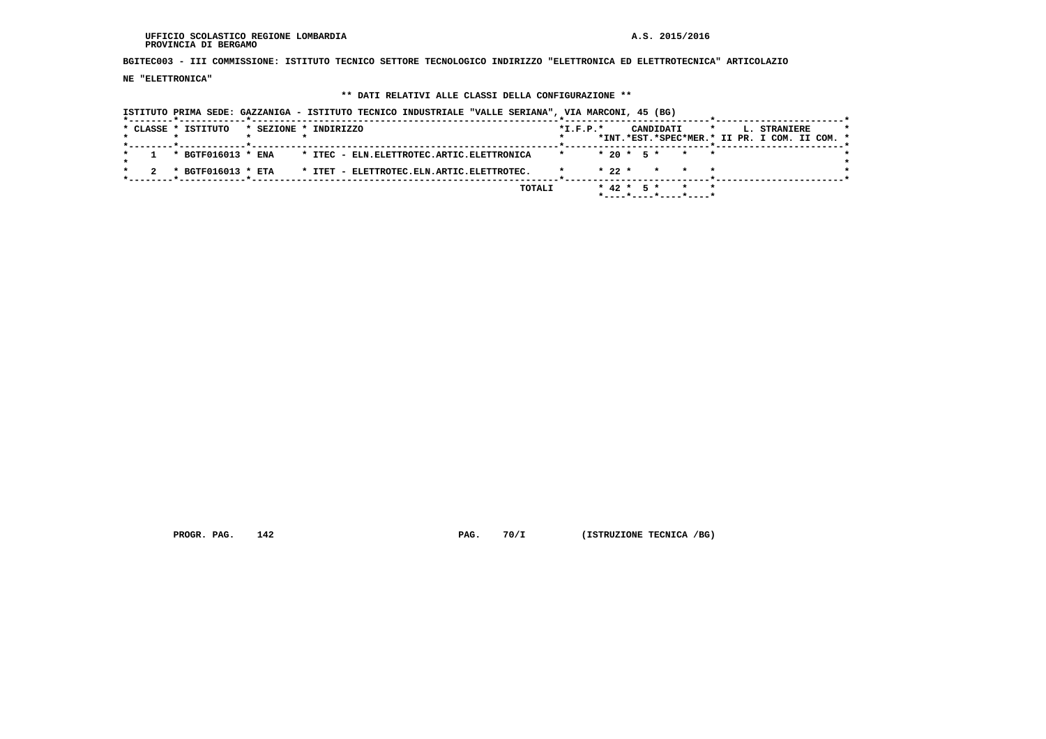**UFFICIO SCOLASTICO REGIONE LOMBARDIA A.S. 2015/2016 PROVINCIA DI BERGAMO**

 **BGITEC003 - III COMMISSIONE: ISTITUTO TECNICO SETTORE TECNOLOGICO INDIRIZZO "ELETTRONICA ED ELETTROTECNICA" ARTICOLAZIO**

 **NE "ELETTRONICA"**

## **\*\* DATI RELATIVI ALLE CLASSI DELLA CONFIGURAZIONE \*\***

 **ISTITUTO PRIMA SEDE: GAZZANIGA - ISTITUTO TECNICO INDUSTRIALE "VALLE SERIANA", VIA MARCONI, 45 (BG)**

|  | * CLASSE * ISTITUTO                             |  | * SEZIONE * INDIRIZZO                                                 |               | $*I.F.P.*$ |  |  | CANDIDATI *                                         |  | L. STRANIERE<br>*INT.*EST.*SPEC*MER.* II PR. I COM. II COM. * |  |  |
|--|-------------------------------------------------|--|-----------------------------------------------------------------------|---------------|------------|--|--|-----------------------------------------------------|--|---------------------------------------------------------------|--|--|
|  | _____ <b>*</b> ____________ <b>__*</b> ________ |  |                                                                       |               |            |  |  |                                                     |  |                                                               |  |  |
|  | * BGTF016013 * ENA                              |  | * ITEC - ELN.ELETTROTEC.ARTIC.ELETTRONICA                             |               |            |  |  | $* 20 * 5 * * * * *$                                |  |                                                               |  |  |
|  |                                                 |  |                                                                       |               |            |  |  |                                                     |  |                                                               |  |  |
|  |                                                 |  | $*$ BGTF016013 $*$ ETA $*$ ITET - ELETTROTEC. ELN. ARTIC. ELETTROTEC. |               |            |  |  | $\star$ 22 $\star$ $\star$ $\star$ $\star$          |  |                                                               |  |  |
|  |                                                 |  |                                                                       |               |            |  |  |                                                     |  |                                                               |  |  |
|  |                                                 |  |                                                                       | <b>TOTALI</b> |            |  |  | $* 42 * 5 * * * * *$                                |  |                                                               |  |  |
|  |                                                 |  |                                                                       |               |            |  |  | $*$ - - - - $*$ - - - - $*$ - - - - $*$ - - - - $*$ |  |                                                               |  |  |
|  |                                                 |  |                                                                       |               |            |  |  |                                                     |  |                                                               |  |  |

 **PROGR. PAG.** 142 **PAG.** 70/I (ISTRUZIONE TECNICA /BG)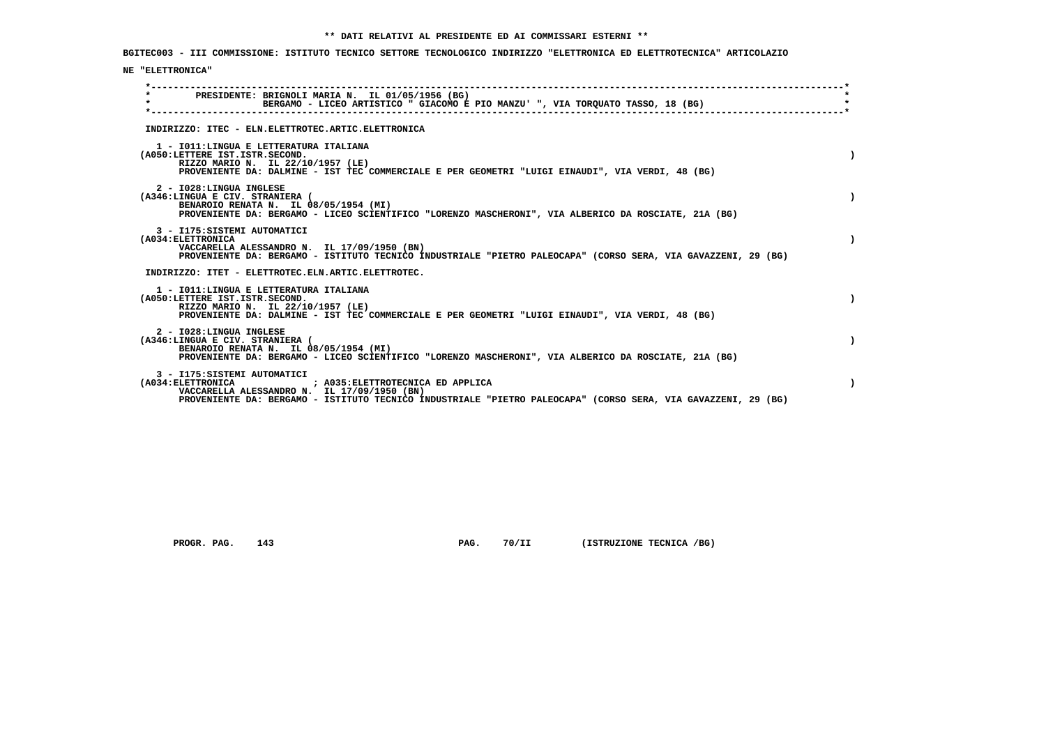**BGITEC003 - III COMMISSIONE: ISTITUTO TECNICO SETTORE TECNOLOGICO INDIRIZZO "ELETTRONICA ED ELETTROTECNICA" ARTICOLAZIO**

## **NE "ELETTRONICA"**

| $\star$                         | PRESIDENTE: BRIGNOLI MARIA N. IL 01/05/1956 (BG)<br>BERGAMO - LICEO ARTISTICO " GIACOMO E PIO MANZU' ", VIA TORQUATO TASSO, 18 (BG)                          |  |
|---------------------------------|--------------------------------------------------------------------------------------------------------------------------------------------------------------|--|
|                                 |                                                                                                                                                              |  |
|                                 | INDIRIZZO: ITEC - ELN.ELETTROTEC.ARTIC.ELETTRONICA                                                                                                           |  |
|                                 | 1 - IO11: LINGUA E LETTERATURA ITALIANA                                                                                                                      |  |
| (A050:LETTERE IST.ISTR.SECOND.  | RIZZO MARIO N. IL 22/10/1957 (LE)                                                                                                                            |  |
|                                 | PROVENIENTE DA: DALMINE - IST TEC COMMERCIALE E PER GEOMETRI "LUIGI EINAUDI", VIA VERDI, 48 (BG)                                                             |  |
| 2 - I028:LINGUA INGLESE         |                                                                                                                                                              |  |
| (A346:LINGUA E CIV. STRANIERA ( | BENAROIO RENATA N. IL 08/05/1954 (MI)                                                                                                                        |  |
|                                 | PROVENIENTE DA: BERGAMO - LICEO SCIENTIFICO "LORENZO MASCHERONI", VIA ALBERICO DA ROSCIATE, 21A (BG)                                                         |  |
| 3 - I175: SISTEMI AUTOMATICI    |                                                                                                                                                              |  |
| (A034: ELETTRONICA              | VACCARELLA ALESSANDRO N. IL 17/09/1950 (BN)                                                                                                                  |  |
|                                 | PROVENIENTE DA: BERGAMO - ISTITUTO TECNICO INDUSTRIALE "PIETRO PALEOCAPA" (CORSO SERA, VIA GAVAZZENI, 29 (BG)                                                |  |
|                                 | INDIRIZZO: ITET - ELETTROTEC.ELN.ARTIC.ELETTROTEC.                                                                                                           |  |
|                                 | 1 - IO11: LINGUA E LETTERATURA ITALIANA                                                                                                                      |  |
| (A050:LETTERE IST.ISTR.SECOND.  | RIZZO MARIO N. IL 22/10/1957 (LE)                                                                                                                            |  |
|                                 | PROVENIENTE DA: DALMINE - IST TEC COMMERCIALE E PER GEOMETRI "LUIGI EINAUDI", VIA VERDI, 48 (BG)                                                             |  |
| 2 - I028:LINGUA INGLESE         |                                                                                                                                                              |  |
| (A346:LINGUA E CIV. STRANIERA ( | BENAROIO RENATA N. IL 08/05/1954 (MI)                                                                                                                        |  |
|                                 | PROVENIENTE DA: BERGAMO - LICEO SCIENTIFICO "LORENZO MASCHERONI", VIA ALBERICO DA ROSCIATE, 21A (BG)                                                         |  |
| 3 - I175: SISTEMI AUTOMATICI    |                                                                                                                                                              |  |
| (A034:ELETTRONICA               | ; A035: ELETTROTECNICA ED APPLICA                                                                                                                            |  |
|                                 | VACCARELLA ALESSANDRO N. IL 17/09/1950 (BN)<br>PROVENIENTE DA: BERGAMO - ISTITUTO TECNICO INDUSTRIALE "PIETRO PALEOCAPA" (CORSO SERA, VIA GAVAZZENI, 29 (BG) |  |
|                                 |                                                                                                                                                              |  |

 **PROGR. PAG.** 143 **PAG.** 70/II (ISTRUZIONE TECNICA /BG)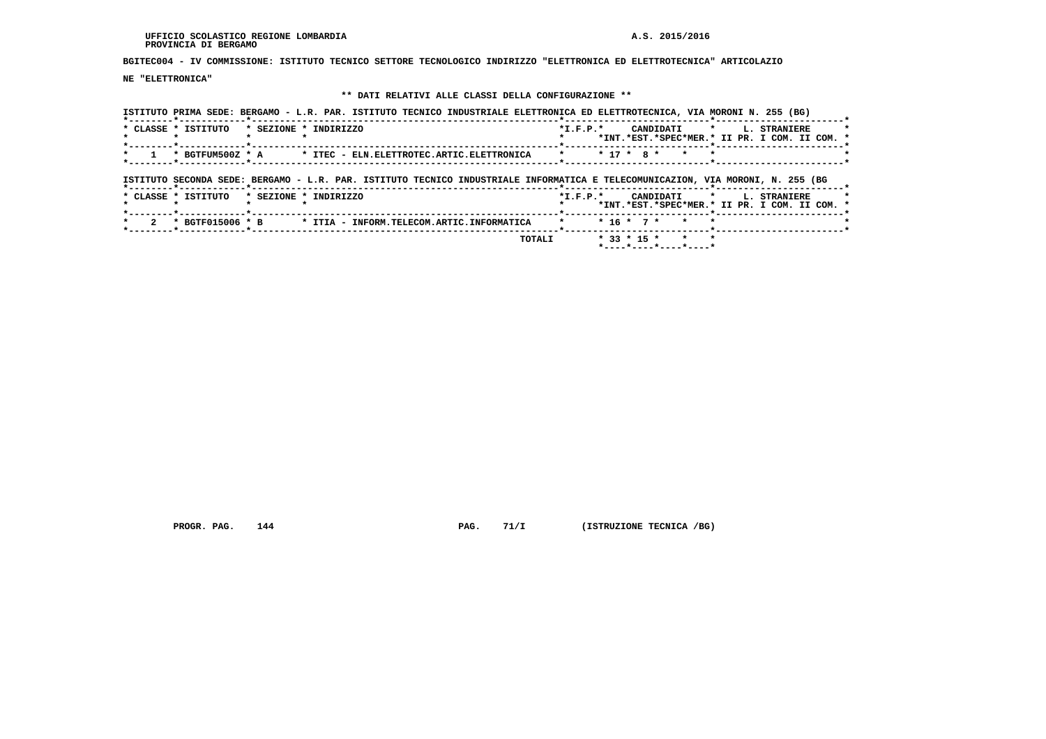**BGITEC004 - IV COMMISSIONE: ISTITUTO TECNICO SETTORE TECNOLOGICO INDIRIZZO "ELETTRONICA ED ELETTROTECNICA" ARTICOLAZIO**

 **NE "ELETTRONICA"**

# **\*\* DATI RELATIVI ALLE CLASSI DELLA CONFIGURAZIONE \*\***

|                     | ISTITUTO PRIMA SEDE: BERGAMO - L.R. PAR. ISTITUTO TECNICO INDUSTRIALE ELETTRONICA ED ELETTROTECNICA, VIA MORONI N. 255 (BG)    |            |                         |              |                                                                      |
|---------------------|--------------------------------------------------------------------------------------------------------------------------------|------------|-------------------------|--------------|----------------------------------------------------------------------|
| * CLASSE * ISTITUTO | * SEZIONE * INDIRIZZO                                                                                                          | $*I.F.P.*$ | CANDIDATI               | $\star$ .    | <b>L. STRANIERE</b><br>*INT.*EST.*SPEC*MER.* II PR. I COM. II COM. * |
| * BGTFUM500Z * A    | * ITEC - ELN.ELETTROTEC.ARTIC.ELETTRONICA                                                                                      | $\star$    | $* 17 * R *$<br>$\star$ | $\star$      |                                                                      |
|                     | ISTITUTO SECONDA SEDE: BERGAMO - L.R. PAR. ISTITUTO TECNICO INDUSTRIALE INFORMATICA E TELECOMUNICAZION, VIA MORONI, N. 255 (BG |            |                         |              |                                                                      |
| * CLASSE * ISTITUTO | * SEZIONE * INDIRIZZO                                                                                                          | $*L.F.P.*$ | CANDIDATI               | $\mathbf{r}$ | <b>L. STRANIERE</b><br>*INT.*EST.*SPEC*MER.* II PR. I COM. II COM. * |
| * BGTF015006 * B    | * ITIA - INFORM.TELECOM.ARTIC.INFORMATICA                                                                                      |            | $* 16 * 7 *$<br>$\star$ |              |                                                                      |
|                     |                                                                                                                                |            |                         |              |                                                                      |

 **PROGR. PAG.** 144 **PAG.** 71/I (ISTRUZIONE TECNICA /BG)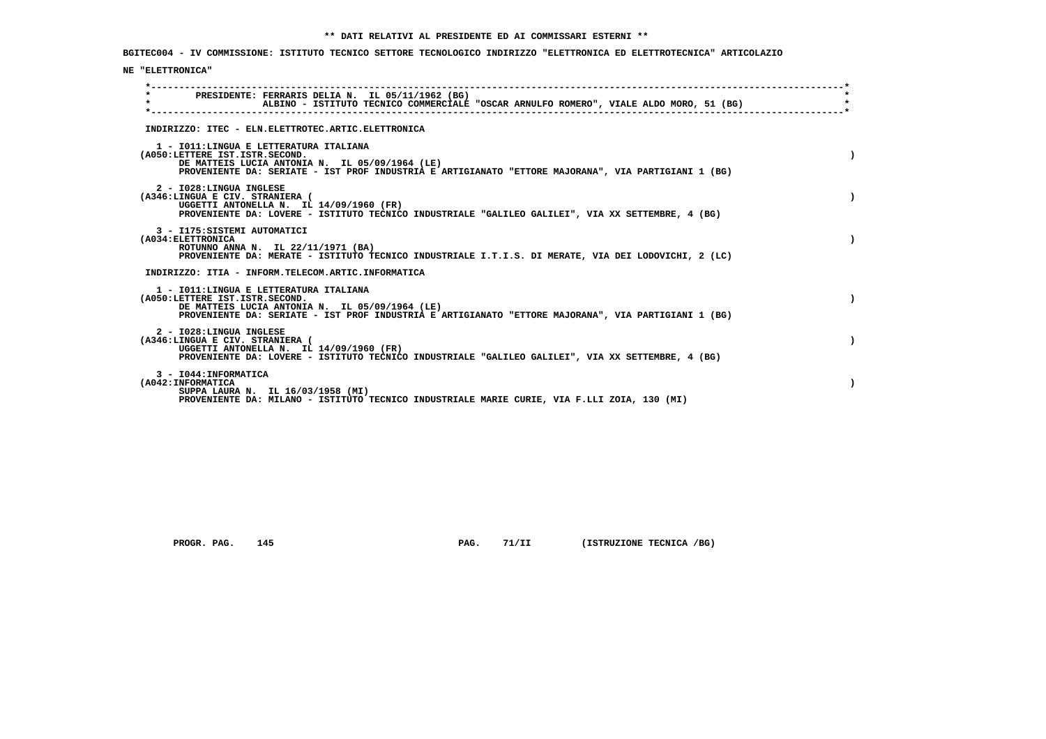**BGITEC004 - IV COMMISSIONE: ISTITUTO TECNICO SETTORE TECNOLOGICO INDIRIZZO "ELETTRONICA ED ELETTROTECNICA" ARTICOLAZIO**

## **NE "ELETTRONICA"**

| $\star$ | PRESIDENTE: FERRARIS DELIA N. IL 05/11/1962 (BG)<br>ALBINO - ISTITUTO TECNICO COMMERCIALE "OSCAR ARNULFO ROMERO", VIALE ALDO MORO, 51 (BG)                                                                                         |  |
|---------|------------------------------------------------------------------------------------------------------------------------------------------------------------------------------------------------------------------------------------|--|
|         | INDIRIZZO: ITEC - ELN.ELETTROTEC.ARTIC.ELETTRONICA                                                                                                                                                                                 |  |
|         | 1 - IO11: LINGUA E LETTERATURA ITALIANA<br>(A050:LETTERE IST.ISTR.SECOND.<br>DE MATTEIS LUCIA ANTONIA N. IL 05/09/1964 (LE)<br>PROVENIENTE DA: SERIATE - IST PROF INDUSTRIA E ARTIGIANATO "ETTORE MAJORANA", VIA PARTIGIANI 1 (BG) |  |
|         | 2 - I028: LINGUA INGLESE<br>(A346:LINGUA E CIV. STRANIERA (<br>UGGETTI ANTONELLA N. IL 14/09/1960 (FR)<br>PROVENIENTE DA: LOVERE - ISTITUTO TECNICO INDUSTRIALE "GALILEO GALILEI", VIA XX SETTEMBRE, 4 (BG)                        |  |
|         | 3 - I175: SISTEMI AUTOMATICI<br>(A034: ELETTRONICA<br>ROTUNNO ANNA N. IL 22/11/1971 (BA)<br>PROVENIENTE DA: MERATE - ISTITUTO TECNICO INDUSTRIALE I.T.I.S. DI MERATE, VIA DEI LODOVICHI, 2 (LC)                                    |  |
|         | INDIRIZZO: ITIA - INFORM.TELECOM.ARTIC.INFORMATICA                                                                                                                                                                                 |  |
|         | 1 - IO11: LINGUA E LETTERATURA ITALIANA<br>(A050:LETTERE IST.ISTR.SECOND.<br>DE MATTEIS LUCIA ANTONIA N. IL 05/09/1964 (LE)<br>PROVENIENTE DA: SERIATE - IST PROF INDUSTRIA E ARTIGIANATO "ETTORE MAJORANA", VIA PARTIGIANI 1 (BG) |  |
|         | 2 - I028:LINGUA INGLESE<br>(A346:LINGUA E CIV. STRANIERA (<br>UGGETTI ANTONELLA N. IL 14/09/1960 (FR)<br>PROVENIENTE DA: LOVERE - ISTITUTO TECNICO INDUSTRIALE "GALILEO GALILEI", VIA XX SETTEMBRE, 4 (BG)                         |  |
|         | 3 - I044: INFORMATICA<br>(A042: INFORMATICA<br>SUPPA LAURA N. IL 16/03/1958 (MI)<br>PROVENIENTE DA: MILANO - ISTITUTO TECNICO INDUSTRIALE MARIE CURIE, VIA F.LLI ZOIA, 130 (MI)                                                    |  |

 **PROGR. PAG.** 145 **PAG.** 71/II (ISTRUZIONE TECNICA /BG)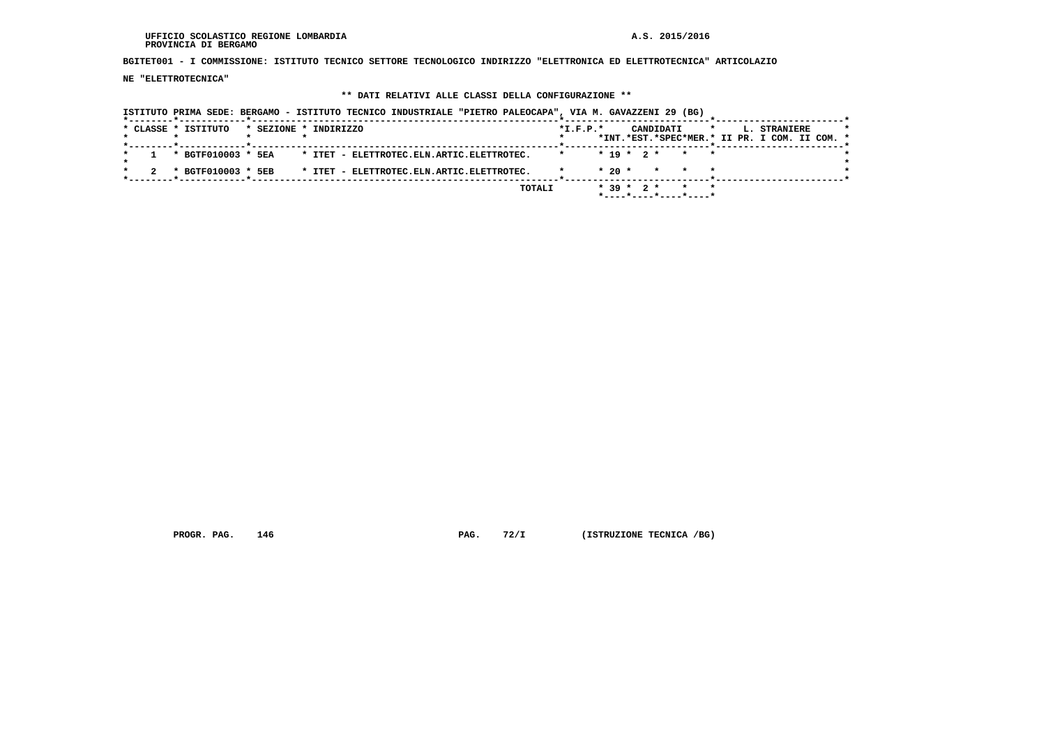**BGITET001 - I COMMISSIONE: ISTITUTO TECNICO SETTORE TECNOLOGICO INDIRIZZO "ELETTRONICA ED ELETTROTECNICA" ARTICOLAZIO**

 **NE "ELETTROTECNICA"**

# **\*\* DATI RELATIVI ALLE CLASSI DELLA CONFIGURAZIONE \*\***

|  | * CLASSE * ISTITUTO | * SEZIONE * INDIRIZZO |  |                                           |  |        | $*I.F.P.*$ |              |  | CANDIDATI | $\star$ |  | L. STRANIERE                                  |  |  |
|--|---------------------|-----------------------|--|-------------------------------------------|--|--------|------------|--------------|--|-----------|---------|--|-----------------------------------------------|--|--|
|  |                     |                       |  |                                           |  |        |            |              |  |           |         |  | *INT.*EST.*SPEC*MER.* II PR. I COM. II COM. * |  |  |
|  | * BGTF010003 * 5EA  |                       |  | * ITET - ELETTROTEC.ELN.ARTIC.ELETTROTEC. |  |        |            | $* 19 * 2 *$ |  |           | * * *   |  |                                               |  |  |
|  | * BGTF010003 * 5EB  |                       |  | * ITET - ELETTROTEC.ELN.ARTIC.ELETTROTEC. |  |        |            | $*20$ *      |  |           | * * *   |  |                                               |  |  |
|  |                     |                       |  |                                           |  | TOTALI |            | $* 39 * 2 *$ |  |           | $\star$ |  |                                               |  |  |

 **PROGR. PAG.** 146 **PAG.** 72/I (ISTRUZIONE TECNICA /BG)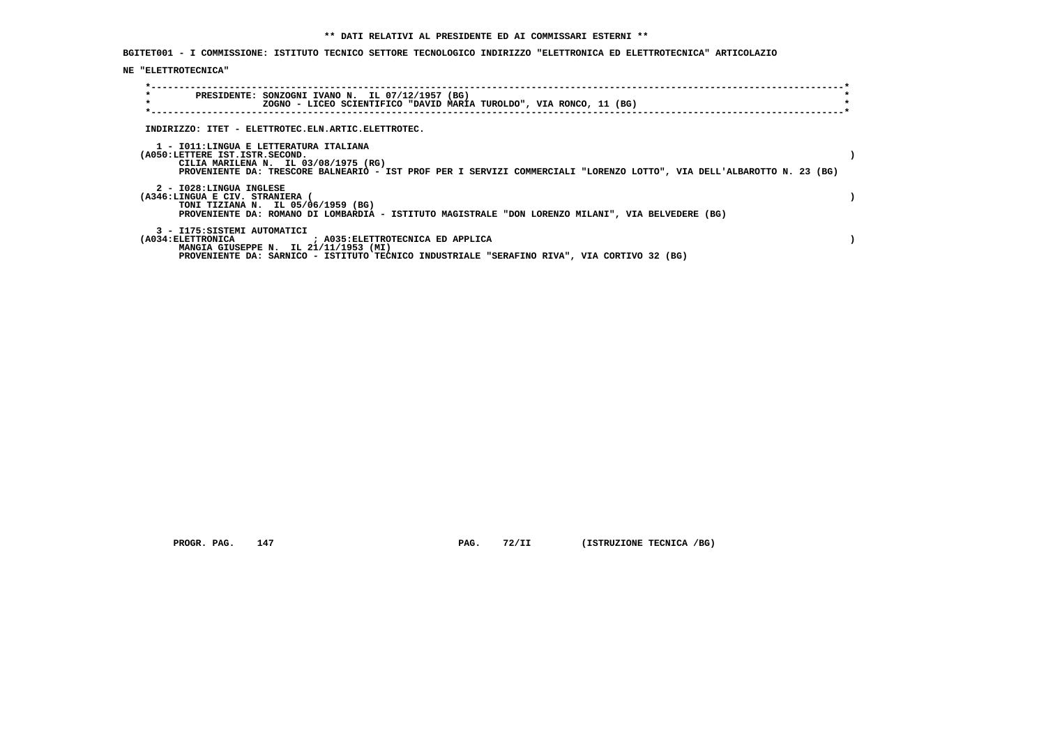**BGITET001 - I COMMISSIONE: ISTITUTO TECNICO SETTORE TECNOLOGICO INDIRIZZO "ELETTRONICA ED ELETTROTECNICA" ARTICOLAZIO**

## **NE "ELETTROTECNICA"**

| $\star$<br>PRESIDENTE: SONZOGNI IVANO N. IL 07/12/1957 (BG)<br>$\star$<br>ZOGNO - LICEO SCIENTIFICO "DAVID MARIA TUROLDO", VIA RONCO, 11 (BG)                                                                                              |  |
|--------------------------------------------------------------------------------------------------------------------------------------------------------------------------------------------------------------------------------------------|--|
| INDIRIZZO: ITET - ELETTROTEC.ELN.ARTIC.ELETTROTEC.                                                                                                                                                                                         |  |
|                                                                                                                                                                                                                                            |  |
| 1 - IO11:LINGUA E LETTERATURA ITALIANA<br>(A050:LETTERE IST.ISTR.SECOND.<br>CILIA MARILENA N. IL 03/08/1975 (RG)<br>PROVENIENTE DA: TRESCORE BALNEARIO - IST PROF PER I SERVIZI COMMERCIALI "LORENZO LOTTO", VIA DELL'ALBAROTTO N. 23 (BG) |  |
| 2 - I028:LINGUA INGLESE                                                                                                                                                                                                                    |  |
| (A346:LINGUA E CIV. STRANIERA (<br>TONI TIZIANA N. IL 05/06/1959 (BG)                                                                                                                                                                      |  |
| PROVENIENTE DA: ROMANO DI LOMBARDIA - ISTITUTO MAGISTRALE "DON LORENZO MILANI", VIA BELVEDERE (BG)                                                                                                                                         |  |
| 3 - I175: SISTEMI AUTOMATICI                                                                                                                                                                                                               |  |
| (A034: ELETTRONICA                             ; A035: ELETTROTECNICA ED APPLICA                                                                                                                                                           |  |
| MANGIA GIUSEPPE N. IL 21/11/1953 (MI)                                                                                                                                                                                                      |  |
| PROVENIENTE DA: SARNICO - ISTITUTO TECNICO INDUSTRIALE "SERAFINO RIVA", VIA CORTIVO 32 (BG)                                                                                                                                                |  |

 **PROGR. PAG. 147 PAG. 72/II (ISTRUZIONE TECNICA /BG)**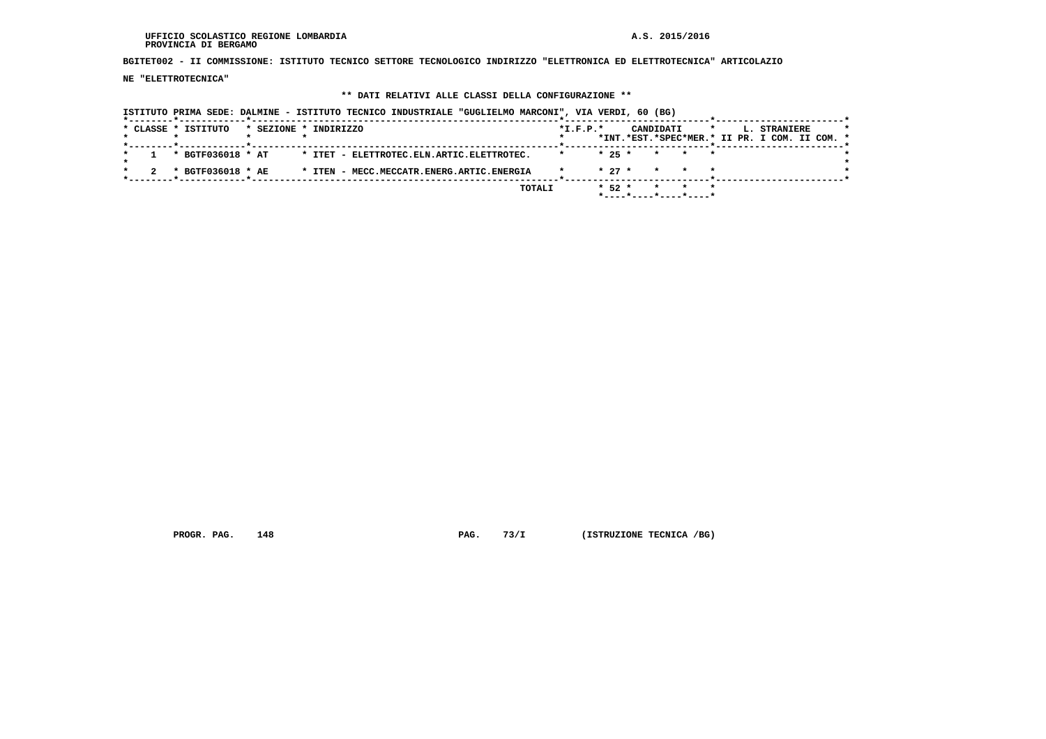**BGITET002 - II COMMISSIONE: ISTITUTO TECNICO SETTORE TECNOLOGICO INDIRIZZO "ELETTRONICA ED ELETTROTECNICA" ARTICOLAZIO**

 **NE "ELETTROTECNICA"**

### **\*\* DATI RELATIVI ALLE CLASSI DELLA CONFIGURAZIONE \*\***

 **ISTITUTO PRIMA SEDE: DALMINE - ISTITUTO TECNICO INDUSTRIALE "GUGLIELMO MARCONI", VIA VERDI, 60 (BG) \*--------\*------------\*-------------------------------------------------------\*--------------------------\*-----------------------\*** $\star$  **\* CLASSE \* ISTITUTO \* SEZIONE \* INDIRIZZO \*I.F.P.\* CANDIDATI \* L. STRANIERE \* \* \* \* \* \* \*INT.\*EST.\*SPEC\*MER.\* II PR. I COM. II COM. \* \*--------\*------------\*-------------------------------------------------------\*--------------------------\*-----------------------\* \* 1 \* BGTF036018 \* AT \* ITET - ELETTROTEC.ELN.ARTIC.ELETTROTEC. \* \* 25 \* \* \* \* \*** $\star$  **\* \*** $\bullet$  **\* 2 \* BGTF036018 \* AE \* ITEN - MECC.MECCATR.ENERG.ARTIC.ENERGIA \* \* 27 \* \* \* \* \* \*--------\*------------\*-------------------------------------------------------\*--------------------------\*-----------------------\* TOTALI \* 52 \* \* \* \* \*----\*----\*----\*----\***

 **PROGR. PAG. 148 PAG. 73/I (ISTRUZIONE TECNICA /BG)**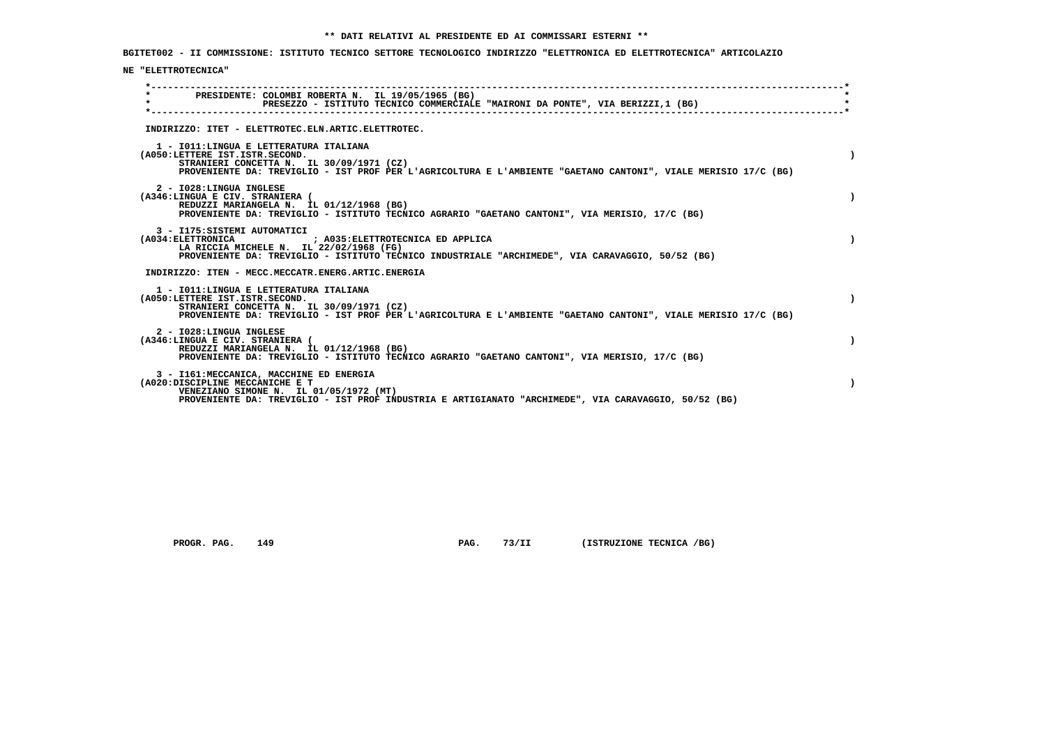**BGITET002 - II COMMISSIONE: ISTITUTO TECNICO SETTORE TECNOLOGICO INDIRIZZO "ELETTRONICA ED ELETTROTECNICA" ARTICOLAZIO**

## **NE "ELETTROTECNICA"**

| $\star$ | PRESIDENTE: COLOMBI ROBERTA N. IL 19/05/1965 (BG)<br>PRESEZZO - ISTITUTO TECNICO COMMERCIALE "MAIRONI DA PONTE", VIA BERIZZI,1 (BG)                                                                                                     |
|---------|-----------------------------------------------------------------------------------------------------------------------------------------------------------------------------------------------------------------------------------------|
|         | INDIRIZZO: ITET - ELETTROTEC.ELN.ARTIC.ELETTROTEC.                                                                                                                                                                                      |
|         | 1 - IO11: LINGUA E LETTERATURA ITALIANA<br>(A050:LETTERE IST.ISTR.SECOND.<br>STRANIERI CONCETTA N. IL 30/09/1971 (CZ)<br>PROVENIENTE DA: TREVIGLIO - IST PROF PER L'AGRICOLTURA E L'AMBIENTE "GAETANO CANTONI", VIALE MERISIO 17/C (BG) |
|         | 2 - I028:LINGUA INGLESE<br>(A346:LINGUA E CIV. STRANIERA (<br>REDUZZI MARIANGELA N. IL 01/12/1968 (BG)<br>PROVENIENTE DA: TREVIGLIO - ISTITUTO TECNICO AGRARIO "GAETANO CANTONI", VIA MERISIO, 17/C (BG)                                |
|         | 3 - I175: SISTEMI AUTOMATICI<br>LA RICCIA MICHELE N. IL 22/02/1968 (FG)<br>PROVENIENTE DA: TREVIGLIO - ISTITUTO TECNICO INDUSTRIALE "ARCHIMEDE", VIA CARAVAGGIO, 50/52 (BG)                                                             |
|         | INDIRIZZO: ITEN - MECC.MECCATR.ENERG.ARTIC.ENERGIA                                                                                                                                                                                      |
|         | 1 - IO11: LINGUA E LETTERATURA ITALIANA<br>(A050:LETTERE IST.ISTR.SECOND.<br>STRANIERI CONCETTA N. IL 30/09/1971 (CZ)<br>PROVENIENTE DA: TREVIGLIO - IST PROF PER L'AGRICOLTURA E L'AMBIENTE "GAETANO CANTONI", VIALE MERISIO 17/C (BG) |
|         | 2 - I028: LINGUA INGLESE<br>(A346:LINGUA E CIV. STRANIERA (<br>REDUZZI MARIANGELA N. IL 01/12/1968 (BG)<br>PROVENIENTE DA: TREVIGLIO - ISTITUTO TECNICO AGRARIO "GAETANO CANTONI", VIA MERISIO, 17/C (BG)                               |
|         | 3 - I161: MECCANICA, MACCHINE ED ENERGIA<br>(A020:DISCIPLINE MECCANICHE E T<br>VENEZIANO SIMONE N. IL 01/05/1972 (MT)<br>PROVENIENTE DA: TREVIGLIO - IST PROF INDUSTRIA E ARTIGIANATO "ARCHIMEDE", VIA CARAVAGGIO, 50/52 (BG)           |

 **PROGR. PAG.** 149 **PAG.** 73/II (ISTRUZIONE TECNICA /BG)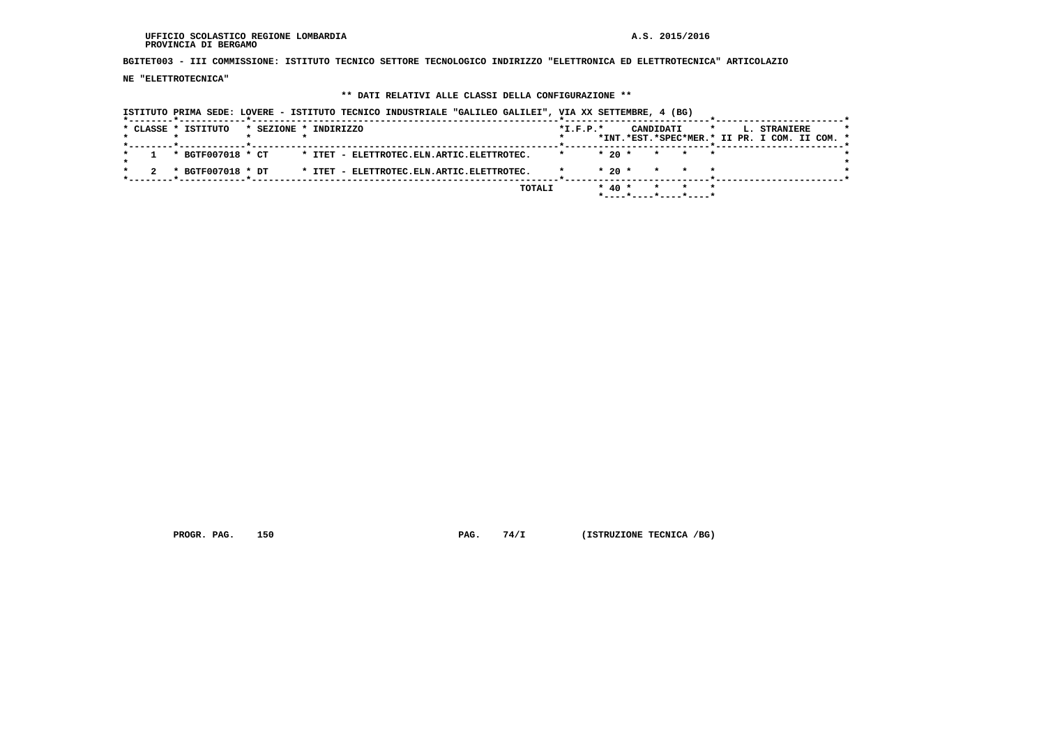**BGITET003 - III COMMISSIONE: ISTITUTO TECNICO SETTORE TECNOLOGICO INDIRIZZO "ELETTRONICA ED ELETTROTECNICA" ARTICOLAZIO**

 **NE "ELETTROTECNICA"**

### **\*\* DATI RELATIVI ALLE CLASSI DELLA CONFIGURAZIONE \*\***

 **ISTITUTO PRIMA SEDE: LOVERE - ISTITUTO TECNICO INDUSTRIALE "GALILEO GALILEI", VIA XX SETTEMBRE, 4 (BG) \*--------\*------------\*-------------------------------------------------------\*--------------------------\*-----------------------\*** $\star$  **\* CLASSE \* ISTITUTO \* SEZIONE \* INDIRIZZO \*I.F.P.\* CANDIDATI \* L. STRANIERE \* \* \* \* \* \* \*INT.\*EST.\*SPEC\*MER.\* II PR. I COM. II COM. \* \*--------\*------------\*-------------------------------------------------------\*--------------------------\*-----------------------\* \* 1 \* BGTF007018 \* CT \* ITET - ELETTROTEC.ELN.ARTIC.ELETTROTEC. \* \* 20 \* \* \* \* \*** $\star$  **\* \*** $\cdot$  **\* 2 \* BGTF007018 \* DT \* ITET - ELETTROTEC.ELN.ARTIC.ELETTROTEC. \* \* 20 \* \* \* \* \***-------\*-----------------------\*  **\*--------\*------------\*-------------------------------------------------------\*--------------------------\*-----------------------\* TOTALI \* 40 \* \* \* \* \*----\*----\*----\*----\***

 **PROGR. PAG. 150 PAG. 74/I (ISTRUZIONE TECNICA /BG)**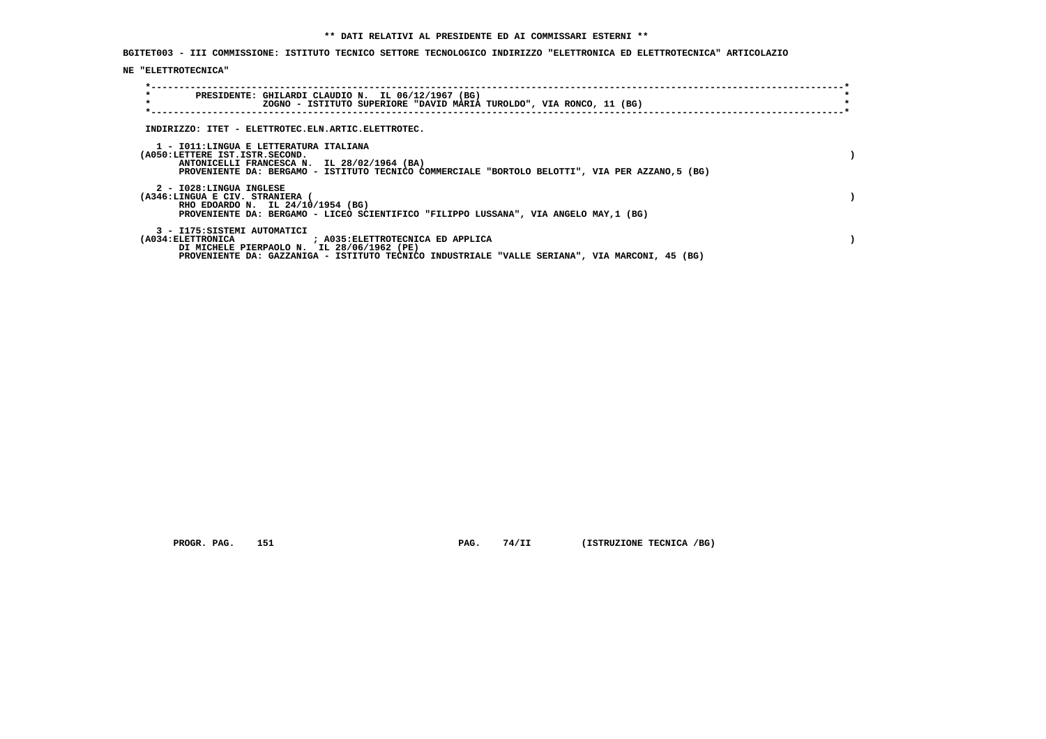**BGITET003 - III COMMISSIONE: ISTITUTO TECNICO SETTORE TECNOLOGICO INDIRIZZO "ELETTRONICA ED ELETTROTECNICA" ARTICOLAZIO**

## **NE "ELETTROTECNICA"**

| $\star$<br>PRESIDENTE: GHILARDI CLAUDIO N. IL 06/12/1967 (BG)<br>$\star$<br>ZOGNO - ISTITUTO SUPERIORE "DAVID MARIA TUROLDO", VIA RONCO, 11 (BG)                                                                                      |  |
|---------------------------------------------------------------------------------------------------------------------------------------------------------------------------------------------------------------------------------------|--|
| INDIRIZZO: ITET - ELETTROTEC.ELN.ARTIC.ELETTROTEC.                                                                                                                                                                                    |  |
| 1 - IO11:LINGUA E LETTERATURA ITALIANA<br>(A050:LETTERE IST.ISTR.SECOND.<br>ANTONICELLI FRANCESCA N. IL 28/02/1964 (BA)<br>PROVENIENTE DA: BERGAMO - ISTITUTO TECNICO COMMERCIALE "BORTOLO BELOTTI", VIA PER AZZANO,5 (BG)            |  |
| 2 - I028:LINGUA INGLESE<br>(A346:LINGUA E CIV. STRANIERA (<br>RHO EDOARDO N. IL 24/10/1954 (BG)<br>PROVENIENTE DA: BERGAMO - LICEO SCIENTIFICO "FILIPPO LUSSANA", VIA ANGELO MAY, 1 (BG)                                              |  |
| 3 - I175: SISTEMI AUTOMATICI<br>(A034: ELETTRONICA ) (A035: ELETTROTECNICA ED APPLICA<br>DI MICHELE PIERPAOLO N. IL 28/06/1962 (PE)<br>PROVENIENTE DA: GAZZANIGA - ISTITUTO TECNICO INDUSTRIALE "VALLE SERIANA", VIA MARCONI, 45 (BG) |  |

 **PROGR. PAG.** 151 **PAG. 74/II (ISTRUZIONE TECNICA /BG)**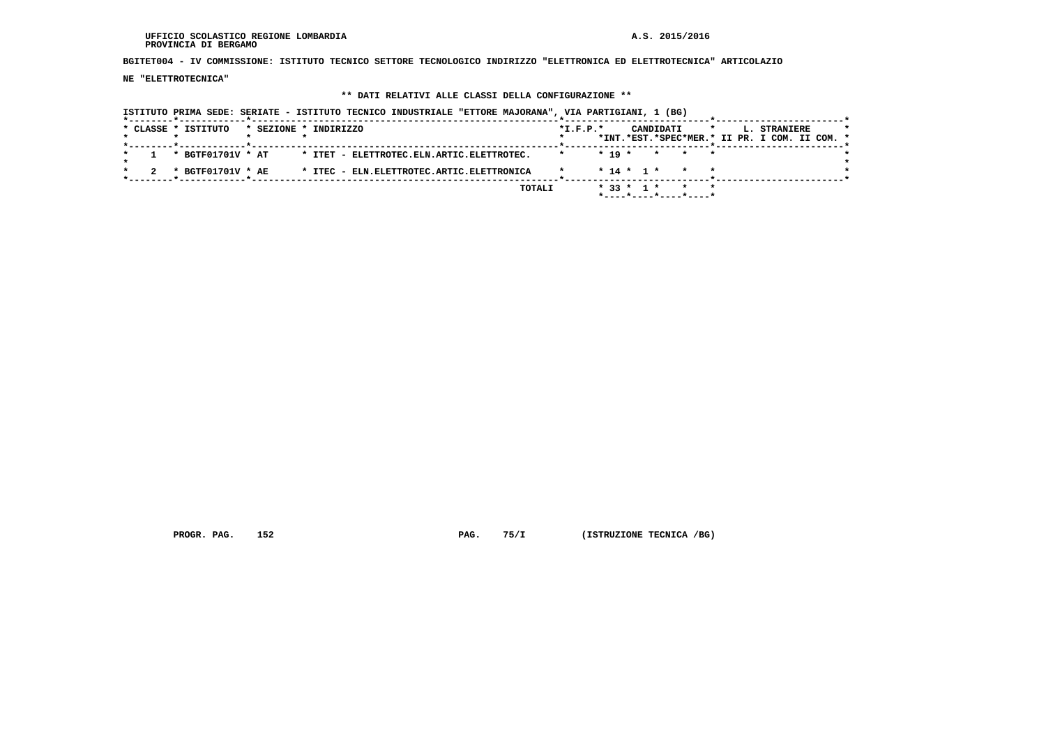$\star$ 

 $\star$ 

 $\cdot$ 

 **BGITET004 - IV COMMISSIONE: ISTITUTO TECNICO SETTORE TECNOLOGICO INDIRIZZO "ELETTRONICA ED ELETTROTECNICA" ARTICOLAZIO**

 **NE "ELETTROTECNICA"**

### **\*\* DATI RELATIVI ALLE CLASSI DELLA CONFIGURAZIONE \*\***

 **ISTITUTO PRIMA SEDE: SERIATE - ISTITUTO TECNICO INDUSTRIALE "ETTORE MAJORANA", VIA PARTIGIANI, 1 (BG) \*--------\*------------\*-------------------------------------------------------\*--------------------------\*-----------------------\* \* CLASSE \* ISTITUTO \* SEZIONE \* INDIRIZZO \*I.F.P.\* CANDIDATI \* L. STRANIERE \* \* \* \* \* \* \*INT.\*EST.\*SPEC\*MER.\* II PR. I COM. II COM. \* \*--------\*------------\*-------------------------------------------------------\*--------------------------\*-----------------------\* \* 1 \* BGTF01701V \* AT \* ITET - ELETTROTEC.ELN.ARTIC.ELETTROTEC. \* \* 19 \* \* \* \* \* \* \* \* 2 \* BGTF01701V \* AE \* ITEC - ELN.ELETTROTEC.ARTIC.ELETTRONICA \* \* 14 \* 1 \* \* \* \***-------------\*------------------------\*  **\*--------\*------------\*-------------------------------------------------------\*--------------------------\*-----------------------\* TOTALI \* 33 \* 1 \* \* \* \*----\*----\*----\*----\***

 **PROGR. PAG. 152 PAG. 75/I (ISTRUZIONE TECNICA /BG)**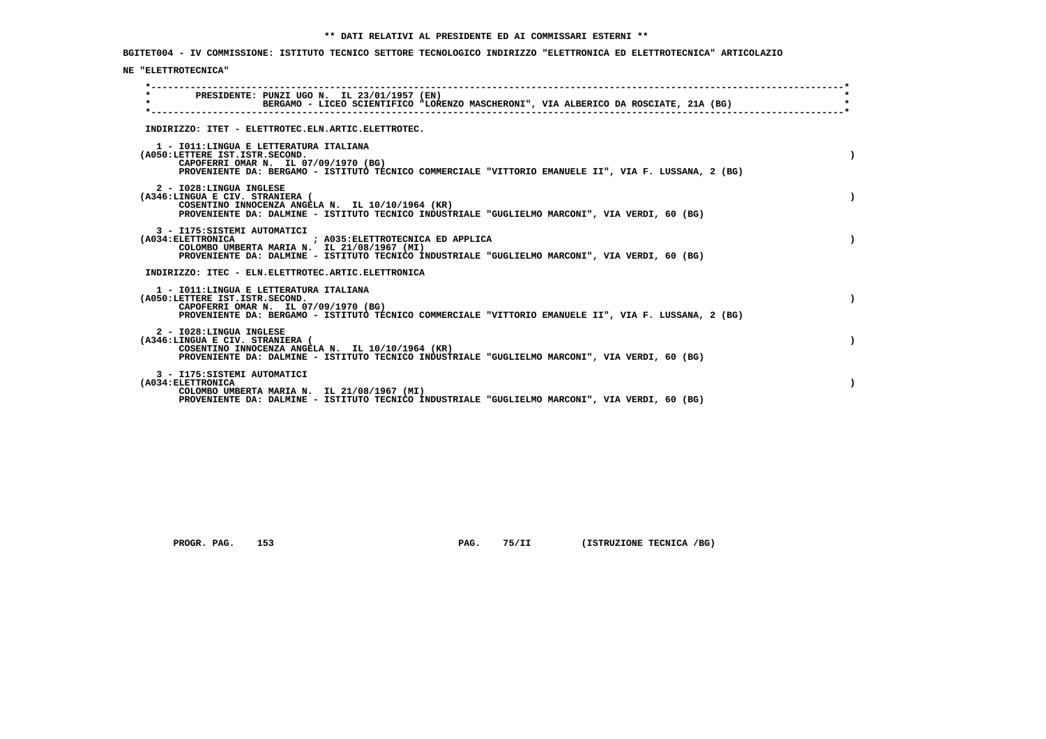**BGITET004 - IV COMMISSIONE: ISTITUTO TECNICO SETTORE TECNOLOGICO INDIRIZZO "ELETTRONICA ED ELETTROTECNICA" ARTICOLAZIO**

## **NE "ELETTROTECNICA"**

| $\star$ |                                                                                                                   | PRESIDENTE: PUNZI UGO N. IL 23/01/1957 (EN)<br>BERGAMO - LICEO SCIENTIFICO "LORENZO MASCHERONI", VIA ALBERICO DA ROSCIATE, 21A (BG)                |  |  |  |  |
|---------|-------------------------------------------------------------------------------------------------------------------|----------------------------------------------------------------------------------------------------------------------------------------------------|--|--|--|--|
|         |                                                                                                                   | INDIRIZZO: ITET - ELETTROTEC.ELN.ARTIC.ELETTROTEC.                                                                                                 |  |  |  |  |
|         | 1 - IO11: LINGUA E LETTERATURA ITALIANA<br>(A050:LETTERE IST.ISTR.SECOND.<br>CAPOFERRI OMAR N. IL 07/09/1970 (BG) | PROVENIENTE DA: BERGAMO - ISTITUTO TECNICO COMMERCIALE "VITTORIO EMANUELE II", VIA F. LUSSANA, 2 (BG)                                              |  |  |  |  |
|         | 2 - I028:LINGUA INGLESE<br>(A346:LINGUA E CIV. STRANIERA (                                                        | COSENTINO INNOCENZA ANGELA N. IL 10/10/1964 (KR)<br>PROVENIENTE DA: DALMINE - ISTITUTO TECNICO INDUSTRIALE "GUGLIELMO MARCONI", VIA VERDI, 60 (BG) |  |  |  |  |
|         | 3 - I175: SISTEMI AUTOMATICI                                                                                      | COLOMBO UMBERTA MARIA N. IL 21/08/1967 (MI)<br>PROVENIENTE DA: DALMINE - ISTITUTO TECNICO INDUSTRIALE "GUGLIELMO MARCONI", VIA VERDI, 60 (BG)      |  |  |  |  |
|         |                                                                                                                   | INDIRIZZO: ITEC - ELN.ELETTROTEC.ARTIC.ELETTRONICA                                                                                                 |  |  |  |  |
|         | 1 - IO11: LINGUA E LETTERATURA ITALIANA<br>(A050:LETTERE IST.ISTR.SECOND.<br>CAPOFERRI OMAR N. IL 07/09/1970 (BG) | PROVENIENTE DA: BERGAMO - ISTITUTO TECNICO COMMERCIALE "VITTORIO EMANUELE II", VIA F. LUSSANA, 2 (BG)                                              |  |  |  |  |
|         | 2 - I028:LINGUA INGLESE<br>(A346:LINGUA E CIV. STRANIERA (                                                        | COSENTINO INNOCENZA ANGELA N. IL 10/10/1964 (KR)<br>PROVENIENTE DA: DALMINE - ISTITUTO TECNICO INDUSTRIALE "GUGLIELMO MARCONI", VIA VERDI, 60 (BG) |  |  |  |  |
|         | 3 - I175: SISTEMI AUTOMATICI<br>(A034: ELETTRONICA                                                                | COLOMBO UMBERTA MARIA N. IL 21/08/1967 (MI)<br>PROVENIENTE DA: DALMINE - ISTITUTO TECNICO INDUSTRIALE "GUGLIELMO MARCONI", VIA VERDI, 60 (BG)      |  |  |  |  |

 **PROGR. PAG.** 153 **PAG. 75/II (ISTRUZIONE TECNICA /BG)**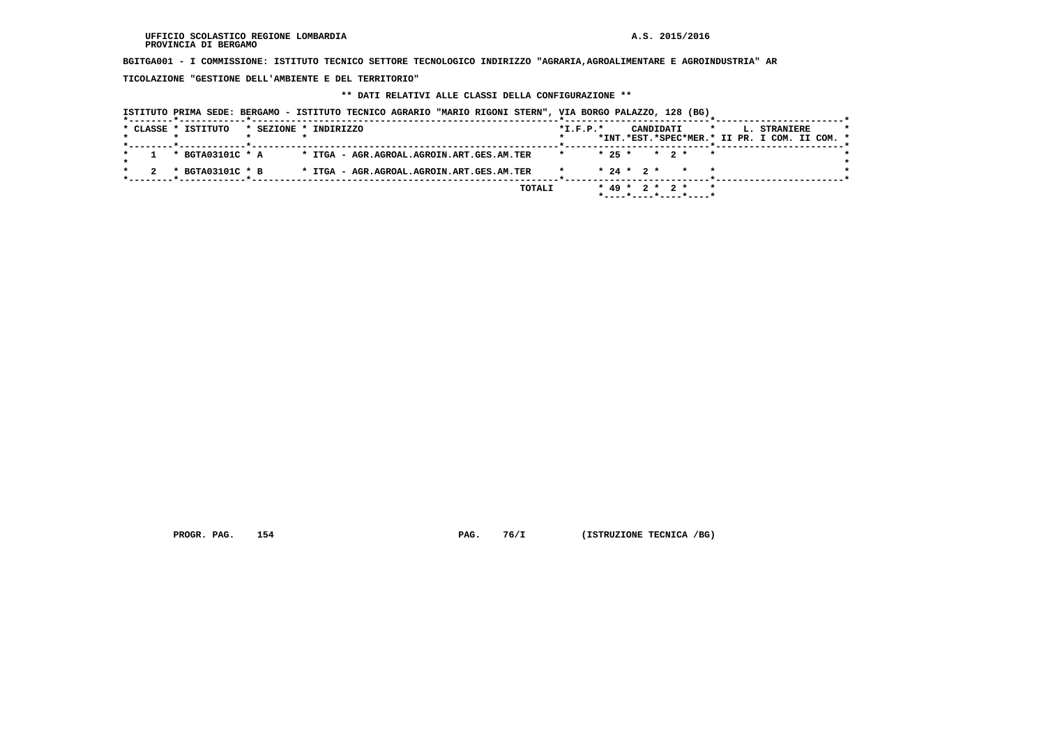**BGITGA001 - I COMMISSIONE: ISTITUTO TECNICO SETTORE TECNOLOGICO INDIRIZZO "AGRARIA,AGROALIMENTARE E AGROINDUSTRIA" AR**

 **TICOLAZIONE "GESTIONE DELL'AMBIENTE E DEL TERRITORIO"**

## **\*\* DATI RELATIVI ALLE CLASSI DELLA CONFIGURAZIONE \*\***

| ISTITUTO PRIMA SEDE: BERGAMO - ISTITUTO TECNICO AGRARIO "MARIO RIGONI STERN", VIA BORGO PALAZZO, 128 (BG) |                       |                                           |  |        |            |                  |           |                                      |  |                                                                      |  |
|-----------------------------------------------------------------------------------------------------------|-----------------------|-------------------------------------------|--|--------|------------|------------------|-----------|--------------------------------------|--|----------------------------------------------------------------------|--|
| * CLASSE * ISTITUTO                                                                                       | * SEZIONE * INDIRIZZO |                                           |  |        | $*L.F.P.*$ |                  | CANDIDATI | $\mathbf{r}$                         |  | <b>L. STRANIERE</b><br>*INT.*EST.*SPEC*MER.* II PR. I COM. II COM. * |  |
| * BGTA03101C * A                                                                                          |                       | * ITGA - AGR.AGROAL.AGROIN.ART.GES.AM.TER |  |        | $\star$    |                  |           | $* 25 * * 2 * * *$                   |  |                                                                      |  |
| * BGTA03101C * B                                                                                          |                       | * ITGA - AGR.AGROAL.AGROIN.ART.GES.AM.TER |  |        |            |                  |           | $* 24 * 2 * * * * *$                 |  |                                                                      |  |
|                                                                                                           |                       |                                           |  | TOTALI |            | $* 49 * 2 * 2 *$ |           | $*$ ---- $*$ ---- $*$ ---- $*$ ----* |  |                                                                      |  |

 **PROGR. PAG.** 154 **PAG.** 76/I (ISTRUZIONE TECNICA /BG)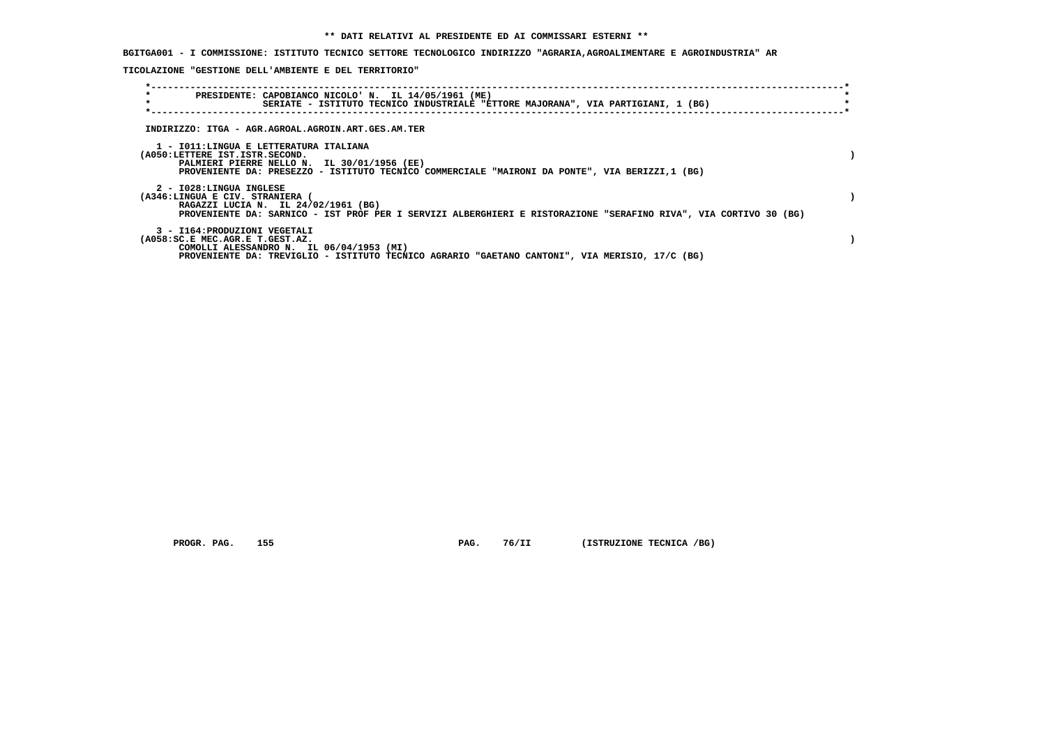**BGITGA001 - I COMMISSIONE: ISTITUTO TECNICO SETTORE TECNOLOGICO INDIRIZZO "AGRARIA,AGROALIMENTARE E AGROINDUSTRIA" AR**

 **TICOLAZIONE "GESTIONE DELL'AMBIENTE E DEL TERRITORIO"**

| $\star$<br>$\star$                                                       | PRESIDENTE: CAPOBIANCO NICOLO' N. IL 14/05/1961 (ME)<br>SERIATE - ISTITUTO TECNICO INDUSTRIALE "ETTORE MAJORANA", VIA PARTIGIANI, 1 (BG)                |  |
|--------------------------------------------------------------------------|---------------------------------------------------------------------------------------------------------------------------------------------------------|--|
|                                                                          | INDIRIZZO: ITGA - AGR.AGROAL.AGROIN.ART.GES.AM.TER                                                                                                      |  |
| 1 - IO11:LINGUA E LETTERATURA ITALIANA<br>(A050:LETTERE IST.ISTR.SECOND. | PALMIERI PIERRE NELLO N. IL 30/01/1956 (EE)<br>PROVENIENTE DA: PRESEZZO - ISTITUTO TECNICO COMMERCIALE "MAIRONI DA PONTE", VIA BERIZZI,1 (BG)           |  |
| 2 - I028:LINGUA INGLESE<br>(A346:LINGUA E CIV. STRANIERA (               | RAGAZZI LUCIA N. IL 24/02/1961 (BG)<br>PROVENIENTE DA: SARNICO - IST PROF PER I SERVIZI ALBERGHIERI E RISTORAZIONE "SERAFINO RIVA", VIA CORTIVO 30 (BG) |  |
| 3 - I164: PRODUZIONI VEGETALI<br>(A058:SC.E MEC.AGR.E T.GEST.AZ.         | COMOLLI ALESSANDRO N. IL 06/04/1953 (MI)<br>PROVENIENTE DA: TREVIGLIO - ISTITUTO TECNICO AGRARIO "GAETANO CANTONI", VIA MERISIO, 17/C (BG)              |  |

 **PROGR. PAG.** 155 **PAG. 76/II** (ISTRUZIONE TECNICA /BG)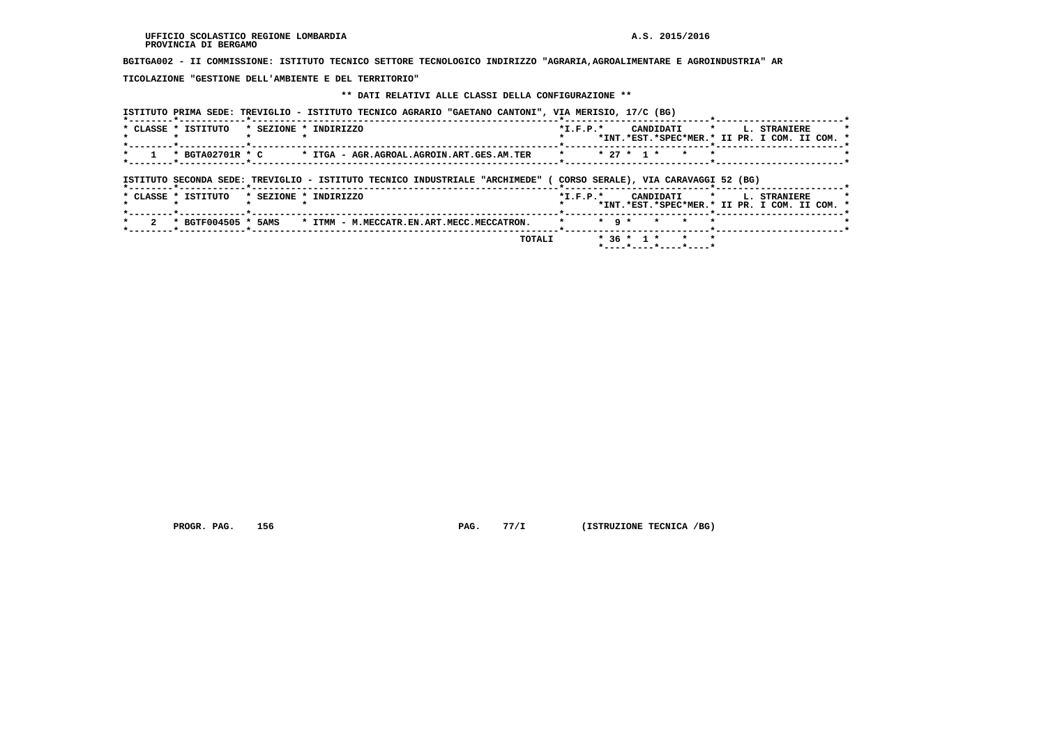**BGITGA002 - II COMMISSIONE: ISTITUTO TECNICO SETTORE TECNOLOGICO INDIRIZZO "AGRARIA,AGROALIMENTARE E AGROINDUSTRIA" AR**

 **TICOLAZIONE "GESTIONE DELL'AMBIENTE E DEL TERRITORIO"**

## **\*\* DATI RELATIVI ALLE CLASSI DELLA CONFIGURAZIONE \*\***

 **ISTITUTO PRIMA SEDE: TREVIGLIO - ISTITUTO TECNICO AGRARIO "GAETANO CANTONI", VIA MERISIO, 17/C (BG)**

| * CLASSE * ISTITUTO |                     | * SEZIONE * INDIRIZZO                                                         | $*$ I.F.P. $*$                       |           |              | CANDIDATI * |         | <b>L. STRANIERE</b><br>*INT.*EST.*SPEC*MER.* II PR. I COM. II COM. * |  |
|---------------------|---------------------|-------------------------------------------------------------------------------|--------------------------------------|-----------|--------------|-------------|---------|----------------------------------------------------------------------|--|
|                     | * BGTA02701R * C    | * ITGA - AGR.AGROAL.AGROIN.ART.GES.AM.TER                                     | $\star$                              |           | $* 27 * 1 *$ | $\star$     | $\star$ |                                                                      |  |
|                     |                     | ISTITUTO SECONDA SEDE: TREVIGLIO - ISTITUTO TECNICO INDUSTRIALE "ARCHIMEDE" ( | CORSO SERALE), VIA CARAVAGGI 52 (BG) |           |              |             |         |                                                                      |  |
| * CLASSE * ISTITUTO |                     | * SEZIONE * INDIRIZZO                                                         | $*$ I.F.P. $*$<br>------*------      |           |              | CANDIDATI * |         | <b>L. STRANIERE</b><br>*INT.*EST.*SPEC*MER.* II PR. I COM. II COM. * |  |
|                     | * BGTF004505 * 5AMS | * ITMM - M.MECCATR.EN.ART.MECC.MECCATRON.                                     |                                      | $*$ 9 $*$ | $\star$      | $\star$     | $\star$ |                                                                      |  |
|                     |                     | TOTALI                                                                        |                                      |           | $* 36 * 1 *$ | $\star$     | $\star$ |                                                                      |  |

 **PROGR. PAG.** 156 **PAG. PAG.** 77/I (ISTRUZIONE TECNICA /BG)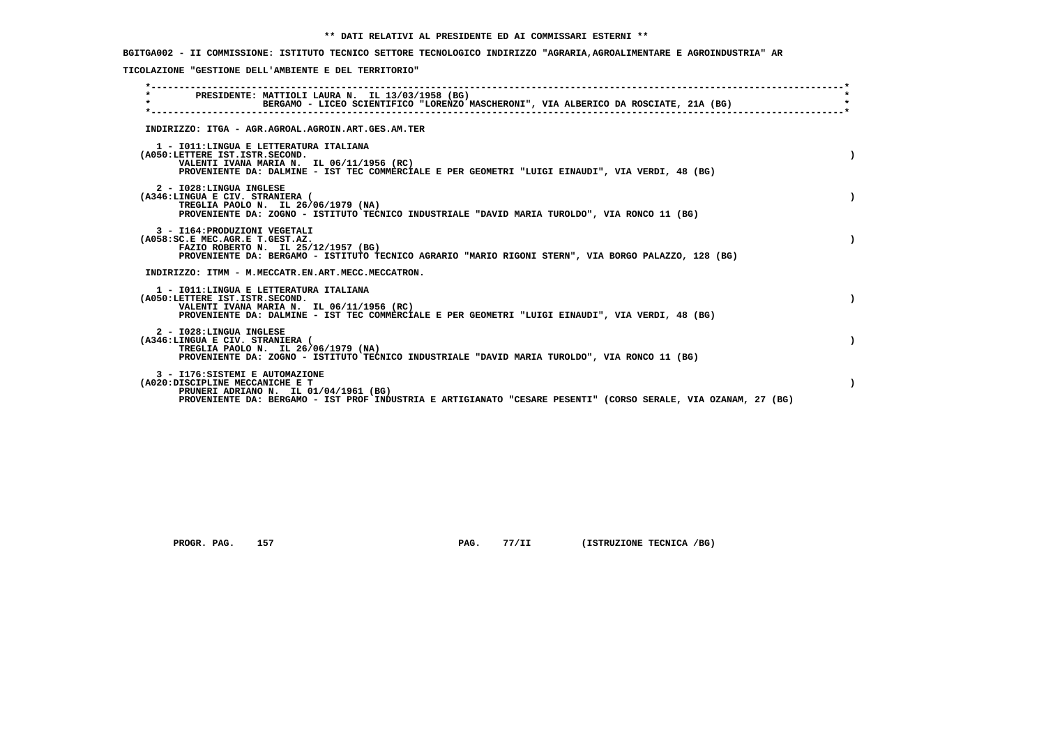**BGITGA002 - II COMMISSIONE: ISTITUTO TECNICO SETTORE TECNOLOGICO INDIRIZZO "AGRARIA,AGROALIMENTARE E AGROINDUSTRIA" AR**

 **TICOLAZIONE "GESTIONE DELL'AMBIENTE E DEL TERRITORIO"**

| PRESIDENTE: MATTIOLI LAURA N. IL 13/03/1958 (BG)<br>$\star$<br>BERGAMO - LICEO SCIENTIFICO "LORENZO MASCHERONI", VIA ALBERICO DA ROSCIATE, 21A (BG)                                                                           |  |
|-------------------------------------------------------------------------------------------------------------------------------------------------------------------------------------------------------------------------------|--|
| INDIRIZZO: ITGA - AGR.AGROAL.AGROIN.ART.GES.AM.TER                                                                                                                                                                            |  |
| 1 - IO11: LINGUA E LETTERATURA ITALIANA<br>(A050:LETTERE IST.ISTR.SECOND.<br>VALENTI IVANA MARIA N. IL 06/11/1956 (RC)<br>PROVENIENTE DA: DALMINE - IST TEC COMMERCIALE E PER GEOMETRI "LUIGI EINAUDI", VIA VERDI, 48 (BG)    |  |
| 2 - I028:LINGUA INGLESE<br>(A346:LINGUA E CIV. STRANIERA (<br>TREGLIA PAOLO N. IL 26/06/1979 (NA)<br>PROVENIENTE DA: ZOGNO - ISTITUTO TECNICO INDUSTRIALE "DAVID MARIA TUROLDO", VIA RONCO 11 (BG)                            |  |
| 3 - I164: PRODUZIONI VEGETALI<br>(A058:SC.E MEC.AGR.E T.GEST.AZ.<br>FAZIO ROBERTO N. IL 25/12/1957 (BG)<br>PROVENIENTE DA: BERGAMO - ISTITUTO TECNICO AGRARIO "MARIO RIGONI STERN", VIA BORGO PALAZZO, 128 (BG)               |  |
| INDIRIZZO: ITMM - M.MECCATR.EN.ART.MECC.MECCATRON.                                                                                                                                                                            |  |
| 1 - IO11: LINGUA E LETTERATURA ITALIANA<br>(A050:LETTERE IST.ISTR.SECOND.<br>VALENTI IVANA MARIA N. IL 06/11/1956 (RC)<br>PROVENIENTE DA: DALMINE - IST TEC COMMERCIALE E PER GEOMETRI "LUIGI EINAUDI", VIA VERDI, 48 (BG)    |  |
| 2 - I028:LINGUA INGLESE<br>(A346:LINGUA E CIV. STRANIERA (<br>TREGLIA PAOLO N. IL 26/06/1979 (NA)<br>PROVENIENTE DA: ZOGNO - ISTITUTO TECNICO INDUSTRIALE "DAVID MARIA TUROLDO", VIA RONCO 11 (BG)                            |  |
| 3 - I176: SISTEMI E AUTOMAZIONE<br>(A020:DISCIPLINE MECCANICHE E T<br>PRUNERI ADRIANO N. IL 01/04/1961 (BG)<br>PROVENIENTE DA: BERGAMO - IST PROF INDUSTRIA E ARTIGIANATO "CESARE PESENTI" (CORSO SERALE, VIA OZANAM, 27 (BG) |  |
|                                                                                                                                                                                                                               |  |

 **PROGR. PAG.** 157 **PAG.** 77/II (ISTRUZIONE TECNICA /BG)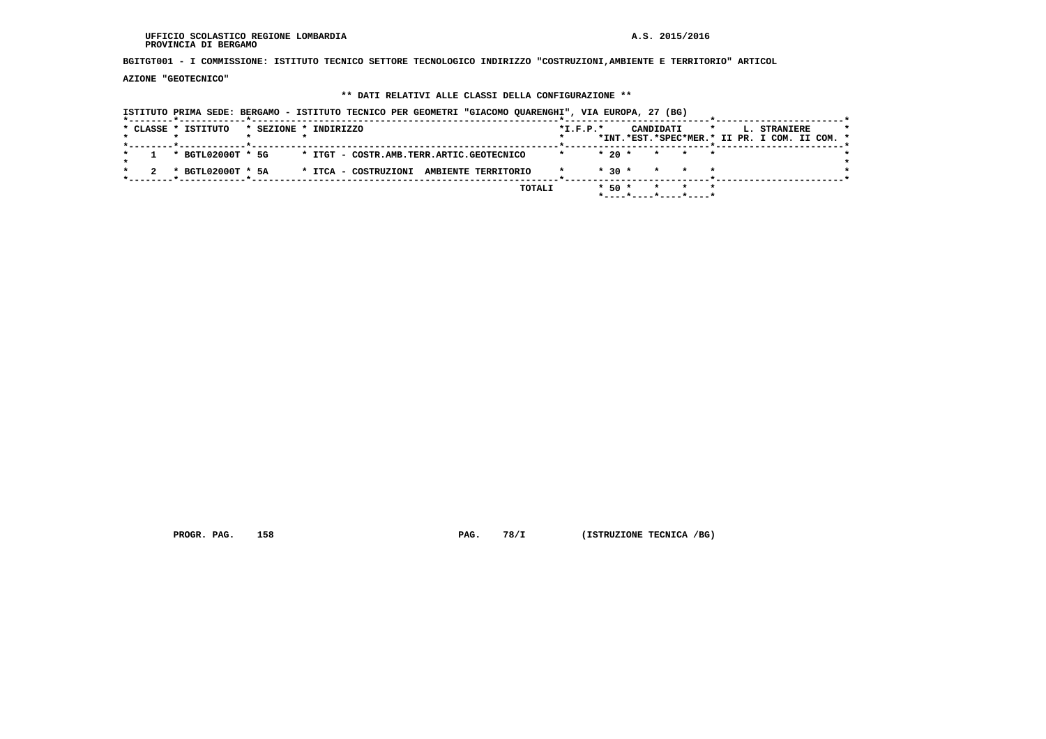**BGITGT001 - I COMMISSIONE: ISTITUTO TECNICO SETTORE TECNOLOGICO INDIRIZZO "COSTRUZIONI,AMBIENTE E TERRITORIO" ARTICOL**

 **AZIONE "GEOTECNICO"**

### **\*\* DATI RELATIVI ALLE CLASSI DELLA CONFIGURAZIONE \*\***

 **ISTITUTO PRIMA SEDE: BERGAMO - ISTITUTO TECNICO PER GEOMETRI "GIACOMO QUARENGHI", VIA EUROPA, 27 (BG) \*--------\*------------\*-------------------------------------------------------\*--------------------------\*-----------------------\*** $\star$  **\* CLASSE \* ISTITUTO \* SEZIONE \* INDIRIZZO \*I.F.P.\* CANDIDATI \* L. STRANIERE \* \* \* \* \* \* \*INT.\*EST.\*SPEC\*MER.\* II PR. I COM. II COM. \* \*--------\*------------\*-------------------------------------------------------\*--------------------------\*-----------------------\* \* 1 \* BGTL02000T \* 5G \* ITGT - COSTR.AMB.TERR.ARTIC.GEOTECNICO \* \* 20 \* \* \* \* \*** $\star$  **\* \*** $\cdot$  **\* 2 \* BGTL02000T \* 5A \* ITCA - COSTRUZIONI AMBIENTE TERRITORIO \* \* 30 \* \* \* \* \* \*--------\*------------\*-------------------------------------------------------\*--------------------------\*-----------------------\* TOTALI \* 50 \* \* \* \* \*----\*----\*----\*----\***

 **PROGR. PAG. 158 PAG. 78/I (ISTRUZIONE TECNICA /BG)**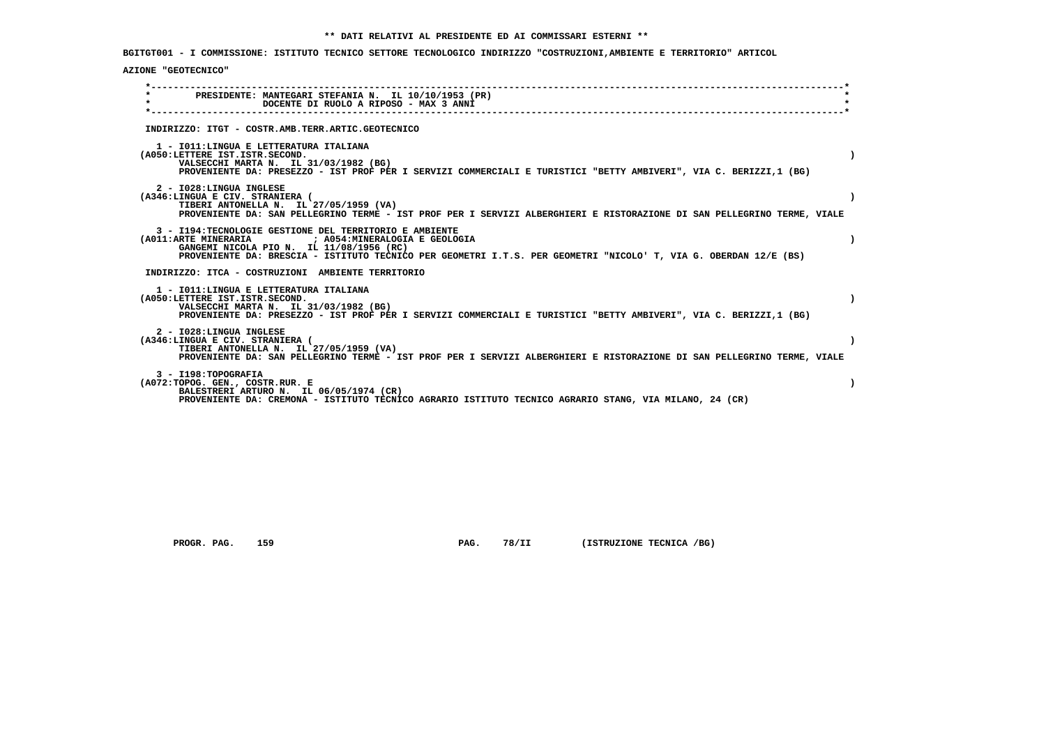**BGITGT001 - I COMMISSIONE: ISTITUTO TECNICO SETTORE TECNOLOGICO INDIRIZZO "COSTRUZIONI,AMBIENTE E TERRITORIO" ARTICOL**

## **AZIONE "GEOTECNICO"**

|         | PRESIDENTE: MANTEGARI STEFANIA N. IL 10/10/1953 (PR)                                                                                                       |           |
|---------|------------------------------------------------------------------------------------------------------------------------------------------------------------|-----------|
| $\star$ | DOCENTE DI RUOLO A RIPOSO - MAX 3 ANNI                                                                                                                     |           |
|         |                                                                                                                                                            |           |
|         | INDIRIZZO: ITGT - COSTR.AMB.TERR.ARTIC.GEOTECNICO                                                                                                          |           |
|         | 1 - IO11: LINGUA E LETTERATURA ITALIANA                                                                                                                    |           |
|         | (A050:LETTERE IST.ISTR.SECOND.                                                                                                                             | $\lambda$ |
|         | VALSECCHI MARTA N. IL 31/03/1982 (BG)<br>PROVENIENTE DA: PRESEZZO - IST PROF PER I SERVIZI COMMERCIALI E TURISTICI "BETTY AMBIVERI", VIA C. BERIZZI,1 (BG) |           |
|         | 2 - I028: LINGUA INGLESE                                                                                                                                   |           |
|         | (A346:LINGUA E CIV. STRANIERA (<br>TIBERI ANTONELLA N. IL 27/05/1959 (VA)                                                                                  |           |
|         | PROVENIENTE DA: SAN PELLEGRINO TERME - IST PROF PER I SERVIZI ALBERGHIERI E RISTORAZIONE DI SAN PELLEGRINO TERME, VIALE                                    |           |
|         | 3 - I194:TECNOLOGIE GESTIONE DEL TERRITORIO E AMBIENTE                                                                                                     |           |
|         | GANGEMI NICOLA PIO N. IL 11/08/1956 (RC)                                                                                                                   |           |
|         | PROVENIENTE DA: BRESCIA - ISTITUTO TECNICO PER GEOMETRI I.T.S. PER GEOMETRI "NICOLO' T, VIA G. OBERDAN 12/E (BS)                                           |           |
|         | INDIRIZZO: ITCA - COSTRUZIONI AMBIENTE TERRITORIO                                                                                                          |           |
|         | 1 - IO11: LINGUA E LETTERATURA ITALIANA                                                                                                                    |           |
|         | (A050:LETTERE IST.ISTR.SECOND.<br>VALSECCHI MARTA N. IL 31/03/1982 (BG)                                                                                    |           |
|         | PROVENIENTE DA: PRESEZZO - IST PROF PER I SERVIZI COMMERCIALI E TURISTICI "BETTY AMBIVERI", VIA C. BERIZZI,1 (BG)                                          |           |
|         | 2 - I028: LINGUA INGLESE                                                                                                                                   |           |
|         | (A346:LINGUA E CIV. STRANIERA (<br>TIBERI ANTONELLA N. IL 27/05/1959 (VA)                                                                                  |           |
|         | PROVENIENTE DA: SAN PELLEGRINO TERME - IST PROF PER I SERVIZI ALBERGHIERI E RISTORAZIONE DI SAN PELLEGRINO TERME, VIALE                                    |           |
|         | 3 - I198: TOPOGRAFIA                                                                                                                                       |           |
|         | (A072:TOPOG. GEN., COSTR.RUR. E<br>BALESTRERI ARTURO N. IL 06/05/1974 (CR)                                                                                 |           |
|         | PROVENIENTE DA: CREMONA - ISTITUTO TECNICO AGRARIO ISTITUTO TECNICO AGRARIO STANG, VIA MILANO, 24 (CR)                                                     |           |

 **PROGR. PAG.** 159 **PAG.** 78/II (ISTRUZIONE TECNICA /BG)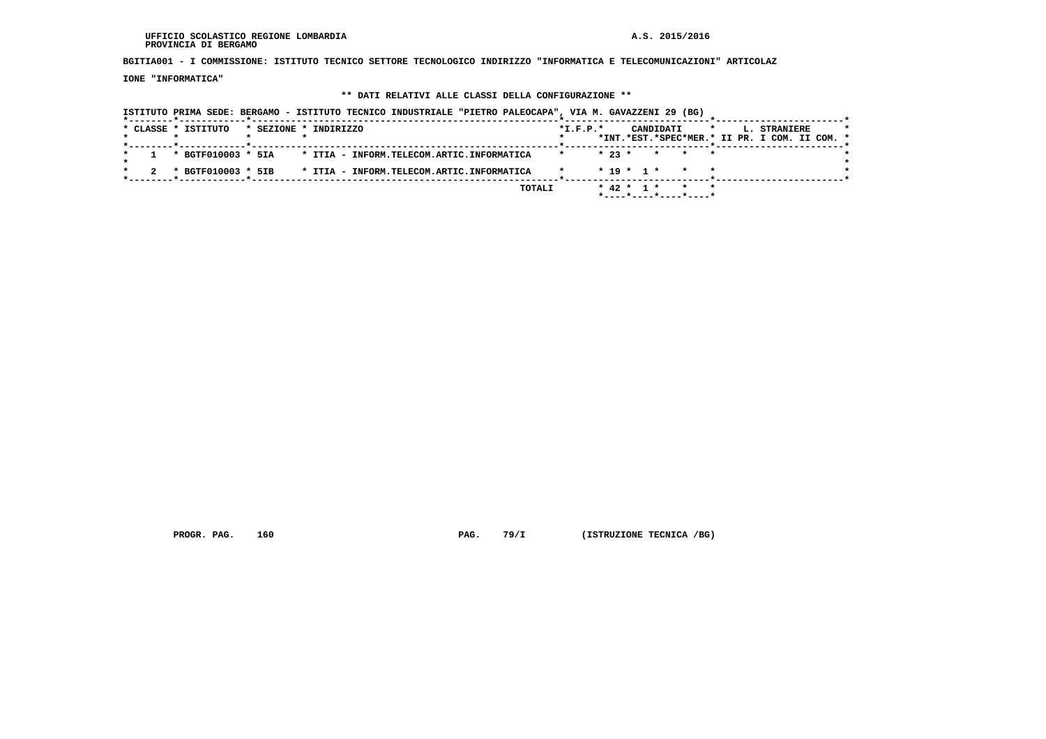**BGITIA001 - I COMMISSIONE: ISTITUTO TECNICO SETTORE TECNOLOGICO INDIRIZZO "INFORMATICA E TELECOMUNICAZIONI" ARTICOLAZ**

 **IONE "INFORMATICA"**

## **\*\* DATI RELATIVI ALLE CLASSI DELLA CONFIGURAZIONE \*\***

| ISTITUTO PRIMA SEDE: BERGAMO - ISTITUTO TECNICO INDUSTRIALE "PIETRO PALEOCAPA", VIA M. GAVAZZENI 29 (BG) |                                                                                                     |  |
|----------------------------------------------------------------------------------------------------------|-----------------------------------------------------------------------------------------------------|--|
| * CLASSE * ISTITUTO<br>* SEZIONE * INDIRIZZO                                                             | $*I.F.P.*$<br>CANDIDATI<br>$\star$<br>L. STRANIERE<br>*INT.*EST.*SPEC*MER.* II PR. I COM. II COM. * |  |
| * BGTF010003 * 5IA<br>* ITIA - INFORM.TELECOM.ARTIC.INFORMATICA                                          | $* 23 *$<br>* * *                                                                                   |  |
| * BGTF010003 * 5IB<br>* ITIA - INFORM.TELECOM.ARTIC.INFORMATICA                                          | $* 19 * 1 *$<br>$\star$                                                                             |  |
| TOTALI                                                                                                   | $* 42 * 1 *$<br>* * *<br>*----*----*----*----*                                                      |  |

 **PROGR. PAG.** 160 **PAG. 79/I** (ISTRUZIONE TECNICA /BG)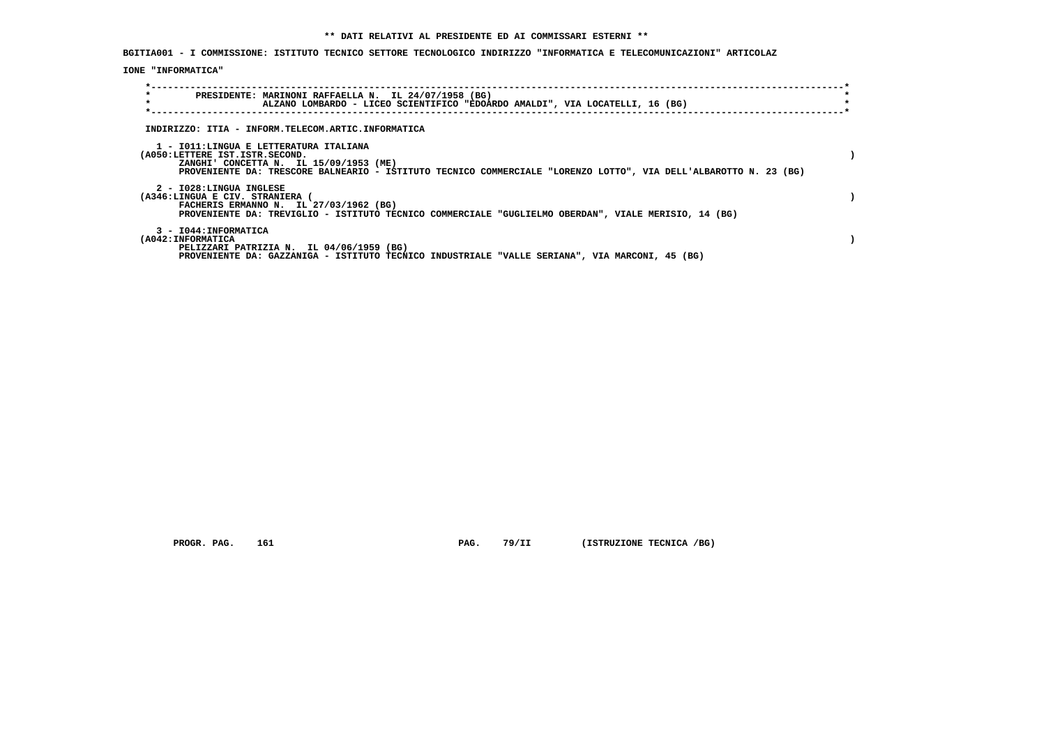**BGITIA001 - I COMMISSIONE: ISTITUTO TECNICO SETTORE TECNOLOGICO INDIRIZZO "INFORMATICA E TELECOMUNICAZIONI" ARTICOLAZ**

 **IONE "INFORMATICA"**

|                    | PRESIDENTE: MARINONI RAFFAELLA N. IL 24/07/1958 (BG)<br>ALZANO LOMBARDO - LICEO SCIENTIFICO "EDOARDO AMALDI", VIA LOCATELLI, 16 (BG)                                                                                                    |  |
|--------------------|-----------------------------------------------------------------------------------------------------------------------------------------------------------------------------------------------------------------------------------------|--|
|                    | INDIRIZZO: ITIA - INFORM.TELECOM.ARTIC.INFORMATICA                                                                                                                                                                                      |  |
|                    | 1 - IO11: LINGUA E LETTERATURA ITALIANA<br>(A050:LETTERE IST.ISTR.SECOND.<br>ZANGHI' CONCETTA N. IL 15/09/1953 (ME)<br>PROVENIENTE DA: TRESCORE BALNEARIO - ISTITUTO TECNICO COMMERCIALE "LORENZO LOTTO", VIA DELL'ALBAROTTO N. 23 (BG) |  |
|                    | 2 - I028:LINGUA INGLESE<br>(A346:LINGUA E CIV. STRANIERA<br>FACHERIS ERMANNO N. IL 27/03/1962 (BG)<br>PROVENIENTE DA: TREVIGLIO - ISTITUTO TECNICO COMMERCIALE "GUGLIELMO OBERDAN", VIALE MERISIO, 14 (BG)                              |  |
| (A042: INFORMATICA | 3 - I044: INFORMATICA<br>PELIZZARI PATRIZIA N. IL 04/06/1959 (BG)<br>PROVENIENTE DA: GAZZANIGA - ISTITUTO TECNICO INDUSTRIALE "VALLE SERIANA", VIA MARCONI, 45 (BG)                                                                     |  |

 **PROGR. PAG. 161 PAG. 79/II (ISTRUZIONE TECNICA /BG)**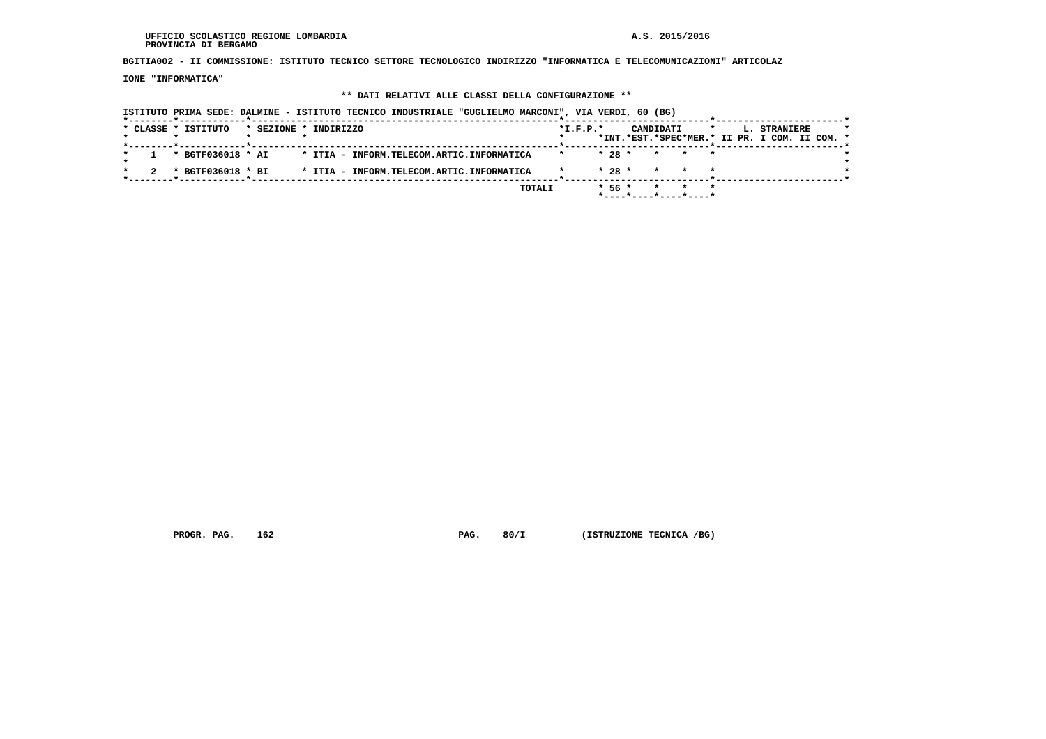**BGITIA002 - II COMMISSIONE: ISTITUTO TECNICO SETTORE TECNOLOGICO INDIRIZZO "INFORMATICA E TELECOMUNICAZIONI" ARTICOLAZ**

 **IONE "INFORMATICA"**

### **\*\* DATI RELATIVI ALLE CLASSI DELLA CONFIGURAZIONE \*\***

 **ISTITUTO PRIMA SEDE: DALMINE - ISTITUTO TECNICO INDUSTRIALE "GUGLIELMO MARCONI", VIA VERDI, 60 (BG) \*--------\*------------\*-------------------------------------------------------\*--------------------------\*-----------------------\*** $\star$  **\* CLASSE \* ISTITUTO \* SEZIONE \* INDIRIZZO \*I.F.P.\* CANDIDATI \* L. STRANIERE \* \* \* \* \* \* \*INT.\*EST.\*SPEC\*MER.\* II PR. I COM. II COM. \* \*--------\*------------\*-------------------------------------------------------\*--------------------------\*-----------------------\* \* 1 \* BGTF036018 \* AI \* ITIA - INFORM.TELECOM.ARTIC.INFORMATICA \* \* 28 \* \* \* \* \*** $\star$  **\* \*** $\cdot$  **\* 2 \* BGTF036018 \* BI \* ITIA - INFORM.TELECOM.ARTIC.INFORMATICA \* \* 28 \* \* \* \* \* \*--------\*------------\*-------------------------------------------------------\*--------------------------\*-----------------------\* TOTALI \* 56 \* \* \* \* \*----\*----\*----\*----\***

 **PROGR. PAG. 162 PAG. 80/I (ISTRUZIONE TECNICA /BG)**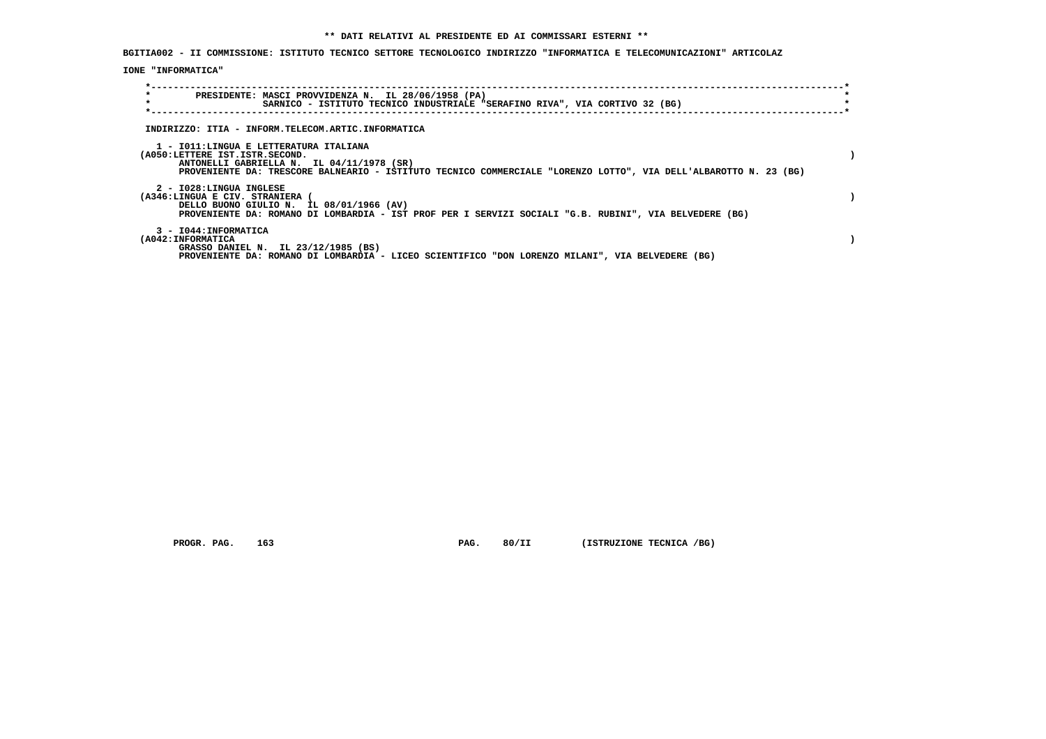**BGITIA002 - II COMMISSIONE: ISTITUTO TECNICO SETTORE TECNOLOGICO INDIRIZZO "INFORMATICA E TELECOMUNICAZIONI" ARTICOLAZ**

 **IONE "INFORMATICA"**

| PRESIDENTE: MASCI PROVVIDENZA N. IL 28/06/1958 (PA)                                                              |  |
|------------------------------------------------------------------------------------------------------------------|--|
| SARNICO - ISTITUTO TECNICO INDUSTRIALE "SERAFINO RIVA", VIA CORTIVO 32 (BG)                                      |  |
|                                                                                                                  |  |
| INDIRIZZO: ITIA - INFORM.TELECOM.ARTIC.INFORMATICA                                                               |  |
| 1 - IO11:LINGUA E LETTERATURA ITALIANA                                                                           |  |
| (A050:LETTERE IST.ISTR.SECOND.                                                                                   |  |
| ANTONELLI GABRIELLA N. IL 04/11/1978 (SR)                                                                        |  |
| PROVENIENTE DA: TRESCORE BALNEARIO - ISTITUTO TECNICO COMMERCIALE "LORENZO LOTTO", VIA DELL'ALBAROTTO N. 23 (BG) |  |
| 2 - I028:LINGUA INGLESE                                                                                          |  |
| (A346:LINGUA E CIV. STRANIERA                                                                                    |  |
| DELLO BUONO GIULIO N. IL 08/01/1966 (AV)                                                                         |  |
| PROVENIENTE DA: ROMANO DI LOMBARDIA - IST PROF PER I SERVIZI SOCIALI "G.B. RUBINI", VIA BELVEDERE (BG)           |  |
| 3 - I044: INFORMATICA                                                                                            |  |
| (A042: INFORMATICA                                                                                               |  |
| GRASSO DANIEL N. IL 23/12/1985 (BS)                                                                              |  |
| PROVENIENTE DA: ROMANO DI LOMBARDIA - LICEO SCIENTIFICO "DON LORENZO MILANI", VIA BELVEDERE (BG)                 |  |

 **PROGR. PAG. 163 PAG. 80/II (ISTRUZIONE TECNICA /BG)**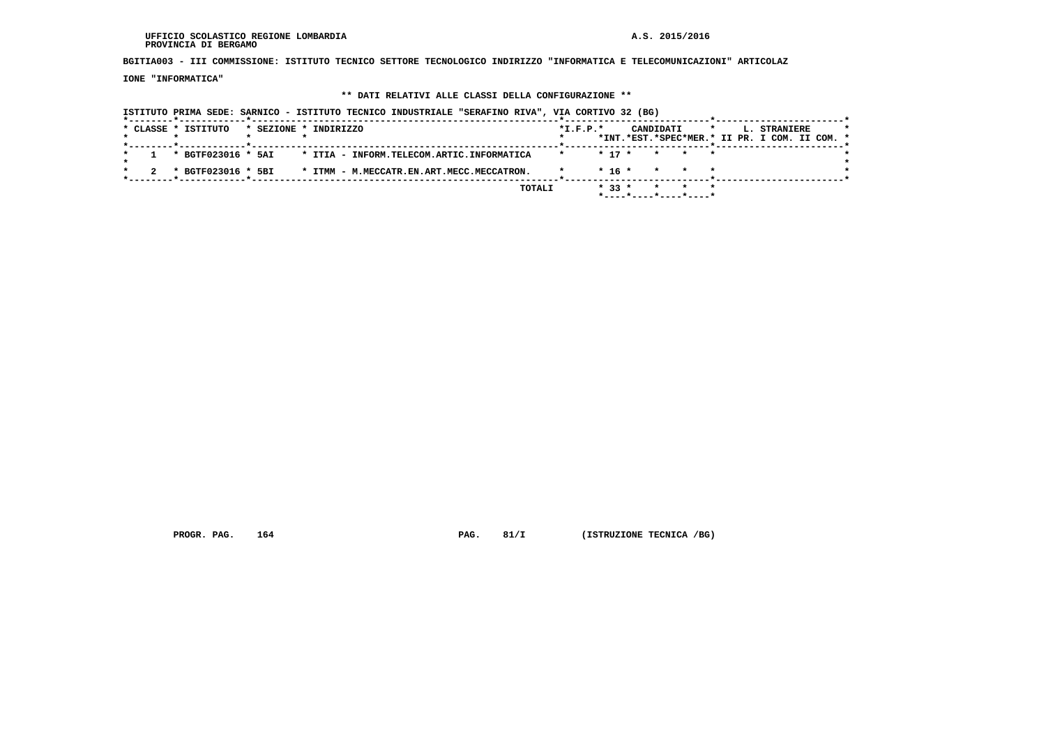**BGITIA003 - III COMMISSIONE: ISTITUTO TECNICO SETTORE TECNOLOGICO INDIRIZZO "INFORMATICA E TELECOMUNICAZIONI" ARTICOLAZ**

 **IONE "INFORMATICA"**

### **\*\* DATI RELATIVI ALLE CLASSI DELLA CONFIGURAZIONE \*\***

 **ISTITUTO PRIMA SEDE: SARNICO - ISTITUTO TECNICO INDUSTRIALE "SERAFINO RIVA", VIA CORTIVO 32 (BG) \*--------\*------------\*-------------------------------------------------------\*--------------------------\*-----------------------\*** $\star$  **\* CLASSE \* ISTITUTO \* SEZIONE \* INDIRIZZO \*I.F.P.\* CANDIDATI \* L. STRANIERE \* \* \* \* \* \* \*INT.\*EST.\*SPEC\*MER.\* II PR. I COM. II COM. \* \*--------\*------------\*-------------------------------------------------------\*--------------------------\*-----------------------\* \* 1 \* BGTF023016 \* 5AI \* ITIA - INFORM.TELECOM.ARTIC.INFORMATICA \* \* 17 \* \* \* \* \*** $\star$  **\* \*** $\cdot$  **\* 2 \* BGTF023016 \* 5BI \* ITMM - M.MECCATR.EN.ART.MECC.MECCATRON. \* \* 16 \* \* \* \* \* \*--------\*------------\*-------------------------------------------------------\*--------------------------\*-----------------------\* TOTALI \* 33 \* \* \* \* \*----\*----\*----\*----\***

 **PROGR. PAG.** 164 **PROGR. PAG. 81/I (ISTRUZIONE TECNICA /BG)**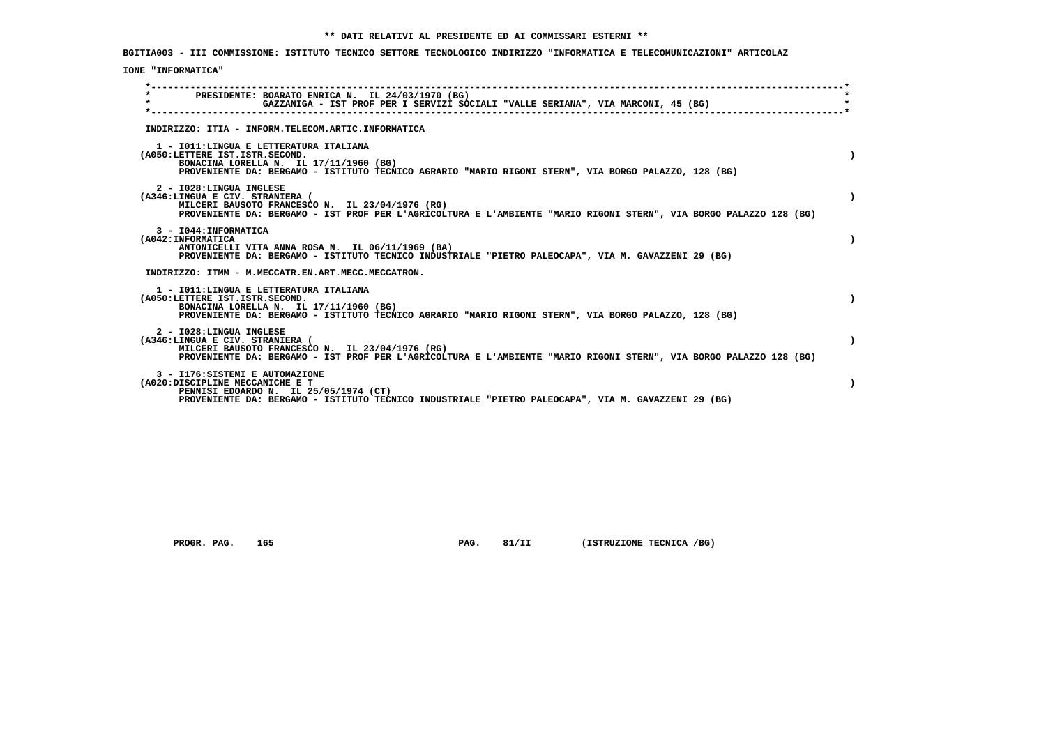**BGITIA003 - III COMMISSIONE: ISTITUTO TECNICO SETTORE TECNOLOGICO INDIRIZZO "INFORMATICA E TELECOMUNICAZIONI" ARTICOLAZ**

## **IONE "INFORMATICA"**

| $\star$ | PRESIDENTE: BOARATO ENRICA N. IL 24/03/1970 (BG)<br>GAZZANIGA - IST PROF PER I SERVIZI SOCIALI "VALLE SERIANA", VIA MARCONI, 45 (BG)                                                                                                 |  |
|---------|--------------------------------------------------------------------------------------------------------------------------------------------------------------------------------------------------------------------------------------|--|
|         | INDIRIZZO: ITIA - INFORM.TELECOM.ARTIC.INFORMATICA                                                                                                                                                                                   |  |
|         | 1 - IO11:LINGUA E LETTERATURA ITALIANA<br>(A050:LETTERE IST.ISTR.SECOND.<br>BONACINA LORELLA N. IL 17/11/1960 (BG)<br>PROVENIENTE DA: BERGAMO - ISTITUTO TECNICO AGRARIO "MARIO RIGONI STERN", VIA BORGO PALAZZO, 128 (BG)           |  |
|         | 2 - I028:LINGUA INGLESE<br>(A346:LINGUA E CIV. STRANIERA (<br>MILCERI BAUSOTO FRANCESCO N. IL 23/04/1976 (RG)<br>PROVENIENTE DA: BERGAMO - IST PROF PER L'AGRICOLTURA E L'AMBIENTE "MARIO RIGONI STERN", VIA BORGO PALAZZO 128 (BG)  |  |
|         | 3 - I044: INFORMATICA<br>(A042: INFORMATICA<br>ANTONICELLI VITA ANNA ROSA N. IL 06/11/1969 (BA)<br>PROVENIENTE DA: BERGAMO - ISTITUTO TECNICO INDUSTRIALE "PIETRO PALEOCAPA", VIA M. GAVAZZENI 29 (BG)                               |  |
|         | INDIRIZZO: ITMM - M.MECCATR.EN.ART.MECC.MECCATRON.                                                                                                                                                                                   |  |
|         | 1 - IO11: LINGUA E LETTERATURA ITALIANA<br>(A050:LETTERE IST.ISTR.SECOND.<br>BONACINA LORELLA N. IL 17/11/1960 (BG)<br>PROVENIENTE DA: BERGAMO - ISTITUTO TECNICO AGRARIO "MARIO RIGONI STERN", VIA BORGO PALAZZO, 128 (BG)          |  |
|         | 2 - I028: LINGUA INGLESE<br>(A346:LINGUA E CIV. STRANIERA (<br>MILCERI BAUSOTO FRANCESCO N. IL 23/04/1976 (RG)<br>PROVENIENTE DA: BERGAMO - IST PROF PER L'AGRICOLTURA E L'AMBIENTE "MARIO RIGONI STERN", VIA BORGO PALAZZO 128 (BG) |  |
|         | 3 - I176: SISTEMI E AUTOMAZIONE<br>(A020:DISCIPLINE MECCANICHE E T<br>PENNISI EDOARDO N. IL 25/05/1974 (CT)<br>PROVENIENTE DA: BERGAMO - ISTITUTO TECNICO INDUSTRIALE "PIETRO PALEOCAPA", VIA M. GAVAZZENI 29 (BG)                   |  |

 **PROGR. PAG. 165 PAG. 81/II (ISTRUZIONE TECNICA /BG)**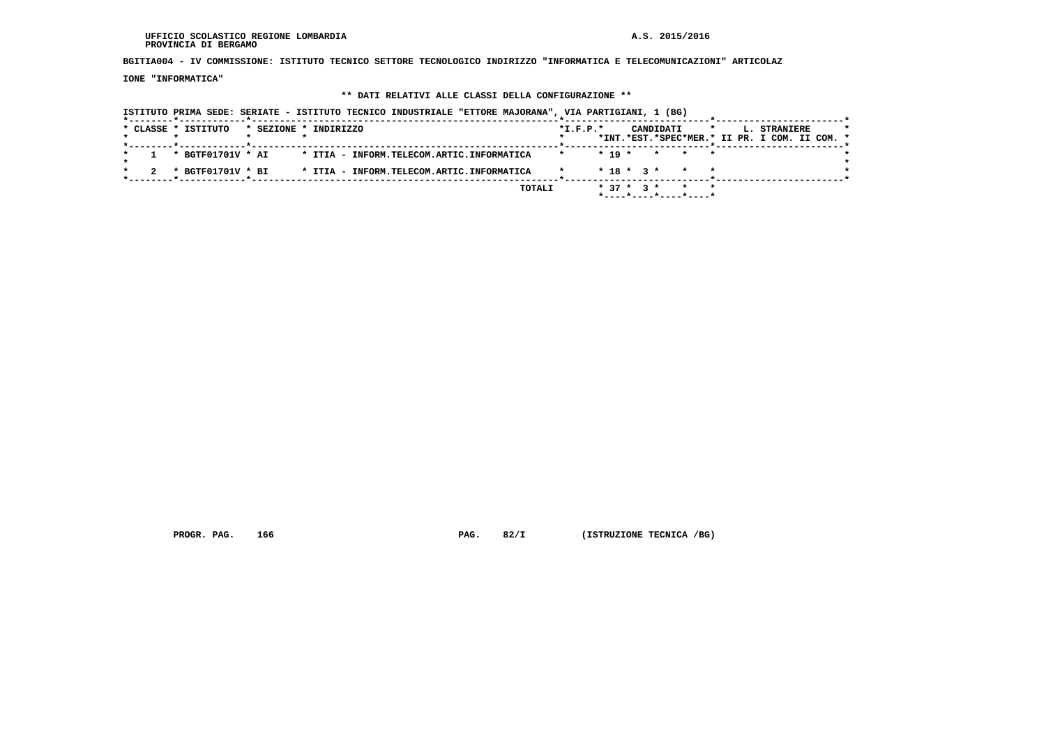**BGITIA004 - IV COMMISSIONE: ISTITUTO TECNICO SETTORE TECNOLOGICO INDIRIZZO "INFORMATICA E TELECOMUNICAZIONI" ARTICOLAZ**

 **IONE "INFORMATICA"**

### **\*\* DATI RELATIVI ALLE CLASSI DELLA CONFIGURAZIONE \*\***

 **ISTITUTO PRIMA SEDE: SERIATE - ISTITUTO TECNICO INDUSTRIALE "ETTORE MAJORANA", VIA PARTIGIANI, 1 (BG) \*--------\*------------\*-------------------------------------------------------\*--------------------------\*-----------------------\*** $\star$  **\* CLASSE \* ISTITUTO \* SEZIONE \* INDIRIZZO \*I.F.P.\* CANDIDATI \* L. STRANIERE \* \* \* \* \* \* \*INT.\*EST.\*SPEC\*MER.\* II PR. I COM. II COM. \* \*--------\*------------\*-------------------------------------------------------\*--------------------------\*-----------------------\* \* 1 \* BGTF01701V \* AI \* ITIA - INFORM.TELECOM.ARTIC.INFORMATICA \* \* 19 \* \* \* \* \*** $\star$  **\* \*** $\cdot$  **\* 2 \* BGTF01701V \* BI \* ITIA - INFORM.TELECOM.ARTIC.INFORMATICA \* \* 18 \* 3 \* \* \* \***-------------\*------------------------\*  **\*--------\*------------\*-------------------------------------------------------\*--------------------------\*-----------------------\* TOTALI \* 37 \* 3 \* \* \* \*----\*----\*----\*----\***

 **PROGR. PAG.** 166 **PROGR. PAG. 82/I (ISTRUZIONE TECNICA /BG)**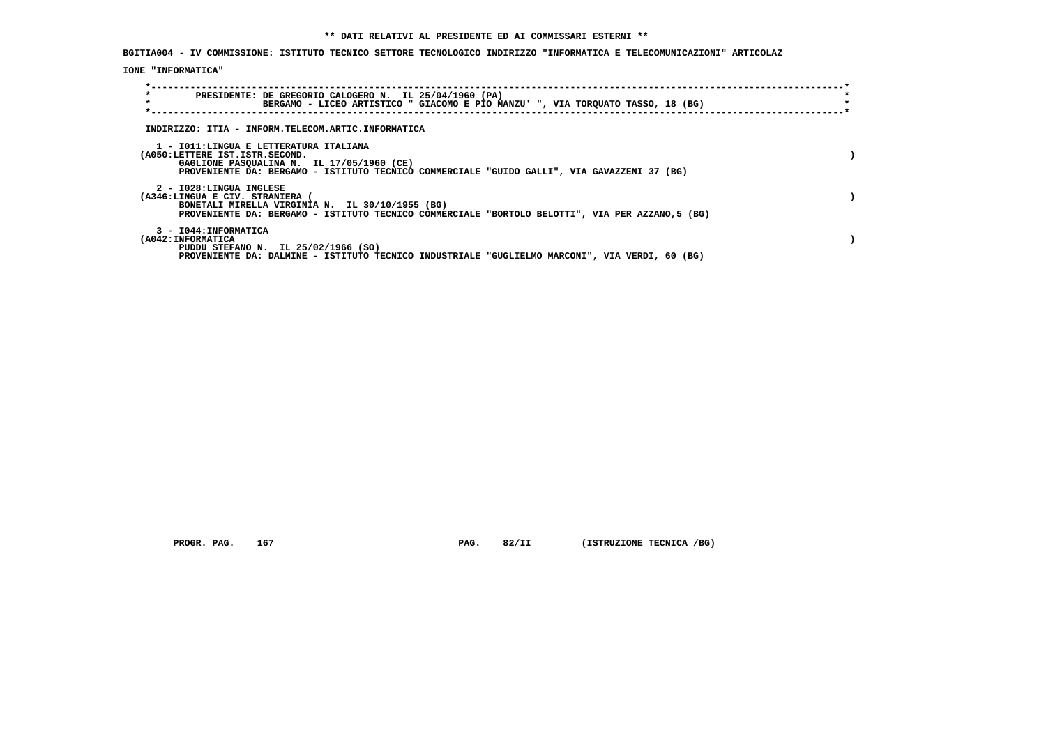**BGITIA004 - IV COMMISSIONE: ISTITUTO TECNICO SETTORE TECNOLOGICO INDIRIZZO "INFORMATICA E TELECOMUNICAZIONI" ARTICOLAZ**

 **IONE "INFORMATICA"**

| PRESIDENTE: DE GREGORIO CALOGERO N. IL 25/04/1960 (PA)<br>BERGAMO - LICEO ARTISTICO " GIACOMO E PIO MANZU' ", VIA TORQUATO TASSO, 18 (BG)                                                                            |  |
|----------------------------------------------------------------------------------------------------------------------------------------------------------------------------------------------------------------------|--|
| INDIRIZZO: ITIA - INFORM.TELECOM.ARTIC.INFORMATICA                                                                                                                                                                   |  |
| 1 - IO11:LINGUA E LETTERATURA ITALIANA<br>(A050:LETTERE IST.ISTR.SECOND.<br>GAGLIONE PASQUALINA N. IL 17/05/1960 (CE)<br>PROVENIENTE DA: BERGAMO - ISTITUTO TECNICO COMMERCIALE "GUIDO GALLI", VIA GAVAZZENI 37 (BG) |  |
| 2 - I028:LINGUA INGLESE<br>(A346:LINGUA E CIV. STRANIERA (<br>BONETALI MIRELLA VIRGINIA N. IL 30/10/1955 (BG)<br>PROVENIENTE DA: BERGAMO - ISTITUTO TECNICO COMMERCIALE "BORTOLO BELOTTI", VIA PER AZZANO,5 (BG)     |  |
| 3 - I044: INFORMATICA<br>(A042:INFORMATICA<br>PUDDU STEFANO N. IL 25/02/1966 (SO)<br>PROVENIENTE DA: DALMINE - ISTITUTO TECNICO INDUSTRIALE "GUGLIELMO MARCONI", VIA VERDI, 60 (BG)                                  |  |

 **PROGR. PAG. 167 PAG. 82/II (ISTRUZIONE TECNICA /BG)**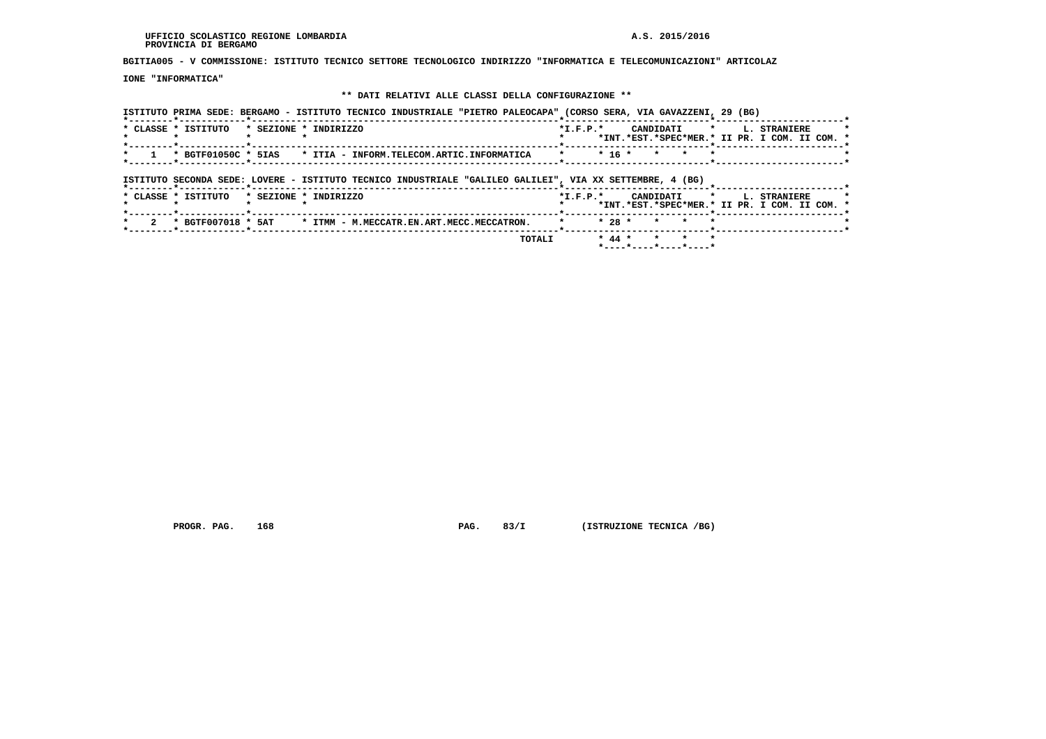**BGITIA005 - V COMMISSIONE: ISTITUTO TECNICO SETTORE TECNOLOGICO INDIRIZZO "INFORMATICA E TELECOMUNICAZIONI" ARTICOLAZ**

 **IONE "INFORMATICA"**

# **\*\* DATI RELATIVI ALLE CLASSI DELLA CONFIGURAZIONE \*\***

| ISTITUTO PRIMA SEDE: BERGAMO - ISTITUTO TECNICO INDUSTRIALE "PIETRO PALEOCAPA" (CORSO SERA, VIA GAVAZZENI, 29 (BG) |                                                                                                               |
|--------------------------------------------------------------------------------------------------------------------|---------------------------------------------------------------------------------------------------------------|
| * CLASSE * ISTITUTO<br>* SEZIONE * INDIRIZZO                                                                       | $\star$<br>CANDIDATI<br>L. STRANIERE<br>$*_{\texttt{I.F.P.}}*$<br>*INT.*EST.*SPEC*MER.* II PR. I COM. II COM. |
| * BGTF01050C * 5IAS<br>* ITIA - INFORM.TELECOM.ARTIC.INFORMATICA                                                   | $* 16 *$<br>$\star$<br>$\star$                                                                                |
| ISTITUTO SECONDA SEDE: LOVERE - ISTITUTO TECNICO INDUSTRIALE "GALILEO GALILEI", VIA XX SETTEMBRE, 4 (BG)           |                                                                                                               |
| * CLASSE * ISTITUTO<br>* SEZIONE * INDIRIZZO                                                                       | $*L.F.P.*$<br>CANDIDATI<br>$\star$<br>L. STRANIERE<br>*INT.*EST.*SPEC*MER.* II PR. I COM. II COM.             |
| * BGTF007018 * 5AT<br>* ITMM - M.MECCATR.EN.ART.MECC.MECCATRON.                                                    | $* 28 *$                                                                                                      |
| TOTALI                                                                                                             | $* 44 *$<br>$\star$<br>$\mathbf{r}$<br>$\rightarrow$<br>*----*----*----*----*                                 |

 **PROGR. PAG.** 168 **PAG. 83/I** (ISTRUZIONE TECNICA /BG)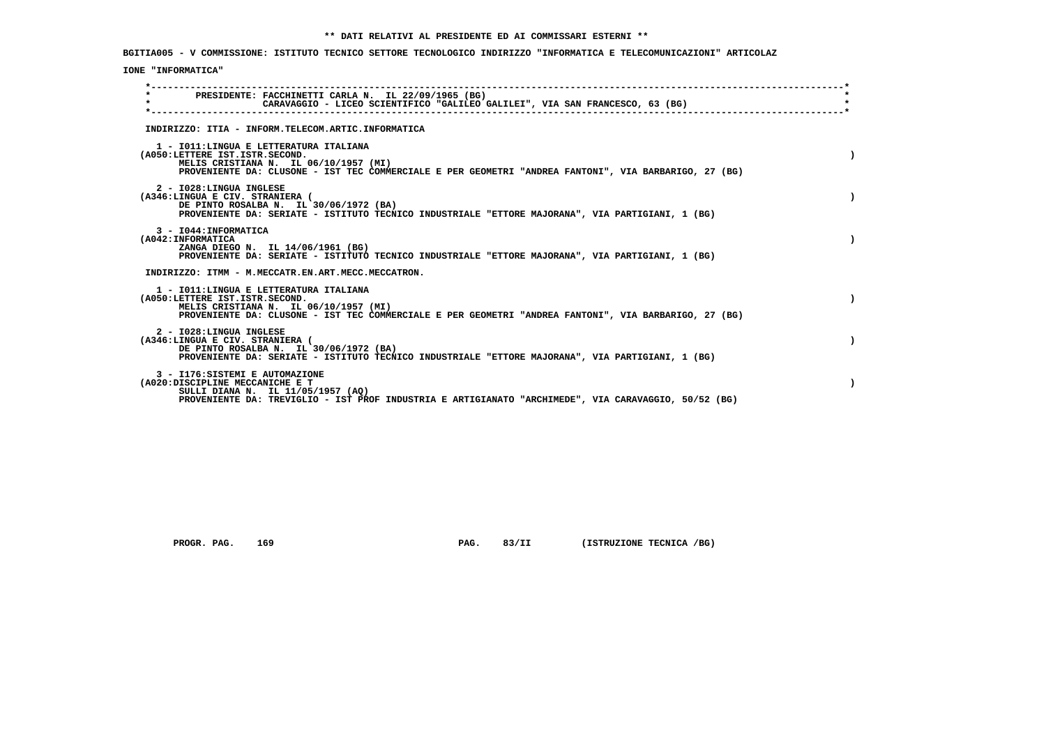**BGITIA005 - V COMMISSIONE: ISTITUTO TECNICO SETTORE TECNOLOGICO INDIRIZZO "INFORMATICA E TELECOMUNICAZIONI" ARTICOLAZ**

## **IONE "INFORMATICA"**

| $\star$ | PRESIDENTE: FACCHINETTI CARLA N. IL 22/09/1965 (BG)<br>CARAVAGGIO - LICEO SCIENTIFICO "GALILEO GALILEI", VIA SAN FRANCESCO, 63 (BG)                                                                                         |  |
|---------|-----------------------------------------------------------------------------------------------------------------------------------------------------------------------------------------------------------------------------|--|
|         | INDIRIZZO: ITIA - INFORM.TELECOM.ARTIC.INFORMATICA                                                                                                                                                                          |  |
|         | 1 - IO11: LINGUA E LETTERATURA ITALIANA<br>(A050:LETTERE IST.ISTR.SECOND.<br>MELIS CRISTIANA N. IL 06/10/1957 (MI)<br>PROVENIENTE DA: CLUSONE - IST TEC COMMERCIALE E PER GEOMETRI "ANDREA FANTONI", VIA BARBARIGO, 27 (BG) |  |
|         | 2 - I028:LINGUA INGLESE<br>(A346:LINGUA E CIV. STRANIERA (<br>DE PINTO ROSALBA N. IL 30/06/1972 (BA)<br>PROVENIENTE DA: SERIATE - ISTITUTO TECNICO INDUSTRIALE "ETTORE MAJORANA", VIA PARTIGIANI, 1 (BG)                    |  |
|         | 3 - I044: INFORMATICA<br>(A042: INFORMATICA<br>ZANGA DIEGO N. IL 14/06/1961 (BG)<br>PROVENIENTE DA: SERIATE - ISTITUTO TECNICO INDUSTRIALE "ETTORE MAJORANA", VIA PARTIGIANI, 1 (BG)                                        |  |
|         | INDIRIZZO: ITMM - M.MECCATR.EN.ART.MECC.MECCATRON.                                                                                                                                                                          |  |
|         | 1 - IO11: LINGUA E LETTERATURA ITALIANA<br>(A050:LETTERE IST.ISTR.SECOND.<br>MELIS CRISTIANA N. IL 06/10/1957 (MI)<br>PROVENIENTE DA: CLUSONE - IST TEC COMMERCIALE E PER GEOMETRI "ANDREA FANTONI", VIA BARBARIGO, 27 (BG) |  |
|         | 2 - I028:LINGUA INGLESE<br>(A346:LINGUA E CIV. STRANIERA (<br>DE PINTO ROSALBA N. IL 30/06/1972 (BA)<br>PROVENIENTE DA: SERIATE - ISTITUTO TECNICO INDUSTRIALE "ETTORE MAJORANA", VIA PARTIGIANI, 1 (BG)                    |  |
|         | 3 - I176: SISTEMI E AUTOMAZIONE<br>(A020:DISCIPLINE MECCANICHE E T<br>SULLI DIANA N. IL 11/05/1957 (AQ)<br>PROVENIENTE DA: TREVIGLIO - IST PROF INDUSTRIA E ARTIGIANATO "ARCHIMEDE", VIA CARAVAGGIO, 50/52 (BG)             |  |

 **PROGR. PAG.** 169 **PAG. 83/II (ISTRUZIONE TECNICA /BG)**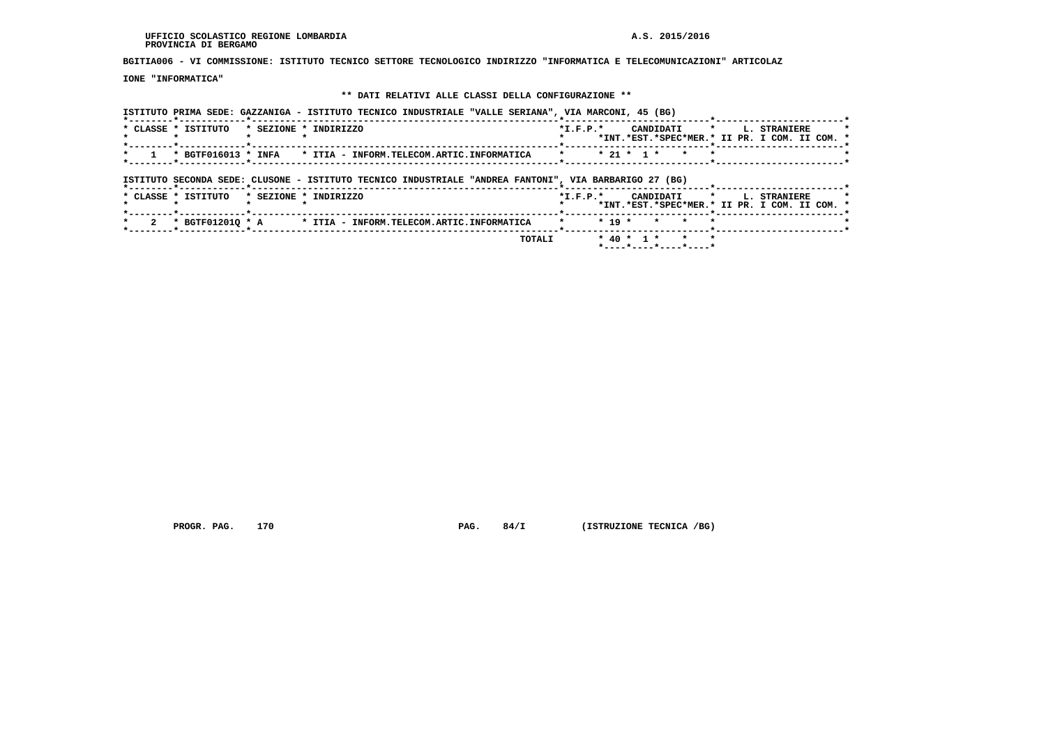**BGITIA006 - VI COMMISSIONE: ISTITUTO TECNICO SETTORE TECNOLOGICO INDIRIZZO "INFORMATICA E TELECOMUNICAZIONI" ARTICOLAZ**

 **IONE "INFORMATICA"**

## **\*\* DATI RELATIVI ALLE CLASSI DELLA CONFIGURAZIONE \*\***

 **ISTITUTO PRIMA SEDE: GAZZANIGA - ISTITUTO TECNICO INDUSTRIALE "VALLE SERIANA", VIA MARCONI, 45 (BG)**

| * CLASSE * ISTITUTO                                      | * SEZIONE * INDIRIZZO                                                                                 | $*$ I.F.P. $*$                    |          |              | CANDIDATI |         | $\star$ . | L. STRANIERE<br>*INT.*EST.*SPEC*MER.* II PR. I COM. II COM. * |  |
|----------------------------------------------------------|-------------------------------------------------------------------------------------------------------|-----------------------------------|----------|--------------|-----------|---------|-----------|---------------------------------------------------------------|--|
|                                                          | * BGTF016013 * INFA * ITIA - INFORM.TELECOM.ARTIC.INFORMATICA                                         | -------*--------------<br>$\star$ |          | $* 21 * 1 *$ | $\star$   | $\star$ |           |                                                               |  |
|                                                          | ISTITUTO SECONDA SEDE: CLUSONE - ISTITUTO TECNICO INDUSTRIALE "ANDREA FANTONI", VIA BARBARIGO 27 (BG) |                                   |          |              |           |         |           |                                                               |  |
|                                                          |                                                                                                       |                                   |          |              |           |         |           |                                                               |  |
| *--------*------------*----------<br>* CLASSE * ISTITUTO | * SEZIONE * INDIRIZZO                                                                                 | $*$ I.F.P. $*$                    |          |              | CANDIDATI | $\star$ |           | L. STRANIERE<br>*INT.*EST.*SPEC*MER.* II PR. I COM. II COM. * |  |
| *--------*------------*--------                          | . _ _ _ _ _ _ _ _ * _ _ _ _ _ _ _<br>* BGTF012010 * A * ITIA - INFORM.TELECOM.ARTIC.INFORMATICA       | $\star$                           | $* 19 *$ |              | * *       | $\star$ |           |                                                               |  |

 **PROGR. PAG. 170 PAG. 84/I (ISTRUZIONE TECNICA /BG)**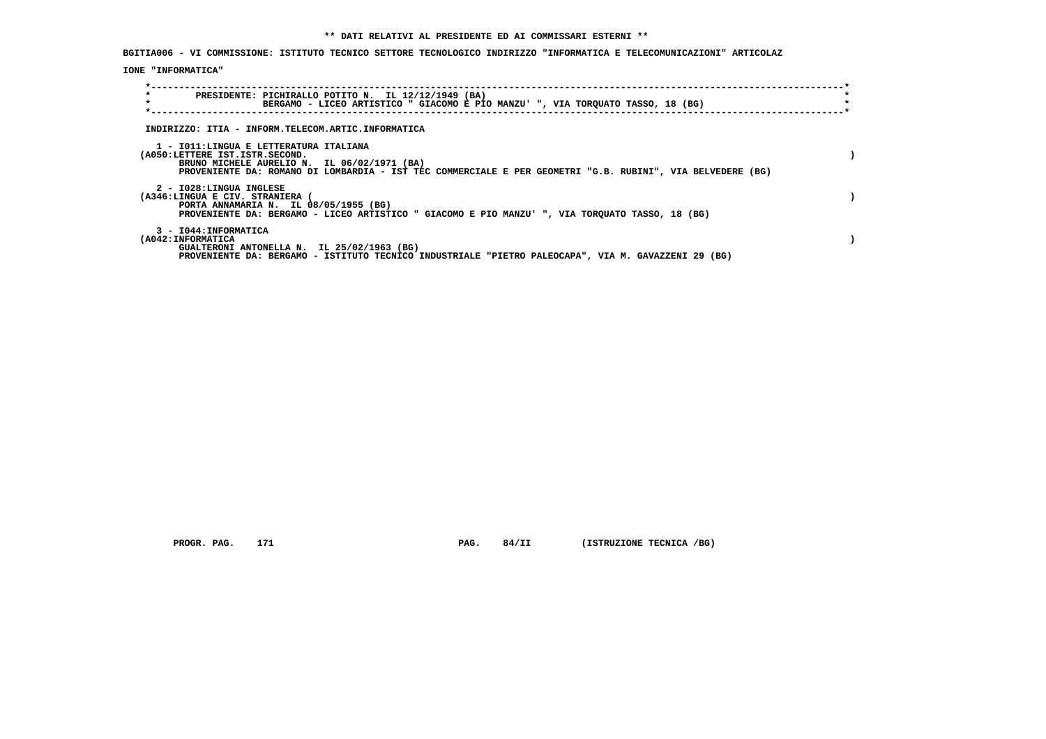**BGITIA006 - VI COMMISSIONE: ISTITUTO TECNICO SETTORE TECNOLOGICO INDIRIZZO "INFORMATICA E TELECOMUNICAZIONI" ARTICOLAZ**

 **IONE "INFORMATICA"**

| $\star$<br>$\star$                                                        | PRESIDENTE: PICHIRALLO POTITO N. IL 12/12/1949 (BA)<br>BERGAMO - LICEO ARTISTICO " GIACOMO E PIO MANZU' ", VIA TORQUATO TASSO, 18 (BG)                    |  |
|---------------------------------------------------------------------------|-----------------------------------------------------------------------------------------------------------------------------------------------------------|--|
|                                                                           | INDIRIZZO: ITIA - INFORM.TELECOM.ARTIC.INFORMATICA                                                                                                        |  |
| 1 - IO11: LINGUA E LETTERATURA ITALIANA<br>(A050:LETTERE IST.ISTR.SECOND. | BRUNO MICHELE AURELIO N. IL 06/02/1971 (BA)<br>PROVENIENTE DA: ROMANO DI LOMBARDIA - IST TEC COMMERCIALE E PER GEOMETRI "G.B. RUBINI", VIA BELVEDERE (BG) |  |
| 2 - I028:LINGUA INGLESE<br>(A346:LINGUA E CIV. STRANIERA                  | PORTA ANNAMARIA N. IL 08/05/1955 (BG)<br>PROVENIENTE DA: BERGAMO - LICEO ARTISTICO " GIACOMO E PIO MANZU' ", VIA TORQUATO TASSO, 18 (BG)                  |  |
| 3 - I044: INFORMATICA<br>(A042: INFORMATICA                               | GUALTERONI ANTONELLA N. IL 25/02/1963 (BG)<br>PROVENIENTE DA: BERGAMO - ISTITUTO TECNICO INDUSTRIALE "PIETRO PALEOCAPA", VIA M. GAVAZZENI 29 (BG)         |  |

 **PROGR. PAG.** 171 **PAG. 84/II (ISTRUZIONE TECNICA /BG)**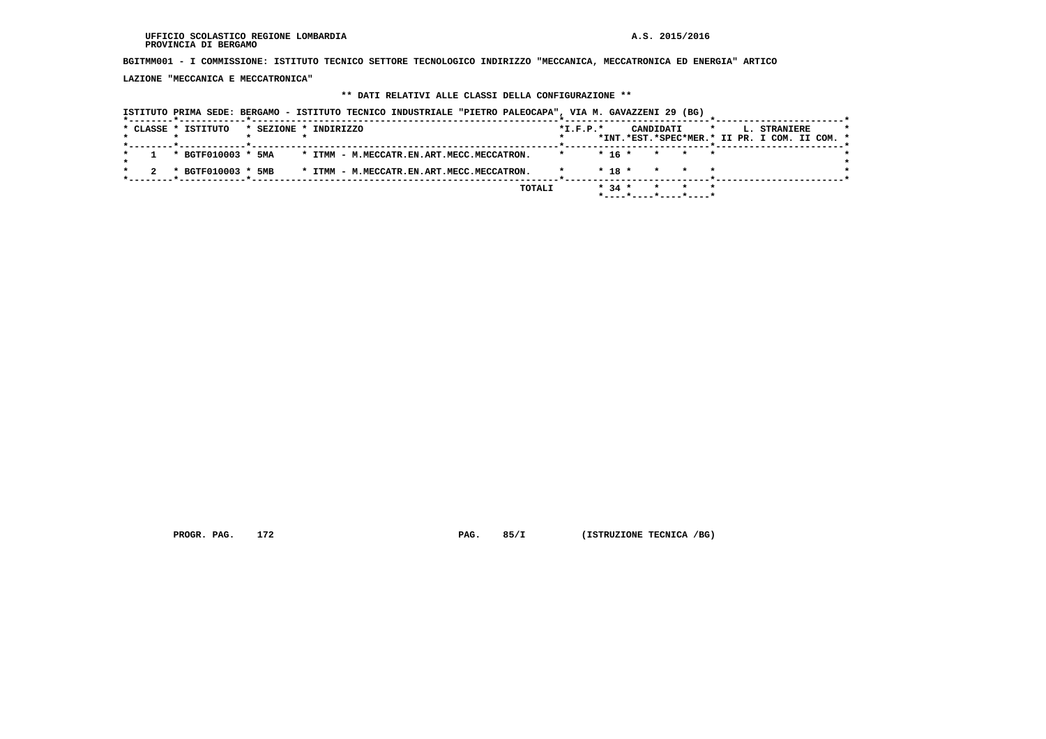**BGITMM001 - I COMMISSIONE: ISTITUTO TECNICO SETTORE TECNOLOGICO INDIRIZZO "MECCANICA, MECCATRONICA ED ENERGIA" ARTICO**

 **LAZIONE "MECCANICA E MECCATRONICA"**

## **\*\* DATI RELATIVI ALLE CLASSI DELLA CONFIGURAZIONE \*\***

|                     | ISTITUTO PRIMA SEDE: BERGAMO - ISTITUTO TECNICO INDUSTRIALE "PIETRO PALEOCAPA", VIA M. GAVAZZENI 29 (BG) |            |                                                  |                                               |
|---------------------|----------------------------------------------------------------------------------------------------------|------------|--------------------------------------------------|-----------------------------------------------|
| * CLASSE * ISTITUTO | * SEZIONE * INDIRIZZO                                                                                    | $*I.F.P.*$ | CANDIDATI<br>$\star$                             | L. STRANIERE                                  |
|                     |                                                                                                          |            |                                                  | *INT.*EST.*SPEC*MER.* II PR. I COM. II COM. * |
| * BGTF010003 * 5MA  | * ITMM - M.MECCATR.EN.ART.MECC.MECCATRON.                                                                |            | $* 16 *$<br>* * *                                |                                               |
| * BGTF010003 * 5MB  | * ITMM - M.MECCATR.EN.ART.MECC.MECCATRON.                                                                |            | $*$ 18 $*$<br>$\star$<br>$\mathbf{r}$<br>$\star$ |                                               |
|                     |                                                                                                          | TOTALI     | $* 34 *$<br>$\star$<br>$\star$                   |                                               |
|                     |                                                                                                          |            |                                                  |                                               |

 **PROGR. PAG.** 172 **PAG. 85/I** (ISTRUZIONE TECNICA /BG)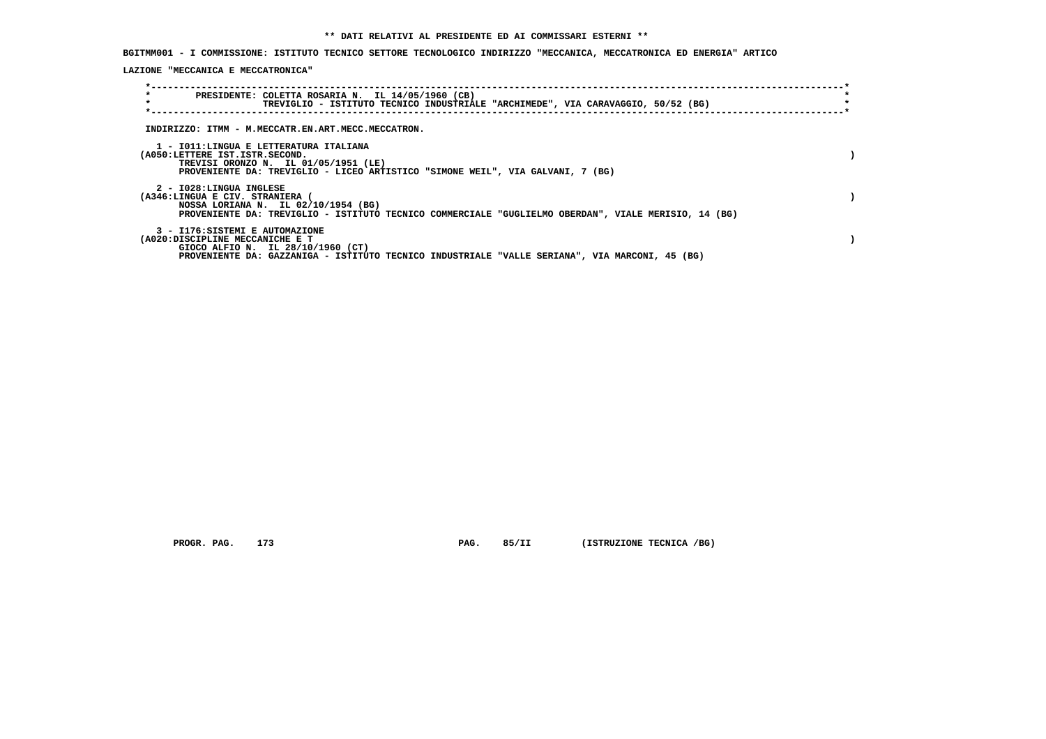**BGITMM001 - I COMMISSIONE: ISTITUTO TECNICO SETTORE TECNOLOGICO INDIRIZZO "MECCANICA, MECCATRONICA ED ENERGIA" ARTICO**

 **LAZIONE "MECCANICA E MECCATRONICA"**

| $\star$<br>$\star$                                       | PRESIDENTE: COLETTA ROSARIA N. IL 14/05/1960 (CB)<br>TREVIGLIO - ISTITUTO TECNICO INDUSTRIALE "ARCHIMEDE", VIA CARAVAGGIO, 50/52 (BG)                                  |  |  |  |  |
|----------------------------------------------------------|------------------------------------------------------------------------------------------------------------------------------------------------------------------------|--|--|--|--|
|                                                          | INDIRIZZO: ITMM - M.MECCATR.EN.ART.MECC.MECCATRON.                                                                                                                     |  |  |  |  |
| (A050:LETTERE IST.ISTR.SECOND.                           | 1 - IO11:LINGUA E LETTERATURA ITALIANA<br>TREVISI ORONZO N. IL 01/05/1951 (LE)<br>PROVENIENTE DA: TREVIGLIO - LICEO ARTISTICO "SIMONE WEIL", VIA GALVANI, 7 (BG)       |  |  |  |  |
| 2 - I028:LINGUA INGLESE<br>(A346:LINGUA E CIV. STRANIERA | NOSSA LORIANA N. IL 02/10/1954 (BG)<br>PROVENIENTE DA: TREVIGLIO - ISTITUTO TECNICO COMMERCIALE "GUGLIELMO OBERDAN", VIALE MERISIO, 14 (BG)                            |  |  |  |  |
| (A020:DISCIPLINE MECCANICHE E T                          | 3 - I176: SISTEMI E AUTOMAZIONE<br>GIOCO ALFIO N. IL 28/10/1960 (CT)<br>PROVENIENTE DA: GAZZANIGA - ISTITUTO TECNICO INDUSTRIALE "VALLE SERIANA", VIA MARCONI, 45 (BG) |  |  |  |  |

 **PROGR. PAG.** 173 **PAG. 85/II (ISTRUZIONE TECNICA /BG)**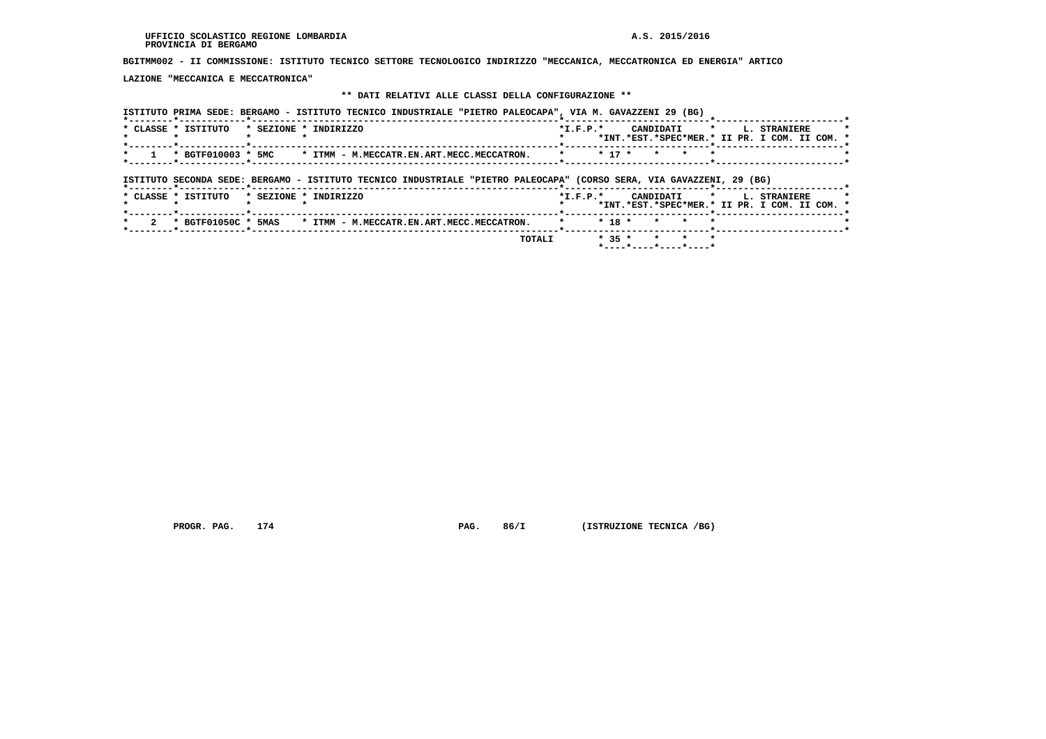**BGITMM002 - II COMMISSIONE: ISTITUTO TECNICO SETTORE TECNOLOGICO INDIRIZZO "MECCANICA, MECCATRONICA ED ENERGIA" ARTICO**

 **LAZIONE "MECCANICA E MECCATRONICA"**

# **\*\* DATI RELATIVI ALLE CLASSI DELLA CONFIGURAZIONE \*\***

| ISTITUTO PRIMA SEDE: BERGAMO - ISTITUTO TECNICO INDUSTRIALE "PIETRO PALEOCAPA", VIA M. GAVAZZENI 29 (BG)                                              |                                                                                                                |
|-------------------------------------------------------------------------------------------------------------------------------------------------------|----------------------------------------------------------------------------------------------------------------|
| * SEZIONE * INDIRIZZO<br>* CLASSE * ISTITUTO                                                                                                          | $\star$<br>CANDIDATI<br>$*$ I.F.P. $*$<br><b>L. STRANIERE</b><br>*INT.*EST.*SPEC*MER.* II PR. I COM. II COM. * |
| * BGTF010003 * 5MC<br>* ITMM - M.MECCATR.EN.ART.MECC.MECCATRON.                                                                                       | $* 17 *$<br>$\star$<br>$\star$<br>$\star$<br>$\star$                                                           |
| ISTITUTO SECONDA SEDE: BERGAMO - ISTITUTO TECNICO INDUSTRIALE "PIETRO PALEOCAPA" (CORSO SERA, VIA GAVAZZENI, 29 (BG)<br>*--------*------------*------ |                                                                                                                |
| * CLASSE * ISTITUTO<br>* SEZIONE * INDIRIZZO                                                                                                          | $\star$ .<br>$*L.F.P.*$<br>CANDIDATI<br>L. STRANIERE<br>*INT.*EST.*SPEC*MER.* II PR. I COM. II COM. *          |
| * BGTF01050C * 5MAS<br>* ITMM - M.MECCATR.EN.ART.MECC.MECCATRON.                                                                                      | $* 18 *$<br>$\star$                                                                                            |
| TOTALI                                                                                                                                                | $* 35 *$<br>$\star$<br>$\mathbf{r}$<br>$\star$<br>*----*----*----*----*                                        |

 **PROGR. PAG.** 174 **PAG. 86/I** (ISTRUZIONE TECNICA /BG)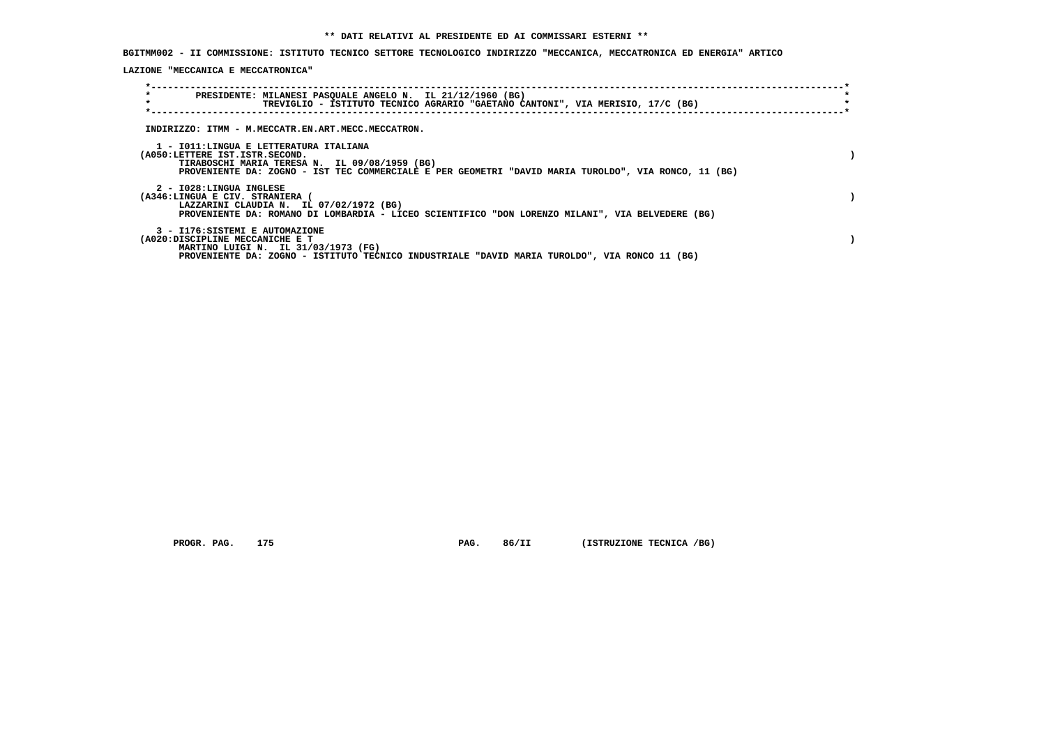**BGITMM002 - II COMMISSIONE: ISTITUTO TECNICO SETTORE TECNOLOGICO INDIRIZZO "MECCANICA, MECCATRONICA ED ENERGIA" ARTICO**

 **LAZIONE "MECCANICA E MECCATRONICA"**

| $\star$<br>$\star$ | PRESIDENTE: MILANESI PASQUALE ANGELO N. IL 21/12/1960 (BG)<br>TREVIGLIO - ISTITUTO TECNICO AGRARIO "GAETANO CANTONI", VIA MERISIO, 17/C (BG)                                                                                      |  |
|--------------------|-----------------------------------------------------------------------------------------------------------------------------------------------------------------------------------------------------------------------------------|--|
|                    | INDIRIZZO: ITMM - M.MECCATR.EN.ART.MECC.MECCATRON.                                                                                                                                                                                |  |
|                    | 1 - IO11:LINGUA E LETTERATURA ITALIANA<br>(A050:LETTERE IST.ISTR.SECOND.<br>TIRABOSCHI MARIA TERESA N. IL 09/08/1959 (BG)<br>PROVENIENTE DA: ZOGNO - IST TEC COMMERCIALE E PER GEOMETRI "DAVID MARIA TUROLDO", VIA RONCO, 11 (BG) |  |
|                    | 2 - I028:LINGUA INGLESE<br>(A346:LINGUA E CIV. STRANIERA (<br>LAZZARINI CLAUDIA N. IL 07/02/1972 (BG)<br>PROVENIENTE DA: ROMANO DI LOMBARDIA - LICEO SCIENTIFICO "DON LORENZO MILANI", VIA BELVEDERE (BG)                         |  |
|                    | 3 - I176: SISTEMI E AUTOMAZIONE<br>(A020:DISCIPLINE MECCANICHE E T<br>MARTINO LUIGI N. IL 31/03/1973 (FG)<br>PROVENIENTE DA: ZOGNO - ISTITUTO TECNICO INDUSTRIALE "DAVID MARIA TUROLDO", VIA RONCO 11 (BG)                        |  |

 **PROGR. PAG.** 175 **PAG. 86/II (ISTRUZIONE TECNICA /BG)**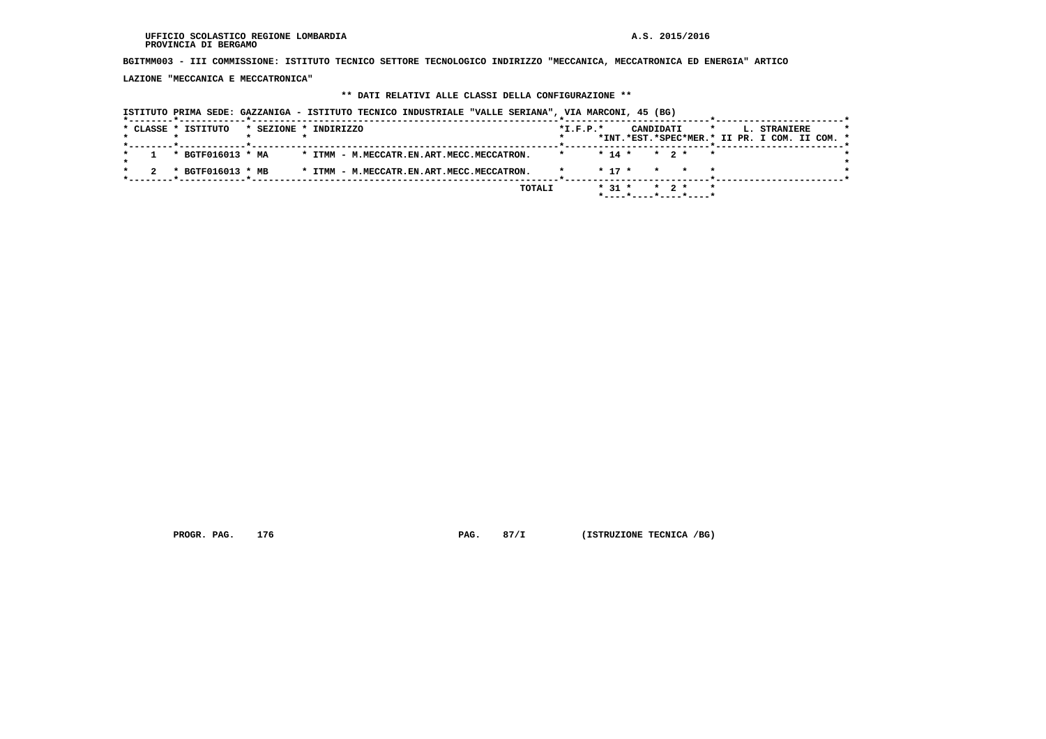**BGITMM003 - III COMMISSIONE: ISTITUTO TECNICO SETTORE TECNOLOGICO INDIRIZZO "MECCANICA, MECCATRONICA ED ENERGIA" ARTICO**

 **LAZIONE "MECCANICA E MECCATRONICA"**

## **\*\* DATI RELATIVI ALLE CLASSI DELLA CONFIGURAZIONE \*\***

 **ISTITUTO PRIMA SEDE: GAZZANIGA - ISTITUTO TECNICO INDUSTRIALE "VALLE SERIANA", VIA MARCONI, 45 (BG)**

|  |  |                     |                                        | TOTALI |                                                                                                                 |  |            |                        |  |                              |                                                                             |  |              |                                               |
|--|--|---------------------|----------------------------------------|--------|-----------------------------------------------------------------------------------------------------------------|--|------------|------------------------|--|------------------------------|-----------------------------------------------------------------------------|--|--------------|-----------------------------------------------|
|  |  |                     |                                        |        |                                                                                                                 |  |            |                        |  |                              |                                                                             |  |              |                                               |
|  |  | * CLASSE * ISTITUTO | * BGTF016013 * MA<br>* BGTF016013 * MB |        | * SEZIONE * INDIRIZZO<br>* ITMM - M.MECCATR.EN.ART.MECC.MECCATRON.<br>* ITMM - M.MECCATR.EN.ART.MECC.MECCATRON. |  | $*I.F.P.*$ | $*$ 17 $*$<br>$* 31 *$ |  | CANDIDATI<br>$\star$ $\star$ | $\star$<br>$* 14 * * 2 * * *$<br>$\star$ 2 $\star$<br>*----*----*----*----* |  | L. STRANIERE | *INT.*EST.*SPEC*MER.* II PR. I COM. II COM. * |

 **PROGR. PAG.** 176 **PAG. 87/I (ISTRUZIONE TECNICA /BG)**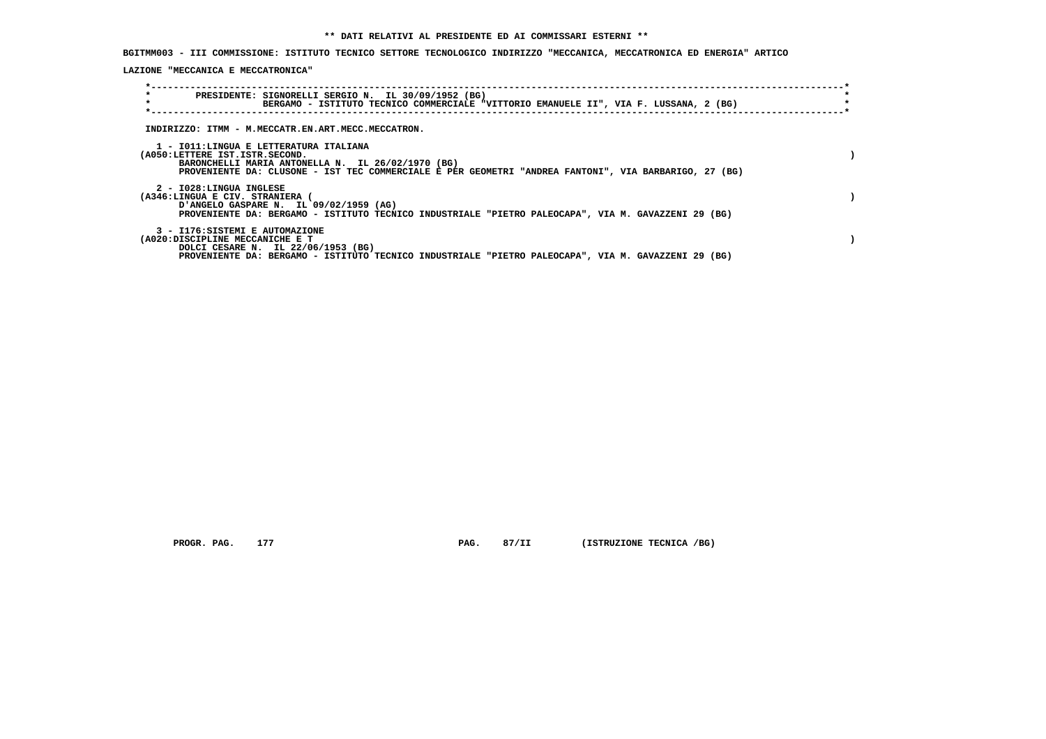**BGITMM003 - III COMMISSIONE: ISTITUTO TECNICO SETTORE TECNOLOGICO INDIRIZZO "MECCANICA, MECCATRONICA ED ENERGIA" ARTICO**

 **LAZIONE "MECCANICA E MECCATRONICA"**

| $\star$<br>$\star$                                                 | PRESIDENTE: SIGNORELLI SERGIO N. IL 30/09/1952 (BG)<br>BERGAMO - ISTITUTO TECNICO COMMERCIALE "VITTORIO EMANUELE II", VIA F. LUSSANA, 2 (BG)                                                         |  |
|--------------------------------------------------------------------|------------------------------------------------------------------------------------------------------------------------------------------------------------------------------------------------------|--|
|                                                                    | INDIRIZZO: ITMM - M.MECCATR.EN.ART.MECC.MECCATRON.                                                                                                                                                   |  |
| (A050:LETTERE IST.ISTR.SECOND.                                     | 1 - IO11:LINGUA E LETTERATURA ITALIANA<br>BARONCHELLI MARIA ANTONELLA N. IL 26/02/1970 (BG)<br>PROVENIENTE DA: CLUSONE - IST TEC COMMERCIALE E PER GEOMETRI "ANDREA FANTONI", VIA BARBARIGO, 27 (BG) |  |
| 2 - I028:LINGUA INGLESE<br>(A346:LINGUA E CIV. STRANIERA (         | D'ANGELO GASPARE N. IL 09/02/1959 (AG)<br>PROVENIENTE DA: BERGAMO - ISTITUTO TECNICO INDUSTRIALE "PIETRO PALEOCAPA", VIA M. GAVAZZENI 29 (BG)                                                        |  |
| 3 - I176: SISTEMI E AUTOMAZIONE<br>(A020:DISCIPLINE MECCANICHE E T | DOLCI CESARE N. IL 22/06/1953 (BG)<br>PROVENIENTE DA: BERGAMO - ISTITUTO TECNICO INDUSTRIALE "PIETRO PALEOCAPA", VIA M. GAVAZZENI 29 (BG)                                                            |  |

 **PROGR. PAG.** 177 **PAG. 87/II (ISTRUZIONE TECNICA /BG)**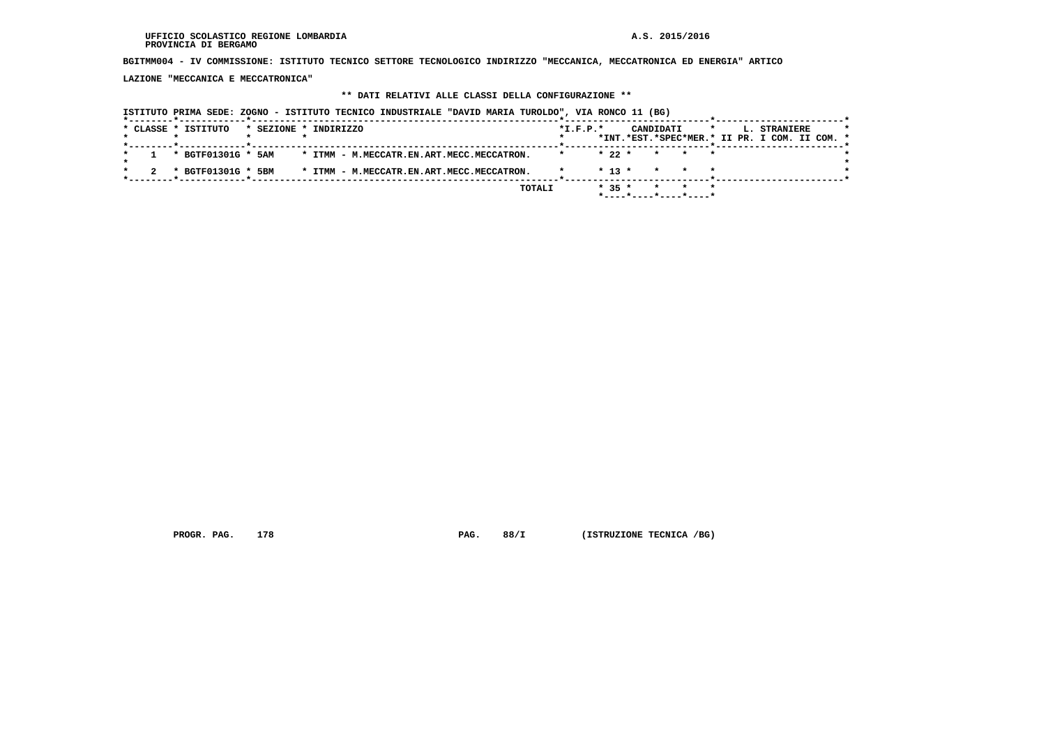**BGITMM004 - IV COMMISSIONE: ISTITUTO TECNICO SETTORE TECNOLOGICO INDIRIZZO "MECCANICA, MECCATRONICA ED ENERGIA" ARTICO**

 **LAZIONE "MECCANICA E MECCATRONICA"**

## **\*\* DATI RELATIVI ALLE CLASSI DELLA CONFIGURAZIONE \*\***

|                     |                    |                       | ISTITUTO PRIMA SEDE: ZOGNO - ISTITUTO TECNICO INDUSTRIALE "DAVID MARIA TUROLDO", VIA RONCO 11 (BG) |        |                |            |                       |  |                                                               |  |
|---------------------|--------------------|-----------------------|----------------------------------------------------------------------------------------------------|--------|----------------|------------|-----------------------|--|---------------------------------------------------------------|--|
| * CLASSE * ISTITUTO |                    | * SEZIONE * INDIRIZZO |                                                                                                    |        | $*$ I.F.P. $*$ |            | CANDIDATI             |  | L. STRANIERE<br>*INT.*EST.*SPEC*MER.* II PR. I COM. II COM. * |  |
| * BGTF01301G * 5AM  |                    |                       | * ITMM - M.MECCATR.EN.ART.MECC.MECCATRON.                                                          |        |                | $* 22 *$   | * * *                 |  |                                                               |  |
|                     | * BGTF01301G * 5BM |                       | * ITMM - M.MECCATR.EN.ART.MECC.MECCATRON.                                                          |        |                | $*$ 13 $*$ |                       |  |                                                               |  |
|                     |                    |                       |                                                                                                    | TOTALI |                | $* 35 *$   | *----*----*----*----* |  |                                                               |  |

 **PROGR. PAG. 178 PAG. 88/I (ISTRUZIONE TECNICA /BG)**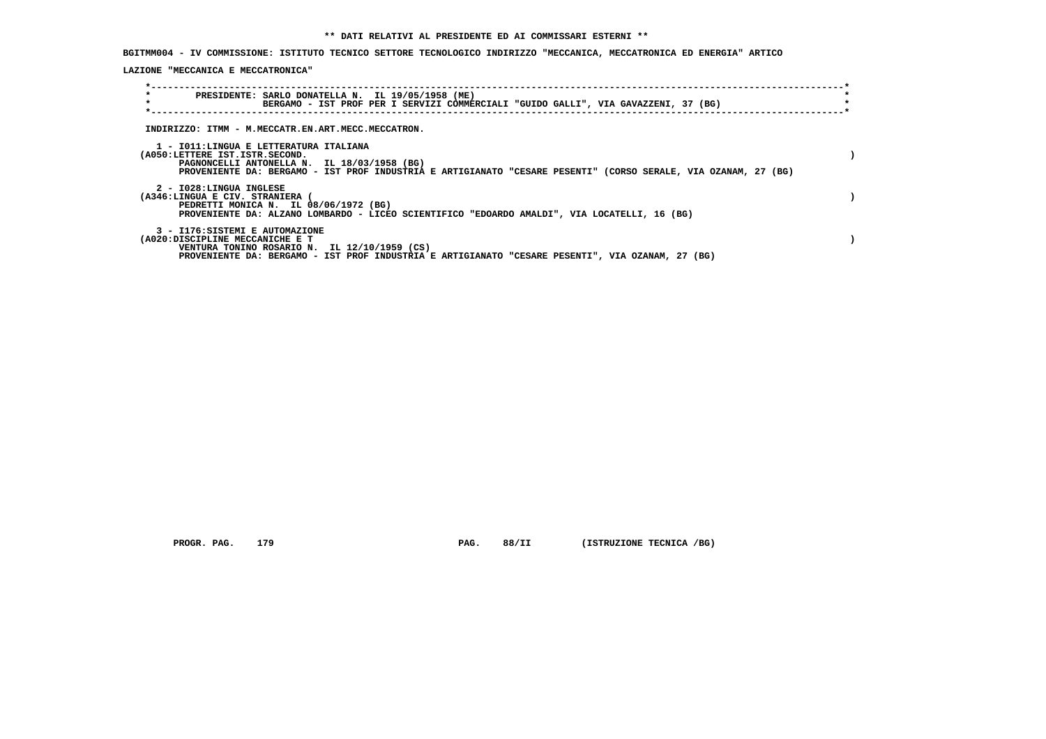**BGITMM004 - IV COMMISSIONE: ISTITUTO TECNICO SETTORE TECNOLOGICO INDIRIZZO "MECCANICA, MECCATRONICA ED ENERGIA" ARTICO**

 **LAZIONE "MECCANICA E MECCATRONICA"**

| $\star$<br>$\star$                                                 | PRESIDENTE: SARLO DONATELLA N. IL 19/05/1958 (ME)<br>BERGAMO - IST PROF PER I SERVIZI COMMERCIALI "GUIDO GALLI", VIA GAVAZZENI, 37 (BG)                                                                 |  |
|--------------------------------------------------------------------|---------------------------------------------------------------------------------------------------------------------------------------------------------------------------------------------------------|--|
|                                                                    | INDIRIZZO: ITMM - M.MECCATR.EN.ART.MECC.MECCATRON.                                                                                                                                                      |  |
| (A050:LETTERE IST.ISTR.SECOND.                                     | 1 - IO11:LINGUA E LETTERATURA ITALIANA<br>PAGNONCELLI ANTONELLA N. IL 18/03/1958 (BG)<br>PROVENIENTE DA: BERGAMO - IST PROF INDUSTRIA E ARTIGIANATO "CESARE PESENTI" (CORSO SERALE, VIA OZANAM, 27 (BG) |  |
| 2 - I028:LINGUA INGLESE<br>(A346:LINGUA E CIV. STRANIERA           | PEDRETTI MONICA N. IL 08/06/1972 (BG)<br>PROVENIENTE DA: ALZANO LOMBARDO - LICEO SCIENTIFICO "EDOARDO AMALDI", VIA LOCATELLI, 16 (BG)                                                                   |  |
| 3 - I176: SISTEMI E AUTOMAZIONE<br>(A020:DISCIPLINE MECCANICHE E T | VENTURA TONINO ROSARIO N. IL 12/10/1959 (CS)<br>PROVENIENTE DA: BERGAMO - IST PROF INDUSTRIA E ARTIGIANATO "CESARE PESENTI", VIA OZANAM, 27 (BG)                                                        |  |

 **PROGR. PAG. 179 PAG. 88/II (ISTRUZIONE TECNICA /BG)**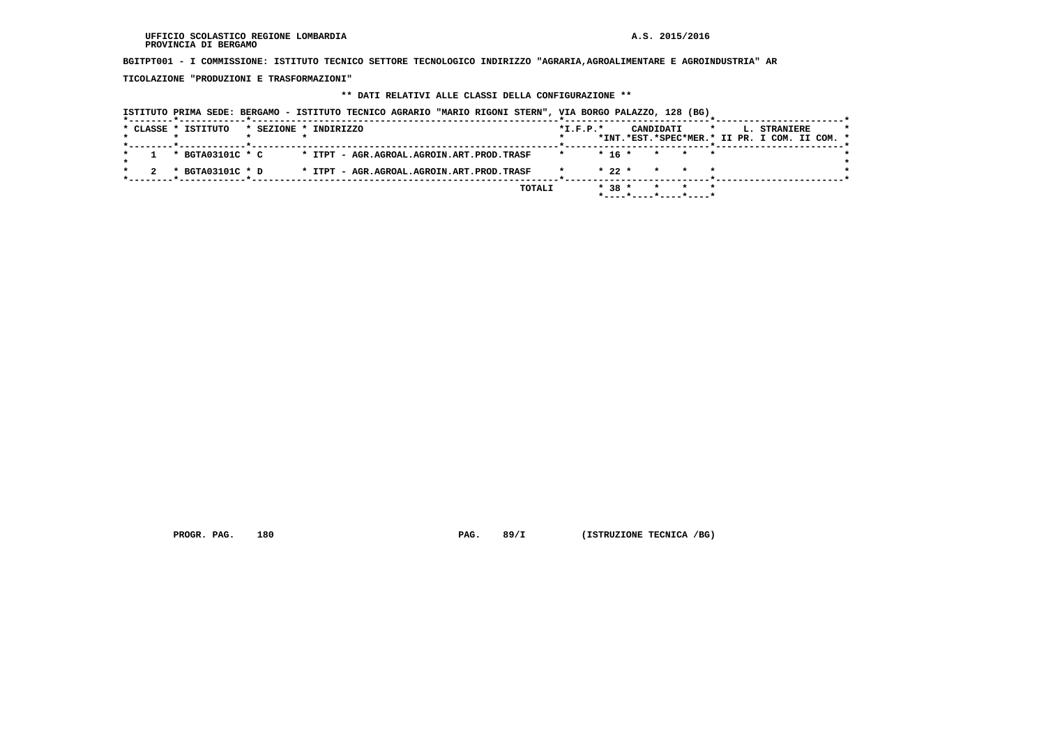**BGITPT001 - I COMMISSIONE: ISTITUTO TECNICO SETTORE TECNOLOGICO INDIRIZZO "AGRARIA,AGROALIMENTARE E AGROINDUSTRIA" AR**

 **TICOLAZIONE "PRODUZIONI E TRASFORMAZIONI"**

## **\*\* DATI RELATIVI ALLE CLASSI DELLA CONFIGURAZIONE \*\***

|                     | ISTITUTO PRIMA SEDE: BERGAMO - ISTITUTO TECNICO AGRARIO "MARIO RIGONI STERN", VIA BORGO PALAZZO, 128 (BG) |                       |                                           |  |        |                |          |           |                          |         |                                                               |  |
|---------------------|-----------------------------------------------------------------------------------------------------------|-----------------------|-------------------------------------------|--|--------|----------------|----------|-----------|--------------------------|---------|---------------------------------------------------------------|--|
| * CLASSE * ISTITUTO |                                                                                                           | * SEZIONE * INDIRIZZO |                                           |  |        | $*$ I.F.P. $*$ |          | CANDIDATI |                          | $\star$ | L. STRANIERE<br>*INT.*EST.*SPEC*MER.* II PR. I COM. II COM. * |  |
|                     | * BGTA03101C * C                                                                                          |                       | * ITPT - AGR.AGROAL.AGROIN.ART.PROD.TRASF |  |        |                | $* 16 *$ |           | * * *                    |         |                                                               |  |
|                     | * BGTA03101C * D                                                                                          |                       | * ITPT - AGR.AGROAL.AGROIN.ART.PROD.TRASF |  |        |                | $* 22 *$ | $\star$   |                          |         |                                                               |  |
|                     |                                                                                                           |                       |                                           |  | TOTALI |                | $* 38 *$ |           | $*$ ----*----*----*----* |         |                                                               |  |

 **PROGR. PAG.** 180 **PAG. 89/I** (ISTRUZIONE TECNICA /BG)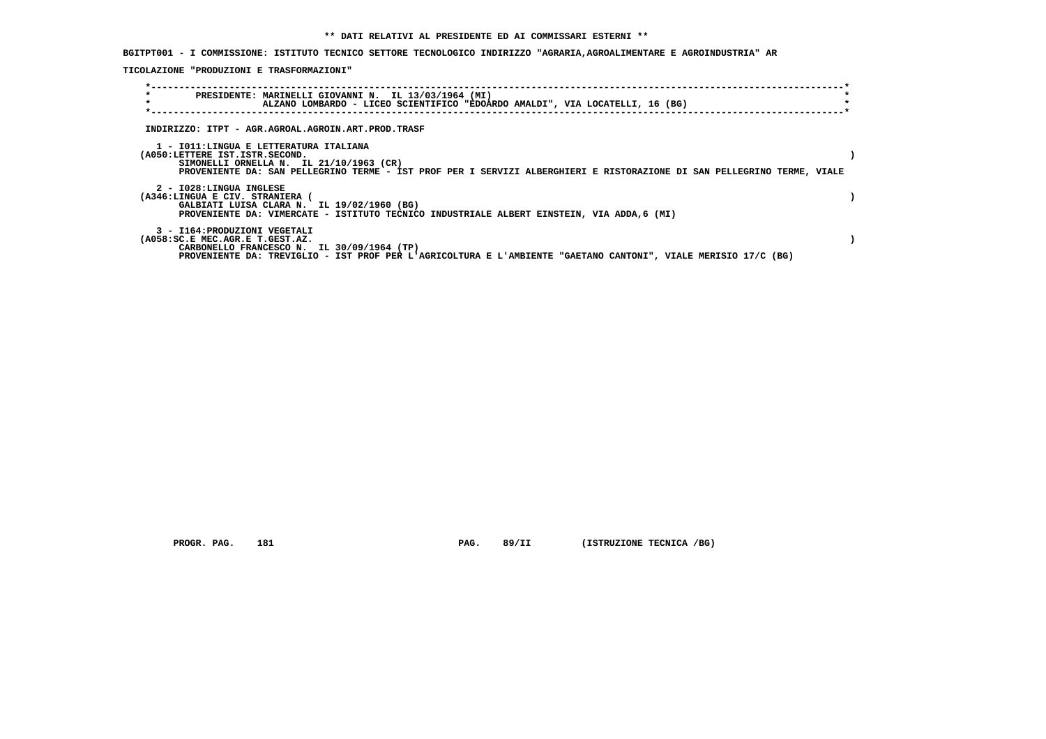**BGITPT001 - I COMMISSIONE: ISTITUTO TECNICO SETTORE TECNOLOGICO INDIRIZZO "AGRARIA,AGROALIMENTARE E AGROINDUSTRIA" AR**

 **TICOLAZIONE "PRODUZIONI E TRASFORMAZIONI"**

| $\star$<br>$\star$                                               | PRESIDENTE: MARINELLI GIOVANNI N. IL 13/03/1964 (MI)<br>ALZANO LOMBARDO - LICEO SCIENTIFICO "EDOARDO AMALDI", VIA LOCATELLI, 16 (BG)                                                                         |  |
|------------------------------------------------------------------|--------------------------------------------------------------------------------------------------------------------------------------------------------------------------------------------------------------|--|
|                                                                  | INDIRIZZO: ITPT - AGR.AGROAL.AGROIN.ART.PROD.TRASF                                                                                                                                                           |  |
| (A050:LETTERE IST.ISTR.SECOND.                                   | 1 - IO11:LINGUA E LETTERATURA ITALIANA<br>SIMONELLI ORNELLA N. IL 21/10/1963 (CR)<br>PROVENIENTE DA: SAN PELLEGRINO TERME - IST PROF PER I SERVIZI ALBERGHIERI E RISTORAZIONE DI SAN PELLEGRINO TERME, VIALE |  |
| 2 - I028:LINGUA INGLESE<br>(A346:LINGUA E CIV. STRANIERA (       | GALBIATI LUISA CLARA N. IL 19/02/1960 (BG)<br>PROVENIENTE DA: VIMERCATE - ISTITUTO TECNICO INDUSTRIALE ALBERT EINSTEIN, VIA ADDA, 6 (MI)                                                                     |  |
| 3 - I164: PRODUZIONI VEGETALI<br>(A058:SC.E MEC.AGR.E T.GEST.AZ. | CARBONELLO FRANCESCO N. IL 30/09/1964 (TP)<br>PROVENIENTE DA: TREVIGLIO - IST PROF PER L'AGRICOLTURA E L'AMBIENTE "GAETANO CANTONI", VIALE MERISIO 17/C (BG)                                                 |  |

 **PROGR. PAG.** 181 **PAG.** 89/II (ISTRUZIONE TECNICA /BG)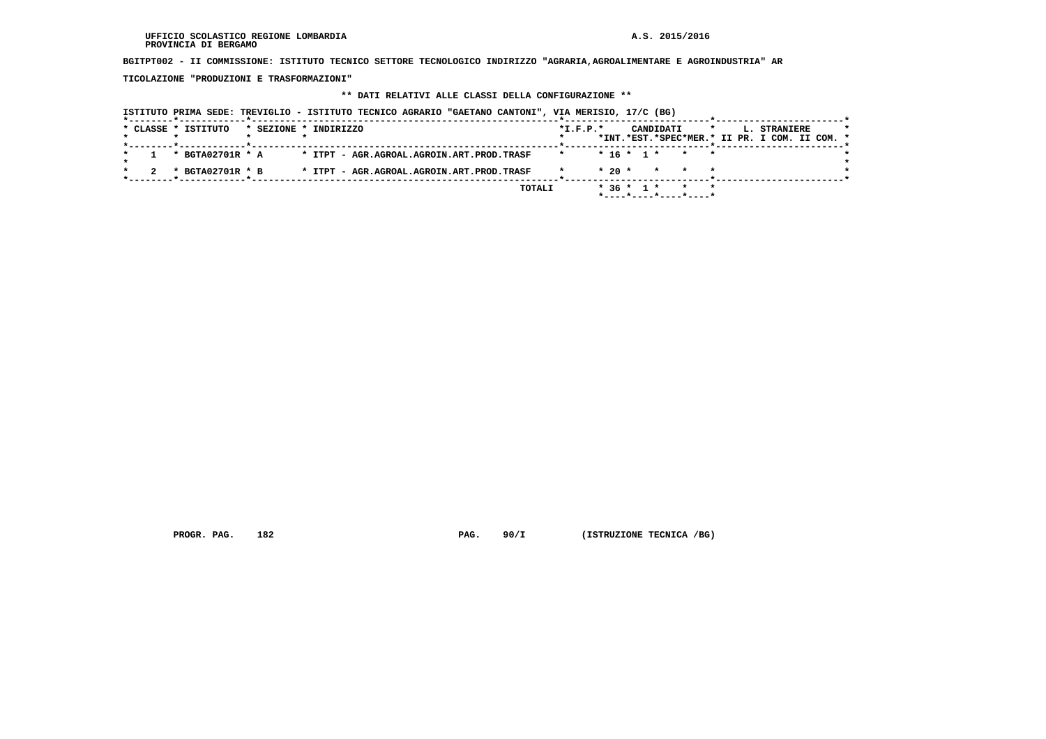**BGITPT002 - II COMMISSIONE: ISTITUTO TECNICO SETTORE TECNOLOGICO INDIRIZZO "AGRARIA,AGROALIMENTARE E AGROINDUSTRIA" AR**

 **TICOLAZIONE "PRODUZIONI E TRASFORMAZIONI"**

#### **\*\* DATI RELATIVI ALLE CLASSI DELLA CONFIGURAZIONE \*\***

 **ISTITUTO PRIMA SEDE: TREVIGLIO - ISTITUTO TECNICO AGRARIO "GAETANO CANTONI", VIA MERISIO, 17/C (BG) \*--------\*------------\*-------------------------------------------------------\*--------------------------\*-----------------------\*** $\star$  **\* CLASSE \* ISTITUTO \* SEZIONE \* INDIRIZZO \*I.F.P.\* CANDIDATI \* L. STRANIERE \* \* \* \* \* \* \*INT.\*EST.\*SPEC\*MER.\* II PR. I COM. II COM. \* \*--------\*------------\*-------------------------------------------------------\*--------------------------\*-----------------------\* \* 1 \* BGTA02701R \* A \* ITPT - AGR.AGROAL.AGROIN.ART.PROD.TRASF \* \* 16 \* 1 \* \* \* \*** $\star$  **\* \*** $\bullet$  **\* 2 \* BGTA02701R \* B \* ITPT - AGR.AGROAL.AGROIN.ART.PROD.TRASF \* \* 20 \* \* \* \* \* \*--------\*------------\*-------------------------------------------------------\*--------------------------\*-----------------------\* TOTALI \* 36 \* 1 \* \* \* \*----\*----\*----\*----\***

 **PROGR. PAG. 182 PAG. 90/I (ISTRUZIONE TECNICA /BG)**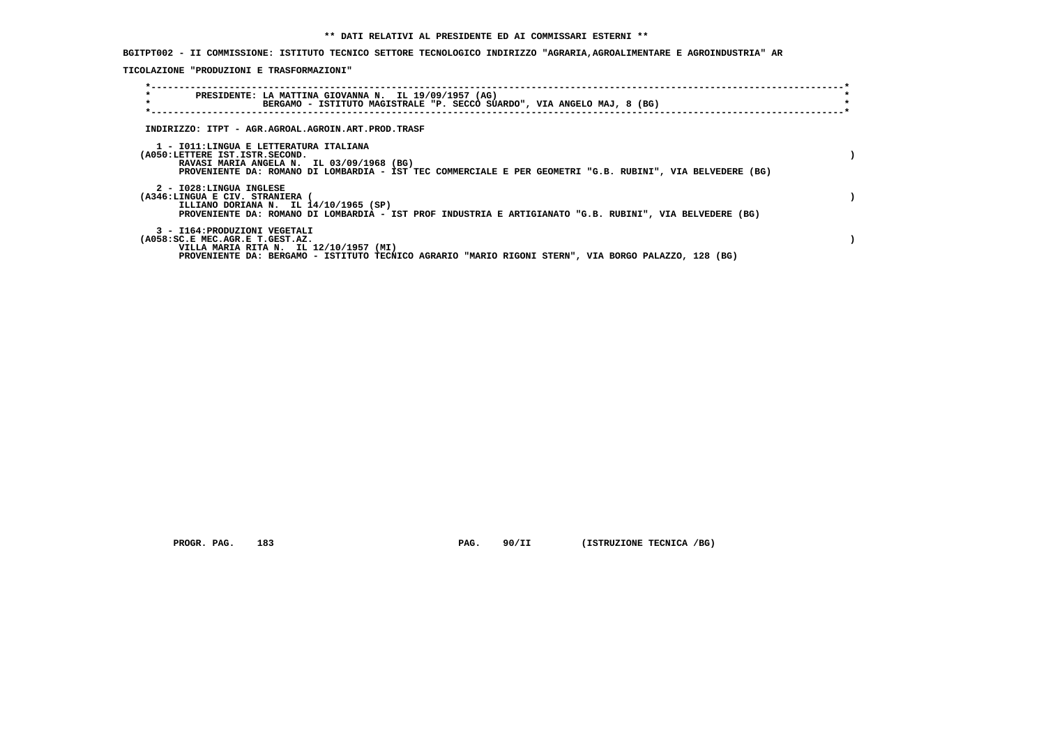**BGITPT002 - II COMMISSIONE: ISTITUTO TECNICO SETTORE TECNOLOGICO INDIRIZZO "AGRARIA,AGROALIMENTARE E AGROINDUSTRIA" AR**

 **TICOLAZIONE "PRODUZIONI E TRASFORMAZIONI"**

| $\star$<br>$\star$                                                                                                    | PRESIDENTE: LA MATTINA GIOVANNA N. IL 19/09/1957 (AG)<br>BERGAMO - ISTITUTO MAGISTRALE "P. SECCO SUARDO", VIA ANGELO MAJ, 8 (BG) |  |
|-----------------------------------------------------------------------------------------------------------------------|----------------------------------------------------------------------------------------------------------------------------------|--|
| INDIRIZZO: ITPT - AGR.AGROAL.AGROIN.ART.PROD.TRASF                                                                    |                                                                                                                                  |  |
| 1 - IO11:LINGUA E LETTERATURA ITALIANA<br>(A050:LETTERE IST.ISTR.SECOND.<br>RAVASI MARIA ANGELA N. IL 03/09/1968 (BG) | PROVENIENTE DA: ROMANO DI LOMBARDIA - IST TEC COMMERCIALE E PER GEOMETRI "G.B. RUBINI", VIA BELVEDERE (BG)                       |  |
| 2 - I028:LINGUA INGLESE<br>(A346:LINGUA E CIV. STRANIERA<br>ILLIANO DORIANA N. IL 14/10/1965 (SP)                     | PROVENIENTE DA: ROMANO DI LOMBARDIA - IST PROF INDUSTRIA E ARTIGIANATO "G.B. RUBINI", VIA BELVEDERE (BG)                         |  |
| 3 - I164: PRODUZIONI VEGETALI<br>(A058:SC.E MEC.AGR.E T.GEST.AZ.<br>VILLA MARIA RITA N. IL 12/10/1957 (MI)            | PROVENIENTE DA: BERGAMO - ISTITUTO TECNICO AGRARIO "MARIO RIGONI STERN", VIA BORGO PALAZZO, 128 (BG)                             |  |

 **PROGR. PAG.** 183 **PAG.** 90/II (ISTRUZIONE TECNICA /BG)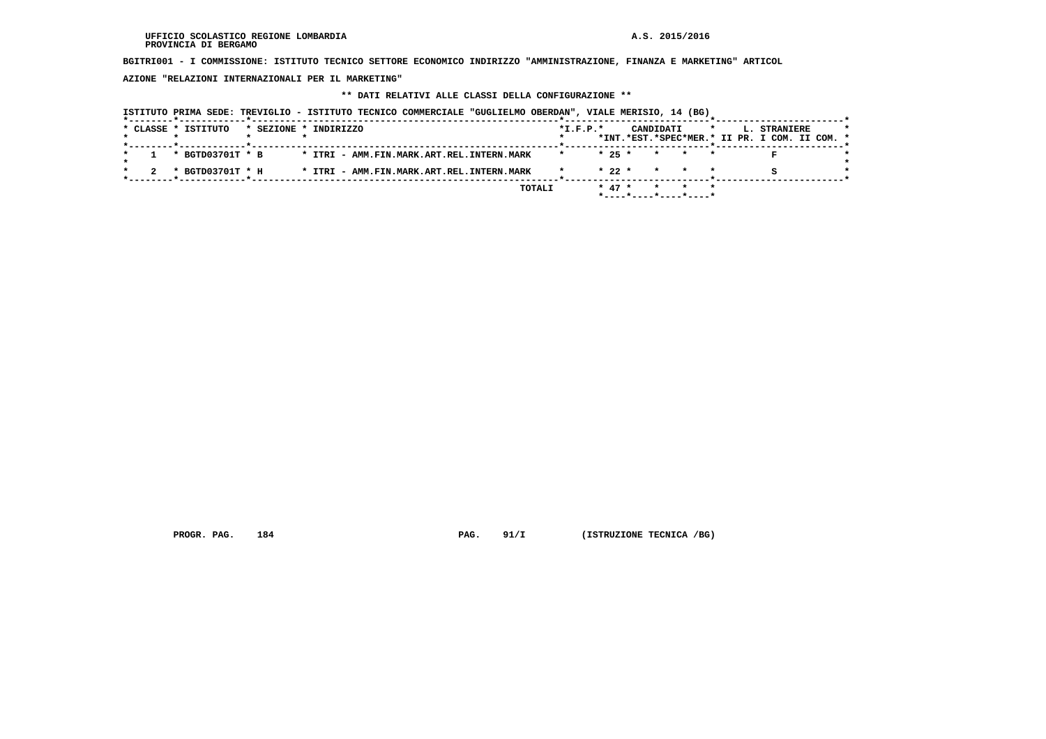**BGITRI001 - I COMMISSIONE: ISTITUTO TECNICO SETTORE ECONOMICO INDIRIZZO "AMMINISTRAZIONE, FINANZA E MARKETING" ARTICOL**

 **AZIONE "RELAZIONI INTERNAZIONALI PER IL MARKETING"**

## **\*\* DATI RELATIVI ALLE CLASSI DELLA CONFIGURAZIONE \*\***

|                     |                       |  | ISTITUTO PRIMA SEDE: TREVIGLIO - ISTITUTO TECNICO COMMERCIALE "GUGLIELMO OBERDAN", VIALE MERISIO, 14 (BG) |        |                |          |  |           |                                                       |         |                                                               |  |
|---------------------|-----------------------|--|-----------------------------------------------------------------------------------------------------------|--------|----------------|----------|--|-----------|-------------------------------------------------------|---------|---------------------------------------------------------------|--|
| * CLASSE * ISTITUTO | * SEZIONE * INDIRIZZO |  |                                                                                                           |        | $*$ I.F.P. $*$ |          |  | CANDIDATI |                                                       | $\star$ | L. STRANIERE<br>*INT.*EST.*SPEC*MER.* II PR. I COM. II COM. * |  |
| * BGTD03701T * B    |                       |  | * ITRI - AMM.FIN.MARK.ART.REL.INTERN.MARK                                                                 |        |                | $* 25 *$ |  | $\star$   |                                                       |         |                                                               |  |
| * BGTD03701T * H    |                       |  | * ITRI - AMM.FIN.MARK.ART.REL.INTERN.MARK                                                                 |        |                | $* 22 *$ |  | $\star$   |                                                       |         |                                                               |  |
|                     |                       |  |                                                                                                           | TOTALI |                | $* 47 *$ |  |           | $*$ - - - - $*$ - - - - $*$ - - - - $*$ - - - - - $*$ |         |                                                               |  |

 **PROGR. PAG.** 184 **PAG. 91/I** (ISTRUZIONE TECNICA /BG)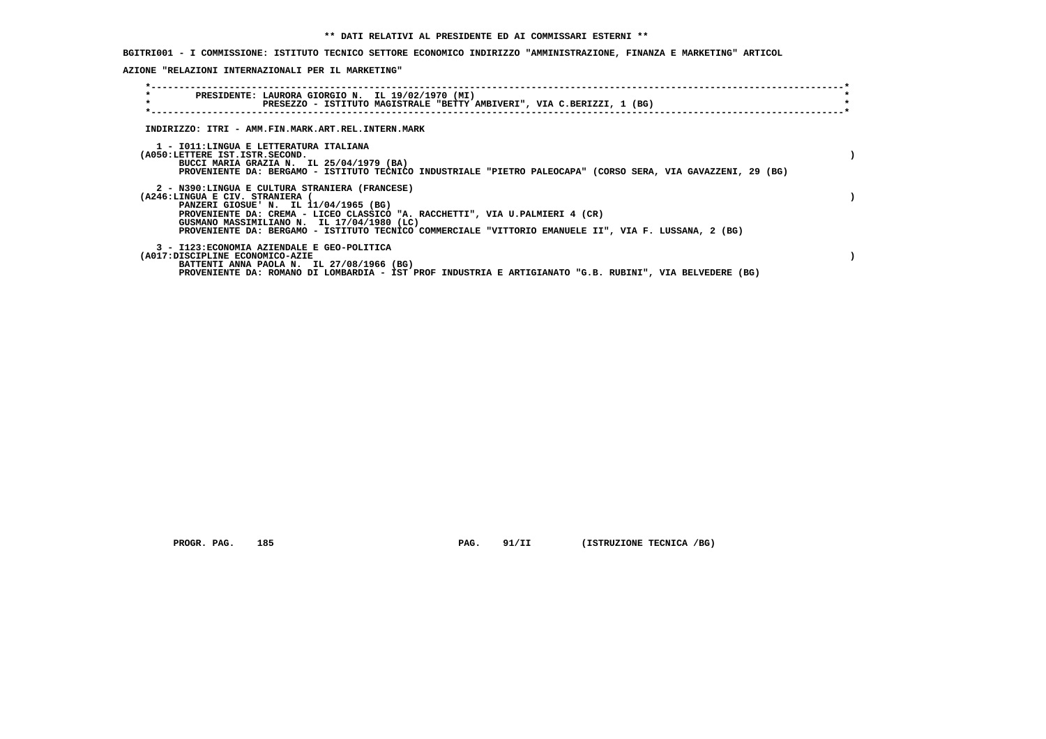**BGITRI001 - I COMMISSIONE: ISTITUTO TECNICO SETTORE ECONOMICO INDIRIZZO "AMMINISTRAZIONE, FINANZA E MARKETING" ARTICOL**

 **AZIONE "RELAZIONI INTERNAZIONALI PER IL MARKETING"**

| $\star$<br>PRESIDENTE: LAURORA GIORGIO N. IL 19/02/1970 (MI)<br>$\star$<br>PRESEZZO - ISTITUTO MAGISTRALE "BETTY AMBIVERI", VIA C.BERIZZI, 1 (BG)                                                                                                                                                                                                                 |  |
|-------------------------------------------------------------------------------------------------------------------------------------------------------------------------------------------------------------------------------------------------------------------------------------------------------------------------------------------------------------------|--|
| INDIRIZZO: ITRI - AMM.FIN.MARK.ART.REL.INTERN.MARK                                                                                                                                                                                                                                                                                                                |  |
| 1 - IO11:LINGUA E LETTERATURA ITALIANA<br>(A050:LETTERE IST.ISTR.SECOND.<br>BUCCI MARIA GRAZIA N. IL 25/04/1979 (BA)<br>PROVENIENTE DA: BERGAMO - ISTITUTO TECNICO INDUSTRIALE "PIETRO PALEOCAPA" (CORSO SERA, VIA GAVAZZENI, 29 (BG)                                                                                                                             |  |
| 2 - N390:LINGUA E CULTURA STRANIERA (FRANCESE)<br>(A246:LINGUA E CIV. STRANIERA (<br>PANZERI GIOSUE' N. IL 11/04/1965 (BG)<br>PROVENIENTE DA: CREMA - LICEO CLASSICO "A. RACCHETTI", VIA U.PALMIERI 4 (CR)<br>GUSMANO MASSIMILIANO N. IL 17/04/1980 (LC)<br>PROVENIENTE DA: BERGAMO - ISTITUTO TECNICO COMMERCIALE "VITTORIO EMANUELE II", VIA F. LUSSANA, 2 (BG) |  |
| 3 - I123: ECONOMIA AZIENDALE E GEO-POLITICA<br>(A017:DISCIPLINE ECONOMICO-AZIE<br>BATTENTI ANNA PAOLA N. IL 27/08/1966 (BG)<br>PROVENIENTE DA: ROMANO DI LOMBARDIA - IST PROF INDUSTRIA E ARTIGIANATO "G.B. RUBINI", VIA BELVEDERE (BG)                                                                                                                           |  |

 **PROGR. PAG.** 185 **PAG. 91/II (ISTRUZIONE TECNICA /BG)**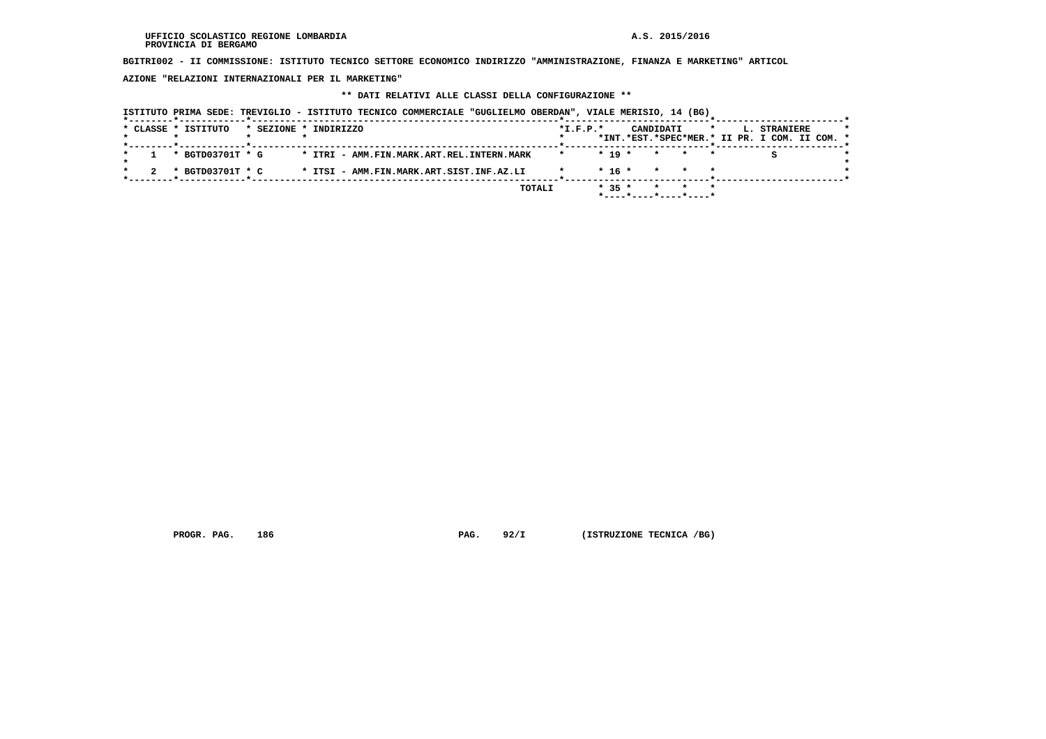**BGITRI002 - II COMMISSIONE: ISTITUTO TECNICO SETTORE ECONOMICO INDIRIZZO "AMMINISTRAZIONE, FINANZA E MARKETING" ARTICOL**

 **AZIONE "RELAZIONI INTERNAZIONALI PER IL MARKETING"**

## **\*\* DATI RELATIVI ALLE CLASSI DELLA CONFIGURAZIONE \*\***

|  | * CLASSE * ISTITUTO | * SEZIONE * INDIRIZZO |  |  |  |                                           |        | $*I.F.P.*$ |          | CANDIDATI       |                       | $\star$ | L. STRANIERE<br>*INT.*EST.*SPEC*MER.* II PR. I COM. II COM. * |  |  |
|--|---------------------|-----------------------|--|--|--|-------------------------------------------|--------|------------|----------|-----------------|-----------------------|---------|---------------------------------------------------------------|--|--|
|  |                     |                       |  |  |  |                                           |        |            |          |                 |                       |         |                                                               |  |  |
|  | * BGTD03701T * G    |                       |  |  |  | * ITRI - AMM.FIN.MARK.ART.REL.INTERN.MARK |        |            | $* 19 *$ | $\star$ $\star$ |                       | $\star$ |                                                               |  |  |
|  | * BGTD03701T * C    |                       |  |  |  | * ITSI - AMM.FIN.MARK.ART.SIST.INF.AZ.LI  |        |            | * 16 *   | $\star$ $\star$ |                       |         |                                                               |  |  |
|  |                     |                       |  |  |  |                                           | TOTALI |            | $* 35 *$ |                 | *----*----*----*----* | $\star$ |                                                               |  |  |

 **PROGR. PAG.** 186 **PAG. 92/I** (ISTRUZIONE TECNICA /BG)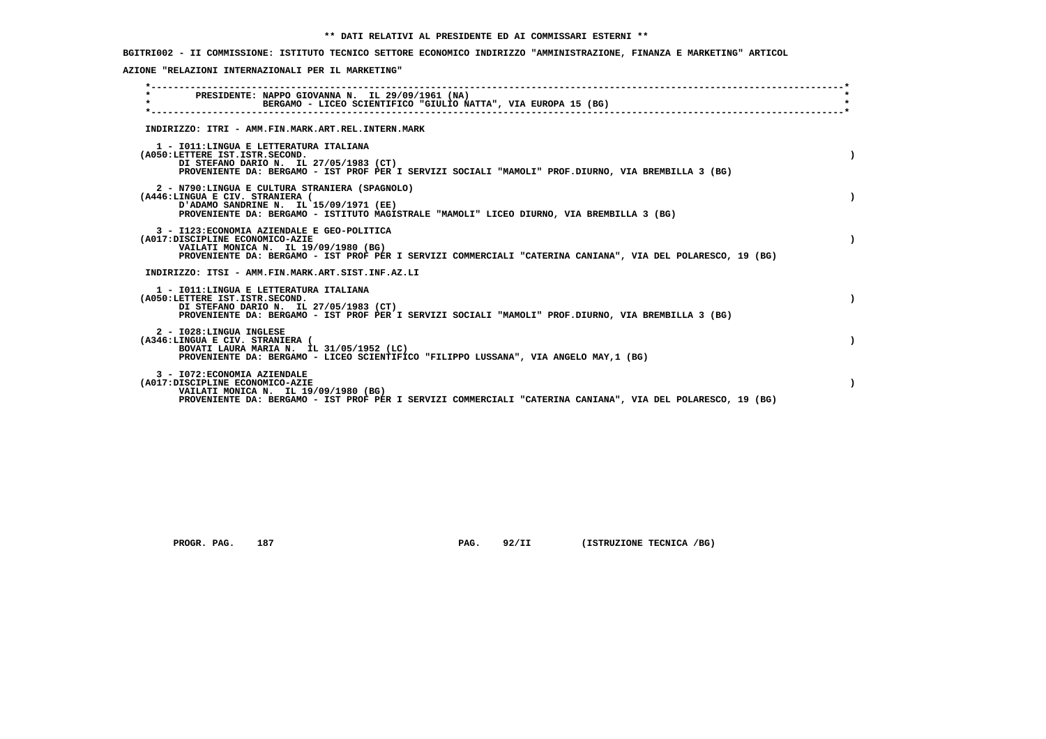## **BGITRI002 - II COMMISSIONE: ISTITUTO TECNICO SETTORE ECONOMICO INDIRIZZO "AMMINISTRAZIONE, FINANZA E MARKETING" ARTICOL**

 **AZIONE "RELAZIONI INTERNAZIONALI PER IL MARKETING"**

| $\star$ | PRESIDENTE: NAPPO GIOVANNA N. IL 29/09/1961 (NA)<br>BERGAMO - LICEO SCIENTIFICO "GIULIO NATTA", VIA EUROPA 15 (BG)                                                                                                                    |  |
|---------|---------------------------------------------------------------------------------------------------------------------------------------------------------------------------------------------------------------------------------------|--|
|         | INDIRIZZO: ITRI - AMM.FIN.MARK.ART.REL.INTERN.MARK                                                                                                                                                                                    |  |
|         | 1 - IO11: LINGUA E LETTERATURA ITALIANA<br>(A050:LETTERE IST.ISTR.SECOND.<br>DI STEFANO DARIO N. IL 27/05/1983 (CT)<br>PROVENIENTE DA: BERGAMO - IST PROF PER I SERVIZI SOCIALI "MAMOLI" PROF.DIURNO, VIA BREMBILLA 3 (BG)            |  |
|         | 2 - N790:LINGUA E CULTURA STRANIERA (SPAGNOLO)<br>(A446:LINGUA E CIV. STRANIERA (<br>D'ADAMO SANDRINE N. IL 15/09/1971 (EE)<br>PROVENIENTE DA: BERGAMO - ISTITUTO MAGISTRALE "MAMOLI" LICEO DIURNO, VIA BREMBILLA 3 (BG)              |  |
|         | 3 - I123: ECONOMIA AZIENDALE E GEO-POLITICA<br>(A017:DISCIPLINE ECONOMICO-AZIE<br>VAILATI MONICA N. IL 19/09/1980 (BG)<br>PROVENIENTE DA: BERGAMO - IST PROF PER I SERVIZI COMMERCIALI "CATERINA CANIANA", VIA DEL POLARESCO, 19 (BG) |  |
|         | INDIRIZZO: ITSI - AMM.FIN.MARK.ART.SIST.INF.AZ.LI                                                                                                                                                                                     |  |
|         | 1 - IO11: LINGUA E LETTERATURA ITALIANA<br>(A050:LETTERE IST.ISTR.SECOND.<br>DI STEFANO DARIO N. IL 27/05/1983 (CT)<br>PROVENIENTE DA: BERGAMO - IST PROF PER I SERVIZI SOCIALI "MAMOLI" PROF.DIURNO, VIA BREMBILLA 3 (BG)            |  |
|         | 2 - I028: LINGUA INGLESE<br>(A346:LINGUA E CIV. STRANIERA (<br>BOVATI LAURA MARIA N. IL 31/05/1952 (LC)<br>PROVENIENTE DA: BERGAMO - LICEO SCIENTIFICO "FILIPPO LUSSANA", VIA ANGELO MAY, 1 (BG)                                      |  |
|         | 3 - I072: ECONOMIA AZIENDALE<br>(A017:DISCIPLINE ECONOMICO-AZIE<br>VAILATI MONICA N. IL 19/09/1980 (BG)<br>PROVENIENTE DA: BERGAMO - IST PROF PER I SERVIZI COMMERCIALI "CATERINA CANIANA", VIA DEL POLARESCO, 19 (BG)                |  |

 **PROGR. PAG.** 187 **PAG.** 92/II (ISTRUZIONE TECNICA /BG)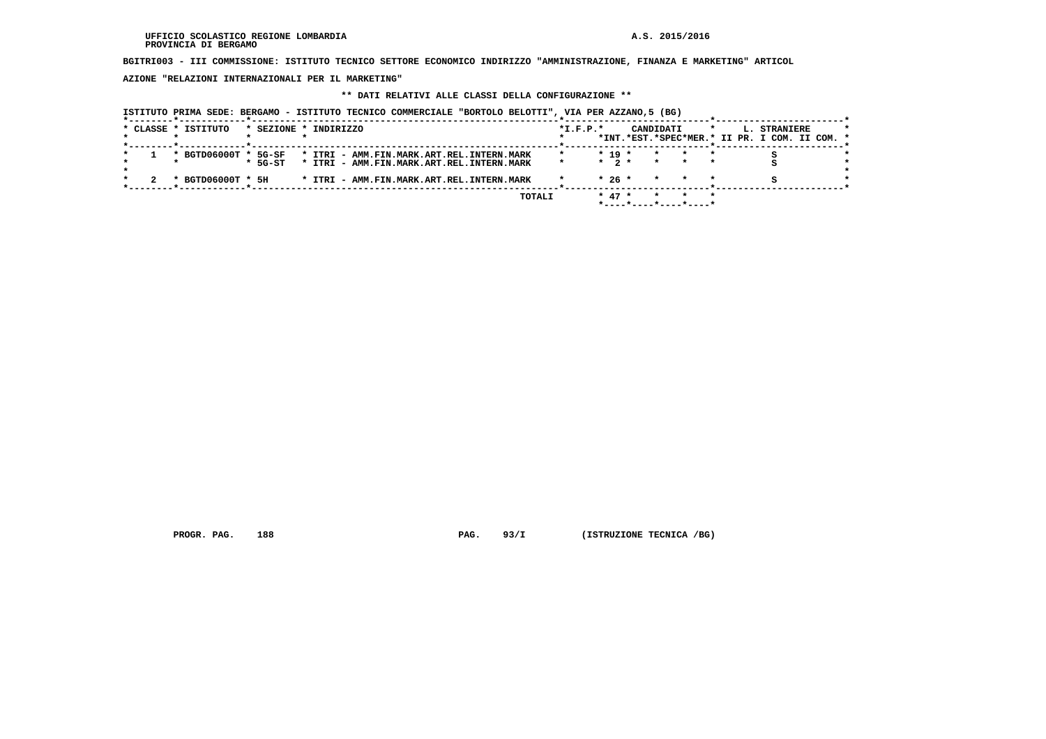**BGITRI003 - III COMMISSIONE: ISTITUTO TECNICO SETTORE ECONOMICO INDIRIZZO "AMMINISTRAZIONE, FINANZA E MARKETING" ARTICOL**

 **AZIONE "RELAZIONI INTERNAZIONALI PER IL MARKETING"**

## **\*\* DATI RELATIVI ALLE CLASSI DELLA CONFIGURAZIONE \*\***

 **ISTITUTO PRIMA SEDE: BERGAMO - ISTITUTO TECNICO COMMERCIALE "BORTOLO BELOTTI", VIA PER AZZANO,5 (BG)**

|  | * CLASSE * ISTITUTO  |           | * SEZIONE * INDIRIZZO                     | $*L.F.P.*$ |           | CANDIDATI             |         | $\star$ | L. STRANIERE                                  |  |
|--|----------------------|-----------|-------------------------------------------|------------|-----------|-----------------------|---------|---------|-----------------------------------------------|--|
|  |                      |           |                                           |            |           |                       |         |         | *INT.*EST.*SPEC*MER.* II PR. I COM. II COM. * |  |
|  |                      |           |                                           |            |           |                       |         |         |                                               |  |
|  | * BGTD06000T * 5G-SF |           | * ITRI - AMM.FIN.MARK.ART.REL.INTERN.MARK |            | $* 19 *$  | $\star$               |         |         |                                               |  |
|  |                      | $*$ 5G-ST | * ITRI - AMM.FIN.MARK.ART.REL.INTERN.MARK |            | $*$ 2 $*$ | $\star$               |         |         |                                               |  |
|  |                      |           |                                           |            |           |                       |         |         |                                               |  |
|  | * BGTD06000T * 5H    |           | * ITRI - AMM.FIN.MARK.ART.REL.INTERN.MARK |            | $*26*$    | $\star$ $\star$       | $\star$ |         |                                               |  |
|  |                      |           |                                           |            |           |                       |         |         |                                               |  |
|  |                      |           |                                           |            |           |                       |         | $\star$ |                                               |  |
|  |                      |           | TOTALI                                    |            | $* 47 *$  |                       |         |         |                                               |  |
|  |                      |           |                                           |            |           | *----*----*----*----* |         |         |                                               |  |

 **PROGR. PAG.** 188 **PAG. 93/I (ISTRUZIONE TECNICA /BG)**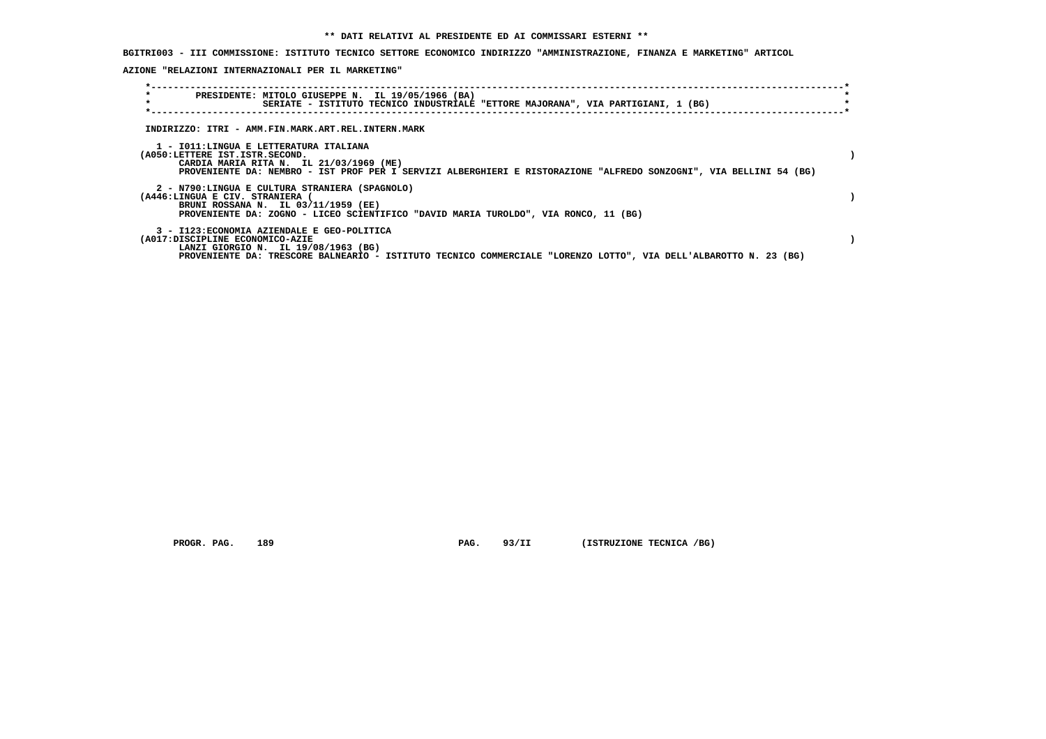**BGITRI003 - III COMMISSIONE: ISTITUTO TECNICO SETTORE ECONOMICO INDIRIZZO "AMMINISTRAZIONE, FINANZA E MARKETING" ARTICOL**

 **AZIONE "RELAZIONI INTERNAZIONALI PER IL MARKETING"**

| $\star$<br>$\star$                                                                                                       | PRESIDENTE: MITOLO GIUSEPPE N. IL 19/05/1966 (BA)<br>SERIATE - ISTITUTO TECNICO INDUSTRIALE "ETTORE MAJORANA", VIA PARTIGIANI, 1 (BG) |  |
|--------------------------------------------------------------------------------------------------------------------------|---------------------------------------------------------------------------------------------------------------------------------------|--|
| INDIRIZZO: ITRI - AMM.FIN.MARK.ART.REL.INTERN.MARK                                                                       |                                                                                                                                       |  |
| 1 - IO11:LINGUA E LETTERATURA ITALIANA<br>(A050:LETTERE IST.ISTR.SECOND.<br>CARDIA MARIA RITA N. IL 21/03/1969 (ME)      | PROVENIENTE DA: NEMBRO - IST PROF PER I SERVIZI ALBERGHIERI E RISTORAZIONE "ALFREDO SONZOGNI", VIA BELLINI 54 (BG)                    |  |
| 2 - N790:LINGUA E CULTURA STRANIERA (SPAGNOLO)<br>(A446:LINGUA E CIV. STRANIERA (<br>BRUNI ROSSANA N. IL 03/11/1959 (EE) | PROVENIENTE DA: ZOGNO - LICEO SCIENTIFICO "DAVID MARIA TUROLDO", VIA RONCO, 11 (BG)                                                   |  |
| 3 - I123: ECONOMIA AZIENDALE E GEO-POLITICA<br>(A017:DISCIPLINE ECONOMICO-AZIE<br>LANZI GIORGIO N. IL 19/08/1963 (BG)    | PROVENIENTE DA: TRESCORE BALNEARIO - ISTITUTO TECNICO COMMERCIALE "LORENZO LOTTO", VIA DELL'ALBAROTTO N. 23 (BG)                      |  |

 **PROGR. PAG.** 189 **PAG.** 93/II (ISTRUZIONE TECNICA /BG)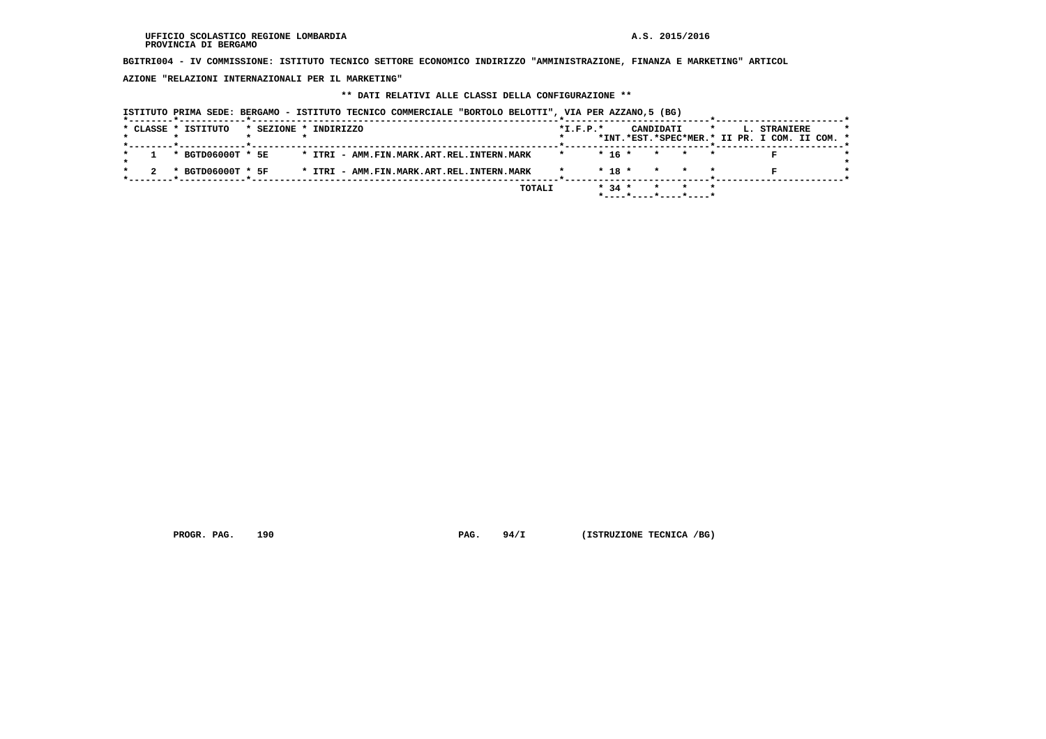**BGITRI004 - IV COMMISSIONE: ISTITUTO TECNICO SETTORE ECONOMICO INDIRIZZO "AMMINISTRAZIONE, FINANZA E MARKETING" ARTICOL**

 **AZIONE "RELAZIONI INTERNAZIONALI PER IL MARKETING"**

## **\*\* DATI RELATIVI ALLE CLASSI DELLA CONFIGURAZIONE \*\***

|  |  | ISTITUTO PRIMA SEDE: BERGAMO - ISTITUTO TECNICO COMMERCIALE "BORTOLO BELOTTI", VIA PER AZZANO,5 (BG)<br>* CLASSE * ISTITUTO |                       |  |  |  |  |                                           |        |            |            |                       |           |  |  |                                                               |  |  |
|--|--|-----------------------------------------------------------------------------------------------------------------------------|-----------------------|--|--|--|--|-------------------------------------------|--------|------------|------------|-----------------------|-----------|--|--|---------------------------------------------------------------|--|--|
|  |  |                                                                                                                             | * SEZIONE * INDIRIZZO |  |  |  |  |                                           |        | $*I.F.P.*$ |            |                       | CANDIDATI |  |  | L. STRANIERE<br>*INT.*EST.*SPEC*MER.* II PR. I COM. II COM. * |  |  |
|  |  | * BGTD06000T * 5E                                                                                                           |                       |  |  |  |  | * ITRI - AMM.FIN.MARK.ART.REL.INTERN.MARK |        | $\star$    | $*$ 16 $*$ |                       | $\star$   |  |  |                                                               |  |  |
|  |  | * BGTD06000T * 5F                                                                                                           |                       |  |  |  |  | * ITRI - AMM.FIN.MARK.ART.REL.INTERN.MARK |        |            | $*$ 18 $*$ |                       |           |  |  |                                                               |  |  |
|  |  |                                                                                                                             |                       |  |  |  |  |                                           | TOTALI |            | $* 34 *$   | *----*----*----*----* |           |  |  |                                                               |  |  |

 **PROGR. PAG.** 190 **PAG. 94/I** (ISTRUZIONE TECNICA /BG)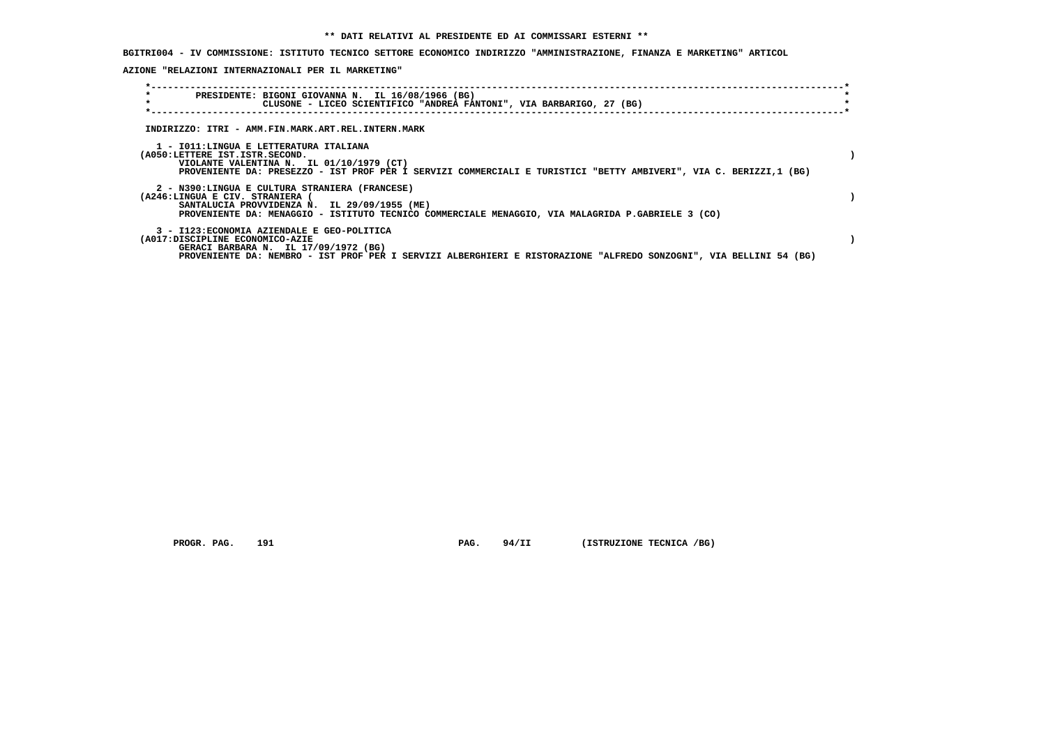**BGITRI004 - IV COMMISSIONE: ISTITUTO TECNICO SETTORE ECONOMICO INDIRIZZO "AMMINISTRAZIONE, FINANZA E MARKETING" ARTICOL**

 **AZIONE "RELAZIONI INTERNAZIONALI PER IL MARKETING"**

| $\star$<br>PRESIDENTE: BIGONI GIOVANNA N. IL 16/08/1966 (BG)<br>$\star$<br>CLUSONE - LICEO SCIENTIFICO "ANDREA FANTONI", VIA BARBARIGO, 27 (BG)                                                                                              |  |
|----------------------------------------------------------------------------------------------------------------------------------------------------------------------------------------------------------------------------------------------|--|
| INDIRIZZO: ITRI - AMM.FIN.MARK.ART.REL.INTERN.MARK                                                                                                                                                                                           |  |
| 1 - IO11:LINGUA E LETTERATURA ITALIANA<br>(A050:LETTERE IST.ISTR.SECOND.<br>VIOLANTE VALENTINA N. IL 01/10/1979 (CT)<br>PROVENIENTE DA: PRESEZZO - IST PROF PER I SERVIZI COMMERCIALI E TURISTICI "BETTY AMBIVERI", VIA C. BERIZZI,1 (BG)    |  |
| 2 - N390:LINGUA E CULTURA STRANIERA (FRANCESE)<br>(A246:LINGUA E CIV. STRANIERA (<br>SANTALUCIA PROVVIDENZA N. IL 29/09/1955 (ME)<br>PROVENIENTE DA: MENAGGIO - ISTITUTO TECNICO COMMERCIALE MENAGGIO, VIA MALAGRIDA P.GABRIELE 3 (CO)       |  |
| 3 - I123: ECONOMIA AZIENDALE E GEO-POLITICA<br>(A017:DISCIPLINE ECONOMICO-AZIE<br>GERACI BARBARA N. IL 17/09/1972 (BG)<br>PROVENIENTE DA: NEMBRO - IST PROF PER I SERVIZI ALBERGHIERI E RISTORAZIONE "ALFREDO SONZOGNI", VIA BELLINI 54 (BG) |  |

 **PROGR. PAG.** 191 **PAG.** 94/II (ISTRUZIONE TECNICA /BG)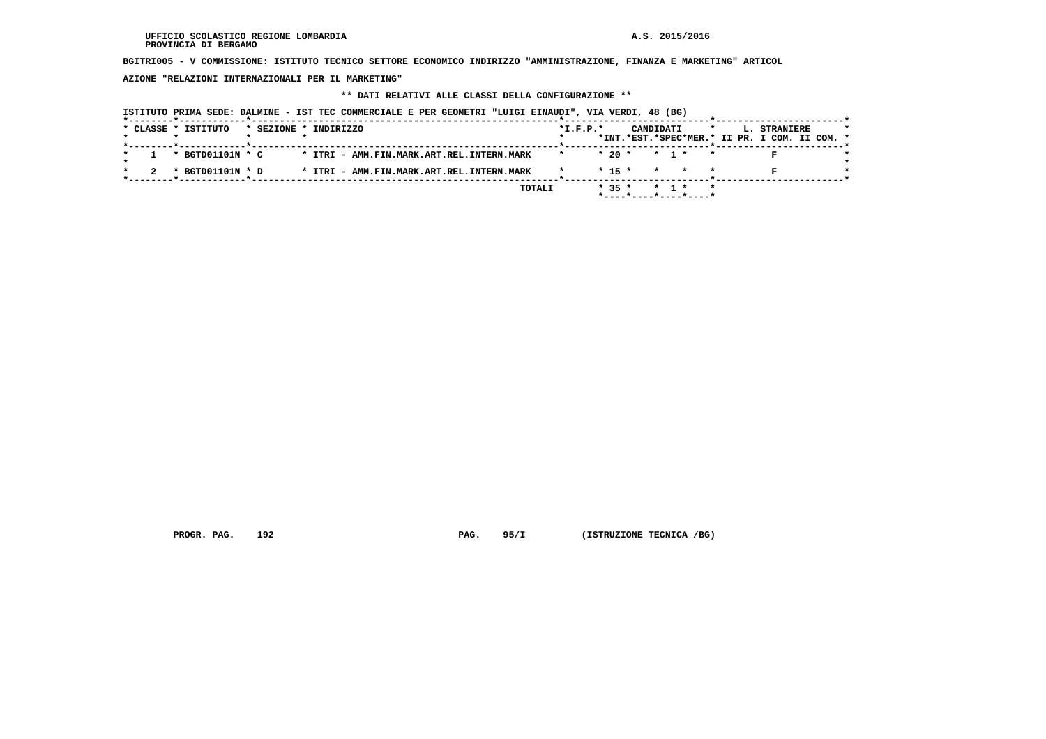**BGITRI005 - V COMMISSIONE: ISTITUTO TECNICO SETTORE ECONOMICO INDIRIZZO "AMMINISTRAZIONE, FINANZA E MARKETING" ARTICOL**

 **AZIONE "RELAZIONI INTERNAZIONALI PER IL MARKETING"**

## **\*\* DATI RELATIVI ALLE CLASSI DELLA CONFIGURAZIONE \*\***

| * CLASSE * ISTITUTO | * SEZIONE * INDIRIZZO                     |        | $*$ I.F.P. $*$ |            |         | CANDIDATI                      | $\star$ | L. STRANIERE<br>*INT.*EST.*SPEC*MER.* II PR. I COM. II COM. * |  |
|---------------------|-------------------------------------------|--------|----------------|------------|---------|--------------------------------|---------|---------------------------------------------------------------|--|
|                     |                                           |        |                |            |         |                                |         |                                                               |  |
| * BGTD01101N * C    | * ITRI - AMM.FIN.MARK.ART.REL.INTERN.MARK |        |                | $*20$ *    |         | * 1 *                          |         |                                                               |  |
| * BGTD01101N * D    | * ITRI - AMM.FIN.MARK.ART.REL.INTERN.MARK |        |                | $*$ 15 $*$ | $\star$ |                                |         |                                                               |  |
|                     |                                           | TOTALI |                | $* 35 *$   |         | * 1 *<br>*----*----*----*----* |         |                                                               |  |

 **PROGR. PAG.** 192 **PAG. 95/I** (ISTRUZIONE TECNICA /BG)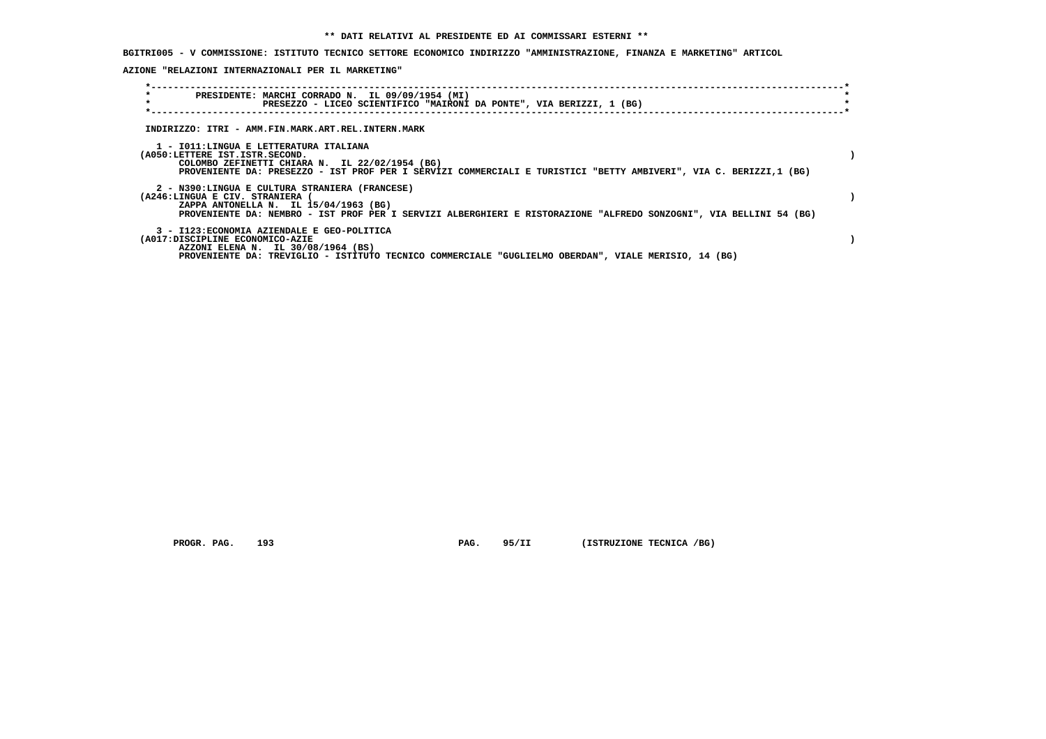**BGITRI005 - V COMMISSIONE: ISTITUTO TECNICO SETTORE ECONOMICO INDIRIZZO "AMMINISTRAZIONE, FINANZA E MARKETING" ARTICOL**

 **AZIONE "RELAZIONI INTERNAZIONALI PER IL MARKETING"**

| $\star$<br>PRESIDENTE: MARCHI CORRADO N. IL 09/09/1954 (MI)<br>$\star$<br>PRESEZZO - LICEO SCIENTIFICO "MAIRONI DA PONTE", VIA BERIZZI, 1 (BG)                                                                                                   |  |
|--------------------------------------------------------------------------------------------------------------------------------------------------------------------------------------------------------------------------------------------------|--|
| INDIRIZZO: ITRI - AMM.FIN.MARK.ART.REL.INTERN.MARK                                                                                                                                                                                               |  |
| 1 - IO11:LINGUA E LETTERATURA ITALIANA<br>(A050:LETTERE IST.ISTR.SECOND.<br>COLOMBO ZEFINETTI CHIARA N. IL 22/02/1954 (BG)<br>PROVENIENTE DA: PRESEZZO - IST PROF PER I SERVIZI COMMERCIALI E TURISTICI "BETTY AMBIVERI", VIA C. BERIZZI,1 (BG)  |  |
| 2 - N390:LINGUA E CULTURA STRANIERA (FRANCESE)<br>(A246:LINGUA E CIV. STRANIERA (<br>ZAPPA ANTONELLA N. IL 15/04/1963 (BG)<br>PROVENIENTE DA: NEMBRO - IST PROF PER I SERVIZI ALBERGHIERI E RISTORAZIONE "ALFREDO SONZOGNI", VIA BELLINI 54 (BG) |  |
| 3 - I123: ECONOMIA AZIENDALE E GEO-POLITICA<br>(A017:DISCIPLINE ECONOMICO-AZIE<br>AZZONI ELENA N. IL 30/08/1964 (BS)<br>PROVENIENTE DA: TREVIGLIO - ISTITUTO TECNICO COMMERCIALE "GUGLIELMO OBERDAN", VIALE MERISIO, 14 (BG)                     |  |

 **PROGR. PAG.** 193 **PAG.** 95/II (ISTRUZIONE TECNICA /BG)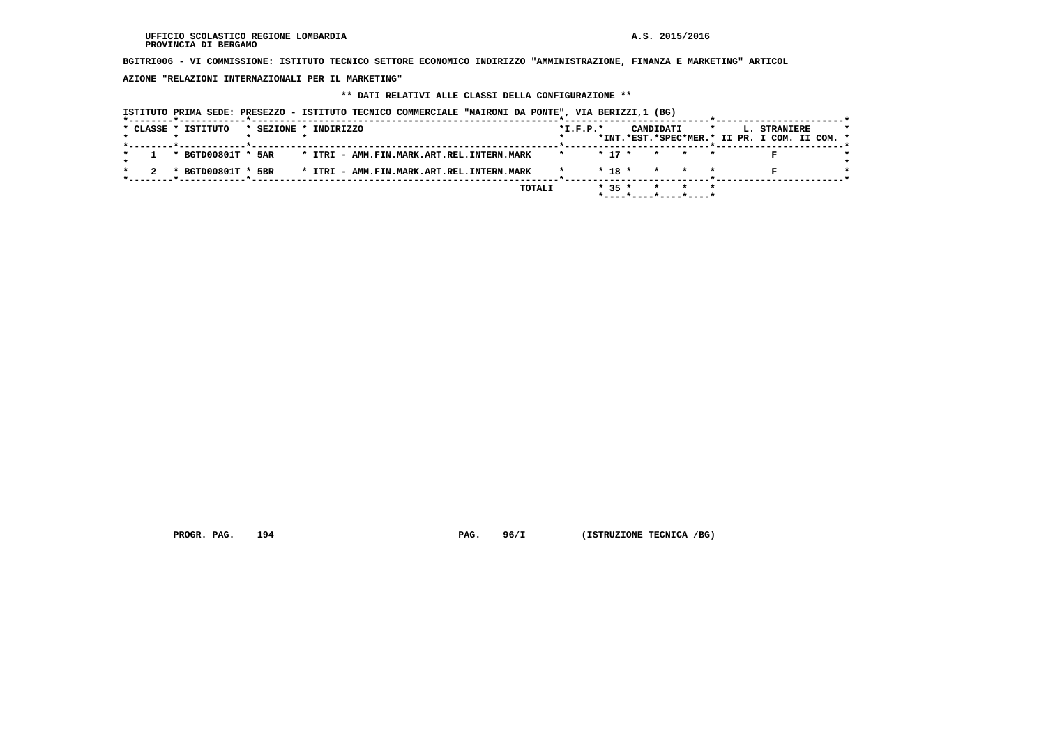**BGITRI006 - VI COMMISSIONE: ISTITUTO TECNICO SETTORE ECONOMICO INDIRIZZO "AMMINISTRAZIONE, FINANZA E MARKETING" ARTICOL**

 **AZIONE "RELAZIONI INTERNAZIONALI PER IL MARKETING"**

# **\*\* DATI RELATIVI ALLE CLASSI DELLA CONFIGURAZIONE \*\***

 **ISTITUTO PRIMA SEDE: PRESEZZO - ISTITUTO TECNICO COMMERCIALE "MAIRONI DA PONTE", VIA BERIZZI,1 (BG)**

|  | * CLASSE * ISTITUTO |  | * SEZIONE * INDIRIZZO                     | $*$ I.F.P. $*$ |            | CANDIDATI |                               | $\star$ | L. STRANIERE<br>*INT.*EST.*SPEC*MER.* II PR. I COM. II COM. * |  |
|--|---------------------|--|-------------------------------------------|----------------|------------|-----------|-------------------------------|---------|---------------------------------------------------------------|--|
|  | * BGTD00801T * 5AR  |  | * ITRI - AMM.FIN.MARK.ART.REL.INTERN.MARK |                | $*$ 17 $*$ |           | * * *                         |         |                                                               |  |
|  | * BGTD00801T * 5BR  |  | * ITRI - AMM.FIN.MARK.ART.REL.INTERN.MARK |                | $*$ 18 $*$ |           | * * *                         |         |                                                               |  |
|  |                     |  | <b>TOTALI</b>                             |                | $* 35 *$   |           | * * *<br>*----*----*----*---- |         |                                                               |  |

 **PROGR. PAG.** 194 **PAG. PAG.** 96/I (ISTRUZIONE TECNICA /BG)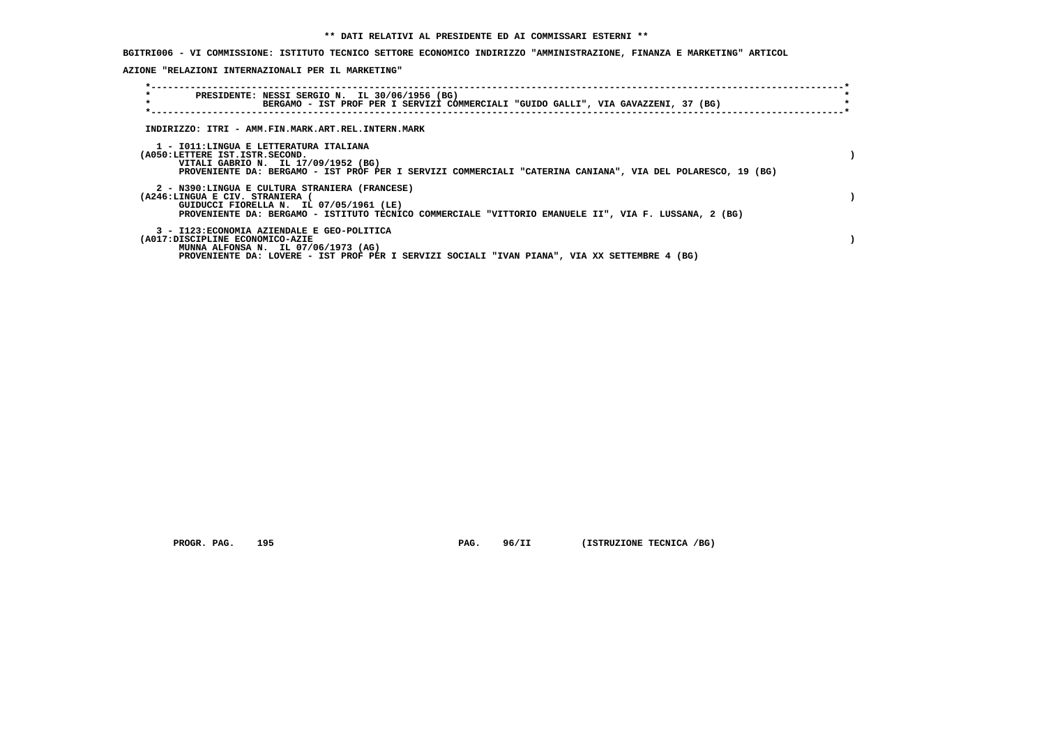**BGITRI006 - VI COMMISSIONE: ISTITUTO TECNICO SETTORE ECONOMICO INDIRIZZO "AMMINISTRAZIONE, FINANZA E MARKETING" ARTICOL**

 **AZIONE "RELAZIONI INTERNAZIONALI PER IL MARKETING"**

| $\star$<br>$\star$              | PRESIDENTE: NESSI SERGIO N. IL 30/06/1956 (BG)<br>BERGAMO - IST PROF PER I SERVIZI COMMERCIALI "GUIDO GALLI", VIA GAVAZZENI, 37 (BG)                                                               |  |
|---------------------------------|----------------------------------------------------------------------------------------------------------------------------------------------------------------------------------------------------|--|
|                                 | INDIRIZZO: ITRI - AMM.FIN.MARK.ART.REL.INTERN.MARK                                                                                                                                                 |  |
| (A050:LETTERE IST.ISTR.SECOND.  | 1 - IO11:LINGUA E LETTERATURA ITALIANA<br>VITALI GABRIO N. IL 17/09/1952 (BG)<br>PROVENIENTE DA: BERGAMO - IST PROF PER I SERVIZI COMMERCIALI "CATERINA CANIANA", VIA DEL POLARESCO, 19 (BG)       |  |
| (A246:LINGUA E CIV. STRANIERA)  | 2 - N390:LINGUA E CULTURA STRANIERA (FRANCESE)<br>GUIDUCCI FIORELLA N. IL 07/05/1961 (LE)<br>PROVENIENTE DA: BERGAMO - ISTITUTO TECNICO COMMERCIALE "VITTORIO EMANUELE II", VIA F. LUSSANA, 2 (BG) |  |
| (A017:DISCIPLINE ECONOMICO-AZIE | 3 - I123: ECONOMIA AZIENDALE E GEO-POLITICA<br>MUNNA ALFONSA N. IL 07/06/1973 (AG)<br>PROVENIENTE DA: LOVERE - IST PROF PER I SERVIZI SOCIALI "IVAN PIANA", VIA XX SETTEMBRE 4 (BG)                |  |

 **PROGR. PAG.** 195 **PAG.** 96/II (ISTRUZIONE TECNICA /BG)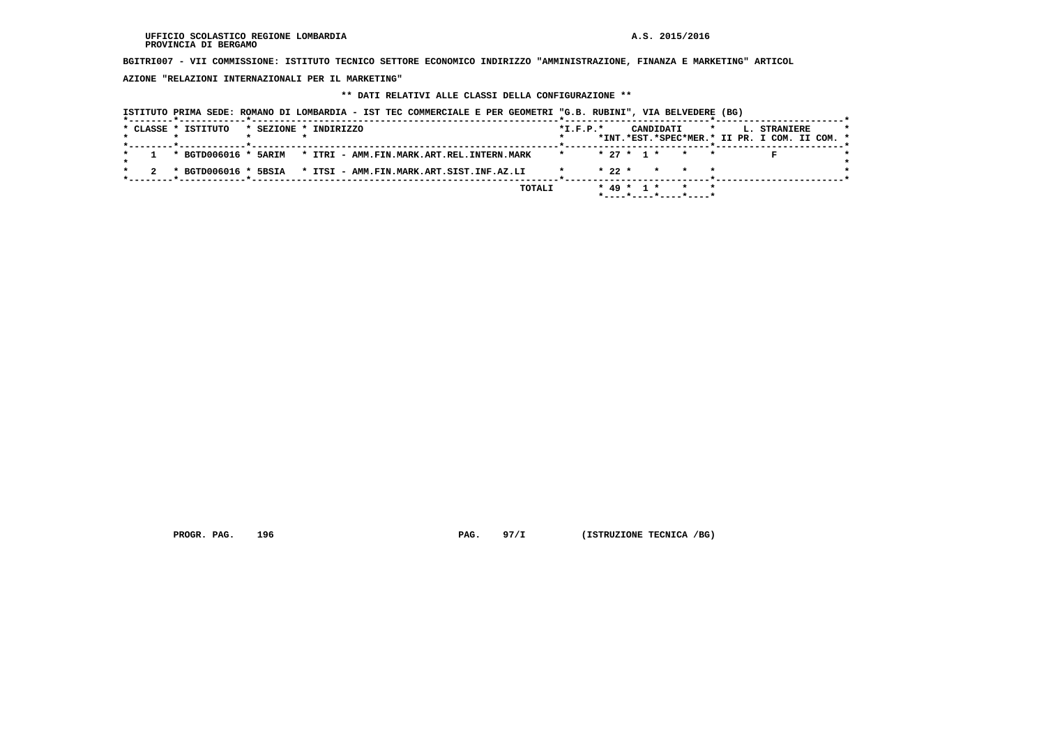**BGITRI007 - VII COMMISSIONE: ISTITUTO TECNICO SETTORE ECONOMICO INDIRIZZO "AMMINISTRAZIONE, FINANZA E MARKETING" ARTICOL**

 **AZIONE "RELAZIONI INTERNAZIONALI PER IL MARKETING"**

## **\*\* DATI RELATIVI ALLE CLASSI DELLA CONFIGURAZIONE \*\***

| ISTITUTO PRIMA SEDE: ROMANO DI LOMBARDIA - IST TEC COMMERCIALE E PER GEOMETRI "G.B. RUBINI", VIA BELVEDERE (BG) |                                                                                                     |
|-----------------------------------------------------------------------------------------------------------------|-----------------------------------------------------------------------------------------------------|
| * CLASSE * ISTITUTO<br>* SEZIONE * INDIRIZZO                                                                    | $*I.F.P.*$<br>CANDIDATI<br>L. STRANIERE<br>$\star$<br>*INT.*EST.*SPEC*MER.* II PR. I COM. II COM. * |
| * BGTD006016 * 5ARIM * ITRI - AMM.FIN.MARK.ART.REL.INTERN.MARK                                                  | <u> -----*-----</u><br>$* 27 * 1 *$<br>* *                                                          |
| * BGTD006016 * 5BSIA<br>* ITSI - AMM.FIN.MARK.ART.SIST.INF.AZ.LI                                                | $* 22 *$<br>* * *                                                                                   |
| TOTALI                                                                                                          | $* 49 * 1 *$<br>$\star$<br>*----*----*----*----                                                     |

 **PROGR. PAG.** 196 **PAG.** 97/I (ISTRUZIONE TECNICA /BG)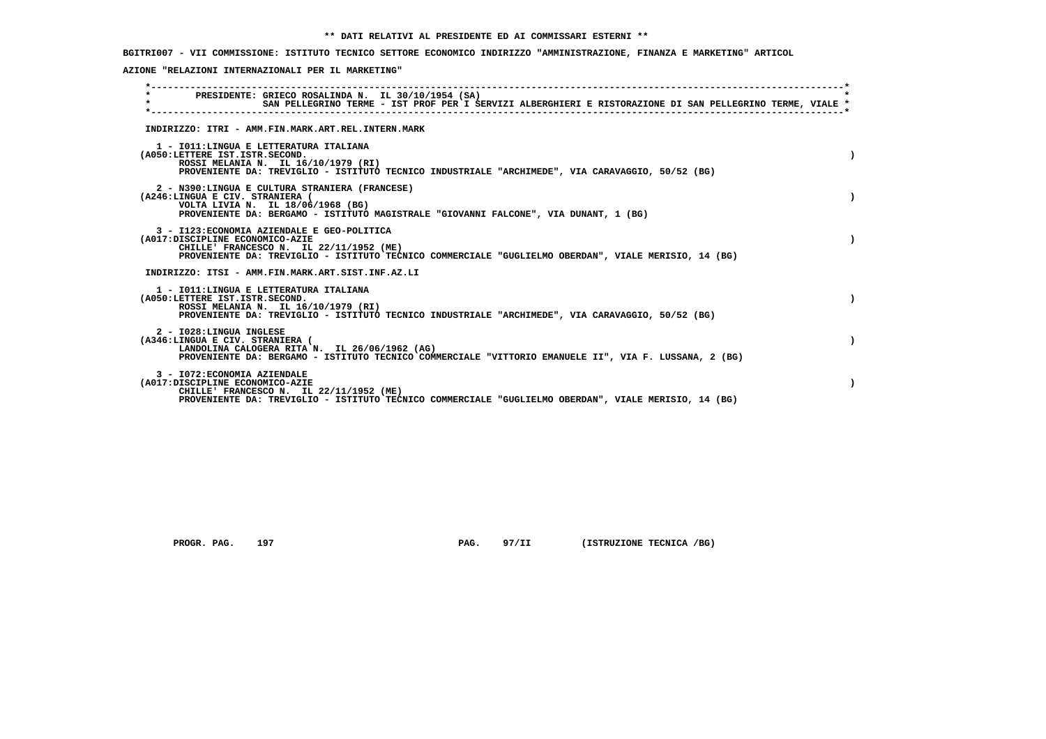**BGITRI007 - VII COMMISSIONE: ISTITUTO TECNICO SETTORE ECONOMICO INDIRIZZO "AMMINISTRAZIONE, FINANZA E MARKETING" ARTICOL**

 **AZIONE "RELAZIONI INTERNAZIONALI PER IL MARKETING"**

| $\star$ |                                                                 | PRESIDENTE: GRIECO ROSALINDA N. IL 30/10/1954 (SA)<br>SAN PELLEGRINO TERME - IST PROF PER I SERVIZI ALBERGHIERI E RISTORAZIONE DI SAN PELLEGRINO TERME, VIALE *                                |  |
|---------|-----------------------------------------------------------------|------------------------------------------------------------------------------------------------------------------------------------------------------------------------------------------------|--|
|         |                                                                 | INDIRIZZO: ITRI - AMM.FIN.MARK.ART.REL.INTERN.MARK                                                                                                                                             |  |
|         | (A050:LETTERE IST.ISTR.SECOND.                                  | 1 - IO11: LINGUA E LETTERATURA ITALIANA<br>ROSSI MELANIA N. IL 16/10/1979 (RI)<br>PROVENIENTE DA: TREVIGLIO - ISTITUTO TECNICO INDUSTRIALE "ARCHIMEDE", VIA CARAVAGGIO, 50/52 (BG)             |  |
|         | (A246:LINGUA E CIV. STRANIERA (                                 | 2 - N390:LINGUA E CULTURA STRANIERA (FRANCESE)<br>VOLTA LIVIA N. IL 18/06/1968 (BG)<br>PROVENIENTE DA: BERGAMO - ISTITUTO MAGISTRALE "GIOVANNI FALCONE", VIA DUNANT, 1 (BG)                    |  |
|         | (A017:DISCIPLINE ECONOMICO-AZIE                                 | 3 - I123: ECONOMIA AZIENDALE E GEO-POLITICA<br>CHILLE' FRANCESCO N. IL 22/11/1952 (ME)<br>PROVENIENTE DA: TREVIGLIO - ISTITUTO TECNICO COMMERCIALE "GUGLIELMO OBERDAN", VIALE MERISIO, 14 (BG) |  |
|         |                                                                 | INDIRIZZO: ITSI - AMM.FIN.MARK.ART.SIST.INF.AZ.LI                                                                                                                                              |  |
|         | (A050:LETTERE IST.ISTR.SECOND.                                  | 1 - IO11: LINGUA E LETTERATURA ITALIANA<br>ROSSI MELANIA N. IL 16/10/1979 (RI)<br>PROVENIENTE DA: TREVIGLIO - ISTITUTO TECNICO INDUSTRIALE "ARCHIMEDE", VIA CARAVAGGIO, 50/52 (BG)             |  |
|         | 2 - I028: LINGUA INGLESE<br>(A346:LINGUA E CIV. STRANIERA (     | LANDOLINA CALOGERA RITA N. IL 26/06/1962 (AG)<br>PROVENIENTE DA: BERGAMO - ISTITUTO TECNICO COMMERCIALE "VITTORIO EMANUELE II", VIA F. LUSSANA, 2 (BG)                                         |  |
|         | 3 - I072: ECONOMIA AZIENDALE<br>(A017:DISCIPLINE ECONOMICO-AZIE | CHILLE' FRANCESCO N. IL 22/11/1952 (ME)<br>PROVENIENTE DA: TREVIGLIO - ISTITUTO TECNICO COMMERCIALE "GUGLIELMO OBERDAN", VIALE MERISIO, 14 (BG)                                                |  |

 **PROGR. PAG.** 197 **PAG.** 97/II (ISTRUZIONE TECNICA /BG)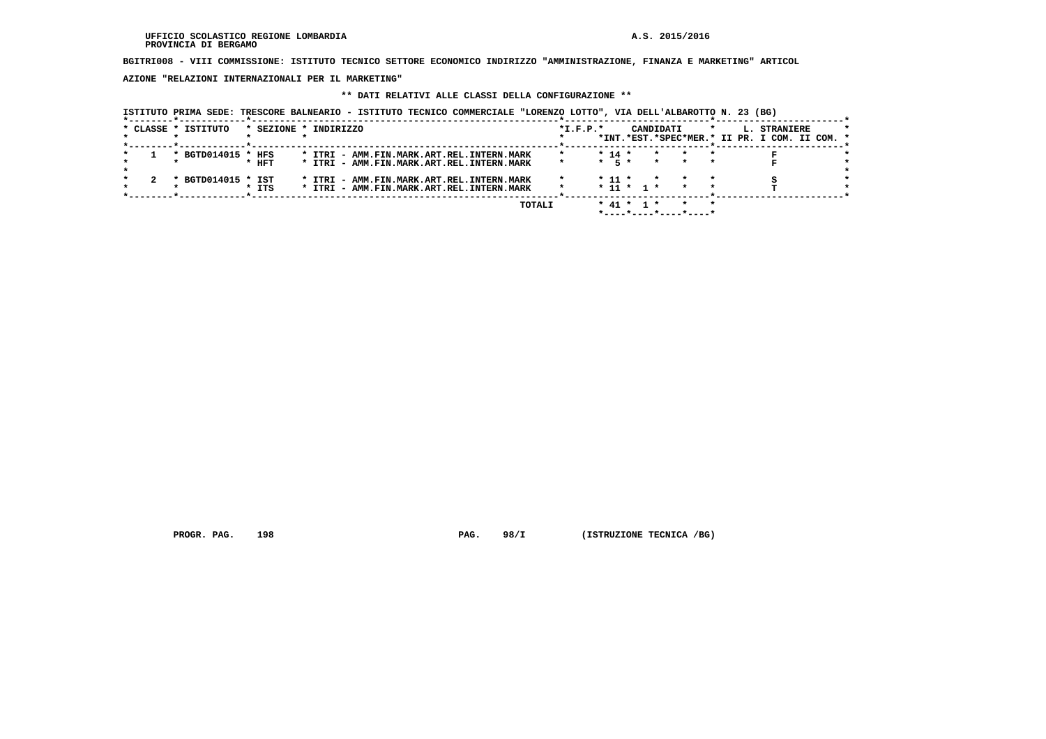**BGITRI008 - VIII COMMISSIONE: ISTITUTO TECNICO SETTORE ECONOMICO INDIRIZZO "AMMINISTRAZIONE, FINANZA E MARKETING" ARTICOL**

 **AZIONE "RELAZIONI INTERNAZIONALI PER IL MARKETING"**

## **\*\* DATI RELATIVI ALLE CLASSI DELLA CONFIGURAZIONE \*\***

|  | * CLASSE * ISTITUTO | * SEZIONE * INDIRIZZO |  |  |  |                                           |        | $*I.F.P.*$ |            |              | CANDIDATI | $\star$ | L. STRANIERE<br>*INT.*EST.*SPEC*MER.* II PR. I COM. II COM. * |  |
|--|---------------------|-----------------------|--|--|--|-------------------------------------------|--------|------------|------------|--------------|-----------|---------|---------------------------------------------------------------|--|
|  | * BGTD014015 * HFS  |                       |  |  |  | * ITRI - AMM.FIN.MARK.ART.REL.INTERN.MARK |        |            | $* 14 *$   |              | $\star$   |         |                                                               |  |
|  |                     | $*$ HFT               |  |  |  | * ITRI - AMM.FIN.MARK.ART.REL.INTERN.MARK |        |            | $*$ 5 $*$  |              | $\star$   |         |                                                               |  |
|  | * BGTD014015 * IST  |                       |  |  |  | * ITRI - AMM.FIN.MARK.ART.REL.INTERN.MARK |        |            | $*$ 11 $*$ |              | $\star$   |         |                                                               |  |
|  |                     | $*$ ITS               |  |  |  | * ITRI - AMM.FIN.MARK.ART.REL.INTERN.MARK |        |            |            | $* 11 * 1 *$ |           |         |                                                               |  |
|  |                     |                       |  |  |  |                                           | TOTALI |            |            | * 41 * 1 *   |           |         |                                                               |  |

 **PROGR. PAG.** 198 **PAG.** 98/I (ISTRUZIONE TECNICA /BG)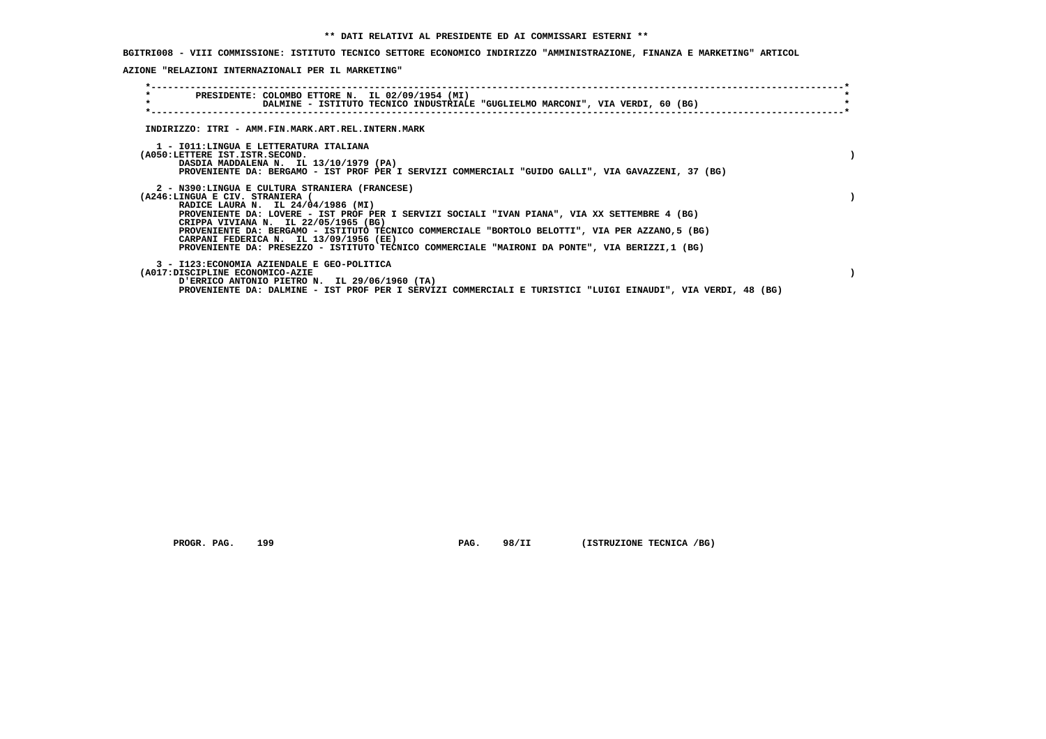**BGITRI008 - VIII COMMISSIONE: ISTITUTO TECNICO SETTORE ECONOMICO INDIRIZZO "AMMINISTRAZIONE, FINANZA E MARKETING" ARTICOL**

 **AZIONE "RELAZIONI INTERNAZIONALI PER IL MARKETING"**

| PRESIDENTE: COLOMBO ETTORE N. IL 02/09/1954 (MI)                                                                                         |  |
|------------------------------------------------------------------------------------------------------------------------------------------|--|
| DALMINE - ISTITUTO TECNICO INDUSTRIALE "GUGLIELMO MARCONI", VIA VERDI, 60 (BG)                                                           |  |
|                                                                                                                                          |  |
|                                                                                                                                          |  |
| INDIRIZZO: ITRI - AMM.FIN.MARK.ART.REL.INTERN.MARK                                                                                       |  |
| 1 - IO11: LINGUA E LETTERATURA ITALIANA                                                                                                  |  |
| (A050:LETTERE IST.ISTR.SECOND.                                                                                                           |  |
| DASDIA MADDALENA N. IL 13/10/1979 (PA)                                                                                                   |  |
| PROVENIENTE DA: BERGAMO - IST PROF PER I SERVIZI COMMERCIALI "GUIDO GALLI", VIA GAVAZZENI, 37 (BG)                                       |  |
|                                                                                                                                          |  |
| 2 - N390:LINGUA E CULTURA STRANIERA (FRANCESE)                                                                                           |  |
| (A246:LINGUA E CIV. STRANIERA (                                                                                                          |  |
| RADICE LAURA N. IL 24/04/1986 (MI)                                                                                                       |  |
| PROVENIENTE DA: LOVERE - IST PROF PER I SERVIZI SOCIALI "IVAN PIANA", VIA XX SETTEMBRE 4 (BG)                                            |  |
| CRIPPA VIVIANA N. IL 22/05/1965 (BG)<br>PROVENIENTE DA: BERGAMO - ISTITUTO TECNICO COMMERCIALE "BORTOLO BELOTTI", VIA PER AZZANO, 5 (BG) |  |
| CARPANI FEDERICA N. IL 13/09/1956 (EE)                                                                                                   |  |
| PROVENIENTE DA: PRESEZZO - ISTITUTO TECNICO COMMERCIALE "MAIRONI DA PONTE", VIA BERIZZI,1 (BG)                                           |  |
|                                                                                                                                          |  |
| 3 - I123: ECONOMIA AZIENDALE E GEO-POLITICA                                                                                              |  |
| (A017:DISCIPLINE ECONOMICO-AZIE                                                                                                          |  |
| D'ERRICO ANTONIO PIETRO N. IL 29/06/1960 (TA)                                                                                            |  |
| PROVENIENTE DA: DALMINE - IST PROF PER I SERVIZI COMMERCIALI E TURISTICI "LUIGI EINAUDI", VIA VERDI, 48 (BG)                             |  |

 **PROGR. PAG.** 199 **PAG.** 98/II (ISTRUZIONE TECNICA /BG)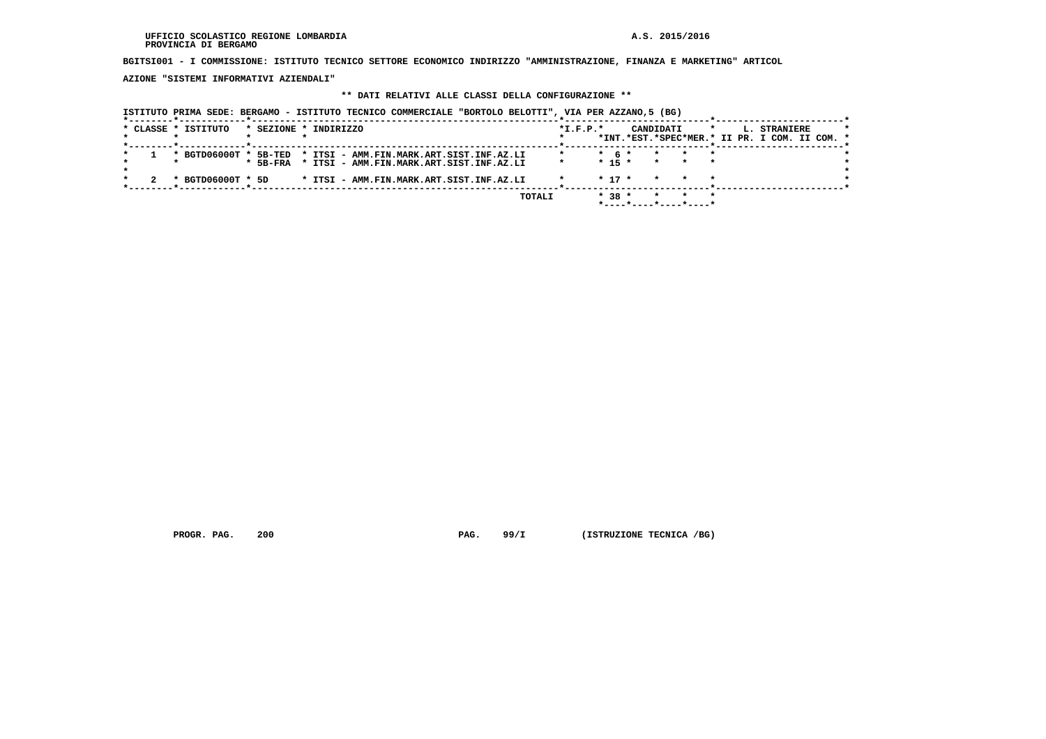#### **UFFICIO SCOLASTICO REGIONE LOMBARDIA A.S. 2015/2016 PROVINCIA DI BERGAMO**

 **BGITSI001 - I COMMISSIONE: ISTITUTO TECNICO SETTORE ECONOMICO INDIRIZZO "AMMINISTRAZIONE, FINANZA E MARKETING" ARTICOL**

 **AZIONE "SISTEMI INFORMATIVI AZIENDALI"**

## **\*\* DATI RELATIVI ALLE CLASSI DELLA CONFIGURAZIONE \*\***

 **ISTITUTO PRIMA SEDE: BERGAMO - ISTITUTO TECNICO COMMERCIALE "BORTOLO BELOTTI", VIA PER AZZANO,5 (BG)**

|  | * CLASSE * ISTITUTO   | * SEZIONE * INDIRIZZO |  |                                          |  |        | $*$ I.F.P. $*$ |            |  | CANDIDATI |                              | $\star$ | L. STRANIERE                                  |  |  |
|--|-----------------------|-----------------------|--|------------------------------------------|--|--------|----------------|------------|--|-----------|------------------------------|---------|-----------------------------------------------|--|--|
|  |                       |                       |  |                                          |  |        |                |            |  |           |                              |         | *INT.*EST.*SPEC*MER.* II PR. I COM. II COM. * |  |  |
|  |                       |                       |  |                                          |  |        |                |            |  |           |                              |         |                                               |  |  |
|  | * BGTD06000T * 5B-TED |                       |  | * ITSI - AMM.FIN.MARK.ART.SIST.INF.AZ.LI |  |        |                | $*$ 6 $*$  |  |           |                              | $\star$ |                                               |  |  |
|  |                       | $*$ 5B-FRA            |  | * ITSI - AMM.FIN.MARK.ART.SIST.INF.AZ.LI |  |        |                | $* 15 *$   |  | $\star$   | $\star$ . The set of $\star$ | $\star$ |                                               |  |  |
|  |                       |                       |  |                                          |  |        |                |            |  |           |                              |         |                                               |  |  |
|  | * BGTD06000T * 5D     |                       |  | * ITSI - AMM.FIN.MARK.ART.SIST.INF.AZ.LI |  |        |                | $*$ 17 $*$ |  |           |                              |         |                                               |  |  |
|  |                       |                       |  |                                          |  |        |                |            |  |           |                              |         |                                               |  |  |
|  |                       |                       |  |                                          |  | TOTALI |                | $* 38 *$   |  |           |                              | $\star$ |                                               |  |  |
|  |                       |                       |  |                                          |  |        |                |            |  |           |                              |         |                                               |  |  |
|  |                       |                       |  |                                          |  |        |                |            |  |           | *----*----*----*----*        |         |                                               |  |  |

 **PROGR. PAG.** 200 **PAG.** 99/I (ISTRUZIONE TECNICA /BG)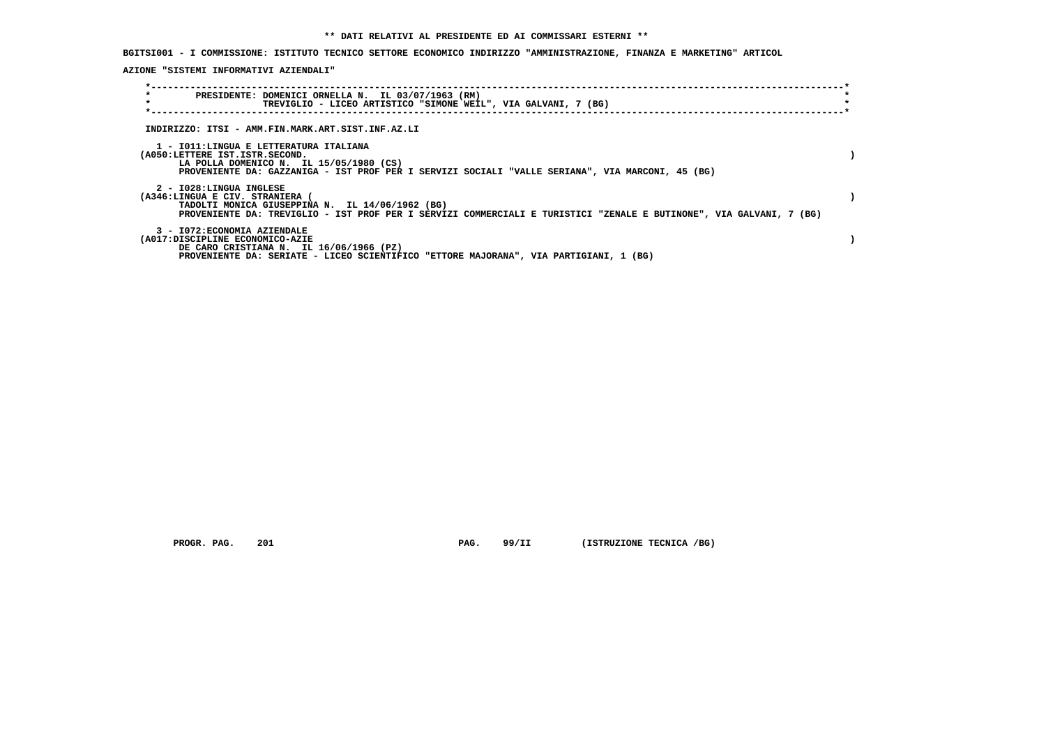**BGITSI001 - I COMMISSIONE: ISTITUTO TECNICO SETTORE ECONOMICO INDIRIZZO "AMMINISTRAZIONE, FINANZA E MARKETING" ARTICOL**

 **AZIONE "SISTEMI INFORMATIVI AZIENDALI"**

| $\star$<br>$\star$ | PRESIDENTE: DOMENICI ORNELLA N. IL 03/07/1963 (RM)<br>TREVIGLIO - LICEO ARTISTICO "SIMONE WEIL", VIA GALVANI, 7 (BG)                                                                                                                 |  |
|--------------------|--------------------------------------------------------------------------------------------------------------------------------------------------------------------------------------------------------------------------------------|--|
|                    |                                                                                                                                                                                                                                      |  |
|                    | INDIRIZZO: ITSI - AMM.FIN.MARK.ART.SIST.INF.AZ.LI                                                                                                                                                                                    |  |
|                    | 1 - IO11:LINGUA E LETTERATURA ITALIANA<br>(A050:LETTERE IST.ISTR.SECOND.<br>LA POLLA DOMENICO N. IL 15/05/1980 (CS)<br>PROVENIENTE DA: GAZZANIGA - IST PROF PER I SERVIZI SOCIALI "VALLE SERIANA", VIA MARCONI, 45 (BG)              |  |
|                    | 2 - I028:LINGUA INGLESE<br>(A346:LINGUA E CIV. STRANIERA (<br>TADOLTI MONICA GIUSEPPINA N. IL 14/06/1962 (BG)<br>PROVENIENTE DA: TREVIGLIO - IST PROF PER I SERVIZI COMMERCIALI E TURISTICI "ZENALE E BUTINONE", VIA GALVANI, 7 (BG) |  |
|                    | 3 - I072: ECONOMIA AZIENDALE<br>(A017:DISCIPLINE ECONOMICO-AZIE<br>DE CARO CRISTIANA N. IL 16/06/1966 (PZ)<br>PROVENIENTE DA: SERIATE - LICEO SCIENTIFICO "ETTORE MAJORANA", VIA PARTIGIANI, 1 (BG)                                  |  |

 **PROGR. PAG.** 201 **PAG. 99/II (ISTRUZIONE TECNICA /BG)**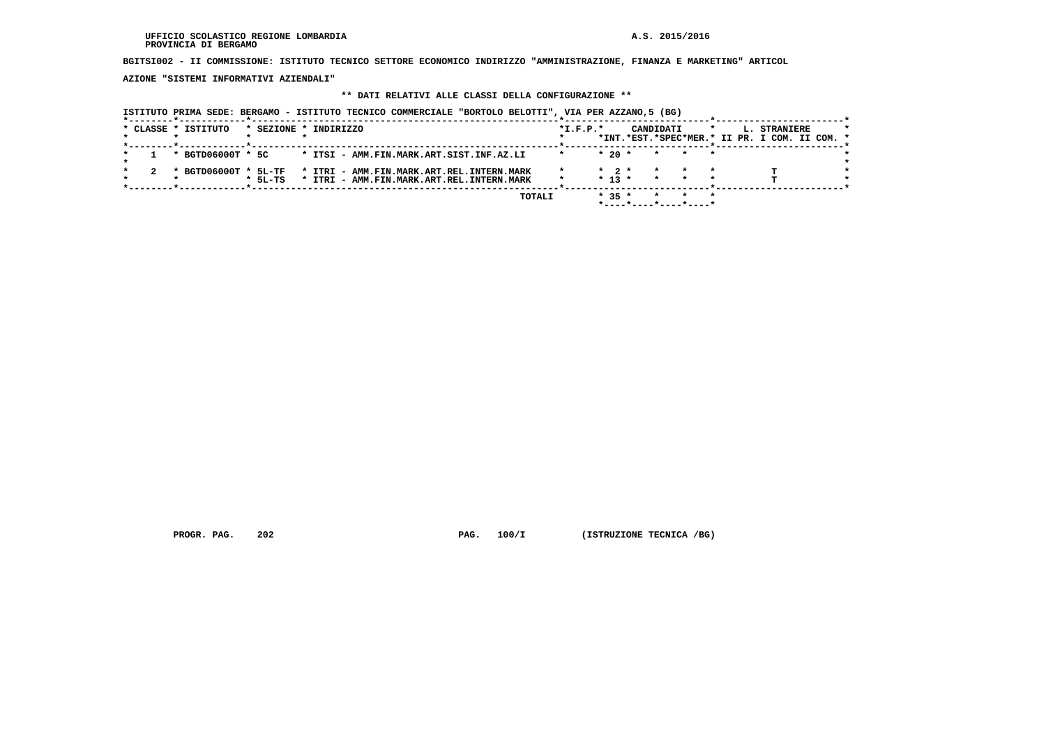#### **UFFICIO SCOLASTICO REGIONE LOMBARDIA A.S. 2015/2016 PROVINCIA DI BERGAMO**

 **BGITSI002 - II COMMISSIONE: ISTITUTO TECNICO SETTORE ECONOMICO INDIRIZZO "AMMINISTRAZIONE, FINANZA E MARKETING" ARTICOL**

 **AZIONE "SISTEMI INFORMATIVI AZIENDALI"**

## **\*\* DATI RELATIVI ALLE CLASSI DELLA CONFIGURAZIONE \*\***

 **ISTITUTO PRIMA SEDE: BERGAMO - ISTITUTO TECNICO COMMERCIALE "BORTOLO BELOTTI", VIA PER AZZANO,5 (BG)**

| * CLASSE * ISTITUTO |         | * SEZIONE * INDIRIZZO                                          | $*L.F.P.*$ |                   | CANDIDATI               | $\star$<br>L. STRANIERE<br>*INT.*EST.*SPEC*MER.* II PR. I COM. II COM. * |  |
|---------------------|---------|----------------------------------------------------------------|------------|-------------------|-------------------------|--------------------------------------------------------------------------|--|
| * BGTD06000T * 5C   |         | * ITSI - AMM.FIN.MARK.ART.SIST.INF.AZ.LI                       |            | $*20$ *           | $\star$ $\star$         |                                                                          |  |
|                     |         |                                                                |            |                   |                         |                                                                          |  |
|                     |         | * BGTD06000T * 5L-TF * ITRI - AMM.FIN.MARK.ART.REL.INTERN.MARK |            | $\star$ 2 $\star$ | $\star$<br>$\star$      |                                                                          |  |
|                     | * 5L-TS | * ITRI - AMM.FIN.MARK.ART.REL.INTERN.MARK                      |            | $* 13 *$          | $\star$<br>$\mathbf{r}$ |                                                                          |  |
|                     |         |                                                                |            |                   |                         |                                                                          |  |
|                     |         | TOTALI                                                         |            | $* 35 *$          | $\star$                 |                                                                          |  |
|                     |         |                                                                |            |                   |                         |                                                                          |  |

 **PROGR. PAG.** 202 **PAG.** 100/I (ISTRUZIONE TECNICA /BG)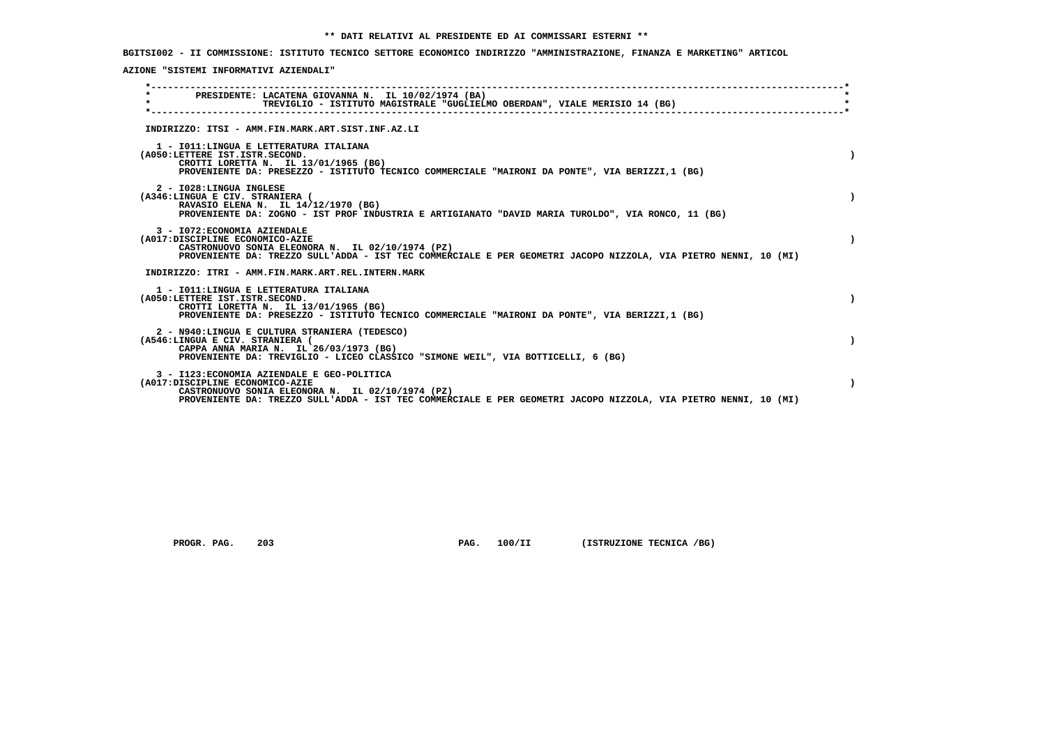**BGITSI002 - II COMMISSIONE: ISTITUTO TECNICO SETTORE ECONOMICO INDIRIZZO "AMMINISTRAZIONE, FINANZA E MARKETING" ARTICOL**

 **AZIONE "SISTEMI INFORMATIVI AZIENDALI"**

|         | PRESIDENTE: LACATENA GIOVANNA N. IL 10/02/1974 (BA)                                                                                                                 |  |
|---------|---------------------------------------------------------------------------------------------------------------------------------------------------------------------|--|
| $\star$ | TREVIGLIO - ISTITUTO MAGISTRALE "GUGLIELMO OBERDAN", VIALE MERISIO 14 (BG)                                                                                          |  |
|         |                                                                                                                                                                     |  |
|         | INDIRIZZO: ITSI - AMM.FIN.MARK.ART.SIST.INF.AZ.LI                                                                                                                   |  |
|         | 1 - IO11: LINGUA E LETTERATURA ITALIANA                                                                                                                             |  |
|         | (A050:LETTERE IST.ISTR.SECOND.<br>CROTTI LORETTA N. IL 13/01/1965 (BG)                                                                                              |  |
|         | PROVENIENTE DA: PRESEZZO - ISTITUTO TECNICO COMMERCIALE "MAIRONI DA PONTE", VIA BERIZZI,1 (BG)                                                                      |  |
|         | 2 - I028:LINGUA INGLESE                                                                                                                                             |  |
|         | (A346:LINGUA E CIV. STRANIERA (                                                                                                                                     |  |
|         | RAVASIO ELENA N. IL 14/12/1970 (BG)<br>PROVENIENTE DA: ZOGNO - IST PROF INDUSTRIA E ARTIGIANATO "DAVID MARIA TUROLDO", VIA RONCO, 11 (BG)                           |  |
|         | 3 - I072: ECONOMIA AZIENDALE                                                                                                                                        |  |
|         | (A017:DISCIPLINE ECONOMICO-AZIE                                                                                                                                     |  |
|         | CASTRONUOVO SONIA ELEONORA N. IL 02/10/1974 (PZ)<br>PROVENIENTE DA: TREZZO SULL'ADDA - IST TEC COMMERCIALE E PER GEOMETRI JACOPO NIZZOLA, VIA PIETRO NENNI, 10 (MI) |  |
|         |                                                                                                                                                                     |  |
|         | INDIRIZZO: ITRI - AMM.FIN.MARK.ART.REL.INTERN.MARK                                                                                                                  |  |
|         | 1 - IO11: LINGUA E LETTERATURA ITALIANA                                                                                                                             |  |
|         | (A050:LETTERE IST.ISTR.SECOND.<br>CROTTI LORETTA N. IL 13/01/1965 (BG)                                                                                              |  |
|         | PROVENIENTE DA: PRESEZZO - ISTITUTO TECNICO COMMERCIALE "MAIRONI DA PONTE", VIA BERIZZI,1 (BG)                                                                      |  |
|         | 2 - N940:LINGUA E CULTURA STRANIERA (TEDESCO)                                                                                                                       |  |
|         | (A546:LINGUA E CIV. STRANIERA (<br>CAPPA ANNA MARIA N. IL 26/03/1973 (BG)                                                                                           |  |
|         | PROVENIENTE DA: TREVIGLIO - LICEO CLASSICO "SIMONE WEIL", VIA BOTTICELLI, 6 (BG)                                                                                    |  |
|         | 3 - I123: ECONOMIA AZIENDALE E GEO-POLITICA                                                                                                                         |  |
|         | (A017:DISCIPLINE ECONOMICO-AZIE                                                                                                                                     |  |
|         | CASTRONUOVO SONIA ELEONORA N. IL 02/10/1974 (PZ)<br>PROVENIENTE DA: TREZZO SULL'ADDA - IST TEC COMMERCIALE E PER GEOMETRI JACOPO NIZZOLA, VIA PIETRO NENNI, 10 (MI) |  |
|         |                                                                                                                                                                     |  |

 **PROGR. PAG.** 203 **PAG. 100/II (ISTRUZIONE TECNICA /BG)**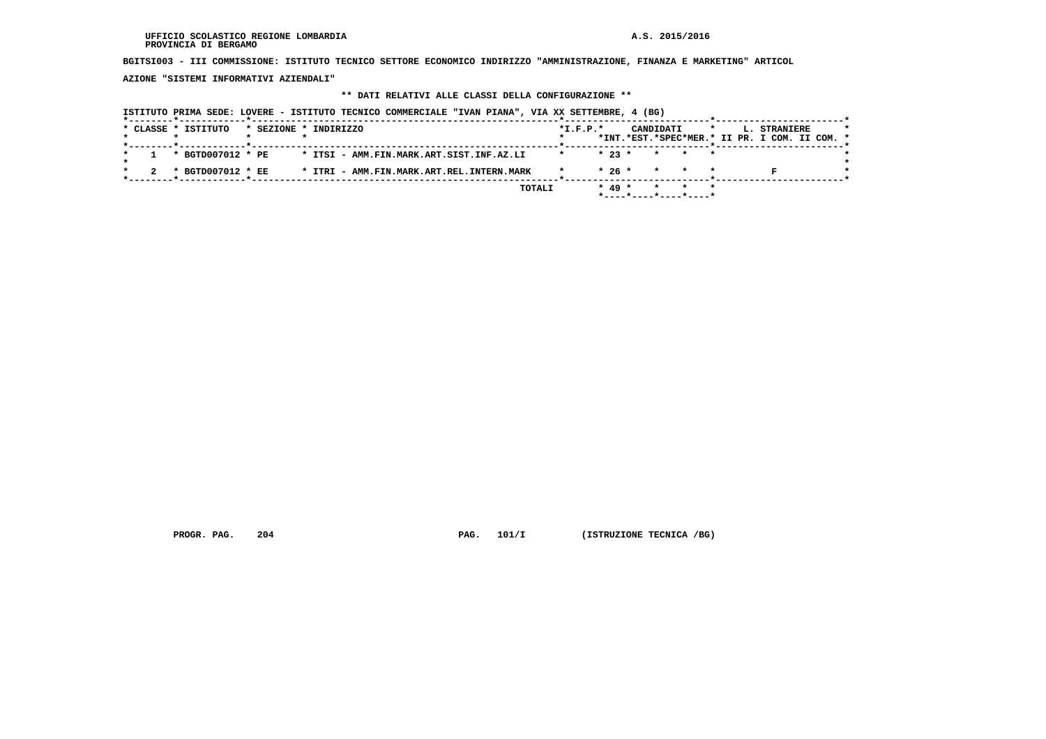**BGITSI003 - III COMMISSIONE: ISTITUTO TECNICO SETTORE ECONOMICO INDIRIZZO "AMMINISTRAZIONE, FINANZA E MARKETING" ARTICOL**

 **AZIONE "SISTEMI INFORMATIVI AZIENDALI"**

#### **\*\* DATI RELATIVI ALLE CLASSI DELLA CONFIGURAZIONE \*\***

 **ISTITUTO PRIMA SEDE: LOVERE - ISTITUTO TECNICO COMMERCIALE "IVAN PIANA", VIA XX SETTEMBRE, 4 (BG) \*--------\*------------\*-------------------------------------------------------\*--------------------------\*-----------------------\*** $\star$  **\* CLASSE \* ISTITUTO \* SEZIONE \* INDIRIZZO \*I.F.P.\* CANDIDATI \* L. STRANIERE \* \* \* \* \* \* \*INT.\*EST.\*SPEC\*MER.\* II PR. I COM. II COM. \* \*--------\*------------\*-------------------------------------------------------\*--------------------------\*-----------------------\* \* 1 \* BGTD007012 \* PE \* ITSI - AMM.FIN.MARK.ART.SIST.INF.AZ.LI \* \* 23 \* \* \* \* \* \* \*** $\overline{\phantom{a}}$  **\* 2 \* BGTD007012 \* EE \* ITRI - AMM.FIN.MARK.ART.REL.INTERN.MARK \* \* 26 \* \* \* \* F \* \*--------\*------------\*-------------------------------------------------------\*--------------------------\*-----------------------\* TOTALI \* 49 \* \* \* \* \*----\*----\*----\*----\***

 **PROGR. PAG.** 204 **PROGR. PAG. 101/I** (ISTRUZIONE TECNICA /BG)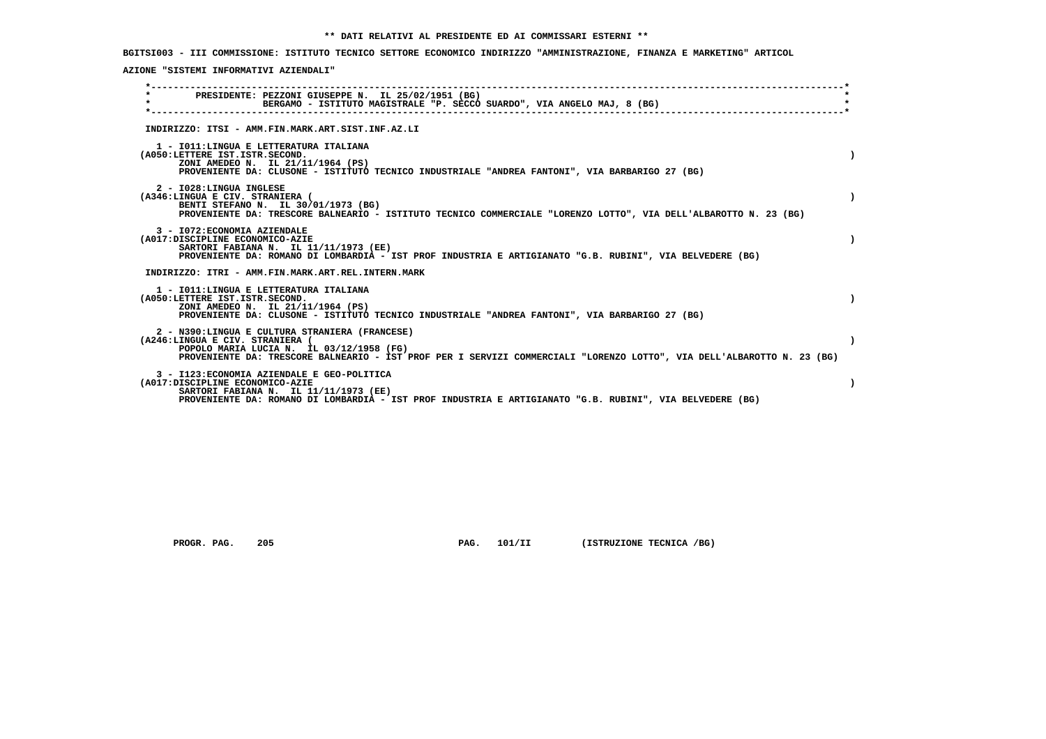**BGITSI003 - III COMMISSIONE: ISTITUTO TECNICO SETTORE ECONOMICO INDIRIZZO "AMMINISTRAZIONE, FINANZA E MARKETING" ARTICOL**

 **AZIONE "SISTEMI INFORMATIVI AZIENDALI"**

| PRESIDENTE: PEZZONI GIUSEPPE N. IL 25/02/1951 (BG)<br>$\star$<br>BERGAMO - ISTITUTO MAGISTRALE "P. SECCO SUARDO", VIA ANGELO MAJ, 8 (BG)                                                                                                                |  |
|---------------------------------------------------------------------------------------------------------------------------------------------------------------------------------------------------------------------------------------------------------|--|
| INDIRIZZO: ITSI - AMM.FIN.MARK.ART.SIST.INF.AZ.LI                                                                                                                                                                                                       |  |
| 1 - IO11: LINGUA E LETTERATURA ITALIANA<br>(A050:LETTERE IST.ISTR.SECOND.<br>ZONI AMEDEO N. IL 21/11/1964 (PS)<br>PROVENIENTE DA: CLUSONE - ISTITUTO TECNICO INDUSTRIALE "ANDREA FANTONI", VIA BARBARIGO 27 (BG)                                        |  |
| 2 - I028: LINGUA INGLESE<br>(A346:LINGUA E CIV. STRANIERA (<br>BENTI STEFANO N. IL 30/01/1973 (BG)<br>PROVENIENTE DA: TRESCORE BALNEARIO - ISTITUTO TECNICO COMMERCIALE "LORENZO LOTTO", VIA DELL'ALBAROTTO N. 23 (BG)                                  |  |
| 3 - I072: ECONOMIA AZIENDALE<br>(A017:DISCIPLINE ECONOMICO-AZIE<br>SARTORI FABIANA N. IL 11/11/1973 (EE)<br>PROVENIENTE DA: ROMANO DI LOMBARDIA - IST PROF INDUSTRIA E ARTIGIANATO "G.B. RUBINI", VIA BELVEDERE (BG)                                    |  |
| INDIRIZZO: ITRI - AMM.FIN.MARK.ART.REL.INTERN.MARK                                                                                                                                                                                                      |  |
| 1 - IO11: LINGUA E LETTERATURA ITALIANA<br>(A050:LETTERE IST.ISTR.SECOND.<br>ZONI AMEDEO N. IL 21/11/1964 (PS)<br>PROVENIENTE DA: CLUSONE - ISTITUTO TECNICO INDUSTRIALE "ANDREA FANTONI", VIA BARBARIGO 27 (BG)                                        |  |
| 2 - N390:LINGUA E CULTURA STRANIERA (FRANCESE)<br>(A246:LINGUA E CIV. STRANIERA (<br>POPOLO MARIA LUCIA N. IL 03/12/1958 (FG)<br>PROVENIENTE DA: TRESCORE BALNEARIO - IST PROF PER I SERVIZI COMMERCIALI "LORENZO LOTTO", VIA DELL'ALBAROTTO N. 23 (BG) |  |
| 3 - I123: ECONOMIA AZIENDALE E GEO-POLITICA<br>(A017:DISCIPLINE ECONOMICO-AZIE<br>SARTORI FABIANA N. IL 11/11/1973 (EE)<br>PROVENIENTE DA: ROMANO DI LOMBARDIA - IST PROF INDUSTRIA E ARTIGIANATO "G.B. RUBINI", VIA BELVEDERE (BG)                     |  |

 **PROGR. PAG.** 205 **PAG. 101/II (ISTRUZIONE TECNICA /BG)**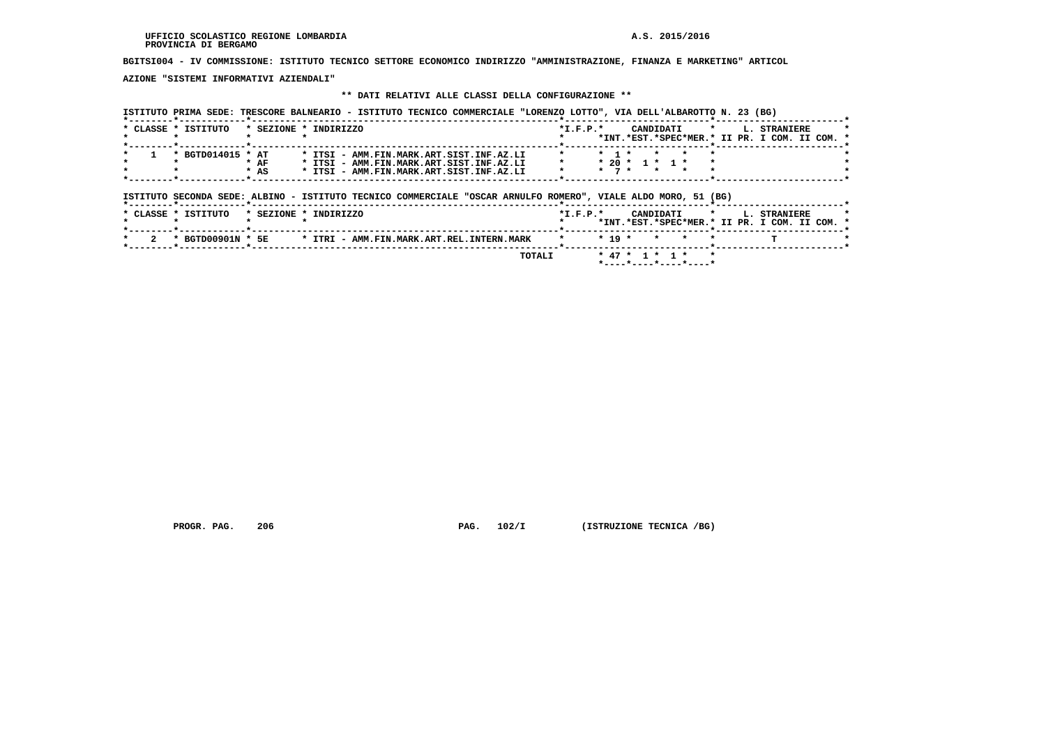# **BGITSI004 - IV COMMISSIONE: ISTITUTO TECNICO SETTORE ECONOMICO INDIRIZZO "AMMINISTRAZIONE, FINANZA E MARKETING" ARTICOL**

 **AZIONE "SISTEMI INFORMATIVI AZIENDALI"**

## **\*\* DATI RELATIVI ALLE CLASSI DELLA CONFIGURAZIONE \*\***

| * BGTD014015 * AT<br>* ITSI - AMM.FIN.MARK.ART.SIST.INF.AZ.LI<br>$*$ AF<br>* ITSI - AMM.FIN.MARK.ART.SIST.INF.AZ.LI<br>$*$ AS<br>* ITSI - AMM.FIN.MARK.ART.SIST.INF.AZ.LI<br>ISTITUTO SECONDA SEDE: ALBINO - ISTITUTO TECNICO COMMERCIALE "OSCAR ARNULFO ROMERO", VIALE ALDO MORO, 51 (BG) |                        | $*$ 1 $*$<br>$*$ 7 $*$ $*$ |         | $* 20 * 1 * 1 *$ |         |                                                             |  |
|--------------------------------------------------------------------------------------------------------------------------------------------------------------------------------------------------------------------------------------------------------------------------------------------|------------------------|----------------------------|---------|------------------|---------|-------------------------------------------------------------|--|
|                                                                                                                                                                                                                                                                                            |                        |                            |         |                  |         |                                                             |  |
|                                                                                                                                                                                                                                                                                            |                        |                            |         |                  |         |                                                             |  |
| * CLASSE * ISTITUTO<br>* SEZIONE * INDIRIZZO                                                                                                                                                                                                                                               | $*_{\texttt{I.F.P.}}*$ |                            |         | CANDIDATI        | $\star$ | L. STRANIERE<br>*INT.*EST.*SPEC*MER.* II PR. I COM. II COM. |  |
| * BGTD00901N * 5E<br>* ITRI - AMM.FIN.MARK.ART.REL.INTERN.MARK                                                                                                                                                                                                                             |                        | $* 19 *$                   | $\star$ |                  |         |                                                             |  |

 **PROGR. PAG.** 206 **PAG. 102/I** (ISTRUZIONE TECNICA /BG)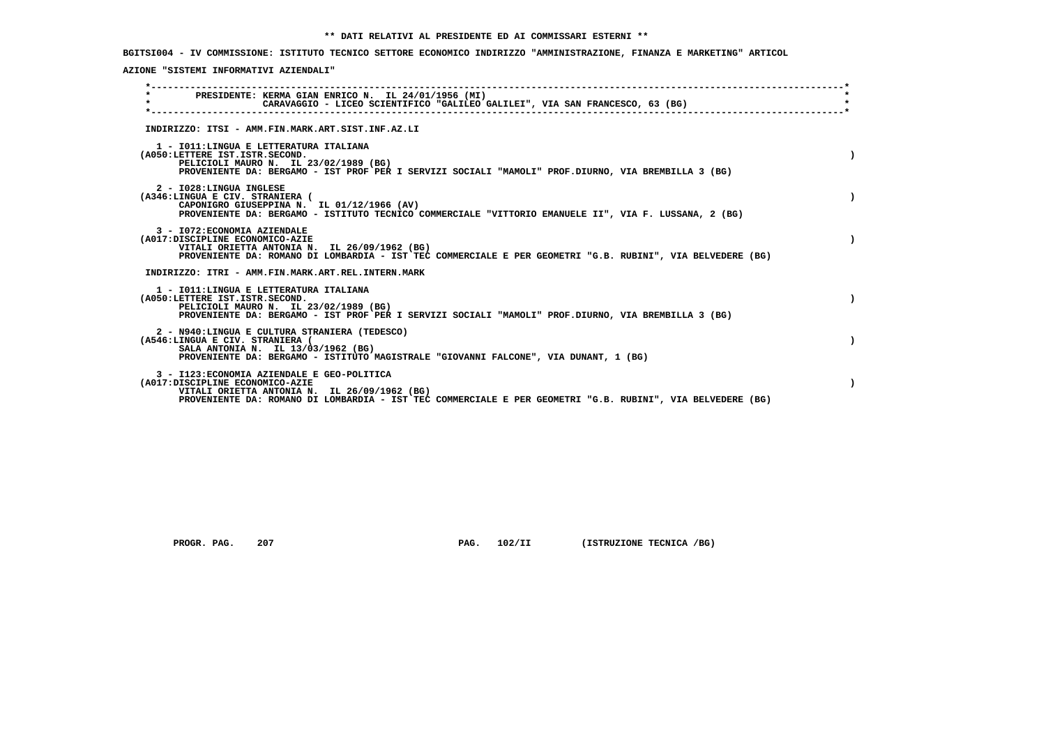**BGITSI004 - IV COMMISSIONE: ISTITUTO TECNICO SETTORE ECONOMICO INDIRIZZO "AMMINISTRAZIONE, FINANZA E MARKETING" ARTICOL**

 **AZIONE "SISTEMI INFORMATIVI AZIENDALI"**

| PRESIDENTE: KERMA GIAN ENRICO N. IL 24/01/1956 (MI)<br>$\star$<br>CARAVAGGIO - LICEO SCIENTIFICO "GALILEO GALILEI", VIA SAN FRANCESCO, 63 (BG)                                                                                               |  |
|----------------------------------------------------------------------------------------------------------------------------------------------------------------------------------------------------------------------------------------------|--|
| INDIRIZZO: ITSI - AMM.FIN.MARK.ART.SIST.INF.AZ.LI                                                                                                                                                                                            |  |
| 1 - IO11: LINGUA E LETTERATURA ITALIANA<br>(A050:LETTERE IST.ISTR.SECOND.<br>PELICIOLI MAURO N. IL 23/02/1989 (BG)<br>PROVENIENTE DA: BERGAMO - IST PROF PER I SERVIZI SOCIALI "MAMOLI" PROF.DIURNO, VIA BREMBILLA 3 (BG)                    |  |
| 2 - I028:LINGUA INGLESE<br>(A346:LINGUA E CIV. STRANIERA (<br>CAPONIGRO GIUSEPPINA N. IL 01/12/1966 (AV)<br>PROVENIENTE DA: BERGAMO - ISTITUTO TECNICO COMMERCIALE "VITTORIO EMANUELE II", VIA F. LUSSANA, 2 (BG)                            |  |
| 3 - I072: ECONOMIA AZIENDALE<br>(A017:DISCIPLINE ECONOMICO-AZIE<br>VITALI ORIETTA ANTONIA N. IL 26/09/1962 (BG)<br>PROVENIENTE DA: ROMANO DI LOMBARDIA - IST TEC COMMERCIALE E PER GEOMETRI "G.B. RUBINI", VIA BELVEDERE (BG)                |  |
| INDIRIZZO: ITRI - AMM.FIN.MARK.ART.REL.INTERN.MARK                                                                                                                                                                                           |  |
| 1 - IO11: LINGUA E LETTERATURA ITALIANA<br>(A050:LETTERE IST.ISTR.SECOND.<br>PELICIOLI MAURO N. IL 23/02/1989 (BG)<br>PROVENIENTE DA: BERGAMO - IST PROF PER I SERVIZI SOCIALI "MAMOLI" PROF.DIURNO, VIA BREMBILLA 3 (BG)                    |  |
| 2 - N940:LINGUA E CULTURA STRANIERA (TEDESCO)<br>(A546:LINGUA E CIV. STRANIERA (<br>SALA ANTONIA N. IL 13/03/1962 (BG)<br>PROVENIENTE DA: BERGAMO - ISTITUTO MAGISTRALE "GIOVANNI FALCONE", VIA DUNANT, 1 (BG)                               |  |
| 3 - I123: ECONOMIA AZIENDALE E GEO-POLITICA<br>(A017:DISCIPLINE ECONOMICO-AZIE<br>VITALI ORIETTA ANTONIA N. IL 26/09/1962 (BG)<br>PROVENIENTE DA: ROMANO DI LOMBARDIA - IST TEC COMMERCIALE E PER GEOMETRI "G.B. RUBINI", VIA BELVEDERE (BG) |  |
|                                                                                                                                                                                                                                              |  |

 **PROGR. PAG.** 207 **PAG. 102/II (ISTRUZIONE TECNICA /BG)**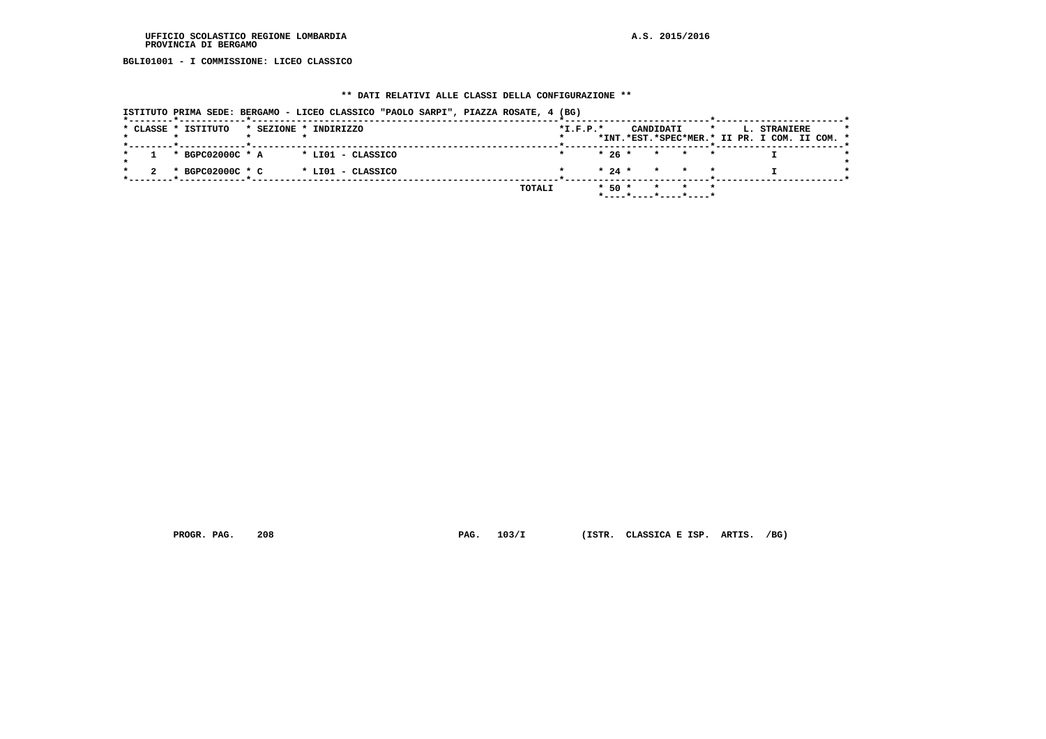**BGLI01001 - I COMMISSIONE: LICEO CLASSICO**

## **\*\* DATI RELATIVI ALLE CLASSI DELLA CONFIGURAZIONE \*\***

| ISTITUTO PRIMA SEDE: BERGAMO - LICEO CLASSICO "PAOLO SARPI", PIAZZA ROSATE, 4 (BG) |                                                                                                     |  |
|------------------------------------------------------------------------------------|-----------------------------------------------------------------------------------------------------|--|
| * CLASSE * ISTITUTO<br>* SEZIONE * INDIRIZZO                                       | $*I.F.P.*$<br>CANDIDATI<br>$\star$<br>L. STRANIERE<br>*INT.*EST.*SPEC*MER.* II PR. I COM. II COM. * |  |
| * BGPC02000C * A<br>* LIO1 - CLASSICO                                              | $* 26 * * * * * *$                                                                                  |  |
| * BGPC02000C * C<br>* LIO1 - CLASSICO                                              | $\star$ 24 $\star$ $\star$ $\star$ $\star$                                                          |  |
| TOTALI                                                                             | $*$ 50 $*$ $*$ $*$ $*$<br>*----*----*----*----*                                                     |  |

 **PROGR. PAG. 208 PAG. 103/I (ISTR. CLASSICA E ISP. ARTIS. /BG)**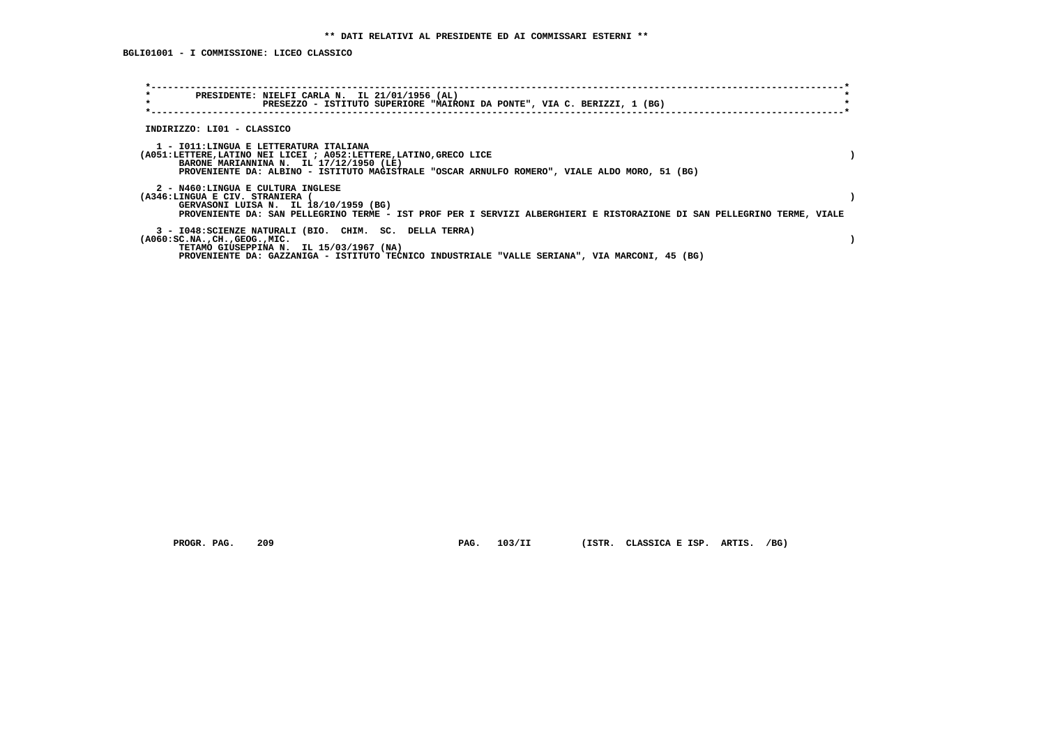**BGLI01001 - I COMMISSIONE: LICEO CLASSICO**

| $\star$<br>PRESIDENTE: NIELFI CARLA N. IL 21/01/1956 (AL)<br>$\star$<br>PRESEZZO - ISTITUTO SUPERIORE "MAIRONI DA PONTE", VIA C. BERIZZI, 1 (BG)                                                                                                      |  |
|-------------------------------------------------------------------------------------------------------------------------------------------------------------------------------------------------------------------------------------------------------|--|
| INDIRIZZO: LI01 - CLASSICO                                                                                                                                                                                                                            |  |
| 1 - IO11:LINGUA E LETTERATURA ITALIANA<br>(A051:LETTERE,LATINO NEI LICEI ; A052:LETTERE,LATINO,GRECO LICE<br>BARONE MARIANNINA N. IL 17/12/1950 (LE)<br>PROVENIENTE DA: ALBINO - ISTITUTO MAGISTRALE "OSCAR ARNULFO ROMERO", VIALE ALDO MORO, 51 (BG) |  |
| 2 - N460:LINGUA E CULTURA INGLESE<br>(A346:LINGUA E CIV. STRANIERA<br>GERVASONI LUISA N. IL 18/10/1959 (BG)<br>PROVENIENTE DA: SAN PELLEGRINO TERME - IST PROF PER I SERVIZI ALBERGHIERI E RISTORAZIONE DI SAN PELLEGRINO TERME, VIALE                |  |
| 3 - I048: SCIENZE NATURALI (BIO. CHIM. SC. DELLA TERRA)<br>$(A060:SC.NA.$ , $CH.$ , $GEOG.$ , $MIC.$<br>TETAMO GIUSEPPINA N. IL 15/03/1967 (NA)<br>PROVENIENTE DA: GAZZANIGA - ISTITUTO TECNICO INDUSTRIALE "VALLE SERIANA", VIA MARCONI, 45 (BG)     |  |

PROGR. PAG. 209 **PAG. 103/II** (ISTR. CLASSICA E ISP. ARTIS. /BG)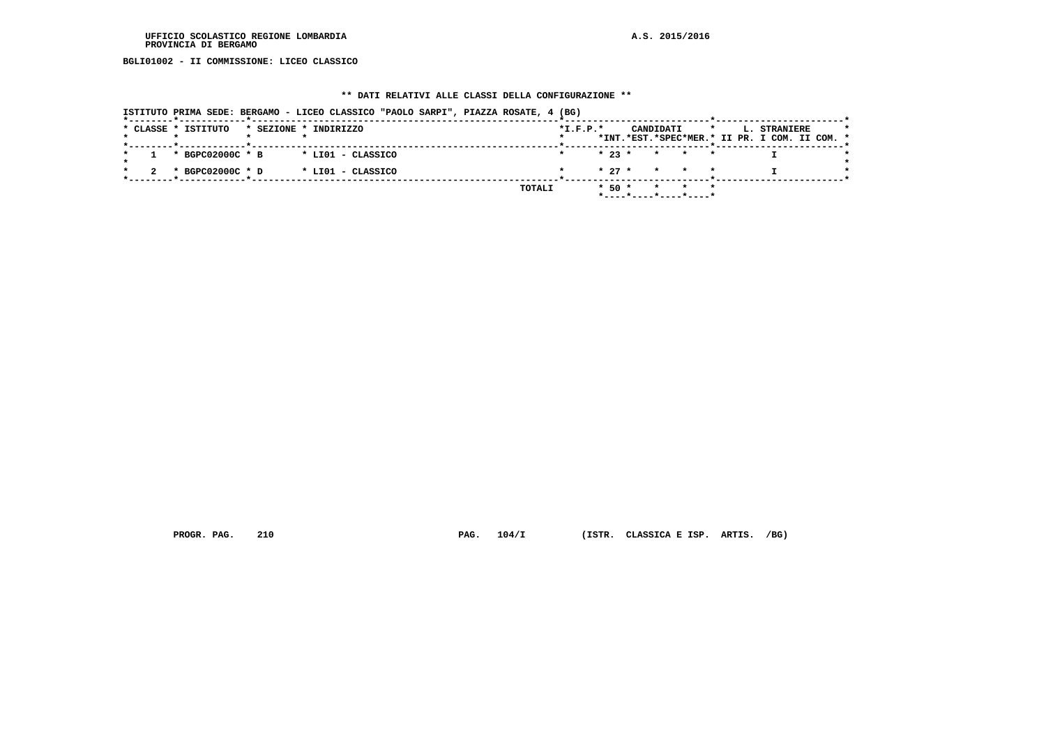**BGLI01002 - II COMMISSIONE: LICEO CLASSICO**

## **\*\* DATI RELATIVI ALLE CLASSI DELLA CONFIGURAZIONE \*\***

|  |                     |  | ISTITUTO PRIMA SEDE: BERGAMO - LICEO CLASSICO "PAOLO SARPI", PIAZZA ROSATE, 4 (BG) |  |        |            |                                            |           |                       |         |                                                               |  |  |
|--|---------------------|--|------------------------------------------------------------------------------------|--|--------|------------|--------------------------------------------|-----------|-----------------------|---------|---------------------------------------------------------------|--|--|
|  | * CLASSE * ISTITUTO |  | * SEZIONE * INDIRIZZO                                                              |  |        | $*I.F.P.*$ |                                            | CANDIDATI |                       | $\star$ | L. STRANIERE<br>*INT.*EST.*SPEC*MER.* II PR. I COM. II COM. * |  |  |
|  | * BGPC02000C * B    |  | * LIO1 - CLASSICO                                                                  |  |        |            | $\star$ 23 $\star$ $\star$ $\star$ $\star$ |           |                       |         |                                                               |  |  |
|  | * BGPC02000C * D    |  | * LIO1 - CLASSICO                                                                  |  |        |            | $\star$ 27 $\star$ $\star$ $\star$ $\star$ |           |                       |         |                                                               |  |  |
|  |                     |  |                                                                                    |  | TOTALI |            | $*$ 50 $*$ $*$ $*$ $*$                     |           | *----*----*----*----* |         |                                                               |  |  |

 **PROGR. PAG. 210 PAG. 104/I (ISTR. CLASSICA E ISP. ARTIS. /BG)**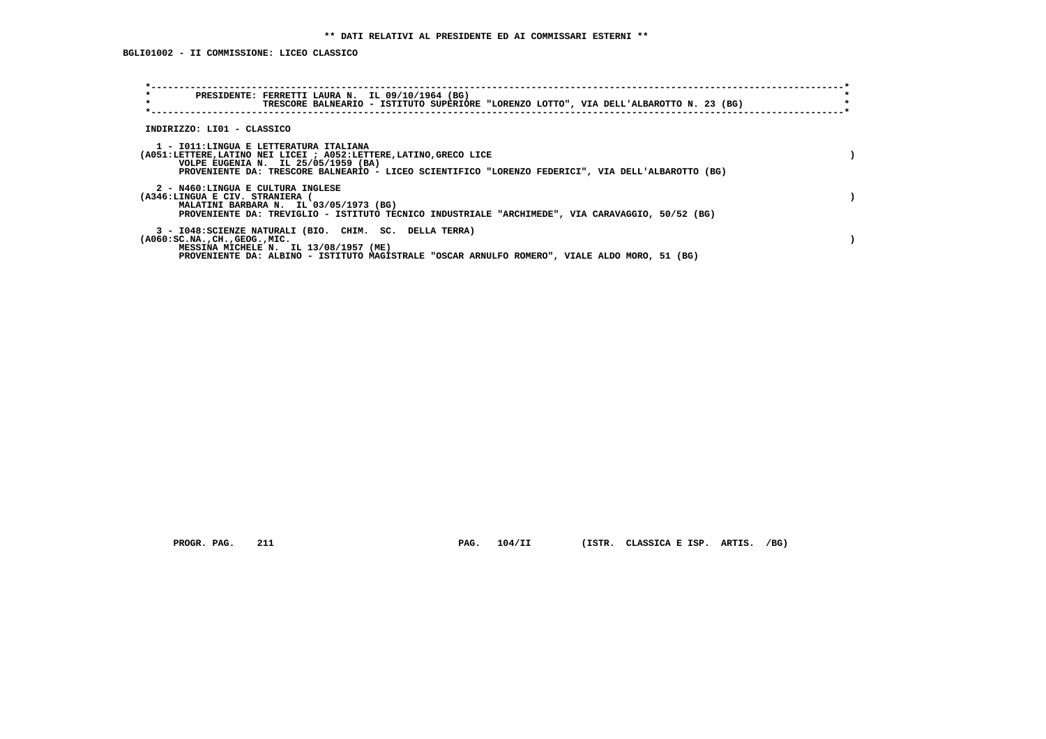**BGLI01002 - II COMMISSIONE: LICEO CLASSICO**

| $\star$<br>PRESIDENTE: FERRETTI LAURA N. IL 09/10/1964 (BG)<br>$\star$<br>TRESCORE BALNEARIO - ISTITUTO SUPERIORE "LORENZO LOTTO", VIA DELL'ALBAROTTO N. 23 (BG)                                                                                          |  |
|-----------------------------------------------------------------------------------------------------------------------------------------------------------------------------------------------------------------------------------------------------------|--|
| INDIRIZZO: LI01 - CLASSICO                                                                                                                                                                                                                                |  |
| 1 - IO11:LINGUA E LETTERATURA ITALIANA<br>(A051:LETTERE, LATINO NEI LICEI ; A052:LETTERE, LATINO, GRECO LICE<br>VOLPE EUGENIA N. IL 25/05/1959 (BA)<br>PROVENIENTE DA: TRESCORE BALNEARIO - LICEO SCIENTIFICO "LORENZO FEDERICI", VIA DELL'ALBAROTTO (BG) |  |
| 2 - N460:LINGUA E CULTURA INGLESE<br>(A346:LINGUA E CIV. STRANIERA (<br>MALATINI BARBARA N. IL 03/05/1973 (BG)<br>PROVENIENTE DA: TREVIGLIO - ISTITUTO TECNICO INDUSTRIALE "ARCHIMEDE", VIA CARAVAGGIO, 50/52 (BG)                                        |  |
| 3 - I048: SCIENZE NATURALI (BIO. CHIM. SC. DELLA TERRA)<br>$( A060 : SC.NA. , CH. , GEOG. , MIC. )$<br>MESSINA MICHELE N. IL 13/08/1957 (ME)<br>PROVENIENTE DA: ALBINO - ISTITUTO MAGISTRALE "OSCAR ARNULFO ROMERO", VIALE ALDO MORO, 51 (BG)             |  |

 **PROGR. PAG. 211 PAG. 104/II (ISTR. CLASSICA E ISP. ARTIS. /BG)**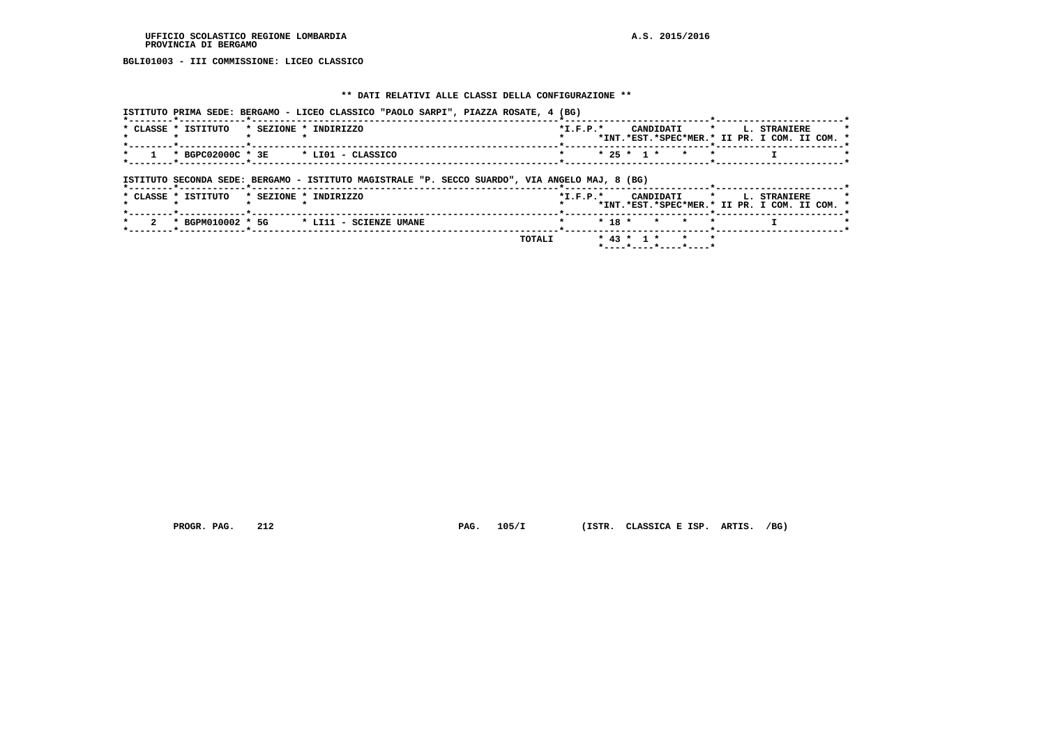**BGLI01003 - III COMMISSIONE: LICEO CLASSICO**

## **\*\* DATI RELATIVI ALLE CLASSI DELLA CONFIGURAZIONE \*\***

|                     | ISTITUTO PRIMA SEDE: BERGAMO - LICEO CLASSICO "PAOLO SARPI", PIAZZA ROSATE, 4 (BG)             |                |          |              |         |             |         |                     |                                               |
|---------------------|------------------------------------------------------------------------------------------------|----------------|----------|--------------|---------|-------------|---------|---------------------|-----------------------------------------------|
| * CLASSE * ISTITUTO | * SEZIONE * INDIRIZZO                                                                          | $*L.F.P.*$     |          |              |         | CANDIDATI * |         | L. STRANIERE        | *INT.*EST.*SPEC*MER.* II PR. I COM. II COM. * |
| * BGPC02000C * 3E   | * LIO1 - CLASSICO                                                                              |                |          | $* 25 * 1 *$ |         | $\star$     |         |                     |                                               |
|                     | ISTITUTO SECONDA SEDE: BERGAMO - ISTITUTO MAGISTRALE "P. SECCO SUARDO", VIA ANGELO MAJ, 8 (BG) |                |          |              |         |             |         |                     |                                               |
| * CLASSE * ISTITUTO | * SEZIONE * INDIRIZZO                                                                          | $*$ I.F.P. $*$ |          | CANDIDATI    |         |             | $\star$ | <b>L. STRANIERE</b> | *INT.*EST.*SPEC*MER.* II PR. I COM. II COM. * |
| * BGPM010002 * 5G   | * LI11 - SCIENZE UMANE                                                                         |                | $* 18 *$ |              | $\star$ | $\star$     |         |                     |                                               |
|                     |                                                                                                |                |          |              |         |             |         |                     |                                               |

 **PROGR. PAG. 212 PAG. 105/I (ISTR. CLASSICA E ISP. ARTIS. /BG)**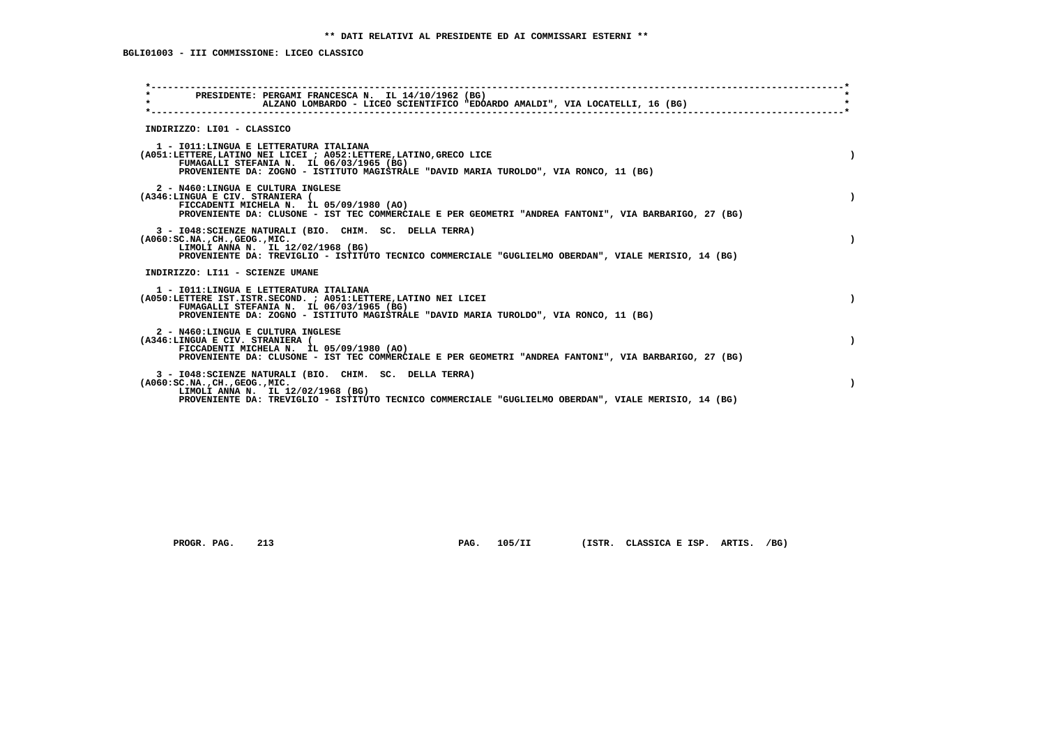| PRESIDENTE: PERGAMI FRANCESCA N. IL 14/10/1962 (BG)<br>$\star$<br>ALZANO LOMBARDO - LICEO SCIENTIFICO "EDOARDO AMALDI", VIA LOCATELLI, 16 (BG)                                                                                                     |           |
|----------------------------------------------------------------------------------------------------------------------------------------------------------------------------------------------------------------------------------------------------|-----------|
| INDIRIZZO: LI01 - CLASSICO                                                                                                                                                                                                                         |           |
| 1 - IO11: LINGUA E LETTERATURA ITALIANA<br>(A051:LETTERE, LATINO NEI LICEI ; A052:LETTERE, LATINO, GRECO LICE<br>FUMAGALLI STEFANIA N. IL 06/03/1965 (BG)<br>PROVENIENTE DA: ZOGNO - ISTITUTO MAGISTRALE "DAVID MARIA TUROLDO", VIA RONCO, 11 (BG) |           |
| 2 - N460:LINGUA E CULTURA INGLESE<br>(A346:LINGUA E CIV. STRANIERA (<br>FICCADENTI MICHELA N. IL 05/09/1980 (AO)<br>PROVENIENTE DA: CLUSONE - IST TEC COMMERCIALE E PER GEOMETRI "ANDREA FANTONI", VIA BARBARIGO, 27 (BG)                          |           |
| 3 - I048: SCIENZE NATURALI (BIO. CHIM. SC. DELLA TERRA)<br>$(A060:SC.NA.$ , $CH.$ , $GEOG.$ , $MIC.$<br>LIMOLI ANNA N. IL 12/02/1968 (BG)<br>PROVENIENTE DA: TREVIGLIO - ISTITUTO TECNICO COMMERCIALE "GUGLIELMO OBERDAN", VIALE MERISIO, 14 (BG)  |           |
| INDIRIZZO: LI11 - SCIENZE UMANE                                                                                                                                                                                                                    |           |
| 1 - IO11: LINGUA E LETTERATURA ITALIANA<br>(A050:LETTERE IST.ISTR.SECOND. ; A051:LETTERE, LATINO NEI LICEI<br>FUMAGALLI STEFANIA N. IL 06/03/1965 (BG)<br>PROVENIENTE DA: ZOGNO - ISTITUTO MAGISTRALE "DAVID MARIA TUROLDO", VIA RONCO, 11 (BG)    | $\lambda$ |
| 2 - N460:LINGUA E CULTURA INGLESE<br>(A346:LINGUA E CIV. STRANIERA (<br>FICCADENTI MICHELA N. IL 05/09/1980 (AO)<br>PROVENIENTE DA: CLUSONE - IST TEC COMMERCIALE E PER GEOMETRI "ANDREA FANTONI", VIA BARBARIGO, 27 (BG)                          | $\lambda$ |
| 3 - I048: SCIENZE NATURALI (BIO. CHIM. SC. DELLA TERRA)<br>( A060:SC.NA. ,CH. ,GEOG. ,MIC.<br>LIMOLI ANNA N. IL 12/02/1968 (BG)<br>PROVENIENTE DA: TREVIGLIO - ISTITUTO TECNICO COMMERCIALE "GUGLIELMO OBERDAN", VIALE MERISIO, 14 (BG)            |           |
|                                                                                                                                                                                                                                                    |           |

 **PROGR. PAG. 213 PAG. 105/II (ISTR. CLASSICA E ISP. ARTIS. /BG)**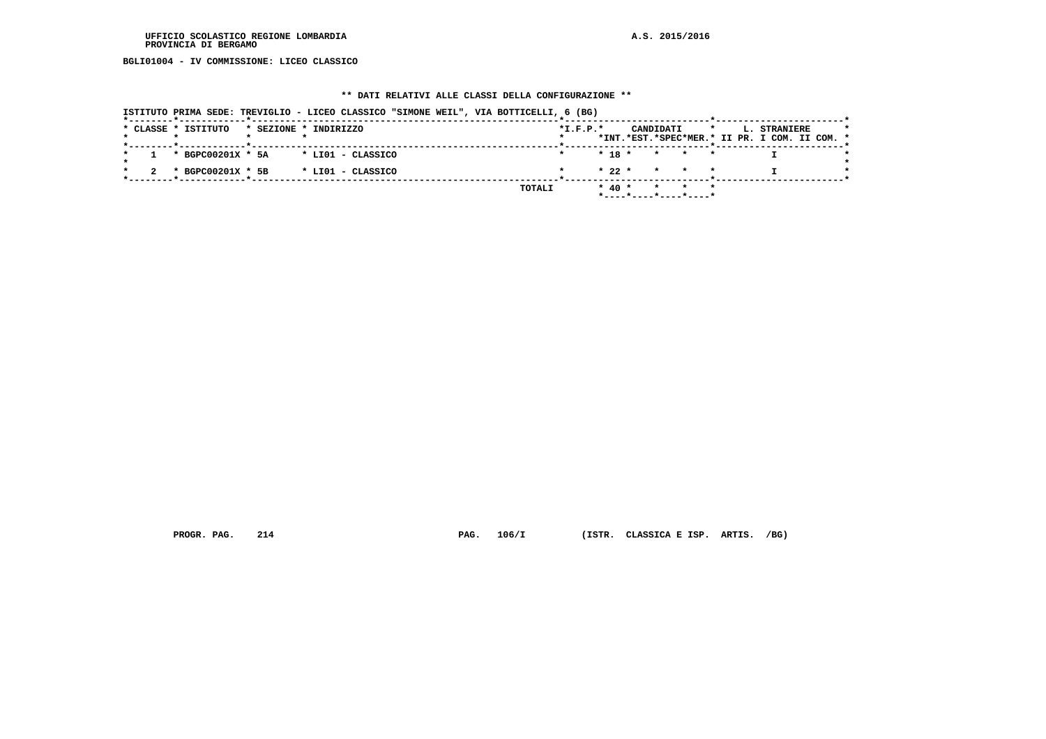**BGLI01004 - IV COMMISSIONE: LICEO CLASSICO**

## **\*\* DATI RELATIVI ALLE CLASSI DELLA CONFIGURAZIONE \*\***

| ISTITUTO PRIMA SEDE: TREVIGLIO - LICEO CLASSICO "SIMONE WEIL", VIA BOTTICELLI, 6 (BG) |        |            |                                          |                                                                                 |  |
|---------------------------------------------------------------------------------------|--------|------------|------------------------------------------|---------------------------------------------------------------------------------|--|
| * CLASSE * ISTITUTO<br>* SEZIONE * INDIRIZZO                                          |        | $*L.F.P.*$ | CANDIDATI                                | <b>L. STRANIERE</b><br>$\star$<br>*INT.*EST.*SPEC*MER.* II PR. I COM. II COM. * |  |
| * BGPC00201X * 5A<br>* LIO1 - CLASSICO                                                |        |            | $* 18 * * * * * *$                       |                                                                                 |  |
| * BGPC00201X * 5B<br>* LIO1 - CLASSICO                                                |        |            | $* 22 * * * * * *$                       |                                                                                 |  |
|                                                                                       | TOTALI |            | * 40 * * * *<br>$*$ ----*----*----*----* |                                                                                 |  |

 **PROGR. PAG. 214 PAG. 106/I (ISTR. CLASSICA E ISP. ARTIS. /BG)**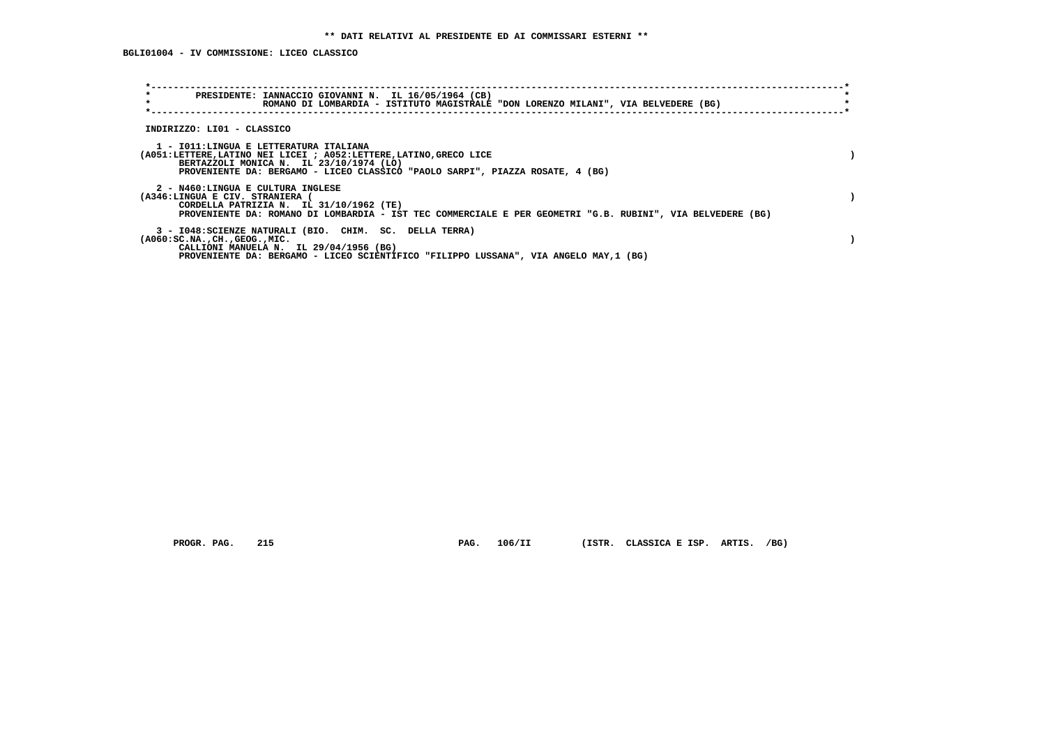| $\star$<br>$\star$                                                   | PRESIDENTE: IANNACCIO GIOVANNI N. IL 16/05/1964 (CB)<br>ROMANO DI LOMBARDIA - ISTITUTO MAGISTRALE "DON LORENZO MILANI", VIA BELVEDERE (BG)                                                                                               |  |
|----------------------------------------------------------------------|------------------------------------------------------------------------------------------------------------------------------------------------------------------------------------------------------------------------------------------|--|
| INDIRIZZO: LI01 - CLASSICO                                           |                                                                                                                                                                                                                                          |  |
|                                                                      | 1 - IO11:LINGUA E LETTERATURA ITALIANA<br>(A051:LETTERE, LATINO NEI LICEI ; A052:LETTERE, LATINO, GRECO LICE<br>BERTAZZOLI MONICA N. IL 23/10/1974 (LO)<br>PROVENIENTE DA: BERGAMO - LICEO CLASSICO "PAOLO SARPI", PIAZZA ROSATE, 4 (BG) |  |
| 2 - N460:LINGUA E CULTURA INGLESE<br>(A346:LINGUA E CIV. STRANIERA ( | CORDELLA PATRIZIA N. IL 31/10/1962 (TE)<br>PROVENIENTE DA: ROMANO DI LOMBARDIA - IST TEC COMMERCIALE E PER GEOMETRI "G.B. RUBINI", VIA BELVEDERE (BG)                                                                                    |  |
| $(A060:SC.NA.$ , $CH.$ , $GEOG.$ , $MIC.$                            | 3 - I048: SCIENZE NATURALI (BIO. CHIM. SC. DELLA TERRA)<br>CALLIONI MANUELA N. IL 29/04/1956 (BG)<br>PROVENIENTE DA: BERGAMO - LICEO SCIENTIFICO "FILIPPO LUSSANA", VIA ANGELO MAY,1 (BG)                                                |  |

 **PROGR. PAG. 215 PAG. 106/II (ISTR. CLASSICA E ISP. ARTIS. /BG)**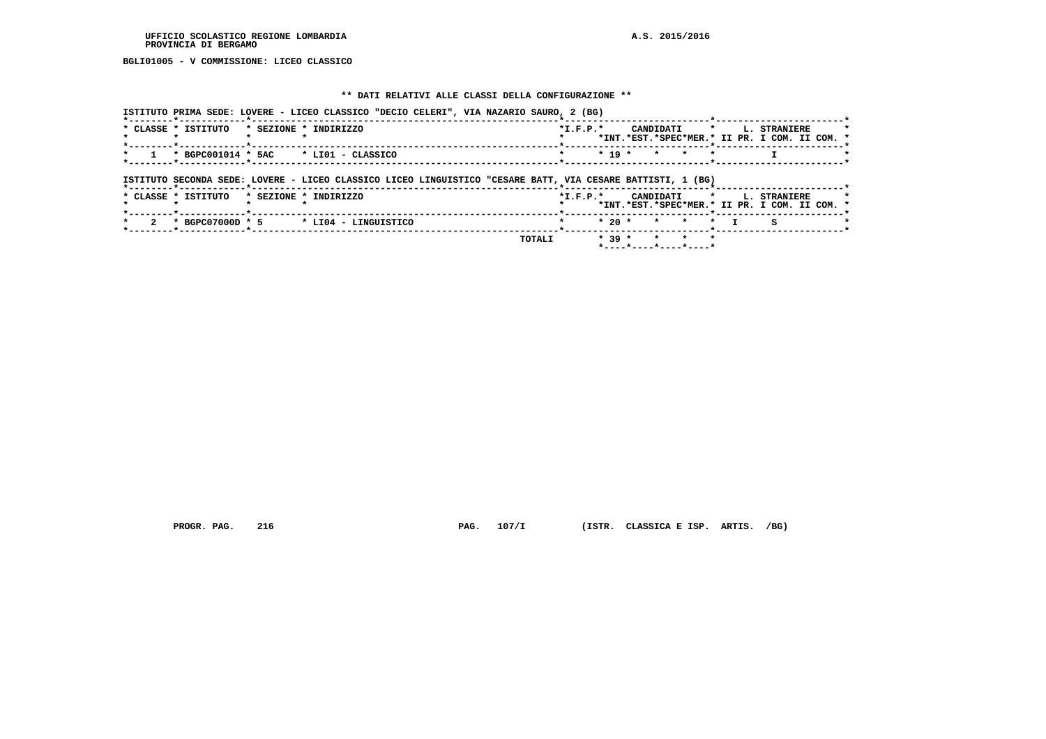**BGLI01005 - V COMMISSIONE: LICEO CLASSICO**

## **\*\* DATI RELATIVI ALLE CLASSI DELLA CONFIGURAZIONE \*\***

| ISTITUTO PRIMA SEDE: LOVERE - LICEO CLASSICO "DECIO CELERI", VIA NAZARIO SAURO, 2 (BG)                     |        |                                  |          |                                                          |           |                                                                           |  |
|------------------------------------------------------------------------------------------------------------|--------|----------------------------------|----------|----------------------------------------------------------|-----------|---------------------------------------------------------------------------|--|
| * CLASSE * ISTITUTO<br>* SEZIONE * INDIRIZZO                                                               |        | $*$ I.F.P. $*$                   |          |                                                          |           | CANDIDATI * L. STRANIERE<br>*INT.*EST.*SPEC*MER.* II PR. I COM. II COM. * |  |
| * BGPC001014 * 5AC<br>* LIO1 - CLASSICO                                                                    |        |                                  | $* 19 *$ | $\star$                                                  |           |                                                                           |  |
| ISTITUTO SECONDA SEDE: LOVERE - LICEO CLASSICO LICEO LINGUISTICO "CESARE BATT, VIA CESARE BATTISTI, 1 (BG) |        |                                  |          |                                                          |           |                                                                           |  |
| * SEZIONE * INDIRIZZO<br>* CLASSE * ISTITUTO                                                               |        | $*$ I.F.P. $*$<br>-*------------ |          | CANDIDATI *                                              |           | <b>L. STRANIERE</b><br>*INT.*EST.*SPEC*MER.* II PR. I COM. II COM. *      |  |
| $*$ BGPC07000D $*$ 5 $*$ LI04 - LINGUISTICO                                                                |        |                                  | $*20$ *  | $\star$<br>$\star$                                       | $\star$ T |                                                                           |  |
|                                                                                                            | TOTALI |                                  | $* 39 *$ | $\star$ $\star$<br>$\mathbf{r}$<br>*----*----*----*----* |           |                                                                           |  |

 **PROGR. PAG. 216 PAG. 107/I (ISTR. CLASSICA E ISP. ARTIS. /BG)**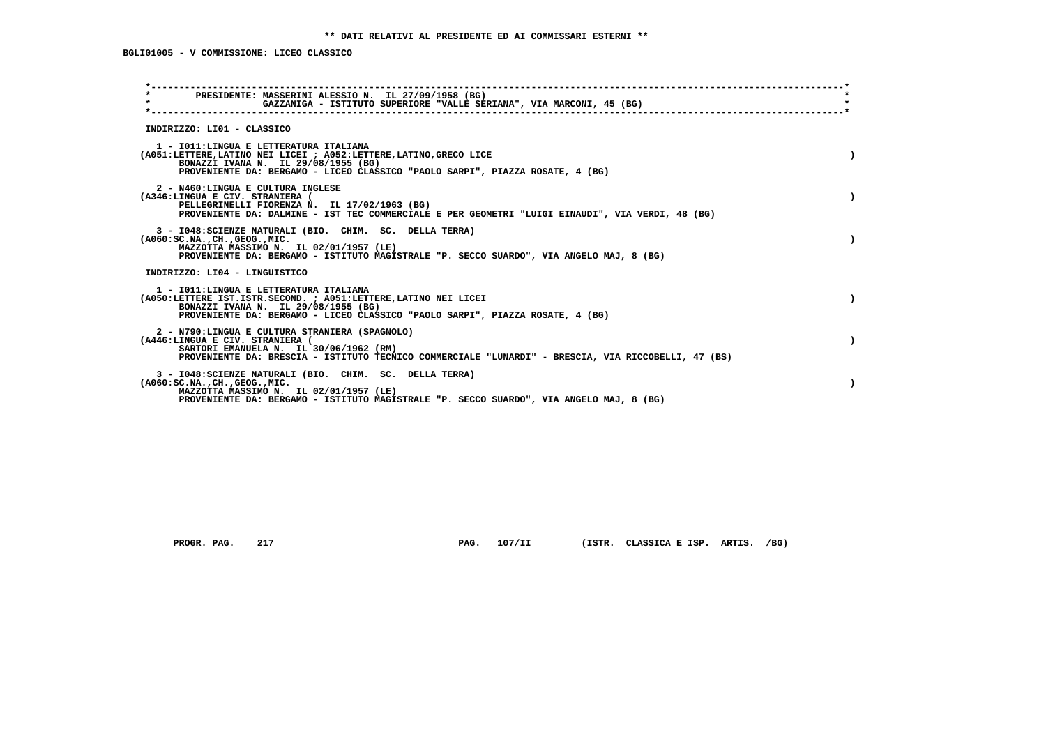| PRESIDENTE: MASSERINI ALESSIO N. IL 27/09/1958 (BG)<br>$\star$<br>GAZZANIGA - ISTITUTO SUPERIORE "VALLE SERIANA", VIA MARCONI, 45 (BG)                                                                                                    |           |
|-------------------------------------------------------------------------------------------------------------------------------------------------------------------------------------------------------------------------------------------|-----------|
|                                                                                                                                                                                                                                           |           |
| INDIRIZZO: LI01 - CLASSICO                                                                                                                                                                                                                |           |
| 1 - IO11: LINGUA E LETTERATURA ITALIANA<br>(A051:LETTERE, LATINO NEI LICEI ; A052:LETTERE, LATINO, GRECO LICE<br>BONAZZI IVANA N. IL 29/08/1955 (BG)<br>PROVENIENTE DA: BERGAMO - LICEO CLASSICO "PAOLO SARPI", PIAZZA ROSATE, 4 (BG)     |           |
| 2 - N460:LINGUA E CULTURA INGLESE<br>(A346:LINGUA E CIV. STRANIERA (<br>PELLEGRINELLI FIORENZA N. IL 17/02/1963 (BG)<br>PROVENIENTE DA: DALMINE - IST TEC COMMERCIALE E PER GEOMETRI "LUIGI EINAUDI", VIA VERDI, 48 (BG)                  |           |
| 3 - I048: SCIENZE NATURALI (BIO. CHIM. SC. DELLA TERRA)<br>$(A060:SC.NA.$ , $CH.$ , $GEOG.$ , $MIC.$<br>MAZZOTTA MASSIMO N. IL 02/01/1957 (LE)<br>PROVENIENTE DA: BERGAMO - ISTITUTO MAGISTRALE "P. SECCO SUARDO", VIA ANGELO MAJ, 8 (BG) |           |
| INDIRIZZO: LI04 - LINGUISTICO                                                                                                                                                                                                             |           |
| 1 - IO11: LINGUA E LETTERATURA ITALIANA<br>(A050:LETTERE IST.ISTR.SECOND. ; A051:LETTERE, LATINO NEI LICEI<br>BONAZZI IVANA N. IL 29/08/1955 (BG)<br>PROVENIENTE DA: BERGAMO - LICEO CLASSICO "PAOLO SARPI", PIAZZA ROSATE, 4 (BG)        | $\lambda$ |
| 2 - N790:LINGUA E CULTURA STRANIERA (SPAGNOLO)<br>(A446:LINGUA E CIV. STRANIERA (<br>SARTORI EMANUELA N. IL 30/06/1962 (RM)<br>PROVENIENTE DA: BRESCIA - ISTITUTO TECNICO COMMERCIALE "LUNARDI" - BRESCIA, VIA RICCOBELLI, 47 (BS)        | $\lambda$ |
| 3 - I048: SCIENZE NATURALI (BIO. CHIM. SC. DELLA TERRA)<br>$(A060:SC.NA.$ , $CH.$ , $GEOG.$ , $MIC.$<br>MAZZOTTA MASSIMO N. IL 02/01/1957 (LE)<br>PROVENIENTE DA: BERGAMO - ISTITUTO MAGISTRALE "P. SECCO SUARDO", VIA ANGELO MAJ, 8 (BG) |           |
|                                                                                                                                                                                                                                           |           |

 **PROGR. PAG. 217 PAG. 107/II (ISTR. CLASSICA E ISP. ARTIS. /BG)**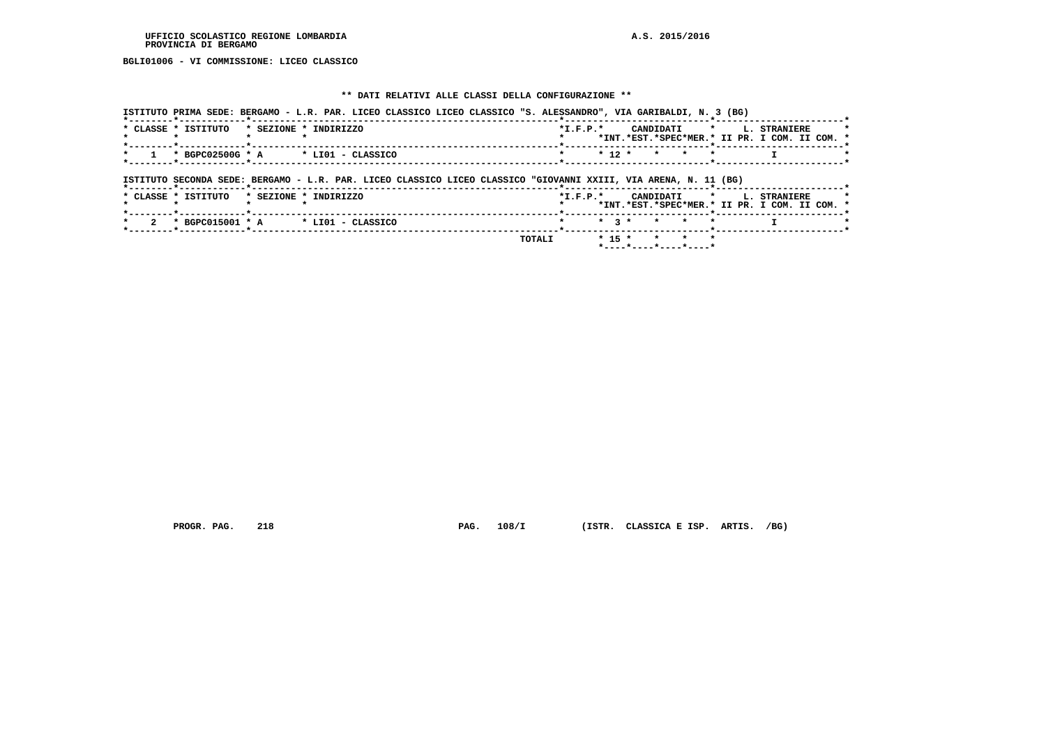#### **UFFICIO SCOLASTICO REGIONE LOMBARDIA A.S. 2015/2016 PROVINCIA DI BERGAMO**

 **BGLI01006 - VI COMMISSIONE: LICEO CLASSICO**

## **\*\* DATI RELATIVI ALLE CLASSI DELLA CONFIGURAZIONE \*\***

|                                | ISTITUTO PRIMA SEDE: BERGAMO - L.R. PAR. LICEO CLASSICO LICEO CLASSICO "S. ALESSANDRO", VIA GARIBALDI, N. 3 (BG) |        |            |           |                                          |         |                                   |                                               |
|--------------------------------|------------------------------------------------------------------------------------------------------------------|--------|------------|-----------|------------------------------------------|---------|-----------------------------------|-----------------------------------------------|
| * CLASSE * ISTITUTO            | * SEZIONE * INDIRIZZO                                                                                            |        | $*L.F.P.*$ |           |                                          |         | CANDIDATI * L. STRANIERE          | *INT.*EST.*SPEC*MER.* II PR. I COM. II COM. * |
| * BGPC02500G * A               | * LIO1 - CLASSICO                                                                                                |        |            | $* 12 *$  | $\star$<br>$\star$                       | $\star$ |                                   |                                               |
| *--------*------------*------- | ISTITUTO SECONDA SEDE: BERGAMO - L.R. PAR. LICEO CLASSICO LICEO CLASSICO "GIOVANNI XXIII, VIA ARENA, N. 11 (BG)  |        |            |           |                                          |         |                                   |                                               |
| * CLASSE * ISTITUTO            | * SEZIONE * INDIRIZZO                                                                                            |        |            |           |                                          |         | *I.F.P.* CANDIDATI * L. STRANIERE | *INT.*EST.*SPEC*MER.* II PR. I COM. II COM. * |
|                                | $\star$ BGPC015001 $\star$ A $\star$ LI01 - CLASSICO                                                             |        |            | $*$ 3 $*$ | $\star$ $\star$                          | $\star$ |                                   |                                               |
|                                |                                                                                                                  | TOTALI |            | $* 15 *$  | $\star$ $\star$<br>*----*----*----*----* | $\star$ |                                   |                                               |

 **PROGR. PAG. 218 PAG. 108/I (ISTR. CLASSICA E ISP. ARTIS. /BG)**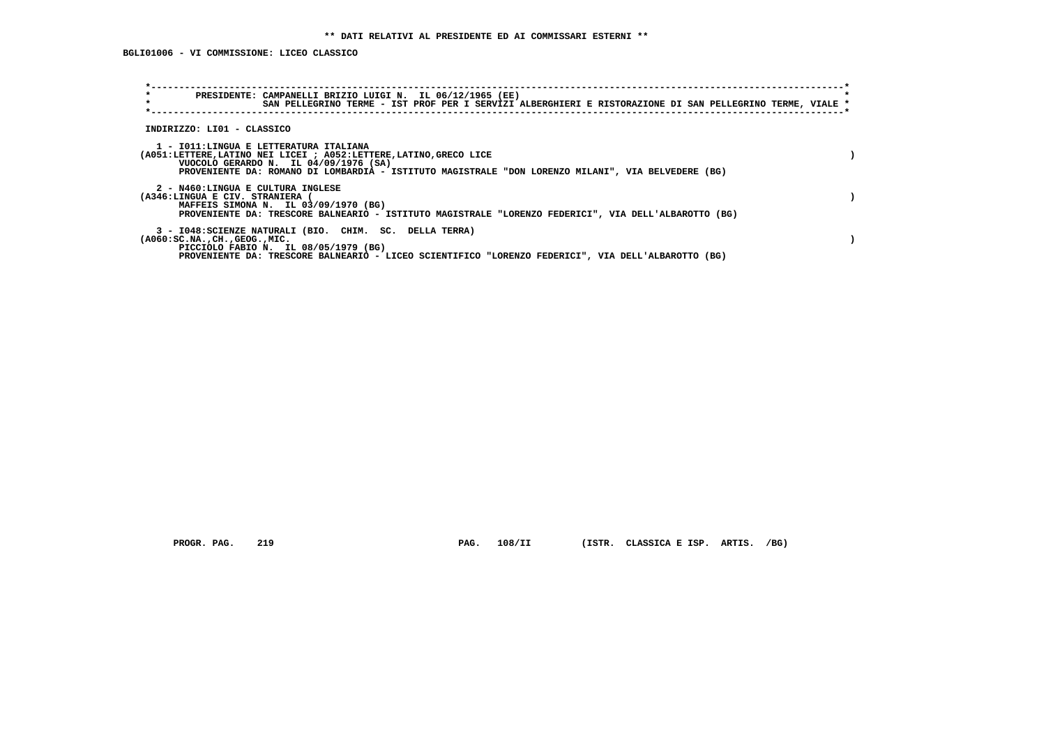| $\star$<br>$\star$                           | PRESIDENTE: CAMPANELLI BRIZIO LUIGI N. IL 06/12/1965 (EE)<br>SAN PELLEGRINO TERME - IST PROF PER I SERVIZI ALBERGHIERI E RISTORAZIONE DI SAN PELLEGRINO TERME, VIALE *                                                                                       |  |
|----------------------------------------------|--------------------------------------------------------------------------------------------------------------------------------------------------------------------------------------------------------------------------------------------------------------|--|
| INDIRIZZO: LI01 - CLASSICO                   |                                                                                                                                                                                                                                                              |  |
|                                              | 1 - IO11: LINGUA E LETTERATURA ITALIANA<br>(A051:LETTERE, LATINO NEI LICEI ; A052:LETTERE, LATINO, GRECO LICE<br>VUOCOLO GERARDO N. IL 04/09/1976 (SA)<br>PROVENIENTE DA: ROMANO DI LOMBARDIA - ISTITUTO MAGISTRALE "DON LORENZO MILANI", VIA BELVEDERE (BG) |  |
| (A346:LINGUA E CIV. STRANIERA (              | 2 - N460:LINGUA E CULTURA INGLESE<br>MAFFEIS SIMONA N. IL 03/09/1970 (BG)<br>PROVENIENTE DA: TRESCORE BALNEARIO - ISTITUTO MAGISTRALE "LORENZO FEDERICI", VIA DELL'ALBAROTTO (BG)                                                                            |  |
| $( A060 : SC.NA.$ , $CH.$ , $GEOG.$ , $MIC.$ | 3 - I048: SCIENZE NATURALI (BIO. CHIM. SC. DELLA TERRA)<br>PICCIOLO FABIO N. IL 08/05/1979 (BG)<br>PROVENIENTE DA: TRESCORE BALNEARIO - LICEO SCIENTIFICO "LORENZO FEDERICI", VIA DELL'ALBAROTTO (BG)                                                        |  |

 **PROGR. PAG. 219 PAG. 108/II (ISTR. CLASSICA E ISP. ARTIS. /BG)**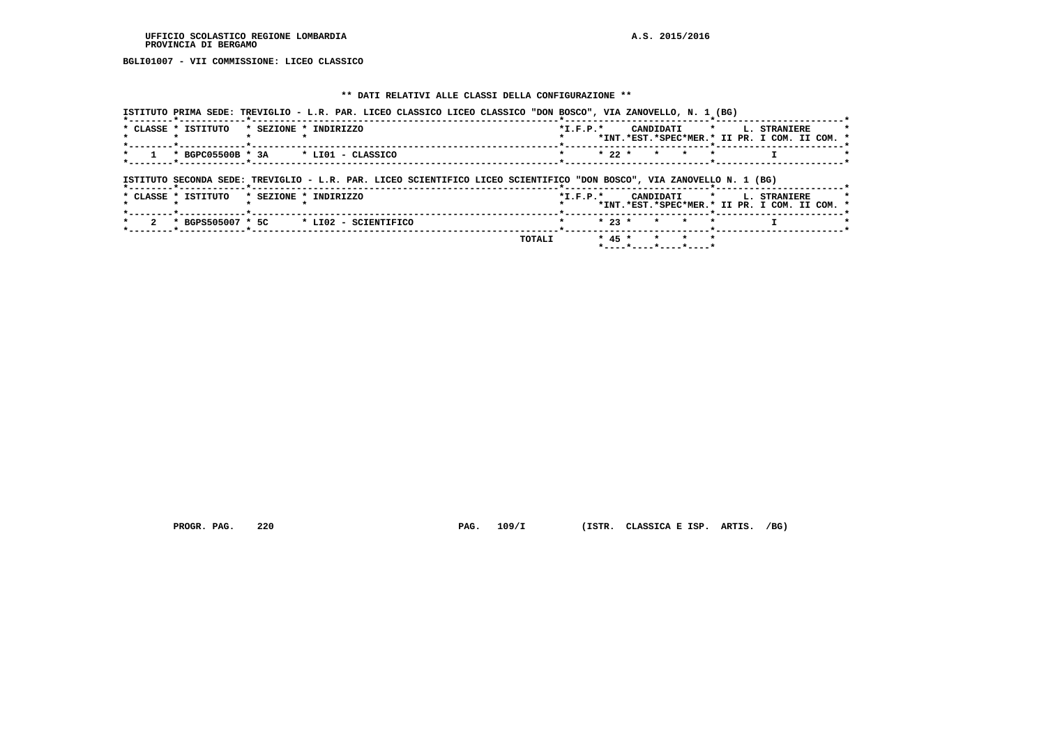#### **UFFICIO SCOLASTICO REGIONE LOMBARDIA A.S. 2015/2016 PROVINCIA DI BERGAMO**

 **BGLI01007 - VII COMMISSIONE: LICEO CLASSICO**

## **\*\* DATI RELATIVI ALLE CLASSI DELLA CONFIGURAZIONE \*\***

|                                | ISTITUTO PRIMA SEDE: TREVIGLIO - L.R. PAR. LICEO CLASSICO LICEO CLASSICO "DON BOSCO", VIA ZANOVELLO, N. 1 (BG)        |            |                    |                                                                                    |
|--------------------------------|-----------------------------------------------------------------------------------------------------------------------|------------|--------------------|------------------------------------------------------------------------------------|
| * CLASSE * ISTITUTO            | * SEZIONE * INDIRIZZO                                                                                                 | $*L.F.P.*$ |                    | CANDIDATI * L. STRANIERE<br>*INT.*EST.*SPEC*MER.* II PR. I COM. II COM. *          |
|                                |                                                                                                                       | $* 22 *$   | $\star$<br>$\star$ |                                                                                    |
| *--------*------------*------- | ISTITUTO SECONDA SEDE: TREVIGLIO - L.R. PAR. LICEO SCIENTIFICO LICEO SCIENTIFICO "DON BOSCO", VIA ZANOVELLO N. 1 (BG) |            |                    |                                                                                    |
| * CLASSE * ISTITUTO            | * SEZIONE * INDIRIZZO                                                                                                 |            |                    | *I.F.P.* CANDIDATI * L. STRANIERE<br>*INT.*EST.*SPEC*MER.* II PR. I COM. II COM. * |
| * BGPS505007 * 5C              | * LIO2 - SCIENTIFICO                                                                                                  | $* 23 *$   | $\star$<br>$\star$ |                                                                                    |
|                                |                                                                                                                       |            |                    |                                                                                    |

 **PROGR. PAG. 220 PAG. 109/I (ISTR. CLASSICA E ISP. ARTIS. /BG)**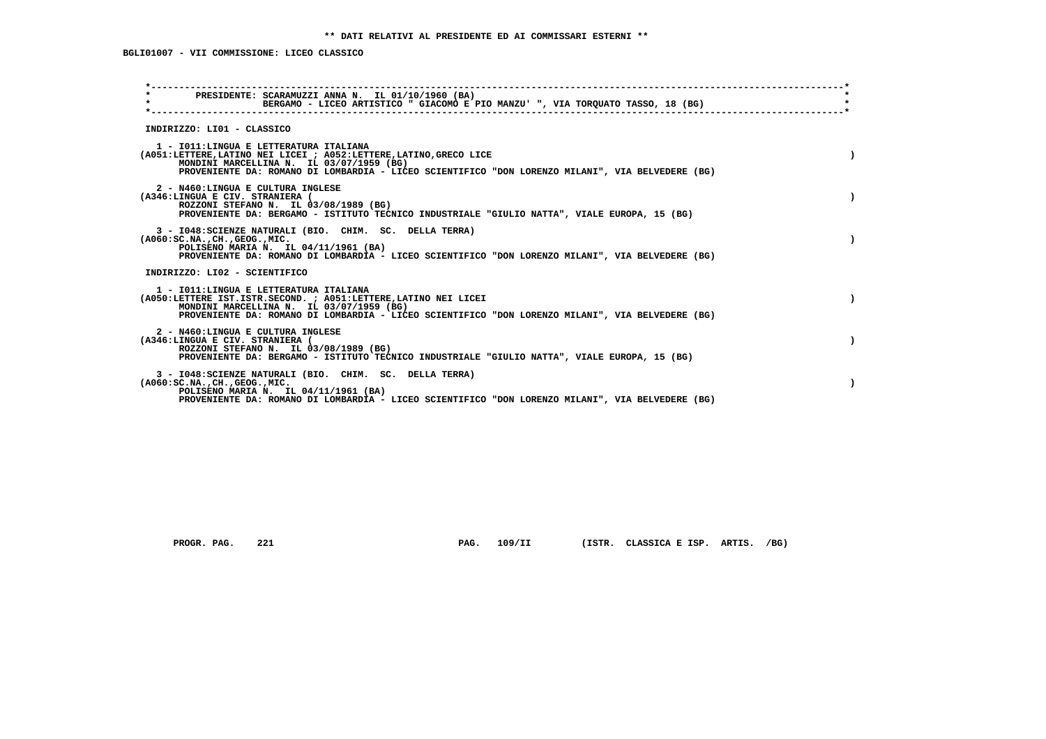| PRESIDENTE: SCARAMUZZI ANNA N. IL 01/10/1960 (BA)<br>$\star$<br>BERGAMO - LICEO ARTISTICO " GIACOMO E PIO MANZU' ", VIA TORQUATO TASSO, 18 (BG)                                                                                                               |           |
|---------------------------------------------------------------------------------------------------------------------------------------------------------------------------------------------------------------------------------------------------------------|-----------|
| INDIRIZZO: LI01 - CLASSICO                                                                                                                                                                                                                                    |           |
| 1 - IO11: LINGUA E LETTERATURA ITALIANA<br>(A051:LETTERE, LATINO NEI LICEI ; A052:LETTERE, LATINO, GRECO LICE<br>MONDINI MARCELLINA N. IL 03/07/1959 (BG)<br>PROVENIENTE DA: ROMANO DI LOMBARDIA - LICEO SCIENTIFICO "DON LORENZO MILANI", VIA BELVEDERE (BG) |           |
| 2 - N460:LINGUA E CULTURA INGLESE<br>(A346:LINGUA E CIV. STRANIERA (<br>ROZZONI STEFANO N. IL 03/08/1989 (BG)<br>PROVENIENTE DA: BERGAMO - ISTITUTO TECNICO INDUSTRIALE "GIULIO NATTA", VIALE EUROPA, 15 (BG)                                                 |           |
| 3 - I048: SCIENZE NATURALI (BIO. CHIM. SC. DELLA TERRA)<br>$(A060:SC.NA.$ , $CH.$ , $GEOG.$ , $MIC.$<br>POLISENO MARIA N. IL 04/11/1961 (BA)<br>PROVENIENTE DA: ROMANO DI LOMBARDIA - LICEO SCIENTIFICO "DON LORENZO MILANI", VIA BELVEDERE (BG)              |           |
| INDIRIZZO: LI02 - SCIENTIFICO                                                                                                                                                                                                                                 |           |
| 1 - IO11: LINGUA E LETTERATURA ITALIANA<br>(A050:LETTERE IST.ISTR.SECOND. ; A051:LETTERE, LATINO NEI LICEI<br>MONDINI MARCELLINA N. IL 03/07/1959 (BG)<br>PROVENIENTE DA: ROMANO DI LOMBARDIA - LICEO SCIENTIFICO "DON LORENZO MILANI", VIA BELVEDERE (BG)    | $\lambda$ |
| 2 - N460:LINGUA E CULTURA INGLESE<br>(A346:LINGUA E CIV. STRANIERA (<br>ROZZONI STEFANO N. IL 03/08/1989 (BG)<br>PROVENIENTE DA: BERGAMO - ISTITUTO TECNICO INDUSTRIALE "GIULIO NATTA", VIALE EUROPA, 15 (BG)                                                 |           |
| 3 - I048: SCIENZE NATURALI (BIO. CHIM. SC. DELLA TERRA)<br>$(A060:SC.NA.$ , $CH.$ , $GEOG.$ , $MIC.$<br>POLISENO MARIA N. IL 04/11/1961 (BA)<br>PROVENIENTE DA: ROMANO DI LOMBARDIA - LICEO SCIENTIFICO "DON LORENZO MILANI", VIA BELVEDERE (BG)              |           |
|                                                                                                                                                                                                                                                               |           |

 **PROGR. PAG. 221 PAG. 109/II (ISTR. CLASSICA E ISP. ARTIS. /BG)**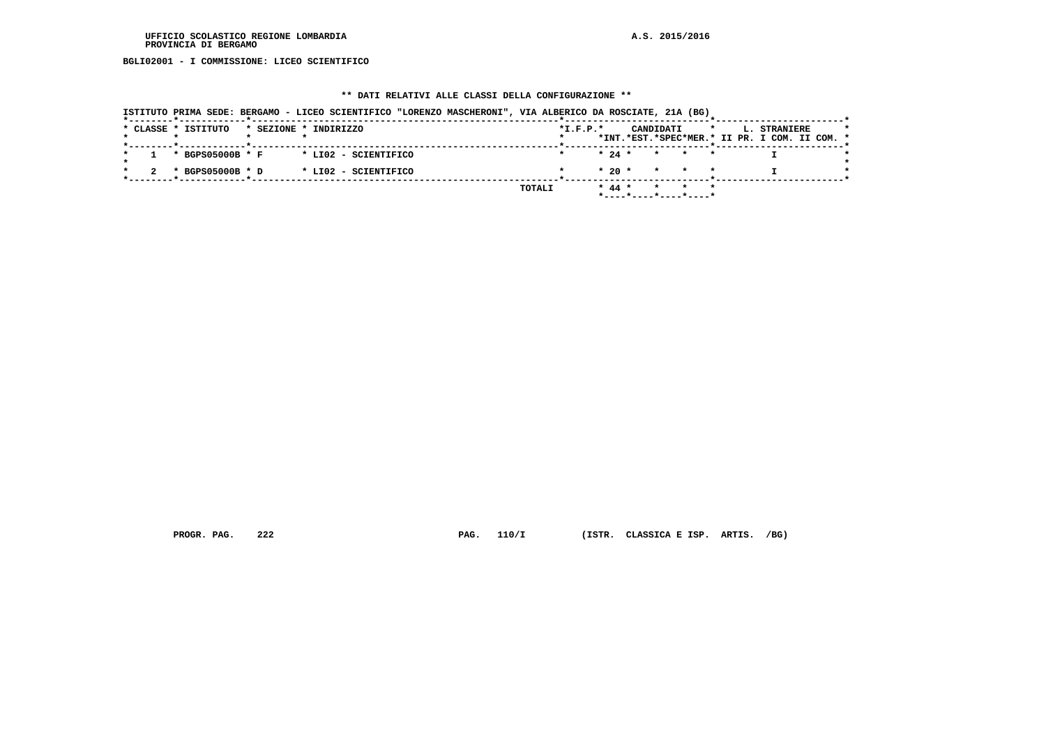#### **UFFICIO SCOLASTICO REGIONE LOMBARDIA A.S. 2015/2016 PROVINCIA DI BERGAMO**

 **BGLI02001 - I COMMISSIONE: LICEO SCIENTIFICO**

# **\*\* DATI RELATIVI ALLE CLASSI DELLA CONFIGURAZIONE \*\***

| ISTITUTO PRIMA SEDE: BERGAMO - LICEO SCIENTIFICO "LORENZO MASCHERONI", VIA ALBERICO DA ROSCIATE, 21A (BG) |                                                                                                     |
|-----------------------------------------------------------------------------------------------------------|-----------------------------------------------------------------------------------------------------|
| * CLASSE * ISTITUTO<br>* SEZIONE * INDIRIZZO                                                              | $*L.F.P.*$<br>CANDIDATI<br>$\star$<br>L. STRANIERE<br>*INT.*EST.*SPEC*MER.* II PR. I COM. II COM. * |
| * BGPS05000B * F<br>* LIO2 - SCIENTIFICO                                                                  | $* 24 *$<br>* * *                                                                                   |
| * BGPS05000B * D<br>* LI02 - SCIENTIFICO                                                                  | $*20$ *<br>* * *                                                                                    |
| TOTALI                                                                                                    | $* 44 *$<br>* * *<br>*----*----*----*----*                                                          |

 **PROGR. PAG. 222 PAG. 110/I (ISTR. CLASSICA E ISP. ARTIS. /BG)**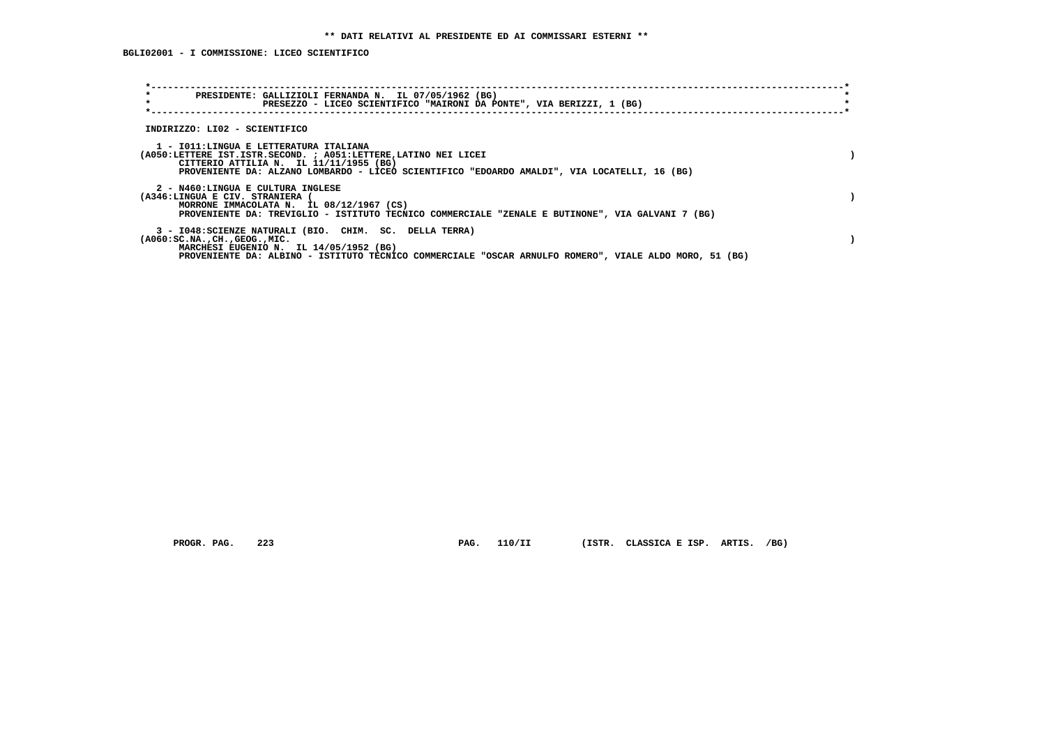**BGLI02001 - I COMMISSIONE: LICEO SCIENTIFICO**

| PRESIDENTE: GALLIZIOLI FERNANDA N. IL 07/05/1962 (BG)<br>$\star$<br>PRESEZZO - LICEO SCIENTIFICO "MAIRONI DA PONTE", VIA BERIZZI, 1 (BG)                                                                                                                 |  |
|----------------------------------------------------------------------------------------------------------------------------------------------------------------------------------------------------------------------------------------------------------|--|
| INDIRIZZO: LI02 - SCIENTIFICO                                                                                                                                                                                                                            |  |
| 1 - IO11:LINGUA E LETTERATURA ITALIANA<br>(A050:LETTERE IST.ISTR.SECOND. ; A051:LETTERE, LATINO NEI LICEI<br>CITTERIO ATTILIA N. IL 11/11/1955 (BG)<br>PROVENIENTE DA: ALZANO LOMBARDO - LICEO SCIENTIFICO "EDOARDO AMALDI", VIA LOCATELLI, 16 (BG)      |  |
| 2 - N460:LINGUA E CULTURA INGLESE<br>(A346:LINGUA E CIV. STRANIERA<br>MORRONE IMMACOLATA N. IL 08/12/1967 (CS)<br>PROVENIENTE DA: TREVIGLIO - ISTITUTO TECNICO COMMERCIALE "ZENALE E BUTINONE", VIA GALVANI 7 (BG)                                       |  |
| 3 - I048: SCIENZE NATURALI (BIO. CHIM. SC. DELLA TERRA)<br>$(A060:SC.NA.$ , $CH.$ , $GEOG.$ , $MIC.$<br>MARCHESI EUGENIO N. IL 14/05/1952 (BG)<br>PROVENIENTE DA: ALBINO - ISTITUTO TECNICO COMMERCIALE "OSCAR ARNULFO ROMERO", VIALE ALDO MORO, 51 (BG) |  |

 **PROGR. PAG. 223 PAG. 110/II (ISTR. CLASSICA E ISP. ARTIS. /BG)**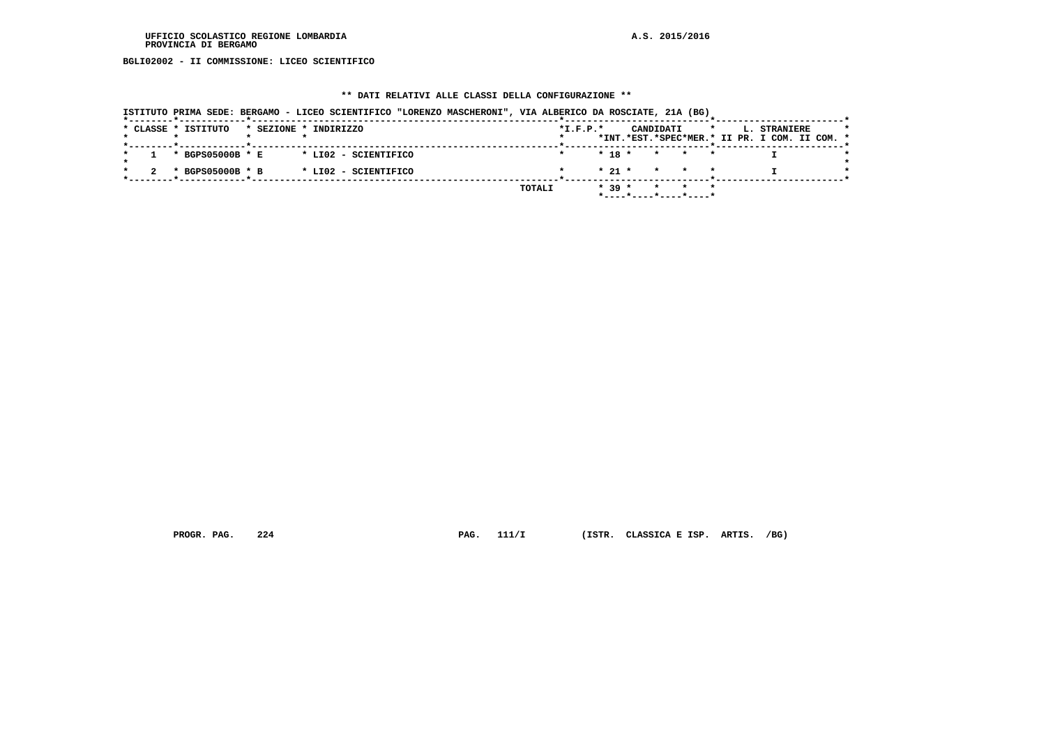#### **UFFICIO SCOLASTICO REGIONE LOMBARDIA A.S. 2015/2016 PROVINCIA DI BERGAMO**

 **BGLI02002 - II COMMISSIONE: LICEO SCIENTIFICO**

## **\*\* DATI RELATIVI ALLE CLASSI DELLA CONFIGURAZIONE \*\***

| ISTITUTO PRIMA SEDE: BERGAMO - LICEO SCIENTIFICO "LORENZO MASCHERONI", VIA ALBERICO DA ROSCIATE, 21A (BG) |                                                                                                     |
|-----------------------------------------------------------------------------------------------------------|-----------------------------------------------------------------------------------------------------|
| * CLASSE * ISTITUTO<br>* SEZIONE * INDIRIZZO                                                              | $*L.F.P.*$<br>$\star$<br>CANDIDATI<br>L. STRANIERE<br>*INT.*EST.*SPEC*MER.* II PR. I COM. II COM. * |
|                                                                                                           |                                                                                                     |
| * BGPS05000B * E<br>* LIO2 - SCIENTIFICO                                                                  | $* 18 * * * * * *$                                                                                  |
| $*$ BGPS05000B $*$ B<br>* LI02 - SCIENTIFICO                                                              | $\star$ 21 $\star$ $\star$ $\star$ $\star$                                                          |
|                                                                                                           | $* 39 *$<br>TOTALI<br>* * *<br>*----*----*----*----*                                                |

 **PROGR. PAG. 224 PAG. 111/I (ISTR. CLASSICA E ISP. ARTIS. /BG)**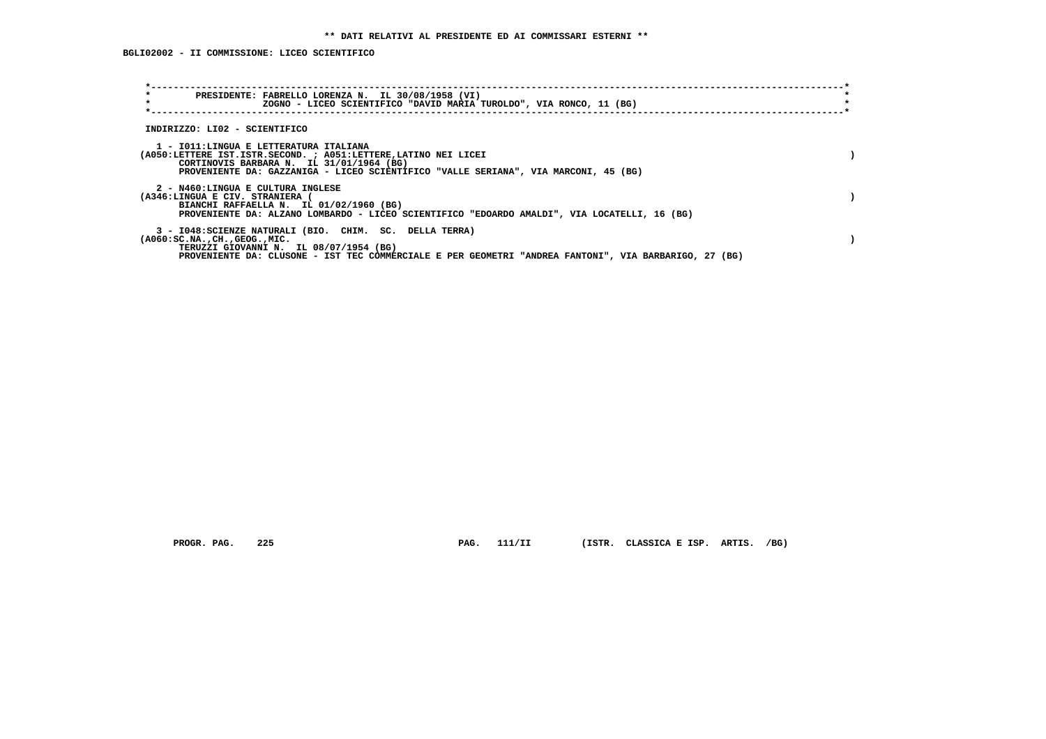| PRESIDENTE: FABRELLO LORENZA N. IL 30/08/1958 (VI)<br>$\star$<br>ZOGNO - LICEO SCIENTIFICO "DAVID MARIA TUROLDO", VIA RONCO, 11 (BG)                                                                                                                    |  |
|---------------------------------------------------------------------------------------------------------------------------------------------------------------------------------------------------------------------------------------------------------|--|
| INDIRIZZO: LI02 - SCIENTIFICO                                                                                                                                                                                                                           |  |
| 1 - IO11: LINGUA E LETTERATURA ITALIANA<br>(A050:LETTERE IST.ISTR.SECOND. ; A051:LETTERE, LATINO NEI LICEI<br>CORTINOVIS BARBARA N. IL 31/01/1964 (BG)<br>PROVENIENTE DA: GAZZANIGA - LICEO SCIENTIFICO "VALLE SERIANA", VIA MARCONI, 45 (BG)           |  |
| 2 - N460:LINGUA E CULTURA INGLESE<br>(A346:LINGUA E CIV. STRANIERA (<br>BIANCHI RAFFAELLA N. IL 01/02/1960 (BG)<br>PROVENIENTE DA: ALZANO LOMBARDO - LICEO SCIENTIFICO "EDOARDO AMALDI", VIA LOCATELLI, 16 (BG)                                         |  |
| 3 - I048: SCIENZE NATURALI (BIO. CHIM. SC. DELLA TERRA)<br>$(A060:SC.NA.$ , $CH.$ , $GEOG.$ , $MIC.$<br>TERUZZI GIOVANNI N. IL 08/07/1954 (BG)<br>PROVENIENTE DA: CLUSONE - IST TEC COMMERCIALE E PER GEOMETRI "ANDREA FANTONI", VIA BARBARIGO, 27 (BG) |  |

 **PROGR. PAG. 225 PAG. 111/II (ISTR. CLASSICA E ISP. ARTIS. /BG)**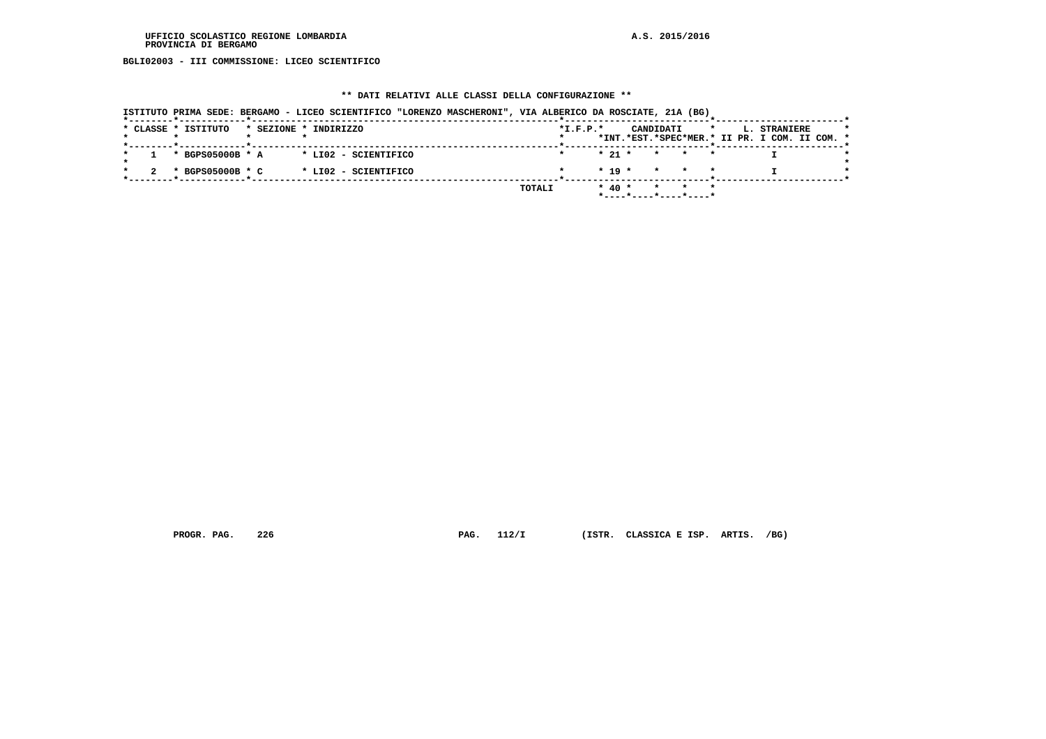**BGLI02003 - III COMMISSIONE: LICEO SCIENTIFICO**

# **\*\* DATI RELATIVI ALLE CLASSI DELLA CONFIGURAZIONE \*\***

| ISTITUTO PRIMA SEDE: BERGAMO - LICEO SCIENTIFICO "LORENZO MASCHERONI", VIA ALBERICO DA ROSCIATE, 21A (BG) |                                                                                                     |
|-----------------------------------------------------------------------------------------------------------|-----------------------------------------------------------------------------------------------------|
| * CLASSE * ISTITUTO<br>* SEZIONE * INDIRIZZO                                                              | $*L.F.P.*$<br>CANDIDATI<br>L. STRANIERE<br>$\star$<br>*INT.*EST.*SPEC*MER.* II PR. I COM. II COM. * |
| * BGPS05000B * A<br>* LI02 - SCIENTIFICO                                                                  | $* 21 *$<br>* * *                                                                                   |
| * BGPS05000B * C<br>* LI02 - SCIENTIFICO                                                                  | $* 19 *$<br>* * *                                                                                   |
|                                                                                                           | TOTALI<br>$*$ 40 $*$<br>$\star$<br>$\star$<br>*----*----*----*----*                                 |

 **PROGR. PAG. 226 PAG. 112/I (ISTR. CLASSICA E ISP. ARTIS. /BG)**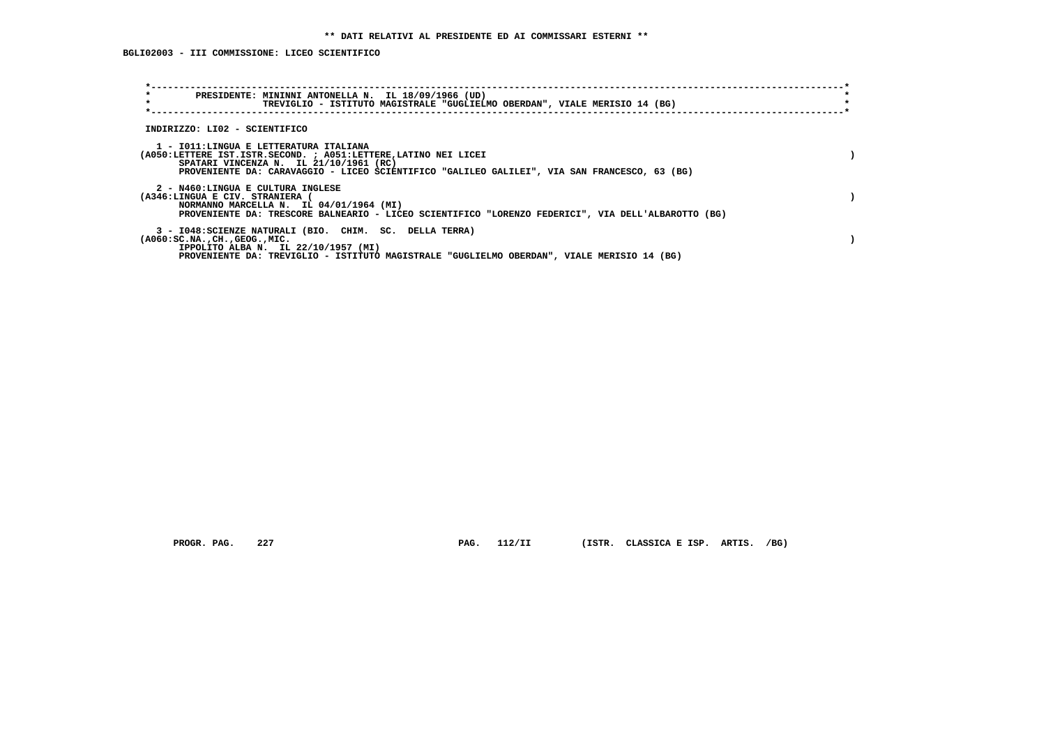**BGLI02003 - III COMMISSIONE: LICEO SCIENTIFICO**

| $\star$<br>PRESIDENTE: MININNI ANTONELLA N. IL 18/09/1966 (UD)<br>$\star$<br>TREVIGLIO - ISTITUTO MAGISTRALE "GUGLIELMO OBERDAN", VIALE MERISIO 14 (BG)                                                                                             |  |
|-----------------------------------------------------------------------------------------------------------------------------------------------------------------------------------------------------------------------------------------------------|--|
| INDIRIZZO: LI02 - SCIENTIFICO                                                                                                                                                                                                                       |  |
| 1 - IO11:LINGUA E LETTERATURA ITALIANA<br>(A050:LETTERE IST.ISTR.SECOND. ; A051:LETTERE, LATINO NEI LICEI<br>SPATARI VINCENZA N. IL 21/10/1961 (RC)<br>PROVENIENTE DA: CARAVAGGIO - LICEO SCIENTIFICO "GALILEO GALILEI", VIA SAN FRANCESCO, 63 (BG) |  |
| 2 - N460:LINGUA E CULTURA INGLESE<br>(A346:LINGUA E CIV. STRANIERA (<br>NORMANNO MARCELLA N. IL 04/01/1964 (MI)<br>PROVENIENTE DA: TRESCORE BALNEARIO - LICEO SCIENTIFICO "LORENZO FEDERICI", VIA DELL'ALBAROTTO (BG)                               |  |
| 3 - I048: SCIENZE NATURALI (BIO. CHIM. SC. DELLA TERRA)<br>$(A060:SC.NA.$ , $CH.$ , $GEOG.$ , $MIC.$<br>IPPOLITO ALBA N. IL 22/10/1957 (MI)<br>PROVENIENTE DA: TREVIGLIO - ISTITUTO MAGISTRALE "GUGLIELMO OBERDAN", VIALE MERISIO 14 (BG)           |  |

PROGR. PAG. 227 **PAG. 112/II** (ISTR. CLASSICA E ISP. ARTIS. /BG)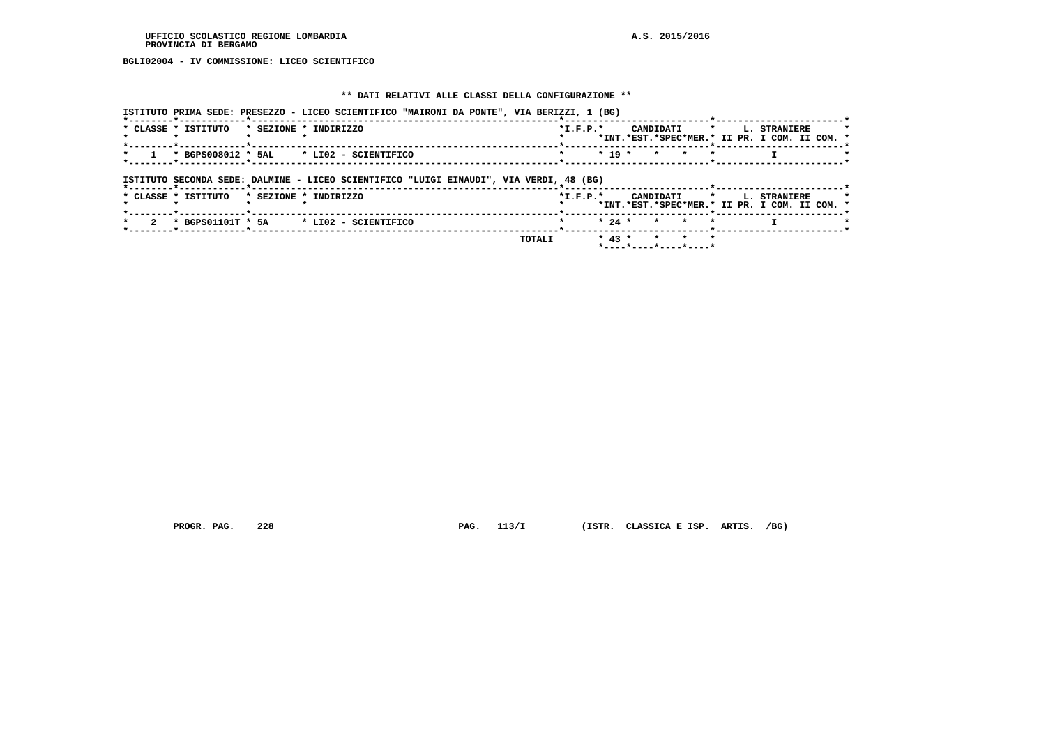**BGLI02004 - IV COMMISSIONE: LICEO SCIENTIFICO**

## **\*\* DATI RELATIVI ALLE CLASSI DELLA CONFIGURAZIONE \*\***

|                                             | ISTITUTO PRIMA SEDE: PRESEZZO - LICEO SCIENTIFICO "MAIRONI DA PONTE", VIA BERIZZI, 1 (BG) |                                                                                             |
|---------------------------------------------|-------------------------------------------------------------------------------------------|---------------------------------------------------------------------------------------------|
| * CLASSE * ISTITUTO                         | * SEZIONE * INDIRIZZO                                                                     | CANDIDATI * L. STRANIERE<br>$*$ I.F.P. $*$<br>*INT.*EST.*SPEC*MER.* II PR. I COM. II COM. * |
|                                             | * BGPS008012 * 5AL * LI02 - SCIENTIFICO                                                   | $* 19 *$<br>$\star$ $\star$<br>$\star$                                                      |
| *--------*------------*------------         | ISTITUTO SECONDA SEDE: DALMINE - LICEO SCIENTIFICO "LUIGI EINAUDI", VIA VERDI, 48 (BG)    |                                                                                             |
| * CLASSE * ISTITUTO                         | * SEZIONE * INDIRIZZO                                                                     | *I.F.P.* CANDIDATI * L. STRANIERE<br>*INT.*EST.*SPEC*MER.* II PR. I COM. II COM. *          |
| $\mathbf{r}$<br>*--------*------------*---- | * BGPS01101T * 5A * LI02 - SCIENTIFICO                                                    | $* 24 *$<br>$\star$ $\star$                                                                 |
|                                             |                                                                                           | $* 43 *$<br>* * *<br>TOTALI<br>*----*----*----*----*                                        |

 **PROGR. PAG. 228 PAG. 113/I (ISTR. CLASSICA E ISP. ARTIS. /BG)**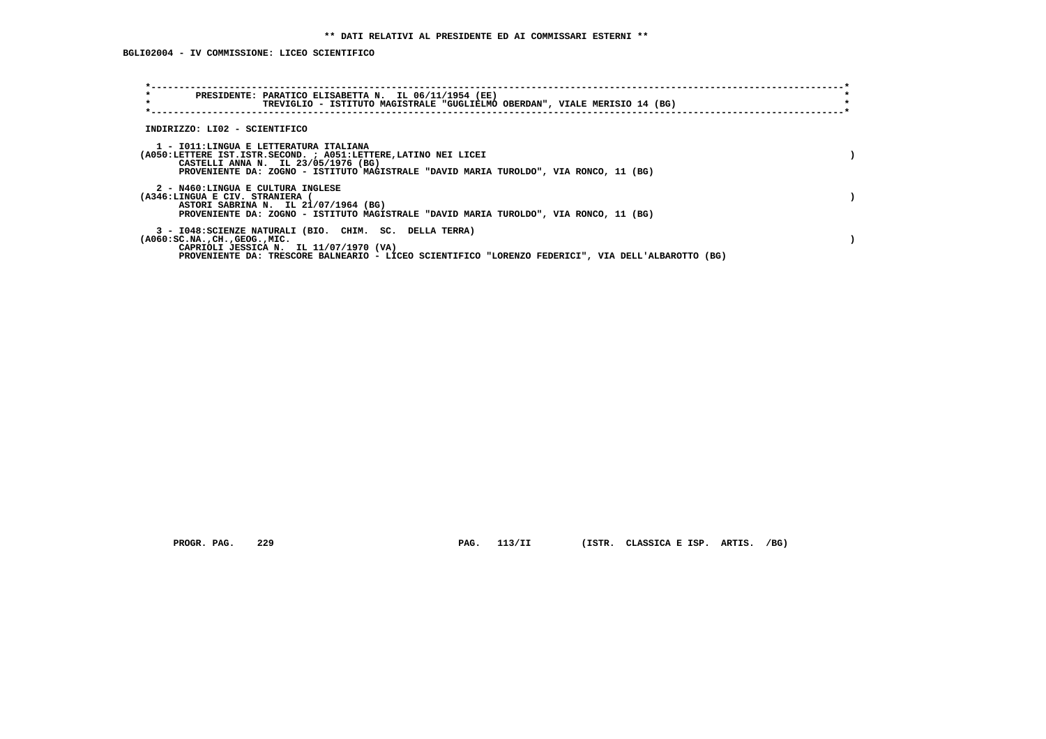| $\star$<br>PRESIDENTE: PARATICO ELISABETTA N. IL 06/11/1954 (EE)<br>$\star$<br>TREVIGLIO - ISTITUTO MAGISTRALE "GUGLIELMO OBERDAN", VIALE MERISIO 14 (BG)                                                                                            |  |
|------------------------------------------------------------------------------------------------------------------------------------------------------------------------------------------------------------------------------------------------------|--|
| INDIRIZZO: LI02 - SCIENTIFICO                                                                                                                                                                                                                        |  |
| 1 - IO11:LINGUA E LETTERATURA ITALIANA<br>(A050:LETTERE IST.ISTR.SECOND. ; A051:LETTERE, LATINO NEI LICEI<br>CASTELLI ANNA N. IL 23/05/1976 (BG)<br>PROVENIENTE DA: ZOGNO - ISTITUTO MAGISTRALE "DAVID MARIA TUROLDO", VIA RONCO, 11 (BG)            |  |
| 2 - N460:LINGUA E CULTURA INGLESE<br>(A346:LINGUA E CIV. STRANIERA (<br>ASTORI SABRINA N. IL 21/07/1964 (BG)<br>PROVENIENTE DA: ZOGNO - ISTITUTO MAGISTRALE "DAVID MARIA TUROLDO", VIA RONCO, 11 (BG)                                                |  |
| 3 - I048: SCIENZE NATURALI (BIO. CHIM. SC. DELLA TERRA)<br>$(A060:SC.NA.$ , $CH.$ , $GEOG.$ , $MIC.$<br>CAPRIOLI JESSICA N. IL 11/07/1970 (VA)<br>PROVENIENTE DA: TRESCORE BALNEARIO - LICEO SCIENTIFICO "LORENZO FEDERICI", VIA DELL'ALBAROTTO (BG) |  |

PROGR. PAG. 229 **PAG. 113/II** (ISTR. CLASSICA E ISP. ARTIS. /BG)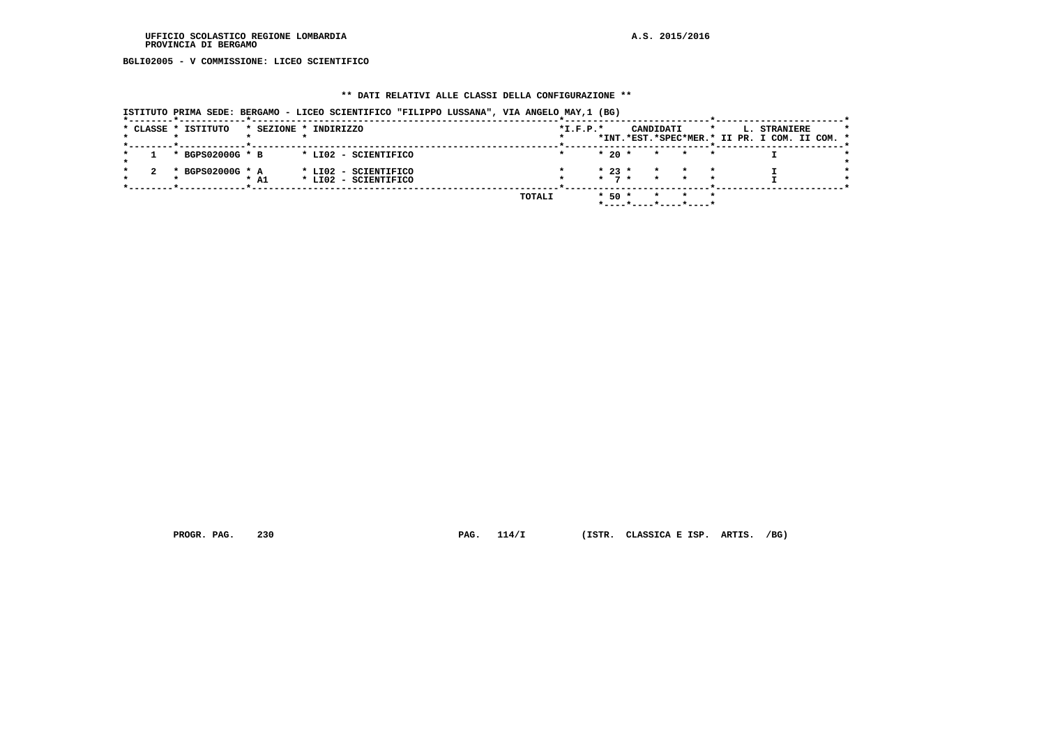**BGLI02005 - V COMMISSIONE: LICEO SCIENTIFICO**

## **\*\* DATI RELATIVI ALLE CLASSI DELLA CONFIGURAZIONE \*\***

|                     |                  |      | ISTITUTO PRIMA SEDE: BERGAMO - LICEO SCIENTIFICO "FILIPPO LUSSANA", VIA ANGELO MAY,1 (BG) |  |        |            |                               |                       |         |         |                                                               |  |
|---------------------|------------------|------|-------------------------------------------------------------------------------------------|--|--------|------------|-------------------------------|-----------------------|---------|---------|---------------------------------------------------------------|--|
| * CLASSE * ISTITUTO |                  |      | * SEZIONE * INDIRIZZO                                                                     |  |        | $*I.F.P.*$ |                               | CANDIDATI             |         | $\star$ | L. STRANIERE<br>*INT.*EST.*SPEC*MER.* II PR. I COM. II COM. * |  |
|                     | * BGPS02000G * B |      | * LIO2 - SCIENTIFICO                                                                      |  |        |            | $*$ 20 $*$                    | $\star$               |         |         |                                                               |  |
|                     | * BGPS02000G * A | * A1 | * LI02 - SCIENTIFICO<br>* LI02 - SCIENTIFICO                                              |  |        |            | $* 23 *$<br>$\star$ 7 $\star$ | $\star$ $\sim$        | $\star$ |         |                                                               |  |
|                     |                  |      |                                                                                           |  | TOTALI |            | $*$ 50 $*$                    | *----*----*----*----* |         |         |                                                               |  |

 **PROGR. PAG. 230 PAG. 114/I (ISTR. CLASSICA E ISP. ARTIS. /BG)**

 $\mathbb{Z}^{\bullet}$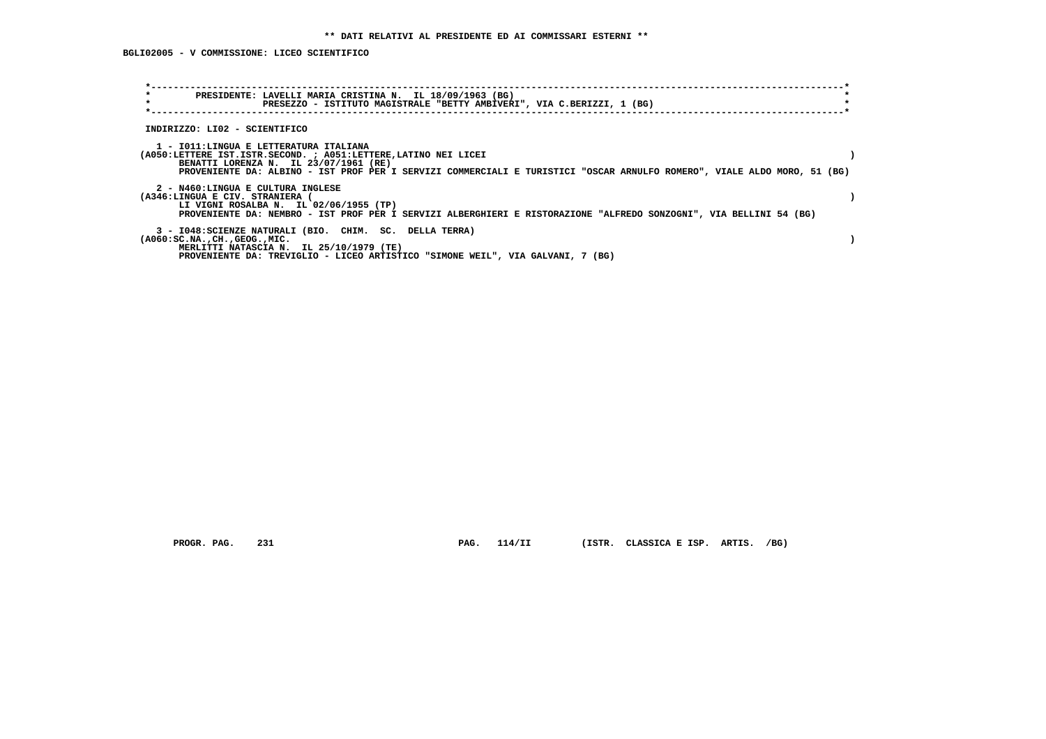| $\star$<br>PRESIDENTE: LAVELLI MARIA CRISTINA N. IL 18/09/1963 (BG)<br>$\star$<br>PRESEZZO - ISTITUTO MAGISTRALE "BETTY AMBIVERI", VIA C.BERIZZI, 1 (BG)                                                                                                                       |  |
|--------------------------------------------------------------------------------------------------------------------------------------------------------------------------------------------------------------------------------------------------------------------------------|--|
| INDIRIZZO: LI02 - SCIENTIFICO                                                                                                                                                                                                                                                  |  |
| 1 - IO11:LINGUA E LETTERATURA ITALIANA<br>(A050:LETTERE IST.ISTR.SECOND. ; A051:LETTERE, LATINO NEI LICEI<br>BENATTI LORENZA N. IL 23/07/1961 (RE)<br>PROVENIENTE DA: ALBINO - IST PROF PER I SERVIZI COMMERCIALI E TURISTICI "OSCAR ARNULFO ROMERO", VIALE ALDO MORO, 51 (BG) |  |
| 2 - N460:LINGUA E CULTURA INGLESE<br>(A346:LINGUA E CIV. STRANIERA<br>LI VIGNI ROSALBA N. IL 02/06/1955 (TP)<br>PROVENIENTE DA: NEMBRO - IST PROF PER I SERVIZI ALBERGHIERI E RISTORAZIONE "ALFREDO SONZOGNI", VIA BELLINI 54 (BG)                                             |  |
| 3 - I048: SCIENZE NATURALI (BIO. CHIM. SC. DELLA TERRA)<br>$(A060:SC.NA.$ , $CH.$ , $GEOG.$ , $MIC.$<br>MERLITTI NATASCIA N. IL 25/10/1979 (TE)<br>PROVENIENTE DA: TREVIGLIO - LICEO ARTISTICO "SIMONE WEIL", VIA GALVANI, 7 (BG)                                              |  |

 **PROGR. PAG. 231 PAG. 114/II (ISTR. CLASSICA E ISP. ARTIS. /BG)**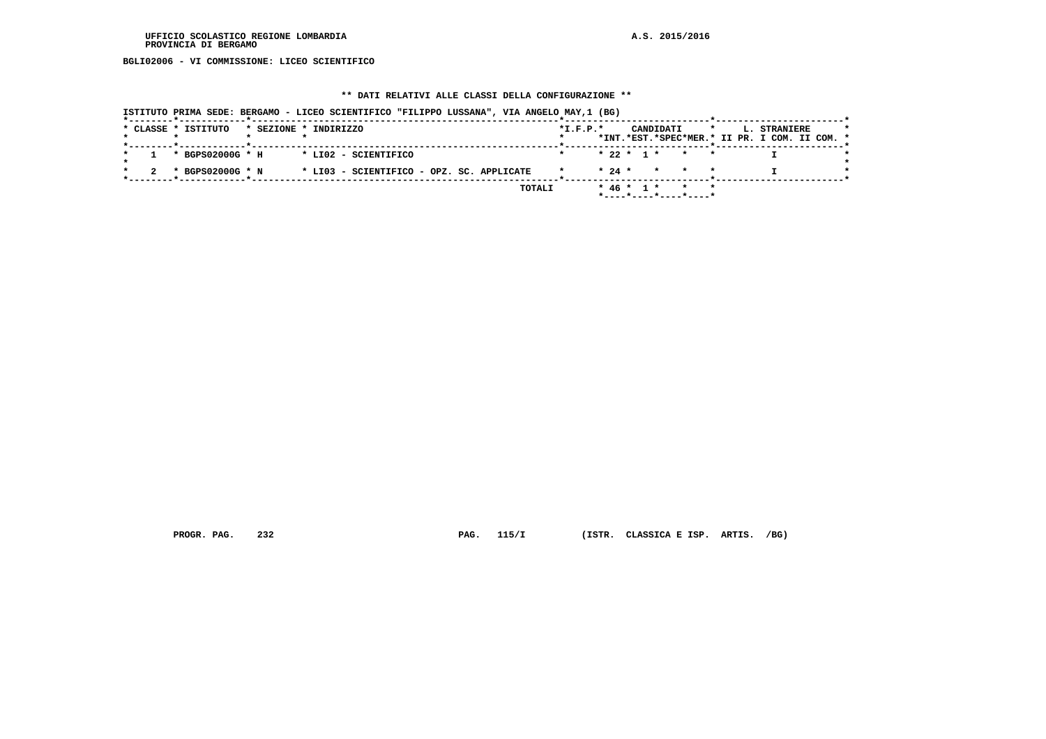**BGLI02006 - VI COMMISSIONE: LICEO SCIENTIFICO**

## **\*\* DATI RELATIVI ALLE CLASSI DELLA CONFIGURAZIONE \*\***

| * CLASSE * ISTITUTO<br>* SEZIONE * INDIRIZZO |                                           | $*I.F.P.*$ |          | CANDIDATI                             | $\star$ | <b>L. STRANIERE</b>                           |  |
|----------------------------------------------|-------------------------------------------|------------|----------|---------------------------------------|---------|-----------------------------------------------|--|
|                                              |                                           |            |          |                                       |         | *INT.*EST.*SPEC*MER.* II PR. I COM. II COM. * |  |
| * BGPS02000G * H                             | * LIO2 - SCIENTIFICO                      |            |          | $* 22 * 1 * * * * *$                  |         |                                               |  |
| * BGPS02000G * N                             | * LI03 - SCIENTIFICO - OPZ. SC. APPLICATE |            | $* 24 *$ |                                       | * * *   |                                               |  |
|                                              | TOTALI                                    |            |          | $* 46 * 1 *$<br>*----*----*----*----* |         |                                               |  |

 **PROGR. PAG. 232 PAG. 115/I (ISTR. CLASSICA E ISP. ARTIS. /BG)**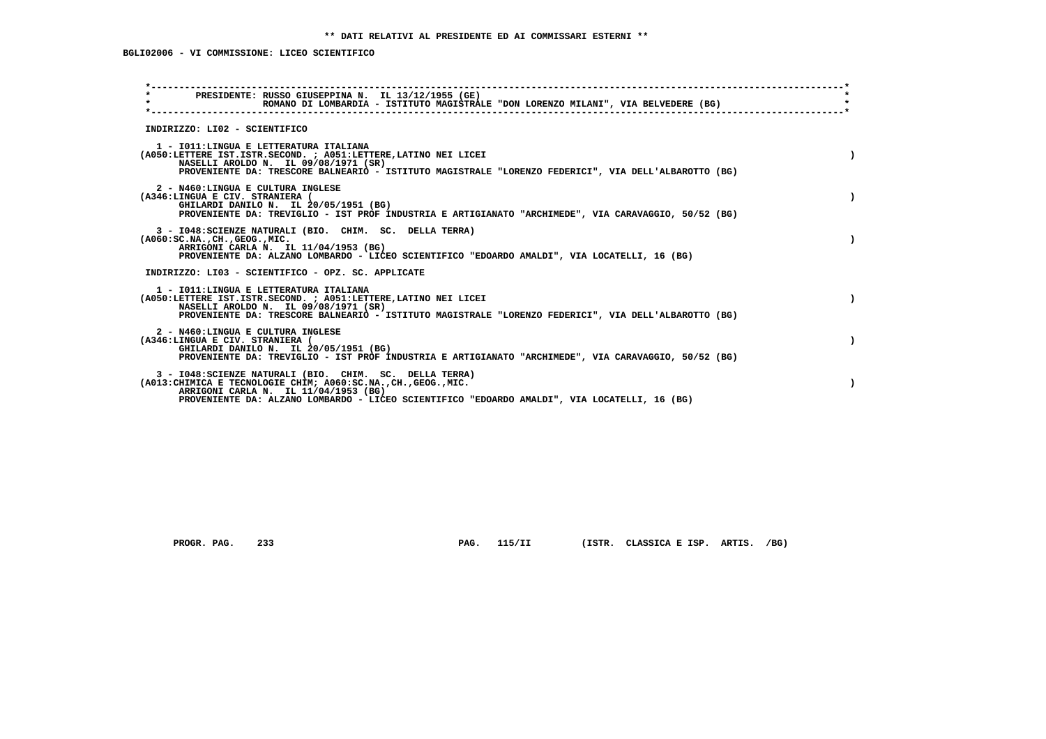# **BGLI02006 - VI COMMISSIONE: LICEO SCIENTIFICO**

| PRESIDENTE: RUSSO GIUSEPPINA N. IL 13/12/1955 (GE)<br>$\star$<br>ROMANO DI LOMBARDIA - ISTITUTO MAGISTRALE "DON LORENZO MILANI", VIA BELVEDERE (BG)                                                                                                                 |           |
|---------------------------------------------------------------------------------------------------------------------------------------------------------------------------------------------------------------------------------------------------------------------|-----------|
| INDIRIZZO: LI02 - SCIENTIFICO                                                                                                                                                                                                                                       |           |
| 1 - IO11: LINGUA E LETTERATURA ITALIANA<br>(A050:LETTERE IST.ISTR.SECOND. ; A051:LETTERE, LATINO NEI LICEI<br>NASELLI AROLDO N. IL 09/08/1971 (SR)<br>PROVENIENTE DA: TRESCORE BALNEARIO - ISTITUTO MAGISTRALE "LORENZO FEDERICI", VIA DELL'ALBAROTTO (BG)          | $\lambda$ |
| 2 - N460:LINGUA E CULTURA INGLESE<br>(A346:LINGUA E CIV. STRANIERA (<br>GHILARDI DANILO N. IL 20/05/1951 (BG)<br>PROVENIENTE DA: TREVIGLIO - IST PROF INDUSTRIA E ARTIGIANATO "ARCHIMEDE", VIA CARAVAGGIO, 50/52 (BG)                                               |           |
| 3 - I048: SCIENZE NATURALI (BIO. CHIM. SC. DELLA TERRA)<br>$(A060:SC.NA.$ , $CH.$ , $GEOG.$ , $MIC.$<br>ARRIGONI CARLA N. IL 11/04/1953 (BG)<br>PROVENIENTE DA: ALZANO LOMBARDO - LICEO SCIENTIFICO "EDOARDO AMALDI", VIA LOCATELLI, 16 (BG)                        |           |
| INDIRIZZO: LI03 - SCIENTIFICO - OPZ. SC. APPLICATE                                                                                                                                                                                                                  |           |
| 1 - IO11: LINGUA E LETTERATURA ITALIANA<br>(A050:LETTERE IST.ISTR.SECOND. ; A051:LETTERE, LATINO NEI LICEI<br>NASELLI AROLDO N. IL 09/08/1971 (SR)<br>PROVENIENTE DA: TRESCORE BALNEARIO - ISTITUTO MAGISTRALE "LORENZO FEDERICI", VIA DELL'ALBAROTTO (BG)          | $\lambda$ |
| 2 - N460:LINGUA E CULTURA INGLESE<br>(A346:LINGUA E CIV. STRANIERA (<br>GHILARDI DANILO N. IL 20/05/1951 (BG)<br>PROVENIENTE DA: TREVIGLIO - IST PROF INDUSTRIA E ARTIGIANATO "ARCHIMEDE", VIA CARAVAGGIO, 50/52 (BG)                                               |           |
| 3 - I048: SCIENZE NATURALI (BIO. CHIM. SC. DELLA TERRA)<br>(A013: CHIMICA E TECNOLOGIE CHIM; A060: SC.NA., CH., GEOG., MIC.<br>ARRIGONI CARLA N. IL 11/04/1953 (BG)<br>PROVENIENTE DA: ALZANO LOMBARDO - LICEO SCIENTIFICO "EDOARDO AMALDI", VIA LOCATELLI, 16 (BG) |           |
|                                                                                                                                                                                                                                                                     |           |

 **PROGR. PAG. 233 PAG. 115/II (ISTR. CLASSICA E ISP. ARTIS. /BG)**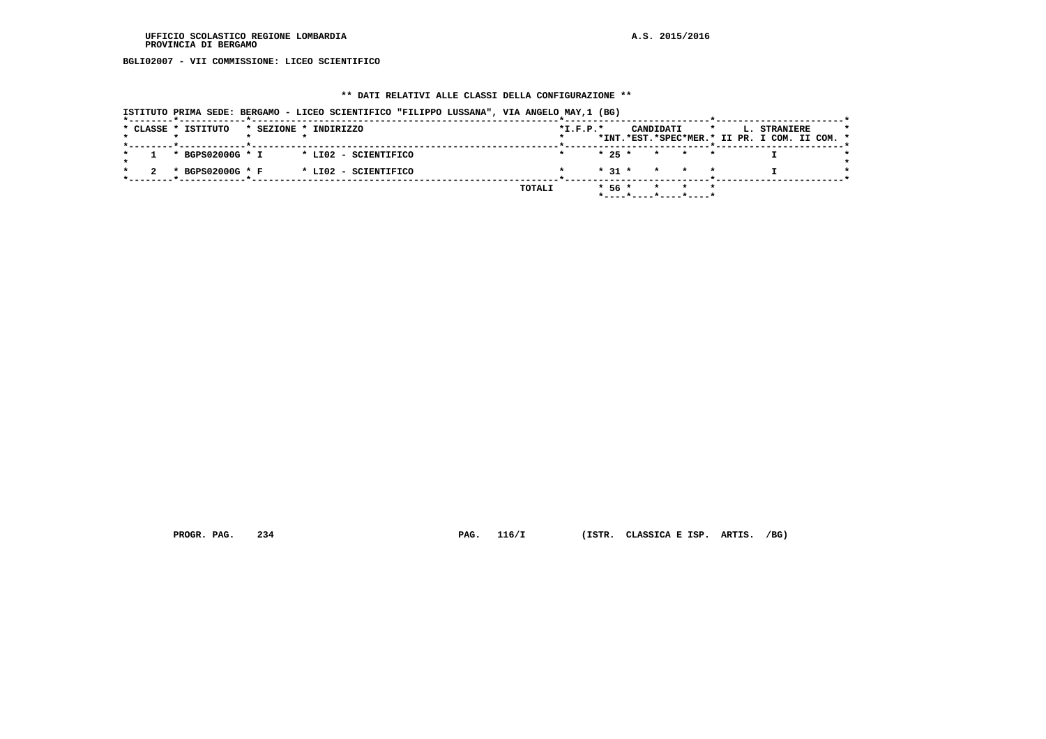**BGLI02007 - VII COMMISSIONE: LICEO SCIENTIFICO**

## **\*\* DATI RELATIVI ALLE CLASSI DELLA CONFIGURAZIONE \*\***

| ISTITUTO PRIMA SEDE: BERGAMO - LICEO SCIENTIFICO "FILIPPO LUSSANA", VIA ANGELO MAY,1 (BG) |        |            |                                |         |                                                               |  |
|-------------------------------------------------------------------------------------------|--------|------------|--------------------------------|---------|---------------------------------------------------------------|--|
| * CLASSE * ISTITUTO<br>* SEZIONE * INDIRIZZO                                              |        | $*I.F.P.*$ | CANDIDATI                      | $\star$ | L. STRANIERE<br>*INT.*EST.*SPEC*MER.* II PR. I COM. II COM. * |  |
| * BGPS02000G * I<br>* LI02 - SCIENTIFICO                                                  |        | $* 25 *$   | * * *                          |         |                                                               |  |
| * BGPS02000G * F<br>* LI02 - SCIENTIFICO                                                  |        | $* 31 *$   | * * *                          |         |                                                               |  |
|                                                                                           | TOTALI | $*56*$     | * * *<br>*----*----*----*----* |         |                                                               |  |

 **PROGR. PAG. 234 PAG. 116/I (ISTR. CLASSICA E ISP. ARTIS. /BG)**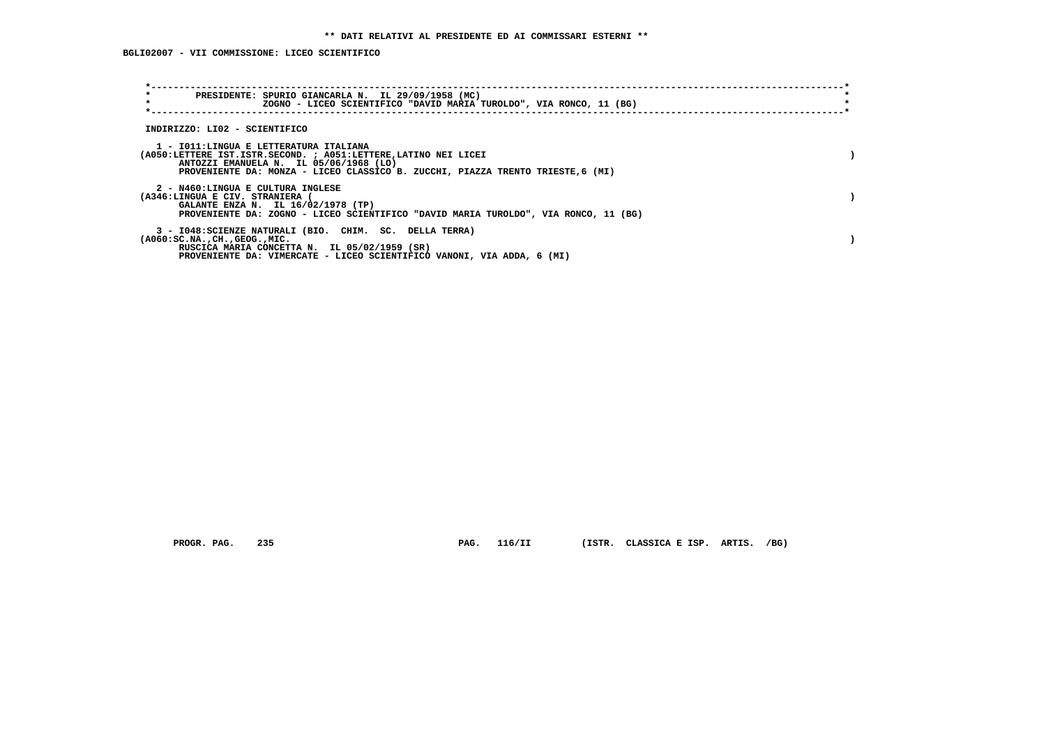**BGLI02007 - VII COMMISSIONE: LICEO SCIENTIFICO**

| $\star$<br>PRESIDENTE: SPURIO GIANCARLA N. IL 29/09/1958 (MC)<br>$\star$<br>ZOGNO - LICEO SCIENTIFICO "DAVID MARIA TUROLDO", VIA RONCO, 11 (BG)                                                                                       |  |
|---------------------------------------------------------------------------------------------------------------------------------------------------------------------------------------------------------------------------------------|--|
| INDIRIZZO: LI02 - SCIENTIFICO                                                                                                                                                                                                         |  |
| 1 - IO11:LINGUA E LETTERATURA ITALIANA<br>(A050:LETTERE IST.ISTR.SECOND. ; A051:LETTERE,LATINO NEI LICEI<br>ANTOZZI EMANUELA N. IL 05/06/1968 (LO)<br>PROVENIENTE DA: MONZA - LICEO CLASSICO B. ZUCCHI, PIAZZA TRENTO TRIESTE, 6 (MI) |  |
| 2 - N460:LINGUA E CULTURA INGLESE<br>(A346:LINGUA E CIV. STRANIERA<br>GALANTE ENZA N. IL 16/02/1978 (TP)<br>PROVENIENTE DA: ZOGNO - LICEO SCIENTIFICO "DAVID MARIA TUROLDO", VIA RONCO, 11 (BG)                                       |  |
| 3 - I048: SCIENZE NATURALI (BIO. CHIM. SC. DELLA TERRA)<br>(A060:SC.NA. .CH. .GEOG. .MIC.<br>RUSCICA MARIA CONCETTA N. IL 05/02/1959 (SR)<br>PROVENIENTE DA: VIMERCATE - LICEO SCIENTIFICO VANONI, VIA ADDA, 6 (MI)                   |  |

 **PROGR. PAG. 235 PAG. 116/II (ISTR. CLASSICA E ISP. ARTIS. /BG)**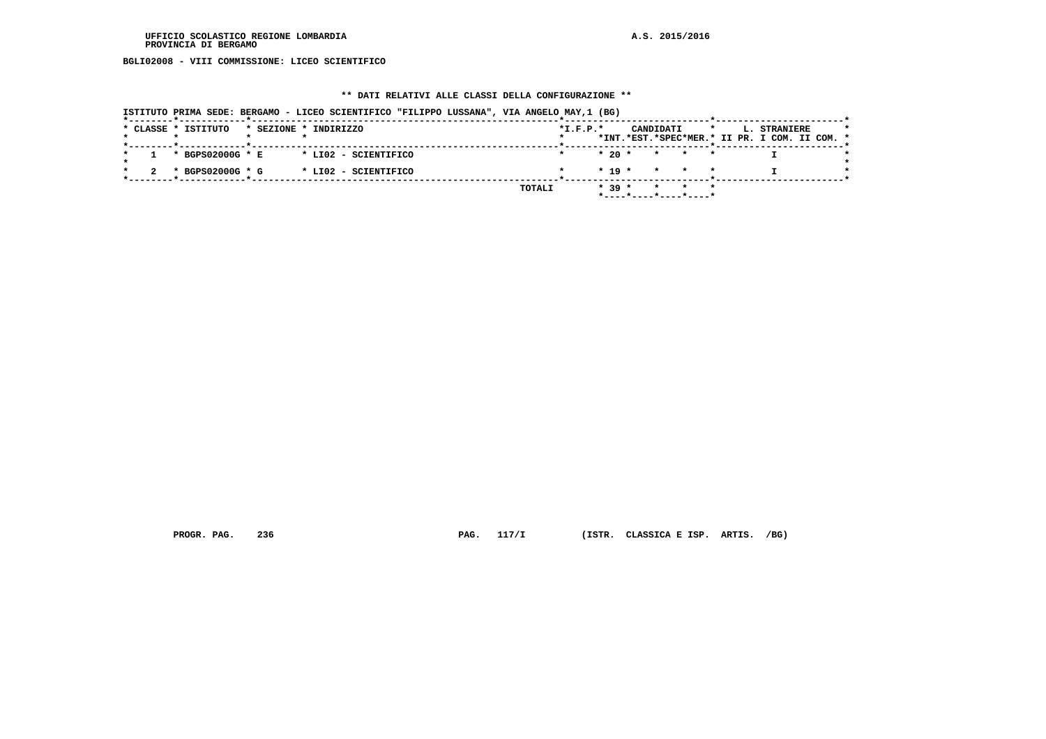**BGLI02008 - VIII COMMISSIONE: LICEO SCIENTIFICO**

## **\*\* DATI RELATIVI ALLE CLASSI DELLA CONFIGURAZIONE \*\***

|  |                     |  | ISTITUTO PRIMA SEDE: BERGAMO - LICEO SCIENTIFICO "FILIPPO LUSSANA", VIA ANGELO MAY,1 (BG) |  |        |            |          |           |                                |         |                                                                      |  |
|--|---------------------|--|-------------------------------------------------------------------------------------------|--|--------|------------|----------|-----------|--------------------------------|---------|----------------------------------------------------------------------|--|
|  | * CLASSE * ISTITUTO |  | * SEZIONE * INDIRIZZO                                                                     |  |        | $*L.F.P.*$ |          | CANDIDATI |                                | $\star$ | <b>L. STRANIERE</b><br>*INT.*EST.*SPEC*MER.* II PR. I COM. II COM. * |  |
|  | * BGPS02000G * E    |  | * LI02 - SCIENTIFICO                                                                      |  |        |            |          |           | $* 20 * * * * * * *$           |         |                                                                      |  |
|  | * BGPS02000G * G    |  | * LI02 - SCIENTIFICO                                                                      |  |        |            |          |           | $* 19 * * * * * *$             |         |                                                                      |  |
|  |                     |  |                                                                                           |  | TOTALI |            | $* 39 *$ |           | * * *<br>*----*----*----*----* |         |                                                                      |  |

 **PROGR. PAG. 236 PAG. 117/I (ISTR. CLASSICA E ISP. ARTIS. /BG)**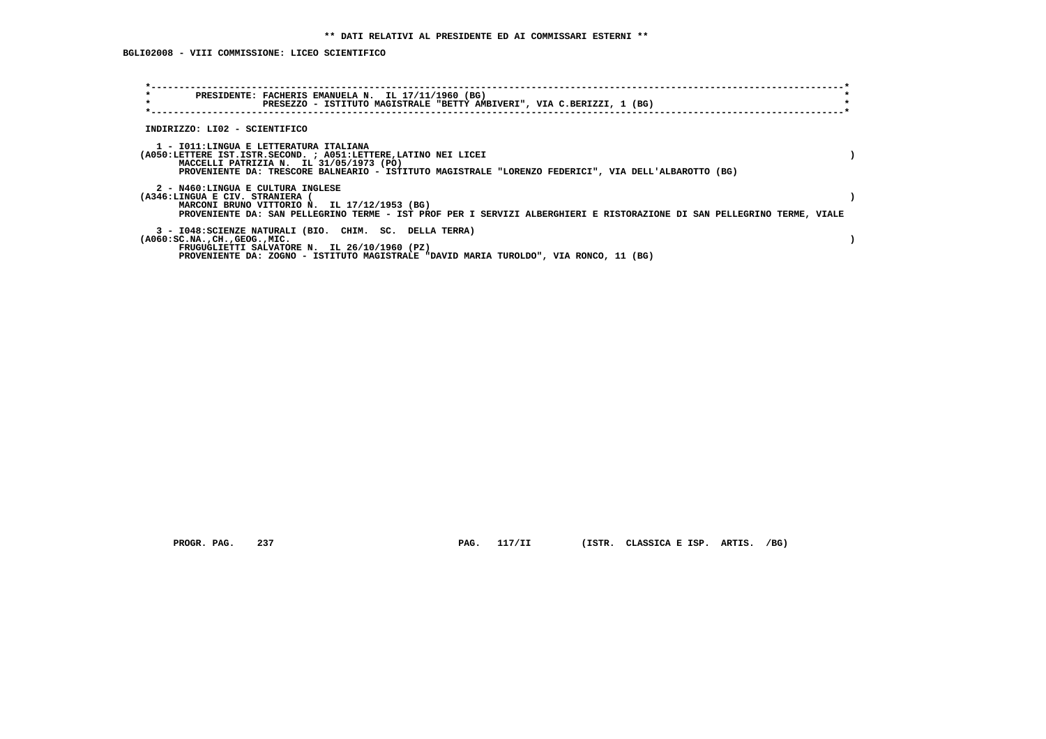**BGLI02008 - VIII COMMISSIONE: LICEO SCIENTIFICO**

| $\star$<br>PRESIDENTE: FACHERIS EMANUELA N. IL 17/11/1960 (BG)<br>$\star$<br>PRESEZZO - ISTITUTO MAGISTRALE "BETTY AMBIVERI", VIA C.BERIZZI, 1 (BG)                                                                                                         |  |
|-------------------------------------------------------------------------------------------------------------------------------------------------------------------------------------------------------------------------------------------------------------|--|
| INDIRIZZO: LI02 - SCIENTIFICO                                                                                                                                                                                                                               |  |
| 1 - IO11:LINGUA E LETTERATURA ITALIANA<br>(A050:LETTERE IST.ISTR.SECOND. ; A051:LETTERE,LATINO NEI LICEI<br>MACCELLI PATRIZIA N. IL 31/05/1973 (PO)<br>PROVENIENTE DA: TRESCORE BALNEARIO - ISTITUTO MAGISTRALE "LORENZO FEDERICI", VIA DELL'ALBAROTTO (BG) |  |
| 2 - N460:LINGUA E CULTURA INGLESE<br>(A346:LINGUA E CIV. STRANIERA<br>MARCONI BRUNO VITTORIO N. IL 17/12/1953 (BG)<br>PROVENIENTE DA: SAN PELLEGRINO TERME - IST PROF PER I SERVIZI ALBERGHIERI E RISTORAZIONE DI SAN PELLEGRINO TERME, VIALE               |  |
| 3 - I048: SCIENZE NATURALI (BIO. CHIM. SC. DELLA TERRA)<br>$(A060:SC.NA.$ , $CH.$ , $GEOG.$ , $MIC.$<br>FRUGUGLIETTI SALVATORE N. IL 26/10/1960 (PZ)<br>PROVENIENTE DA: ZOGNO - ISTITUTO MAGISTRALE "DAVID MARIA TUROLDO", VIA RONCO, 11 (BG)               |  |

 **PROGR. PAG. 237 PAG. 117/II (ISTR. CLASSICA E ISP. ARTIS. /BG)**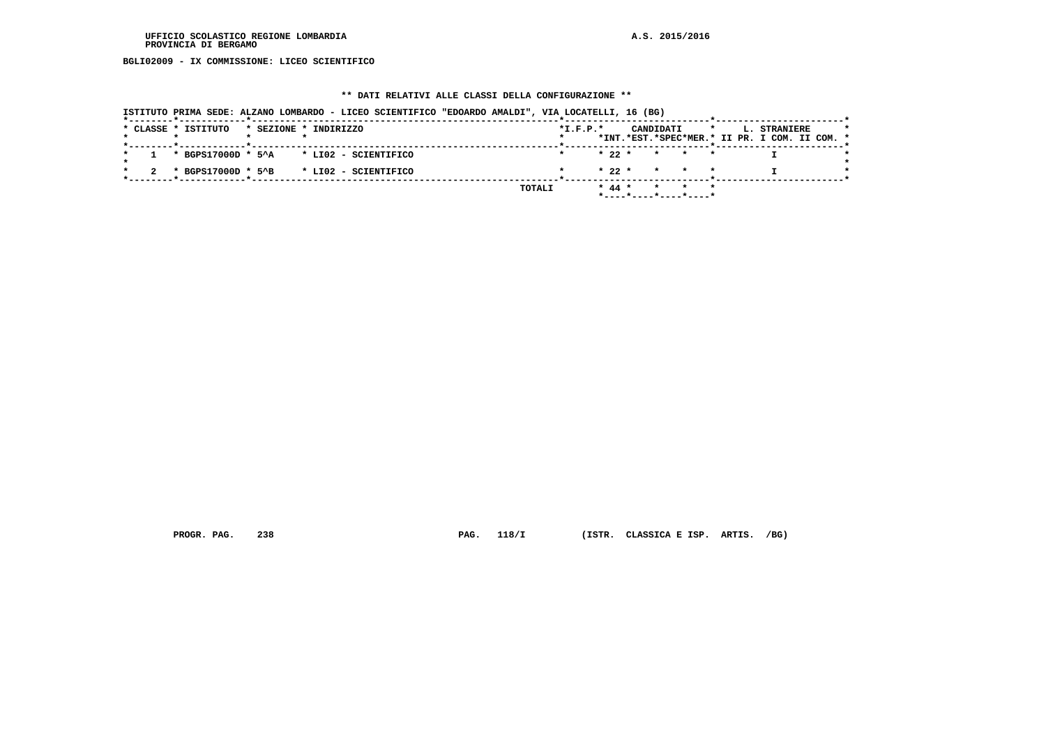**BGLI02009 - IX COMMISSIONE: LICEO SCIENTIFICO**

## **\*\* DATI RELATIVI ALLE CLASSI DELLA CONFIGURAZIONE \*\***

| ISTITUTO PRIMA SEDE: ALZANO LOMBARDO - LICEO SCIENTIFICO "EDOARDO AMALDI", VIA LOCATELLI, 16 (BG) |                                                                                                            |
|---------------------------------------------------------------------------------------------------|------------------------------------------------------------------------------------------------------------|
| * CLASSE * ISTITUTO<br>* SEZIONE * INDIRIZZO                                                      | $*I.F.P.*$<br>CANDIDATI<br>$\star$<br><b>L. STRANIERE</b><br>*INT.*EST.*SPEC*MER.* II PR. I COM. II COM. * |
| $*$ BGPS17000D $*$ 5^A $*$ LI02 - SCIENTIFICO                                                     | $* 22 *$<br>* * *                                                                                          |
| * BGPS17000D * 5^B<br>* LIO2 - SCIENTIFICO                                                        | $* 22 * * * * * * *$                                                                                       |
|                                                                                                   | TOTALI<br>$* 44 *$<br>* * *<br>*----*----*----*----*                                                       |

 **PROGR. PAG. 238 PAG. 118/I (ISTR. CLASSICA E ISP. ARTIS. /BG)**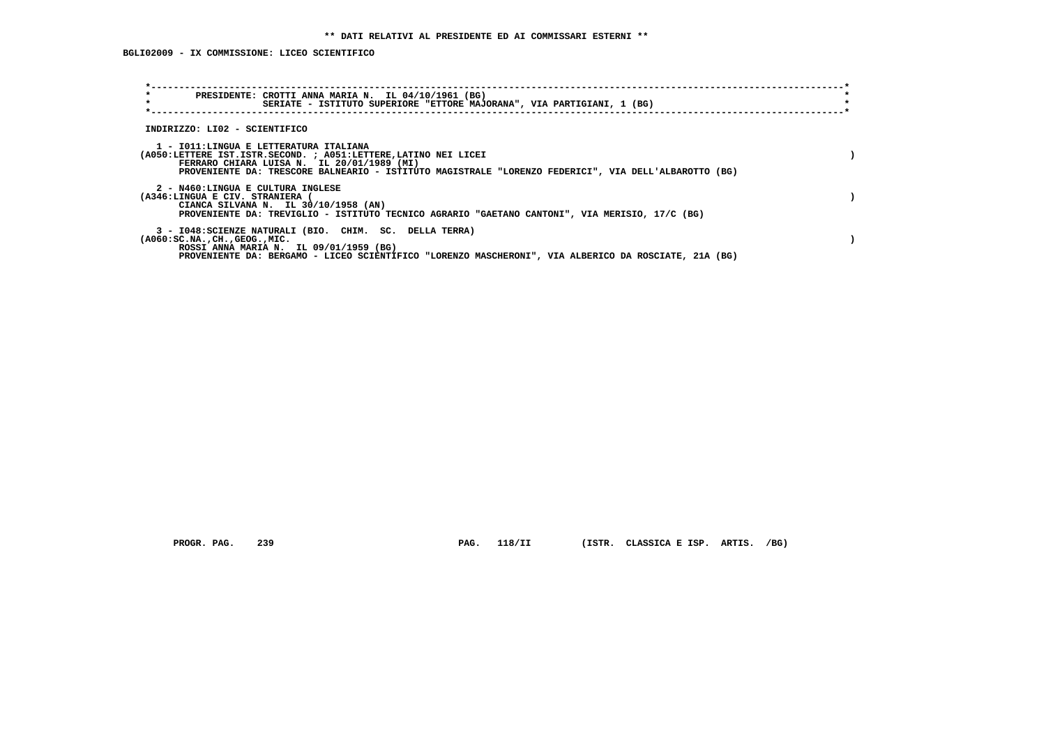| $\star$<br>PRESIDENTE: CROTTI ANNA MARIA N. IL 04/10/1961 (BG)<br>$\star$<br>SERIATE - ISTITUTO SUPERIORE "ETTORE MAJORANA", VIA PARTIGIANI, 1 (BG)                                                                                                             |  |
|-----------------------------------------------------------------------------------------------------------------------------------------------------------------------------------------------------------------------------------------------------------------|--|
| INDIRIZZO: LI02 - SCIENTIFICO                                                                                                                                                                                                                                   |  |
| 1 - IO11:LINGUA E LETTERATURA ITALIANA<br>(A050:LETTERE IST.ISTR.SECOND. ; A051:LETTERE, LATINO NEI LICEI<br>FERRARO CHIARA LUISA N. IL 20/01/1989 (MI)<br>PROVENIENTE DA: TRESCORE BALNEARIO - ISTITUTO MAGISTRALE "LORENZO FEDERICI", VIA DELL'ALBAROTTO (BG) |  |
| 2 - N460:LINGUA E CULTURA INGLESE<br>(A346:LINGUA E CIV. STRANIERA (<br>CIANCA SILVANA N. IL 30/10/1958 (AN)<br>PROVENIENTE DA: TREVIGLIO - ISTITUTO TECNICO AGRARIO "GAETANO CANTONI", VIA MERISIO, 17/C (BG)                                                  |  |
| 3 - I048: SCIENZE NATURALI (BIO. CHIM. SC. DELLA TERRA)<br>$(A060:SC.NA.$ , $CH.$ , $GEOG.$ , $MIC.$<br>ROSSI ANNA MARIA N. IL 09/01/1959 (BG)<br>PROVENIENTE DA: BERGAMO - LICEO SCIENTIFICO "LORENZO MASCHERONI", VIA ALBERICO DA ROSCIATE, 21A (BG)          |  |

PROGR. PAG. 239 **PAG. 118/II** (ISTR. CLASSICA E ISP. ARTIS. /BG)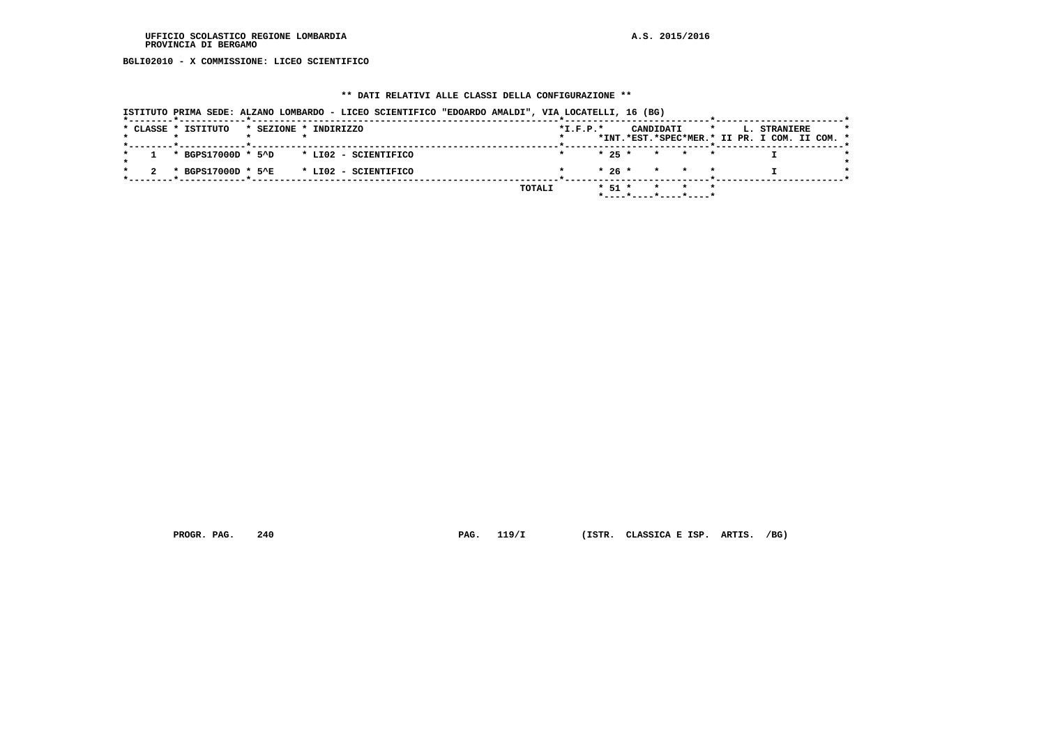**BGLI02010 - X COMMISSIONE: LICEO SCIENTIFICO**

## **\*\* DATI RELATIVI ALLE CLASSI DELLA CONFIGURAZIONE \*\***

| ISTITUTO PRIMA SEDE: ALZANO LOMBARDO - LICEO SCIENTIFICO "EDOARDO AMALDI", VIA LOCATELLI, 16 (BG) |        |            |                                                  |                                                               |
|---------------------------------------------------------------------------------------------------|--------|------------|--------------------------------------------------|---------------------------------------------------------------|
| * CLASSE * ISTITUTO<br>* SEZIONE * INDIRIZZO                                                      |        | $*I.F.P.*$ | CANDIDATI<br>$\star$                             | L. STRANIERE<br>*INT.*EST.*SPEC*MER.* II PR. I COM. II COM. * |
| $\star$ BGPS17000D $\star$ 5^D $\star$ LI02 - SCIENTIFICO                                         |        |            | $\star$ 25 $\star$ $\star$ $\star$ $\star$       |                                                               |
| * BGPS17000D * 5^E * LI02 - SCIENTIFICO                                                           |        |            | $* 26 * * * * * *$                               |                                                               |
|                                                                                                   | TOTALI |            | $* 51 * * * * * * *$<br>$*$ ----*----*----*----* |                                                               |

 **PROGR. PAG. 240 PAG. 119/I (ISTR. CLASSICA E ISP. ARTIS. /BG)**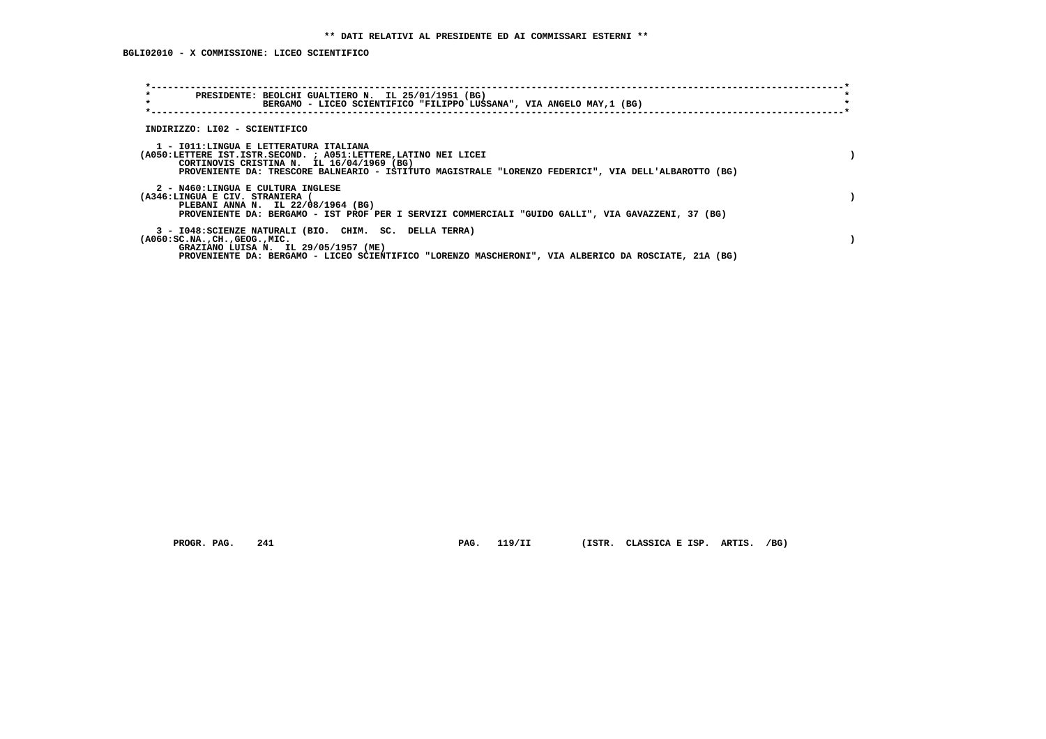| $\star$<br>PRESIDENTE: BEOLCHI GUALTIERO N. IL 25/01/1951 (BG)<br>$\star$<br>BERGAMO - LICEO SCIENTIFICO "FILIPPO LUSSANA", VIA ANGELO MAY, 1 (BG)                                                                                                             |  |
|----------------------------------------------------------------------------------------------------------------------------------------------------------------------------------------------------------------------------------------------------------------|--|
| INDIRIZZO: LI02 - SCIENTIFICO                                                                                                                                                                                                                                  |  |
| 1 - IO11:LINGUA E LETTERATURA ITALIANA<br>(A050:LETTERE IST.ISTR.SECOND. ; A051:LETTERE, LATINO NEI LICEI<br>CORTINOVIS CRISTINA N. IL 16/04/1969 (BG)<br>PROVENIENTE DA: TRESCORE BALNEARIO - ISTITUTO MAGISTRALE "LORENZO FEDERICI", VIA DELL'ALBAROTTO (BG) |  |
| 2 - N460:LINGUA E CULTURA INGLESE<br>(A346:LINGUA E CIV. STRANIERA (<br>PLEBANI ANNA N. IL 22/08/1964 (BG)<br>PROVENIENTE DA: BERGAMO - IST PROF PER I SERVIZI COMMERCIALI "GUIDO GALLI", VIA GAVAZZENI, 37 (BG)                                               |  |
| 3 - I048: SCIENZE NATURALI (BIO. CHIM. SC. DELLA TERRA)<br>$(A060:SC.NA.$ , $CH.$ , $GEOG.$ , $MIC.$<br>GRAZIANO LUISA N. IL 29/05/1957 (ME)<br>PROVENIENTE DA: BERGAMO - LICEO SCIENTIFICO "LORENZO MASCHERONI", VIA ALBERICO DA ROSCIATE, 21A (BG)           |  |

 **PROGR. PAG. 241 PAG. 119/II (ISTR. CLASSICA E ISP. ARTIS. /BG)**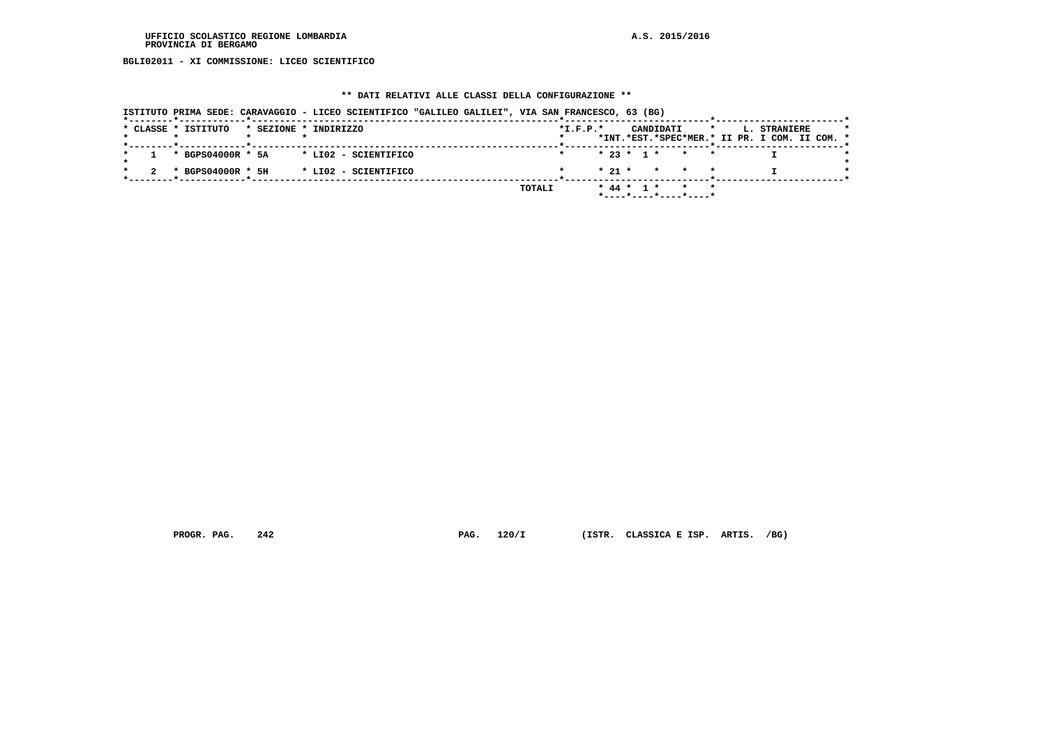**BGLI02011 - XI COMMISSIONE: LICEO SCIENTIFICO**

## **\*\* DATI RELATIVI ALLE CLASSI DELLA CONFIGURAZIONE \*\***

| ISTITUTO PRIMA SEDE: CARAVAGGIO - LICEO SCIENTIFICO "GALILEO GALILEI", VIA SAN FRANCESCO, 63 (BG) |        |            |                                            |                                                                          |  |
|---------------------------------------------------------------------------------------------------|--------|------------|--------------------------------------------|--------------------------------------------------------------------------|--|
| * CLASSE * ISTITUTO<br>* SEZIONE * INDIRIZZO                                                      |        | $*L.F.P.*$ | CANDIDATI                                  | L. STRANIERE<br>$\star$<br>*INT.*EST.*SPEC*MER.* II PR. I COM. II COM. * |  |
| * BGPS04000R * 5A<br>* LI02 - SCIENTIFICO                                                         |        |            | $* 23 * 1 * * * * *$                       |                                                                          |  |
| * BGPS04000R * 5H<br>* LI02 - SCIENTIFICO                                                         |        |            | $\star$ 21 $\star$ $\star$ $\star$ $\star$ |                                                                          |  |
|                                                                                                   | TOTALI |            | * 44 * 1 * * *<br>*----*----*----*----*    |                                                                          |  |

 **PROGR. PAG. 242 PAG. 120/I (ISTR. CLASSICA E ISP. ARTIS. /BG)**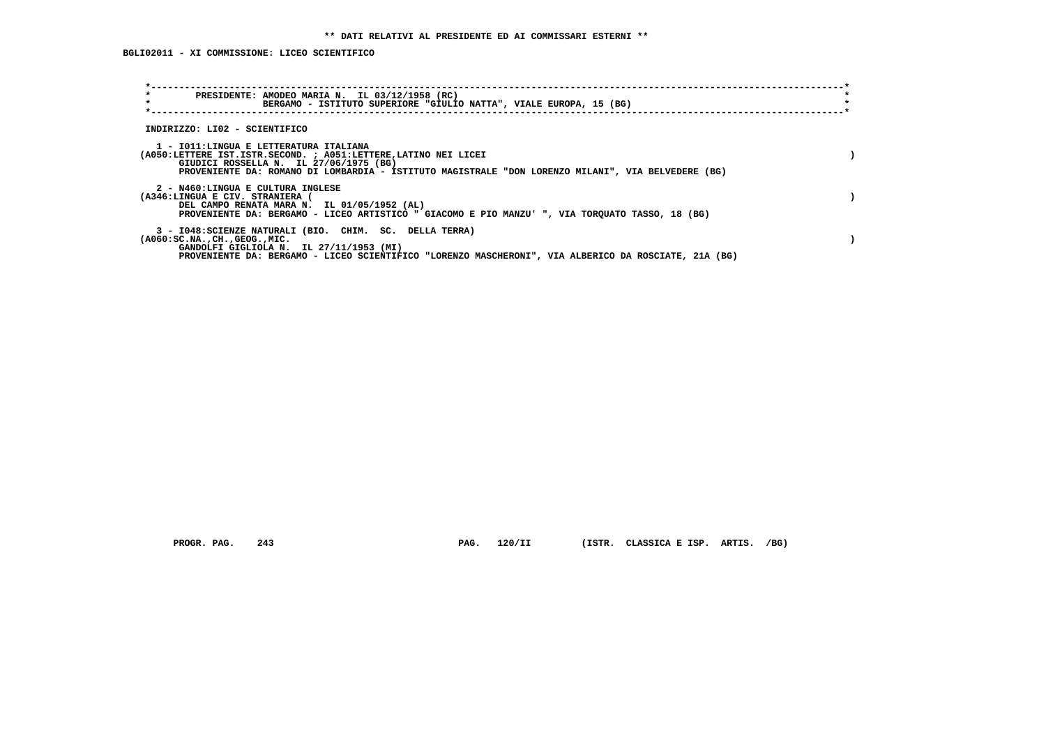| $\star$<br>PRESIDENTE: AMODEO MARIA N. IL 03/12/1958 (RC)<br>$\star$<br>BERGAMO - ISTITUTO SUPERIORE "GIULIO NATTA", VIALE EUROPA, 15 (BG)                                                                                                                |  |
|-----------------------------------------------------------------------------------------------------------------------------------------------------------------------------------------------------------------------------------------------------------|--|
| INDIRIZZO: LI02 - SCIENTIFICO                                                                                                                                                                                                                             |  |
| 1 - IO11:LINGUA E LETTERATURA ITALIANA<br>(A050:LETTERE IST.ISTR.SECOND. ; A051:LETTERE, LATINO NEI LICEI<br>GIUDICI ROSSELLA N. IL 27/06/1975 (BG)<br>PROVENIENTE DA: ROMANO DI LOMBARDIA - ISTITUTO MAGISTRALE "DON LORENZO MILANI", VIA BELVEDERE (BG) |  |
| 2 - N460:LINGUA E CULTURA INGLESE<br>(A346:LINGUA E CIV. STRANIERA (<br>DEL CAMPO RENATA MARA N. IL 01/05/1952 (AL)<br>PROVENIENTE DA: BERGAMO - LICEO ARTISTICO " GIACOMO E PIO MANZU' ", VIA TORQUATO TASSO, 18 (BG)                                    |  |
| 3 - I048: SCIENZE NATURALI (BIO. CHIM. SC. DELLA TERRA)<br>$(A060:SC.NA.$ , $CH.$ , $GEOG.$ , $MIC.$<br>GANDOLFI GIGLIOLA N. IL 27/11/1953 (MI)<br>PROVENIENTE DA: BERGAMO - LICEO SCIENTIFICO "LORENZO MASCHERONI", VIA ALBERICO DA ROSCIATE, 21A (BG)   |  |

 **PROGR. PAG. 243 PAG. 120/II (ISTR. CLASSICA E ISP. ARTIS. /BG)**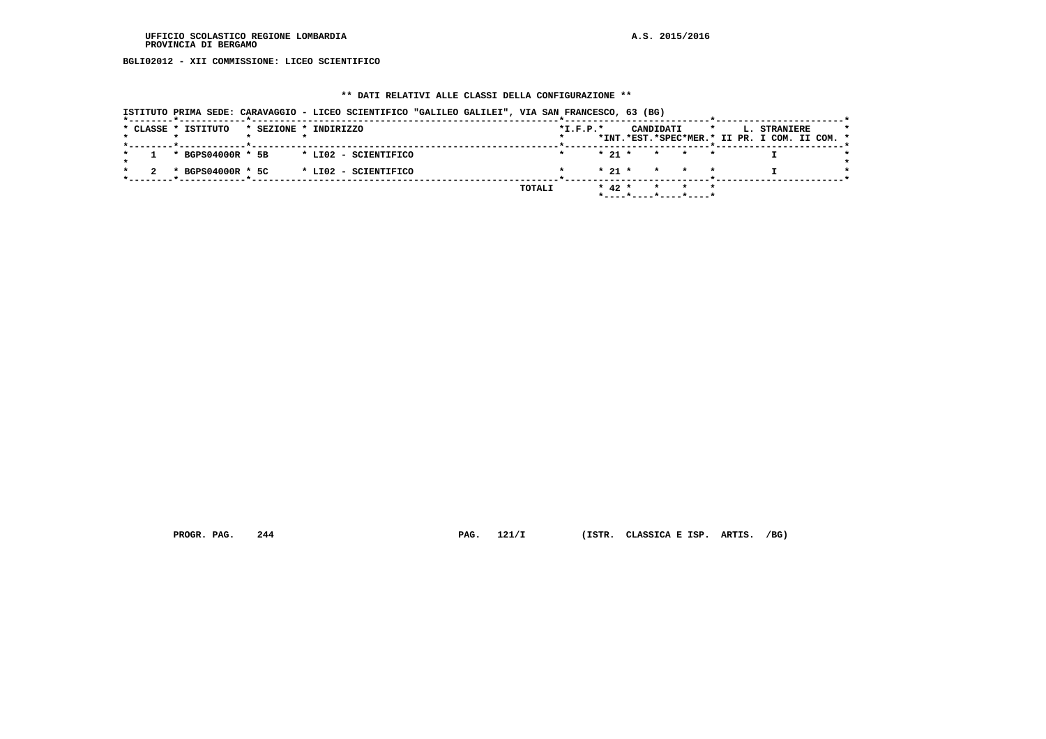**BGLI02012 - XII COMMISSIONE: LICEO SCIENTIFICO**

## **\*\* DATI RELATIVI ALLE CLASSI DELLA CONFIGURAZIONE \*\***

|                                              | ISTITUTO PRIMA SEDE: CARAVAGGIO - LICEO SCIENTIFICO "GALILEO GALILEI", VIA SAN FRANCESCO, 63 (BG) |                                                                                                     |
|----------------------------------------------|---------------------------------------------------------------------------------------------------|-----------------------------------------------------------------------------------------------------|
| * CLASSE * ISTITUTO<br>* SEZIONE * INDIRIZZO |                                                                                                   | $*I.F.P.*$<br>CANDIDATI<br>$\star$<br>L. STRANIERE<br>*INT.*EST.*SPEC*MER.* II PR. I COM. II COM. * |
| * BGPS04000R * 5B                            | * LIO2 - SCIENTIFICO                                                                              | $* 21 *$<br>* * *                                                                                   |
| * BGPS04000R * 5C                            | * LI02 - SCIENTIFICO                                                                              | $\star$ 21 $\star$ $\star$ $\star$ $\star$                                                          |
|                                              | TOTALI                                                                                            | $*$ 42 $*$<br>$\star$<br>$\star$ $\star$                                                            |

 **PROGR. PAG. 244 PAG. 121/I (ISTR. CLASSICA E ISP. ARTIS. /BG)**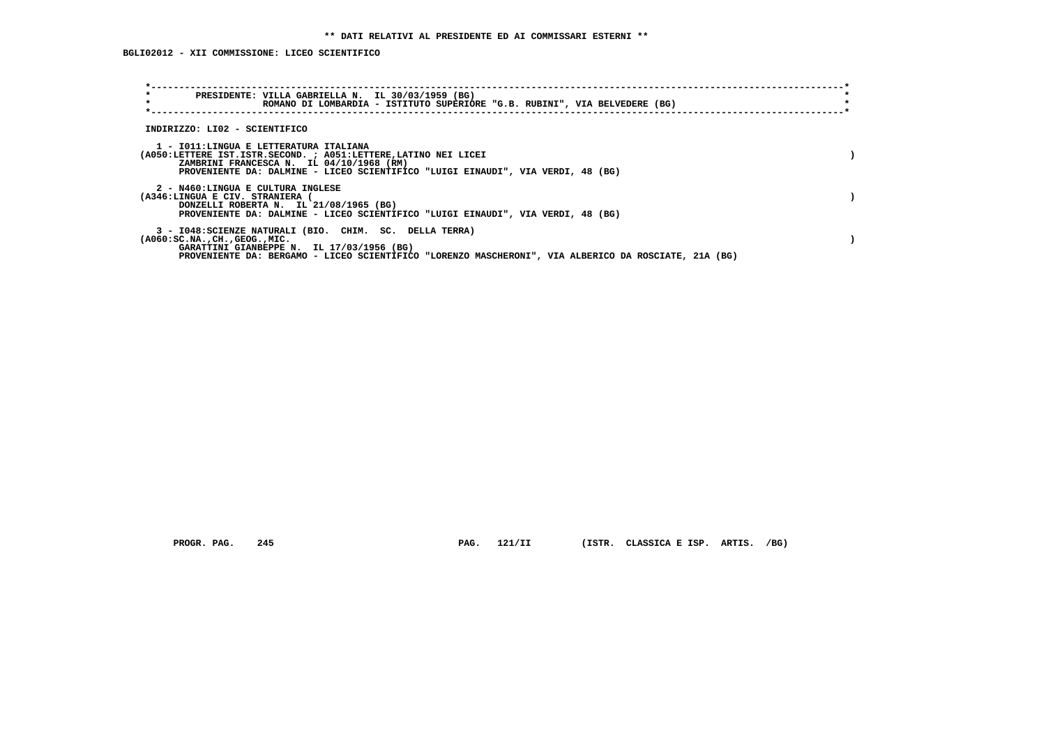**BGLI02012 - XII COMMISSIONE: LICEO SCIENTIFICO**

| $\star$<br>$\star$                                                   | PRESIDENTE: VILLA GABRIELLA N. IL 30/03/1959 (BG)<br>ROMANO DI LOMBARDIA - ISTITUTO SUPERIORE "G.B. RUBINI", VIA BELVEDERE (BG)                                                                                                          |  |
|----------------------------------------------------------------------|------------------------------------------------------------------------------------------------------------------------------------------------------------------------------------------------------------------------------------------|--|
| INDIRIZZO: LI02 - SCIENTIFICO                                        |                                                                                                                                                                                                                                          |  |
|                                                                      | 1 - IO11:LINGUA E LETTERATURA ITALIANA<br>(A050:LETTERE IST.ISTR.SECOND. ; A051:LETTERE, LATINO NEI LICEI<br>ZAMBRINI FRANCESCA N. IL 04/10/1968 (RM)<br>PROVENIENTE DA: DALMINE - LICEO SCIENTIFICO "LUIGI EINAUDI", VIA VERDI, 48 (BG) |  |
| 2 - N460:LINGUA E CULTURA INGLESE<br>(A346:LINGUA E CIV. STRANIERA ( | DONZELLI ROBERTA N. IL 21/08/1965 (BG)<br>PROVENIENTE DA: DALMINE - LICEO SCIENTIFICO "LUIGI EINAUDI", VIA VERDI, 48 (BG)                                                                                                                |  |
| $(A060:SC.NA.$ , $CH.$ , $GEOG.$ , $MIC.$                            | 3 - I048: SCIENZE NATURALI (BIO. CHIM. SC. DELLA TERRA)<br>GARATTINI GIANBEPPE N. IL 17/03/1956 (BG)<br>PROVENIENTE DA: BERGAMO - LICEO SCIENTIFICO "LORENZO MASCHERONI", VIA ALBERICO DA ROSCIATE, 21A (BG)                             |  |

 **PROGR. PAG. 245 PAG. 121/II (ISTR. CLASSICA E ISP. ARTIS. /BG)**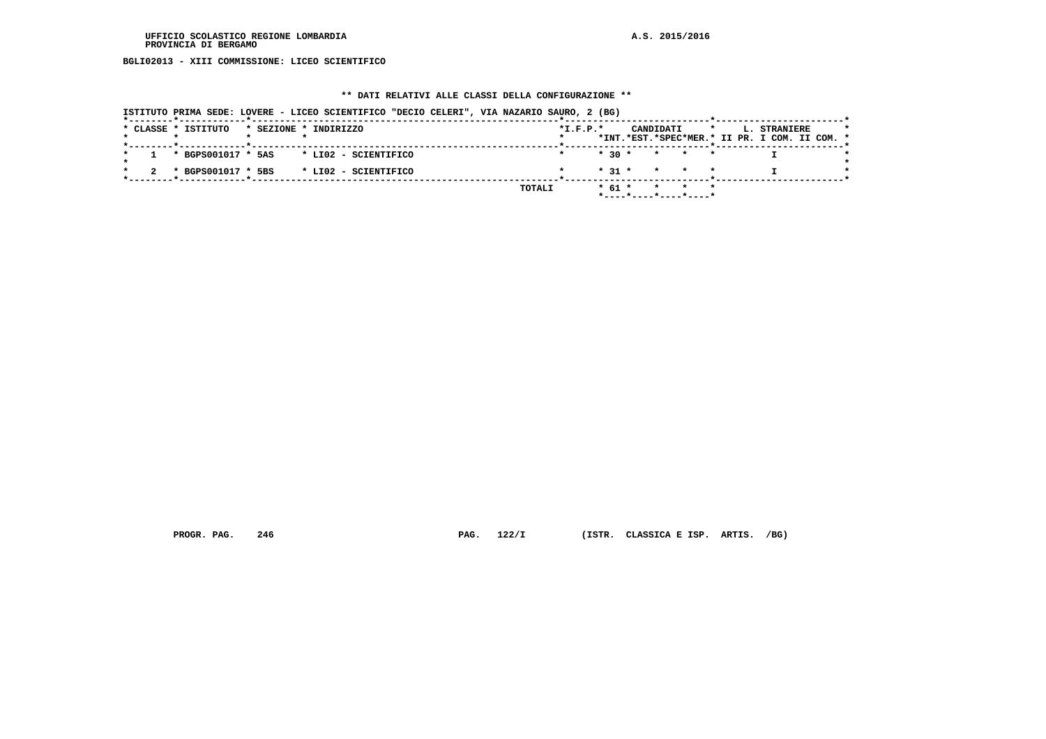**BGLI02013 - XIII COMMISSIONE: LICEO SCIENTIFICO**

## **\*\* DATI RELATIVI ALLE CLASSI DELLA CONFIGURAZIONE \*\***

| ISTITUTO PRIMA SEDE: LOVERE - LICEO SCIENTIFICO "DECIO CELERI", VIA NAZARIO SAURO, 2 (BG) |                                                                                                            |
|-------------------------------------------------------------------------------------------|------------------------------------------------------------------------------------------------------------|
| * CLASSE * ISTITUTO<br>* SEZIONE * INDIRIZZO                                              | CANDIDATI<br>$*I.F.P.*$<br><b>L. STRANIERE</b><br>$\star$<br>*INT.*EST.*SPEC*MER.* II PR. I COM. II COM. * |
| * BGPS001017 * 5AS<br>* LI02 - SCIENTIFICO                                                | $*$ 30 $*$<br>* * *                                                                                        |
| * BGPS001017 * 5BS<br>* LI02 - SCIENTIFICO                                                | $*$ 31 $*$ $*$ $*$ $*$                                                                                     |
| TOTALI                                                                                    | $*$ 61 $*$<br>* * *<br>$*$ - - - - $*$ - - - - $*$ - - - - $*$ - - - - - $*$                               |

 **PROGR. PAG. 246 PAG. 122/I (ISTR. CLASSICA E ISP. ARTIS. /BG)**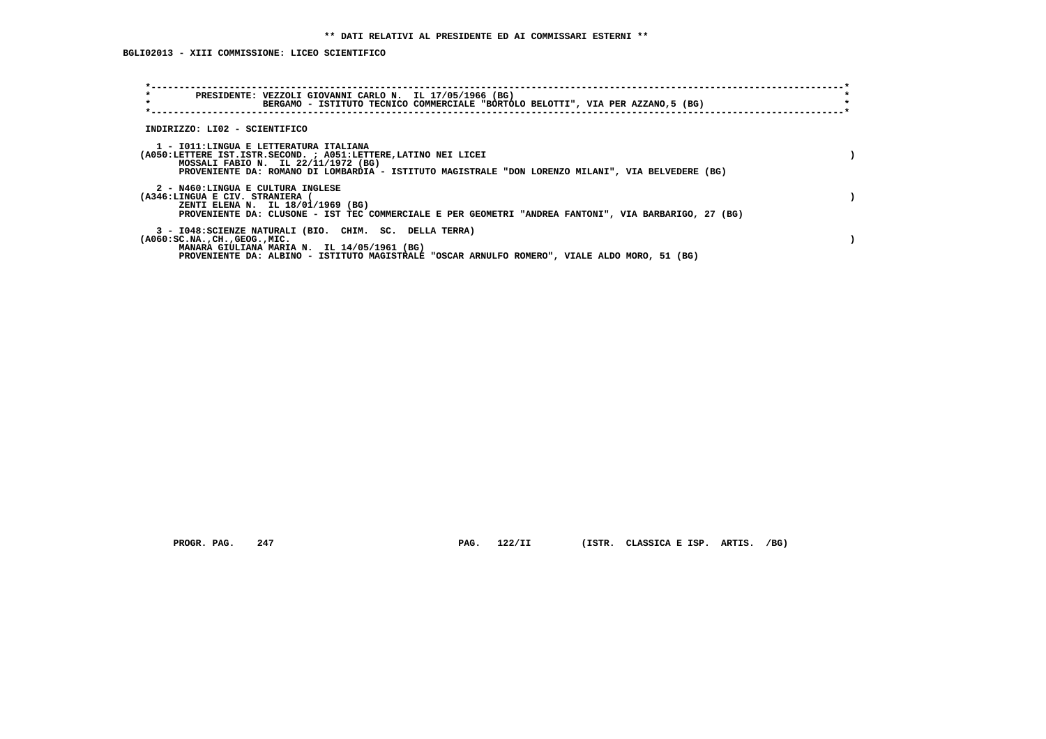| $\star$<br>PRESIDENTE: VEZZOLI GIOVANNI CARLO N. IL 17/05/1966 (BG)<br>$\star$<br>BERGAMO - ISTITUTO TECNICO COMMERCIALE "BORTOLO BELOTTI", VIA PER AZZANO,5 (BG)                                                                                      |  |
|--------------------------------------------------------------------------------------------------------------------------------------------------------------------------------------------------------------------------------------------------------|--|
| INDIRIZZO: LI02 - SCIENTIFICO                                                                                                                                                                                                                          |  |
| 1 - IO11:LINGUA E LETTERATURA ITALIANA<br>(A050:LETTERE IST.ISTR.SECOND. ; A051:LETTERE, LATINO NEI LICEI<br>MOSSALI FABIO N. IL 22/11/1972 (BG)<br>PROVENIENTE DA: ROMANO DI LOMBARDIA - ISTITUTO MAGISTRALE "DON LORENZO MILANI", VIA BELVEDERE (BG) |  |
| 2 - N460:LINGUA E CULTURA INGLESE<br>(A346:LINGUA E CIV. STRANIERA (<br>ZENTI ELENA N. IL 18/01/1969 (BG)<br>PROVENIENTE DA: CLUSONE - IST TEC COMMERCIALE E PER GEOMETRI "ANDREA FANTONI", VIA BARBARIGO, 27 (BG)                                     |  |
| 3 - I048: SCIENZE NATURALI (BIO. CHIM. SC. DELLA TERRA)<br>$(A060:SC.NA.$ , $CH.$ , $GEOG.$ , $MIC.$<br>MANARA GIULIANA MARIA N. IL 14/05/1961 (BG)<br>PROVENIENTE DA: ALBINO - ISTITUTO MAGISTRALE "OSCAR ARNULFO ROMERO", VIALE ALDO MORO, 51 (BG)   |  |

 **PROGR. PAG. 247 PAG. 122/II (ISTR. CLASSICA E ISP. ARTIS. /BG)**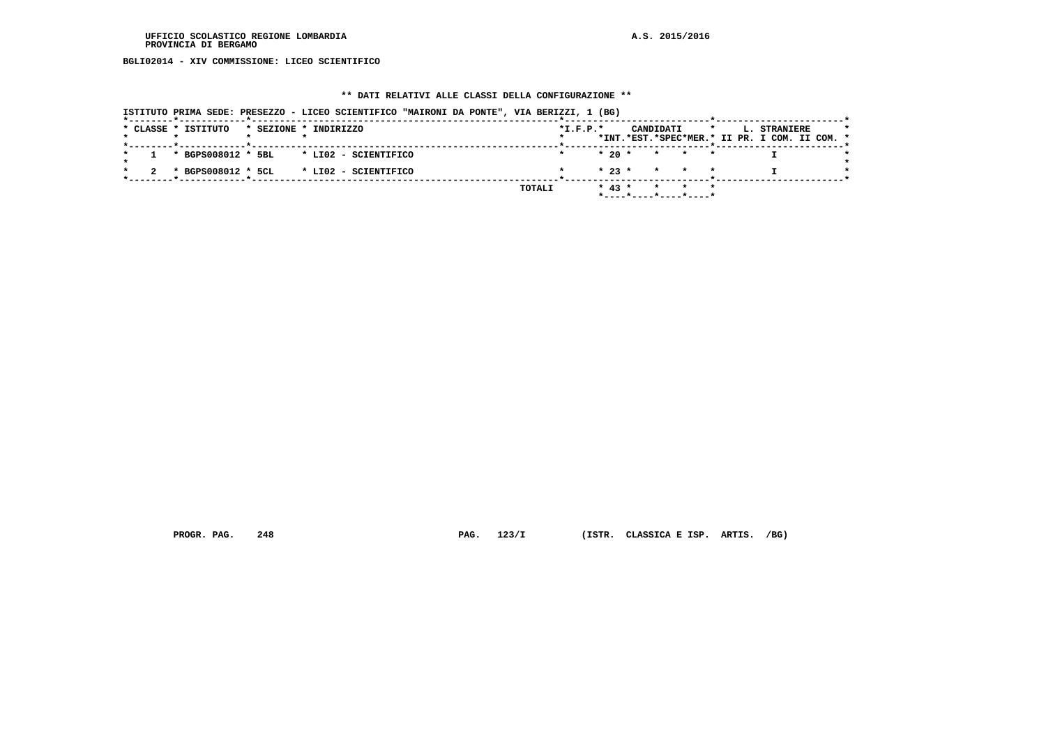**BGLI02014 - XIV COMMISSIONE: LICEO SCIENTIFICO**

## **\*\* DATI RELATIVI ALLE CLASSI DELLA CONFIGURAZIONE \*\***

| *--------*------------*---- | ISTITUTO PRIMA SEDE: PRESEZZO - LICEO SCIENTIFICO "MAIRONI DA PONTE", VIA BERIZZI, 1 (BG) |            |                                                    |                                               |
|-----------------------------|-------------------------------------------------------------------------------------------|------------|----------------------------------------------------|-----------------------------------------------|
| * CLASSE * ISTITUTO         | * SEZIONE * INDIRIZZO                                                                     | $*L.F.P.*$ | CANDIDATI                                          | $\star$ and $\star$<br>L. STRANIERE           |
| -------*------------*------ |                                                                                           |            |                                                    | *INT.*EST.*SPEC*MER.* II PR. I COM. II COM. * |
|                             | $1$ * BGPS008012 * 5BL * LI02 - SCIENTIFICO                                               |            | $* 20 * * * * * * *$                               |                                               |
|                             | * BGPS008012 * 5CL * LI02 - SCIENTIFICO                                                   |            | $* 23 * * * * * * *$                               |                                               |
|                             |                                                                                           | TOTALI     | $* 43 * * * * * * * *$<br>$*$ ----*----*----*----* |                                               |

 **PROGR. PAG. 248 PAG. 123/I (ISTR. CLASSICA E ISP. ARTIS. /BG)**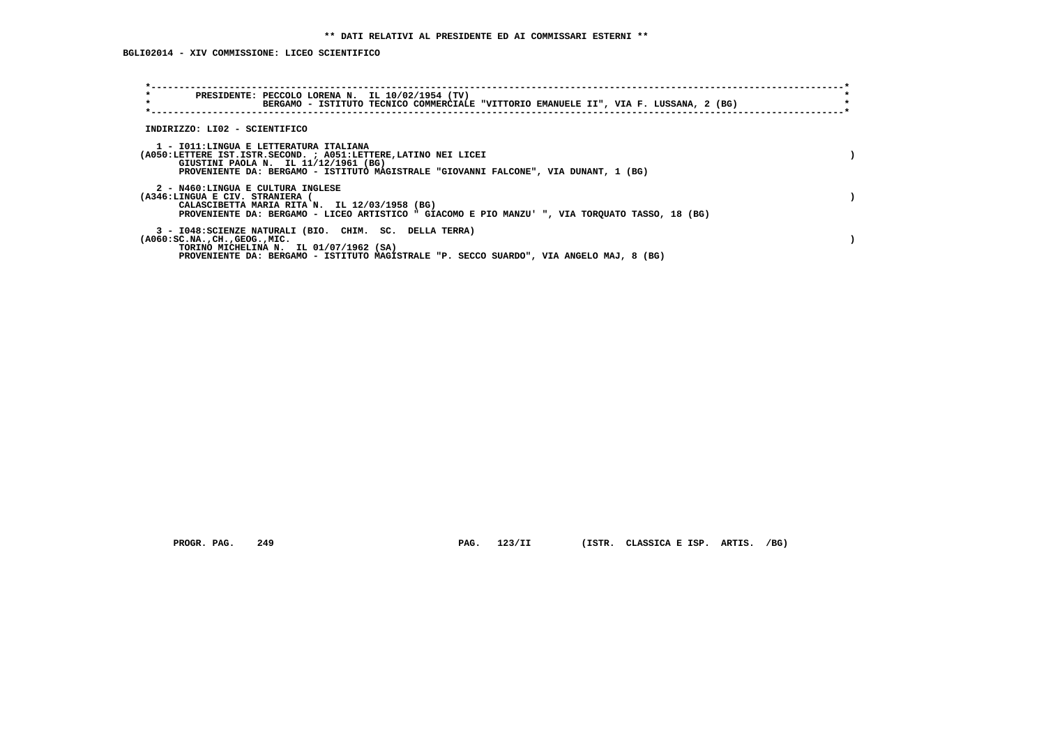| $\star$<br>$\star$                                                   | PRESIDENTE: PECCOLO LORENA N. IL 10/02/1954 (TV)<br>BERGAMO - ISTITUTO TECNICO COMMERCIALE "VITTORIO EMANUELE II", VIA F. LUSSANA, 2 (BG)                                                       |  |
|----------------------------------------------------------------------|-------------------------------------------------------------------------------------------------------------------------------------------------------------------------------------------------|--|
| INDIRIZZO: LI02 - SCIENTIFICO                                        |                                                                                                                                                                                                 |  |
| 1 - IO11:LINGUA E LETTERATURA ITALIANA                               | (A050:LETTERE IST.ISTR.SECOND. ; A051:LETTERE, LATINO NEI LICEI<br>GIUSTINI PAOLA N. IL 11/12/1961 (BG)<br>PROVENIENTE DA: BERGAMO - ISTITUTO MAGISTRALE "GIOVANNI FALCONE", VIA DUNANT, 1 (BG) |  |
| 2 - N460:LINGUA E CULTURA INGLESE<br>(A346:LINGUA E CIV. STRANIERA ( | CALASCIBETTA MARIA RITA N. IL 12/03/1958 (BG)<br>PROVENIENTE DA: BERGAMO - LICEO ARTISTICO " GIACOMO E PIO MANZU' ", VIA TORQUATO TASSO, 18 (BG)                                                |  |
| $(A060:SC.NA.$ , $CH.$ , $GEOG.$ , $MIC.$                            | 3 - I048: SCIENZE NATURALI (BIO. CHIM. SC. DELLA TERRA)<br>TORINO MICHELINA N. IL 01/07/1962 (SA)<br>PROVENIENTE DA: BERGAMO - ISTITUTO MAGISTRALE "P. SECCO SUARDO", VIA ANGELO MAJ, 8 (BG)    |  |

PROGR. PAG. 249 **PAG. 123/II** (ISTR. CLASSICA E ISP. ARTIS. /BG)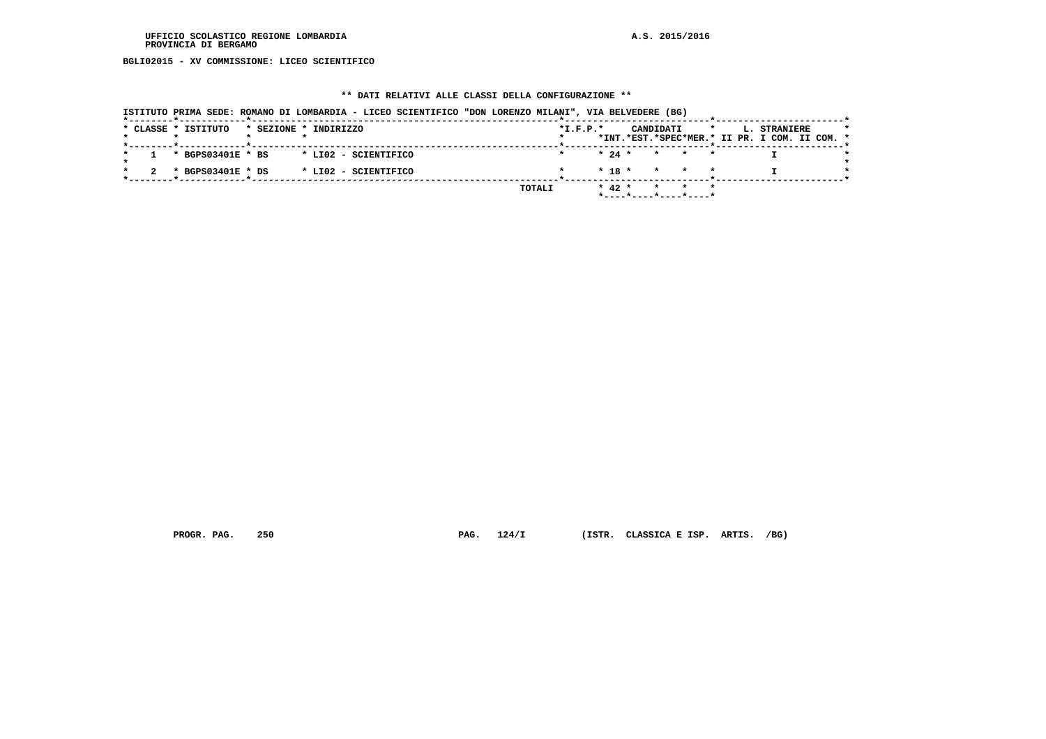**BGLI02015 - XV COMMISSIONE: LICEO SCIENTIFICO**

## **\*\* DATI RELATIVI ALLE CLASSI DELLA CONFIGURAZIONE \*\***

| ISTITUTO PRIMA SEDE: ROMANO DI LOMBARDIA - LICEO SCIENTIFICO "DON LORENZO MILANI", VIA BELVEDERE (BG) |                                                                                                     |
|-------------------------------------------------------------------------------------------------------|-----------------------------------------------------------------------------------------------------|
| * CLASSE * ISTITUTO<br>* SEZIONE * INDIRIZZO                                                          | $*I.F.P.*$<br>CANDIDATI<br>L. STRANIERE<br>$\star$<br>*INT.*EST.*SPEC*MER.* II PR. I COM. II COM. * |
| * BGPS03401E * BS<br>* LI02 - SCIENTIFICO                                                             | $\star$ 24 $\star$ $\star$ $\star$ $\star$                                                          |
| * BGPS03401E * DS<br>* LI02 - SCIENTIFICO                                                             | $* 18 * * * * * *$                                                                                  |
|                                                                                                       | * 42 * * * *<br>TOTALI<br>*----*----*----*----*                                                     |

 **PROGR. PAG. 250 PAG. 124/I (ISTR. CLASSICA E ISP. ARTIS. /BG)**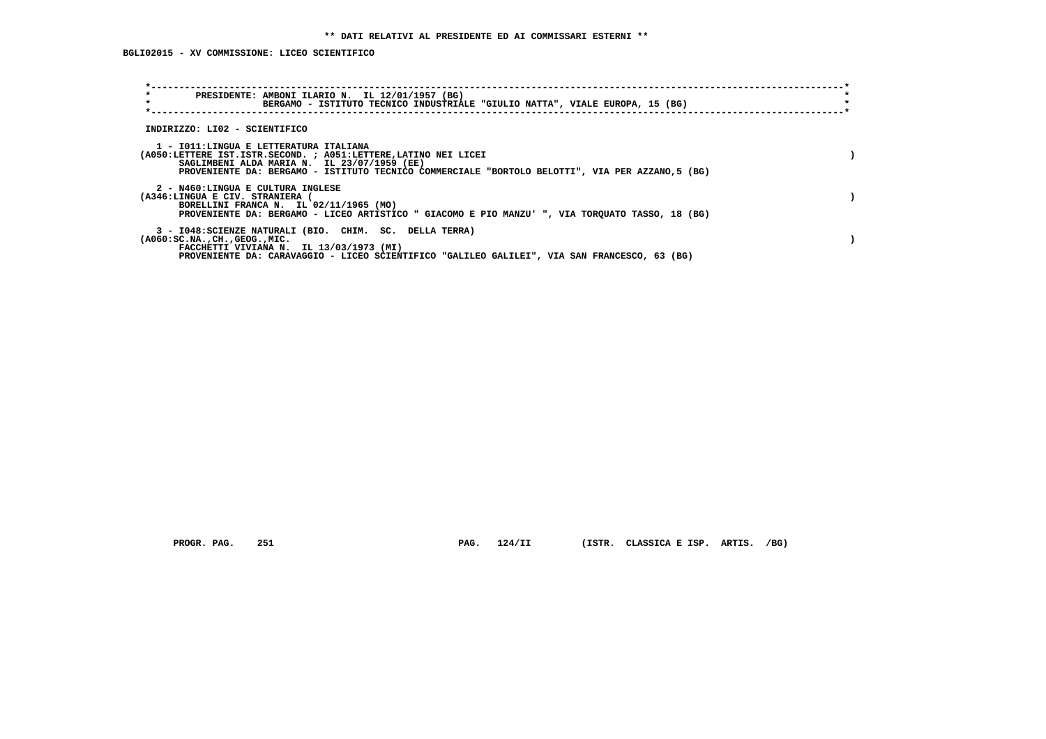| $\star$<br>PRESIDENTE: AMBONI ILARIO N. IL 12/01/1957 (BG)<br>$\star$<br>BERGAMO - ISTITUTO TECNICO INDUSTRIALE "GIULIO NATTA", VIALE EUROPA, 15 (BG)                                                                                                       |  |
|-------------------------------------------------------------------------------------------------------------------------------------------------------------------------------------------------------------------------------------------------------------|--|
| INDIRIZZO: LI02 - SCIENTIFICO                                                                                                                                                                                                                               |  |
| 1 - IO11:LINGUA E LETTERATURA ITALIANA<br>(A050:LETTERE IST.ISTR.SECOND. ; A051:LETTERE, LATINO NEI LICEI<br>SAGLIMBENI ALDA MARIA N. IL 23/07/1959 (EE)<br>PROVENIENTE DA: BERGAMO - ISTITUTO TECNICO COMMERCIALE "BORTOLO BELOTTI", VIA PER AZZANO,5 (BG) |  |
| 2 - N460:LINGUA E CULTURA INGLESE<br>(A346:LINGUA E CIV. STRANIERA (<br>BORELLINI FRANCA N. IL 02/11/1965 (MO)<br>PROVENIENTE DA: BERGAMO - LICEO ARTISTICO " GIACOMO E PIO MANZU' ", VIA TORQUATO TASSO, 18 (BG)                                           |  |
| 3 - I048: SCIENZE NATURALI (BIO. CHIM. SC. DELLA TERRA)<br>$(A060:SC.NA.$ , $CH.$ , $GEOG.$ , $MIC.$<br>FACCHETTI VIVIANA N. IL 13/03/1973 (MI)<br>PROVENIENTE DA: CARAVAGGIO - LICEO SCIENTIFICO "GALILEO GALILEI", VIA SAN FRANCESCO, 63 (BG)             |  |

 **PROGR. PAG. 251 PAG. 124/II (ISTR. CLASSICA E ISP. ARTIS. /BG)**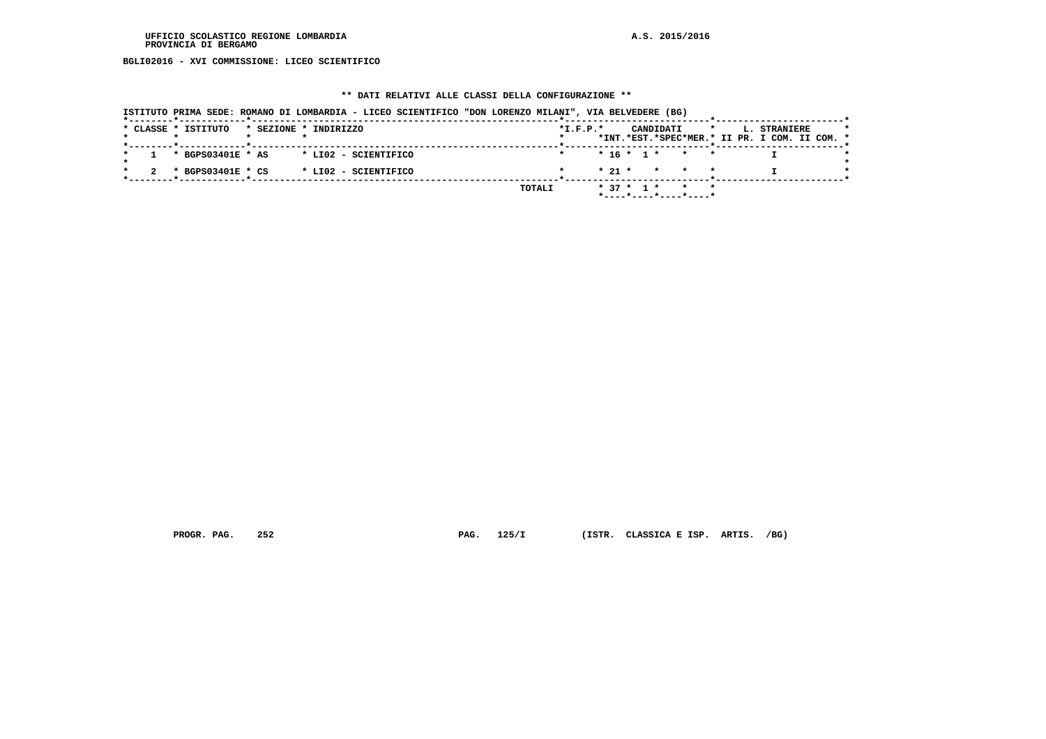**BGLI02016 - XVI COMMISSIONE: LICEO SCIENTIFICO**

#### **\*\* DATI RELATIVI ALLE CLASSI DELLA CONFIGURAZIONE \*\***

 **ISTITUTO PRIMA SEDE: ROMANO DI LOMBARDIA - LICEO SCIENTIFICO "DON LORENZO MILANI", VIA BELVEDERE (BG) \*--------\*------------\*-------------------------------------------------------\*--------------------------\*-----------------------\*** $\rightarrow$  **\* CLASSE \* ISTITUTO \* SEZIONE \* INDIRIZZO \*I.F.P.\* CANDIDATI \* L. STRANIERE \* \* \* \* \* \* \*INT.\*EST.\*SPEC\*MER.\* II PR. I COM. II COM. \* \*--------\*------------\*-------------------------------------------------------\*--------------------------\*-----------------------\*** $\rightarrow$  **\* 1 \* BGPS03401E \* AS \* LI02 - SCIENTIFICO \* \* 16 \* 1 \* \* \* I \*** $\star$  **\* \*** $\star$  **\* 2 \* BGPS03401E \* CS \* LI02 - SCIENTIFICO \* \* 21 \* \* \* \* I \* \*--------\*------------\*-------------------------------------------------------\*--------------------------\*-----------------------\* TOTALI \* 37 \* 1 \* \* \* \*----\*----\*----\*----\***

 **PROGR. PAG. 252 PAG. 125/I (ISTR. CLASSICA E ISP. ARTIS. /BG)**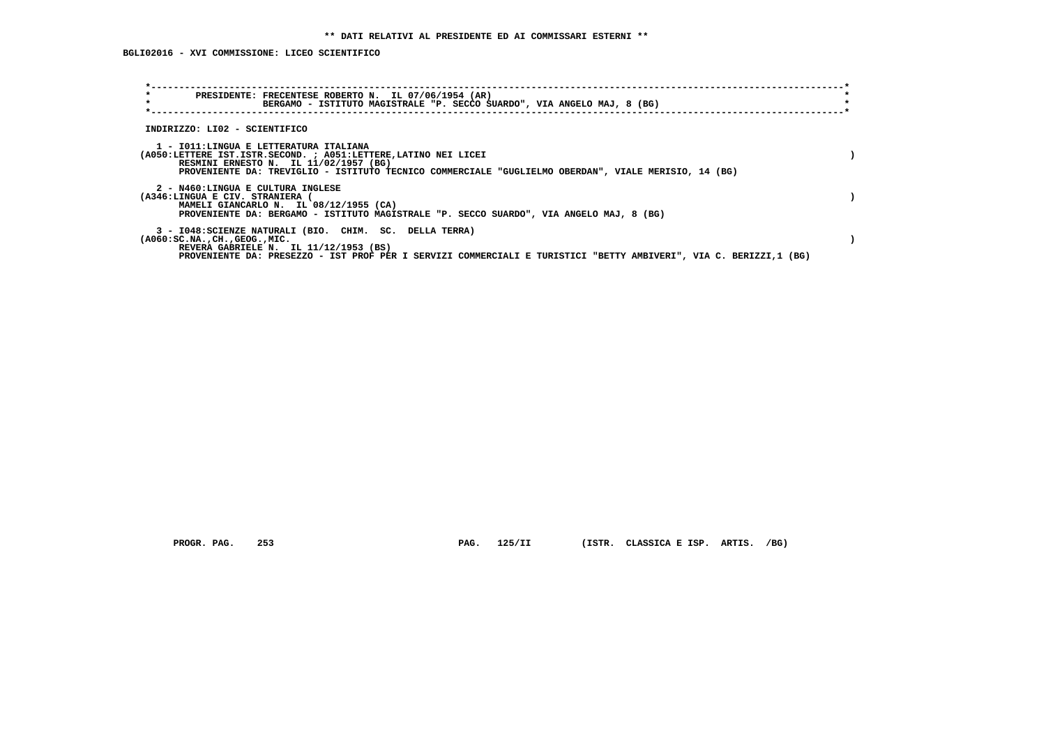**BGLI02016 - XVI COMMISSIONE: LICEO SCIENTIFICO**

| $\star$<br>PRESIDENTE: FRECENTESE ROBERTO N. IL 07/06/1954 (AR)<br>$\star$<br>BERGAMO - ISTITUTO MAGISTRALE "P. SECCO SUARDO", VIA ANGELO MAJ, 8 (BG)                                                                                                              |  |
|--------------------------------------------------------------------------------------------------------------------------------------------------------------------------------------------------------------------------------------------------------------------|--|
| INDIRIZZO: LI02 - SCIENTIFICO                                                                                                                                                                                                                                      |  |
| 1 - IO11:LINGUA E LETTERATURA ITALIANA<br>(A050:LETTERE IST.ISTR.SECOND. ; A051:LETTERE, LATINO NEI LICEI<br>RESMINI ERNESTO N. IL 11/02/1957 (BG)<br>PROVENIENTE DA: TREVIGLIO - ISTITUTO TECNICO COMMERCIALE "GUGLIELMO OBERDAN", VIALE MERISIO, 14 (BG)         |  |
| 2 - N460:LINGUA E CULTURA INGLESE<br>(A346:LINGUA E CIV. STRANIERA (<br>MAMELI GIANCARLO N. IL 08/12/1955 (CA)<br>PROVENIENTE DA: BERGAMO - ISTITUTO MAGISTRALE "P. SECCO SUARDO", VIA ANGELO MAJ, 8 (BG)                                                          |  |
| 3 - I048: SCIENZE NATURALI (BIO. CHIM. SC. DELLA TERRA)<br>$(A060:SC.NA.$ , $CH.$ , $GEOG.$ , $MIC.$<br>REVERA GABRIELE N. IL 11/12/1953 (BS)<br>PROVENIENTE DA: PRESEZZO - IST PROF PER I SERVIZI COMMERCIALI E TURISTICI "BETTY AMBIVERI", VIA C. BERIZZI,1 (BG) |  |

 **PROGR. PAG. 253 PAG. 125/II (ISTR. CLASSICA E ISP. ARTIS. /BG)**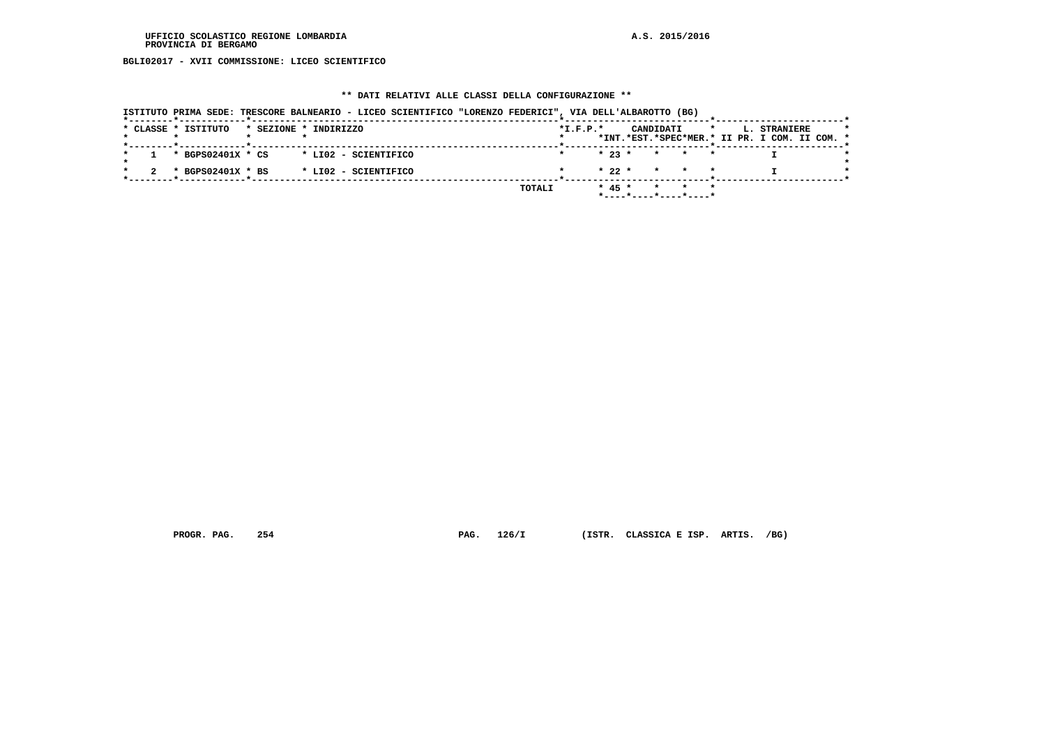**BGLI02017 - XVII COMMISSIONE: LICEO SCIENTIFICO**

# **\*\* DATI RELATIVI ALLE CLASSI DELLA CONFIGURAZIONE \*\***

|                     |                       | ISTITUTO PRIMA SEDE: TRESCORE BALNEARIO - LICEO SCIENTIFICO "LORENZO FEDERICI", VIA DELL'ALBAROTTO (BG) |        |                |                                            |         |                                                               |  |
|---------------------|-----------------------|---------------------------------------------------------------------------------------------------------|--------|----------------|--------------------------------------------|---------|---------------------------------------------------------------|--|
| * CLASSE * ISTITUTO | * SEZIONE * INDIRIZZO |                                                                                                         |        | $*$ I.F.P. $*$ | CANDIDATI                                  | $\star$ | L. STRANIERE<br>*INT.*EST.*SPEC*MER.* II PR. I COM. II COM. * |  |
|                     |                       |                                                                                                         |        |                |                                            |         |                                                               |  |
|                     | * BGPS02401X * CS     | * LI02 - SCIENTIFICO                                                                                    |        |                | $\star$ 23 $\star$ $\star$ $\star$ $\star$ |         |                                                               |  |
|                     | * BGPS02401X * BS     | * LI02 - SCIENTIFICO                                                                                    |        |                | $* 22 * * * * * * *$                       |         |                                                               |  |
|                     |                       |                                                                                                         | TOTALI |                | $* 45 * * * * * * *$                       |         |                                                               |  |
|                     |                       |                                                                                                         |        |                | *----*----*----*----*                      |         |                                                               |  |

 **PROGR. PAG. 254 PAG. 126/I (ISTR. CLASSICA E ISP. ARTIS. /BG)**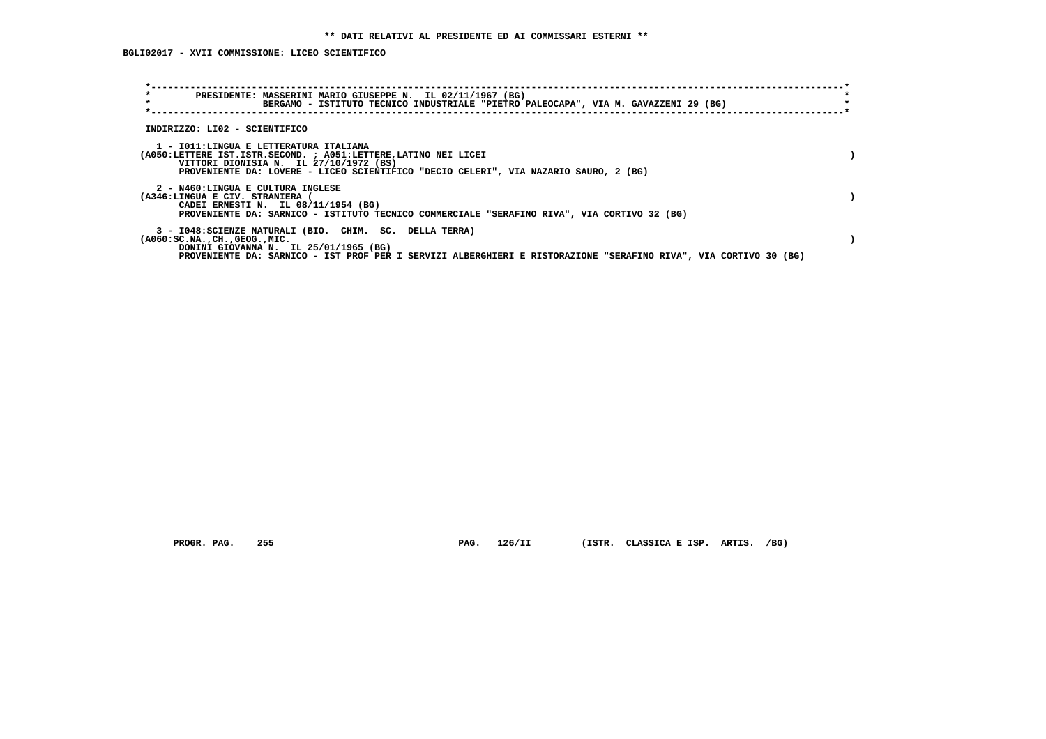| $\star$<br>$\star$                                                                                                                                  | PRESIDENTE: MASSERINI MARIO GIUSEPPE N. IL 02/11/1967 (BG)<br>BERGAMO - ISTITUTO TECNICO INDUSTRIALE "PIETRO PALEOCAPA", VIA M. GAVAZZENI 29 (BG) |
|-----------------------------------------------------------------------------------------------------------------------------------------------------|---------------------------------------------------------------------------------------------------------------------------------------------------|
| INDIRIZZO: LI02 - SCIENTIFICO                                                                                                                       |                                                                                                                                                   |
| 1 - IO11:LINGUA E LETTERATURA ITALIANA<br>(A050:LETTERE IST.ISTR.SECOND. ; A051:LETTERE, LATINO NEI LICEI<br>VITTORI DIONISIA N. IL 27/10/1972 (BS) | PROVENIENTE DA: LOVERE - LICEO SCIENTIFICO "DECIO CELERI", VIA NAZARIO SAURO, 2 (BG)                                                              |
| 2 - N460:LINGUA E CULTURA INGLESE<br>(A346:LINGUA E CIV. STRANIERA (<br>CADEI ERNESTI N. IL 08/11/1954 (BG)                                         | PROVENIENTE DA: SARNICO - ISTITUTO TECNICO COMMERCIALE "SERAFINO RIVA", VIA CORTIVO 32 (BG)                                                       |
| 3 - I048:SCIENZE NATURALI (BIO. CHIM. SC. DELLA TERRA)<br>$(A060:SC.NA.$ , $CH.$ , $GEOG.$ , $MIC.$<br>DONINI GIOVANNA N. IL 25/01/1965 (BG)        | PROVENIENTE DA: SARNICO - IST PROF PER I SERVIZI ALBERGHIERI E RISTORAZIONE "SERAFINO RIVA", VIA CORTIVO 30 (BG)                                  |

 **PROGR. PAG. 255 PAG. 126/II (ISTR. CLASSICA E ISP. ARTIS. /BG)**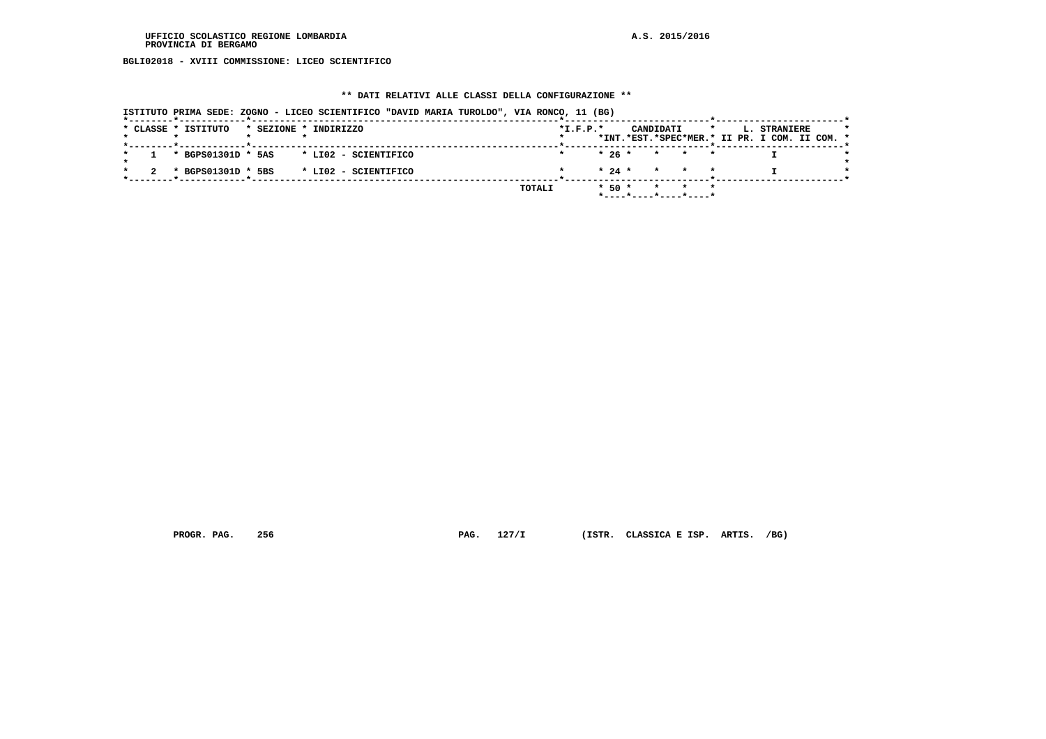**BGLI02018 - XVIII COMMISSIONE: LICEO SCIENTIFICO**

# **\*\* DATI RELATIVI ALLE CLASSI DELLA CONFIGURAZIONE \*\***

|  | * CLASSE * ISTITUTO |  | * SEZIONE * INDIRIZZO |        | $*I.F.P.*$ |            | CANDIDATI |                                            | $\star$ | L. STRANIERE                                  |  |
|--|---------------------|--|-----------------------|--------|------------|------------|-----------|--------------------------------------------|---------|-----------------------------------------------|--|
|  |                     |  |                       |        |            |            |           |                                            |         | *INT.*EST.*SPEC*MER.* II PR. I COM. II COM. * |  |
|  | * BGPS01301D * 5AS  |  | * LI02 - SCIENTIFICO  |        |            |            |           | $* 26 * * * * * *$                         |         |                                               |  |
|  | * BGPS01301D * 5BS  |  | * LI02 - SCIENTIFICO  |        |            |            |           | $\star$ 24 $\star$ $\star$ $\star$ $\star$ |         |                                               |  |
|  |                     |  |                       | TOTALI |            | $*$ 50 $*$ |           | * * *<br>*----*----*----*----*             |         |                                               |  |

 **PROGR. PAG. 256 PAG. 127/I (ISTR. CLASSICA E ISP. ARTIS. /BG)**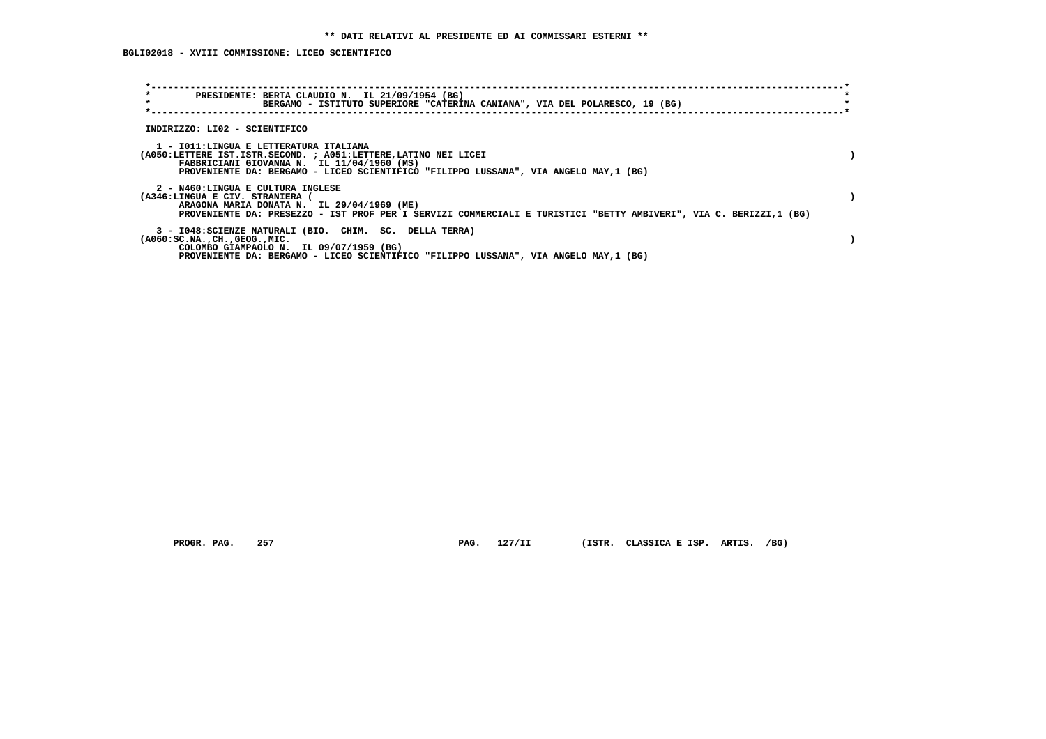| $\star$<br>PRESIDENTE: BERTA CLAUDIO N. IL 21/09/1954 (BG)<br>$\star$<br>BERGAMO - ISTITUTO SUPERIORE "CATERINA CANIANA", VIA DEL POLARESCO, 19 (BG)                                                                                             |  |
|--------------------------------------------------------------------------------------------------------------------------------------------------------------------------------------------------------------------------------------------------|--|
| INDIRIZZO: LI02 - SCIENTIFICO                                                                                                                                                                                                                    |  |
| 1 - IO11:LINGUA E LETTERATURA ITALIANA<br>(A050:LETTERE IST.ISTR.SECOND. ; A051:LETTERE, LATINO NEI LICEI<br>FABBRICIANI GIOVANNA N. IL 11/04/1960 (MS)<br>PROVENIENTE DA: BERGAMO - LICEO SCIENTIFICO "FILIPPO LUSSANA", VIA ANGELO MAY, 1 (BG) |  |
| 2 - N460:LINGUA E CULTURA INGLESE<br>(A346:LINGUA E CIV. STRANIERA (<br>ARAGONA MARIA DONATA N. IL 29/04/1969 (ME)<br>PROVENIENTE DA: PRESEZZO - IST PROF PER I SERVIZI COMMERCIALI E TURISTICI "BETTY AMBIVERI", VIA C. BERIZZI,1 (BG)          |  |
| 3 - I048: SCIENZE NATURALI (BIO. CHIM. SC. DELLA TERRA)<br>$(A060:SC.NA.$ , $CH.$ , $GEOG.$ , $MIC.$<br>COLOMBO GIAMPAOLO N. IL 09/07/1959 (BG)<br>PROVENIENTE DA: BERGAMO - LICEO SCIENTIFICO "FILIPPO LUSSANA", VIA ANGELO MAY, 1 (BG)         |  |

 **PROGR. PAG. 257 PAG. 127/II (ISTR. CLASSICA E ISP. ARTIS. /BG)**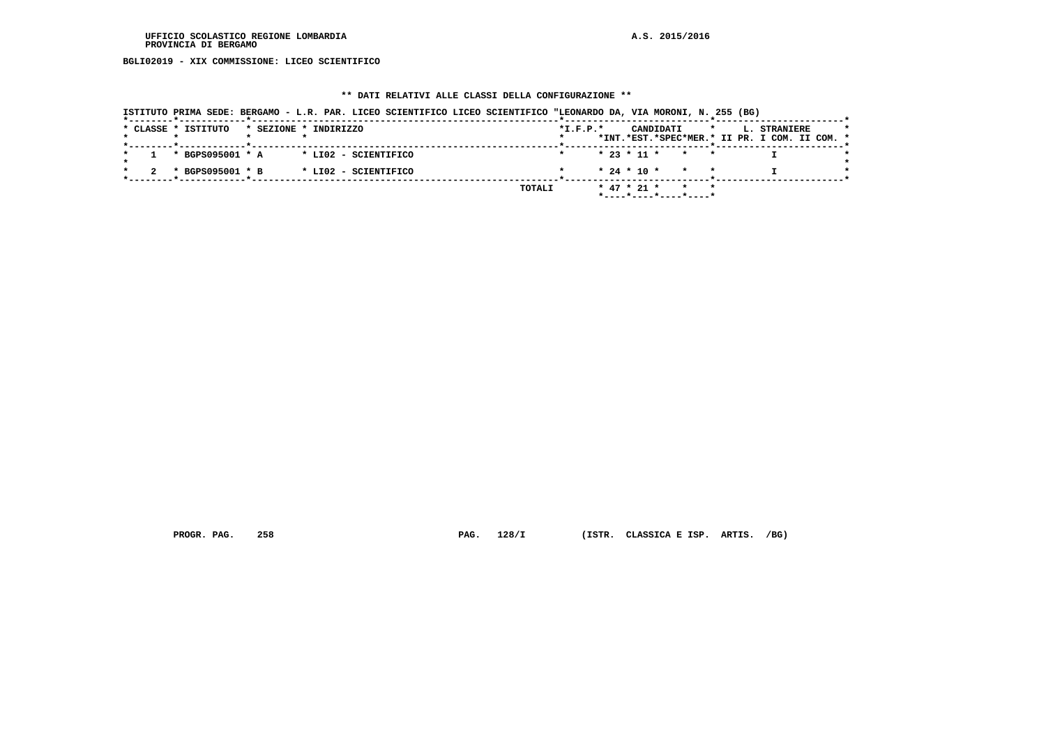**BGLI02019 - XIX COMMISSIONE: LICEO SCIENTIFICO**

# **\*\* DATI RELATIVI ALLE CLASSI DELLA CONFIGURAZIONE \*\***

|                     | ISTITUTO PRIMA SEDE: BERGAMO - L.R. PAR. LICEO SCIENTIFICO LICEO SCIENTIFICO "LEONARDO DA, VIA MORONI, N. 255 (BG) |            |                                                    |                                                                                 |
|---------------------|--------------------------------------------------------------------------------------------------------------------|------------|----------------------------------------------------|---------------------------------------------------------------------------------|
| * CLASSE * ISTITUTO | * SEZIONE * INDIRIZZO                                                                                              | $*I.F.P.*$ | CANDIDATI                                          | $\star$<br><b>L. STRANIERE</b><br>*INT.*EST.*SPEC*MER.* II PR. I COM. II COM. * |
| * BGPS095001 * A    | * LIO2 - SCIENTIFICO                                                                                               |            | $* 23 * 11 * * * * *$                              |                                                                                 |
| * BGPS095001 * B    | * LI02 - SCIENTIFICO                                                                                               |            | $* 24 * 10 * * * * *$                              |                                                                                 |
|                     |                                                                                                                    | TOTALI     | $*$ 47 $*$ 21 $*$ $*$ $*$<br>*----*----*----*----* |                                                                                 |

 **PROGR. PAG. 258 PAG. 128/I (ISTR. CLASSICA E ISP. ARTIS. /BG)**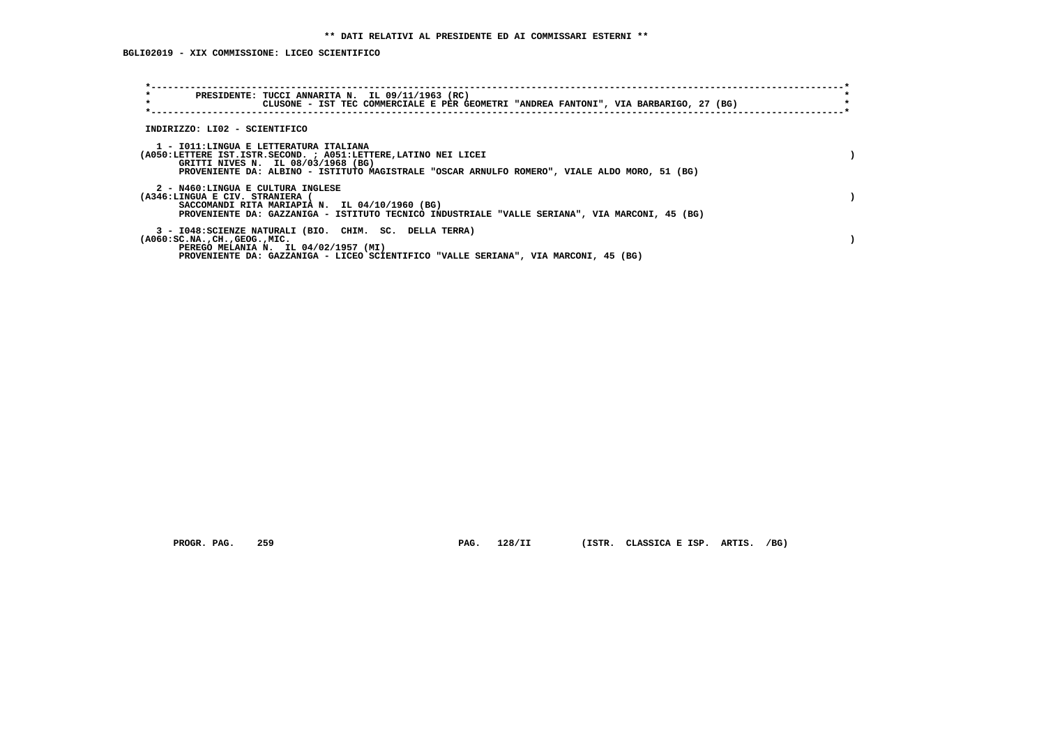**BGLI02019 - XIX COMMISSIONE: LICEO SCIENTIFICO**

| $\star$<br>PRESIDENTE: TUCCI ANNARITA N. IL 09/11/1963 (RC)<br>$\star$<br>CLUSONE - IST TEC COMMERCIALE E PER GEOMETRI "ANDREA FANTONI", VIA BARBARIGO, 27 (BG)                                                                                  |  |
|--------------------------------------------------------------------------------------------------------------------------------------------------------------------------------------------------------------------------------------------------|--|
| INDIRIZZO: LI02 - SCIENTIFICO                                                                                                                                                                                                                    |  |
| 1 - IO11:LINGUA E LETTERATURA ITALIANA<br>(A050:LETTERE IST.ISTR.SECOND. ; A051:LETTERE, LATINO NEI LICEI<br>GRITTI NIVES N. IL 08/03/1968 (BG)<br>PROVENIENTE DA: ALBINO - ISTITUTO MAGISTRALE "OSCAR ARNULFO ROMERO", VIALE ALDO MORO, 51 (BG) |  |
| 2 - N460:LINGUA E CULTURA INGLESE<br>(A346:LINGUA E CIV. STRANIERA (<br>SACCOMANDI RITA MARIAPIA N. IL 04/10/1960 (BG)<br>PROVENIENTE DA: GAZZANIGA - ISTITUTO TECNICO INDUSTRIALE "VALLE SERIANA", VIA MARCONI, 45 (BG)                         |  |
| 3 - I048: SCIENZE NATURALI (BIO. CHIM. SC. DELLA TERRA)<br>$(A060:SC.NA.$ , $CH.$ , $GEOG.$ , $MIC.$<br>PEREGO MELANIA N. IL 04/02/1957 (MI)<br>PROVENIENTE DA: GAZZANIGA - LICEO SCIENTIFICO "VALLE SERIANA", VIA MARCONI, 45 (BG)              |  |

PROGR. PAG. 259 **PAG. 128/II** (ISTR. CLASSICA E ISP. ARTIS. /BG)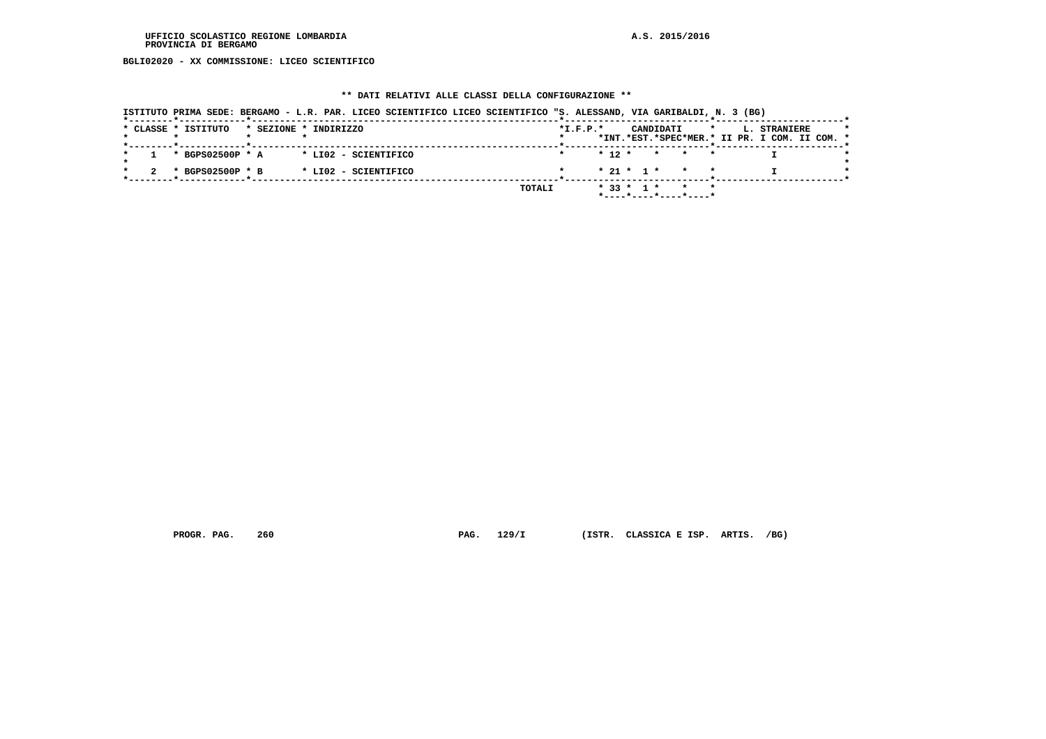**BGLI02020 - XX COMMISSIONE: LICEO SCIENTIFICO**

# **\*\* DATI RELATIVI ALLE CLASSI DELLA CONFIGURAZIONE \*\***

| ISTITUTO PRIMA SEDE: BERGAMO - L.R. PAR. LICEO SCIENTIFICO LICEO SCIENTIFICO "S. ALESSAND, VIA GARIBALDI, N. 3 (BG) |                                                                                                     |
|---------------------------------------------------------------------------------------------------------------------|-----------------------------------------------------------------------------------------------------|
| * CLASSE * ISTITUTO<br>* SEZIONE * INDIRIZZO                                                                        | $*I.F.P.*$<br>CANDIDATI<br>L. STRANIERE<br>$\star$<br>*INT.*EST.*SPEC*MER.* II PR. I COM. II COM. * |
| * BGPS02500P * A<br>* LI02 - SCIENTIFICO                                                                            | $* 12 *$<br>* * *                                                                                   |
| * BGPS02500P * B<br>* LI02 - SCIENTIFICO                                                                            | $* 21 * 1 * * * * *$                                                                                |
|                                                                                                                     | $*$ 33 $*$ 1 $*$<br>TOTALI<br>$\star$ $\star$<br>*----*----*----*----*                              |

 **PROGR. PAG. 260 PAG. 129/I (ISTR. CLASSICA E ISP. ARTIS. /BG)**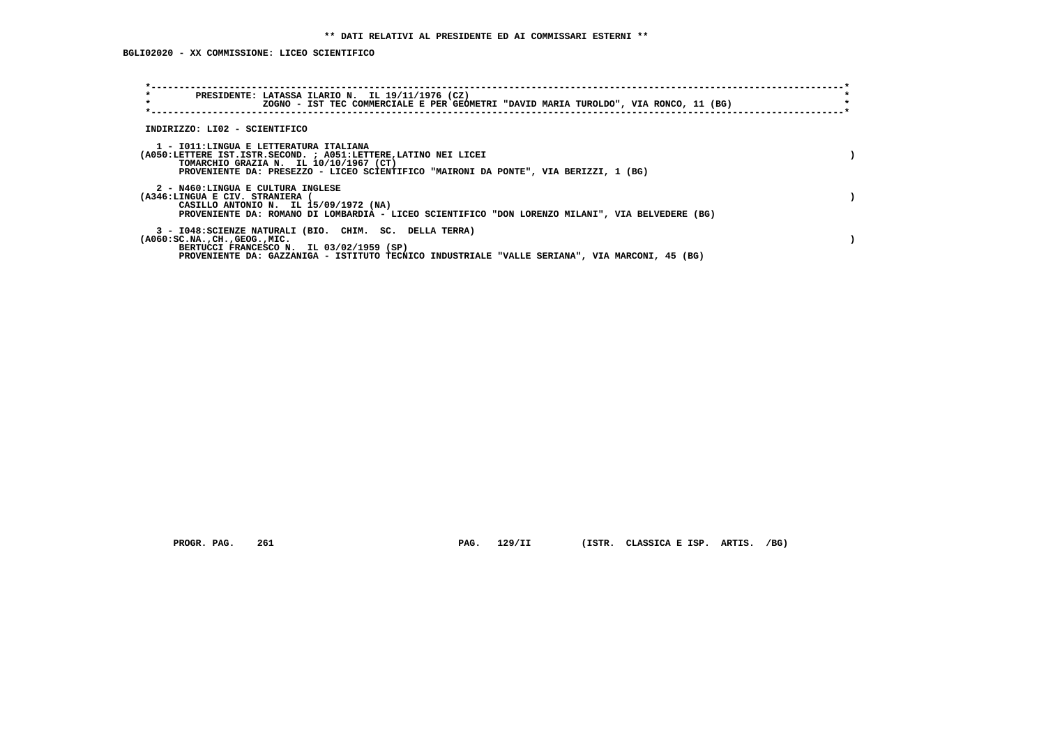| $\star$<br>PRESIDENTE: LATASSA ILARIO N. IL 19/11/1976 (CZ)<br>$\star$<br>ZOGNO - IST TEC COMMERCIALE E PER GEOMETRI "DAVID MARIA TUROLDO", VIA RONCO, 11 (BG)                                                                                     |  |
|----------------------------------------------------------------------------------------------------------------------------------------------------------------------------------------------------------------------------------------------------|--|
| INDIRIZZO: LI02 - SCIENTIFICO                                                                                                                                                                                                                      |  |
| 1 - IO11:LINGUA E LETTERATURA ITALIANA<br>(A050:LETTERE IST.ISTR.SECOND. ; A051:LETTERE, LATINO NEI LICEI<br>TOMARCHIO GRAZIA N. IL 10/10/1967 (CT)<br>PROVENIENTE DA: PRESEZZO - LICEO SCIENTIFICO "MAIRONI DA PONTE", VIA BERIZZI, 1 (BG)        |  |
| 2 - N460:LINGUA E CULTURA INGLESE<br>(A346:LINGUA E CIV. STRANIERA<br>CASILLO ANTONIO N. IL 15/09/1972 (NA)<br>PROVENIENTE DA: ROMANO DI LOMBARDIA - LICEO SCIENTIFICO "DON LORENZO MILANI", VIA BELVEDERE (BG)                                    |  |
| 3 - I048: SCIENZE NATURALI (BIO. CHIM. SC. DELLA TERRA)<br>$(A060:SC.NA.$ , $CH.$ , $GEOG.$ , $MIC.$<br>BERTUCCI FRANCESCO N. IL 03/02/1959 (SP)<br>PROVENIENTE DA: GAZZANIGA - ISTITUTO TECNICO INDUSTRIALE "VALLE SERIANA", VIA MARCONI, 45 (BG) |  |

 **PROGR. PAG. 261 PAG. 129/II (ISTR. CLASSICA E ISP. ARTIS. /BG)**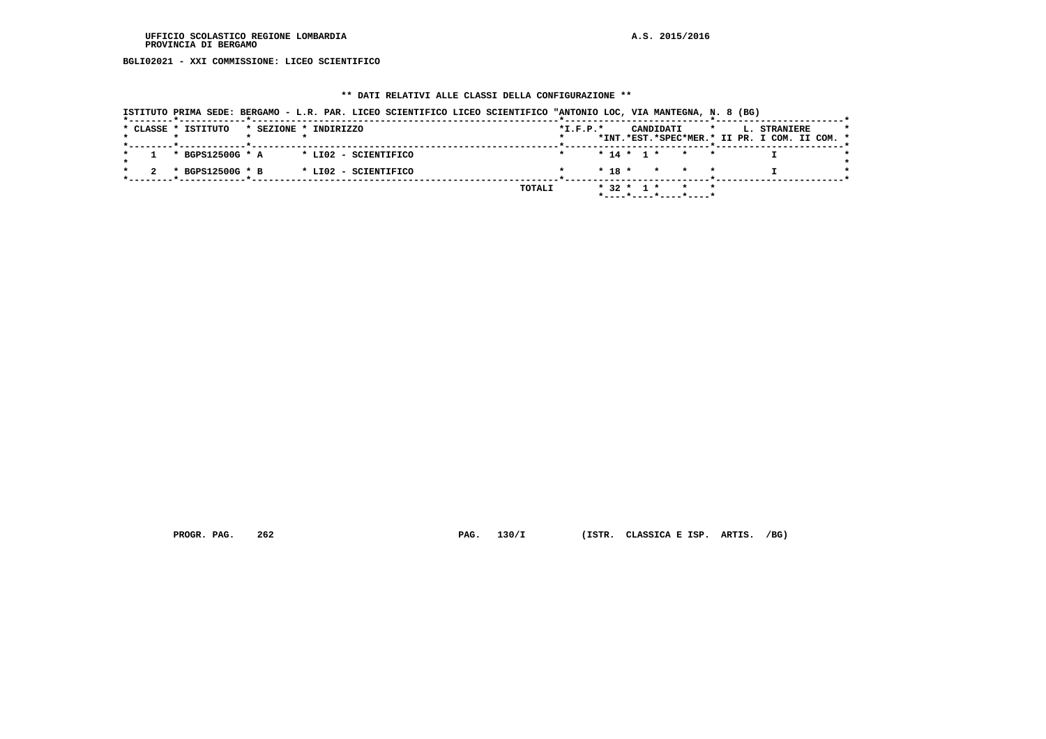**BGLI02021 - XXI COMMISSIONE: LICEO SCIENTIFICO**

# **\*\* DATI RELATIVI ALLE CLASSI DELLA CONFIGURAZIONE \*\***

| ISTITUTO PRIMA SEDE: BERGAMO - L.R. PAR. LICEO SCIENTIFICO LICEO SCIENTIFICO "ANTONIO LOC, VIA MANTEGNA, N. 8 (BG) |                                                                                                     |
|--------------------------------------------------------------------------------------------------------------------|-----------------------------------------------------------------------------------------------------|
| * CLASSE * ISTITUTO<br>* SEZIONE * INDIRIZZO                                                                       | CANDIDATI<br>$*I.F.P.*$<br>$\star$<br>L. STRANIERE<br>*INT.*EST.*SPEC*MER.* II PR. I COM. II COM. * |
| * BGPS12500G * A<br>* LI02 - SCIENTIFICO                                                                           | $* 14 * 1 * * * * *$                                                                                |
| * BGPS12500G * B<br>* LI02 - SCIENTIFICO                                                                           | $* 18 * * * * * *$                                                                                  |
|                                                                                                                    | * 32 * 1 * * *<br>TOTALI<br>*----*----*----*----*                                                   |

 **PROGR. PAG. 262 PAG. 130/I (ISTR. CLASSICA E ISP. ARTIS. /BG)**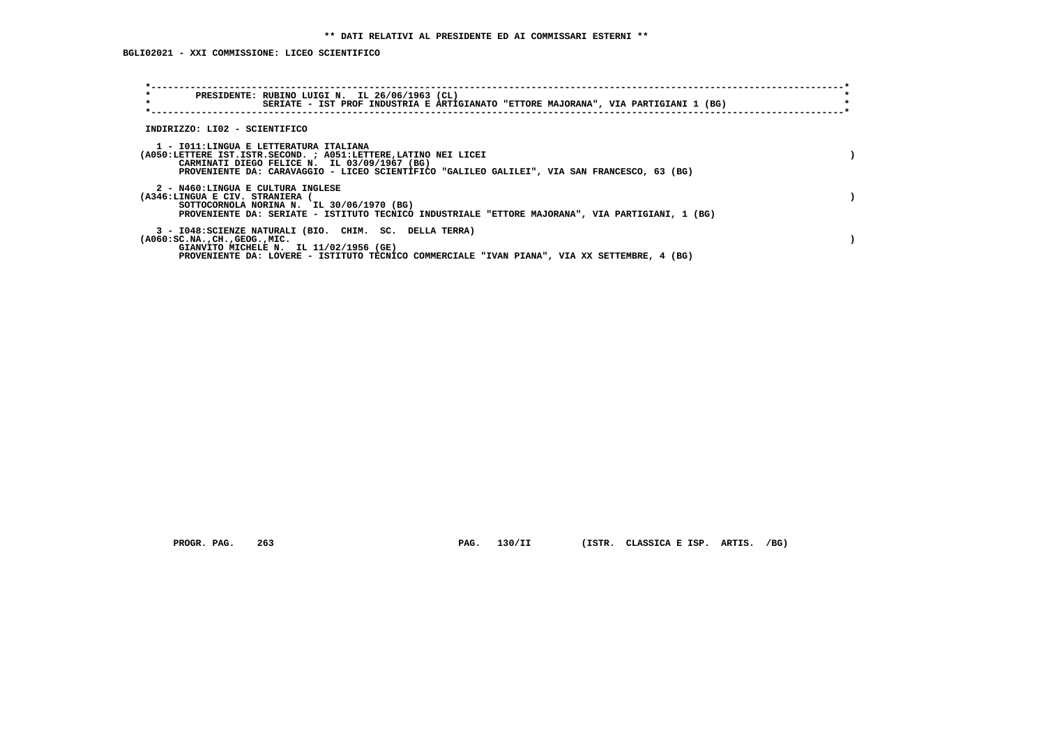**BGLI02021 - XXI COMMISSIONE: LICEO SCIENTIFICO**

| $\star$<br>PRESIDENTE: RUBINO LUIGI N. IL 26/06/1963 (CL)<br>$\star$<br>SERIATE - IST PROF INDUSTRIA E ARTIGIANATO "ETTORE MAJORANA", VIA PARTIGIANI 1 (BG)                                                                                               |  |
|-----------------------------------------------------------------------------------------------------------------------------------------------------------------------------------------------------------------------------------------------------------|--|
| INDIRIZZO: LI02 - SCIENTIFICO                                                                                                                                                                                                                             |  |
| 1 - IO11:LINGUA E LETTERATURA ITALIANA<br>(A050:LETTERE IST.ISTR.SECOND. ; A051:LETTERE, LATINO NEI LICEI<br>CARMINATI DIEGO FELICE N. IL 03/09/1967 (BG)<br>PROVENIENTE DA: CARAVAGGIO - LICEO SCIENTIFICO "GALILEO GALILEI", VIA SAN FRANCESCO, 63 (BG) |  |
| 2 - N460:LINGUA E CULTURA INGLESE<br>(A346:LINGUA E CIV. STRANIERA (<br>SOTTOCORNOLA NORINA N. IL 30/06/1970 (BG)<br>PROVENIENTE DA: SERIATE - ISTITUTO TECNICO INDUSTRIALE "ETTORE MAJORANA", VIA PARTIGIANI, 1 (BG)                                     |  |
| 3 - I048: SCIENZE NATURALI (BIO. CHIM. SC. DELLA TERRA)<br>$( A060 : SC.NA.$ , $CH.$ , $GEOG.$ , $MIC.$<br>GIANVITO MICHELE N. IL 11/02/1956 (GE)<br>PROVENIENTE DA: LOVERE - ISTITUTO TECNICO COMMERCIALE "IVAN PIANA", VIA XX SETTEMBRE, 4 (BG)         |  |

 **PROGR. PAG. 263 PAG. 130/II (ISTR. CLASSICA E ISP. ARTIS. /BG)**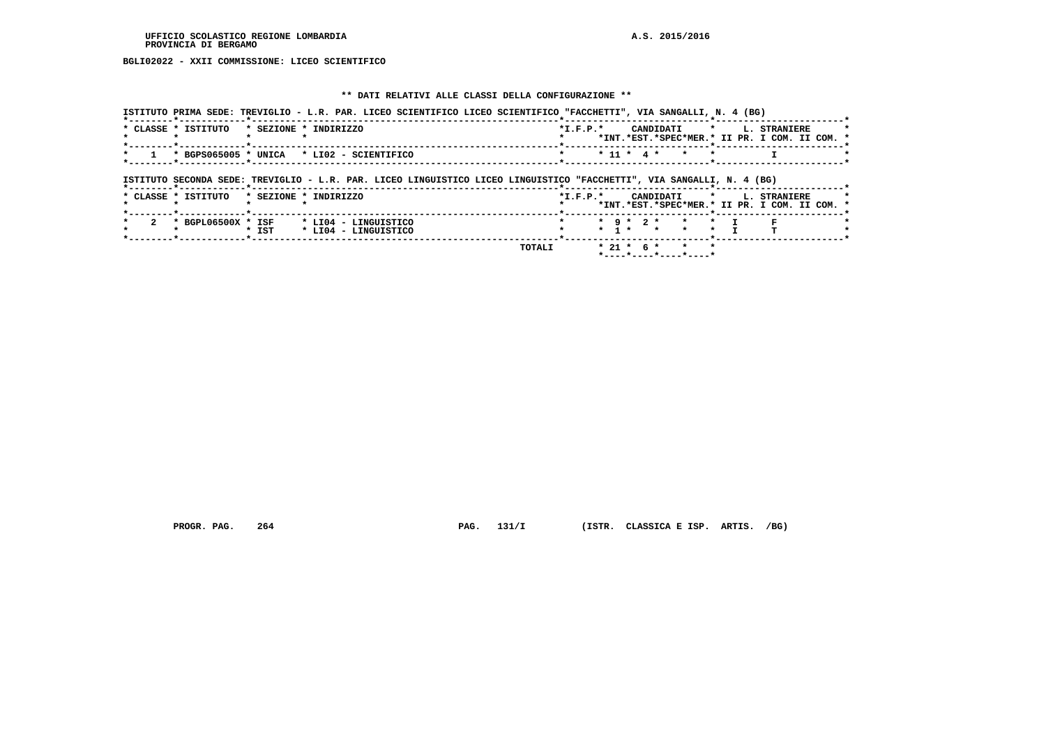**BGLI02022 - XXII COMMISSIONE: LICEO SCIENTIFICO**

# **\*\* DATI RELATIVI ALLE CLASSI DELLA CONFIGURAZIONE \*\***

|                                           |         | ISTITUTO PRIMA SEDE: TREVIGLIO - L.R. PAR. LICEO SCIENTIFICO LICEO SCIENTIFICO "FACCHETTI", VIA SANGALLI, N. 4 (BG)   |         |                 |                                   |                |                                                                                    |  |
|-------------------------------------------|---------|-----------------------------------------------------------------------------------------------------------------------|---------|-----------------|-----------------------------------|----------------|------------------------------------------------------------------------------------|--|
| * CLASSE * ISTITUTO                       |         | * SEZIONE * INDIRIZZO                                                                                                 |         |                 |                                   |                | *I.F.P.* CANDIDATI * L. STRANIERE<br>*INT.*EST.*SPEC*MER.* II PR. I COM. II COM. * |  |
|                                           |         | $1$ * BGPS065005 * UNICA * LI02 - SCIENTIFICO                                                                         | $\star$ |                 | * 11 * 4 * *                      |                |                                                                                    |  |
|                                           |         | ISTITUTO SECONDA SEDE: TREVIGLIO - L.R. PAR. LICEO LINGUISTICO LICEO LINGUISTICO "FACCHETTI", VIA SANGALLI, N. 4 (BG) |         |                 |                                   |                |                                                                                    |  |
|                                           |         |                                                                                                                       |         |                 |                                   |                |                                                                                    |  |
| * CLASSE * ISTITUTO * SEZIONE * INDIRIZZO |         |                                                                                                                       |         |                 |                                   |                | *I.F.P.* CANDIDATI * L. STRANIERE<br>*INT.*EST.*SPEC*MER.* II PR. I COM. II COM. * |  |
| * BGPL06500X * ISF                        | $*$ IST | * LI04 - LINGUISTICO<br>* LI04 - LINGUISTICO                                                                          |         | $*$ 9 $*$ 2 $*$ | $\star$ 1 $\star$ $\star$ $\star$ | $\star$ $\tau$ |                                                                                    |  |

 **PROGR. PAG. 264 PAG. 131/I (ISTR. CLASSICA E ISP. ARTIS. /BG)**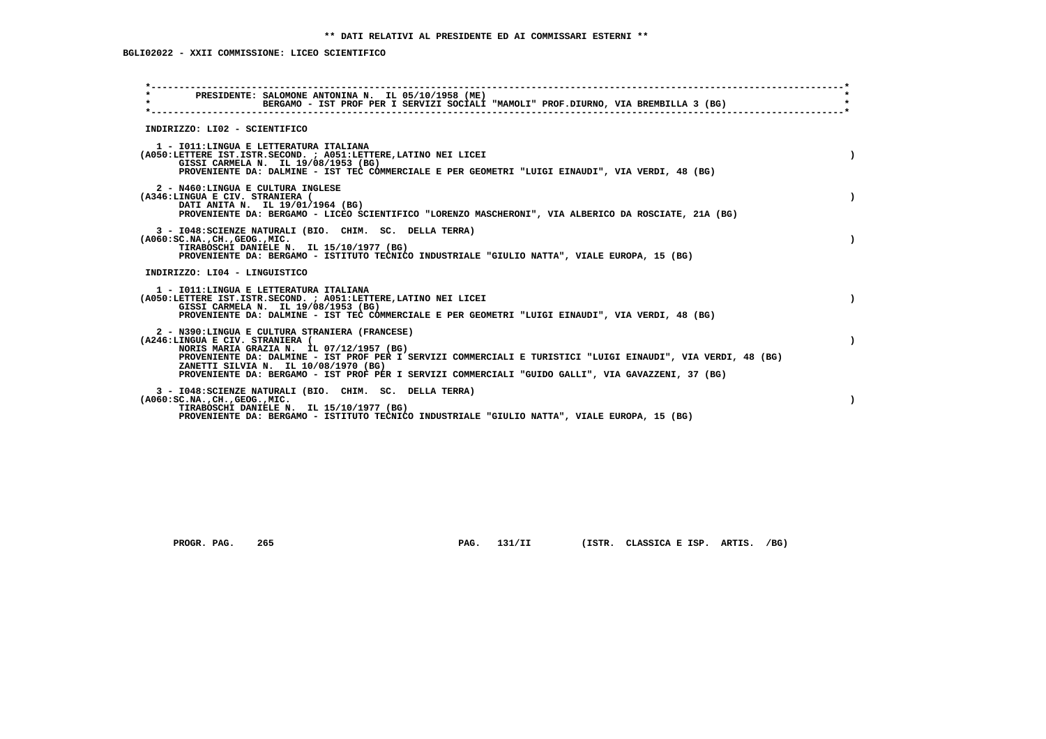# **BGLI02022 - XXII COMMISSIONE: LICEO SCIENTIFICO**

| $\star$<br>PRESIDENTE: SALOMONE ANTONINA N. IL 05/10/1958 (ME)<br>$\star$                                                                                             | BERGAMO - IST PROF PER I SERVIZI SOCIALI "MAMOLI" PROF.DIURNO, VIA BREMBILLA 3 (BG)                                                                                                                                |
|-----------------------------------------------------------------------------------------------------------------------------------------------------------------------|--------------------------------------------------------------------------------------------------------------------------------------------------------------------------------------------------------------------|
| INDIRIZZO: LI02 - SCIENTIFICO                                                                                                                                         |                                                                                                                                                                                                                    |
| 1 - IO11: LINGUA E LETTERATURA ITALIANA<br>(A050:LETTERE IST.ISTR.SECOND. ; A051:LETTERE, LATINO NEI LICEI<br>GISSI CARMELA N. IL 19/08/1953 (BG)                     | $\lambda$<br>PROVENIENTE DA: DALMINE - IST TEC COMMERCIALE E PER GEOMETRI "LUIGI EINAUDI", VIA VERDI, 48 (BG)                                                                                                      |
| 2 - N460:LINGUA E CULTURA INGLESE<br>(A346:LINGUA E CIV. STRANIERA (<br>DATI ANITA N. IL 19/01/1964 (BG)                                                              | $\lambda$<br>PROVENIENTE DA: BERGAMO - LICEO SCIENTIFICO "LORENZO MASCHERONI", VIA ALBERICO DA ROSCIATE, 21A (BG)                                                                                                  |
| 3 - I048: SCIENZE NATURALI (BIO. CHIM. SC. DELLA TERRA)<br>( A060 : SC.NA. , CH. , GEOG. , MIC.<br>TIRABOSCHI DANIELE N. IL 15/10/1977 (BG)                           | PROVENIENTE DA: BERGAMO - ISTITUTO TECNICO INDUSTRIALE "GIULIO NATTA", VIALE EUROPA, 15 (BG)                                                                                                                       |
| INDIRIZZO: LI04 - LINGUISTICO                                                                                                                                         |                                                                                                                                                                                                                    |
| 1 - IO11:LINGUA E LETTERATURA ITALIANA<br>(A050:LETTERE IST.ISTR.SECOND. ; A051:LETTERE, LATINO NEI LICEI<br>GISSI CARMELA N. IL 19/08/1953 (BG)                      | $\lambda$<br>PROVENIENTE DA: DALMINE - IST TEC COMMERCIALE E PER GEOMETRI "LUIGI EINAUDI", VIA VERDI, 48 (BG)                                                                                                      |
| 2 - N390:LINGUA E CULTURA STRANIERA (FRANCESE)<br>(A246:LINGUA E CIV. STRANIERA (<br>NORIS MARIA GRAZIA N. IL 07/12/1957 (BG)<br>ZANETTI SILVIA N. IL 10/08/1970 (BG) | PROVENIENTE DA: DALMINE - IST PROF PER I SERVIZI COMMERCIALI E TURISTICI "LUIGI EINAUDI", VIA VERDI, 48 (BG)<br>PROVENIENTE DA: BERGAMO - IST PROF PER I SERVIZI COMMERCIALI "GUIDO GALLI", VIA GAVAZZENI, 37 (BG) |
| 3 - I048: SCIENZE NATURALI (BIO. CHIM. SC. DELLA TERRA)<br>( A060 : SC.NA. , CH. , GEOG. , MIC.<br>TIRABOSCHI DANIELE N. IL 15/10/1977 (BG)                           | PROVENIENTE DA: BERGAMO - ISTITUTO TECNICO INDUSTRIALE "GIULIO NATTA", VIALE EUROPA, 15 (BG)                                                                                                                       |

 **PROGR. PAG. 265 PAG. 131/II (ISTR. CLASSICA E ISP. ARTIS. /BG)**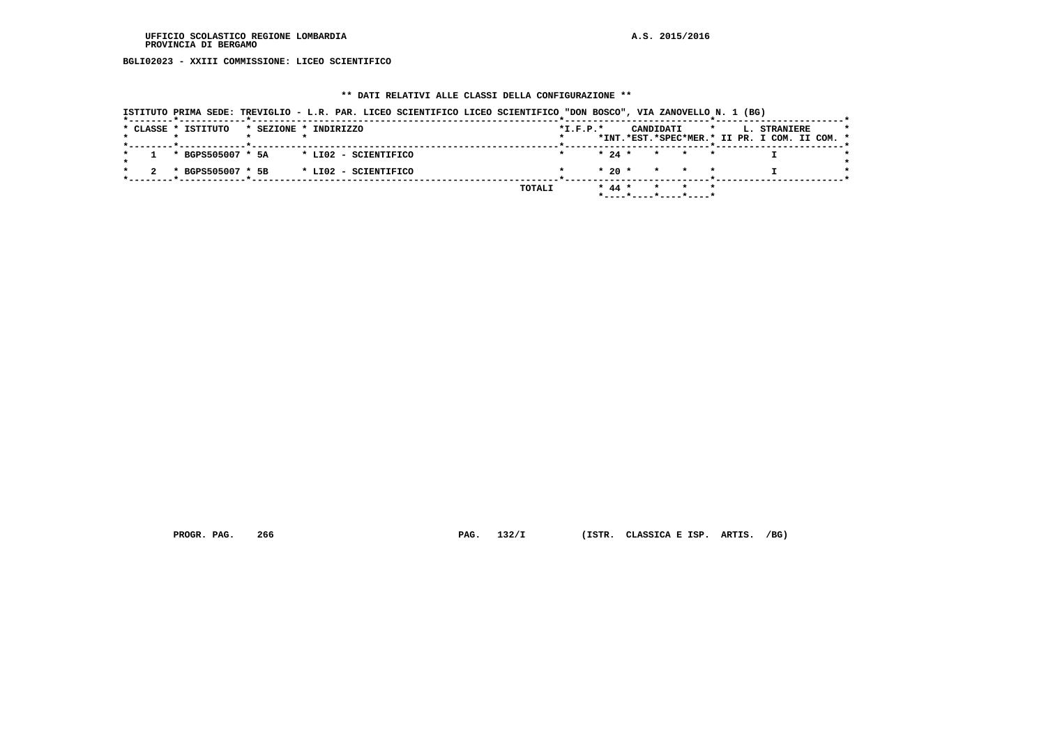**BGLI02023 - XXIII COMMISSIONE: LICEO SCIENTIFICO**

# **\*\* DATI RELATIVI ALLE CLASSI DELLA CONFIGURAZIONE \*\***

|                     | ISTITUTO PRIMA SEDE: TREVIGLIO - L.R. PAR. LICEO SCIENTIFICO LICEO SCIENTIFICO "DON BOSCO", VIA ZANOVELLO N. 1 (BG) |            |                                            |                                                               |
|---------------------|---------------------------------------------------------------------------------------------------------------------|------------|--------------------------------------------|---------------------------------------------------------------|
| * CLASSE * ISTITUTO | * SEZIONE * INDIRIZZO                                                                                               | $*I.F.P.*$ | CANDIDATI<br>$\star$                       | L. STRANIERE<br>*INT.*EST.*SPEC*MER.* II PR. I COM. II COM. * |
| * BGPS505007 * 5A   | * LIO2 - SCIENTIFICO                                                                                                |            | $* 24 *$<br>* * *                          |                                                               |
| * BGPS505007 * 5B   | * LI02 - SCIENTIFICO                                                                                                |            | $* 20 * * * * * *$                         |                                                               |
|                     |                                                                                                                     | TOTALI     | $* 44 *$<br>* * *<br>*----*----*----*----* |                                                               |

 **PROGR. PAG. 266 PAG. 132/I (ISTR. CLASSICA E ISP. ARTIS. /BG)**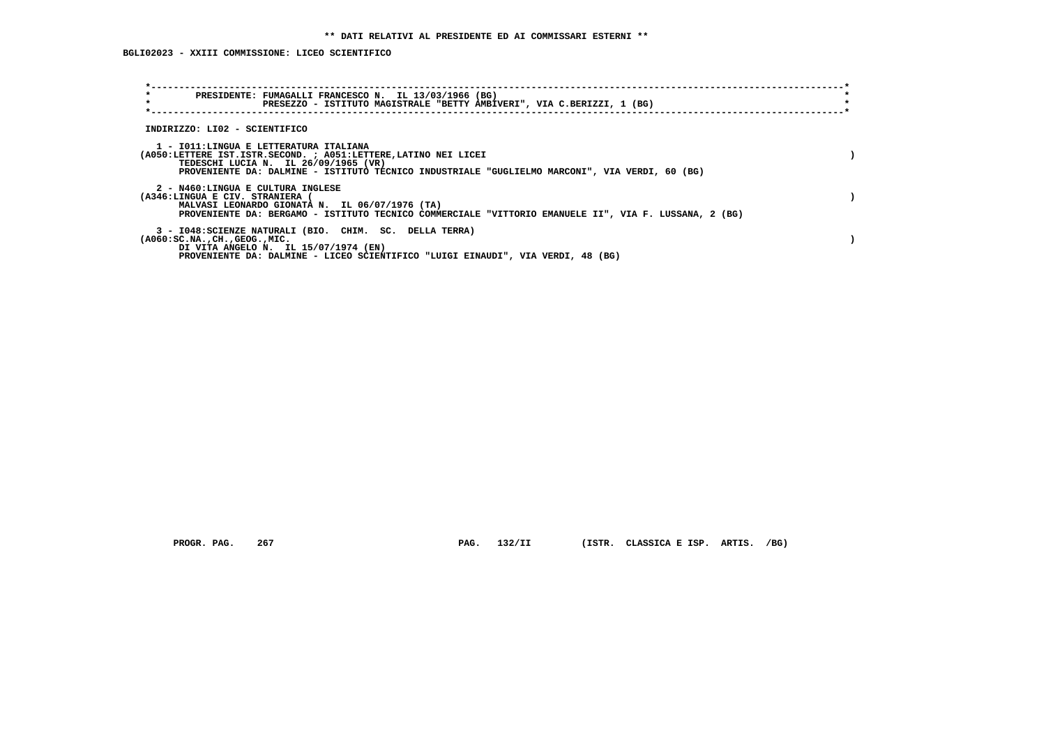**BGLI02023 - XXIII COMMISSIONE: LICEO SCIENTIFICO**

| PRESIDENTE: FUMAGALLI FRANCESCO N. IL 13/03/1966 (BG)<br>$\star$<br>PRESEZZO - ISTITUTO MAGISTRALE "BETTY AMBIVERI", VIA C.BERIZZI, 1 (BG)                                                                                                          |  |
|-----------------------------------------------------------------------------------------------------------------------------------------------------------------------------------------------------------------------------------------------------|--|
| INDIRIZZO: LI02 - SCIENTIFICO                                                                                                                                                                                                                       |  |
| 1 - IO11:LINGUA E LETTERATURA ITALIANA<br>(A050:LETTERE IST.ISTR.SECOND. ; A051:LETTERE, LATINO NEI LICEI<br>TEDESCHI LUCIA N. IL 26/09/1965 (VR)<br>PROVENIENTE DA: DALMINE - ISTITUTO TECNICO INDUSTRIALE "GUGLIELMO MARCONI", VIA VERDI, 60 (BG) |  |
| 2 - N460:LINGUA E CULTURA INGLESE<br>(A346:LINGUA E CIV. STRANIERA (<br>MALVASI LEONARDO GIONATA N. IL 06/07/1976 (TA)<br>PROVENIENTE DA: BERGAMO - ISTITUTO TECNICO COMMERCIALE "VITTORIO EMANUELE II", VIA F. LUSSANA, 2 (BG)                     |  |
| 3 - I048: SCIENZE NATURALI (BIO. CHIM. SC. DELLA TERRA)<br>$(A060:SC.NA.$ , $CH.$ , $GEOG.$ , $MIC.$<br>DI VITA ANGELO N. IL 15/07/1974 (EN)<br>PROVENIENTE DA: DALMINE - LICEO SCIENTIFICO "LUIGI EINAUDI", VIA VERDI, 48 (BG)                     |  |

 **PROGR. PAG. 267 PAG. 132/II (ISTR. CLASSICA E ISP. ARTIS. /BG)**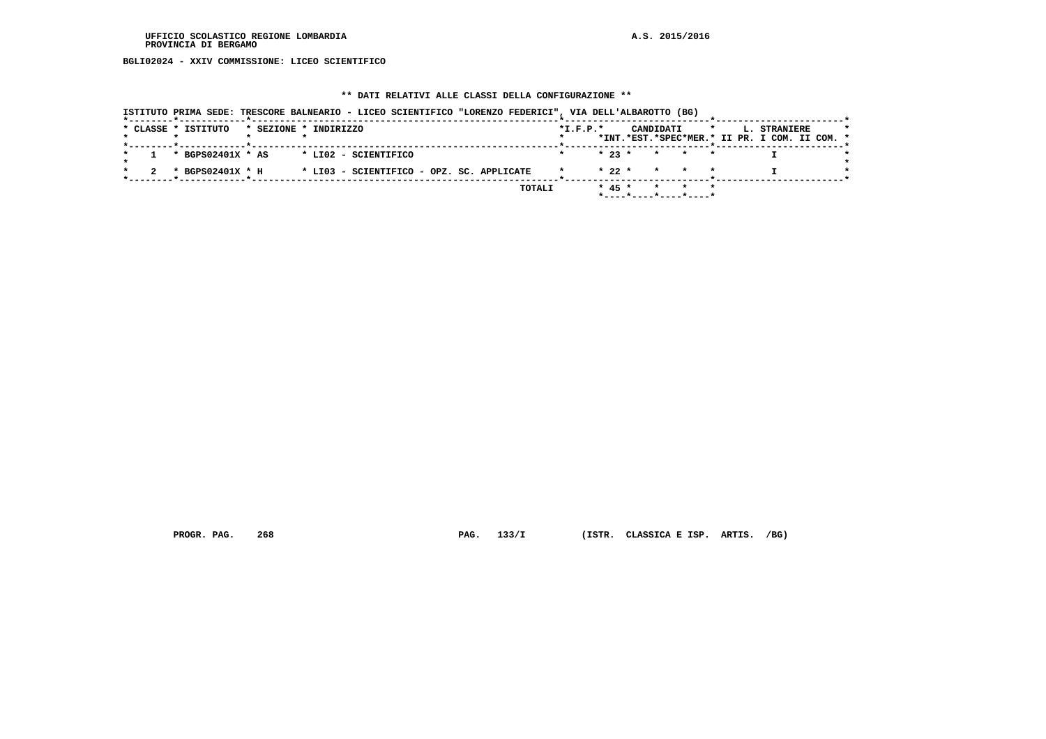**BGLI02024 - XXIV COMMISSIONE: LICEO SCIENTIFICO**

# **\*\* DATI RELATIVI ALLE CLASSI DELLA CONFIGURAZIONE \*\***

|  | * CLASSE * ISTITUTO | * SEZIONE * INDIRIZZO                     |        | $*L.F.P.*$ |          | CANDIDATI |                              | $\star$ | L. STRANIERE                                  |  |
|--|---------------------|-------------------------------------------|--------|------------|----------|-----------|------------------------------|---------|-----------------------------------------------|--|
|  |                     |                                           |        |            |          |           |                              |         | *INT.*EST.*SPEC*MER.* II PR. I COM. II COM. * |  |
|  | * BGPS02401X * AS   | * LI02 - SCIENTIFICO                      |        |            | $* 23 *$ |           | * * *                        |         |                                               |  |
|  | * BGPS02401X * H    | * LI03 - SCIENTIFICO - OPZ. SC. APPLICATE |        |            | $* 22 *$ |           | * * *                        |         |                                               |  |
|  |                     |                                           | TOTALI |            | $* 45 *$ | $\star$   | * *<br>*----*----*----*----* |         |                                               |  |

 **PROGR. PAG. 268 PAG. 133/I (ISTR. CLASSICA E ISP. ARTIS. /BG)**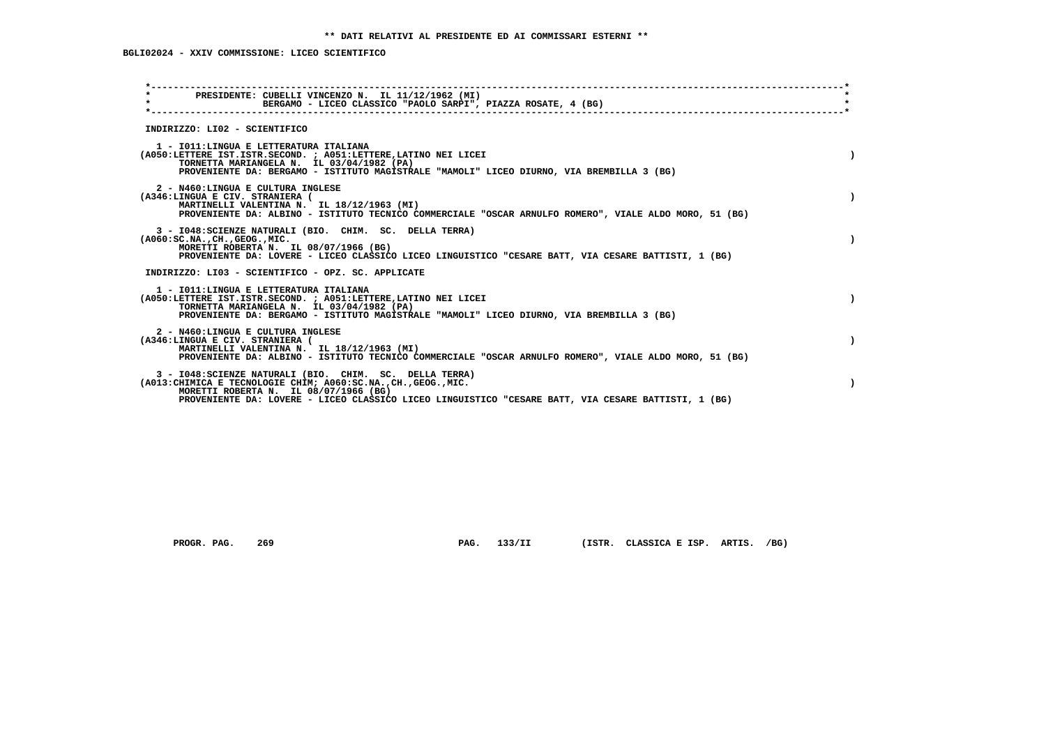| INDIRIZZO: LI02 - SCIENTIFICO<br>1 - IO11: LINGUA E LETTERATURA ITALIANA<br>(A050:LETTERE IST.ISTR.SECOND. ; A051:LETTERE, LATINO NEI LICEI<br>TORNETTA MARIANGELA N. IL 03/04/1982 (PA)<br>PROVENIENTE DA: BERGAMO - ISTITUTO MAGISTRALE "MAMOLI" LICEO DIURNO, VIA BREMBILLA 3 (BG)<br>2 - N460:LINGUA E CULTURA INGLESE<br>(A346:LINGUA E CIV. STRANIERA (<br>MARTINELLI VALENTINA N. IL 18/12/1963 (MI)<br>PROVENIENTE DA: ALBINO - ISTITUTO TECNICO COMMERCIALE "OSCAR ARNULFO ROMERO", VIALE ALDO MORO, 51 (BG)<br>3 - I048: SCIENZE NATURALI (BIO. CHIM. SC. DELLA TERRA)<br>$(A060:SC.NA.$ , $CH.$ , $GEOG.$ , $MIC.$<br>MORETTI ROBERTA N. IL 08/07/1966 (BG)<br>PROVENIENTE DA: LOVERE - LICEO CLASSICO LICEO LINGUISTICO "CESARE BATT, VIA CESARE BATTISTI, 1 (BG)<br>INDIRIZZO: LI03 - SCIENTIFICO - OPZ. SC. APPLICATE<br>1 - IO11: LINGUA E LETTERATURA ITALIANA<br>(A050:LETTERE IST.ISTR.SECOND. ; A051:LETTERE, LATINO NEI LICEI<br>TORNETTA MARIANGELA N. IL 03/04/1982 (PA)<br>PROVENIENTE DA: BERGAMO - ISTITUTO MAGISTRALE "MAMOLI" LICEO DIURNO, VIA BREMBILLA 3 (BG)<br>2 - N460:LINGUA E CULTURA INGLESE<br>(A346:LINGUA E CIV. STRANIERA (<br>MARTINELLI VALENTINA N. IL 18/12/1963 (MI)<br>PROVENIENTE DA: ALBINO - ISTITUTO TECNICO COMMERCIALE "OSCAR ARNULFO ROMERO", VIALE ALDO MORO, 51 (BG)<br>3 - I048: SCIENZE NATURALI (BIO. CHIM. SC. DELLA TERRA)<br>(A013: CHIMICA E TECNOLOGIE CHIM; A060: SC.NA., CH., GEOG., MIC. | PRESIDENTE: CUBELLI VINCENZO N. IL 11/12/1962 (MI)<br>BERGAMO - LICEO CLASSICO "PAOLO SARPI", PIAZZA ROSATE, 4 (BG) |  |  |
|------------------------------------------------------------------------------------------------------------------------------------------------------------------------------------------------------------------------------------------------------------------------------------------------------------------------------------------------------------------------------------------------------------------------------------------------------------------------------------------------------------------------------------------------------------------------------------------------------------------------------------------------------------------------------------------------------------------------------------------------------------------------------------------------------------------------------------------------------------------------------------------------------------------------------------------------------------------------------------------------------------------------------------------------------------------------------------------------------------------------------------------------------------------------------------------------------------------------------------------------------------------------------------------------------------------------------------------------------------------------------------------------------------------------------------------------------------|---------------------------------------------------------------------------------------------------------------------|--|--|
|                                                                                                                                                                                                                                                                                                                                                                                                                                                                                                                                                                                                                                                                                                                                                                                                                                                                                                                                                                                                                                                                                                                                                                                                                                                                                                                                                                                                                                                            |                                                                                                                     |  |  |
|                                                                                                                                                                                                                                                                                                                                                                                                                                                                                                                                                                                                                                                                                                                                                                                                                                                                                                                                                                                                                                                                                                                                                                                                                                                                                                                                                                                                                                                            |                                                                                                                     |  |  |
|                                                                                                                                                                                                                                                                                                                                                                                                                                                                                                                                                                                                                                                                                                                                                                                                                                                                                                                                                                                                                                                                                                                                                                                                                                                                                                                                                                                                                                                            |                                                                                                                     |  |  |
|                                                                                                                                                                                                                                                                                                                                                                                                                                                                                                                                                                                                                                                                                                                                                                                                                                                                                                                                                                                                                                                                                                                                                                                                                                                                                                                                                                                                                                                            |                                                                                                                     |  |  |
|                                                                                                                                                                                                                                                                                                                                                                                                                                                                                                                                                                                                                                                                                                                                                                                                                                                                                                                                                                                                                                                                                                                                                                                                                                                                                                                                                                                                                                                            |                                                                                                                     |  |  |
|                                                                                                                                                                                                                                                                                                                                                                                                                                                                                                                                                                                                                                                                                                                                                                                                                                                                                                                                                                                                                                                                                                                                                                                                                                                                                                                                                                                                                                                            |                                                                                                                     |  |  |
|                                                                                                                                                                                                                                                                                                                                                                                                                                                                                                                                                                                                                                                                                                                                                                                                                                                                                                                                                                                                                                                                                                                                                                                                                                                                                                                                                                                                                                                            |                                                                                                                     |  |  |
| MORETTI ROBERTA N. IL 08/07/1966 (BG)<br>PROVENIENTE DA: LOVERE - LICEO CLASSICO LICEO LINGUISTICO "CESARE BATT, VIA CESARE BATTISTI, 1 (BG)                                                                                                                                                                                                                                                                                                                                                                                                                                                                                                                                                                                                                                                                                                                                                                                                                                                                                                                                                                                                                                                                                                                                                                                                                                                                                                               |                                                                                                                     |  |  |

PROGR. PAG. 269 **PAG. 133/II** (ISTR. CLASSICA E ISP. ARTIS. /BG)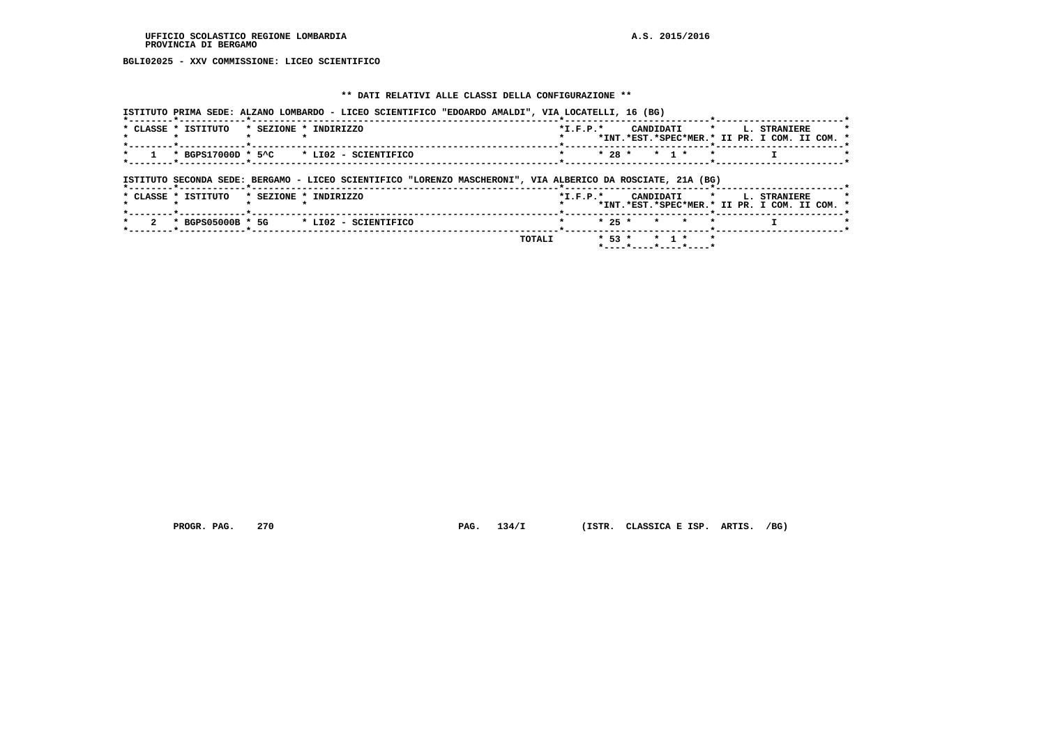**BGLI02025 - XXV COMMISSIONE: LICEO SCIENTIFICO**

# **\*\* DATI RELATIVI ALLE CLASSI DELLA CONFIGURAZIONE \*\***

|                                     | ISTITUTO PRIMA SEDE: ALZANO LOMBARDO - LICEO SCIENTIFICO "EDOARDO AMALDI", VIA LOCATELLI, 16 (BG)           |                |                      |                                                               |
|-------------------------------------|-------------------------------------------------------------------------------------------------------------|----------------|----------------------|---------------------------------------------------------------|
| * CLASSE * ISTITUTO                 | * SEZIONE * INDIRIZZO                                                                                       | $*$ I.F.P. $*$ | CANDIDATI<br>$\star$ | L. STRANIERE<br>*INT.*EST.*SPEC*MER.* II PR. I COM. II COM. * |
| *--------*------------*------------ | $*$ BGPS17000D $*$ 5^C $*$ LI02 - SCIENTIFICO                                                               |                | $* 28 * * 1 *$       |                                                               |
|                                     | ISTITUTO SECONDA SEDE: BERGAMO - LICEO SCIENTIFICO "LORENZO MASCHERONI", VIA ALBERICO DA ROSCIATE, 21A (BG) |                |                      |                                                               |
|                                     |                                                                                                             |                |                      |                                                               |
| * CLASSE * ISTITUTO                 | * SEZIONE * INDIRIZZO                                                                                       | $*$ I.F.P. $*$ |                      | CANDIDATI * L. STRANIERE                                      |
| * BGPS05000B * 5G                   | * LI02 - SCIENTIFICO                                                                                        | $* 25 *$       | $\star$              | *INT.*EST.*SPEC*MER.* II PR. I COM. II COM. *                 |

 **TOTALI \* 53 \* \* 1 \* \* \*----\*----\*----\*----\***

 **PROGR. PAG. 270 PAG. 134/I (ISTR. CLASSICA E ISP. ARTIS. /BG)**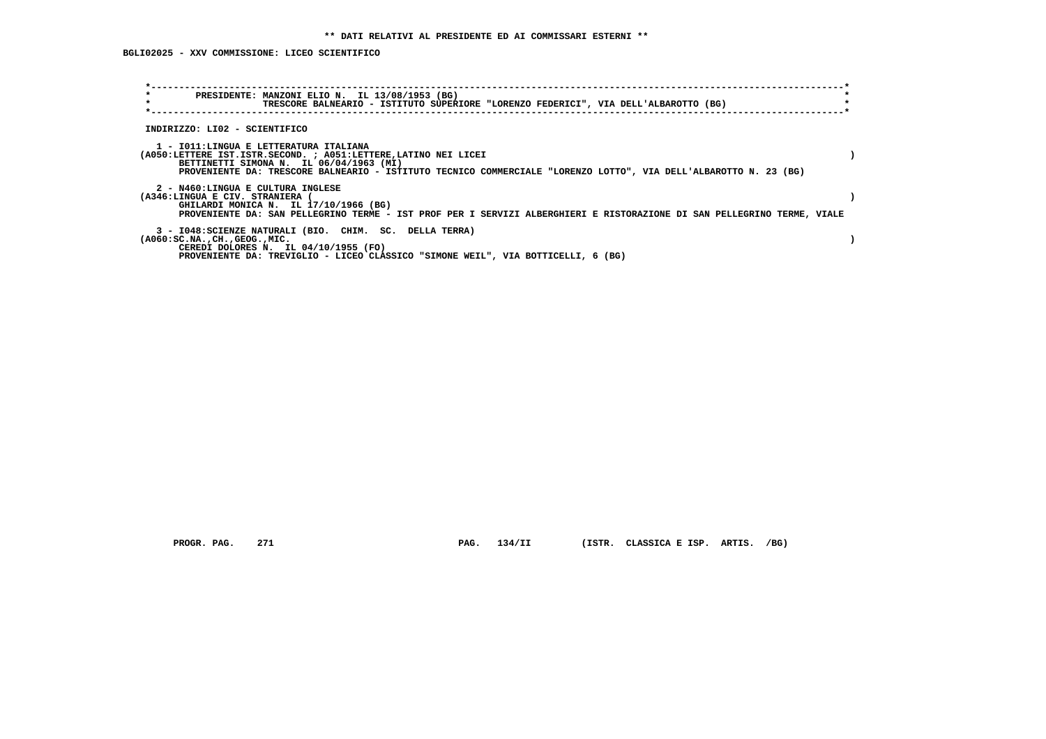**BGLI02025 - XXV COMMISSIONE: LICEO SCIENTIFICO**

| $\star$<br>PRESIDENTE: MANZONI ELIO N. IL 13/08/1953 (BG)<br>$\star$<br>TRESCORE BALNEARIO - ISTITUTO SUPERIORE "LORENZO FEDERICI", VIA DELL'ALBAROTTO (BG)                                                                                                               |  |
|---------------------------------------------------------------------------------------------------------------------------------------------------------------------------------------------------------------------------------------------------------------------------|--|
| INDIRIZZO: LI02 - SCIENTIFICO                                                                                                                                                                                                                                             |  |
| 1 - IO11: LINGUA E LETTERATURA ITALIANA<br>(A050:LETTERE IST.ISTR.SECOND. ; A051:LETTERE, LATINO NEI LICEI<br>BETTINETTI SIMONA N. IL 06/04/1963 (MI)<br>PROVENIENTE DA: TRESCORE BALNEARIO - ISTITUTO TECNICO COMMERCIALE "LORENZO LOTTO", VIA DELL'ALBAROTTO N. 23 (BG) |  |
| 2 - N460:LINGUA E CULTURA INGLESE<br>(A346:LINGUA E CIV. STRANIERA<br>GHILARDI MONICA N. IL 17/10/1966 (BG)<br>PROVENIENTE DA: SAN PELLEGRINO TERME - IST PROF PER I SERVIZI ALBERGHIERI E RISTORAZIONE DI SAN PELLEGRINO TERME, VIALE                                    |  |
| 3 - I048: SCIENZE NATURALI (BIO. CHIM. SC. DELLA TERRA)<br>$(A060:SC.NA.$ , $CH.$ , $GEOG.$ , $MIC.$<br>CEREDI DOLORES N. IL $04/10/1955$ (FO)<br>PROVENIENTE DA: TREVIGLIO - LICEO CLASSICO "SIMONE WEIL", VIA BOTTICELLI, 6 (BG)                                        |  |

 **PROGR. PAG. 271 PAG. 134/II (ISTR. CLASSICA E ISP. ARTIS. /BG)**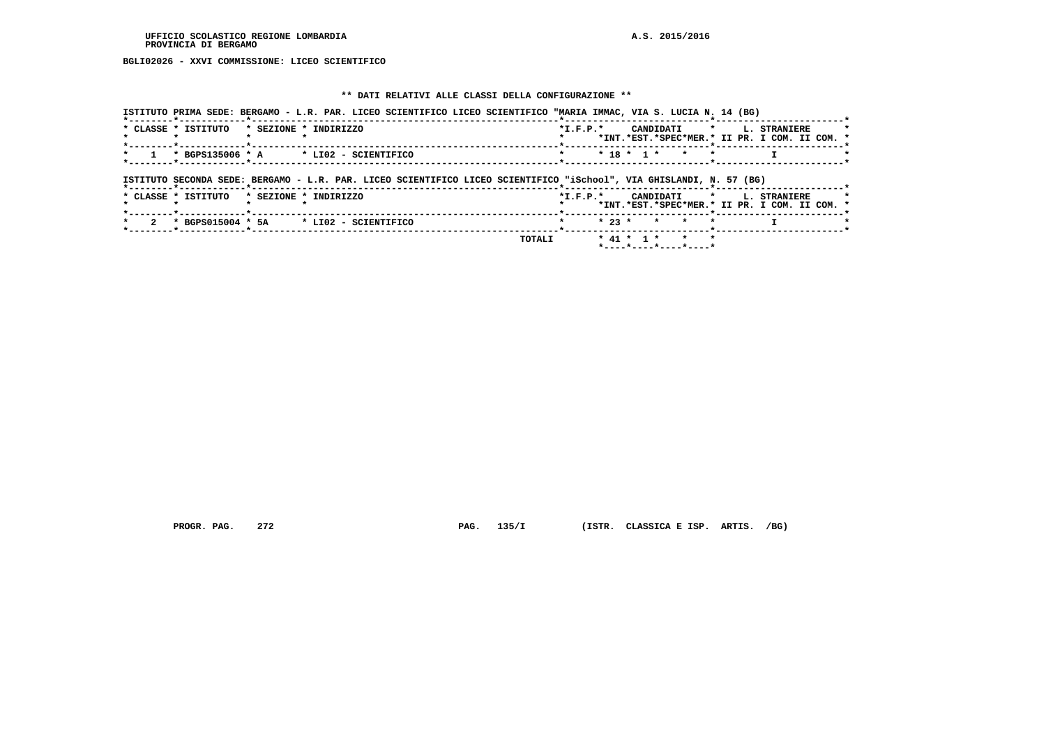**BGLI02026 - XXVI COMMISSIONE: LICEO SCIENTIFICO**

# **\*\* DATI RELATIVI ALLE CLASSI DELLA CONFIGURAZIONE \*\***

|                     | ISTITUTO PRIMA SEDE: BERGAMO - L.R. PAR. LICEO SCIENTIFICO LICEO SCIENTIFICO "MARIA IMMAC, VIA S. LUCIA N. 14 (BG)  |                |          |              |         |           |         |                                                               |  |
|---------------------|---------------------------------------------------------------------------------------------------------------------|----------------|----------|--------------|---------|-----------|---------|---------------------------------------------------------------|--|
| * CLASSE * ISTITUTO | * SEZIONE * INDIRIZZO                                                                                               | $*$ I.F.P. $*$ |          |              |         | CANDIDATI | $\star$ | L. STRANIERE<br>*INT.*EST.*SPEC*MER.* II PR. I COM. II COM. * |  |
| * BGPS135006 * A    | * LI02 - SCIENTIFICO                                                                                                |                |          | $* 18 * 1 *$ |         | $\star$   | $\star$ |                                                               |  |
|                     | ISTITUTO SECONDA SEDE: BERGAMO - L.R. PAR. LICEO SCIENTIFICO LICEO SCIENTIFICO "iSchool", VIA GHISLANDI, N. 57 (BG) |                |          |              |         |           |         |                                                               |  |
| * CLASSE * ISTITUTO | * SEZIONE * INDIRIZZO                                                                                               | $*$ I.F.P. $*$ |          |              |         | CANDIDATI | $\star$ | L. STRANIERE<br>*INT.*EST.*SPEC*MER.* II PR. I COM. II COM. * |  |
|                     | $*$ BGPS015004 $*$ 5A $*$ LI02 - SCIENTIFICO                                                                        |                | $* 23 *$ |              | $\star$ | $\star$   |         |                                                               |  |
|                     |                                                                                                                     |                |          |              |         |           |         |                                                               |  |

 **PROGR. PAG. 272 PAG. 135/I (ISTR. CLASSICA E ISP. ARTIS. /BG)**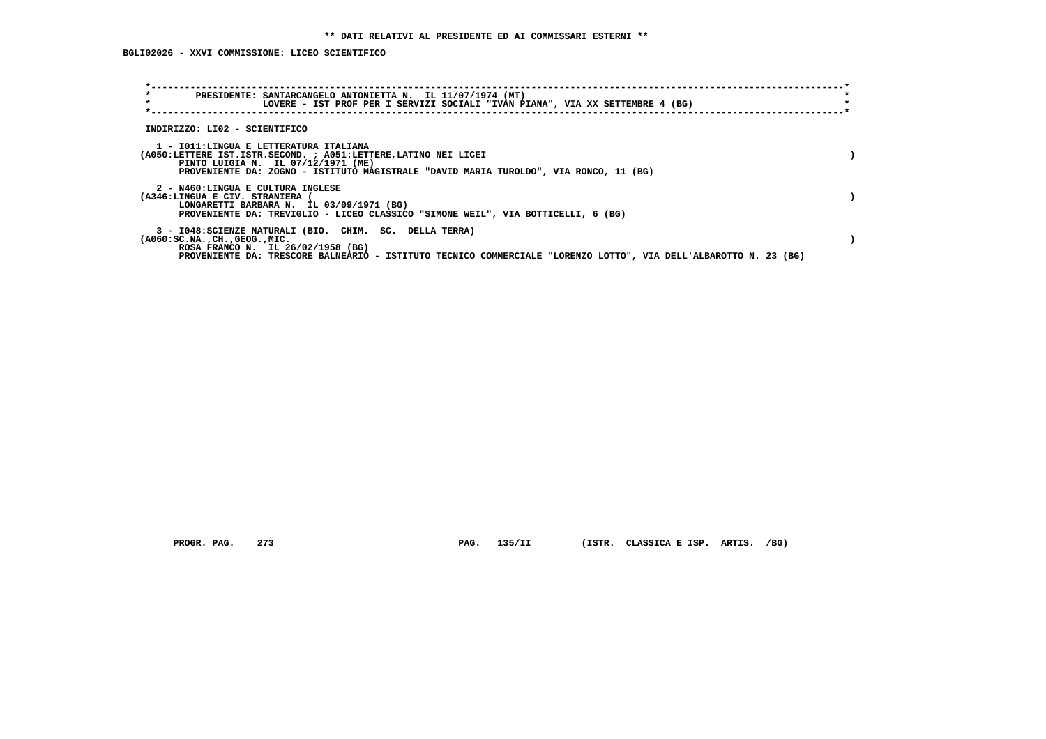**BGLI02026 - XXVI COMMISSIONE: LICEO SCIENTIFICO**

| $\star$<br>$\star$                                                                                             | PRESIDENTE: SANTARCANGELO ANTONIETTA N. IL 11/07/1974 (MT)<br>LOVERE - IST PROF PER I SERVIZI SOCIALI "IVAN PIANA", VIA XX SETTEMBRE 4 (BG)                                 |  |
|----------------------------------------------------------------------------------------------------------------|-----------------------------------------------------------------------------------------------------------------------------------------------------------------------------|--|
| INDIRIZZO: LI02 - SCIENTIFICO                                                                                  |                                                                                                                                                                             |  |
| 1 - IO11:LINGUA E LETTERATURA ITALIANA<br>PINTO LUIGIA N. IL 07/12/1971 (ME)                                   | (A050:LETTERE IST.ISTR.SECOND. ; A051:LETTERE, LATINO NEI LICEI<br>PROVENIENTE DA: ZOGNO - ISTITUTO MAGISTRALE "DAVID MARIA TUROLDO", VIA RONCO, 11 (BG)                    |  |
| 2 - N460:LINGUA E CULTURA INGLESE<br>(A346:LINGUA E CIV. STRANIERA<br>LONGARETTI BARBARA N. IL 03/09/1971 (BG) | PROVENIENTE DA: TREVIGLIO - LICEO CLASSICO "SIMONE WEIL", VIA BOTTICELLI, 6 (BG)                                                                                            |  |
| $(A060:SC.NA.$ , $CH.$ , $GEOG.$ , $MIC.$<br>ROSA FRANCO N. IL 26/02/1958 (BG)                                 | 3 - I048: SCIENZE NATURALI (BIO. CHIM. SC. DELLA TERRA)<br>PROVENIENTE DA: TRESCORE BALNEARIO - ISTITUTO TECNICO COMMERCIALE "LORENZO LOTTO", VIA DELL'ALBAROTTO N. 23 (BG) |  |

 **PROGR. PAG. 273 PAG. 135/II (ISTR. CLASSICA E ISP. ARTIS. /BG)**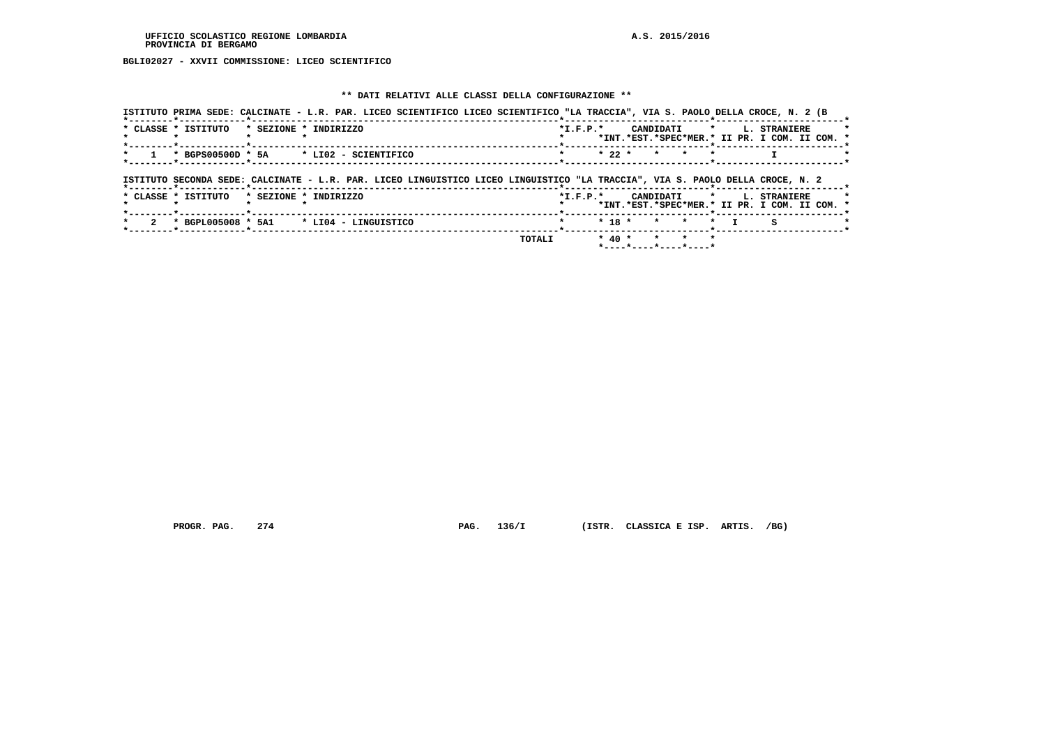**BGLI02027 - XXVII COMMISSIONE: LICEO SCIENTIFICO**

# **\*\* DATI RELATIVI ALLE CLASSI DELLA CONFIGURAZIONE \*\***

|                     |                       | ISTITUTO PRIMA SEDE: CALCINATE - L.R. PAR. LICEO SCIENTIFICO LICEO SCIENTIFICO "LA TRACCIA", VIA S. PAOLO DELLA CROCE, N. 2 (B |                |            |                                                             |                                                                                    |  |
|---------------------|-----------------------|--------------------------------------------------------------------------------------------------------------------------------|----------------|------------|-------------------------------------------------------------|------------------------------------------------------------------------------------|--|
| * CLASSE * ISTITUTO | * SEZIONE * INDIRIZZO |                                                                                                                                | $*$ I.F.P. $*$ |            |                                                             | CANDIDATI * L. STRANIERE<br>*INT.*EST.*SPEC*MER.* II PR. I COM. II COM. *          |  |
|                     |                       | * BGPS00500D * 5A * LI02 - SCIENTIFICO                                                                                         |                | $* 22 *$   | $\star$<br>$\star$                                          |                                                                                    |  |
|                     |                       | ISTITUTO SECONDA SEDE: CALCINATE - L.R. PAR. LICEO LINGUISTICO LICEO LINGUISTICO "LA TRACCIA", VIA S. PAOLO DELLA CROCE, N. 2  |                |            |                                                             |                                                                                    |  |
| * CLASSE * ISTITUTO | * SEZIONE * INDIRIZZO |                                                                                                                                |                |            |                                                             | *I.F.P.* CANDIDATI * L. STRANIERE<br>*INT.*EST.*SPEC*MER.* II PR. I COM. II COM. * |  |
|                     |                       | * BGPL005008 * 5A1 * LI04 - LINGUISTICO                                                                                        |                | $* 18 *$   | $\star$<br>$\star$                                          | $\star$<br>s                                                                       |  |
|                     |                       |                                                                                                                                | TOTALI         | $*$ 40 $*$ | $\star$<br>$\mathbf{r}$<br>$\star$<br>*----*----*----*----* |                                                                                    |  |

 **PROGR. PAG. 274 PAG. 136/I (ISTR. CLASSICA E ISP. ARTIS. /BG)**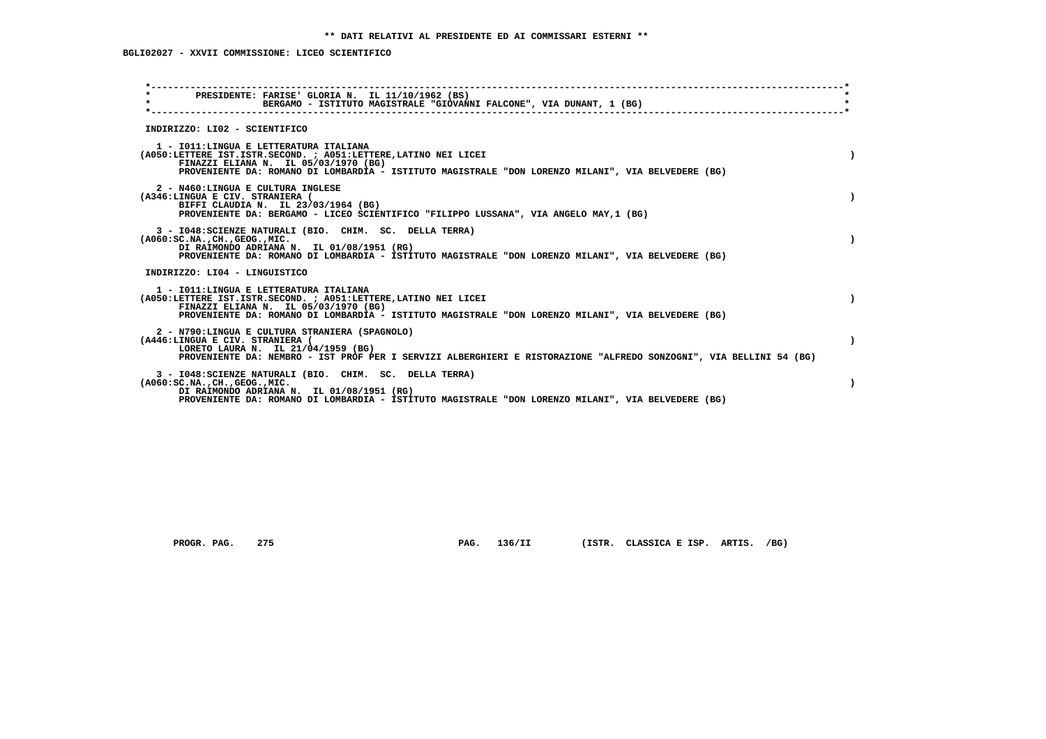**BGLI02027 - XXVII COMMISSIONE: LICEO SCIENTIFICO**

| PRESIDENTE: FARISE' GLORIA N. IL 11/10/1962 (BS)<br>$\star$<br>BERGAMO - ISTITUTO MAGISTRALE "GIOVANNI FALCONE", VIA DUNANT, 1 (BG)<br>INDIRIZZO: LI02 - SCIENTIFICO<br>1 - IO11: LINGUA E LETTERATURA ITALIANA<br>(A050:LETTERE IST.ISTR.SECOND. ; A051:LETTERE, LATINO NEI LICEI<br>FINAZZI ELIANA N. IL 05/03/1970 (BG)<br>PROVENIENTE DA: ROMANO DI LOMBARDIA - ISTITUTO MAGISTRALE "DON LORENZO MILANI", VIA BELVEDERE (BG)<br>2 - N460:LINGUA E CULTURA INGLESE<br>(A346:LINGUA E CIV. STRANIERA (<br>BIFFI CLAUDIA N. IL 23/03/1964 (BG)<br>PROVENIENTE DA: BERGAMO - LICEO SCIENTIFICO "FILIPPO LUSSANA", VIA ANGELO MAY, 1 (BG)<br>3 - I048: SCIENZE NATURALI (BIO. CHIM. SC. DELLA TERRA)<br>$(A060:SC.NA.$ , $CH.$ , $GEOG.$ , $MIC.$<br>DI RAIMONDO ADRIANA N. IL 01/08/1951 (RG)<br>PROVENIENTE DA: ROMANO DI LOMBARDIA - ISTITUTO MAGISTRALE "DON LORENZO MILANI", VIA BELVEDERE (BG)<br>INDIRIZZO: LI04 - LINGUISTICO<br>1 - IO11: LINGUA E LETTERATURA ITALIANA<br>(A050:LETTERE IST.ISTR.SECOND. ; A051:LETTERE, LATINO NEI LICEI<br>FINAZZI ELIANA N. IL 05/03/1970 (BG)<br>PROVENIENTE DA: ROMANO DI LOMBARDIA - ISTITUTO MAGISTRALE "DON LORENZO MILANI", VIA BELVEDERE (BG)<br>2 - N790:LINGUA E CULTURA STRANIERA (SPAGNOLO)<br>(A446:LINGUA E CIV. STRANIERA (<br>LORETO LAURA N. IL 21/04/1959 (BG)<br>PROVENIENTE DA: NEMBRO - IST PROF PER I SERVIZI ALBERGHIERI E RISTORAZIONE "ALFREDO SONZOGNI", VIA BELLINI 54 (BG)<br>3 - I048: SCIENZE NATURALI (BIO. CHIM. SC. DELLA TERRA)<br>( A060:SC.NA. ,CH. ,GEOG. ,MIC.<br>DI RAIMONDO ADRIANA N. IL 01/08/1951 (RG)<br>PROVENIENTE DA: ROMANO DI LOMBARDIA - ISTITUTO MAGISTRALE "DON LORENZO MILANI", VIA BELVEDERE (BG) |  |
|----------------------------------------------------------------------------------------------------------------------------------------------------------------------------------------------------------------------------------------------------------------------------------------------------------------------------------------------------------------------------------------------------------------------------------------------------------------------------------------------------------------------------------------------------------------------------------------------------------------------------------------------------------------------------------------------------------------------------------------------------------------------------------------------------------------------------------------------------------------------------------------------------------------------------------------------------------------------------------------------------------------------------------------------------------------------------------------------------------------------------------------------------------------------------------------------------------------------------------------------------------------------------------------------------------------------------------------------------------------------------------------------------------------------------------------------------------------------------------------------------------------------------------------------------------------------------------------------------------------------------------------------------------------------------------------------------|--|
|                                                                                                                                                                                                                                                                                                                                                                                                                                                                                                                                                                                                                                                                                                                                                                                                                                                                                                                                                                                                                                                                                                                                                                                                                                                                                                                                                                                                                                                                                                                                                                                                                                                                                                    |  |
|                                                                                                                                                                                                                                                                                                                                                                                                                                                                                                                                                                                                                                                                                                                                                                                                                                                                                                                                                                                                                                                                                                                                                                                                                                                                                                                                                                                                                                                                                                                                                                                                                                                                                                    |  |
|                                                                                                                                                                                                                                                                                                                                                                                                                                                                                                                                                                                                                                                                                                                                                                                                                                                                                                                                                                                                                                                                                                                                                                                                                                                                                                                                                                                                                                                                                                                                                                                                                                                                                                    |  |
| $\lambda$                                                                                                                                                                                                                                                                                                                                                                                                                                                                                                                                                                                                                                                                                                                                                                                                                                                                                                                                                                                                                                                                                                                                                                                                                                                                                                                                                                                                                                                                                                                                                                                                                                                                                          |  |
|                                                                                                                                                                                                                                                                                                                                                                                                                                                                                                                                                                                                                                                                                                                                                                                                                                                                                                                                                                                                                                                                                                                                                                                                                                                                                                                                                                                                                                                                                                                                                                                                                                                                                                    |  |
|                                                                                                                                                                                                                                                                                                                                                                                                                                                                                                                                                                                                                                                                                                                                                                                                                                                                                                                                                                                                                                                                                                                                                                                                                                                                                                                                                                                                                                                                                                                                                                                                                                                                                                    |  |
|                                                                                                                                                                                                                                                                                                                                                                                                                                                                                                                                                                                                                                                                                                                                                                                                                                                                                                                                                                                                                                                                                                                                                                                                                                                                                                                                                                                                                                                                                                                                                                                                                                                                                                    |  |
|                                                                                                                                                                                                                                                                                                                                                                                                                                                                                                                                                                                                                                                                                                                                                                                                                                                                                                                                                                                                                                                                                                                                                                                                                                                                                                                                                                                                                                                                                                                                                                                                                                                                                                    |  |
|                                                                                                                                                                                                                                                                                                                                                                                                                                                                                                                                                                                                                                                                                                                                                                                                                                                                                                                                                                                                                                                                                                                                                                                                                                                                                                                                                                                                                                                                                                                                                                                                                                                                                                    |  |

 **PROGR. PAG. 275 PAG. 136/II (ISTR. CLASSICA E ISP. ARTIS. /BG)**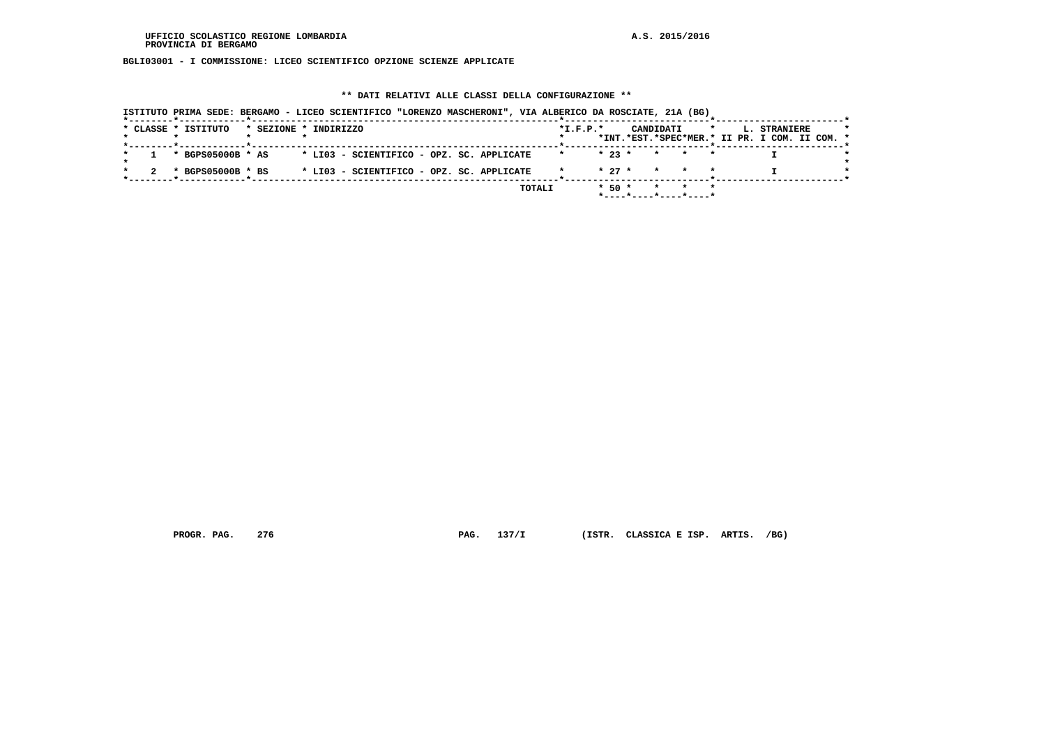**BGLI03001 - I COMMISSIONE: LICEO SCIENTIFICO OPZIONE SCIENZE APPLICATE**

# **\*\* DATI RELATIVI ALLE CLASSI DELLA CONFIGURAZIONE \*\***

| ISTITUTO PRIMA SEDE: BERGAMO - LICEO SCIENTIFICO "LORENZO MASCHERONI", VIA ALBERICO DA ROSCIATE, 21A (BG) |                                                                                                                |
|-----------------------------------------------------------------------------------------------------------|----------------------------------------------------------------------------------------------------------------|
| * CLASSE * ISTITUTO<br>* SEZIONE * INDIRIZZO<br>------*------------*------------                          | $*$ I.F.P. $*$<br>CANDIDATI<br>$\star$<br><b>L. STRANIERE</b><br>*INT.*EST.*SPEC*MER.* II PR. I COM. II COM. * |
| $*$ BGPS05000B $*$ AS<br>* LI03 - SCIENTIFICO - OPZ. SC. APPLICATE                                        | $* 23 *$<br>* * *                                                                                              |
| * LI03 - SCIENTIFICO - OPZ. SC. APPLICATE<br>* BGPS05000B * BS                                            | $\star$ 27 $\star$ $\star$ $\star$ $\star$                                                                     |
| TOTALI                                                                                                    | $*$ 50 $*$<br>* * *<br>*----*----*----*----*                                                                   |

 **PROGR. PAG. 276 PAG. 137/I (ISTR. CLASSICA E ISP. ARTIS. /BG)**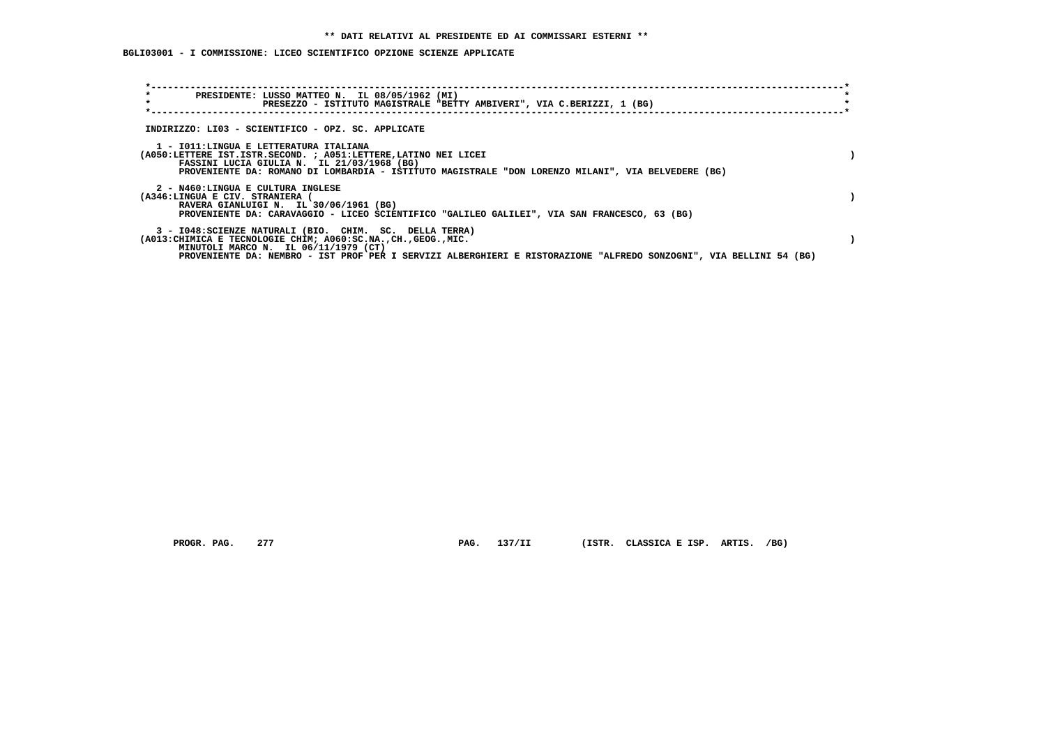# **BGLI03001 - I COMMISSIONE: LICEO SCIENTIFICO OPZIONE SCIENZE APPLICATE**

| $\star$<br>PRESIDENTE: LUSSO MATTEO N. IL 08/05/1962 (MI)<br>$\star$<br>PRESEZZO - ISTITUTO MAGISTRALE "BETTY AMBIVERI", VIA C.BERIZZI, 1 (BG)                                                                                                                                            |  |
|-------------------------------------------------------------------------------------------------------------------------------------------------------------------------------------------------------------------------------------------------------------------------------------------|--|
| INDIRIZZO: LI03 - SCIENTIFICO - OPZ. SC. APPLICATE                                                                                                                                                                                                                                        |  |
| 1 - IO11:LINGUA E LETTERATURA ITALIANA<br>(A050:LETTERE IST.ISTR.SECOND. ; A051:LETTERE, LATINO NEI LICEI<br>FASSINI LUCIA GIULIA N. IL 21/03/1968 (BG)<br>PROVENIENTE DA: ROMANO DI LOMBARDIA - ISTITUTO MAGISTRALE "DON LORENZO MILANI", VIA BELVEDERE (BG)                             |  |
| 2 - N460:LINGUA E CULTURA INGLESE<br>(A346:LINGUA E CIV. STRANIERA (<br>RAVERA GIANLUIGI N. IL 30/06/1961 (BG)<br>PROVENIENTE DA: CARAVAGGIO - LICEO SCIENTIFICO "GALILEO GALILEI", VIA SAN FRANCESCO, 63 (BG)                                                                            |  |
| 3 - I048: SCIENZE NATURALI (BIO. CHIM. SC. DELLA TERRA)<br>(A013: CHIMICA E TECNOLOGIE CHIM; A060: SC.NA., CH., GEOG., MIC.<br>MINUTOLI MARCO N. IL 06/11/1979 (CT)<br>PROVENIENTE DA: NEMBRO - IST PROF PER I SERVIZI ALBERGHIERI E RISTORAZIONE "ALFREDO SONZOGNI", VIA BELLINI 54 (BG) |  |

PROGR. PAG. 277 **PAG. 137/II** (ISTR. CLASSICA E ISP. ARTIS. /BG)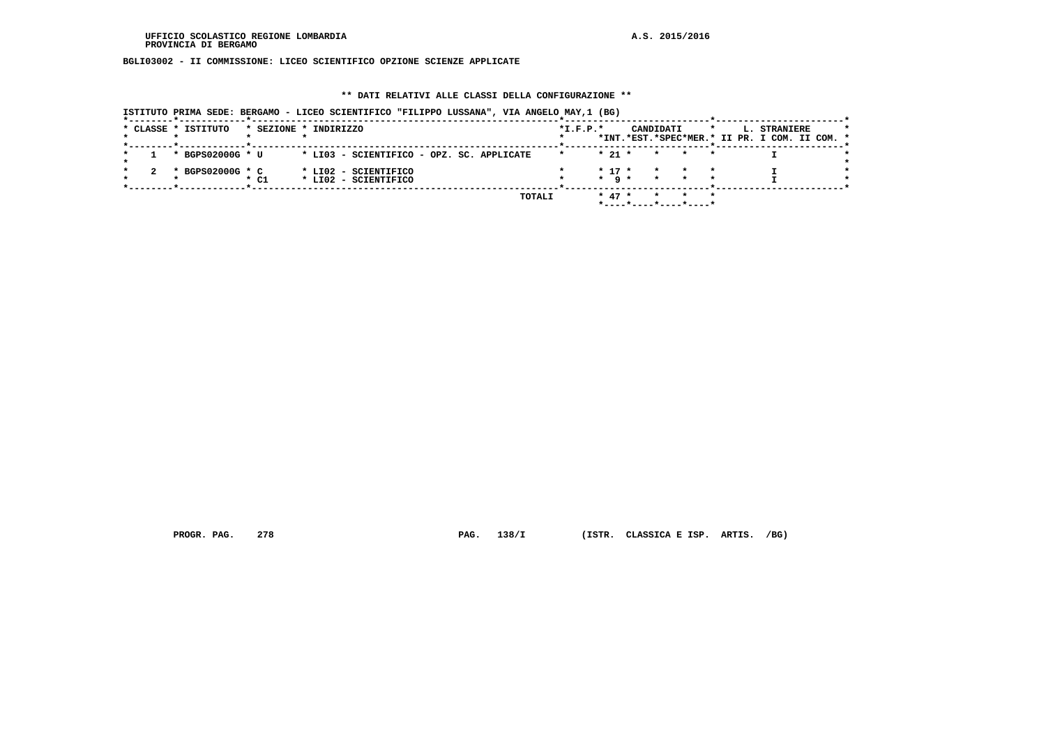**BGLI03002 - II COMMISSIONE: LICEO SCIENTIFICO OPZIONE SCIENZE APPLICATE**

# **\*\* DATI RELATIVI ALLE CLASSI DELLA CONFIGURAZIONE \*\***

 **ISTITUTO PRIMA SEDE: BERGAMO - LICEO SCIENTIFICO "FILIPPO LUSSANA", VIA ANGELO MAY,1 (BG)**

|  | * CLASSE * ISTITUTO | * SEZIONE * INDIRIZZO |                                           |  |        | $*I.F.P.*$ |                   | CANDIDATI |                       | $\star$ | L. STRANIERE<br>*INT.*EST.*SPEC*MER.* II PR. I COM. II COM. * |  |  |
|--|---------------------|-----------------------|-------------------------------------------|--|--------|------------|-------------------|-----------|-----------------------|---------|---------------------------------------------------------------|--|--|
|  |                     |                       |                                           |  |        |            |                   |           |                       |         |                                                               |  |  |
|  | * BGPS02000G * U    |                       | * LI03 - SCIENTIFICO - OPZ. SC. APPLICATE |  |        |            | $*$ 21 $*$        | $\star$   | <b>Example 19</b>     |         |                                                               |  |  |
|  | * BGPS02000G * C    |                       | * LI02 - SCIENTIFICO                      |  |        |            | $* 17 *$          | $\star$   |                       |         |                                                               |  |  |
|  |                     | * C1                  | * LI02 - SCIENTIFICO                      |  |        |            | $\star$ a $\star$ |           |                       |         |                                                               |  |  |
|  |                     |                       |                                           |  | TOTALI |            | $* 47 *$          |           |                       |         |                                                               |  |  |
|  |                     |                       |                                           |  |        |            |                   |           | *----*----*----*----* |         |                                                               |  |  |

 **PROGR. PAG. 278 PAG. 138/I (ISTR. CLASSICA E ISP. ARTIS. /BG)**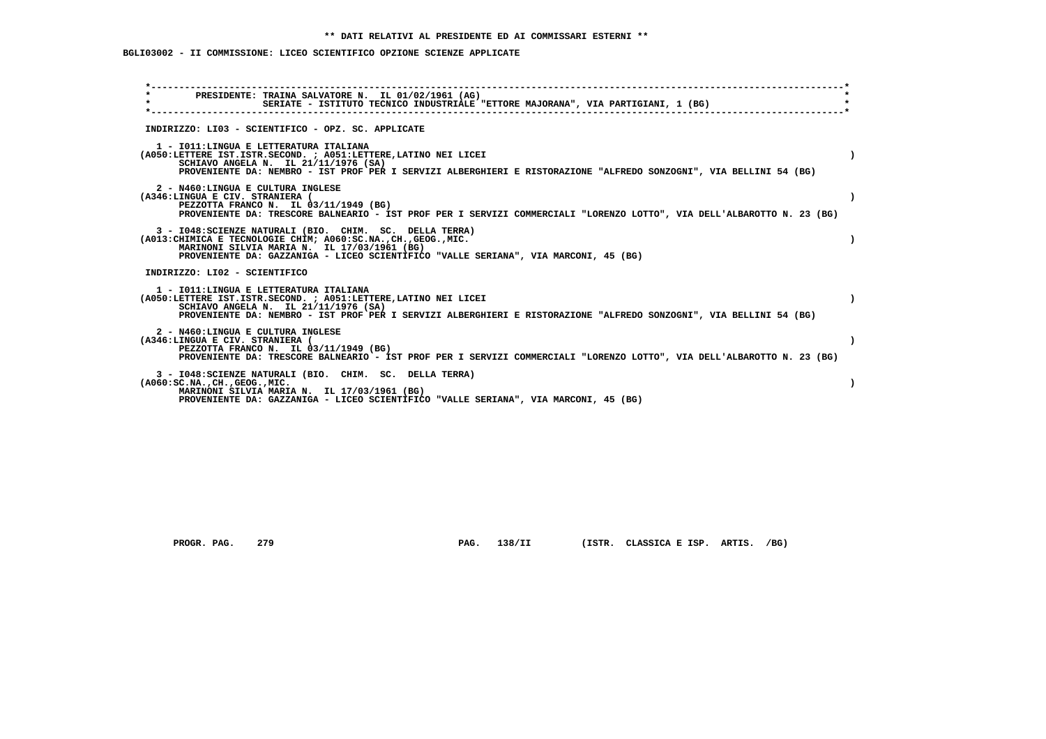# **BGLI03002 - II COMMISSIONE: LICEO SCIENTIFICO OPZIONE SCIENZE APPLICATE**

| $\star$<br>PRESIDENTE: TRAINA SALVATORE N. IL 01/02/1961 (AG)<br>$\star$<br>SERIATE - ISTITUTO TECNICO INDUSTRIALE "ETTORE MAJORANA", VIA PARTIGIANI, 1 (BG)                                                                                                             |           |
|--------------------------------------------------------------------------------------------------------------------------------------------------------------------------------------------------------------------------------------------------------------------------|-----------|
| INDIRIZZO: LI03 - SCIENTIFICO - OPZ. SC. APPLICATE                                                                                                                                                                                                                       |           |
| 1 - IO11: LINGUA E LETTERATURA ITALIANA<br>(A050:LETTERE IST.ISTR.SECOND. ; A051:LETTERE, LATINO NEI LICEI<br>SCHIAVO ANGELA N. IL 21/11/1976 (SA)<br>PROVENIENTE DA: NEMBRO - IST PROF PER I SERVIZI ALBERGHIERI E RISTORAZIONE "ALFREDO SONZOGNI", VIA BELLINI 54 (BG) | $\lambda$ |
| 2 - N460:LINGUA E CULTURA INGLESE<br>(A346:LINGUA E CIV. STRANIERA (<br>PEZZOTTA FRANCO N. IL 03/11/1949 (BG)<br>PROVENIENTE DA: TRESCORE BALNEARIO - IST PROF PER I SERVIZI COMMERCIALI "LORENZO LOTTO", VIA DELL'ALBAROTTO N. 23 (BG)                                  |           |
| 3 - I048: SCIENZE NATURALI (BIO. CHIM. SC. DELLA TERRA)<br>(A013: CHIMICA E TECNOLOGIE CHIM; A060: SC.NA., CH., GEOG., MIC.<br>MARINONI SILVIA MARIA N. IL 17/03/1961 (BG)<br>PROVENIENTE DA: GAZZANIGA - LICEO SCIENTIFICO "VALLE SERIANA", VIA MARCONI, 45 (BG)        |           |
| INDIRIZZO: LI02 - SCIENTIFICO                                                                                                                                                                                                                                            |           |
| 1 - IO11: LINGUA E LETTERATURA ITALIANA<br>(A050:LETTERE IST.ISTR.SECOND. ; A051:LETTERE, LATINO NEI LICEI<br>SCHIAVO ANGELA N. IL 21/11/1976 (SA)<br>PROVENIENTE DA: NEMBRO - IST PROF PER I SERVIZI ALBERGHIERI E RISTORAZIONE "ALFREDO SONZOGNI", VIA BELLINI 54 (BG) | $\lambda$ |
| 2 - N460:LINGUA E CULTURA INGLESE<br>(A346:LINGUA E CIV. STRANIERA (<br>PEZZOTTA FRANCO N. IL 03/11/1949 (BG)<br>PROVENIENTE DA: TRESCORE BALNEARIO - IST PROF PER I SERVIZI COMMERCIALI "LORENZO LOTTO", VIA DELL'ALBAROTTO N. 23 (BG)                                  |           |
| 3 - I048: SCIENZE NATURALI (BIO. CHIM. SC. DELLA TERRA)<br>$(A060:SC.NA.$ , $CH.$ , $GEOG.$ , $MIC.$<br>MARINONI SILVIA MARIA N. IL 17/03/1961 (BG)<br>PROVENIENTE DA: GAZZANIGA - LICEO SCIENTIFICO "VALLE SERIANA", VIA MARCONI, 45 (BG)                               |           |

PROGR. PAG. 279 **PAG. 138/II** (ISTR. CLASSICA E ISP. ARTIS. /BG)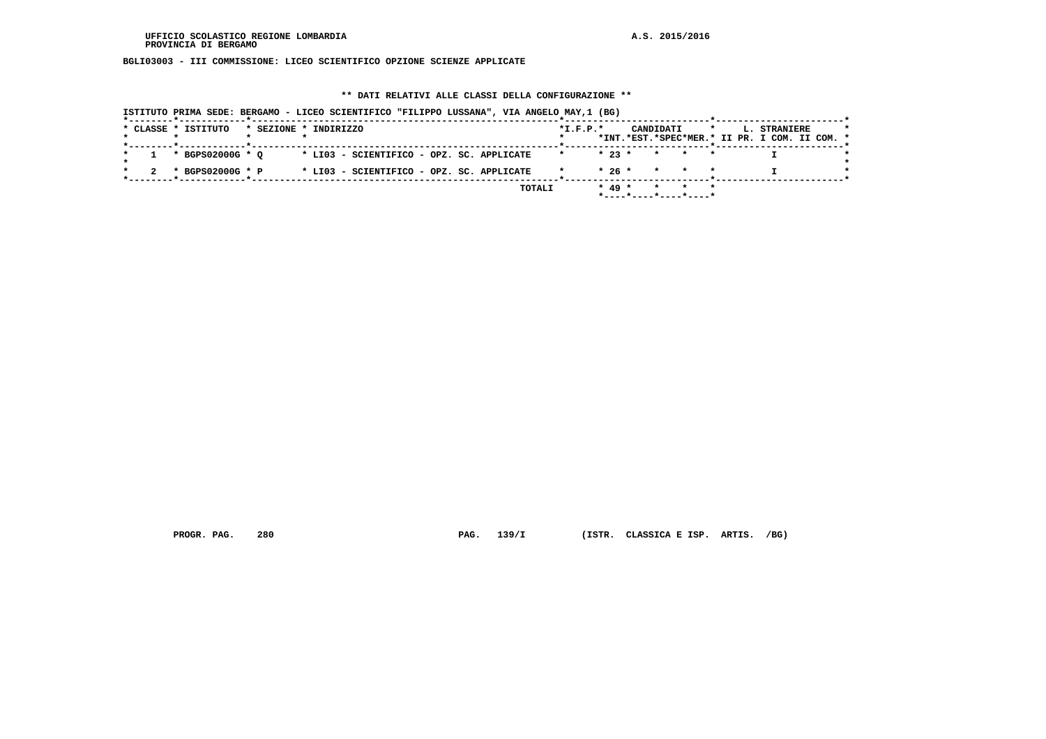**BGLI03003 - III COMMISSIONE: LICEO SCIENTIFICO OPZIONE SCIENZE APPLICATE**

# **\*\* DATI RELATIVI ALLE CLASSI DELLA CONFIGURAZIONE \*\***

| ISTITUTO PRIMA SEDE: BERGAMO - LICEO SCIENTIFICO "FILIPPO LUSSANA", VIA ANGELO MAY,1 (BG) |                                                                                                     |
|-------------------------------------------------------------------------------------------|-----------------------------------------------------------------------------------------------------|
| * CLASSE * ISTITUTO<br>* SEZIONE * INDIRIZZO                                              | $*L.F.P.*$<br>CANDIDATI<br>$\star$<br>L. STRANIERE<br>*INT.*EST.*SPEC*MER.* II PR. I COM. II COM. * |
| * BGPS02000G * O<br>* LI03 - SCIENTIFICO - OPZ. SC. APPLICATE                             | $*23$ $*$<br>* * *                                                                                  |
| * LI03 - SCIENTIFICO - OPZ. SC. APPLICATE<br>* BGPS02000G * P                             | $* 26 * * * * * * *$                                                                                |
| TOTALI                                                                                    | $* 49 *$<br>* * *<br>*----*----*----*----*                                                          |

 **PROGR. PAG. 280 PAG. 139/I (ISTR. CLASSICA E ISP. ARTIS. /BG)**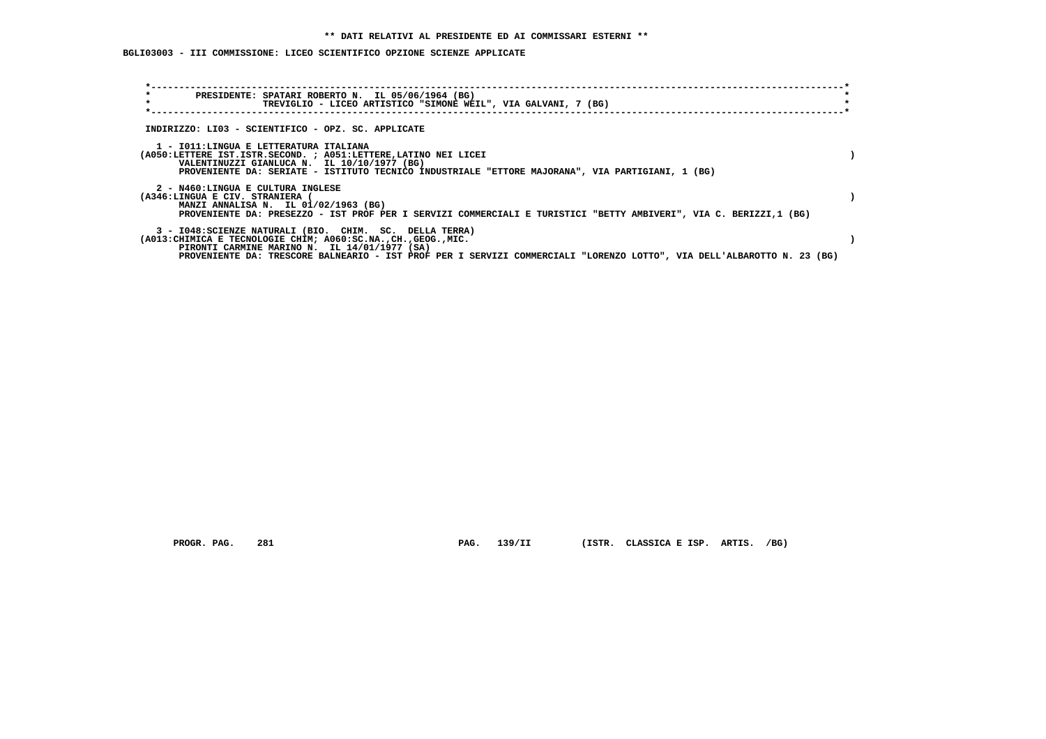# **BGLI03003 - III COMMISSIONE: LICEO SCIENTIFICO OPZIONE SCIENZE APPLICATE**

| $\star$<br>PRESIDENTE: SPATARI ROBERTO N. IL 05/06/1964 (BG)<br>$\star$<br>TREVIGLIO - LICEO ARTISTICO "SIMONE WEIL", VIA GALVANI, 7 (BG)                              |  |
|------------------------------------------------------------------------------------------------------------------------------------------------------------------------|--|
|                                                                                                                                                                        |  |
| INDIRIZZO: LI03 - SCIENTIFICO - OPZ. SC. APPLICATE                                                                                                                     |  |
| 1 - IO11:LINGUA E LETTERATURA ITALIANA                                                                                                                                 |  |
| (A050:LETTERE IST.ISTR.SECOND. ; A051:LETTERE, LATINO NEI LICEI                                                                                                        |  |
| VALENTINUZZI GIANLUCA N. IL 10/10/1977 (BG)<br>PROVENIENTE DA: SERIATE - ISTITUTO TECNICO INDUSTRIALE "ETTORE MAJORANA", VIA PARTIGIANI, 1 (BG)                        |  |
|                                                                                                                                                                        |  |
| 2 - N460:LINGUA E CULTURA INGLESE<br>(A346:LINGUA E CIV. STRANIERA (                                                                                                   |  |
| MANZI ANNALISA N. IL 01/02/1963 (BG)                                                                                                                                   |  |
| PROVENIENTE DA: PRESEZZO - IST PROF PER I SERVIZI COMMERCIALI E TURISTICI "BETTY AMBIVERI", VIA C. BERIZZI,1 (BG)                                                      |  |
| 3 - I048: SCIENZE NATURALI (BIO. CHIM. SC. DELLA TERRA)                                                                                                                |  |
| (A013: CHIMICA E TECNOLOGIE CHIM; A060: SC.NA., CH., GEOG., MIC.                                                                                                       |  |
| PIRONTI CARMINE MARINO N. IL 14/01/1977 (SA)<br>PROVENIENTE DA: TRESCORE BALNEARIO - IST PROF PER I SERVIZI COMMERCIALI "LORENZO LOTTO", VIA DELL'ALBAROTTO N. 23 (BG) |  |
|                                                                                                                                                                        |  |

 **PROGR. PAG. 281 PAG. 139/II (ISTR. CLASSICA E ISP. ARTIS. /BG)**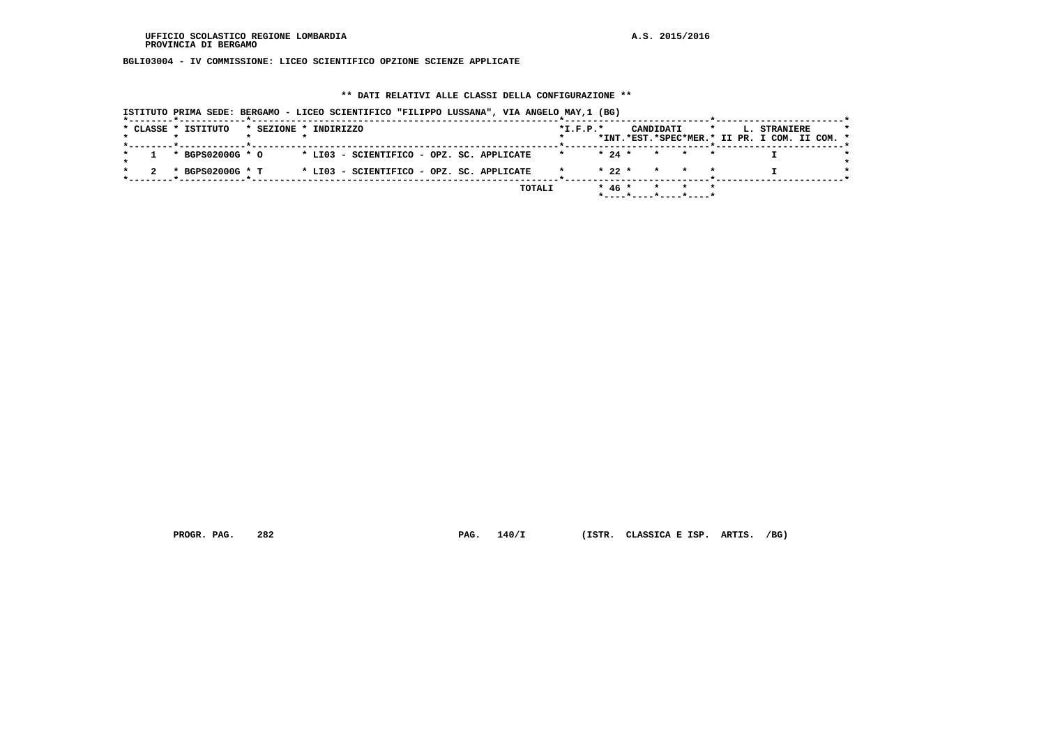**BGLI03004 - IV COMMISSIONE: LICEO SCIENTIFICO OPZIONE SCIENZE APPLICATE**

# **\*\* DATI RELATIVI ALLE CLASSI DELLA CONFIGURAZIONE \*\***

| * CLASSE * ISTITUTO  | * SEZIONE * INDIRIZZO                     | $*L.F.P.*$ |          | CANDIDATI                                  |       | $\star$<br>L. STRANIERE<br>*INT.*EST.*SPEC*MER.* II PR. I COM. II COM. * |  |
|----------------------|-------------------------------------------|------------|----------|--------------------------------------------|-------|--------------------------------------------------------------------------|--|
|                      |                                           |            |          |                                            |       |                                                                          |  |
| $1 * BGPS02000G * O$ | * LI03 - SCIENTIFICO - OPZ. SC. APPLICATE |            |          | $\star$ 24 $\star$ $\star$ $\star$ $\star$ |       |                                                                          |  |
| * BGPS02000G * T     | * LI03 - SCIENTIFICO - OPZ. SC. APPLICATE |            |          | $* 22 * * * * * * *$                       |       |                                                                          |  |
|                      | TOTALI                                    |            | $* 46 *$ |                                            | * * * |                                                                          |  |

 **PROGR. PAG. 282 PAG. 140/I (ISTR. CLASSICA E ISP. ARTIS. /BG)**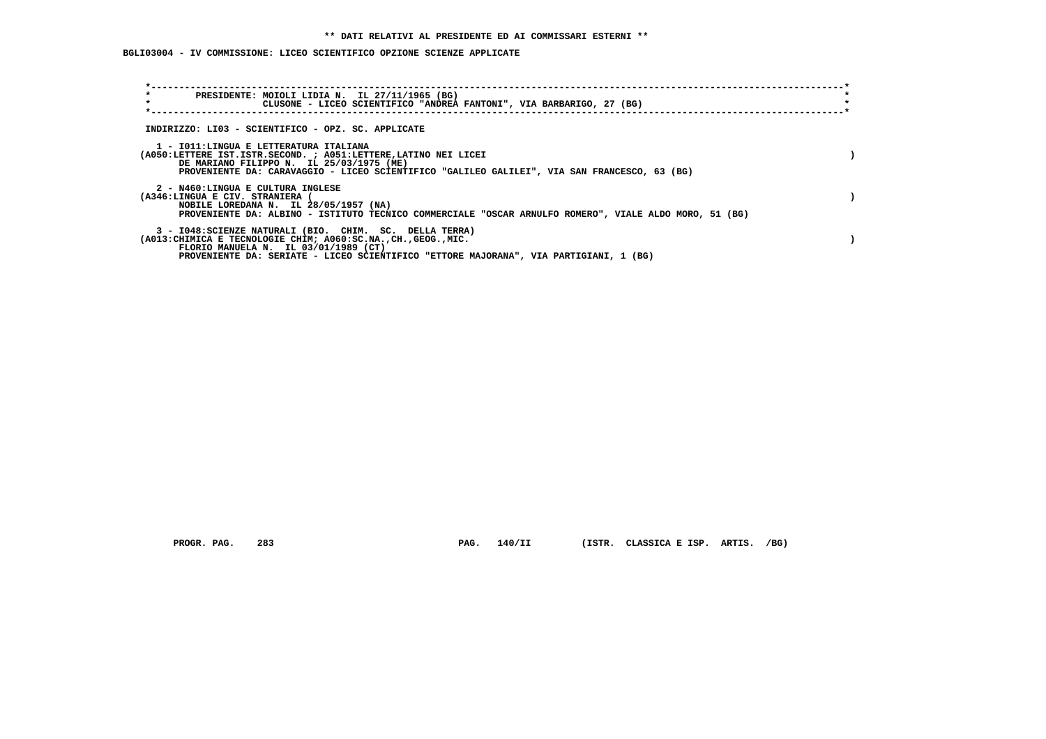# **BGLI03004 - IV COMMISSIONE: LICEO SCIENTIFICO OPZIONE SCIENZE APPLICATE**

| $\star$<br>PRESIDENTE: MOIOLI LIDIA N. IL 27/11/1965 (BG)<br>$\star$<br>CLUSONE - LICEO SCIENTIFICO "ANDREA FANTONI", VIA BARBARIGO, 27 (BG)                                                                                                                 |  |
|--------------------------------------------------------------------------------------------------------------------------------------------------------------------------------------------------------------------------------------------------------------|--|
| INDIRIZZO: LI03 - SCIENTIFICO - OPZ. SC. APPLICATE                                                                                                                                                                                                           |  |
| 1 - IO11: LINGUA E LETTERATURA ITALIANA<br>(A050:LETTERE IST.ISTR.SECOND. ; A051:LETTERE, LATINO NEI LICEI<br>DE MARIANO FILIPPO N. IL 25/03/1975 (ME)<br>PROVENIENTE DA: CARAVAGGIO - LICEO SCIENTIFICO "GALILEO GALILEI", VIA SAN FRANCESCO, 63 (BG)       |  |
| 2 - N460:LINGUA E CULTURA INGLESE<br>(A346:LINGUA E CIV. STRANIERA<br>NOBILE LOREDANA N. IL 28/05/1957 (NA)<br>PROVENIENTE DA: ALBINO - ISTITUTO TECNICO COMMERCIALE "OSCAR ARNULFO ROMERO", VIALE ALDO MORO, 51 (BG)                                        |  |
| 3 - I048: SCIENZE NATURALI (BIO. CHIM. SC. DELLA TERRA)<br>(A013: CHIMICA E TECNOLOGIE CHIM; A060: SC.NA., CH., GEOG., MIC.<br>FLORIO MANUELA N. IL 03/01/1989 (CT)<br>PROVENIENTE DA: SERIATE - LICEO SCIENTIFICO "ETTORE MAJORANA", VIA PARTIGIANI, 1 (BG) |  |

 **PROGR. PAG. 283 PAG. 140/II (ISTR. CLASSICA E ISP. ARTIS. /BG)**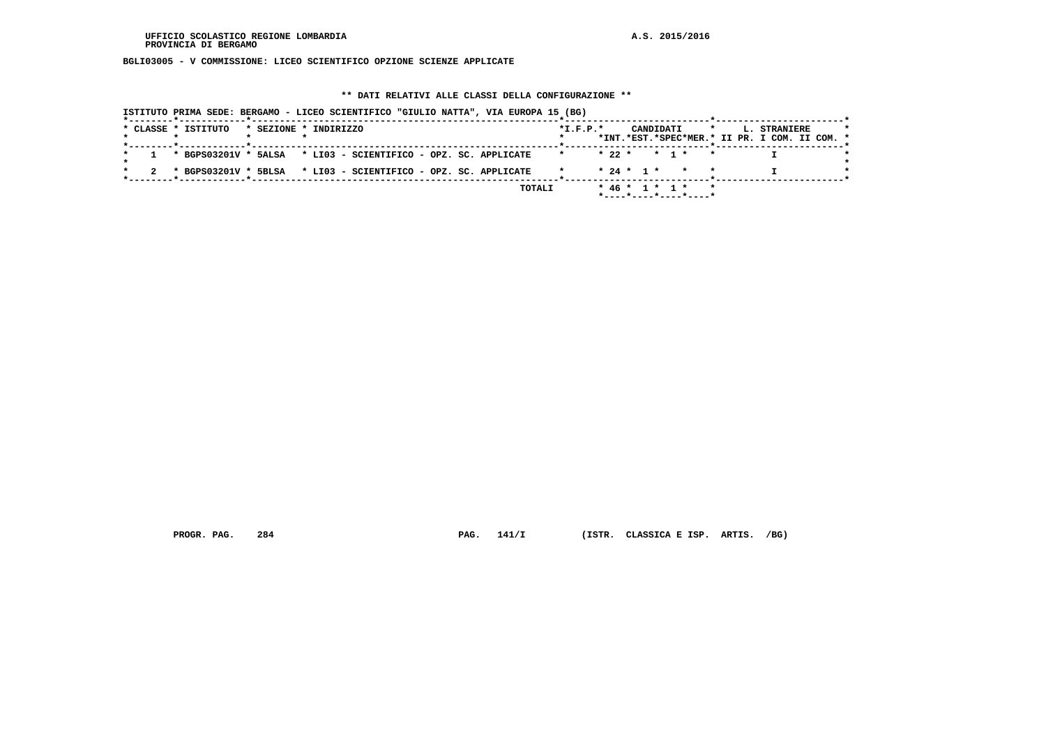**BGLI03005 - V COMMISSIONE: LICEO SCIENTIFICO OPZIONE SCIENZE APPLICATE**

# **\*\* DATI RELATIVI ALLE CLASSI DELLA CONFIGURAZIONE \*\***

| * CLASSE * ISTITUTO | * SEZIONE * INDIRIZZO                                            | $*I.F.P.*$ | CANDIDATI    |                    | $\star$<br>L. STRANIERE<br>*INT.*EST.*SPEC*MER.* II PR. I COM. II COM. * |  |
|---------------------|------------------------------------------------------------------|------------|--------------|--------------------|--------------------------------------------------------------------------|--|
|                     |                                                                  |            |              |                    |                                                                          |  |
|                     | 1 * BGPS03201V * 5ALSA * LI03 - SCIENTIFICO - OPZ. SC. APPLICATE |            |              | $* 22 * * 1 * * *$ |                                                                          |  |
|                     | * BGPS03201V * 5BLSA * LI03 - SCIENTIFICO - OPZ. SC. APPLICATE   |            | $* 24 * 1 *$ |                    |                                                                          |  |

 **PROGR. PAG. 284 PAG. 141/I (ISTR. CLASSICA E ISP. ARTIS. /BG)**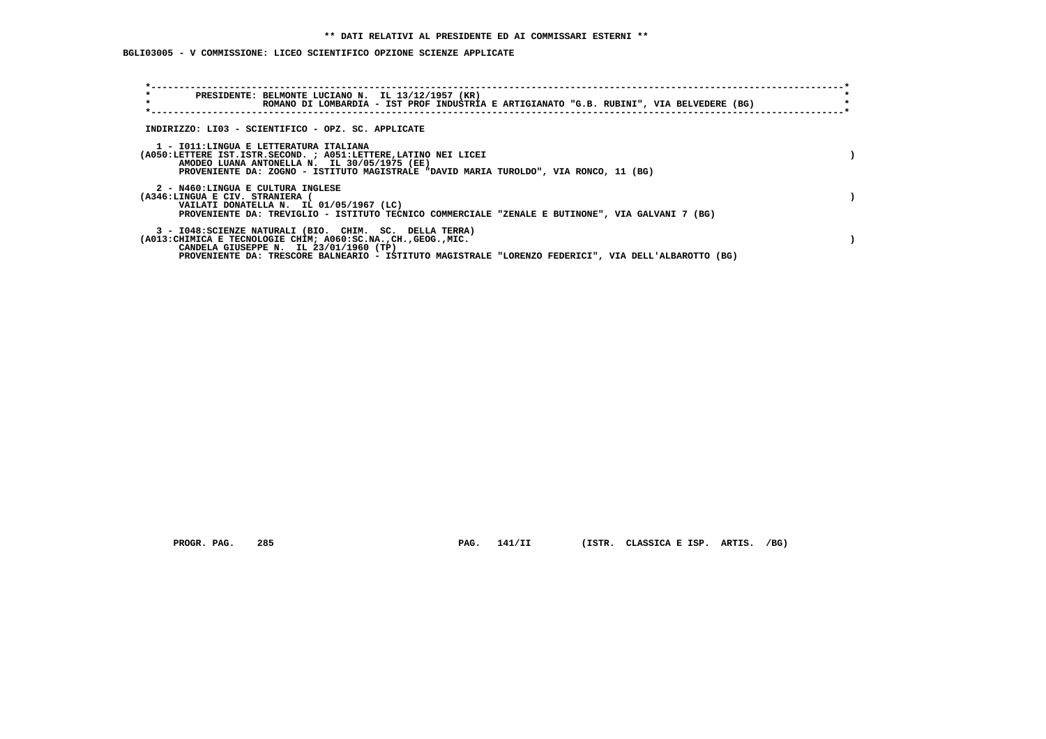# **BGLI03005 - V COMMISSIONE: LICEO SCIENTIFICO OPZIONE SCIENZE APPLICATE**

| $\star$<br>$\star$ |                                 | PRESIDENTE: BELMONTE LUCIANO N. IL 13/12/1957 (KR)                                                                                                                                                                                                                            |  |  |  | ROMANO DI LOMBARDIA - IST PROF INDUSTRIA E ARTIGIANATO "G.B. RUBINI", VIA BELVEDERE (BG) |  |
|--------------------|---------------------------------|-------------------------------------------------------------------------------------------------------------------------------------------------------------------------------------------------------------------------------------------------------------------------------|--|--|--|------------------------------------------------------------------------------------------|--|
|                    |                                 | INDIRIZZO: LI03 - SCIENTIFICO - OPZ. SC. APPLICATE                                                                                                                                                                                                                            |  |  |  |                                                                                          |  |
|                    |                                 | 1 - IO11: LINGUA E LETTERATURA ITALIANA<br>(A050:LETTERE IST.ISTR.SECOND. ; A051:LETTERE, LATINO NEI LICEI<br>AMODEO LUANA ANTONELLA N. IL 30/05/1975 (EE)<br>PROVENIENTE DA: ZOGNO - ISTITUTO MAGISTRALE "DAVID MARIA TUROLDO", VIA RONCO, 11 (BG)                           |  |  |  |                                                                                          |  |
|                    | (A346:LINGUA E CIV. STRANIERA ( | 2 - N460:LINGUA E CULTURA INGLESE<br>VAILATI DONATELLA N. IL 01/05/1967 (LC)<br>PROVENIENTE DA: TREVIGLIO - ISTITUTO TECNICO COMMERCIALE "ZENALE E BUTINONE", VIA GALVANI 7 (BG)                                                                                              |  |  |  |                                                                                          |  |
|                    |                                 | 3 - I048: SCIENZE NATURALI (BIO. CHIM. SC. DELLA TERRA)<br>(A013: CHIMICA E TECNOLOGIE CHIM; A060: SC.NA., CH., GEOG., MIC.<br>CANDELA GIUSEPPE N. IL 23/01/1960 (TP)<br>PROVENIENTE DA: TRESCORE BALNEARIO - ISTITUTO MAGISTRALE "LORENZO FEDERICI", VIA DELL'ALBAROTTO (BG) |  |  |  |                                                                                          |  |

PROGR. PAG. 285 **PAG. 141/II** (ISTR. CLASSICA E ISP. ARTIS. /BG)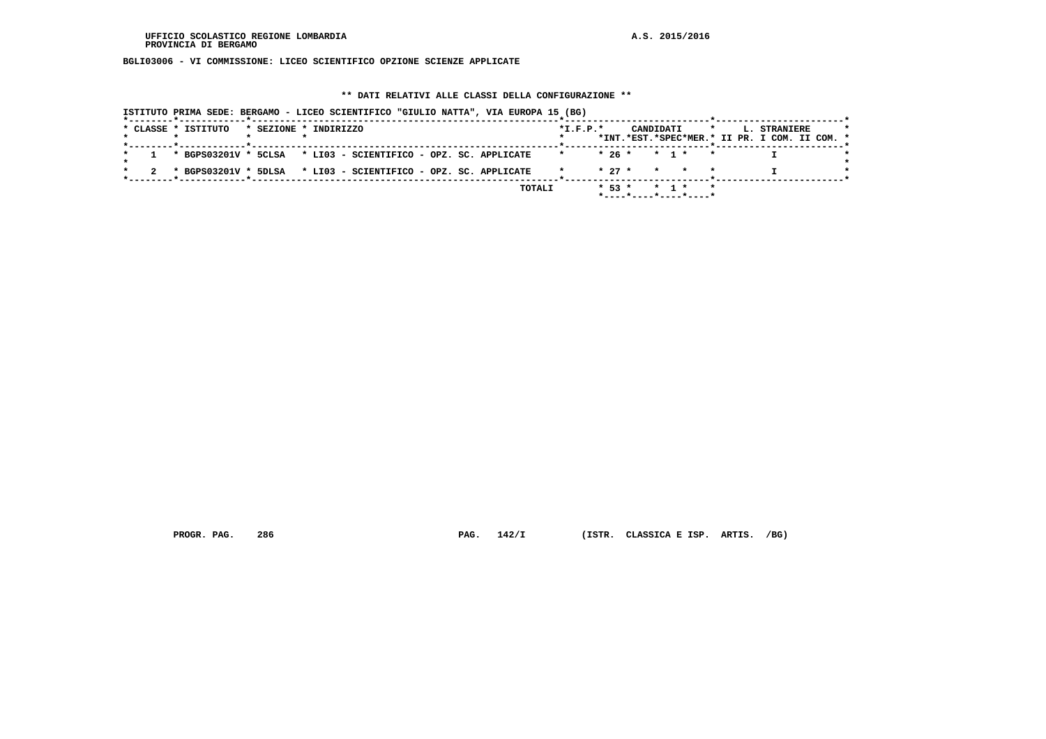**BGLI03006 - VI COMMISSIONE: LICEO SCIENTIFICO OPZIONE SCIENZE APPLICATE**

# **\*\* DATI RELATIVI ALLE CLASSI DELLA CONFIGURAZIONE \*\***

| * CLASSE * ISTITUTO |  | * SEZIONE * INDIRIZZO |                                                                                |  |        | $*L.F.P.*$ |                |  | CANDIDATI *                                | L. STRANIERE                                  |  |
|---------------------|--|-----------------------|--------------------------------------------------------------------------------|--|--------|------------|----------------|--|--------------------------------------------|-----------------------------------------------|--|
|                     |  |                       |                                                                                |  |        |            |                |  |                                            | *INT.*EST.*SPEC*MER.* II PR. I COM. II COM. * |  |
|                     |  |                       | $1 \times$ BGPS03201V * 5CLSA $\times$ LI03 - SCIENTIFICO - OPZ. SC. APPLICATE |  |        |            |                |  | $* 26 * * 1 * *$                           |                                               |  |
|                     |  |                       | 2 * BGPS03201V * 5DLSA * LI03 - SCIENTIFICO - OPZ. SC. APPLICATE               |  |        |            |                |  | $\star$ 27 $\star$ $\star$ $\star$ $\star$ |                                               |  |
|                     |  |                       |                                                                                |  | TOTALI |            | $* 53 * * 1 *$ |  | $\star$<br>*----*----*----*----*           |                                               |  |

 **PROGR. PAG. 286 PAG. 142/I (ISTR. CLASSICA E ISP. ARTIS. /BG)**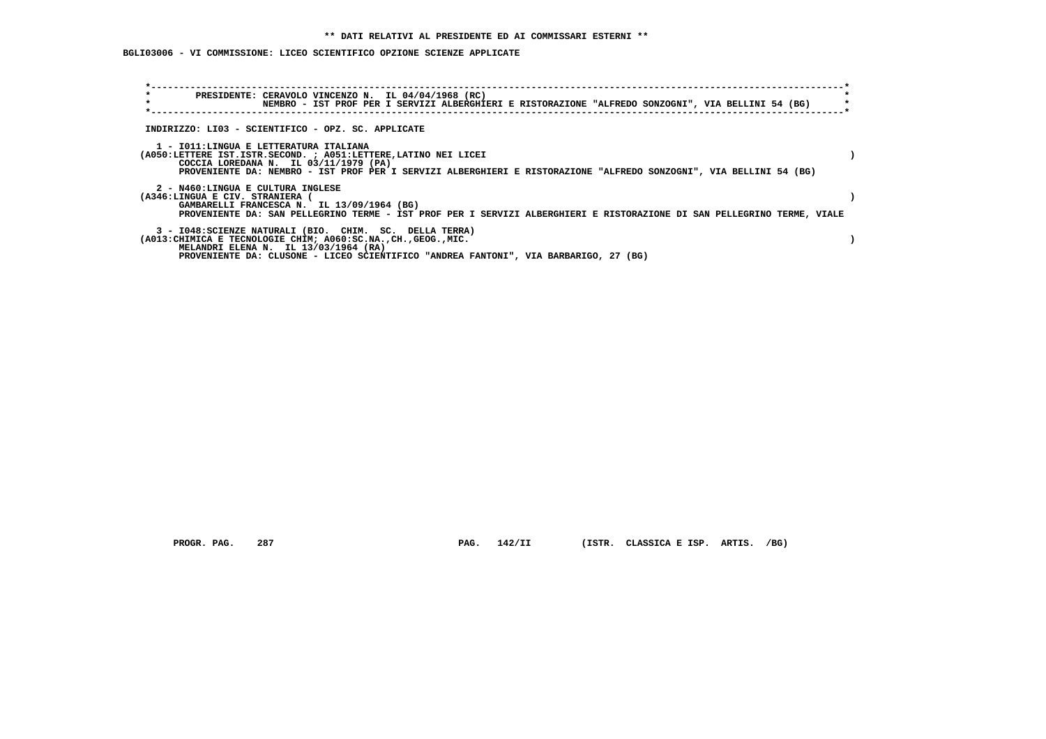# **BGLI03006 - VI COMMISSIONE: LICEO SCIENTIFICO OPZIONE SCIENZE APPLICATE**

| $\star$<br>$\star$ | PRESIDENTE: CERAVOLO VINCENZO N. IL 04/04/1968 (RC)<br>NEMBRO - IST PROF PER I SERVIZI ALBERGHIERI E RISTORAZIONE "ALFREDO SONZOGNI", VIA BELLINI 54 (BG)                                                                                                                |  |
|--------------------|--------------------------------------------------------------------------------------------------------------------------------------------------------------------------------------------------------------------------------------------------------------------------|--|
|                    | INDIRIZZO: LI03 - SCIENTIFICO - OPZ. SC. APPLICATE                                                                                                                                                                                                                       |  |
|                    | 1 - IO11:LINGUA E LETTERATURA ITALIANA<br>(A050:LETTERE IST.ISTR.SECOND. ; A051:LETTERE, LATINO NEI LICEI<br>COCCIA LOREDANA N. IL 03/11/1979 (PA)<br>PROVENIENTE DA: NEMBRO - IST PROF PER I SERVIZI ALBERGHIERI E RISTORAZIONE "ALFREDO SONZOGNI", VIA BELLINI 54 (BG) |  |
|                    | 2 - N460:LINGUA E CULTURA INGLESE<br>(A346:LINGUA E CIV. STRANIERA<br>GAMBARELLI FRANCESCA N. IL 13/09/1964 (BG)<br>PROVENIENTE DA: SAN PELLEGRINO TERME - IST PROF PER I SERVIZI ALBERGHIERI E RISTORAZIONE DI SAN PELLEGRINO TERME, VIALE                              |  |
|                    | 3 - I048: SCIENZE NATURALI (BIO. CHIM. SC. DELLA TERRA)<br>(A013: CHIMICA E TECNOLOGIE CHIM; A060: SC.NA., CH., GEOG., MIC.<br>MELANDRI ELENA N. IL 13/03/1964 (RA)<br>PROVENIENTE DA: CLUSONE - LICEO SCIENTIFICO "ANDREA FANTONI", VIA BARBARIGO, 27 (BG)              |  |

 **PROGR. PAG. 287 PAG. 142/II (ISTR. CLASSICA E ISP. ARTIS. /BG)**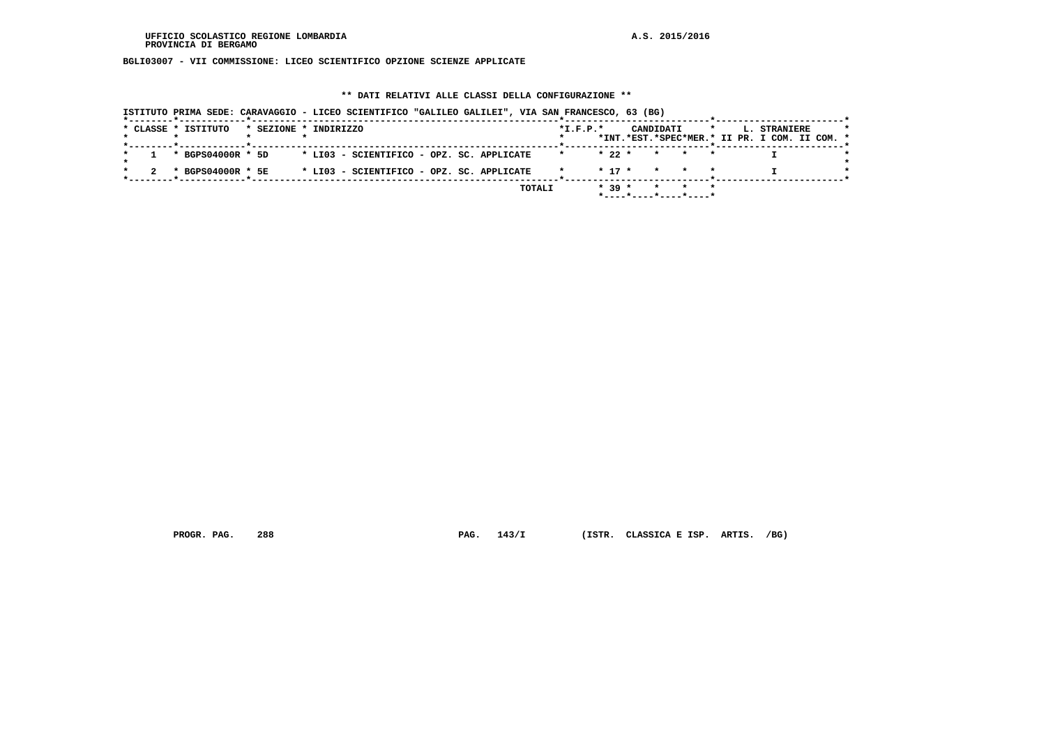**BGLI03007 - VII COMMISSIONE: LICEO SCIENTIFICO OPZIONE SCIENZE APPLICATE**

### **\*\* DATI RELATIVI ALLE CLASSI DELLA CONFIGURAZIONE \*\***

|                     |                   |                       | ISTITUTO PRIMA SEDE: CARAVAGGIO - LICEO SCIENTIFICO "GALILEO GALILEI", VIA SAN FRANCESCO, 63 (BG) |                |                                                                |                                                                          |  |
|---------------------|-------------------|-----------------------|---------------------------------------------------------------------------------------------------|----------------|----------------------------------------------------------------|--------------------------------------------------------------------------|--|
| * CLASSE * ISTITUTO |                   | * SEZIONE * INDIRIZZO |                                                                                                   | $*$ I.F.P. $*$ | CANDIDATI                                                      | $\star$<br>L. STRANIERE<br>*INT.*EST.*SPEC*MER.* II PR. I COM. II COM. * |  |
|                     | * BGPS04000R * 5D |                       | * LI03 - SCIENTIFICO - OPZ. SC. APPLICATE                                                         | $* 22 *$       | * * *                                                          |                                                                          |  |
|                     | * BGPS04000R * 5E |                       | * LI03 - SCIENTIFICO - OPZ. SC. APPLICATE                                                         |                | $* 17 * * * * * *$                                             |                                                                          |  |
|                     |                   |                       | TOTALI                                                                                            | $* 39 *$       | * * *<br>$*$ - - - - $*$ - - - - $*$ - - - - $*$ - - - - - $*$ |                                                                          |  |

 **PROGR. PAG. 288 PAG. 143/I (ISTR. CLASSICA E ISP. ARTIS. /BG)**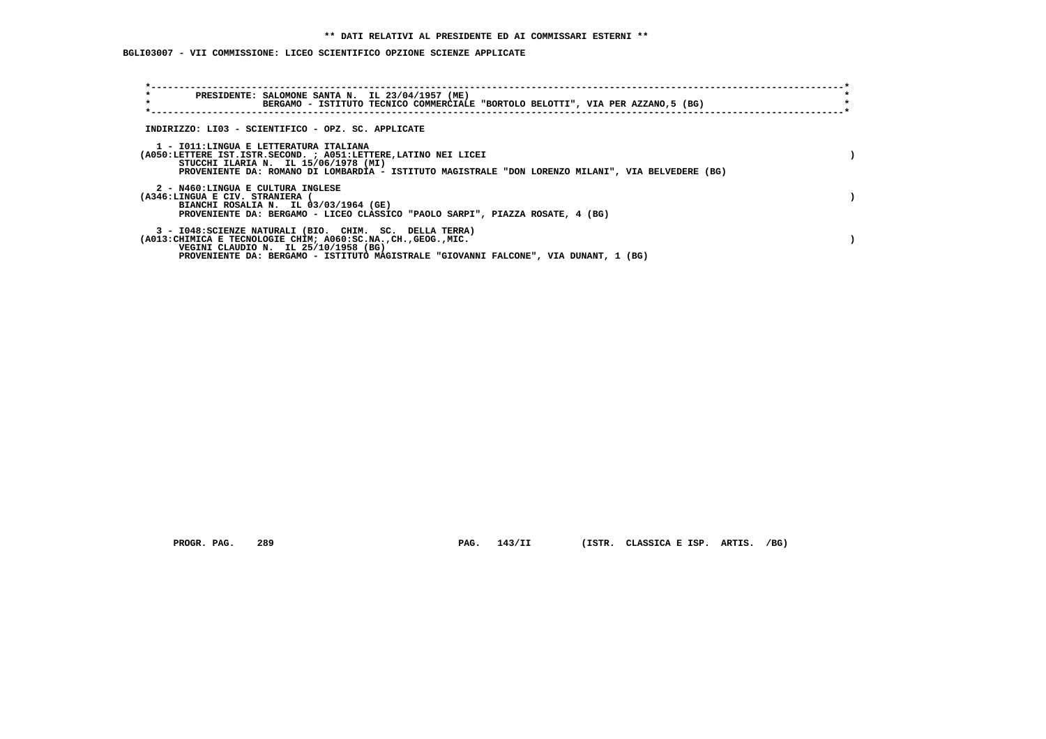## **BGLI03007 - VII COMMISSIONE: LICEO SCIENTIFICO OPZIONE SCIENZE APPLICATE**

| $\star$<br>PRESIDENTE: SALOMONE SANTA N. IL 23/04/1957 (ME)<br>$\star$<br>BERGAMO - ISTITUTO TECNICO COMMERCIALE "BORTOLO BELOTTI", VIA PER AZZANO,5 (BG)                                                                                                   |  |
|-------------------------------------------------------------------------------------------------------------------------------------------------------------------------------------------------------------------------------------------------------------|--|
| INDIRIZZO: LI03 - SCIENTIFICO - OPZ. SC. APPLICATE                                                                                                                                                                                                          |  |
| 1 - IO11:LINGUA E LETTERATURA ITALIANA<br>(A050:LETTERE IST.ISTR.SECOND. ; A051:LETTERE, LATINO NEI LICEI<br>STUCCHI ILARIA N. IL 15/06/1978 (MI)<br>PROVENIENTE DA: ROMANO DI LOMBARDIA - ISTITUTO MAGISTRALE "DON LORENZO MILANI", VIA BELVEDERE (BG)     |  |
| 2 - N460:LINGUA E CULTURA INGLESE<br>(A346:LINGUA E CIV. STRANIERA<br>BIANCHI ROSALIA N. IL 03/03/1964 (GE)<br>PROVENIENTE DA: BERGAMO - LICEO CLASSICO "PAOLO SARPI", PIAZZA ROSATE, 4 (BG)                                                                |  |
| 3 - I048: SCIENZE NATURALI (BIO. CHIM. SC. DELLA TERRA)<br>(A013: CHIMICA E TECNOLOGIE CHIM; A060: SC.NA., CH., GEOG., MIC.<br>VEGINI CLAUDIO N. IL 25/10/1958 (BG)<br>PROVENIENTE DA: BERGAMO - ISTITUTO MAGISTRALE "GIOVANNI FALCONE", VIA DUNANT, 1 (BG) |  |

PROGR. PAG. 289 **PAG. 143/II** (ISTR. CLASSICA E ISP. ARTIS. /BG)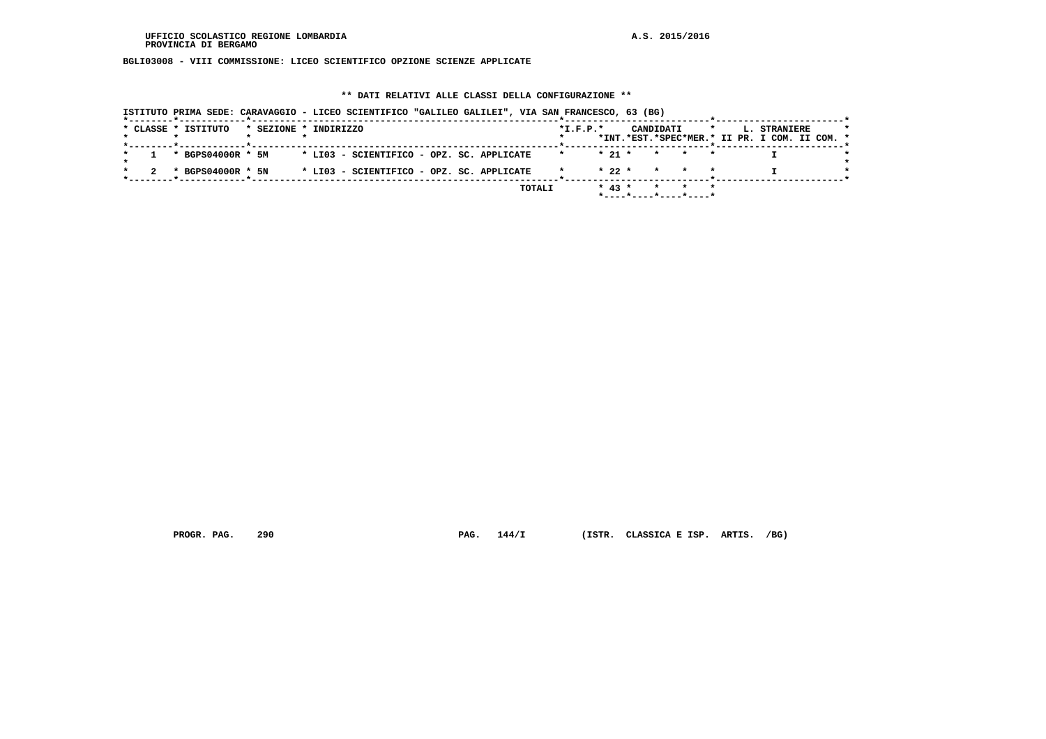**BGLI03008 - VIII COMMISSIONE: LICEO SCIENTIFICO OPZIONE SCIENZE APPLICATE**

### **\*\* DATI RELATIVI ALLE CLASSI DELLA CONFIGURAZIONE \*\***

|  |                     |                       |  |                                           |  | ISTITUTO PRIMA SEDE: CARAVAGGIO - LICEO SCIENTIFICO "GALILEO GALILEI", VIA SAN FRANCESCO, 63 (BG) |                |          |  |           |                                |         |                                                               |  |
|--|---------------------|-----------------------|--|-------------------------------------------|--|---------------------------------------------------------------------------------------------------|----------------|----------|--|-----------|--------------------------------|---------|---------------------------------------------------------------|--|
|  | * CLASSE * ISTITUTO | * SEZIONE * INDIRIZZO |  |                                           |  |                                                                                                   | $*$ I.F.P. $*$ |          |  | CANDIDATI |                                | $\star$ | L. STRANIERE<br>*INT.*EST.*SPEC*MER.* II PR. I COM. II COM. * |  |
|  | * BGPS04000R * 5M   |                       |  | * LI03 - SCIENTIFICO - OPZ. SC. APPLICATE |  |                                                                                                   |                | $* 21 *$ |  |           | * * *                          |         |                                                               |  |
|  | * BGPS04000R * 5N   |                       |  | * LI03 - SCIENTIFICO - OPZ. SC. APPLICATE |  |                                                                                                   |                | $* 22 *$ |  |           | * * *                          |         |                                                               |  |
|  |                     |                       |  |                                           |  | TOTALI                                                                                            |                | $* 43 *$ |  |           | * * *<br>*----*----*----*----* |         |                                                               |  |

 **PROGR. PAG. 290 PAG. 144/I (ISTR. CLASSICA E ISP. ARTIS. /BG)**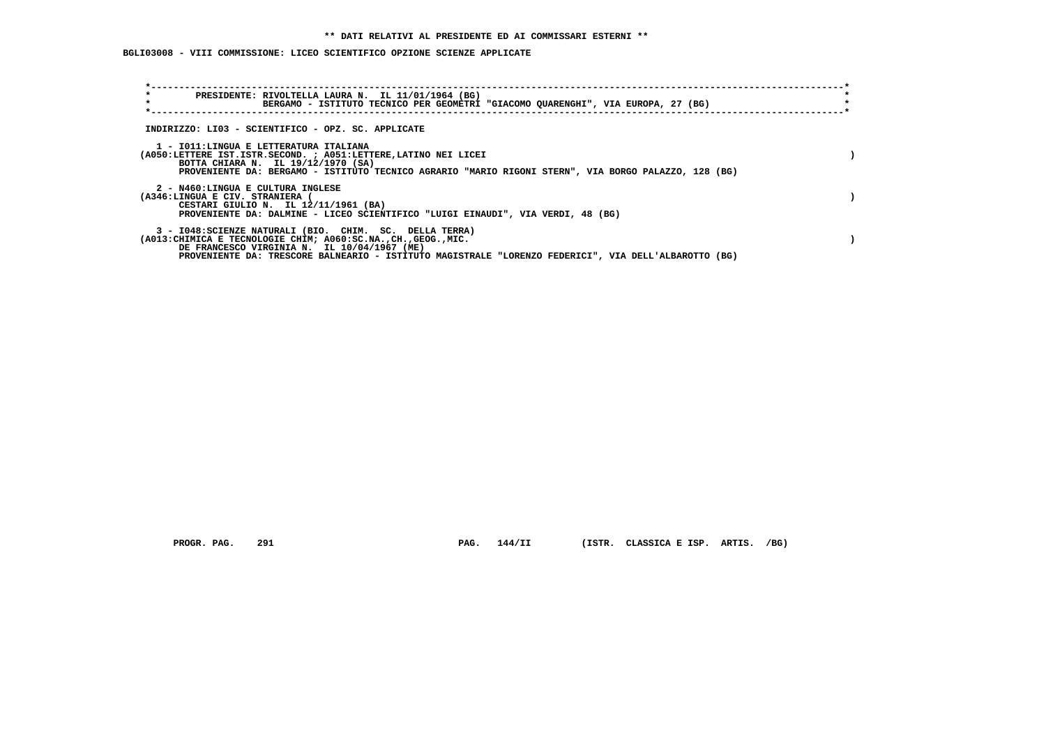### **BGLI03008 - VIII COMMISSIONE: LICEO SCIENTIFICO OPZIONE SCIENZE APPLICATE**

| $\star$<br>$\star$                                                   | PRESIDENTE: RIVOLTELLA LAURA N. IL 11/01/1964 (BG)<br>BERGAMO - ISTITUTO TECNICO PER GEOMETRI "GIACOMO QUARENGHI", VIA EUROPA, 27 (BG)                                                                                                                                             |  |
|----------------------------------------------------------------------|------------------------------------------------------------------------------------------------------------------------------------------------------------------------------------------------------------------------------------------------------------------------------------|--|
|                                                                      | INDIRIZZO: LI03 - SCIENTIFICO - OPZ. SC. APPLICATE                                                                                                                                                                                                                                 |  |
| 1 - IO11: LINGUA E LETTERATURA ITALIANA                              | (A050:LETTERE IST.ISTR.SECOND. ; A051:LETTERE, LATINO NEI LICEI<br>BOTTA CHIARA N. IL 19/12/1970 (SA)<br>PROVENIENTE DA: BERGAMO - ISTITUTO TECNICO AGRARIO "MARIO RIGONI STERN", VIA BORGO PALAZZO, 128 (BG)                                                                      |  |
| 2 - N460:LINGUA E CULTURA INGLESE<br>(A346:LINGUA E CIV. STRANIERA ( | CESTARI GIULIO N. IL 12/11/1961 (BA)<br>PROVENIENTE DA: DALMINE - LICEO SCIENTIFICO "LUIGI EINAUDI", VIA VERDI, 48 (BG)                                                                                                                                                            |  |
|                                                                      | 3 - I048: SCIENZE NATURALI (BIO. CHIM. SC. DELLA TERRA)<br>(A013: CHIMICA E TECNOLOGIE CHIM; A060: SC.NA., CH., GEOG., MIC.<br>DE FRANCESCO VIRGINIA N. IL 10/04/1967 (ME)<br>PROVENIENTE DA: TRESCORE BALNEARIO - ISTITUTO MAGISTRALE "LORENZO FEDERICI", VIA DELL'ALBAROTTO (BG) |  |

 **PROGR. PAG. 291 PAG. 144/II (ISTR. CLASSICA E ISP. ARTIS. /BG)**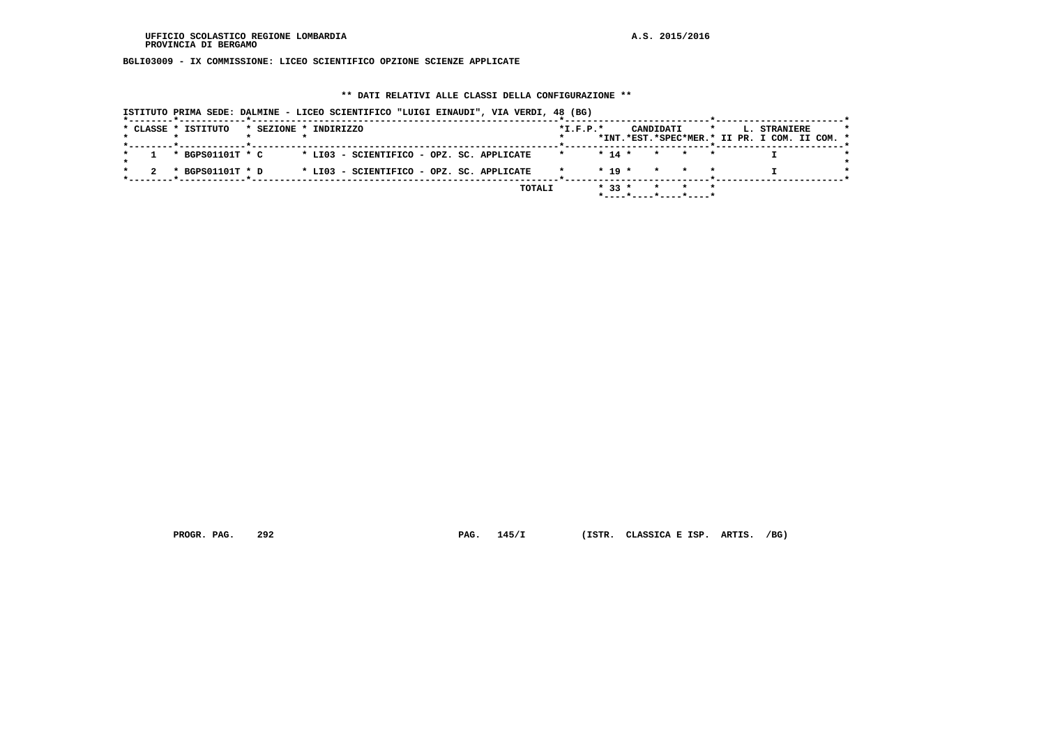**BGLI03009 - IX COMMISSIONE: LICEO SCIENTIFICO OPZIONE SCIENZE APPLICATE**

#### **\*\* DATI RELATIVI ALLE CLASSI DELLA CONFIGURAZIONE \*\***

| *--------*-----------*----- |                       |                                           | ISTITUTO PRIMA SEDE: DALMINE - LICEO SCIENTIFICO "LUIGI EINAUDI", VIA VERDI, 48 (BG) |                |            |                                                        |         |                                                               |  |
|-----------------------------|-----------------------|-------------------------------------------|--------------------------------------------------------------------------------------|----------------|------------|--------------------------------------------------------|---------|---------------------------------------------------------------|--|
| * CLASSE * ISTITUTO         | * SEZIONE * INDIRIZZO |                                           |                                                                                      | $*$ I.F.P. $*$ |            | CANDIDATI                                              | $\star$ | L. STRANIERE<br>*INT.*EST.*SPEC*MER.* II PR. I COM. II COM. * |  |
| * BGPS01101T * C            |                       | * LI03 - SCIENTIFICO - OPZ. SC. APPLICATE |                                                                                      |                | $* 14 *$   | * * *                                                  |         |                                                               |  |
| * BGPS01101T * D            |                       | * LI03 - SCIENTIFICO - OPZ. SC. APPLICATE |                                                                                      |                | $*$ 19 $*$ | * * *                                                  |         |                                                               |  |
|                             |                       |                                           | TOTALI                                                                               |                | $* 33 *$   | $\star$ $\sim$<br>$*$ ---- $*$ ---- $*$ ---- $*$ ----* | * *     |                                                               |  |

 **PROGR. PAG. 292 PAG. 145/I (ISTR. CLASSICA E ISP. ARTIS. /BG)**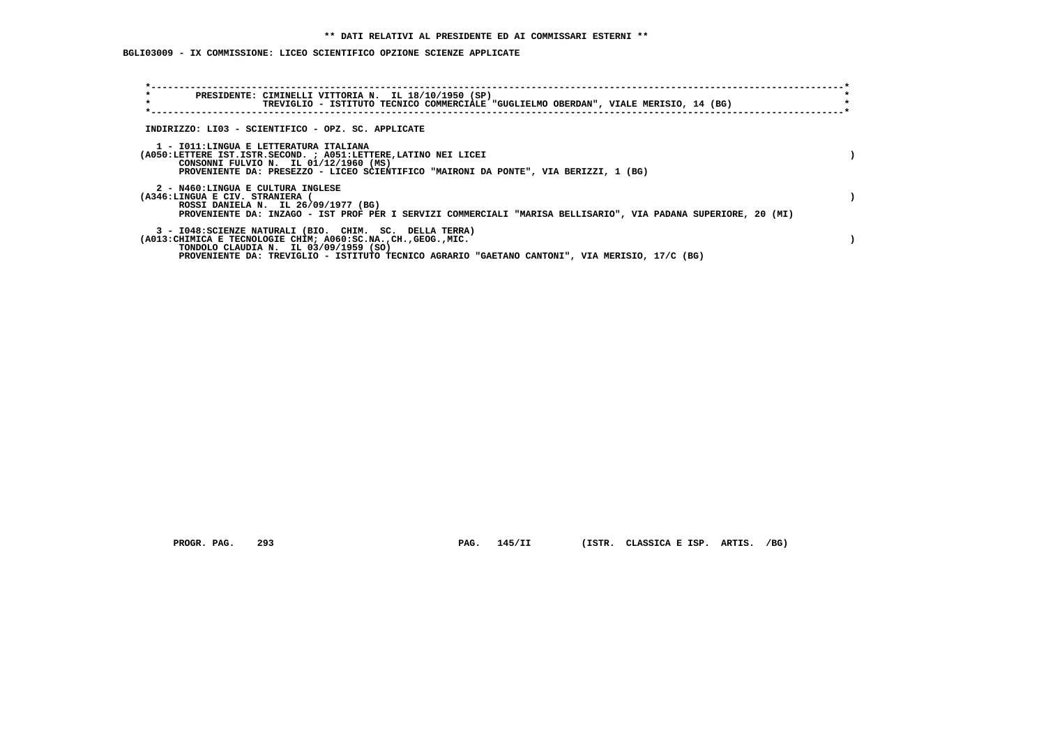# **BGLI03009 - IX COMMISSIONE: LICEO SCIENTIFICO OPZIONE SCIENZE APPLICATE**

| $\star$<br>$\star$                                                   | PRESIDENTE: CIMINELLI VITTORIA N. IL 18/10/1950 (SP)<br>TREVIGLIO - ISTITUTO TECNICO COMMERCIALE "GUGLIELMO OBERDAN", VIALE MERISIO, 14 (BG)                                                                                                                           |  |
|----------------------------------------------------------------------|------------------------------------------------------------------------------------------------------------------------------------------------------------------------------------------------------------------------------------------------------------------------|--|
|                                                                      | INDIRIZZO: LI03 - SCIENTIFICO - OPZ. SC. APPLICATE                                                                                                                                                                                                                     |  |
|                                                                      | 1 - IO11:LINGUA E LETTERATURA ITALIANA<br>(A050:LETTERE IST.ISTR.SECOND. ; A051:LETTERE, LATINO NEI LICEI<br>CONSONNI FULVIO N. IL 01/12/1960 (MS)<br>PROVENIENTE DA: PRESEZZO - LICEO SCIENTIFICO "MAIRONI DA PONTE", VIA BERIZZI, 1 (BG)                             |  |
| 2 - N460:LINGUA E CULTURA INGLESE<br>(A346:LINGUA E CIV. STRANIERA ( | ROSSI DANIELA N. IL 26/09/1977 (BG)<br>PROVENIENTE DA: INZAGO - IST PROF PER I SERVIZI COMMERCIALI "MARISA BELLISARIO", VIA PADANA SUPERIORE, 20 (MI)                                                                                                                  |  |
|                                                                      | 3 - I048: SCIENZE NATURALI (BIO. CHIM. SC. DELLA TERRA)<br>(A013: CHIMICA E TECNOLOGIE CHIM; A060: SC.NA., CH., GEOG., MIC.<br>TONDOLO CLAUDIA N. IL 03/09/1959 (SO)<br>PROVENIENTE DA: TREVIGLIO - ISTITUTO TECNICO AGRARIO "GAETANO CANTONI", VIA MERISIO, 17/C (BG) |  |

 **PROGR. PAG. 293 PAG. 145/II (ISTR. CLASSICA E ISP. ARTIS. /BG)**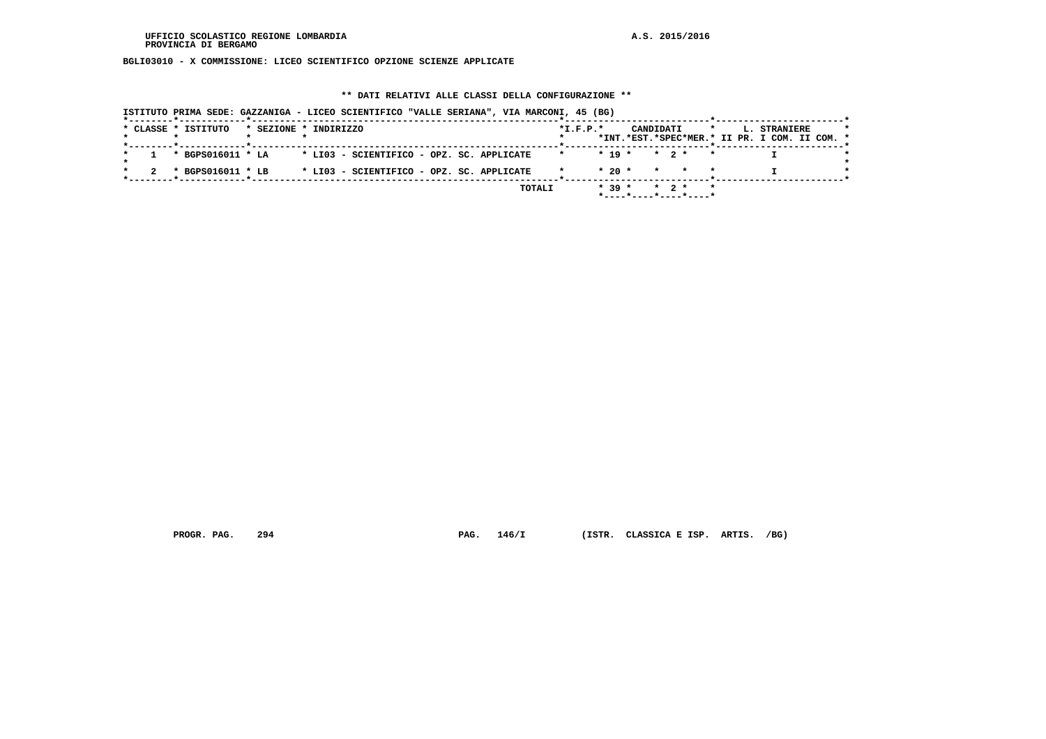**BGLI03010 - X COMMISSIONE: LICEO SCIENTIFICO OPZIONE SCIENZE APPLICATE**

#### **\*\* DATI RELATIVI ALLE CLASSI DELLA CONFIGURAZIONE \*\***

| * CLASSE * ISTITUTO |                   | * SEZIONE * INDIRIZZO                     |                                           | $*$ I.F.P. $*$ |            | CANDIDATI                                  | $\star$ | L. STRANIERE<br>*INT.*EST.*SPEC*MER.* II PR. I COM. II COM. * |  |
|---------------------|-------------------|-------------------------------------------|-------------------------------------------|----------------|------------|--------------------------------------------|---------|---------------------------------------------------------------|--|
|                     |                   |                                           |                                           |                |            |                                            |         |                                                               |  |
|                     | * BGPS016011 * LA | * LI03 - SCIENTIFICO - OPZ. SC. APPLICATE |                                           |                | $*$ 19 $*$ | $\star$ 2 $\star$                          |         |                                                               |  |
|                     | * BGPS016011 * LB |                                           | * LI03 - SCIENTIFICO - OPZ. SC. APPLICATE |                | $*20$ $*$  | * * *                                      |         |                                                               |  |
|                     |                   |                                           | TOTALI                                    |                | $* 39 *$   | $\star$ 2 $\star$<br>*----*----*----*----* | $\star$ |                                                               |  |

 **PROGR. PAG. 294 PAG. 146/I (ISTR. CLASSICA E ISP. ARTIS. /BG)**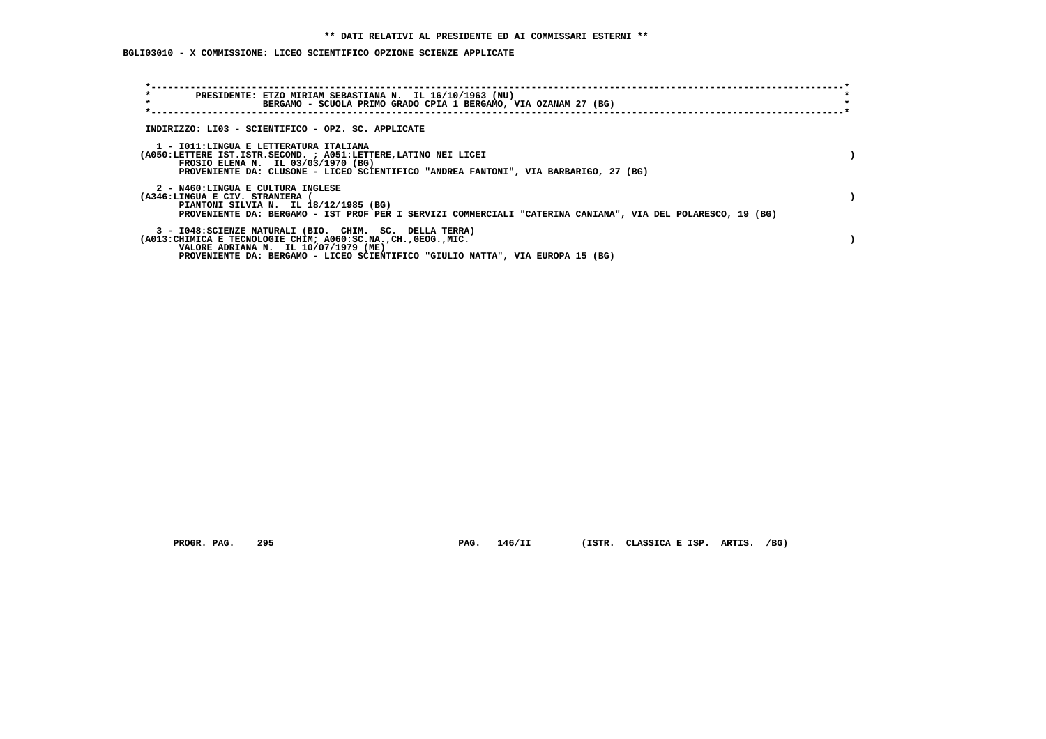# **BGLI03010 - X COMMISSIONE: LICEO SCIENTIFICO OPZIONE SCIENZE APPLICATE**

| $\star$<br>PRESIDENTE: ETZO MIRIAM SEBASTIANA N. IL 16/10/1963 (NU)<br>$\star$<br>BERGAMO - SCUOLA PRIMO GRADO CPIA 1 BERGAMO, VIA OZANAM 27 (BG)                                                                                                     |  |
|-------------------------------------------------------------------------------------------------------------------------------------------------------------------------------------------------------------------------------------------------------|--|
| INDIRIZZO: LI03 - SCIENTIFICO - OPZ. SC. APPLICATE                                                                                                                                                                                                    |  |
| 1 - IO11: LINGUA E LETTERATURA ITALIANA<br>(A050:LETTERE IST.ISTR.SECOND. ; A051:LETTERE, LATINO NEI LICEI<br>FROSIO ELENA N. IL 03/03/1970 (BG)<br>PROVENIENTE DA: CLUSONE - LICEO SCIENTIFICO "ANDREA FANTONI", VIA BARBARIGO, 27 (BG)              |  |
| 2 - N460:LINGUA E CULTURA INGLESE<br>(A346:LINGUA E CIV. STRANIERA<br>PIANTONI SILVIA N. IL 18/12/1985 (BG)<br>PROVENIENTE DA: BERGAMO - IST PROF PER I SERVIZI COMMERCIALI "CATERINA CANIANA", VIA DEL POLARESCO, 19 (BG)                            |  |
| 3 - I048: SCIENZE NATURALI (BIO. CHIM. SC. DELLA TERRA)<br>(A013: CHIMICA E TECNOLOGIE CHIM; A060: SC.NA., CH., GEOG., MIC.<br>VALORE ADRIANA N. IL 10/07/1979 (ME)<br>PROVENIENTE DA: BERGAMO - LICEO SCIENTIFICO "GIULIO NATTA", VIA EUROPA 15 (BG) |  |

 **PROGR. PAG. 295 PAG. 146/II (ISTR. CLASSICA E ISP. ARTIS. /BG)**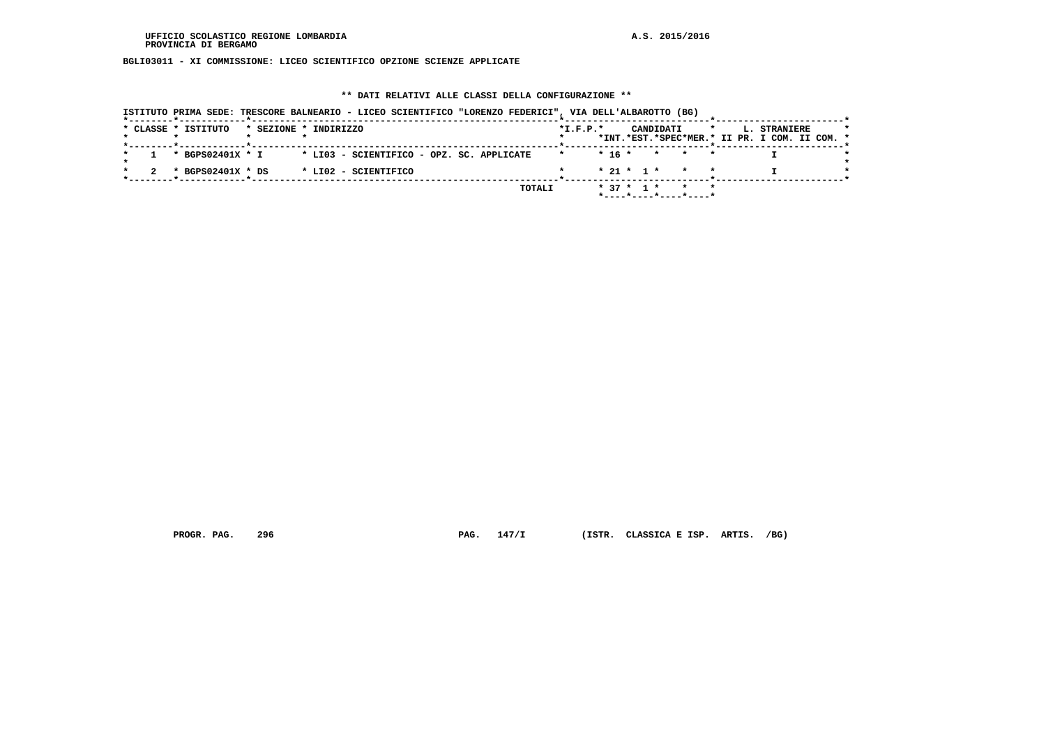**BGLI03011 - XI COMMISSIONE: LICEO SCIENTIFICO OPZIONE SCIENZE APPLICATE**

### **\*\* DATI RELATIVI ALLE CLASSI DELLA CONFIGURAZIONE \*\***

|  | * CLASSE * ISTITUTO | * SEZIONE * INDIRIZZO                     |  |        | $*$ I.F.P. $*$ |              | CANDIDATI |                                                     | $\star$ | L. STRANIERE                                  |  |
|--|---------------------|-------------------------------------------|--|--------|----------------|--------------|-----------|-----------------------------------------------------|---------|-----------------------------------------------|--|
|  |                     |                                           |  |        |                |              |           |                                                     |         | *INT.*EST.*SPEC*MER.* II PR. I COM. II COM. * |  |
|  | * BGPS02401X * I    | * LI03 - SCIENTIFICO - OPZ. SC. APPLICATE |  |        |                |              |           | $* 16 * * * * * *$                                  |         |                                               |  |
|  | * BGPS02401X * DS   | * LI02 - SCIENTIFICO                      |  |        |                |              |           | $* 21 * 1 * * * * *$                                |         |                                               |  |
|  |                     |                                           |  | TOTALI |                | $* 37 * 1 *$ |           | $*$ - - - - $*$ - - - - $*$ - - - - $*$ - - - - $*$ |         |                                               |  |

 **PROGR. PAG. 296 PAG. 147/I (ISTR. CLASSICA E ISP. ARTIS. /BG)**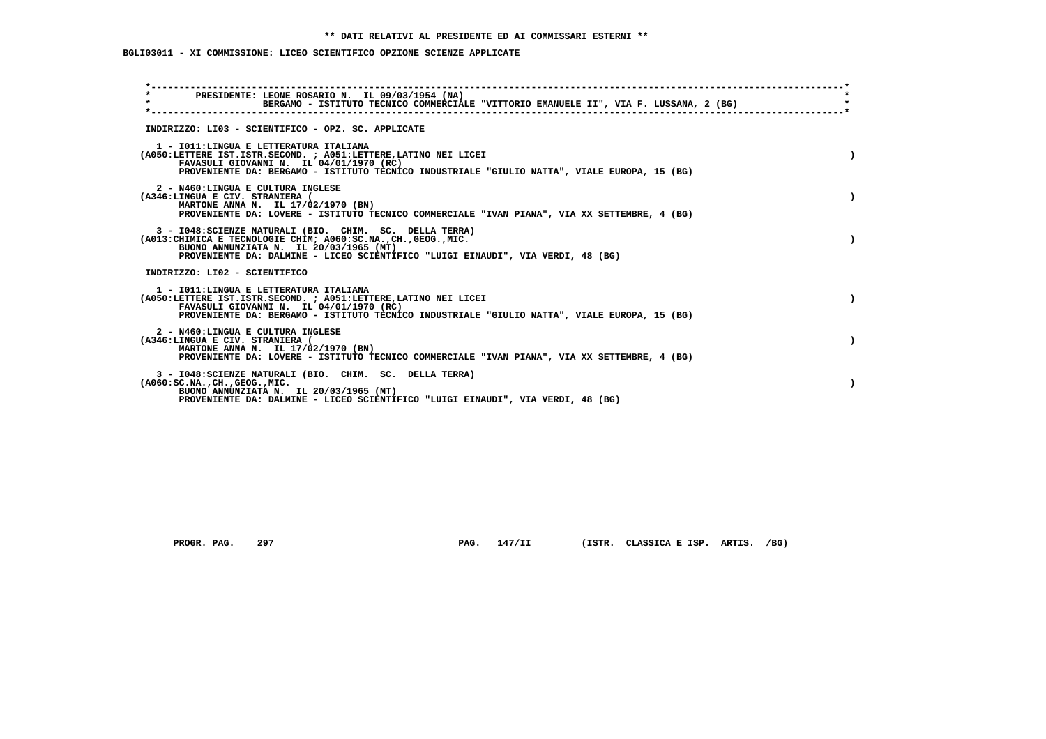# **BGLI03011 - XI COMMISSIONE: LICEO SCIENTIFICO OPZIONE SCIENZE APPLICATE**

| PRESIDENTE: LEONE ROSARIO N. IL 09/03/1954 (NA)                                                            |  |
|------------------------------------------------------------------------------------------------------------|--|
| $\star$<br>BERGAMO - ISTITUTO TECNICO COMMERCIALE "VITTORIO EMANUELE II", VIA F. LUSSANA, 2 (BG)           |  |
|                                                                                                            |  |
| INDIRIZZO: LI03 - SCIENTIFICO - OPZ. SC. APPLICATE                                                         |  |
| 1 - IO11: LINGUA E LETTERATURA ITALIANA<br>(A050:LETTERE IST.ISTR.SECOND. ; A051:LETTERE, LATINO NEI LICEI |  |
| FAVASULI GIOVANNI N. IL 04/01/1970 (RC)                                                                    |  |
| PROVENIENTE DA: BERGAMO - ISTITUTO TECNICO INDUSTRIALE "GIULIO NATTA", VIALE EUROPA, 15 (BG)               |  |
| 2 - N460:LINGUA E CULTURA INGLESE<br>(A346:LINGUA E CIV. STRANIERA (                                       |  |
| MARTONE ANNA N. IL 17/02/1970 (BN)                                                                         |  |
| PROVENIENTE DA: LOVERE - ISTITUTO TECNICO COMMERCIALE "IVAN PIANA", VIA XX SETTEMBRE, 4 (BG)               |  |
| 3 - I048: SCIENZE NATURALI (BIO. CHIM. SC. DELLA TERRA)                                                    |  |
| (A013: CHIMICA E TECNOLOGIE CHIM; A060: SC.NA., CH., GEOG., MIC.<br>BUONO ANNUNZIATA N. IL 20/03/1965 (MT) |  |
| PROVENIENTE DA: DALMINE - LICEO SCIENTIFICO "LUIGI EINAUDI", VIA VERDI, 48 (BG)                            |  |
| INDIRIZZO: LI02 - SCIENTIFICO                                                                              |  |
| 1 - IO11: LINGUA E LETTERATURA ITALIANA                                                                    |  |
| (A050:LETTERE IST.ISTR.SECOND. ; A051:LETTERE, LATINO NEI LICEI<br>FAVASULI GIOVANNI N. IL 04/01/1970 (RC) |  |
| PROVENIENTE DA: BERGAMO - ISTITUTO TECNICO INDUSTRIALE "GIULIO NATTA", VIALE EUROPA, 15 (BG)               |  |
| 2 - N460:LINGUA E CULTURA INGLESE                                                                          |  |
| (A346:LINGUA E CIV. STRANIERA (<br>MARTONE ANNA N. IL 17/02/1970 (BN)                                      |  |
| PROVENIENTE DA: LOVERE - ISTITUTO TECNICO COMMERCIALE "IVAN PIANA", VIA XX SETTEMBRE, 4 (BG)               |  |
| 3 - I048: SCIENZE NATURALI (BIO. CHIM. SC. DELLA TERRA)                                                    |  |
| ( A060:SC.NA. ,CH. ,GEOG. ,MIC.<br>BUONO ANNUNZIATA N. IL 20/03/1965 (MT)                                  |  |
| PROVENIENTE DA: DALMINE - LICEO SCIENTIFICO "LUIGI EINAUDI", VIA VERDI, 48 (BG)                            |  |

PROGR. PAG. 297 **PAG. 147/II** (ISTR. CLASSICA E ISP. ARTIS. /BG)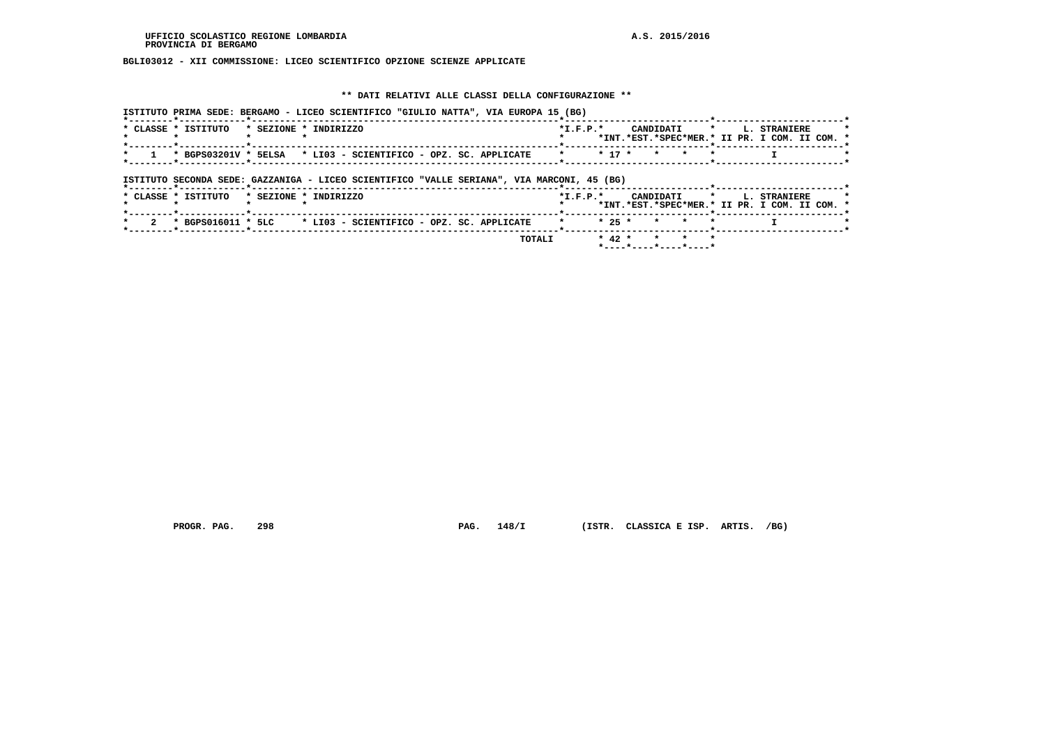### **BGLI03012 - XII COMMISSIONE: LICEO SCIENTIFICO OPZIONE SCIENZE APPLICATE**

#### **\*\* DATI RELATIVI ALLE CLASSI DELLA CONFIGURAZIONE \*\***

| ISTITUTO PRIMA SEDE: BERGAMO - LICEO SCIENTIFICO "GIULIO NATTA", VIA EUROPA 15 (BG)        |                                                                                                          |
|--------------------------------------------------------------------------------------------|----------------------------------------------------------------------------------------------------------|
| * CLASSE * ISTITUTO<br>* SEZIONE * INDIRIZZO                                               | CANDIDATI<br>$*I.F.P.*$<br>$\mathbf{r}$<br>L. STRANIERE<br>*INT.*EST.*SPEC*MER.* II PR. I COM. II COM. * |
| * BGPS03201V * 5ELSA * LI03 - SCIENTIFICO - OPZ. SC. APPLICATE                             | $* 17 *$<br>$\mathbf{r}$<br>$\mathbf{r}$<br>$\star$                                                      |
| ISTITUTO SECONDA SEDE: GAZZANIGA - LICEO SCIENTIFICO "VALLE SERIANA", VIA MARCONI, 45 (BG) |                                                                                                          |
| * CLASSE * ISTITUTO<br>* SEZIONE * INDIRIZZO                                               | $*I.F.P.*$<br>CANDIDATI<br>$\star$<br>L. STRANIERE<br>*INT.*EST.*SPEC*MER.* II PR. I COM. II COM. *      |
| * BGPS016011 * 5LC<br>* LI03 - SCIENTIFICO - OPZ. SC. APPLICATE                            | $* 25 *$<br>* * *<br>$\star$                                                                             |
| TOTALI                                                                                     | $* 42 *$<br>$\star$ $\star$<br>$\mathbf{r}$<br>*----*----*----*----*                                     |

 **PROGR. PAG. 298 PAG. 148/I (ISTR. CLASSICA E ISP. ARTIS. /BG)**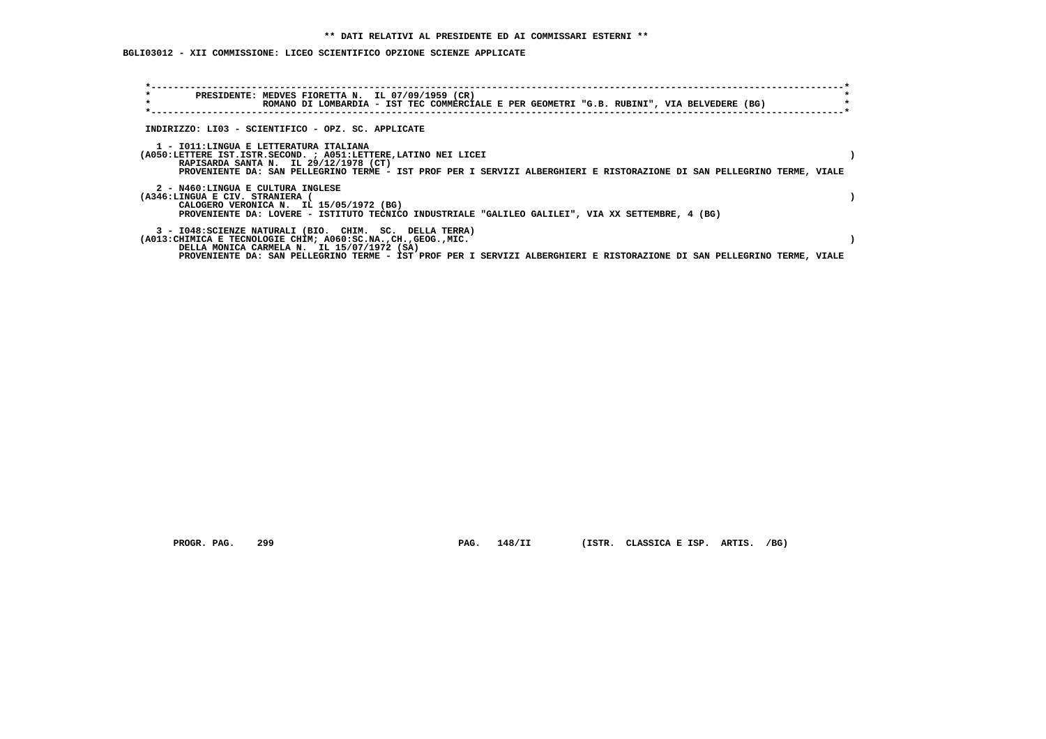### **BGLI03012 - XII COMMISSIONE: LICEO SCIENTIFICO OPZIONE SCIENZE APPLICATE**

| $\star$<br>$\star$ |                                                                                                                                                                                                                                                                                                      | PRESIDENTE: MEDVES FIORETTA N. IL 07/09/1959 (CR)<br>ROMANO DI LOMBARDIA - IST TEC COMMERCIALE E PER GEOMETRI "G.B. RUBINI", VIA BELVEDERE (BG) |  |  |  |  |  |  |
|--------------------|------------------------------------------------------------------------------------------------------------------------------------------------------------------------------------------------------------------------------------------------------------------------------------------------------|-------------------------------------------------------------------------------------------------------------------------------------------------|--|--|--|--|--|--|
|                    | INDIRIZZO: LI03 - SCIENTIFICO - OPZ. SC. APPLICATE                                                                                                                                                                                                                                                   |                                                                                                                                                 |  |  |  |  |  |  |
|                    | 1 - IO11:LINGUA E LETTERATURA ITALIANA<br>(A050:LETTERE IST.ISTR.SECOND. ; A051:LETTERE, LATINO NEI LICEI<br>RAPISARDA SANTA N. IL 29/12/1978 (CT)<br>PROVENIENTE DA: SAN PELLEGRINO TERME - IST PROF PER I SERVIZI ALBERGHIERI E RISTORAZIONE DI SAN PELLEGRINO TERME, VIALE                        |                                                                                                                                                 |  |  |  |  |  |  |
|                    | 2 - N460:LINGUA E CULTURA INGLESE<br>(A346:LINGUA E CIV. STRANIERA<br>CALOGERO VERONICA N. IL 15/05/1972 (BG)<br>PROVENIENTE DA: LOVERE - ISTITUTO TECNICO INDUSTRIALE "GALILEO GALILEI", VIA XX SETTEMBRE, 4 (BG)                                                                                   |                                                                                                                                                 |  |  |  |  |  |  |
|                    | 3 - I048: SCIENZE NATURALI (BIO. CHIM. SC. DELLA TERRA)<br>(A013: CHIMICA E TECNOLOGIE CHIM; A060: SC.NA., CH., GEOG., MIC.<br>DELLA MONICA CARMELA N. IL 15/07/1972 (SA)<br>PROVENIENTE DA: SAN PELLEGRINO TERME - IST PROF PER I SERVIZI ALBERGHIERI E RISTORAZIONE DI SAN PELLEGRINO TERME, VIALE |                                                                                                                                                 |  |  |  |  |  |  |

PROGR. PAG. 299 **PAG. 148/II** (ISTR. CLASSICA E ISP. ARTIS. /BG)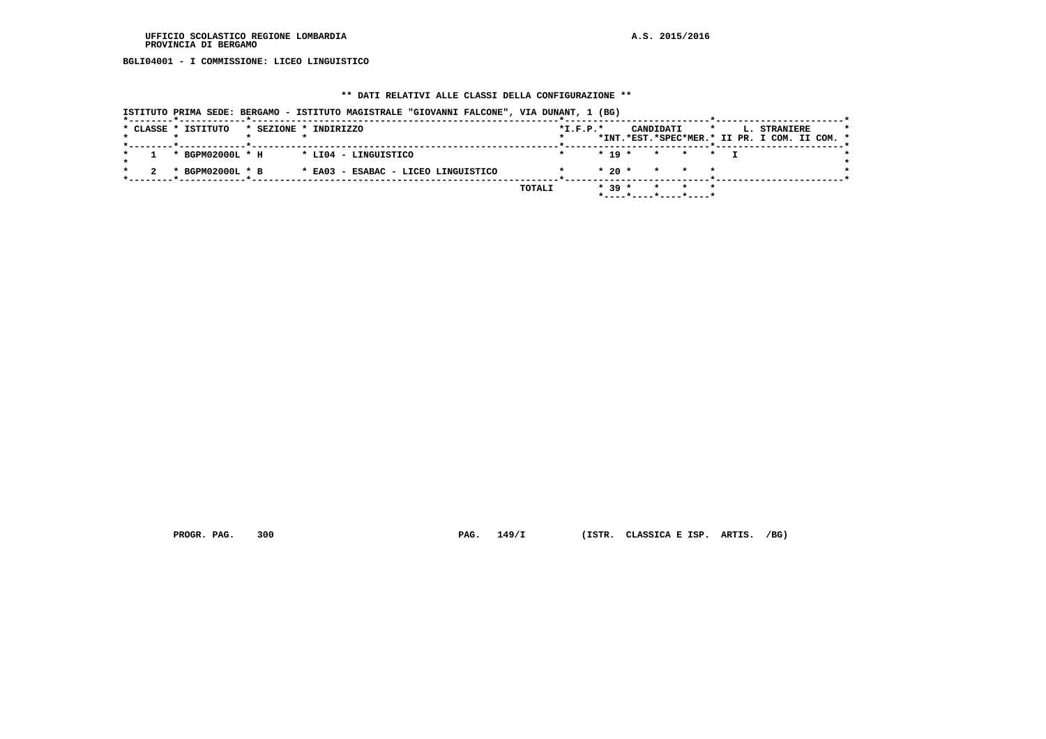**BGLI04001 - I COMMISSIONE: LICEO LINGUISTICO**

#### **\*\* DATI RELATIVI ALLE CLASSI DELLA CONFIGURAZIONE \*\***

| ISTITUTO PRIMA SEDE: BERGAMO - ISTITUTO MAGISTRALE "GIOVANNI FALCONE", VIA DUNANT, 1 (BG) |                                                                                                     |  |
|-------------------------------------------------------------------------------------------|-----------------------------------------------------------------------------------------------------|--|
| * CLASSE * ISTITUTO<br>* SEZIONE * INDIRIZZO                                              | $*L.F.P.*$<br>CANDIDATI<br>$\star$<br>L. STRANIERE<br>*INT.*EST.*SPEC*MER.* II PR. I COM. II COM. * |  |
| * BGPM02000L * H<br>* LI04 - LINGUISTICO                                                  | $*$ 19 $*$<br>* * * T                                                                               |  |
| * BGPM02000L * B<br>* EA03 - ESABAC - LICEO LINGUISTICO                                   | $*20$ *<br>* * *                                                                                    |  |
|                                                                                           | $* 39 *$<br>TOTALI<br>$\star$ $\star$<br>*----*----*----*----*                                      |  |

 **PROGR. PAG. 300 PAG. 149/I (ISTR. CLASSICA E ISP. ARTIS. /BG)**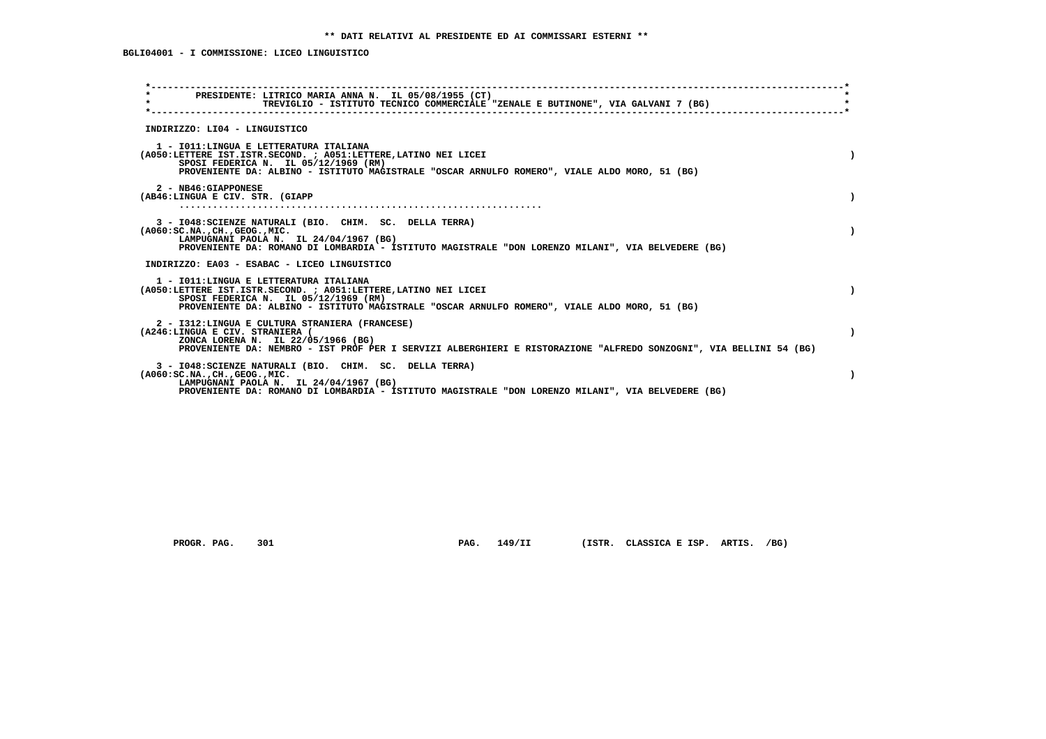| PRESIDENTE: LITRICO MARIA ANNA N. IL 05/08/1955 (CT)<br>$\star$<br>TREVIGLIO - ISTITUTO TECNICO COMMERCIALE "ZENALE E BUTINONE", VIA GALVANI 7 (BG)<br>INDIRIZZO: LI04 - LINGUISTICO<br>1 - IO11: LINGUA E LETTERATURA ITALIANA<br>(A050:LETTERE IST.ISTR.SECOND. ; A051:LETTERE, LATINO NEI LICEI<br>SPOSI FEDERICA N. IL 05/12/1969 (RM)<br>PROVENIENTE DA: ALBINO - ISTITUTO MAGISTRALE "OSCAR ARNULFO ROMERO", VIALE ALDO MORO, 51 (BG)<br>2 - NB46: GIAPPONESE<br>(AB46:LINGUA E CIV. STR. (GIAPP<br>3 - I048: SCIENZE NATURALI (BIO. CHIM. SC. DELLA TERRA)<br>$( A060 : SC.NA. , CH. , GEOG. , MIC. )$<br>LAMPUGNANI PAOLA N. IL 24/04/1967 (BG)<br>PROVENIENTE DA: ROMANO DI LOMBARDIA - ISTITUTO MAGISTRALE "DON LORENZO MILANI", VIA BELVEDERE (BG)<br>INDIRIZZO: EA03 - ESABAC - LICEO LINGUISTICO<br>1 - IO11: LINGUA E LETTERATURA ITALIANA<br>(A050:LETTERE IST.ISTR.SECOND. ; A051:LETTERE,LATINO NEI LICEI<br>SPOSI FEDERICA N. IL 05/12/1969 (RM)<br>PROVENIENTE DA: ALBINO - ISTITUTO MAGISTRALE "OSCAR ARNULFO ROMERO", VIALE ALDO MORO, 51 (BG)<br>2 - I312:LINGUA E CULTURA STRANIERA (FRANCESE)<br>(A246:LINGUA E CIV. STRANIERA (<br>ZONCA LORENA N. IL 22/05/1966 (BG)<br>PROVENIENTE DA: NEMBRO - IST PROF PER I SERVIZI ALBERGHIERI E RISTORAZIONE "ALFREDO SONZOGNI", VIA BELLINI 54 (BG)<br>3 - I048: SCIENZE NATURALI (BIO. CHIM. SC. DELLA TERRA)<br>$( A060 : SC.NA. , CH. , GEOG. , MIC. )$<br>LAMPUGNANI PAOLA N. IL 24/04/1967 (BG)<br>PROVENIENTE DA: ROMANO DI LOMBARDIA - ISTITUTO MAGISTRALE "DON LORENZO MILANI", VIA BELVEDERE (BG) |  |
|-----------------------------------------------------------------------------------------------------------------------------------------------------------------------------------------------------------------------------------------------------------------------------------------------------------------------------------------------------------------------------------------------------------------------------------------------------------------------------------------------------------------------------------------------------------------------------------------------------------------------------------------------------------------------------------------------------------------------------------------------------------------------------------------------------------------------------------------------------------------------------------------------------------------------------------------------------------------------------------------------------------------------------------------------------------------------------------------------------------------------------------------------------------------------------------------------------------------------------------------------------------------------------------------------------------------------------------------------------------------------------------------------------------------------------------------------------------------------------------------------------------------------------------------------------------------------------|--|
|                                                                                                                                                                                                                                                                                                                                                                                                                                                                                                                                                                                                                                                                                                                                                                                                                                                                                                                                                                                                                                                                                                                                                                                                                                                                                                                                                                                                                                                                                                                                                                             |  |
|                                                                                                                                                                                                                                                                                                                                                                                                                                                                                                                                                                                                                                                                                                                                                                                                                                                                                                                                                                                                                                                                                                                                                                                                                                                                                                                                                                                                                                                                                                                                                                             |  |
|                                                                                                                                                                                                                                                                                                                                                                                                                                                                                                                                                                                                                                                                                                                                                                                                                                                                                                                                                                                                                                                                                                                                                                                                                                                                                                                                                                                                                                                                                                                                                                             |  |
|                                                                                                                                                                                                                                                                                                                                                                                                                                                                                                                                                                                                                                                                                                                                                                                                                                                                                                                                                                                                                                                                                                                                                                                                                                                                                                                                                                                                                                                                                                                                                                             |  |
|                                                                                                                                                                                                                                                                                                                                                                                                                                                                                                                                                                                                                                                                                                                                                                                                                                                                                                                                                                                                                                                                                                                                                                                                                                                                                                                                                                                                                                                                                                                                                                             |  |
|                                                                                                                                                                                                                                                                                                                                                                                                                                                                                                                                                                                                                                                                                                                                                                                                                                                                                                                                                                                                                                                                                                                                                                                                                                                                                                                                                                                                                                                                                                                                                                             |  |
|                                                                                                                                                                                                                                                                                                                                                                                                                                                                                                                                                                                                                                                                                                                                                                                                                                                                                                                                                                                                                                                                                                                                                                                                                                                                                                                                                                                                                                                                                                                                                                             |  |
|                                                                                                                                                                                                                                                                                                                                                                                                                                                                                                                                                                                                                                                                                                                                                                                                                                                                                                                                                                                                                                                                                                                                                                                                                                                                                                                                                                                                                                                                                                                                                                             |  |
|                                                                                                                                                                                                                                                                                                                                                                                                                                                                                                                                                                                                                                                                                                                                                                                                                                                                                                                                                                                                                                                                                                                                                                                                                                                                                                                                                                                                                                                                                                                                                                             |  |

 **PROGR. PAG. 301 PAG. 149/II (ISTR. CLASSICA E ISP. ARTIS. /BG)**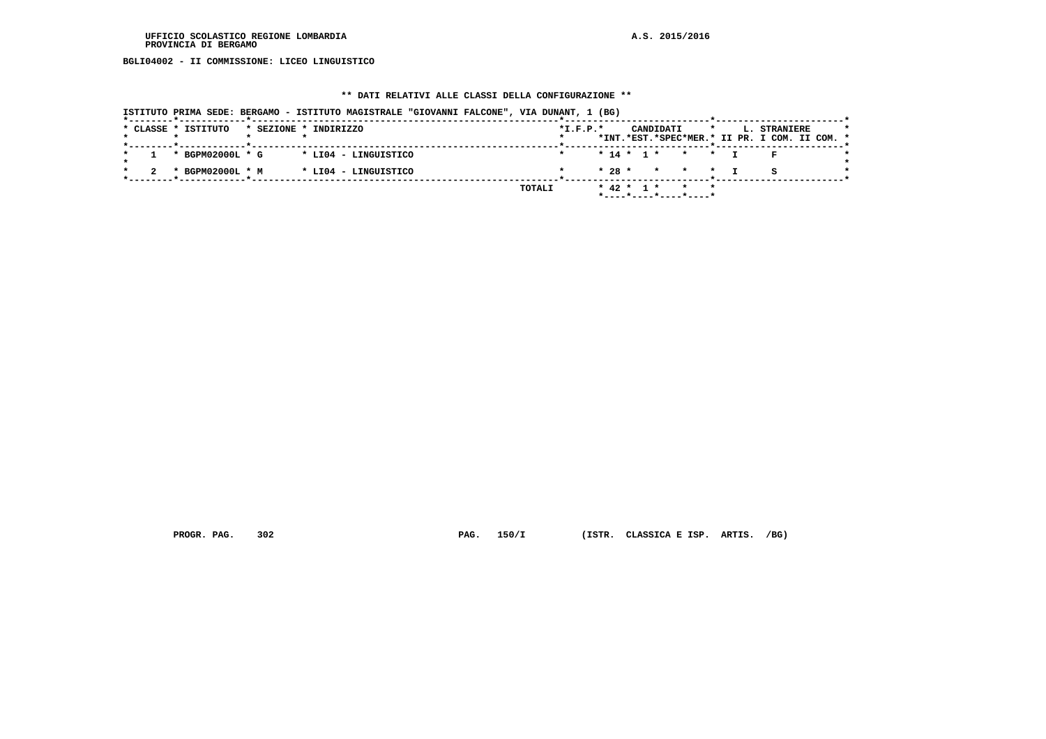**BGLI04002 - II COMMISSIONE: LICEO LINGUISTICO**

#### **\*\* DATI RELATIVI ALLE CLASSI DELLA CONFIGURAZIONE \*\***

|                     |                       | ISTITUTO PRIMA SEDE: BERGAMO - ISTITUTO MAGISTRALE "GIOVANNI FALCONE", VIA DUNANT, 1 (BG) |        |            |           |                                         |                                                               |  |
|---------------------|-----------------------|-------------------------------------------------------------------------------------------|--------|------------|-----------|-----------------------------------------|---------------------------------------------------------------|--|
| * CLASSE * ISTITUTO | * SEZIONE * INDIRIZZO |                                                                                           |        | $*L.F.P.*$ | CANDIDATI | $\star$                                 | L. STRANIERE<br>*INT.*EST.*SPEC*MER.* II PR. I COM. II COM. * |  |
|                     |                       |                                                                                           |        |            |           |                                         |                                                               |  |
|                     | * BGPM02000L * G      | * LI04 - LINGUISTICO                                                                      |        |            |           | $* 14 * 1 * * * * T$                    |                                                               |  |
|                     | * BGPM02000L * M      | * LI04 - LINGUISTICO                                                                      |        |            |           | $* 28 * * * * * *$                      |                                                               |  |
|                     |                       |                                                                                           | TOTALI |            |           | * 42 * 1 * * *<br>*----*----*----*----* |                                                               |  |

 **PROGR. PAG. 302 PAG. 150/I (ISTR. CLASSICA E ISP. ARTIS. /BG)**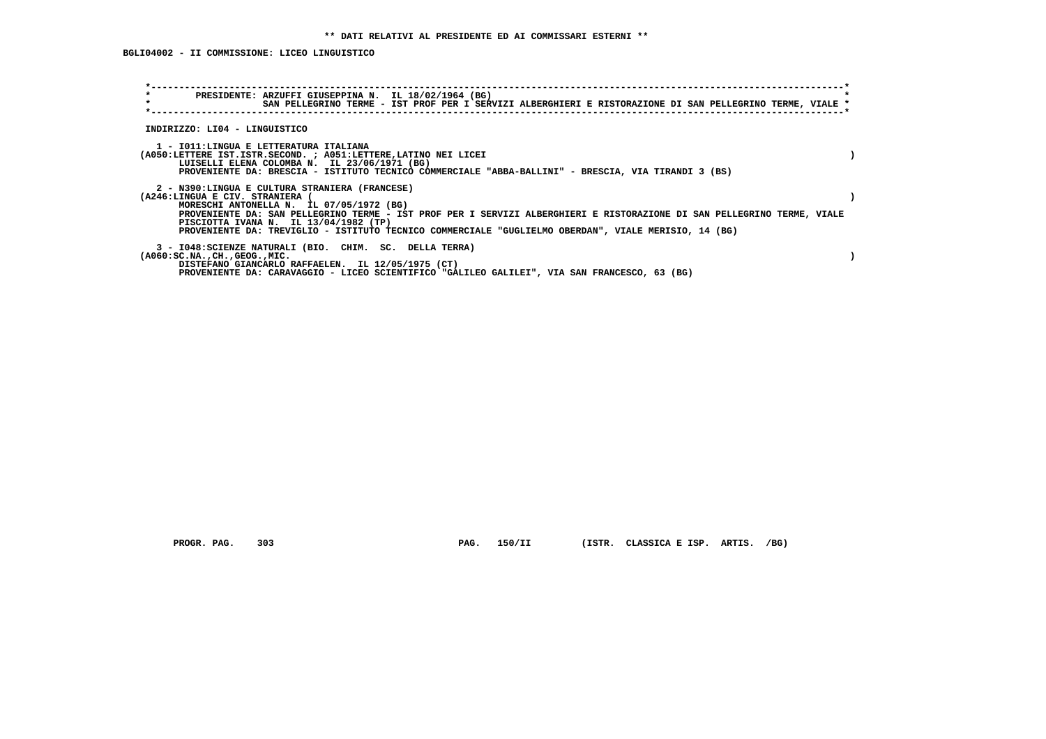**BGLI04002 - II COMMISSIONE: LICEO LINGUISTICO**

| $\star$<br>PRESIDENTE: ARZUFFI GIUSEPPINA N. IL 18/02/1964 (BG)<br>$\star$<br>SAN PELLEGRINO TERME - IST PROF PER I SERVIZI ALBERGHIERI E RISTORAZIONE DI SAN PELLEGRINO TERME, VIALE * |  |
|-----------------------------------------------------------------------------------------------------------------------------------------------------------------------------------------|--|
| INDIRIZZO: LI04 - LINGUISTICO                                                                                                                                                           |  |
| 1 - IO11:LINGUA E LETTERATURA ITALIANA                                                                                                                                                  |  |
| (A050:LETTERE IST.ISTR.SECOND. ; A051:LETTERE, LATINO NEI LICEI<br>LUISELLI ELENA COLOMBA N. IL 23/06/1971 (BG)                                                                         |  |
| PROVENIENTE DA: BRESCIA - ISTITUTO TECNICO COMMERCIALE "ABBA-BALLINI" - BRESCIA, VIA TIRANDI 3 (BS)                                                                                     |  |
| 2 - N390:LINGUA E CULTURA STRANIERA (FRANCESE)                                                                                                                                          |  |
| (A246:LINGUA E CIV. STRANIERA (                                                                                                                                                         |  |
| MORESCHI ANTONELLA N. IL 07/05/1972 (BG)<br>PROVENIENTE DA: SAN PELLEGRINO TERME - IST PROF PER I SERVIZI ALBERGHIERI E RISTORAZIONE DI SAN PELLEGRINO TERME, VIALE                     |  |
| PISCIOTTA IVANA N. IL 13/04/1982 (TP)                                                                                                                                                   |  |
| PROVENIENTE DA: TREVIGLIO - ISTITUTO TECNICO COMMERCIALE "GUGLIELMO OBERDAN", VIALE MERISIO, 14 (BG)                                                                                    |  |
| 3 - I048: SCIENZE NATURALI (BIO. CHIM. SC. DELLA TERRA)                                                                                                                                 |  |
| $(A060:SC.NA.$ , $CH.$ , $GEOG.$ , $MIC.$                                                                                                                                               |  |
| DISTEFANO GIANCARLO RAFFAELEN. IL 12/05/1975 (CT)                                                                                                                                       |  |
| PROVENIENTE DA: CARAVAGGIO - LICEO SCIENTIFICO "GALILEO GALILEI", VIA SAN FRANCESCO, 63 (BG)                                                                                            |  |

 **PROGR. PAG. 303 PAG. 150/II (ISTR. CLASSICA E ISP. ARTIS. /BG)**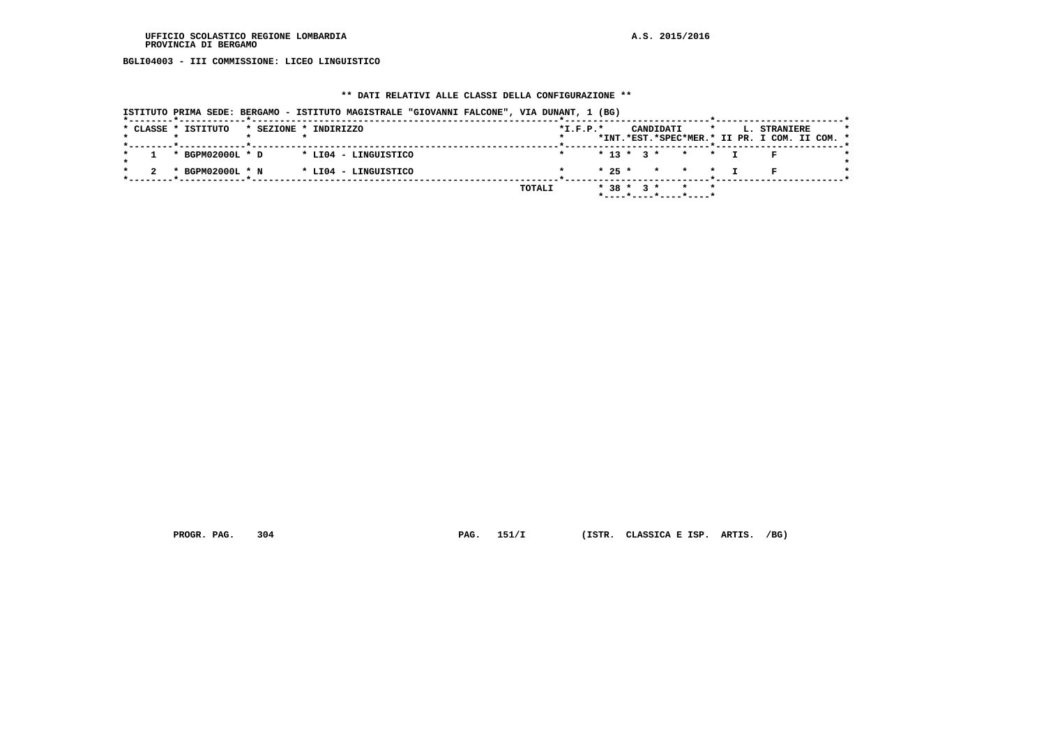**BGLI04003 - III COMMISSIONE: LICEO LINGUISTICO**

#### **\*\* DATI RELATIVI ALLE CLASSI DELLA CONFIGURAZIONE \*\***

|                                              | ISTITUTO PRIMA SEDE: BERGAMO - ISTITUTO MAGISTRALE "GIOVANNI FALCONE", VIA DUNANT, 1 (BG) |                                           |                                                                          |
|----------------------------------------------|-------------------------------------------------------------------------------------------|-------------------------------------------|--------------------------------------------------------------------------|
| * CLASSE * ISTITUTO<br>* SEZIONE * INDIRIZZO |                                                                                           | $*I.F.P.*$<br>CANDIDATI                   | L. STRANIERE<br>$\star$<br>*INT.*EST.*SPEC*MER.* II PR. I COM. II COM. * |
|                                              |                                                                                           |                                           |                                                                          |
| * BGPM02000L * D                             | * LI04 - LINGUISTICO                                                                      | $* 13 * 3 * * * * T$                      |                                                                          |
| * BGPM02000L * N                             | * LI04 - LINGUISTICO                                                                      | $* 25 * * * * * T$                        |                                                                          |
|                                              | TOTALI                                                                                    | * 38 * 3 * * * *<br>*----*----*----*----* |                                                                          |
|                                              |                                                                                           |                                           |                                                                          |

 **PROGR. PAG. 304 PAG. 151/I (ISTR. CLASSICA E ISP. ARTIS. /BG)**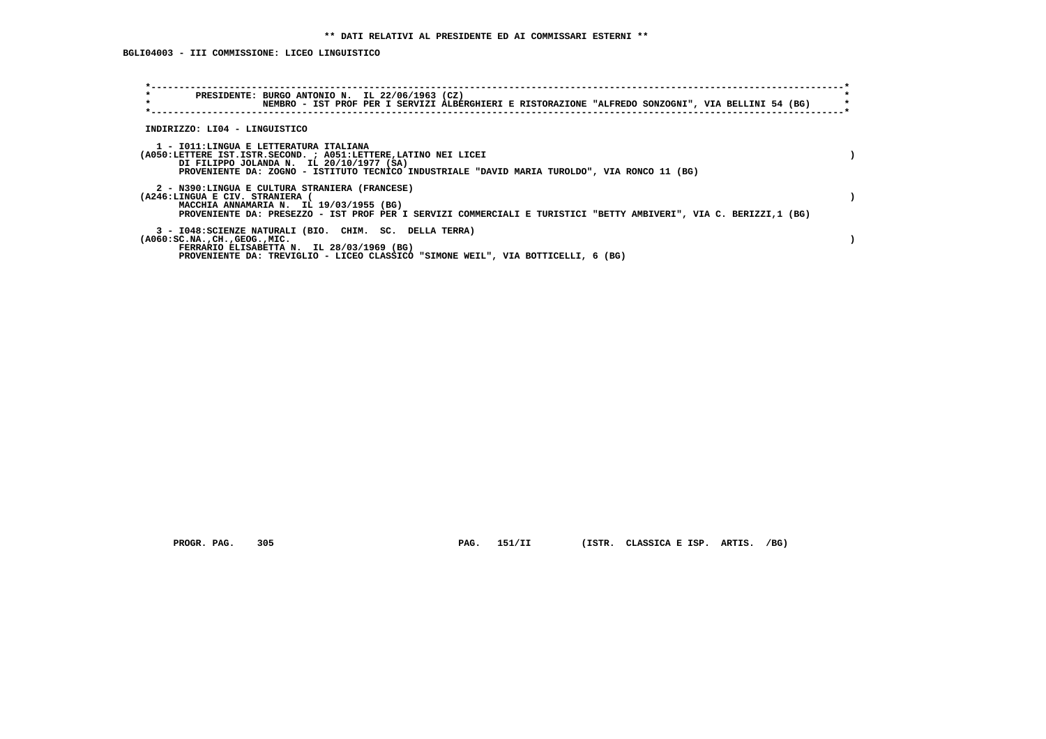| PRESIDENTE: BURGO ANTONIO N. IL 22/06/1963 (CZ)<br>NEMBRO - IST PROF PER I SERVIZI ALBERGHIERI E RISTORAZIONE "ALFREDO SONZOGNI", VIA BELLINI 54 (BG)                                                                                                  |  |
|--------------------------------------------------------------------------------------------------------------------------------------------------------------------------------------------------------------------------------------------------------|--|
| INDIRIZZO: LI04 - LINGUISTICO                                                                                                                                                                                                                          |  |
| 1 - IO11:LINGUA E LETTERATURA ITALIANA<br>(A050:LETTERE IST.ISTR.SECOND. ; A051:LETTERE, LATINO NEI LICEI<br>DI FILIPPO JOLANDA N. IL 20/10/1977 (SA)<br>PROVENIENTE DA: ZOGNO - ISTITUTO TECNICO INDUSTRIALE "DAVID MARIA TUROLDO", VIA RONCO 11 (BG) |  |
| 2 - N390:LINGUA E CULTURA STRANIERA (FRANCESE)<br>(A246:LINGUA E CIV. STRANIERA)<br>MACCHIA ANNAMARIA N. IL 19/03/1955 (BG)<br>PROVENIENTE DA: PRESEZZO - IST PROF PER I SERVIZI COMMERCIALI E TURISTICI "BETTY AMBIVERI", VIA C. BERIZZI,1 (BG)       |  |
| 3 - I048: SCIENZE NATURALI (BIO. CHIM. SC. DELLA TERRA)<br>$(A060:SC.NA.$ , $CH.$ , $GEOG.$ , $MIC.$<br>FERRARIO ELISABETTA N. IL 28/03/1969 (BG)<br>PROVENIENTE DA: TREVIGLIO - LICEO CLASSICO "SIMONE WEIL", VIA BOTTICELLI, 6 (BG)                  |  |

 **PROGR. PAG. 305 PAG. 151/II (ISTR. CLASSICA E ISP. ARTIS. /BG)**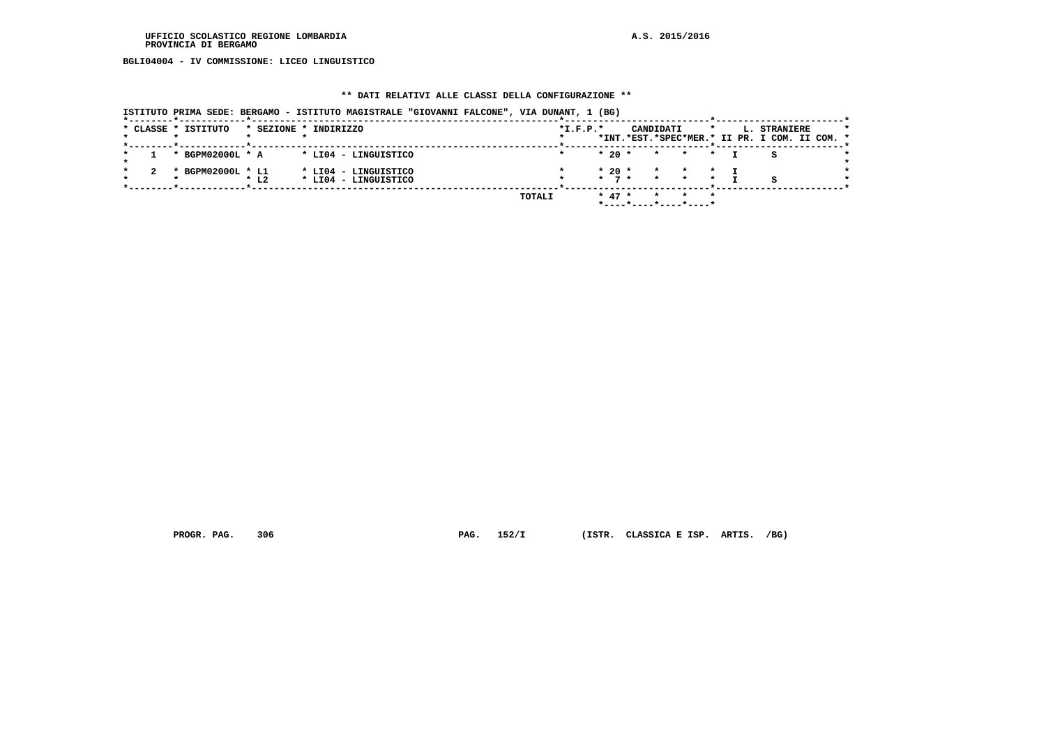**BGLI04004 - IV COMMISSIONE: LICEO LINGUISTICO**

#### **\*\* DATI RELATIVI ALLE CLASSI DELLA CONFIGURAZIONE \*\***

 **ISTITUTO PRIMA SEDE: BERGAMO - ISTITUTO MAGISTRALE "GIOVANNI FALCONE", VIA DUNANT, 1 (BG)**

|  | * CLASSE * ISTITUTO |                        | * SEZIONE * INDIRIZZO                        |        | $*I.F.P.*$ |                              | CANDIDATI          |                                          |  | L. STRANIERE<br>*INT.*EST.*SPEC*MER.* II PR. I COM. II COM. * | $\star$ |
|--|---------------------|------------------------|----------------------------------------------|--------|------------|------------------------------|--------------------|------------------------------------------|--|---------------------------------------------------------------|---------|
|  | * BGPM02000L * A    |                        | * LI04 - LINGUISTICO                         |        |            | $*20$ *                      | $\star$            | $\star$<br>$\star$                       |  |                                                               |         |
|  | * BGPM02000L * L1   | $\star$ L <sub>2</sub> | * LI04 - LINGUISTICO<br>* LI04 - LINGUISTICO |        |            | $*20$ *<br>$\star$ 7 $\star$ | $\star$<br>$\star$ | $\star$<br>$\star$                       |  |                                                               |         |
|  |                     |                        |                                              | TOTALI |            | $* 47 *$                     |                    | $\star$ $\star$<br>*----*----*----*----* |  |                                                               |         |

 **PROGR. PAG. 306 PAG. 152/I (ISTR. CLASSICA E ISP. ARTIS. /BG)**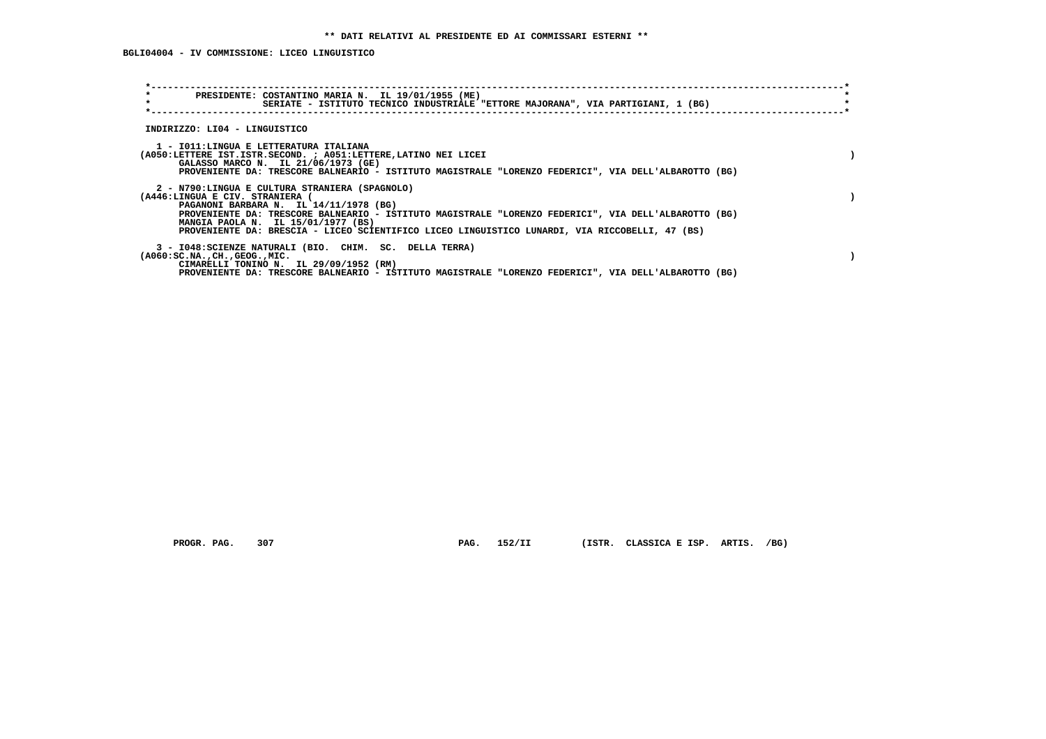| $\star$<br>$\star$                        | PRESIDENTE: COSTANTINO MARIA N. IL 19/01/1955 (ME)<br>SERIATE - ISTITUTO TECNICO INDUSTRIALE "ETTORE MAJORANA", VIA PARTIGIANI, 1 (BG)                                                                                                                                                                      |  |
|-------------------------------------------|-------------------------------------------------------------------------------------------------------------------------------------------------------------------------------------------------------------------------------------------------------------------------------------------------------------|--|
| INDIRIZZO: LI04 - LINGUISTICO             |                                                                                                                                                                                                                                                                                                             |  |
|                                           | 1 - IO11:LINGUA E LETTERATURA ITALIANA<br>(A050:LETTERE IST.ISTR.SECOND. ; A051:LETTERE, LATINO NEI LICEI<br>GALASSO MARCO N. IL 21/06/1973 (GE)<br>PROVENIENTE DA: TRESCORE BALNEARIO - ISTITUTO MAGISTRALE "LORENZO FEDERICI", VIA DELL'ALBAROTTO (BG)                                                    |  |
| (A446:LINGUA E CIV. STRANIERA (           | 2 - N790:LINGUA E CULTURA STRANIERA (SPAGNOLO)<br>PAGANONI BARBARA N. IL 14/11/1978 (BG)<br>PROVENIENTE DA: TRESCORE BALNEARIO - ISTITUTO MAGISTRALE "LORENZO FEDERICI", VIA DELL'ALBAROTTO (BG)<br>MANGIA PAOLA N. IL 15/01/1977 (BS)                                                                      |  |
| $(A060:SC.NA.$ , $CH.$ , $GEOG.$ , $MIC.$ | PROVENIENTE DA: BRESCIA - LICEO SCIENTIFICO LICEO LINGUISTICO LUNARDI, VIA RICCOBELLI, 47 (BS)<br>3 - I048: SCIENZE NATURALI (BIO. CHIM. SC. DELLA TERRA)<br>CIMARELLI TONINO N. IL 29/09/1952 (RM)<br>PROVENIENTE DA: TRESCORE BALNEARIO - ISTITUTO MAGISTRALE "LORENZO FEDERICI", VIA DELL'ALBAROTTO (BG) |  |

 **PROGR. PAG. 307 PAG. 152/II (ISTR. CLASSICA E ISP. ARTIS. /BG)**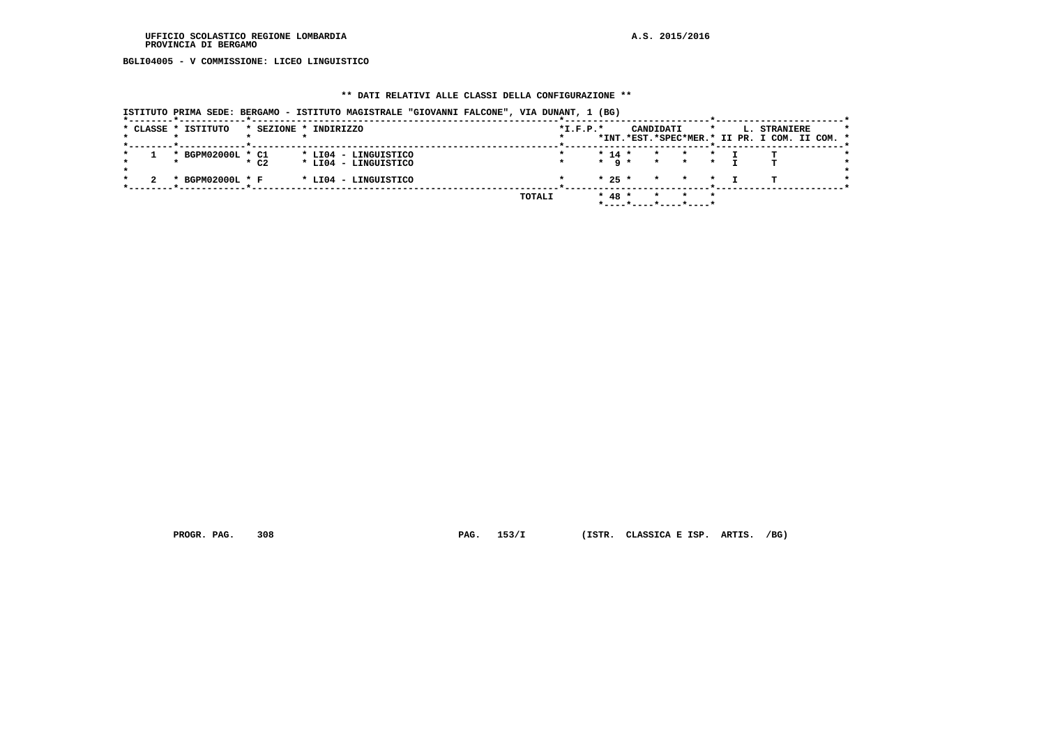**BGLI04005 - V COMMISSIONE: LICEO LINGUISTICO**

#### **\*\* DATI RELATIVI ALLE CLASSI DELLA CONFIGURAZIONE \*\***

| ISTITUTO PRIMA SEDE: BERGAMO - ISTITUTO MAGISTRALE "GIOVANNI FALCONE", VIA DUNANT, 1 (BG) |  |
|-------------------------------------------------------------------------------------------|--|
|-------------------------------------------------------------------------------------------|--|

|  | * CLASSE * ISTITUTO |                    | * SEZIONE * INDIRIZZO |               | $*I.F.P.*$ |                   | CANDIDATI       |                       | $\star$ | L. STRANIERE<br>*INT.*EST.*SPEC*MER.* II PR. I COM. II COM. * |  |
|--|---------------------|--------------------|-----------------------|---------------|------------|-------------------|-----------------|-----------------------|---------|---------------------------------------------------------------|--|
|  |                     |                    |                       |               |            |                   |                 |                       |         |                                                               |  |
|  | * BGPM02000L * C1   |                    | * LI04 - LINGUISTICO  |               |            | $* 14 *$          | $\star$         | $\star$               |         |                                                               |  |
|  |                     | $*$ C <sub>2</sub> | * LI04 - LINGUISTICO  |               |            | $\star$ q $\star$ | $\star$ $\star$ |                       |         |                                                               |  |
|  | * BGPM02000L * F    |                    | * LI04 - LINGUISTICO  |               |            | $* 25 *$          |                 | * * *                 |         |                                                               |  |
|  |                     |                    |                       | <b>TOTALI</b> |            | $* 48 *$          |                 | * *                   |         |                                                               |  |
|  |                     |                    |                       |               |            |                   |                 | *----*----*----*----* |         |                                                               |  |

 **PROGR. PAG. 308 PAG. 153/I (ISTR. CLASSICA E ISP. ARTIS. /BG)**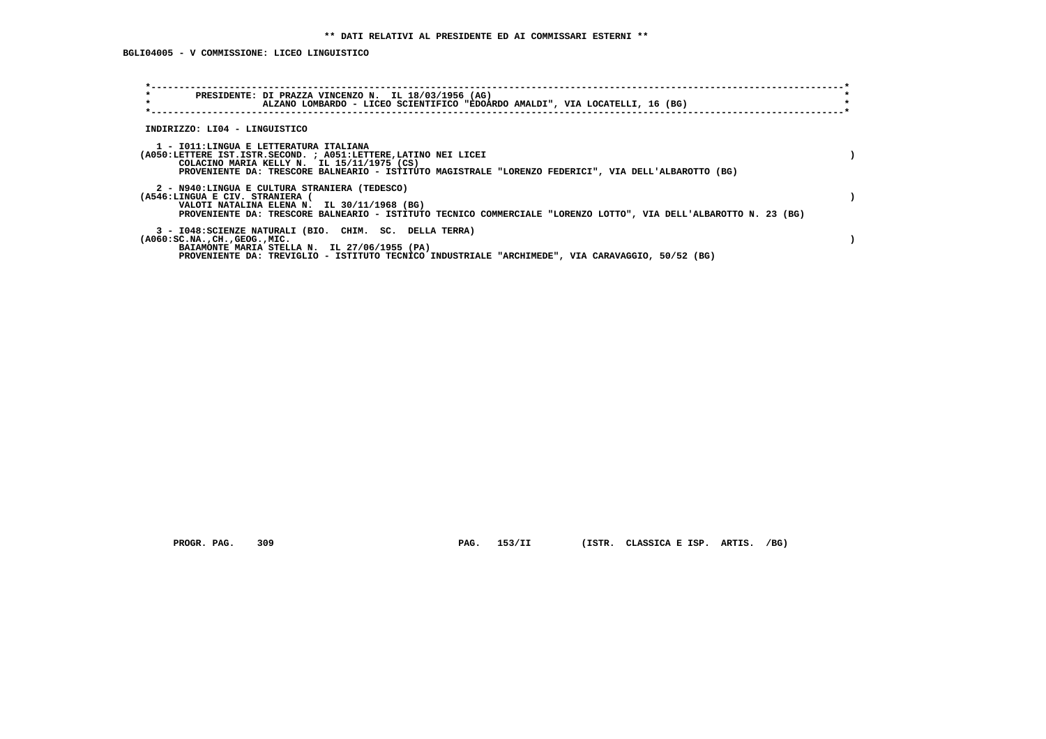| $\star$<br>PRESIDENTE: DI PRAZZA VINCENZO N. IL 18/03/1956 (AG)<br>$\star$<br>ALZANO LOMBARDO - LICEO SCIENTIFICO "EDOARDO AMALDI", VIA LOCATELLI, 16 (BG)                                                                                                      |  |
|-----------------------------------------------------------------------------------------------------------------------------------------------------------------------------------------------------------------------------------------------------------------|--|
| INDIRIZZO: LI04 - LINGUISTICO                                                                                                                                                                                                                                   |  |
| 1 - IO11:LINGUA E LETTERATURA ITALIANA<br>(A050:LETTERE IST.ISTR.SECOND. ; A051:LETTERE, LATINO NEI LICEI<br>COLACINO MARIA KELLY N. IL 15/11/1975 (CS)<br>PROVENIENTE DA: TRESCORE BALNEARIO - ISTITUTO MAGISTRALE "LORENZO FEDERICI", VIA DELL'ALBAROTTO (BG) |  |
| 2 - N940:LINGUA E CULTURA STRANIERA (TEDESCO)<br>(A546:LINGUA E CIV. STRANIERA (<br>VALOTI NATALINA ELENA N. IL 30/11/1968 (BG)<br>PROVENIENTE DA: TRESCORE BALNEARIO - ISTITUTO TECNICO COMMERCIALE "LORENZO LOTTO", VIA DELL'ALBAROTTO N. 23 (BG)             |  |
| 3 - I048: SCIENZE NATURALI (BIO. CHIM. SC. DELLA TERRA)<br>$(A060:SC.NA.$ , $CH.$ , $GEOG.$ , $MIC.$<br>BAIAMONTE MARIA STELLA N. IL 27/06/1955 (PA)<br>PROVENIENTE DA: TREVIGLIO - ISTITUTO TECNICO INDUSTRIALE "ARCHIMEDE", VIA CARAVAGGIO, 50/52 (BG)        |  |

PROGR. PAG. 309 **PAG. 153/II** (ISTR. CLASSICA E ISP. ARTIS. /BG)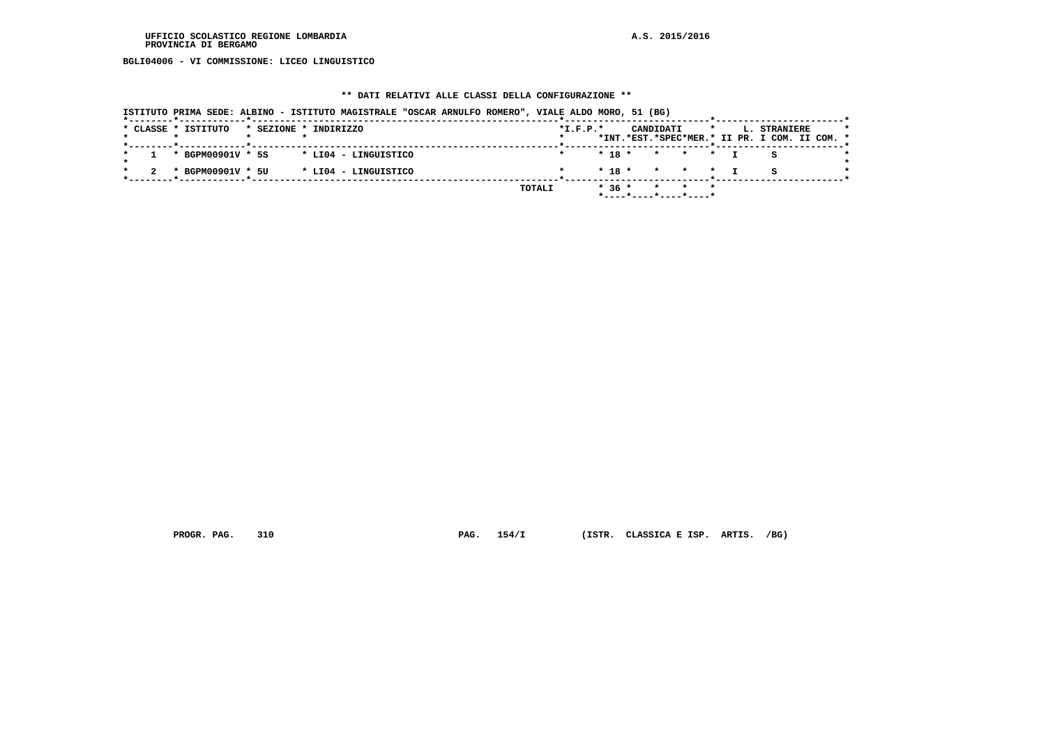**BGLI04006 - VI COMMISSIONE: LICEO LINGUISTICO**

#### **\*\* DATI RELATIVI ALLE CLASSI DELLA CONFIGURAZIONE \*\***

 **ISTITUTO PRIMA SEDE: ALBINO - ISTITUTO MAGISTRALE "OSCAR ARNULFO ROMERO", VIALE ALDO MORO, 51 (BG) \*--------\*------------\*-------------------------------------------------------\*--------------------------\*-----------------------\* \* CLASSE \* ISTITUTO \* SEZIONE \* INDIRIZZO \*I.F.P.\* CANDIDATI \* L. STRANIERE \* \* \* \* \* \* \*INT.\*EST.\*SPEC\*MER.\* II PR. I COM. II COM. \***

|  | " CLASSE " ISIIIUIU                        | UAAIAIL TANUIAIG T |  |  |  |        | . |  |                                                  | CANDIDAII |  |  | an birnnicke                                  |  |  |
|--|--------------------------------------------|--------------------|--|--|--|--------|---|--|--------------------------------------------------|-----------|--|--|-----------------------------------------------|--|--|
|  |                                            |                    |  |  |  |        |   |  |                                                  |           |  |  | *INT.*EST.*SPEC*MER.* II PR. I COM. II COM. * |  |  |
|  |                                            |                    |  |  |  |        |   |  |                                                  |           |  |  |                                               |  |  |
|  | $1 * BGPM00901V * 5S * LIO4 - LINGUISTICO$ |                    |  |  |  |        |   |  | $\star$ 18 $\star$ $\star$ $\star$ $\star$ T S   |           |  |  |                                               |  |  |
|  | 2 * BGPM00901V * 5U * LI04 - LINGUISTICO   |                    |  |  |  |        |   |  |                                                  |           |  |  |                                               |  |  |
|  |                                            |                    |  |  |  | TOTALI |   |  | $* 36 * * * * * * *$<br>$*$ ----*----*----*----* |           |  |  |                                               |  |  |
|  |                                            |                    |  |  |  |        |   |  |                                                  |           |  |  |                                               |  |  |

 **PROGR. PAG. 310 PAG. 154/I (ISTR. CLASSICA E ISP. ARTIS. /BG)**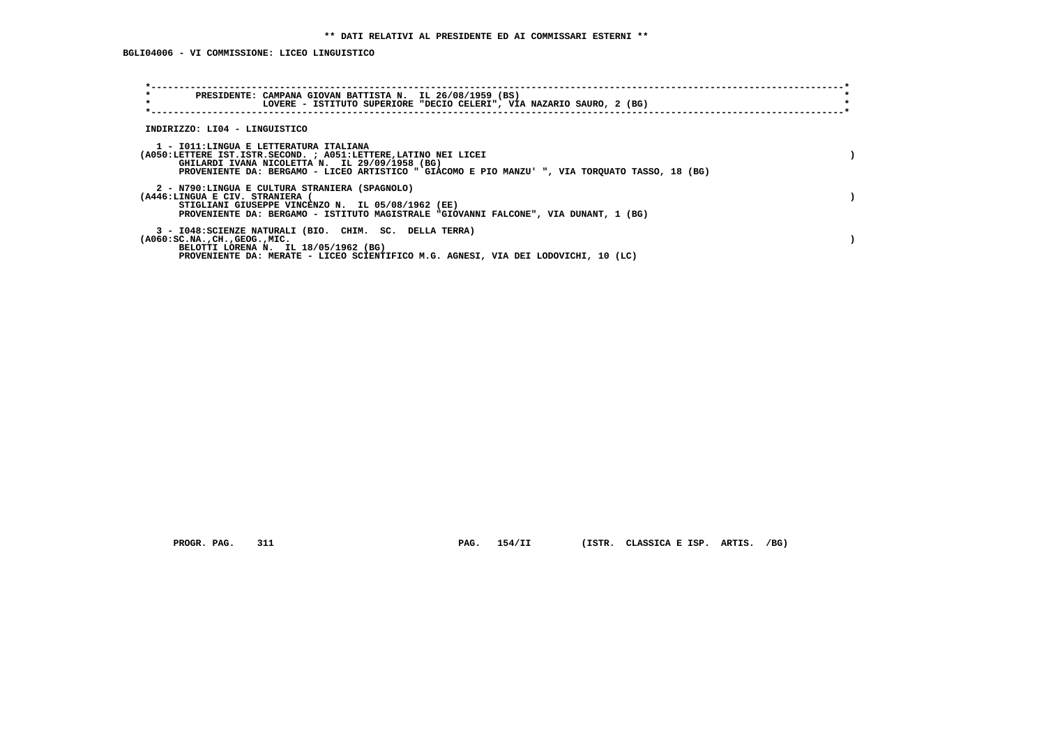**BGLI04006 - VI COMMISSIONE: LICEO LINGUISTICO**

| $\star$<br>PRESIDENTE: CAMPANA GIOVAN BATTISTA N. IL 26/08/1959 (BS)<br>$\star$<br>LOVERE - ISTITUTO SUPERIORE "DECIO CELERI", VIA NAZARIO SAURO, 2 (BG)                                                                                                       |  |
|----------------------------------------------------------------------------------------------------------------------------------------------------------------------------------------------------------------------------------------------------------------|--|
| INDIRIZZO: LI04 - LINGUISTICO                                                                                                                                                                                                                                  |  |
| 1 - IO11:LINGUA E LETTERATURA ITALIANA<br>(A050:LETTERE IST.ISTR.SECOND. ; A051:LETTERE, LATINO NEI LICEI<br>GHILARDI IVANA NICOLETTA N. IL 29/09/1958 (BG)<br>PROVENIENTE DA: BERGAMO - LICEO ARTISTICO " GIACOMO E PIO MANZU' ", VIA TORQUATO TASSO, 18 (BG) |  |
| 2 - N790:LINGUA E CULTURA STRANIERA (SPAGNOLO)<br>(A446:LINGUA E CIV. STRANIERA<br>STIGLIANI GIUSEPPE VINCENZO N. IL 05/08/1962 (EE)<br>PROVENIENTE DA: BERGAMO - ISTITUTO MAGISTRALE "GIOVANNI FALCONE", VIA DUNANT, 1 (BG)                                   |  |
| 3 - I048: SCIENZE NATURALI (BIO. CHIM. SC. DELLA TERRA)<br>$(A060:SC.NA.$ , $CH.$ , $GEOG.$ , $MIC.$<br>BELOTTI LORENA N. IL 18/05/1962 (BG)<br>PROVENIENTE DA: MERATE - LICEO SCIENTIFICO M.G. AGNESI, VIA DEI LODOVICHI, 10 (LC)                             |  |

 **PROGR. PAG. 311 PAG. 154/II (ISTR. CLASSICA E ISP. ARTIS. /BG)**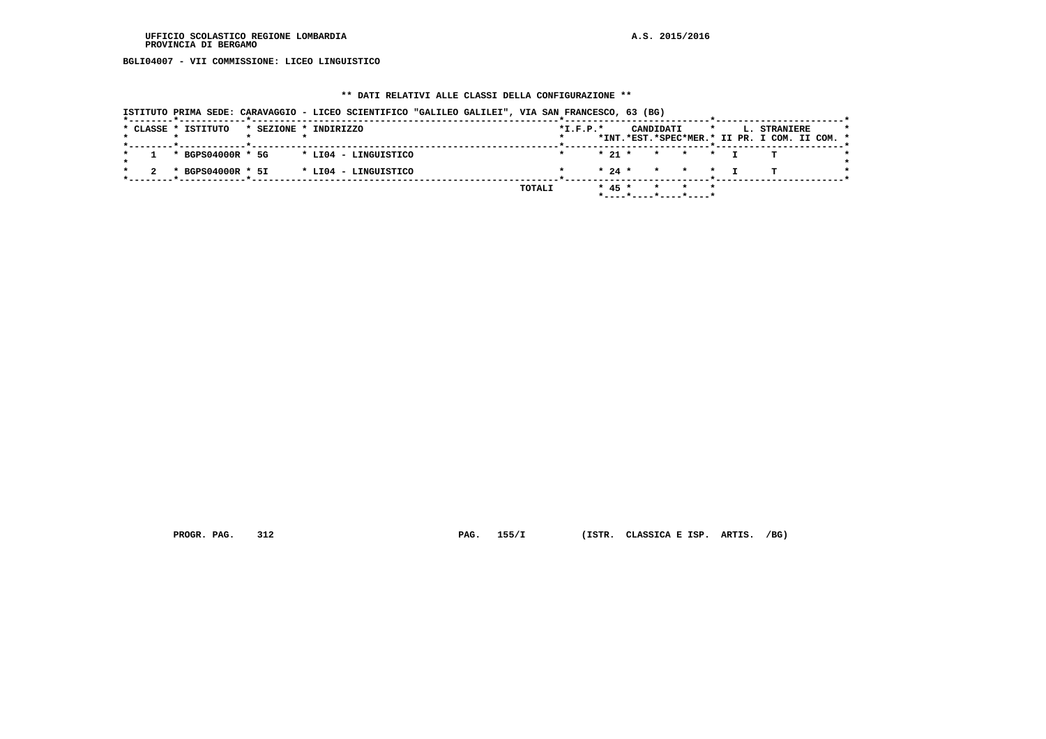**BGLI04007 - VII COMMISSIONE: LICEO LINGUISTICO**

#### **\*\* DATI RELATIVI ALLE CLASSI DELLA CONFIGURAZIONE \*\***

|                     | ISTITUTO PRIMA SEDE: CARAVAGGIO - LICEO SCIENTIFICO "GALILEO GALILEI", VIA SAN FRANCESCO, 63 (BG) |        |            |          |           |                                                              |         |                                                               |  |
|---------------------|---------------------------------------------------------------------------------------------------|--------|------------|----------|-----------|--------------------------------------------------------------|---------|---------------------------------------------------------------|--|
| * CLASSE * ISTITUTO | * SEZIONE * INDIRIZZO                                                                             |        | $*I.F.P.*$ |          | CANDIDATI |                                                              | $\star$ | L. STRANIERE<br>*INT.*EST.*SPEC*MER.* II PR. I COM. II COM. * |  |
|                     |                                                                                                   |        |            |          |           |                                                              |         |                                                               |  |
| * BGPS04000R * 5G   | * LI04 - LINGUISTICO                                                                              |        |            | $* 21 *$ |           | * * *                                                        |         |                                                               |  |
| * BGPS04000R * 5I   | * LI04 - LINGUISTICO                                                                              |        |            |          |           | $\star$ 24 $\star$ $\star$ $\star$ $\star$                   |         |                                                               |  |
|                     |                                                                                                   | TOTALI |            | $* 45 *$ |           | * * *<br>$*$ - - - - $*$ - - - - $*$ - - - - $*$ - - - - $*$ |         |                                                               |  |

 **PROGR. PAG. 312 PAG. 155/I (ISTR. CLASSICA E ISP. ARTIS. /BG)**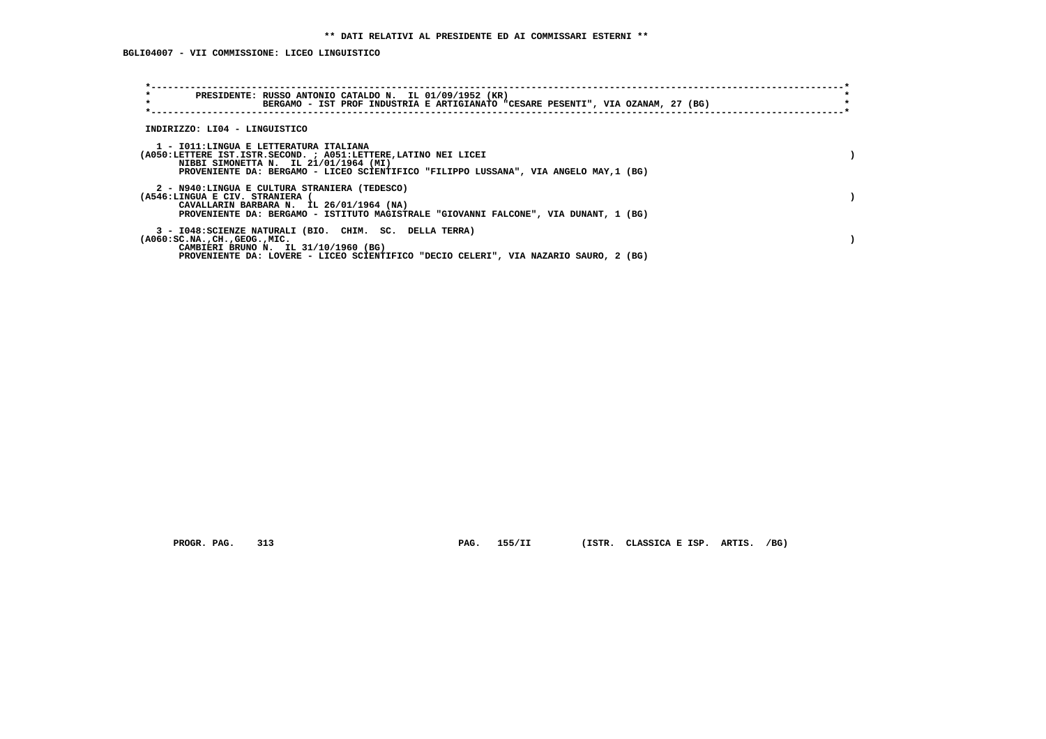| $\star$<br>PRESIDENTE: RUSSO ANTONIO CATALDO N. IL 01/09/1952 (KR)<br>$\star$<br>BERGAMO - IST PROF INDUSTRIA E ARTIGIANATO "CESARE PESENTI", VIA OZANAM, 27 (BG)                                                                           |  |
|---------------------------------------------------------------------------------------------------------------------------------------------------------------------------------------------------------------------------------------------|--|
| INDIRIZZO: LI04 - LINGUISTICO                                                                                                                                                                                                               |  |
| 1 - IO11:LINGUA E LETTERATURA ITALIANA<br>(A050:LETTERE IST.ISTR.SECOND. ; A051:LETTERE, LATINO NEI LICEI<br>NIBBI SIMONETTA N. IL 21/01/1964 (MI)<br>PROVENIENTE DA: BERGAMO - LICEO SCIENTIFICO "FILIPPO LUSSANA", VIA ANGELO MAY, 1 (BG) |  |
| 2 - N940:LINGUA E CULTURA STRANIERA (TEDESCO)<br>(A546:LINGUA E CIV. STRANIERA<br>CAVALLARIN BARBARA N. IL 26/01/1964 (NA)<br>PROVENIENTE DA: BERGAMO - ISTITUTO MAGISTRALE "GIOVANNI FALCONE", VIA DUNANT, 1 (BG)                          |  |
| 3 - I048: SCIENZE NATURALI (BIO. CHIM. SC. DELLA TERRA)<br>$(A060:SC.NA.$ , $CH.$ , $GEOG.$ , $MIC.$<br>CAMBIERI BRUNO N. IL 31/10/1960 (BG)<br>PROVENIENTE DA: LOVERE - LICEO SCIENTIFICO "DECIO CELERI", VIA NAZARIO SAURO, 2 (BG)        |  |

 **PROGR. PAG. 313 PAG. 155/II (ISTR. CLASSICA E ISP. ARTIS. /BG)**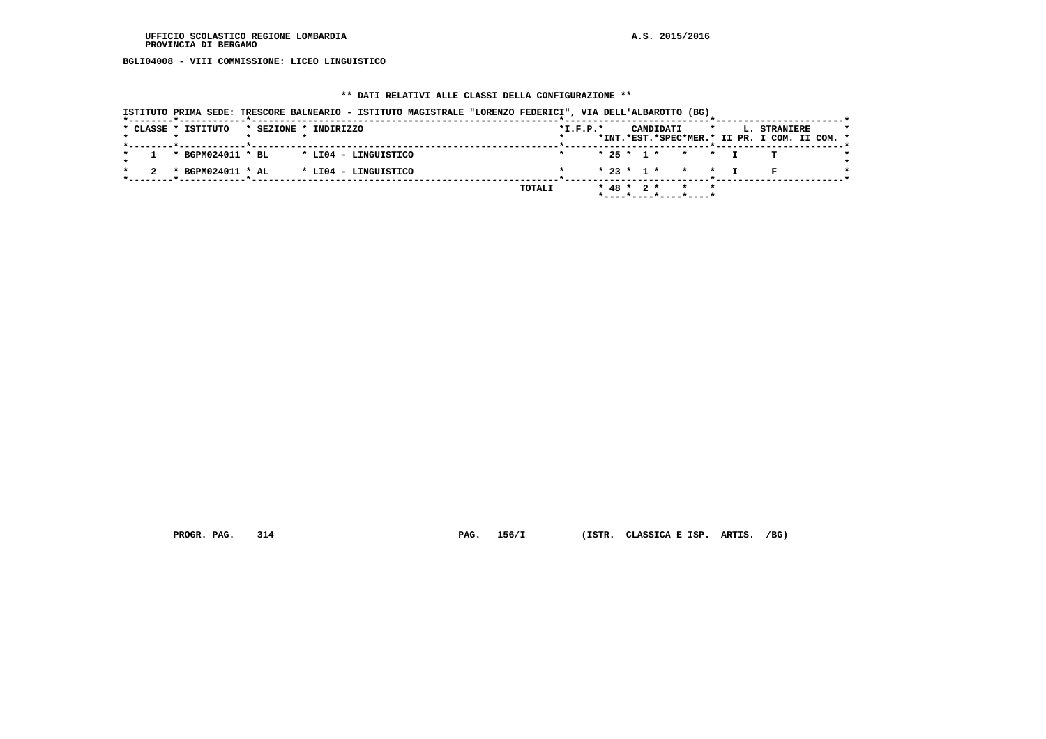**BGLI04008 - VIII COMMISSIONE: LICEO LINGUISTICO**

#### **\*\* DATI RELATIVI ALLE CLASSI DELLA CONFIGURAZIONE \*\***

|                     | ISTITUTO PRIMA SEDE: TRESCORE BALNEARIO - ISTITUTO MAGISTRALE "LORENZO FEDERICI", VIA DELL'ALBAROTTO (BG) |  |        |            |                  |           |                       |         |                                               |  |
|---------------------|-----------------------------------------------------------------------------------------------------------|--|--------|------------|------------------|-----------|-----------------------|---------|-----------------------------------------------|--|
| * CLASSE * ISTITUTO | * SEZIONE * INDIRIZZO                                                                                     |  |        | $*I.F.P.*$ |                  | CANDIDATI |                       | $\star$ | L. STRANIERE                                  |  |
|                     |                                                                                                           |  |        |            |                  |           |                       |         | *INT.*EST.*SPEC*MER.* II PR. I COM. II COM. * |  |
| * BGPM024011 * BL   | * LI04 - LINGUISTICO                                                                                      |  |        |            |                  |           | $* 25 * 1 * * * * T$  |         |                                               |  |
| * BGPM024011 * AL   | * LI04 - LINGUISTICO                                                                                      |  |        |            |                  |           | $* 23 * 1 * * * * *$  |         |                                               |  |
|                     |                                                                                                           |  | TOTALI |            | $*$ 48 $*$ 2 $*$ |           | $\star$ $\star$       |         |                                               |  |
|                     |                                                                                                           |  |        |            |                  |           | *----*----*----*----* |         |                                               |  |

 **PROGR. PAG. 314 PAG. 156/I (ISTR. CLASSICA E ISP. ARTIS. /BG)**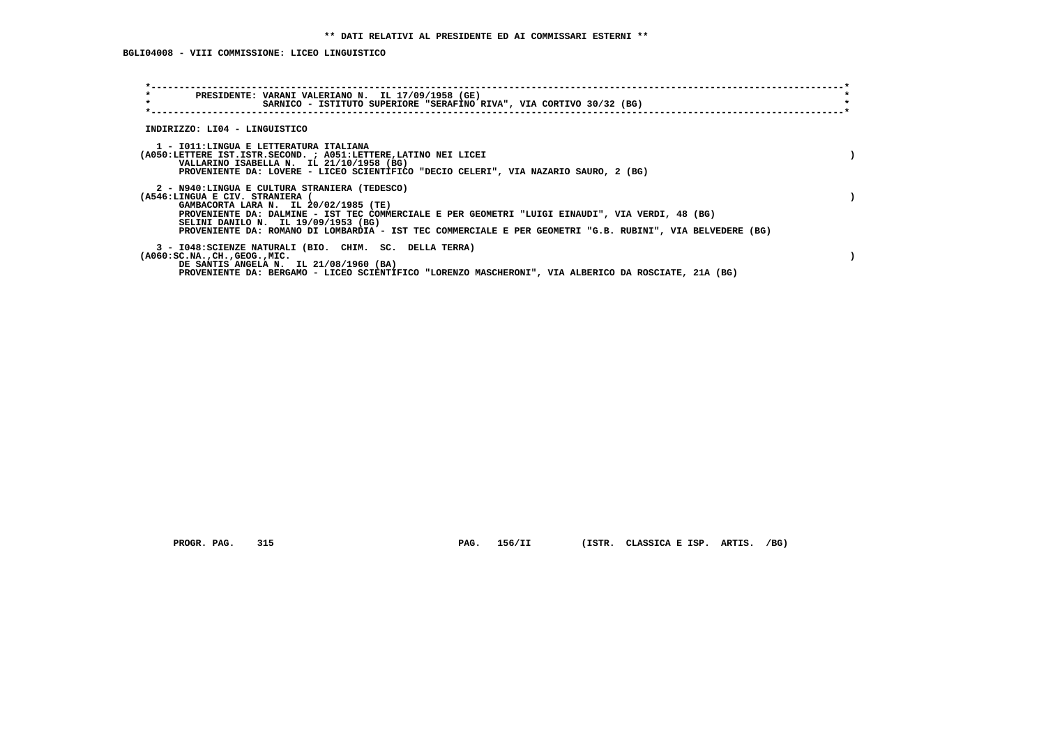**BGLI04008 - VIII COMMISSIONE: LICEO LINGUISTICO**

| $\star$<br>PRESIDENTE: VARANI VALERIANO N. IL 17/09/1958 (GE)<br>$\star$<br>SARNICO - ISTITUTO SUPERIORE "SERAFINO RIVA", VIA CORTIVO 30/32 (BG)                                                                                                                                                                                                                                   |  |
|------------------------------------------------------------------------------------------------------------------------------------------------------------------------------------------------------------------------------------------------------------------------------------------------------------------------------------------------------------------------------------|--|
| INDIRIZZO: LI04 - LINGUISTICO                                                                                                                                                                                                                                                                                                                                                      |  |
| 1 - IO11:LINGUA E LETTERATURA ITALIANA<br>(A050:LETTERE IST.ISTR.SECOND. ; A051:LETTERE, LATINO NEI LICEI<br>VALLARINO ISABELLA N. IL 21/10/1958 (BG)<br>PROVENIENTE DA: LOVERE - LICEO SCIENTIFICO "DECIO CELERI", VIA NAZARIO SAURO, 2 (BG)                                                                                                                                      |  |
| 2 - N940:LINGUA E CULTURA STRANIERA (TEDESCO)<br>(A546:LINGUA E CIV. STRANIERA (<br>GAMBACORTA LARA N. IL 20/02/1985 (TE)<br>PROVENIENTE DA: DALMINE - IST TEC COMMERCIALE E PER GEOMETRI "LUIGI EINAUDI", VIA VERDI, 48 (BG)<br>SELINI DANILO N. IL 19/09/1953 (BG)<br>PROVENIENTE DA: ROMANO DI LOMBARDIA - IST TEC COMMERCIALE E PER GEOMETRI "G.B. RUBINI", VIA BELVEDERE (BG) |  |
| 3 - I048: SCIENZE NATURALI (BIO. CHIM. SC. DELLA TERRA)<br>$(A060:SC.NA.$ , $CH.$ , $GEOG.$ , $MIC.$<br>DE SANTIS ANGELA N. IL 21/08/1960 (BA)<br>PROVENIENTE DA: BERGAMO - LICEO SCIENTIFICO "LORENZO MASCHERONI", VIA ALBERICO DA ROSCIATE, 21A (BG)                                                                                                                             |  |

 **PROGR. PAG. 315 PAG. 156/II (ISTR. CLASSICA E ISP. ARTIS. /BG)**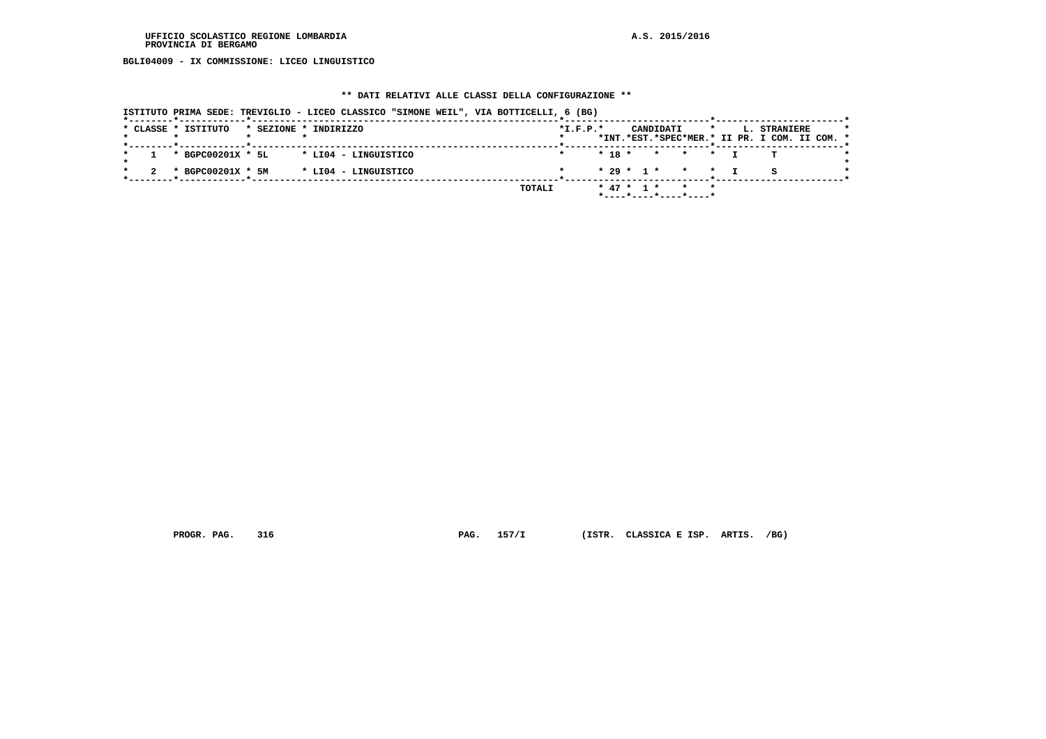**BGLI04009 - IX COMMISSIONE: LICEO LINGUISTICO**

#### **\*\* DATI RELATIVI ALLE CLASSI DELLA CONFIGURAZIONE \*\***

|  |                     | ISTITUTO PRIMA SEDE: TREVIGLIO - LICEO CLASSICO "SIMONE WEIL", VIA BOTTICELLI, 6 (BG) |        |            |  |                                                        |         |                                                               |  |
|--|---------------------|---------------------------------------------------------------------------------------|--------|------------|--|--------------------------------------------------------|---------|---------------------------------------------------------------|--|
|  | * CLASSE * ISTITUTO | * SEZIONE * INDIRIZZO                                                                 |        | $*I.F.P.*$ |  | CANDIDATI                                              | $\star$ | L. STRANIERE<br>*INT.*EST.*SPEC*MER.* II PR. I COM. II COM. * |  |
|  | * BGPC00201X * 5L   | * LI04 - LINGUISTICO                                                                  |        |            |  | $* 18 * * * * * T$                                     |         |                                                               |  |
|  | * BGPC00201X * 5M   | * LI04 - LINGUISTICO                                                                  |        |            |  | $* 29 * 1 * * * * T$                                   |         |                                                               |  |
|  |                     |                                                                                       | TOTALI |            |  | * 47 * 1 * * *<br>$*$ ---- $*$ ---- $*$ ---- $*$ ----* |         |                                                               |  |

 **PROGR. PAG. 316 PAG. 157/I (ISTR. CLASSICA E ISP. ARTIS. /BG)**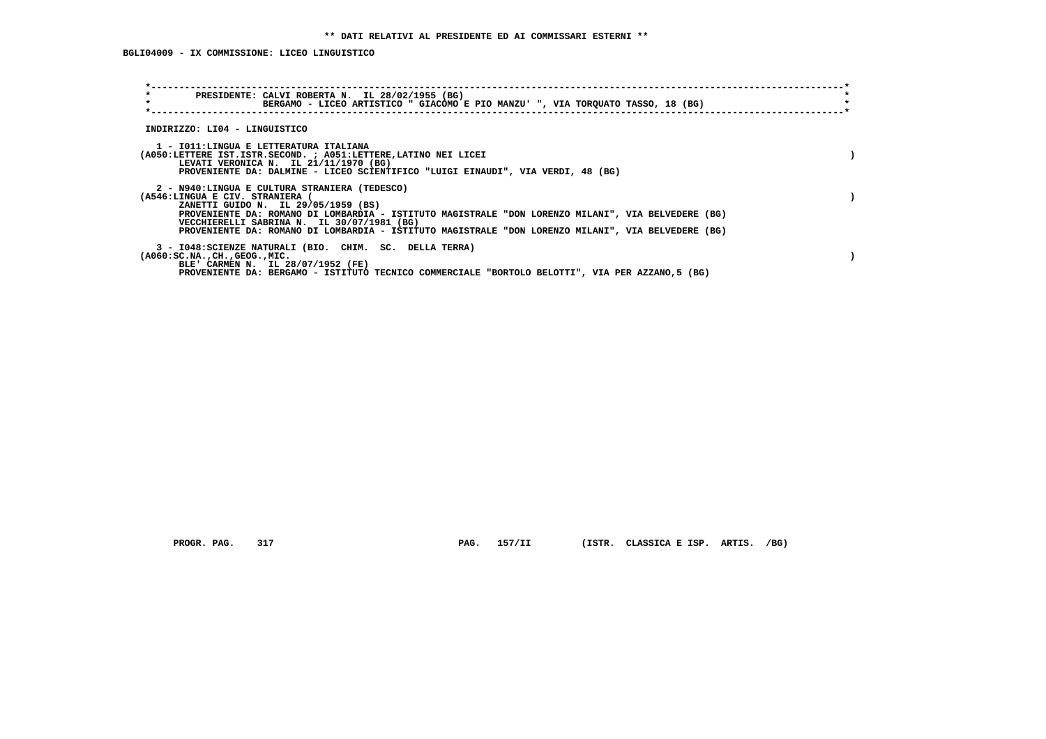**BGLI04009 - IX COMMISSIONE: LICEO LINGUISTICO**

| $\star$<br>$\star$                        | PRESIDENTE: CALVI ROBERTA N. IL 28/02/1955 (BG)<br>BERGAMO - LICEO ARTISTICO " GIACOMO E PIO MANZU' ", VIA TORQUATO TASSO, 18 (BG)                                                                                                                                                                    |  |
|-------------------------------------------|-------------------------------------------------------------------------------------------------------------------------------------------------------------------------------------------------------------------------------------------------------------------------------------------------------|--|
| INDIRIZZO: LI04 - LINGUISTICO             |                                                                                                                                                                                                                                                                                                       |  |
|                                           | 1 - IO11:LINGUA E LETTERATURA ITALIANA<br>(A050:LETTERE IST.ISTR.SECOND. ; A051:LETTERE, LATINO NEI LICEI<br>LEVATI VERONICA N. IL 21/11/1970 (BG)<br>PROVENIENTE DA: DALMINE - LICEO SCIENTIFICO "LUIGI EINAUDI", VIA VERDI, 48 (BG)                                                                 |  |
| (A546:LINGUA E CIV. STRANIERA (           | 2 - N940:LINGUA E CULTURA STRANIERA (TEDESCO)<br>ZANETTI GUIDO N. IL 29/05/1959 (BS)<br>PROVENIENTE DA: ROMANO DI LOMBARDIA - ISTITUTO MAGISTRALE "DON LORENZO MILANI", VIA BELVEDERE (BG)<br>VECCHIERELLI SABRINA N. IL 30/07/1981 (BG)                                                              |  |
| $(A060:SC.NA.$ , $CH.$ , $GEOG.$ , $MIC.$ | PROVENIENTE DA: ROMANO DI LOMBARDIA - ISTITUTO MAGISTRALE "DON LORENZO MILANI", VIA BELVEDERE (BG)<br>3 - I048: SCIENZE NATURALI (BIO. CHIM. SC. DELLA TERRA)<br>BLE' CARMEN N. IL 28/07/1952 (FE)<br>PROVENIENTE DA: BERGAMO - ISTITUTO TECNICO COMMERCIALE "BORTOLO BELOTTI", VIA PER AZZANO,5 (BG) |  |

 **PROGR. PAG. 317 PAG. 157/II (ISTR. CLASSICA E ISP. ARTIS. /BG)**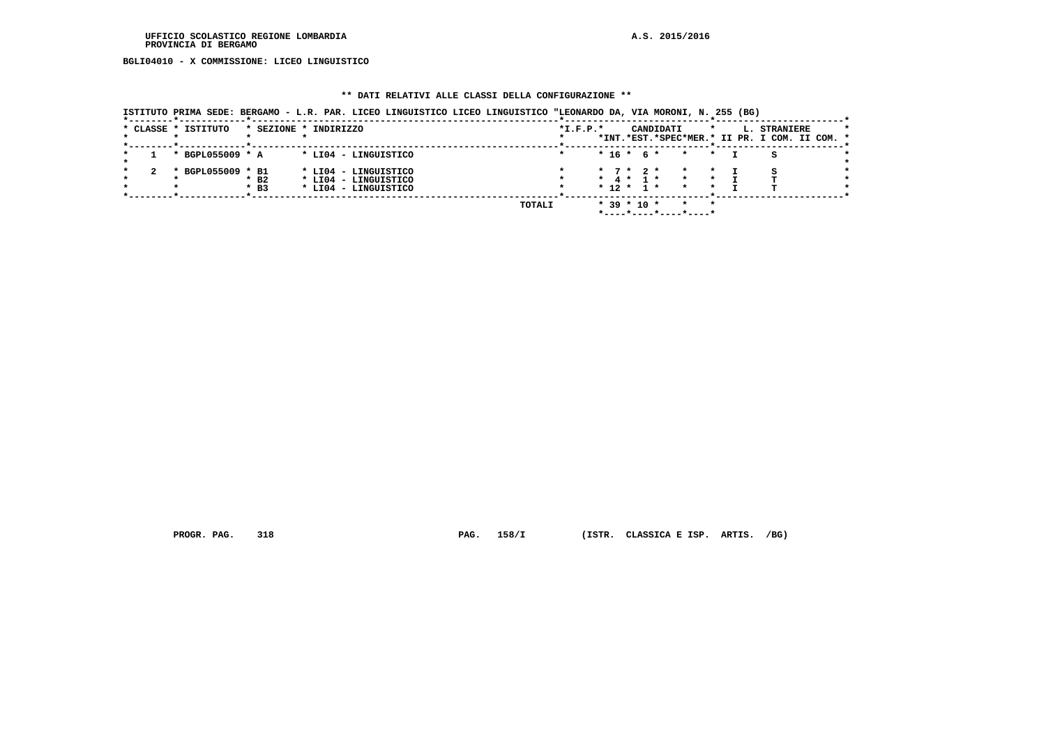**BGLI04010 - X COMMISSIONE: LICEO LINGUISTICO**

#### **\*\* DATI RELATIVI ALLE CLASSI DELLA CONFIGURAZIONE \*\***

|                     |                       |  |                      | ISTITUTO PRIMA SEDE: BERGAMO - L.R. PAR. LICEO LINGUISTICO LICEO LINGUISTICO "LEONARDO DA, VIA MORONI, N. 255 (BG) |            |                             |  |           |                       |         |                                                               |  |
|---------------------|-----------------------|--|----------------------|--------------------------------------------------------------------------------------------------------------------|------------|-----------------------------|--|-----------|-----------------------|---------|---------------------------------------------------------------|--|
| * CLASSE * ISTITUTO | * SEZIONE * INDIRIZZO |  |                      |                                                                                                                    | $*L.F.P.*$ |                             |  |           | CANDIDATI             | $\star$ | L. STRANIERE<br>*INT.*EST.*SPEC*MER.* II PR. I COM. II COM. * |  |
|                     |                       |  |                      |                                                                                                                    |            |                             |  |           |                       |         |                                                               |  |
| * BGPL055009 * A    |                       |  | * LI04 - LINGUISTICO |                                                                                                                    |            | $* 16 * 6 *$                |  |           | $\star$               | $\star$ |                                                               |  |
| * BGPL055009 * B1   |                       |  | * LI04 - LINGUISTICO |                                                                                                                    |            | $\star$ 7 $\star$ 2 $\star$ |  |           | $\star$               |         |                                                               |  |
|                     | $*$ B <sub>2</sub>    |  | * LI04 - LINGUISTICO |                                                                                                                    |            | * 4 * 1 *                   |  |           | $\star$               |         |                                                               |  |
|                     | $*$ B3                |  | * LI04 - LINGUISTICO |                                                                                                                    |            | $* 12 *$                    |  | $1 \star$ | $\star$               |         |                                                               |  |
|                     |                       |  |                      |                                                                                                                    |            |                             |  |           |                       |         |                                                               |  |
|                     |                       |  |                      | TOTALI                                                                                                             |            | $*$ 39 $*$ 10 $*$           |  |           | $\star$               | $\star$ |                                                               |  |
|                     |                       |  |                      |                                                                                                                    |            |                             |  |           | *----*----*----*----* |         |                                                               |  |

 **PROGR. PAG. 318 PAG. 158/I (ISTR. CLASSICA E ISP. ARTIS. /BG)**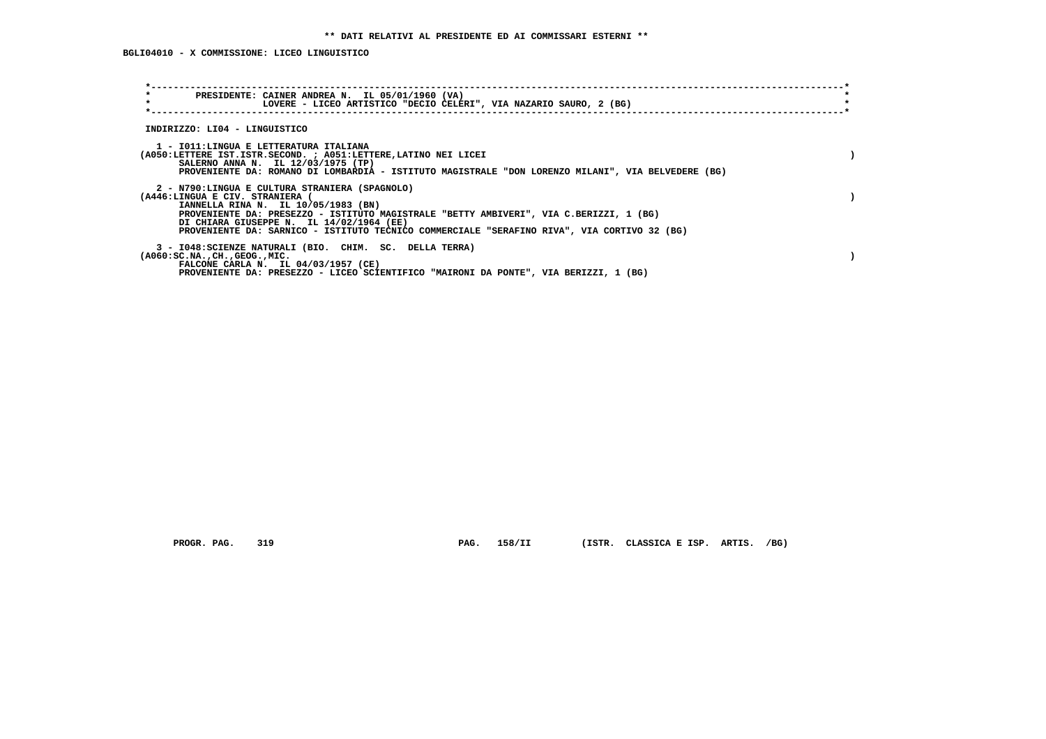| $\star$<br>PRESIDENTE: CAINER ANDREA N. IL 05/01/1960 (VA)<br>$\star$<br>LOVERE - LICEO ARTISTICO "DECIO CELERI", VIA NAZARIO SAURO, 2 (BG)                                                                                                                                                                                                                   |  |
|---------------------------------------------------------------------------------------------------------------------------------------------------------------------------------------------------------------------------------------------------------------------------------------------------------------------------------------------------------------|--|
| INDIRIZZO: LI04 - LINGUISTICO                                                                                                                                                                                                                                                                                                                                 |  |
| 1 - IO11:LINGUA E LETTERATURA ITALIANA<br>(A050:LETTERE IST.ISTR.SECOND. ; A051:LETTERE, LATINO NEI LICEI<br>SALERNO ANNA N. IL 12/03/1975 (TP)<br>PROVENIENTE DA: ROMANO DI LOMBARDIA - ISTITUTO MAGISTRALE "DON LORENZO MILANI", VIA BELVEDERE (BG)                                                                                                         |  |
| 2 - N790:LINGUA E CULTURA STRANIERA (SPAGNOLO)<br>(A446:LINGUA E CIV. STRANIERA (<br>IANNELLA RINA N. IL 10/05/1983 (BN)<br>PROVENIENTE DA: PRESEZZO - ISTITUTO MAGISTRALE "BETTY AMBIVERI", VIA C.BERIZZI, 1 (BG)<br>DI CHIARA GIUSEPPE N. IL 14/02/1964 (EE)<br>PROVENIENTE DA: SARNICO - ISTITUTO TECNICO COMMERCIALE "SERAFINO RIVA", VIA CORTIVO 32 (BG) |  |
| 3 - I048: SCIENZE NATURALI (BIO. CHIM. SC. DELLA TERRA)<br>$(A060:SC.NA.$ , $CH.$ , $GEOG.$ , $MIC.$<br>FALCONE CARLA N. IL 04/03/1957 (CE)<br>PROVENIENTE DA: PRESEZZO - LICEO SCIENTIFICO "MAIRONI DA PONTE", VIA BERIZZI, 1 (BG)                                                                                                                           |  |

 **PROGR. PAG. 319 PAG. 158/II (ISTR. CLASSICA E ISP. ARTIS. /BG)**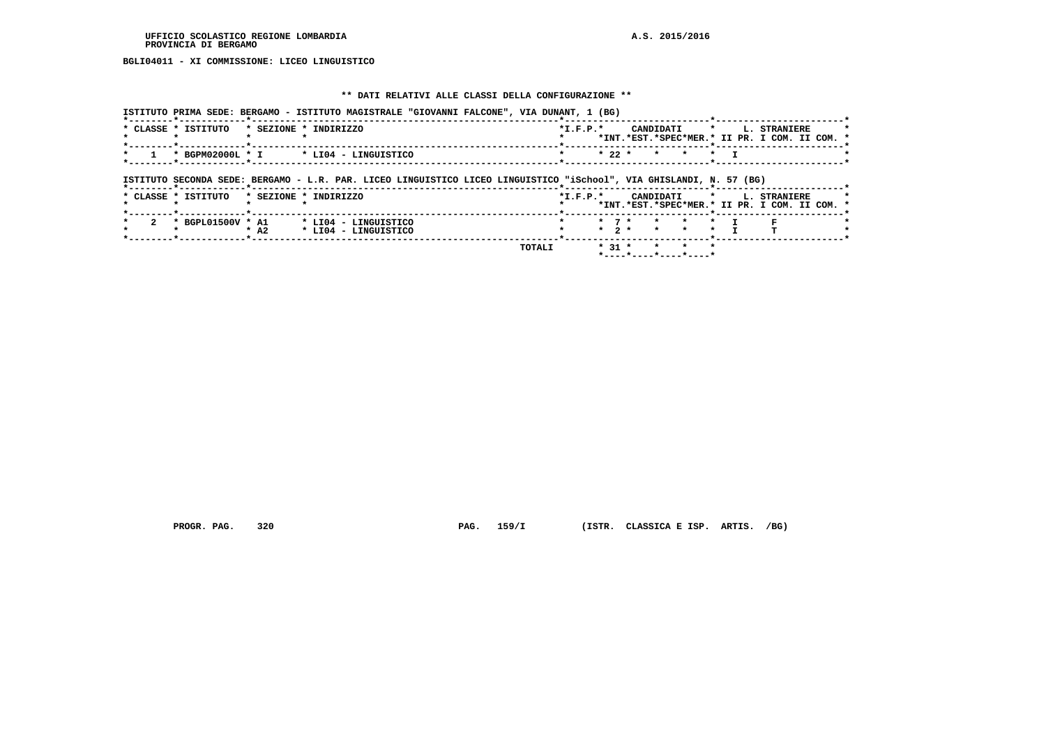# **BGLI04011 - XI COMMISSIONE: LICEO LINGUISTICO**

#### **\*\* DATI RELATIVI ALLE CLASSI DELLA CONFIGURAZIONE \*\***

|                     |        | ISTITUTO PRIMA SEDE: BERGAMO - ISTITUTO MAGISTRALE "GIOVANNI FALCONE", VIA DUNANT, 1 (BG)                           |        |            |                        |           |         |         |                                                                      |  |
|---------------------|--------|---------------------------------------------------------------------------------------------------------------------|--------|------------|------------------------|-----------|---------|---------|----------------------------------------------------------------------|--|
| * CLASSE * ISTITUTO |        | * SEZIONE * INDIRIZZO                                                                                               |        | $*I.F.P.*$ |                        | CANDIDATI |         | $\star$ | L. STRANIERE<br>*INT.*EST.*SPEC*MER.* II PR. I COM. II COM. *        |  |
| * BGPM02000L * I    |        | * LI04 - LINGUISTICO                                                                                                |        |            | $*22 *$                | $\star$   | $\star$ | $\star$ |                                                                      |  |
|                     |        | ISTITUTO SECONDA SEDE: BERGAMO - L.R. PAR. LICEO LINGUISTICO LICEO LINGUISTICO "iSchool", VIA GHISLANDI, N. 57 (BG) |        |            |                        |           |         |         |                                                                      |  |
| * CLASSE * ISTITUTO |        | * SEZIONE * INDIRIZZO                                                                                               |        | $*L.F.P.*$ |                        | CANDIDATI |         | $\star$ | <b>L. STRANIERE</b><br>*INT.*EST.*SPEC*MER.* II PR. I COM. II COM. * |  |
| * BGPL01500V * A1   | $*$ A2 | * LI04 - LINGUISTICO<br>* LI04 - LINGUISTICO                                                                        |        |            | $*$ 7 $*$<br>$*$ 2 $*$ | $\star$   | $\star$ | $\star$ |                                                                      |  |
|                     |        |                                                                                                                     | TOTALI |            | $* 31 *$               |           |         |         |                                                                      |  |

 **\*----\*----\*----\*----\***

 **PROGR. PAG. 320 PAG. 159/I (ISTR. CLASSICA E ISP. ARTIS. /BG)**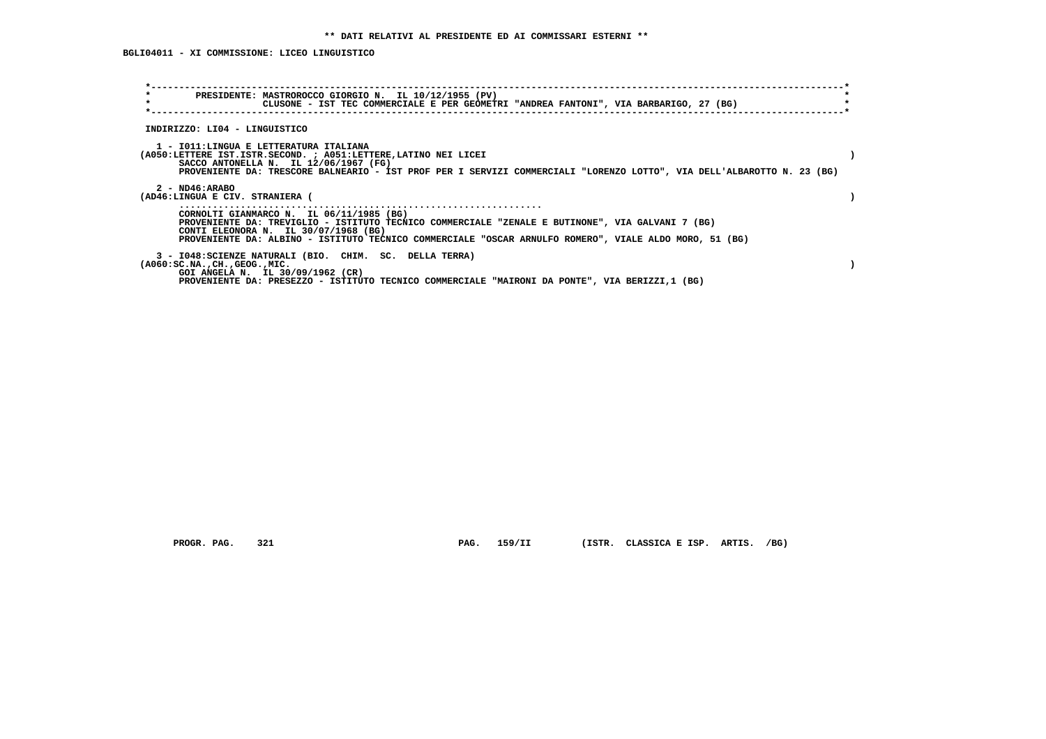### **BGLI04011 - XI COMMISSIONE: LICEO LINGUISTICO**

| $\star$                                              | PRESIDENTE: MASTROROCCO GIORGIO N. IL 10/12/1955 (PV)<br>CLUSONE - IST TEC COMMERCIALE E PER GEOMETRI "ANDREA FANTONI", VIA BARBARIGO, 27 (BG)                                                                                                                                                 |  |
|------------------------------------------------------|------------------------------------------------------------------------------------------------------------------------------------------------------------------------------------------------------------------------------------------------------------------------------------------------|--|
| INDIRIZZO: LI04 - LINGUISTICO                        |                                                                                                                                                                                                                                                                                                |  |
|                                                      | 1 - IO11: LINGUA E LETTERATURA ITALIANA<br>(A050:LETTERE IST.ISTR.SECOND. ; A051:LETTERE, LATINO NEI LICEI<br>SACCO ANTONELLA N. IL $12/06/1967$ (FG)<br>PROVENIENTE DA: TRESCORE BALNEARIO - IST PROF PER I SERVIZI COMMERCIALI "LORENZO LOTTO", VIA DELL'ALBAROTTO N. 23 (BG)                |  |
| $2 - ND46: ARABO$<br>(AD46:LINGUA E CIV. STRANIERA ( |                                                                                                                                                                                                                                                                                                |  |
|                                                      | CORNOLTI GIANMARCO N. IL 06/11/1985 (BG)<br>PROVENIENTE DA: TREVIGLIO - ISTITUTO TECNICO COMMERCIALE "ZENALE E BUTINONE", VIA GALVANI 7 (BG)<br>CONTI ELEONORA N. IL 30/07/1968 (BG)<br>PROVENIENTE DA: ALBINO - ISTITUTO TECNICO COMMERCIALE "OSCAR ARNULFO ROMERO", VIALE ALDO MORO, 51 (BG) |  |
| $(A060:SC.NA.$ , $CH.$ , $GEOG.$ , $MIC.$            | 3 - I048: SCIENZE NATURALI (BIO. CHIM. SC. DELLA TERRA)<br>GOI ANGELA N. IL 30/09/1962 (CR)<br>PROVENIENTE DA: PRESEZZO - ISTITUTO TECNICO COMMERCIALE "MAIRONI DA PONTE", VIA BERIZZI,1 (BG)                                                                                                  |  |

 **PROGR. PAG. 321 PAG. 159/II (ISTR. CLASSICA E ISP. ARTIS. /BG)**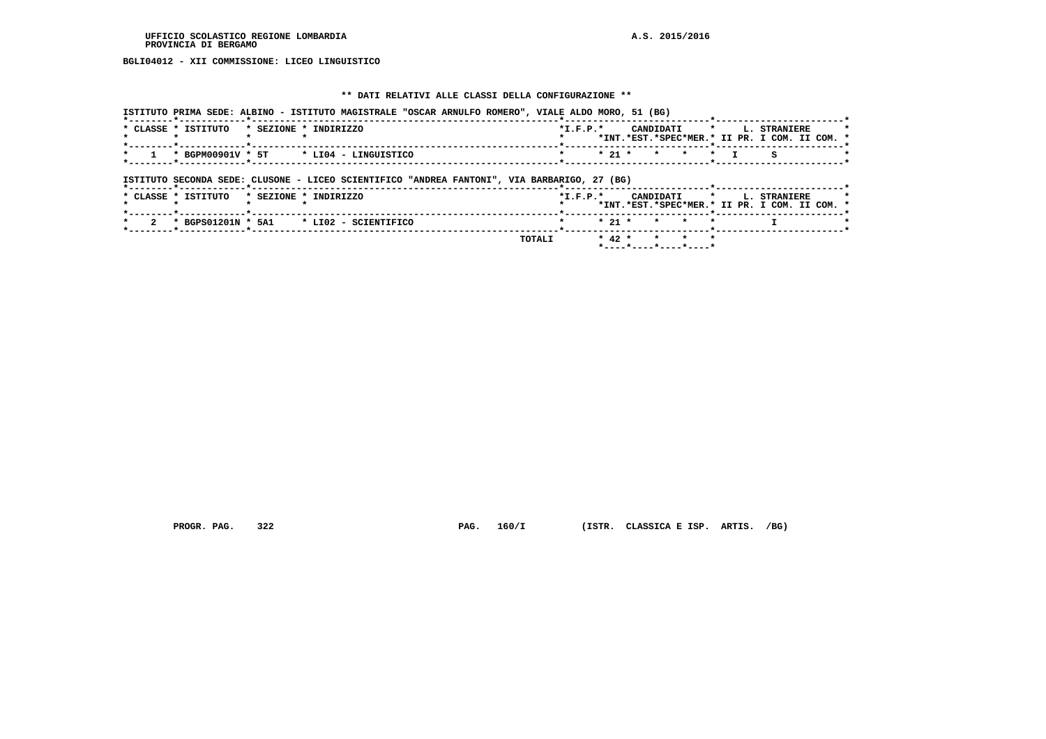**BGLI04012 - XII COMMISSIONE: LICEO LINGUISTICO**

#### **\*\* DATI RELATIVI ALLE CLASSI DELLA CONFIGURAZIONE \*\***

 **ISTITUTO PRIMA SEDE: ALBINO - ISTITUTO MAGISTRALE "OSCAR ARNULFO ROMERO", VIALE ALDO MORO, 51 (BG)**

| * CLASSE * ISTITUTO             | * SEZIONE * INDIRIZZO                                                                       | $*I.F.P.*$     |          | CANDIDATI |         |         | $\star$ |  | L. STRANIERE                                  |  |
|---------------------------------|---------------------------------------------------------------------------------------------|----------------|----------|-----------|---------|---------|---------|--|-----------------------------------------------|--|
|                                 |                                                                                             |                |          |           |         |         |         |  | *INT.*EST.*SPEC*MER.* II PR. I COM. II COM. * |  |
| * BGPM00901V * 5T               | * LI04 - LINGUISTICO                                                                        |                | $* 21 *$ |           | $\star$ | $\star$ | $\star$ |  | s                                             |  |
|                                 |                                                                                             |                |          |           |         |         |         |  |                                               |  |
| *--------*------------*-------- | ISTITUTO SECONDA SEDE: CLUSONE - LICEO SCIENTIFICO "ANDREA FANTONI", VIA BARBARIGO, 27 (BG) |                |          |           |         |         |         |  |                                               |  |
| * CLASSE * ISTITUTO             | * SEZIONE * INDIRIZZO                                                                       | $*$ I.F.P. $*$ |          | CANDIDATI |         |         | $\star$ |  | L. STRANIERE                                  |  |
|                                 |                                                                                             |                |          |           |         |         |         |  | *INT.*EST.*SPEC*MER.* II PR. I COM. II COM. * |  |
|                                 | * BGPS01201N * 5A1 * LI02 - SCIENTIFICO                                                     |                | $* 21 *$ |           | $\star$ | $\star$ |         |  |                                               |  |
|                                 |                                                                                             |                |          |           |         |         |         |  |                                               |  |

 **\*----\*----\*----\*----\***

 **PROGR. PAG. 322 PAG. 160/I (ISTR. CLASSICA E ISP. ARTIS. /BG)**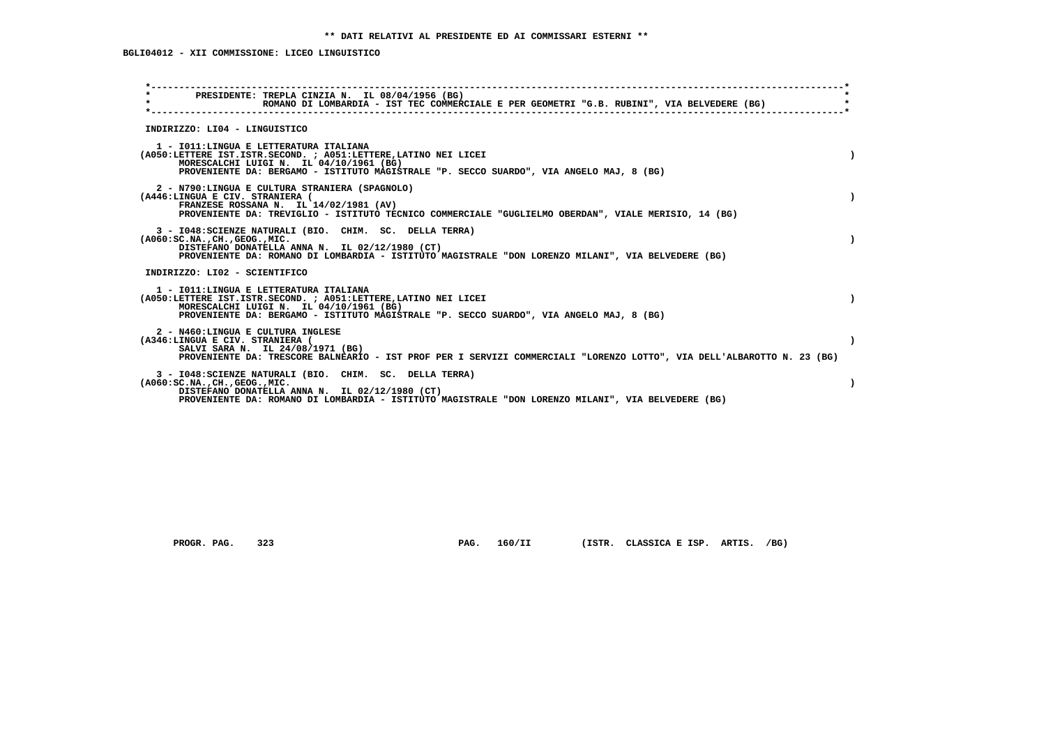### **BGLI04012 - XII COMMISSIONE: LICEO LINGUISTICO**

| $\star$ | PRESIDENTE: TREPLA CINZIA N. IL 08/04/1956 (BG)<br>ROMANO DI LOMBARDIA - IST TEC COMMERCIALE E PER GEOMETRI "G.B. RUBINI", VIA BELVEDERE (BG)                                                                                                                |  |
|---------|--------------------------------------------------------------------------------------------------------------------------------------------------------------------------------------------------------------------------------------------------------------|--|
|         | INDIRIZZO: LI04 - LINGUISTICO                                                                                                                                                                                                                                |  |
|         | 1 - IO11: LINGUA E LETTERATURA ITALIANA<br>(A050:LETTERE IST.ISTR.SECOND. ; A051:LETTERE, LATINO NEI LICEI<br>MORESCALCHI LUIGI N. IL 04/10/1961 (BG)<br>PROVENIENTE DA: BERGAMO - ISTITUTO MAGISTRALE "P. SECCO SUARDO", VIA ANGELO MAJ, 8 (BG)             |  |
|         | 2 - N790:LINGUA E CULTURA STRANIERA (SPAGNOLO)<br>(A446:LINGUA E CIV. STRANIERA (<br>FRANZESE ROSSANA N. IL 14/02/1981 (AV)<br>PROVENIENTE DA: TREVIGLIO - ISTITUTO TECNICO COMMERCIALE "GUGLIELMO OBERDAN", VIALE MERISIO, 14 (BG)                          |  |
|         | 3 - I048: SCIENZE NATURALI (BIO. CHIM. SC. DELLA TERRA)<br>( A060:SC.NA. ,CH. ,GEOG. ,MIC.<br>DISTEFANO DONATELLA ANNA N. IL 02/12/1980 (CT)<br>PROVENIENTE DA: ROMANO DI LOMBARDIA - ISTITUTO MAGISTRALE "DON LORENZO MILANI", VIA BELVEDERE (BG)           |  |
|         | INDIRIZZO: LI02 - SCIENTIFICO                                                                                                                                                                                                                                |  |
|         | 1 - IO11: LINGUA E LETTERATURA ITALIANA<br>(A050:LETTERE IST.ISTR.SECOND. ; A051:LETTERE,LATINO NEI LICEI<br>MORESCALCHI LUIGI N. IL 04/10/1961 (BG)<br>PROVENIENTE DA: BERGAMO - ISTITUTO MAGISTRALE "P. SECCO SUARDO", VIA ANGELO MAJ, 8 (BG)              |  |
|         | 2 - N460:LINGUA E CULTURA INGLESE<br>(A346:LINGUA E CIV. STRANIERA (<br>SALVI SARA N. IL 24/08/1971 (BG)<br>PROVENIENTE DA: TRESCORE BALNEARIO - IST PROF PER I SERVIZI COMMERCIALI "LORENZO LOTTO", VIA DELL'ALBAROTTO N. 23 (BG)                           |  |
|         | 3 - I048: SCIENZE NATURALI (BIO. CHIM. SC. DELLA TERRA)<br>$(A060:SC.NA.$ , $CH.$ , $GEOG.$ , $MIC.$<br>DISTEFANO DONATELLA ANNA N. IL 02/12/1980 (CT)<br>PROVENIENTE DA: ROMANO DI LOMBARDIA - ISTITUTO MAGISTRALE "DON LORENZO MILANI", VIA BELVEDERE (BG) |  |

 **PROGR. PAG. 323 PAG. 160/II (ISTR. CLASSICA E ISP. ARTIS. /BG)**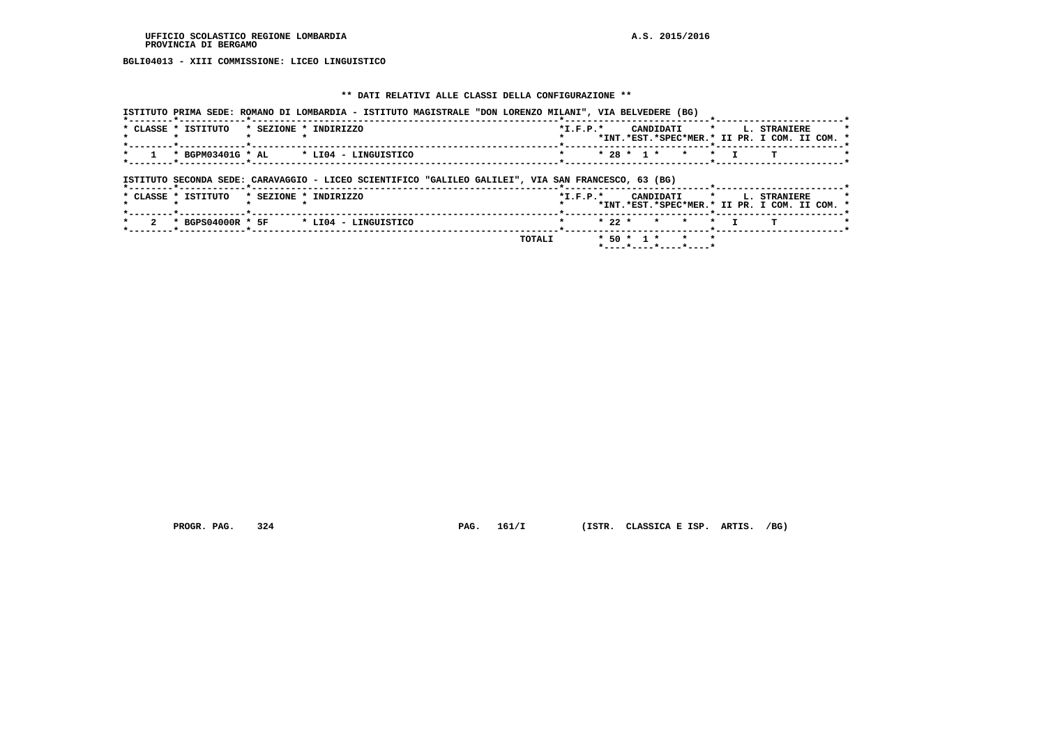**BGLI04013 - XIII COMMISSIONE: LICEO LINGUISTICO**

#### **\*\* DATI RELATIVI ALLE CLASSI DELLA CONFIGURAZIONE \*\***

 **ISTITUTO PRIMA SEDE: ROMANO DI LOMBARDIA - ISTITUTO MAGISTRALE "DON LORENZO MILANI", VIA BELVEDERE (BG) \*--------\*------------\*-------------------------------------------------------\*--------------------------\*-----------------------\*** $\overline{\phantom{a}}$  **\* CLASSE \* ISTITUTO \* SEZIONE \* INDIRIZZO \*I.F.P.\* CANDIDATI \* L. STRANIERE \* \* \* \* \* \* \*INT.\*EST.\*SPEC\*MER.\* II PR. I COM. II COM. \* \*--------\*------------\*-------------------------------------------------------\*--------------------------\*-----------------------\*** $\rightarrow$  **\* 1 \* BGPM03401G \* AL \* LI04 - LINGUISTICO \* \* 28 \* 1 \* \* \* I T \* \*--------\*------------\*-------------------------------------------------------\*--------------------------\*-----------------------\* ISTITUTO SECONDA SEDE: CARAVAGGIO - LICEO SCIENTIFICO "GALILEO GALILEI", VIA SAN FRANCESCO, 63 (BG) \*--------\*------------\*-------------------------------------------------------\*--------------------------\*-----------------------\*** $\star$  **\* CLASSE \* ISTITUTO \* SEZIONE \* INDIRIZZO \*I.F.P.\* CANDIDATI \* L. STRANIERE \* \* \* \* \* \* \*INT.\*EST.\*SPEC\*MER.\* II PR. I COM. II COM. \* \*--------\*------------\*-------------------------------------------------------\*--------------------------\*-----------------------\*** $\star$  **\* 2 \* BGPS04000R \* 5F \* LI04 - LINGUISTICO \* \* 22 \* \* \* \* I T \* \*--------\*------------\*-------------------------------------------------------\*--------------------------\*-----------------------\* TOTALI \* 50 \* 1 \* \* \* \*----\*----\*----\*----\***

 **PROGR. PAG. 324 PAG. 161/I (ISTR. CLASSICA E ISP. ARTIS. /BG)**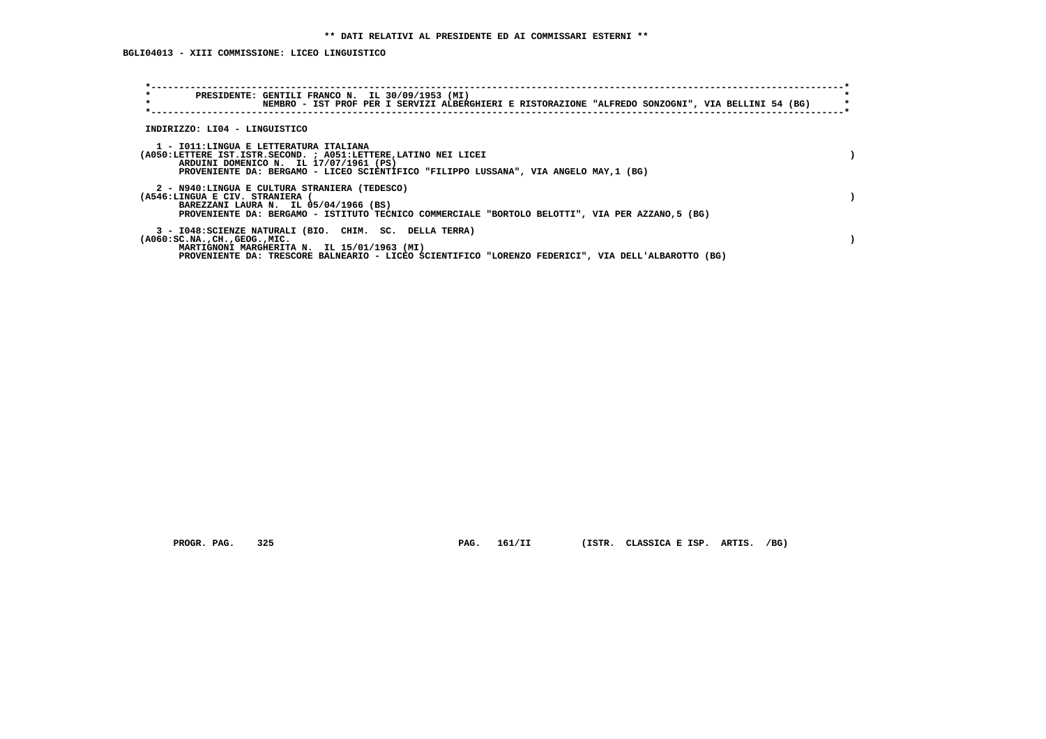| $\star$<br>PRESIDENTE: GENTILI FRANCO N. IL 30/09/1953 (MI)<br>$\star$<br>NEMBRO - IST PROF PER I SERVIZI ALBERGHIERI E RISTORAZIONE "ALFREDO SONZOGNI", VIA BELLINI 54 (BG)                                                                              |  |
|-----------------------------------------------------------------------------------------------------------------------------------------------------------------------------------------------------------------------------------------------------------|--|
| INDIRIZZO: LI04 - LINGUISTICO                                                                                                                                                                                                                             |  |
| 1 - IO11:LINGUA E LETTERATURA ITALIANA<br>(A050:LETTERE IST.ISTR.SECOND. ; A051:LETTERE, LATINO NEI LICEI<br>ARDUINI DOMENICO N. IL 17/07/1961 (PS)<br>PROVENIENTE DA: BERGAMO - LICEO SCIENTIFICO "FILIPPO LUSSANA", VIA ANGELO MAY, 1 (BG)              |  |
| 2 - N940:LINGUA E CULTURA STRANIERA (TEDESCO)<br>(A546:LINGUA E CIV. STRANIERA<br>BAREZZANI LAURA N. IL 05/04/1966 (BS)<br>PROVENIENTE DA: BERGAMO - ISTITUTO TECNICO COMMERCIALE "BORTOLO BELOTTI", VIA PER AZZANO, 5 (BG)                               |  |
| 3 - I048: SCIENZE NATURALI (BIO. CHIM. SC. DELLA TERRA)<br>$(A060:SC.NA.$ , $CH.$ , $GEOG.$ , $MIC.$<br>MARTIGNONI MARGHERITA N. IL 15/01/1963 (MI)<br>PROVENIENTE DA: TRESCORE BALNEARIO - LICEO SCIENTIFICO "LORENZO FEDERICI", VIA DELL'ALBAROTTO (BG) |  |

 **PROGR. PAG. 325 PAG. 161/II (ISTR. CLASSICA E ISP. ARTIS. /BG)**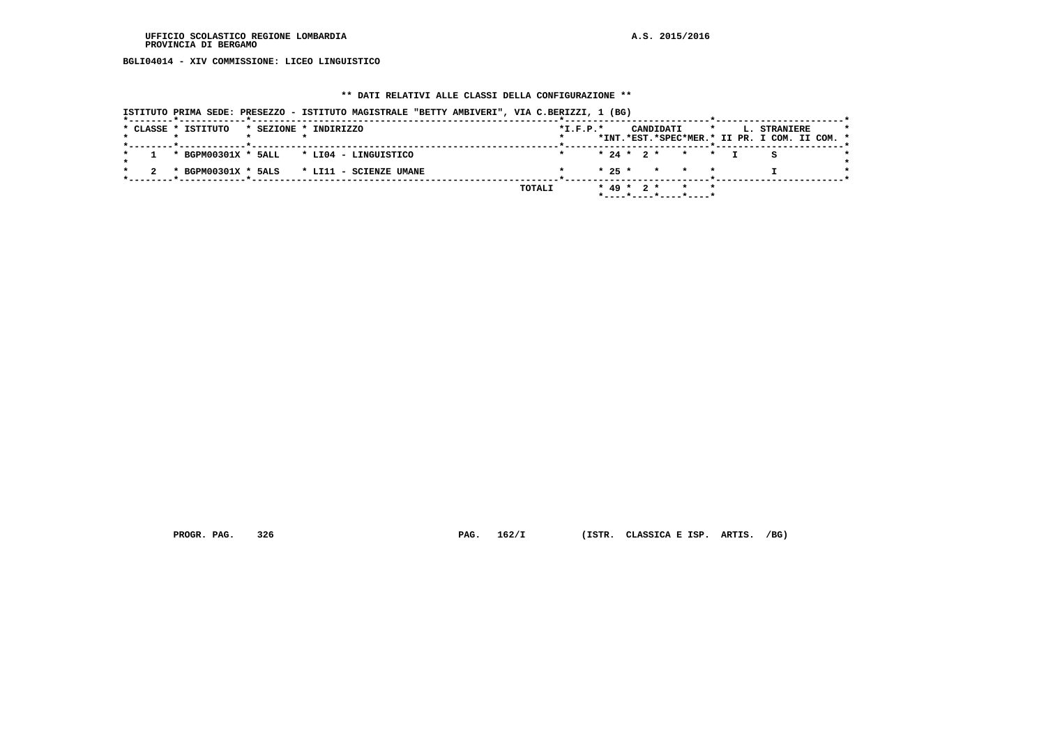**BGLI04014 - XIV COMMISSIONE: LICEO LINGUISTICO**

### **\*\* DATI RELATIVI ALLE CLASSI DELLA CONFIGURAZIONE \*\***

| ISTITUTO PRIMA SEDE: PRESEZZO - ISTITUTO MAGISTRALE "BETTY AMBIVERI", VIA C.BERIZZI, 1 (BG) |            |                                                                                 |                                                                          |  |
|---------------------------------------------------------------------------------------------|------------|---------------------------------------------------------------------------------|--------------------------------------------------------------------------|--|
| * CLASSE * ISTITUTO<br>* SEZIONE * INDIRIZZO                                                | $*L.F.P.*$ | CANDIDATI                                                                       | $\star$<br>L. STRANIERE<br>*INT.*EST.*SPEC*MER.* II PR. I COM. II COM. * |  |
| * BGPM00301X * 5ALL * LI04 - LINGUISTICO                                                    |            | $* 24 * 2 * * * * T$                                                            | S                                                                        |  |
| * BGPM00301X * 5ALS * LI11 - SCIENZE UMANE                                                  |            | * 25 * * * *                                                                    |                                                                          |  |
|                                                                                             | TOTALI     | $* 49 * 2 * * * * * *$<br>$*$ - - - - $*$ - - - - $*$ - - - - $*$ - - - - - $*$ |                                                                          |  |

 **PROGR. PAG. 326 PAG. 162/I (ISTR. CLASSICA E ISP. ARTIS. /BG)**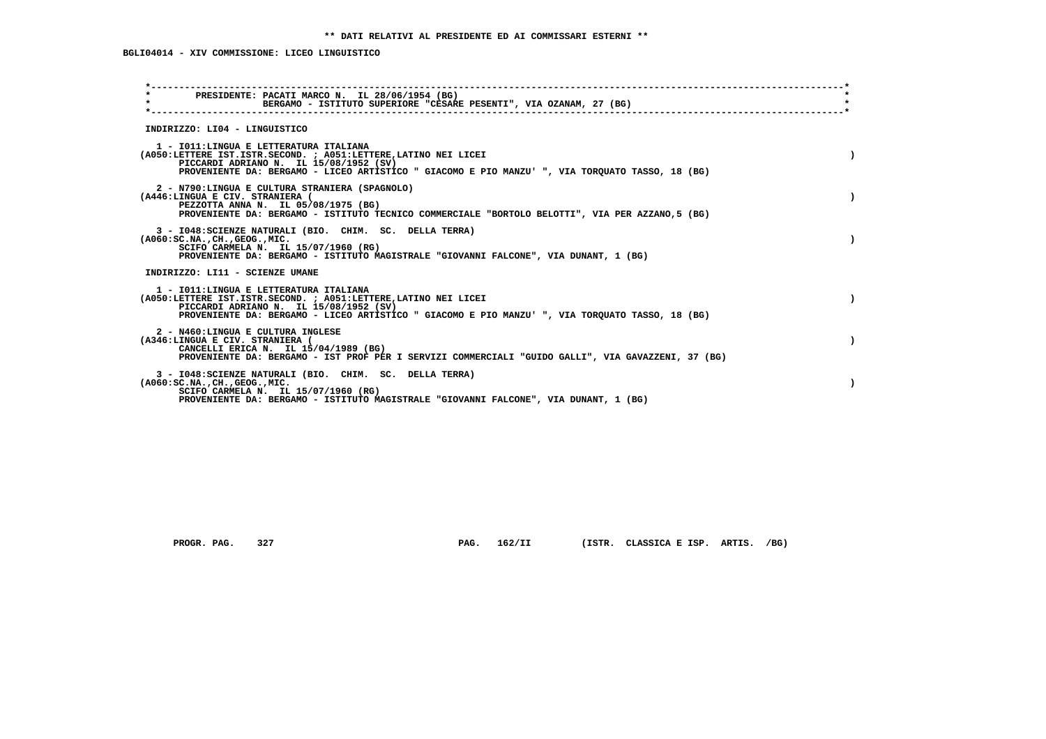| $\star$ | PRESIDENTE: PACATI MARCO N. IL 28/06/1954 (BG)<br>BERGAMO - ISTITUTO SUPERIORE "CESARE PESENTI", VIA OZANAM, 27 (BG)                                                                                                                                    | $\star$ |
|---------|---------------------------------------------------------------------------------------------------------------------------------------------------------------------------------------------------------------------------------------------------------|---------|
|         | INDIRIZZO: LI04 - LINGUISTICO                                                                                                                                                                                                                           |         |
|         | 1 - IO11: LINGUA E LETTERATURA ITALIANA<br>(A050:LETTERE IST.ISTR.SECOND. ; A051:LETTERE, LATINO NEI LICEI<br>PICCARDI ADRIANO N. IL 15/08/1952 (SV)<br>PROVENIENTE DA: BERGAMO - LICEO ARTISTICO " GIACOMO E PIO MANZU' ", VIA TORQUATO TASSO, 18 (BG) |         |
|         | 2 - N790:LINGUA E CULTURA STRANIERA (SPAGNOLO)<br>(A446:LINGUA E CIV. STRANIERA (<br>PEZZOTTA ANNA N. IL 05/08/1975 (BG)<br>PROVENIENTE DA: BERGAMO - ISTITUTO TECNICO COMMERCIALE "BORTOLO BELOTTI", VIA PER AZZANO, 5 (BG)                            |         |
|         | 3 - I048: SCIENZE NATURALI (BIO. CHIM. SC. DELLA TERRA)<br>$(A060:SC.NA.$ , $CH.$ , $GEOG.$ , $MIC.$<br>SCIFO CARMELA N. IL 15/07/1960 (RG)<br>PROVENIENTE DA: BERGAMO - ISTITUTO MAGISTRALE "GIOVANNI FALCONE", VIA DUNANT, 1 (BG)                     |         |
|         | INDIRIZZO: LI11 - SCIENZE UMANE                                                                                                                                                                                                                         |         |
|         | 1 - IO11: LINGUA E LETTERATURA ITALIANA<br>(A050:LETTERE IST.ISTR.SECOND. ; A051:LETTERE, LATINO NEI LICEI<br>PICCARDI ADRIANO N. IL 15/08/1952 (SV)<br>PROVENIENTE DA: BERGAMO - LICEO ARTISTICO " GIACOMO E PIO MANZU' ", VIA TORQUATO TASSO, 18 (BG) |         |
|         | 2 - N460:LINGUA E CULTURA INGLESE<br>(A346:LINGUA E CIV. STRANIERA (<br>CANCELLI ERICA N. IL 15/04/1989 (BG)<br>PROVENIENTE DA: BERGAMO - IST PROF PER I SERVIZI COMMERCIALI "GUIDO GALLI", VIA GAVAZZENI, 37 (BG)                                      |         |
|         | 3 - I048: SCIENZE NATURALI (BIO. CHIM. SC. DELLA TERRA)<br>$(A060:SC.NA.$ , $CH.$ , $GEOG.$ , $MIC.$<br>SCIFO CARMELA N. IL 15/07/1960 (RG)<br>PROVENIENTE DA: BERGAMO - ISTITUTO MAGISTRALE "GIOVANNI FALCONE", VIA DUNANT, 1 (BG)                     |         |

PROGR. PAG. 327 **PAG. 162/II** (ISTR. CLASSICA E ISP. ARTIS. /BG)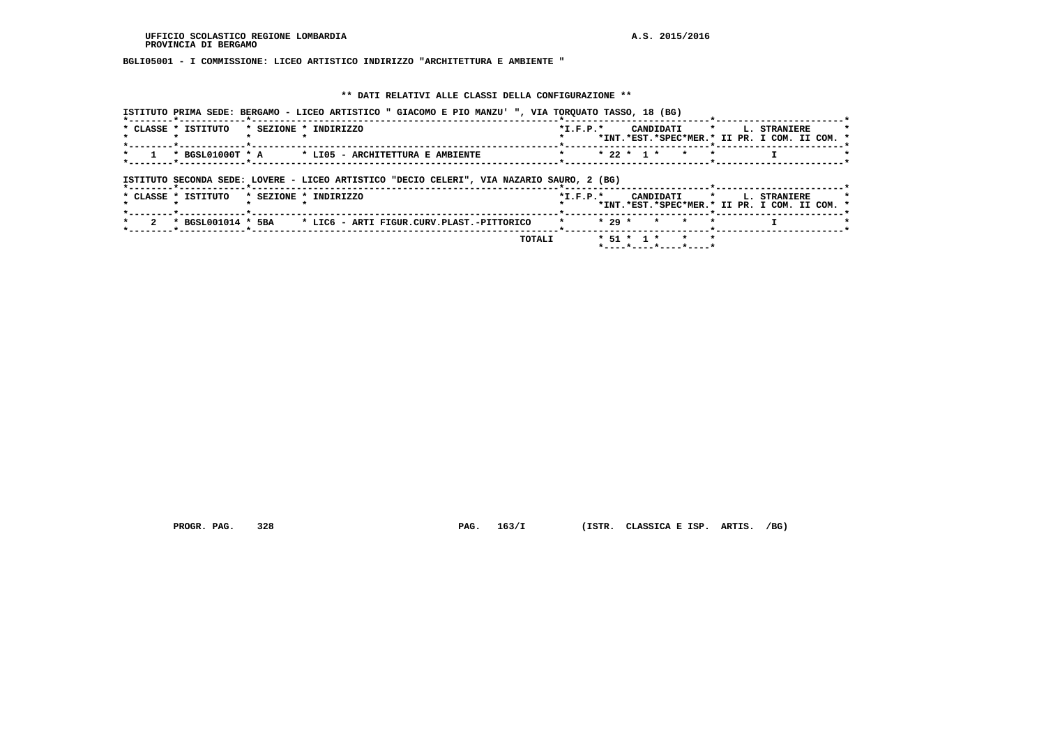### **BGLI05001 - I COMMISSIONE: LICEO ARTISTICO INDIRIZZO "ARCHITETTURA E AMBIENTE "**

#### **\*\* DATI RELATIVI ALLE CLASSI DELLA CONFIGURAZIONE \*\***

 **ISTITUTO PRIMA SEDE: BERGAMO - LICEO ARTISTICO " GIACOMO E PIO MANZU' ", VIA TORQUATO TASSO, 18 (BG) \*--------\*------------\*-------------------------------------------------------\*--------------------------\*-----------------------\*** $\overline{\phantom{a}}$  **\* CLASSE \* ISTITUTO \* SEZIONE \* INDIRIZZO \*I.F.P.\* CANDIDATI \* L. STRANIERE \* \* \* \* \* \* \*INT.\*EST.\*SPEC\*MER.\* II PR. I COM. II COM. \* \*--------\*------------\*-------------------------------------------------------\*--------------------------\*-----------------------\*** $\rightarrow$  **\* 1 \* BGSL01000T \* A \* LI05 - ARCHITETTURA E AMBIENTE \* \* 22 \* 1 \* \* \* I \* \*--------\*------------\*-------------------------------------------------------\*--------------------------\*-----------------------\* ISTITUTO SECONDA SEDE: LOVERE - LICEO ARTISTICO "DECIO CELERI", VIA NAZARIO SAURO, 2 (BG) \*--------\*------------\*-------------------------------------------------------\*--------------------------\*-----------------------\*** $\overline{\phantom{a}}$  **\* CLASSE \* ISTITUTO \* SEZIONE \* INDIRIZZO \*I.F.P.\* CANDIDATI \* L. STRANIERE \* \* \* \* \* \* \*INT.\*EST.\*SPEC\*MER.\* II PR. I COM. II COM. \* \*--------\*------------\*-------------------------------------------------------\*--------------------------\*-----------------------\* \* 2 \* BGSL001014 \* 5BA \* LIC6 - ARTI FIGUR.CURV.PLAST.-PITTORICO \* \* 29 \* \* \* \* I \* \*--------\*------------\*-------------------------------------------------------\*--------------------------\*-----------------------\* TOTALI \* 51 \* 1 \* \* \* \*----\*----\*----\*----\***

 **PROGR. PAG. 328 PAG. 163/I (ISTR. CLASSICA E ISP. ARTIS. /BG)**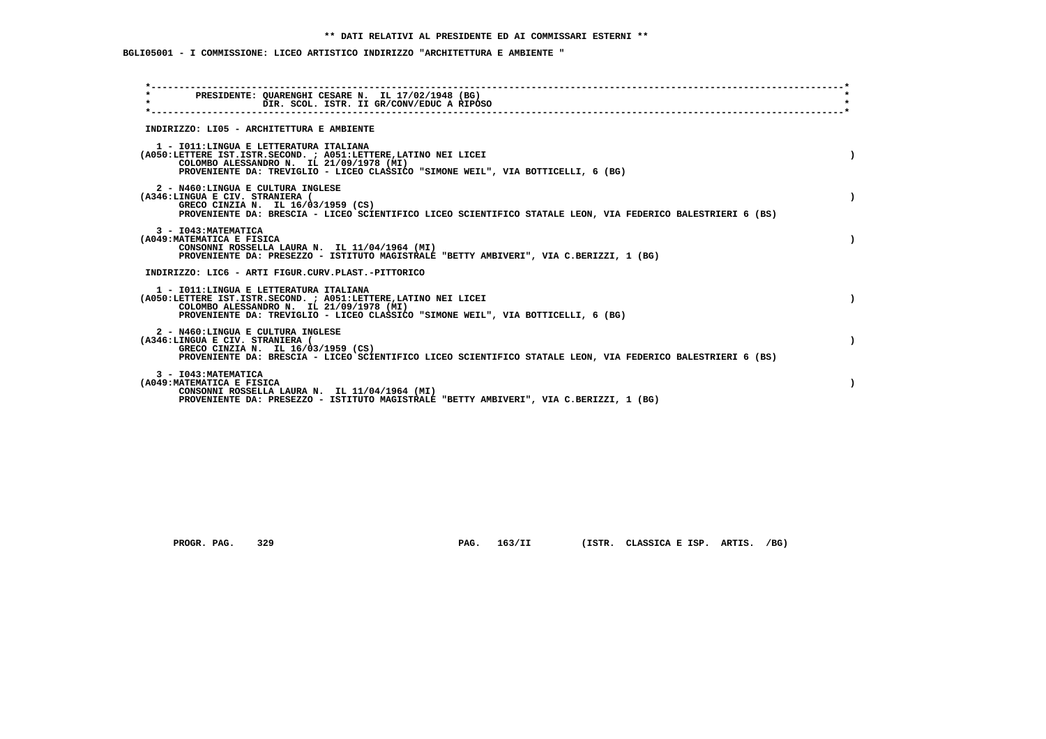## **BGLI05001 - I COMMISSIONE: LICEO ARTISTICO INDIRIZZO "ARCHITETTURA E AMBIENTE "**

| PRESIDENTE: OUARENGHI CESARE N. IL 17/02/1948 (BG)<br>$\star$<br>DIR. SCOL. ISTR. II GR/CONV/EDUC A RIPOSO                                                                                                                                 |  |
|--------------------------------------------------------------------------------------------------------------------------------------------------------------------------------------------------------------------------------------------|--|
|                                                                                                                                                                                                                                            |  |
| INDIRIZZO: LI05 - ARCHITETTURA E AMBIENTE                                                                                                                                                                                                  |  |
| 1 - IO11: LINGUA E LETTERATURA ITALIANA<br>(A050:LETTERE IST.ISTR.SECOND. ; A051:LETTERE, LATINO NEI LICEI<br>COLOMBO ALESSANDRO N. IL 21/09/1978 (MI)<br>PROVENIENTE DA: TREVIGLIO - LICEO CLASSICO "SIMONE WEIL", VIA BOTTICELLI, 6 (BG) |  |
| 2 - N460:LINGUA E CULTURA INGLESE<br>(A346:LINGUA E CIV. STRANIERA (<br>GRECO CINZIA N. IL 16/03/1959 (CS)<br>PROVENIENTE DA: BRESCIA - LICEO SCIENTIFICO LICEO SCIENTIFICO STATALE LEON, VIA FEDERICO BALESTRIERI 6 (BS)                  |  |
| 3 - I043: MATEMATICA<br>(A049: MATEMATICA E FISICA<br>CONSONNI ROSSELLA LAURA N. IL 11/04/1964 (MI)<br>PROVENIENTE DA: PRESEZZO - ISTITUTO MAGISTRALE "BETTY AMBIVERI", VIA C.BERIZZI, 1 (BG)                                              |  |
| INDIRIZZO: LIC6 - ARTI FIGUR.CURV.PLAST.-PITTORICO                                                                                                                                                                                         |  |
| 1 - IO11: LINGUA E LETTERATURA ITALIANA<br>(A050:LETTERE IST.ISTR.SECOND. ; A051:LETTERE, LATINO NEI LICEI<br>COLOMBO ALESSANDRO N. IL 21/09/1978 (MI)<br>PROVENIENTE DA: TREVIGLIO - LICEO CLASSICO "SIMONE WEIL", VIA BOTTICELLI, 6 (BG) |  |
| 2 - N460:LINGUA E CULTURA INGLESE<br>(A346:LINGUA E CIV. STRANIERA (<br>GRECO CINZIA N. IL 16/03/1959 (CS)<br>PROVENIENTE DA: BRESCIA - LICEO SCIENTIFICO LICEO SCIENTIFICO STATALE LEON, VIA FEDERICO BALESTRIERI 6 (BS)                  |  |
| 3 - I043: MATEMATICA<br>(A049: MATEMATICA E FISICA<br>CONSONNI ROSSELLA LAURA N. IL 11/04/1964 (MI)<br>PROVENIENTE DA: PRESEZZO - ISTITUTO MAGISTRALE "BETTY AMBIVERI", VIA C.BERIZZI, 1 (BG)                                              |  |

PROGR. PAG. 329 **PAG. 163/II** (ISTR. CLASSICA E ISP. ARTIS. /BG)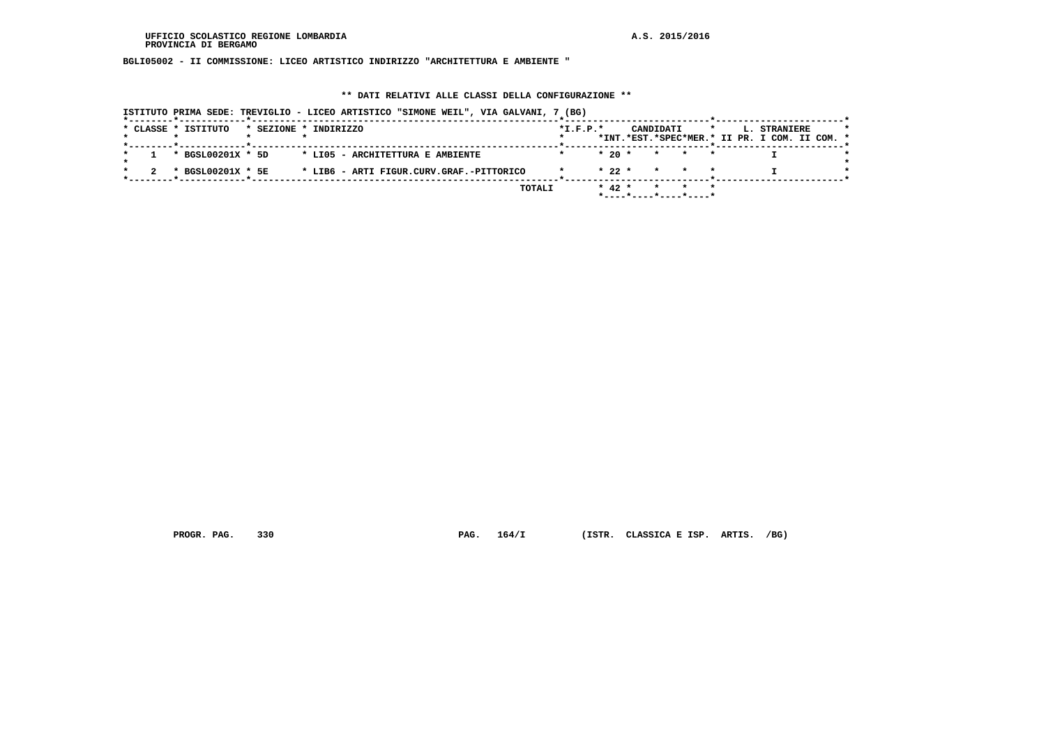**BGLI05002 - II COMMISSIONE: LICEO ARTISTICO INDIRIZZO "ARCHITETTURA E AMBIENTE "**

#### **\*\* DATI RELATIVI ALLE CLASSI DELLA CONFIGURAZIONE \*\***

|                     |                   | ISTITUTO PRIMA SEDE: TREVIGLIO - LICEO ARTISTICO "SIMONE WEIL", VIA GALVANI, 7 (BG) |            |          |           |                          |         |                                                               |  |
|---------------------|-------------------|-------------------------------------------------------------------------------------|------------|----------|-----------|--------------------------|---------|---------------------------------------------------------------|--|
| * CLASSE * ISTITUTO |                   | * SEZIONE * INDIRIZZO                                                               | $*L.F.P.*$ |          | CANDIDATI |                          | $\star$ | L. STRANIERE<br>*INT.*EST.*SPEC*MER.* II PR. I COM. II COM. * |  |
|                     | * BGSL00201X * 5D | * LIO5 - ARCHITETTURA E AMBIENTE                                                    |            | $*20$ *  |           | $\star$ $\star$          |         |                                                               |  |
|                     | * BGSL00201X * 5E | * LIB6 - ARTI FIGUR.CURV.GRAF.-PITTORICO                                            |            | $* 22 *$ |           | * * *                    |         |                                                               |  |
|                     |                   | TOTALI                                                                              |            | $* 42 *$ | $\star$   | $*$ ----*----*----*----* |         |                                                               |  |

 **PROGR. PAG. 330 PAG. 164/I (ISTR. CLASSICA E ISP. ARTIS. /BG)**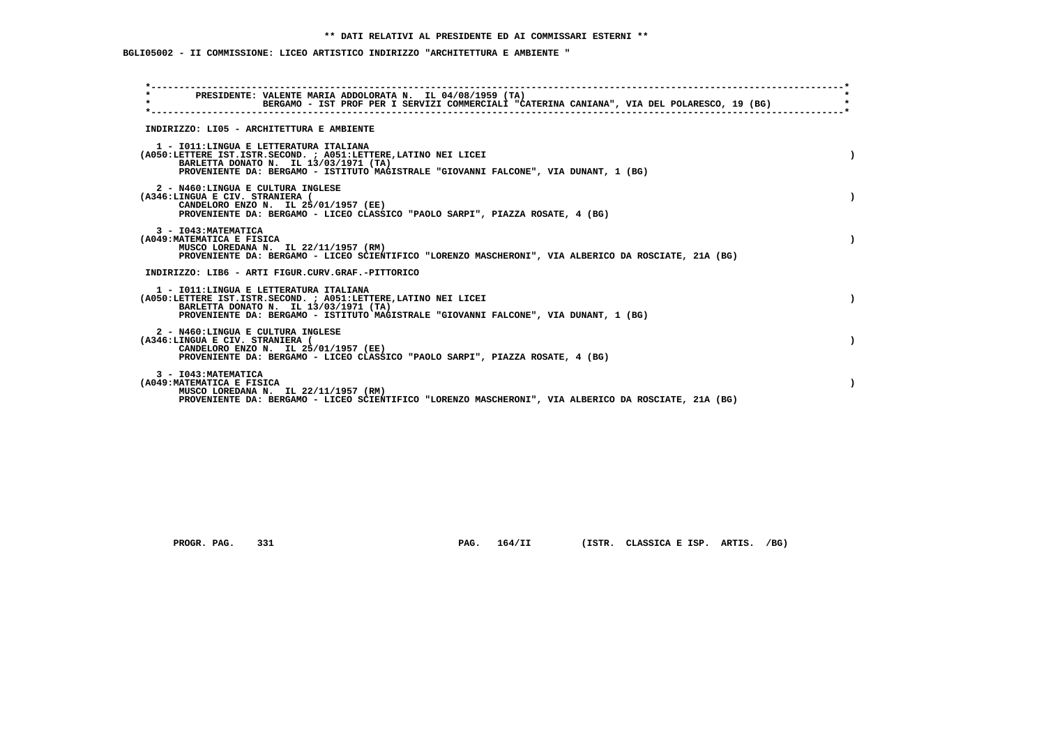## **BGLI05002 - II COMMISSIONE: LICEO ARTISTICO INDIRIZZO "ARCHITETTURA E AMBIENTE "**

| $\star$ | PRESIDENTE: VALENTE MARIA ADDOLORATA N. IL 04/08/1959 (TA)<br>BERGAMO - IST PROF PER I SERVIZI COMMERCIALI "CATERINA CANIANA", VIA DEL POLARESCO, 19 (BG)                                                                                   |  |
|---------|---------------------------------------------------------------------------------------------------------------------------------------------------------------------------------------------------------------------------------------------|--|
|         | INDIRIZZO: LI05 - ARCHITETTURA E AMBIENTE                                                                                                                                                                                                   |  |
|         | 1 - IO11: LINGUA E LETTERATURA ITALIANA<br>(A050:LETTERE IST.ISTR.SECOND. ; A051:LETTERE, LATINO NEI LICEI<br>BARLETTA DONATO N. IL 13/03/1971 (TA)<br>PROVENIENTE DA: BERGAMO - ISTITUTO MAGISTRALE "GIOVANNI FALCONE", VIA DUNANT, 1 (BG) |  |
|         | 2 - N460:LINGUA E CULTURA INGLESE<br>(A346:LINGUA E CIV. STRANIERA (<br>CANDELORO ENZO N. IL 25/01/1957 (EE)<br>PROVENIENTE DA: BERGAMO - LICEO CLASSICO "PAOLO SARPI", PIAZZA ROSATE, 4 (BG)                                               |  |
|         | 3 - I043: MATEMATICA<br>(A049: MATEMATICA E FISICA<br>MUSCO LOREDANA N. IL 22/11/1957 (RM)<br>PROVENIENTE DA: BERGAMO - LICEO SCIENTIFICO "LORENZO MASCHERONI", VIA ALBERICO DA ROSCIATE, 21A (BG)                                          |  |
|         | INDIRIZZO: LIB6 - ARTI FIGUR.CURV.GRAF.-PITTORICO                                                                                                                                                                                           |  |
|         | 1 - IO11: LINGUA E LETTERATURA ITALIANA<br>(A050:LETTERE IST.ISTR.SECOND. ; A051:LETTERE, LATINO NEI LICEI<br>BARLETTA DONATO N. IL 13/03/1971 (TA)<br>PROVENIENTE DA: BERGAMO - ISTITUTO MAGISTRALE "GIOVANNI FALCONE", VIA DUNANT, 1 (BG) |  |
|         | 2 - N460:LINGUA E CULTURA INGLESE<br>(A346:LINGUA E CIV. STRANIERA (<br>CANDELORO ENZO N. IL 25/01/1957 (EE)<br>PROVENIENTE DA: BERGAMO - LICEO CLASSICO "PAOLO SARPI", PIAZZA ROSATE, 4 (BG)                                               |  |
|         | 3 - I043: MATEMATICA<br>(A049: MATEMATICA E FISICA<br>MUSCO LOREDANA N. IL 22/11/1957 (RM)<br>PROVENIENTE DA: BERGAMO - LICEO SCIENTIFICO "LORENZO MASCHERONI", VIA ALBERICO DA ROSCIATE, 21A (BG)                                          |  |

 **PROGR. PAG. 331 PAG. 164/II (ISTR. CLASSICA E ISP. ARTIS. /BG)**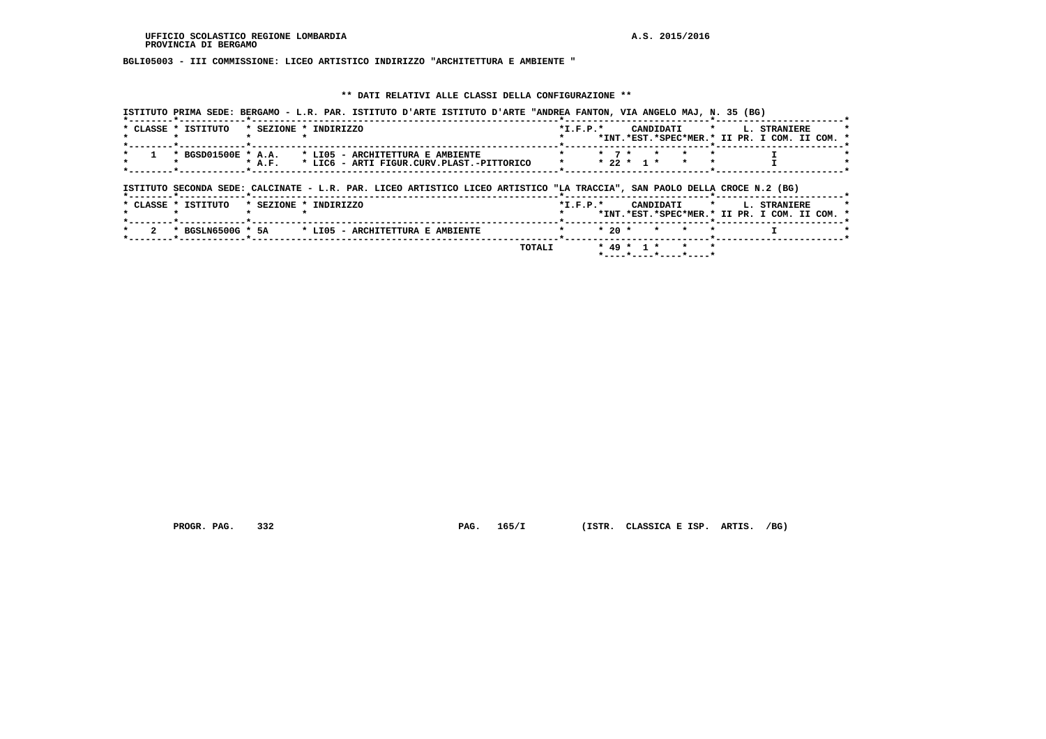**BGLI05003 - III COMMISSIONE: LICEO ARTISTICO INDIRIZZO "ARCHITETTURA E AMBIENTE "**

### **\*\* DATI RELATIVI ALLE CLASSI DELLA CONFIGURAZIONE \*\***

| * CLASSE * ISTITUTO<br>* SEZIONE * INDIRIZZO          | $*T.F.P.*$ |              | CANDIDATI | $\mathbf{r}$ and $\mathbf{r}$ and $\mathbf{r}$ | <b>L. STRANIERE</b>                           |  |
|-------------------------------------------------------|------------|--------------|-----------|------------------------------------------------|-----------------------------------------------|--|
|                                                       |            |              |           |                                                | *INT.*EST.*SPEC*MER.* II PR. I COM. II COM. * |  |
| * BGSD01500E * A.A. * LI05 - ARCHITETTURA E AMBIENTE  |            |              |           |                                                |                                               |  |
| * LIC6 - ARTI FIGUR.CURV.PLAST.-PITTORICO<br>$*$ A.F. |            | $* 22 * 1 *$ |           |                                                |                                               |  |

|                     | ISIIIUIU SECONDA SEDE: CALCINAIE - L.K. PAR. LICEO ARIISIICO LICEO ARIISIICO "LA IRACCIA", SAN PAOLO DELLA CROCE N.Z (BG) |        |            |                                                                               |                                                                           |
|---------------------|---------------------------------------------------------------------------------------------------------------------------|--------|------------|-------------------------------------------------------------------------------|---------------------------------------------------------------------------|
| * CLASSE * ISTITUTO | * SEZIONE * INDIRIZZO                                                                                                     |        | $*T.F.P.*$ |                                                                               | CANDIDATI * L. STRANIERE<br>*INT.*EST.*SPEC*MER.* II PR. I COM. II COM. * |
| * BGSLN6500G * 5A   | * LIO5 - ARCHITETTURA E AMBIENTE                                                                                          |        |            | $* 20 * * * * * *$                                                            |                                                                           |
|                     |                                                                                                                           | TOTALI |            | $* 49 * 1 * * * * *$<br>$*$ - - - - $*$ - - - - $*$ - - - - $*$ - - - - - $*$ |                                                                           |

 **PROGR. PAG. 332 PAG. 165/I (ISTR. CLASSICA E ISP. ARTIS. /BG)**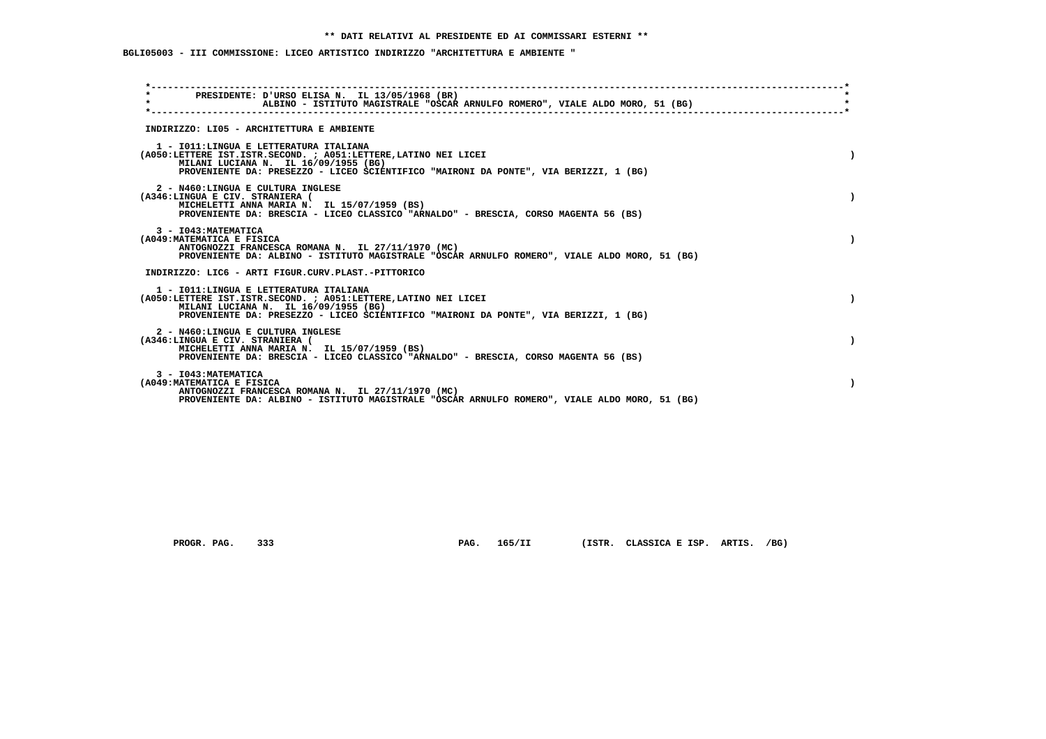## **BGLI05003 - III COMMISSIONE: LICEO ARTISTICO INDIRIZZO "ARCHITETTURA E AMBIENTE "**

| $\star$                                                              | PRESIDENTE: D'URSO ELISA N. IL 13/05/1968 (BR)<br>ALBINO - ISTITUTO MAGISTRALE "OSCAR ARNULFO ROMERO", VIALE ALDO MORO, 51 (BG)                                                                                                           |  |
|----------------------------------------------------------------------|-------------------------------------------------------------------------------------------------------------------------------------------------------------------------------------------------------------------------------------------|--|
|                                                                      | INDIRIZZO: LI05 - ARCHITETTURA E AMBIENTE                                                                                                                                                                                                 |  |
|                                                                      | 1 - IO11: LINGUA E LETTERATURA ITALIANA<br>(A050:LETTERE IST.ISTR.SECOND. ; A051:LETTERE,LATINO NEI LICEI<br>MILANI LUCIANA N. IL 16/09/1955 (BG)<br>PROVENIENTE DA: PRESEZZO - LICEO SCIENTIFICO "MAIRONI DA PONTE", VIA BERIZZI, 1 (BG) |  |
| 2 - N460:LINGUA E CULTURA INGLESE<br>(A346:LINGUA E CIV. STRANIERA ( | MICHELETTI ANNA MARIA N. IL 15/07/1959 (BS)<br>PROVENIENTE DA: BRESCIA - LICEO CLASSICO "ARNALDO" - BRESCIA, CORSO MAGENTA 56 (BS)                                                                                                        |  |
| 3 - I043: MATEMATICA<br>(A049: MATEMATICA E FISICA                   | ANTOGNOZZI FRANCESCA ROMANA N. IL 27/11/1970 (MC)<br>PROVENIENTE DA: ALBINO - ISTITUTO MAGISTRALE "OSCAR ARNULFO ROMERO", VIALE ALDO MORO, 51 (BG)                                                                                        |  |
|                                                                      | INDIRIZZO: LIC6 - ARTI FIGUR.CURV.PLAST.-PITTORICO                                                                                                                                                                                        |  |
|                                                                      | 1 - IO11: LINGUA E LETTERATURA ITALIANA<br>(A050:LETTERE IST.ISTR.SECOND. ; A051:LETTERE,LATINO NEI LICEI<br>MILANI LUCIANA N. IL 16/09/1955 (BG)<br>PROVENIENTE DA: PRESEZZO - LICEO SCIENTIFICO "MAIRONI DA PONTE", VIA BERIZZI, 1 (BG) |  |
| 2 - N460:LINGUA E CULTURA INGLESE<br>(A346:LINGUA E CIV. STRANIERA ( | MICHELETTI ANNA MARIA N. IL 15/07/1959 (BS)<br>PROVENIENTE DA: BRESCIA - LICEO CLASSICO "ARNALDO" - BRESCIA, CORSO MAGENTA 56 (BS)                                                                                                        |  |
| 3 - I043: MATEMATICA<br>(A049: MATEMATICA E FISICA                   | ANTOGNOZZI FRANCESCA ROMANA N. IL 27/11/1970 (MC)<br>PROVENIENTE DA: ALBINO - ISTITUTO MAGISTRALE "OSCAR ARNULFO ROMERO", VIALE ALDO MORO, 51 (BG)                                                                                        |  |

 **PROGR. PAG. 333 PAG. 165/II (ISTR. CLASSICA E ISP. ARTIS. /BG)**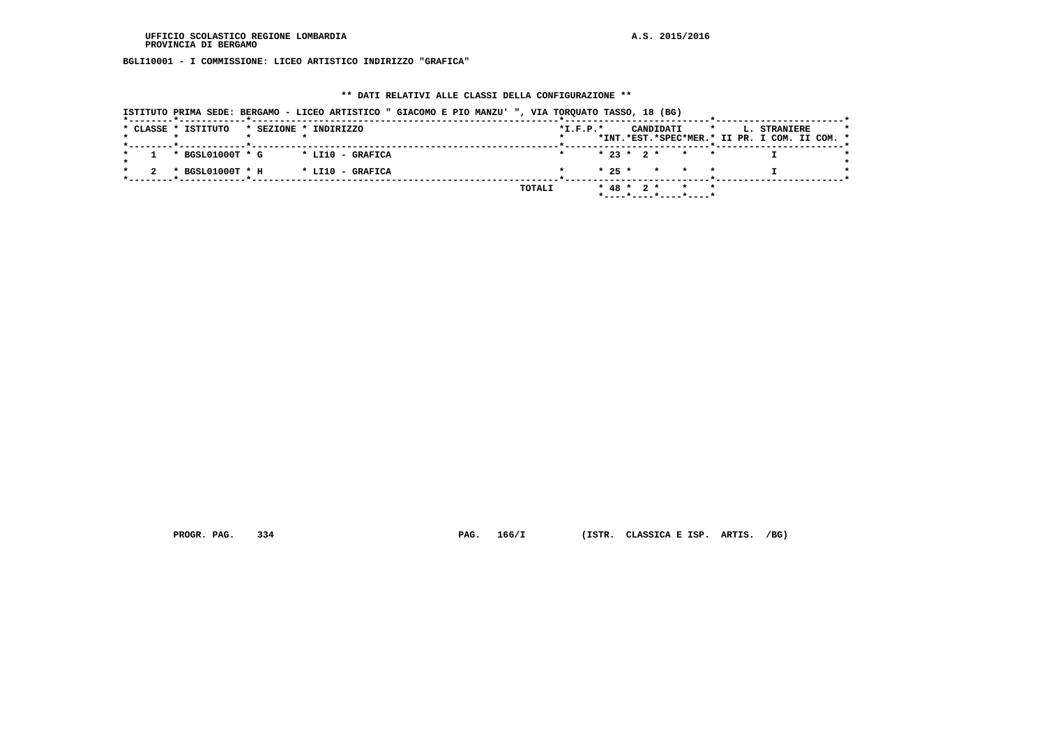**BGLI10001 - I COMMISSIONE: LICEO ARTISTICO INDIRIZZO "GRAFICA"**

### **\*\* DATI RELATIVI ALLE CLASSI DELLA CONFIGURAZIONE \*\***

|                     | ISTITUTO PRIMA SEDE: BERGAMO - LICEO ARTISTICO " GIACOMO E PIO MANZU' ", VIA TORQUATO TASSO, 18 (BG) |  |        |                |  |           |                                               |         |                                                               |  |
|---------------------|------------------------------------------------------------------------------------------------------|--|--------|----------------|--|-----------|-----------------------------------------------|---------|---------------------------------------------------------------|--|
| * CLASSE * ISTITUTO | * SEZIONE * INDIRIZZO                                                                                |  |        | $*$ I.F.P. $*$ |  | CANDIDATI |                                               | $\star$ | L. STRANIERE<br>*INT.*EST.*SPEC*MER.* II PR. I COM. II COM. * |  |
| * BGSL01000T * G    | * LI10 - GRAFICA                                                                                     |  |        |                |  |           | $* 23 * 2 * * * * *$                          |         |                                                               |  |
| * BGSL01000T * H    | * LI10 - GRAFICA                                                                                     |  |        |                |  |           | $* 25 * * * * * * *$                          |         |                                                               |  |
|                     |                                                                                                      |  | TOTALI |                |  |           | $* 48 * 2 * * * * *$<br>*----*----*----*----* |         |                                                               |  |

 **PROGR. PAG. 334 PAG. 166/I (ISTR. CLASSICA E ISP. ARTIS. /BG)**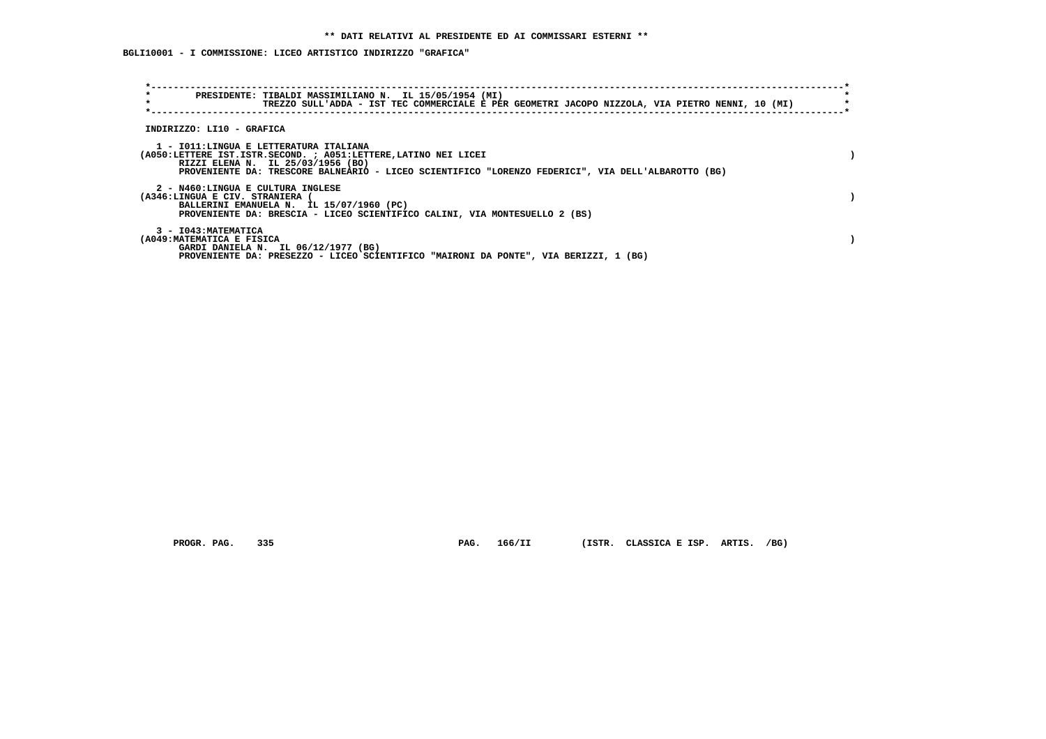## **BGLI10001 - I COMMISSIONE: LICEO ARTISTICO INDIRIZZO "GRAFICA"**

| $\star$<br>$\star$                                 | PRESIDENTE: TIBALDI MASSIMILIANO N. IL 15/05/1954 (MI)<br>TREZZO SULL'ADDA - IST TEC COMMERCIALE E PER GEOMETRI JACOPO NIZZOLA, VIA PIETRO NENNI, 10 (MI)                                                                                             |  |
|----------------------------------------------------|-------------------------------------------------------------------------------------------------------------------------------------------------------------------------------------------------------------------------------------------------------|--|
| INDIRIZZO: LI10 - GRAFICA                          |                                                                                                                                                                                                                                                       |  |
|                                                    | 1 - IO11: LINGUA E LETTERATURA ITALIANA<br>(A050:LETTERE IST.ISTR.SECOND. ; A051:LETTERE, LATINO NEI LICEI<br>RIZZI ELENA N. IL 25/03/1956 (BO)<br>PROVENIENTE DA: TRESCORE BALNEARIO - LICEO SCIENTIFICO "LORENZO FEDERICI", VIA DELL'ALBAROTTO (BG) |  |
| (A346:LINGUA E CIV. STRANIERA (                    | 2 - N460:LINGUA E CULTURA INGLESE<br>BALLERINI EMANUELA N. IL 15/07/1960 (PC)<br>PROVENIENTE DA: BRESCIA - LICEO SCIENTIFICO CALINI, VIA MONTESUELLO 2 (BS)                                                                                           |  |
| 3 - I043: MATEMATICA<br>(A049: MATEMATICA E FISICA | GARDI DANIELA N. IL 06/12/1977 (BG)<br>PROVENIENTE DA: PRESEZZO - LICEO SCIENTIFICO "MAIRONI DA PONTE", VIA BERIZZI, 1 (BG)                                                                                                                           |  |

 **PROGR. PAG. 335 PAG. 166/II (ISTR. CLASSICA E ISP. ARTIS. /BG)**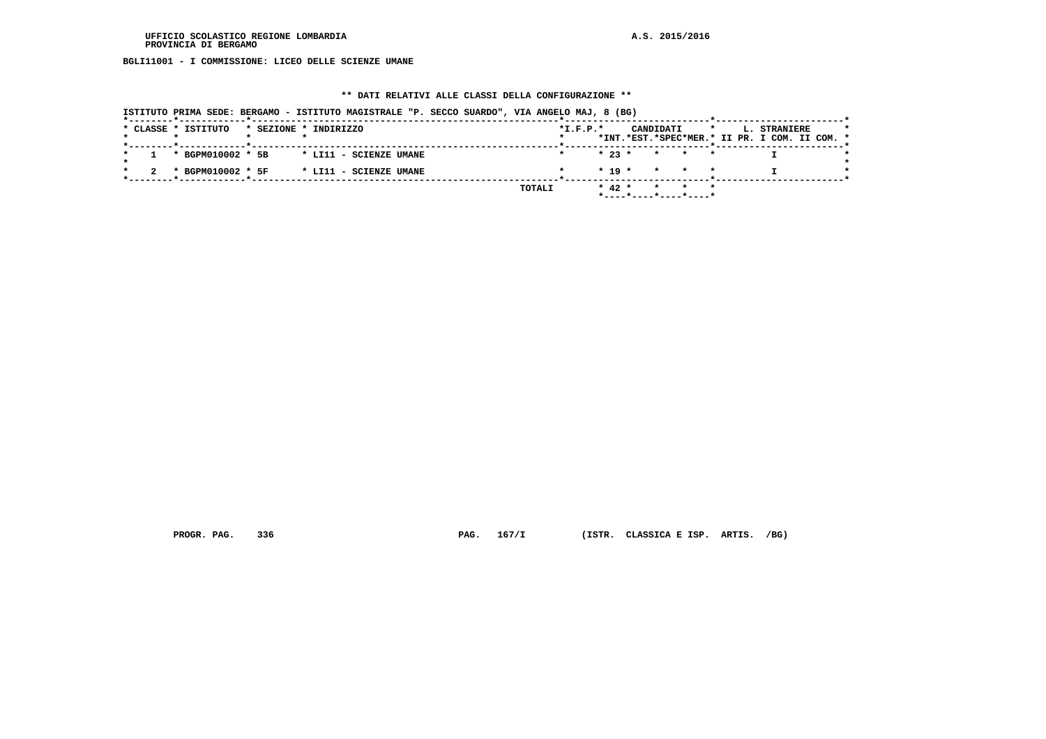**BGLI11001 - I COMMISSIONE: LICEO DELLE SCIENZE UMANE**

### **\*\* DATI RELATIVI ALLE CLASSI DELLA CONFIGURAZIONE \*\***

|                     | ISTITUTO PRIMA SEDE: BERGAMO - ISTITUTO MAGISTRALE "P. SECCO SUARDO", VIA ANGELO MAJ, 8 (BG) |            |            |           |                      |         |                                                               |  |
|---------------------|----------------------------------------------------------------------------------------------|------------|------------|-----------|----------------------|---------|---------------------------------------------------------------|--|
| * CLASSE * ISTITUTO | * SEZIONE * INDIRIZZO                                                                        | $*I.F.P.*$ |            | CANDIDATI |                      | $\star$ | L. STRANIERE<br>*INT.*EST.*SPEC*MER.* II PR. I COM. II COM. * |  |
| * BGPM010002 * 5B   | * LI11 - SCIENZE UMANE                                                                       |            | $*23$ $*$  |           | * * *                |         |                                                               |  |
| * BGPM010002 * 5F   | * LI11 - SCIENZE UMANE                                                                       |            |            |           | $* 19 * * * * * * *$ |         |                                                               |  |
|                     |                                                                                              | TOTALI     | $*$ 42 $*$ |           |                      | $\star$ |                                                               |  |

 **PROGR. PAG. 336 PAG. 167/I (ISTR. CLASSICA E ISP. ARTIS. /BG)**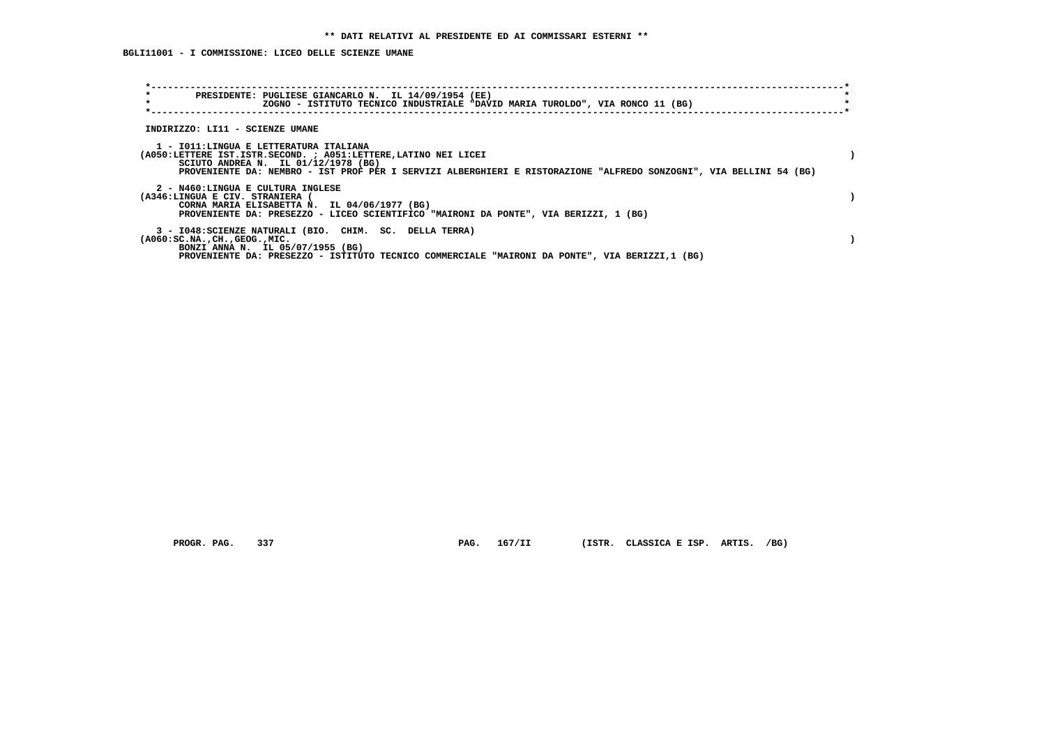**BGLI11001 - I COMMISSIONE: LICEO DELLE SCIENZE UMANE**

| PRESIDENTE: PUGLIESE GIANCARLO N. IL 14/09/1954 (EE)<br>$\star$<br>ZOGNO - ISTITUTO TECNICO INDUSTRIALE "DAVID MARIA TUROLDO", VIA RONCO 11 (BG)                                                                                           |                                                                                                                    |
|--------------------------------------------------------------------------------------------------------------------------------------------------------------------------------------------------------------------------------------------|--------------------------------------------------------------------------------------------------------------------|
| INDIRIZZO: LI11 - SCIENZE UMANE                                                                                                                                                                                                            |                                                                                                                    |
| 1 - IO11:LINGUA E LETTERATURA ITALIANA<br>(A050:LETTERE IST.ISTR.SECOND. ; A051:LETTERE, LATINO NEI LICEI<br>SCIUTO ANDREA N. IL $01/12/1978$ (BG)                                                                                         | PROVENIENTE DA: NEMBRO - IST PROF PER I SERVIZI ALBERGHIERI E RISTORAZIONE "ALFREDO SONZOGNI", VIA BELLINI 54 (BG) |
| 2 - N460:LINGUA E CULTURA INGLESE<br>(A346:LINGUA E CIV. STRANIERA (<br>CORNA MARIA ELISABETTA N. IL 04/06/1977 (BG)<br>PROVENIENTE DA: PRESEZZO - LICEO SCIENTIFICO "MAIRONI DA PONTE", VIA BERIZZI, 1 (BG)                               |                                                                                                                    |
| 3 - I048: SCIENZE NATURALI (BIO. CHIM. SC. DELLA TERRA)<br>$(A060:SC.NA.$ , $CH.$ , $GEOG.$ , $MIC.$<br>BONZI ANNA N. IL 05/07/1955 (BG)<br>PROVENIENTE DA: PRESEZZO - ISTITUTO TECNICO COMMERCIALE "MAIRONI DA PONTE", VIA BERIZZI,1 (BG) |                                                                                                                    |

 **PROGR. PAG. 337 PAG. 167/II (ISTR. CLASSICA E ISP. ARTIS. /BG)**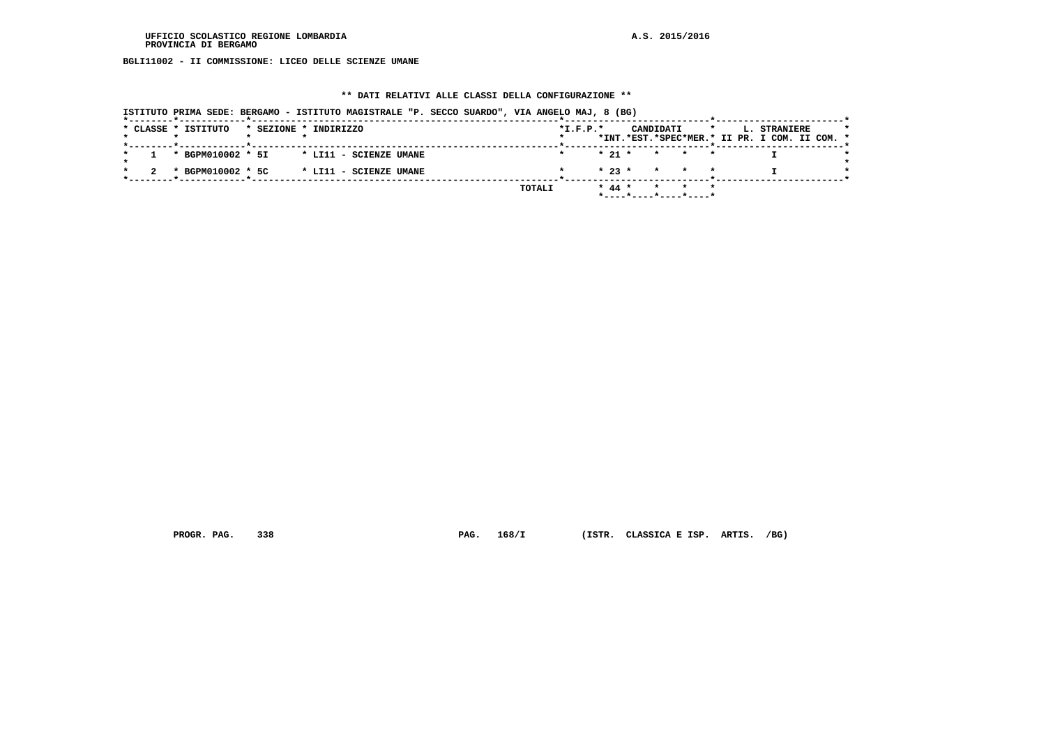**BGLI11002 - II COMMISSIONE: LICEO DELLE SCIENZE UMANE**

### **\*\* DATI RELATIVI ALLE CLASSI DELLA CONFIGURAZIONE \*\***

|                     |                                   | ISTITUTO PRIMA SEDE: BERGAMO - ISTITUTO MAGISTRALE "P. SECCO SUARDO", VIA ANGELO MAJ, 8 (BG) |        |            |                                            |         |                                                               |  |
|---------------------|-----------------------------------|----------------------------------------------------------------------------------------------|--------|------------|--------------------------------------------|---------|---------------------------------------------------------------|--|
| * CLASSE * ISTITUTO | _____*____________ <b>*</b> _____ | * SEZIONE * INDIRIZZO                                                                        |        | $*I.F.P.*$ | CANDIDATI                                  | $\star$ | L. STRANIERE<br>*INT.*EST.*SPEC*MER.* II PR. I COM. II COM. * |  |
|                     | * BGPM010002 * 5I                 | * LI11 - SCIENZE UMANE                                                                       |        | $* 21 *$   |                                            | * * *   |                                                               |  |
|                     | * BGPM010002 * 5C                 | * LI11 - SCIENZE UMANE                                                                       |        |            | $\star$ 23 $\star$ $\star$ $\star$ $\star$ |         |                                                               |  |
|                     |                                   |                                                                                              | TOTALI | $* 44 *$   | *----*----*----*----*                      | $\star$ |                                                               |  |

 **PROGR. PAG. 338 PAG. 168/I (ISTR. CLASSICA E ISP. ARTIS. /BG)**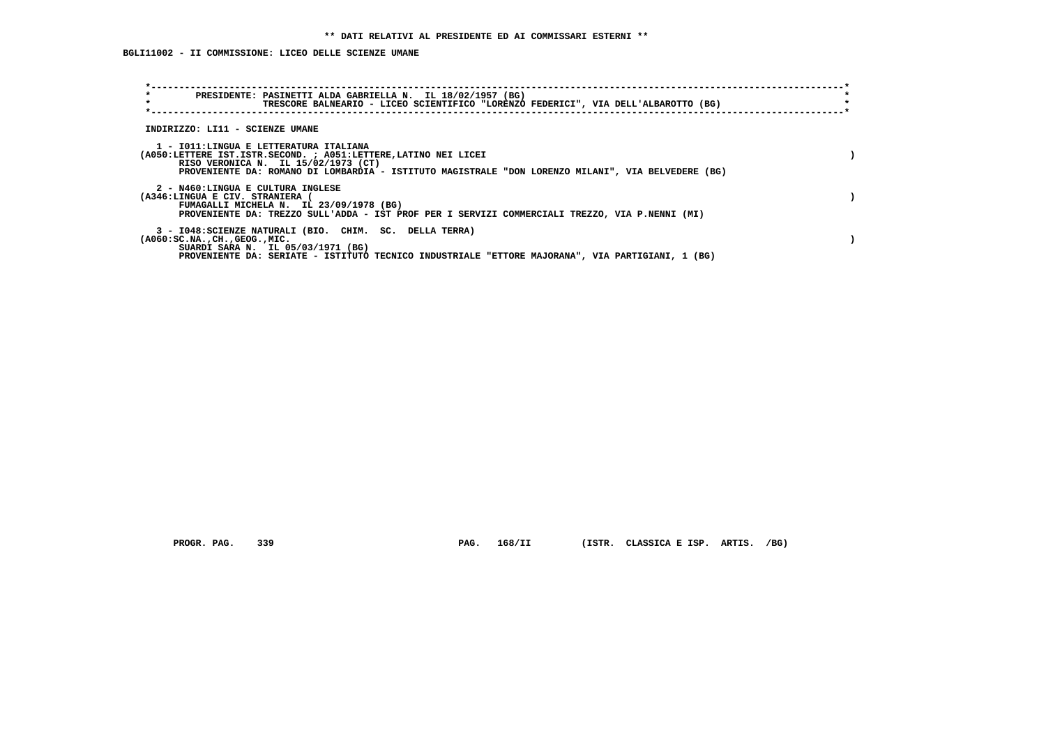## **BGLI11002 - II COMMISSIONE: LICEO DELLE SCIENZE UMANE**

| $\star$<br>PRESIDENTE: PASINETTI ALDA GABRIELLA N. IL 18/02/1957 (BG)<br>$\star$                                                                 | TRESCORE BALNEARIO - LICEO SCIENTIFICO "LORENZO FEDERICI", VIA DELL'ALBAROTTO (BG)                 |
|--------------------------------------------------------------------------------------------------------------------------------------------------|----------------------------------------------------------------------------------------------------|
| INDIRIZZO: LI11 - SCIENZE UMANE                                                                                                                  |                                                                                                    |
| 1 - IO11:LINGUA E LETTERATURA ITALIANA<br>(A050:LETTERE IST.ISTR.SECOND. ; A051:LETTERE, LATINO NEI LICEI<br>RISO VERONICA N. IL 15/02/1973 (CT) | PROVENIENTE DA: ROMANO DI LOMBARDIA - ISTITUTO MAGISTRALE "DON LORENZO MILANI", VIA BELVEDERE (BG) |
| 2 - N460:LINGUA E CULTURA INGLESE<br>(A346:LINGUA E CIV. STRANIERA (<br>FUMAGALLI MICHELA N. IL 23/09/1978 (BG)                                  | PROVENIENTE DA: TREZZO SULL'ADDA - IST PROF PER I SERVIZI COMMERCIALI TREZZO, VIA P.NENNI (MI)     |
| 3 - I048: SCIENZE NATURALI (BIO. CHIM. SC. DELLA TERRA)<br>$( A060 : SC.NA.$ , $CH.$ , $GEOG.$ , $MIC.$<br>SUARDI SARA N. IL 05/03/1971 (BG)     | PROVENIENTE DA: SERIATE - ISTITUTO TECNICO INDUSTRIALE "ETTORE MAJORANA", VIA PARTIGIANI, 1 (BG)   |

PROGR. PAG. 339 **PAG. 168/II** (ISTR. CLASSICA E ISP. ARTIS. /BG)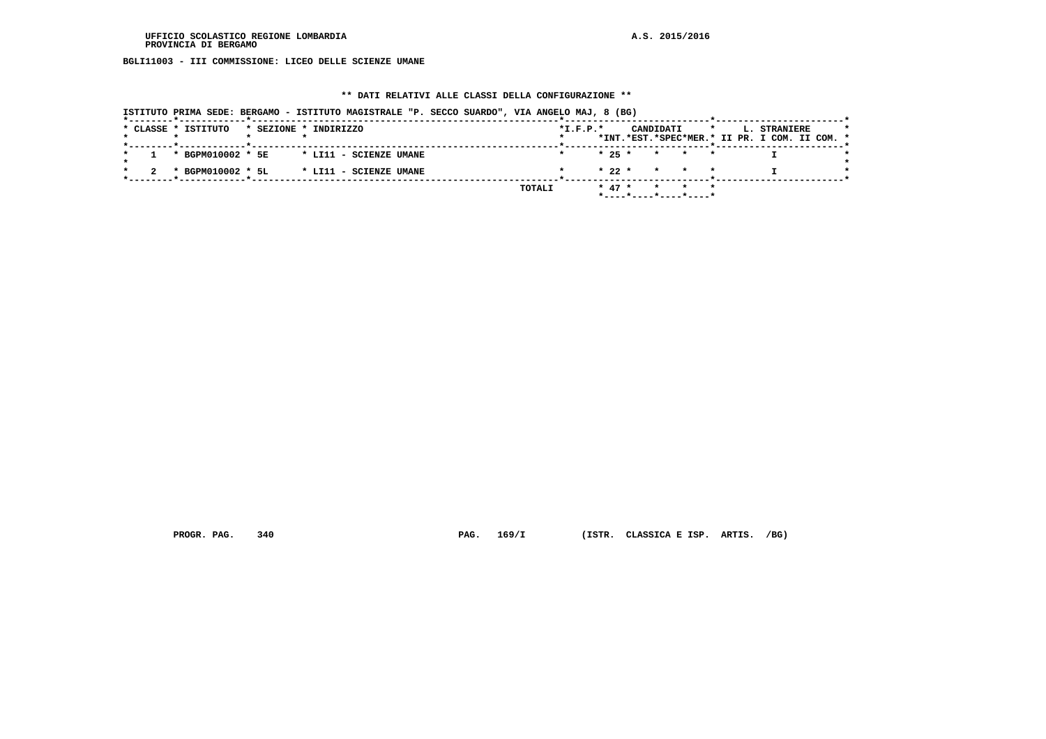**BGLI11003 - III COMMISSIONE: LICEO DELLE SCIENZE UMANE**

### **\*\* DATI RELATIVI ALLE CLASSI DELLA CONFIGURAZIONE \*\***

|                     | ISTITUTO PRIMA SEDE: BERGAMO - ISTITUTO MAGISTRALE "P. SECCO SUARDO", VIA ANGELO MAJ, 8 (BG) |                    |                      |                                                                          |
|---------------------|----------------------------------------------------------------------------------------------|--------------------|----------------------|--------------------------------------------------------------------------|
| * CLASSE * ISTITUTO | * SEZIONE * INDIRIZZO                                                                        | $*I.F.P.*$         | CANDIDATI            | L. STRANIERE<br>$\star$<br>*INT.*EST.*SPEC*MER.* II PR. I COM. II COM. * |
| * BGPM010002 * 5E   | * LI11 - SCIENZE UMANE                                                                       |                    | $* 25 * * * * * * *$ |                                                                          |
| * BGPM010002 * 5L   | * LI11 - SCIENZE UMANE                                                                       | $* 22 *$           | * * *                |                                                                          |
|                     |                                                                                              | $* 47 *$<br>TOTALI | $\star$              |                                                                          |

 **PROGR. PAG. 340 PAG. 169/I (ISTR. CLASSICA E ISP. ARTIS. /BG)**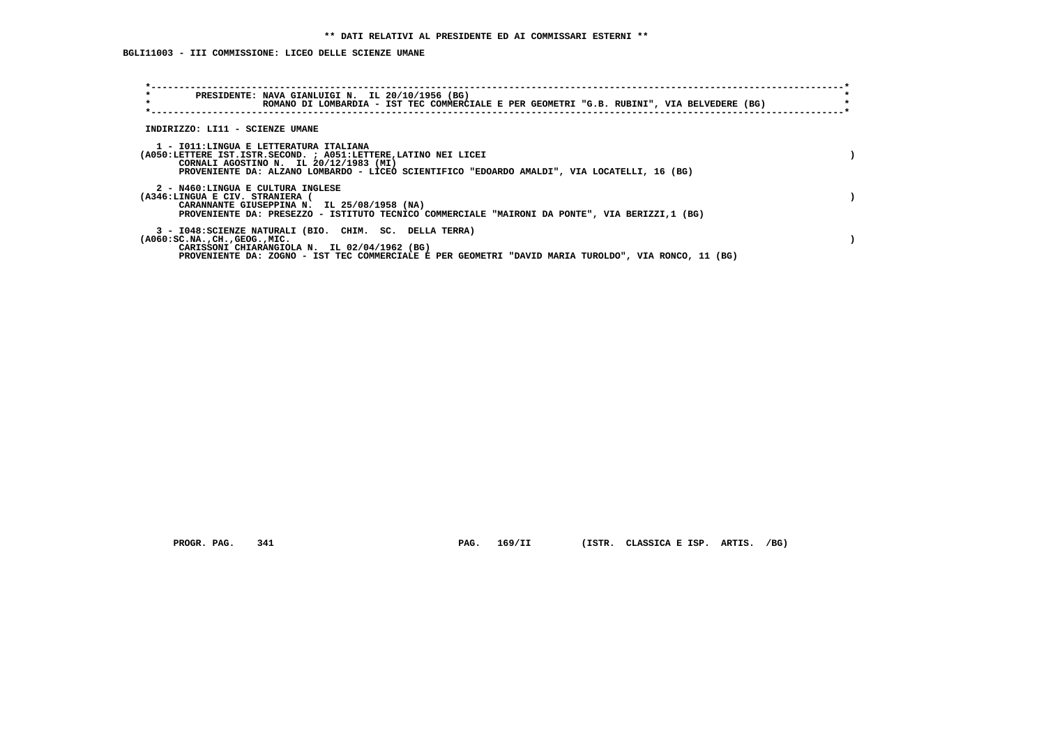**BGLI11003 - III COMMISSIONE: LICEO DELLE SCIENZE UMANE**

| $\star$<br>PRESIDENTE: NAVA GIANLUIGI N. IL 20/10/1956 (BG)<br>$\star$<br>ROMANO DI LOMBARDIA - IST TEC COMMERCIALE E PER GEOMETRI "G.B. RUBINI", VIA BELVEDERE (BG)                                                                                         |  |
|--------------------------------------------------------------------------------------------------------------------------------------------------------------------------------------------------------------------------------------------------------------|--|
| INDIRIZZO: LI11 - SCIENZE UMANE                                                                                                                                                                                                                              |  |
| 1 - IO11:LINGUA E LETTERATURA ITALIANA<br>(A050:LETTERE IST.ISTR.SECOND. ; A051:LETTERE, LATINO NEI LICEI<br>CORNALI AGOSTINO N. IL 20/12/1983 (MI)<br>PROVENIENTE DA: ALZANO LOMBARDO - LICEO SCIENTIFICO "EDOARDO AMALDI", VIA LOCATELLI, 16 (BG)          |  |
| 2 - N460:LINGUA E CULTURA INGLESE<br>(A346:LINGUA E CIV. STRANIERA (<br>CARANNANTE GIUSEPPINA N. IL 25/08/1958 (NA)<br>PROVENIENTE DA: PRESEZZO - ISTITUTO TECNICO COMMERCIALE "MAIRONI DA PONTE", VIA BERIZZI,1 (BG)                                        |  |
| 3 - I048: SCIENZE NATURALI (BIO. CHIM. SC. DELLA TERRA)<br>$(A060:SC.NA.$ , $CH.$ , $GEOG.$ , $MIC.$<br>CARISSONI CHIARANGIOLA N. IL 02/04/1962 (BG)<br>PROVENIENTE DA: ZOGNO - IST TEC COMMERCIALE E PER GEOMETRI "DAVID MARIA TUROLDO", VIA RONCO, 11 (BG) |  |

 **PROGR. PAG. 341 PAG. 169/II (ISTR. CLASSICA E ISP. ARTIS. /BG)**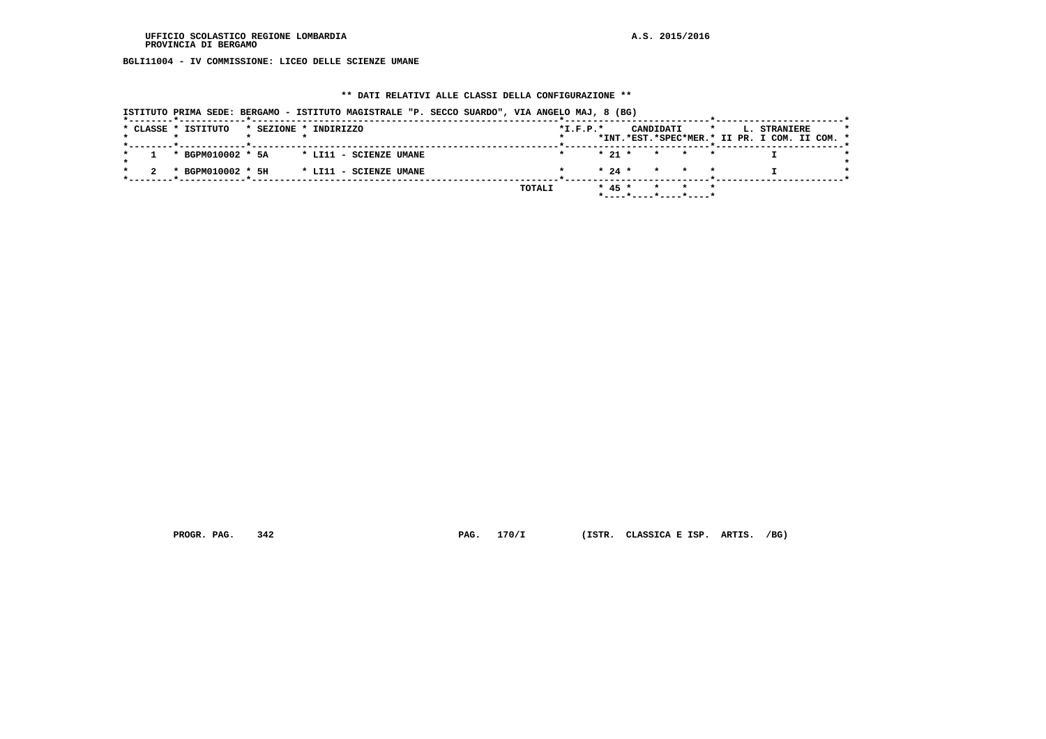**BGLI11004 - IV COMMISSIONE: LICEO DELLE SCIENZE UMANE**

### **\*\* DATI RELATIVI ALLE CLASSI DELLA CONFIGURAZIONE \*\***

|                     | ISTITUTO PRIMA SEDE: BERGAMO - ISTITUTO MAGISTRALE "P. SECCO SUARDO", VIA ANGELO MAJ, 8 (BG) |            |                                            |                                                               |
|---------------------|----------------------------------------------------------------------------------------------|------------|--------------------------------------------|---------------------------------------------------------------|
| * CLASSE * ISTITUTO | * SEZIONE * INDIRIZZO                                                                        | $*I.F.P.*$ | CANDIDATI<br>$\star$                       | L. STRANIERE<br>*INT.*EST.*SPEC*MER.* II PR. I COM. II COM. * |
| * BGPM010002 * 5A   | * LI11 - SCIENZE UMANE                                                                       |            | $* 21 *$<br>* * *                          |                                                               |
| * BGPM010002 * 5H   | * LI11 - SCIENZE UMANE                                                                       |            | $\star$ 24 $\star$ $\star$ $\star$ $\star$ |                                                               |
|                     |                                                                                              | TOTALI     | $* 45 *$<br>* * *                          |                                                               |

 **PROGR. PAG. 342 PAG. 170/I (ISTR. CLASSICA E ISP. ARTIS. /BG)**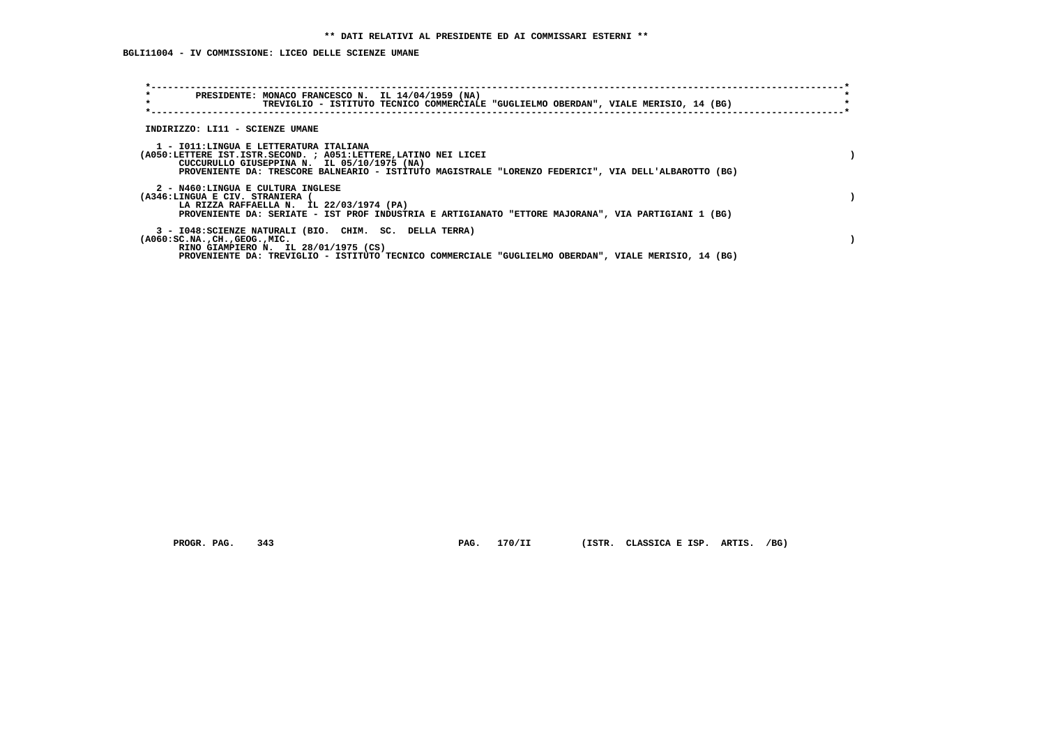## **BGLI11004 - IV COMMISSIONE: LICEO DELLE SCIENZE UMANE**

| $\star$<br>PRESIDENTE: MONACO FRANCESCO N. IL 14/04/1959 (NA)<br>$\star$<br>TREVIGLIO - ISTITUTO TECNICO COMMERCIALE "GUGLIELMO OBERDAN", VIALE MERISIO, 14 (BG)                                                                                                 |  |
|------------------------------------------------------------------------------------------------------------------------------------------------------------------------------------------------------------------------------------------------------------------|--|
| INDIRIZZO: LI11 - SCIENZE UMANE                                                                                                                                                                                                                                  |  |
| 1 - IO11:LINGUA E LETTERATURA ITALIANA<br>(A050:LETTERE IST.ISTR.SECOND. ; A051:LETTERE, LATINO NEI LICEI<br>CUCCURULLO GIUSEPPINA N. IL 05/10/1975 (NA)<br>PROVENIENTE DA: TRESCORE BALNEARIO - ISTITUTO MAGISTRALE "LORENZO FEDERICI", VIA DELL'ALBAROTTO (BG) |  |
| 2 - N460:LINGUA E CULTURA INGLESE<br>(A346:LINGUA E CIV. STRANIERA (<br>LA RIZZA RAFFAELLA N. IL 22/03/1974 (PA)<br>PROVENIENTE DA: SERIATE - IST PROF INDUSTRIA E ARTIGIANATO "ETTORE MAJORANA", VIA PARTIGIANI 1 (BG)                                          |  |
| 3 - I048: SCIENZE NATURALI (BIO. CHIM. SC. DELLA TERRA)<br>$(A060:SC.NA.$ , $CH.$ , $GEOG.$ , $MIC.$<br>RINO GIAMPIERO N. IL 28/01/1975 (CS)<br>PROVENIENTE DA: TREVIGLIO - ISTITUTO TECNICO COMMERCIALE "GUGLIELMO OBERDAN", VIALE MERISIO, 14 (BG)             |  |

 **PROGR. PAG. 343 PAG. 170/II (ISTR. CLASSICA E ISP. ARTIS. /BG)**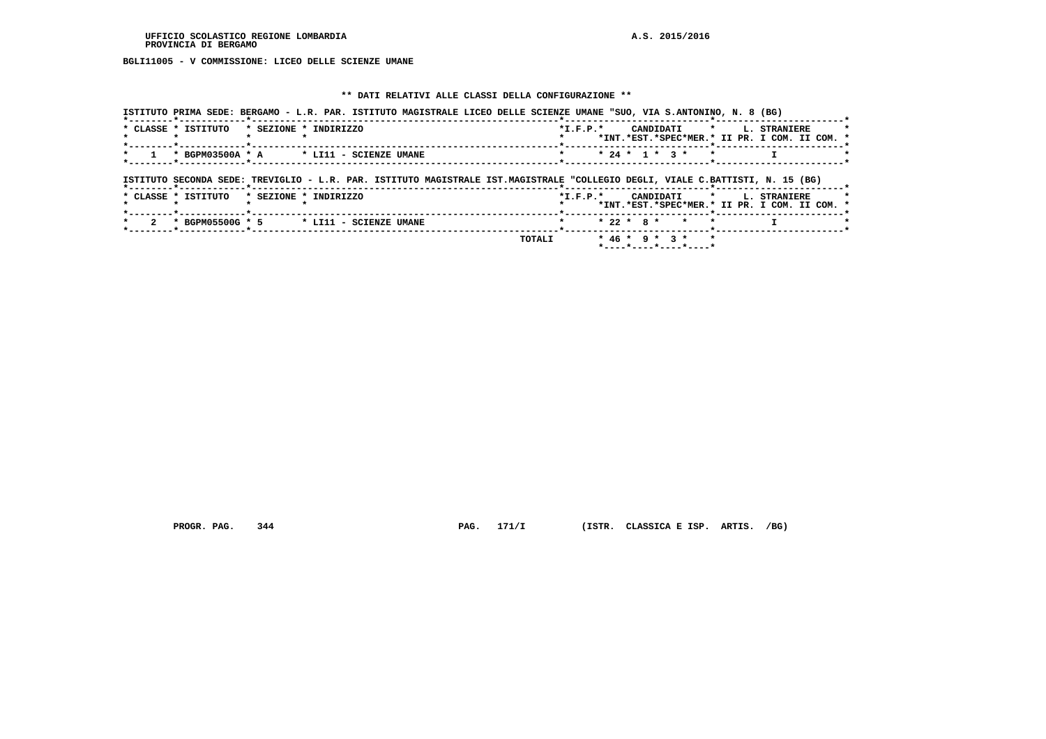**BGLI11005 - V COMMISSIONE: LICEO DELLE SCIENZE UMANE**

### **\*\* DATI RELATIVI ALLE CLASSI DELLA CONFIGURAZIONE \*\***

| ISTITUTO PRIMA SEDE: BERGAMO - L.R. PAR. ISTITUTO MAGISTRALE LICEO DELLE SCIENZE UMANE "SUO, VIA S.ANTONINO, N. 8 (BG)        |                        |  |  |                |              |                  |         |         |                                                               |  |
|-------------------------------------------------------------------------------------------------------------------------------|------------------------|--|--|----------------|--------------|------------------|---------|---------|---------------------------------------------------------------|--|
| * CLASSE * ISTITUTO                                                                                                           | * SEZIONE * INDIRIZZO  |  |  | $*$ I.F.P. $*$ |              | CANDIDATI        |         | $\star$ | L. STRANIERE<br>*INT.*EST.*SPEC*MER.* II PR. I COM. II COM. * |  |
| * BGPM03500A * A                                                                                                              | * LI11 - SCIENZE UMANE |  |  |                |              | $* 24 * 1 * 3 *$ | $\star$ |         |                                                               |  |
|                                                                                                                               |                        |  |  |                |              |                  |         |         |                                                               |  |
| ISTITUTO SECONDA SEDE: TREVIGLIO - L.R. PAR. ISTITUTO MAGISTRALE IST.MAGISTRALE "COLLEGIO DEGLI, VIALE C.BATTISTI, N. 15 (BG) |                        |  |  |                |              |                  |         |         |                                                               |  |
| * CLASSE * ISTITUTO                                                                                                           | * SEZIONE * INDIRIZZO  |  |  | $*$ I.F.P. $*$ |              | CANDIDATI        | $\star$ |         | L. STRANIERE<br>*INT.*EST.*SPEC*MER.* II PR. I COM. II COM. * |  |
| * BGPM05500G * 5                                                                                                              | * LI11 - SCIENZE UMANE |  |  |                | $* 22 * R *$ | $\star$          |         |         |                                                               |  |

 **PROGR. PAG.** 344 **PAG.** 171/I (ISTR. CLASSICA E ISP. ARTIS. /BG)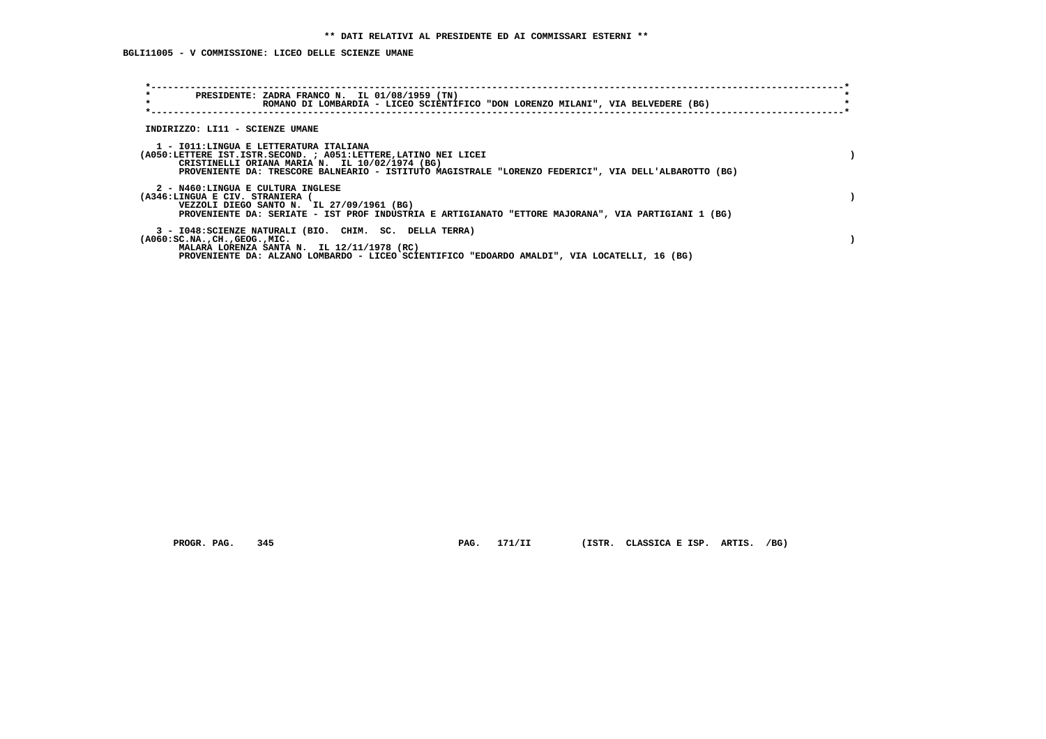**BGLI11005 - V COMMISSIONE: LICEO DELLE SCIENZE UMANE**

| $\star$<br>PRESIDENTE: ZADRA FRANCO N. IL 01/08/1959 (TN)<br>$\star$<br>ROMANO DI LOMBARDIA - LICEO SCIENTIFICO "DON LORENZO MILANI", VIA BELVEDERE (BG)                                                                                                            |  |
|---------------------------------------------------------------------------------------------------------------------------------------------------------------------------------------------------------------------------------------------------------------------|--|
| INDIRIZZO: LI11 - SCIENZE UMANE                                                                                                                                                                                                                                     |  |
| 1 - IO11: LINGUA E LETTERATURA ITALIANA<br>(A050:LETTERE IST.ISTR.SECOND. ; A051:LETTERE,LATINO NEI LICEI<br>CRISTINELLI ORIANA MARIA N. IL 10/02/1974 (BG)<br>PROVENIENTE DA: TRESCORE BALNEARIO - ISTITUTO MAGISTRALE "LORENZO FEDERICI", VIA DELL'ALBAROTTO (BG) |  |
| 2 - N460:LINGUA E CULTURA INGLESE<br>(A346:LINGUA E CIV. STRANIERA<br>VEZZOLI DIEGO SANTO N. IL 27/09/1961 (BG)<br>PROVENIENTE DA: SERIATE - IST PROF INDUSTRIA E ARTIGIANATO "ETTORE MAJORANA", VIA PARTIGIANI 1 (BG)                                              |  |
| 3 - I048: SCIENZE NATURALI (BIO. CHIM. SC. DELLA TERRA)<br>$(A060:SC.NA.$ , $CH.$ , $GEOG.$ , $MIC.$<br>MALARA LORENZA SANTA N. IL 12/11/1978 (RC)<br>PROVENIENTE DA: ALZANO LOMBARDO - LICEO SCIENTIFICO "EDOARDO AMALDI", VIA LOCATELLI, 16 (BG)                  |  |

 **PROGR. PAG. 345 PAG. 171/II (ISTR. CLASSICA E ISP. ARTIS. /BG)**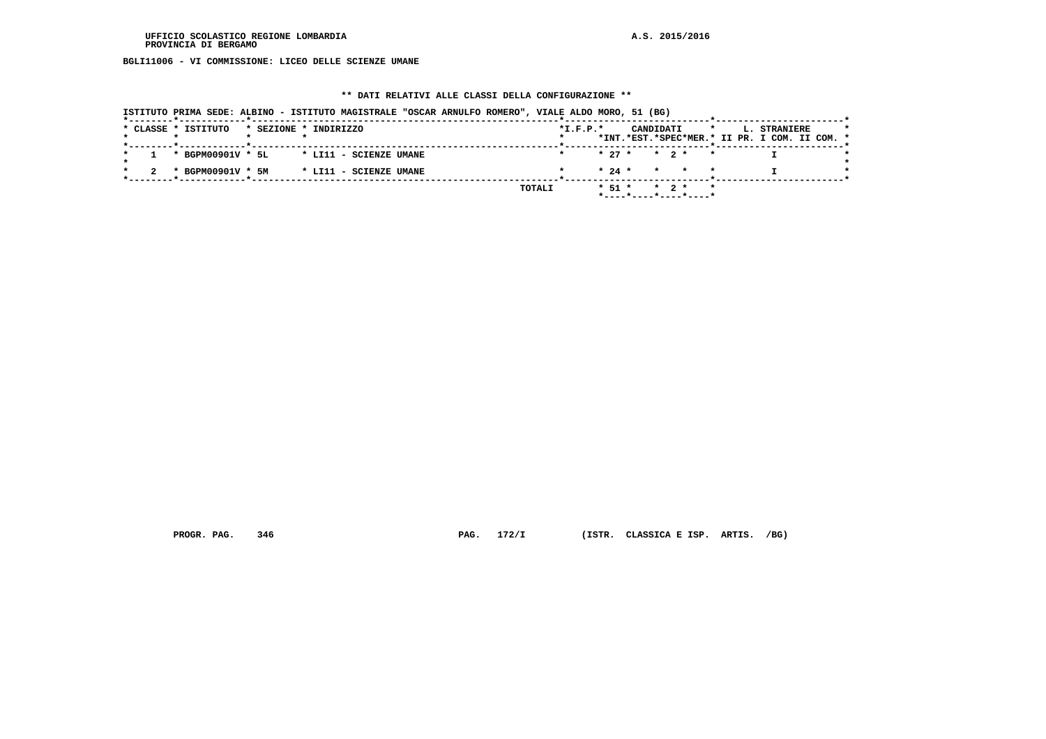**BGLI11006 - VI COMMISSIONE: LICEO DELLE SCIENZE UMANE**

# **\*\* DATI RELATIVI ALLE CLASSI DELLA CONFIGURAZIONE \*\***

 **ISTITUTO PRIMA SEDE: ALBINO - ISTITUTO MAGISTRALE "OSCAR ARNULFO ROMERO", VIALE ALDO MORO, 51 (BG)**

|  | * CLASSE * ISTITUTO |  | * SEZIONE * INDIRIZZO                    |        | $*I.F.P.*$ |            | CANDIDATI            |                   |   | $\star$ | L. STRANIERE<br>*INT.*EST.*SPEC*MER.* II PR. I COM. II COM. * |  |  |
|--|---------------------|--|------------------------------------------|--------|------------|------------|----------------------|-------------------|---|---------|---------------------------------------------------------------|--|--|
|  |                     |  | * BGPM00901V * 5L * LI11 - SCIENZE UMANE |        |            |            | $* 27 * * 2 * * *$   |                   |   |         |                                                               |  |  |
|  | * BGPM00901V * 5M   |  | * LI11 - SCIENZE UMANE                   |        |            |            | $* 24 * * * * * * *$ |                   |   |         |                                                               |  |  |
|  |                     |  |                                          | TOTALI |            | $*$ 51 $*$ |                      | $\star$ 2 $\star$ | * |         |                                                               |  |  |

 **PROGR. PAG. 346 PAG. 172/I (ISTR. CLASSICA E ISP. ARTIS. /BG)**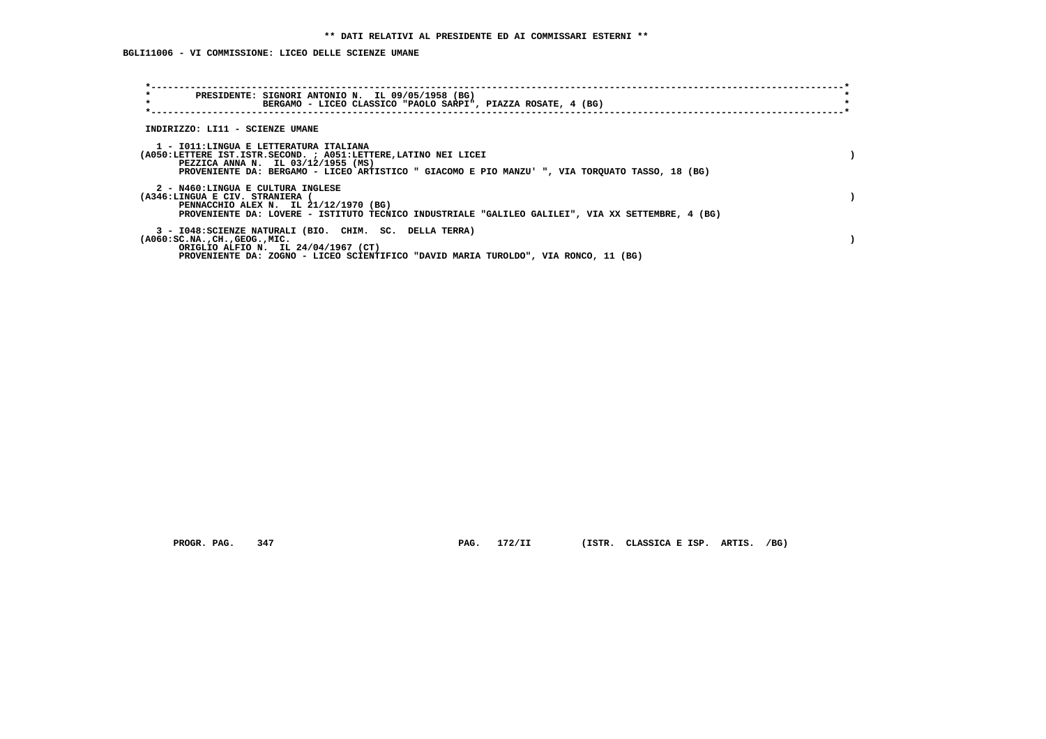## **BGLI11006 - VI COMMISSIONE: LICEO DELLE SCIENZE UMANE**

| $\star$<br>PRESIDENTE: SIGNORI ANTONIO N. IL 09/05/1958 (BG)<br>$\star$<br>BERGAMO - LICEO CLASSICO "PAOLO SARPI", PIAZZA ROSATE, 4 (BG)                                                                                                           |  |
|----------------------------------------------------------------------------------------------------------------------------------------------------------------------------------------------------------------------------------------------------|--|
| INDIRIZZO: LI11 - SCIENZE UMANE                                                                                                                                                                                                                    |  |
| 1 - IO11:LINGUA E LETTERATURA ITALIANA<br>(A050:LETTERE IST.ISTR.SECOND. ; A051:LETTERE, LATINO NEI LICEI<br>PEZZICA ANNA N. IL 03/12/1955 (MS)<br>PROVENIENTE DA: BERGAMO - LICEO ARTISTICO " GIACOMO E PIO MANZU' ", VIA TORQUATO TASSO, 18 (BG) |  |
| 2 - N460:LINGUA E CULTURA INGLESE<br>(A346:LINGUA E CIV. STRANIERA<br>PENNACCHIO ALEX N. IL 21/12/1970 (BG)<br>PROVENIENTE DA: LOVERE - ISTITUTO TECNICO INDUSTRIALE "GALILEO GALILEI", VIA XX SETTEMBRE, 4 (BG)                                   |  |
| 3 - I048: SCIENZE NATURALI (BIO. CHIM. SC. DELLA TERRA)<br>$(A060:SC.NA.$ , $CH.$ , $GEOG.$ , $MIC.$<br>ORIGLIO ALFIO N. IL 24/04/1967 (CT)<br>PROVENIENTE DA: ZOGNO - LICEO SCIENTIFICO "DAVID MARIA TUROLDO", VIA RONCO, 11 (BG)                 |  |

 **PROGR. PAG. 347 PAG. 172/II (ISTR. CLASSICA E ISP. ARTIS. /BG)**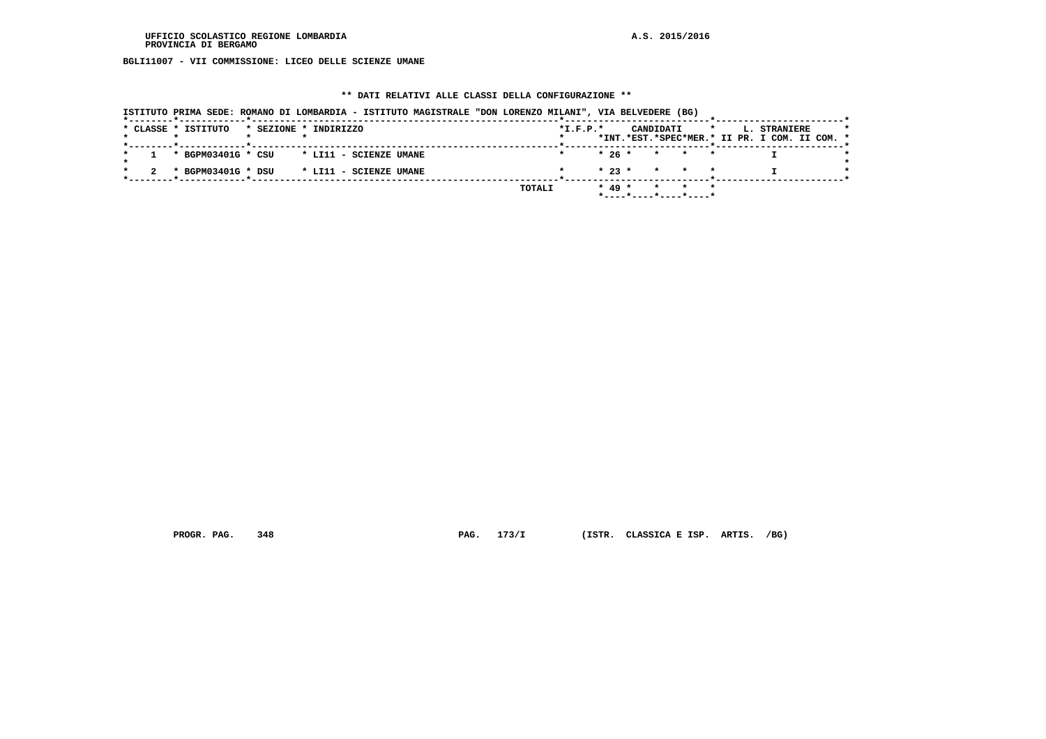**BGLI11007 - VII COMMISSIONE: LICEO DELLE SCIENZE UMANE**

#### **\*\* DATI RELATIVI ALLE CLASSI DELLA CONFIGURAZIONE \*\***

 **ISTITUTO PRIMA SEDE: ROMANO DI LOMBARDIA - ISTITUTO MAGISTRALE "DON LORENZO MILANI", VIA BELVEDERE (BG) \*--------\*------------\*-------------------------------------------------------\*--------------------------\*-----------------------\*** $\rightarrow$  **\* CLASSE \* ISTITUTO \* SEZIONE \* INDIRIZZO \*I.F.P.\* CANDIDATI \* L. STRANIERE \* \* \* \* \* \* \*INT.\*EST.\*SPEC\*MER.\* II PR. I COM. II COM. \* \*--------\*------------\*-------------------------------------------------------\*--------------------------\*-----------------------\*** $\rightarrow$  **\* 1 \* BGPM03401G \* CSU \* LI11 - SCIENZE UMANE \* \* 26 \* \* \* \* I \*** $\star$  **\* \*** $\star$  **\* 2 \* BGPM03401G \* DSU \* LI11 - SCIENZE UMANE \* \* 23 \* \* \* \* I \* \*--------\*------------\*-------------------------------------------------------\*--------------------------\*-----------------------\* TOTALI \* 49 \* \* \* \* \*----\*----\*----\*----\***

 **PROGR. PAG. 348 PAG. 173/I (ISTR. CLASSICA E ISP. ARTIS. /BG)**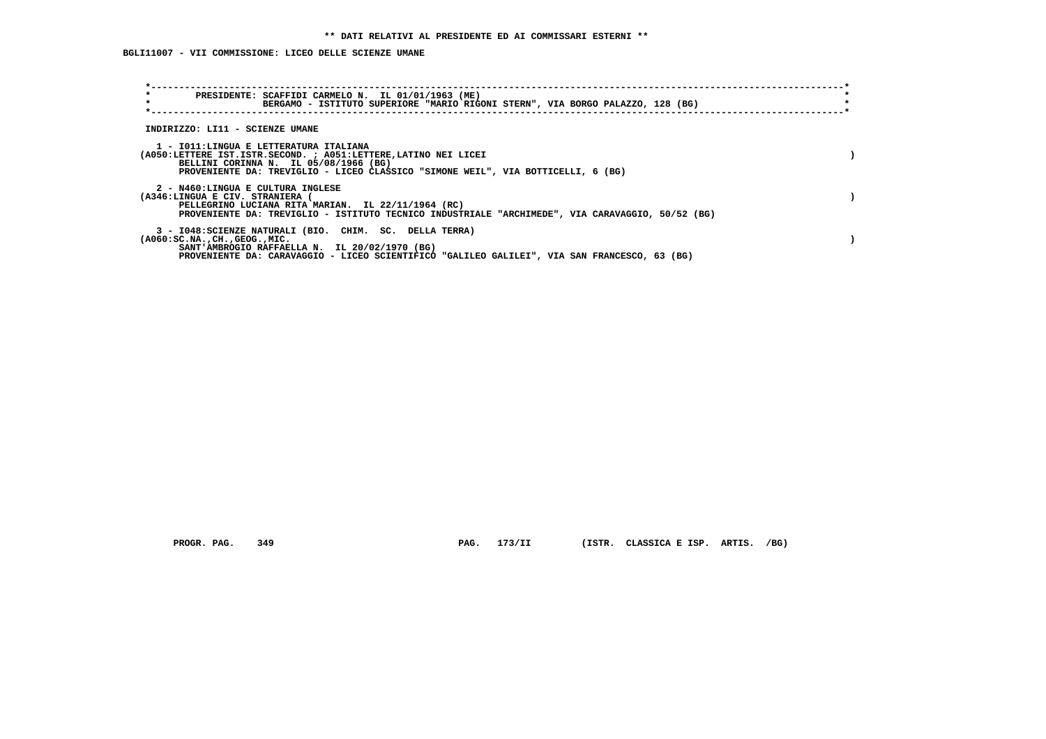**BGLI11007 - VII COMMISSIONE: LICEO DELLE SCIENZE UMANE**

| $\star$<br>PRESIDENTE: SCAFFIDI CARMELO N. IL 01/01/1963 (ME)<br>$\star$                                                                             | BERGAMO - ISTITUTO SUPERIORE "MARIO RIGONI STERN", VIA BORGO PALAZZO, 128 (BG)                   |  |
|------------------------------------------------------------------------------------------------------------------------------------------------------|--------------------------------------------------------------------------------------------------|--|
| INDIRIZZO: LI11 - SCIENZE UMANE                                                                                                                      |                                                                                                  |  |
| 1 - IO11: LINGUA E LETTERATURA ITALIANA<br>(A050:LETTERE IST.ISTR.SECOND. ; A051:LETTERE, LATINO NEI LICEI<br>BELLINI CORINNA N. IL 05/08/1966 (BG)  | PROVENIENTE DA: TREVIGLIO - LICEO CLASSICO "SIMONE WEIL", VIA BOTTICELLI, 6 (BG)                 |  |
| 2 - N460:LINGUA E CULTURA INGLESE<br>(A346:LINGUA E CIV. STRANIERA (<br>PELLEGRINO LUCIANA RITA MARIAN. IL 22/11/1964 (RC)                           | PROVENIENTE DA: TREVIGLIO - ISTITUTO TECNICO INDUSTRIALE "ARCHIMEDE", VIA CARAVAGGIO, 50/52 (BG) |  |
| 3 - I048:SCIENZE NATURALI (BIO. CHIM. SC. DELLA TERRA)<br>$(A060:SC.NA.$ , $CH.$ , $GEOG.$ , $MIC.$<br>SANT'AMBROGIO RAFFAELLA N. IL 20/02/1970 (BG) | PROVENIENTE DA: CARAVAGGIO - LICEO SCIENTIFICO "GALILEO GALILEI", VIA SAN FRANCESCO, 63 (BG)     |  |

 **PROGR. PAG. 349 PAG. 173/II (ISTR. CLASSICA E ISP. ARTIS. /BG)**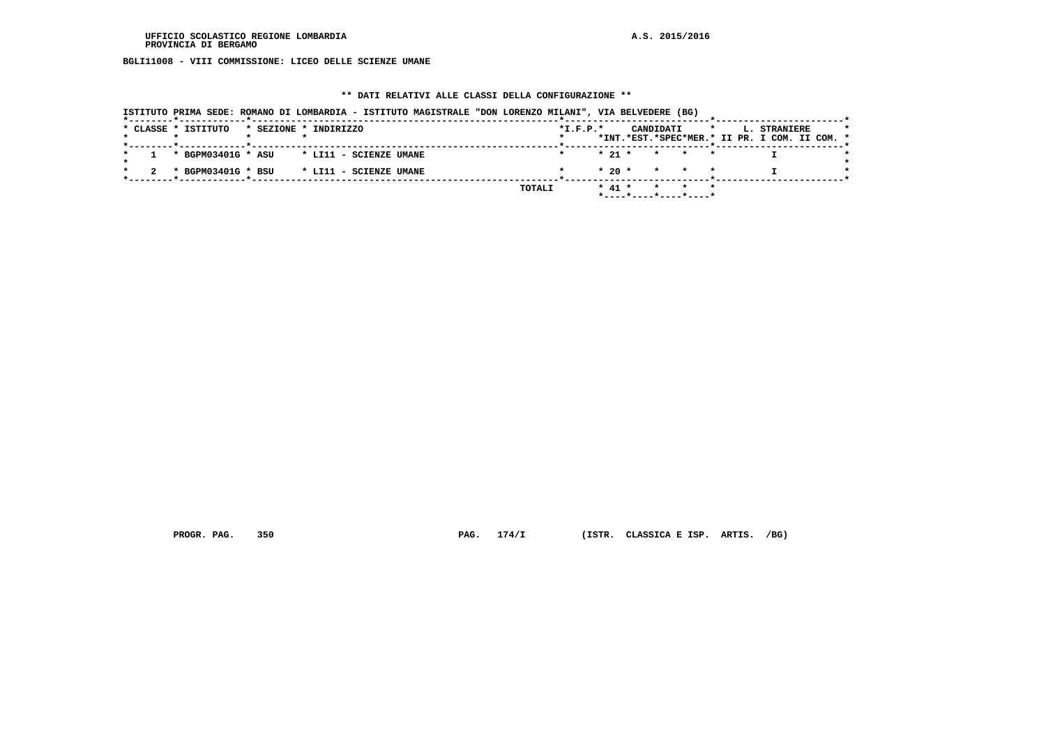**BGLI11008 - VIII COMMISSIONE: LICEO DELLE SCIENZE UMANE**

#### **\*\* DATI RELATIVI ALLE CLASSI DELLA CONFIGURAZIONE \*\***

 **ISTITUTO PRIMA SEDE: ROMANO DI LOMBARDIA - ISTITUTO MAGISTRALE "DON LORENZO MILANI", VIA BELVEDERE (BG) \*--------\*------------\*-------------------------------------------------------\*--------------------------\*-----------------------\*** $\rightarrow$  **\* CLASSE \* ISTITUTO \* SEZIONE \* INDIRIZZO \*I.F.P.\* CANDIDATI \* L. STRANIERE \* \* \* \* \* \* \*INT.\*EST.\*SPEC\*MER.\* II PR. I COM. II COM. \* \*--------\*------------\*-------------------------------------------------------\*--------------------------\*-----------------------\*** $\rightarrow$  **\* 1 \* BGPM03401G \* ASU \* LI11 - SCIENZE UMANE \* \* 21 \* \* \* \* I \*** $\star$  **\* \*** $\star$  **\* 2 \* BGPM03401G \* BSU \* LI11 - SCIENZE UMANE \* \* 20 \* \* \* \* I \* \*--------\*------------\*-------------------------------------------------------\*--------------------------\*-----------------------\* TOTALI \* 41 \* \* \* \* \*----\*----\*----\*----\***

 **PROGR. PAG. 350 PAG. 174/I (ISTR. CLASSICA E ISP. ARTIS. /BG)**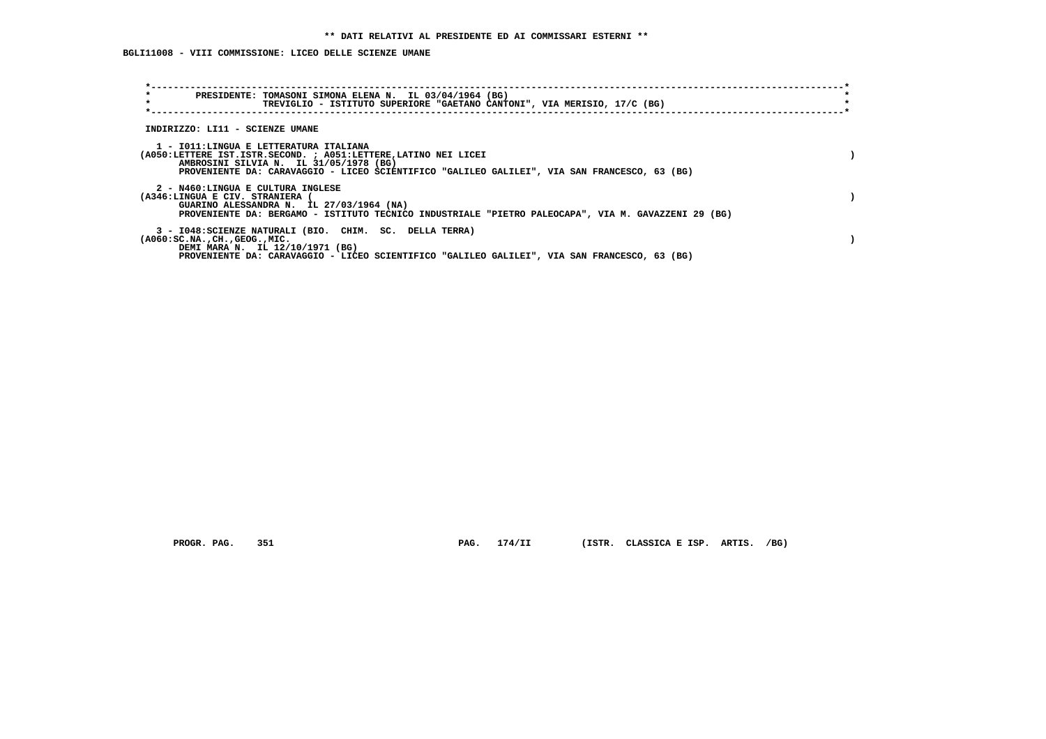**BGLI11008 - VIII COMMISSIONE: LICEO DELLE SCIENZE UMANE**

| $\star$<br>PRESIDENTE: TOMASONI SIMONA ELENA N. IL 03/04/1964 (BG)<br>$\star$<br>TREVIGLIO - ISTITUTO SUPERIORE "GAETANO CANTONI", VIA MERISIO, 17/C (BG)                                                                                           |  |
|-----------------------------------------------------------------------------------------------------------------------------------------------------------------------------------------------------------------------------------------------------|--|
| INDIRIZZO: LI11 - SCIENZE UMANE                                                                                                                                                                                                                     |  |
| 1 - IO11:LINGUA E LETTERATURA ITALIANA<br>(A050:LETTERE IST.ISTR.SECOND. ; A051:LETTERE, LATINO NEI LICEI<br>AMBROSINI SILVIA N. IL 31/05/1978 (BG)<br>PROVENIENTE DA: CARAVAGGIO - LICEO SCIENTIFICO "GALILEO GALILEI", VIA SAN FRANCESCO, 63 (BG) |  |
| 2 - N460:LINGUA E CULTURA INGLESE<br>(A346:LINGUA E CIV. STRANIERA<br>GUARINO ALESSANDRA N. IL 27/03/1964 (NA)<br>PROVENIENTE DA: BERGAMO - ISTITUTO TECNICO INDUSTRIALE "PIETRO PALEOCAPA", VIA M. GAVAZZENI 29 (BG)                               |  |
| 3 - I048: SCIENZE NATURALI (BIO. CHIM. SC. DELLA TERRA)<br>$(A060:SC.NA.$ , $CH.$ , $GEOG.$ , $MIC.$<br>DEMI MARA N. IL 12/10/1971 (BG)<br>PROVENIENTE DA: CARAVAGGIO - LICEO SCIENTIFICO "GALILEO GALILEI", VIA SAN FRANCESCO, 63 (BG)             |  |

 **PROGR. PAG. 351 PAG. 174/II (ISTR. CLASSICA E ISP. ARTIS. /BG)**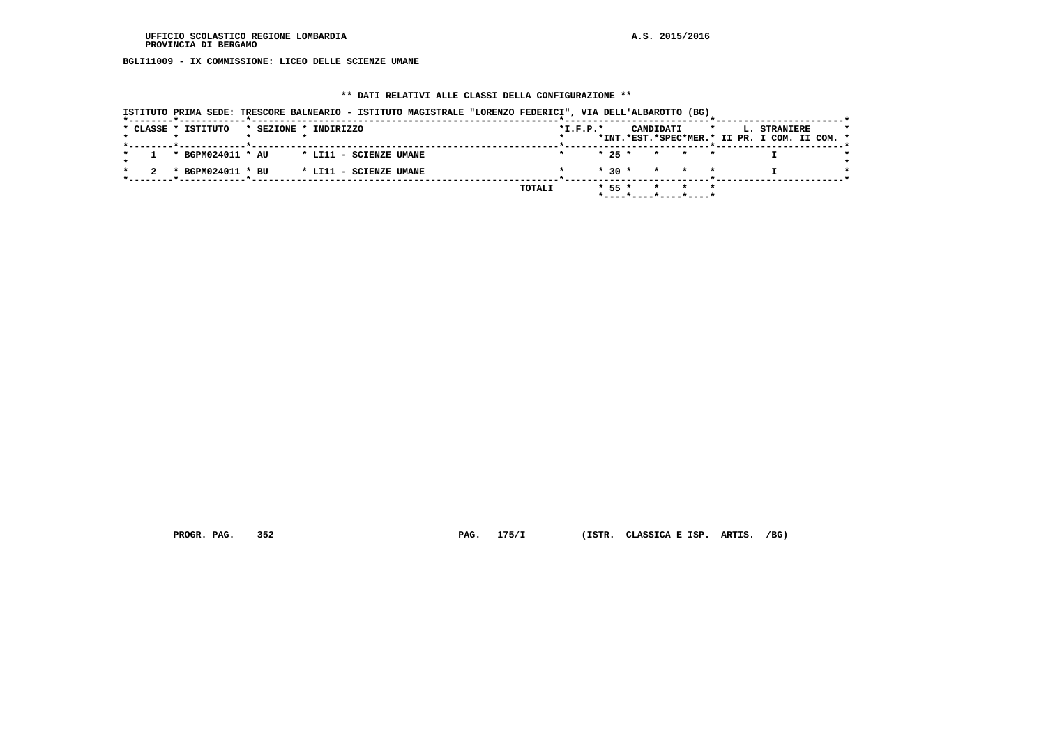**BGLI11009 - IX COMMISSIONE: LICEO DELLE SCIENZE UMANE**

### **\*\* DATI RELATIVI ALLE CLASSI DELLA CONFIGURAZIONE \*\***

|                     | ISTITUTO PRIMA SEDE: TRESCORE BALNEARIO - ISTITUTO MAGISTRALE "LORENZO FEDERICI", VIA DELL'ALBAROTTO (BG) |            |          |                                                       |         |                                                               |  |
|---------------------|-----------------------------------------------------------------------------------------------------------|------------|----------|-------------------------------------------------------|---------|---------------------------------------------------------------|--|
| * CLASSE * ISTITUTO | * SEZIONE * INDIRIZZO                                                                                     | $*I.F.P.*$ |          | CANDIDATI                                             | $\star$ | L. STRANIERE<br>*INT.*EST.*SPEC*MER.* II PR. I COM. II COM. * |  |
| * BGPM024011 * AU   | * LI11 - SCIENZE UMANE                                                                                    |            |          | $\star$ 25 $\star$ $\star$ $\star$ $\star$            |         |                                                               |  |
|                     |                                                                                                           |            |          |                                                       |         |                                                               |  |
| * BGPM024011 * BU   | * LI11 - SCIENZE UMANE                                                                                    |            |          | $* 30 * * * * * * *$                                  |         |                                                               |  |
|                     |                                                                                                           | TOTALI     | $* 55 *$ | * * *                                                 |         |                                                               |  |
|                     |                                                                                                           |            |          | $*$ - - - - $*$ - - - - $*$ - - - - $*$ - - - - - $*$ |         |                                                               |  |

 **PROGR. PAG. 352 PAG. 175/I (ISTR. CLASSICA E ISP. ARTIS. /BG)**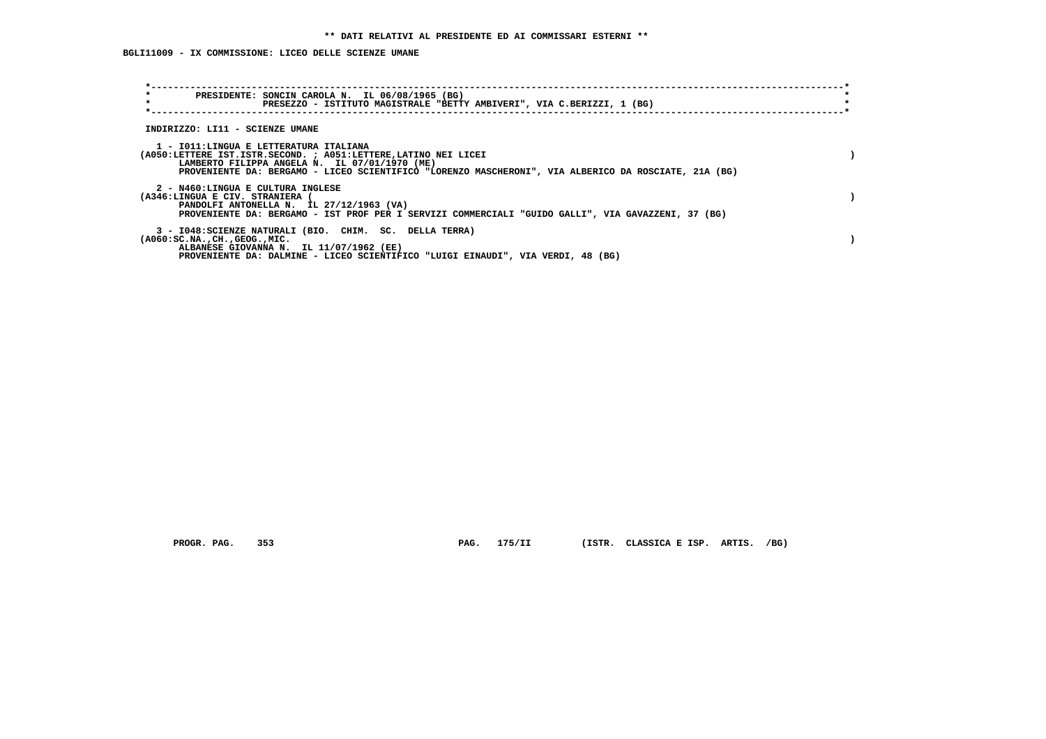**BGLI11009 - IX COMMISSIONE: LICEO DELLE SCIENZE UMANE**

| $\star$<br>PRESIDENTE: SONCIN CAROLA N. IL 06/08/1965 (BG)<br>$\star$<br>PRESEZZO - ISTITUTO MAGISTRALE "BETTY AMBIVERI", VIA C.BERIZZI, 1 (BG)                                                                                                                     |  |
|---------------------------------------------------------------------------------------------------------------------------------------------------------------------------------------------------------------------------------------------------------------------|--|
| INDIRIZZO: LI11 - SCIENZE UMANE                                                                                                                                                                                                                                     |  |
| 1 - IO11: LINGUA E LETTERATURA ITALIANA<br>(A050:LETTERE IST.ISTR.SECOND. ; A051:LETTERE, LATINO NEI LICEI<br>LAMBERTO FILIPPA ANGELA N. IL 07/01/1970 (ME)<br>PROVENIENTE DA: BERGAMO - LICEO SCIENTIFICO "LORENZO MASCHERONI", VIA ALBERICO DA ROSCIATE, 21A (BG) |  |
| 2 - N460:LINGUA E CULTURA INGLESE<br>(A346:LINGUA E CIV. STRANIERA<br>PANDOLFI ANTONELLA N. IL 27/12/1963 (VA)<br>PROVENIENTE DA: BERGAMO - IST PROF PER I SERVIZI COMMERCIALI "GUIDO GALLI", VIA GAVAZZENI, 37 (BG)                                                |  |
| 3 - I048: SCIENZE NATURALI (BIO. CHIM. SC. DELLA TERRA)<br>$(A060:SC.NA.$ , $CH.$ , $GEOG.$ , $MIC.$<br>ALBANESE GIOVANNA N. IL 11/07/1962 (EE)<br>PROVENIENTE DA: DALMINE - LICEO SCIENTIFICO "LUIGI EINAUDI", VIA VERDI, 48 (BG)                                  |  |

 **PROGR. PAG. 353 PAG. 175/II (ISTR. CLASSICA E ISP. ARTIS. /BG)**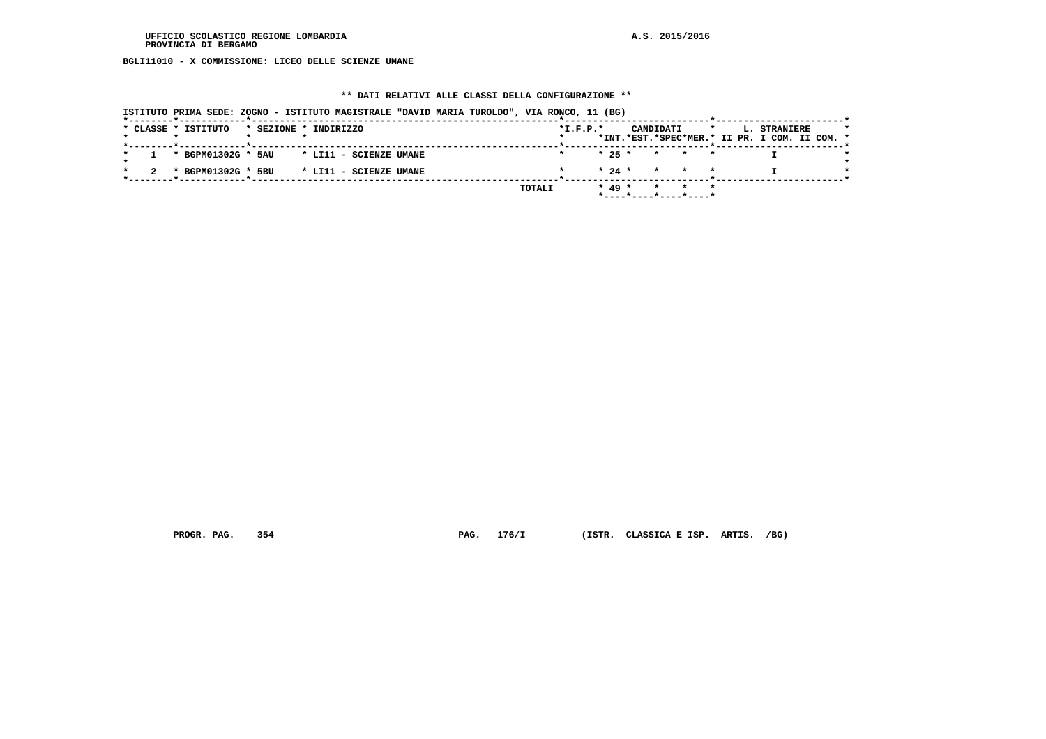**BGLI11010 - X COMMISSIONE: LICEO DELLE SCIENZE UMANE**

### **\*\* DATI RELATIVI ALLE CLASSI DELLA CONFIGURAZIONE \*\***

|                     | ISTITUTO PRIMA SEDE: ZOGNO - ISTITUTO MAGISTRALE "DAVID MARIA TUROLDO", VIA RONCO, 11 (BG) |            |          |                                                       |         |                                                               |  |
|---------------------|--------------------------------------------------------------------------------------------|------------|----------|-------------------------------------------------------|---------|---------------------------------------------------------------|--|
| * CLASSE * ISTITUTO | * SEZIONE * INDIRIZZO                                                                      | $*I.F.P.*$ |          | CANDIDATI                                             | $\star$ | L. STRANIERE<br>*INT.*EST.*SPEC*MER.* II PR. I COM. II COM. * |  |
| * BGPM01302G * 5AU  | * LI11 - SCIENZE UMANE                                                                     |            |          | $\star$ 25 $\star$ $\star$ $\star$ $\star$            |         |                                                               |  |
|                     |                                                                                            |            |          |                                                       |         |                                                               |  |
| * BGPM01302G * 5BU  | * LI11 - SCIENZE UMANE                                                                     |            |          | $\star$ 24 $\star$ $\star$ $\star$ $\star$            |         |                                                               |  |
|                     |                                                                                            | TOTALI     | $* 49 *$ | * * *                                                 |         |                                                               |  |
|                     |                                                                                            |            |          | $*$ - - - - $*$ - - - - $*$ - - - - $*$ - - - - - $*$ |         |                                                               |  |

 **PROGR. PAG. 354 PAG. 176/I (ISTR. CLASSICA E ISP. ARTIS. /BG)**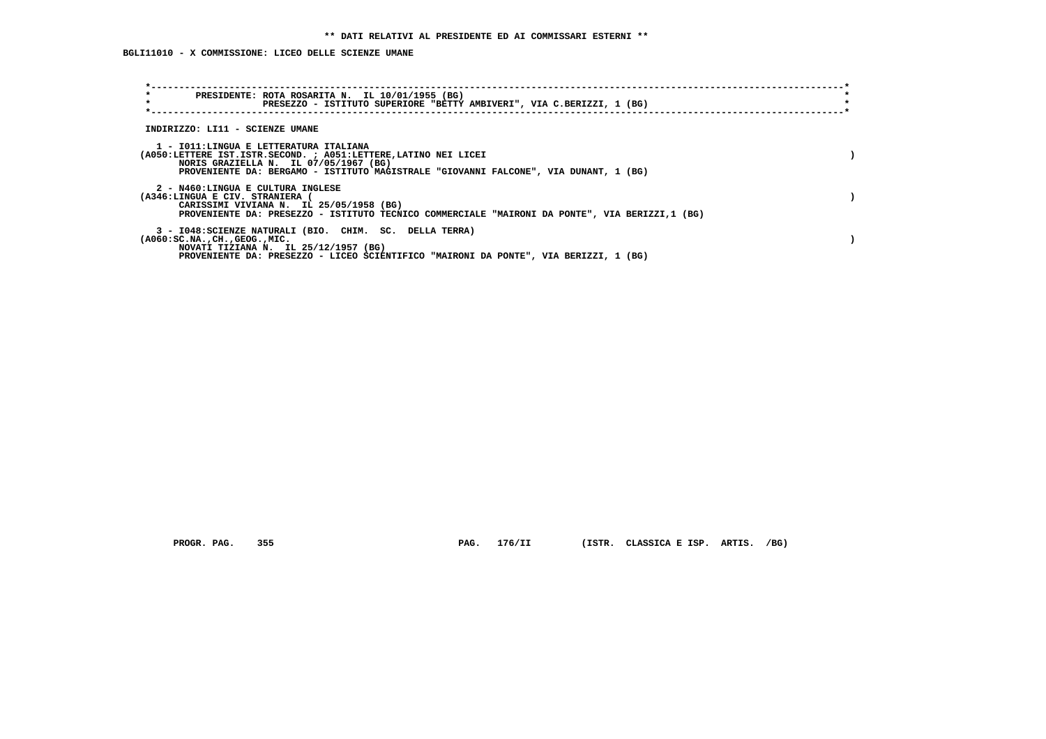## **BGLI11010 - X COMMISSIONE: LICEO DELLE SCIENZE UMANE**

| $\star$<br>PRESIDENTE: ROTA ROSARITA N. IL 10/01/1955 (BG)<br>$\star$<br>PRESEZZO - ISTITUTO SUPERIORE "BETTY AMBIVERI", VIA C.BERIZZI, 1 (BG)                                                                                             |  |
|--------------------------------------------------------------------------------------------------------------------------------------------------------------------------------------------------------------------------------------------|--|
| INDIRIZZO: LI11 - SCIENZE UMANE                                                                                                                                                                                                            |  |
| 1 - IO11:LINGUA E LETTERATURA ITALIANA<br>(A050:LETTERE IST.ISTR.SECOND. ; A051:LETTERE, LATINO NEI LICEI<br>NORIS GRAZIELLA N. IL 07/05/1967 (BG)<br>PROVENIENTE DA: BERGAMO - ISTITUTO MAGISTRALE "GIOVANNI FALCONE", VIA DUNANT, 1 (BG) |  |
| 2 - N460:LINGUA E CULTURA INGLESE<br>(A346:LINGUA E CIV. STRANIERA<br>CARISSIMI VIVIANA N. IL 25/05/1958 (BG)<br>PROVENIENTE DA: PRESEZZO - ISTITUTO TECNICO COMMERCIALE "MAIRONI DA PONTE", VIA BERIZZI,1 (BG)                            |  |
| 3 - I048:SCIENZE NATURALI (BIO. CHIM. SC. DELLA TERRA)<br>$(A060:SC.NA.$ , $CH.$ , $GEOG.$ , $MIC.$<br>NOVATI TIZIANA N. IL 25/12/1957 (BG)<br>PROVENIENTE DA: PRESEZZO - LICEO SCIENTIFICO "MAIRONI DA PONTE", VIA BERIZZI, 1 (BG)        |  |

 **PROGR. PAG. 355 PAG. 176/II (ISTR. CLASSICA E ISP. ARTIS. /BG)**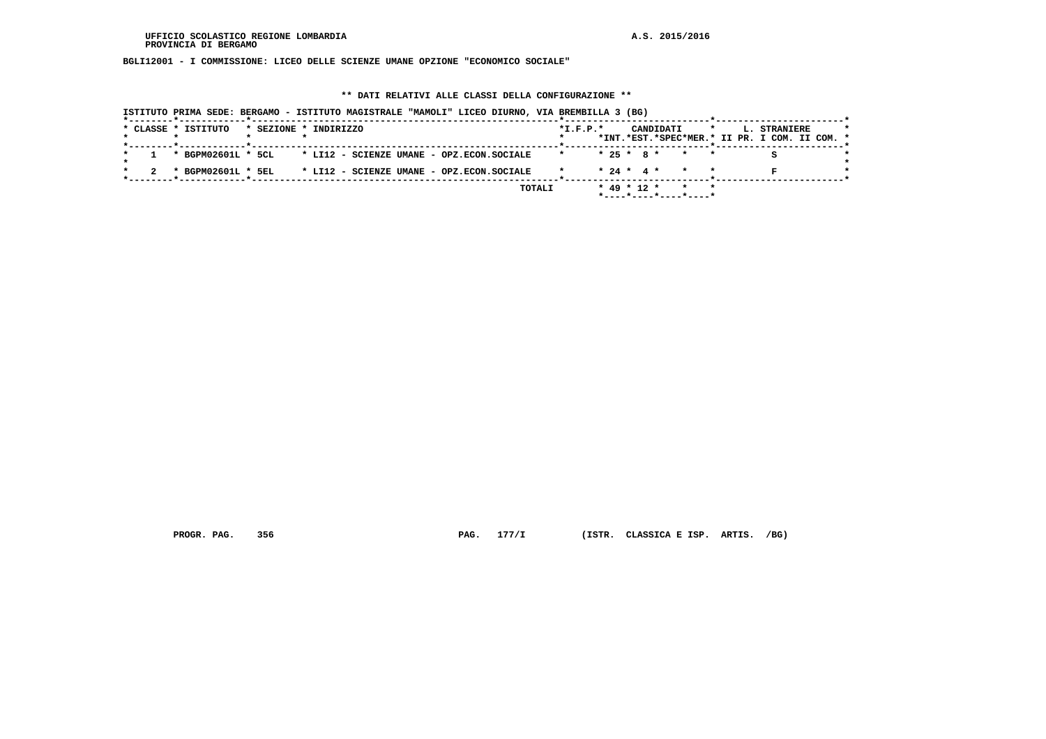**BGLI12001 - I COMMISSIONE: LICEO DELLE SCIENZE UMANE OPZIONE "ECONOMICO SOCIALE"**

### **\*\* DATI RELATIVI ALLE CLASSI DELLA CONFIGURAZIONE \*\***

| ISTITUTO PRIMA SEDE: BERGAMO - ISTITUTO MAGISTRALE "MAMOLI" LICEO DIURNO, VIA BREMBILLA 3 (BG) |                                                                                                         |
|------------------------------------------------------------------------------------------------|---------------------------------------------------------------------------------------------------------|
| * CLASSE * ISTITUTO<br>* SEZIONE * INDIRIZZO                                                   | CANDIDATI<br>$*$ I.F.P. $*$<br>L. STRANIERE<br>$\star$<br>*INT.*EST.*SPEC*MER.* II PR. I COM. II COM. * |
| * BGPM02601L * 5CL * LI12 - SCIENZE UMANE - OPZ.ECON.SOCIALE                                   | $* 25 * 8 * * * *$                                                                                      |
| * LI12 - SCIENZE UMANE - OPZ.ECON.SOCIALE<br>* BGPM02601L * 5EL                                | $* 24 * 4 * * * * *$                                                                                    |
| TOTALI                                                                                         | $* 49 * 12 * * * * *$<br>$*$ ---- $*$ ---- $*$ ---- $*$ ----*                                           |

 **PROGR. PAG. 356 PAG. 177/I (ISTR. CLASSICA E ISP. ARTIS. /BG)**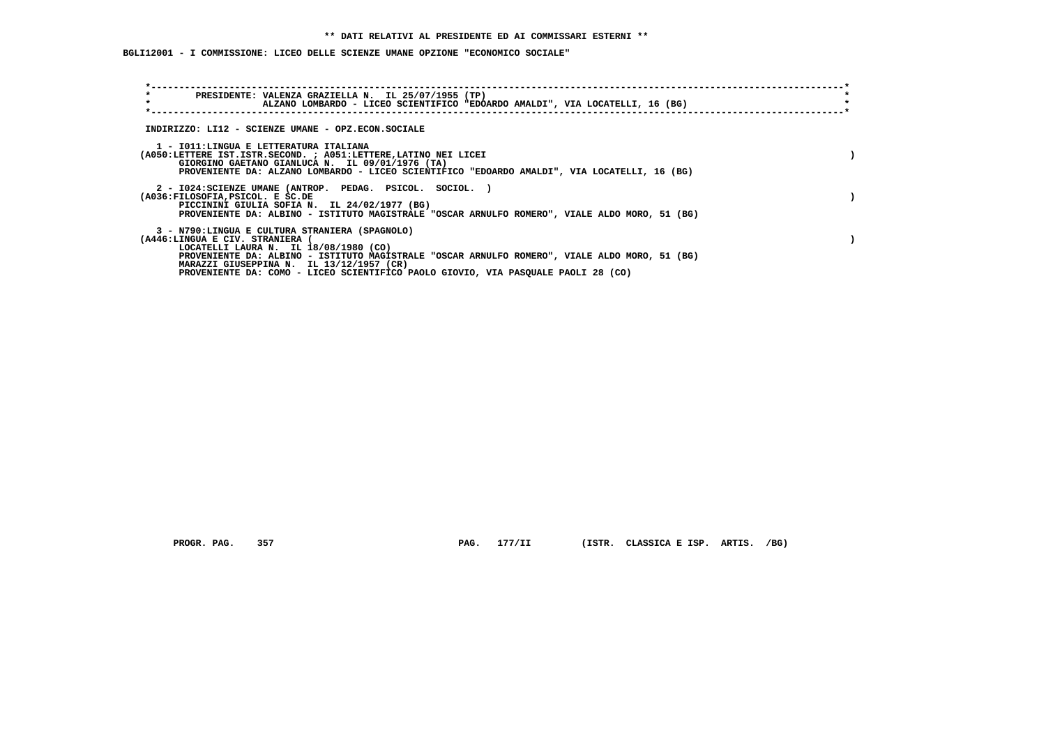## **BGLI12001 - I COMMISSIONE: LICEO DELLE SCIENZE UMANE OPZIONE "ECONOMICO SOCIALE"**

| $\star$<br>PRESIDENTE: VALENZA GRAZIELLA N. IL 25/07/1955 (TP)<br>$\star$<br>ALZANO LOMBARDO - LICEO SCIENTIFICO "EDOARDO AMALDI", VIA LOCATELLI, 16 (BG)                                                                                                             |  |
|-----------------------------------------------------------------------------------------------------------------------------------------------------------------------------------------------------------------------------------------------------------------------|--|
| INDIRIZZO: LI12 - SCIENZE UMANE - OPZ.ECON.SOCIALE                                                                                                                                                                                                                    |  |
| 1 - IO11: LINGUA E LETTERATURA ITALIANA<br>(A050:LETTERE IST.ISTR.SECOND. ; A051:LETTERE, LATINO NEI LICEI<br>GIORGINO GAETANO GIANLUCA N. IL 09/01/1976 (TA)<br>PROVENIENTE DA: ALZANO LOMBARDO - LICEO SCIENTIFICO "EDOARDO AMALDI", VIA LOCATELLI, 16 (BG)         |  |
| 2 - I024:SCIENZE UMANE (ANTROP. PEDAG. PSICOL. SOCIOL. )<br>(A036:FILOSOFIA, PSICOL. E SC.DE<br>PICCININI GIULIA SOFIA N. IL 24/02/1977 (BG)<br>PROVENIENTE DA: ALBINO - ISTITUTO MAGISTRALE "OSCAR ARNULFO ROMERO", VIALE ALDO MORO, 51 (BG)                         |  |
| 3 - N790:LINGUA E CULTURA STRANIERA (SPAGNOLO)<br>(A446:LINGUA E CIV. STRANIERA<br>LOCATELLI LAURA N. IL 18/08/1980 (CO)<br>PROVENIENTE DA: ALBINO - ISTITUTO MAGISTRALE "OSCAR ARNULFO ROMERO", VIALE ALDO MORO, 51 (BG)<br>MARAZZI GIUSEPPINA N. IL 13/12/1957 (CR) |  |
| PROVENIENTE DA: COMO - LICEO SCIENTIFICO PAOLO GIOVIO, VIA PASQUALE PAOLI 28 (CO)                                                                                                                                                                                     |  |

PROGR. PAG. 357 **PAG. 177/II** (ISTR. CLASSICA E ISP. ARTIS. /BG)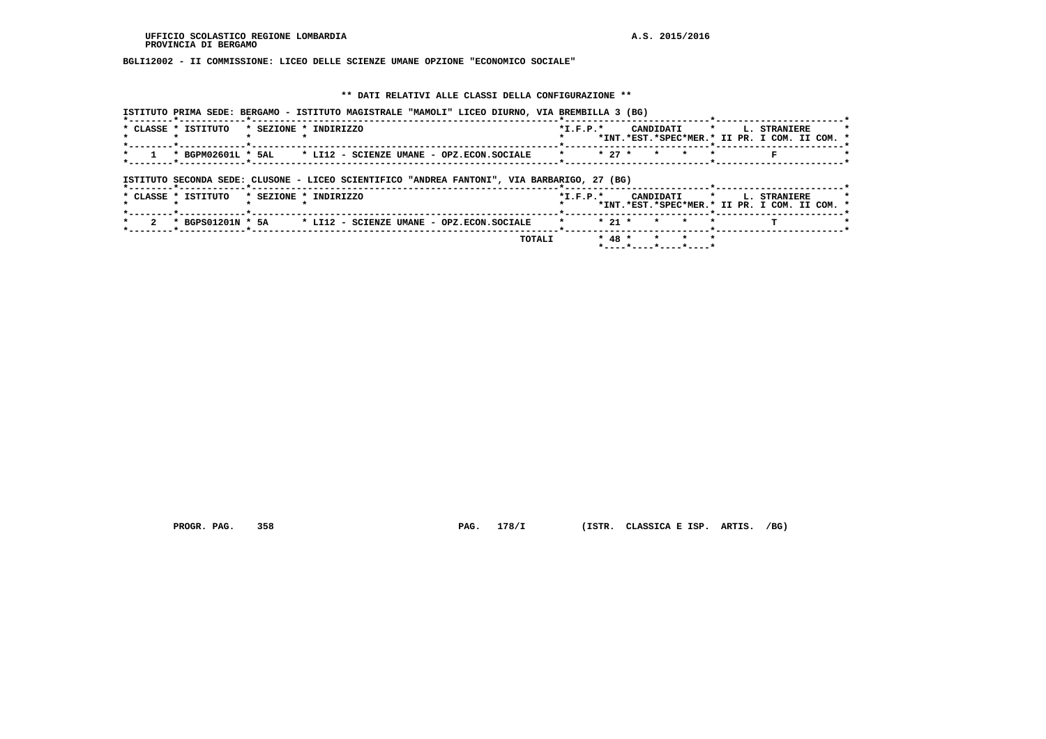**BGLI12002 - II COMMISSIONE: LICEO DELLE SCIENZE UMANE OPZIONE "ECONOMICO SOCIALE"**

### **\*\* DATI RELATIVI ALLE CLASSI DELLA CONFIGURAZIONE \*\***

| ISTITUTO PRIMA SEDE: BERGAMO - ISTITUTO MAGISTRALE "MAMOLI" LICEO DIURNO, VIA BREMBILLA 3 (BG) |                                                                                             |  |  |                                   |  |                 |                      |  |                                                                 |  |
|------------------------------------------------------------------------------------------------|---------------------------------------------------------------------------------------------|--|--|-----------------------------------|--|-----------------|----------------------|--|-----------------------------------------------------------------|--|
| * CLASSE * ISTITUTO                                                                            | * SEZIONE * INDIRIZZO                                                                       |  |  | *I.F.P.* CANDIDATI * L. STRANIERE |  |                 |                      |  | *INT.*EST.*SPEC*MER.* II PR. I COM. II COM. *                   |  |
|                                                                                                | * BGPM02601L * 5AL * LI12 - SCIENZE UMANE - OPZ.ECON.SOCIALE                                |  |  | $\star$ $\star$ 27 $\star$        |  | $\star$ $\star$ |                      |  |                                                                 |  |
|                                                                                                |                                                                                             |  |  |                                   |  |                 |                      |  |                                                                 |  |
| *--------*------------*-------------                                                           | ISTITUTO SECONDA SEDE: CLUSONE - LICEO SCIENTIFICO "ANDREA FANTONI", VIA BARBARIGO, 27 (BG) |  |  |                                   |  |                 |                      |  |                                                                 |  |
| * CLASSE * ISTITUTO                                                                            | * SEZIONE * INDIRIZZO                                                                       |  |  | *I.F.P.* CANDIDATI                |  |                 |                      |  | * L. STRANIERE<br>*INT.*EST.*SPEC*MER.* II PR. I COM. II COM. * |  |
|                                                                                                | * BGPS01201N * 5A * LI12 - SCIENZE UMANE - OPZ.ECON.SOCIALE                                 |  |  | $\star$                           |  |                 | $* 21 * * * * * * *$ |  |                                                                 |  |

 **PROGR. PAG. 358 PAG. 178/I (ISTR. CLASSICA E ISP. ARTIS. /BG)**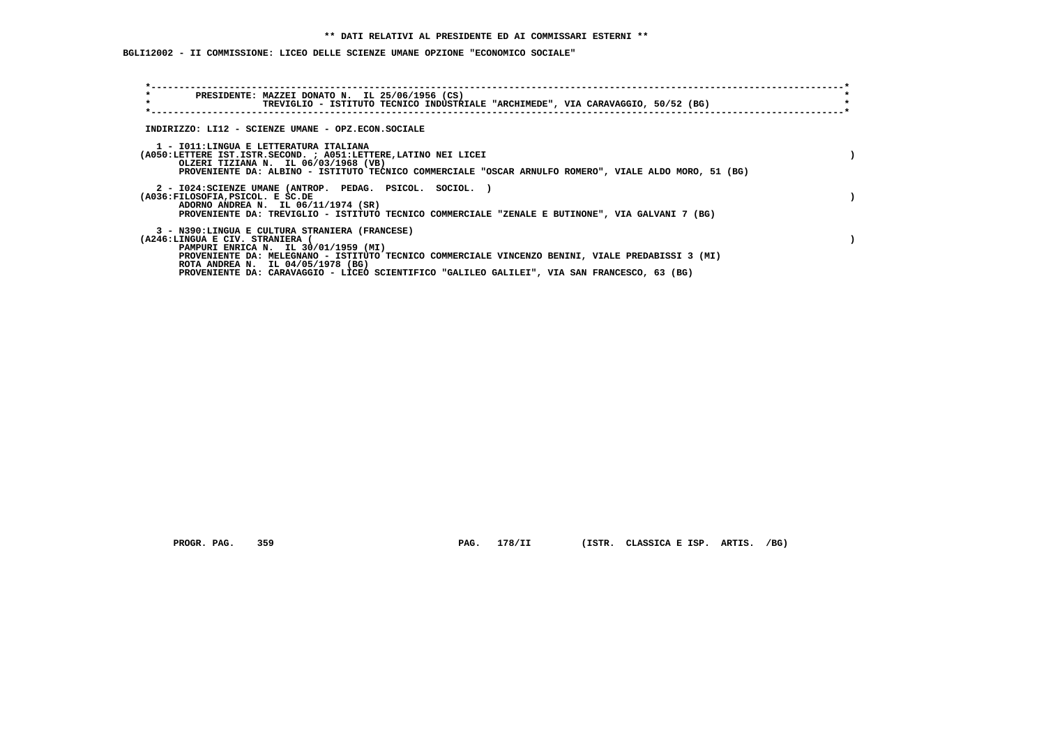**BGLI12002 - II COMMISSIONE: LICEO DELLE SCIENZE UMANE OPZIONE "ECONOMICO SOCIALE"**

| $\star$<br>PRESIDENTE: MAZZEI DONATO N. IL 25/06/1956 (CS)<br>$\star$<br>TREVIGLIO - ISTITUTO TECNICO INDUSTRIALE "ARCHIMEDE", VIA CARAVAGGIO, 50/52 (BG)                                                                                                           |  |
|---------------------------------------------------------------------------------------------------------------------------------------------------------------------------------------------------------------------------------------------------------------------|--|
| INDIRIZZO: LI12 - SCIENZE UMANE - OPZ.ECON.SOCIALE                                                                                                                                                                                                                  |  |
| 1 - IO11:LINGUA E LETTERATURA ITALIANA<br>(A050:LETTERE IST.ISTR.SECOND. ; A051:LETTERE, LATINO NEI LICEI<br>OLZERI TIZIANA N. IL 06/03/1968 (VB)<br>PROVENIENTE DA: ALBINO - ISTITUTO TECNICO COMMERCIALE "OSCAR ARNULFO ROMERO", VIALE ALDO MORO, 51 (BG)         |  |
| 2 - I024: SCIENZE UMANE (ANTROP. PEDAG. PSICOL. SOCIOL.)<br>(A036:FILOSOFIA, PSICOL. E SC.DE<br>ADORNO ANDREA N. IL 06/11/1974 (SR)<br>PROVENIENTE DA: TREVIGLIO - ISTITUTO TECNICO COMMERCIALE "ZENALE E BUTINONE", VIA GALVANI 7 (BG)                             |  |
| 3 - N390:LINGUA E CULTURA STRANIERA (FRANCESE)<br>(A246:LINGUA E CIV. STRANIERA (<br>PAMPURI ENRICA N. IL 30/01/1959 (MI)<br>PROVENIENTE DA: MELEGNANO - ISTITUTO TECNICO COMMERCIALE VINCENZO BENINI, VIALE PREDABISSI 3 (MI)<br>ROTA ANDREA N. IL 04/05/1978 (BG) |  |
| PROVENIENTE DA: CARAVAGGIO - LICEO SCIENTIFICO "GALILEO GALILEI", VIA SAN FRANCESCO, 63 (BG)                                                                                                                                                                        |  |

PROGR. PAG. 359 **PAG. 178/II** (ISTR. CLASSICA E ISP. ARTIS. /BG)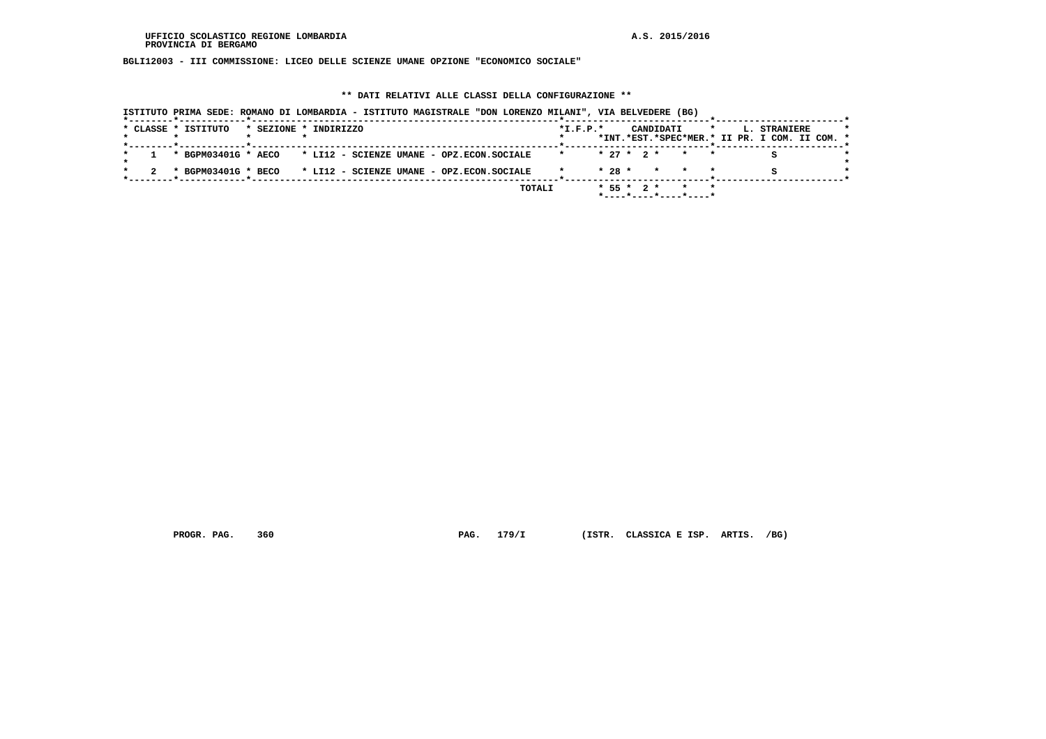**BGLI12003 - III COMMISSIONE: LICEO DELLE SCIENZE UMANE OPZIONE "ECONOMICO SOCIALE"**

#### **\*\* DATI RELATIVI ALLE CLASSI DELLA CONFIGURAZIONE \*\***

| ISTITUTO PRIMA SEDE: ROMANO DI LOMBARDIA - ISTITUTO MAGISTRALE "DON LORENZO MILANI", VIA BELVEDERE (BG) |                                                                                                         |
|---------------------------------------------------------------------------------------------------------|---------------------------------------------------------------------------------------------------------|
| * CLASSE * ISTITUTO<br>* SEZIONE * INDIRIZZO                                                            | $*$ I.F.P. $*$<br>CANDIDATI<br>L. STRANIERE<br>$\star$<br>*INT.*EST.*SPEC*MER.* II PR. I COM. II COM. * |
| * BGPM03401G * AECO * LI12 - SCIENZE UMANE - OPZ.ECON.SOCIALE                                           | $* 27 * 2 * * * * *$<br>$\star$                                                                         |
| * LI12 - SCIENZE UMANE - OPZ.ECON.SOCIALE<br>* BGPM03401G * BECO                                        | $* 28 *$<br>* * *                                                                                       |
| TOTALI                                                                                                  | $* 55 * 2 *$<br>$*$ - - - - $*$ - - - - $*$ - - - - $*$ - - - - $*$                                     |

 **PROGR. PAG. 360 PAG. 179/I (ISTR. CLASSICA E ISP. ARTIS. /BG)**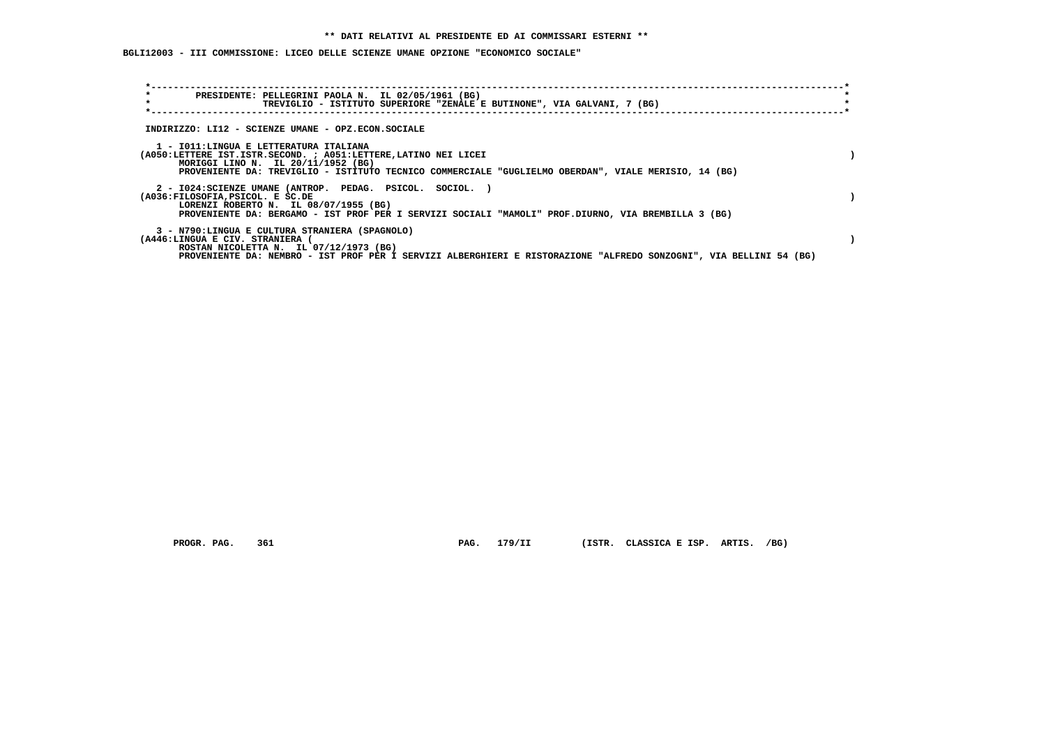**BGLI12003 - III COMMISSIONE: LICEO DELLE SCIENZE UMANE OPZIONE "ECONOMICO SOCIALE"**

| $\star$<br>PRESIDENTE: PELLEGRINI PAOLA N. IL 02/05/1961 (BG)<br>$\star$<br>TREVIGLIO - ISTITUTO SUPERIORE "ZENALE E BUTINONE", VIA GALVANI, 7 (BG)                                                                                                      |  |
|----------------------------------------------------------------------------------------------------------------------------------------------------------------------------------------------------------------------------------------------------------|--|
| INDIRIZZO: LI12 - SCIENZE UMANE - OPZ.ECON.SOCIALE                                                                                                                                                                                                       |  |
| 1 - IO11: LINGUA E LETTERATURA ITALIANA<br>(A050:LETTERE IST.ISTR.SECOND. ; A051:LETTERE, LATINO NEI LICEI<br>MORIGGI LINO N. IL 20/11/1952 (BG)<br>PROVENIENTE DA: TREVIGLIO - ISTITUTO TECNICO COMMERCIALE "GUGLIELMO OBERDAN", VIALE MERISIO, 14 (BG) |  |
| 2 - I024:SCIENZE UMANE (ANTROP. PEDAG. PSICOL. SOCIOL.)<br>(A036:FILOSOFIA, PSICOL. E SC.DE<br>LORENZI ROBERTO N. IL 08/07/1955 (BG)<br>PROVENIENTE DA: BERGAMO - IST PROF PER I SERVIZI SOCIALI "MAMOLI" PROF.DIURNO, VIA BREMBILLA 3 (BG)              |  |
| 3 - N790:LINGUA E CULTURA STRANIERA (SPAGNOLO)<br>(A446:LINGUA E CIV. STRANIERA<br>ROSTAN NICOLETTA N. IL 07/12/1973 (BG)<br>PROVENIENTE DA: NEMBRO - IST PROF PER I SERVIZI ALBERGHIERI E RISTORAZIONE "ALFREDO SONZOGNI", VIA BELLINI 54 (BG)          |  |

 **PROGR. PAG. 361 PAG. 179/II (ISTR. CLASSICA E ISP. ARTIS. /BG)**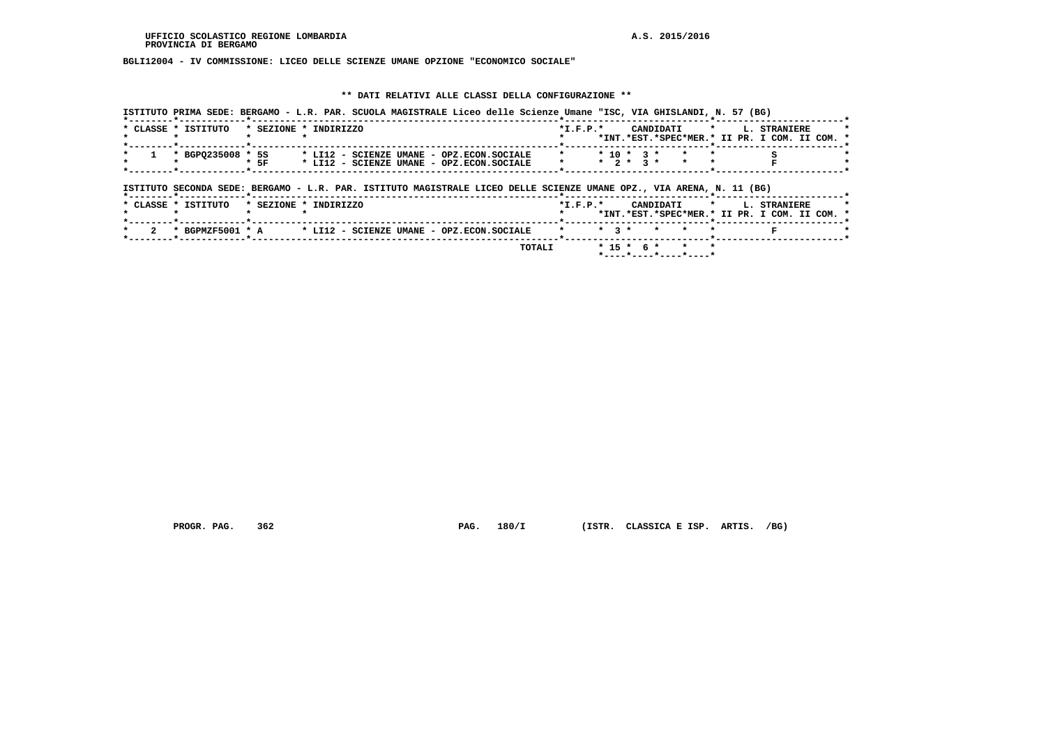**BGLI12004 - IV COMMISSIONE: LICEO DELLE SCIENZE UMANE OPZIONE "ECONOMICO SOCIALE"**

## **\*\* DATI RELATIVI ALLE CLASSI DELLA CONFIGURAZIONE \*\***

| ISTITUTO PRIMA SEDE: BERGAMO - L.R. PAR. SCUOLA MAGISTRALE Liceo delle Scienze Umane "ISC, VIA GHISLANDI, N. 57 (BG)<br>*------- <b>*</b> ---------- <b>---*</b> ----------- |                                                                                             |
|------------------------------------------------------------------------------------------------------------------------------------------------------------------------------|---------------------------------------------------------------------------------------------|
| * CLASSE * ISTITUTO<br>* SEZIONE * INDIRIZZO                                                                                                                                 | $*$ I.F.P. $*$<br>CANDIDATI * L. STRANIERE<br>*INT.*EST.*SPEC*MER.* II PR. I COM. II COM. * |
| *--------*------------*-------------<br>* BGPQ235008 * 5S * LI12 - SCIENZE UMANE - OPZ.ECON.SOCIALE<br>$*$ 5F<br>* LI12 - SCIENZE UMANE - OPZ.ECON.SOCIALE                   | $* 10 * 3 * * * * *$<br>$*$ $*$ $2 * 3 *$ $*$ $*$                                           |
| ISTITUTO SECONDA SEDE: BERGAMO - L.R. PAR. ISTITUTO MAGISTRALE LICEO DELLE SCIENZE UMANE OPZ., VIA ARENA, N. 11 (BG)                                                         |                                                                                             |
|                                                                                                                                                                              |                                                                                             |

|  | * CLASSE * ISTITUTO |  | * SEZIONE * INDIRIZZO                                                          | $*T$ , $F$ , $P$ , $*$ |  |  |                                                  |  |  | CANDIDATI * I. STRANIERE                      |  |  |
|--|---------------------|--|--------------------------------------------------------------------------------|------------------------|--|--|--------------------------------------------------|--|--|-----------------------------------------------|--|--|
|  |                     |  |                                                                                |                        |  |  |                                                  |  |  | *INT.*EST.*SPEC*MER.* II PR. I COM. II COM. * |  |  |
|  |                     |  |                                                                                |                        |  |  |                                                  |  |  |                                               |  |  |
|  |                     |  | * 2 * BGPMZF5001 * A * LI12 - SCIENZE UMANE - OPZ.ECON.SOCIALE * * 3 * * * * * |                        |  |  |                                                  |  |  |                                               |  |  |
|  |                     |  | TOTALI                                                                         |                        |  |  | $* 15 * 6 * * * * *$<br>$*$ ----*----*----*----* |  |  |                                               |  |  |
|  |                     |  |                                                                                |                        |  |  |                                                  |  |  |                                               |  |  |

 **PROGR. PAG. 362 PAG. 180/I (ISTR. CLASSICA E ISP. ARTIS. /BG)**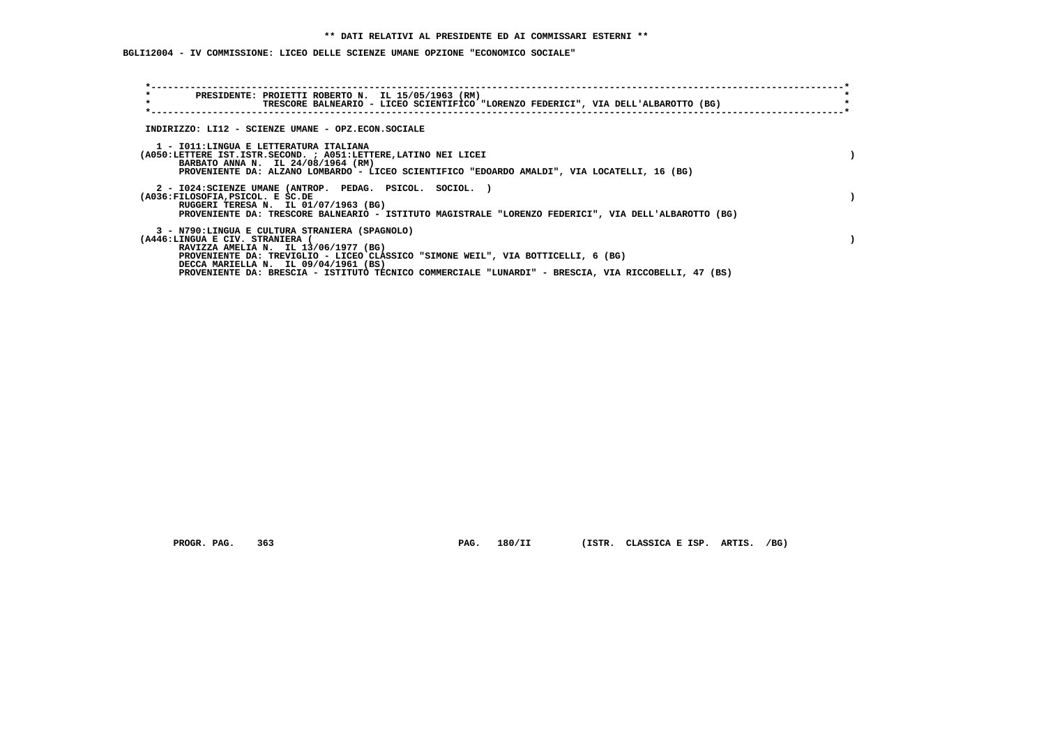**BGLI12004 - IV COMMISSIONE: LICEO DELLE SCIENZE UMANE OPZIONE "ECONOMICO SOCIALE"**

| $\star$<br>PRESIDENTE: PROIETTI ROBERTO N. IL 15/05/1963 (RM)<br>$\star$<br>TRESCORE BALNEARIO - LICEO SCIENTIFICO "LORENZO FEDERICI", VIA DELL'ALBAROTTO (BG)                                                                                        |  |
|-------------------------------------------------------------------------------------------------------------------------------------------------------------------------------------------------------------------------------------------------------|--|
| INDIRIZZO: LI12 - SCIENZE UMANE - OPZ.ECON.SOCIALE                                                                                                                                                                                                    |  |
| 1 - IO11:LINGUA E LETTERATURA ITALIANA<br>(A050:LETTERE IST.ISTR.SECOND. ; A051:LETTERE, LATINO NEI LICEI<br>BARBATO ANNA N. IL 24/08/1964 (RM)<br>PROVENIENTE DA: ALZANO LOMBARDO - LICEO SCIENTIFICO "EDOARDO AMALDI", VIA LOCATELLI, 16 (BG)       |  |
| 2 - I024: SCIENZE UMANE (ANTROP. PEDAG. PSICOL. SOCIOL.)<br>(A036:FILOSOFIA, PSICOL. E SC.DE<br>RUGGERI TERESA N. IL 01/07/1963 (BG)<br>PROVENIENTE DA: TRESCORE BALNEARIO - ISTITUTO MAGISTRALE "LORENZO FEDERICI", VIA DELL'ALBAROTTO (BG)          |  |
| 3 - N790:LINGUA E CULTURA STRANIERA (SPAGNOLO)<br>(A446:LINGUA E CIV. STRANIERA (<br>RAVIZZA AMELIA N. IL 13/06/1977 (BG)<br>PROVENIENTE DA: TREVIGLIO - LICEO CLASSICO "SIMONE WEIL", VIA BOTTICELLI, 6 (BG)<br>DECCA MARIELLA N. IL 09/04/1961 (BS) |  |
| PROVENIENTE DA: BRESCIA - ISTITUTO TECNICO COMMERCIALE "LUNARDI" - BRESCIA, VIA RICCOBELLI, 47 (BS)                                                                                                                                                   |  |
|                                                                                                                                                                                                                                                       |  |

 **PROGR. PAG. 363 PAG. 180/II (ISTR. CLASSICA E ISP. ARTIS. /BG)**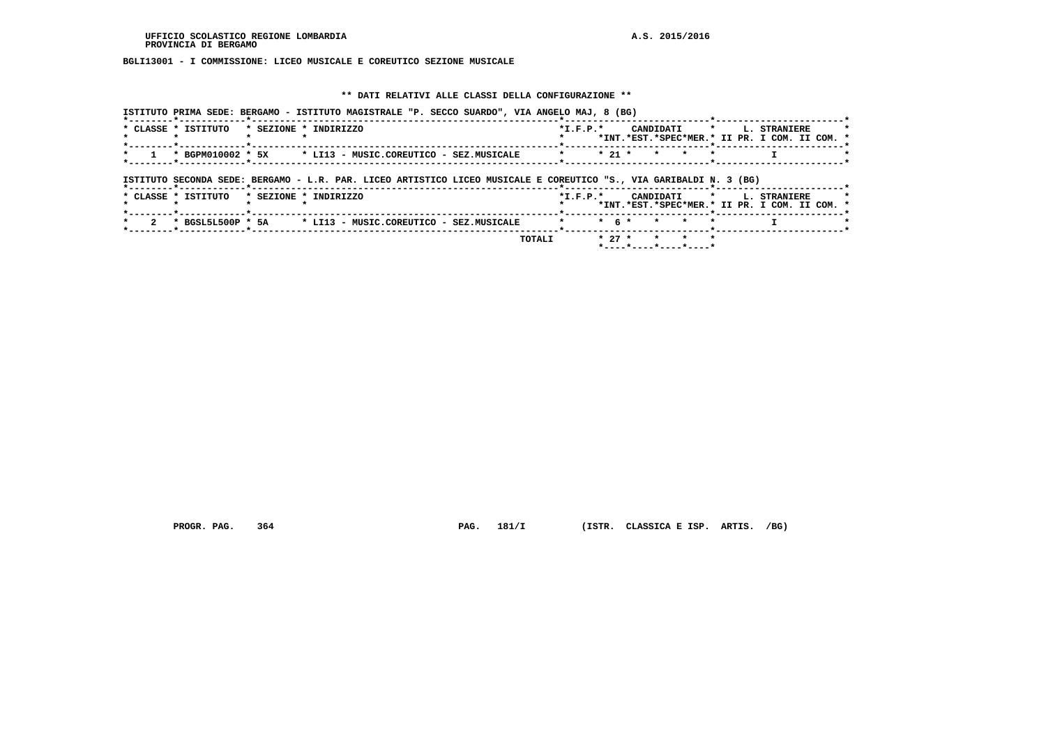## **BGLI13001 - I COMMISSIONE: LICEO MUSICALE E COREUTICO SEZIONE MUSICALE**

### **\*\* DATI RELATIVI ALLE CLASSI DELLA CONFIGURAZIONE \*\***

|                     |                       | ISTITUTO PRIMA SEDE: BERGAMO - ISTITUTO MAGISTRALE "P. SECCO SUARDO", VIA ANGELO MAJ, 8 (BG)                       |         |                |          |               |                 |         |                                                                           |              |  |
|---------------------|-----------------------|--------------------------------------------------------------------------------------------------------------------|---------|----------------|----------|---------------|-----------------|---------|---------------------------------------------------------------------------|--------------|--|
| * CLASSE * ISTITUTO | * SEZIONE * INDIRIZZO |                                                                                                                    |         | $*$ I.F.P. $*$ |          |               |                 |         | CANDIDATI * L. STRANIERE<br>*INT.*EST.*SPEC*MER.* II PR. I COM. II COM. * |              |  |
| * BGPM010002 * 5X   |                       | * LI13 - MUSIC.COREUTICO - SEZ.MUSICALE                                                                            | $\star$ |                | $* 21 *$ | $\star$       | $\star$         |         |                                                                           |              |  |
|                     |                       | ISTITUTO SECONDA SEDE: BERGAMO - L.R. PAR. LICEO ARTISTICO LICEO MUSICALE E COREUTICO "S., VIA GARIBALDI N. 3 (BG) |         |                |          |               |                 |         |                                                                           |              |  |
| * CLASSE * ISTITUTO | * SEZIONE * INDIRIZZO |                                                                                                                    |         | $*$ I.F.P. $*$ |          | CANDIDATI     |                 | $\star$ | *INT.*EST.*SPEC*MER.* II PR. I COM. II COM. *                             | L. STRANIERE |  |
|                     |                       | * BGSL5L500P * 5A * LI13 - MUSIC.COREUTICO - SEZ.MUSICALE                                                          | $\star$ |                |          | $*$ 6 $*$ $*$ | $\star$         |         |                                                                           |              |  |
|                     |                       |                                                                                                                    | TOTALI  |                | $* 27 *$ |               | $\star$ $\star$ |         |                                                                           |              |  |

 **PROGR. PAG. 364 PAG. 181/I (ISTR. CLASSICA E ISP. ARTIS. /BG)**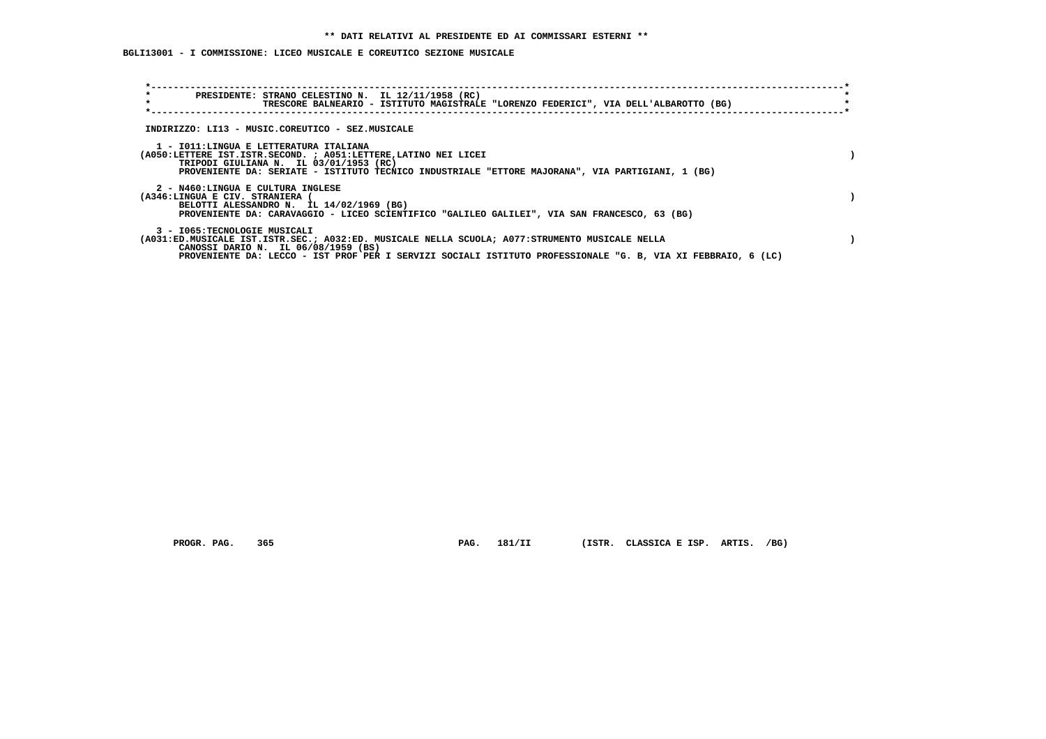# **BGLI13001 - I COMMISSIONE: LICEO MUSICALE E COREUTICO SEZIONE MUSICALE**

| $\star$<br>$\star$                                                   | PRESIDENTE: STRANO CELESTINO N. IL 12/11/1958 (RC)<br>TRESCORE BALNEARIO - ISTITUTO MAGISTRALE "LORENZO FEDERICI", VIA DELL'ALBAROTTO (BG)                                                                                                              |  |
|----------------------------------------------------------------------|---------------------------------------------------------------------------------------------------------------------------------------------------------------------------------------------------------------------------------------------------------|--|
|                                                                      | INDIRIZZO: LI13 - MUSIC.COREUTICO - SEZ.MUSICALE                                                                                                                                                                                                        |  |
|                                                                      | 1 - IO11:LINGUA E LETTERATURA ITALIANA<br>(A050:LETTERE IST.ISTR.SECOND. ; A051:LETTERE, LATINO NEI LICEI<br>TRIPODI GIULIANA N. IL 03/01/1953 (RC)<br>PROVENIENTE DA: SERIATE - ISTITUTO TECNICO INDUSTRIALE "ETTORE MAJORANA", VIA PARTIGIANI, 1 (BG) |  |
| 2 - N460:LINGUA E CULTURA INGLESE<br>(A346:LINGUA E CIV. STRANIERA ( | BELOTTI ALESSANDRO N. IL 14/02/1969 (BG)<br>PROVENIENTE DA: CARAVAGGIO - LICEO SCIENTIFICO "GALILEO GALILEI", VIA SAN FRANCESCO, 63 (BG)                                                                                                                |  |
| 3 - I065:TECNOLOGIE MUSICALI                                         | (A031:ED.MUSICALE IST.ISTR.SEC.; A032:ED. MUSICALE NELLA SCUOLA; A077:STRUMENTO MUSICALE NELLA<br>CANOSSI DARIO N. IL 06/08/1959 (BS)<br>PROVENIENTE DA: LECCO - IST PROF PER I SERVIZI SOCIALI ISTITUTO PROFESSIONALE "G. B. VIA XI FEBBRAIO. 6 (LC)   |  |

 **PROGR. PAG. 365 PAG. 181/II (ISTR. CLASSICA E ISP. ARTIS. /BG)**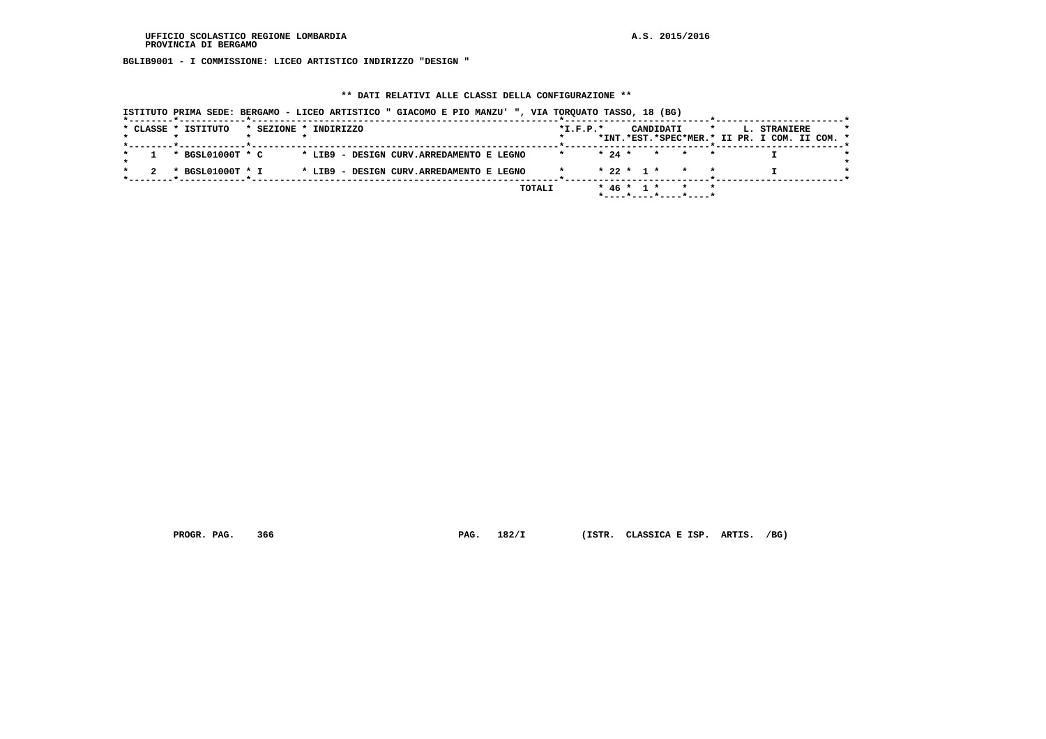**BGLIB9001 - I COMMISSIONE: LICEO ARTISTICO INDIRIZZO "DESIGN "**

### **\*\* DATI RELATIVI ALLE CLASSI DELLA CONFIGURAZIONE \*\***

|  | * CLASSE * ISTITUTO | * SEZIONE * INDIRIZZO |  |                                          |        | $*I.F.P.*$ |          |                  | CANDIDATI |                 | $\star$ | L. STRANIERE<br>*INT.*EST.*SPEC*MER.* II PR. I COM. II COM. * |  |
|--|---------------------|-----------------------|--|------------------------------------------|--------|------------|----------|------------------|-----------|-----------------|---------|---------------------------------------------------------------|--|
|  |                     |                       |  |                                          |        |            |          |                  |           |                 |         |                                                               |  |
|  | * BGSL01000T * C    |                       |  | * LIB9 - DESIGN CURV.ARREDAMENTO E LEGNO |        |            | $* 24 *$ |                  |           | $\star$ $\star$ | $\star$ |                                                               |  |
|  | * BGSL01000T * I    |                       |  | * LIB9 - DESIGN CURV.ARREDAMENTO E LEGNO |        |            |          | $* 22 * 1 *$     |           |                 |         |                                                               |  |
|  |                     |                       |  |                                          | TOTALI |            |          | $*$ 46 $*$ 1 $*$ |           | $\star$         |         |                                                               |  |

 **PROGR. PAG. 366 PAG. 182/I (ISTR. CLASSICA E ISP. ARTIS. /BG)**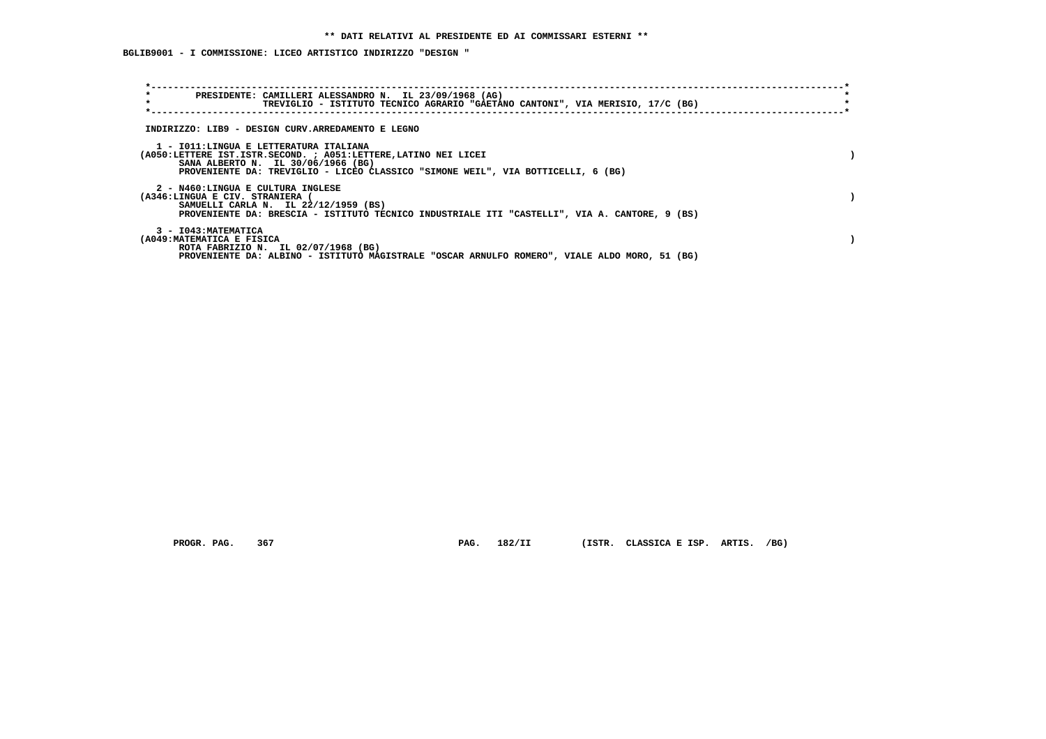**BGLIB9001 - I COMMISSIONE: LICEO ARTISTICO INDIRIZZO "DESIGN "**

| $\star$<br>PRESIDENTE: CAMILLERI ALESSANDRO N. IL 23/09/1968 (AG)<br>$\star$<br>TREVIGLIO - ISTITUTO TECNICO AGRARIO "GAETANO CANTONI", VIA MERISIO, 17/C (BG)                                                                      |  |
|-------------------------------------------------------------------------------------------------------------------------------------------------------------------------------------------------------------------------------------|--|
| INDIRIZZO: LIB9 - DESIGN CURV.ARREDAMENTO E LEGNO                                                                                                                                                                                   |  |
| 1 - IO11:LINGUA E LETTERATURA ITALIANA<br>(A050:LETTERE IST.ISTR.SECOND. ; A051:LETTERE, LATINO NEI LICEI<br>SANA ALBERTO N. IL 30/06/1966 (BG)<br>PROVENIENTE DA: TREVIGLIO - LICEO CLASSICO "SIMONE WEIL", VIA BOTTICELLI, 6 (BG) |  |
| 2 - N460:LINGUA E CULTURA INGLESE<br>(A346:LINGUA E CIV. STRANIERA (<br>SAMUELLI CARLA N. IL 22/12/1959 (BS)<br>PROVENIENTE DA: BRESCIA - ISTITUTO TECNICO INDUSTRIALE ITI "CASTELLI", VIA A. CANTORE, 9 (BS)                       |  |
| 3 - I043: MATEMATICA<br>(A049: MATEMATICA E FISICA<br>ROTA FABRIZIO N. IL 02/07/1968 (BG)<br>PROVENIENTE DA: ALBINO - ISTITUTO MAGISTRALE "OSCAR ARNULFO ROMERO", VIALE ALDO MORO, 51 (BG)                                          |  |

 **PROGR. PAG. 367 PAG. 182/II (ISTR. CLASSICA E ISP. ARTIS. /BG)**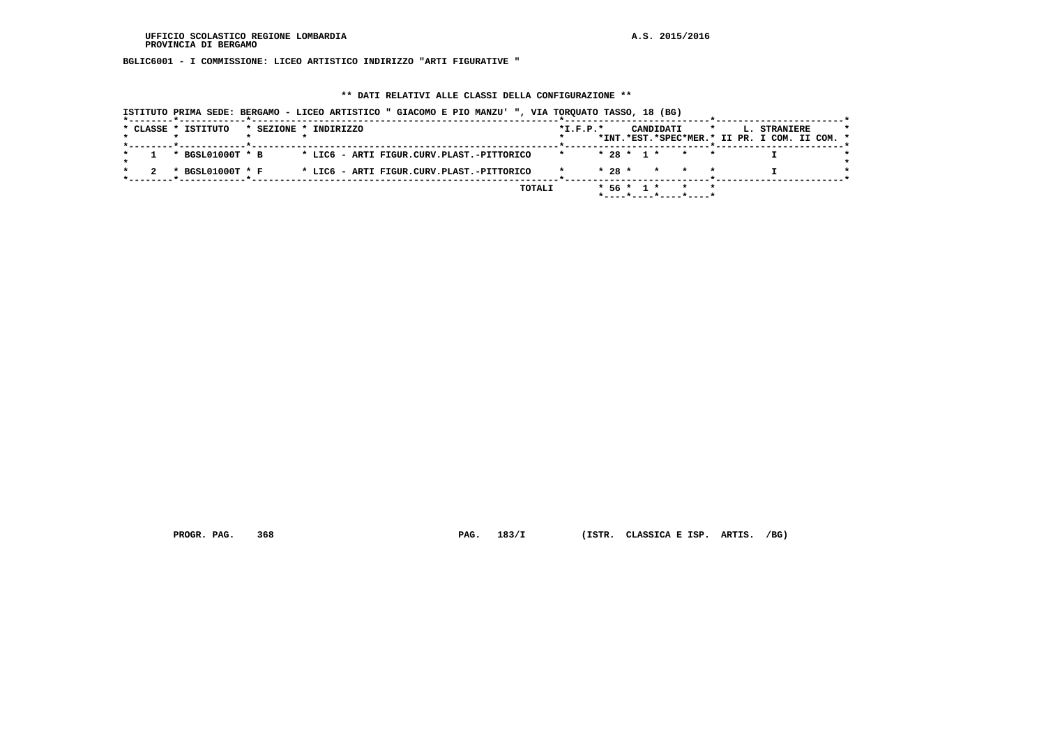**BGLIC6001 - I COMMISSIONE: LICEO ARTISTICO INDIRIZZO "ARTI FIGURATIVE "**

### **\*\* DATI RELATIVI ALLE CLASSI DELLA CONFIGURAZIONE \*\***

|  | ISTITUTO PRIMA SEDE: BERGAMO - LICEO ARTISTICO " GIACOMO E PIO MANZU' ", VIA TORQUATO TASSO, 18 (BG) |                       |  |  |                                           |  |        |                |             |  |           |                       |         |  |                                               |  |  |
|--|------------------------------------------------------------------------------------------------------|-----------------------|--|--|-------------------------------------------|--|--------|----------------|-------------|--|-----------|-----------------------|---------|--|-----------------------------------------------|--|--|
|  | * CLASSE * ISTITUTO                                                                                  | * SEZIONE * INDIRIZZO |  |  |                                           |  |        | $*$ I.F.P. $*$ |             |  | CANDIDATI |                       | $\star$ |  | L. STRANIERE                                  |  |  |
|  |                                                                                                      |                       |  |  |                                           |  |        |                |             |  |           |                       |         |  | *INT.*EST.*SPEC*MER.* II PR. I COM. II COM. * |  |  |
|  | * BGSL01000T * B                                                                                     |                       |  |  | * LIC6 - ARTI FIGUR.CURV.PLAST.-PITTORICO |  |        |                |             |  |           | $* 28 * 1 * * * * *$  |         |  |                                               |  |  |
|  |                                                                                                      |                       |  |  |                                           |  |        |                |             |  |           |                       |         |  |                                               |  |  |
|  | * BGSL01000T * F                                                                                     |                       |  |  | * LIC6 - ARTI FIGUR.CURV.PLAST.-PITTORICO |  |        |                |             |  |           | $* 28 * * * * * * *$  |         |  |                                               |  |  |
|  |                                                                                                      |                       |  |  |                                           |  |        |                |             |  |           |                       |         |  |                                               |  |  |
|  |                                                                                                      |                       |  |  |                                           |  | TOTALI |                | $*56 * 1 *$ |  |           |                       |         |  |                                               |  |  |
|  |                                                                                                      |                       |  |  |                                           |  |        |                |             |  |           | *----*----*----*----* |         |  |                                               |  |  |

 **PROGR. PAG. 368 PAG. 183/I (ISTR. CLASSICA E ISP. ARTIS. /BG)**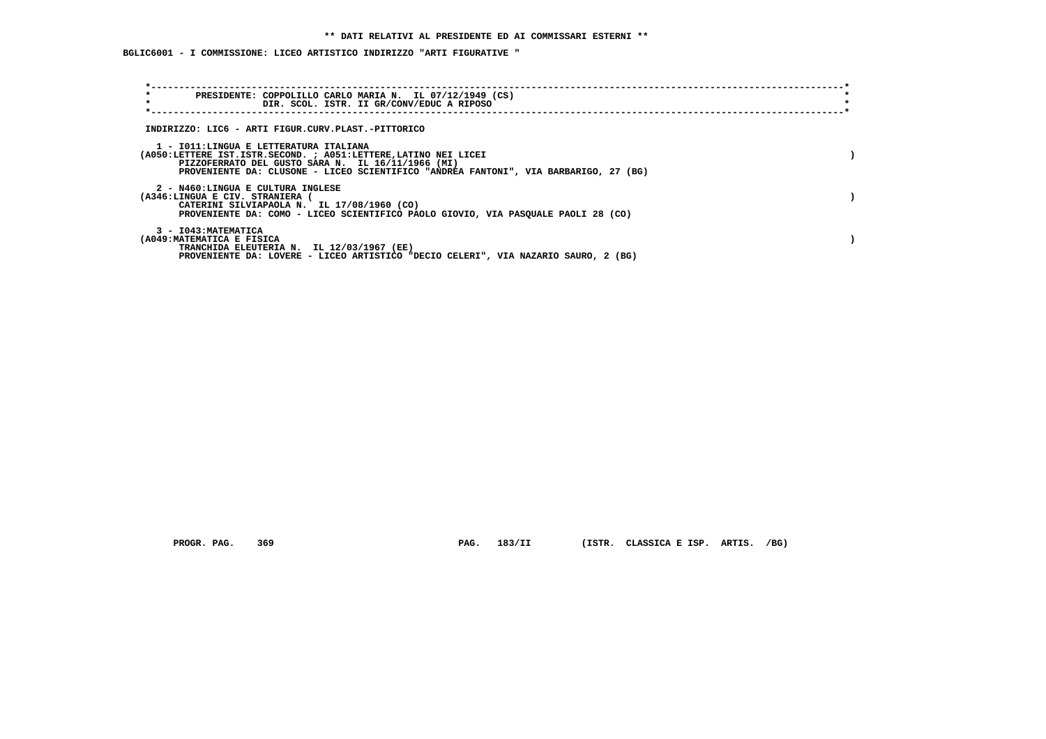**BGLIC6001 - I COMMISSIONE: LICEO ARTISTICO INDIRIZZO "ARTI FIGURATIVE "**

| $\star$<br>PRESIDENTE: COPPOLILLO CARLO MARIA N. IL 07/12/1949 (CS)<br>$\star$<br>DIR. SCOL. ISTR. II GR/CONV/EDUC A RIPOSO                                                                                                                           |  |
|-------------------------------------------------------------------------------------------------------------------------------------------------------------------------------------------------------------------------------------------------------|--|
|                                                                                                                                                                                                                                                       |  |
| INDIRIZZO: LIC6 - ARTI FIGUR.CURV.PLAST.-PITTORICO                                                                                                                                                                                                    |  |
| 1 - IO11:LINGUA E LETTERATURA ITALIANA<br>(A050:LETTERE IST.ISTR.SECOND. : A051:LETTERE,LATINO NEI LICEI<br>PIZZOFERRATO DEL GUSTO SARA N. IL 16/11/1966 (MI)<br>PROVENIENTE DA: CLUSONE - LICEO SCIENTIFICO "ANDREA FANTONI", VIA BARBARIGO, 27 (BG) |  |
| 2 - N460:LINGUA E CULTURA INGLESE<br>(A346:LINGUA E CIV. STRANIERA<br>CATERINI SILVIAPAOLA N. IL 17/08/1960 (CO)<br>PROVENIENTE DA: COMO - LICEO SCIENTIFICO PAOLO GIOVIO, VIA PASQUALE PAOLI 28 (CO)                                                 |  |
| 3 - I043: MATEMATICA<br>(A049: MATEMATICA E FISICA<br>TRANCHIDA ELEUTERIA N. IL 12/03/1967 (EE)<br>PROVENIENTE DA: LOVERE - LICEO ARTISTICO "DECIO CELERI", VIA NAZARIO SAURO, 2 (BG)                                                                 |  |

PROGR. PAG. 369 **PAG. 183/II** (ISTR. CLASSICA E ISP. ARTIS. /BG)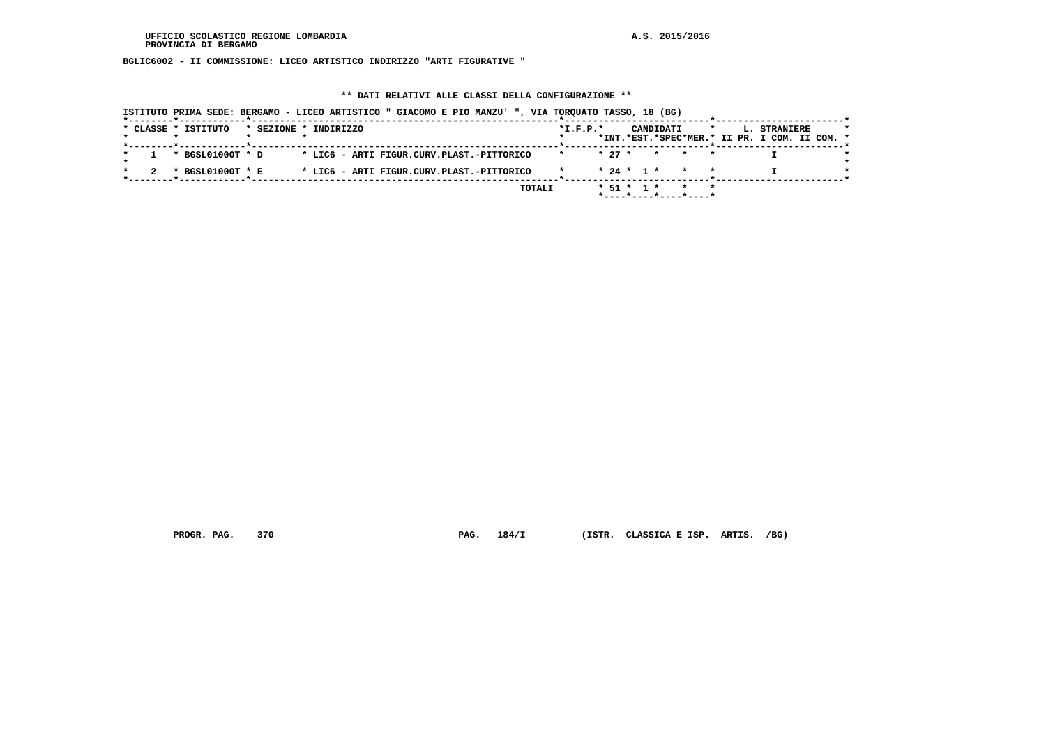**BGLIC6002 - II COMMISSIONE: LICEO ARTISTICO INDIRIZZO "ARTI FIGURATIVE "**

### **\*\* DATI RELATIVI ALLE CLASSI DELLA CONFIGURAZIONE \*\***

|  | ISTITUTO PRIMA SEDE: BERGAMO - LICEO ARTISTICO " GIACOMO E PIO MANZU' ", VIA TORQUATO TASSO, 18 (BG) |                       |  |  |                                           |  |        |                |          |                  |           |                                      |         |  |                                                               |  |
|--|------------------------------------------------------------------------------------------------------|-----------------------|--|--|-------------------------------------------|--|--------|----------------|----------|------------------|-----------|--------------------------------------|---------|--|---------------------------------------------------------------|--|
|  | * CLASSE * ISTITUTO                                                                                  | * SEZIONE * INDIRIZZO |  |  |                                           |  |        | $*$ I.F.P. $*$ |          |                  | CANDIDATI |                                      | $\star$ |  | L. STRANIERE<br>*INT.*EST.*SPEC*MER.* II PR. I COM. II COM. * |  |
|  | * BGSL01000T * D                                                                                     |                       |  |  | * LIC6 - ARTI FIGUR.CURV.PLAST.-PITTORICO |  |        |                | $* 27 *$ |                  |           | $\star$ $\star$                      |         |  |                                                               |  |
|  | * BGSL01000T * E                                                                                     |                       |  |  | * LIC6 - ARTI FIGUR.CURV.PLAST.-PITTORICO |  |        |                |          |                  |           | $* 24 * 1 * *$                       |         |  |                                                               |  |
|  |                                                                                                      |                       |  |  |                                           |  | TOTALI |                |          | $*$ 51 $*$ 1 $*$ |           | $*$ ---- $*$ ---- $*$ ---- $*$ ----* |         |  |                                                               |  |

 **PROGR. PAG. 370 PAG. 184/I (ISTR. CLASSICA E ISP. ARTIS. /BG)**